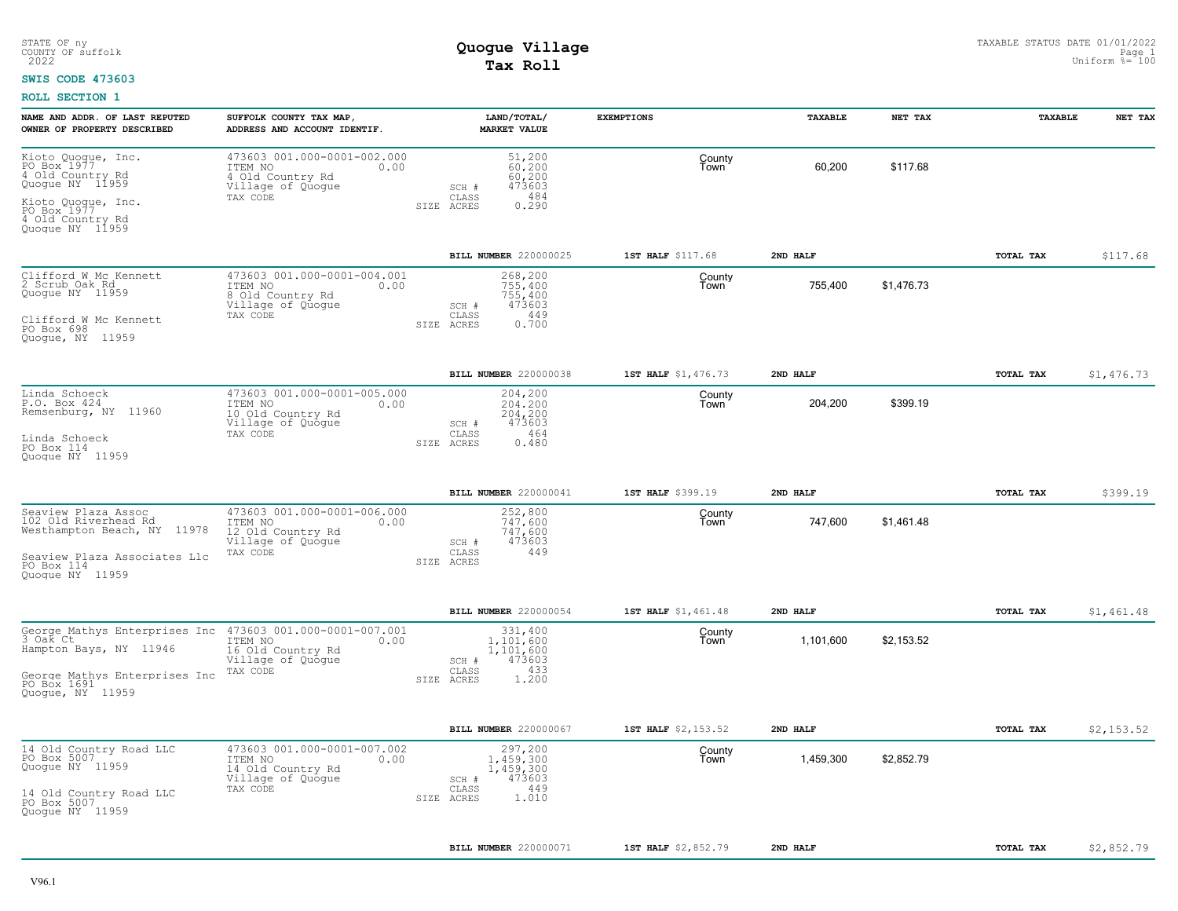## **SWIS CODE 473603**

| NAME AND ADDR. OF LAST REPUTED<br>OWNER OF PROPERTY DESCRIBED                       | SUFFOLK COUNTY TAX MAP,<br>ADDRESS AND ACCOUNT IDENTIF.                                              | LAND/TOTAL/<br><b>MARKET VALUE</b>                                                      | <b>EXEMPTIONS</b>   | TAXABLE   | NET TAX    | <b>TAXABLE</b> | NET TAX    |
|-------------------------------------------------------------------------------------|------------------------------------------------------------------------------------------------------|-----------------------------------------------------------------------------------------|---------------------|-----------|------------|----------------|------------|
| Kioto Quoque, Inc.<br>PO Box 1977<br>4 Old Country Rd<br>Quogue NY 11959            | 473603 001.000-0001-002.000<br>0.00<br>ITEM NO<br>4 Old Country Rd<br>Village of Quoque<br>TAX CODE  | 51,200<br>60,200<br>60,200<br>473603<br>SCH #<br>484<br>CLASS                           | County<br>Town      | 60,200    | \$117.68   |                |            |
| Kioto Quoque, Inc.<br>PO Box 1977<br>4 Old Country Rd<br>Quoque NY 11959            |                                                                                                      | 0.290<br>SIZE<br>ACRES                                                                  |                     |           |            |                |            |
|                                                                                     |                                                                                                      | BILL NUMBER 220000025                                                                   | 1ST HALF \$117.68   | 2ND HALF  |            | TOTAL TAX      | \$117.68   |
| Clifford W Mc Kennett<br>2 Scrub Oak Rd<br>Quogue NY 11959<br>Clifford W Mc Kennett | 473603 001.000-0001-004.001<br>ITEM NO<br>0.00<br>8 Old Country Rd<br>Village of Quogue<br>TAX CODE  | 268,200<br>755,400<br>755,400<br>473603<br>SCH #<br>CLASS<br>449<br>0.700<br>SIZE ACRES | County<br>Town      | 755,400   | \$1,476.73 |                |            |
| PO Box 698<br>Quoque, NY 11959                                                      |                                                                                                      |                                                                                         |                     |           |            |                |            |
|                                                                                     |                                                                                                      | BILL NUMBER 220000038                                                                   | 1ST HALF \$1,476.73 | 2ND HALF  |            | TOTAL TAX      | \$1,476.73 |
| Linda Schoeck<br>P.O. Box 424<br>Remsenburg, NY 11960                               | 473603 001.000-0001-005.000<br>0.00<br>ITEM NO<br>10 Old Country Rd<br>Village of Quogue             | 204,200<br>204,200<br>204,200<br>473603<br>SCH #                                        | County<br>Town      | 204,200   | \$399.19   |                |            |
| Linda Schoeck<br>PO Box 114<br>Quoque NY 11959                                      | TAX CODE                                                                                             | 464<br>CLASS<br>0.480<br>SIZE ACRES                                                     |                     |           |            |                |            |
|                                                                                     |                                                                                                      | BILL NUMBER 220000041                                                                   | 1ST HALF \$399.19   | 2ND HALF  |            | TOTAL TAX      | \$399.19   |
| Seaview Plaza Assoc<br>102 Old Riverhead Rd<br>Westhampton Beach, NY 11978          | 473603 001.000-0001-006.000<br>ITEM NO<br>0.00<br>12 Old Country Rd<br>Village of Quogue<br>TAX CODE | 252,800<br>747,600<br>747,600<br>473603<br>SCH #<br>449<br>CLASS                        | County<br>Town      | 747,600   | \$1,461.48 |                |            |
| Seaview Plaza Associates Llc<br>PO Box 114<br>Quoque NY 11959                       |                                                                                                      | SIZE ACRES                                                                              |                     |           |            |                |            |
|                                                                                     |                                                                                                      | BILL NUMBER 220000054                                                                   | 1ST HALF \$1,461.48 | 2ND HALF  |            | TOTAL TAX      | \$1,461.48 |
| George Mathys Enterprises Inc<br>3 Oak Ct<br>Hampton Bays, NY 11946                 | 473603 001.000-0001-007.001<br>ITEM NO<br>0.00<br>16 Old Country Rd<br>Village of Quogue             | 331,400<br>1,101,600<br>1,101,600<br>SCH #<br>473603<br>CLASS<br>433                    | County<br>Town      | 1,101,600 | \$2,153.52 |                |            |
| George Mathys Enterprises Inc<br>PO Box 1691<br>Quoque, NY 11959                    | TAX CODE                                                                                             | 1,200<br>SIZE ACRES                                                                     |                     |           |            |                |            |
|                                                                                     |                                                                                                      | <b>BILL NUMBER 220000067</b>                                                            | 1ST HALF \$2,153.52 | 2ND HALF  |            | TOTAL TAX      | \$2,153.52 |
| 14 Old Country Road LLC<br>PO Box 5007<br>Quogue NY 11959                           | 473603 001.000-0001-007.002<br>ITEM NO<br>0.00<br>14 Old Country Rd<br>Village of Quogue             | 297,200<br>1.459.300<br>1,459,300<br>473603<br>SCH #                                    | County<br>Town      | 1,459,300 | \$2,852.79 |                |            |
| 14 Old Country Road LLC<br>PO Box 5007<br>Quoque NY 11959                           | TAX CODE                                                                                             | CLASS<br>449<br>SIZE ACRES<br>1.010                                                     |                     |           |            |                |            |
|                                                                                     |                                                                                                      | <b>BILL NUMBER 220000071</b>                                                            | 1ST HALF \$2,852.79 | 2ND HALF  |            | TOTAL TAX      | \$2,852.79 |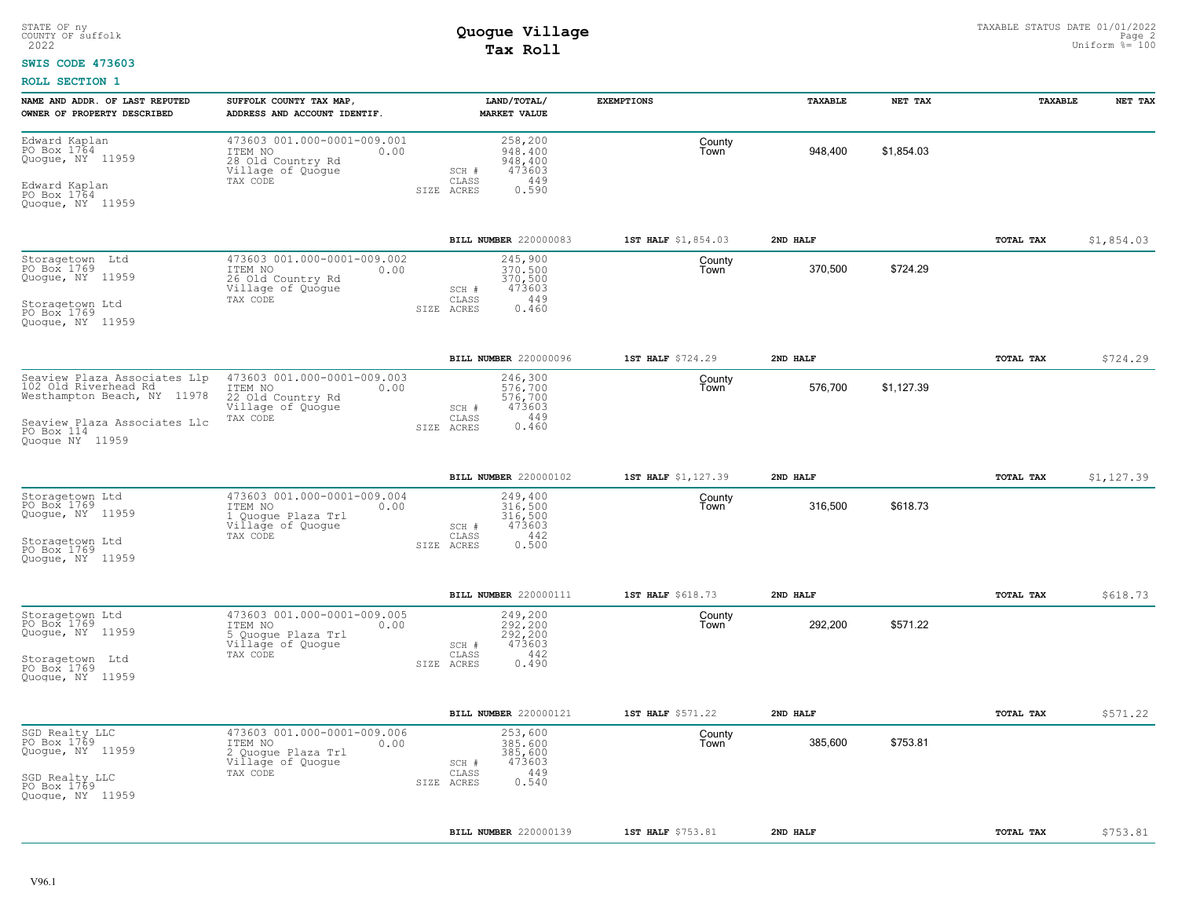### **SWIS CODE 473603**

| NAME AND ADDR. OF LAST REPUTED<br>OWNER OF PROPERTY DESCRIBED                                                                                         | SUFFOLK COUNTY TAX MAP,<br>ADDRESS AND ACCOUNT IDENTIF.                                               | LAND/TOTAL/<br><b>MARKET VALUE</b>                                                      | <b>EXEMPTIONS</b>   | TAXABLE  | NET TAX    | TAXABLE   | NET TAX    |
|-------------------------------------------------------------------------------------------------------------------------------------------------------|-------------------------------------------------------------------------------------------------------|-----------------------------------------------------------------------------------------|---------------------|----------|------------|-----------|------------|
| Edward Kaplan<br>PO Box 1764<br>Quogue, NY 11959<br>Edward Kaplan<br>PO Box 1764<br>Quogue, NY 11959                                                  | 473603 001.000-0001-009.001<br>ITEM NO<br>0.00<br>28 Old Country Rd<br>Village of Quogue<br>TAX CODE  | 258,200<br>948,400<br>948,400<br>473603<br>SCH #<br>449<br>CLASS<br>0.590<br>SIZE ACRES | County<br>Town      | 948.400  | \$1.854.03 |           |            |
|                                                                                                                                                       |                                                                                                       | BILL NUMBER 220000083                                                                   | 1ST HALF \$1,854.03 | 2ND HALF |            | TOTAL TAX | \$1,854.03 |
| Storagetown Ltd<br>PO Box 1769<br>Quogue, NY 11959<br>Storagetown Ltd<br>PO Box 1769                                                                  | 473603 001.000-0001-009.002<br>ITEM NO<br>0.00<br>26 Old Country Rd<br>Village of Quoque<br>TAX CODE  | 245,900<br>370,500<br>370,500<br>473603<br>SCH #<br>449<br>CLASS<br>SIZE ACRES<br>0.460 | County<br>Town      | 370,500  | \$724.29   |           |            |
| Quoque, NY 11959                                                                                                                                      |                                                                                                       |                                                                                         |                     |          |            |           |            |
|                                                                                                                                                       |                                                                                                       | BILL NUMBER 220000096                                                                   | 1ST HALF \$724.29   | 2ND HALF |            | TOTAL TAX | \$724.29   |
| Seaview Plaza Associates Llp<br>102 Old Riverhead Rd.<br>Westhampton Beach, NY 11978<br>Seaview Plaza Associates Llc<br>PO Box 114<br>Quoque NY 11959 | 473603 001.000-0001-009.003<br>ITEM NO<br>0.00<br>22 Old Country Rd<br>Village of Quogue<br>TAX CODE  | 246,300<br>576,700<br>576,700<br>473603<br>SCH #<br>449<br>CLASS<br>0.460<br>SIZE ACRES | County<br>Town      | 576,700  | \$1,127.39 |           |            |
|                                                                                                                                                       |                                                                                                       | BILL NUMBER 220000102                                                                   | 1ST HALF \$1,127.39 | 2ND HALF |            | TOTAL TAX | \$1,127.39 |
| Storagetown Ltd<br>PO Box 1769<br>Quogue, NY 11959<br>Storagetown Ltd<br>PO Box 1769<br>Quoque, NY 11959                                              | 473603 001.000-0001-009.004<br>ITEM NO<br>0.00<br>1 Quoque Plaza Trl<br>Village of Quogue<br>TAX CODE | 249,400<br>316,500<br>316,500<br>473603<br>SCH #<br>442<br>CLASS<br>0.500<br>SIZE ACRES | County<br>Town      | 316,500  | \$618.73   |           |            |
|                                                                                                                                                       |                                                                                                       | BILL NUMBER 220000111                                                                   | 1ST HALF \$618.73   | 2ND HALF |            | TOTAL TAX | \$618.73   |
| Storagetown Ltd<br>PO Box 1769<br>Quogue, NY 11959<br>Storagetown Ltd<br>PO Box 1769<br>Quogue, NY 11959                                              | 473603 001.000-0001-009.005<br>ITEM NO<br>0.00<br>5 Quogue Plaza Trl<br>Village of Quogue<br>TAX CODE | 249,200<br>292.200<br>292,200<br>473603<br>SCH #<br>442<br>CLASS<br>0.490<br>SIZE ACRES | County<br>Town      | 292,200  | \$571.22   |           |            |
|                                                                                                                                                       |                                                                                                       | BILL NUMBER 220000121                                                                   | 1ST HALF \$571.22   | 2ND HALF |            | TOTAL TAX | \$571.22   |
| SGD Realty LLC<br>PO Box 1769<br>Quogue, NY 11959<br>SGD Realty LLC<br>PO Box 1769<br>Quogue, NY 11959                                                | 473603 001.000-0001-009.006<br>ITEM NO<br>0.00<br>2 Quogue Plaza Trl<br>Village of Quogue<br>TAX CODE | 253,600<br>385,600<br>385,600<br>473603<br>SCH #<br>449<br>CLASS<br>0.540<br>SIZE ACRES | County<br>Town      | 385.600  | \$753.81   |           |            |
|                                                                                                                                                       |                                                                                                       | BILL NUMBER 220000139                                                                   | 1ST HALF \$753.81   | 2ND HALF |            | TOTAL TAX | \$753.81   |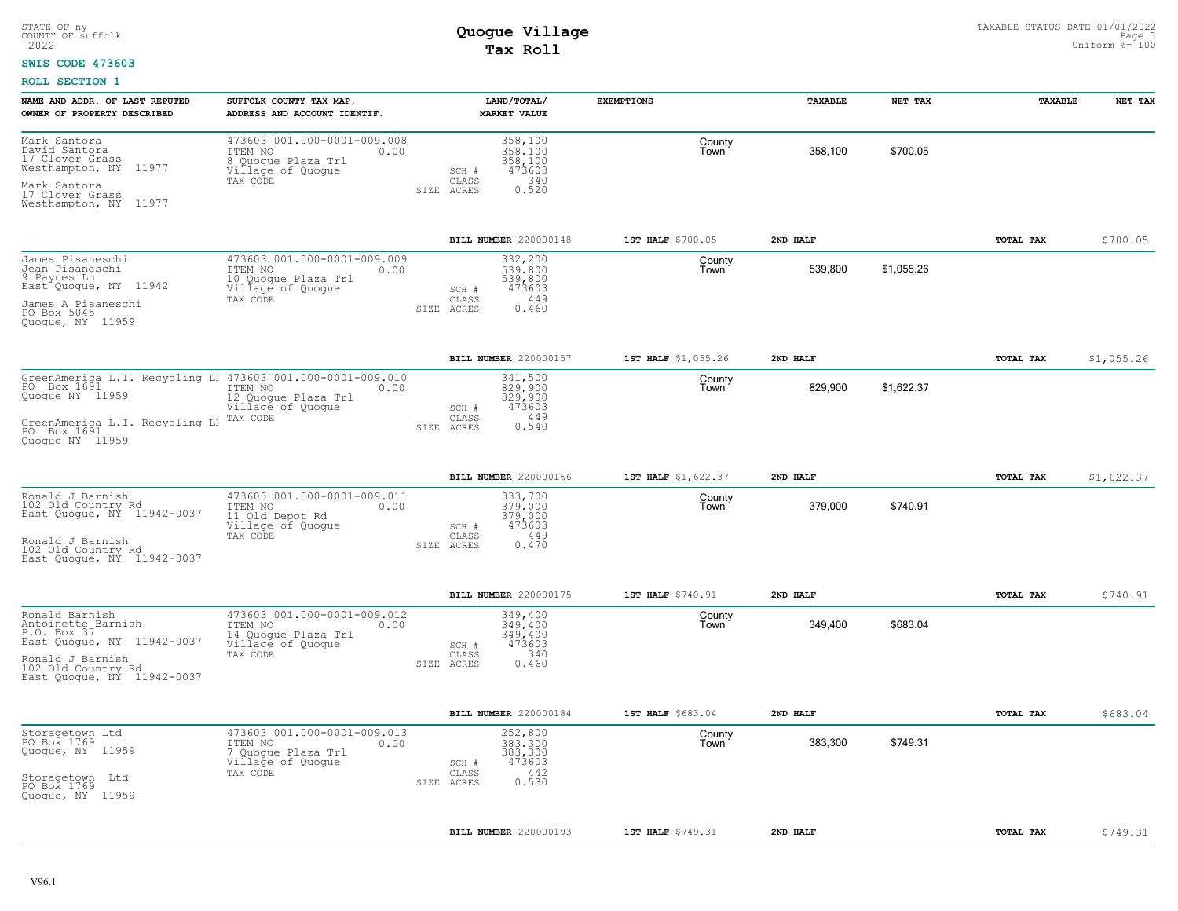#### **SWIS CODE 473603**

| NAME AND ADDR. OF LAST REPUTED<br>OWNER OF PROPERTY DESCRIBED                                | SUFFOLK COUNTY TAX MAP,<br>ADDRESS AND ACCOUNT IDENTIF.                                                | LAND/TOTAL/<br><b>MARKET VALUE</b>                                   | <b>EXEMPTIONS</b>   | <b>TAXABLE</b> | NET TAX    | TAXABLE   | NET TAX    |
|----------------------------------------------------------------------------------------------|--------------------------------------------------------------------------------------------------------|----------------------------------------------------------------------|---------------------|----------------|------------|-----------|------------|
| Mark Santora<br>David Santora<br>17 Clover Grass<br>Westhampton, NY 11977                    | 473603 001.000-0001-009.008<br>ITEM NO<br>0.00<br>8 Quoque Plaza Trl<br>Village of Quogue<br>TAX CODE  | 358,100<br>358,100<br>358,100<br>473603<br>$SCH$ $#$<br>340<br>CLASS | County<br>Town      | 358,100        | \$700.05   |           |            |
| Mark Santora<br>17 Clover Grass<br>Westhampton, NY 11977                                     |                                                                                                        | 0.520<br>SIZE ACRES                                                  |                     |                |            |           |            |
|                                                                                              |                                                                                                        | BILL NUMBER 220000148                                                | 1ST HALF \$700.05   | 2ND HALF       |            | TOTAL TAX | \$700.05   |
| James Pisaneschi<br>Jean Pisaneschi<br>9 Paynes Ln<br>East <sup>o</sup> Quoque, NY 11942     | 473603 001.000-0001-009.009<br>ITEM NO<br>0.00<br>10 Quogue Plaza Trl<br>Village of Quogue<br>TAX CODE | 332,200<br>539,800<br>539,800<br>473603<br>SCH #<br>449<br>CLASS     | County<br>Town      | 539,800        | \$1,055.26 |           |            |
| James A Pisaneschi<br>PO Box 5045<br>Quoque, NY 11959                                        |                                                                                                        | ${\tt 0}$ . ${\tt 4}$ ${\tt 60}$<br>SIZE ACRES                       |                     |                |            |           |            |
|                                                                                              |                                                                                                        | BILL NUMBER 220000157                                                | 1ST HALF \$1,055.26 | 2ND HALF       |            | TOTAL TAX | \$1,055.26 |
| GreenAmerica L.I. Recycling L1 473603 001.000-0001-009.010<br>PO Box 1691<br>Quoque NY 11959 | ITEM NO<br>0.00<br>12 Quogue Plaza Trl<br>Village of Quogue<br>TAX CODE                                | 341,500<br>829,900<br>829,900<br>473603<br>SCH #<br>449<br>CLASS     | County<br>Town      | 829,900        | \$1,622.37 |           |            |
| GreenAmerica L.I. Recycling Ll<br>PO Box 1691<br>Quoque NY 11959                             |                                                                                                        | 0.540<br>SIZE ACRES                                                  |                     |                |            |           |            |
|                                                                                              |                                                                                                        | BILL NUMBER 220000166                                                | 1ST HALF \$1,622.37 | 2ND HALF       |            | TOTAL TAX | \$1,622.37 |
| Ronald J Barnish<br>102 Old Country Rd<br>East Quogue, NY 11942-0037                         | 473603 001.000-0001-009.011<br>ITEM NO<br>0.00<br>11 Old Depot Rd<br>Village of Quogue                 | 333,700<br>379.000<br>379,000<br>473603<br>SCH #                     | County<br>Town      | 379,000        | \$740.91   |           |            |
| Ronald J Barnish<br>102 Old Country Rd<br>East Quoque, NY 11942-0037                         | TAX CODE                                                                                               | 449<br>CLASS<br>0.470<br>SIZE ACRES                                  |                     |                |            |           |            |
|                                                                                              |                                                                                                        | BILL NUMBER 220000175                                                | 1ST HALF \$740.91   | 2ND HALF       |            | TOTAL TAX | \$740.91   |
| Ronald Barnish<br>Antoinette Barnish<br>P.O. Box 37<br>East Quoque, NY 11942-0037            | 473603 001.000-0001-009.012<br>ITEM NO<br>0.00<br>14 Quogue Plaza Trl<br>Village of Quogue             | 349,400<br>349.400<br>349,400<br>473603<br>SCH #                     | County<br>Town      | 349,400        | \$683.04   |           |            |
| Ronald J Barnish<br>102 Old Country Rd<br>East Quoque, NY 11942-0037                         | TAX CODE                                                                                               | 340<br>CLASS<br>0.460<br>SIZE ACRES                                  |                     |                |            |           |            |
|                                                                                              |                                                                                                        | BILL NUMBER 220000184                                                | 1ST HALF \$683.04   | 2ND HALF       |            | TOTAL TAX | \$683.04   |
| Storagetown Ltd<br>PO Box 1769<br>Quogue, NY 11959                                           | 473603 001.000-0001-009.013<br>0.00<br>ITEM NO<br>7 Quogue Plaza Trl<br>Village of Quogue<br>TAX CODE  | 252,800<br>383,300<br>383,300<br>473603<br>SCH #<br>442<br>CLASS     | County<br>Town      | 383,300        | \$749.31   |           |            |
| Storagetown Ltd<br>PO Box 1769<br>Quoque, NY 11959                                           |                                                                                                        | 0.530<br>SIZE ACRES                                                  |                     |                |            |           |            |
|                                                                                              |                                                                                                        | BILL NUMBER 220000193                                                | 1ST HALF \$749.31   | 2ND HALF       |            | TOTAL TAX | \$749.31   |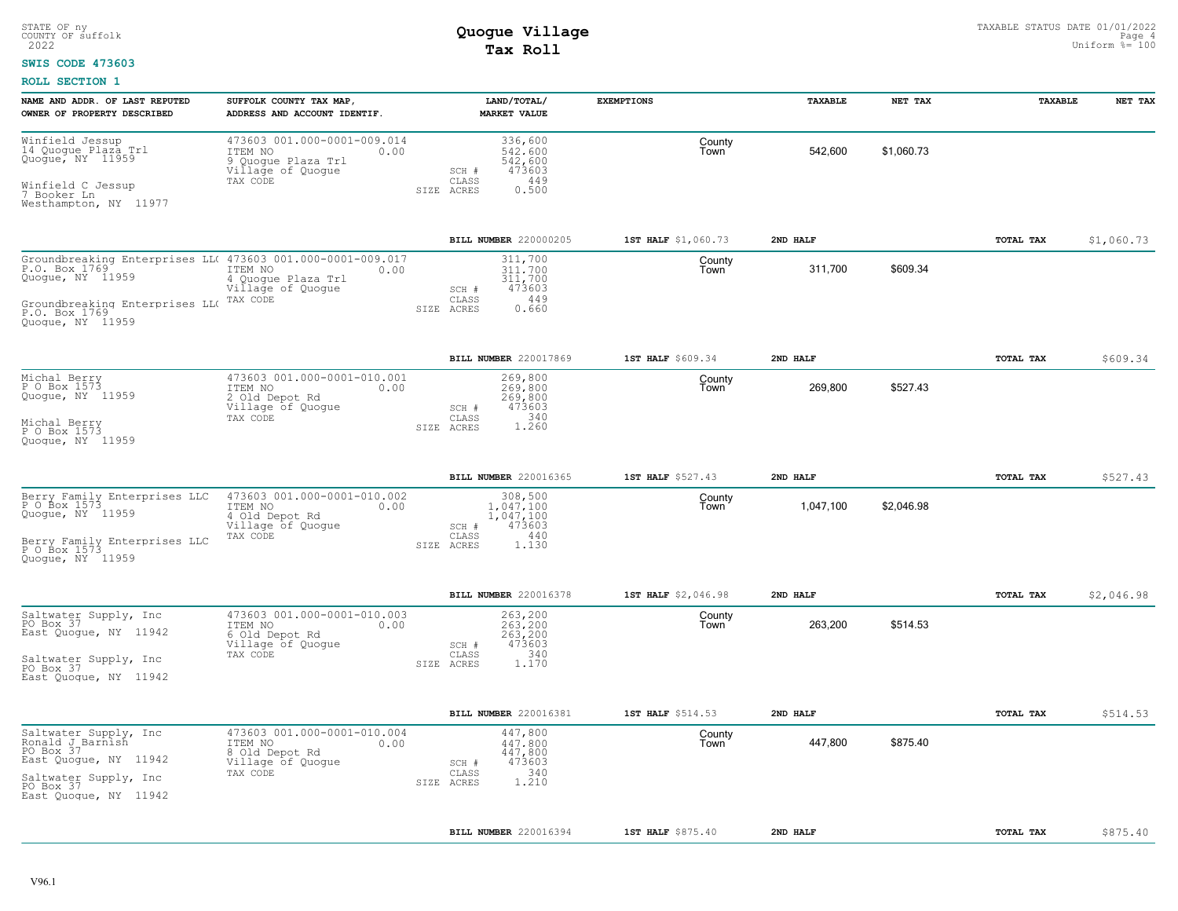### **SWIS CODE 473603**

| NAME AND ADDR. OF LAST REPUTED<br>OWNER OF PROPERTY DESCRIBED                                                                                                          | SUFFOLK COUNTY TAX MAP,<br>ADDRESS AND ACCOUNT IDENTIF.                                               | LAND/TOTAL/<br>MARKET VALUE                                                                 | <b>EXEMPTIONS</b>   | <b><i>TAXABLE</i></b> | NET TAX    | <b>TAXABLE</b> | NET TAX    |
|------------------------------------------------------------------------------------------------------------------------------------------------------------------------|-------------------------------------------------------------------------------------------------------|---------------------------------------------------------------------------------------------|---------------------|-----------------------|------------|----------------|------------|
| Winfield Jessup<br>14 Quogue Plaza Trl<br>Quogue, NY 11959<br>Winfield C Jessup<br>7 Booker Ln<br>Westhampton, NY 11977                                                | 473603 001.000-0001-009.014<br>ITEM NO<br>0.00<br>9 Quoque Plaza Trl<br>Village of Quogue<br>TAX CODE | 336,600<br>542,600<br>542,600<br>473603<br>SCH #<br>449<br>CLASS<br>0.500<br>SIZE ACRES     | County<br>Town      | 542,600               | \$1,060.73 |                |            |
|                                                                                                                                                                        |                                                                                                       | <b>BILL NUMBER 220000205</b>                                                                | 1ST HALF \$1,060.73 | 2ND HALF              |            | TOTAL TAX      | \$1,060.73 |
| Groundbreaking Enterprises LL( 473603 001.000-0001-009.017<br>P.O. Box 1769<br>Quoque, NY 11959<br>Groundbreaking Enterprises LLO<br>P.O. Box 1769<br>Quoque, NY 11959 | ITEM NO<br>0.00<br>4 Quoque Plaza Trl<br>Village of Quogue<br>TAX CODE                                | 311,700<br>311,700<br>311,700<br>473603<br>SCH #<br>449<br>CLASS<br>0.660<br>SIZE ACRES     | County<br>Town      | 311.700               | \$609.34   |                |            |
|                                                                                                                                                                        |                                                                                                       | BILL NUMBER 220017869                                                                       | 1ST HALF \$609.34   | 2ND HALF              |            | TOTAL TAX      | \$609.34   |
| Michal Berry<br>P O Box 1573<br>Quoque, NY 11959<br>Michal Berry<br>P O Box 1573<br>Quoque, NY 11959                                                                   | 473603 001.000-0001-010.001<br>ITEM NO<br>0.00<br>2 Old Depot Rd<br>Village of Quogue<br>TAX CODE     | 269,800<br>269,800<br>269,800<br>473603<br>SCH #<br>1.340<br>CLASS<br>SIZE ACRES            | County<br>Town      | 269,800               | \$527.43   |                |            |
|                                                                                                                                                                        |                                                                                                       | BILL NUMBER 220016365                                                                       | 1ST HALF \$527.43   | 2ND HALF              |            | TOTAL TAX      | \$527.43   |
| Berry Family Enterprises LLC<br>P 0 Box 1573<br>Quogue, NY 11959<br>Berry Family Enterprises LLC<br>P O Box 1573<br>Quoque, NY 11959                                   | 473603 001.000-0001-010.002<br>ITEM NO<br>0.00<br>4 Old Depot Rd<br>Village of Quogue<br>TAX CODE     | 308,500<br>1,047,100<br>1,047,100<br>473603<br>SCH #<br>440<br>CLASS<br>SIZE ACRES<br>1.130 | County<br>Town      | 1,047,100             | \$2,046.98 |                |            |
|                                                                                                                                                                        |                                                                                                       | BILL NUMBER 220016378                                                                       | 1ST HALF \$2,046.98 | 2ND HALF              |            | TOTAL TAX      | \$2,046.98 |
| Saltwater Supply, Inc.<br>PO Box 37<br>East Quoque, NY 11942<br>Saltwater Supply, Inc<br>PO Box 37<br>East Quoque, NY 11942                                            | 473603 001.000-0001-010.003<br>ITEM NO<br>0.00<br>6 Old Depot Rd<br>Village of Quogue<br>TAX CODE     | 263,200<br>263,200<br>263,200<br>473603<br>SCH #<br>340<br>CLASS<br>1.170<br>SIZE ACRES     | County<br>Town      | 263,200               | \$514.53   |                |            |
|                                                                                                                                                                        |                                                                                                       | BILL NUMBER 220016381                                                                       | 1ST HALF \$514.53   | 2ND HALF              |            | TOTAL TAX      | \$514.53   |
| Saltwater Supply, Inc<br>Ronald J Barnish<br>PO Box 37<br>East Quoque, NY 11942<br>Saltwater Supply, Inc<br>PO Box 37<br>East Quoque, NY 11942                         | 473603 001.000-0001-010.004<br>ITEM NO<br>0.00<br>8 Old Depot Rd<br>Village of Quogue<br>TAX CODE     | 447,800<br>447.800<br>447,800<br>473603<br>SCH #<br>340<br>CLASS<br>1.210<br>SIZE ACRES     | County<br>Town      | 447,800               | \$875.40   |                |            |
|                                                                                                                                                                        |                                                                                                       | BILL NUMBER 220016394                                                                       | 1ST HALF \$875.40   | 2ND HALF              |            | TOTAL TAX      | \$875.40   |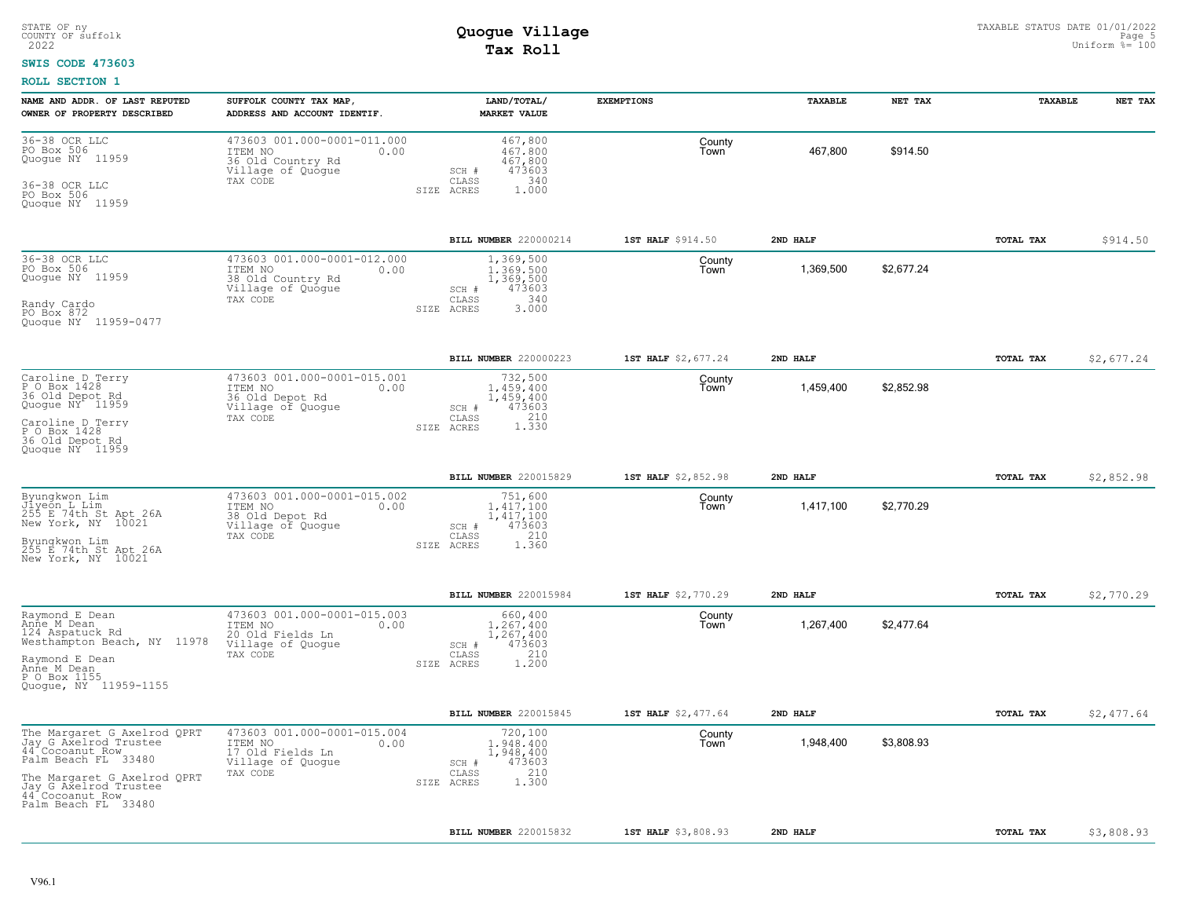#### **SWIS CODE 473603**

| NAME AND ADDR. OF LAST REPUTED<br>OWNER OF PROPERTY DESCRIBED                                                                                                                                    | SUFFOLK COUNTY TAX MAP,<br>ADDRESS AND ACCOUNT IDENTIF.                                              | LAND/TOTAL/<br><b>MARKET VALUE</b>                                                              | <b>EXEMPTIONS</b>   | TAXABLE   | NET TAX    | TAXABLE   | NET TAX    |
|--------------------------------------------------------------------------------------------------------------------------------------------------------------------------------------------------|------------------------------------------------------------------------------------------------------|-------------------------------------------------------------------------------------------------|---------------------|-----------|------------|-----------|------------|
| 36-38 OCR LLC<br>PO Box 506<br>Quogue NY 11959<br>36-38 OCR LLC<br>PO Box 506<br>Quoque NY 11959                                                                                                 | 473603 001.000-0001-011.000<br>ITEM NO<br>0.00<br>36 Old Country Rd<br>Village of Quogue<br>TAX CODE | 467,800<br>467.800<br>467,800<br>473603<br>SCH #<br>CLASS<br>340<br>SIZE ACRES<br>1,000         | County<br>Town      | 467,800   | \$914.50   |           |            |
|                                                                                                                                                                                                  |                                                                                                      | BILL NUMBER 220000214                                                                           | 1ST HALF \$914.50   | 2ND HALF  |            | TOTAL TAX | \$914.50   |
| 36-38 OCR LLC<br>PO Box 506<br>Quoque NY 11959<br>Randy Cardo<br>PO Box 872<br>Quoque NY 11959-0477                                                                                              | 473603 001.000-0001-012.000<br>ITEM NO<br>0.00<br>38 Old Country Rd<br>Village of Quogue<br>TAX CODE | 1,369,500<br>1,369,500<br>1,369,500<br>473603<br>SCH #<br>340<br>CLASS<br>3,000<br>SIZE ACRES   | County<br>Town      | 1,369,500 | \$2,677.24 |           |            |
|                                                                                                                                                                                                  |                                                                                                      | BILL NUMBER 220000223                                                                           | 1ST HALF \$2,677.24 | 2ND HALF  |            | TOTAL TAX | \$2,677.24 |
| Caroline D Terry<br>P O Box 1428<br>36 Old Depot Rd<br>Quogue NY <sup>+</sup> 11959<br>Caroline D Terry<br>P O Box 1428<br>36 Old Depot Rd<br>Quoque NY 11959                                    | 473603 001.000-0001-015.001<br>ITEM NO<br>0.00<br>36 Old Depot Rd<br>Village of Quogue<br>TAX CODE   | 732,500<br>1,459,400<br>1,459,400<br>473603<br>SCH #<br>210<br>CLASS<br>1.330<br>SIZE ACRES     | County<br>Town      | 1,459,400 | \$2,852.98 |           |            |
|                                                                                                                                                                                                  |                                                                                                      | <b>BILL NUMBER 220015829</b>                                                                    | 1ST HALF \$2,852.98 | 2ND HALF  |            | TOTAL TAX | \$2,852.98 |
| Byungkwon Lim<br>Jiyeon L Lim<br>255 E 74th St Apt 26A<br>New York, NY 10021<br>Byungkwon Lim<br>255 E 74th St Apt 26A<br>New York, NY 10021                                                     | 473603 001.000-0001-015.002<br>ITEM NO<br>0.00<br>38 Old Depot Rd<br>Village of Quogue<br>TAX CODE   | 751,600<br>$1,417,100$<br>$1,417,100$<br>473603<br>SCH #<br>210<br>CLASS<br>1.360<br>SIZE ACRES | County<br>Town      | 1,417,100 | \$2,770.29 |           |            |
|                                                                                                                                                                                                  |                                                                                                      | BILL NUMBER 220015984                                                                           | 1ST HALF \$2,770.29 | 2ND HALF  |            | TOTAL TAX | \$2,770.29 |
| Raymond E Dean<br>Anne M Dean<br>124 Aspatuck Rd<br>Westhampton Beach, NY 11978<br>Raymond E Dean<br>Anne M Dean<br>P O Box 1155<br>Quoque, NY 11959-1155                                        | 473603 001.000-0001-015.003<br>ITEM NO<br>0.00<br>20 Old Fields Ln<br>Village of Quogue<br>TAX CODE  | 660,400<br>1,267,400<br>1,267,400<br>473603<br>SCH #<br>210<br>CLASS<br>SIZE ACRES<br>1.200     | County<br>Town      | 1,267,400 | \$2,477.64 |           |            |
|                                                                                                                                                                                                  |                                                                                                      | BILL NUMBER 220015845                                                                           | 1ST HALF \$2,477.64 | 2ND HALF  |            | TOTAL TAX | \$2,477.64 |
| The Margaret G Axelrod QPRT<br>Jay G Axelrod Trustee<br>44 Cocoanut Row<br>Palm Beach FL 33480<br>The Margaret G Axelrod QPRT<br>Jay G Axelrod Trustee<br>44 Cocoanut Row<br>Palm Beach FL 33480 | 473603 001.000-0001-015.004<br>ITEM NO<br>0.00<br>17 Old Fields Ln<br>Village of Quogue<br>TAX CODE  | 720,100<br>1,948,400<br>1,948,400<br>473603<br>SCH #<br>210<br>CLASS<br>SIZE ACRES<br>1,300     | County<br>Town      | 1,948,400 | \$3,808.93 |           |            |
|                                                                                                                                                                                                  |                                                                                                      | BILL NUMBER 220015832                                                                           | 1ST HALF \$3,808.93 | 2ND HALF  |            | TOTAL TAX | \$3,808.93 |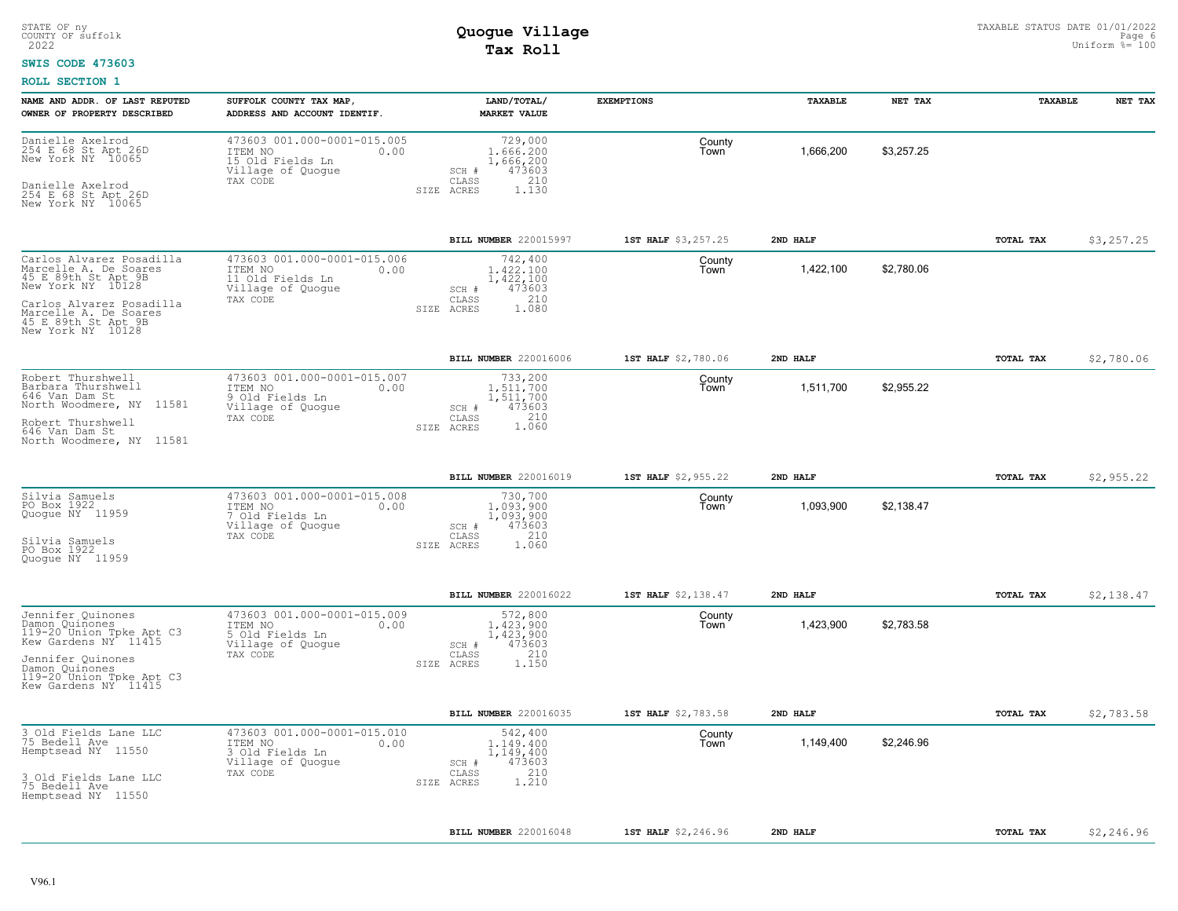#### **SWIS CODE 473603**

| NAME AND ADDR. OF LAST REPUTED<br>OWNER OF PROPERTY DESCRIBED                                                                                                                                  | SUFFOLK COUNTY TAX MAP,<br>ADDRESS AND ACCOUNT IDENTIF.                                             | LAND/TOTAL/<br><b>MARKET VALUE</b>                                                          | <b>EXEMPTIONS</b>   | TAXABLE   | NET TAX    | TAXABLE   | NET TAX    |
|------------------------------------------------------------------------------------------------------------------------------------------------------------------------------------------------|-----------------------------------------------------------------------------------------------------|---------------------------------------------------------------------------------------------|---------------------|-----------|------------|-----------|------------|
| Danielle Axelrod<br>254 E 68 St Apt 26D<br>New York NY 10065<br>Danielle Axelrod<br>254 E 68 St Apt 26D<br>New York NY 10065                                                                   | 473603 001.000-0001-015.005<br>ITEM NO<br>0.00<br>15 Old Fields Ln<br>Village of Quogue<br>TAX CODE | 729,000<br>1,666,200<br>1,666,200<br>473603<br>SCH #<br>210<br>CLASS<br>SIZE ACRES<br>1,130 | County<br>Town      | 1,666,200 | \$3,257.25 |           |            |
|                                                                                                                                                                                                |                                                                                                     | BILL NUMBER 220015997                                                                       | 1ST HALF \$3,257.25 | 2ND HALF  |            | TOTAL TAX | \$3,257.25 |
| Carlos Alvarez Posadilla<br>Marcelle A. De Soares<br>45 E 89th St Apt 9B<br>New York NY 10128<br>Carlos Alvarez Posadilla<br>Marcelle A. De Soares<br>45 E 89th St Apt 9B<br>New York NY 10128 | 473603 001.000-0001-015.006<br>ITEM NO<br>0.00<br>11 Old Fields Ln<br>Village of Quogue<br>TAX CODE | 742,400<br>1,422,100<br>1,422,100<br>473603<br>SCH #<br>210<br>CLASS<br>1.080<br>SIZE ACRES | County<br>Town      | 1,422,100 | \$2,780.06 |           |            |
|                                                                                                                                                                                                |                                                                                                     | BILL NUMBER 220016006                                                                       | 1ST HALF \$2,780.06 | 2ND HALF  |            | TOTAL TAX | \$2,780.06 |
| Robert Thurshwell<br>Barbara Thurshwell<br>646 Van Dam St<br>North Woodmere, NY 11581<br>Robert Thurshwell<br>646 Van Dam St<br>North Woodmere, NY 11581                                       | 473603 001.000-0001-015.007<br>ITEM NO<br>0.00<br>9 Old Fields Ln<br>Village of Quogue<br>TAX CODE  | 733,200<br>1,511,700<br>1,511,700<br>473603<br>SCH #<br>210<br>CLASS<br>1.060<br>SIZE ACRES | County<br>Town      | 1,511,700 | \$2,955.22 |           |            |
|                                                                                                                                                                                                |                                                                                                     | BILL NUMBER 220016019                                                                       | 1ST HALF \$2,955.22 | 2ND HALF  |            | TOTAL TAX | \$2,955.22 |
| Silvia Samuels<br>PO Box 1922<br>Quoque NY 11959<br>Silvia Samuels<br>PO Box 1922<br>Quoque NY 11959                                                                                           | 473603 001.000-0001-015.008<br>ITEM NO<br>0.00<br>7 Old Fields Ln<br>Village of Quogue<br>TAX CODE  | 730,700<br>1.093.900<br>1,093,900<br>473603<br>SCH #<br>210<br>CLASS<br>SIZE ACRES<br>1.060 | County<br>Town      | 1,093,900 | \$2,138.47 |           |            |
|                                                                                                                                                                                                |                                                                                                     | BILL NUMBER 220016022                                                                       | 1ST HALF \$2,138.47 | 2ND HALF  |            | TOTAL TAX | \$2,138.47 |
| Jennifer Quinones<br>Damon Quinones<br>119-20 Union Tpke Apt C3<br>Kew Gardens NY 11415<br>Jennifer Quinones<br>Damon Quinones<br>119-20 Union Tpke Apt C3<br>Kew Gardens NY 11415             | 473603 001.000-0001-015.009<br>ITEM NO<br>0.00<br>5 Old Fields Ln<br>Village of Quogue<br>TAX CODE  | 572,800<br>1,423,900<br>1,423,900<br>473603<br>SCH #<br>210<br>CLASS<br>1.150<br>SIZE ACRES | County<br>Town      | 1,423,900 | \$2,783.58 |           |            |
|                                                                                                                                                                                                |                                                                                                     | BILL NUMBER 220016035                                                                       | 1ST HALF \$2,783.58 | 2ND HALF  |            | TOTAL TAX | \$2,783.58 |
| 3 Old Fields Lane LLC<br>75 Bedell Ave<br>Hemptsead NY 11550<br>3 Old Fields Lane LLC<br>75 Bedell Ave<br>Hemptsead NY 11550                                                                   | 473603 001.000-0001-015.010<br>ITEM NO<br>0.00<br>3 Old Fields Ln<br>Village of Quogue<br>TAX CODE  | 542,400<br>1,149,400<br>1,149,400<br>473603<br>SCH #<br>210<br>CLASS<br>1.210<br>SIZE ACRES | County<br>Town      | 1,149,400 | \$2,246.96 |           |            |
|                                                                                                                                                                                                |                                                                                                     | BILL NUMBER 220016048                                                                       | 1ST HALF \$2,246.96 | 2ND HALF  |            | TOTAL TAX | \$2,246.96 |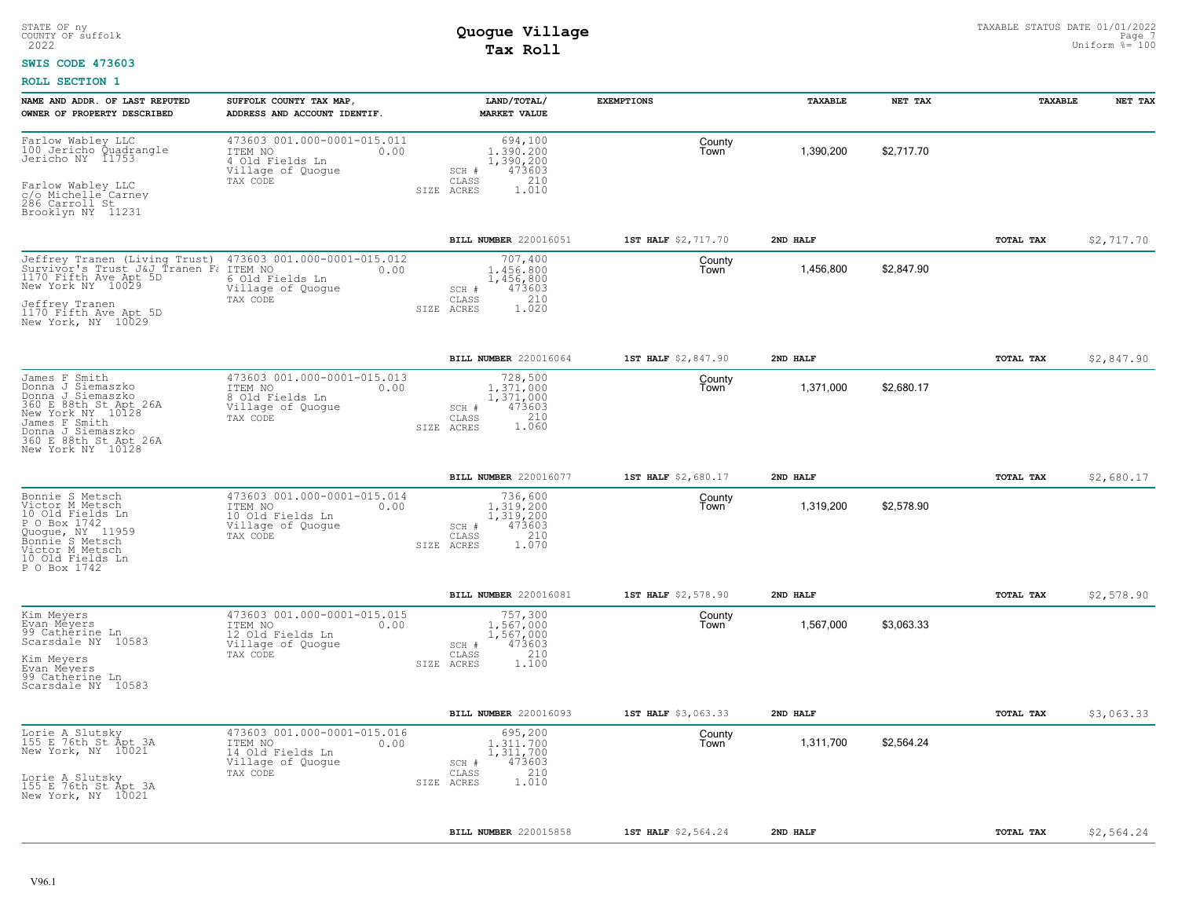### **SWIS CODE 473603**

| NAME AND ADDR. OF LAST REPUTED<br>OWNER OF PROPERTY DESCRIBED                                                                                                                             | SUFFOLK COUNTY TAX MAP,<br>ADDRESS AND ACCOUNT IDENTIF.                                                    | LAND/TOTAL/<br><b>MARKET VALUE</b>                                                          | <b>EXEMPTIONS</b>   | TAXABLE   | NET TAX    | TAXABLE   | NET TAX    |
|-------------------------------------------------------------------------------------------------------------------------------------------------------------------------------------------|------------------------------------------------------------------------------------------------------------|---------------------------------------------------------------------------------------------|---------------------|-----------|------------|-----------|------------|
| Farlow Wabley LLC<br>100 Jericho Quadrangle<br>Jericho NY 11753<br>Farlow Wabley LLC<br>c/o Michelle Carney<br>286 Carroll St<br>Brooklyn NY 11231                                        | 473603 001.000-0001-015.011<br>ITEM NO<br>0.00<br>4 Old Fields Ln<br>Village of Quogue<br>TAX CODE<br>SIZE | 694,100<br>1,390,200<br>1,390,200<br>473603<br>SCH #<br>210<br>CLASS<br>ACRES<br>1.010      | County<br>I own     | 1,390,200 | \$2,717.70 |           |            |
|                                                                                                                                                                                           |                                                                                                            | <b>BILL NUMBER 220016051</b>                                                                | 1ST HALF \$2,717.70 | 2ND HALF  |            | TOTAL TAX | \$2,717.70 |
| Jeffrey Tranen (Living Trust)<br>Survivor's Trust J&J Tranen Fa<br>1170 Fifth Ave Apt 5D<br>New York NY 10029<br>Jeffrey Tranen<br>1170 Fifth Ave Apt 5D<br>New York, NY 10029            | 473603 001.000-0001-015.012<br>ITEM NO<br>0.00<br>6 Old Fields Ln<br>Village of Quogue<br>TAX CODE         | 707,400<br>1,456,800<br>1,456,800<br>473603<br>SCH #<br>210<br>CLASS<br>1.020<br>SIZE ACRES | County<br>Town      | 1,456,800 | \$2,847.90 |           |            |
|                                                                                                                                                                                           |                                                                                                            | <b>BILL NUMBER 220016064</b>                                                                | 1ST HALF \$2,847.90 | 2ND HALF  |            | TOTAL TAX | \$2,847.90 |
| James F Smith<br>Donna J Siemaszko<br>Donna J Siemaszko<br>360 E 88th St Apt 26A<br>New York NY 10128<br>James F Smith<br>Donna J Siemaszko<br>360 E 88th St Apt 26A<br>New York NY 10128 | 473603 001.000-0001-015.013<br>ITEM NO<br>0.00<br>8 Old Fields Ln<br>Village of Quogue<br>TAX CODE         | 728,500<br>1,371,000<br>1,371,000<br>SCH #<br>473603<br>210<br>CLASS<br>1.060<br>SIZE ACRES | County<br>Town      | 1,371,000 | \$2,680.17 |           |            |
|                                                                                                                                                                                           |                                                                                                            | <b>BILL NUMBER 220016077</b>                                                                | 1ST HALF \$2,680.17 | 2ND HALF  |            | TOTAL TAX | \$2,680.17 |
| Bonnie S Metsch<br>Victor M Metsch<br>10 Old Fields Ln<br>P O Box 1742<br>Quoque, NY 11959<br>Bonnie S Metsch<br>Victor M Metsch<br>10 Old Fields Ln<br>P O Box 1742                      | 473603 001.000-0001-015.014<br>ITEM NO<br>0.00<br>10 Old Fields Ln<br>Village of Quogue<br>TAX CODE        | 736,600<br>1,319,200<br>1,319,200<br>473603<br>SCH #<br>210<br>CLASS<br>SIZE ACRES<br>1.070 | County<br>Town      | 1,319,200 | \$2,578.90 |           |            |
|                                                                                                                                                                                           |                                                                                                            | BILL NUMBER 220016081                                                                       | 1ST HALF \$2,578.90 | 2ND HALF  |            | TOTAL TAX | \$2,578.90 |
| Kim Meyers<br>Evan Meyers<br>99 Catherine Ln<br>Scarsdale NY 10583<br>Kim Meyers<br>Evan Meyers<br>99 Catherine Ln<br>Scarsdale NY 10583                                                  | 473603 001.000-0001-015.015<br>ITEM NO<br>0.00<br>12 Old Fields Ln<br>Village of Quogue<br>TAX CODE        | 757,300<br>1,567,000<br>1,567,000<br>473603<br>SCH #<br>210<br>CLASS<br>SIZE ACRES<br>1,100 | County<br>l own     | 1,567,000 | \$3,063.33 |           |            |
|                                                                                                                                                                                           |                                                                                                            | <b>BILL NUMBER 220016093</b>                                                                | 1ST HALF \$3,063.33 | 2ND HALF  |            | TOTAL TAX | \$3,063.33 |
| Lorie A Slutsky<br>155 E 76th St Apt 3A<br>New York, NY 10021<br>Lorie A Slutsky<br>155 E 76th St Apt 3A<br>New York, NY 10021                                                            | 473603 001.000-0001-015.016<br>ITEM NO<br>0.00<br>14 Old Fields Ln<br>Village of Quogue<br>TAX CODE        | 695,200<br>1,311,700<br>1,311,700<br>473603<br>SCH #<br>210<br>CLASS<br>1.010<br>SIZE ACRES | County<br>Town      | 1,311,700 | \$2,564.24 |           |            |
|                                                                                                                                                                                           |                                                                                                            |                                                                                             |                     |           |            |           |            |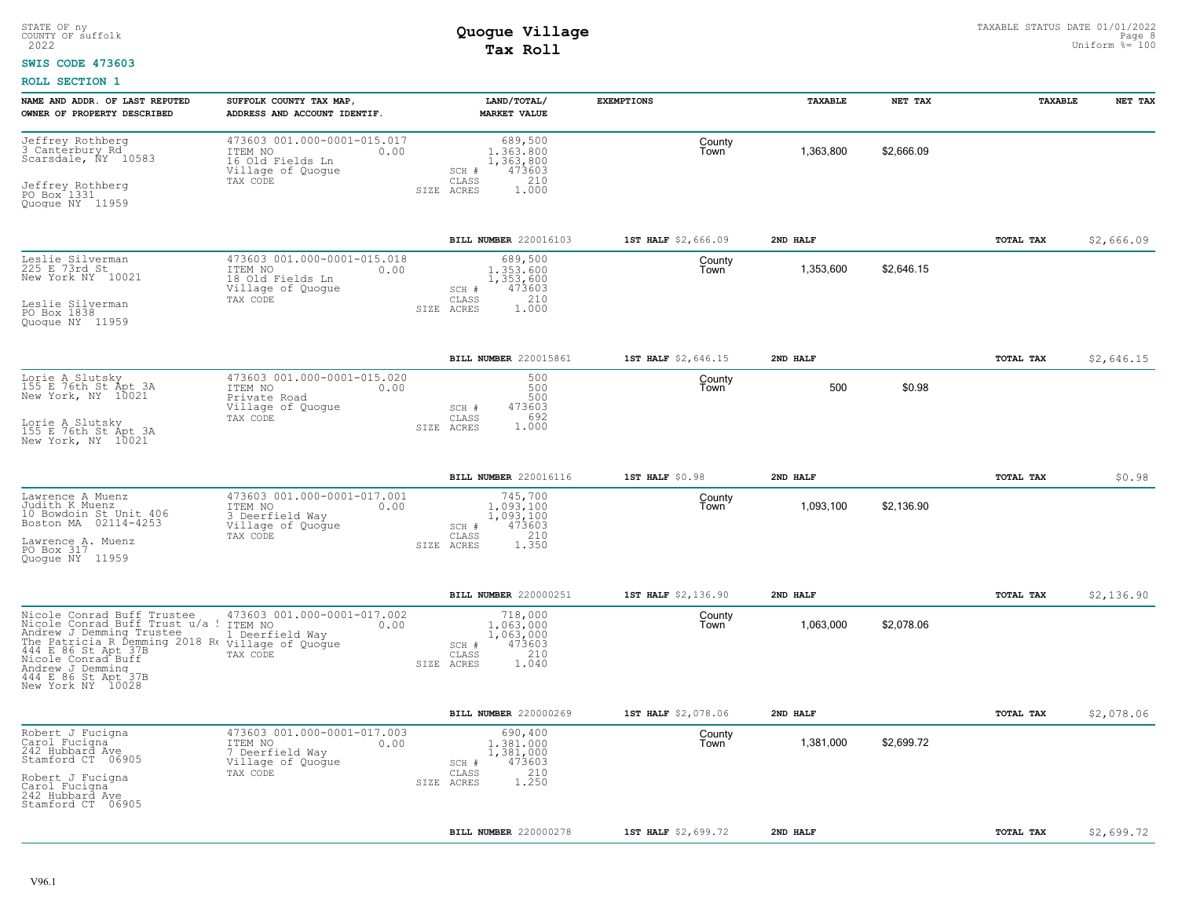### **SWIS CODE 473603**

| NAME AND ADDR. OF LAST REPUTED<br>OWNER OF PROPERTY DESCRIBED                                                                                                                                                                                                                  | SUFFOLK COUNTY TAX MAP,<br>ADDRESS AND ACCOUNT IDENTIF.                                             | LAND/TOTAL/<br><b>MARKET VALUE</b>                                                                     | <b>EXEMPTIONS</b>   | TAXABLE   | NET TAX    | <b>TAXABLE</b> | NET TAX    |
|--------------------------------------------------------------------------------------------------------------------------------------------------------------------------------------------------------------------------------------------------------------------------------|-----------------------------------------------------------------------------------------------------|--------------------------------------------------------------------------------------------------------|---------------------|-----------|------------|----------------|------------|
| Jeffrey Rothberg<br>3 Canterbury Rd<br>Scarsdale, ÑY 10583<br>Jeffrey Rothberg<br>PO Box 1331<br>Quogue NY 11959                                                                                                                                                               | 473603 001.000-0001-015.017<br>ITEM NO<br>0.00<br>16 Old Fields Ln<br>Village of Quogue<br>TAX CODE | 689,500<br>1,363,800<br>1, 363, 800<br>473603<br>SCH #<br>210<br>CLASS<br>1,000<br>SIZE ACRES          | County<br>Town      | 1,363,800 | \$2,666.09 |                |            |
|                                                                                                                                                                                                                                                                                |                                                                                                     | BILL NUMBER 220016103                                                                                  | 1ST HALF \$2,666.09 | 2ND HALF  |            | TOTAL TAX      | \$2,666.09 |
| Leslie Silverman<br>225 E 73rd St<br>New York NY 10021<br>Leslie Silverman<br>PO Box 1838<br>Quogue NY 11959                                                                                                                                                                   | 473603 001.000-0001-015.018<br>ITEM NO<br>0.00<br>18 Old Fields Ln<br>Village of Quogue<br>TAX CODE | 689,500<br>1,353,600<br>1,353,600<br>473603<br>SCH #<br>210<br>$\mathtt{CLASS}$<br>SIZE ACRES<br>1,000 | County<br>Town      | 1,353,600 | \$2,646.15 |                |            |
|                                                                                                                                                                                                                                                                                |                                                                                                     | <b>BILL NUMBER 220015861</b>                                                                           | 1ST HALF \$2,646.15 | 2ND HALF  |            | TOTAL TAX      | \$2,646.15 |
| Lorie A Slutsky<br>155 E 76th St Apt 3A<br>New York, NY 10021<br>Lorie A Slutsky<br>155 E 76th St Apt 3A<br>New York, NY 10021                                                                                                                                                 | 473603 001.000-0001-015.020<br>ITEM NO<br>0.00<br>Private Road<br>Village of Quogue<br>TAX CODE     | 500<br>500<br>500<br>473603<br>SCH #<br>692<br>CLASS<br>1,000<br>SIZE ACRES                            | County<br>Town      | 500       | \$0.98     |                |            |
|                                                                                                                                                                                                                                                                                |                                                                                                     | BILL NUMBER 220016116                                                                                  | 1ST HALF \$0.98     | 2ND HALF  |            | TOTAL TAX      | \$0.98     |
| Lawrence A Muenz<br>Judith K Muenz<br>10 Bowdoin St Unit 406<br>Boston MA 02114-4253<br>Lawrence A. Muenz<br>PO Box 317<br>Ouoque NY 11959                                                                                                                                     | 473603 001.000-0001-017.001<br>ITEM NO<br>0.00<br>3 Deerfield Way<br>Village of Quogue<br>TAX CODE  | 745,700<br>1.093.100<br>1,093,100<br>473603<br>SCH #<br>210<br>CLASS<br>1.350<br>SIZE ACRES            | County<br>Town      | 1,093,100 | \$2,136.90 |                |            |
|                                                                                                                                                                                                                                                                                |                                                                                                     | BILL NUMBER 220000251                                                                                  | 1ST HALF \$2,136.90 | 2ND HALF  |            | TOTAL TAX      | \$2,136.90 |
| Nicole Conrad Buff Trustee<br>Nicole Conrad Buff Trust u/a : ITEM NO<br>Andrew J Demming Trustee<br>The Patricia R Bemming 2018 R. Circular of Quogue<br>444 E 86 St Apt 37B<br>TAX CODE<br>Nicole Conrad Buff<br>Andrew J Demming<br>444 E 86 St Apt 37B<br>New York NY 10028 | 473603 001.000-0001-017.002<br>0.00<br>1 Deerfield Way<br>TAX CODE                                  | 718,000<br>1,063,000<br>1,063,000<br>473603<br>SCH #<br>210<br>CLASS<br>SIZE ACRES<br>1.040            | County<br>Town      | 1,063,000 | \$2,078.06 |                |            |
|                                                                                                                                                                                                                                                                                |                                                                                                     | <b>BILL NUMBER 220000269</b>                                                                           | 1ST HALF \$2,078.06 | 2ND HALF  |            | TOTAL TAX      | \$2,078.06 |
| Robert J Fucigna<br>Çarol Fucigna<br>242 Hubbard Ave<br>Stamford CT 06905<br>Robert J Fucigna<br>Carol Fucigna<br>242 Hubbard Ave<br>Stamford CT 06905                                                                                                                         | 473603 001.000-0001-017.003<br>ITEM NO<br>0.00<br>7 Deerfield Way<br>Village of Quogue<br>TAX CODE  | 690,400<br>1,381,000<br>1,381,000<br>473603<br>SCH #<br>210<br>CLASS<br>1.250<br>SIZE ACRES            | County<br>Town      | 1,381,000 | \$2,699.72 |                |            |
|                                                                                                                                                                                                                                                                                |                                                                                                     | <b>BILL NUMBER 220000278</b>                                                                           | 1ST HALF \$2,699.72 | 2ND HALF  |            | TOTAL TAX      | \$2,699.72 |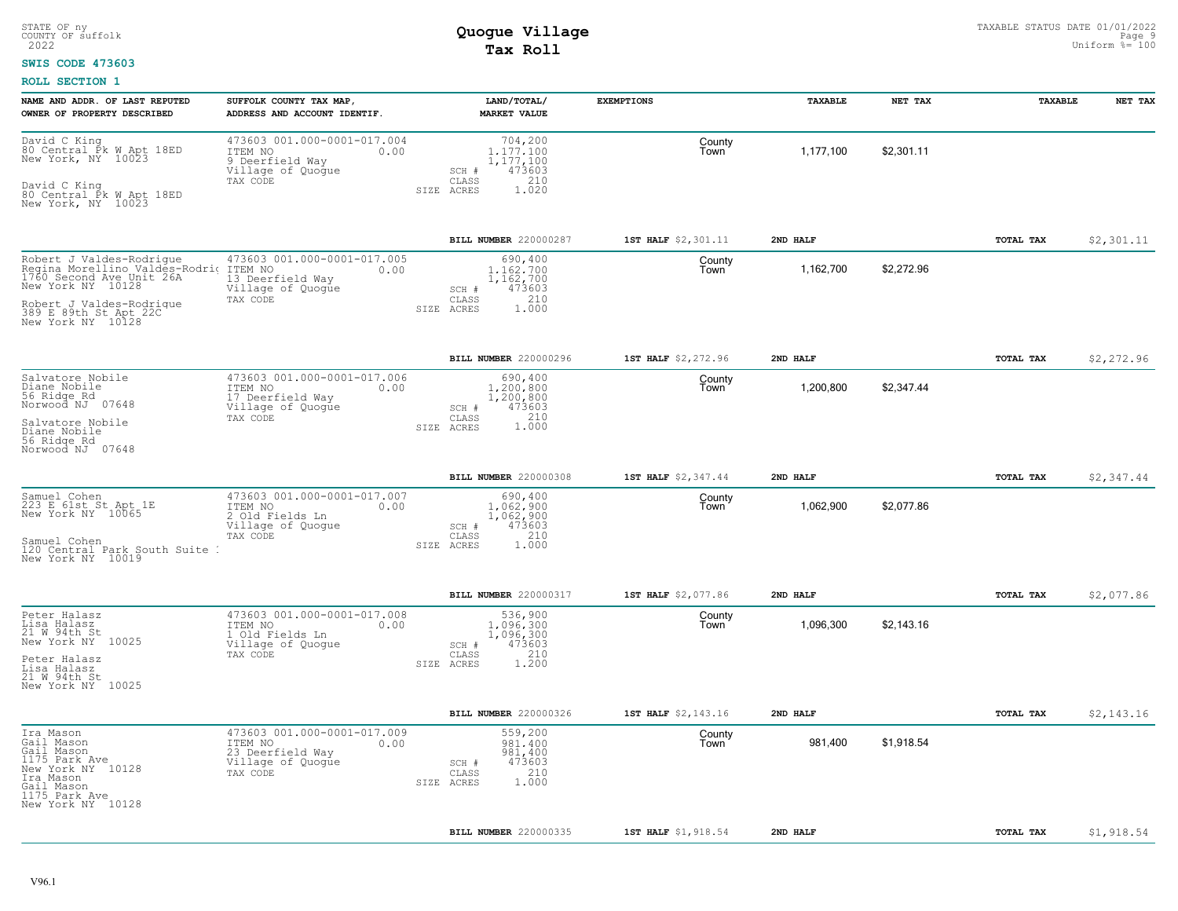### **SWIS CODE 473603**

| NAME AND ADDR. OF LAST REPUTED<br>OWNER OF PROPERTY DESCRIBED                                                                                                                         | SUFFOLK COUNTY TAX MAP<br>ADDRESS AND ACCOUNT IDENTIF.                                              | LAND/TOTAL/<br><b>MARKET VALUE</b>                                                             | <b>EXEMPTIONS</b>   | TAXABLE   | NET TAX    | TAXABLE   | NET TAX    |
|---------------------------------------------------------------------------------------------------------------------------------------------------------------------------------------|-----------------------------------------------------------------------------------------------------|------------------------------------------------------------------------------------------------|---------------------|-----------|------------|-----------|------------|
| David C King<br>80 Central Pk W Apt 18ED<br>New York, NY 10023<br>David C King<br>80 Central Pk W Apt 18ED<br>New York, NY 10023                                                      | 473603 001.000-0001-017.004<br>ITEM NO<br>0.00<br>9 Deerfield Way<br>Village of Quogue<br>TAX CODE  | 704,200<br>1.177.100<br>1,177,100<br>473603<br>SCH #<br>210<br>CLASS<br>1.020<br>SIZE ACRES    | County<br>Town      | 1,177,100 | \$2,301.11 |           |            |
|                                                                                                                                                                                       |                                                                                                     | BILL NUMBER 220000287                                                                          | 1ST HALF \$2,301.11 | 2ND HALF  |            | TOTAL TAX | \$2,301.11 |
| Robert J Valdes-Rodrique<br>Regina Morellino Valdes-Rodrio<br>1760 Second Ave Unit 26A<br>New York NY 10128<br>Robert J Valdes-Rodrigue<br>389 E 89th St Apt 22C<br>New York NY 10128 | 473603 001.000-0001-017.005<br>ITEM NO<br>0.00<br>13 Deerfield Way<br>Village of Quogue<br>TAX CODE | 690,400<br>1,162,700<br>1,162,700<br>473603<br>SCH #<br>210<br>CLASS<br>1.000<br>SIZE<br>ACRES | County<br>Town      | 1,162,700 | \$2,272.96 |           |            |
|                                                                                                                                                                                       |                                                                                                     | BILL NUMBER 220000296                                                                          | 1ST HALF \$2,272.96 | 2ND HALF  |            | TOTAL TAX | \$2,272.96 |
| Salvatore Nobile<br>Diane Nobile<br>56 Ridge Rd<br>Norwood NJ 07648<br>Salvatore Nobile<br>Diane Nobile<br>56 Ridge Rd                                                                | 473603 001.000-0001-017.006<br>ITEM NO<br>0.00<br>17 Deerfield Way<br>Village of Quogue<br>TAX CODE | 690,400<br>1,200,800<br>1,200,800<br>473603<br>SCH #<br>210<br>CLASS<br>1,000<br>SIZE ACRES    | County<br>Town      | 1,200,800 | \$2,347.44 |           |            |
| Norwood NJ 07648                                                                                                                                                                      |                                                                                                     |                                                                                                |                     |           |            |           |            |
|                                                                                                                                                                                       |                                                                                                     | <b>BILL NUMBER 220000308</b>                                                                   | 1ST HALF \$2,347.44 | 2ND HALF  |            | TOTAL TAX | \$2,347.44 |
| Samuel Cohen<br>223 E 61st St Apt 1E<br>New York NY 10065<br>Samuel Cohen<br>120 Central Park South Suite<br>New York NY 10019                                                        | 473603 001.000-0001-017.007<br>ITEM NO<br>0.00<br>2 Old Fields Ln<br>Village of Quoque<br>TAX CODE  | 690,400<br>1.062.900<br>1,062,900<br>473603<br>SCH #<br>210<br>CLASS<br>1.000<br>SIZE ACRES    | County<br>Town      | 1,062,900 | \$2,077.86 |           |            |
|                                                                                                                                                                                       |                                                                                                     | <b>BILL NUMBER 220000317</b>                                                                   | 1ST HALF \$2,077.86 | 2ND HALF  |            | TOTAL TAX | \$2,077.86 |
| Peter Halasz<br>Lisa Halasz<br>21 W 94th St<br>New York NY 10025<br>Peter Halasz<br>Lisa Halasz<br>21 W 94th St<br>New York NY 10025                                                  | 473603 001.000-0001-017.008<br>ITEM NO<br>0.00<br>1 Old Fields Ln<br>Village of Quogue<br>TAX CODE  | 536,900<br>1,096,300<br>1,096,300<br>473603<br>SCH #<br>210<br>CLASS<br>SIZE ACRES<br>1,200    | County<br>Town      | 1,096,300 | \$2,143.16 |           |            |
|                                                                                                                                                                                       |                                                                                                     | <b>BILL NUMBER 220000326</b>                                                                   | 1ST HALF \$2,143.16 | 2ND HALF  |            | TOTAL TAX | \$2,143.16 |
| Ira Mason<br>Gail Mason<br>Gail Mason<br>1175 Park Ave<br>New York NY 10128<br>Ira Mason<br>Gail Mason<br>1175 Park Ave<br>New York NY 10128                                          | 473603 001.000-0001-017.009<br>0.00<br>ITEM NO<br>23 Deerfield Way<br>Village of Quogue<br>TAX CODE | 559,200<br>981,400<br>981,400<br>473603<br>SCH #<br>210<br>CLASS<br>1,000<br>SIZE ACRES        | County<br>Town      | 981,400   | \$1,918.54 |           |            |
|                                                                                                                                                                                       |                                                                                                     | BILL NUMBER 220000335                                                                          | 1ST HALF \$1,918.54 | 2ND HALF  |            | TOTAL TAX | \$1,918.54 |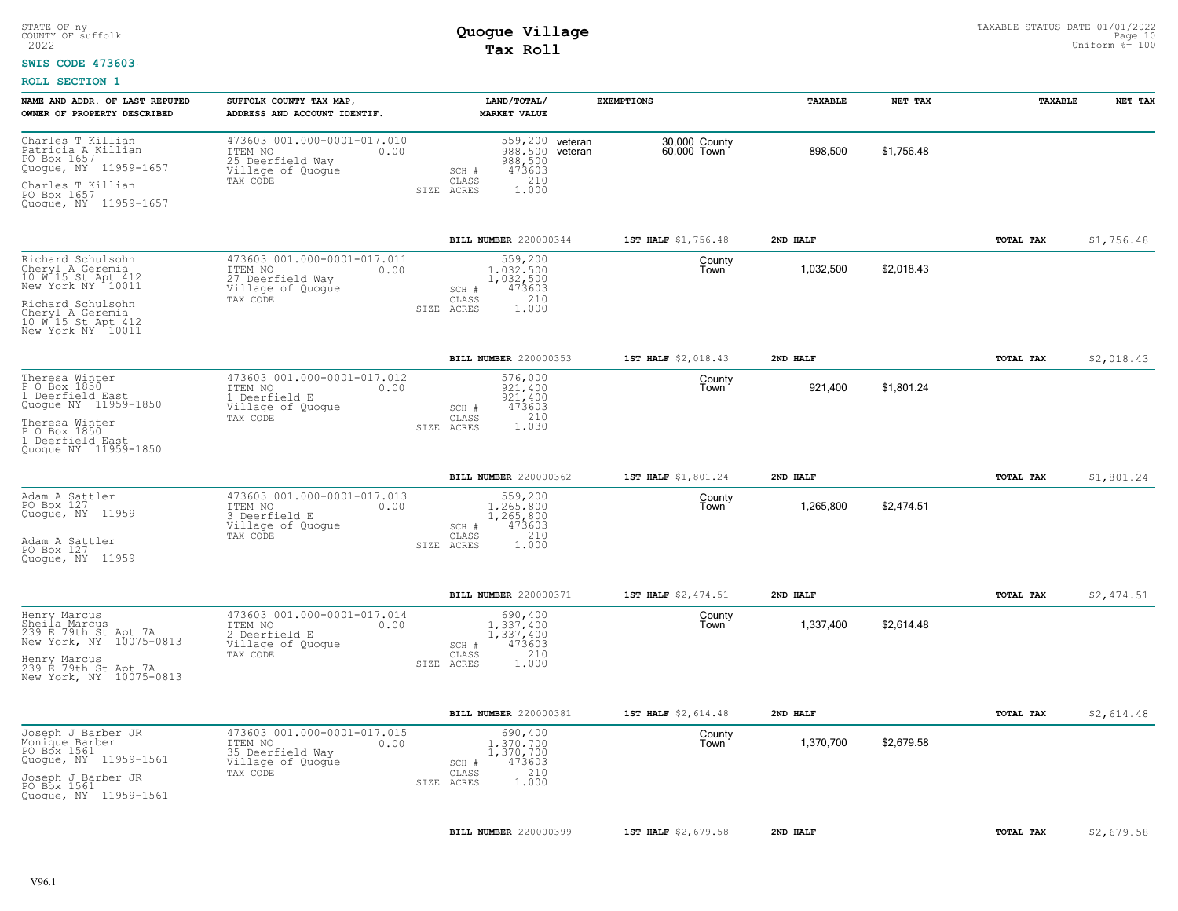### **SWIS CODE 473603**

| NAME AND ADDR. OF LAST REPUTED<br>OWNER OF PROPERTY DESCRIBED                                                                                                                            | SUFFOLK COUNTY TAX MAP,<br>ADDRESS AND ACCOUNT IDENTIF.                                             | LAND/TOTAL/<br><b>MARKET VALUE</b>                                                                      | <b>EXEMPTIONS</b>            | TAXABLE   | NET TAX    | TAXABLE          | NET TAX    |
|------------------------------------------------------------------------------------------------------------------------------------------------------------------------------------------|-----------------------------------------------------------------------------------------------------|---------------------------------------------------------------------------------------------------------|------------------------------|-----------|------------|------------------|------------|
| Charles T Killian<br>Patricia A Killian<br>PO Box 1657<br>Quogue, NY 11959-1657<br>Charles T Killian<br>PO Box 1657<br>Quogue, NY 11959-1657                                             | 473603 001.000-0001-017.010<br>ITEM NO<br>0.00<br>25 Deerfield Way<br>Village of Quogue<br>TAX CODE | 559,200 veteran<br>988,500 veteran<br>988,500<br>473603<br>SCH #<br>210<br>CLASS<br>1.000<br>SIZE ACRES | 30,000 County<br>60,000 Town | 898,500   | \$1,756.48 |                  |            |
|                                                                                                                                                                                          |                                                                                                     | BILL NUMBER 220000344                                                                                   | 1ST HALF \$1,756.48          | 2ND HALF  |            | TOTAL TAX        | \$1,756.48 |
| Richard Schulsohn<br>Cheryl A Geremia<br>10 W 15 St Apt 412<br>New York NY 10011<br>Richard Schulsohn<br>Cheryl A Geremia<br>10 W 15 St Apt 412<br>New York NY 10011                     | 473603 001.000-0001-017.011<br>ITEM NO<br>0.00<br>27 Deerfield Way<br>Village of Quoque<br>TAX CODE | 559,200<br>1,032,500<br>1,032,500<br>473603<br>SCH #<br>210<br>CLASS<br>1,000<br>SIZE ACRES             | County<br>Town               | 1,032,500 | \$2,018.43 |                  |            |
|                                                                                                                                                                                          |                                                                                                     | BILL NUMBER 220000353                                                                                   | 1ST HALF \$2,018.43          | 2ND HALF  |            | TOTAL TAX        | \$2,018.43 |
| Theresa Winter<br>P 0 Box 1850<br>1 Deerfield B<br>Deerfield East<br>Quogue NY 11959-1850<br>Theresa Winter<br>P O Box 1850<br>1 Deerfield Eas<br>Deerfield East<br>Quoque NY 11959-1850 | 473603 001.000-0001-017.012<br>ITEM NO<br>0.00<br>1 Deerfield E<br>Village of Quoque<br>TAX CODE    | 576,000<br>921.400<br>921,400<br>473603<br>SCH #<br>1.030<br>CLASS<br>SIZE ACRES                        | County<br>Town               | 921,400   | \$1,801.24 |                  |            |
|                                                                                                                                                                                          |                                                                                                     | BILL NUMBER 220000362                                                                                   | 1ST HALF \$1,801.24          | 2ND HALF  |            | <b>TOTAL TAX</b> | \$1,801.24 |
| Adam A Sattler<br>PO Box 127<br>Quogue, NY 11959<br>Adam A Sattler<br>PO Box 127<br>Quoque, NY 11959                                                                                     | 473603 001.000-0001-017.013<br>ITEM NO<br>0.00<br>3 Deerfield E<br>Village of Quogue<br>TAX CODE    | 559,200<br>1,265,800<br>1,265,800<br>473603<br>SCH #<br>210<br>CLASS<br>1.000<br>SIZE ACRES             | County<br>Town               | 1,265,800 | \$2,474.51 |                  |            |
|                                                                                                                                                                                          |                                                                                                     | BILL NUMBER 220000371                                                                                   | 1ST HALF \$2,474.51          | 2ND HALF  |            | <b>TOTAL TAX</b> | \$2,474.51 |
| Henry Marcus<br>Sheila Marcus<br>239 E 79th St Apt 7A<br>New York, NY 10075-0813<br>Henry Marcus<br>239 E 79th St Apt 7A<br>New York, NY 10075-0813                                      | 473603 001.000-0001-017.014<br>ITEM NO<br>0.00<br>2 Deerfield E<br>Village of Quogue<br>TAX CODE    | 690,400<br>1,337,400<br>1,337,400<br>473603<br>SCH #<br>210<br>CLASS<br>1.000<br>SIZE ACRES             | County<br>Town               | 1,337,400 | \$2,614.48 |                  |            |
|                                                                                                                                                                                          |                                                                                                     | BILL NUMBER 220000381                                                                                   | 1ST HALF \$2,614.48          | 2ND HALF  |            | TOTAL TAX        | \$2,614.48 |
| Joseph J Barber JR<br>Monique Barber<br>PO Box 1561<br>Quogue, NY 11959-1561<br>Joseph J_Barber JR<br>PO Box 1561<br>Quogue, NY 11959-1561                                               | 473603 001.000-0001-017.015<br>0.00<br>ITEM NO<br>35 Deerfield Way<br>Village of Quogue<br>TAX CODE | 690,400<br>1,370,700<br>1,370,700<br>473603<br>SCH #<br>210<br>CLASS<br>1.000<br>SIZE ACRES             | County<br>Town               | 1,370,700 | \$2,679.58 |                  |            |
|                                                                                                                                                                                          |                                                                                                     | <b>BILL NUMBER 220000399</b>                                                                            | 1ST HALF \$2,679.58          | 2ND HALF  |            | TOTAL TAX        | \$2,679.58 |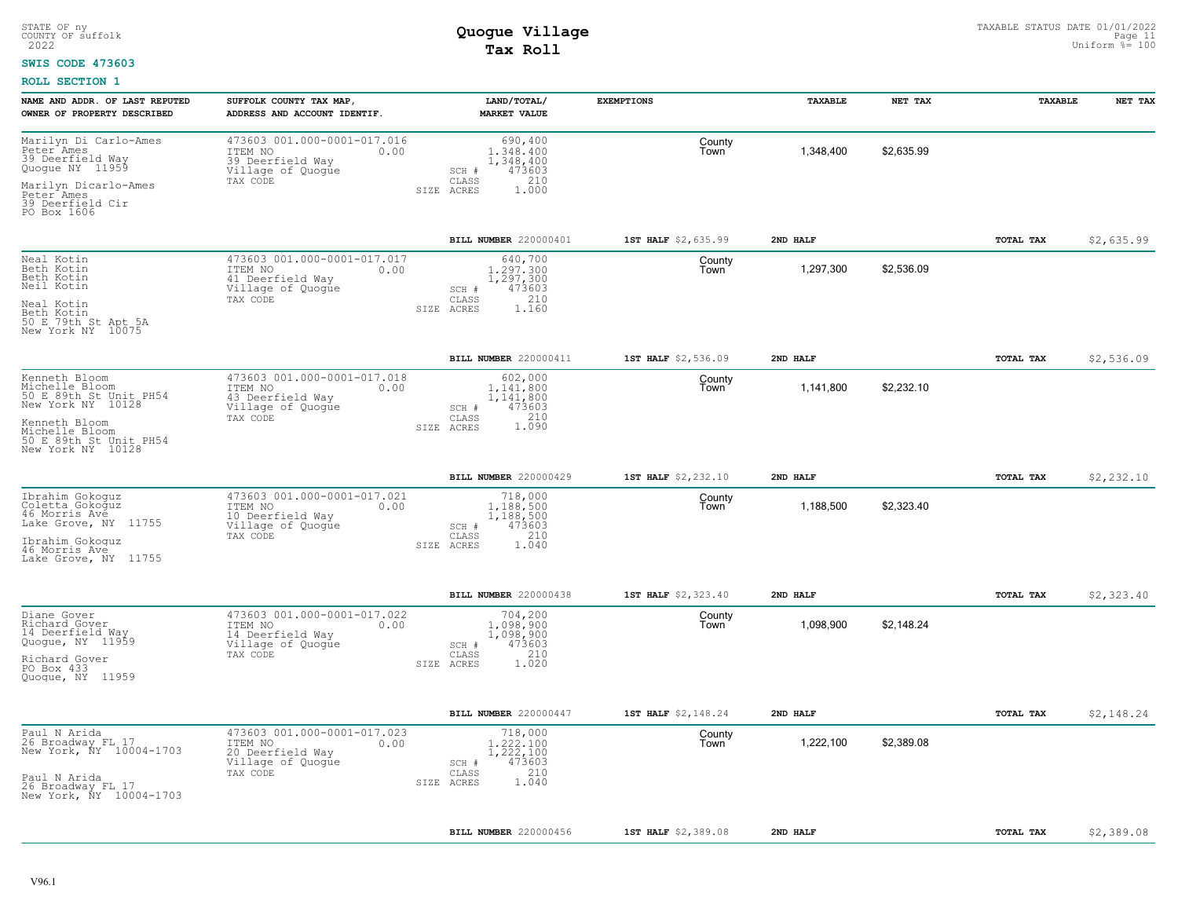### **SWIS CODE 473603**

| NAME AND ADDR. OF LAST REPUTED<br>OWNER OF PROPERTY DESCRIBED                           | SUFFOLK COUNTY TAX MAP,<br>ADDRESS AND ACCOUNT IDENTIF.                                             | LAND/TOTAL/<br><b>MARKET VALUE</b>                                                          | <b>EXEMPTIONS</b>   | TAXABLE   | NET TAX    | TAXABLE          | NET TAX    |
|-----------------------------------------------------------------------------------------|-----------------------------------------------------------------------------------------------------|---------------------------------------------------------------------------------------------|---------------------|-----------|------------|------------------|------------|
| Marilyn Di Carlo-Ames<br>Peter <sup>-</sup> Ames<br>39 Deerfield Way<br>Quoque NY 11959 | 473603 001.000-0001-017.016<br>ITEM NO<br>0.00<br>39 Deerfield Way<br>Village of Quogue<br>TAX CODE | 690,400<br>1,348,400<br>1,348,400<br>473603<br>SCH #<br>CLASS<br>210                        | County<br>Town      | 1,348,400 | \$2,635.99 |                  |            |
| Marilyn Dicarlo-Ames<br>Peter Ames<br>39 Deerfield Cir<br>PO Box 1606                   |                                                                                                     | SIZE ACRES<br>1,000                                                                         |                     |           |            |                  |            |
|                                                                                         |                                                                                                     | BILL NUMBER 220000401                                                                       | 1ST HALF \$2,635.99 | 2ND HALF  |            | TOTAL TAX        | \$2,635.99 |
| Neal Kotin<br>Beth Kotin<br>Beth Kotin<br>Neil Kotin                                    | 473603 001.000-0001-017.017<br>ITEM NO<br>0.00<br>41 Deerfield Way<br>Village of Quogue<br>TAX CODE | 640,700<br>1,297,300<br>1,297,300<br>473603<br>SCH #<br>210<br>CLASS                        | County<br>Town      | 1,297,300 | \$2,536.09 |                  |            |
| Neal Kotin<br>Beth Kotin<br>50 E 79th St Apt 5A<br>New York NY 10075                    |                                                                                                     | 1.160<br>SIZE ACRES                                                                         |                     |           |            |                  |            |
|                                                                                         |                                                                                                     | BILL NUMBER 220000411                                                                       | 1ST HALF \$2,536.09 | 2ND HALF  |            | TOTAL TAX        | \$2,536.09 |
| Kenneth Bloom<br>Michelle Bloom<br>50 E 89th St Unit PH54<br>New York NY 10128          | 473603 001.000-0001-017.018<br>0.00<br>ITEM NO<br>43 Deerfield Way<br>Village of Quogue             | 602,000<br>1.141.800<br>1,141,800<br>473603<br>SCH #                                        | County<br>Town      | 1,141,800 | \$2,232.10 |                  |            |
| Kenneth Bloom<br>Michelle Bloom<br>50 E.89th St Unit PH54<br>New York NY 10128          | TAX CODE                                                                                            | 1.210<br>CLASS<br>SIZE ACRES                                                                |                     |           |            |                  |            |
|                                                                                         |                                                                                                     | BILL NUMBER 220000429                                                                       | 1ST HALF \$2,232.10 | 2ND HALF  |            | TOTAL TAX        | \$2,232.10 |
| Ibrahim Gokoguz<br>Coletta Gokoguz<br>46 Morris Ave<br>Lake Grove, NY 11755             | 473603 001.000-0001-017.021<br>ITEM NO<br>0.00<br>10 Deerfield Way<br>Village of Quoque<br>TAX CODE | 718,000<br>1,188,500<br>1,188,500<br>473603<br>SCH #<br>210<br>CLASS                        | County<br>Town      | 1,188,500 | \$2,323.40 |                  |            |
| Ibrahim Gokoquz<br>46 Morris Ave<br>Lake Grove, NY 11755                                |                                                                                                     | SIZE ACRES<br>1.040                                                                         |                     |           |            |                  |            |
|                                                                                         |                                                                                                     | BILL NUMBER 220000438                                                                       | 1ST HALF \$2,323.40 | 2ND HALF  |            | TOTAL TAX        | \$2,323.40 |
| Diane Gover<br>Richard Gover<br>14 Deerfield Way<br>Quogue, NY 11959<br>Richard Gover   | 473603 001.000-0001-017.022<br>ITEM NO<br>0.00<br>14 Deerfield Way<br>Village of Quogue<br>TAX CODE | 704,200<br>1,098,900<br>1,098,900<br>473603<br>SCH #<br>210<br>CLASS<br>1.020<br>SIZE ACRES | County<br>Town      | 1,098,900 | \$2,148.24 |                  |            |
| PO Box 433<br>Quogue, NY 11959                                                          |                                                                                                     |                                                                                             |                     |           |            |                  |            |
|                                                                                         |                                                                                                     | BILL NUMBER 220000447                                                                       | 1ST HALF \$2,148.24 | 2ND HALF  |            | <b>TOTAL TAX</b> | \$2,148.24 |
| Paul N Arida<br>26 Broadway FL 17<br>New York, ÑY 10004-1703                            | 473603 001.000-0001-017.023<br>ITEM NO<br>0.00<br>20 Deerfield Way<br>Village of Quogue             | 718,000<br>1,222,100<br>1,222,100<br>473603<br>SCH #                                        | County<br>Town      | 1,222,100 | \$2,389.08 |                  |            |
| Paul N Arida<br>26 Broadway FL 17<br>New York, NY 10004-1703                            | TAX CODE                                                                                            | 210<br>CLASS<br>1.040<br>SIZE ACRES                                                         |                     |           |            |                  |            |
|                                                                                         |                                                                                                     | BILL NUMBER 220000456                                                                       | 1ST HALF \$2,389.08 | 2ND HALF  |            | TOTAL TAX        | \$2,389.08 |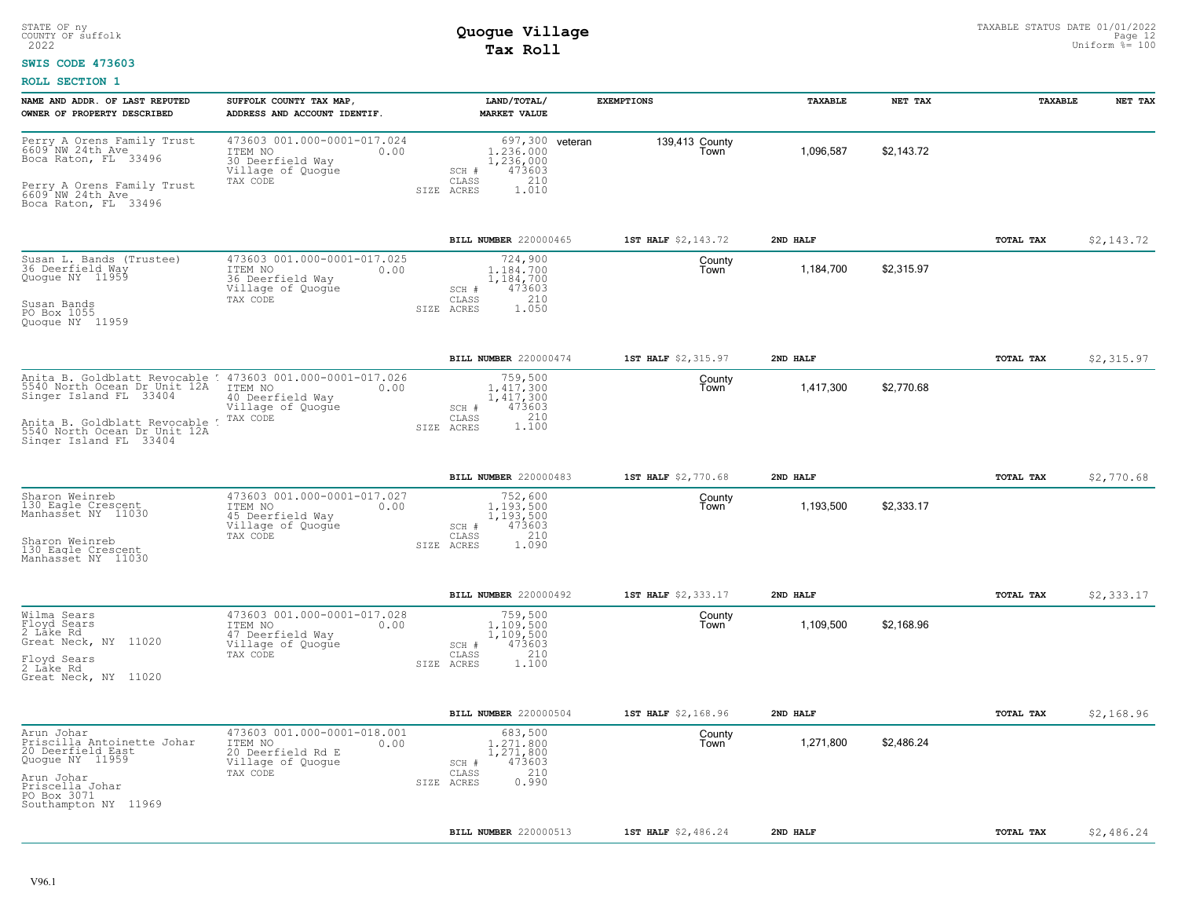### **SWIS CODE 473603**

| NAME AND ADDR. OF LAST REPUTED                                                                                       | SUFFOLK COUNTY TAX MAP,                                                                             | LAND/TOTAL/                                                                                 | <b>EXEMPTIONS</b>      | TAXABLE   | NET TAX    | TAXABLE   | NET TAX    |
|----------------------------------------------------------------------------------------------------------------------|-----------------------------------------------------------------------------------------------------|---------------------------------------------------------------------------------------------|------------------------|-----------|------------|-----------|------------|
| OWNER OF PROPERTY DESCRIBED                                                                                          | ADDRESS AND ACCOUNT IDENTIF                                                                         | <b>MARKET VALUE</b>                                                                         |                        |           |            |           |            |
| Perry A Orens Family Trust<br>6609 <sup>*</sup> NW 24th Ave<br>Boca Raton, FL 33496                                  | 473603 001.000-0001-017.024<br>ITEM NO<br>0.00<br>30 Deerfield Way<br>Village of Quogue             | 697,300 veteran<br>1,236,000<br>1,236,000<br>473603<br>SCH #                                | 139,413 County<br>Town | 1,096,587 | \$2,143.72 |           |            |
| Perry A Orens Family Trust<br>6609 NW 24th_Ave<br>Boca Raton, FL 33496                                               | TAX CODE                                                                                            | 210<br>CLASS<br>1.010<br>SIZE ACRES                                                         |                        |           |            |           |            |
|                                                                                                                      |                                                                                                     | BILL NUMBER 220000465                                                                       | 1ST HALF \$2,143.72    | 2ND HALF  |            | TOTAL TAX | \$2,143.72 |
| Susan L. Bands (Trustee)<br>36 Deerfield Way<br>Quogue NY 11959                                                      | 473603 001.000-0001-017.025<br>ITEM NO<br>0.00<br>36 Deerfield Way<br>Village of Quoque<br>TAX CODE | 724,900<br>1,184,700<br>1,184,700<br>473603<br>SCH #<br>210<br>CLASS                        | County<br>Town         | 1,184,700 | \$2,315.97 |           |            |
| Susan Bands<br>PO Box 1055<br>Quoque NY 11959                                                                        |                                                                                                     | 1.050<br>ACRES<br>SIZE                                                                      |                        |           |            |           |            |
|                                                                                                                      |                                                                                                     | BILL NUMBER 220000474                                                                       | 1ST HALF \$2,315.97    | 2ND HALF  |            | TOTAL TAX | \$2,315.97 |
| Anita B. Goldblatt Revocable : 473603 001.000-0001-017.026<br>5540 North Ocean Dr Unit 12A<br>Singer Island FL 33404 | ITEM NO<br>0.00<br>40 Deerfield Way<br>Village of Quogue                                            | 759,500<br>1,417,300<br>1,417,300<br>SCH #<br>473603                                        | County<br>Town         | 1,417,300 | \$2,770.68 |           |            |
| Anita B. Goldblatt Revocable !<br>5540 North Ocean Dr Unit 12A<br>Singer Island FL 33404                             | TAX CODE                                                                                            | 210<br>CLASS<br>1.100<br>SIZE ACRES                                                         |                        |           |            |           |            |
|                                                                                                                      |                                                                                                     | BILL NUMBER 220000483                                                                       | 1ST HALF \$2,770.68    | 2ND HALF  |            | TOTAL TAX | \$2,770.68 |
| Sharon Weinreb<br>130 Eagle Crescent<br>Manhasset NY 11030<br>Sharon Weinreb                                         | 473603 001.000-0001-017.027<br>ITEM NO<br>0.00<br>45 Deerfield Way<br>Village of Quogue<br>TAX CODE | 752,600<br>1.193.500<br>1,193,500<br>473603<br>SCH #<br>210<br>CLASS<br>1,090<br>SIZE ACRES | County<br>Town         | 1,193,500 | \$2,333.17 |           |            |
| 130 Eagle Crescent<br>Manhasset NY 11030                                                                             |                                                                                                     |                                                                                             |                        |           |            |           |            |
|                                                                                                                      |                                                                                                     | BILL NUMBER 220000492                                                                       | 1ST HALF \$2,333.17    | 2ND HALF  |            | TOTAL TAX | \$2,333.17 |
| Wilma Sears<br>Floyd Sears<br>2 Lake Rd<br>Great Neck, NY 11020                                                      | 473603 001.000-0001-017.028<br>ITEM NO<br>0.00<br>47 Deerfield Way<br>Village of Quogue<br>TAX CODE | 759,500<br>1,109,500<br>1,109,500<br>473603<br>SCH #<br>210<br>CLASS                        | County<br>Town         | 1,109,500 | \$2,168.96 |           |            |
| Floyd Sears<br>2 Lake Rd<br>Great Neck, NY 11020                                                                     |                                                                                                     | SIZE ACRES<br>1,100                                                                         |                        |           |            |           |            |
|                                                                                                                      |                                                                                                     | BILL NUMBER 220000504                                                                       | 1ST HALF \$2,168.96    | 2ND HALF  |            | TOTAL TAX | \$2,168.96 |
| Arun Johar<br>Priscilla Antoinette Johar<br>20 Deerfield East<br>Quogue NY 11959                                     | 473603 001.000-0001-018.001<br>ITEM NO<br>0.00<br>20 Deerfield Rd E<br>Village of Quogue            | 683,500<br>1,271,800<br>1,271,800<br>473603<br>SCH #                                        | County<br>Town         | 1,271,800 | \$2,486.24 |           |            |
| Arun Johar<br>Priscella Johar<br>PO Box 3071<br>Southampton NY 11969                                                 | TAX CODE                                                                                            | 210<br>CLASS<br>0.990<br>SIZE ACRES                                                         |                        |           |            |           |            |
|                                                                                                                      |                                                                                                     | BILL NUMBER 220000513                                                                       | 1ST HALF \$2,486.24    | 2ND HALF  |            | TOTAL TAX | \$2,486.24 |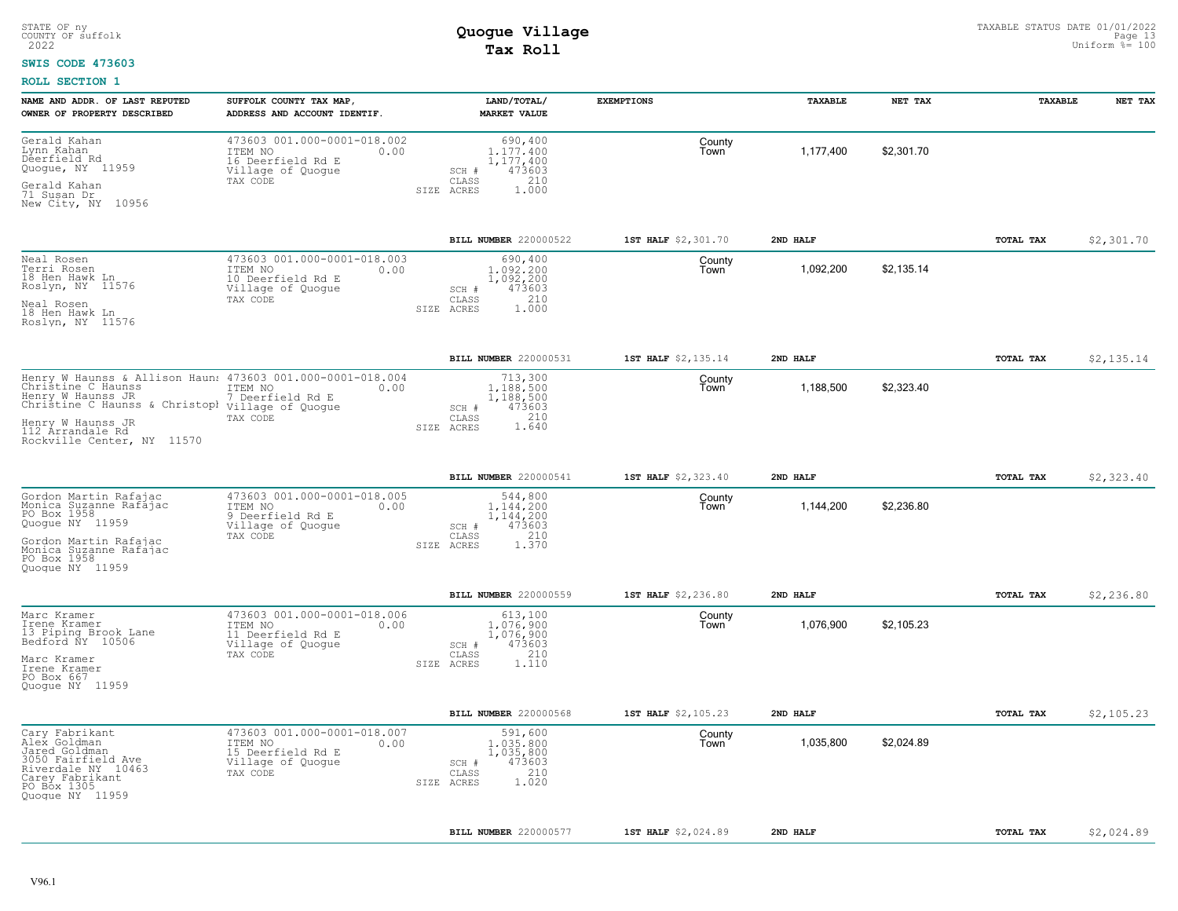#### **SWIS CODE 473603**

| NAME AND ADDR. OF LAST REPUTED<br>OWNER OF PROPERTY DESCRIBED                                                                                                                                                                    | SUFFOLK COUNTY TAX MAP,<br>ADDRESS AND ACCOUNT IDENTIF.                                              | LAND/TOTAL/<br><b>MARKET VALUE</b>                                                             | <b>EXEMPTIONS</b>   | TAXABLE   | NET TAX    | TAXABLE   | NET TAX    |
|----------------------------------------------------------------------------------------------------------------------------------------------------------------------------------------------------------------------------------|------------------------------------------------------------------------------------------------------|------------------------------------------------------------------------------------------------|---------------------|-----------|------------|-----------|------------|
| Gerald Kahan<br>Lynn Kahan<br>Deerfield Rd<br>Quoque, NY 11959<br>Gerald Kahan<br>71 Susan Dr<br>New City, NY 10956                                                                                                              | 473603 001.000-0001-018.002<br>ITEM NO<br>0.00<br>16 Deerfield Rd E<br>Village of Quogue<br>TAX CODE | 690,400<br>1.177.400<br>1, 177, 400<br>473603<br>SCH #<br>210<br>CLASS<br>SIZE ACRES<br>1,000  | County<br>Town      | 1,177,400 | \$2,301.70 |           |            |
|                                                                                                                                                                                                                                  |                                                                                                      | BILL NUMBER 220000522                                                                          | 1ST HALF \$2,301.70 | 2ND HALF  |            | TOTAL TAX | \$2,301.70 |
| Neal Rosen<br>Terri Rosen<br>18 Hen Hawk Ln<br>Roslyn, NY 11576<br>Neal Rosen<br>18 Hen Hawk Ln<br>Roslyn, NY 11576                                                                                                              | 473603 001.000-0001-018.003<br>ITEM NO<br>0.00<br>10 Deerfield Rd E<br>Village of Quogue<br>TAX CODE | 690,400<br>1,092,200<br>1,092,200<br>473603<br>SCH #<br>210<br>CLASS<br>SIZE ACRES<br>1,000    | County<br>Town      | 1,092,200 | \$2,135.14 |           |            |
|                                                                                                                                                                                                                                  |                                                                                                      | BILL NUMBER 220000531                                                                          | 1ST HALF \$2,135.14 | 2ND HALF  |            | TOTAL TAX | \$2,135.14 |
| Henry W Haunss & Allison Haun: 473603 001.000-0001-018.004<br>Christine C Haunss<br>Henry W Haunss JR<br>Christine C Haunss & Christopl village of Quogue<br>Henry W Haunss JR<br>112 Arrandale Rd<br>Rockville Center, NY 11570 | ITEM NO<br>0.00<br>7 Deerfield Rd E<br>TAX CODE                                                      | 713,300<br>1.188.500<br>1,188,500<br>473603<br>SCH #<br>210<br>CLASS<br>1.640<br>SIZE ACRES    | County<br>Town      | 1,188,500 | \$2,323.40 |           |            |
|                                                                                                                                                                                                                                  |                                                                                                      | BILL NUMBER 220000541                                                                          | 1ST HALF \$2,323.40 | 2ND HALF  |            | TOTAL TAX | \$2,323.40 |
| Gordon Martin Rafajac<br>Monica Suzanne Rafajac<br>PO Box 1958<br>Quogue NY 11959<br>Gordon Martin Rafajac<br>Monica Suzanne Rafajac<br>PO Box 1958<br>Ouoque NY 11959                                                           | 473603 001.000-0001-018.005<br>ITEM NO<br>0.00<br>9 Deerfield Rd E<br>Village of Quogue<br>TAX CODE  | 544,800<br>1,144,200<br>1,144,200<br>473603<br>SCH #<br>210<br>CLASS<br>1.370<br>SIZE ACRES    | County<br>Town      | 1,144,200 | \$2,236.80 |           |            |
|                                                                                                                                                                                                                                  |                                                                                                      | BILL NUMBER 220000559                                                                          | 1ST HALF \$2,236.80 | 2ND HALF  |            | TOTAL TAX | \$2,236.80 |
| Marc Kramer<br>Irene Kramer<br>13 Piping Brook Lane<br>Bedford NY 10506<br>Marc Kramer<br>Irene Kramer<br>PO Box 667<br>Quoque NY 11959                                                                                          | 473603 001.000-0001-018.006<br>ITEM NO<br>0.00<br>11 Deerfield Rd E<br>Village of Quogue<br>TAX CODE | 613,100<br>1,076,900<br>1,076,900<br>473603<br>SCH #<br>210<br>CLASS<br>SIZE ACRES<br>1.110    | County<br>Town      | 1,076,900 | \$2,105.23 |           |            |
|                                                                                                                                                                                                                                  |                                                                                                      | BILL NUMBER 220000568                                                                          | 1ST HALF \$2,105.23 | 2ND HALF  |            | TOTAL TAX | \$2,105.23 |
| Cary Fabrikant<br>Alex Goldman<br>Jared Goldman<br>3050 Fairfield Ave<br>Riverdale NY 10463<br>Carey Fabrikant<br>Quogue NY 11959                                                                                                | 473603 001.000-0001-018.007<br>ITEM NO<br>0.00<br>15 Deerfield Rd E<br>Village of Quogue<br>TAX CODE | 591,600<br>1,035,800<br>1,035,800<br>473603<br>SCH #<br>210<br>CLASS<br>1.020<br>ACRES<br>SIZE | County<br>Town      | 1,035,800 | \$2,024.89 |           |            |
|                                                                                                                                                                                                                                  |                                                                                                      | BILL NUMBER 220000577                                                                          | 1ST HALF \$2,024.89 | 2ND HALF  |            | TOTAL TAX | \$2,024.89 |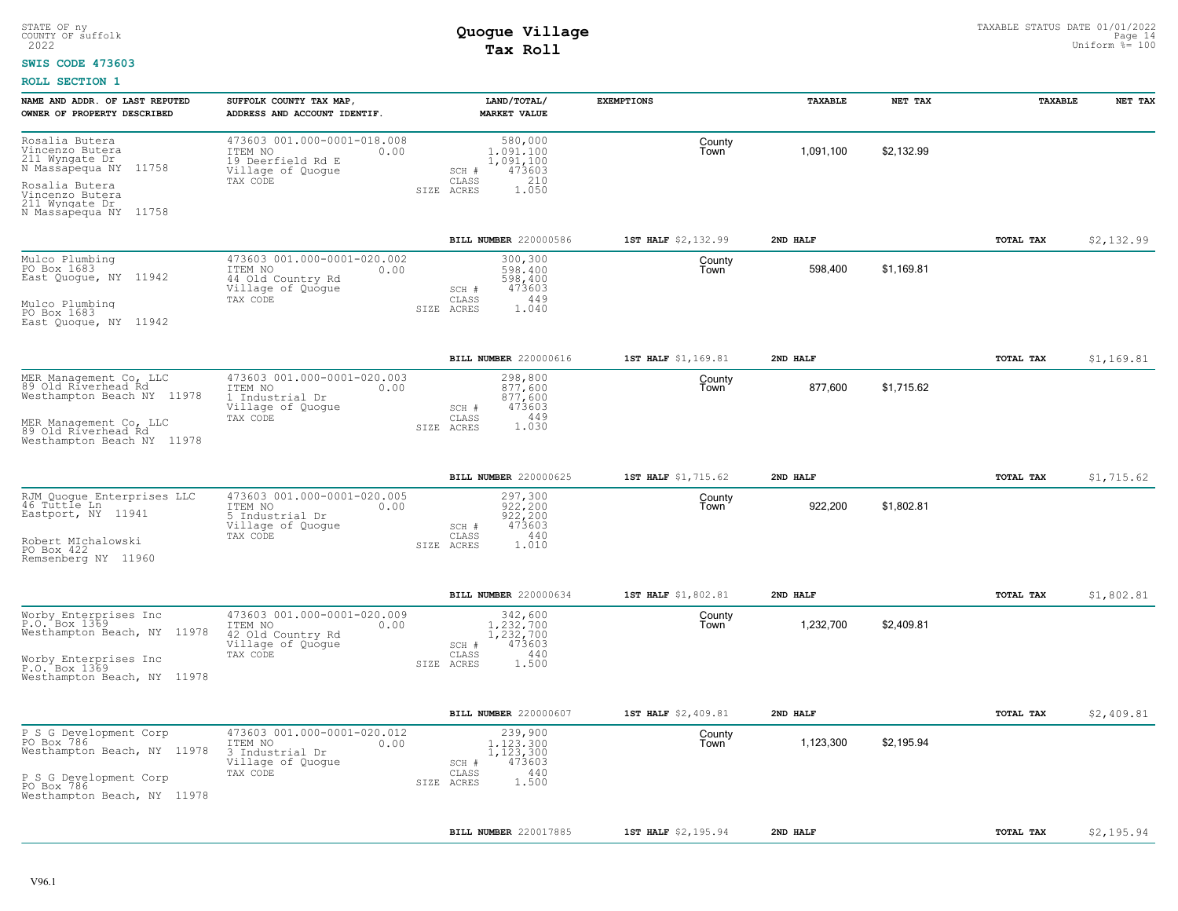#### **SWIS CODE 473603**

| NAME AND ADDR. OF LAST REPUTED                                                                                                 | SUFFOLK COUNTY TAX MAP                                                                               | LAND/TOTAL/                                                                                 | <b>EXEMPTIONS</b>   | TAXABLE   | NET TAX    | TAXABLE          | NET TAX    |
|--------------------------------------------------------------------------------------------------------------------------------|------------------------------------------------------------------------------------------------------|---------------------------------------------------------------------------------------------|---------------------|-----------|------------|------------------|------------|
| OWNER OF PROPERTY DESCRIBED                                                                                                    | ADDRESS AND ACCOUNT IDENTIF.                                                                         | <b>MARKET VALUE</b>                                                                         |                     |           |            |                  |            |
| Rosalia Butera<br>Vincenzo Butera<br>211 Wyngate Dr.<br>N Massapequa NY<br>11758                                               | 473603 001.000-0001-018.008<br>ITEM NO<br>0.00<br>19 Deerfield Rd E<br>Village of Quogue             | 580,000<br>1,091,100<br>1,091,100<br>473603<br>SCH #                                        | County<br>Town      | 1,091,100 | \$2,132.99 |                  |            |
| Rosalia Butera<br>Vincenzo Butera<br>211 Wyngate Dr<br>N Massapequa NY 11758                                                   | TAX CODE                                                                                             | 210<br>CLASS<br>SIZE ACRES<br>1.050                                                         |                     |           |            |                  |            |
|                                                                                                                                |                                                                                                      | BILL NUMBER 220000586                                                                       | 1ST HALF \$2,132.99 | 2ND HALF  |            | TOTAL TAX        | \$2,132.99 |
| Mulco Plumbing<br>PO Box 1683<br>East Quogue, NY 11942<br>Mulco Plumbing<br>PO Box 1683<br>East Quoque, NY 11942               | 473603 001.000-0001-020.002<br>ITEM NO<br>0.00<br>44 Old Country Rd<br>Village of Quogue<br>TAX CODE | 300,300<br>598,400<br>598,400<br>473603<br>SCH #<br>449<br>CLASS<br>1.040<br>SIZE ACRES     | County<br>Town      | 598,400   | \$1,169.81 |                  |            |
|                                                                                                                                |                                                                                                      | BILL NUMBER 220000616                                                                       | 1ST HALF \$1,169.81 | 2ND HALF  |            | TOTAL TAX        | \$1,169.81 |
| MER Management Co, LLC<br>89 Old Riverhead Rd<br>Westhampton Beach NY 11978                                                    | 473603 001.000-0001-020.003<br>ITEM NO<br>0.00<br>1 Industrial Dr<br>Village of Quogue               | 298,800<br>877,600<br>877,600<br>473603<br>SCH #                                            | County<br>Town      | 877,600   | \$1,715.62 |                  |            |
| MER Management Co, LLC<br>89 Old Riverhead Rd<br>Westhampton Beach NY 11978                                                    | TAX CODE                                                                                             | CLASS<br>449<br>1.030<br>SIZE ACRES                                                         |                     |           |            |                  |            |
|                                                                                                                                |                                                                                                      | BILL NUMBER 220000625                                                                       | 1ST HALF \$1,715.62 | 2ND HALF  |            | TOTAL TAX        | \$1,715.62 |
| RJM Quoque Enterprises LLC<br>46 Tuttle Ln<br>11941<br>Eastport, NY<br>Robert MIchalowski<br>PO Box 422<br>Remsenberg NY 11960 | 473603 001.000-0001-020.005<br>ITEM NO<br>0.00<br>5 Industrial Dr<br>Village of Quogue<br>TAX CODE   | 297,300<br>$922,200$<br>$922,200$<br>473603<br>SCH #<br>CLASS<br>440<br>SIZE ACRES<br>1.010 | County<br>Town      | 922,200   | \$1,802.81 |                  |            |
|                                                                                                                                |                                                                                                      | <b>BILL NUMBER 220000634</b>                                                                | 1ST HALF \$1,802.81 | 2ND HALF  |            | TOTAL TAX        | \$1,802.81 |
| Worby Enterprises Inc<br>P.O. Box 1369<br>Westhampton Beach, NY 11978                                                          | 473603 001.000-0001-020.009<br>ITEM NO<br>0.00<br>42 Old Country Rd<br>Village of Quogue<br>TAX CODE | 342,600<br>1.232.700<br>1,232,700<br>473603<br>SCH #<br>440<br>CLASS                        | County<br>Town      | 1,232,700 | \$2,409.81 |                  |            |
| Worby Enterprises Inc<br>P.O. Box 1369<br>Westhampton Beach, NY 11978                                                          |                                                                                                      | SIZE ACRES<br>1,500                                                                         |                     |           |            |                  |            |
|                                                                                                                                |                                                                                                      | BILL NUMBER 220000607                                                                       | 1ST HALF \$2,409.81 | 2ND HALF  |            | TOTAL TAX        | \$2,409.81 |
| P S G Development Corp<br>PO Box 786<br>Westhampton Beach, NY 11978                                                            | 473603 001.000-0001-020.012<br>ITEM NO<br>0.00<br>3 Industrial Dr<br>Village of Quogue<br>TAX CODE   | 239,900<br>1.123.300<br>1, 123, 300<br>473603<br>SCH #<br>440<br>CLASS                      | County<br>Town      | 1,123,300 | \$2,195.94 |                  |            |
| P S G Development Corp<br>PO Box 786<br>Westhampton Beach, NY 11978                                                            |                                                                                                      | 1,500<br>SIZE ACRES                                                                         |                     |           |            |                  |            |
|                                                                                                                                |                                                                                                      | BILL NUMBER 220017885                                                                       | 1ST HALF \$2,195.94 | 2ND HALF  |            | <b>TOTAL TAX</b> | \$2,195.94 |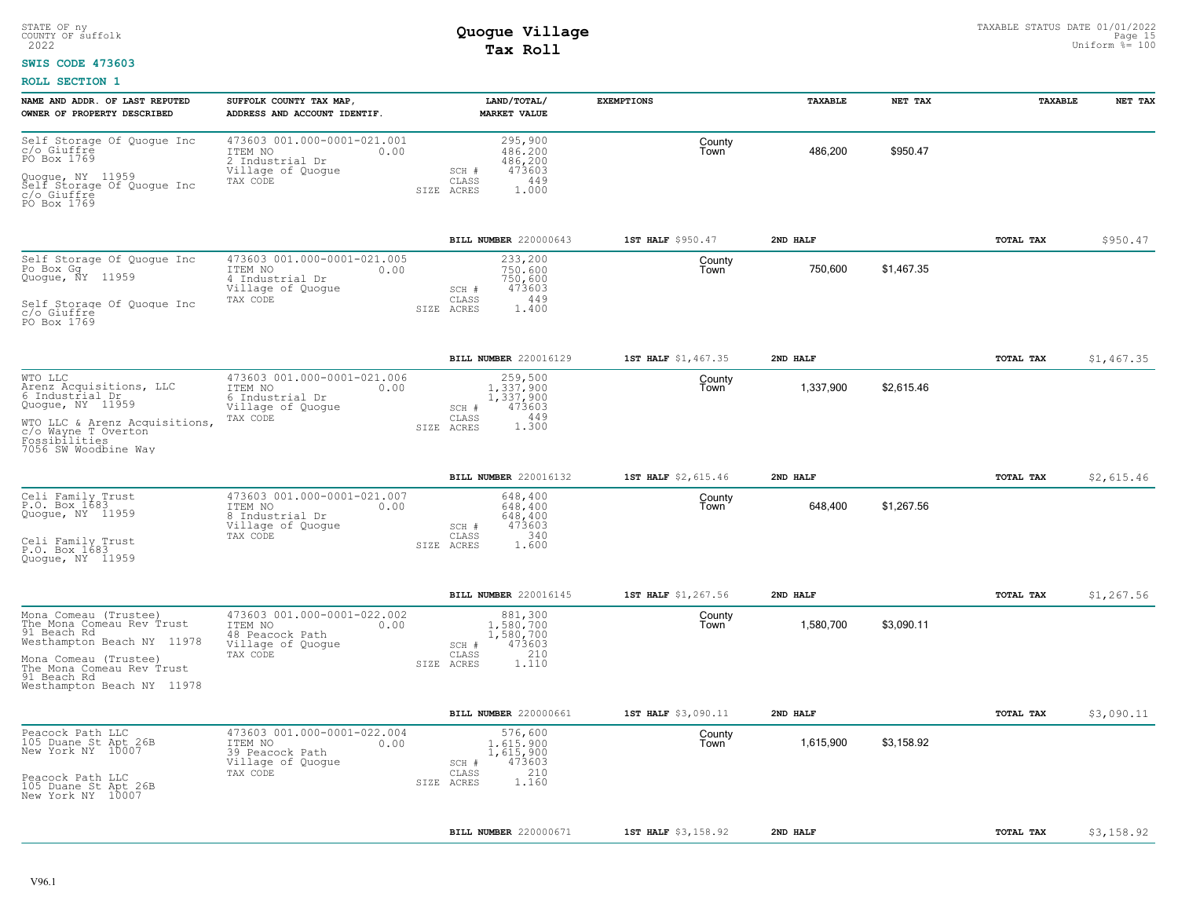### **SWIS CODE 473603**

| NAME AND ADDR. OF LAST REPUTED<br>OWNER OF PROPERTY DESCRIBED                                                                                                                                        | SUFFOLK COUNTY TAX MAP,<br>ADDRESS AND ACCOUNT IDENTIF.                                            | LAND/TOTAL/<br><b>MARKET VALUE</b>                                                          | <b>EXEMPTIONS</b>   | TAXABLE   | NET TAX    | TAXABLE   | NET TAX    |
|------------------------------------------------------------------------------------------------------------------------------------------------------------------------------------------------------|----------------------------------------------------------------------------------------------------|---------------------------------------------------------------------------------------------|---------------------|-----------|------------|-----------|------------|
| Self Storage Of Quogue Inc<br>c/o Giuffré<br>PO Box 1769<br>Quoque, NY 11959<br>Self Storage Of Quoque Inc<br>c/o Giuffre<br>PO Box 1769                                                             | 473603 001.000-0001-021.001<br>ITEM NO<br>0.00<br>2 Industrial Dr<br>Village of Quogue<br>TAX CODE | 295,900<br>486,200<br>486,200<br>473603<br>SCH #<br>449<br>CLASS<br>SIZE ACRES<br>1,000     | County<br>Town      | 486,200   | \$950.47   |           |            |
|                                                                                                                                                                                                      |                                                                                                    | BILL NUMBER 220000643                                                                       | 1ST HALF \$950.47   | 2ND HALF  |            | TOTAL TAX | \$950.47   |
| Self Storage Of Quogue Inc<br>Po Box Gg<br>Quogue, NY 11959<br>Self Storage Of Quoque Inc<br>c/o Giuffre<br>PO Box 1769                                                                              | 473603 001.000-0001-021.005<br>ITEM NO<br>0.00<br>4 Industrial Dr<br>Village of Quogue<br>TAX CODE | 233,200<br>750,600<br>750,600<br>473603<br>SCH #<br>449<br>CLASS<br>1,400<br>SIZE ACRES     | County<br>Town      | 750,600   | \$1,467.35 |           |            |
|                                                                                                                                                                                                      |                                                                                                    | BILL NUMBER 220016129                                                                       | 1ST HALF \$1,467.35 | 2ND HALF  |            | TOTAL TAX | \$1,467.35 |
| WTO LLC<br>Arenz Acquisitions, LLC<br>6 Industrial Dr<br>Quogue, $NY$ $1\overline{1}\overline{9}59$<br>WTO LLC & Arenz Acquisitions,<br>c/o Wayne T Overton<br>Fossibilities<br>7056 SW Woodbine Way | 473603 001.000-0001-021.006<br>ITEM NO<br>0.00<br>6 Industrial Dr<br>Village of Quogue<br>TAX CODE | 259,500<br>1,337,900<br>1,337,900<br>473603<br>SCH #<br>449<br>CLASS<br>1.300<br>SIZE ACRES | County<br>Town      | 1,337,900 | \$2,615.46 |           |            |
|                                                                                                                                                                                                      |                                                                                                    | BILL NUMBER 220016132                                                                       | 1ST HALF \$2,615.46 | 2ND HALF  |            | TOTAL TAX | \$2,615.46 |
| Celi Family Trust<br>P.O. Box 1683<br>Quogue, NY 11959<br>Celi Family Trust<br>P.O. Box 1683<br>Quoque, NY 11959                                                                                     | 473603 001.000-0001-021.007<br>ITEM NO<br>0.00<br>8 Industrial Dr<br>Village of Quogue<br>TAX CODE | 648,400<br>648,400<br>648,400<br>473603<br>SCH #<br>340<br>CLASS<br>1.600<br>SIZE ACRES     | County<br>Town      | 648,400   | \$1,267.56 |           |            |
|                                                                                                                                                                                                      |                                                                                                    | BILL NUMBER 220016145                                                                       | 1ST HALF \$1,267.56 | 2ND HALF  |            | TOTAL TAX | \$1,267.56 |
| Mona Comeau (Trustee)<br>The Mona Comeau Rev Trust<br>91 Beach Rd<br>Westhampton Beach NY 11978<br>Mona Comeau (Trustee)<br>The Mona Comeau Rev Trust<br>91 Beach Rd<br>Westhampton Beach NY 11978   | 473603 001.000-0001-022.002<br>ITEM NO<br>0.00<br>48 Peacock Path<br>Village of Quogue<br>TAX CODE | 881,300<br>1,580,700<br>1,580,700<br>473603<br>SCH #<br>210<br>CLASS<br>SIZE ACRES<br>1.110 | County<br>Town      | 1,580,700 | \$3,090.11 |           |            |
|                                                                                                                                                                                                      |                                                                                                    | <b>BILL NUMBER 220000661</b>                                                                | 1ST HALF \$3,090.11 | 2ND HALF  |            | TOTAL TAX | \$3,090.11 |
| Peacock Path LLC<br>105 Duane St Apt 26B<br>New York NY 10007<br>Peacock Path LLC<br>105 Duane St Apt 26B<br>New York NY 10007                                                                       | 473603 001.000-0001-022.004<br>ITEM NO<br>0.00<br>39 Peacock Path<br>Village of Quogue<br>TAX CODE | 576,600<br>1,615,900<br>1,615,900<br>473603<br>SCH #<br>210<br>CLASS<br>1.160<br>SIZE ACRES | County<br>Town      | 1,615,900 | \$3,158.92 |           |            |
|                                                                                                                                                                                                      |                                                                                                    | BILL NUMBER 220000671                                                                       | 1ST HALF \$3,158.92 | 2ND HALF  |            | TOTAL TAX | \$3,158.92 |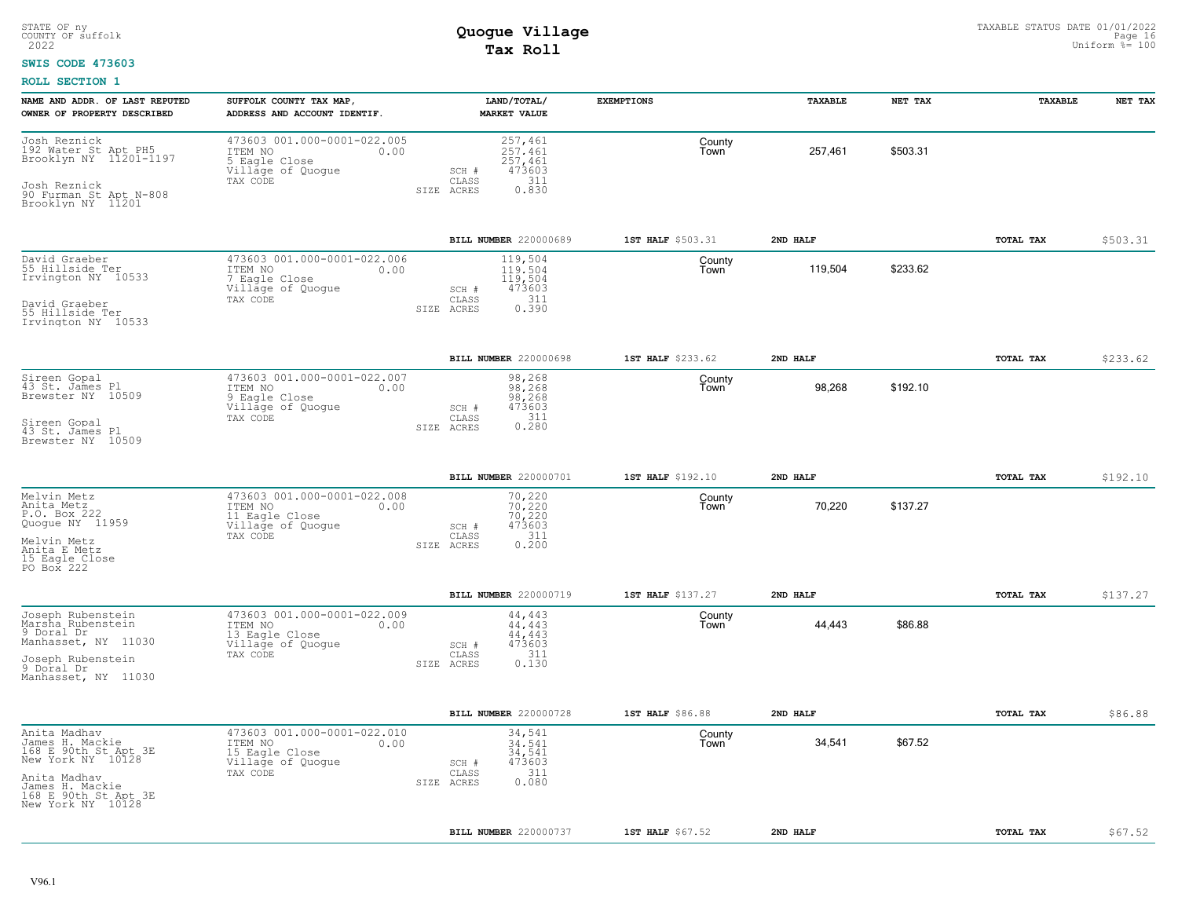### **SWIS CODE 473603**

| NAME AND ADDR. OF LAST REPUTED<br>OWNER OF PROPERTY DESCRIBED                                                                                                | SUFFOLK COUNTY TAX MAP,<br>ADDRESS AND ACCOUNT IDENTIF.                                           | LAND/TOTAL/<br><b>MARKET VALUE</b>                                                              | <b>EXEMPTIONS</b> | TAXABLE  | NET TAX  | TAXABLE   | NET TAX  |
|--------------------------------------------------------------------------------------------------------------------------------------------------------------|---------------------------------------------------------------------------------------------------|-------------------------------------------------------------------------------------------------|-------------------|----------|----------|-----------|----------|
| Josh Reznick<br>192 Water St Apt PH5<br>Brooklyn NY 11201-1197<br>Josh Reznick<br>90 Furman St Apt N-808<br>Brooklyn NY 11201                                | 473603 001.000-0001-022.005<br>ITEM NO<br>0.00<br>5 Eagle Close<br>Village of Quogue<br>TAX CODE  | 257,461<br>257.461<br>257,461<br>473603<br>SCH #<br>311<br>CLASS<br>0.830<br>SIZE ACRES         | County<br>Town    | 257,461  | \$503.31 |           |          |
|                                                                                                                                                              |                                                                                                   | BILL NUMBER 220000689                                                                           | 1ST HALF \$503.31 | 2ND HALF |          | TOTAL TAX | \$503.31 |
| David Graeber<br>55 Hillside Ter<br>Irvington NY 10533<br>David Graeber<br>55 Hillside Ter                                                                   | 473603 001.000-0001-022.006<br>ITEM NO<br>0.00<br>7 Eagle Close<br>Village of Quogue<br>TAX CODE  | 119,504<br>119.504<br>119,504<br>473603<br>SCH #<br>311<br>CLASS<br>0.390<br>SIZE ACRES         | County<br>Town    | 119,504  | \$233.62 |           |          |
| Irvington NY 10533                                                                                                                                           |                                                                                                   |                                                                                                 |                   |          |          |           |          |
|                                                                                                                                                              |                                                                                                   | BILL NUMBER 220000698                                                                           | 1ST HALF \$233.62 | 2ND HALF |          | TOTAL TAX | \$233.62 |
| Sireen Gopal<br>43 St. James Pl<br>Brewster NY 10509<br>Sireen Gopal<br>43 St. James Pl<br>Brewster NY 10509                                                 | 473603 001.000-0001-022.007<br>ITEM NO<br>0.00<br>9 Eagle Close<br>Village of Quogue<br>TAX CODE  | 98,268<br>98.268<br>98,268<br>473603<br>SCH #<br>0.311<br>$\mathtt{CLASS}$<br>SIZE ACRES        | County<br>Town    | 98,268   | \$192.10 |           |          |
|                                                                                                                                                              |                                                                                                   |                                                                                                 |                   |          |          |           |          |
|                                                                                                                                                              |                                                                                                   | BILL NUMBER 220000701                                                                           | 1ST HALF \$192.10 | 2ND HALF |          | TOTAL TAX | \$192.10 |
| Melvin Metz<br>Anita Metz<br>P.O. Box 222<br>Quogue NY 11959<br>Melvin Metz<br>Anita E Metz<br>15 Eagle Close<br>PO Box 222                                  | 473603 001.000-0001-022.008<br>ITEM NO<br>0.00<br>11 Eagle Close<br>Village of Quogue<br>TAX CODE | 70,220<br>70.220<br>70,220<br>473603<br>SCH #<br>311<br>$\mathtt{CLASS}$<br>SIZE ACRES<br>0.200 | County<br>Town    | 70,220   | \$137.27 |           |          |
|                                                                                                                                                              |                                                                                                   | BILL NUMBER 220000719                                                                           | 1ST HALF \$137.27 | 2ND HALF |          | TOTAL TAX | \$137.27 |
| Joseph Rubenstein<br>Marsha Rubenstein<br>9 Doral Dr<br>Manhasset, NY 11030<br>Joseph Rubenstein<br>9 Doral Dr                                               | 473603 001.000-0001-022.009<br>ITEM NO<br>0.00<br>13 Eagle Close<br>Village of Quogue<br>TAX CODE | 44,443<br>44.443<br>44,443<br>473603<br>SCH #<br>311<br>CLASS<br>0.130<br>SIZE ACRES            | County<br>Town    | 44,443   | \$86.88  |           |          |
| Manhasset, NY 11030                                                                                                                                          |                                                                                                   |                                                                                                 |                   |          |          |           |          |
|                                                                                                                                                              |                                                                                                   | BILL NUMBER 220000728                                                                           | 1ST HALF \$86.88  | 2ND HALF |          | TOTAL TAX | \$86.88  |
| Anita Madhav<br>James H. Mackie<br>168 E 90th St Apt 3E<br>New York NY 10128<br>Anita Madhav<br>James H. Mackie<br>168 E 90th St Apt 3E<br>New York NY 10128 | 473603 001.000-0001-022.010<br>ITEM NO<br>0.00<br>15 Eagle Close<br>Village of Quogue<br>TAX CODE | 34,541<br>34.541<br>34,541<br>473603<br>SCH #<br>311<br>CLASS<br>0.080<br>SIZE ACRES            | County<br>Town    | 34,541   | \$67.52  |           |          |
|                                                                                                                                                              |                                                                                                   | BILL NUMBER 220000737                                                                           | 1ST HALF \$67.52  | 2ND HALF |          | TOTAL TAX | \$67.52  |
|                                                                                                                                                              |                                                                                                   |                                                                                                 |                   |          |          |           |          |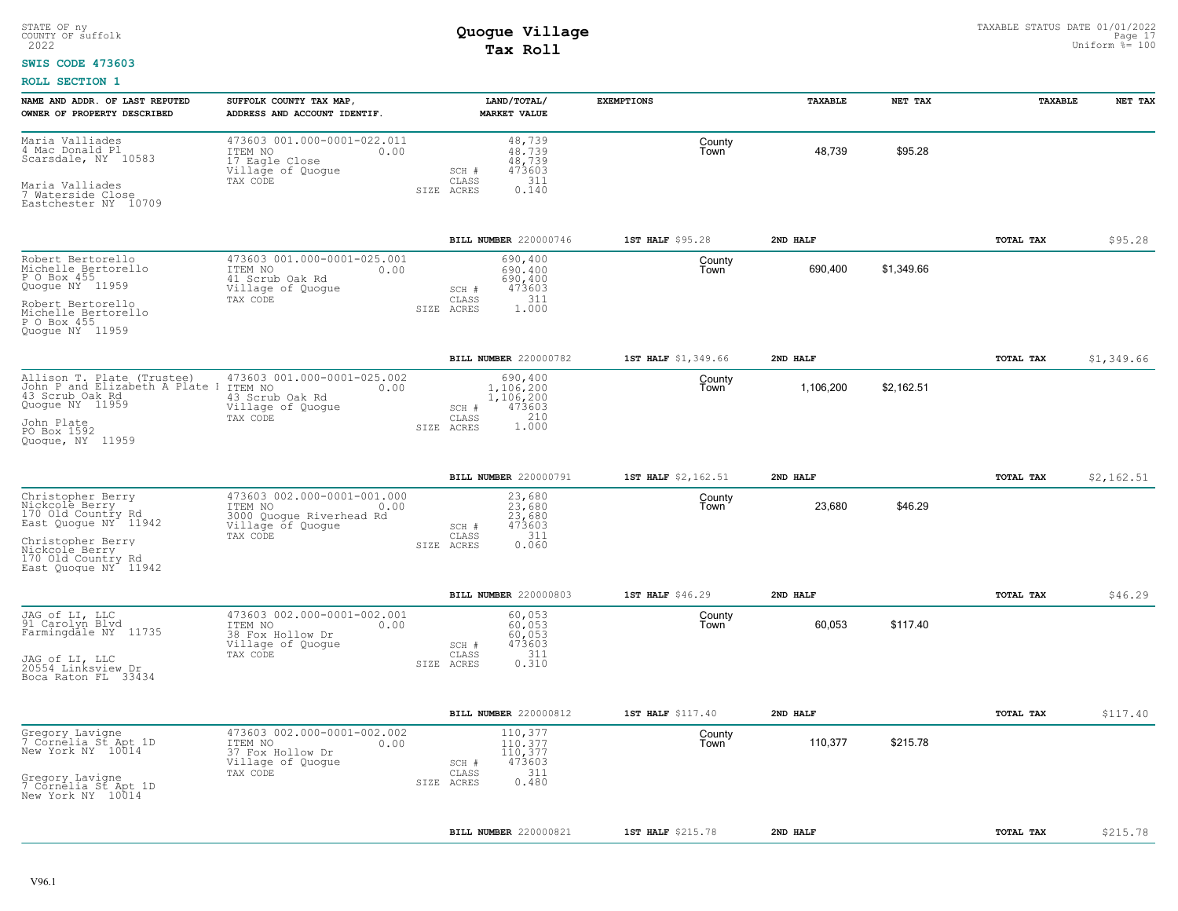#### **SWIS CODE 473603**

| NAME AND ADDR. OF LAST REPUTED<br>OWNER OF PROPERTY DESCRIBED                                                                                                                       | SUFFOLK COUNTY TAX MAP,<br>ADDRESS AND ACCOUNT IDENTIF.                                                     | LAND/TOTAL/<br><b>MARKET VALUE</b>                                                      | <b>EXEMPTIONS</b>   | <b>TAXABLE</b> | NET TAX    | TAXABLE   | NET TAX    |
|-------------------------------------------------------------------------------------------------------------------------------------------------------------------------------------|-------------------------------------------------------------------------------------------------------------|-----------------------------------------------------------------------------------------|---------------------|----------------|------------|-----------|------------|
| Maria Valliades<br>4 Mac Donald Pl<br>Scarsdale, NY 10583<br>Maria Valliades<br>7 Waterside Close<br>Eastchester NY 10709                                                           | 473603 001.000-0001-022.011<br>ITEM NO<br>0.00<br>17 Eagle Close<br>Village of Quogue<br>TAX CODE           | 48,739<br>48.739<br>48,739<br>473603<br>$SCH$ #<br>311<br>CLASS<br>SIZE ACRES<br>0.140  | County<br>Town      | 48,739         | \$95.28    |           |            |
|                                                                                                                                                                                     |                                                                                                             | BILL NUMBER 220000746                                                                   | 1ST HALF \$95.28    | 2ND HALF       |            | TOTAL TAX | \$95.28    |
| Robert Bertorello<br>Michelle Bertorello<br>P O Box 455<br>Quoque NY 11959<br>Robert Bertorello<br>Michelle Bertorello<br>P O Box 455<br>Quoque NY 11959                            | 473603 001.000-0001-025.001<br>ITEM NO<br>0.00<br>41 Scrub Oak Rd<br>Village of Quogue<br>TAX CODE          | 690,400<br>690,400<br>690,400<br>473603<br>SCH #<br>311<br>CLASS<br>SIZE ACRES<br>1,000 | County<br>Town      | 690,400        | \$1,349.66 |           |            |
|                                                                                                                                                                                     |                                                                                                             | BILL NUMBER 220000782                                                                   | 1ST HALF \$1,349.66 | 2ND HALF       |            | TOTAL TAX | \$1,349.66 |
| Allison T. Plate (Trustee)<br>John P and Elizabeth A Plate 1<br>43 Scrub Oak Rd<br>Quogue NY 11959<br>John Plate<br>PO Box 1592<br>Quoque, NY 11959                                 | 473603 001.000-0001-025.002<br>ITEM NO<br>0.00<br>43 Scrub Oak Rd<br>Village of Quogue<br>TAX CODE          | 690,400<br>1,106,200<br>1,106,200<br>473603<br>SCH #<br>1.000<br>CLASS<br>SIZE ACRES    | County<br>Town      | 1,106,200      | \$2,162.51 |           |            |
|                                                                                                                                                                                     |                                                                                                             | BILL NUMBER 220000791                                                                   | 1ST HALF \$2,162.51 | 2ND HALF       |            | TOTAL TAX | \$2,162.51 |
| Christopher Berry<br>Nickcole Berry<br>170 Old Country Rd<br>East Quogue NY <sup>-</sup> 11942<br>Christopher Berry<br>Nickcole Berry<br>170 Old Country Rd<br>East Quoque NY 11942 | 473603 002.000-0001-001.000<br>ITEM NO<br>0.00<br>3000 Quoque Riverhead Rd<br>Village of Quogue<br>TAX CODE | 23,680<br>23,680<br>23,680<br>473603<br>SCH #<br>311<br>CLASS<br>0.060<br>SIZE ACRES    | County<br>Town      | 23,680         | \$46.29    |           |            |
|                                                                                                                                                                                     |                                                                                                             | BILL NUMBER 220000803                                                                   | 1ST HALF \$46.29    | 2ND HALF       |            | TOTAL TAX | \$46.29    |
| JAG of LI, LLC<br>91 Carolyn Blvd<br>Farmingdale NY 11735<br>JAG of LI, LLC<br>20554_Linksview_Dr<br>Boca Raton FL 33434                                                            | 473603 002.000-0001-002.001<br>ITEM NO<br>0.00<br>38 Fox Hollow Dr<br>Village of Quogue<br>TAX CODE         | 60,053<br>60,053<br>60,053<br>473603<br>SCH #<br>CLASS<br>311<br>0.310<br>SIZE ACRES    | County<br>Town      | 60,053         | \$117.40   |           |            |
|                                                                                                                                                                                     |                                                                                                             | BILL NUMBER 220000812                                                                   | 1ST HALF \$117.40   | 2ND HALF       |            | TOTAL TAX | \$117.40   |
| Gregory Lavigne<br>7 Cornelia St Apt 1D<br>New York NY 10014<br>Gregory Lavigne<br>7 Cornelia St Apt 1D<br>New York NY 10014                                                        | 473603 002.000-0001-002.002<br>ITEM NO<br>0.00<br>37 Fox Hollow Dr<br>Village of Quogue<br>TAX CODE         | 110,377<br>110.377<br>110,377<br>473603<br>SCH #<br>311<br>CLASS<br>0.480<br>SIZE ACRES | County<br>Town      | 110,377        | \$215.78   |           |            |
|                                                                                                                                                                                     |                                                                                                             | BILL NUMBER 220000821                                                                   | 1ST HALF \$215.78   | 2ND HALF       |            | TOTAL TAX | \$215.78   |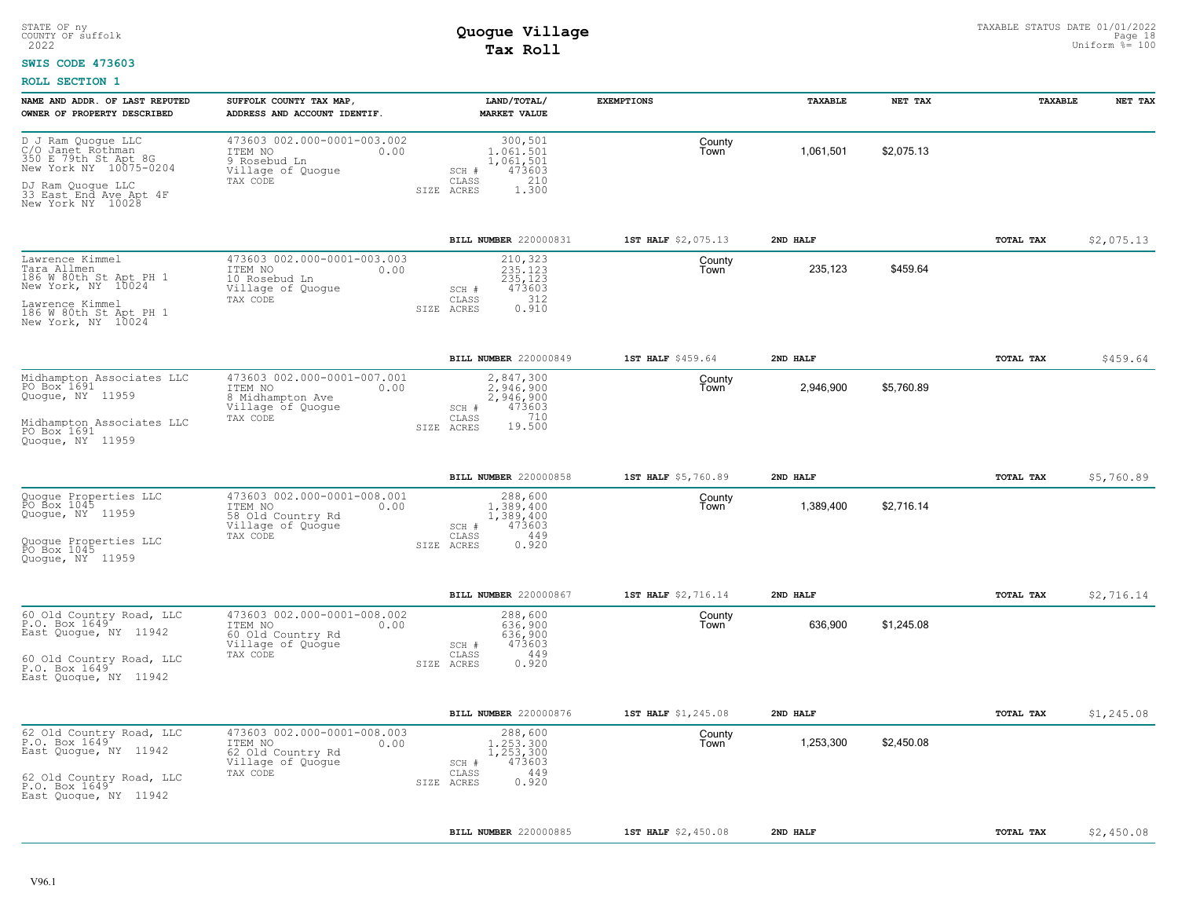#### **SWIS CODE 473603**

| NAME AND ADDR. OF LAST REPUTED<br>OWNER OF PROPERTY DESCRIBED                                                  | SUFFOLK COUNTY TAX MAP<br>ADDRESS AND ACCOUNT IDENTIF.                                          | LAND/TOTAL/<br><b>MARKET VALUE</b>                                                          | <b>EXEMPTIONS</b>   | TAXABLE   | NET TAX    | TAXABLE          | NET TAX    |
|----------------------------------------------------------------------------------------------------------------|-------------------------------------------------------------------------------------------------|---------------------------------------------------------------------------------------------|---------------------|-----------|------------|------------------|------------|
| D J Ram Quoque LLC<br>C/O Janet Rothman<br>350 E 79th St Apt 8G<br>New York NY 10075-0204<br>DJ Ram Quoque LLC | 473603 002.000-0001-003.002<br>ITEM NO<br>0.00<br>9 Rosebud Ln<br>Village of Quogue<br>TAX CODE | 300,501<br>1,061,501<br>1,061,501<br>473603<br>SCH #<br>210<br>CLASS<br>SIZE ACRES<br>1,300 | County<br>Town      | 1,061,501 | \$2,075.13 |                  |            |
| 33 East End Ave Apt 4F<br>New York NY 10028                                                                    |                                                                                                 |                                                                                             |                     |           |            |                  |            |
|                                                                                                                |                                                                                                 | BILL NUMBER 220000831                                                                       | 1ST HALF \$2,075.13 | 2ND HALF  |            | <b>TOTAL TAX</b> | \$2,075.13 |
| Lawrence Kimmel<br>Tara Allmen<br>186 W 80th St Apt PH 1<br>New York, NY 10024                                 | 473603 002.000-0001-003.003<br>ITEM NO<br>0.00<br>10 Rosebud Ln<br>Village of Quogue            | 210,323<br>235,123<br>235,123<br>473603<br>SCH #<br>312                                     | County<br>Town      | 235,123   | \$459.64   |                  |            |
| Lawrence Kimmel<br>186 W 80th St Apt PH 1<br>New York, NY 10024                                                | TAX CODE                                                                                        | CLASS<br>0.910<br>SIZE ACRES                                                                |                     |           |            |                  |            |
|                                                                                                                |                                                                                                 | <b>BILL NUMBER 220000849</b>                                                                | 1ST HALF \$459.64   | 2ND HALF  |            | <b>TOTAL TAX</b> | \$459.64   |
| Midhampton Associates LLC<br>PO Box 1691<br>Quogue, NY 11959                                                   | 473603 002.000-0001-007.001<br>ITEM NO<br>0.00<br>8 Midhampton Ave<br>Village of Quogue         | 2,847,300<br>2.946.900<br>2,946,900<br>SCH #<br>473603                                      | County<br>Town      | 2,946,900 | \$5,760.89 |                  |            |
| Midhampton Associates LLC<br>PO Box 1691<br>Quoque, NY 11959                                                   | TAX CODE                                                                                        | 710<br>CLASS<br>19.500<br>SIZE ACRES                                                        |                     |           |            |                  |            |
|                                                                                                                |                                                                                                 | <b>BILL NUMBER 220000858</b>                                                                | 1ST HALF \$5,760.89 | 2ND HALF  |            | <b>TOTAL TAX</b> | \$5,760.89 |
| Quoque Properties LLC<br>PO Box 1045<br>Quogue, NY 11959                                                       | 473603 002.000-0001-008.001<br>ITEM NO<br>0.00<br>58 Old Country Rd<br>Village of Quogue        | 288,600<br>1,389,400<br>1,389,400<br>473603<br>SCH #                                        | County<br>Town      | 1,389,400 | \$2,716.14 |                  |            |
| Quoque Properties LLC<br>PO Box 1045<br>Quoque, NY 11959                                                       | TAX CODE                                                                                        | 449<br>CLASS<br>SIZE ACRES<br>0.920                                                         |                     |           |            |                  |            |
|                                                                                                                |                                                                                                 | BILL NUMBER 220000867                                                                       | 1ST HALF \$2,716.14 | 2ND HALF  |            | TOTAL TAX        | \$2,716.14 |
| 60 Old Country Road, LLC<br>P.O. Box 1649<br>East Quoque, NY 11942                                             | 473603 002.000-0001-008.002<br>ITEM NO<br>0.00<br>60 Old Country Rd<br>Village of Quogue        | 288,600<br>636,900<br>636,900<br>473603<br>SCH #                                            | County<br>Town      | 636,900   | \$1,245.08 |                  |            |
| 60 Old Country Road, LLC<br>P.O. Box 1649<br>East Quoque, NY 11942                                             | TAX CODE                                                                                        | 449<br>CLASS<br>0.920<br>SIZE ACRES                                                         |                     |           |            |                  |            |
|                                                                                                                |                                                                                                 | BILL NUMBER 220000876                                                                       | 1ST HALF \$1,245.08 | 2ND HALF  |            | TOTAL TAX        | \$1,245.08 |
| 62 Old Country Road, LLC<br>P.O. Box 1649<br>East Quoque, NY 11942                                             | 473603 002.000-0001-008.003<br>ITEM NO<br>0.00<br>62 Old Country Rd<br>Village of Quogue        | 288,600<br>1,253,300<br>1,253,300<br>473603<br>SCH #                                        | County<br>Town      | 1,253,300 | \$2,450.08 |                  |            |
| 62 Old Country Road, LLC<br>P.O. Box 1649<br>East Quoque, NY 11942                                             | TAX CODE                                                                                        | 449<br>CLASS<br>0.920<br>SIZE ACRES                                                         |                     |           |            |                  |            |
|                                                                                                                |                                                                                                 | BILL NUMBER 220000885                                                                       | 1ST HALF \$2,450.08 | 2ND HALF  |            | TOTAL TAX        | \$2,450.08 |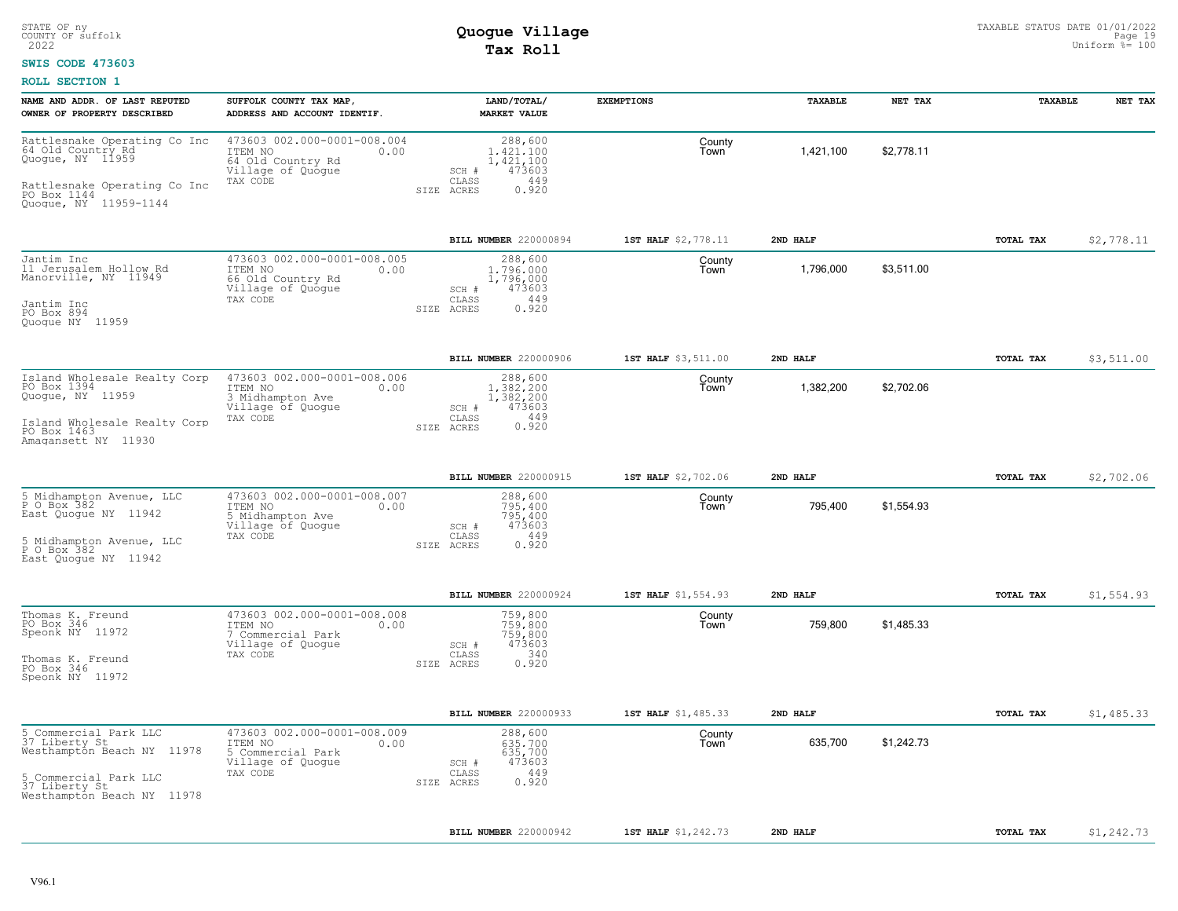### **SWIS CODE 473603**

| NAME AND ADDR. OF LAST REPUTED<br>OWNER OF PROPERTY DESCRIBED                                                                                                   | SUFFOLK COUNTY TAX MAP,<br>ADDRESS AND ACCOUNT IDENTIF.                                              | LAND/TOTAL/<br><b>MARKET VALUE</b>                                                            | <b>EXEMPTIONS</b>   | TAXABLE   | NET TAX    | TAXABLE          | NET TAX    |
|-----------------------------------------------------------------------------------------------------------------------------------------------------------------|------------------------------------------------------------------------------------------------------|-----------------------------------------------------------------------------------------------|---------------------|-----------|------------|------------------|------------|
| Rattlesnake Operating Co Inc<br>64 Old Country Rd<br>Quogue, NY 11959<br>Rattlesnake Operating Co Inc<br>PO Box 1144<br>Quogue, NY 11959-1144                   | 473603 002.000-0001-008.004<br>ITEM NO<br>0.00<br>64 Old Country Rd<br>Village of Quoque<br>TAX CODE | 288,600<br>1,421,100<br>1,421,100<br>473603<br>$SCH$ #<br>449<br>CLASS<br>0.920<br>SIZE ACRES | County<br>Town      | 1,421,100 | \$2.778.11 |                  |            |
|                                                                                                                                                                 |                                                                                                      | BILL NUMBER 220000894                                                                         | 1ST HALF \$2,778.11 | 2ND HALF  |            | TOTAL TAX        | \$2,778.11 |
| Jantim Inc<br>11 Jerusalem Hollow Rd<br>Manorville, NY 11949<br>Jantim Inc<br>PO Box 894<br>Quoque NY 11959                                                     | 473603 002.000-0001-008.005<br>ITEM NO<br>0.00<br>66 Old Country Rd<br>Village of Quogue<br>TAX CODE | 288,600<br>1,796,000<br>1,796,000<br>473603<br>SCH #<br>449<br>CLASS<br>0.920<br>SIZE ACRES   | County<br>Town      | 1,796,000 | \$3.511.00 |                  |            |
|                                                                                                                                                                 |                                                                                                      | <b>BILL NUMBER 220000906</b>                                                                  | 1ST HALF \$3,511.00 | 2ND HALF  |            | TOTAL TAX        | \$3,511.00 |
| Island Wholesale Realty Corp<br>PO Box 1394<br>Quoque, NY 11959<br>Island Wholesale Realty Corp<br>PO Box 1463<br>Amagansett NY 11930                           | 473603 002.000-0001-008.006<br>ITEM NO<br>0.00<br>3 Midhampton Ave<br>Village of Quogue<br>TAX CODE  | 288,600<br>1,382,200<br>1,382,200<br>473603<br>SCH #<br>449<br>CLASS<br>0.920<br>SIZE ACRES   | County<br>Town      | 1,382,200 | \$2,702.06 |                  |            |
|                                                                                                                                                                 |                                                                                                      | <b>BILL NUMBER 220000915</b>                                                                  | 1ST HALF \$2,702.06 | 2ND HALF  |            | <b>TOTAL TAX</b> | \$2,702.06 |
| 5<br>Midhampton Avenue, LLC<br>P O Box 382<br>East Quoque NY 11942<br>5 Midhampton Avenue, LLC<br>P O Box 382<br>East Quoque NY 11942                           | 473603 002.000-0001-008.007<br>ITEM NO<br>0.00<br>5 Midhampton Ave<br>Village of Quogue<br>TAX CODE  | 288,600<br>795,400<br>795,400<br>473603<br>SCH #<br>449<br>CLASS<br>0.920<br>SIZE ACRES       | County<br>Town      | 795,400   | \$1,554.93 |                  |            |
|                                                                                                                                                                 |                                                                                                      | BILL NUMBER 220000924                                                                         | 1ST HALF \$1,554.93 | 2ND HALF  |            | TOTAL TAX        | \$1,554.93 |
| Thomas K. Freund<br>PO Box 346<br>Speonk NY 11972<br>Thomas K. Freund<br>PO Box 346<br>Speonk NY 11972                                                          | 473603 002.000-0001-008.008<br>ITEM NO<br>0.00<br>7 Commercial Park<br>Village of Quogue<br>TAX CODE | 759,800<br>759,800<br>759,800<br>473603<br>SCH #<br>340<br>CLASS<br>0.920<br>SIZE ACRES       | County<br>Town      | 759,800   | \$1,485.33 |                  |            |
|                                                                                                                                                                 |                                                                                                      | BILL NUMBER 220000933                                                                         | 1ST HALF \$1,485.33 | 2ND HALF  |            | TOTAL TAX        | \$1,485.33 |
| 5<br>Commercial Park LLC<br>37 Liberty St<br>Westhampton Beach NY 11978<br>5 Commercial B<br>37 Liberty St<br>Commercial Park LLC<br>Westhampton Beach NY 11978 | 473603 002.000-0001-008.009<br>ITEM NO<br>0.00<br>5 Commercial Park<br>Village of Quoque<br>TAX CODE | 288,600<br>635,700<br>635,700<br>473603<br>SCH #<br>449<br>CLASS<br>0.920<br>SIZE ACRES       | County<br>Town      | 635,700   | \$1,242.73 |                  |            |
|                                                                                                                                                                 |                                                                                                      | BILL NUMBER 220000942                                                                         | 1ST HALF \$1,242.73 | 2ND HALF  |            | TOTAL TAX        | \$1,242.73 |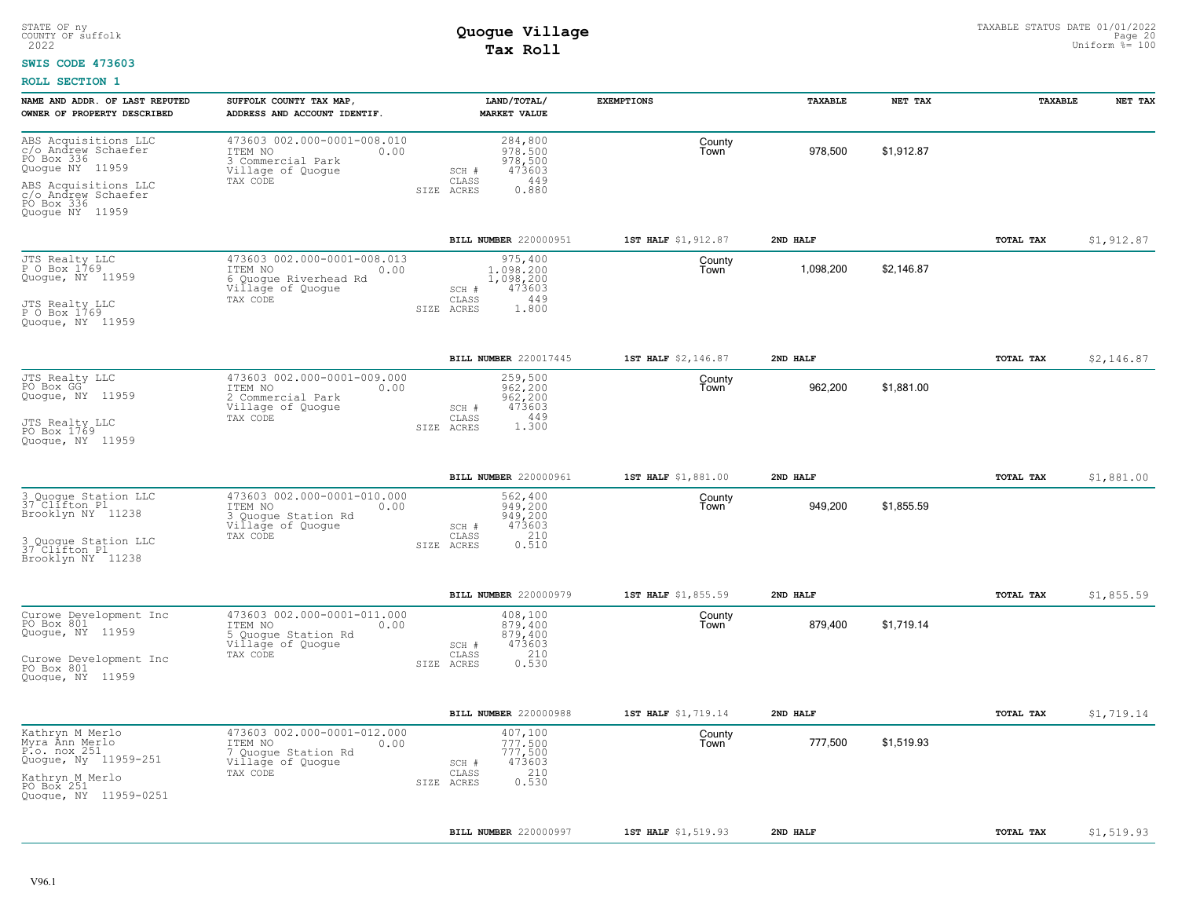### **SWIS CODE 473603**

| NAME AND ADDR. OF LAST REPUTED<br>OWNER OF PROPERTY DESCRIBED                                                                             | SUFFOLK COUNTY TAX MAP,<br>ADDRESS AND ACCOUNT IDENTIF.                                                  | LAND/TOTAL/<br><b>MARKET VALUE</b>                                                          | <b>EXEMPTIONS</b>   | TAXABLE   | NET TAX    | TAXABLE   | NET TAX    |
|-------------------------------------------------------------------------------------------------------------------------------------------|----------------------------------------------------------------------------------------------------------|---------------------------------------------------------------------------------------------|---------------------|-----------|------------|-----------|------------|
| ABS Acquisitions LLC<br>c/o Andrew Schaefer<br>PO Box 336<br>Quogue NY 11959<br>ABS Acquisitions LLC<br>c/o Andrew Schaefer<br>PO Box 336 | 473603 002.000-0001-008.010<br>ITEM NO<br>0.00<br>3 Commercial Park<br>Village of Quogue<br>TAX CODE     | 284,800<br>978,500<br>978,500<br>473603<br>SCH #<br>449<br>CLASS<br>SIZE ACRES<br>0.880     | County<br>Town      | 978,500   | \$1,912.87 |           |            |
| Quoque NY 11959                                                                                                                           |                                                                                                          | BILL NUMBER 220000951                                                                       | 1ST HALF \$1,912.87 | 2ND HALF  |            | TOTAL TAX | \$1,912.87 |
| JTS Realty LLC<br>P O Box 1769<br>Quoque, NY 11959<br>JTS Realty LLC<br>P O Box 1769<br>Quogue, NY 11959                                  | 473603 002.000-0001-008.013<br>ITEM NO<br>0.00<br>6 Quogue Riverhead Rd<br>Village of Quogue<br>TAX CODE | 975,400<br>1,098,200<br>1,098,200<br>473603<br>SCH #<br>449<br>CLASS<br>SIZE ACRES<br>1,800 | County<br>Town      | 1,098,200 | \$2,146.87 |           |            |
|                                                                                                                                           |                                                                                                          | BILL NUMBER 220017445                                                                       | 1ST HALF \$2,146.87 | 2ND HALF  |            | TOTAL TAX | \$2,146.87 |
| JTS Realty LLC<br>PO Box GG<br>Quogue, NY 11959<br>JTS Realty LLC<br>PO Box 1769<br>Quoque, NY 11959                                      | 473603 002.000-0001-009.000<br>ITEM NO<br>0.00<br>2 Commercial Park<br>Village of Quoque<br>TAX CODE     | 259,500<br>962.200<br>962,200<br>473603<br>SCH #<br>449<br>CLASS<br>1,300<br>SIZE ACRES     | County<br>Town      | 962,200   | \$1,881.00 |           |            |
|                                                                                                                                           |                                                                                                          | BILL NUMBER 220000961                                                                       | 1ST HALF \$1,881.00 | 2ND HAT.F |            | TOTAL TAX | \$1,881.00 |
| 3 Quoque Station LLC<br>37 Clifton Pl<br>Brooklyn NY 11238<br>3 Quoque Station LLC<br>37 Clifton Pl<br>Brooklyn NY 11238                  | 473603 002.000-0001-010.000<br>ITEM NO<br>0.00<br>3 Quogue Station Rd<br>Village of Quogue<br>TAX CODE   | 562,400<br>949,200<br>949,200<br>473603<br>$SCH$ $#$<br>210<br>CLASS<br>0.510<br>SIZE ACRES | County<br>Town      | 949,200   | \$1,855.59 |           |            |
|                                                                                                                                           |                                                                                                          | BILL NUMBER 220000979                                                                       | 1ST HALF \$1,855.59 | 2ND HALF  |            | TOTAL TAX | \$1,855.59 |
| Curowe Development Inc<br>PO Box 801<br>Quogue, NY 11959<br>Curowe Development Inc<br>PO Box 801<br>Quoque, NY 11959                      | 473603 002.000-0001-011.000<br>ITEM NO<br>0.00<br>Quogue Station Rd<br>Village of Quogue<br>TAX CODE     | 408,100<br>879,400<br>879,400<br>473603<br>SCH #<br>210<br>CLASS<br>0.530<br>SIZE ACRES     | County<br>Town      | 879,400   | \$1,719.14 |           |            |
|                                                                                                                                           |                                                                                                          | <b>BILL NUMBER 220000988</b>                                                                | 1ST HALF \$1,719.14 | 2ND HALF  |            | TOTAL TAX | \$1,719.14 |
| Kathryn M Merlo<br>Myra Ann Merlo<br>P.o. nox 251<br>Quogue, Ny 11959-251<br>Kathryn M Merlo<br>PO Box 251<br>Quogue, NY 11959-0251       | 473603 002.000-0001-012.000<br>ITEM NO<br>0.00<br>7 Quogue Station Rd<br>Village of Quogue<br>TAX CODE   | 407,100<br>777.500<br>777,500<br>473603<br>SCH #<br>210<br>CLASS<br>0.530<br>SIZE ACRES     | County<br>Town      | 777,500   | \$1,519.93 |           |            |
|                                                                                                                                           |                                                                                                          | <b>BILL NUMBER 220000997</b>                                                                | 1ST HALF \$1,519.93 | 2ND HALF  |            | TOTAL TAX | \$1,519.93 |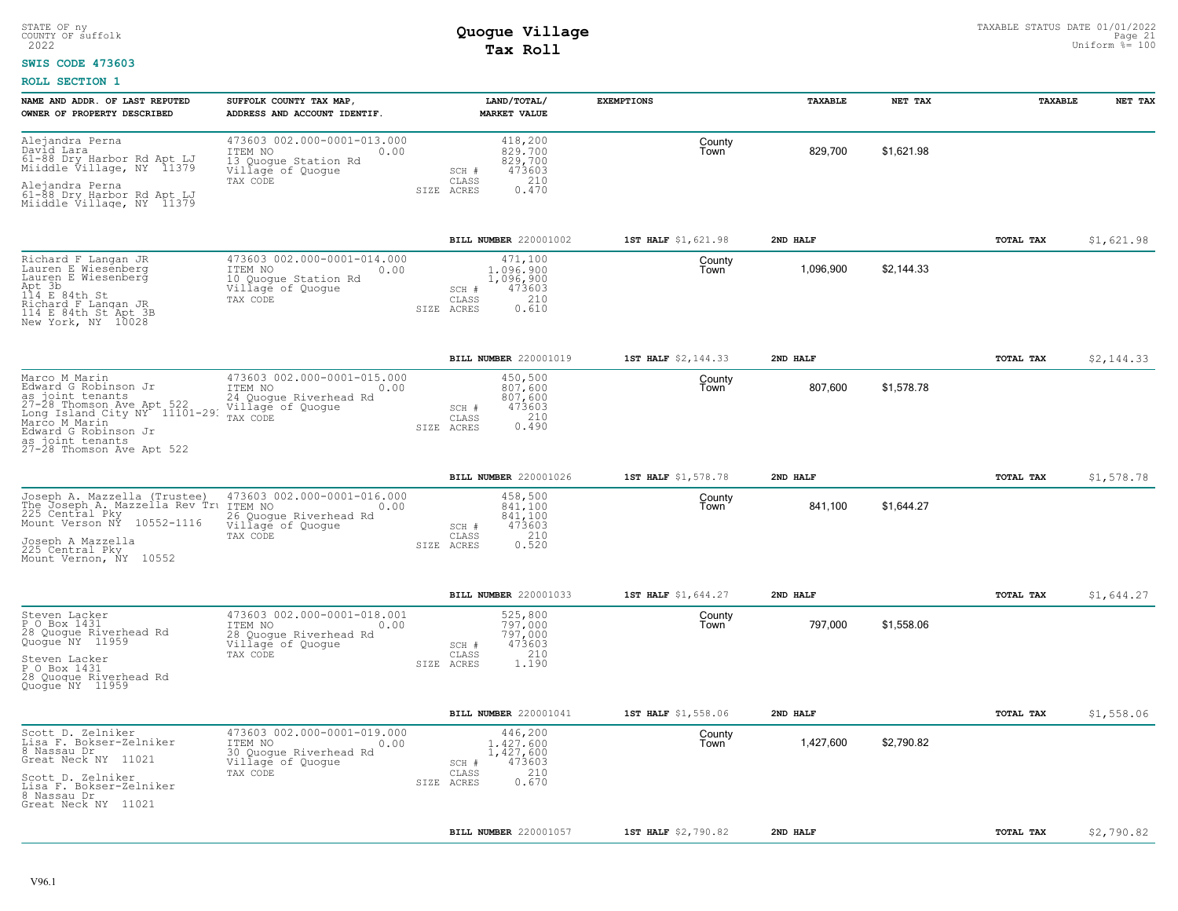### **SWIS CODE 473603**

| NAME AND ADDR. OF LAST REPUTED<br>OWNER OF PROPERTY DESCRIBED                                                                                                                                                                              | SUFFOLK COUNTY TAX MAP,<br>ADDRESS AND ACCOUNT IDENTIF.                                                   | LAND/TOTAL/<br><b>MARKET VALUE</b>                                                          | <b>EXEMPTIONS</b>   | TAXABLE   | NET TAX    | TAXABLE          | NET TAX    |
|--------------------------------------------------------------------------------------------------------------------------------------------------------------------------------------------------------------------------------------------|-----------------------------------------------------------------------------------------------------------|---------------------------------------------------------------------------------------------|---------------------|-----------|------------|------------------|------------|
| Alejandra Perna<br>David Lara<br>61-88 Dry Harbor Rd Apt LJ<br>Miiddle Village, NY 11379                                                                                                                                                   | 473603 002.000-0001-013.000<br>ITEM NO<br>0.00<br>13 Quoque Station Rd<br>Village of Quogue<br>TAX CODE   | 418,200<br>829,700<br>829,700<br>473603<br>SCH #<br>210<br>CLASS                            | County<br>Town      | 829,700   | \$1,621.98 |                  |            |
| Alejandra Perna<br>61-88 Dry Harbor Rd Apt LJ<br>Miiddle Village, NY 11379                                                                                                                                                                 |                                                                                                           | SIZE ACRES<br>0.470                                                                         |                     |           |            |                  |            |
|                                                                                                                                                                                                                                            |                                                                                                           | BILL NUMBER 220001002                                                                       | 1ST HALF \$1,621.98 | 2ND HALF  |            | <b>TOTAL TAX</b> | \$1,621.98 |
| Richard F Langan JR<br>Lauren E Wiesenberg<br>Lauren E Wiesenberg<br>Apt 3b<br>114 E 84th St<br>Richard F Langan JR<br>114 E 84th St Apt 3B<br>New York, NY 10028                                                                          | 473603 002.000-0001-014.000<br>ITEM NO<br>0.00<br>10 Quoque Station Rd<br>Village of Quogue<br>TAX CODE   | 471,100<br>1,096,900<br>1,096,900<br>473603<br>SCH #<br>210<br>CLASS<br>0.610<br>SIZE ACRES | County<br>Town      | 1,096,900 | \$2.144.33 |                  |            |
|                                                                                                                                                                                                                                            |                                                                                                           | BILL NUMBER 220001019                                                                       | 1ST HALF \$2,144.33 | 2ND HALF  |            | TOTAL TAX        | \$2,144.33 |
| Marco M Marin<br>Edward G Robinson Jr<br>as joint tenants 24 Quogust 27-28 Thomson Ave Apt 522 Village<br>Long Island City NY 11101-29. TAX CODE<br>Marco M Marin<br>Edward G Robinson Jr<br>as joint tenants<br>27-28 Thomson Ave Apt 522 | 473603 002.000-0001-015.000<br>ITEM NO<br>0.00<br>24 Quogue Riverhead Rd<br>Village of Quogue             | 450,500<br>807,600<br>807,600<br>473603<br>SCH #<br>210<br>CLASS<br>0.490<br>SIZE ACRES     | County<br>Town      | 807,600   | \$1,578.78 |                  |            |
|                                                                                                                                                                                                                                            |                                                                                                           | BILL NUMBER 220001026                                                                       | 1ST HALF \$1,578.78 | 2ND HALF  |            | TOTAL TAX        | \$1,578.78 |
| Joseph A. Mazzella (Trustee)<br>The Joseph A. Mazzella Rev Tru ITEM NO<br>225 Central Pky 1988<br>Mount Verson NÝ 10552-1116<br>Joseph A Mazzella<br>225 Central Pky<br>Mount Vernon, NY 10552                                             | 473603 002.000-0001-016.000<br>0.00<br>26 Quogue Riverhead Rd<br>Village of Quogue<br>TAX CODE            | 458,500<br>841.100<br>841,100<br>473603<br>SCH #<br>210<br>CLASS<br>0.520<br>SIZE ACRES     | County<br>Town      | 841,100   | \$1,644.27 |                  |            |
|                                                                                                                                                                                                                                            |                                                                                                           | BILL NUMBER 220001033                                                                       | 1ST HALF \$1,644.27 | 2ND HALF  |            | TOTAL TAX        | \$1,644.27 |
| Steven Lacker<br>P O Box 1431<br>28 Quogue Riverhead Rd<br>Quogue NY 11959<br>Steven Lacker<br>P O Box 1431<br>28 Quoque Riverhead Rd<br>Quoque NY 11959                                                                                   | 473603 002.000-0001-018.001<br>ITEM NO<br>0.00<br>28 Quoque Riverhead Rd<br>Village of Quogue<br>TAX CODE | 525,800<br>797.000<br>797,000<br>473603<br>SCH #<br>210<br>CLASS<br>SIZE ACRES<br>1.190     | County<br>Town      | 797,000   | \$1,558.06 |                  |            |
|                                                                                                                                                                                                                                            |                                                                                                           | BILL NUMBER 220001041                                                                       | 1ST HALF \$1,558.06 | 2ND HALF  |            | TOTAL TAX        | \$1,558.06 |
| Scott D. Zelniker<br>Lisa F. Bokser-Zelniker<br>8 Nassau Dr<br>Great Neck NY 11021                                                                                                                                                         | 473603 002.000-0001-019.000<br>ITEM NO<br>0.00<br>30 Quogue Riverhead Rd<br>Village of Quogue             | 446,200<br>1.427.600<br>1,427,600<br>473603<br>SCH #                                        | County<br>Town      | 1,427,600 | \$2,790.82 |                  |            |
| Scott D. Zelniker<br>Lisa F. Bokser-Zelniker<br>8 Nassau Dr<br>Great Neck NY 11021                                                                                                                                                         | TAX CODE                                                                                                  | 210<br>CLASS<br>0.670<br>SIZE ACRES                                                         |                     |           |            |                  |            |
|                                                                                                                                                                                                                                            |                                                                                                           | <b>BILL NUMBER 220001057</b>                                                                | 1ST HALF \$2,790.82 | 2ND HALF  |            | TOTAL TAX        | \$2,790.82 |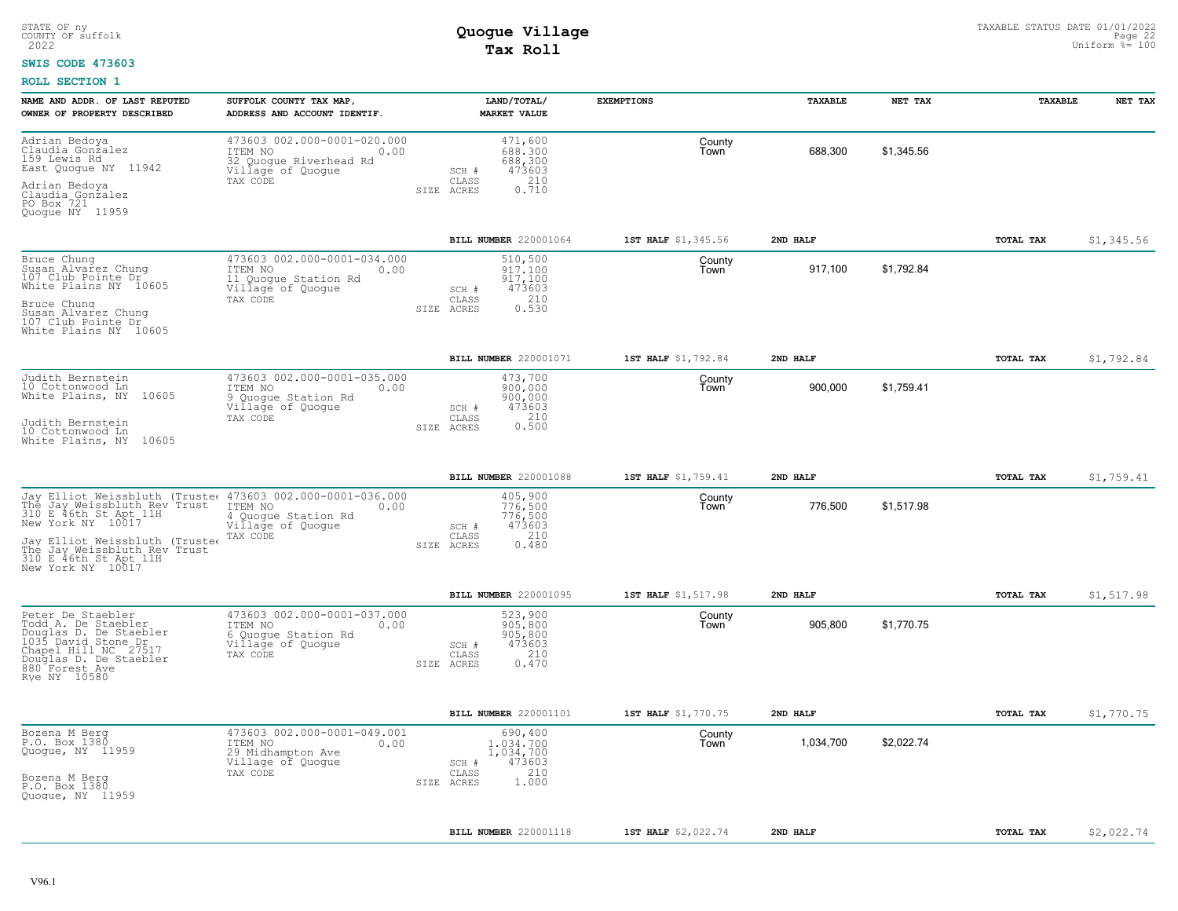#### **SWIS CODE 473603**

| NAME AND ADDR. OF LAST REPUTED<br>OWNER OF PROPERTY DESCRIBED                                                                                                                                                                                                      | SUFFOLK COUNTY TAX MAP<br>ADDRESS AND ACCOUNT IDENTIF.                                                    | LAND/TOTAL/<br><b>MARKET VALUE</b>                                                          | <b>EXEMPTIONS</b>   | TAXABLE   | NET TAX    | TAXABLE          | NET TAX    |
|--------------------------------------------------------------------------------------------------------------------------------------------------------------------------------------------------------------------------------------------------------------------|-----------------------------------------------------------------------------------------------------------|---------------------------------------------------------------------------------------------|---------------------|-----------|------------|------------------|------------|
| Adrian Bedoya<br>Claudia Gonžalez<br>159 Lewis Rd<br>East Quogue NY 11942<br>Adrian Bedoya<br>Claudia Gonzalez<br>PO Box 721                                                                                                                                       | 473603 002.000-0001-020.000<br>ITEM NO<br>0.00<br>32 Quogue Riverhead Rd<br>Village of Quogue<br>TAX CODE | 471,600<br>688,300<br>688,300<br>473603<br>SCH #<br>210<br>CLASS<br>0.710<br>SIZE ACRES     | County<br>Town      | 688,300   | \$1,345.56 |                  |            |
| Quoque NY 11959                                                                                                                                                                                                                                                    |                                                                                                           |                                                                                             |                     |           |            |                  |            |
|                                                                                                                                                                                                                                                                    |                                                                                                           | BILL NUMBER 220001064                                                                       | 1ST HALF \$1,345.56 | 2ND HALF  |            | <b>TOTAL TAX</b> | \$1,345.56 |
| Bruce Chung<br>Susan Alvarez Chung<br>107 Club Pointe Dr<br>White Plains NY 10605<br>Bruce Chung<br>Susan Alvarez Chung<br>107 Club Pointe Dr<br>White Plains NY 10605                                                                                             | 473603 002.000-0001-034.000<br>ITEM NO<br>0.00<br>11 Quogue Station Rd<br>Village of Quogue<br>TAX CODE   | 510,500<br>917.100<br>917,100<br>473603<br>SCH #<br>210<br>CLASS<br>0.530<br>SIZE ACRES     | County<br>Town      | 917,100   | \$1,792.84 |                  |            |
|                                                                                                                                                                                                                                                                    |                                                                                                           | BILL NUMBER 220001071                                                                       | 1ST HALF \$1,792.84 | 2ND HALF  |            | <b>TOTAL TAX</b> | \$1,792.84 |
| Judith Bernstein<br>10 Cottonwood Ln<br>White Plains, NY 10605<br>Judith Bernstein<br>10 Cottonwood Ln<br>White Plains, NY 10605                                                                                                                                   | 473603 002.000-0001-035.000<br>ITEM NO<br>0.00<br>9 Quogue Station Rd<br>Village of Quogue<br>TAX CODE    | 473,700<br>900,000<br>900,000<br>473603<br>SCH #<br>0.210<br>CLASS<br>SIZE ACRES            | County<br>Town      | 900.000   | \$1,759.41 |                  |            |
|                                                                                                                                                                                                                                                                    |                                                                                                           |                                                                                             |                     |           |            |                  |            |
|                                                                                                                                                                                                                                                                    |                                                                                                           | BILL NUMBER 220001088                                                                       | 1ST HALF \$1,759.41 | 2ND HALF  |            | TOTAL TAX        | \$1,759.41 |
| Jay Elliot Weissbluth (Truste( 473603 002.000-0001-036.000<br>The Jay Weissbluth Rev Trust<br>310 E 46th St Apt 11H<br>New York NY 10017<br>Jay Elliot Weissbluth (Truste $\epsilon$<br>The Jay Weissbluth Rev Trust<br>310 E 46th St Apt 11H<br>New York NY 10017 | ITEM NO<br>0.00<br>4 Quogue Station Rd<br>Village of Quogue<br>TAX CODE                                   | 405,900<br>776,500<br>776,500<br>473603<br>SCH #<br>210<br>CLASS<br>SIZE ACRES<br>0.480     | County<br>Town      | 776,500   | \$1,517.98 |                  |            |
|                                                                                                                                                                                                                                                                    |                                                                                                           | BILL NUMBER 220001095                                                                       | 1ST HALF \$1,517.98 | 2ND HALF  |            | TOTAL TAX        | \$1,517.98 |
| Peter De Staebler<br>Todd A. De Staebler<br>Douglas D. De Staebler<br>1035 David Stone Dr<br>Chapel Hill NC 27517<br>Douglas D. De Staebler<br>880 Forest Ave<br>Rye NY 10580                                                                                      | 473603 002.000-0001-037.000<br>ITEM NO<br>0.00<br>6 Quogue Station Rd<br>Village of Quogue<br>TAX CODE    | 523,900<br>905,800<br>905,800<br>473603<br>SCH #<br>210<br>CLASS<br>0.470<br>SIZE ACRES     | County<br>Town      | 905,800   | \$1,770.75 |                  |            |
|                                                                                                                                                                                                                                                                    |                                                                                                           | BILL NUMBER 220001101                                                                       | 1ST HALF \$1,770.75 | 2ND HALF  |            | TOTAL TAX        | \$1,770.75 |
| Bozena M Berg<br>P.O. Box 1380<br>Quogue, NY 11959<br>Bozena M Berg<br>P.O. Box 1380<br>Quoque, NY 11959                                                                                                                                                           | 473603 002.000-0001-049.001<br>ITEM NO<br>0.00<br>29 Midhampton Ave<br>Village of Quogue<br>TAX CODE      | 690,400<br>1,034,700<br>1,034,700<br>473603<br>SCH #<br>210<br>CLASS<br>1,000<br>SIZE ACRES | County<br>Town      | 1,034,700 | \$2,022.74 |                  |            |
|                                                                                                                                                                                                                                                                    |                                                                                                           |                                                                                             |                     |           |            |                  |            |
|                                                                                                                                                                                                                                                                    |                                                                                                           | BILL NUMBER 220001118                                                                       | 1ST HALF \$2,022.74 | 2ND HALF  |            | TOTAL TAX        | \$2,022.74 |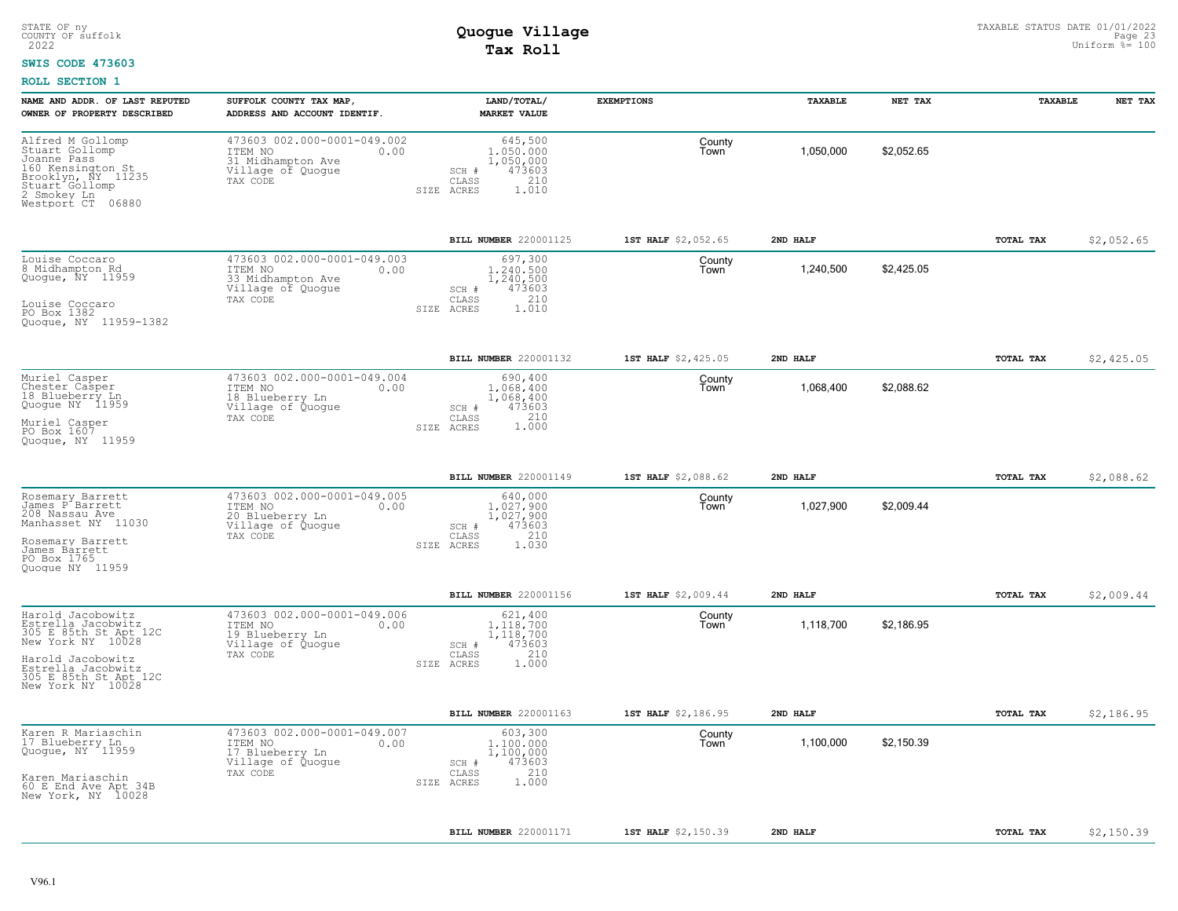#### **SWIS CODE 473603**

| NAME AND ADDR. OF LAST REPUTED<br>OWNER OF PROPERTY DESCRIBED                                                                                                                  | SUFFOLK COUNTY TAX MAP,<br>ADDRESS AND ACCOUNT IDENTIF.                                              | LAND/TOTAL/<br><b>MARKET VALUE</b>                                                          | <b>EXEMPTIONS</b>   | TAXABLE   | NET TAX    | TAXABLE   | NET TAX    |
|--------------------------------------------------------------------------------------------------------------------------------------------------------------------------------|------------------------------------------------------------------------------------------------------|---------------------------------------------------------------------------------------------|---------------------|-----------|------------|-----------|------------|
| Alfred M Gollomp<br>Stuart Gollomp<br>Joanne Pass<br>160 Kensington St<br>Brooklyn, NY 11235<br>Stuart Gollomp<br>2 Smokey Ln<br>Westport CT 06880                             | 473603 002.000-0001-049.002<br>ITEM NO<br>0.00<br>31 Midhampton Ave<br>Village of Quogue<br>TAX CODE | 645,500<br>1,050,000<br>1,050,000<br>473603<br>SCH #<br>210<br>CLASS<br>1.010<br>SIZE ACRES | County<br>Town      | 1,050,000 | \$2,052.65 |           |            |
|                                                                                                                                                                                |                                                                                                      | BILL NUMBER 220001125                                                                       | 1ST HALF \$2,052.65 | 2ND HALF  |            | TOTAL TAX | \$2,052.65 |
| Louise Coccaro<br>8 Midhampton Rd<br>Quogue, NY 11959<br>Louise Coccaro<br>PO Box 1382<br>Quogue, NY 11959-1382                                                                | 473603 002.000-0001-049.003<br>ITEM NO<br>0.00<br>33 Midhampton Ave<br>Village of Quogue<br>TAX CODE | 697,300<br>1,240,500<br>1,240,500<br>473603<br>SCH #<br>210<br>CLASS<br>SIZE ACRES<br>1.010 | County<br>Town      | 1,240,500 | \$2,425.05 |           |            |
|                                                                                                                                                                                |                                                                                                      | BILL NUMBER 220001132                                                                       | 1ST HALF \$2,425.05 | 2ND HALF  |            | TOTAL TAX | \$2,425.05 |
| Muriel Casper<br>Chester Casper<br>18 Blueberry Ln<br>Quogue NY 11959<br>Muriel Casper<br>PO Box 1607<br>Quoque, NY 11959                                                      | 473603 002.000-0001-049.004<br>0.00<br>ITEM NO<br>18 Blueberry Ln<br>Village of Quoque<br>TAX CODE   | 690,400<br>1,068,400<br>1,068,400<br>473603<br>SCH #<br>1.000<br>CLASS<br>SIZE ACRES        | County<br>Town      | 1,068,400 | \$2,088.62 |           |            |
|                                                                                                                                                                                |                                                                                                      | <b>BILL NUMBER 220001149</b>                                                                | 1ST HALF \$2,088.62 | 2ND HALF  |            | TOTAL TAX | \$2,088.62 |
| Rosemary Barrett<br>James P Barrett<br>208 Nassau Ave<br>Manhasset NY 11030<br>Rosemary Barrett<br>James Barrett<br>PO Box 1765<br>Quoque NY 11959                             | 473603 002.000-0001-049.005<br>ITEM NO<br>0.00<br>20 Blueberry Ln<br>Village of Quogue<br>TAX CODE   | 640,000<br>1,027,900<br>1,027,900<br>473603<br>SCH #<br>210<br>CLASS<br>1.030<br>SIZE ACRES | County<br>Town      | 1,027,900 | \$2,009.44 |           |            |
|                                                                                                                                                                                |                                                                                                      | BILL NUMBER 220001156                                                                       | 1ST HALF \$2,009.44 | 2ND HALF  |            | TOTAL TAX | \$2,009.44 |
| Harold Jacobowitz<br>Estrella Jacobwitz<br>305 E 85th St Apt 12C<br>New York NY 10028<br>Harold Jacobowitz<br>Estrella Jacobwitz<br>305 E 85th St Apt 12C<br>New York NY 10028 | 473603 002.000-0001-049.006<br>ITEM NO<br>0.00<br>19 Blueberry Ln<br>Village of Quogue<br>TAX CODE   | 621,400<br>1,118,700<br>1,118,700<br>473603<br>SCH #<br>CLASS<br>210<br>SIZE ACRES<br>1.000 | County<br>Town      | 1,118,700 | \$2,186.95 |           |            |
|                                                                                                                                                                                |                                                                                                      | BILL NUMBER 220001163                                                                       | 1ST HALF \$2,186.95 | 2ND HALF  |            | TOTAL TAX | \$2,186.95 |
| Karen R Mariaschin<br>17 Blueberry Ln<br>Quogue, NY 11959<br>Karen Mariaschin<br>60 E End Ave Apt 34B<br>New York, NY 10028                                                    | 473603 002.000-0001-049.007<br>ITEM NO<br>0.00<br>17 Blueberry Ln<br>Village of Quogue<br>TAX CODE   | 603,300<br>1,100,000<br>1,100,000<br>473603<br>SCH #<br>210<br>CLASS<br>1.000<br>SIZE ACRES | County<br>Town      | 1,100,000 | \$2,150.39 |           |            |
|                                                                                                                                                                                |                                                                                                      | BILL NUMBER 220001171                                                                       | 1ST HALF \$2,150.39 | 2ND HALF  |            | TOTAL TAX | \$2,150.39 |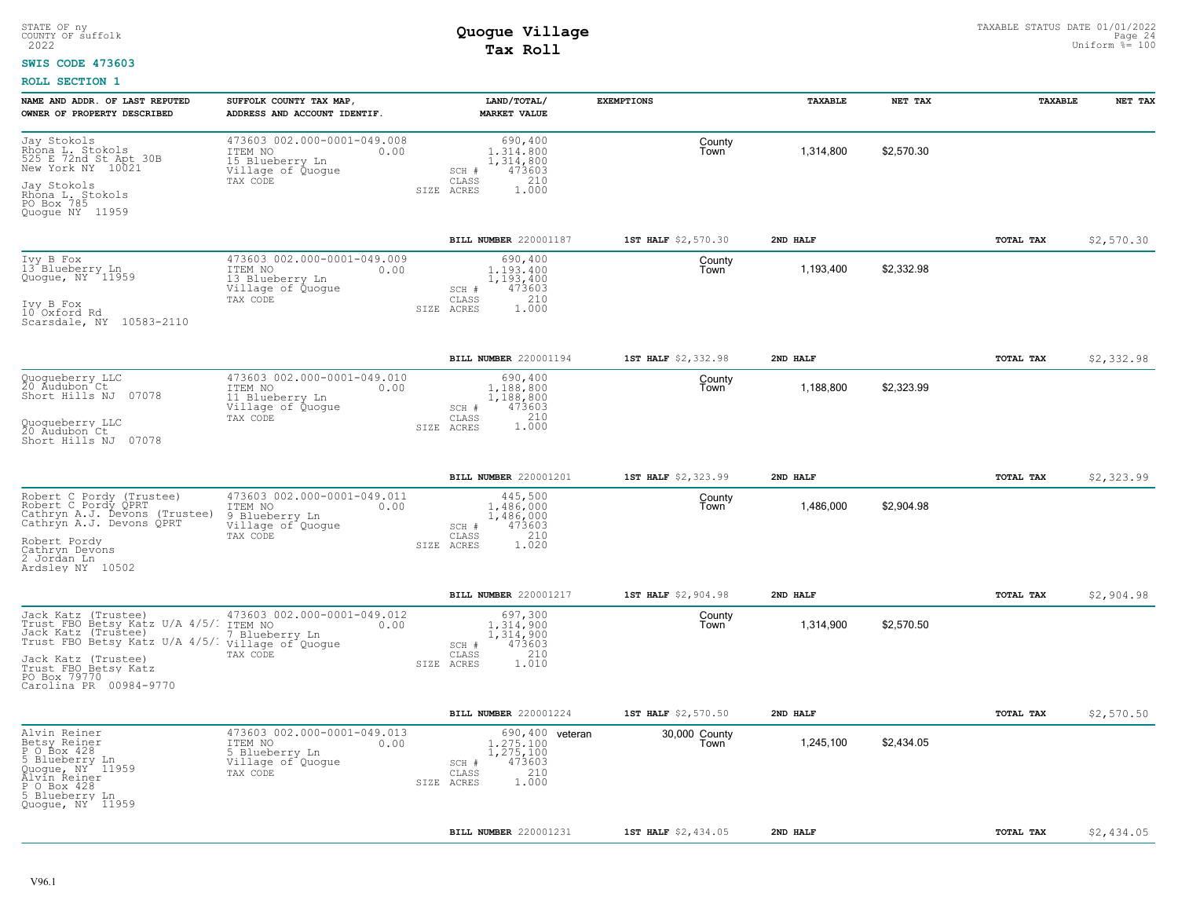#### **SWIS CODE 473603**

| NAME AND ADDR. OF LAST REPUTED<br>OWNER OF PROPERTY DESCRIBED                                                                                                                                                                     | SUFFOLK COUNTY TAX MAP<br>ADDRESS AND ACCOUNT IDENTIF.                                             | LAND/TOTAL/<br><b>MARKET VALUE</b>                                                                   | <b>EXEMPTIONS</b>     | TAXABLE   | NET TAX    | TAXABLE   | NET TAX    |
|-----------------------------------------------------------------------------------------------------------------------------------------------------------------------------------------------------------------------------------|----------------------------------------------------------------------------------------------------|------------------------------------------------------------------------------------------------------|-----------------------|-----------|------------|-----------|------------|
| Jay Stokols<br>Rhona L. Stokols<br>525 E 72nd St Apt 30B<br>New York NY 10021                                                                                                                                                     | 473603 002.000-0001-049.008<br>ITEM NO<br>0.00<br>15 Blueberry Ln<br>Village of Quogue<br>TAX CODE | 690,400<br>1,314,800<br>1,314,800<br>473603<br>SCH #<br>CLASS<br>210                                 | County<br>Town        | 1,314,800 | \$2,570.30 |           |            |
| Jay Stokols<br>Rhona L. Stokols<br>PO Box 785<br>Quogue NY 11959                                                                                                                                                                  |                                                                                                    | 1,000<br>ACRES<br>SIZE                                                                               |                       |           |            |           |            |
|                                                                                                                                                                                                                                   |                                                                                                    | BILL NUMBER 220001187                                                                                | 1ST HALF \$2,570.30   | 2ND HALF  |            | TOTAL TAX | \$2,570.30 |
| Ivy B Fox<br>13 <sup>*</sup> Blueberry <sub>140</sub><br>Quogue, NY 11959<br>Ivy B Fox<br>10 Oxford Rd<br>Scarsdale, NY 10583-2110                                                                                                | 473603 002.000-0001-049.009<br>ITEM NO<br>0.00<br>13 Blueberry Ln<br>Village of Quogue<br>TAX CODE | 690,400<br>1.193.400<br>1,193,400<br>473603<br>SCH #<br>210<br>CLASS<br>1.000<br>SIZE<br>ACRES       | County<br>Town        | 1,193,400 | \$2,332.98 |           |            |
|                                                                                                                                                                                                                                   |                                                                                                    | BILL NUMBER 220001194                                                                                | 1ST HALF \$2,332.98   | 2ND HALF  |            | TOTAL TAX | \$2,332.98 |
| Quogueberry LLC<br>20 Audubon Ct<br>Short Hills NJ 07078                                                                                                                                                                          | 473603 002.000-0001-049.010<br>ITEM NO<br>0.00<br>11 Blueberry Ln<br>Village of Quoque<br>TAX CODE | 690,400<br>1,188,800<br>1,188,800<br>473603<br>SCH #<br>210<br>CLASS                                 | County<br>Town        | 1,188,800 | \$2,323.99 |           |            |
| Quoqueberry LLC<br>20 Audubon Ct<br>Short Hills NJ 07078                                                                                                                                                                          |                                                                                                    | 1.000<br>SIZE ACRES                                                                                  |                       |           |            |           |            |
|                                                                                                                                                                                                                                   |                                                                                                    | BILL NUMBER 220001201                                                                                | 1ST HALF \$2,323.99   | 2ND HALF  |            | TOTAL TAX | \$2,323.99 |
| Robert C Pordy (Trustee)<br>Robert C Pordy QPRT<br>Cathryn A.J. Devons (Trustee)<br>Cathryn A.J. Devons QPRT<br>Robert Pordy<br>Cathryn Devons<br>2 Jordan Ln<br>Ardsley NY 10502                                                 | 473603 002.000-0001-049.011<br>ITEM NO<br>0.00<br>9 Blueberry Ln<br>Village of Quogue<br>TAX CODE  | 445,500<br>1,486,000<br>1,486,000<br>473603<br>SCH #<br>210<br>CLASS<br>1.020<br>SIZE ACRES          | County<br>Town        | 1,486,000 | \$2,904.98 |           |            |
|                                                                                                                                                                                                                                   |                                                                                                    | BILL NUMBER 220001217                                                                                | 1ST HALF \$2,904.98   | 2ND HALF  |            | TOTAL TAX | \$2,904.98 |
| Jack Katz (Trustee)<br>Trust FBO Betsy Katz U/A 4/5/. ITEM NO<br>Jack Katz (Trustee)<br>Trust FBO Betsy Katz U/A 4/5/: village of Quogue<br>Jack Katz (Trustee)<br>Trust FBO Betsy Katz<br>PO Box 79770<br>Carolina PR 00984-9770 | 473603 002.000-0001-049.012<br>0.00<br>7 Blueberry Ln<br>TAX CODE                                  | 697,300<br>1,314,900<br>1,314,900<br>473603<br>SCH #<br>210<br>CLASS<br>SIZE ACRES<br>1.010          | County<br>Town        | 1,314,900 | \$2,570.50 |           |            |
|                                                                                                                                                                                                                                   |                                                                                                    | <b>BILL NUMBER 220001224</b>                                                                         | 1ST HALF \$2,570.50   | 2ND HALF  |            | TOTAL TAX | \$2,570.50 |
| Alvin Reiner<br>Betsy Reiner<br>PO Box 428<br>5 Blueberry Ln<br>Quoque, NY 11959<br>Alvin Reiner<br>P O Box 428<br>5 Blueberry Ln<br>Quoque, NY <sup>1</sup> 11959                                                                | 473603 002.000-0001-049.013<br>ITEM NO<br>0.00<br>5 Blueberry Ln<br>Village of Quogue<br>TAX CODE  | 690, 400 veteran<br>1.275.100<br>1,275,100<br>473603<br>SCH #<br>210<br>CLASS<br>1.000<br>SIZE ACRES | 30,000 County<br>Town | 1,245,100 | \$2,434.05 |           |            |
|                                                                                                                                                                                                                                   |                                                                                                    | BILL NUMBER 220001231                                                                                | 1ST HALF \$2,434.05   | 2ND HALF  |            | TOTAL TAX | \$2,434.05 |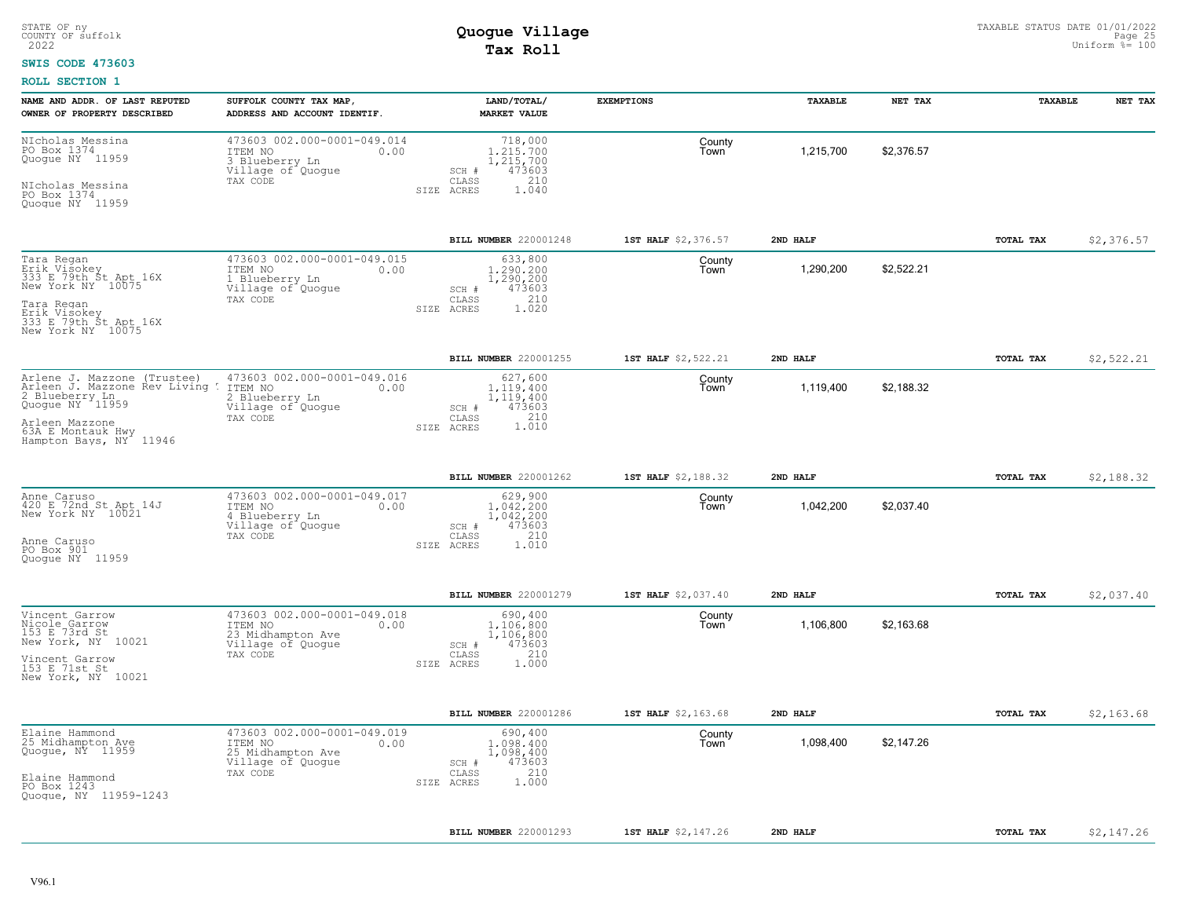### **SWIS CODE 473603**

| NIcholas Messina<br>473603 002.000-0001-049.014<br>718,000<br>County<br>PO Box 1374<br>\$2,376.57<br>ITEM NO<br>1,215,700<br>0.00<br>1,215,700<br>Town<br>Quogue NY 11959<br>3 Blueberry Ln<br>1,215,700<br>Village of Quogue<br>473603<br>SCH #<br>CLASS<br>210<br>TAX CODE<br>NIcholas Messina<br>PO Box 1374<br>SIZE ACRES<br>1.040<br>Quoque NY 11959<br>BILL NUMBER 220001248<br>1ST HALF \$2,376.57<br>2ND HALF<br>TOTAL TAX<br>473603 002.000-0001-049.015<br>Tara Regan<br>633,800<br>County<br>Erik Visokey<br>333 Erik Visokey<br>333 Erik NY 10075<br>1,290,200<br>\$2,522.21<br>ITEM NO<br>1,290,200<br>0.00<br>Town<br>1,290,200<br>1 Blueberry Ln<br>New York NY 10075<br>Village of Quogue<br>473603<br>SCH #<br>210<br>TAX CODE<br>CLASS<br>Tara Regan<br>SIZE ACRES<br>1.020<br>Erik Visokey<br>333 E 79th St Apt 16X<br>New York NY 10075<br>BILL NUMBER 220001255<br>1ST HALF \$2,522.21<br>2ND HALF<br>TOTAL TAX<br>473603 002.000-0001-049.016<br>627,600<br>Arlene J. Mazzone (Trustee)<br>County<br>Arleen J. Mazzone Rev Living !<br>2 Blueberry Ln<br>Quogue NY 11959<br>1,119,400<br>\$2,188.32<br>ITEM NO<br>0.00<br>1,119,400<br>Town<br>2 Blueberry Ln<br>1,119,400<br>Village of Quogue<br>SCH #<br>473603<br>210<br>TAX CODE<br>CLASS<br>Arleen Mazzone<br>63A E Montauk Hwy<br>1.010<br>SIZE ACRES<br>Hampton Bays, NY 11946<br>BILL NUMBER 220001262<br>1ST HALF \$2,188.32<br>2ND HALF<br>TOTAL TAX<br>473603 002.000-0001-049.017<br>629,900<br>Anne Caruso<br>420 E 72nd St Apt 14J<br>County<br>1,042,200<br>\$2,037.40<br>ITEM NO<br>0.00<br>1.042.200<br>Town<br>New York NY 10021<br>4 Blueberry Ln<br>1,042,200<br>Village of Quoque<br>473603<br>SCH #<br>210<br>TAX CODE<br>CLASS<br>Anne Caruso<br>SIZE ACRES<br>1.010<br>PO Box 901<br>Quoque NY 11959<br>BILL NUMBER 220001279<br>1ST HALF \$2,037.40<br>2ND HALF<br>TOTAL TAX<br>473603 002.000-0001-049.018<br>Vincent Garrow<br>690,400<br>County<br>Nicole Garrow<br>\$2,163.68<br>0.00<br>1,106,800<br>1,106,800<br>ITEM NO<br>Town<br>153 E 73rd St<br>23 Midhampton Ave<br>1,106,800<br>New York, NY 10021<br>473603<br>Village of Quogue<br>SCH #<br>210<br>TAX CODE<br>CLASS<br>Vincent Garrow<br>153 E 71st St<br>1.000<br>SIZE ACRES<br>New York, NY 10021<br>BILL NUMBER 220001286<br>1ST HALF \$2,163.68<br>2ND HALF<br><b>TOTAL TAX</b><br>473603 002.000-0001-049.019<br>Elaine Hammond<br>25 Midhampton Ave<br>690,400<br>County<br>1,098,400<br>\$2,147.26<br>ITEM NO<br>0.00<br>1,098,400<br>Town<br>Quogue, NY 11959<br>25 Midhampton Ave<br>1,098,400<br>473603<br>Village of Quogue<br>SCH #<br>210<br>TAX CODE<br>CLASS<br>Elaine Hammond<br>PO Box 1243<br>1,000<br>SIZE ACRES<br>Quogue, NY 11959-1243<br>BILL NUMBER 220001293<br>1ST HALF \$2,147.26<br>2ND HALF<br>TOTAL TAX | NAME AND ADDR. OF LAST REPUTED<br>OWNER OF PROPERTY DESCRIBED | SUFFOLK COUNTY TAX MAP,<br>ADDRESS AND ACCOUNT IDENTIF. | LAND/TOTAL/<br><b>MARKET VALUE</b> | <b>EXEMPTIONS</b> | TAXABLE | NET TAX | TAXABLE | NET TAX    |
|-------------------------------------------------------------------------------------------------------------------------------------------------------------------------------------------------------------------------------------------------------------------------------------------------------------------------------------------------------------------------------------------------------------------------------------------------------------------------------------------------------------------------------------------------------------------------------------------------------------------------------------------------------------------------------------------------------------------------------------------------------------------------------------------------------------------------------------------------------------------------------------------------------------------------------------------------------------------------------------------------------------------------------------------------------------------------------------------------------------------------------------------------------------------------------------------------------------------------------------------------------------------------------------------------------------------------------------------------------------------------------------------------------------------------------------------------------------------------------------------------------------------------------------------------------------------------------------------------------------------------------------------------------------------------------------------------------------------------------------------------------------------------------------------------------------------------------------------------------------------------------------------------------------------------------------------------------------------------------------------------------------------------------------------------------------------------------------------------------------------------------------------------------------------------------------------------------------------------------------------------------------------------------------------------------------------------------------------------------------------------------------------------------------------------------------------------------------------------------------------------------------------------------------------------------------------------------------------------------------------------------------------------------------------------------------------------------------------------------------------------------------------------------------------------------|---------------------------------------------------------------|---------------------------------------------------------|------------------------------------|-------------------|---------|---------|---------|------------|
|                                                                                                                                                                                                                                                                                                                                                                                                                                                                                                                                                                                                                                                                                                                                                                                                                                                                                                                                                                                                                                                                                                                                                                                                                                                                                                                                                                                                                                                                                                                                                                                                                                                                                                                                                                                                                                                                                                                                                                                                                                                                                                                                                                                                                                                                                                                                                                                                                                                                                                                                                                                                                                                                                                                                                                                                       |                                                               |                                                         |                                    |                   |         |         |         |            |
|                                                                                                                                                                                                                                                                                                                                                                                                                                                                                                                                                                                                                                                                                                                                                                                                                                                                                                                                                                                                                                                                                                                                                                                                                                                                                                                                                                                                                                                                                                                                                                                                                                                                                                                                                                                                                                                                                                                                                                                                                                                                                                                                                                                                                                                                                                                                                                                                                                                                                                                                                                                                                                                                                                                                                                                                       |                                                               |                                                         |                                    |                   |         |         |         | \$2,376.57 |
|                                                                                                                                                                                                                                                                                                                                                                                                                                                                                                                                                                                                                                                                                                                                                                                                                                                                                                                                                                                                                                                                                                                                                                                                                                                                                                                                                                                                                                                                                                                                                                                                                                                                                                                                                                                                                                                                                                                                                                                                                                                                                                                                                                                                                                                                                                                                                                                                                                                                                                                                                                                                                                                                                                                                                                                                       |                                                               |                                                         |                                    |                   |         |         |         |            |
|                                                                                                                                                                                                                                                                                                                                                                                                                                                                                                                                                                                                                                                                                                                                                                                                                                                                                                                                                                                                                                                                                                                                                                                                                                                                                                                                                                                                                                                                                                                                                                                                                                                                                                                                                                                                                                                                                                                                                                                                                                                                                                                                                                                                                                                                                                                                                                                                                                                                                                                                                                                                                                                                                                                                                                                                       |                                                               |                                                         |                                    |                   |         |         |         | \$2,522.21 |
|                                                                                                                                                                                                                                                                                                                                                                                                                                                                                                                                                                                                                                                                                                                                                                                                                                                                                                                                                                                                                                                                                                                                                                                                                                                                                                                                                                                                                                                                                                                                                                                                                                                                                                                                                                                                                                                                                                                                                                                                                                                                                                                                                                                                                                                                                                                                                                                                                                                                                                                                                                                                                                                                                                                                                                                                       |                                                               |                                                         |                                    |                   |         |         |         |            |
|                                                                                                                                                                                                                                                                                                                                                                                                                                                                                                                                                                                                                                                                                                                                                                                                                                                                                                                                                                                                                                                                                                                                                                                                                                                                                                                                                                                                                                                                                                                                                                                                                                                                                                                                                                                                                                                                                                                                                                                                                                                                                                                                                                                                                                                                                                                                                                                                                                                                                                                                                                                                                                                                                                                                                                                                       |                                                               |                                                         |                                    |                   |         |         |         | \$2,188.32 |
|                                                                                                                                                                                                                                                                                                                                                                                                                                                                                                                                                                                                                                                                                                                                                                                                                                                                                                                                                                                                                                                                                                                                                                                                                                                                                                                                                                                                                                                                                                                                                                                                                                                                                                                                                                                                                                                                                                                                                                                                                                                                                                                                                                                                                                                                                                                                                                                                                                                                                                                                                                                                                                                                                                                                                                                                       |                                                               |                                                         |                                    |                   |         |         |         |            |
|                                                                                                                                                                                                                                                                                                                                                                                                                                                                                                                                                                                                                                                                                                                                                                                                                                                                                                                                                                                                                                                                                                                                                                                                                                                                                                                                                                                                                                                                                                                                                                                                                                                                                                                                                                                                                                                                                                                                                                                                                                                                                                                                                                                                                                                                                                                                                                                                                                                                                                                                                                                                                                                                                                                                                                                                       |                                                               |                                                         |                                    |                   |         |         |         | \$2,037.40 |
|                                                                                                                                                                                                                                                                                                                                                                                                                                                                                                                                                                                                                                                                                                                                                                                                                                                                                                                                                                                                                                                                                                                                                                                                                                                                                                                                                                                                                                                                                                                                                                                                                                                                                                                                                                                                                                                                                                                                                                                                                                                                                                                                                                                                                                                                                                                                                                                                                                                                                                                                                                                                                                                                                                                                                                                                       |                                                               |                                                         |                                    |                   |         |         |         |            |
|                                                                                                                                                                                                                                                                                                                                                                                                                                                                                                                                                                                                                                                                                                                                                                                                                                                                                                                                                                                                                                                                                                                                                                                                                                                                                                                                                                                                                                                                                                                                                                                                                                                                                                                                                                                                                                                                                                                                                                                                                                                                                                                                                                                                                                                                                                                                                                                                                                                                                                                                                                                                                                                                                                                                                                                                       |                                                               |                                                         |                                    |                   |         |         |         | \$2,163.68 |
|                                                                                                                                                                                                                                                                                                                                                                                                                                                                                                                                                                                                                                                                                                                                                                                                                                                                                                                                                                                                                                                                                                                                                                                                                                                                                                                                                                                                                                                                                                                                                                                                                                                                                                                                                                                                                                                                                                                                                                                                                                                                                                                                                                                                                                                                                                                                                                                                                                                                                                                                                                                                                                                                                                                                                                                                       |                                                               |                                                         |                                    |                   |         |         |         |            |
|                                                                                                                                                                                                                                                                                                                                                                                                                                                                                                                                                                                                                                                                                                                                                                                                                                                                                                                                                                                                                                                                                                                                                                                                                                                                                                                                                                                                                                                                                                                                                                                                                                                                                                                                                                                                                                                                                                                                                                                                                                                                                                                                                                                                                                                                                                                                                                                                                                                                                                                                                                                                                                                                                                                                                                                                       |                                                               |                                                         |                                    |                   |         |         |         | \$2,147.26 |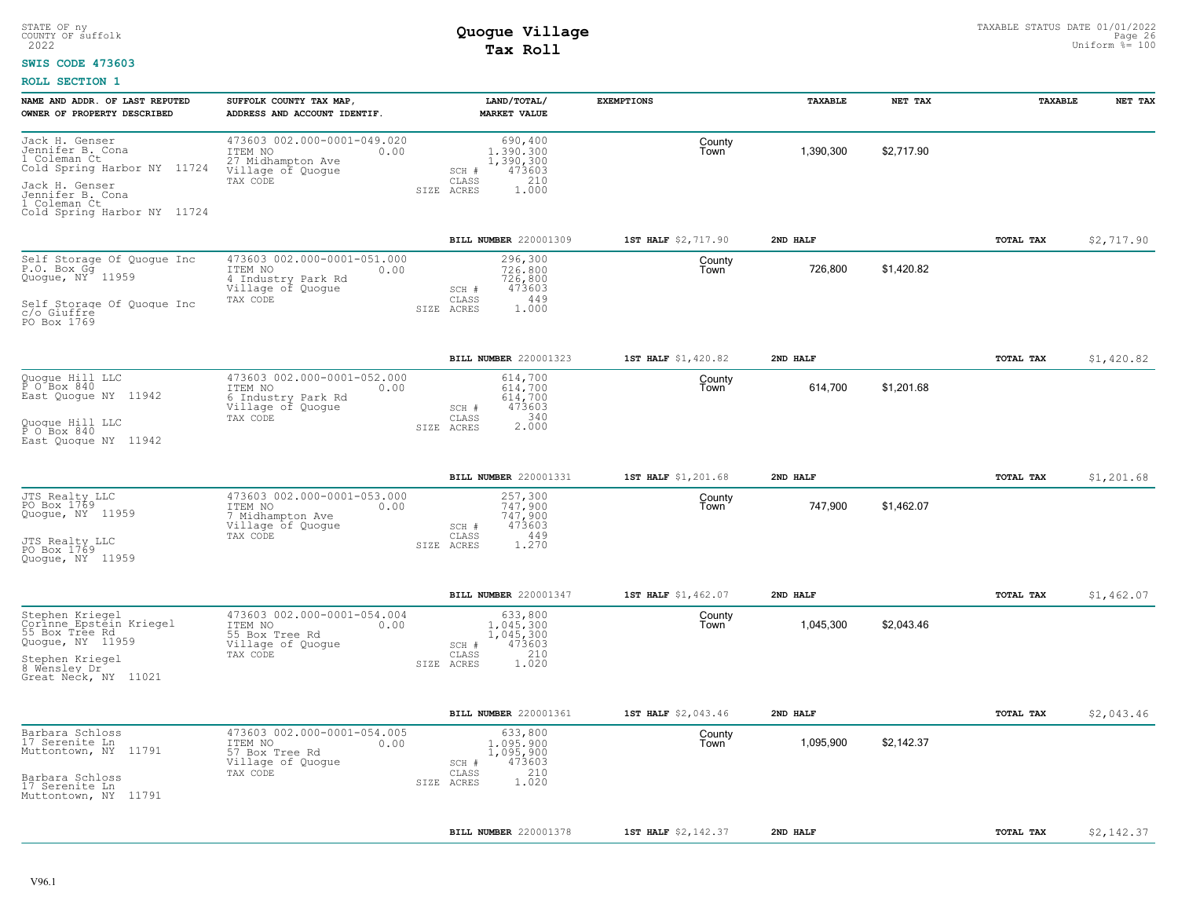### **SWIS CODE 473603**

| NAME AND ADDR. OF LAST REPUTED                                                                                                                                         | SUFFOLK COUNTY TAX MAP                                                                                | LAND/TOTAL/                                                                                          | <b>EXEMPTIONS</b>   | TAXABLE   | NET TAX    | TAXABLE   | NET TAX    |
|------------------------------------------------------------------------------------------------------------------------------------------------------------------------|-------------------------------------------------------------------------------------------------------|------------------------------------------------------------------------------------------------------|---------------------|-----------|------------|-----------|------------|
| OWNER OF PROPERTY DESCRIBED                                                                                                                                            | ADDRESS AND ACCOUNT IDENTIF.                                                                          | <b>MARKET VALUE</b>                                                                                  |                     |           |            |           |            |
| Jack H. Genser<br>Jennifer B. Cona<br>1 Coleman Ct<br>Cold Spring Harbor NY 11724<br>Jack H. Genser<br>Jennifer B. Cona<br>1 Coleman Ct<br>Cold Spring Harbor NY 11724 | 473603 002.000-0001-049.020<br>ITEM NO<br>0.00<br>27 Midhampton Ave<br>Village of Quogue<br>TAX CODE  | 690,400<br>1,390,300<br>1,390,300<br>473603<br>SCH #<br>210<br>CLASS<br>SIZE ACRES<br>1.000          | County<br>Town      | 1,390,300 | \$2,717.90 |           |            |
|                                                                                                                                                                        |                                                                                                       | BILL NUMBER 220001309                                                                                | 1ST HALF \$2,717.90 | 2ND HALF  |            | TOTAL TAX | \$2,717.90 |
| Self Storage Of Quoque Inc<br>P.O. Box Gg<br>Quogue, NY <sup>-</sup> 11959<br>Self Storage Of Quogue Inc<br>c/o Giuffre                                                | 473603 002.000-0001-051.000<br>ITEM NO<br>0.00<br>4 Industry Park Rd<br>Village of Quogue<br>TAX CODE | 296,300<br>726,800<br>726,800<br>473603<br>SCH #<br>449<br>CLASS<br>1,000<br>SIZE ACRES              | County<br>Town      | 726,800   | \$1,420.82 |           |            |
| PO Box 1769                                                                                                                                                            |                                                                                                       |                                                                                                      |                     |           |            |           |            |
|                                                                                                                                                                        |                                                                                                       | <b>BILL NUMBER 220001323</b>                                                                         | 1ST HALF \$1,420.82 | 2ND HALF  |            | TOTAL TAX | \$1,420.82 |
| Quogue Hill LLC<br>P O Box 840<br>East Quoque NY 11942<br>Quoque Hill LLC<br>$\bar{P}$ O Box 840                                                                       | 473603 002.000-0001-052.000<br>ITEM NO<br>0.00<br>6 Industry Park Rd<br>Village of Quogue<br>TAX CODE | 614,700<br>614.700<br>614,700<br>473603<br>SCH #<br>340<br>CLASS<br>$2.\overline{0}00$<br>SIZE ACRES | County<br>Town      | 614,700   | \$1,201.68 |           |            |
| East Quoque NY 11942                                                                                                                                                   |                                                                                                       |                                                                                                      |                     |           |            |           |            |
|                                                                                                                                                                        |                                                                                                       | BILL NUMBER 220001331                                                                                | 1ST HALF \$1,201.68 | 2ND HALF  |            | TOTAL TAX | \$1,201.68 |
| JTS Realty LLC<br>PO Box 1769<br>Quogue, NY 11959<br>JTS Realty LLC<br>PO Box 1769<br>Quoque, NY 11959                                                                 | 473603 002.000-0001-053.000<br>ITEM NO<br>0.00<br>7 Midhampton Ave<br>Village of Quogue<br>TAX CODE   | 257,300<br>747,900<br>747,900<br>473603<br>SCH #<br>449<br>CLASS<br>1.270<br>SIZE ACRES              | County<br>Town      | 747,900   | \$1,462.07 |           |            |
|                                                                                                                                                                        |                                                                                                       | BILL NUMBER 220001347                                                                                | 1ST HALF \$1,462.07 | 2ND HALF  |            | TOTAL TAX | \$1,462.07 |
| Stephen Kriegel<br>Corinne Epstein Kriegel<br>55 Box Tree Rd<br>Quogue, NY 11959<br>Stephen Kriegel<br>8 Wensley Dr<br>Great Neck, NY 11021                            | 473603 002.000-0001-054.004<br>ITEM NO<br>0.00<br>55 Box Tree Rd<br>Village of Quogue<br>TAX CODE     | 633,800<br>1,045,300<br>1,045,300<br>473603<br>SCH #<br>210<br>CLASS<br>SIZE ACRES<br>1.020          | County<br>Town      | 1,045,300 | \$2,043.46 |           |            |
|                                                                                                                                                                        |                                                                                                       | <b>BILL NUMBER 220001361</b>                                                                         | 1ST HALF \$2,043.46 | 2ND HALF  |            | TOTAL TAX | \$2,043.46 |
| Barbara Schloss<br>17 Serenite Ln<br>Muttontown, NY 11791<br>Barbara Schloss<br>17 Serenite Ln<br>Muttontown, NY 11791                                                 | 473603 002.000-0001-054.005<br>ITEM NO<br>0.00<br>57 Box Tree Rd<br>Village of Quogue<br>TAX CODE     | 633,800<br>1,095,900<br>1,095,900<br>473603<br>SCH #<br>210<br>CLASS<br>1.020<br>SIZE ACRES          | County<br>Town      | 1,095,900 | \$2,142.37 |           |            |
|                                                                                                                                                                        |                                                                                                       | BILL NUMBER 220001378                                                                                | 1ST HALF \$2,142.37 | 2ND HALF  |            | TOTAL TAX | \$2,142.37 |
|                                                                                                                                                                        |                                                                                                       |                                                                                                      |                     |           |            |           |            |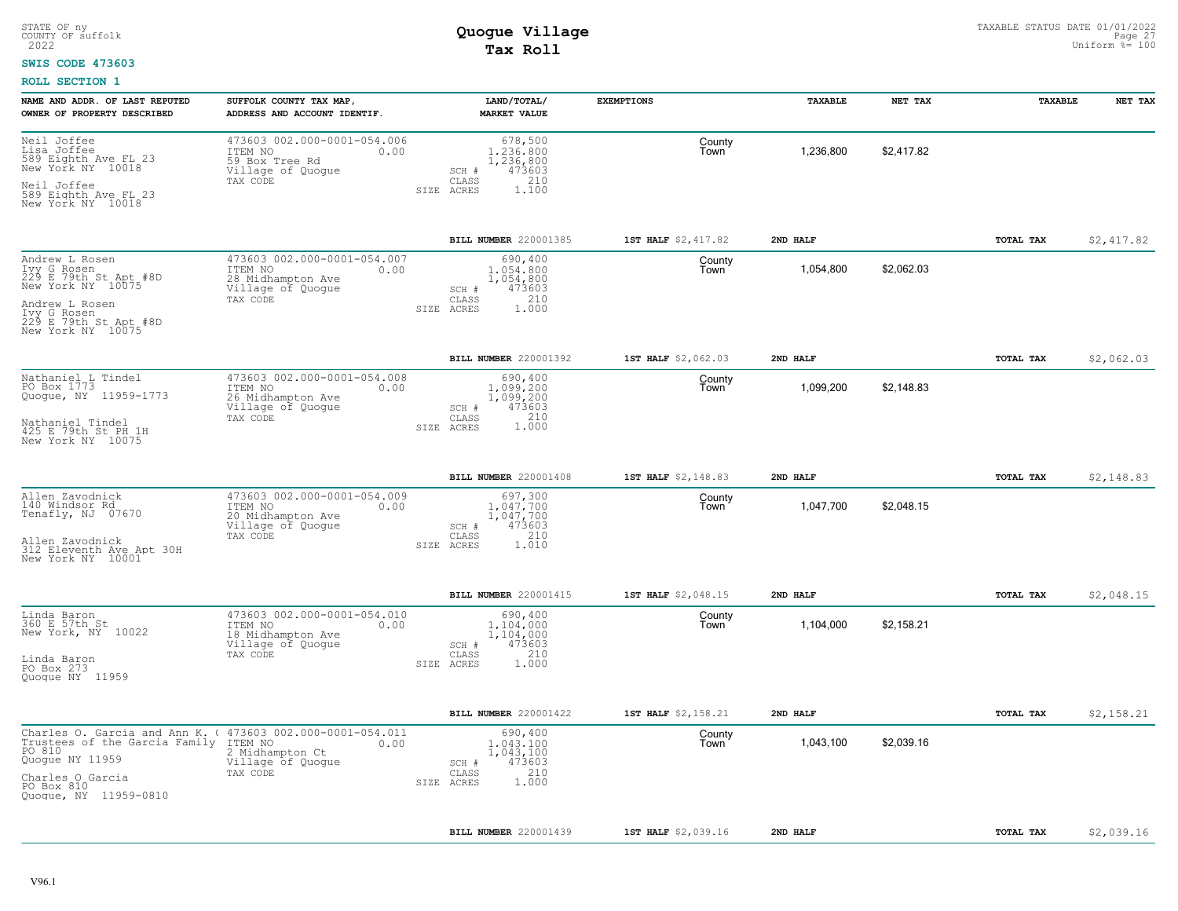### **SWIS CODE 473603**

| NAME AND ADDR. OF LAST REPUTED<br>OWNER OF PROPERTY DESCRIBED                                                                                                                               | SUFFOLK COUNTY TAX MAP,<br>ADDRESS AND ACCOUNT IDENTIF.                                              | LAND/TOTAL/<br><b>MARKET VALUE</b>                                                          | <b>EXEMPTIONS</b>   | TAXABLE   | NET TAX    | TAXABLE   | NET TAX    |
|---------------------------------------------------------------------------------------------------------------------------------------------------------------------------------------------|------------------------------------------------------------------------------------------------------|---------------------------------------------------------------------------------------------|---------------------|-----------|------------|-----------|------------|
| Neil Joffee<br>Lisa Joffee<br>589 Eighth Ave FL 23<br>New York NY 10018<br>Neil Joffee<br>589 Eighth Ave FL 23<br>New York NY 10018                                                         | 473603 002.000-0001-054.006<br>ITEM NO<br>0.00<br>59 Box Tree Rd<br>Village of Quogue<br>TAX CODE    | 678,500<br>1,236,800<br>1,236,800<br>473603<br>SCH #<br>210<br>CLASS<br>SIZE ACRES<br>1,100 | County<br>Town      | 1,236,800 | \$2,417.82 |           |            |
|                                                                                                                                                                                             |                                                                                                      | BILL NUMBER 220001385                                                                       | 1ST HALF \$2,417.82 | 2ND HALF  |            | TOTAL TAX | \$2,417.82 |
| Andrew L Rosen<br>Ivy G Rosen<br>229 E 79th St Apt #8D<br>New York NY 10075<br>Andrew L Rosen<br>Tvy G Rosen<br>229 E 79th St Apt #8D<br>New York NY 10075                                  | 473603 002.000-0001-054.007<br>ITEM NO<br>0.00<br>28 Midhampton Ave<br>Village of Quogue<br>TAX CODE | 690,400<br>1,054,800<br>1,054,800<br>473603<br>SCH #<br>210<br>CLASS<br>SIZE ACRES<br>1.000 | County<br>Town      | 1,054,800 | \$2,062.03 |           |            |
|                                                                                                                                                                                             |                                                                                                      | BILL NUMBER 220001392                                                                       | 1ST HALF \$2,062.03 | 2ND HALF  |            | TOTAL TAX | \$2,062.03 |
| Nathaniel L Tindel<br>PO Box 1773<br>Quogue, NY 11959-1773<br>Nathaniel Tindel<br>425 E 79th St PH 1H<br>New York NY 10075                                                                  | 473603 002.000-0001-054.008<br>ITEM NO<br>0.00<br>26 Midhampton Ave<br>Village of Quogue<br>TAX CODE | 690,400<br>1,099,200<br>1,099,200<br>473603<br>SCH #<br>CLASS<br>210<br>1.000<br>SIZE ACRES | County<br>Town      | 1,099,200 | \$2.148.83 |           |            |
|                                                                                                                                                                                             |                                                                                                      | BILL NUMBER 220001408                                                                       | 1ST HALF \$2,148.83 | 2ND HALF  |            | TOTAL TAX | \$2,148.83 |
| Allen Zavodnick<br>140 Windsor Rd<br>Tenafly, NJ 07670<br>Allen Zavodnick<br>312 Eleventh Ave Apt 30H<br>New York NY 10001                                                                  | 473603 002.000-0001-054.009<br>ITEM NO<br>0.00<br>20 Midhampton Ave<br>Village of Quogue<br>TAX CODE | 697,300<br>1,047,700<br>1,047,700<br>473603<br>SCH #<br>CLASS<br>210<br>SIZE ACRES<br>1.010 | County<br>Town      | 1,047,700 | \$2,048.15 |           |            |
|                                                                                                                                                                                             |                                                                                                      | <b>BILL NUMBER 220001415</b>                                                                | 1ST HALF \$2,048.15 | 2ND HALF  |            | TOTAL TAX | \$2,048.15 |
| Linda Baron<br>360 E 57th St<br>New York, NY 10022<br>Linda Baron<br>PO Box 273<br>Quogue NY 11959                                                                                          | 473603 002.000-0001-054.010<br>ITEM NO<br>0.00<br>18 Midhampton Ave<br>Village of Quogue<br>TAX CODE | 690,400<br>1,104,000<br>1,104,000<br>473603<br>SCH #<br>210<br>CLASS<br>1.000<br>SIZE ACRES | County<br>Town      | 1,104,000 | \$2,158.21 |           |            |
|                                                                                                                                                                                             |                                                                                                      | BILL NUMBER 220001422                                                                       | 1ST HALF \$2,158.21 | 2ND HALF  |            | TOTAL TAX | \$2,158.21 |
| Charles O. Garcia and Ann K. ( 473603 002.000-0001-054.011<br>Trustees of the Garcia Family ITEM NO<br>PO 810<br>Quogue NY 11959<br>Charles O Garcia<br>PO Box 810<br>Quogue, NY 11959-0810 | 0.00<br>2 Midhampton Ct<br>Village of Quogue<br>TAX CODE                                             | 690,400<br>1,043,100<br>1,043,100<br>473603<br>SCH #<br>210<br>CLASS<br>1.000<br>SIZE ACRES | County<br>Town      | 1,043,100 | \$2,039.16 |           |            |
|                                                                                                                                                                                             |                                                                                                      | BILL NUMBER 220001439                                                                       | 1ST HALF \$2,039.16 | 2ND HALF  |            | TOTAL TAX | \$2,039.16 |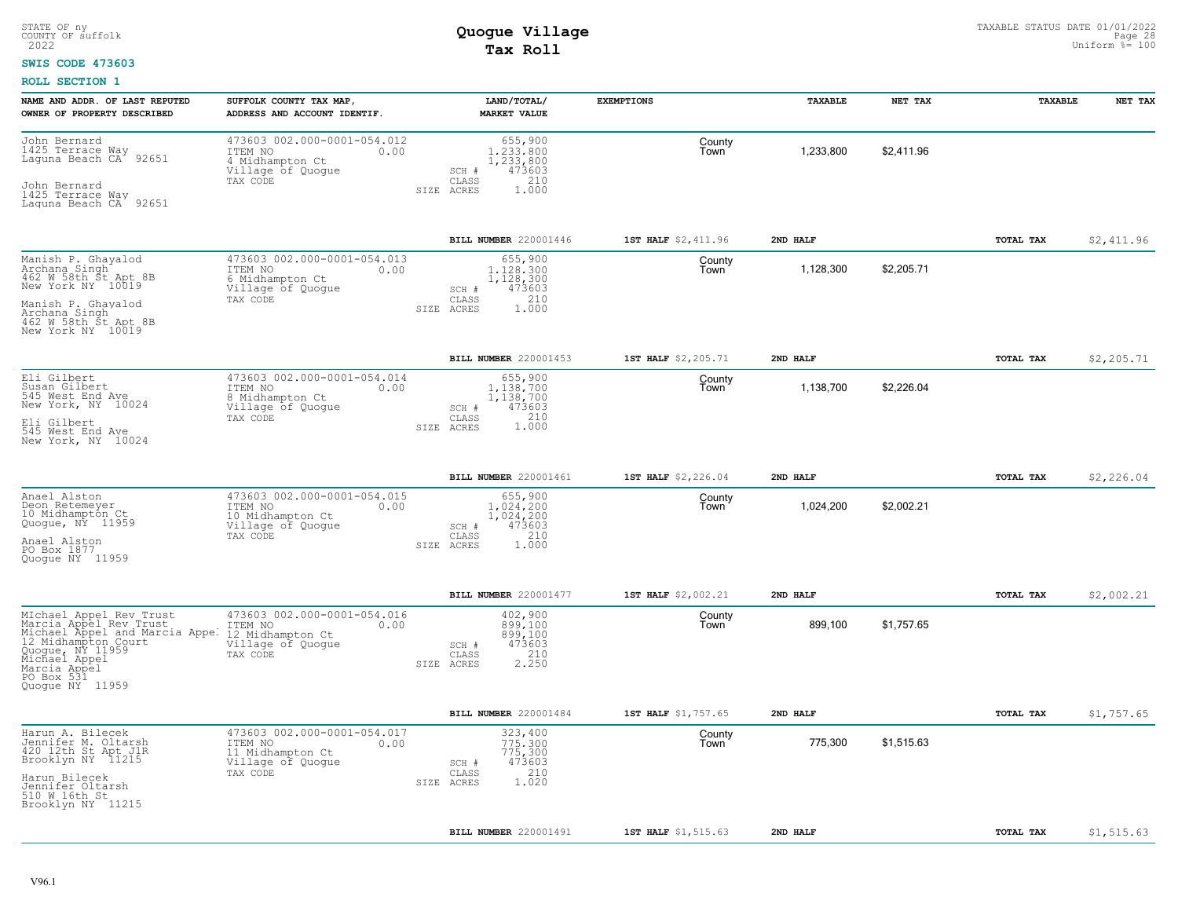### **SWIS CODE 473603**

| NAME AND ADDR. OF LAST REPUTED<br>OWNER OF PROPERTY DESCRIBED                                                                                                                                    | SUFFOLK COUNTY TAX MAP,<br>ADDRESS AND ACCOUNT IDENTIF.                                             | LAND/TOTAL/<br><b>MARKET VALUE</b>                                                          | <b>EXEMPTIONS</b>   | TAXABLE   | NET TAX    | TAXABLE   | NET TAX     |
|--------------------------------------------------------------------------------------------------------------------------------------------------------------------------------------------------|-----------------------------------------------------------------------------------------------------|---------------------------------------------------------------------------------------------|---------------------|-----------|------------|-----------|-------------|
| John Bernard<br>1425 Terrace Way<br>92651<br>Laguna Beach CA <sup>-</sup><br>John Bernard<br>1425 Terrace Way<br>Laguna Beach CA 92651                                                           | 473603 002.000-0001-054.012<br>ITEM NO<br>0.00<br>4 Midhampton Ct<br>Village of Quogue<br>TAX CODE  | 655,900<br>1,233,800<br>1,233,800<br>473603<br>SCH #<br>CLASS<br>210<br>SIZE ACRES<br>1,000 | County<br>Town      | 1,233,800 | \$2,411.96 |           |             |
|                                                                                                                                                                                                  |                                                                                                     | <b>BILL NUMBER</b> 220001446                                                                | 1ST HALF \$2,411.96 | 2ND HALF  |            | TOTAL TAX | \$2,411.96  |
| Manish P. Ghayalod<br>Archana Singh<br>462 W 58th St Apt 8B<br>New York NY 10019<br>Manish P. Ghayalod<br>Archana Singh<br>462 W 58th St Apt 8B<br>New York NY 10019                             | 473603 002.000-0001-054.013<br>ITEM NO<br>0.00<br>6 Midhampton Ct<br>Village of Quogue<br>TAX CODE  | 655,900<br>1,128,300<br>1,128,300<br>473603<br>SCH #<br>210<br>CLASS<br>SIZE ACRES<br>1,000 | County<br>Town      | 1,128,300 | \$2,205.71 |           |             |
|                                                                                                                                                                                                  |                                                                                                     | <b>BILL NUMBER 220001453</b>                                                                | 1ST HALF \$2,205.71 | 2ND HALF  |            | TOTAL TAX | \$2,205.71  |
| Eli Gilbert<br>Susan Gilbert<br>545 West End Ave<br>New York, NY 10024<br>Eli Gilbert<br>545 West End Ave<br>New York, NY 10024                                                                  | 473603 002.000-0001-054.014<br>ITEM NO<br>0.00<br>8 Midhampton Ct<br>Village of Quoque<br>TAX CODE  | 655,900<br>1.138.700<br>1,138,700<br>473603<br>SCH #<br>1.000<br>CLASS<br>SIZE ACRES        | County<br>Town      | 1,138,700 | \$2,226.04 |           |             |
|                                                                                                                                                                                                  |                                                                                                     | BILL NUMBER 220001461                                                                       | 1ST HALF \$2,226.04 | 2ND HALF  |            | TOTAL TAX | \$2,226.04  |
| Anael Alston<br>Deon Retemeyer<br>10 Midhampton Ct<br>Quogue, NY 11959<br>Anael Alston<br>PO Box 1877<br>Quoque NY 11959                                                                         | 473603 002.000-0001-054.015<br>ITEM NO<br>0.00<br>10 Midhampton Ct<br>Village of Quogue<br>TAX CODE | 655,900<br>1.024.200<br>1,024,200<br>473603<br>SCH #<br>210<br>CLASS<br>SIZE ACRES<br>1,000 | County<br>Town      | 1,024,200 | \$2,002.21 |           |             |
|                                                                                                                                                                                                  |                                                                                                     | <b>BILL NUMBER 220001477</b>                                                                | 1ST HALF \$2,002.21 | 2ND HALF  |            | TOTAL TAX | \$2,002.21  |
| MIchael Appel Rev Trust<br>Marcia Appel Rev Trust<br>Michael Appel and Marcia Appel<br>12 Midhampton Court<br>Quogue, NY 11959<br>Michael Appel<br>Marcia Appel<br>PO Box 531<br>Quoque NY 11959 | 473603 002.000-0001-054.016<br>0.00<br>ITEM NO<br>12 Midhampton Ct<br>Village of Quogue<br>TAX CODE | 402,900<br>899,100<br>899,100<br>473603<br>SCH #<br>210<br>CLASS<br>2.250<br>SIZE ACRES     | County<br>Town      | 899,100   | \$1,757.65 |           |             |
|                                                                                                                                                                                                  |                                                                                                     | BILL NUMBER 220001484                                                                       | 1ST HALF \$1,757.65 | 2ND HALF  |            | TOTAL TAX | \$1,757.65  |
| Harun A. Bilecek<br>Jennifer M. Oltarsh<br>420 12th St Apt J1R<br>Brooklyn NY 11215<br>Harun Bilecek<br>Jennifer Oltarsh<br>510 W 16th St<br>Brooklyn NY 11215                                   | 473603 002.000-0001-054.017<br>ITEM NO<br>0.00<br>11 Midhampton Ct<br>Village of Quogue<br>TAX CODE | 323,400<br>775.300<br>775,300<br>473603<br>SCH #<br>210<br>CLASS<br>1.020<br>SIZE ACRES     | County<br>Town      | 775,300   | \$1,515.63 |           |             |
|                                                                                                                                                                                                  |                                                                                                     | BILL NUMBER 220001491                                                                       | 1ST HALF \$1,515.63 | 2ND HALF  |            | TOTAL TAX | \$1, 515.63 |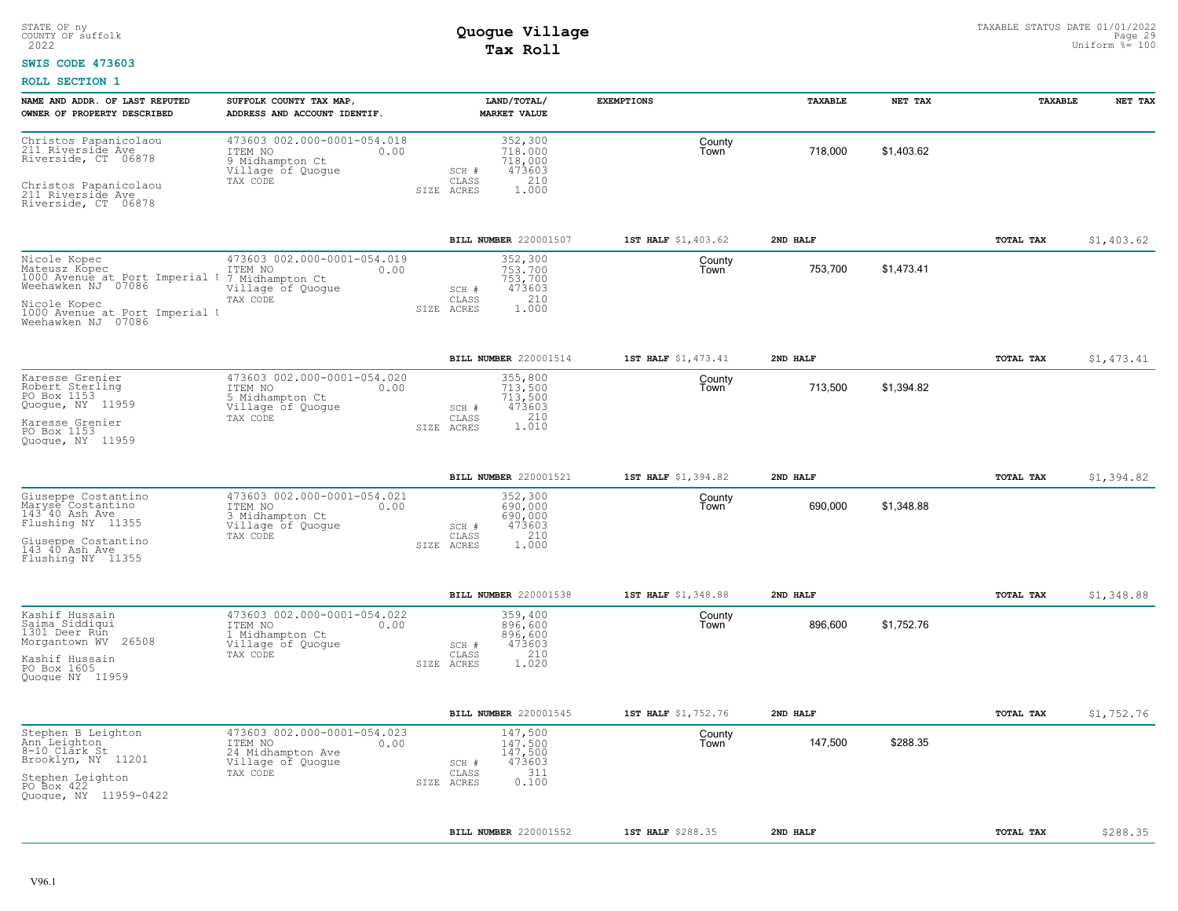### **SWIS CODE 473603**

| NAME AND ADDR. OF LAST REPUTED<br>OWNER OF PROPERTY DESCRIBED                                                                                                 | SUFFOLK COUNTY TAX MAP,<br>ADDRESS AND ACCOUNT IDENTIF.                                              | LAND/TOTAL/<br><b>MARKET VALUE</b>                                                      | <b>EXEMPTIONS</b>   | TAXABLE  | NET TAX    | TAXABLE          | NET TAX    |
|---------------------------------------------------------------------------------------------------------------------------------------------------------------|------------------------------------------------------------------------------------------------------|-----------------------------------------------------------------------------------------|---------------------|----------|------------|------------------|------------|
| Christos Papanicolaou<br>211 Riverside Ave<br>Riverside, CT 06878<br>Christos Papanicolaou<br>211 Riverside Ave<br>Riverside, CT 06878                        | 473603 002.000-0001-054.018<br>ITEM NO<br>0.00<br>9 Midhampton Ct<br>Village of Quogue<br>TAX CODE   | 352,300<br>718,000<br>718,000<br>473603<br>SCH #<br>CLASS<br>210<br>1.000<br>SIZE ACRES | County<br>Town      | 718,000  | \$1,403.62 |                  |            |
|                                                                                                                                                               |                                                                                                      | BILL NUMBER 220001507                                                                   | 1ST HALF \$1,403.62 | 2ND HALF |            | TOTAL TAX        | \$1,403.62 |
| Nicole Kopec<br>Mateusz Kopec<br>1000 Avenue at Port Imperial U<br>Weehawken NJ 07086<br>Nicole Kopec<br>1000 Avenue at Port Imperial I<br>Weehawken NJ 07086 | 473603 002.000-0001-054.019<br>ITEM NO<br>0.00<br>7 Midhampton Ct<br>Village of Quogue<br>TAX CODE   | 352,300<br>753.700<br>753,700<br>473603<br>SCH #<br>210<br>CLASS<br>1.000<br>SIZE ACRES | County<br>Town      | 753,700  | \$1,473.41 |                  |            |
|                                                                                                                                                               |                                                                                                      | BILL NUMBER 220001514                                                                   | 1ST HALF \$1,473.41 | 2ND HALF |            | TOTAL TAX        | \$1,473.41 |
| Karesse Grenier<br>Robert Sterling<br>PO Box 1153<br>Quogue, NY 11959<br>Karesse Grenier<br>PO Box 1153<br>Quoque, NY 11959                                   | 473603 002.000-0001-054.020<br>ITEM NO<br>0.00<br>5 Midhampton Ct<br>Village of Quogue<br>TAX CODE   | 355,800<br>713,500<br>713,500<br>473603<br>SCH #<br>210<br>CLASS<br>1.010<br>SIZE ACRES | County<br>Town      | 713,500  | \$1,394.82 |                  |            |
|                                                                                                                                                               |                                                                                                      | BILL NUMBER 220001521                                                                   | 1ST HALF \$1,394.82 | 2ND HALF |            | TOTAL TAX        | \$1,394.82 |
| Giuseppe Costantino<br>Maryse Costantino<br>143 40 Ash Ave<br>Flushing NY 11355<br>Giuseppe Costantino<br>143 40 Ash Ave<br>Flushing NY 11355                 | 473603 002.000-0001-054.021<br>ITEM NO<br>0.00<br>3 Midhampton Ct<br>Village of Quoque<br>TAX CODE   | 352,300<br>690,000<br>690,000<br>473603<br>SCH #<br>210<br>CLASS<br>SIZE ACRES<br>1,000 | County<br>Town      | 690,000  | \$1,348.88 |                  |            |
|                                                                                                                                                               |                                                                                                      | BILL NUMBER 220001538                                                                   | 1ST HALF \$1,348.88 | 2ND HALF |            | TOTAL TAX        | \$1,348.88 |
| Kashif Hussain<br>Saima Siddiqui<br>1301 Deer Run<br>26508<br>Morgantown WV<br>Kashif Hussain<br>PO Box 1605<br>Quoque NY 11959                               | 473603 002.000-0001-054.022<br>0.00<br>ITEM NO<br>1 Midhampton Ct<br>Village of Quogue<br>TAX CODE   | 359,400<br>896,600<br>896,600<br>473603<br>SCH #<br>210<br>CLASS<br>1.020<br>SIZE ACRES | County<br>Town      | 896,600  | \$1,752.76 |                  |            |
|                                                                                                                                                               |                                                                                                      | BILL NUMBER 220001545                                                                   | 1ST HALF \$1,752.76 | 2ND HALF |            | <b>TOTAL TAX</b> | \$1,752.76 |
| Stephen B Leighton<br>Ann Leighton<br>8-10 Clark St<br>Brooklyn, NY 11201<br>Stephen Leighton<br>PO Box 422<br>Quogue, NY 11959-0422                          | 473603 002.000-0001-054.023<br>ITEM NO<br>0.00<br>24 Midhampton Ave<br>Village of Quogue<br>TAX CODE | 147,500<br>147.500<br>147,500<br>473603<br>SCH #<br>311<br>CLASS<br>0.100<br>SIZE ACRES | County<br>Town      | 147,500  | \$288.35   |                  |            |
|                                                                                                                                                               |                                                                                                      | BILL NUMBER 220001552                                                                   | 1ST HALF \$288.35   | 2ND HALF |            | TOTAL TAX        | \$288.35   |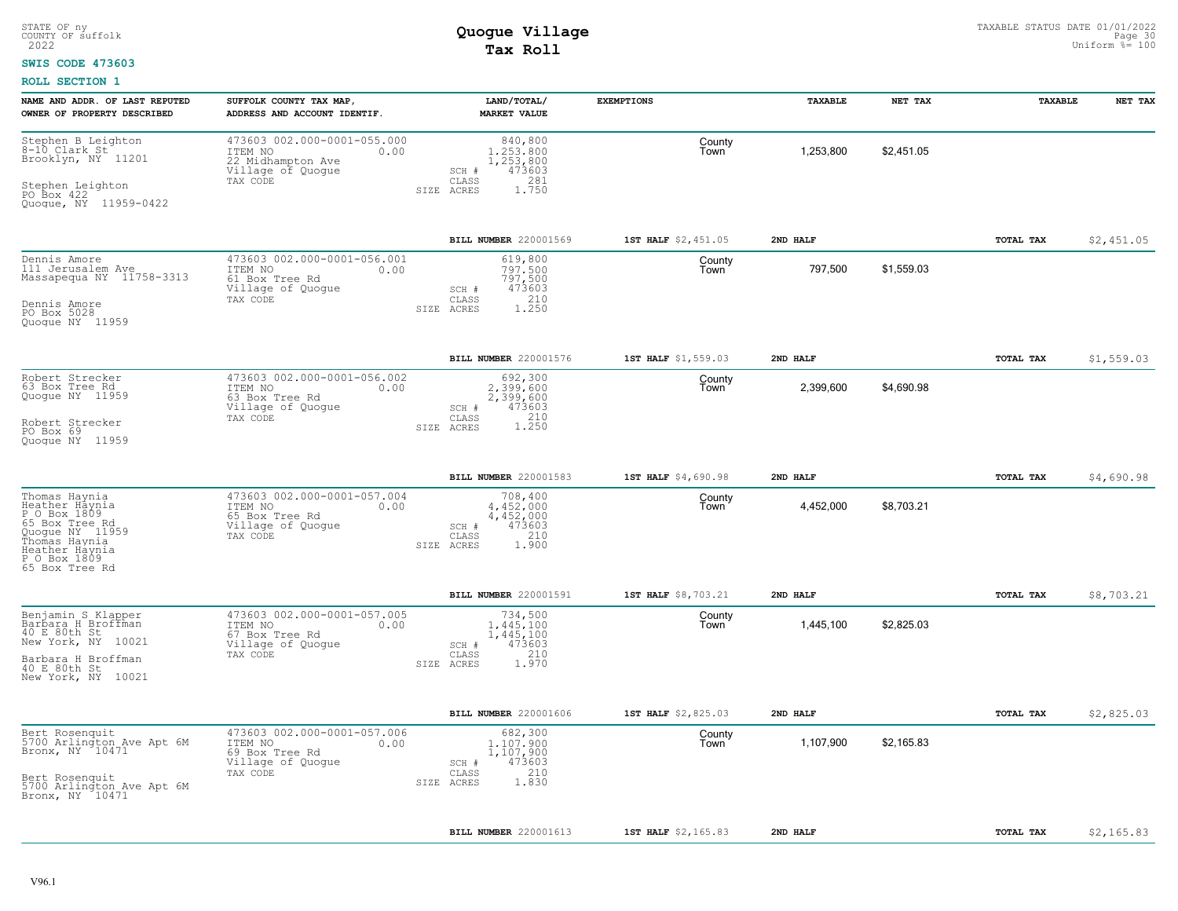### **SWIS CODE 473603**

| NAME AND ADDR. OF LAST REPUTED<br>OWNER OF PROPERTY DESCRIBED                                                                                             | SUFFOLK COUNTY TAX MAP<br>ADDRESS AND ACCOUNT IDENTIF.                                               | LAND/TOTAL/<br><b>MARKET VALUE</b>                                                          | <b>EXEMPTIONS</b>   | TAXABLE   | NET TAX    | TAXABLE   | NET TAX    |
|-----------------------------------------------------------------------------------------------------------------------------------------------------------|------------------------------------------------------------------------------------------------------|---------------------------------------------------------------------------------------------|---------------------|-----------|------------|-----------|------------|
| Stephen B Leighton<br>8-10 Clark St<br>Brieldsm William<br>Brooklyn, NY 11201<br>Stephen Leighton<br>PO Box 422<br>Quogue, NY 11959-0422                  | 473603 002.000-0001-055.000<br>ITEM NO<br>0.00<br>22 Midhampton Ave<br>Village of Quogue<br>TAX CODE | 840,800<br>1,253,800<br>1,253,800<br>473603<br>SCH #<br>CLASS<br>281<br>SIZE ACRES<br>1.750 | County<br>Town      | 1,253,800 | \$2,451.05 |           |            |
|                                                                                                                                                           |                                                                                                      | BILL NUMBER 220001569                                                                       | 1ST HALF \$2,451.05 | 2ND HALF  |            | TOTAL TAX | \$2,451.05 |
| Dennis Amore<br>111 Jerusalem Ave<br>Massapequa NY 11758-3313<br>Dennis Amore<br>PO Box 5028<br>Quoque NY 11959                                           | 473603 002.000-0001-056.001<br>ITEM NO<br>0.00<br>61 Box Tree Rd<br>Village of Quogue<br>TAX CODE    | 619,800<br>797.500<br>797,500<br>473603<br>SCH #<br>210<br>CLASS<br>1.250<br>SIZE ACRES     | County<br>Town      | 797,500   | \$1,559.03 |           |            |
|                                                                                                                                                           |                                                                                                      | BILL NUMBER 220001576                                                                       | 1ST HALF \$1,559.03 | 2ND HALF  |            | TOTAL TAX | \$1,559.03 |
| Robert Strecker<br>63 Box Tree Rd<br>Quogue NY 11959<br>Robert Strecker<br>PO Box 69<br>Quoque NY 11959                                                   | 473603 002.000-0001-056.002<br>0.00<br>ITEM NO<br>63 Box Tree Rd<br>Village of Quogue<br>TAX CODE    | 692,300<br>2.399.600<br>2,399,600<br>473603<br>SCH #<br>1.210<br>CLASS<br>SIZE ACRES        | County<br>Town      | 2,399,600 | \$4,690.98 |           |            |
|                                                                                                                                                           |                                                                                                      | BILL NUMBER 220001583                                                                       | 1ST HALF \$4,690.98 | 2ND HALF  |            | TOTAL TAX | \$4,690.98 |
| Thomas Haynia<br>Heather Haynia<br>P O Box 1809<br>65 Box Tree Rd<br>Quogue NY 11959<br>Thomas Haynia<br>Heather Haynia<br>P O Box 1809<br>65 Box Tree Rd | 473603 002.000-0001-057.004<br>ITEM NO<br>0.00<br>65 Box Tree Rd<br>Village of Quoque<br>TAX CODE    | 708,400<br>4.452.000<br>4,452,000<br>473603<br>SCH #<br>210<br>CLASS<br>1,900<br>SIZE ACRES | County<br>Town      | 4,452,000 | \$8,703.21 |           |            |
|                                                                                                                                                           |                                                                                                      | BILL NUMBER 220001591                                                                       | 1ST HALF \$8,703.21 | 2ND HALF  |            | TOTAL TAX | \$8,703.21 |
| Benjamin S Klapper<br>Barbara H Broffman<br>40 E 80th St<br>New York, NY 10021<br>Barbara H Broffman<br>40 E 80th St<br>New York, NY 10021                | 473603 002.000-0001-057.005<br>ITEM NO<br>0.00<br>67 Box Tree Rd<br>Village of Quogue<br>TAX CODE    | 734,500<br>1,445,100<br>1,445,100<br>473603<br>SCH #<br>210<br>CLASS<br>1.970<br>SIZE ACRES | County<br>Town      | 1,445,100 | \$2,825.03 |           |            |
|                                                                                                                                                           |                                                                                                      | <b>BILL NUMBER 220001606</b>                                                                | 1ST HALF \$2,825.03 | 2ND HALF  |            | TOTAL TAX | \$2,825.03 |
| Bert Rosenquit<br>5700 Arlington Ave Apt 6M<br>Bronx, NY 10471<br>Bert Rosenquit<br>5700 Arlington Ave Apt 6M<br>Bronx, NY 10471                          | 473603 002.000-0001-057.006<br>ITEM NO<br>0.00<br>69 Box Tree Rd<br>Village of Quogue<br>TAX CODE    | 682,300<br>1,107,900<br>1,107,900<br>473603<br>SCH #<br>210<br>CLASS<br>1.830<br>SIZE ACRES | County<br>Town      | 1,107,900 | \$2,165.83 |           |            |
|                                                                                                                                                           |                                                                                                      | BILL NUMBER 220001613                                                                       | 1ST HALF \$2,165.83 | 2ND HALF  |            | TOTAL TAX | \$2,165.83 |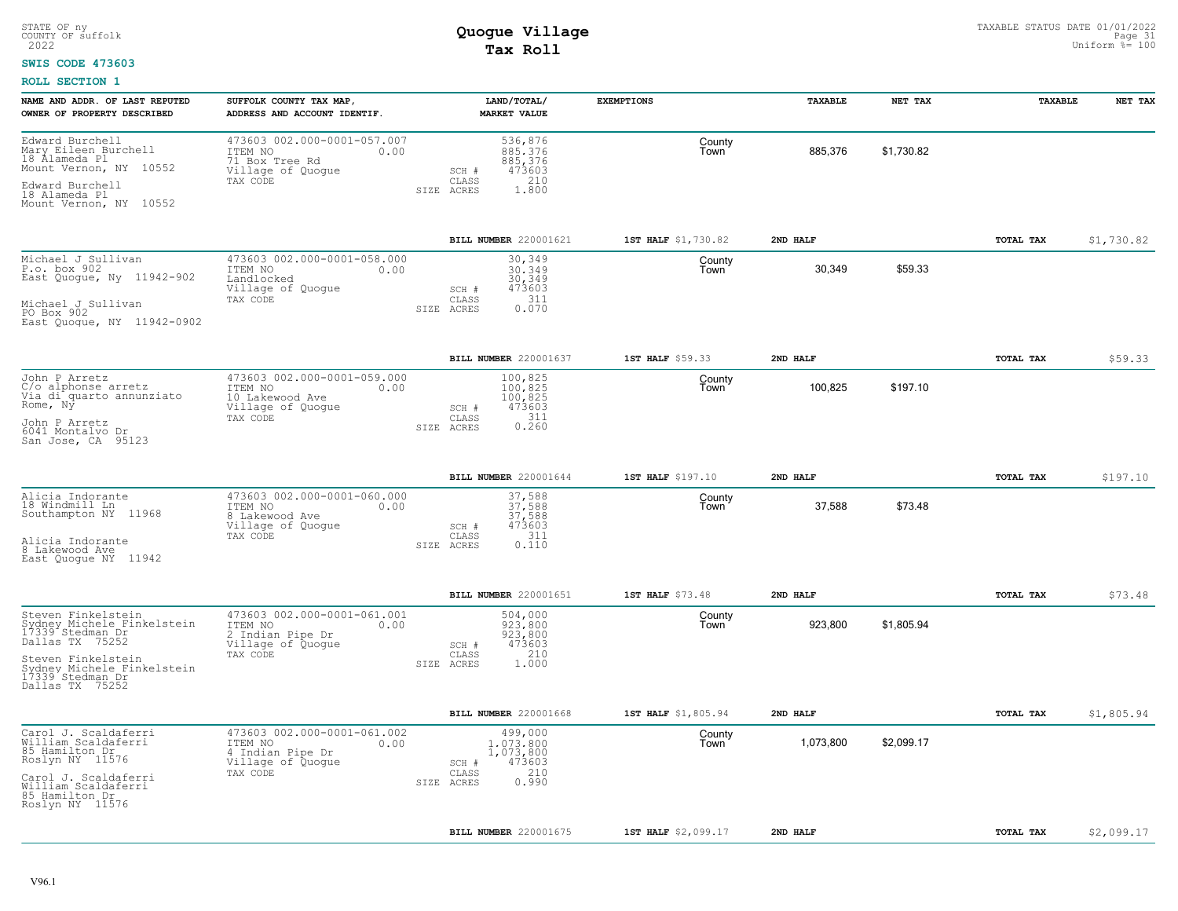#### **SWIS CODE 473603**

| NAME AND ADDR. OF LAST REPUTED<br>OWNER OF PROPERTY DESCRIBED                                                                                                                      | SUFFOLK COUNTY TAX MAP,<br>ADDRESS AND ACCOUNT IDENTIF.                                             | LAND/TOTAL/<br><b>MARKET VALUE</b>                                                          | <b>EXEMPTIONS</b>   | TAXABLE   | NET TAX    | TAXABLE   | NET TAX    |
|------------------------------------------------------------------------------------------------------------------------------------------------------------------------------------|-----------------------------------------------------------------------------------------------------|---------------------------------------------------------------------------------------------|---------------------|-----------|------------|-----------|------------|
| Edward Burchell<br>Mary Eileen Burchell<br>18 Alameda Pl<br>Mount Vernon, NY 10552<br>Edward Burchell<br>18 Alameda Pl<br>Mount Vernon, NY 10552                                   | 473603 002.000-0001-057.007<br>ITEM NO<br>0.00<br>71 Box Tree Rd<br>Village of Quogue<br>TAX CODE   | 536,876<br>885, 376<br>885, 376<br>473603<br>SCH #<br>210<br>CLASS<br>1.800<br>SIZE ACRES   | County<br>Town      | 885,376   | \$1,730.82 |           |            |
|                                                                                                                                                                                    |                                                                                                     | BILL NUMBER 220001621                                                                       | 1ST HALF \$1,730.82 | 2ND HALF  |            | TOTAL TAX | \$1,730.82 |
| Michael J Sullivan<br>$\underline{P}.o. box 902$<br>East Quogue, Ny 11942-902<br>Michael J Sullivan<br>PO Box 902<br>East Quoque, NY 11942-0902                                    | 473603 002.000-0001-058.000<br>ITEM NO<br>0.00<br>Landlocked<br>Village of Quogue<br>TAX CODE       | 30,349<br>30,349<br>30,349<br>473603<br>$SCH$ $#$<br>311<br>CLASS<br>0.070<br>SIZE ACRES    | County<br>Town      | 30,349    | \$59.33    |           |            |
|                                                                                                                                                                                    |                                                                                                     | BILL NUMBER 220001637                                                                       | 1ST HALF \$59.33    | 2ND HALF  |            | TOTAL TAX | \$59.33    |
| John P Arretz<br>C/o alphonse arretz<br>Via di quarto annunziato<br>Rome, Ny<br>John P Arretz<br>6041 Montalvo Dr<br>San Jose, CA 95123                                            | 473603 002.000-0001-059.000<br>ITEM NO<br>0.00<br>10 Lakewood Ave<br>Village of Quogue<br>TAX CODE  | 100,825<br>100,825<br>100,825<br>473603<br>SCH #<br>311<br>CLASS<br>0.260<br>SIZE ACRES     | County<br>Town      | 100,825   | \$197.10   |           |            |
|                                                                                                                                                                                    |                                                                                                     | BILL NUMBER 220001644                                                                       | 1ST HALF \$197.10   | 2ND HALF  |            | TOTAL TAX | \$197.10   |
| Alicia Indorante<br>18 Windmill Ln<br>Southampton NY 11968<br>Alicia Indorante<br>8 Lakewood Ave<br>East Quoque NY 11942                                                           | 473603 002.000-0001-060.000<br>ITEM NO<br>0.00<br>8 Lakewood Ave<br>Village of Quogue<br>TAX CODE   | 37,588<br>37,588<br>37,588<br>473603<br>SCH #<br>311<br>CLASS<br>SIZE ACRES<br>0.110        | County<br>Town      | 37,588    | \$73.48    |           |            |
|                                                                                                                                                                                    |                                                                                                     | BILL NUMBER 220001651                                                                       | 1ST HALF \$73.48    | 2ND HALF  |            | TOTAL TAX | \$73.48    |
| Steven Finkelstein<br>Sydney Michele Finkelstein<br>17339 Stedman Dr<br>Dallas TX 75252<br>Steven Finkelstein<br>Sydney Michele Finkelstein<br>17339 Stedman Dr<br>Dallas TX 75252 | 473603 002.000-0001-061.001<br>ITEM NO<br>0.00<br>2 Indian Pipe Dr<br>Village of Quogue<br>TAX CODE | 504,000<br>923,800<br>923,800<br>473603<br>SCH #<br>210<br>CLASS<br>1.000<br>SIZE ACRES     | County<br>Town      | 923,800   | \$1,805.94 |           |            |
|                                                                                                                                                                                    |                                                                                                     | BILL NUMBER 220001668                                                                       | 1ST HALF \$1,805.94 | 2ND HALF  |            | TOTAL TAX | \$1,805.94 |
| Carol J. Scaldaferri<br>William Scaldaferri<br>85 Hamilton Dr<br>Roslyn NY 11576<br>Carol J. Scaldaferri<br>William Scaldaferri<br>85 Hamilton Dr<br>Roslyn NY 11576               | 473603 002.000-0001-061.002<br>ITEM NO<br>0.00<br>4 Indian Pipe Dr<br>Village of Quogue<br>TAX CODE | 499,000<br>1,073,800<br>1,073,800<br>473603<br>SCH #<br>210<br>CLASS<br>0.990<br>SIZE ACRES | County<br>Town      | 1,073,800 | \$2,099.17 |           |            |
|                                                                                                                                                                                    |                                                                                                     | BILL NUMBER 220001675                                                                       | 1ST HALF \$2,099.17 | 2ND HALF  |            | TOTAL TAX | \$2,099.17 |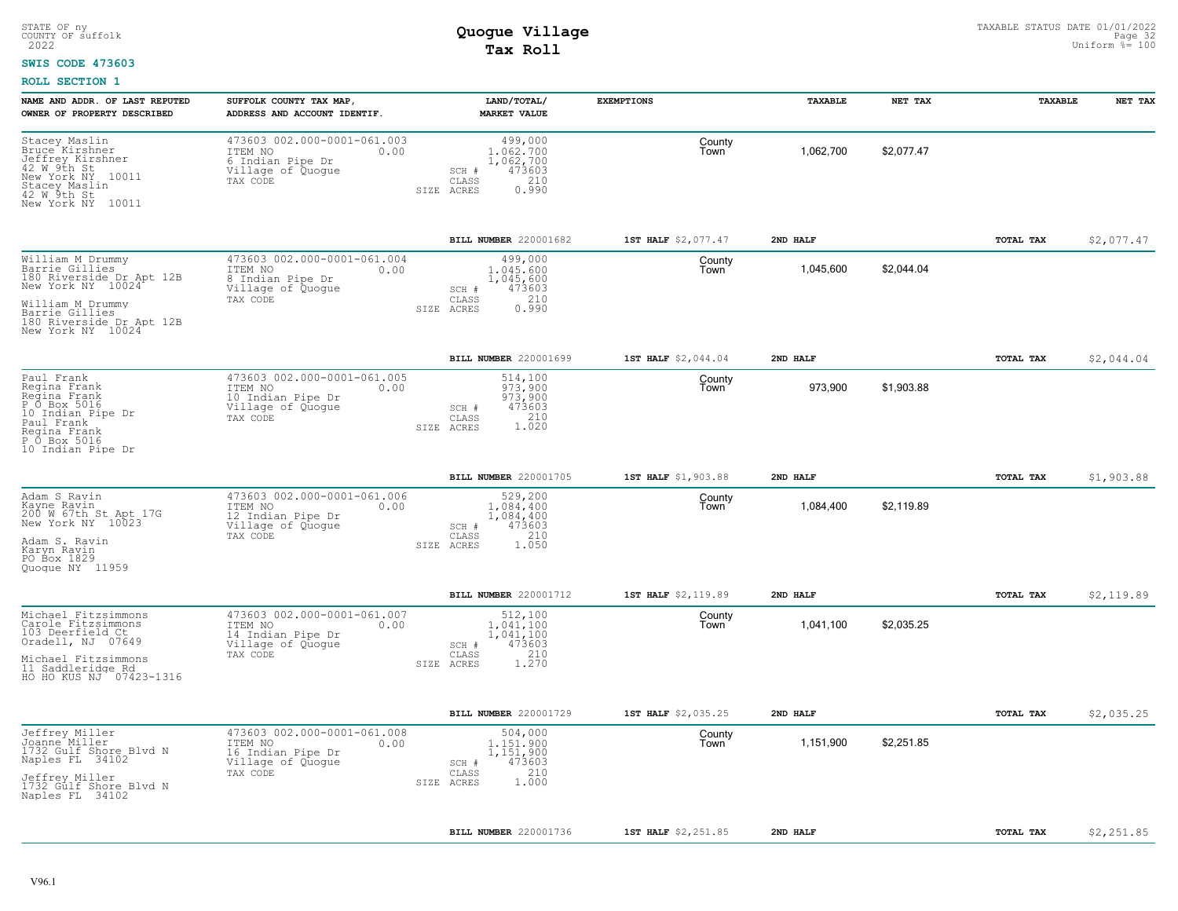#### **SWIS CODE 473603**

| NAME AND ADDR. OF LAST REPUTED<br>OWNER OF PROPERTY DESCRIBED                                                                                                              | SUFFOLK COUNTY TAX MAP<br>ADDRESS AND ACCOUNT IDENTIF.                                               | LAND/TOTAL/<br><b>MARKET VALUE</b>                                                                     | <b>EXEMPTIONS</b>   | TAXABLE   | NET TAX    | TAXABLE          | NET TAX    |
|----------------------------------------------------------------------------------------------------------------------------------------------------------------------------|------------------------------------------------------------------------------------------------------|--------------------------------------------------------------------------------------------------------|---------------------|-----------|------------|------------------|------------|
| Stacey Maslin<br>Bruce Kirshner<br>Jeffrey Kirshner<br>42 W 9th St<br>New York NY 10011<br>Stacey Maslin<br>42 W 9th St<br>New York NY 10011                               | 473603 002.000-0001-061.003<br>ITEM NO<br>0.00<br>6 Indian Pipe Dr<br>Village of Quogue<br>TAX CODE  | 499,000<br>1.062.700<br>1,062,700<br>473603<br>SCH #<br>210<br>$\mathtt{CLASS}$<br>SIZE ACRES<br>0.990 | County<br>Town      | 1,062,700 | \$2,077.47 |                  |            |
|                                                                                                                                                                            |                                                                                                      | BILL NUMBER 220001682                                                                                  | 1ST HALF \$2,077.47 | 2ND HALF  |            | TOTAL TAX        | \$2,077.47 |
| William M Drummy<br>Barrie Gillies<br>180 Riverside Dr Apt 12B<br>New York NY 10024<br>William M Drummy<br>Barrie Gillies<br>180 Riverside Dr Apt 12B<br>New York NY 10024 | 473603 002.000-0001-061.004<br>ITEM NO<br>0.00<br>8 Indian Pipe Dr<br>Village of Quogue<br>TAX CODE  | 499,000<br>1.045.600<br>1,045,600<br>473603<br>SCH #<br>210<br>CLASS<br>0.990<br>ACRES<br>SIZE         | County<br>Town      | 1,045,600 | \$2,044.04 |                  |            |
|                                                                                                                                                                            |                                                                                                      | BILL NUMBER 220001699                                                                                  | 1ST HALF \$2,044.04 | 2ND HALF  |            | TOTAL TAX        | \$2,044.04 |
| Paul Frank<br>Regina Frank<br>Regina Frank<br>P 0 Box 5016<br>10 Indian Pipe Dr<br>Paul Frank<br>Regina Frank<br>P O Box 5016<br>10 Indian Pipe Dr                         | 473603 002.000-0001-061.005<br>ITEM NO<br>0.00<br>10 Indian Pipe Dr<br>Village of Quogue<br>TAX CODE | 514,100<br>973,900<br>973,900<br>473603<br>SCH #<br>$1.210$<br>$1.020$<br>CLASS<br>SIZE ACRES          | County<br>Town      | 973,900   | \$1,903.88 |                  |            |
|                                                                                                                                                                            |                                                                                                      | <b>BILL NUMBER 220001705</b>                                                                           | 1ST HALF \$1,903.88 | 2ND HALF  |            | TOTAL TAX        | \$1,903.88 |
| Adam S Ravin<br>Kayne Ravin<br>200 W 67th St Apt 17G<br>New York NY 10023<br>Adam S. Ravin<br>Karyn Ravin<br>PO Box 1829<br>Quoque NY 11959                                | 473603 002.000-0001-061.006<br>ITEM NO<br>0.00<br>12 Indian Pipe Dr<br>Village of Quogue<br>TAX CODE | 529,200<br>1,084,400<br>1,084,400<br>473603<br>SCH #<br>CLASS<br>210<br>1.050<br>SIZE ACRES            | County<br>Town      | 1,084,400 | \$2,119.89 |                  |            |
|                                                                                                                                                                            |                                                                                                      | BILL NUMBER 220001712                                                                                  | 1ST HALF \$2,119.89 | 2ND HALF  |            | TOTAL TAX        | \$2,119.89 |
| Michael Fitzsimmons<br>Carole Fitzsimmons<br>103 Deerfield Ct<br>Oradell, NJ 07649<br>Michael Fitzsimmons<br>11 Saddleridge Rd<br>HO HO KUS NJ 07423-1316                  | 473603 002.000-0001-061.007<br>ITEM NO<br>0.00<br>14 Indian Pipe Dr<br>Village of Quogue<br>TAX CODE | 512,100<br>1,041,100<br>1,041,100<br>473603<br>SCH #<br>210<br>CLASS<br>1,270<br>SIZE<br>ACRES         | County<br>Town      | 1,041,100 | \$2,035.25 |                  |            |
|                                                                                                                                                                            |                                                                                                      | BILL NUMBER 220001729                                                                                  | 1ST HALF \$2,035.25 | 2ND HALF  |            | TOTAL TAX        | \$2,035.25 |
| Jeffrey Miller<br>Joanne Miller<br>1732 Gulf Shore Blvd N<br>Naples FL 34102<br>Jeffrey Miller<br>1732 Gulf Shore Blvd N<br>Naples FL 34102                                | 473603 002.000-0001-061.008<br>ITEM NO<br>0.00<br>16 Indian Pipe Dr<br>Village of Quogue<br>TAX CODE | 504,000<br>1,151,900<br>1,151,900<br>473603<br>SCH #<br>210<br>CLASS<br>1.000<br>SIZE ACRES            | County<br>Town      | 1,151,900 | \$2,251.85 |                  |            |
|                                                                                                                                                                            |                                                                                                      | BILL NUMBER 220001736                                                                                  | 1ST HALF \$2,251.85 | 2ND HALF  |            | <b>TOTAL TAX</b> | \$2,251.85 |
|                                                                                                                                                                            |                                                                                                      |                                                                                                        |                     |           |            |                  |            |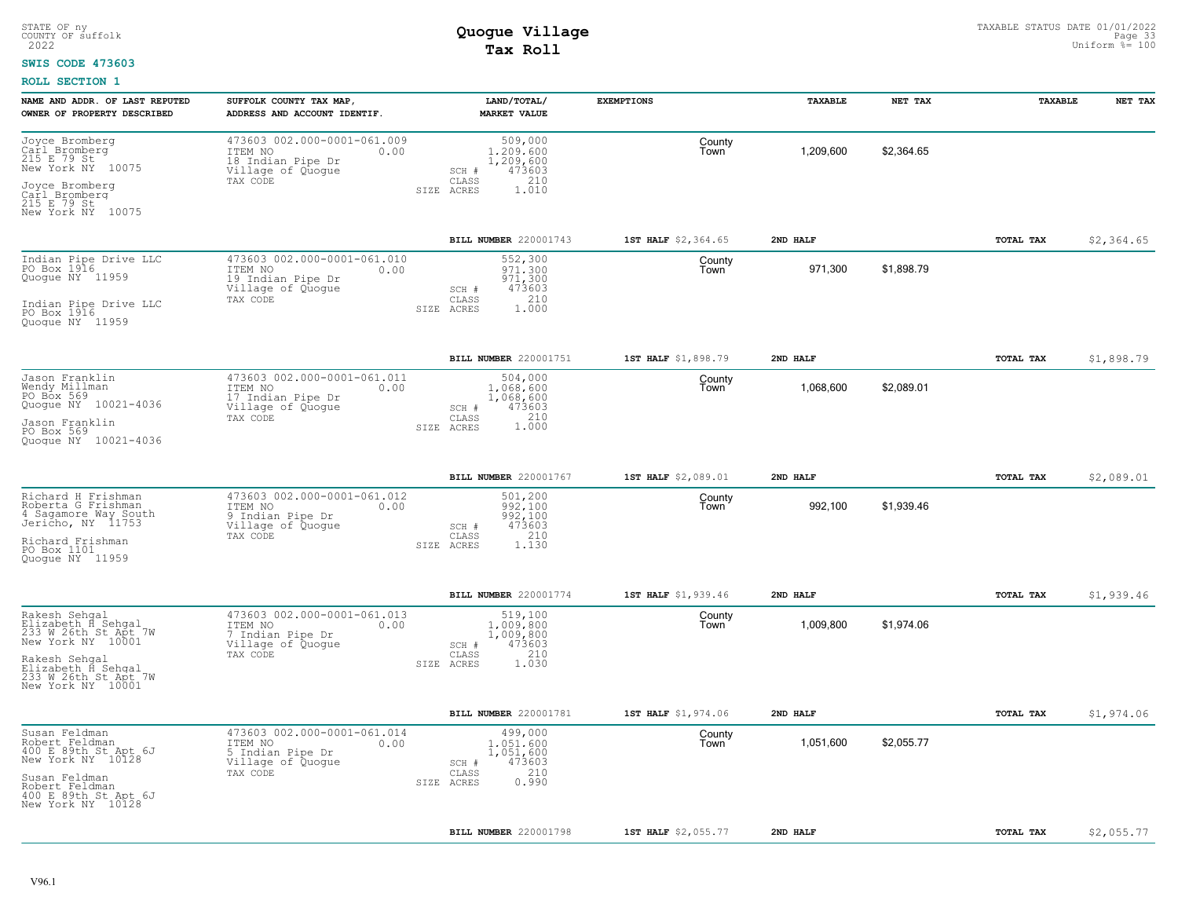#### **SWIS CODE 473603**

| NAME AND ADDR. OF LAST REPUTED<br>OWNER OF PROPERTY DESCRIBED                                                         | SUFFOLK COUNTY TAX MAP,<br>ADDRESS AND ACCOUNT IDENTIF.                                              | LAND/TOTAL/<br><b>MARKET VALUE</b>                                                              | <b>EXEMPTIONS</b>   | TAXABLE   | NET TAX    | <b>TAXABLE</b>   | NET TAX    |
|-----------------------------------------------------------------------------------------------------------------------|------------------------------------------------------------------------------------------------------|-------------------------------------------------------------------------------------------------|---------------------|-----------|------------|------------------|------------|
| Joyce Bromberg<br>Carl Bromberg<br>215 E 79 St<br>New York NY 10075<br>Joyce Bromberg<br>Carl Bromberg<br>215 E 79 St | 473603 002.000-0001-061.009<br>ITEM NO<br>0.00<br>18 Indian Pipe Dr<br>Village of Quogue<br>TAX CODE | 509,000<br>1,209,600<br>1,209,600<br>473603<br>$SCH$ $#$<br>210<br>CLASS<br>1.010<br>SIZE ACRES | County<br>Town      | 1,209,600 | \$2.364.65 |                  |            |
| New York NY 10075                                                                                                     |                                                                                                      |                                                                                                 |                     |           |            |                  |            |
|                                                                                                                       |                                                                                                      | BILL NUMBER 220001743                                                                           | 1ST HALF \$2,364.65 | 2ND HALF  |            | TOTAL TAX        | \$2,364.65 |
| Indian Pipe Drive LLC<br>PO Box 1916<br>Quoque NY 11959                                                               | 473603 002.000-0001-061.010<br>ITEM NO<br>0.00<br>19 Indian Pipe Dr<br>Village of Quogue<br>TAX CODE | 552,300<br>971,300<br>971,300<br>473603<br>SCH #<br>210                                         | County<br>Town      | 971,300   | \$1,898.79 |                  |            |
| Indian Pipe Drive LLC<br>PO Box 1916<br>Quoque NY 11959                                                               |                                                                                                      | CLASS<br>SIZE ACRES<br>1,000                                                                    |                     |           |            |                  |            |
|                                                                                                                       |                                                                                                      | <b>BILL NUMBER 220001751</b>                                                                    | 1ST HALF \$1,898.79 | 2ND HALF  |            | TOTAL TAX        | \$1,898.79 |
| Jason Franklin<br>Wendy Millman<br>PO Box 569<br>Quogue NY 10021-4036                                                 | 473603 002.000-0001-061.011<br>0.00<br>ITEM NO<br>17 Indian Pipe Dr<br>Village of Quogue             | 504,000<br>1,068,600<br>1,068,600<br>473603<br>SCH #                                            | County<br>Town      | 1,068,600 | \$2,089.01 |                  |            |
| Jason Franklin<br>PO Box 569<br>Quoque NY 10021-4036                                                                  | TAX CODE                                                                                             | CLASS<br>210<br>1,000<br>SIZE ACRES                                                             |                     |           |            |                  |            |
|                                                                                                                       |                                                                                                      | BILL NUMBER 220001767                                                                           | 1ST HALF \$2,089.01 | 2ND HALF  |            | TOTAL TAX        | \$2,089.01 |
| Richard H Frishman<br>Roberta G Frishman<br>4 Sagamore Way South<br>Jericho, NY 11753                                 | 473603 002.000-0001-061.012<br>ITEM NO<br>0.00<br>9 Indian Pipe Dr<br>Village of Quogue<br>TAX CODE  | 501,200<br>992,100<br>992,100<br>473603<br>SCH #<br>210<br>CLASS                                | County<br>Town      | 992,100   | \$1,939.46 |                  |            |
| Richard Frishman<br>PO Box 1101<br>Quoque NY 11959                                                                    |                                                                                                      | 1,130<br>SIZE ACRES                                                                             |                     |           |            |                  |            |
|                                                                                                                       |                                                                                                      | BILL NUMBER 220001774                                                                           | 1ST HALF \$1,939.46 | 2ND HALF  |            | TOTAL TAX        | \$1,939.46 |
| Rakesh Sehgal<br>Elizabeth H Sehgal<br>233 W 26th St Apt 7W<br>New York NY 10001                                      | 473603 002.000-0001-061.013<br>ITEM NO<br>0.00<br>7 Indian Pipe Dr<br>Village of Quogue              | 519,100<br>1,009,800<br>1,009,800<br>473603<br>SCH #                                            | County<br>Town      | 1,009,800 | \$1,974.06 |                  |            |
| Rakesh Sehqal<br>Elizabeth H Sehgal<br>233 W 26th St Apt 7W<br>New York NY 10001                                      | TAX CODE                                                                                             | 210<br>CLASS<br>SIZE ACRES<br>1.030                                                             |                     |           |            |                  |            |
|                                                                                                                       |                                                                                                      | BILL NUMBER 220001781                                                                           | 1ST HALF \$1,974.06 | 2ND HALF  |            | TOTAL TAX        | \$1,974.06 |
| Susan Feldman<br>Robert Feldman<br>400 E 89th St Apt 6J<br>New York NY 10128                                          | 473603 002.000-0001-061.014<br>ITEM NO<br>0.00<br>5 Indian Pipe Dr<br>Village of Quogue              | 499,000<br>1.051.600<br>1,051,600<br>473603<br>SCH #                                            | County<br>Town      | 1,051,600 | \$2,055.77 |                  |            |
| Susan Feldman<br>Robert Feldman<br>400 E 89th St Apt 6J<br>New York NY 10128                                          | TAX CODE                                                                                             | 210<br>CLASS<br>0.990<br>SIZE ACRES                                                             |                     |           |            |                  |            |
|                                                                                                                       |                                                                                                      | BILL NUMBER 220001798                                                                           | 1ST HALF \$2,055.77 | 2ND HALF  |            | <b>TOTAL TAX</b> | \$2,055.77 |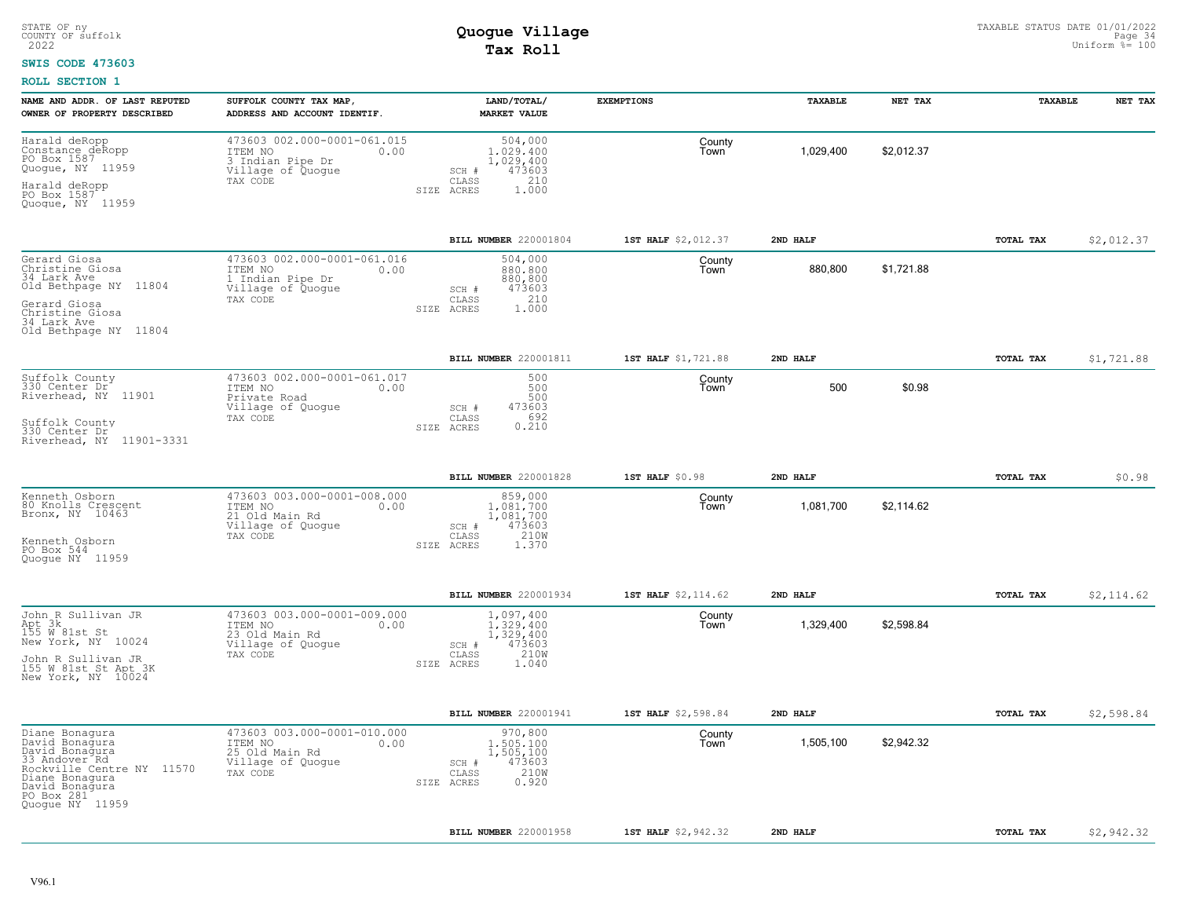### **SWIS CODE 473603**

| 473603 002.000-0001-061.015<br>Harald deRopp<br>504,000<br>County<br>\$2,012.37<br>Constance deRopp<br>PO Box 1587<br>1,029,400<br>ITEM NO<br>0.00<br>1,029,400<br>Town<br>3 Indian Pipe Dr<br>1,029,400<br>Quogue, NY 11959<br>473603<br>Village of Quogue<br>SCH #<br>210<br>TAX CODE<br>CLASS<br>Harald deRopp<br>1.000<br>SIZE ACRES<br>PO Box 1587<br>Quogue, NY 11959<br>BILL NUMBER 220001804<br>1ST HALF \$2,012.37<br>2ND HALF<br>TOTAL TAX<br>473603 002.000-0001-061.016<br>Gerard Giosa<br>Christine Giosa<br>34 Lark Ave<br>504,000<br>County<br>880,800<br>\$1,721.88<br>ITEM NO<br>0.00<br>880,800<br>Town<br>1 Indian Pipe Dr<br>880,800<br>Old Bethpage NY 11804<br>Village of Quogue<br>473603<br>$SCH$ $#$<br>210<br>CLASS<br>TAX CODE<br>Gerard Giosa<br>1,000<br>SIZE ACRES<br>Christine Giosa<br>34 Lark Ave<br>Old Bethpage NY 11804<br>BILL NUMBER 220001811<br>1ST HALF \$1,721.88<br>2ND HALF<br>TOTAL TAX<br>473603 002.000-0001-061.017<br>Suffolk County<br>330 Center Dr<br>500<br>County<br>\$0.98<br>500<br>500<br>ITEM NO<br>0.00<br>Town<br>Riverhead, NY 11901<br>500<br>Private Road<br>473603<br>Village of Quogue<br>SCH #<br>TAX CODE<br>CLASS<br>692<br>Suffolk County<br>330 Center Dr<br>0.210<br>SIZE ACRES<br>Riverhead, NY 11901-3331<br>BILL NUMBER 220001828<br>1ST HALF \$0.98<br>2ND HALF<br>TOTAL TAX<br>473603 003.000-0001-008.000<br>Kenneth Osborn<br>859,000<br>County<br>80 Knolls Crescent<br>Bronx, NY 10463<br>1,081,700<br>\$2,114.62<br>ITEM NO<br>1,081,700<br>Town<br>0.00<br>21 Old Main Rd<br>1,081,700<br>Village of Quoque<br>SCH #<br>473603<br>210W<br>TAX CODE<br>CLASS<br>Kenneth Osborn<br>SIZE ACRES<br>1.370<br>PO Box 544<br>Quoque NY 11959<br>BILL NUMBER 220001934<br>1ST HALF \$2,114.62<br>2ND HALF<br>TOTAL TAX<br>John R Sullivan JR<br>473603 003.000-0001-009.000<br>1,097,400<br>County<br>Apt 3k<br>155 M 81st St<br>\$2,598.84<br>1.329.400<br>1,329,400<br>ITEM NO<br>0.00<br>Town<br>23 Old Main Rd<br>1,329,400<br>New York, NY 10024<br>473603<br>Village of Quogue<br>SCH #<br>210W<br>TAX CODE<br>CLASS<br>John R Sullivan JR<br>155 W 81st St Apt 3K<br>New York, NY 10024<br>1.040<br>SIZE ACRES<br>BILL NUMBER 220001941<br>1ST HALF \$2,598.84<br>2ND HALF<br>TOTAL TAX<br>473603 003.000-0001-010.000<br>Diane Bonagura<br>970,800<br>County<br>David Bonagura<br>1,505,100<br>\$2,942.32<br>ITEM NO<br>1,505,100<br>0.00<br>Town<br>David Bonagura<br>33 Andover Rd<br>25 Old Main Rd<br>1,505,100<br>473603<br>Village of Quoque<br>SCH #<br>Rockville Centre NY 11570<br>210W<br>TAX CODE<br>CLASS<br>Diane Bonaqura<br>0.920<br>SIZE ACRES<br>David Bonagura<br>PO Box 281<br>Quogue NY 11959 | NAME AND ADDR. OF LAST REPUTED<br>OWNER OF PROPERTY DESCRIBED | SUFFOLK COUNTY TAX MAP,<br>ADDRESS AND ACCOUNT IDENTIF. | LAND/TOTAL/<br><b>MARKET VALUE</b> | <b>EXEMPTIONS</b>   | TAXABLE  | NET TAX | TAXABLE   | NET TAX    |
|-----------------------------------------------------------------------------------------------------------------------------------------------------------------------------------------------------------------------------------------------------------------------------------------------------------------------------------------------------------------------------------------------------------------------------------------------------------------------------------------------------------------------------------------------------------------------------------------------------------------------------------------------------------------------------------------------------------------------------------------------------------------------------------------------------------------------------------------------------------------------------------------------------------------------------------------------------------------------------------------------------------------------------------------------------------------------------------------------------------------------------------------------------------------------------------------------------------------------------------------------------------------------------------------------------------------------------------------------------------------------------------------------------------------------------------------------------------------------------------------------------------------------------------------------------------------------------------------------------------------------------------------------------------------------------------------------------------------------------------------------------------------------------------------------------------------------------------------------------------------------------------------------------------------------------------------------------------------------------------------------------------------------------------------------------------------------------------------------------------------------------------------------------------------------------------------------------------------------------------------------------------------------------------------------------------------------------------------------------------------------------------------------------------------------------------------------------------------------------------------------------------------------------------------------------------------------------------------------------------------------------------------------------------------------------------------------------|---------------------------------------------------------------|---------------------------------------------------------|------------------------------------|---------------------|----------|---------|-----------|------------|
|                                                                                                                                                                                                                                                                                                                                                                                                                                                                                                                                                                                                                                                                                                                                                                                                                                                                                                                                                                                                                                                                                                                                                                                                                                                                                                                                                                                                                                                                                                                                                                                                                                                                                                                                                                                                                                                                                                                                                                                                                                                                                                                                                                                                                                                                                                                                                                                                                                                                                                                                                                                                                                                                                                     |                                                               |                                                         |                                    |                     |          |         |           |            |
|                                                                                                                                                                                                                                                                                                                                                                                                                                                                                                                                                                                                                                                                                                                                                                                                                                                                                                                                                                                                                                                                                                                                                                                                                                                                                                                                                                                                                                                                                                                                                                                                                                                                                                                                                                                                                                                                                                                                                                                                                                                                                                                                                                                                                                                                                                                                                                                                                                                                                                                                                                                                                                                                                                     |                                                               |                                                         |                                    |                     |          |         |           |            |
|                                                                                                                                                                                                                                                                                                                                                                                                                                                                                                                                                                                                                                                                                                                                                                                                                                                                                                                                                                                                                                                                                                                                                                                                                                                                                                                                                                                                                                                                                                                                                                                                                                                                                                                                                                                                                                                                                                                                                                                                                                                                                                                                                                                                                                                                                                                                                                                                                                                                                                                                                                                                                                                                                                     |                                                               |                                                         |                                    |                     |          |         |           | \$2,012.37 |
|                                                                                                                                                                                                                                                                                                                                                                                                                                                                                                                                                                                                                                                                                                                                                                                                                                                                                                                                                                                                                                                                                                                                                                                                                                                                                                                                                                                                                                                                                                                                                                                                                                                                                                                                                                                                                                                                                                                                                                                                                                                                                                                                                                                                                                                                                                                                                                                                                                                                                                                                                                                                                                                                                                     |                                                               |                                                         |                                    |                     |          |         |           |            |
|                                                                                                                                                                                                                                                                                                                                                                                                                                                                                                                                                                                                                                                                                                                                                                                                                                                                                                                                                                                                                                                                                                                                                                                                                                                                                                                                                                                                                                                                                                                                                                                                                                                                                                                                                                                                                                                                                                                                                                                                                                                                                                                                                                                                                                                                                                                                                                                                                                                                                                                                                                                                                                                                                                     |                                                               |                                                         |                                    |                     |          |         |           |            |
|                                                                                                                                                                                                                                                                                                                                                                                                                                                                                                                                                                                                                                                                                                                                                                                                                                                                                                                                                                                                                                                                                                                                                                                                                                                                                                                                                                                                                                                                                                                                                                                                                                                                                                                                                                                                                                                                                                                                                                                                                                                                                                                                                                                                                                                                                                                                                                                                                                                                                                                                                                                                                                                                                                     |                                                               |                                                         |                                    |                     |          |         |           | \$1,721.88 |
|                                                                                                                                                                                                                                                                                                                                                                                                                                                                                                                                                                                                                                                                                                                                                                                                                                                                                                                                                                                                                                                                                                                                                                                                                                                                                                                                                                                                                                                                                                                                                                                                                                                                                                                                                                                                                                                                                                                                                                                                                                                                                                                                                                                                                                                                                                                                                                                                                                                                                                                                                                                                                                                                                                     |                                                               |                                                         |                                    |                     |          |         |           |            |
|                                                                                                                                                                                                                                                                                                                                                                                                                                                                                                                                                                                                                                                                                                                                                                                                                                                                                                                                                                                                                                                                                                                                                                                                                                                                                                                                                                                                                                                                                                                                                                                                                                                                                                                                                                                                                                                                                                                                                                                                                                                                                                                                                                                                                                                                                                                                                                                                                                                                                                                                                                                                                                                                                                     |                                                               |                                                         |                                    |                     |          |         |           |            |
|                                                                                                                                                                                                                                                                                                                                                                                                                                                                                                                                                                                                                                                                                                                                                                                                                                                                                                                                                                                                                                                                                                                                                                                                                                                                                                                                                                                                                                                                                                                                                                                                                                                                                                                                                                                                                                                                                                                                                                                                                                                                                                                                                                                                                                                                                                                                                                                                                                                                                                                                                                                                                                                                                                     |                                                               |                                                         |                                    |                     |          |         |           | \$0.98     |
|                                                                                                                                                                                                                                                                                                                                                                                                                                                                                                                                                                                                                                                                                                                                                                                                                                                                                                                                                                                                                                                                                                                                                                                                                                                                                                                                                                                                                                                                                                                                                                                                                                                                                                                                                                                                                                                                                                                                                                                                                                                                                                                                                                                                                                                                                                                                                                                                                                                                                                                                                                                                                                                                                                     |                                                               |                                                         |                                    |                     |          |         |           |            |
|                                                                                                                                                                                                                                                                                                                                                                                                                                                                                                                                                                                                                                                                                                                                                                                                                                                                                                                                                                                                                                                                                                                                                                                                                                                                                                                                                                                                                                                                                                                                                                                                                                                                                                                                                                                                                                                                                                                                                                                                                                                                                                                                                                                                                                                                                                                                                                                                                                                                                                                                                                                                                                                                                                     |                                                               |                                                         |                                    |                     |          |         |           |            |
|                                                                                                                                                                                                                                                                                                                                                                                                                                                                                                                                                                                                                                                                                                                                                                                                                                                                                                                                                                                                                                                                                                                                                                                                                                                                                                                                                                                                                                                                                                                                                                                                                                                                                                                                                                                                                                                                                                                                                                                                                                                                                                                                                                                                                                                                                                                                                                                                                                                                                                                                                                                                                                                                                                     |                                                               |                                                         |                                    |                     |          |         |           | \$2,114.62 |
|                                                                                                                                                                                                                                                                                                                                                                                                                                                                                                                                                                                                                                                                                                                                                                                                                                                                                                                                                                                                                                                                                                                                                                                                                                                                                                                                                                                                                                                                                                                                                                                                                                                                                                                                                                                                                                                                                                                                                                                                                                                                                                                                                                                                                                                                                                                                                                                                                                                                                                                                                                                                                                                                                                     |                                                               |                                                         |                                    |                     |          |         |           |            |
|                                                                                                                                                                                                                                                                                                                                                                                                                                                                                                                                                                                                                                                                                                                                                                                                                                                                                                                                                                                                                                                                                                                                                                                                                                                                                                                                                                                                                                                                                                                                                                                                                                                                                                                                                                                                                                                                                                                                                                                                                                                                                                                                                                                                                                                                                                                                                                                                                                                                                                                                                                                                                                                                                                     |                                                               |                                                         |                                    |                     |          |         |           |            |
|                                                                                                                                                                                                                                                                                                                                                                                                                                                                                                                                                                                                                                                                                                                                                                                                                                                                                                                                                                                                                                                                                                                                                                                                                                                                                                                                                                                                                                                                                                                                                                                                                                                                                                                                                                                                                                                                                                                                                                                                                                                                                                                                                                                                                                                                                                                                                                                                                                                                                                                                                                                                                                                                                                     |                                                               |                                                         |                                    |                     |          |         |           | \$2,598.84 |
|                                                                                                                                                                                                                                                                                                                                                                                                                                                                                                                                                                                                                                                                                                                                                                                                                                                                                                                                                                                                                                                                                                                                                                                                                                                                                                                                                                                                                                                                                                                                                                                                                                                                                                                                                                                                                                                                                                                                                                                                                                                                                                                                                                                                                                                                                                                                                                                                                                                                                                                                                                                                                                                                                                     |                                                               |                                                         |                                    |                     |          |         |           |            |
|                                                                                                                                                                                                                                                                                                                                                                                                                                                                                                                                                                                                                                                                                                                                                                                                                                                                                                                                                                                                                                                                                                                                                                                                                                                                                                                                                                                                                                                                                                                                                                                                                                                                                                                                                                                                                                                                                                                                                                                                                                                                                                                                                                                                                                                                                                                                                                                                                                                                                                                                                                                                                                                                                                     |                                                               |                                                         | BILL NUMBER 220001958              | 1ST HALF \$2,942.32 | 2ND HALF |         | TOTAL TAX | \$2,942.32 |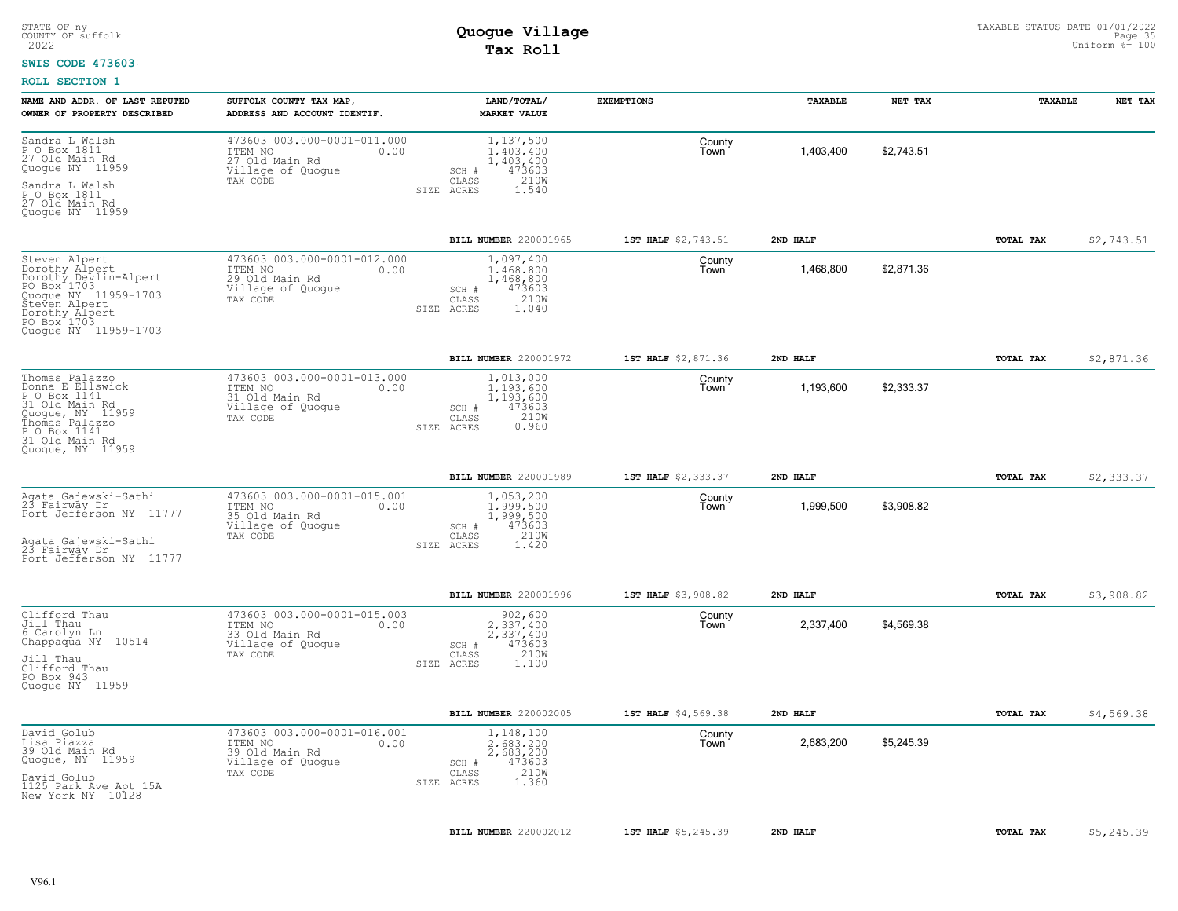#### **SWIS CODE 473603**

| NAME AND ADDR. OF LAST REPUTED<br>OWNER OF PROPERTY DESCRIBED                                                                                                                         | SUFFOLK COUNTY TAX MAP,<br>ADDRESS AND ACCOUNT IDENTIF.                                           | LAND/TOTAL/<br><b>MARKET VALUE</b>                                                             | <b>EXEMPTIONS</b>   | TAXABLE   | NET TAX    | TAXABLE          | NET TAX    |
|---------------------------------------------------------------------------------------------------------------------------------------------------------------------------------------|---------------------------------------------------------------------------------------------------|------------------------------------------------------------------------------------------------|---------------------|-----------|------------|------------------|------------|
| Sandra L Walsh<br>P O Box 1811<br>27 Old Main Rd<br>Quogue NY 11959<br>Sandra L Walsh<br>P O Box 1811<br>27 Old Main Rd<br>Quoque NY 11959                                            | 473603 003.000-0001-011.000<br>ITEM NO<br>0.00<br>27 Old Main Rd<br>Village of Quogue<br>TAX CODE | 1,137,500<br>1,403,400<br>1,403,400<br>473603<br>SCH #<br>210W<br>CLASS<br>SIZE ACRES<br>1.540 | County<br>Town      | 1,403,400 | \$2,743.51 |                  |            |
|                                                                                                                                                                                       |                                                                                                   | BILL NUMBER 220001965                                                                          | 1ST HALF \$2,743.51 | 2ND HALF  |            | TOTAL TAX        | \$2,743.51 |
| Steven Alpert<br>Dorothy Alpert<br>Dorothy Devlin-Alpert<br>PO Box <sup>-1703</sup><br>Quogue NY 11959-1703<br>Steven Alpert<br>Dorothy Alpert<br>PO Box 1703<br>Quoque NY 11959-1703 | 473603 003.000-0001-012.000<br>ITEM NO<br>0.00<br>29 Old Main Rd<br>Village of Quogue<br>TAX CODE | 1,097,400<br>1,468,800<br>1,468,800<br>473603<br>SCH #<br>210W<br>CLASS<br>SIZE ACRES<br>1.040 | County<br>Town      | 1,468,800 | \$2,871.36 |                  |            |
|                                                                                                                                                                                       |                                                                                                   | BILL NUMBER 220001972                                                                          | 1ST HALF \$2,871.36 | 2ND HALF  |            | TOTAL TAX        | \$2,871.36 |
| Thomas Palazzo<br>Donna E Ellswick<br>P O Box 1141<br>31 Old Main Rd<br>Quogue, NY 11959<br>Thomas Palazzo<br>P 0 Box 1141<br>31 Old Main Rd<br>Quoque, NY 11959                      | 473603 003.000-0001-013.000<br>ITEM NO<br>0.00<br>31 Old Main Rd<br>Village of Quogue<br>TAX CODE | 1,013,000<br>1,193,600<br>1,193,600<br>473603<br>SCH #<br>210W<br>CLASS<br>0.960<br>SIZE ACRES | County<br>Town      | 1,193,600 | \$2,333.37 |                  |            |
|                                                                                                                                                                                       |                                                                                                   | <b>BILL NUMBER 220001989</b>                                                                   | 1ST HALF \$2,333.37 | 2ND HALF  |            | TOTAL TAX        | \$2,333.37 |
| Agata Gajewski-Sathi<br>23 Fairway Dr<br>Port Jefferson NY 11777<br>Aqata Gajewski-Sathi<br>23 Fairway Dr<br>Port Jefferson NY 11777                                                  | 473603 003.000-0001-015.001<br>ITEM NO<br>0.00<br>35 Old Main Rd<br>Village of Quoque<br>TAX CODE | 1,053,200<br>1.999.500<br>1,999,500<br>473603<br>SCH #<br>210W<br>CLASS<br>SIZE ACRES<br>1.420 | County<br>Town      | 1,999,500 | \$3,908.82 |                  |            |
|                                                                                                                                                                                       |                                                                                                   | BILL NUMBER 220001996                                                                          | 1ST HALF \$3,908.82 | 2ND HALF  |            | <b>TOTAL TAX</b> | \$3,908.82 |
| Clifford Thau<br>Jill Thau<br>6 Carolyn Ln<br>Chappaqua NY 10514<br>Jill Thau<br>Clifford Thau<br>PO Box 943<br>Quoque NY 11959                                                       | 473603 003.000-0001-015.003<br>ITEM NO<br>0.00<br>33 Old Main Rd<br>Village of Quogue<br>TAX CODE | 902,600<br>2,337,400<br>2,337,400<br>473603<br>SCH #<br>210W<br>CLASS<br>1,100<br>SIZE ACRES   | County<br>Town      | 2,337,400 | \$4,569.38 |                  |            |
|                                                                                                                                                                                       |                                                                                                   | <b>BILL NUMBER 220002005</b>                                                                   | 1ST HALF \$4,569.38 | 2ND HALF  |            | TOTAL TAX        | \$4,569.38 |
| David Golub<br>Lisa Piazza<br>39 Old Main Rd<br>Quogue, NY 11959<br>David Golub<br>1125 Park Ave Apt 15A<br>New York NY 10128                                                         | 473603 003.000-0001-016.001<br>ITEM NO<br>0.00<br>39 Old Main Rd<br>Village of Quogue<br>TAX CODE | 1,148,100<br>2.683.200<br>2,683,200<br>473603<br>SCH #<br>210W<br>CLASS<br>1.360<br>SIZE ACRES | County<br>Town      | 2,683,200 | \$5,245.39 |                  |            |
|                                                                                                                                                                                       |                                                                                                   | BILL NUMBER 220002012                                                                          | 1ST HALF \$5,245.39 | 2ND HALF  |            | <b>TOTAL TAX</b> | \$5,245.39 |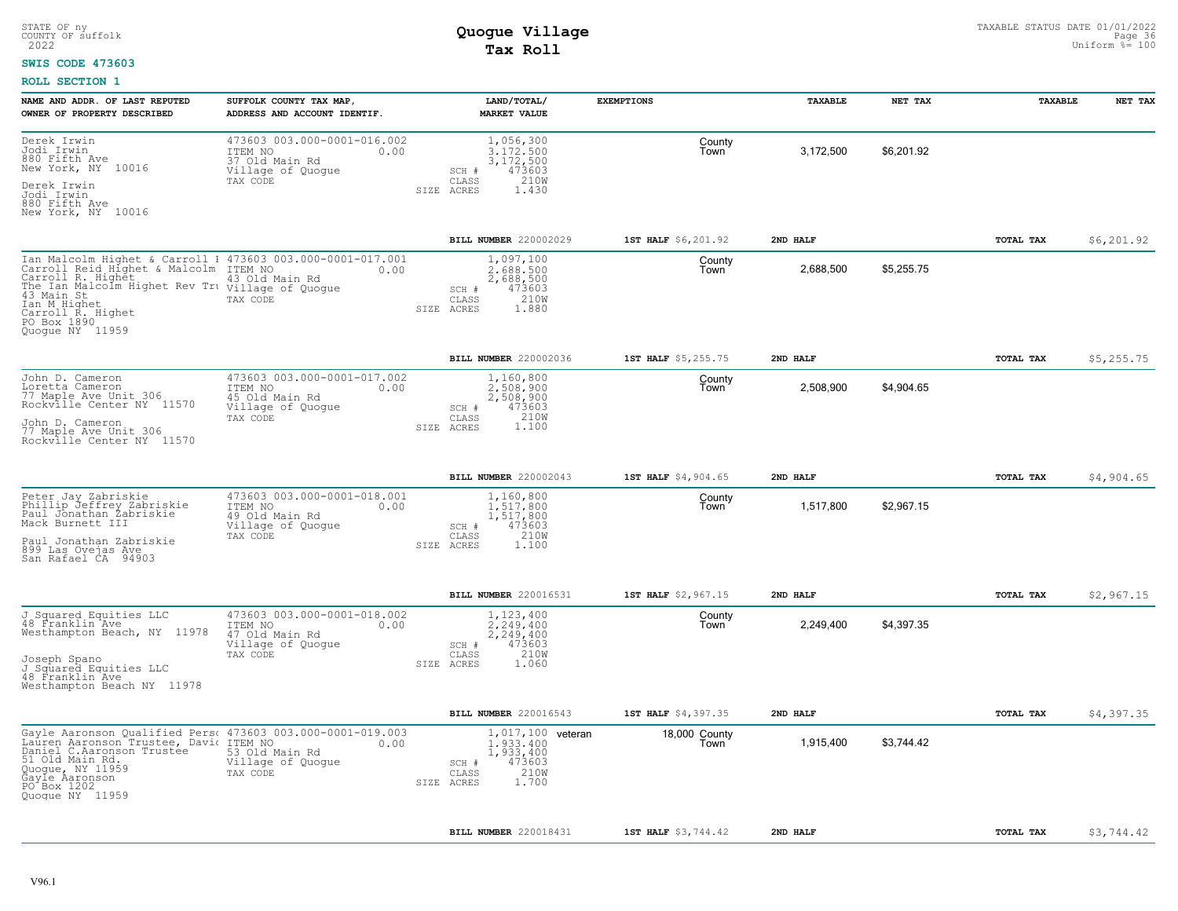#### **SWIS CODE 473603**

| NAME AND ADDR. OF LAST REPUTED<br>OWNER OF PROPERTY DESCRIBED                                                                                                                                                                                                     | SUFFOLK COUNTY TAX MAP,<br>ADDRESS AND ACCOUNT IDENTIF.                                           | LAND/TOTAL/<br><b>MARKET VALUE</b>                                                                     | <b>EXEMPTIONS</b>          | TAXABLE   | NET TAX    | TAXABLE   | NET TAX     |
|-------------------------------------------------------------------------------------------------------------------------------------------------------------------------------------------------------------------------------------------------------------------|---------------------------------------------------------------------------------------------------|--------------------------------------------------------------------------------------------------------|----------------------------|-----------|------------|-----------|-------------|
| Derek Irwin<br>Jodi Irwin<br>880 Fifth Ave<br>New York, NY 10016<br>Derek Irwin<br>Jodi Irwin                                                                                                                                                                     | 473603 003.000-0001-016.002<br>ITEM NO<br>0.00<br>37 Old Main Rd<br>Village of Quogue<br>TAX CODE | 1,056,300<br>3,172,500<br>3,172,500<br>473603<br>SCH #<br>CLASS<br>210W<br>SIZE ACRES<br>1.430         | County<br>Town             | 3,172,500 | \$6,201.92 |           |             |
| 880 Fifth Ave<br>New York, NY 10016                                                                                                                                                                                                                               |                                                                                                   |                                                                                                        |                            |           |            |           |             |
|                                                                                                                                                                                                                                                                   |                                                                                                   | BILL NUMBER 220002029                                                                                  | 1ST HALF \$6,201.92        | 2ND HALF  |            | TOTAL TAX | \$6, 201.92 |
| Ian Malcolm Highet & Carroll I 473603 003.000-0001-017.001<br>Carroll Reid Highet & Malcolm ITEM NO<br>Carroll R. Highet<br>The Ian Malcolm Highet Rev Tru village of Quogue<br>43 Main St<br>Ian M Highet<br>Carroll R. Highet<br>PO Box 1890<br>Quoque NY 11959 | 0.00<br>43 Old Main Rd<br>TAX CODE                                                                | 1,097,100<br>2.688.500<br>2,688,500<br>473603<br>SCH #<br>210W<br>CLASS<br>SIZE ACRES<br>1.880         | County<br>Town             | 2,688,500 | \$5,255.75 |           |             |
|                                                                                                                                                                                                                                                                   |                                                                                                   | <b>BILL NUMBER 220002036</b>                                                                           | <b>1ST HALF</b> \$5,255.75 | 2ND HALF  |            | TOTAL TAX | \$5,255.75  |
| John D. Cameron<br>Loretta Cameron<br>77 Maple Ave Unit 306<br>Rockville Center NY 11570                                                                                                                                                                          | 473603 003.000-0001-017.002<br>ITEM NO<br>0.00<br>45 Old Main Rd<br>Village of Quogue<br>TAX CODE | 1,160,800<br>2,508,900<br>2,508,900<br>473603<br>SCH #<br>CLASS<br>210W                                | County<br>Town             | 2,508,900 | \$4,904.65 |           |             |
| John D. Cameron<br>77 Maple Ave Unit 306<br>Rockville Center NY 11570                                                                                                                                                                                             |                                                                                                   | 1,100<br>SIZE ACRES                                                                                    |                            |           |            |           |             |
|                                                                                                                                                                                                                                                                   |                                                                                                   | <b>BILL NUMBER 220002043</b>                                                                           | 1ST HALF \$4,904.65        | 2ND HALF  |            | TOTAL TAX | \$4,904.65  |
| Peter Jay Zabriskie<br>Phillip Jeffrey Zabriskie<br>Paul Jonathan Žabriskie<br>Mack Burnett III<br>Paul Jonathan Zabriskie<br>899 Las Ovejas Ave<br>San Rafael CA 94903                                                                                           | 473603 003.000-0001-018.001<br>ITEM NO<br>0.00<br>49 Old Main Rd<br>Village of Quogue<br>TAX CODE | 1,160,800<br>1,517,800<br>1,517,800<br>473603<br>SCH #<br>210W<br>CLASS<br>1,100<br>SIZE ACRES         | County<br>Town             | 1,517,800 | \$2,967.15 |           |             |
|                                                                                                                                                                                                                                                                   |                                                                                                   | BILL NUMBER 220016531                                                                                  | 1ST HALF \$2,967.15        | 2ND HALF  |            | TOTAL TAX | \$2,967.15  |
| J Squared Equities LLC<br>48 Franklin Ave<br>Westhampton Beach, NY 11978<br>Joseph Spano                                                                                                                                                                          | 473603 003.000-0001-018.002<br>ITEM NO<br>0.00<br>47 Old Main Rd<br>Village of Quogue<br>TAX CODE | 1,123,400<br>2.249.400<br>2,249,400<br>473603<br>SCH #<br>210W<br>CLASS                                | County<br>Town             | 2,249,400 | \$4,397.35 |           |             |
| J Squared Equities LLC<br>48 Franklin Ave<br>Westhampton Beach NY 11978                                                                                                                                                                                           |                                                                                                   | SIZE ACRES<br>1.060                                                                                    |                            |           |            |           |             |
|                                                                                                                                                                                                                                                                   |                                                                                                   | BILL NUMBER 220016543                                                                                  | 1ST HALF \$4,397.35        | 2ND HALF  |            | TOTAL TAX | \$4,397.35  |
| Gayle Aaronson Qualified Pers، 473603 003.000-0001-019.003<br>Lauren Aaronson Trustee, Davic ITEM NO<br>Daniel C.Aaronson Trustee<br>51 Old Main Rd.<br>Quogue, NY 11959<br>Gayle Aaronson<br>PO Box 1202<br>Quoque NY 11959                                      | 0.00<br>53 Old Main Rd<br>Village of Quogue<br>TAX CODE                                           | 1,017,100 veteran<br>1,933,400<br>1,933,400<br>473603<br>SCH #<br>210W<br>CLASS<br>1.700<br>SIZE ACRES | 18,000 County<br>Town      | 1,915,400 | \$3,744.42 |           |             |
|                                                                                                                                                                                                                                                                   |                                                                                                   | BILL NUMBER 220018431                                                                                  | 1ST HALF \$3,744.42        | 2ND HALF  |            | TOTAL TAX | \$3,744.42  |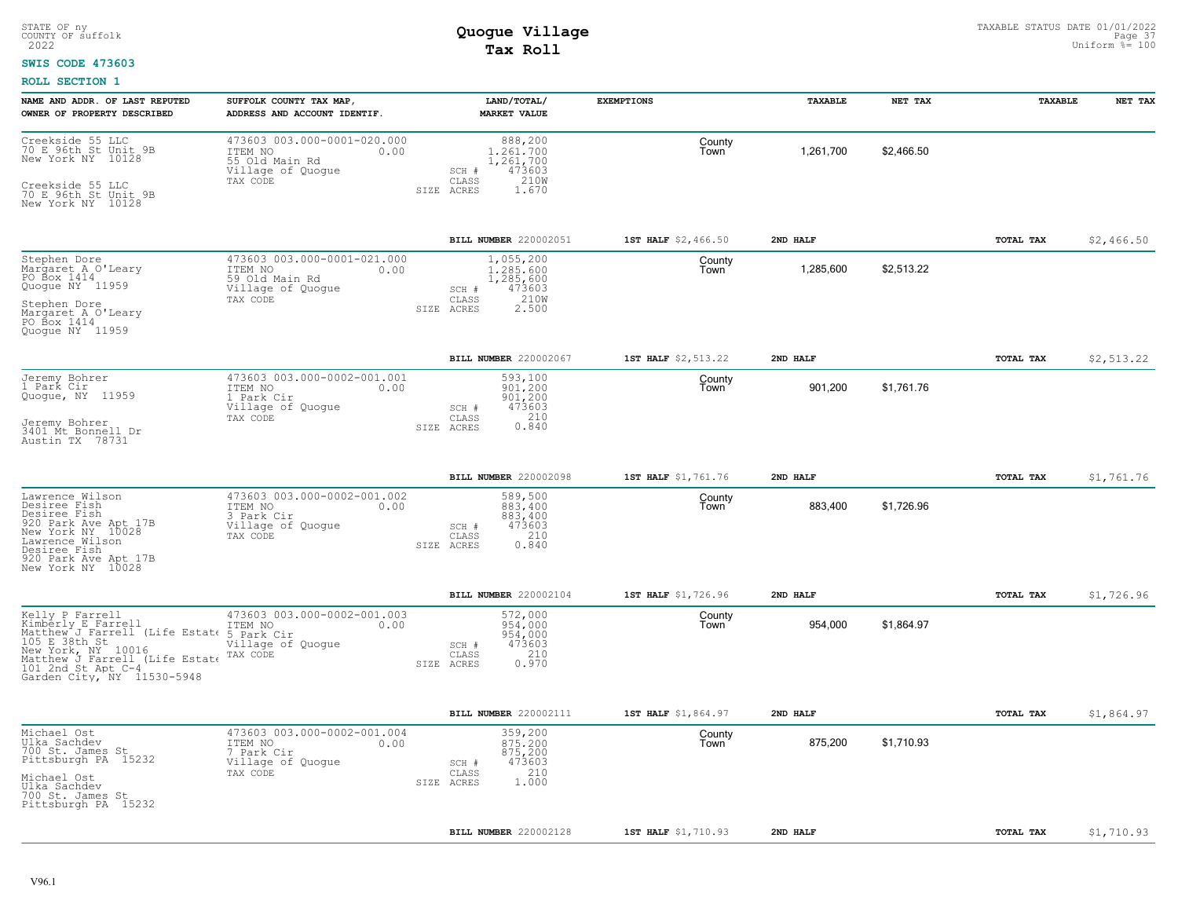### **SWIS CODE 473603**

| NAME AND ADDR. OF LAST REPUTED<br>OWNER OF PROPERTY DESCRIBED                                                                                                                                        | SUFFOLK COUNTY TAX MAP,<br>ADDRESS AND ACCOUNT IDENTIF.                                           | LAND/TOTAL/<br><b>MARKET VALUE</b>                                                             | <b>EXEMPTIONS</b>   | TAXABLE   | NET TAX    | TAXABLE   | NET TAX    |
|------------------------------------------------------------------------------------------------------------------------------------------------------------------------------------------------------|---------------------------------------------------------------------------------------------------|------------------------------------------------------------------------------------------------|---------------------|-----------|------------|-----------|------------|
| Creekside 55 LLC<br>70 E 96th St Unit 9B<br>New York NY 10128<br>Creekside 55 LLC<br>70 E 96th St Unit 9B<br>New York NY 10128                                                                       | 473603 003.000-0001-020.000<br>ITEM NO<br>0.00<br>55 Old Main Rd<br>Village of Quogue<br>TAX CODE | 888,200<br>1.261.700<br>1,261,700<br>473603<br>SCH #<br>210W<br>CLASS<br>SIZE ACRES<br>1.670   | County<br>Town      | 1,261,700 | \$2,466.50 |           |            |
|                                                                                                                                                                                                      |                                                                                                   | BILL NUMBER 220002051                                                                          | 1ST HALF \$2,466.50 | 2ND HALF  |            | TOTAL TAX | \$2,466.50 |
| Stephen Dore<br>Margaret A O'Leary<br>PO Box 1414<br>Quogue NY 11959<br>Stephen Dore<br>Margaret A O'Leary<br>PO Box 1414<br>Quoque NY 11959                                                         | 473603 003.000-0001-021.000<br>ITEM NO<br>0.00<br>59 Old Main Rd<br>Village of Quogue<br>TAX CODE | 1,055,200<br>1.285.600<br>1,285,600<br>473603<br>SCH #<br>210W<br>CLASS<br>2.500<br>SIZE ACRES | County<br>Town      | 1,285,600 | \$2,513.22 |           |            |
|                                                                                                                                                                                                      |                                                                                                   | BILL NUMBER 220002067                                                                          | 1ST HALF \$2,513.22 | 2ND HALF  |            | TOTAL TAX | \$2,513.22 |
| Jeremy Bohrer<br>1 Park Cir<br>Quogue, NY 11959<br>Jeremy Bohrer<br>3401 Mt Bonnell Dr<br>Austin TX 78731                                                                                            | 473603 003.000-0002-001.001<br>ITEM NO<br>0.00<br>1 Park Cir<br>Village of Quogue<br>TAX CODE     | 593,100<br>901,200<br>901,200<br>473603<br>SCH #<br>210<br>CLASS<br>0.840<br>SIZE ACRES        | County<br>Town      | 901,200   | \$1,761.76 |           |            |
|                                                                                                                                                                                                      |                                                                                                   | BILL NUMBER 220002098                                                                          | 1ST HALF \$1,761.76 | 2ND HALF  |            | TOTAL TAX | \$1,761.76 |
| Lawrence Wilson<br>Desiree Fish<br>Desiree Fish<br>920 Park Ave Apt 17B<br>New York NY 10028<br>Lawrence Wilson<br>Desiree Fish<br>920 Park Ave Apt 17B<br>New York NY 10028                         | 473603 003.000-0002-001.002<br>ITEM NO<br>0.00<br>3 Park Cir<br>Village of Quogue<br>TAX CODE     | 589,500<br>883,400<br>883,400<br>473603<br>SCH #<br>210<br>CLASS<br>SIZE ACRES<br>0.840        | County<br>Town      | 883,400   | \$1,726.96 |           |            |
|                                                                                                                                                                                                      |                                                                                                   | <b>BILL NUMBER 220002104</b>                                                                   | 1ST HALF \$1,726.96 | 2ND HALF  |            | TOTAL TAX | \$1,726.96 |
| Kelly P Farrell<br>Kimberly E Farrell<br>Matthew J Farrell (Life Estate<br>105 E 38th St<br>New York, NY 10016<br>Matthew J Farrell (Life Estate<br>101 2nd St Apt C-4<br>Garden City, NY 11530-5948 | 473603 003.000-0002-001.003<br>ITEM NO<br>0.00<br>5 Park Cir<br>Village of Quogue<br>TAX CODE     | 572,000<br>954,000<br>954,000<br>473603<br>SCH #<br>210<br>CLASS<br>0.970<br>SIZE ACRES        | County<br>Town      | 954,000   | \$1,864.97 |           |            |
|                                                                                                                                                                                                      |                                                                                                   | BILL NUMBER 220002111                                                                          | 1ST HALF \$1,864.97 | 2ND HALF  |            | TOTAL TAX | \$1,864.97 |
| Michael Ost<br>Ulka Sachdev<br>700 St. James St<br>Pittsburgh PA 15232<br>Michael Ost<br>Ulka Sachdev<br>700 St. James St<br>Pittsburgh PA 15232                                                     | 473603 003.000-0002-001.004<br>ITEM NO<br>0.00<br>7 Park Cir<br>Village of Quogue<br>TAX CODE     | 359,200<br>875,200<br>875,200<br>473603<br>SCH #<br>210<br>CLASS<br>1.000<br>SIZE ACRES        | County<br>Town      | 875,200   | \$1.710.93 |           |            |
|                                                                                                                                                                                                      |                                                                                                   | BILL NUMBER 220002128                                                                          | 1ST HALF \$1,710.93 | 2ND HALF  |            | TOTAL TAX | \$1,710.93 |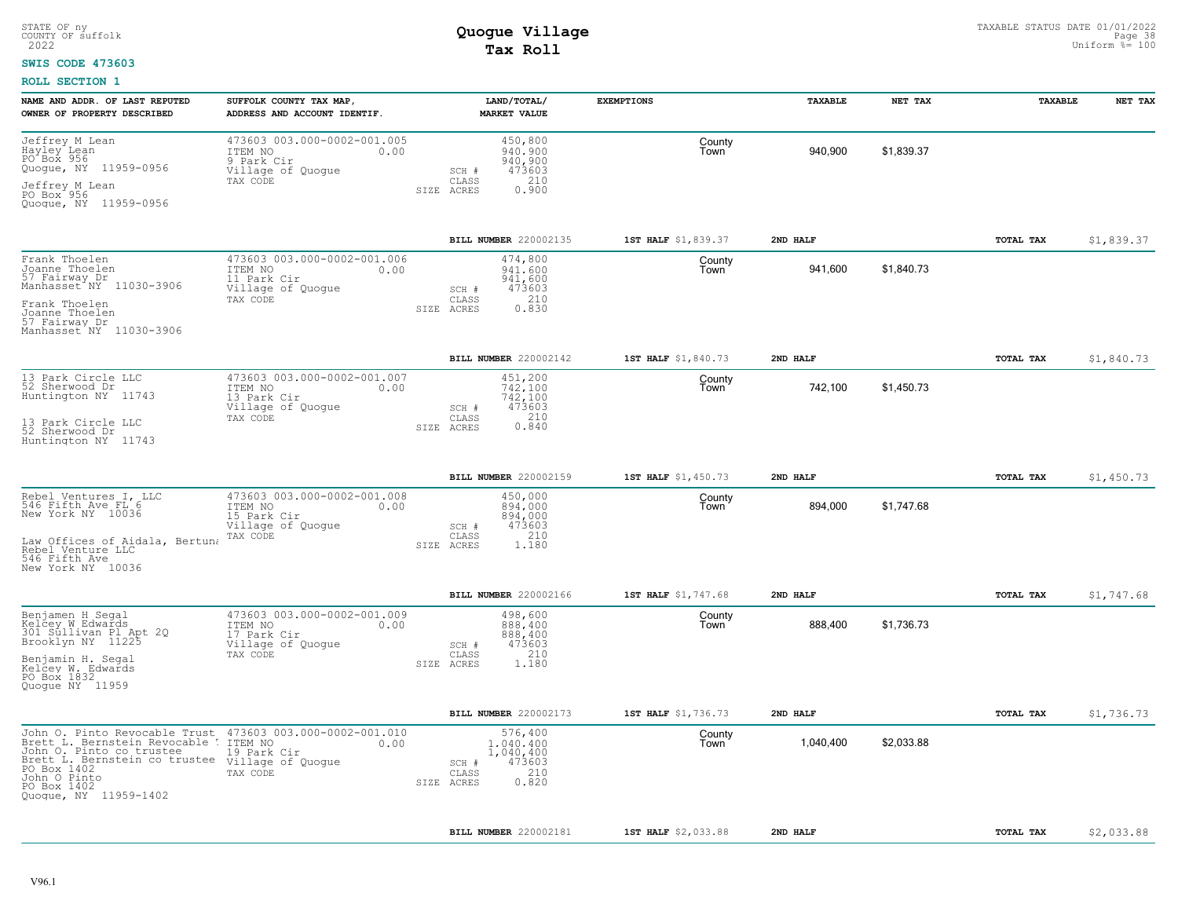### **SWIS CODE 473603**

| NAME AND ADDR. OF LAST REPUTED<br>OWNER OF PROPERTY DESCRIBED                                                                                                                                                                                     | SUFFOLK COUNTY TAX MAP,<br>ADDRESS AND ACCOUNT IDENTIF.                                        | LAND/TOTAL/<br><b>MARKET VALUE</b>                                                          | <b>EXEMPTIONS</b>   | <b>TAXABLE</b> | NET TAX    | <b>TAXABLE</b>   | NET TAX    |
|---------------------------------------------------------------------------------------------------------------------------------------------------------------------------------------------------------------------------------------------------|------------------------------------------------------------------------------------------------|---------------------------------------------------------------------------------------------|---------------------|----------------|------------|------------------|------------|
| Jeffrey M Lean<br>Hayley Lean<br>PO Box 956<br>Quogue, NY 11959-0956<br>Jeffrey M Lean<br>PO Box 956<br>Quogue, NY 11959-0956                                                                                                                     | 473603 003.000-0002-001.005<br>ITEM NO<br>0.00<br>9 Park Cir<br>Village of Quogue<br>TAX CODE  | 450,800<br>940,900<br>940,900<br>473603<br>SCH #<br>210<br>CLASS<br>0.900<br>SIZE ACRES     | County<br>Town      | 940,900        | \$1.839.37 |                  |            |
|                                                                                                                                                                                                                                                   |                                                                                                | BILL NUMBER 220002135                                                                       | 1ST HALF \$1,839.37 | 2ND HALF       |            | TOTAL TAX        | \$1,839.37 |
| Frank Thoelen<br>Joanne Thoelen<br>57 Fairway Dr<br>Manhasset <sup>"</sup> NY 11030-3906<br>Frank Thoelen<br>Joanne Thoelen<br>57 Fairway Dr<br>Manhasset NY 11030-3906                                                                           | 473603 003.000-0002-001.006<br>ITEM NO<br>0.00<br>11 Park Cir<br>Village of Quogue<br>TAX CODE | 474,800<br>941,600<br>941,600<br>473603<br>SCH #<br>210<br>CLASS<br>0.830<br>SIZE ACRES     | County<br>Town      | 941,600        | \$1,840.73 |                  |            |
|                                                                                                                                                                                                                                                   |                                                                                                | BILL NUMBER 220002142                                                                       | 1ST HALF \$1,840.73 | 2ND HALF       |            | TOTAL TAX        | \$1,840.73 |
| 13 Park Circle LLC<br>52 Sherwood Dr<br>Huntington NY 11743<br>13 Park Circle LLC<br>52 Sherwood Dr<br>Huntington NY 11743                                                                                                                        | 473603 003.000-0002-001.007<br>0.00<br>ITEM NO<br>13 Park Cir<br>Village of Quogue<br>TAX CODE | 451,200<br>742.100<br>742,100<br>473603<br>SCH #<br>CLASS<br>210<br>0.840<br>SIZE ACRES     | County<br>Town      | 742,100        | \$1,450.73 |                  |            |
|                                                                                                                                                                                                                                                   |                                                                                                | BILL NUMBER 220002159                                                                       | 1ST HALF \$1,450.73 | 2ND HALF       |            | TOTAL TAX        | \$1,450.73 |
| Rebel Ventures I, LLC<br>546 Fifth Ave FL 6<br>New York NY 10036<br>Law Offices of Aidala, Bertuna<br>Rebel Venture LLC<br>546 Fifth Ave<br>New York NY 10036                                                                                     | 473603 003.000-0002-001.008<br>ITEM NO<br>0.00<br>15 Park Cir<br>Village of Quogue<br>TAX CODE | 450,000<br>894,000<br>894,000<br>473603<br>SCH #<br>210<br>CLASS<br>1.180<br>SIZE ACRES     | County<br>Town      | 894,000        | \$1,747.68 |                  |            |
|                                                                                                                                                                                                                                                   |                                                                                                | BILL NUMBER 220002166                                                                       | 1ST HALF \$1,747.68 | 2ND HALF       |            | <b>TOTAL TAX</b> | \$1,747.68 |
| Benjamen H Segal<br>Kelcey W Edwards<br>301 Sullivan Pl Apt 2Q<br>Brooklyn NY 11225<br>Benjamin H. Segal<br>Kelcey W. Edwards<br>PO Box 1832<br>Quogue NY 11959                                                                                   | 473603 003.000-0002-001.009<br>ITEM NO<br>0.00<br>17 Park Cir<br>Village of Quogue<br>TAX CODE | 498,600<br>888,400<br>888,400<br>473603<br>SCH #<br>210<br>CLASS<br>SIZE ACRES<br>1.180     | County<br>Town      | 888,400        | \$1,736.73 |                  |            |
|                                                                                                                                                                                                                                                   |                                                                                                | BILL NUMBER 220002173                                                                       | 1ST HALF \$1,736.73 | 2ND HALF       |            | TOTAL TAX        | \$1,736.73 |
| John 0. Pinto Revocable Trust 473603 003.000-0002-001.010<br>Brett L. Bernstein Revocable !<br>John O. Pinto co trustee<br>Brett L. Bernstein co trustee village of Quogue<br>PO Box 1402<br>John O Pinto<br>PO Box 1402<br>Quogue, NY 11959-1402 | ITEM NO<br>0.00<br>19 Park Cir<br>TAX CODE                                                     | 576,400<br>1,040,400<br>1,040,400<br>473603<br>SCH #<br>210<br>CLASS<br>0.820<br>SIZE ACRES | County<br>Town      | 1,040,400      | \$2,033.88 |                  |            |
|                                                                                                                                                                                                                                                   |                                                                                                | BILL NUMBER 220002181                                                                       | 1ST HALF \$2,033.88 | 2ND HALF       |            | TOTAL TAX        | \$2,033.88 |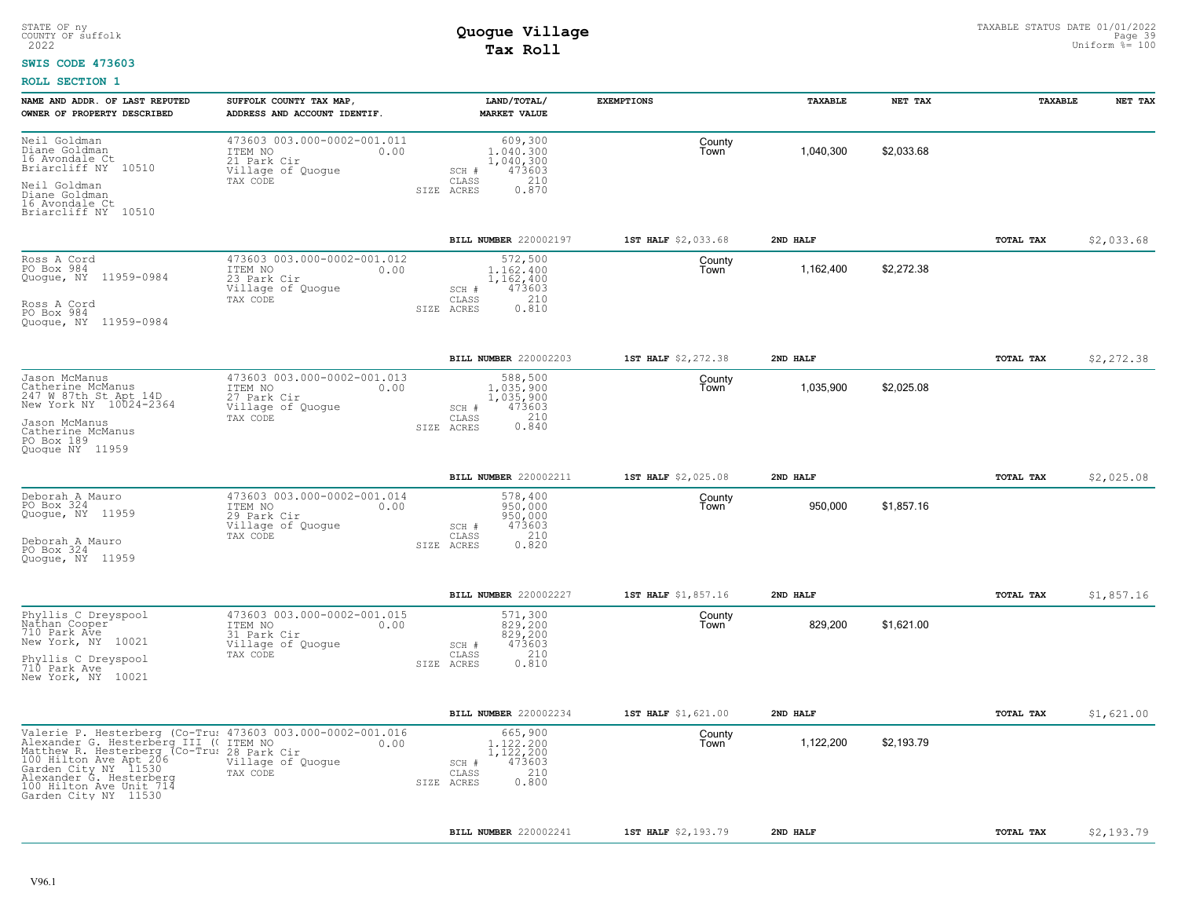#### **SWIS CODE 473603**

| NAME AND ADDR. OF LAST REPUTED<br>OWNER OF PROPERTY DESCRIBED                                                                                                                                                                                 | SUFFOLK COUNTY TAX MAP,<br>ADDRESS AND ACCOUNT IDENTIF.                                        | LAND/TOTAL/<br><b>MARKET VALUE</b>                                                              | <b>EXEMPTIONS</b>   | TAXABLE   | NET TAX    | TAXABLE          | NET TAX    |
|-----------------------------------------------------------------------------------------------------------------------------------------------------------------------------------------------------------------------------------------------|------------------------------------------------------------------------------------------------|-------------------------------------------------------------------------------------------------|---------------------|-----------|------------|------------------|------------|
| Neil Goldman<br>niane Goldman<br>16 Avondale Ct<br>Briarcliff NY 10510<br>Neil Goldman                                                                                                                                                        | 473603 003.000-0002-001.011<br>ITEM NO<br>0.00<br>21 Park Cir<br>Village of Quogue<br>TAX CODE | 609,300<br>1,040,300<br>1,040,300<br>473603<br>SCH #<br>CLASS<br>210<br>0.870<br>SIZE ACRES     | County<br>Town      | 1,040,300 | \$2,033.68 |                  |            |
| Diane Goldman<br>16 Avondale Ct<br>Briarcliff NY 10510                                                                                                                                                                                        |                                                                                                |                                                                                                 |                     |           |            |                  |            |
|                                                                                                                                                                                                                                               |                                                                                                | BILL NUMBER 220002197                                                                           | 1ST HALF \$2,033.68 | 2ND HALF  |            | TOTAL TAX        | \$2,033.68 |
| Ross A Cord<br>PO Box 984<br>Quogue, NY 11959-0984<br>Ross A Cord<br>PO Box 984                                                                                                                                                               | 473603 003.000-0002-001.012<br>ITEM NO<br>0.00<br>23 Park Cir<br>Village of Quogue<br>TAX CODE | 572,500<br>1.162.400<br>1,162,400<br>473603<br>$SCH$ $#$<br>210<br>CLASS<br>0.810<br>SIZE ACRES | County<br>Town      | 1,162,400 | \$2,272.38 |                  |            |
| Quogue, NY 11959-0984                                                                                                                                                                                                                         |                                                                                                |                                                                                                 |                     |           |            |                  |            |
|                                                                                                                                                                                                                                               |                                                                                                | BILL NUMBER 220002203                                                                           | 1ST HALF \$2,272.38 | 2ND HALF  |            | TOTAL TAX        | \$2,272.38 |
| Jason McManus<br>Catherine McManus<br>247 W 87th St Apt 14D<br>New York NY 10024-2364                                                                                                                                                         | 473603 003.000-0002-001.013<br>ITEM NO<br>0.00<br>27 Park Cir<br>Village of Quoque<br>TAX CODE | 588,500<br>1,035,900<br>1,035,900<br>473603<br>SCH #<br>CLASS                                   | County<br>Town      | 1,035,900 | \$2,025.08 |                  |            |
| Jason McManus<br>Catherine McManus<br>PO Box 189<br>Quoque NY 11959                                                                                                                                                                           |                                                                                                | $0.210$<br>$0.840$<br>SIZE ACRES                                                                |                     |           |            |                  |            |
|                                                                                                                                                                                                                                               |                                                                                                | BILL NUMBER 220002211                                                                           | 1ST HALF \$2,025.08 | 2ND HALF  |            | <b>TOTAL TAX</b> | \$2,025.08 |
| Deborah A Mauro<br>PO Box 324<br>Quogue, NY 11959                                                                                                                                                                                             | 473603 003.000-0002-001.014<br>ITEM NO<br>0.00<br>29 Park Cir<br>Village of Quogue             | 578,400<br>950,000<br>950,000<br>473603<br>SCH #                                                | County<br>Town      | 950,000   | \$1,857.16 |                  |            |
| Deborah A Mauro<br>PO Box 324<br>Quoque, NY 11959                                                                                                                                                                                             | TAX CODE                                                                                       | 210<br>CLASS<br>0.820<br>SIZE ACRES                                                             |                     |           |            |                  |            |
|                                                                                                                                                                                                                                               |                                                                                                | BILL NUMBER 220002227                                                                           | 1ST HALF \$1,857.16 | 2ND HALF  |            | TOTAL TAX        | \$1,857.16 |
| Phyllis C Dreyspool<br>Nathan Cooper<br>710 Park Ave<br>New York, NY 10021                                                                                                                                                                    | 473603 003.000-0002-001.015<br>ITEM NO<br>0.00<br>31 Park Cir<br>Village of Quogue             | 571,300<br>829,200<br>829,200<br>473603<br>SCH #<br>210                                         | County<br>Town      | 829,200   | \$1,621.00 |                  |            |
| Phyllis C Dreyspool<br>710 Park Ave<br>New York, NY 10021                                                                                                                                                                                     | TAX CODE                                                                                       | CLASS<br>0.810<br>SIZE ACRES                                                                    |                     |           |            |                  |            |
|                                                                                                                                                                                                                                               |                                                                                                | BILL NUMBER 220002234                                                                           | 1ST HALF \$1,621.00 | 2ND HALF  |            | TOTAL TAX        | \$1,621.00 |
| Valexander G. Hesterberg [III ((for 1102) 003.0<br>Alexander G. Hesterberg III ((for 1102) 003.0<br>Matthew R. Hesterberg III ((for 128 Park Cir<br>Matthew R. Hesterberg (Co-Tru: 28 Park Cir<br>Garden City NY 11530<br>100 Hilton Ave Unit | Valerie P. Hesterberg (Co-Tru: 473603 003.000-0002-001.016<br>0.00<br>Village of Quogue        | 665,900<br>1.122.200<br>1,122,200<br>473603<br>SCH #<br>210<br>CLASS<br>0.800<br>SIZE ACRES     | County<br>Town      | 1,122,200 | \$2,193.79 |                  |            |
|                                                                                                                                                                                                                                               |                                                                                                | BILL NUMBER 220002241                                                                           | 1ST HALF \$2,193.79 | 2ND HALF  |            | TOTAL TAX        | \$2,193.79 |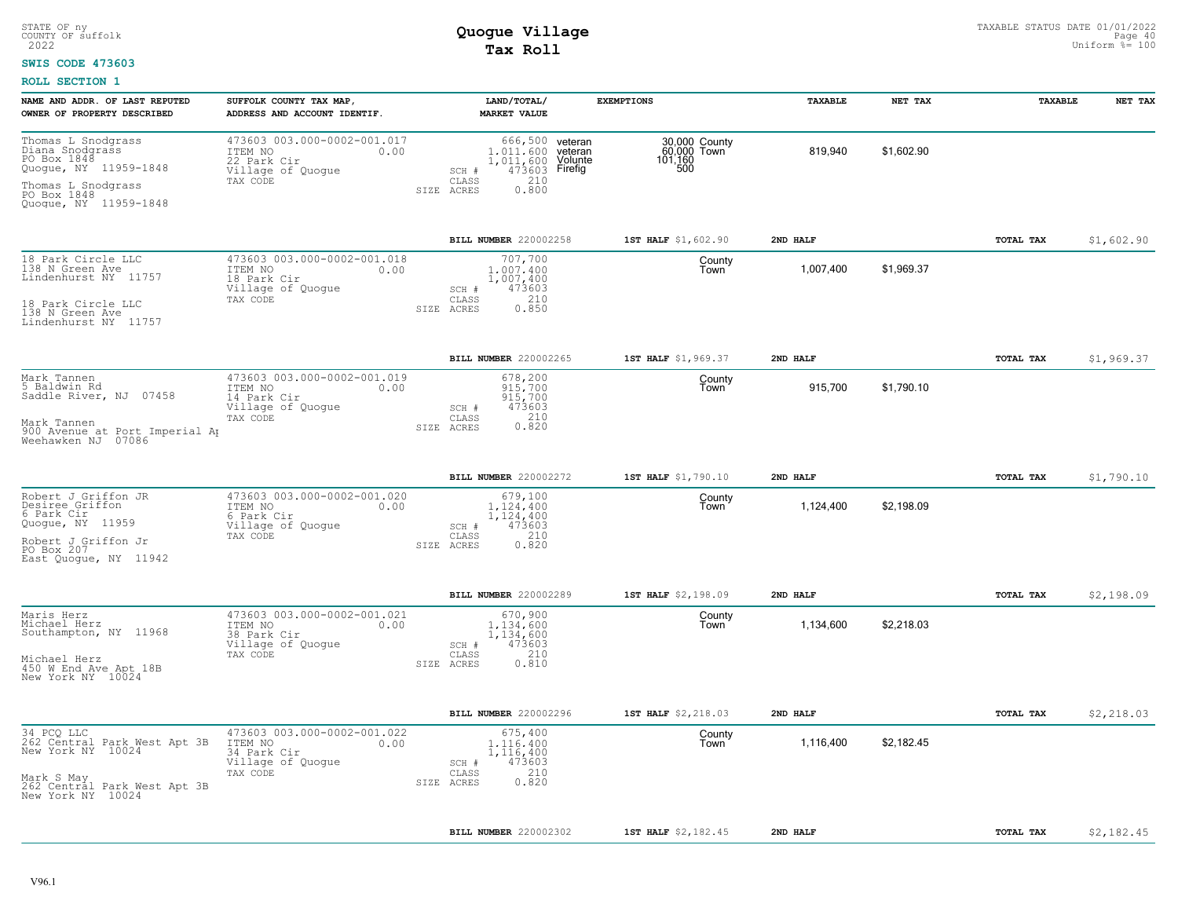#### **SWIS CODE 473603**

| NAME AND ADDR. OF LAST REPUTED<br>OWNER OF PROPERTY DESCRIBED                                                                               | SUFFOLK COUNTY TAX MAP,<br>ADDRESS AND ACCOUNT IDENTIF.                                        | LAND/TOTAL/<br><b>MARKET VALUE</b>                                                          | <b>EXEMPTIONS</b>                                                                              | TAXABLE   | NET TAX    | TAXABLE   | NET TAX    |
|---------------------------------------------------------------------------------------------------------------------------------------------|------------------------------------------------------------------------------------------------|---------------------------------------------------------------------------------------------|------------------------------------------------------------------------------------------------|-----------|------------|-----------|------------|
| Thomas L Snodgrass<br>Diana Snodgrass<br>PO Box 1848<br>Quogue, NY 11959-1848<br>Thomas L Snodgrass<br>PO Box 1848<br>Quogue, NY 11959-1848 | 473603 003.000-0002-001.017<br>ITEM NO<br>0.00<br>22 Park Cir<br>Village of Quogue<br>TAX CODE | 1.011.600 yeteran<br>1,011,600<br>SCH #<br>CLASS<br>210<br>0.800<br>SIZE ACRES              | 666,500 veteran<br>30,000 County<br>60,000 Town<br>101,160<br>500<br>Volunte<br>473603 Firefig | 819,940   | \$1,602.90 |           |            |
|                                                                                                                                             |                                                                                                | BILL NUMBER 220002258                                                                       | 1ST HALF \$1,602.90                                                                            | 2ND HALF  |            | TOTAL TAX | \$1,602.90 |
| 18 Park Circle LLC<br>138 N Green Ave<br>Lindenhurst NY 11757<br>18 Park Circle LLC<br>138 N Green Ave                                      | 473603 003.000-0002-001.018<br>ITEM NO<br>0.00<br>18 Park Cir<br>Village of Quoque<br>TAX CODE | 707,700<br>1,007,400<br>1,007,400<br>473603<br>SCH #<br>210<br>CLASS<br>0.850<br>SIZE ACRES | County<br>Town                                                                                 | 1,007,400 | \$1,969.37 |           |            |
| Lindenhurst NY 11757                                                                                                                        |                                                                                                |                                                                                             |                                                                                                |           |            |           |            |
|                                                                                                                                             |                                                                                                | BILL NUMBER 220002265                                                                       | 1ST HALF \$1,969.37                                                                            | 2ND HALF  |            | TOTAL TAX | \$1,969.37 |
| Mark Tannen<br>5 Baldwin Rd<br>Saddle River, NJ 07458                                                                                       | 473603 003.000-0002-001.019<br>ITEM NO<br>0.00<br>14 Park Cir<br>Village of Quogue<br>TAX CODE | 678,200<br>915,700<br>915,700<br>473603<br>SCH #<br>210<br>CLASS                            | County<br>Town                                                                                 | 915,700   | \$1,790.10 |           |            |
| Mark Tannen<br>900 Avenue at Port Imperial Ap<br>Weehawken NJ 07086                                                                         |                                                                                                | 0.820<br>SIZE ACRES                                                                         |                                                                                                |           |            |           |            |
|                                                                                                                                             |                                                                                                | BILL NUMBER 220002272                                                                       | 1ST HALF \$1,790.10                                                                            | 2ND HALF  |            | TOTAL TAX | \$1,790.10 |
| Robert J Griffon JR<br>Desiree Griffon<br>6 Park Cir<br>Quoque, NY 11959<br>Robert J Griffon Jr                                             | 473603 003.000-0002-001.020<br>ITEM NO<br>0.00<br>6 Park Cir<br>Village of Quogue<br>TAX CODE  | 679,100<br>1.124.400<br>1,124,400<br>473603<br>SCH #<br>210<br>CLASS                        | County<br>Town                                                                                 | 1,124,400 | \$2,198.09 |           |            |
| PO Box 207<br>East Quoque, NY 11942                                                                                                         |                                                                                                | 0.820<br>SIZE ACRES                                                                         |                                                                                                |           |            |           |            |
|                                                                                                                                             |                                                                                                | BILL NUMBER 220002289                                                                       | 1ST HALF \$2,198.09                                                                            | 2ND HALF  |            | TOTAL TAX | \$2,198.09 |
| Maris Herz<br>Michael Herz<br>Southampton, NY 11968                                                                                         | 473603 003.000-0002-001.021<br>ITEM NO<br>0.00<br>38 Park Cir<br>Village of Quogue<br>TAX CODE | 670,900<br>1,134,600<br>1,134,600<br>473603<br>SCH #<br>210<br>CLASS                        | County<br>Town                                                                                 | 1,134,600 | \$2,218.03 |           |            |
| Michael Herz<br>450 W End Ave Apt 18B<br>New York NY 10024                                                                                  |                                                                                                | SIZE ACRES<br>0.810                                                                         |                                                                                                |           |            |           |            |
|                                                                                                                                             |                                                                                                | BILL NUMBER 220002296                                                                       | 1ST HALF \$2,218.03                                                                            | 2ND HALF  |            | TOTAL TAX | \$2,218.03 |
| 34 PCQ LLC<br>262 Central Park West Apt 3B<br>New York NY 10024                                                                             | 473603 003.000-0002-001.022<br>ITEM NO<br>0.00<br>34 Park Cir<br>Village of Quogue<br>TAX CODE | 675,400<br>1,116,400<br>1,116,400<br>473603<br>SCH #<br>210<br>CLASS                        | County<br>Town                                                                                 | 1,116,400 | \$2,182.45 |           |            |
| Mark S May<br>262 Central Park West Apt 3B<br>New York NY 10024                                                                             |                                                                                                | 0.820<br>SIZE ACRES                                                                         |                                                                                                |           |            |           |            |
|                                                                                                                                             |                                                                                                | <b>BILL NUMBER 220002302</b>                                                                | 1ST HALF \$2,182.45                                                                            | 2ND HALF  |            | TOTAL TAX | \$2,182.45 |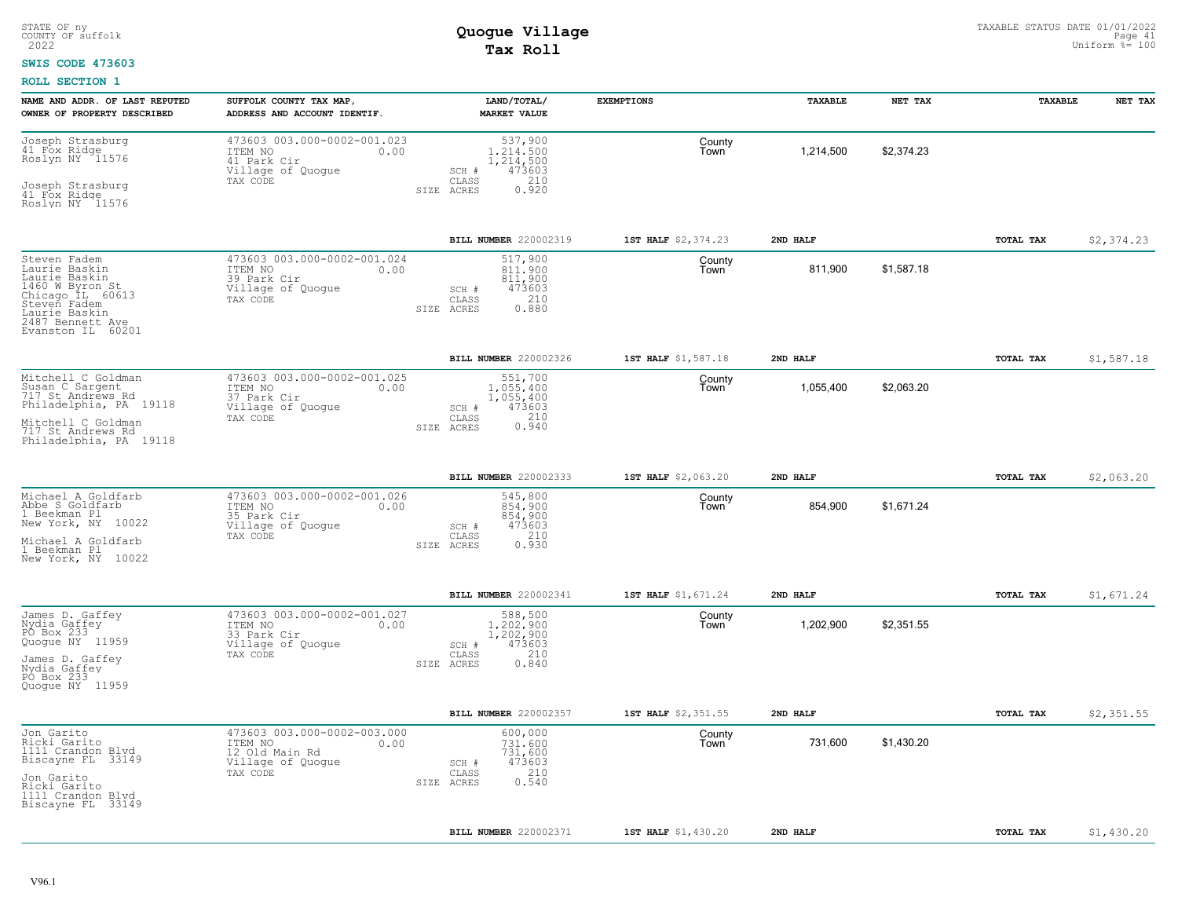### **SWIS CODE 473603**

| NAME AND ADDR. OF LAST REPUTED<br>OWNER OF PROPERTY DESCRIBED                                                                                                   | SUFFOLK COUNTY TAX MAP,<br>ADDRESS AND ACCOUNT IDENTIF.                                           | LAND/TOTAL/<br><b>MARKET VALUE</b>                                                                | <b>EXEMPTIONS</b>   | <b><i>TAXABLE</i></b> | NET TAX    | TAXABLE          | NET TAX    |
|-----------------------------------------------------------------------------------------------------------------------------------------------------------------|---------------------------------------------------------------------------------------------------|---------------------------------------------------------------------------------------------------|---------------------|-----------------------|------------|------------------|------------|
| Joseph Strasburg<br>41 Fox Ridge<br>Roslyn NY 11576<br>Joseph Strasburg<br>41 Fox Ridge<br>Roslyn NY 11576                                                      | 473603 003.000-0002-001.023<br>ITEM NO<br>0.00<br>41 Park Cir<br>Village of Quogue<br>TAX CODE    | 537,900<br>1,214,500<br>1,214,500<br>473603<br>SCH #<br>210<br>CLASS<br>0.920<br>SIZE ACRES       | County<br>Town      | 1,214,500             | \$2.374.23 |                  |            |
|                                                                                                                                                                 |                                                                                                   | BILL NUMBER 220002319                                                                             | 1ST HALF \$2,374.23 | 2ND HALF              |            | TOTAL TAX        | \$2,374.23 |
| Steven Fadem<br>Laurie Baskin<br>Laurie Baskin<br>1460 W Byron St<br>Chicago IL 60613<br>Steven Fadem<br>Laurie Baskin<br>2487 Bennett Ave<br>Evanston IL 60201 | 473603 003.000-0002-001.024<br>ITEM NO<br>0.00<br>39 Park Cir<br>Village of Quogue<br>TAX CODE    | 517,900<br>811,900<br>811,900<br>473603<br>SCH #<br>210<br>CLASS<br>0.880<br>SIZE ACRES           | County<br>Town      | 811,900               | \$1,587.18 |                  |            |
|                                                                                                                                                                 |                                                                                                   | <b>BILL NUMBER</b> 220002326                                                                      | 1ST HALF \$1,587.18 | 2ND HALF              |            | TOTAL TAX        | \$1,587.18 |
| Mitchell C Goldman<br>Susan C Sargent<br>717 St Andrews Rd<br>Philadelphia, PA 19118<br>Mitchell C Goldman<br>717 St Andrews Rd<br>Philadelphia, PA 19118       | 473603 003.000-0002-001.025<br>ITEM NO<br>0.00<br>37 Park Cir<br>Village of Quogue<br>TAX CODE    | 551,700<br>1,055,400<br>1,055,400<br>473603<br>SCH #<br>$0.210$<br>$0.940$<br>CLASS<br>SIZE ACRES | County<br>Town      | 1,055,400             | \$2,063.20 |                  |            |
|                                                                                                                                                                 |                                                                                                   | BILL NUMBER 220002333                                                                             | 1ST HALF \$2,063.20 | 2ND HALF              |            | TOTAL TAX        | \$2,063.20 |
| Michael A Goldfarb<br>Abbe S Goldfarb<br>1 Beekman Pl<br>New York, NY 10022<br>Michael A Goldfarb<br>1 Beekman Pl<br>New York, NY 10022                         | 473603 003.000-0002-001.026<br>ITEM NO<br>0.00<br>35 Park Cir<br>Village of Quogue<br>TAX CODE    | 545,800<br>854,900<br>854,900<br>473603<br>SCH #<br>210<br>CLASS<br>0.930<br>SIZE ACRES           | County<br>Town      | 854,900               | \$1,671.24 |                  |            |
|                                                                                                                                                                 |                                                                                                   | BILL NUMBER 220002341                                                                             | 1ST HALF \$1,671.24 | 2ND HALF              |            | <b>TOTAL TAX</b> | \$1,671.24 |
| James D. Gaffey<br>Nydia Gaffey<br>PO Box 233<br>Quogue NY 11959<br>James D. Gaffey<br>Nydia Gaffey<br>PO Box 233<br>Quoque NY 11959                            | 473603 003.000-0002-001.027<br>ITEM NO<br>0.00<br>33 Park Cir<br>Village of Quogue<br>TAX CODE    | 588,500<br>1,202,900<br>1,202,900<br>473603<br>SCH #<br>210<br>CLASS<br>0.840<br>SIZE ACRES       | County<br>Town      | 1,202,900             | \$2.351.55 |                  |            |
|                                                                                                                                                                 |                                                                                                   | BILL NUMBER 220002357                                                                             | 1ST HALF \$2,351.55 | 2ND HALF              |            | TOTAL TAX        | \$2,351.55 |
| Jon Garito<br>Ricki Garito<br>1111 Crandon Blvd<br>Biscayne FL 33149<br>Jon Garito<br>Ricki Garito<br>1111 Crandon Blvd<br>Biscayne FL 33149                    | 473603 003.000-0002-003.000<br>ITEM NO<br>0.00<br>12 Old Main Rd<br>Village of Quogue<br>TAX CODE | 600,000<br>731,600<br>731,600<br>473603<br>SCH #<br>210<br>CLASS<br>0.540<br>SIZE ACRES           | County<br>Town      | 731,600               | \$1,430.20 |                  |            |
|                                                                                                                                                                 |                                                                                                   | <b>BILL NUMBER 220002371</b>                                                                      | 1ST HALF \$1,430.20 | 2ND HALF              |            | <b>TOTAL TAX</b> | \$1,430.20 |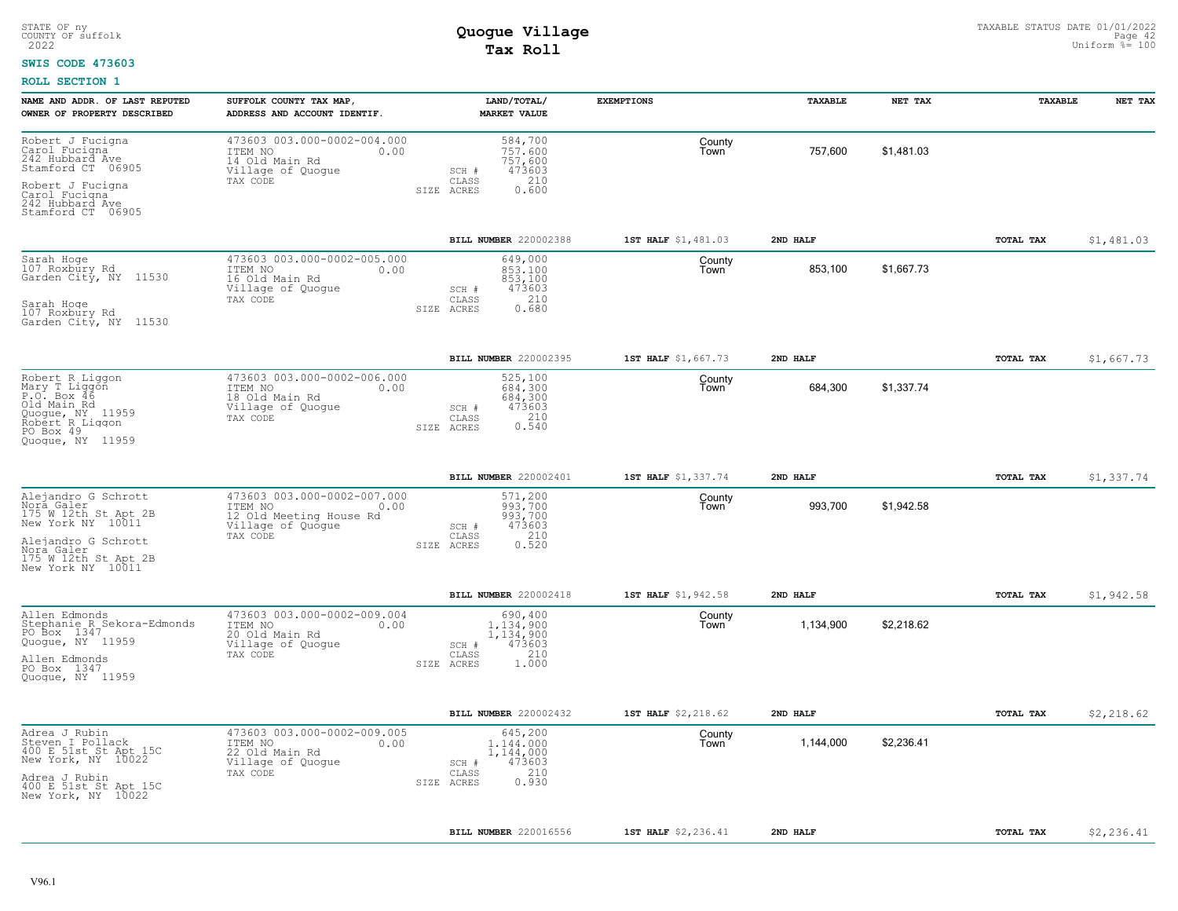#### **SWIS CODE 473603**

| NAME AND ADDR. OF LAST REPUTED<br>OWNER OF PROPERTY DESCRIBED                                                                                                    | SUFFOLK COUNTY TAX MAP,<br>ADDRESS AND ACCOUNT IDENTIF.                                                    | LAND/TOTAL/<br><b>MARKET VALUE</b>                                                                 | <b>EXEMPTIONS</b>   | <b><i>TAXABLE</i></b> | NET TAX    | <b>TAXABLE</b>   | NET TAX    |
|------------------------------------------------------------------------------------------------------------------------------------------------------------------|------------------------------------------------------------------------------------------------------------|----------------------------------------------------------------------------------------------------|---------------------|-----------------------|------------|------------------|------------|
| Robert J Fucigna<br>Carol Fucigna<br>242 Hubbard Ave<br>Stamford CT 06905<br>Robert J Fucigna                                                                    | 473603 003.000-0002-004.000<br>ITEM NO<br>0.00<br>14 Old Main Rd<br>Village of Quogue<br>TAX CODE          | 584,700<br>757.600<br>757,600<br>473603<br>SCH #<br>210<br>CLASS<br>0.600<br>SIZE ACRES            | County<br>Town      | 757,600               | \$1,481.03 |                  |            |
| Carol Fucigna<br>242 Hubbard Ave<br>Stamford CT 06905                                                                                                            |                                                                                                            |                                                                                                    |                     |                       |            |                  |            |
|                                                                                                                                                                  |                                                                                                            | BILL NUMBER 220002388                                                                              | 1ST HALF \$1,481.03 | 2ND HALF              |            | TOTAL TAX        | \$1,481.03 |
| Sarah Hoge<br>107 Roxbury Rd<br>Garden City, NY 11530                                                                                                            | 473603 003.000-0002-005.000<br>ITEM NO<br>0.00<br>16 Old Main Rd<br>Village of Quogue<br>TAX CODE          | 649,000<br>853,100<br>853,100<br>473603<br>SCH #<br>210<br>CLASS                                   | County<br>Town      | 853,100               | \$1,667.73 |                  |            |
| Sarah Hoge<br>107 Roxbury Rd<br>Garden City, NY 11530                                                                                                            |                                                                                                            | 0.680<br>SIZE ACRES                                                                                |                     |                       |            |                  |            |
|                                                                                                                                                                  |                                                                                                            | BILL NUMBER 220002395                                                                              | 1ST HALF \$1,667.73 | 2ND HALF              |            | TOTAL TAX        | \$1,667.73 |
| Robert R Liggon<br>Mary T Liggon<br>P.O. Box 46<br>Old Main Rd<br>Quogue, NY 11959<br>Robert R Liqqon<br>PO Box 49                                               | 473603 003.000-0002-006.000<br>ITEM NO<br>0.00<br>18 Old Main Rd<br>Village of Quogue<br>TAX CODE          | 525,100<br>684,300<br>684,300<br>473603<br>SCH #<br>0.310<br>CLASS<br>SIZE ACRES                   | County<br>Town      | 684,300               | \$1,337.74 |                  |            |
| Quoque, NY 11959                                                                                                                                                 |                                                                                                            |                                                                                                    |                     |                       |            |                  |            |
|                                                                                                                                                                  |                                                                                                            | BILL NUMBER 220002401                                                                              | 1ST HALF \$1,337.74 | 2ND HALF              |            | <b>TOTAL TAX</b> | \$1,337.74 |
| Alejandro G Schrott<br>Nora Galer<br>175 W 12th St Apt 2B<br>New York NY 10011<br>Alejandro G Schrott<br>Nora Galer<br>175 W 12th St Apt 2B<br>New York NY 10011 | 473603 003.000-0002-007.000<br>ITEM NO<br>0.00<br>12 Old Meeting House Rd<br>Village of Quogue<br>TAX CODE | 571,200<br>993.700<br>993,700<br>473603<br>SCH #<br>210<br>$\mathtt{CLASS}$<br>SIZE ACRES<br>0.520 | County<br>Town      | 993,700               | \$1,942.58 |                  |            |
|                                                                                                                                                                  |                                                                                                            | BILL NUMBER 220002418                                                                              | 1ST HALF \$1,942.58 | 2ND HALF              |            | TOTAL TAX        | \$1,942.58 |
| Allen Edmonds<br>Stephanie R Sekora-Edmonds<br>PO Box 1347<br>Quogue, NY 11959<br>Allen Edmonds                                                                  | 473603 003.000-0002-009.004<br>ITEM NO<br>0.00<br>20 Old Main Rd<br>Village of Quogue<br>TAX CODE          | 690,400<br>1.134.900<br>1,134,900<br>473603<br>SCH #<br>210<br>CLASS                               | County<br>Town      | 1,134,900             | \$2,218.62 |                  |            |
| PO Box 1347<br>Quoque, NY 11959                                                                                                                                  |                                                                                                            | SIZE ACRES<br>1.000                                                                                |                     |                       |            |                  |            |
|                                                                                                                                                                  |                                                                                                            | BILL NUMBER 220002432                                                                              | 1ST HALF \$2,218.62 | 2ND HALF              |            | TOTAL TAX        | \$2,218.62 |
| Adrea J Rubin<br>Steven I Pollack<br>400 E 51st St Apt 15C<br>New York, NY 10022<br>Adrea J Rubin<br>400 E 51st St Apt 15C<br>New York, NY 10022                 | 473603 003.000-0002-009.005<br>ITEM NO<br>0.00<br>22 Old Main Rd<br>Village of Quogue<br>TAX CODE          | 645,200<br>1,144,000<br>1,144,000<br>473603<br>SCH #<br>210<br>CLASS<br>0.930<br>SIZE ACRES        | County<br>Town      | 1,144,000             | \$2,236.41 |                  |            |
|                                                                                                                                                                  |                                                                                                            | BILL NUMBER 220016556                                                                              | 1ST HALF \$2,236.41 | 2ND HAT.F             |            | TOTAL TAX        | \$2,236.41 |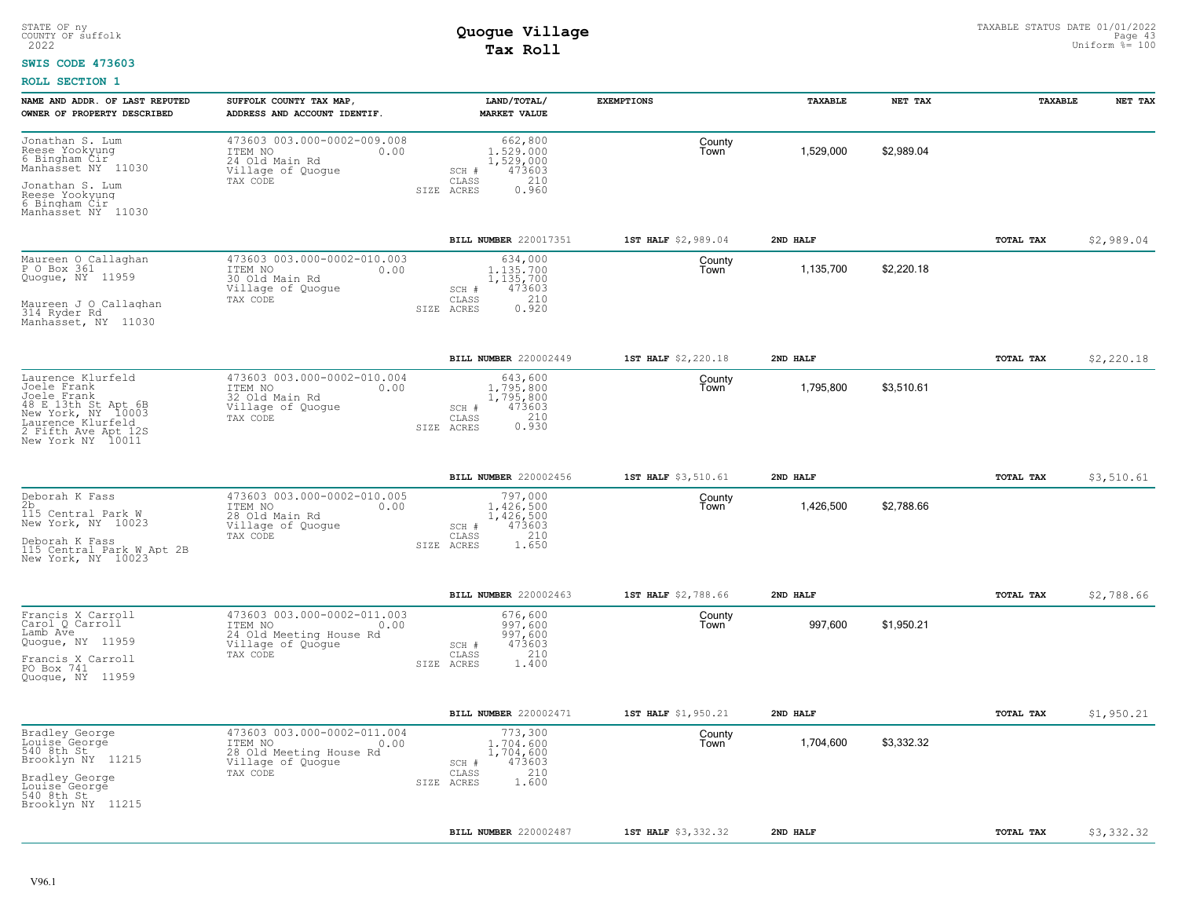### **SWIS CODE 473603**

| NAME AND ADDR. OF LAST REPUTED<br>OWNER OF PROPERTY DESCRIBED                                                                                                 | SUFFOLK COUNTY TAX MAP<br>ADDRESS AND ACCOUNT IDENTIF.                                                     | LAND/TOTAL/<br><b>MARKET VALUE</b>                                                            | <b>EXEMPTIONS</b>   | TAXABLE   | NET TAX    | TAXABLE   | NET TAX    |
|---------------------------------------------------------------------------------------------------------------------------------------------------------------|------------------------------------------------------------------------------------------------------------|-----------------------------------------------------------------------------------------------|---------------------|-----------|------------|-----------|------------|
| Jonathan S. Lum<br>Reese Yookyung<br>6 Bingham Cir<br>Manhasset NY 11030<br>Jonathan S. Lum<br>Reese Yookyung<br>6 Bingham Cir                                | 473603 003.000-0002-009.008<br>ITEM NO<br>0.00<br>24 Old Main Rd<br>Village of Quogue<br>TAX CODE          | 662,800<br>1,529,000<br>1,529,000<br>473603<br>SCH #<br>210<br>CLASS<br>SIZE ACRES<br>0.960   | County<br>Town      | 1,529,000 | \$2,989.04 |           |            |
| Manhasset NY 11030                                                                                                                                            |                                                                                                            | BILL NUMBER 220017351                                                                         | 1ST HALF \$2,989.04 | 2ND HALF  |            | TOTAL TAX | \$2,989.04 |
| Maureen O Callaghan<br>P O Box 361<br>Quogue, NY 11959<br>Maureen J O Callaghan<br>314 Ryder Rd<br>Manhasset, NY 11030                                        | 473603 003.000-0002-010.003<br>ITEM NO<br>0.00<br>30 Old Main Rd<br>Village of Quogue<br>TAX CODE          | 634,000<br>1,135,700<br>1,135,700<br>473603<br>$SCH$ #<br>210<br>CLASS<br>0.920<br>SIZE ACRES | County<br>Town      | 1,135,700 | \$2,220.18 |           |            |
|                                                                                                                                                               |                                                                                                            | BILL NUMBER 220002449                                                                         | 1ST HALF \$2,220.18 | 2ND HALF  |            | TOTAL TAX | \$2,220.18 |
| Laurence Klurfeld<br>Joele Frank<br>Joele Frank<br>48 E 13th St Apt 6B<br>New York, NY 10003<br>Laurence Klurfeld<br>2 Fifth Ave Apt 12S<br>New York NY 10011 | 473603 003.000-0002-010.004<br>ITEM NO<br>0.00<br>32 Old Main Rd<br>Village of Quogue<br>TAX CODE          | 643,600<br>1,795,800<br>1,795,800<br>473603<br>SCH #<br>210<br>CLASS<br>0.930<br>SIZE ACRES   | County<br>Town      | 1,795,800 | \$3,510.61 |           |            |
|                                                                                                                                                               |                                                                                                            | BILL NUMBER 220002456                                                                         | 1ST HALF \$3,510.61 | 2ND HALF  |            | TOTAL TAX | \$3,510.61 |
| Deborah K Fass<br>2b<br>115 Central Park W<br>New York, NY 10023<br>Deborah K Fass<br>115 Central Park W Apt 2B<br>New York, NY 10023                         | 473603 003.000-0002-010.005<br>ITEM NO<br>0.00<br>28 Old Main Rd<br>Village of Quogue<br>TAX CODE          | 797,000<br>1.426.500<br>1,426,500<br>473603<br>SCH #<br>210<br>CLASS<br>1.650<br>SIZE ACRES   | County<br>Town      | 1,426,500 | \$2,788.66 |           |            |
|                                                                                                                                                               |                                                                                                            | BILL NUMBER 220002463                                                                         | 1ST HALF \$2,788.66 | 2ND HALF  |            | TOTAL TAX | \$2,788.66 |
| Francis X Carroll<br>Carol Q Carroll<br>Lamb Ave<br>Quogue, NY 11959<br>Francis X Carroll<br>PO Box 741<br>Quogue, NY 11959                                   | 473603 003.000-0002-011.003<br>ITEM NO<br>0.00<br>24 Old Meeting House Rd<br>Village of Quoque<br>TAX CODE | 676,600<br>997,600<br>997,600<br>473603<br>SCH #<br>210<br>CLASS<br>SIZE ACRES<br>1,400       | County<br>Town      | 997,600   | \$1,950.21 |           |            |
|                                                                                                                                                               |                                                                                                            | BILL NUMBER 220002471                                                                         | 1ST HALF \$1,950.21 | 2ND HALF  |            | TOTAL TAX | \$1,950.21 |
| Bradley George<br>Louise George<br>540 8th St<br>Brooklyn NY 11215<br>Bradley George<br>Louise George<br>540 8th St<br>Brooklyn NY 11215                      | 473603 003.000-0002-011.004<br>ITEM NO<br>0.00<br>28 Old Meeting House Rd<br>Village of Quogue<br>TAX CODE | 773,300<br>1,704,600<br>1,704,600<br>473603<br>SCH #<br>210<br>CLASS<br>1.600<br>SIZE ACRES   | County<br>Town      | 1,704,600 | \$3,332.32 |           |            |
|                                                                                                                                                               |                                                                                                            | BILL NUMBER 220002487                                                                         | 1ST HALF \$3,332.32 | 2ND HALF  |            | TOTAL TAX | \$3,332.32 |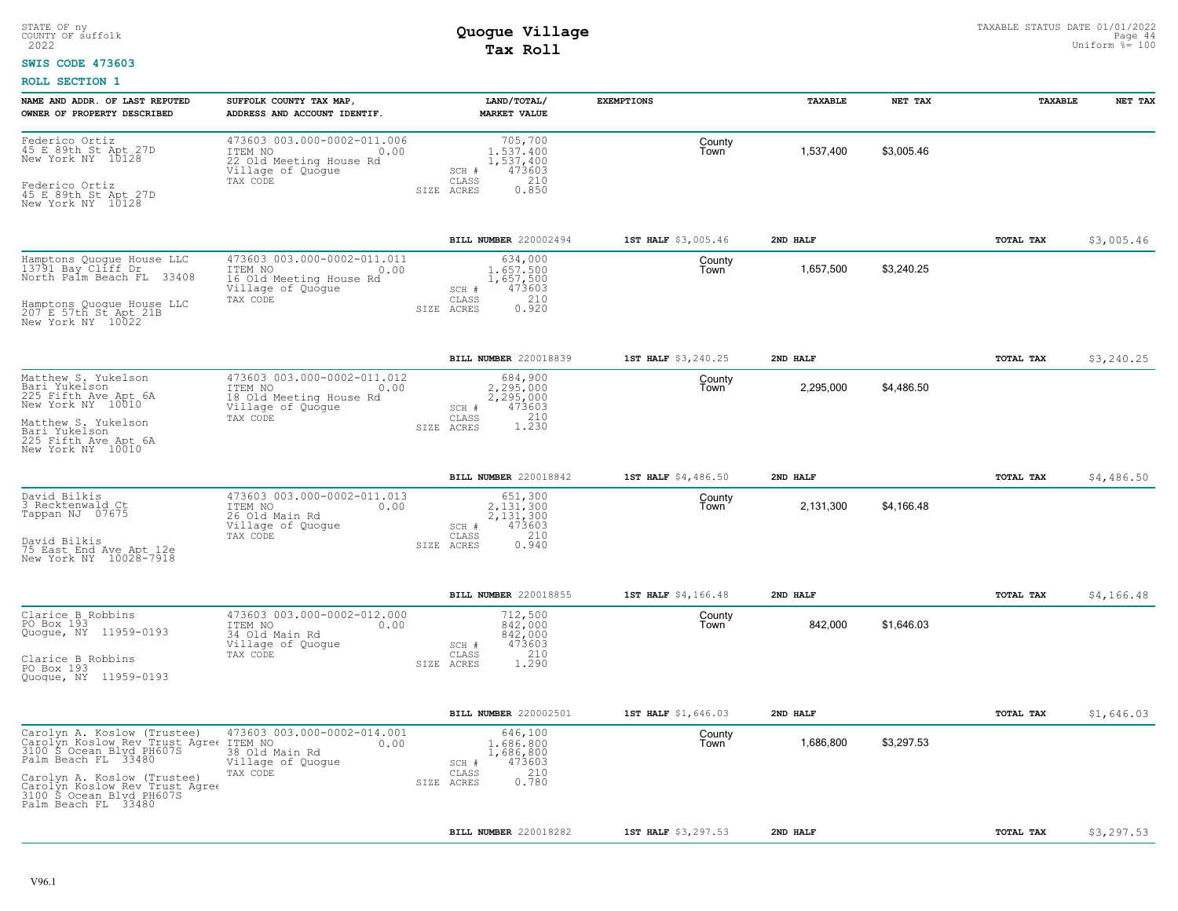### **SWIS CODE 473603**

| NAME AND ADDR. OF LAST REPUTED<br>OWNER OF PROPERTY DESCRIBED                                                                                                                                                                        | SUFFOLK COUNTY TAX MAP<br>ADDRESS AND ACCOUNT IDENTIF.                                                     | LAND/TOTAL/<br><b>MARKET VALUE</b>                                                             | <b>EXEMPTIONS</b>   | TAXABLE   | NET TAX    | TAXABLE   | NET TAX    |
|--------------------------------------------------------------------------------------------------------------------------------------------------------------------------------------------------------------------------------------|------------------------------------------------------------------------------------------------------------|------------------------------------------------------------------------------------------------|---------------------|-----------|------------|-----------|------------|
| Federico Ortiz<br>45 E 89th St Apt 27D<br>New York NY 10128<br>Federico Ortiz<br>45 E 89th St Apt 27D<br>New York NY 10128                                                                                                           | 473603 003.000-0002-011.006<br>ITEM NO<br>0.00<br>22 Old Meeting House Rd<br>Village of Quogue<br>TAX CODE | 705,700<br>1,537,400<br>1,537,400<br>473603<br>SCH #<br>210<br>CLASS<br>0.850<br>SIZE ACRES    | County<br>Town      | 1,537,400 | \$3,005.46 |           |            |
|                                                                                                                                                                                                                                      |                                                                                                            | BILL NUMBER 220002494                                                                          | 1ST HALF \$3,005.46 | 2ND HALF  |            | TOTAL TAX | \$3,005.46 |
| Hamptons Quoque House LLC<br>13791 Bay Cliff Dr<br>33408<br>North Palm Beach FL<br>Hamptons Quoque House LLC<br>207 E 57th St Apt 21B<br>New York NY 10022                                                                           | 473603 003.000-0002-011.011<br>ITEM NO<br>0.00<br>16 Old Meeting House Rd<br>Village of Quoque<br>TAX CODE | 634,000<br>1,657,500<br>1,657,500<br>473603<br>SCH #<br>210<br>CLASS<br>0.920<br>SIZE ACRES    | County<br>Town      | 1,657,500 | \$3,240.25 |           |            |
|                                                                                                                                                                                                                                      |                                                                                                            | BILL NUMBER 220018839                                                                          | 1ST HALF \$3,240.25 | 2ND HALF  |            | TOTAL TAX | \$3,240.25 |
| Matthew S. Yukelson<br>Bari Yukelson<br>225 Fifth Ave Apt 6A<br>New York NY 10010<br>Matthew S. Yukelson<br>Bari Yukelson                                                                                                            | 473603 003.000-0002-011.012<br>ITEM NO<br>0.00<br>18 Old Meeting House Rd<br>Village of Quoque<br>TAX CODE | 684,900<br>2,295,000<br>2,295,000<br>473603<br>SCH #<br>1.230<br>CLASS<br>SIZE ACRES           | County<br>Town      | 2,295,000 | \$4,486.50 |           |            |
| 225 Fifth Ave Apt 6A<br>New York NY 10010                                                                                                                                                                                            |                                                                                                            |                                                                                                |                     |           |            |           |            |
|                                                                                                                                                                                                                                      |                                                                                                            | BILL NUMBER 220018842                                                                          | 1ST HALF \$4,486.50 | 2ND HALF  |            | TOTAL TAX | \$4,486.50 |
| David Bilkis<br>3 Recktenwald Ct<br>Tappan NJ 07675<br>David Bilkis<br>75 East End Ave Apt 12e<br>New York NY 10028-7918                                                                                                             | 473603 003.000-0002-011.013<br>ITEM NO<br>0.00<br>26 Old Main Rd<br>Village of Quoque<br>TAX CODE          | 651,300<br>2,131,300<br>2,131,300<br>473603<br>SCH #<br>210<br>CLASS<br>0.940<br>SIZE ACRES    | County<br>Town      | 2,131,300 | \$4,166.48 |           |            |
|                                                                                                                                                                                                                                      |                                                                                                            | BILL NUMBER 220018855                                                                          | 1ST HALF \$4,166.48 | 2ND HALF  |            | TOTAL TAX | \$4,166.48 |
| Clarice B Robbins<br>PO Box 193<br>Quogue, NY 11959-0193<br>Clarice B Robbins<br>PO Box 193<br>Quoque, NY 11959-0193                                                                                                                 | 473603 003.000-0002-012.000<br>ITEM NO<br>0.00<br>34 Old Main Rd<br>Village of Quogue<br>TAX CODE          | 712,500<br>842,000<br>842,000<br>473603<br>SCH #<br>210<br>CLASS<br>SIZE ACRES<br>1.290        | County<br>Town      | 842,000   | \$1,646.03 |           |            |
|                                                                                                                                                                                                                                      |                                                                                                            | BILL NUMBER 220002501                                                                          | 1ST HALF \$1,646.03 | 2ND HALF  |            | TOTAL TAX | \$1,646.03 |
| Carolyn A. Koslow (Trustee)<br>Carolyn Koslow Rev Trust Agree<br>3100 S Ocean Blyd PH607S<br>Palm Beach FL 33480<br>Carolyn A. Koslow (Trustee)<br>Carolyn Koslow Rev Trust Agree<br>3100 S Ocean Blvd PH607S<br>Palm Beach FL 33480 | 473603 003.000-0002-014.001<br>ITEM NO<br>0.00<br>38 Old Main Rd<br>Village of Quogue<br>TAX CODE          | 646,100<br>1,686,800<br>1,686,800<br>473603<br>SCH #<br>210<br>CLASS<br>0.780<br>SIZE<br>ACRES | County<br>Town      | 1,686,800 | \$3,297.53 |           |            |
|                                                                                                                                                                                                                                      |                                                                                                            | BILL NUMBER 220018282                                                                          | 1ST HALF \$3,297.53 | 2ND HALF  |            | TOTAL TAX | \$3,297.53 |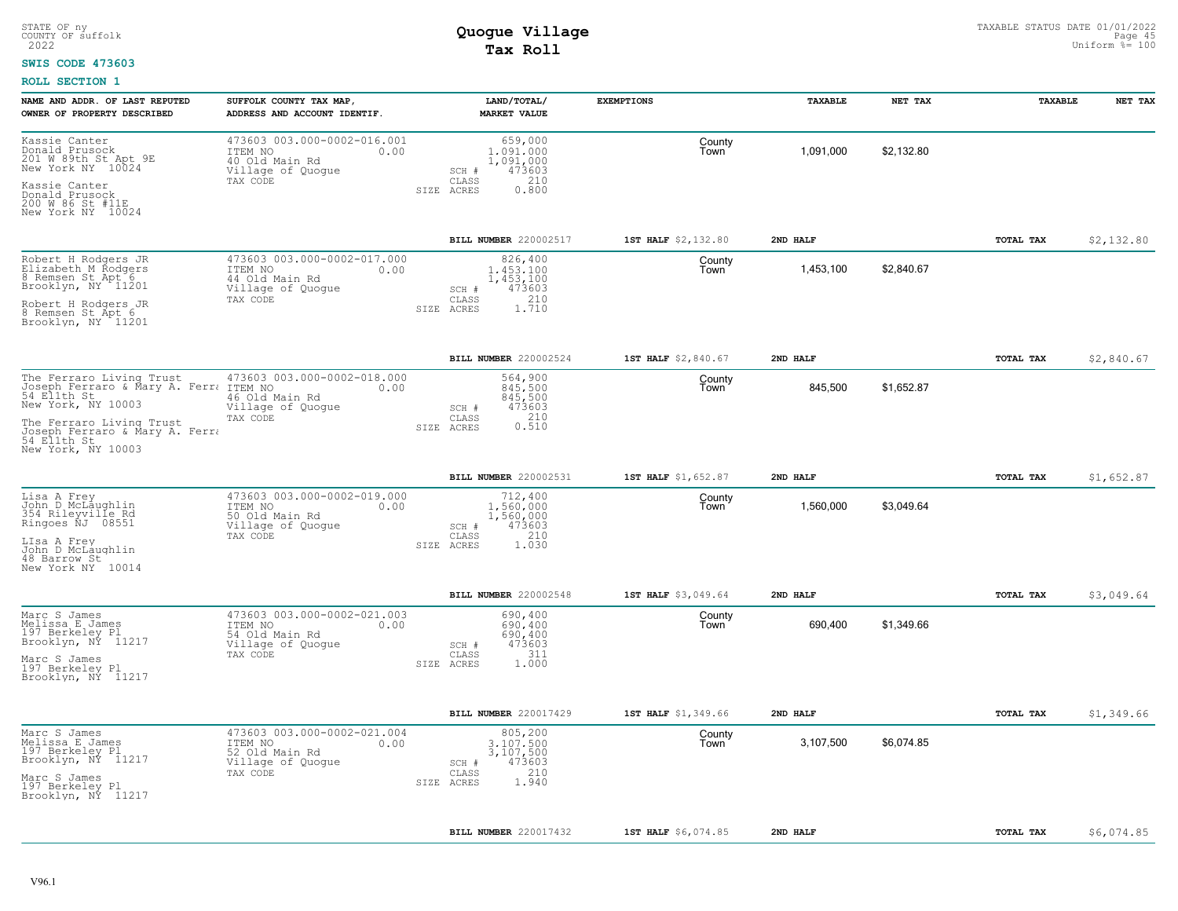### **SWIS CODE 473603**

| NAME AND ADDR. OF LAST REPUTED<br>OWNER OF PROPERTY DESCRIBED                                                                       | SUFFOLK COUNTY TAX MAP<br>ADDRESS AND ACCOUNT IDENTIF.                                            | LAND/TOTAL/<br><b>MARKET VALUE</b>                                                          | <b>EXEMPTIONS</b>   | TAXABLE   | NET TAX    | TAXABLE          | NET TAX    |
|-------------------------------------------------------------------------------------------------------------------------------------|---------------------------------------------------------------------------------------------------|---------------------------------------------------------------------------------------------|---------------------|-----------|------------|------------------|------------|
| Kassie Canter<br>Donald Prusock<br>201 W 89th St Apt 9E<br>New York NY 10024<br>Kassie Canter<br>Donald Prusock<br>200 W 86 St #11E | 473603 003.000-0002-016.001<br>ITEM NO<br>0.00<br>40 Old Main Rd<br>Village of Quogue<br>TAX CODE | 659,000<br>1,091,000<br>1,091,000<br>473603<br>SCH #<br>210<br>CLASS<br>0.800<br>SIZE ACRES | County<br>Town      | 1,091,000 | \$2,132.80 |                  |            |
| New York NY 10024                                                                                                                   |                                                                                                   |                                                                                             |                     |           |            |                  |            |
|                                                                                                                                     |                                                                                                   | BILL NUMBER 220002517                                                                       | 1ST HALF \$2,132.80 | 2ND HALF  |            | TOTAL TAX        | \$2,132.80 |
| Robert H Rodgers JR<br>Elizabeth M Rodgers<br>8 Remsen St Apt 6<br>Brooklyn, NY 11201                                               | 473603 003.000-0002-017.000<br>ITEM NO<br>0.00<br>44 Old Main Rd<br>Village of Quoque<br>TAX CODE | 826,400<br>1,453,100<br>1,453,100<br>473603<br>SCH #<br>210<br>CLASS                        | County<br>Town      | 1,453,100 | \$2,840.67 |                  |            |
| Robert H Rodgers JR<br>8 Remsen St Apt 6<br>Brooklyn, NY 11201                                                                      |                                                                                                   | SIZE ACRES<br>1.710                                                                         |                     |           |            |                  |            |
|                                                                                                                                     |                                                                                                   | BILL NUMBER 220002524                                                                       | 1ST HALF \$2,840.67 | 2ND HALF  |            | TOTAL TAX        | \$2,840.67 |
| The Ferraro Living Trust<br>New York, NY 10003                                                                                      | 473603 003.000-0002-018.000<br>0.00<br>46 Old Main Rd<br>Village of Quoque                        | 564,900<br>845,500<br>845,500<br>473603<br>SCH #                                            | County<br>Town      | 845,500   | \$1,652.87 |                  |            |
| The Ferraro Living Trust<br>Joseph Ferraro & Mary A. Ferra<br>54 Ellth St<br>New York, NY 10003                                     | TAX CODE                                                                                          | 0.210<br>CLASS<br>SIZE ACRES                                                                |                     |           |            |                  |            |
|                                                                                                                                     |                                                                                                   | BILL NUMBER 220002531                                                                       | 1ST HALF \$1,652.87 | 2ND HALF  |            | TOTAL TAX        | \$1,652.87 |
| Lisa A Frey<br>John D McLaughlin<br>354 Rileyville Rd<br>Ringoes NJ 08551<br>LIsa A Frey                                            | 473603 003.000-0002-019.000<br>ITEM NO<br>0.00<br>50 Old Main Rd<br>Village of Quogue<br>TAX CODE | 712,400<br>1,560,000<br>1,560,000<br>473603<br>SCH #<br>210<br>CLASS                        | County<br>Town      | 1,560,000 | \$3,049.64 |                  |            |
| John D McLaughlin<br>48 Barrow St<br>New York NY 10014                                                                              |                                                                                                   | 1.030<br>SIZE ACRES                                                                         |                     |           |            |                  |            |
|                                                                                                                                     |                                                                                                   | BILL NUMBER 220002548                                                                       | 1ST HALF \$3,049.64 | 2ND HALF  |            | TOTAL TAX        | \$3,049.64 |
| Marc S James<br>Melissa E James<br>197 Berkeley Pl<br>Brooklyn, NY 11217                                                            | 473603 003.000-0002-021.003<br>ITEM NO<br>0.00<br>54 Old Main Rd<br>Village of Quogue             | 690,400<br>690,400<br>690,400<br>473603<br>SCH #                                            | County<br>Town      | 690,400   | \$1,349.66 |                  |            |
| Marc S James<br>197 Berkeley Pl<br>Brooklyn, NÝ 11217                                                                               | TAX CODE                                                                                          | 311<br>CLASS<br>SIZE ACRES<br>1,000                                                         |                     |           |            |                  |            |
|                                                                                                                                     |                                                                                                   | BILL NUMBER 220017429                                                                       | 1ST HALF \$1,349.66 | 2ND HALF  |            | TOTAL TAX        | \$1,349.66 |
| Marc S James<br>Melissa E James<br>197 Berkeley Pl<br>Brooklyn, NY 11217                                                            | 473603 003.000-0002-021.004<br>ITEM NO<br>0.00<br>52 Old Main Rd<br>Village of Quogue             | 805,200<br>3,107,500<br>3,107,500<br>473603<br>SCH #                                        | County<br>Town      | 3,107,500 | \$6,074.85 |                  |            |
| Marc S James<br>197 Berkeley Pl<br>Brooklyn, NY 11217                                                                               | TAX CODE                                                                                          | 210<br>CLASS<br>1.940<br>SIZE ACRES                                                         |                     |           |            |                  |            |
|                                                                                                                                     |                                                                                                   | <b>BILL NUMBER 220017432</b>                                                                | 1ST HALF \$6,074.85 | 2ND HALF  |            | <b>TOTAL TAX</b> | \$6,074.85 |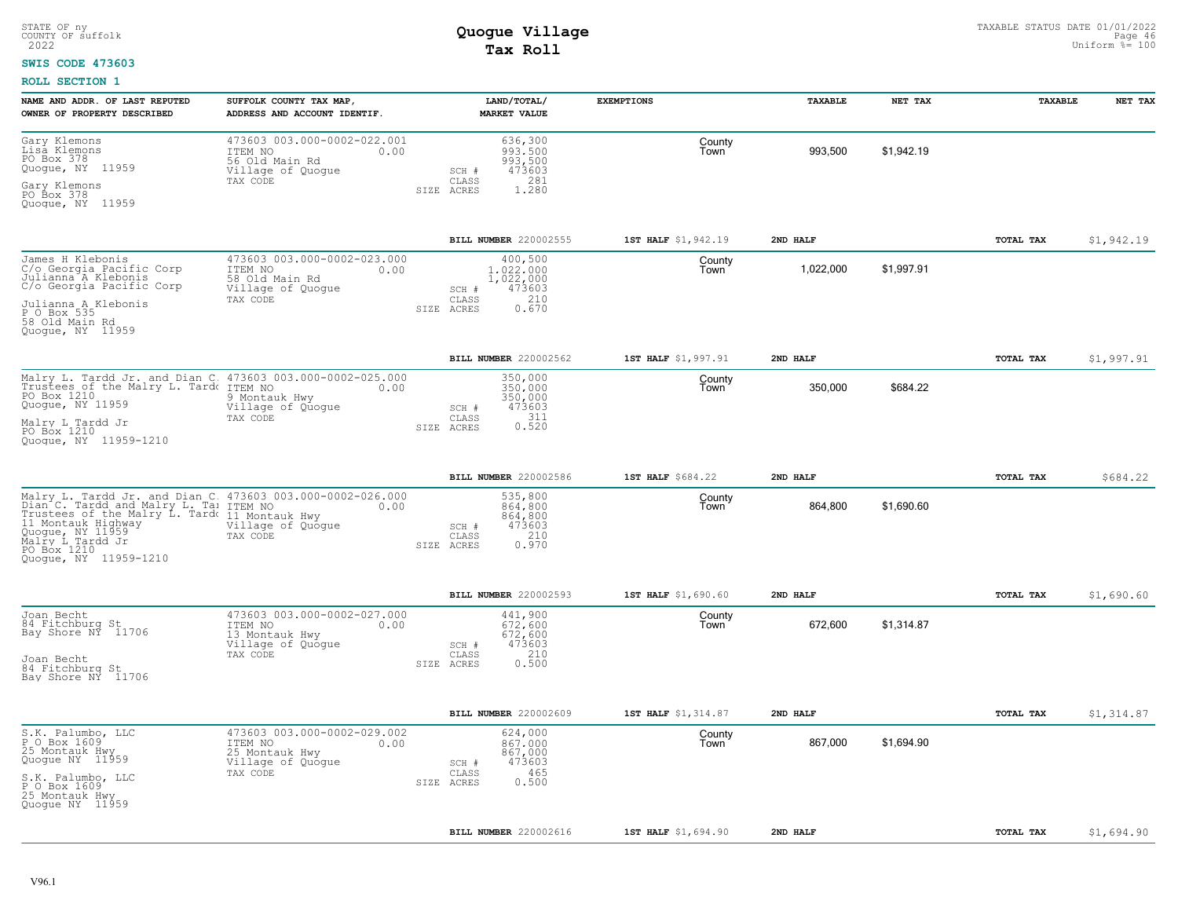#### **SWIS CODE 473603**

| NAME AND ADDR. OF LAST REPUTED<br>OWNER OF PROPERTY DESCRIBED                                                                                                                                                                                                                                                         | SUFFOLK COUNTY TAX MAP,<br>ADDRESS AND ACCOUNT IDENTIF.                                           |                                  | LAND/TOTAL/<br><b>MARKET VALUE</b>                          | <b>EXEMPTIONS</b>   | <b>TAXABLE</b> | NET TAX    | <b>TAXABLE</b>   | NET TAX    |
|-----------------------------------------------------------------------------------------------------------------------------------------------------------------------------------------------------------------------------------------------------------------------------------------------------------------------|---------------------------------------------------------------------------------------------------|----------------------------------|-------------------------------------------------------------|---------------------|----------------|------------|------------------|------------|
| Gary Klemons<br>Lisa Klemons<br>PO Box 378<br>Quogue, NY 11959<br>Gary Klemons<br>PO Box 378<br>Quoque, NY 11959                                                                                                                                                                                                      | 473603 003.000-0002-022.001<br>ITEM NO<br>0.00<br>56 Old Main Rd<br>Village of Quogue<br>TAX CODE | SCH #<br>CLASS<br>SIZE ACRES     | 636,300<br>993,500<br>993,500<br>473603<br>281<br>1.280     | County<br>Town      | 993,500        | \$1,942.19 |                  |            |
|                                                                                                                                                                                                                                                                                                                       |                                                                                                   |                                  | BILL NUMBER 220002555                                       | 1ST HALF \$1,942.19 | 2ND HALF       |            | TOTAL TAX        | \$1,942.19 |
| James H Klebonis<br>C/o Georgia Pacific Corp<br>Julianna A Klebonis<br>C/o Georgia Pacific Corp<br>Julianna A Klebonis<br>$P$ 0 Box 535<br>58 Old Main Rd<br>Quoque, NY 11959                                                                                                                                         | 473603 003.000-0002-023.000<br>ITEM NO<br>0.00<br>58 Old Main Rd<br>Village of Quogue<br>TAX CODE | SCH #<br>CLASS<br>SIZE ACRES     | 400,500<br>1,022,000<br>1,022,000<br>473603<br>210<br>0.670 | County<br>Town      | 1,022,000      | \$1,997.91 |                  |            |
|                                                                                                                                                                                                                                                                                                                       |                                                                                                   |                                  | BILL NUMBER 220002562                                       | 1ST HALF \$1,997.91 | 2ND HALF       |            | TOTAL TAX        | \$1,997.91 |
| Malry L. Tardd Jr. and Dian C 473603 003.000-0002-025.000<br>Trustees of the Malry L. Tard ITEM NO<br>PO Box 1210<br>Quogue, NY 11959<br>Malry L Tardd Jr<br>PO Box 1210<br>Quoque, NY 11959-1210                                                                                                                     | 0.00<br>9 Montauk Hwy<br>Village of Quogue<br>TAX CODE                                            | SCH #<br>CLASS<br>SIZE ACRES     | 350,000<br>350,000<br>350,000<br>473603<br>311<br>0.520     | County<br>Town      | 350,000        | \$684.22   |                  |            |
|                                                                                                                                                                                                                                                                                                                       |                                                                                                   |                                  | BILL NUMBER 220002586                                       | 1ST HALF \$684.22   | 2ND HALF       |            | TOTAL TAX        | \$684.22   |
| Malry L. Tardd Jr. and Dian C. 473603 003.000-0002-026.000<br>Dian C. Tardd and Malry L. Ta: ITEM NO 0.00<br>Frustees of the Malry L. Tard (11 Montauk Hwy<br>11 Montauk Highway (11 Montauk Hwy<br>11 Montauk Highway (11959)<br>Malry L. Tard Jr TAX CODE Malry L. Tardd Jr<br>PO Box 1210<br>Quoque, NY 11959-1210 | Village of Quogue                                                                                 | $SCH$ #<br>CLASS<br>SIZE ACRES   | 535,800<br>864,800<br>864,800<br>473603<br>210<br>0.970     | County<br>Town      | 864,800        | \$1,690.60 |                  |            |
|                                                                                                                                                                                                                                                                                                                       |                                                                                                   |                                  | BILL NUMBER 220002593                                       | 1ST HALF \$1,690.60 | 2ND HALF       |            | <b>TOTAL TAX</b> | \$1,690.60 |
| Joan Becht<br>84 Fitchburg St<br>Bay Shore NY 11706<br>Joan Becht<br>84 Fitchburg St<br>Bay Shore NY 11706                                                                                                                                                                                                            | 473603 003.000-0002-027.000<br>ITEM NO<br>0.00<br>13 Montauk Hwy<br>Village of Quogue<br>TAX CODE | $SCH$ $#$<br>CLASS<br>SIZE ACRES | 441,900<br>672,600<br>672,600<br>473603<br>210<br>0.500     | County<br>Town      | 672,600        | \$1,314.87 |                  |            |
|                                                                                                                                                                                                                                                                                                                       |                                                                                                   |                                  | <b>BILL NUMBER 220002609</b>                                | 1ST HALF \$1,314.87 | 2ND HALF       |            | TOTAL TAX        | \$1,314.87 |
| S.K. Palumbo, LLC<br>P_O Box 1609<br>25 Montauk Hwy<br>Quogue NY 11959<br>S.K. Palumbo, LLC<br>P_O Box 1609<br>25 Montauk Hwy<br>Quoque NY 11959                                                                                                                                                                      | 473603 003.000-0002-029.002<br>ITEM NO<br>0.00<br>25 Montauk Hwy<br>Village of Quogue<br>TAX CODE | SCH #<br>CLASS<br>SIZE ACRES     | 624,000<br>867.000<br>867,000<br>473603<br>465<br>0.500     | County<br>Town      | 867,000        | \$1,694.90 |                  |            |
|                                                                                                                                                                                                                                                                                                                       |                                                                                                   |                                  | <b>BILL NUMBER</b> 220002616                                | 1ST HALF \$1,694.90 | 2ND HALF       |            | TOTAL TAX        | \$1,694.90 |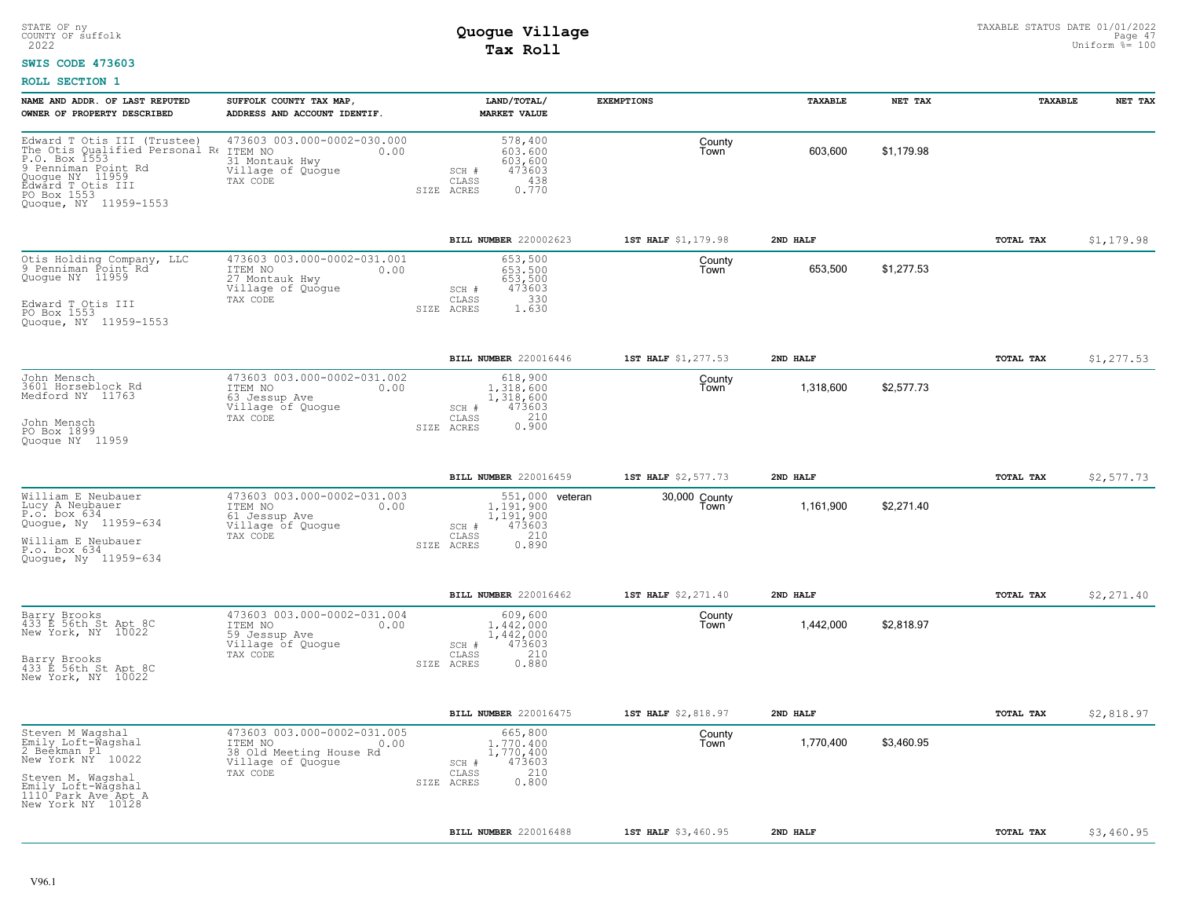### **SWIS CODE 473603**

| NAME AND ADDR. OF LAST REPUTED<br>OWNER OF PROPERTY DESCRIBED                                                                                                                         | SUFFOLK COUNTY TAX MAP,<br>ADDRESS AND ACCOUNT IDENTIF.                                                    | LAND/TOTAL/<br><b>MARKET VALUE</b>                                                                  | <b>EXEMPTIONS</b>     | TAXABLE   | NET TAX    | TAXABLE   | NET TAX    |
|---------------------------------------------------------------------------------------------------------------------------------------------------------------------------------------|------------------------------------------------------------------------------------------------------------|-----------------------------------------------------------------------------------------------------|-----------------------|-----------|------------|-----------|------------|
| Edward T Otis III (Trustee)<br>The Otis Qualified Personal Re<br>P.O. Box 1553<br>9 Penniman Point Rd<br>Quogue NY 11959<br>Edward T Otis III<br>PO Box 1553<br>Quoque, NY 11959-1553 | 473603 003.000-0002-030.000<br>ITEM NO<br>0.00<br>31 Montauk Hwy<br>Village of Quogue<br>TAX CODE          | 578,400<br>603,600<br>603,600<br>473603<br>SCH #<br>438<br>CLASS<br>0.770<br>SIZE ACRES             | County<br>Town        | 603,600   | \$1,179.98 |           |            |
|                                                                                                                                                                                       |                                                                                                            | BILL NUMBER 220002623                                                                               | 1ST HALF \$1,179.98   | 2ND HALF  |            | TOTAL TAX | \$1,179.98 |
| Otis Holding Company, LLC<br>9 Penniman Point <sup>t</sup> Rd<br>Quogue NY 11959<br>Edward T Otis III<br>PO Box 1553<br>Quogue, NY 11959-1553                                         | 473603 003.000-0002-031.001<br>ITEM NO<br>0.00<br>27 Montauk Hwy<br>Village of Quogue<br>TAX CODE          | 653,500<br>653.500<br>653,500<br>473603<br>SCH #<br>330<br>CLASS<br>SIZE ACRES<br>1.630             | County<br>Town        | 653,500   | \$1,277.53 |           |            |
|                                                                                                                                                                                       |                                                                                                            | <b>BILL NUMBER</b> 220016446                                                                        | 1ST HALF \$1,277.53   | 2ND HALF  |            | TOTAL TAX | \$1,277.53 |
| John Mensch<br>3601 Horseblock Rd<br>Medford NY 11763<br>John Mensch<br>PO Box 1899<br>Quoque NY 11959                                                                                | 473603 003.000-0002-031.002<br>ITEM NO<br>0.00<br>63 Jessup Ave<br>Village of Quogue<br>TAX CODE           | 618,900<br>1,318,600<br>1,318,600<br>473603<br>SCH #<br>0.210<br>CLASS<br>SIZE ACRES                | County<br>Town        | 1,318,600 | \$2,577.73 |           |            |
|                                                                                                                                                                                       |                                                                                                            |                                                                                                     |                       |           |            |           |            |
|                                                                                                                                                                                       |                                                                                                            | <b>BILL NUMBER</b> 220016459                                                                        | 1ST HALF \$2,577.73   | 2ND HALF  |            | TOTAL TAX | \$2,577.73 |
| William E Neubauer<br>Lucy A Neubauer<br>P.o. box 634<br>Quogue, Ny 11959-634<br>William E Neubauer<br>P.o. box 634<br>Quoque, Ny 11959-634                                           | 473603 003.000-0002-031.003<br>ITEM NO<br>0.00<br>61 Jessup Ave<br>Village of Quogue<br>TAX CODE           | 551,000 veteran<br>1,191,900<br>1,191,900<br>473603<br>SCH #<br>210<br>CLASS<br>0.890<br>SIZE ACRES | 30,000 County<br>Town | 1,161,900 | \$2,271.40 |           |            |
|                                                                                                                                                                                       |                                                                                                            | BILL NUMBER 220016462                                                                               | 1ST HALF \$2,271.40   | 2ND HALF  |            | TOTAL TAX | \$2,271.40 |
| Barry Brooks<br>433 E 56th St Apt 8C<br>New York, NY 10022<br>Barry Brooks<br>433 E 56th St Apt 8C<br>New York, NY 10022                                                              | 473603 003.000-0002-031.004<br>ITEM NO<br>0.00<br>59 Jessup Ave<br>Village of Quogue<br>TAX CODE           | 609,600<br>1,442,000<br>1,442,000<br>473603<br>SCH #<br>210<br>CLASS<br>0.880<br>SIZE ACRES         | County<br>Town        | 1,442,000 | \$2,818.97 |           |            |
|                                                                                                                                                                                       |                                                                                                            | BILL NUMBER 220016475                                                                               | 1ST HALF \$2,818.97   | 2ND HALF  |            | TOTAL TAX | \$2,818.97 |
| Steven M Waqshal<br>Emily Loft-Wagshal<br>2 Beekman Pl<br>New York NY 10022<br>Steven M. Wagshal<br>Emily Loft-Wagshal<br>1110 Park Ave Apt A<br>New York NY 10128                    | 473603 003.000-0002-031.005<br>ITEM NO<br>0.00<br>38 Old Meeting House Rd<br>Village of Quogue<br>TAX CODE | 665,800<br>1,770,400<br>1,770,400<br>473603<br>SCH #<br>210<br>CLASS<br>0.800<br>SIZE ACRES         | County<br>Town        | 1,770,400 | \$3,460.95 |           |            |
|                                                                                                                                                                                       |                                                                                                            | BILL NUMBER 220016488                                                                               | 1ST HALF \$3,460.95   | 2ND HALF  |            | TOTAL TAX | \$3,460.95 |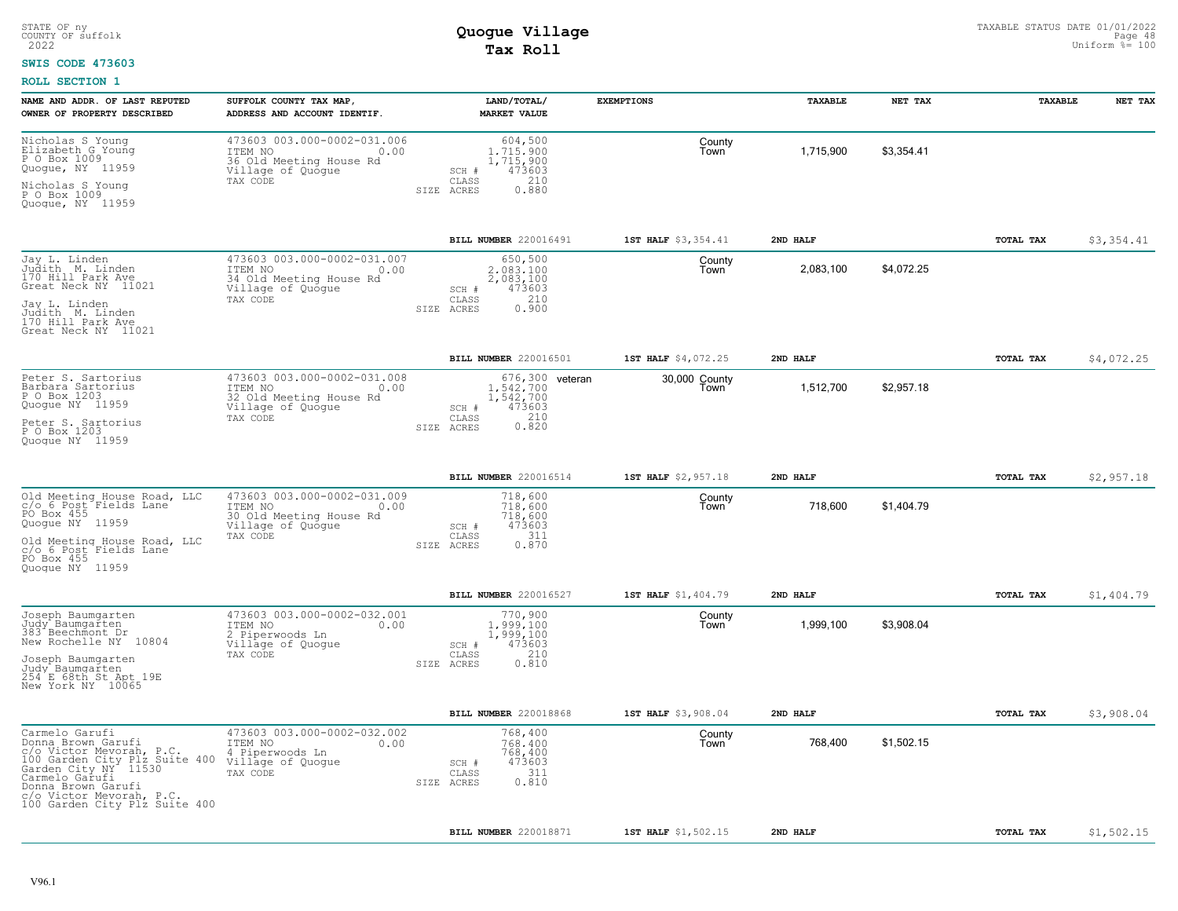### **SWIS CODE 473603**

| NAME AND ADDR. OF LAST REPUTED<br>OWNER OF PROPERTY DESCRIBED                                                                                                                                                                  | SUFFOLK COUNTY TAX MAP,<br>ADDRESS AND ACCOUNT IDENTIF.                                                    |                              | LAND/TOTAL/<br><b>MARKET VALUE</b>                          | <b>EXEMPTIONS</b>     | <b>TAXABLE</b> | NET TAX    | <b>TAXABLE</b>   | NET TAX    |
|--------------------------------------------------------------------------------------------------------------------------------------------------------------------------------------------------------------------------------|------------------------------------------------------------------------------------------------------------|------------------------------|-------------------------------------------------------------|-----------------------|----------------|------------|------------------|------------|
| Nicholas S Younq<br>Elizabeth G Young<br>P O Box 1009<br>Quogue, NY 11959<br>Nicholas S Young<br>P O Box 1009                                                                                                                  | 473603 003.000-0002-031.006<br>ITEM NO<br>0.00<br>36 Old Meeting House Rd<br>Village of Quogue<br>TAX CODE | SCH #<br>CLASS<br>SIZE ACRES | 604,500<br>1.715.900<br>1,715,900<br>473603<br>210<br>0.880 | County<br>Town        | 1,715,900      | \$3,354.41 |                  |            |
| Quoque, NY 11959                                                                                                                                                                                                               |                                                                                                            |                              |                                                             |                       |                |            |                  |            |
|                                                                                                                                                                                                                                |                                                                                                            |                              | BILL NUMBER 220016491                                       | 1ST HALF \$3,354.41   | 2ND HALF       |            | TOTAL TAX        | \$3,354.41 |
| Jay L. Linden<br>Judith M. Linden<br>170 Hill Park Ave<br>Great Neck NY 11021<br>Jay L. Linden<br>Judith M. Linden<br>170 Hill Park Ave                                                                                        | 473603 003.000-0002-031.007<br>ITEM NO<br>0.00<br>34 Old Meeting House Rd<br>Village of Quogue<br>TAX CODE | SCH #<br>CLASS<br>SIZE ACRES | 650,500<br>2.083.100<br>2,083,100<br>473603<br>210<br>0.900 | County<br>Town        | 2,083,100      | \$4,072.25 |                  |            |
| Great Neck NY 11021                                                                                                                                                                                                            |                                                                                                            |                              |                                                             |                       |                |            |                  |            |
|                                                                                                                                                                                                                                |                                                                                                            |                              | BILL NUMBER 220016501                                       | 1ST HALF \$4,072.25   | 2ND HALF       |            | TOTAL TAX        | \$4,072.25 |
| Peter S. Sartorius<br>Barbara Sartorius<br>P O Box 1203<br>Quogue NY 11959                                                                                                                                                     | 473603 003.000-0002-031.008<br>ITEM NO<br>0.00<br>32 Old Meeting House Rd<br>Village of Quoque             | SCH #                        | 676,300 veteran<br>1,542,700<br>1,542,700<br>473603         | 30,000 County<br>Town | 1,512,700      | \$2,957.18 |                  |            |
| Peter S. Sartorius<br>P O Box 1203<br>Quoque NY 11959                                                                                                                                                                          | TAX CODE                                                                                                   | CLASS<br>SIZE ACRES          | 210<br>0.820                                                |                       |                |            |                  |            |
|                                                                                                                                                                                                                                |                                                                                                            |                              | BILL NUMBER 220016514                                       | 1ST HALF \$2,957.18   | 2ND HALF       |            | <b>TOTAL TAX</b> | \$2,957.18 |
| Old Meeting House Road, LLC<br>c/o 6 Post Fields Lane<br>PO Box 455<br>Quogue NY 11959                                                                                                                                         | 473603 003.000-0002-031.009<br>ITEM NO<br>0.00<br>30 Old Meeting House Rd<br>Village of Quoque             | SCH #                        | 718,600<br>718,600<br>718,600<br>473603                     | County<br>Town        | 718,600        | \$1,404.79 |                  |            |
| Old Meeting House Road, LLC<br>c/o 6 Post Fields Lane<br>PO Box 455<br>Quoque NY 11959                                                                                                                                         | TAX CODE                                                                                                   | CLASS<br>SIZE ACRES          | 311<br>0.870                                                |                       |                |            |                  |            |
|                                                                                                                                                                                                                                |                                                                                                            |                              | BILL NUMBER 220016527                                       | 1ST HALF \$1,404.79   | 2ND HALF       |            | TOTAL TAX        | \$1,404.79 |
| Joseph Baumgarten<br>Judy Baumgarten<br>383 Beechmont Dr<br>New Rochelle NY 10804                                                                                                                                              | 473603 003.000-0002-032.001<br>ITEM NO<br>0.00<br>Piperwoods Ln<br>Village of Quoque                       | SCH #                        | 770,900<br>1,999,100<br>1,999,100<br>473603                 | County<br>Town        | 1,999,100      | \$3,908.04 |                  |            |
| Joseph Baumqarten<br>Judy Baumgarten<br>254 E 68th St Apt 19E<br>New York NY 10065                                                                                                                                             | TAX CODE                                                                                                   | CLASS<br>SIZE ACRES          | 210<br>0.810                                                |                       |                |            |                  |            |
|                                                                                                                                                                                                                                |                                                                                                            |                              | BILL NUMBER 220018868                                       | 1ST HALF \$3,908.04   | 2ND HALF       |            | <b>TOTAL TAX</b> | \$3,908.04 |
| Carmelo Garufi<br>Donna Brown Garufi<br>c/o Victor Mevorah, P.C.<br>100 Garden City Plz Suite 400<br>Garden City NY 11530<br>Carmelo Garufi<br>Donna Brown Garufi<br>c/o Victor Mevorah, P.C.<br>100 Garden City Plz Suite 400 | 473603 003.000-0002-032.002<br>ITEM NO<br>0.00<br>4 Piperwoods Ln<br>Village of Quoque<br>TAX CODE         | SCH #<br>CLASS<br>SIZE ACRES | 768,400<br>768,400<br>768,400<br>473603<br>311<br>0.810     | County<br>Town        | 768,400        | \$1,502.15 |                  |            |
|                                                                                                                                                                                                                                |                                                                                                            |                              | BILL NUMBER 220018871                                       | 1ST HALF \$1,502.15   | 2ND HALF       |            | TOTAL TAX        | \$1,502.15 |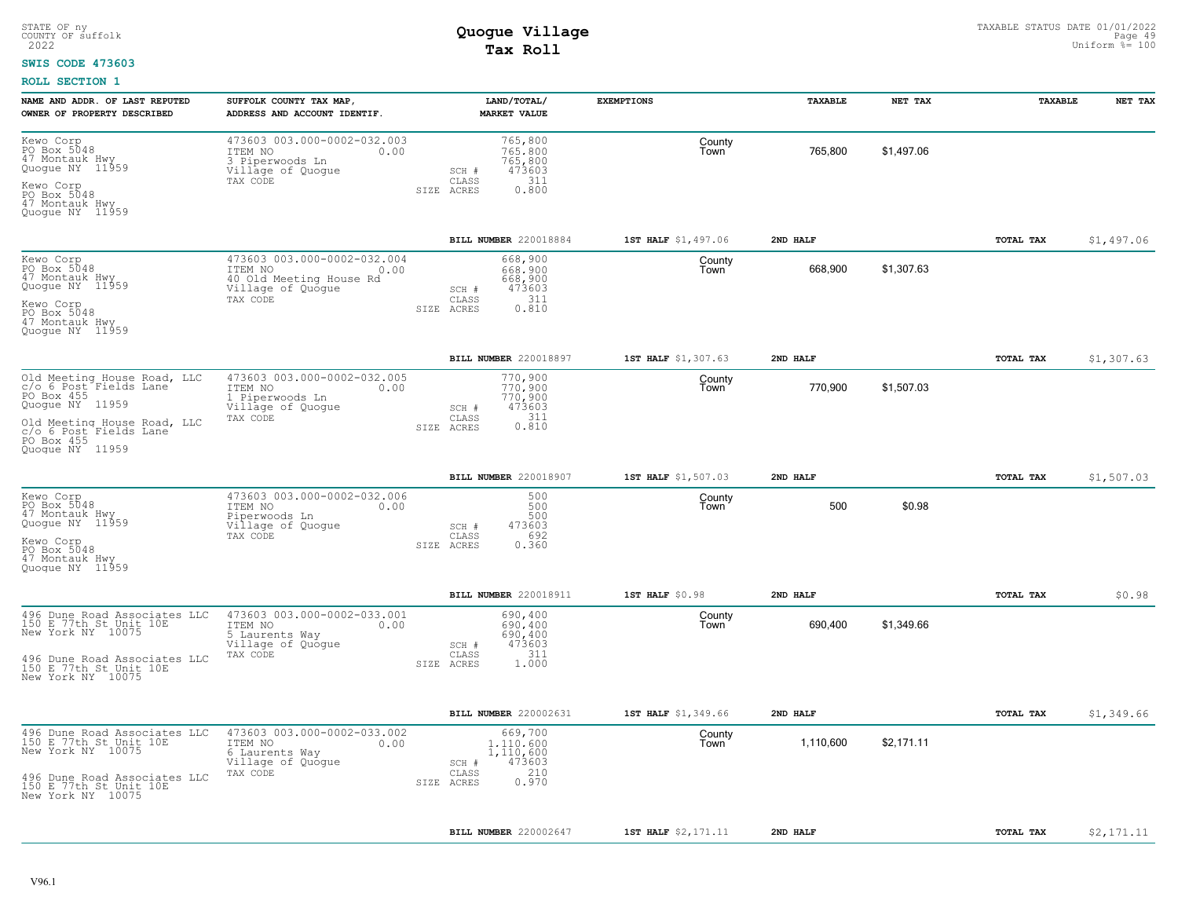#### **SWIS CODE 473603**

| NAME AND ADDR. OF LAST REPUTED<br>OWNER OF PROPERTY DESCRIBED                                                                                                      | SUFFOLK COUNTY TAX MAP,<br>ADDRESS AND ACCOUNT IDENTIF.                                                    | LAND/TOTAL/<br><b>MARKET VALUE</b>                                                              | <b>EXEMPTIONS</b>   | TAXABLE   | NET TAX    | TAXABLE   | NET TAX    |
|--------------------------------------------------------------------------------------------------------------------------------------------------------------------|------------------------------------------------------------------------------------------------------------|-------------------------------------------------------------------------------------------------|---------------------|-----------|------------|-----------|------------|
| Kewo Corp<br>PO Box 5048<br>47 Montauk Hwy<br>Quogue NY 11959<br>Kewo Corp<br>PO Box 5048<br>47 Montauk Hwy<br>Quoque NY 11959                                     | 473603 003.000-0002-032.003<br>ITEM NO<br>0.00<br>3 Piperwoods Ln<br>Village of Quogue<br>TAX CODE         | 765,800<br>765,800<br>765,800<br>473603<br>SCH #<br>311<br>CLASS<br>0.800<br>SIZE ACRES         | County<br>Town      | 765,800   | \$1,497.06 |           |            |
|                                                                                                                                                                    |                                                                                                            | BILL NUMBER 220018884                                                                           | 1ST HALF \$1,497.06 | 2ND HALF  |            | TOTAL TAX | \$1,497.06 |
| Kewo Corp<br>PO Box 5048<br>47 Montauk Hwy<br>Quogue NY 11959<br>Kewo Corp<br>PO Box 5048<br>47 Montauk Hwy<br>Quoque NY 11959                                     | 473603 003.000-0002-032.004<br>ITEM NO<br>0.00<br>40 Old Meeting House Rd<br>Village of Quoque<br>TAX CODE | 668,900<br>668,900<br>668,900<br>473603<br>SCH #<br>311<br>CLASS<br>0.810<br>SIZE ACRES         | County<br>Town      | 668,900   | \$1.307.63 |           |            |
|                                                                                                                                                                    |                                                                                                            | BILL NUMBER 220018897                                                                           | 1ST HALF \$1,307.63 | 2ND HALF  |            | TOTAL TAX | \$1,307.63 |
| Old Meeting House Road, LLC<br>c/o 6 Post Fields Lane<br>PO Box 455<br>Quogue NY 11959<br>Old Meeting House Road, LLC<br>c/o 6 Post Fields Lane<br>Ouoque NY 11959 | 473603 003.000-0002-032.005<br>ITEM NO<br>0.00<br>1 Piperwoods Ln<br>Village of Quogue<br>TAX CODE         | 770,900<br>770,900<br>770,900<br>473603<br>SCH #<br>311<br>CLASS<br>0.810<br>SIZE ACRES         | County<br>Town      | 770,900   | \$1,507.03 |           |            |
|                                                                                                                                                                    |                                                                                                            | BILL NUMBER 220018907                                                                           | 1ST HALF \$1,507.03 | 2ND HALF  |            | TOTAL TAX | \$1,507.03 |
| Kewo Corp<br>PO Box 5048<br>47 Montauk Hwy<br>Quogue NY 11959<br>Kewo Corp<br>PO Box 5048<br>47 Montauk Hwy<br>Quoque NY 11959                                     | 473603 003.000-0002-032.006<br>ITEM NO<br>0.00<br>Piperwoods Ln<br>Village of Quogue<br>TAX CODE           | 500<br>500<br>500<br>473603<br>SCH #<br>CLASS<br>692<br>0.360<br>SIZE ACRES                     | County<br>Town      | 500       | \$0.98     |           |            |
|                                                                                                                                                                    |                                                                                                            | BILL NUMBER 220018911                                                                           | 1ST HALF \$0.98     | 2ND HALF  |            | TOTAL TAX | \$0.98     |
| 496 Dune Road Associates LLC<br>150 E 77th St Unit 10E<br>New York NY 10075<br>496 Dune Road Associates LLC<br>150 E 77th St Unit 10E<br>New York NY 10075         | 473603 003.000-0002-033.001<br>ITEM NO<br>0.00<br>5 Laurents Way<br>Village of Quogue<br>TAX CODE          | 690,400<br>690,400<br>690,400<br>473603<br>SCH #<br>311<br>CLASS<br>SIZE ACRES<br>1,000         | County<br>Town      | 690,400   | \$1,349.66 |           |            |
|                                                                                                                                                                    |                                                                                                            | BILL NUMBER 220002631                                                                           | 1ST HALF \$1,349.66 | 2ND HALF  |            | TOTAL TAX | \$1,349.66 |
| 496 Dune Road Associates LLC<br>150 E 77th St Unit 10E<br>New York NY 10075<br>496 Dune Road Associates LLC<br>150 E 77th St Unit 10E<br>New York NY 10075         | 473603 003.000-0002-033.002<br>ITEM NO<br>0.00<br>6 Laurents Way<br>Village of Quogue<br>TAX CODE          | 669,700<br>1.110.600<br>1,110,600<br>473603<br>$SCH$ $#$<br>210<br>CLASS<br>0.970<br>SIZE ACRES | County<br>Town      | 1,110,600 | \$2,171.11 |           |            |
|                                                                                                                                                                    |                                                                                                            | BILL NUMBER 220002647                                                                           | 1ST HALF \$2,171.11 | 2ND HALF  |            | TOTAL TAX | \$2,171.11 |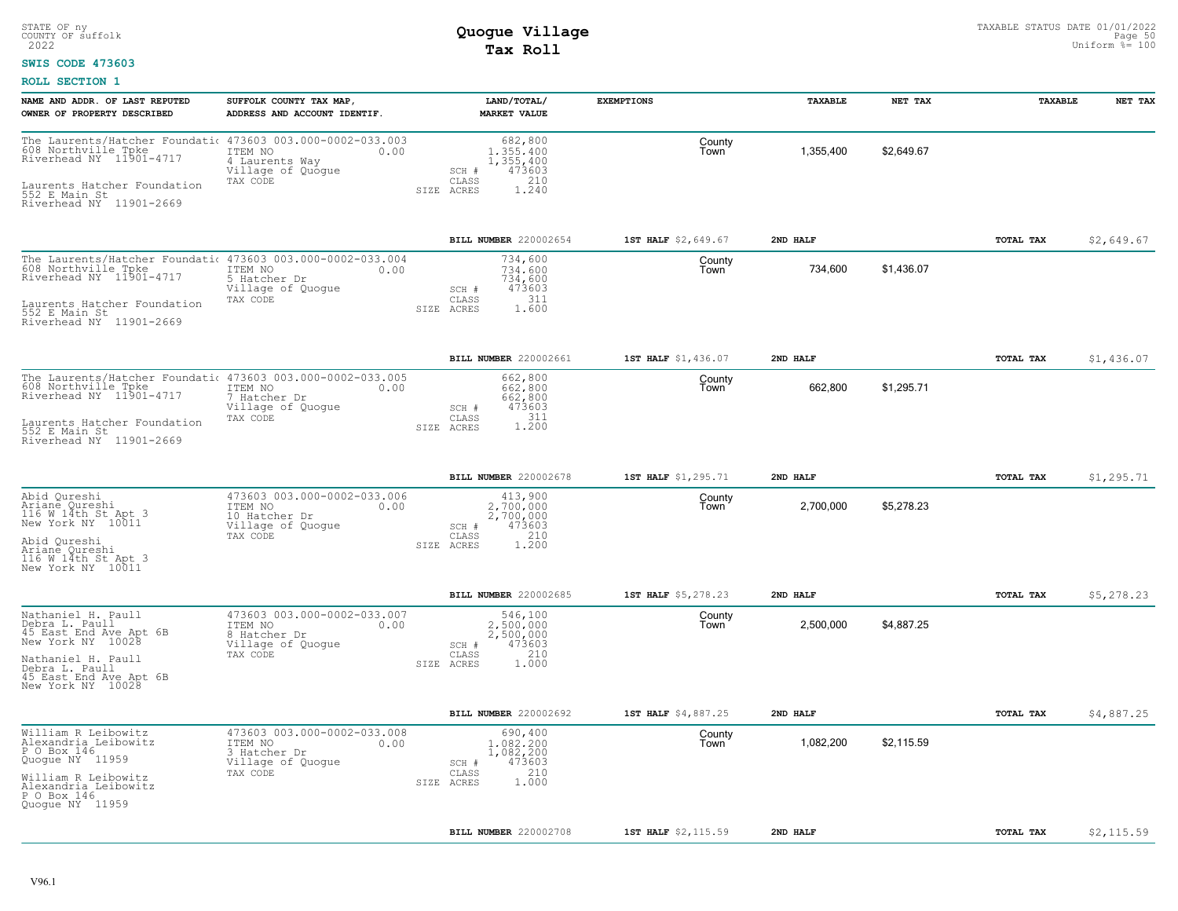### **SWIS CODE 473603**

| NAME AND ADDR. OF LAST REPUTED<br>OWNER OF PROPERTY DESCRIBED                                                                                                                          | SUFFOLK COUNTY TAX MAP,<br>ADDRESS AND ACCOUNT IDENTIF.                              | LAND/TOTAL/<br><b>MARKET VALUE</b>                                                          | <b>EXEMPTIONS</b>   | TAXABLE   | NET TAX    | TAXABLE   | NET TAX    |
|----------------------------------------------------------------------------------------------------------------------------------------------------------------------------------------|--------------------------------------------------------------------------------------|---------------------------------------------------------------------------------------------|---------------------|-----------|------------|-----------|------------|
| The Laurents/Hatcher Foundati 473603 003.000-0002-033.003<br>608 Northville Tpke<br>Riverhead NY 11901-4717<br>Laurents Hatcher Foundation<br>552 E Main St<br>Riverhead NY 11901-2669 | ITEM NO<br>0.00<br>4 Laurents Way<br>Village of Quogue<br>TAX CODE                   | 682,800<br>1,355,400<br>1,355,400<br>473603<br>SCH #<br>210<br>CLASS<br>1.240<br>SIZE ACRES | County<br>Town      | 1,355,400 | \$2,649.67 |           |            |
|                                                                                                                                                                                        |                                                                                      | BILL NUMBER 220002654                                                                       | 1ST HALF \$2,649.67 | 2ND HALF  |            | TOTAL TAX | \$2,649.67 |
| The Laurents/Hatcher Foundati 473603 003.000-0002-033.004<br>608 Northville Tpke<br>Riverhead NY 11901-4717<br>Laurents Hatcher Foundation<br>552 E Main St<br>Bigger Main St          | ITEM NO<br>0.00<br>5 Hatcher Dr<br>Village of Quoque<br>TAX CODE                     | 734,600<br>734,600<br>734,600<br>473603<br>SCH #<br>311<br>CLASS<br>1.600<br>SIZE ACRES     | County<br>Town      | 734,600   | \$1,436.07 |           |            |
| Riverhead NY 11901-2669                                                                                                                                                                |                                                                                      |                                                                                             |                     |           |            |           |            |
|                                                                                                                                                                                        |                                                                                      | <b>BILL NUMBER 220002661</b>                                                                | 1ST HALF \$1,436.07 | 2ND HALF  |            | TOTAL TAX | \$1,436.07 |
| The Laurents/Hatcher Foundation 473603 003.000-0002-033.005<br>608 Northville Tpke ITEM NO<br>Riverhead NY 11901-4717 7 Hatcher Dr                                                     | 7 Hatcher Dr<br>Village of Quogue                                                    | 662,800<br>662,800<br>662,800<br>473603<br>SCH #                                            | County<br>Town      | 662,800   | \$1,295.71 |           |            |
| Laurents Hatcher Foundation<br>552 E Main St<br>Riverhead NY 11901-2669                                                                                                                | TAX CODE                                                                             | 311<br>CLASS<br>1.200<br>SIZE ACRES                                                         |                     |           |            |           |            |
|                                                                                                                                                                                        |                                                                                      | BILL NUMBER 220002678                                                                       | 1ST HALF \$1,295.71 | 2ND HALF  |            | TOTAL TAX | \$1,295.71 |
| Abid Qureshi<br>Ariane Qureshi<br>116 W 14th St Apt 3<br>New York NY 10011                                                                                                             | 473603 003.000-0002-033.006<br>ITEM NO<br>0.00<br>10 Hatcher Dr<br>Village of Quogue | 413,900<br>2,700,000<br>2,700,000<br>473603<br>SCH #                                        | County<br>Town      | 2,700,000 | \$5,278.23 |           |            |
| Abid Qureshi<br>Ariane Qureshi<br>116 W 14th St Apt 3<br>New York NY 10011                                                                                                             | TAX CODE                                                                             | 210<br>CLASS<br>1,200<br>SIZE ACRES                                                         |                     |           |            |           |            |
|                                                                                                                                                                                        |                                                                                      | <b>BILL NUMBER 220002685</b>                                                                | 1ST HALF \$5,278.23 | 2ND HALF  |            | TOTAL TAX | \$5,278.23 |
| Nathaniel H. Paull<br>Debra L. Paull<br>45 East End Ave Apt 6B<br>New York NY 10028                                                                                                    | 473603 003.000-0002-033.007<br>ITEM NO<br>0.00<br>8 Hatcher Dr<br>Village of Quogue  | 546,100<br>2,500,000<br>2,500,000<br>473603<br>SCH #                                        | County<br>Town      | 2,500,000 | \$4,887.25 |           |            |
| Nathaniel H. Paull<br>Debra L. Paull<br>45 East End Ave Apt 6B<br>New York NY 10028                                                                                                    | TAX CODE                                                                             | CLASS<br>210<br>SIZE ACRES<br>1,000                                                         |                     |           |            |           |            |
|                                                                                                                                                                                        |                                                                                      | <b>BILL NUMBER 220002692</b>                                                                | 1ST HALF \$4,887.25 | 2ND HALF  |            | TOTAL TAX | \$4,887.25 |
| William R Leibowitz<br>Alexandria Leibowitz<br>P O Box 146<br>Quogue NY 11959                                                                                                          | 473603 003.000-0002-033.008<br>ITEM NO<br>0.00<br>3 Hatcher Dr<br>Village of Quogue  | 690,400<br>1,082,200<br>1,082,200<br>473603<br>SCH #                                        | County<br>Town      | 1,082,200 | \$2,115.59 |           |            |
| William R Leibowitz<br>Alexandria Leibowitz<br>P O Box 146<br>Quogue NY 11959                                                                                                          | TAX CODE                                                                             | 210<br>CLASS<br>1,000<br>SIZE ACRES                                                         |                     |           |            |           |            |
|                                                                                                                                                                                        |                                                                                      | BILL NUMBER 220002708                                                                       | 1ST HALF \$2,115.59 | 2ND HALF  |            | TOTAL TAX | \$2,115.59 |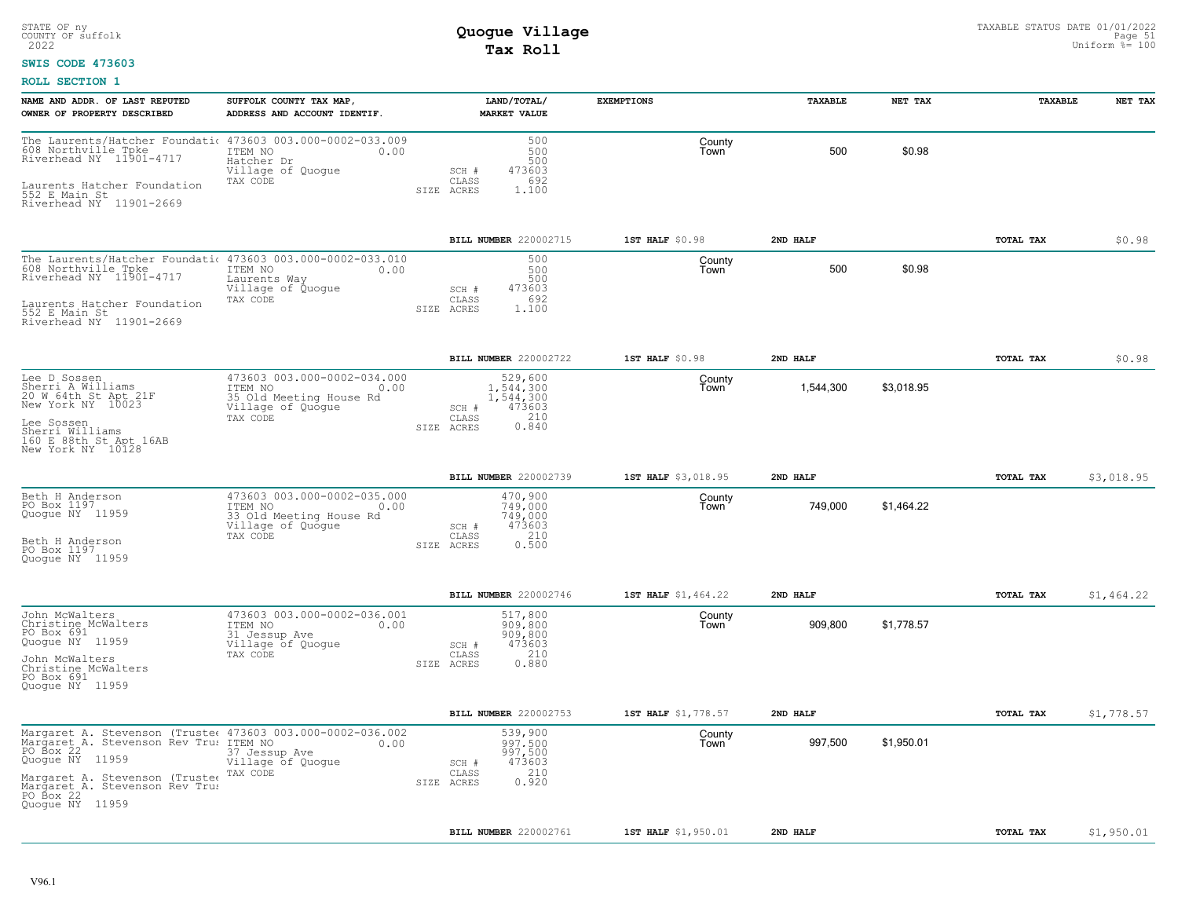### **SWIS CODE 473603**

| NAME AND ADDR. OF LAST REPUTED<br>OWNER OF PROPERTY DESCRIBED                                                                                                                                                    | SUFFOLK COUNTY TAX MAP,<br>ADDRESS AND ACCOUNT IDENTIF.                                                    |                              | LAND/TOTAL/<br><b>MARKET VALUE</b>             | <b>EXEMPTIONS</b>   | TAXABLE   | NET TAX    | TAXABLE   | NET TAX    |
|------------------------------------------------------------------------------------------------------------------------------------------------------------------------------------------------------------------|------------------------------------------------------------------------------------------------------------|------------------------------|------------------------------------------------|---------------------|-----------|------------|-----------|------------|
| The Laurents/Hatcher Foundation 473603 003.000-0002-033.009<br>608 Northville Tpke TTEM NO 0.00<br>Riverhead NY 11901-4717 Hatcher Dr<br>Laurents Hatcher Foundation<br>552 E Main St<br>Riverhead NY 11901-2669 | Hatcher Dr<br>Village of Quogue<br>TAX CODE                                                                | SCH #<br>CLASS<br>SIZE ACRES | 500<br>500<br>500<br>473603<br>692<br>1,100    | County<br>Town      | 500       | \$0.98     |           |            |
|                                                                                                                                                                                                                  |                                                                                                            | BILL NUMBER 220002715        |                                                | 1ST HALF \$0.98     | 2ND HALF  |            | TOTAL TAX | \$0.98     |
| The Laurents/Hatcher Foundati 473603 003.000-0002-033.010<br>608 Northville Tpke<br>Riverhead NY 11901-4717                                                                                                      | ITEM NO<br>0.00<br>Laurents Way<br>Village of Quogue<br>TAX CODE                                           | SCH #<br>CLASS               | 500<br>500<br>500<br>473603<br>692             | County<br>Town      | 500       | \$0.98     |           |            |
| Laurents Hatcher Foundation<br>552 E Main St<br>Riverhead NY 11901-2669                                                                                                                                          |                                                                                                            | SIZE ACRES                   | 1.100                                          |                     |           |            |           |            |
|                                                                                                                                                                                                                  |                                                                                                            | BILL NUMBER 220002722        |                                                | 1ST HALF \$0.98     | 2ND HALF  |            | TOTAL TAX | \$0.98     |
| Lee D Sossen<br>Sherri A Williams<br>20 W 64th St Apt 21F<br>New York NY 10023                                                                                                                                   | 473603 003.000-0002-034.000<br>ITEM NO<br>0.00<br>35 Old Meeting House Rd<br>Village of Quogue             | SCH #                        | 529,600<br>1,544,300<br>1,544,300<br>473603    | County<br>Town      | 1,544,300 | \$3,018.95 |           |            |
| Lee Sossen<br>Sherri Williams<br>160 E 88th St Apt 16AB<br>New York NY 10128                                                                                                                                     | TAX CODE                                                                                                   | CLASS<br>SIZE ACRES          | $0.210$<br>$0.840$                             |                     |           |            |           |            |
|                                                                                                                                                                                                                  |                                                                                                            | <b>BILL NUMBER 220002739</b> |                                                | 1ST HALF \$3,018.95 | 2ND HALF  |            | TOTAL TAX | \$3,018.95 |
| Beth H Anderson<br>PO Box 1197<br>Quogue NY 11959<br>Beth H Anderson                                                                                                                                             | 473603 003.000-0002-035.000<br>ITEM NO<br>0.00<br>33 Old Meeting House Rd<br>Village of Quogue<br>TAX CODE | SCH #<br>CLASS               | 470,900<br>749,000<br>749,000<br>473603<br>210 | County<br>Town      | 749,000   | \$1,464.22 |           |            |
| PO Box 1197<br>Quoque NY 11959                                                                                                                                                                                   |                                                                                                            | SIZE ACRES                   | 0.500                                          |                     |           |            |           |            |
|                                                                                                                                                                                                                  |                                                                                                            | BILL NUMBER 220002746        |                                                | 1ST HALF \$1,464.22 | 2ND HALF  |            | TOTAL TAX | \$1,464.22 |
| John McWalters<br>Christine McWalters<br>PO Box 691<br>Quogue NY 11959                                                                                                                                           | 473603 003.000-0002-036.001<br>ITEM NO<br>0.00<br>31 Jessup Ave<br>Village of Quogue<br>TAX CODE           | SCH #<br>CLASS               | 517,800<br>909,800<br>909,800<br>473603<br>210 | County<br>Town      | 909,800   | \$1,778.57 |           |            |
| John McWalters<br>Christine McWalters<br>PO Box 691<br>Quoque NY 11959                                                                                                                                           |                                                                                                            | SIZE ACRES                   | 0.880                                          |                     |           |            |           |            |
|                                                                                                                                                                                                                  |                                                                                                            | BILL NUMBER 220002753        |                                                | 1ST HALF \$1,778.57 | 2ND HALF  |            | TOTAL TAX | \$1,778.57 |
| Margaret A. Stevenson (Truste 473603 003.000-0002-036.002<br>Margaret A. Stevenson Rev Tru: ITEM NO<br>PO Box 22<br>Quogue NY 11959                                                                              | 0.00<br>37 Jessup Ave<br>Village of Quogue                                                                 | SCH #                        | 539,900<br>997.500<br>997,500<br>473603        | County<br>Town      | 997,500   | \$1,950.01 |           |            |
| Margaret A. Stevenson (Trustee<br>Margaret A. Stevenson Rev Trus<br>PO Box 22<br>Quoque NY 11959                                                                                                                 | TAX CODE                                                                                                   | CLASS<br>SIZE ACRES          | 210<br>0.920                                   |                     |           |            |           |            |
|                                                                                                                                                                                                                  |                                                                                                            | BILL NUMBER 220002761        |                                                | 1ST HALF \$1,950.01 | 2ND HALF  |            | TOTAL TAX | \$1,950.01 |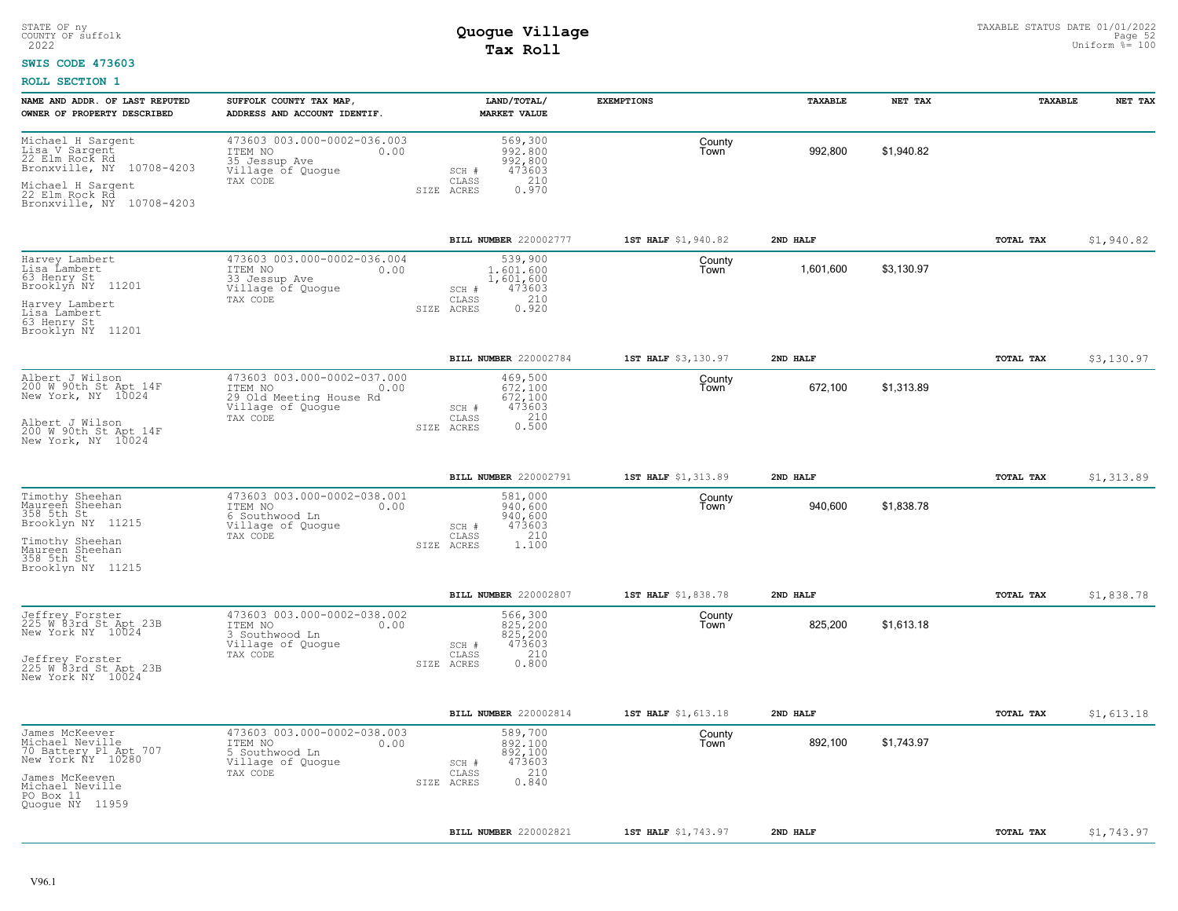#### **SWIS CODE 473603**

| NAME AND ADDR. OF LAST REPUTED<br>OWNER OF PROPERTY DESCRIBED                                                                                             | SUFFOLK COUNTY TAX MAP<br>ADDRESS AND ACCOUNT IDENTIF.                                                     | LAND/TOTAL/<br><b>MARKET VALUE</b>                                                          | <b>EXEMPTIONS</b>   | TAXABLE   | NET TAX    | TAXABLE          | NET TAX    |
|-----------------------------------------------------------------------------------------------------------------------------------------------------------|------------------------------------------------------------------------------------------------------------|---------------------------------------------------------------------------------------------|---------------------|-----------|------------|------------------|------------|
| Michael H Sargent<br>Lisa V Sargent<br>22 Elm Rock Rd<br>Bronxville, NY<br>10708-4203<br>Michael H Sargent<br>22 Elm Rock Rd<br>Bronxville, NY 10708-4203 | 473603 003.000-0002-036.003<br>ITEM NO<br>0.00<br>35 Jessup Ave<br>Village of Quogue<br>TAX CODE           | 569,300<br>992,800<br>992,800<br>473603<br>SCH #<br>210<br>CLASS<br>0.970<br>SIZE ACRES     | County<br>Town      | 992,800   | \$1,940.82 |                  |            |
|                                                                                                                                                           |                                                                                                            | BILL NUMBER 220002777                                                                       | 1ST HALF \$1,940.82 | 2ND HALF  |            | TOTAL TAX        | \$1,940.82 |
| Harvey Lambert<br>Lisa Lambert<br>63 Henry St<br>Brooklyn NY 11201<br>Harvey Lambert<br>Lisa Lambert<br>63 Henry St<br>Brooklyn NY 11201                  | 473603 003.000-0002-036.004<br>ITEM NO<br>0.00<br>33 Jessup Ave<br>Village of Quogue<br>TAX CODE           | 539,900<br>1,601,600<br>1,601,600<br>473603<br>SCH #<br>210<br>CLASS<br>0.920<br>SIZE ACRES | County<br>Town      | 1,601,600 | \$3,130.97 |                  |            |
|                                                                                                                                                           |                                                                                                            | BILL NUMBER 220002784                                                                       | 1ST HALF \$3,130.97 | 2ND HALF  |            | TOTAL TAX        | \$3,130.97 |
| Albert J Wilson<br>200 W 90th St Apt 14F<br>New York, NY 10024<br>Albert J Wilson<br>200 W 90th St Apt 14F<br>New York, NY 10024                          | 473603 003.000-0002-037.000<br>ITEM NO<br>0.00<br>29 Old Meeting House Rd<br>Village of Quogue<br>TAX CODE | 469,500<br>672,100<br>672,100<br>473603<br>SCH #<br>210<br>CLASS<br>0.500<br>SIZE ACRES     | County<br>Town      | 672,100   | \$1,313.89 |                  |            |
|                                                                                                                                                           |                                                                                                            | BILL NUMBER 220002791                                                                       | 1ST HALF \$1,313.89 | 2ND HALF  |            | TOTAL TAX        | \$1,313.89 |
| Timothy Sheehan<br>Maureen Sheehan<br>358 5th St<br>Brooklyn NY 11215<br>Timothy Sheehan<br>Maureen Sheehan<br>358 5th St<br>Brooklyn NY 11215            | 473603 003.000-0002-038.001<br>ITEM NO<br>0.00<br>6 Southwood Ln<br>Village of Quogue<br>TAX CODE          | 581,000<br>940,600<br>940,600<br>473603<br>SCH #<br>210<br>CLASS<br>SIZE ACRES<br>1,100     | County<br>Town      | 940,600   | \$1,838.78 |                  |            |
|                                                                                                                                                           |                                                                                                            | BILL NUMBER 220002807                                                                       | 1ST HALF \$1,838.78 | 2ND HALF  |            | TOTAL TAX        | \$1,838.78 |
| Jeffrey Forster<br>225 W 83rd St Apt 23B<br>New York NY 10024<br>Jeffrey Forster<br>225 W 83rd St Apt 23B<br>New York NY 10024                            | 473603 003.000-0002-038.002<br>ITEM NO<br>0.00<br>3 Southwood Ln<br>Village of Quogue<br>TAX CODE          | 566,300<br>825,200<br>825,200<br>473603<br>SCH #<br>210<br>CLASS<br>0.800<br>SIZE ACRES     | County<br>Town      | 825,200   | \$1,613.18 |                  |            |
|                                                                                                                                                           |                                                                                                            | BILL NUMBER 220002814                                                                       | 1ST HALF \$1,613.18 | 2ND HALF  |            | <b>TOTAL TAX</b> | \$1,613.18 |
| James McKeever<br>Michael Neville<br>70 Battery Pl Apt 707<br>New York ÑY 10280<br>James McKeeven<br>Michael Neville<br>PO Box 11<br>Quogue NY 11959      | 473603 003.000-0002-038.003<br>ITEM NO<br>0.00<br>5 Southwood Ln<br>Village of Quogue<br>TAX CODE          | 589,700<br>892,100<br>892,100<br>473603<br>SCH #<br>210<br>CLASS<br>0.840<br>SIZE ACRES     | County<br>Town      | 892,100   | \$1,743.97 |                  |            |
|                                                                                                                                                           |                                                                                                            | BILL NUMBER 220002821                                                                       | 1ST HALF \$1,743.97 | 2ND HALF  |            | TOTAL TAX        | \$1,743.97 |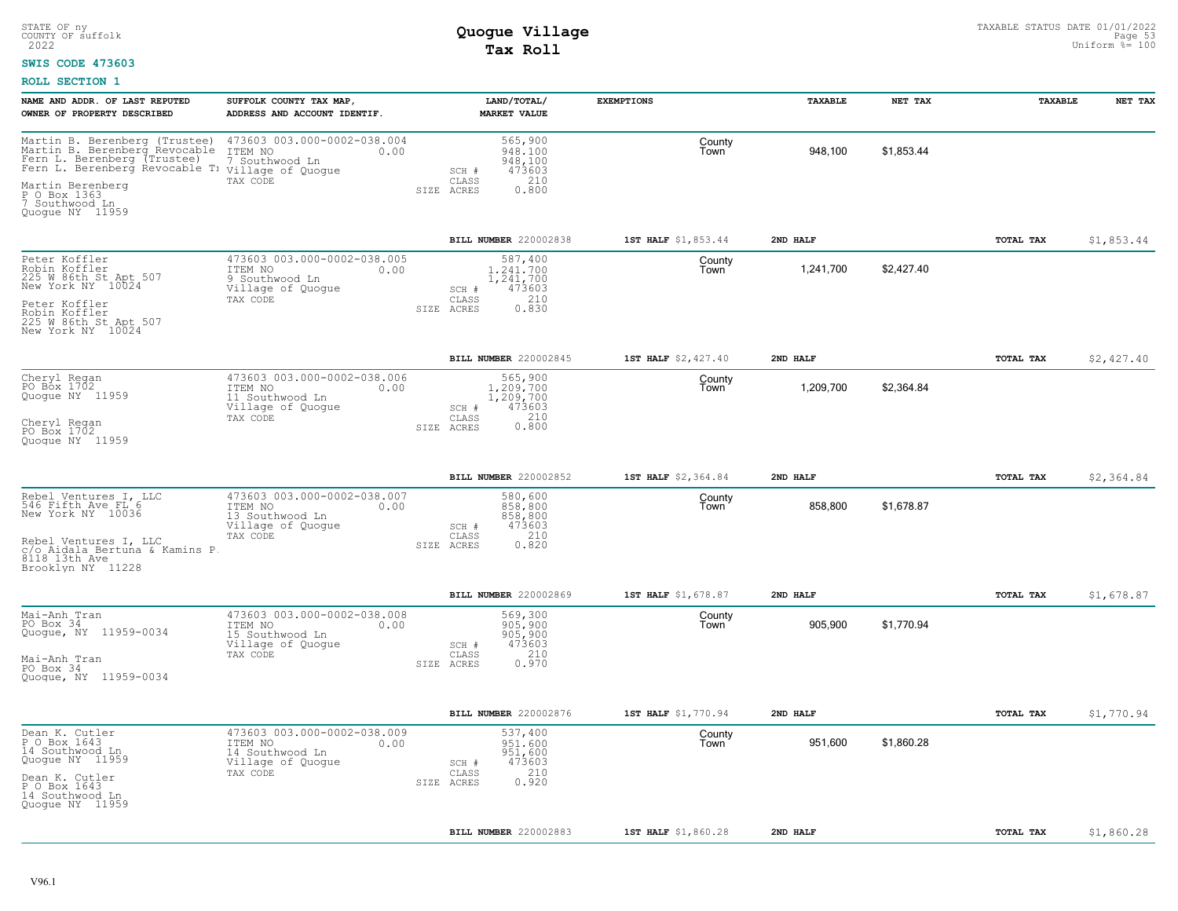#### **SWIS CODE 473603**

| NAME AND ADDR. OF LAST REPUTED<br>OWNER OF PROPERTY DESCRIBED                                                                                                                                            | SUFFOLK COUNTY TAX MAP,<br>ADDRESS AND ACCOUNT IDENTIF.                                            | LAND/TOTAL/<br><b>MARKET VALUE</b>                                                                | <b>EXEMPTIONS</b>   | TAXABLE   | NET TAX    | TAXABLE   | NET TAX    |
|----------------------------------------------------------------------------------------------------------------------------------------------------------------------------------------------------------|----------------------------------------------------------------------------------------------------|---------------------------------------------------------------------------------------------------|---------------------|-----------|------------|-----------|------------|
| Martin B. Berenberg (Trustee)<br>Martin B. Berenberg Revocable<br>Fern L. Berenberg (Trustee)<br>Fern L. Berenberg Revocable T:<br>Martin Berenberg<br>P O Box 1363<br>7 Southwood In<br>Quoque NY 11959 | 473603 003.000-0002-038.004<br>ITEM NO<br>0.00<br>7 Southwood Ln<br>Village of Quogue<br>TAX CODE  | 565,900<br>948,100<br>948,100<br>473603<br>SCH #<br>CLASS<br>210<br>SIZE ACRES<br>0.800           | County<br>Town      | 948,100   | \$1,853.44 |           |            |
|                                                                                                                                                                                                          |                                                                                                    | BILL NUMBER 220002838                                                                             | 1ST HALF \$1,853.44 | 2ND HALF  |            | TOTAL TAX | \$1,853.44 |
| Peter Koffler<br>Robin Koffler<br>225 W 86th St Apt 507<br>New York NY 10024<br>Peter Koffler<br>Robin Koffler<br>225 M 86th St Apt 507<br>New York NY 10024                                             | 473603 003.000-0002-038.005<br>ITEM NO<br>0.00<br>9 Southwood Ln<br>Village of Quogue<br>TAX CODE  | 587,400<br>1,241,700<br>1,241,700<br>473603<br>SCH #<br>210<br>CLASS<br>SIZE ACRES<br>0.830       | County<br>Town      | 1,241,700 | \$2,427.40 |           |            |
|                                                                                                                                                                                                          |                                                                                                    | BILL NUMBER 220002845                                                                             | 1ST HALF \$2,427.40 | 2ND HALF  |            | TOTAL TAX | \$2,427.40 |
| Cheryl Regan<br>PO Box 1702<br>Quogue NY 11959<br>Cheryl Regan<br>PO Box 1702<br>Quoque NY 11959                                                                                                         | 473603 003.000-0002-038.006<br>0.00<br>ITEM NO<br>11 Southwood Ln<br>Village of Quogue<br>TAX CODE | 565,900<br>1,209,700<br>1,209,700<br>473603<br>SCH #<br>$0.210$<br>$0.800$<br>CLASS<br>SIZE ACRES | County<br>Town      | 1,209,700 | \$2,364.84 |           |            |
|                                                                                                                                                                                                          |                                                                                                    | BILL NUMBER 220002852                                                                             | 1ST HALF \$2,364.84 | 2ND HALF  |            | TOTAL TAX | \$2,364.84 |
| Rebel Ventures I, LLC<br>546 Fifth Ave FL 6<br>New York NY 10036<br>Rebel Ventures I, LLC<br>c/o Aidala Bertuna & Kamins P<br>$8118$ 13th Ave<br>Brooklyn NY 11228                                       | 473603 003.000-0002-038.007<br>ITEM NO<br>0.00<br>13 Southwood Ln<br>Village of Quogue<br>TAX CODE | 580,600<br>858,800<br>858,800<br>473603<br>SCH #<br>210<br>CLASS<br>0.820<br>SIZE ACRES           | County<br>Town      | 858,800   | \$1,678.87 |           |            |
|                                                                                                                                                                                                          |                                                                                                    | BILL NUMBER 220002869                                                                             | 1ST HALF \$1,678.87 | 2ND HALF  |            | TOTAL TAX | \$1,678.87 |
| Mai-Anh Tran<br>PO Box 34<br>Quogue, NY 11959-0034<br>Mai-Anh Tran<br>PO Box $34$<br>Quogue, NY 11959-0034                                                                                               | 473603 003.000-0002-038.008<br>ITEM NO<br>0.00<br>15 Southwood Ln<br>Village of Quogue<br>TAX CODE | 569,300<br>905,900<br>905,900<br>473603<br>SCH #<br>210<br>CLASS<br>0.970<br>SIZE ACRES           | County<br>Town      | 905,900   | \$1,770.94 |           |            |
|                                                                                                                                                                                                          |                                                                                                    | BILL NUMBER 220002876                                                                             | 1ST HALF \$1,770.94 | 2ND HALF  |            | TOTAL TAX | \$1,770.94 |
| Dean K. Cutler<br>P O Box 1643<br>14 Southwood Ln<br>Quogue NY 11959<br>Dean K. Cutler<br>P O Box 1643<br>14 Southwood Ln<br>Quogue NY 11959                                                             | 473603 003.000-0002-038.009<br>ITEM NO<br>0.00<br>14 Southwood Ln<br>Village of Quogue<br>TAX CODE | 537,400<br>951,600<br>951,600<br>473603<br>SCH #<br>210<br>CLASS<br>0.920<br>SIZE ACRES           | County<br>Town      | 951,600   | \$1,860.28 |           |            |
|                                                                                                                                                                                                          |                                                                                                    | BILL NUMBER 220002883                                                                             | 1ST HALF \$1,860.28 | 2ND HALF  |            | TOTAL TAX | \$1,860.28 |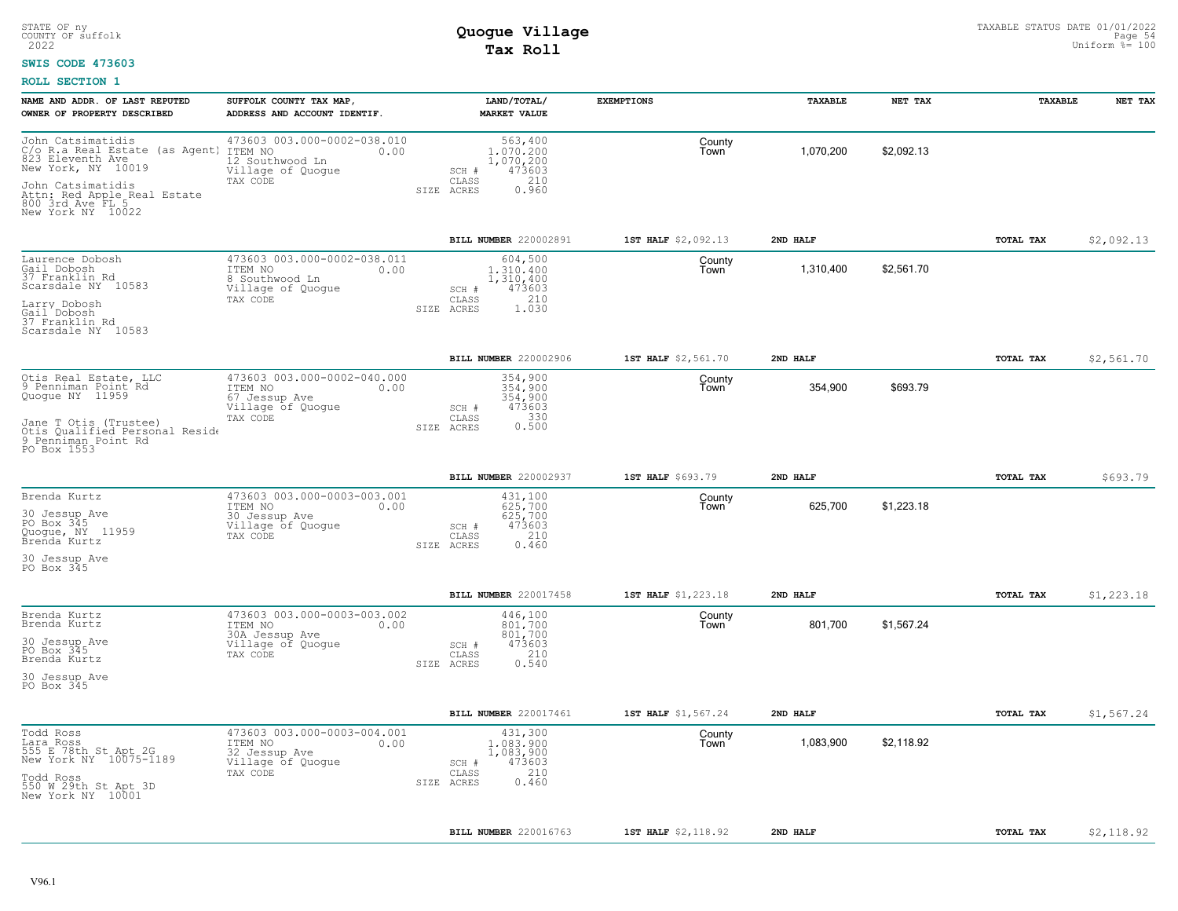#### **SWIS CODE 473603**

| 473603 003.000-0002-038.010<br>John Catsimatidis<br>C/o R.a Real Estate (as Agent) ITEM NO<br>823 Eleventh Aye<br>563,400<br>County<br>1,070,200<br>\$2,092.13<br>1,070,200<br>0.00<br>Town<br>1,070,200<br>12 Southwood Ln<br>473603<br>Village of Quogue<br>SCH #<br>210<br>CLASS<br>TAX CODE<br>0.960<br>SIZE ACRES<br>800 3rd Ave FL 5<br>BILL NUMBER 220002891<br>1ST HALF \$2,092.13<br>2ND HALF<br>TOTAL TAX<br>\$2,092.13<br>473603 003.000-0002-038.011<br>604,500<br>County<br>1,310,400<br>\$2,561.70<br>ITEM NO<br>0.00<br>1,310,400<br>Town<br>8 Southwood Ln<br>1,310,400<br>Village of Quogue<br>473603<br>SCH #<br>210<br>CLASS<br>TAX CODE<br>1.030<br>SIZE ACRES<br><b>BILL NUMBER 220002906</b><br>1ST HALF \$2,561.70<br>2ND HALF<br>TOTAL TAX<br>\$2,561.70<br>473603 003.000-0002-040.000<br>354,900<br>County<br>354,900<br>\$693.79<br>ITEM NO<br>354,900<br>0.00<br>Town<br>67 Jessup Ave<br>354,900<br>Village of Quogue<br>473603<br>SCH #<br>0.330<br>TAX CODE<br>CLASS<br>SIZE ACRES<br>PO Box 1553<br>BILL NUMBER 220002937<br>1ST HALF \$693.79<br>2ND HALF<br>TOTAL TAX<br>\$693.79<br>473603 003.000-0003-003.001<br>431,100<br>Brenda Kurtz<br>County<br>625,700<br>\$1,223.18<br>ITEM NO<br>625,700<br>0.00<br>Town<br>30 Jessup Ave<br>625,700<br>Village of Quogue<br>473603<br>SCH #<br>210<br>TAX CODE<br>CLASS<br>0.460<br>SIZE ACRES<br>PO Box 345<br>BILL NUMBER 220017458<br>1ST HALF \$1,223.18<br>2ND HALF<br>TOTAL TAX<br>\$1,223.18<br>473603 003.000-0003-003.002<br>446,100<br>County<br>801,700<br>\$1,567.24<br>ITEM NO<br>801,700<br>0.00<br>Town<br>801,700<br>30A Jessup Ave<br>Village of Quogue<br>473603<br>SCH #<br>210<br>TAX CODE<br>CLASS<br>0.540<br>SIZE ACRES<br>\$1,567.24<br>BILL NUMBER 220017461<br>1ST HALF \$1,567.24<br>2ND HALF<br>TOTAL TAX<br>473603 003.000-0003-004.001<br>431,300<br>County<br>1,083,900<br>\$2,118.92<br>ITEM NO<br>0.00<br>1,083,900<br>Town<br>1,083,900<br>32 Jessup Ave<br>Village of Quogue<br>473603<br>SCH #<br>210<br>TAX CODE<br>CLASS<br>0.460<br>SIZE ACRES<br>\$2,118.92<br>BILL NUMBER 220016763<br>1ST HALF \$2,118.92<br>2ND HALF<br>TOTAL TAX | NAME AND ADDR. OF LAST REPUTED<br>OWNER OF PROPERTY DESCRIBED                                                                                     | SUFFOLK COUNTY TAX MAP,<br>ADDRESS AND ACCOUNT IDENTIF. | LAND/TOTAL/<br><b>MARKET VALUE</b> | <b>EXEMPTIONS</b> | <b>TAXABLE</b> | NET TAX | <b>TAXABLE</b> | NET TAX |
|-------------------------------------------------------------------------------------------------------------------------------------------------------------------------------------------------------------------------------------------------------------------------------------------------------------------------------------------------------------------------------------------------------------------------------------------------------------------------------------------------------------------------------------------------------------------------------------------------------------------------------------------------------------------------------------------------------------------------------------------------------------------------------------------------------------------------------------------------------------------------------------------------------------------------------------------------------------------------------------------------------------------------------------------------------------------------------------------------------------------------------------------------------------------------------------------------------------------------------------------------------------------------------------------------------------------------------------------------------------------------------------------------------------------------------------------------------------------------------------------------------------------------------------------------------------------------------------------------------------------------------------------------------------------------------------------------------------------------------------------------------------------------------------------------------------------------------------------------------------------------------------------------------------------------------------------------------------------------------------------------------------------------------------------------------------------------------------------------------------------------------------------------------------|---------------------------------------------------------------------------------------------------------------------------------------------------|---------------------------------------------------------|------------------------------------|-------------------|----------------|---------|----------------|---------|
|                                                                                                                                                                                                                                                                                                                                                                                                                                                                                                                                                                                                                                                                                                                                                                                                                                                                                                                                                                                                                                                                                                                                                                                                                                                                                                                                                                                                                                                                                                                                                                                                                                                                                                                                                                                                                                                                                                                                                                                                                                                                                                                                                             | New York, NY 10019<br>John Catsimatidis<br>Attn: Red Apple Real Estate                                                                            |                                                         |                                    |                   |                |         |                |         |
|                                                                                                                                                                                                                                                                                                                                                                                                                                                                                                                                                                                                                                                                                                                                                                                                                                                                                                                                                                                                                                                                                                                                                                                                                                                                                                                                                                                                                                                                                                                                                                                                                                                                                                                                                                                                                                                                                                                                                                                                                                                                                                                                                             | New York NY 10022                                                                                                                                 |                                                         |                                    |                   |                |         |                |         |
|                                                                                                                                                                                                                                                                                                                                                                                                                                                                                                                                                                                                                                                                                                                                                                                                                                                                                                                                                                                                                                                                                                                                                                                                                                                                                                                                                                                                                                                                                                                                                                                                                                                                                                                                                                                                                                                                                                                                                                                                                                                                                                                                                             |                                                                                                                                                   |                                                         |                                    |                   |                |         |                |         |
|                                                                                                                                                                                                                                                                                                                                                                                                                                                                                                                                                                                                                                                                                                                                                                                                                                                                                                                                                                                                                                                                                                                                                                                                                                                                                                                                                                                                                                                                                                                                                                                                                                                                                                                                                                                                                                                                                                                                                                                                                                                                                                                                                             | Laurence Dobosh<br>Gail Dobosh<br>37 Franklin Rd<br>Scarsdale NY 10583<br>Larry Dobosh<br>Gail Dobosh<br>37 Franklin Rd<br>Scarsdale NY 10583     |                                                         |                                    |                   |                |         |                |         |
|                                                                                                                                                                                                                                                                                                                                                                                                                                                                                                                                                                                                                                                                                                                                                                                                                                                                                                                                                                                                                                                                                                                                                                                                                                                                                                                                                                                                                                                                                                                                                                                                                                                                                                                                                                                                                                                                                                                                                                                                                                                                                                                                                             |                                                                                                                                                   |                                                         |                                    |                   |                |         |                |         |
|                                                                                                                                                                                                                                                                                                                                                                                                                                                                                                                                                                                                                                                                                                                                                                                                                                                                                                                                                                                                                                                                                                                                                                                                                                                                                                                                                                                                                                                                                                                                                                                                                                                                                                                                                                                                                                                                                                                                                                                                                                                                                                                                                             | Otis Real Estate, LLC<br>9 Penniman Point Rd<br>Quogue NY 11959<br>Jane T Otis (Trustee)<br>Otis Qualified Personal Reside<br>9 Penniman Point Rd |                                                         |                                    |                   |                |         |                |         |
|                                                                                                                                                                                                                                                                                                                                                                                                                                                                                                                                                                                                                                                                                                                                                                                                                                                                                                                                                                                                                                                                                                                                                                                                                                                                                                                                                                                                                                                                                                                                                                                                                                                                                                                                                                                                                                                                                                                                                                                                                                                                                                                                                             |                                                                                                                                                   |                                                         |                                    |                   |                |         |                |         |
|                                                                                                                                                                                                                                                                                                                                                                                                                                                                                                                                                                                                                                                                                                                                                                                                                                                                                                                                                                                                                                                                                                                                                                                                                                                                                                                                                                                                                                                                                                                                                                                                                                                                                                                                                                                                                                                                                                                                                                                                                                                                                                                                                             |                                                                                                                                                   |                                                         |                                    |                   |                |         |                |         |
|                                                                                                                                                                                                                                                                                                                                                                                                                                                                                                                                                                                                                                                                                                                                                                                                                                                                                                                                                                                                                                                                                                                                                                                                                                                                                                                                                                                                                                                                                                                                                                                                                                                                                                                                                                                                                                                                                                                                                                                                                                                                                                                                                             | 30 Jessup_Ave<br>PO Box 345<br>Quogue, NY 11959<br>Brenda Kurtz<br>30 Jessup Ave                                                                  |                                                         |                                    |                   |                |         |                |         |
|                                                                                                                                                                                                                                                                                                                                                                                                                                                                                                                                                                                                                                                                                                                                                                                                                                                                                                                                                                                                                                                                                                                                                                                                                                                                                                                                                                                                                                                                                                                                                                                                                                                                                                                                                                                                                                                                                                                                                                                                                                                                                                                                                             |                                                                                                                                                   |                                                         |                                    |                   |                |         |                |         |
|                                                                                                                                                                                                                                                                                                                                                                                                                                                                                                                                                                                                                                                                                                                                                                                                                                                                                                                                                                                                                                                                                                                                                                                                                                                                                                                                                                                                                                                                                                                                                                                                                                                                                                                                                                                                                                                                                                                                                                                                                                                                                                                                                             |                                                                                                                                                   |                                                         |                                    |                   |                |         |                |         |
|                                                                                                                                                                                                                                                                                                                                                                                                                                                                                                                                                                                                                                                                                                                                                                                                                                                                                                                                                                                                                                                                                                                                                                                                                                                                                                                                                                                                                                                                                                                                                                                                                                                                                                                                                                                                                                                                                                                                                                                                                                                                                                                                                             | Brenda Kurtz<br>Brenda Kurtz<br>30 Jessup Ave<br>PO Box 345<br>Brenda Kurtz<br>30 Jessup Ave<br>PO Box 345                                        |                                                         |                                    |                   |                |         |                |         |
|                                                                                                                                                                                                                                                                                                                                                                                                                                                                                                                                                                                                                                                                                                                                                                                                                                                                                                                                                                                                                                                                                                                                                                                                                                                                                                                                                                                                                                                                                                                                                                                                                                                                                                                                                                                                                                                                                                                                                                                                                                                                                                                                                             |                                                                                                                                                   |                                                         |                                    |                   |                |         |                |         |
|                                                                                                                                                                                                                                                                                                                                                                                                                                                                                                                                                                                                                                                                                                                                                                                                                                                                                                                                                                                                                                                                                                                                                                                                                                                                                                                                                                                                                                                                                                                                                                                                                                                                                                                                                                                                                                                                                                                                                                                                                                                                                                                                                             | Todd Ross<br>Lara Ross<br>555 E 78th St Apt 2G<br>New York NY 10075-1189<br>Todd Ross<br>550 W 29th St Apt 3D<br>New York NY 10001                |                                                         |                                    |                   |                |         |                |         |
|                                                                                                                                                                                                                                                                                                                                                                                                                                                                                                                                                                                                                                                                                                                                                                                                                                                                                                                                                                                                                                                                                                                                                                                                                                                                                                                                                                                                                                                                                                                                                                                                                                                                                                                                                                                                                                                                                                                                                                                                                                                                                                                                                             |                                                                                                                                                   |                                                         |                                    |                   |                |         |                |         |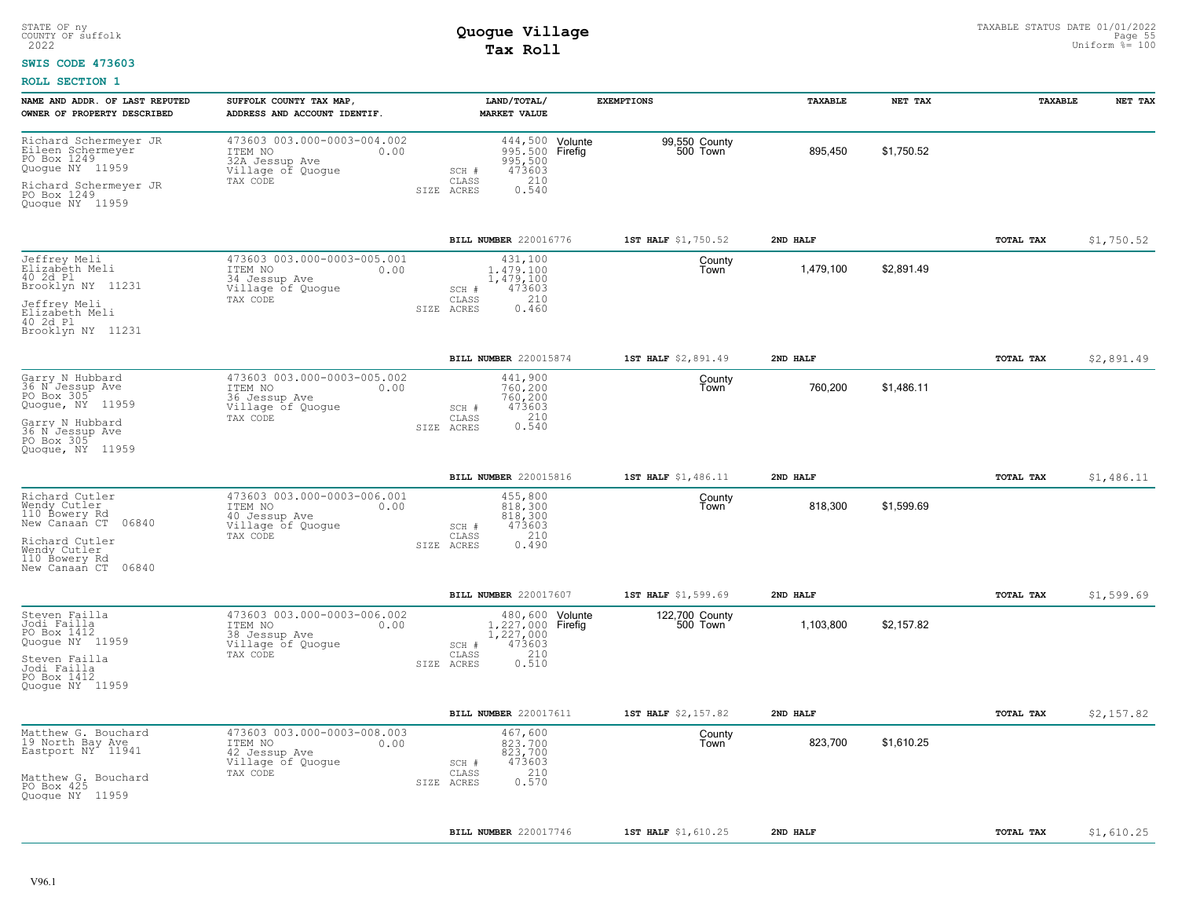### **SWIS CODE 473603**

| NAME AND ADDR. OF LAST REPUTED<br>OWNER OF PROPERTY DESCRIBED                                                                                          | SUFFOLK COUNTY TAX MAP,<br>ADDRESS AND ACCOUNT IDENTIF.                                           | LAND/TOTAL/<br><b>MARKET VALUE</b>                                                                                     | <b>EXEMPTIONS</b>          | TAXABLE   | NET TAX    | TAXABLE   | NET TAX    |
|--------------------------------------------------------------------------------------------------------------------------------------------------------|---------------------------------------------------------------------------------------------------|------------------------------------------------------------------------------------------------------------------------|----------------------------|-----------|------------|-----------|------------|
| Richard Schermeyer JR<br>Eileen Schermeyer<br>PO Box 1249<br>Quoque NY 11959<br>Richard Schermeyer JR<br>PO Box 1249<br>Quoque NY 11959                | 473603 003.000-0003-004.002<br>ITEM NO<br>0.00<br>32A Jessup Ave<br>Village of Quogue<br>TAX CODE | 444,500 Volunte<br>995,500 Firefig<br>995,500<br>473603<br>SCH #<br>210<br>CLASS<br>SIZE ACRES<br>0.540                | 99,550 County<br>500 Town  | 895,450   | \$1,750.52 |           |            |
|                                                                                                                                                        |                                                                                                   | BILL NUMBER 220016776                                                                                                  | 1ST HALF \$1,750.52        | 2ND HALF  |            | TOTAL TAX | \$1,750.52 |
| Jeffrey Meli<br>Elizabeth Meli<br>40 2d Pl<br>Brooklyn NY 11231<br>Jeffrey Meli<br>Elizabeth Meli<br>40 2d Pl<br>Brooklyn NY 11231                     | 473603 003.000-0003-005.001<br>0.00<br>ITEM NO<br>34 Jessup Ave<br>Village of Quogue<br>TAX CODE  | 431,100<br>1.479.100<br>1,479,100<br>473603<br>SCH #<br>210<br>CLASS<br>0.460<br>SIZE ACRES                            | County<br>Town             | 1,479,100 | \$2,891.49 |           |            |
|                                                                                                                                                        |                                                                                                   | BILL NUMBER 220015874                                                                                                  | 1ST HALF \$2,891.49        | 2ND HALF  |            | TOTAL TAX | \$2,891.49 |
| Garry N Hubbard<br>36 N Jessup Ave<br>PO Box 305<br>Quogue, NY 11959<br>Garry N Hubbard<br>36 N Jessup Ave<br>PO Box 305<br>Quoque, NY 11959           | 473603 003.000-0003-005.002<br>ITEM NO<br>0.00<br>36 Jessup Ave<br>Village of Quogue<br>TAX CODE  | 441,900<br>760,200<br>760,200<br>473603<br>SCH #<br>210<br>CLASS<br>0.540<br>SIZE ACRES                                | County<br>Town             | 760,200   | \$1,486.11 |           |            |
|                                                                                                                                                        |                                                                                                   | BILL NUMBER 220015816                                                                                                  | 1ST HALF \$1,486.11        | 2ND HALF  |            | TOTAL TAX | \$1,486.11 |
| Richard Cutler<br>Wendy Cutler<br>110 Bowery Rd<br>New Canaañ CT<br>06840<br>Richard Cutler<br>Wendy Cutler<br>110 Bowery Rd<br>New Canaan CT<br>06840 | 473603 003.000-0003-006.001<br>ITEM NO<br>0.00<br>40 Jessup Ave<br>Village of Quogue<br>TAX CODE  | 455,800<br>818,300<br>818,300<br>473603<br>SCH #<br>CLASS<br>210<br>SIZE ACRES<br>0.490                                | County<br>Town             | 818,300   | \$1,599.69 |           |            |
|                                                                                                                                                        |                                                                                                   | BILL NUMBER 220017607                                                                                                  | 1ST HALF \$1,599.69        | 2ND HALF  |            | TOTAL TAX | \$1,599.69 |
| Steven Failla<br>Jodi Failla<br>PO Box 1412<br>Quogue NY 11959<br>Steven Failla<br>Jodi Failla<br>PO Box 1412<br>Quoque NY 11959                       | 473603 003.000-0003-006.002<br>ITEM NO<br>0.00<br>38 Jessup Ave<br>Village of Quogue<br>TAX CODE  | 480,600 Volunte<br>1,227,000 Firefig<br>1,227,000<br>473603<br>SCH #<br>210<br>$\mathtt{CLASS}$<br>0.510<br>SIZE ACRES | 122,700 County<br>500 Town | 1,103,800 | \$2,157.82 |           |            |
|                                                                                                                                                        |                                                                                                   | BILL NUMBER 220017611                                                                                                  | 1ST HALF \$2,157.82        | 2ND HALF  |            | TOTAL TAX | \$2,157.82 |
| Matthew G. Bouchard<br>19 North Bay Ave<br>Eastport NY 11941<br>Matthew G. Bouchard<br>PO Box 425<br>Quogue NY 11959                                   | 473603 003.000-0003-008.003<br>ITEM NO<br>0.00<br>42 Jessup Ave<br>Village of Quogue<br>TAX CODE  | 467,600<br>823,700<br>823,700<br>473603<br>SCH #<br>210<br>CLASS<br>0.570<br>SIZE ACRES                                | County<br>Town             | 823,700   | \$1,610.25 |           |            |
|                                                                                                                                                        |                                                                                                   | BILL NUMBER 220017746                                                                                                  | 1ST HALF \$1,610.25        | 2ND HALF  |            | TOTAL TAX | \$1,610.25 |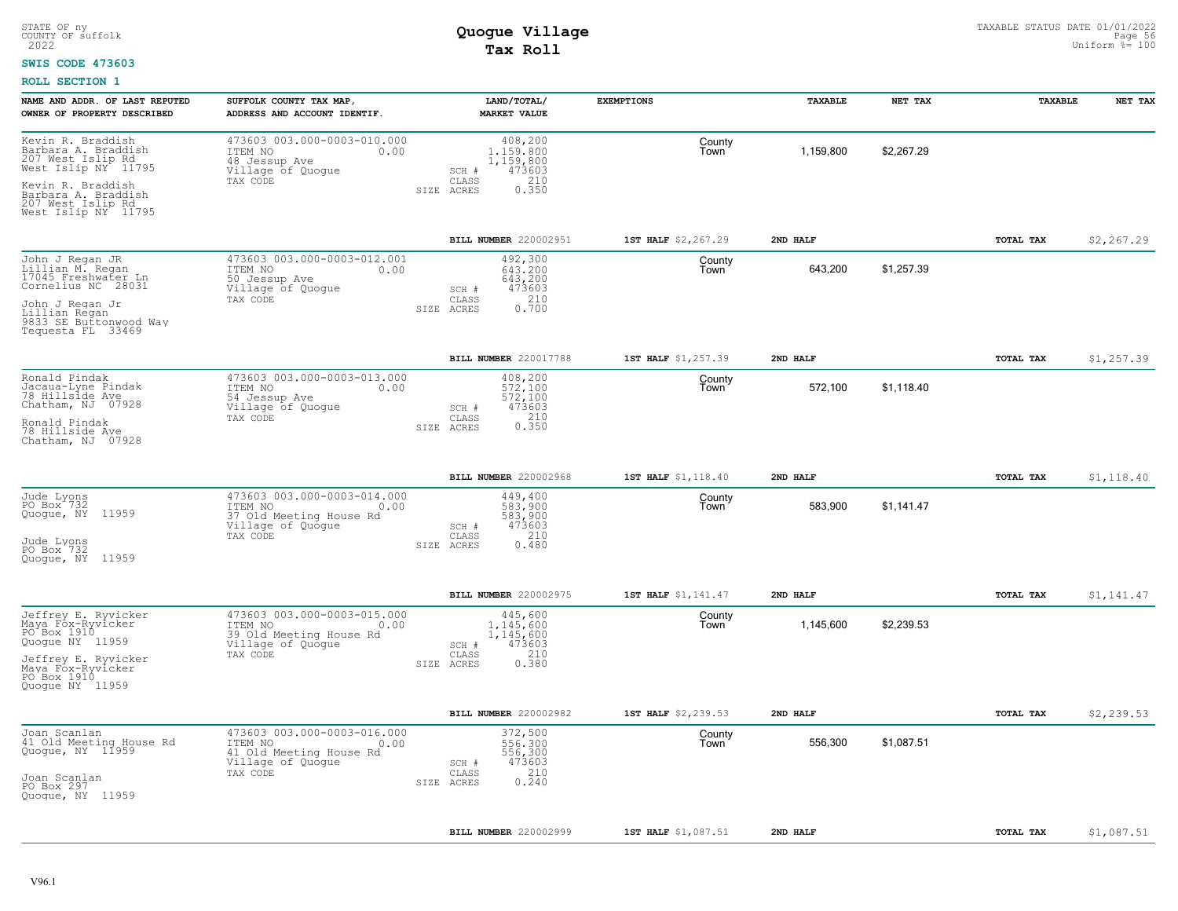### **SWIS CODE 473603**

| NAME AND ADDR. OF LAST REPUTED<br>OWNER OF PROPERTY DESCRIBED                                                                                                                             | SUFFOLK COUNTY TAX MAP,<br>ADDRESS AND ACCOUNT IDENTIF.                                                    | LAND/TOTAL/<br><b>MARKET VALUE</b>                                                          | <b>EXEMPTIONS</b>   | TAXABLE   | NET TAX    | TAXABLE          | NET TAX    |
|-------------------------------------------------------------------------------------------------------------------------------------------------------------------------------------------|------------------------------------------------------------------------------------------------------------|---------------------------------------------------------------------------------------------|---------------------|-----------|------------|------------------|------------|
| Kevin R. Braddish<br>Barbara A. Braddish<br>207 West Islip Rd<br>West Islip NY <sup>-</sup> 11795<br>Kevin R. Braddish<br>Barbara A. Braddish<br>207 West Islip Rd<br>West Islip NY 11795 | 473603 003.000-0003-010.000<br>ITEM NO<br>0.00<br>48 Jessup Ave<br>Village of Quogue<br>TAX CODE           | 408,200<br>1,159,800<br>1,159,800<br>473603<br>SCH #<br>210<br>CLASS<br>0.350<br>SIZE ACRES | County<br>Town      | 1,159,800 | \$2,267.29 |                  |            |
|                                                                                                                                                                                           |                                                                                                            | BILL NUMBER 220002951                                                                       | 1ST HALF \$2,267.29 | 2ND HALF  |            | <b>TOTAL TAX</b> | \$2,267.29 |
| John J Regan JR<br>Lillian M. Regan<br>17045 Freshwater Ln<br>Cornelius NC 28031<br>John J Regan Jr<br>Lillian Regan<br>9833 SE Buttonwood Way<br>Tequesta FL 33469                       | 473603 003.000-0003-012.001<br>ITEM NO<br>0.00<br>50 Jessup Ave<br>Village of Quogue<br>TAX CODE           | 492,300<br>643,200<br>643,200<br>473603<br>$SCH$ $#$<br>210<br>CLASS<br>0.700<br>SIZE ACRES | County<br>Town      | 643,200   | \$1,257.39 |                  |            |
|                                                                                                                                                                                           |                                                                                                            | BILL NUMBER 220017788                                                                       | 1ST HALF \$1,257.39 | 2ND HALF  |            | TOTAL TAX        | \$1,257.39 |
| Ronald Pindak<br>Jacaua-Lyne Pindak<br>78 Hillside Ave<br>Chatham, NJ 07928<br>Ronald Pindak<br>78 Hillside Ave<br>Chatham, NJ 07928                                                      | 473603 003.000-0003-013.000<br>ITEM NO<br>0.00<br>54 Jessup Ave<br>Village of Quogue<br>TAX CODE           | 408,200<br>572,100<br>572,100<br>473603<br>SCH #<br>0.350<br>CLASS<br>SIZE ACRES            | County<br>Town      | 572,100   | \$1,118.40 |                  |            |
|                                                                                                                                                                                           |                                                                                                            | BILL NUMBER 220002968                                                                       | 1ST HALF \$1,118.40 | 2ND HALF  |            | TOTAL TAX        | \$1,118.40 |
| Jude Lyons<br>PO Box <sup>-732</sup><br>Quogue, NY 11959<br>Jude Lyons<br>PO Box 732<br>11959<br>Quoque, NY                                                                               | 473603 003.000-0003-014.000<br>ITEM NO<br>0.00<br>37 Old Meeting House Rd<br>Village of Quogue<br>TAX CODE | 449,400<br>583,900<br>583,900<br>473603<br>SCH #<br>210<br>CLASS<br>0.480<br>SIZE ACRES     | County<br>Town      | 583,900   | \$1,141.47 |                  |            |
|                                                                                                                                                                                           |                                                                                                            | BILL NUMBER 220002975                                                                       | 1ST HALF \$1,141.47 | 2ND HALF  |            | <b>TOTAL TAX</b> | \$1,141.47 |
| Jeffrey E. Ryvicker<br>Maya Fox-Ryvicker<br>PO Box 1910<br>Quoque NY 11959<br>Jeffrey E. Ryvicker<br>Maya Fox-Ryvicker<br>PO Box 1910<br>Quoque NY 11959                                  | 473603 003.000-0003-015.000<br>ITEM NO<br>0.00<br>39 Old Meeting House Rd<br>Village of Quogue<br>TAX CODE | 445,600<br>1,145,600<br>1,145,600<br>473603<br>SCH #<br>210<br>CLASS<br>0.380<br>SIZE ACRES | County<br>Town      | 1,145,600 | \$2.239.53 |                  |            |
|                                                                                                                                                                                           |                                                                                                            | BILL NUMBER 220002982                                                                       | 1ST HALF \$2,239.53 | 2ND HALF  |            | TOTAL TAX        | \$2,239.53 |
| Joan Scanlan<br>41 Old Meeting House Rd<br>Quogue, NY 11959<br>Joan Scanlan<br>PO Box 297<br>Quogue, NY 11959                                                                             | 473603 003.000-0003-016.000<br>ITEM NO<br>0.00<br>41 Old Meeting House Rd<br>Village of Quogue<br>TAX CODE | 372,500<br>556,300<br>556,300<br>473603<br>SCH #<br>210<br>CLASS<br>0.240<br>SIZE ACRES     | County<br>Town      | 556,300   | \$1,087.51 |                  |            |
|                                                                                                                                                                                           |                                                                                                            | BILL NUMBER 220002999                                                                       | 1ST HALF \$1,087.51 | 2ND HALF  |            | <b>TOTAL TAX</b> | \$1,087.51 |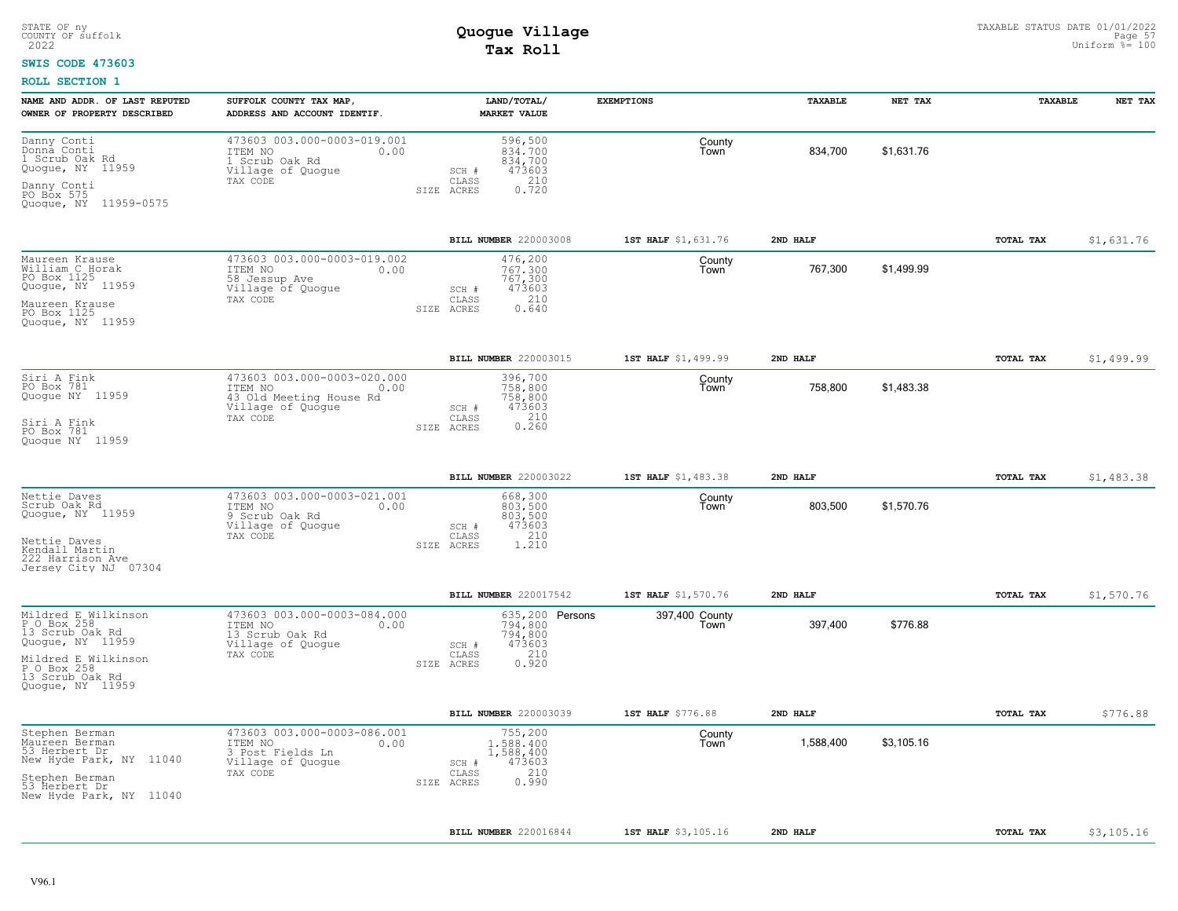#### **SWIS CODE 473603**

| NAME AND ADDR. OF LAST REPUTED<br>OWNER OF PROPERTY DESCRIBED                                                                                          | SUFFOLK COUNTY TAX MAP,<br>ADDRESS AND ACCOUNT IDENTIF.                                                    |            | LAND/TOTAL/<br><b>MARKET VALUE</b>                                                | <b>EXEMPTIONS</b>       | TAXABLE   | NET TAX    | TAXABLE          | NET TAX    |
|--------------------------------------------------------------------------------------------------------------------------------------------------------|------------------------------------------------------------------------------------------------------------|------------|-----------------------------------------------------------------------------------|-------------------------|-----------|------------|------------------|------------|
| Danny Conti<br>Donná Conti<br>1 Scrub Oak Rd<br>Quogue, NY 11959<br>Danny Conti<br>PO Box 575<br>Quogue, NY 11959-0575                                 | 473603 003.000-0003-019.001<br>ITEM NO<br>0.00<br>1 Scrub Oak Rd<br>Village of Quogue<br>TAX CODE          | SIZE ACRES | 596,500<br>834,700<br>834,700<br>473603<br>SCH #<br>0.720<br>CLASS                | County<br>l own         | 834,700   | \$1,631.76 |                  |            |
|                                                                                                                                                        |                                                                                                            |            | BILL NUMBER 220003008                                                             | 1ST HALF \$1,631.76     | 2ND HALF  |            | <b>TOTAL TAX</b> | \$1,631.76 |
| Maureen Krause<br>William C Horak<br>PO Box 1125<br>Quoque, NY 11959<br>Maureen Krause<br>PO Box 1125<br>Quoque, NY 11959                              | 473603 003.000-0003-019.002<br>ITEM NO<br>0.00<br>58 Jessup Ave<br>Village of Quogue<br>TAX CODE           | SIZE ACRES | 476,200<br>767.300<br>767,300<br>473603<br>SCH #<br>210<br>CLASS<br>0.640         | County<br>Town          | 767,300   | \$1,499.99 |                  |            |
|                                                                                                                                                        |                                                                                                            |            | BILL NUMBER 220003015                                                             | 1ST HALF \$1,499.99     | 2ND HALF  |            | TOTAL TAX        | \$1,499.99 |
| Siri A Fink<br>PO Box 781<br>Quogue NY 11959<br>Siri A Fink<br>PO Box 781<br>Quoque NY 11959                                                           | 473603 003.000-0003-020.000<br>ITEM NO<br>0.00<br>43 Old Meeting House Rd<br>Village of Quogue<br>TAX CODE | SIZE ACRES | 396,700<br>758,800<br>758,800<br>473603<br>SCH #<br>0.210<br>CLASS                | County<br>Town          | 758,800   | \$1,483.38 |                  |            |
|                                                                                                                                                        |                                                                                                            |            | BILL NUMBER 220003022                                                             | 1ST HALF \$1,483.38     | 2ND HALF  |            | TOTAL TAX        | \$1,483.38 |
| Nettie Daves<br>Scrub Oak Rd<br>Quogue, NY 11959<br>Nettie Daves<br>Kendall Martin<br>222 Harrison Ave<br>Jersey City NJ 07304                         | 473603 003.000-0003-021.001<br>ITEM NO<br>0.00<br>9 Scrub Oak Rd<br>Village of Quogue<br>TAX CODE          | SIZE ACRES | 668,300<br>803,500<br>803,500<br>473603<br>SCH #<br>210<br>CLASS<br>1.210         | County<br>Town          | 803,500   | \$1,570.76 |                  |            |
|                                                                                                                                                        |                                                                                                            |            | BILL NUMBER 220017542                                                             | 1ST HALF \$1,570.76     | 2ND HALF  |            | <b>TOTAL TAX</b> | \$1,570.76 |
| Mildred E Wilkinson<br>P O Box 258<br>13 Scrub Oak Rd<br>Quogue, NY 11959<br>Mildred E Wilkinson<br>P O Box 258<br>13 Scrub Oak Rd<br>Quoque, NY 11959 | 473603 003.000-0003-084.000<br>ITEM NO<br>0.00<br>13 Scrub Oak Rd<br>Village of Quogue<br>TAX CODE         | SIZE ACRES | 635,200 Persons<br>794,800<br>794,800<br>473603<br>SCH #<br>210<br>CLASS<br>0.920 | 397,400 County<br>l own | 397,400   | \$776.88   |                  |            |
|                                                                                                                                                        |                                                                                                            |            | <b>BILL NUMBER 220003039</b>                                                      | 1ST HALF \$776.88       | 2ND HALF  |            | TOTAL TAX        | \$776.88   |
| Stephen Berman<br>Maureen Berman<br>53 Herbert Dr<br>New Hyde Park, NY 11040<br>Stephen Berman<br>53 Herbert Dr<br>New Hyde Park, NY 11040             | 473603 003.000-0003-086.001<br>ITEM NO<br>0.00<br>3 Post Fields Ln<br>Village of Quogue<br>TAX CODE        | SIZE ACRES | 755,200<br>1,588,400<br>1,588,400<br>473603<br>SCH #<br>210<br>CLASS<br>0.990     | County<br>Town          | 1,588,400 | \$3,105.16 |                  |            |
|                                                                                                                                                        |                                                                                                            |            | BILL NUMBER 220016844                                                             | 1ST HALF \$3,105.16     | 2ND HALF  |            | TOTAL TAX        | \$3,105.16 |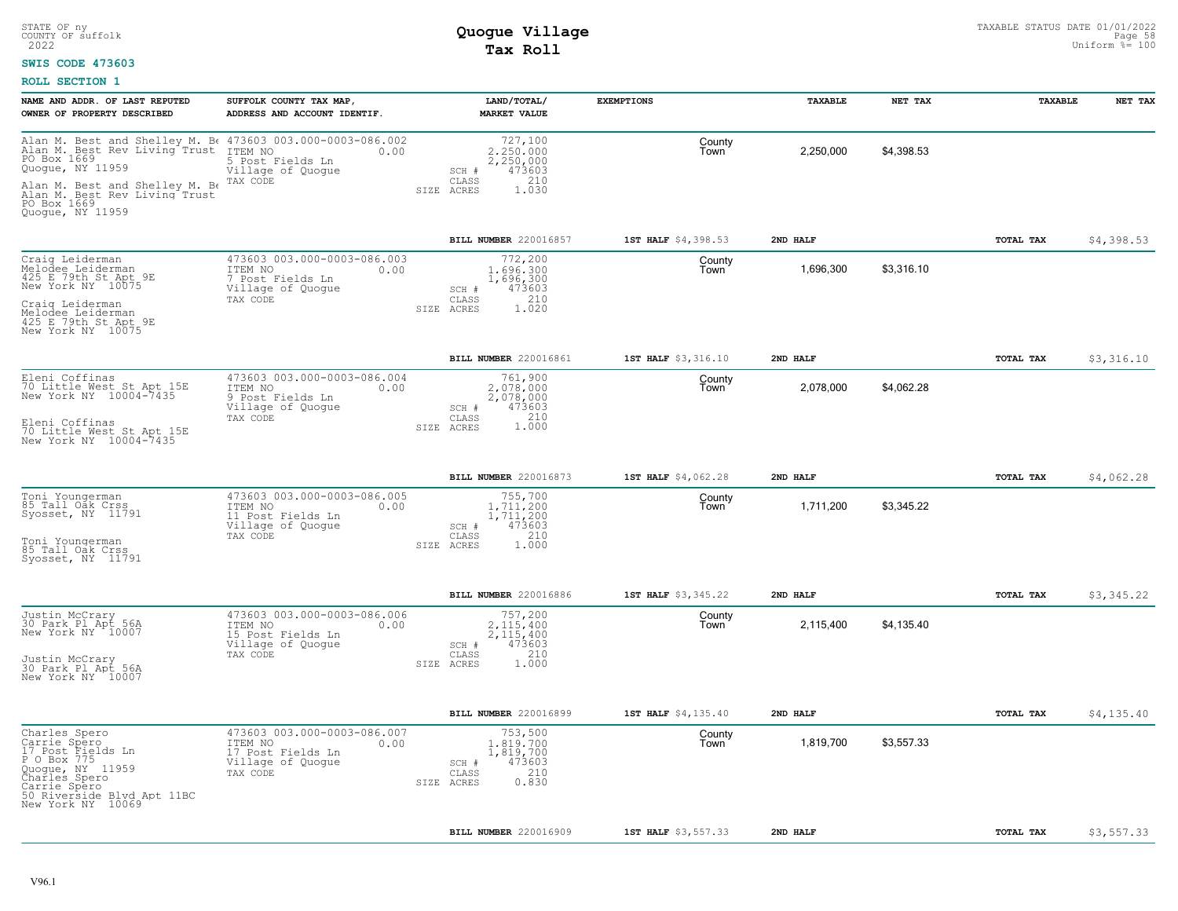### **SWIS CODE 473603**

| NAME AND ADDR. OF LAST REPUTED<br>OWNER OF PROPERTY DESCRIBED                                                                                                             | SUFFOLK COUNTY TAX MAP,<br>ADDRESS AND ACCOUNT IDENTIF.                                                                                                       | LAND/TOTAL/<br><b>MARKET VALUE</b>                                                                | <b>EXEMPTIONS</b>   | TAXABLE   | NET TAX    | TAXABLE          | NET TAX    |
|---------------------------------------------------------------------------------------------------------------------------------------------------------------------------|---------------------------------------------------------------------------------------------------------------------------------------------------------------|---------------------------------------------------------------------------------------------------|---------------------|-----------|------------|------------------|------------|
| PO Box 1669<br>Quogue, NY 11959<br>Alan M. Best and Shelley M. Be<br>Alan M. Best Rev Living Trust<br>PO Box 1669                                                         | Alan M. Best and Shelley M. B. 473603 003.000-0003-086.002<br>Alan M. Best Rev Living Trust ITEM NO 0.00<br>5 Post Fields Ln<br>Village of Quogue<br>TAX CODE | 727,100<br>2,250,000<br>2,250,000<br>473603<br>SCH #<br>210<br>CLASS<br>1.030<br>SIZE ACRES       | County<br>Town      | 2,250,000 | \$4,398.53 |                  |            |
| Quogue, NY 11959                                                                                                                                                          |                                                                                                                                                               | BILL NUMBER 220016857                                                                             | 1ST HALF \$4,398.53 | 2ND HALF  |            | <b>TOTAL TAX</b> | \$4,398.53 |
| Craig Leiderman<br>Melodee Leiderman<br>425 E 79th St Apt 9E<br>New York NY 10075<br>Craig Leiderman<br>Melodee Leiderman<br>425 E 79th St Apt 9E<br>New York NY 10075    | 473603 003.000-0003-086.003<br>ITEM NO<br>0.00<br>7 Post Fields Ln<br>Village of Quogue<br>TAX CODE                                                           | 772,200<br>1,696,300<br>1,696,300<br>473603<br>SCH #<br>210<br>CLASS<br>1.020<br>SIZE ACRES       | County<br>Town      | 1.696.300 | \$3.316.10 |                  |            |
|                                                                                                                                                                           |                                                                                                                                                               | BILL NUMBER 220016861                                                                             | 1ST HALF \$3,316.10 | 2ND HALF  |            | <b>TOTAL TAX</b> | \$3,316.10 |
| Eleni Coffinas<br>70 Little West St Apt 15E<br>New York NY 10004-7435<br>Eleni Coffinas<br>70 Little West St Apt 15E<br>New York NY 10004-7435                            | 473603 003.000-0003-086.004<br>ITEM NO<br>0.00<br>9 Post Fields Ln<br>Village of Quogue<br>TAX CODE                                                           | 761,900<br>2,078,000<br>2,078,000<br>473603<br>SCH #<br>210<br>CLASS<br>1,000<br>SIZE ACRES       | County<br>Town      | 2.078.000 | \$4,062.28 |                  |            |
|                                                                                                                                                                           |                                                                                                                                                               | BILL NUMBER 220016873                                                                             | 1ST HALF \$4,062.28 | 2ND HALF  |            | <b>TOTAL TAX</b> | \$4,062.28 |
| Toni Youngerman<br>85 Tall Oak Crss<br>Syosset, NY 11791<br>Toni Youngerman<br>85 Tall Oak Crss<br>Syosset, NY 11791                                                      | 473603 003.000-0003-086.005<br>ITEM NO<br>0.00<br>11 Post Fields Ln<br>Village of Quoque<br>TAX CODE                                                          | 755,700<br>1.711.200<br>1,711,200<br>473603<br>SCH #<br>210<br>CLASS<br>SIZE ACRES<br>1,000       | County<br>Town      | 1,711,200 | \$3.345.22 |                  |            |
|                                                                                                                                                                           |                                                                                                                                                               | BILL NUMBER 220016886                                                                             | 1ST HALF \$3,345.22 | 2ND HALF  |            | <b>TOTAL TAX</b> | \$3,345.22 |
| Justin McCrary<br>30 Park Pl Apt 56A<br>New York NY 10007<br>Justin McCrary<br>30 Park Pl Apt 56A<br>New York NY 10007                                                    | 473603 003.000-0003-086.006<br>ITEM NO<br>0.00<br>15 Post Fields Ln<br>Village of Quoque<br>TAX CODE                                                          | 757,200<br>2.115.400<br>2, 115, 400<br>473603<br>$SCH$ $#$<br>210<br>CLASS<br>1.000<br>SIZE ACRES | County<br>Town      | 2,115,400 | \$4,135.40 |                  |            |
|                                                                                                                                                                           |                                                                                                                                                               | BILL NUMBER 220016899                                                                             | 1ST HALF \$4,135.40 | 2ND HALF  |            | <b>TOTAL TAX</b> | \$4,135.40 |
| Charles Spero<br>Carrie Spero<br>17 Post Fields Ln<br>P O Box 775<br>Quogue, NY 11959<br>Charles Spero<br>Carrie Spero<br>50 Riverside Blvd Apt 11BC<br>New York NY 10069 | 473603 003.000-0003-086.007<br>ITEM NO<br>0.00<br>17 Post Fields Ln<br>Village of Quogue<br>TAX CODE                                                          | 753,500<br>1,819,700<br>1,819,700<br>473603<br>$SCH$ $#$<br>210<br>CLASS<br>0.830<br>SIZE ACRES   | County<br>Town      | 1,819,700 | \$3.557.33 |                  |            |
|                                                                                                                                                                           |                                                                                                                                                               | <b>BILL NUMBER 220016909</b>                                                                      | 1ST HALF \$3,557.33 | 2ND HALF  |            | TOTAL TAX        | \$3,557.33 |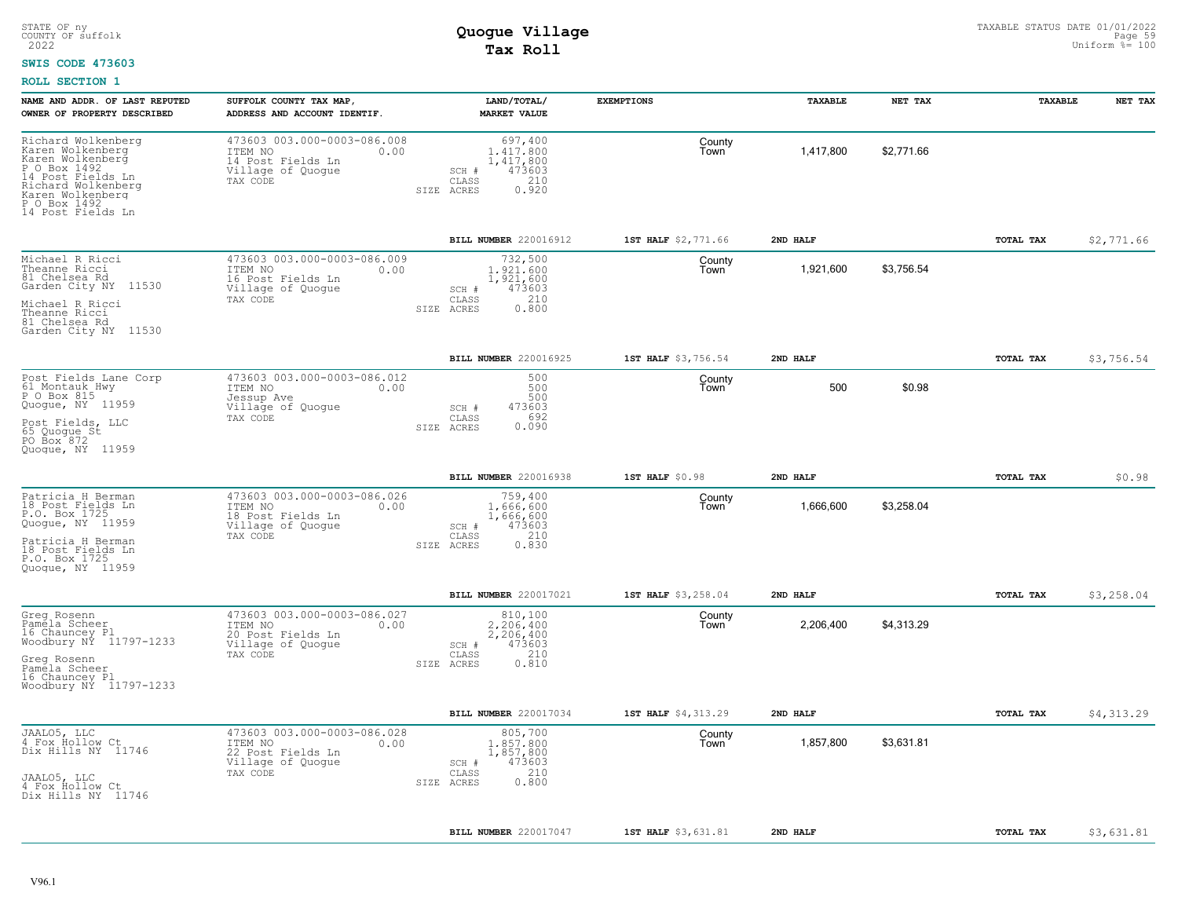#### **SWIS CODE 473603**

| NAME AND ADDR. OF LAST REPUTED<br>OWNER OF PROPERTY DESCRIBED                                                                                                                  | SUFFOLK COUNTY TAX MAP,<br>ADDRESS AND ACCOUNT IDENTIF.                                              | LAND/TOTAL/<br><b>MARKET VALUE</b>                                                          | <b>EXEMPTIONS</b>   | TAXABLE   | NET TAX    | TAXABLE   | NET TAX    |
|--------------------------------------------------------------------------------------------------------------------------------------------------------------------------------|------------------------------------------------------------------------------------------------------|---------------------------------------------------------------------------------------------|---------------------|-----------|------------|-----------|------------|
| Richard Wolkenberg<br>Karen Wolkenberg<br>Karen Wolkenberg<br>P O Box 1492<br>14 Post Fields Ln<br>Richard Wolkenberg<br>Karen Wolkenberg<br>P O Box 1492<br>14 Post Fields Ln | 473603 003.000-0003-086.008<br>ITEM NO<br>0.00<br>14 Post Fields Ln<br>Village of Quogue<br>TAX CODE | 697,400<br>1,417,800<br>1,417,800<br>473603<br>SCH #<br>210<br>CLASS<br>SIZE ACRES<br>0.920 | County<br>Town      | 1,417,800 | \$2,771.66 |           |            |
|                                                                                                                                                                                |                                                                                                      | <b>BILL NUMBER 220016912</b>                                                                | 1ST HALF \$2,771.66 | 2ND HALF  |            | TOTAL TAX | \$2,771.66 |
| Michael R Ricci<br>Theanne Ricci<br>81 Chelsea Rd<br>Garden City NY 11530<br>Michael R Ricci<br>Theanne Ricci<br>81 Chelsea Rd<br>Garden City NY 11530                         | 473603 003.000-0003-086.009<br>ITEM NO<br>0.00<br>16 Post Fields Ln<br>Village of Quogue<br>TAX CODE | 732,500<br>1,921,600<br>1,921,600<br>473603<br>SCH #<br>210<br>CLASS<br>0.800<br>SIZE ACRES | County<br>Town      | 1,921,600 | \$3,756.54 |           |            |
|                                                                                                                                                                                |                                                                                                      | BILL NUMBER 220016925                                                                       | 1ST HALF \$3,756.54 | 2ND HALF  |            | TOTAL TAX | \$3,756.54 |
| Post Fields Lane Corp<br>61 Montauk Hwy<br>P O Box 815<br>Quoque, NY 11959<br>Post Fields, LLC<br>65 Quoque St<br>PO Box 872<br>Quoque, NY 11959                               | 473603 003.000-0003-086.012<br>ITEM NO<br>0.00<br>Jessup Ave<br>Village of Quogue<br>TAX CODE        | 500<br>500<br>500<br>473603<br>SCH #<br>692<br>CLASS<br>0.090<br>SIZE ACRES                 | County<br>Town      | 500       | \$0.98     |           |            |
|                                                                                                                                                                                |                                                                                                      | BILL NUMBER 220016938                                                                       | 1ST HALF \$0.98     | 2ND HALF  |            | TOTAL TAX | \$0.98     |
| Patricia H Berman<br>18 Post Fields Ln<br>P.O. Box 1725<br>Quogue, NY 11959<br>Patricia H Berman<br>18 Post Fields Ln<br>P.O. Box 1725<br>Quoque, NY 11959                     | 473603 003.000-0003-086.026<br>ITEM NO<br>0.00<br>18 Post Fields Ln<br>Village of Quogue<br>TAX CODE | 759,400<br>1.666.600<br>1,666,600<br>473603<br>SCH #<br>210<br>CLASS<br>0.830<br>SIZE ACRES | County<br>Town      | 1,666,600 | \$3,258.04 |           |            |
|                                                                                                                                                                                |                                                                                                      | BILL NUMBER 220017021                                                                       | 1ST HALF \$3,258.04 | 2ND HALF  |            | TOTAL TAX | \$3,258.04 |
| Greg Rosenn<br>Pamela Scheer<br>16 Chauncey Pl<br>Woodbury NY 11797-1233<br>Greg Rosenn<br>Pamela Scheer<br>16 Chauncey Pl<br>Woodbury NY 11797-1233                           | 473603 003.000-0003-086.027<br>ITEM NO<br>0.00<br>20 Post Fields Ln<br>Village of Quogue<br>TAX CODE | 810,100<br>2.206.400<br>2,206,400<br>473603<br>SCH #<br>210<br>CLASS<br>0.810<br>SIZE ACRES | County<br>Town      | 2,206,400 | \$4,313.29 |           |            |
|                                                                                                                                                                                |                                                                                                      | BILL NUMBER 220017034                                                                       | 1ST HALF \$4,313.29 | 2ND HALF  |            | TOTAL TAX | \$4,313.29 |
| JAALO5, LLC<br>4 Fox Hollow Ct<br>Dix Hills NY 11746<br>JAALO5, LLC<br>4 Fox Hollow Ct<br>Dix Hills NY 11746                                                                   | 473603 003.000-0003-086.028<br>ITEM NO<br>0.00<br>22 Post Fields Ln<br>Village of Quogue<br>TAX CODE | 805,700<br>1,857,800<br>1,857,800<br>SCH #<br>473603<br>210<br>CLASS<br>0.800<br>SIZE ACRES | County<br>Town      | 1,857,800 | \$3,631.81 |           |            |
|                                                                                                                                                                                |                                                                                                      | <b>BILL NUMBER 220017047</b>                                                                | 1ST HALF \$3,631.81 | 2ND HALF  |            | TOTAL TAX | \$3,631.81 |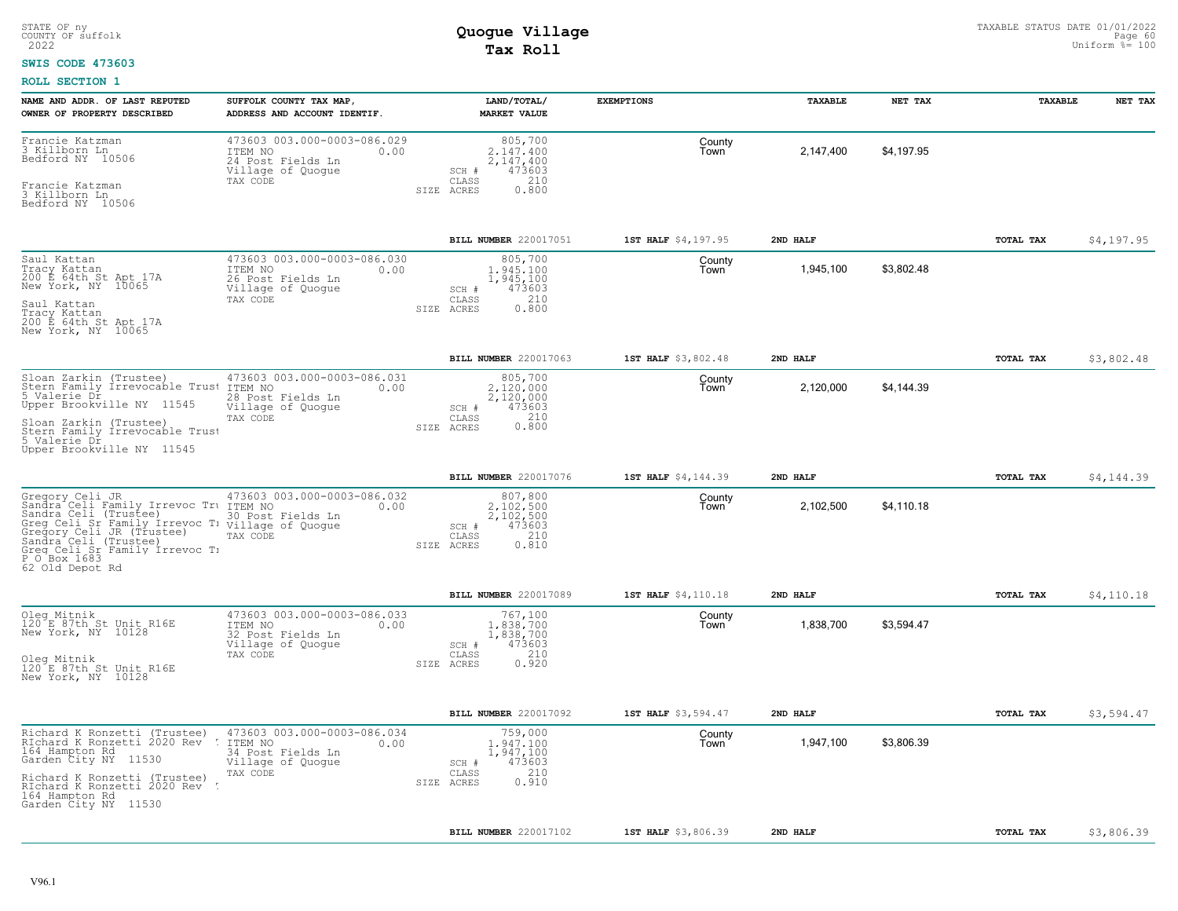### **SWIS CODE 473603**

| NAME AND ADDR. OF LAST REPUTED<br>OWNER OF PROPERTY DESCRIBED                                                                                                                                                                                                                         | SUFFOLK COUNTY TAX MAP<br>ADDRESS AND ACCOUNT IDENTIF.                                               | LAND/TOTAL/<br><b>MARKET VALUE</b>                                                            | <b>EXEMPTIONS</b>   | TAXABLE   | NET TAX    | TAXABLE   | NET TAX    |
|---------------------------------------------------------------------------------------------------------------------------------------------------------------------------------------------------------------------------------------------------------------------------------------|------------------------------------------------------------------------------------------------------|-----------------------------------------------------------------------------------------------|---------------------|-----------|------------|-----------|------------|
| Francie Katzman<br>3 Killborn Ln<br>Bedford NY 10506<br>Francie Katzman<br>3 Killborn Ln<br>Bedford NY 10506                                                                                                                                                                          | 473603 003.000-0003-086.029<br>ITEM NO<br>0.00<br>24 Post Fields Ln<br>Village of Quogue<br>TAX CODE | 805,700<br>2.147.400<br>2,147,400<br>473603<br>SCH #<br>210<br>CLASS<br>0.800<br>SIZE ACRES   | County<br>Town      | 2,147,400 | \$4,197.95 |           |            |
|                                                                                                                                                                                                                                                                                       |                                                                                                      | BILL NUMBER 220017051                                                                         | 1ST HALF \$4,197.95 | 2ND HALF  |            | TOTAL TAX | \$4,197.95 |
| Saul Kattan<br>Tracy Kattan<br>200 E 64th St Apt 17A<br>New York, NY 10065<br>Saul Kattan<br>Tracy Kattan<br>200 E 64th St Apt 17A<br>New York, NY 10065                                                                                                                              | 473603 003.000-0003-086.030<br>ITEM NO<br>0.00<br>26 Post Fields Ln<br>Village of Quogue<br>TAX CODE | 805,700<br>1,945,100<br>1,945,100<br>473603<br>SCH #<br>210<br>CLASS<br>SIZE ACRES<br>0.800   | County<br>Town      | 1,945,100 | \$3,802.48 |           |            |
|                                                                                                                                                                                                                                                                                       |                                                                                                      | BILL NUMBER 220017063                                                                         | 1ST HALF \$3,802.48 | 2ND HALF  |            | TOTAL TAX | \$3,802.48 |
| Sloan Zarkin (Trustee)<br>Stern Family Irrevocable Trust<br>5 Valerie Dr<br>Upper Brookville NY 11545<br>Sloan Zarkin (Trustee)<br>Stern Family Irrevocable Trust<br>5 Valerie Dr<br>Upper Brookville NY 11545                                                                        | 473603 003.000-0003-086.031<br>ITEM NO<br>0.00<br>28 Post Fields Ln<br>Village of Quogue<br>TAX CODE | 805,700<br>2.120.000<br>2,120,000<br>SCH #<br>473603<br>210<br>CLASS<br>0.800<br>SIZE ACRES   | County<br>Town      | 2,120,000 | \$4,144.39 |           |            |
|                                                                                                                                                                                                                                                                                       |                                                                                                      | BILL NUMBER 220017076                                                                         | 1ST HALF \$4,144.39 | 2ND HALF  |            | TOTAL TAX | \$4,144.39 |
| Gregory Celi JR 473603 C<br>Sandra Celi Family Irrevoc Tru ITEM NO<br>Sandra Celi (Trustee) 20 Post<br>Greg Celi Sr Family Irrevoc T: Village of Quogue<br>Gregory Celi JR (Trustee)<br>Sandra Celi (Trustee)<br>Greq Celi Sr Family Irrevoc T:<br>P.O.Box_1683 _.<br>62 Old Depot Rd | 473603 003.000-0003-086.032<br>0.00<br>30 Post Fields Ln<br>TAX CODE                                 | 807,800<br>$2,102,500$<br>2,102,500<br>473603<br>SCH #<br>210<br>CLASS<br>0.810<br>SIZE ACRES | County<br>Town      | 2,102,500 | \$4,110.18 |           |            |
|                                                                                                                                                                                                                                                                                       |                                                                                                      | BILL NUMBER 220017089                                                                         | 1ST HALF \$4,110.18 | 2ND HALF  |            | TOTAL TAX | \$4,110.18 |
| Oleg Mitnik<br>120 E 87th St Unit R16E<br>New York, NY 10128<br>Oleg Mitnik<br>120 E 87th St Unit R16E<br>New York, NY 10128                                                                                                                                                          | 473603 003.000-0003-086.033<br>ITEM NO<br>0.00<br>32 Post Fields Ln<br>Village of Quogue<br>TAX CODE | 767,100<br>1,838,700<br>1,838,700<br>473603<br>SCH #<br>210<br>CLASS<br>0.920<br>SIZE ACRES   | County<br>Town      | 1,838,700 | \$3,594.47 |           |            |
|                                                                                                                                                                                                                                                                                       |                                                                                                      | BILL NUMBER 220017092                                                                         | 1ST HALF \$3,594.47 | 2ND HALF  |            | TOTAL TAX | \$3,594.47 |
| Richard K Ronzetti (Trustee)<br>RIchard K Ronzetti 2020 Rev<br>164 Hampton Rd<br>Garden City NY<br>11530<br>Richard K Ronzetti (Trustee)<br>RIchard K Ronzetti 2020 Rev<br>164 Hampton Rd                                                                                             | 473603 003.000-0003-086.034<br>ITEM NO<br>0.00<br>34 Post Fields Ln<br>Village of Quogue<br>TAX CODE | 759,000<br>1,947,100<br>1,947,100<br>473603<br>SCH #<br>210<br>CLASS<br>0.910<br>SIZE ACRES   | County<br>Town      | 1,947,100 | \$3,806.39 |           |            |
| Garden City NY 11530                                                                                                                                                                                                                                                                  |                                                                                                      |                                                                                               |                     |           |            |           |            |
|                                                                                                                                                                                                                                                                                       |                                                                                                      | BILL NUMBER 220017102                                                                         | 1ST HALF \$3,806.39 | 2ND HALF  |            | TOTAL TAX | \$3,806.39 |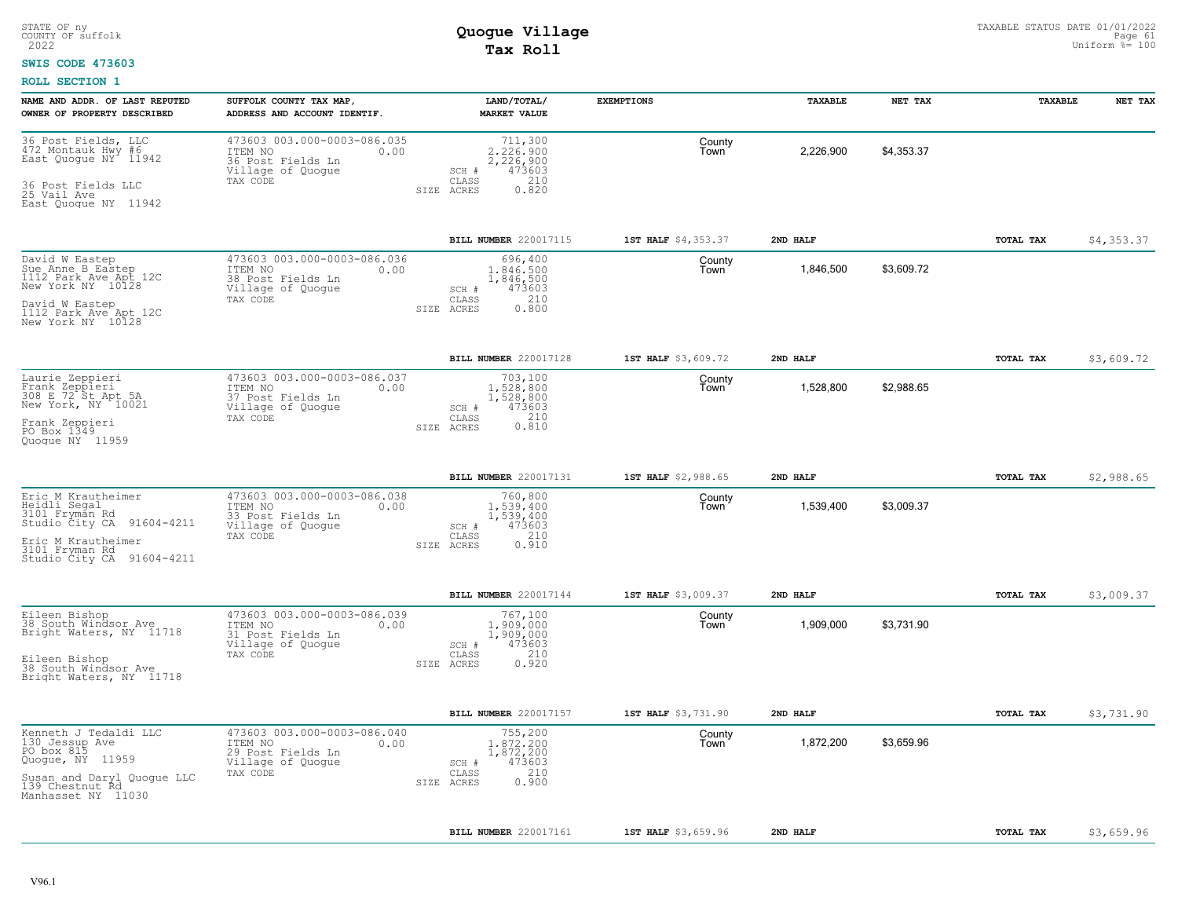### **SWIS CODE 473603**

| NAME AND ADDR. OF LAST REPUTED<br>OWNER OF PROPERTY DESCRIBED                                                                                                | SUFFOLK COUNTY TAX MAP<br>ADDRESS AND ACCOUNT IDENTIF.                                               | LAND/TOTAL/<br><b>MARKET VALUE</b>                                                             | <b>EXEMPTIONS</b>   | <b>TAXABLE</b> | NET TAX    | TAXABLE          | NET TAX    |
|--------------------------------------------------------------------------------------------------------------------------------------------------------------|------------------------------------------------------------------------------------------------------|------------------------------------------------------------------------------------------------|---------------------|----------------|------------|------------------|------------|
| 36 Post Fields, LLC<br>472 Montauk Hwy #6<br>East Quoque NY <sup>-</sup> 11942<br>36 Post Fields LLC<br>25 Vail Ave<br>East Quoque NY 11942                  | 473603 003.000-0003-086.035<br>ITEM NO<br>0.00<br>36 Post Fields Ln<br>Village of Quogue<br>TAX CODE | 711,300<br>2,226,900<br>2,226,900<br>473603<br>SCH #<br>210<br>CLASS<br>0.820<br>SIZE ACRES    | County<br>Town      | 2,226,900      | \$4,353.37 |                  |            |
|                                                                                                                                                              |                                                                                                      | <b>BILL NUMBER 220017115</b>                                                                   | 1ST HALF \$4,353.37 | 2ND HALF       |            | TOTAL TAX        | \$4,353.37 |
| David W Eastep<br>Sue Anne B Eastep<br>$1112$ Park Ave Apt $12C$<br>New York NY 10128<br>David W Eastep<br>1112 Park Ave Apt 12C<br>New York NY 10128        | 473603 003.000-0003-086.036<br>ITEM NO<br>0.00<br>38 Post Fields Ln<br>Village of Quogue<br>TAX CODE | 696,400<br>1,846,500<br>1,846,500<br>473603<br>SCH #<br>210<br>CLASS<br>0.800<br>ACRES<br>SIZE | County<br>Town      | 1,846,500      | \$3,609.72 |                  |            |
|                                                                                                                                                              |                                                                                                      | BILL NUMBER 220017128                                                                          | 1ST HALF \$3,609.72 | 2ND HALF       |            | TOTAL TAX        | \$3,609.72 |
| Laurie Zeppieri<br>Frank Zeppieri<br>308 E 72 St Apt 5A<br>New York, NY 10021<br>Frank Zeppieri<br>PO Box 1349<br>Quoque NY 11959                            | 473603 003.000-0003-086.037<br>ITEM NO<br>0.00<br>37 Post Fields Ln<br>Village of Quogue<br>TAX CODE | 703,100<br>1,528,800<br>1,528,800<br>473603<br>SCH #<br>0.210<br>CLASS<br>SIZE ACRES           | County<br>Town      | 1,528,800      | \$2,988.65 |                  |            |
|                                                                                                                                                              |                                                                                                      | BILL NUMBER 220017131                                                                          | 1ST HALF \$2,988.65 | 2ND HALF       |            | TOTAL TAX        | \$2,988.65 |
| Eric M Krautheimer<br>Heidli Segal<br>3101 Fryman Rd<br>91604-4211<br>Studio City CA<br>Eric M Krautheimer<br>3101 Fryman Rd<br>Studio City CA<br>91604-4211 | 473603 003.000-0003-086.038<br>ITEM NO<br>0.00<br>33 Post Fields Ln<br>Village of Quogue<br>TAX CODE | 760,800<br>1,539,400<br>1,539,400<br>473603<br>SCH #<br>210<br>CLASS<br>0.910<br>SIZE ACRES    | County<br>Town      | 1,539,400      | \$3,009.37 |                  |            |
|                                                                                                                                                              |                                                                                                      | BILL NUMBER 220017144                                                                          | 1ST HALF \$3,009.37 | 2ND HALF       |            | TOTAL TAX        | \$3,009.37 |
| Eileen Bishop<br>38 South Windsor Ave<br>Bright Waters, NY 11718<br>Eileen Bishop<br>38 South Windsor Ave<br>Bright Waters, NY 11718                         | 473603 003.000-0003-086.039<br>ITEM NO<br>0.00<br>31 Post Fields Ln<br>Village of Quogue<br>TAX CODE | 767,100<br>1,909,000<br>1,909,000<br>473603<br>SCH #<br>210<br>CLASS<br>0.920<br>SIZE ACRES    | County<br>Town      | 1,909,000      | \$3.731.90 |                  |            |
|                                                                                                                                                              |                                                                                                      | BILL NUMBER 220017157                                                                          | 1ST HALF \$3,731.90 | 2ND HALF       |            | <b>TOTAL TAX</b> | \$3,731.90 |
| Kenneth J Tedaldi LLC<br>130 Jessup Ave<br>PO box 815<br>Quogue, NY 11959<br>Susan and Daryl Quoque LLC<br>139 Chestnut Rd<br>Manhasset NY 11030             | 473603 003.000-0003-086.040<br>ITEM NO<br>0.00<br>29 Post Fields Ln<br>Village of Quogue<br>TAX CODE | 755,200<br>1,872,200<br>1,872,200<br>473603<br>SCH #<br>210<br>CLASS<br>0.900<br>ACRES<br>SIZE | County<br>Town      | 1,872,200      | \$3,659.96 |                  |            |
|                                                                                                                                                              |                                                                                                      | BILL NUMBER 220017161                                                                          | 1ST HALF \$3,659.96 | 2ND HALF       |            | TOTAL TAX        | \$3,659.96 |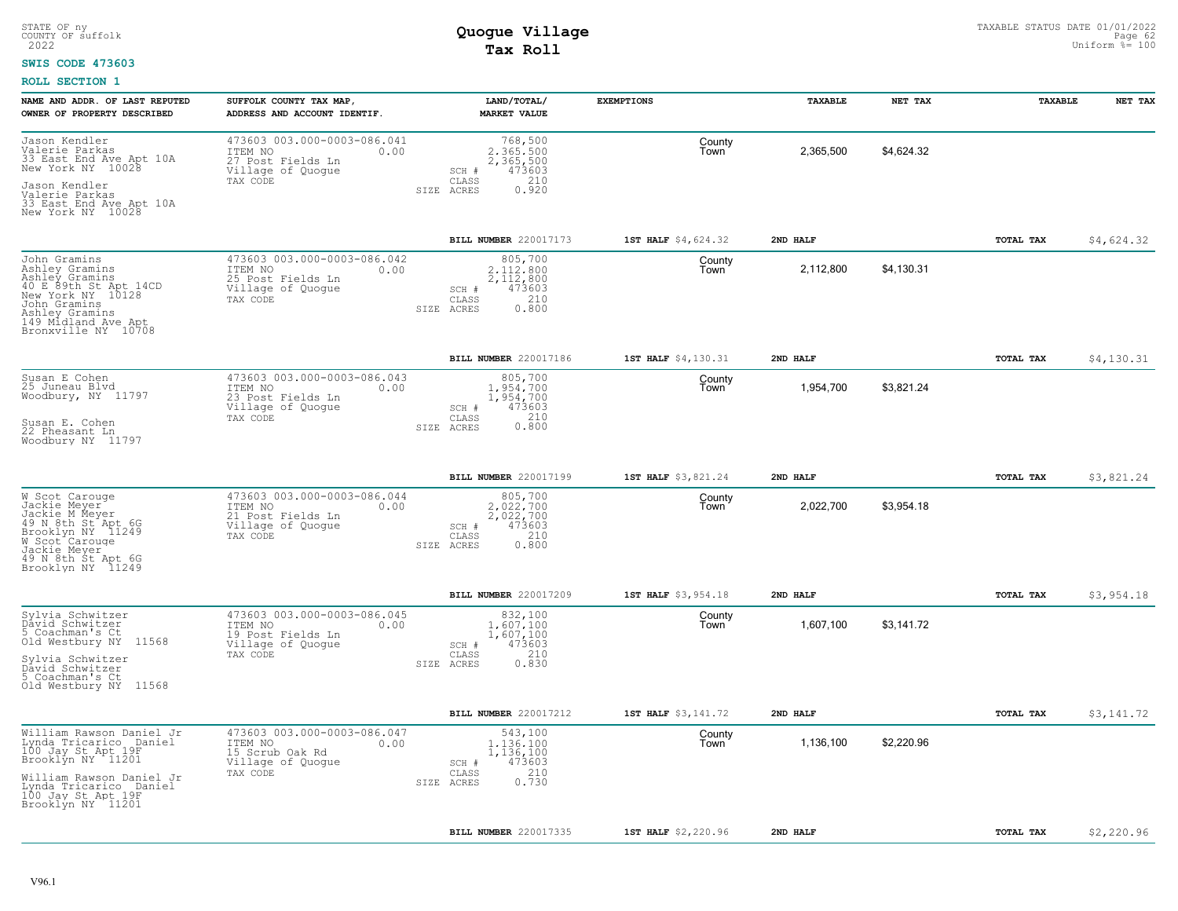#### **SWIS CODE 473603**

| NAME AND ADDR. OF LAST REPUTED<br>OWNER OF PROPERTY DESCRIBED                                                                                                                                  | SUFFOLK COUNTY TAX MAP,<br>ADDRESS AND ACCOUNT IDENTIF.                                              | LAND/TOTAL/<br><b>MARKET VALUE</b>                                                          | <b>EXEMPTIONS</b>   | TAXABLE   | NET TAX    | TAXABLE   | NET TAX    |
|------------------------------------------------------------------------------------------------------------------------------------------------------------------------------------------------|------------------------------------------------------------------------------------------------------|---------------------------------------------------------------------------------------------|---------------------|-----------|------------|-----------|------------|
| Jason Kendler<br>Valerie Parkas<br>33 East End Ave Apt 10A<br>New York NY 10028<br>Jason Kendler<br>Valerie Parkas<br>33 East End Ave Apt 10A<br>New York NY 10028                             | 473603 003.000-0003-086.041<br>ITEM NO<br>0.00<br>27 Post Fields Ln<br>Village of Quogue<br>TAX CODE | 768,500<br>2.365.500<br>2,365,500<br>473603<br>SCH #<br>210<br>CLASS<br>0.920<br>SIZE ACRES | County<br>Town      | 2,365,500 | \$4,624.32 |           |            |
|                                                                                                                                                                                                |                                                                                                      | BILL NUMBER 220017173                                                                       | 1ST HALF \$4,624.32 | 2ND HALF  |            | TOTAL TAX | \$4,624.32 |
| John Gramins<br>Ashley Gramins<br>Ashley Gramins<br>40 E 89th St Apt 14CD<br>New York NY 10128<br>John Gramins<br>Ashley Gramins<br>149 Midland Ave Apt<br>Bronxville NY 10708                 | 473603 003.000-0003-086.042<br>ITEM NO<br>0.00<br>25 Post Fields Ln<br>Village of Quogue<br>TAX CODE | 805,700<br>2.112.800<br>2,112,800<br>473603<br>SCH #<br>210<br>CLASS<br>0.800<br>SIZE ACRES | County<br>Town      | 2,112,800 | \$4,130.31 |           |            |
|                                                                                                                                                                                                |                                                                                                      | BILL NUMBER 220017186                                                                       | 1ST HALF \$4,130.31 | 2ND HALF  |            | TOTAL TAX | \$4,130.31 |
| Susan E Cohen<br>25 Juneau Blvd<br>Woodbury, NY 11797<br>Susan E. Cohen<br>22 Pheasant Ln<br>Woodbury NY 11797                                                                                 | 473603 003.000-0003-086.043<br>ITEM NO<br>0.00<br>23 Post Fields Ln<br>Village of Quogue<br>TAX CODE | 805,700<br>1,954,700<br>1,954,700<br>473603<br>SCH #<br>0.210<br>CLASS<br>SIZE ACRES        | County<br>Town      | 1,954,700 | \$3,821.24 |           |            |
|                                                                                                                                                                                                |                                                                                                      |                                                                                             |                     |           |            |           |            |
|                                                                                                                                                                                                |                                                                                                      | <b>BILL NUMBER 220017199</b>                                                                | 1ST HALF \$3,821.24 | 2ND HALF  |            | TOTAL TAX | \$3,821.24 |
| W Scot Carouge<br>Jackie Meyer<br>Jackie M Meyer<br>49 N 8th St Apt 6G<br>Brooklyn NY 11249<br>W Scot <sup>-</sup> Carouge<br>Jackie Meyer<br>49 N 8th St Apt 6G<br>Brooklyn NY 11249          | 473603 003.000-0003-086.044<br>ITEM NO<br>0.00<br>21 Post Fields Ln<br>Village of Quoque<br>TAX CODE | 805,700<br>2.022.700<br>2,022,700<br>473603<br>SCH #<br>210<br>CLASS<br>0.800<br>SIZE ACRES | County<br>Town      | 2,022,700 | \$3,954.18 |           |            |
|                                                                                                                                                                                                |                                                                                                      | BILL NUMBER 220017209                                                                       | 1ST HALF \$3,954.18 | 2ND HALF  |            | TOTAL TAX | \$3,954.18 |
| Sylvia Schwitzer<br>Dâvid Schwitzer<br>5 Coachman's Ct<br>Old Westbury NY<br>11568<br>Sylvia Schwitzer<br>David Schwitzer<br>5 Coachman's Ct<br>Old Westbury NY 11568                          | 473603 003.000-0003-086.045<br>ITEM NO<br>0.00<br>19 Post Fields Ln<br>Village of Quogue<br>TAX CODE | 832,100<br>1,607,100<br>1,607,100<br>473603<br>SCH #<br>210<br>CLASS<br>0.830<br>SIZE ACRES | County<br>Town      | 1,607,100 | \$3,141.72 |           |            |
|                                                                                                                                                                                                |                                                                                                      | <b>BILL NUMBER 220017212</b>                                                                | 1ST HALF \$3,141.72 | 2ND HALF  |            | TOTAL TAX | \$3,141.72 |
| William Rawson Daniel Jr<br>Lynda Tricarico Daniel<br>100 Jay St Apt 19F<br>Brooklyn NY 11201<br>William Rawson Daniel Jr<br>Lynda Tricarico Daniel<br>100 Jay St Apt 19F<br>Brooklyn NY 11201 | 473603 003.000-0003-086.047<br>ITEM NO<br>0.00<br>15 Scrub Oak Rd<br>Village of Quogue<br>TAX CODE   | 543,100<br>1,136,100<br>1,136,100<br>473603<br>SCH #<br>210<br>CLASS<br>0.730<br>SIZE ACRES | County<br>Town      | 1,136,100 | \$2,220.96 |           |            |
|                                                                                                                                                                                                |                                                                                                      | <b>BILL NUMBER 220017335</b>                                                                | 1ST HALF \$2,220.96 | 2ND HALF  |            | TOTAL TAX | \$2,220.96 |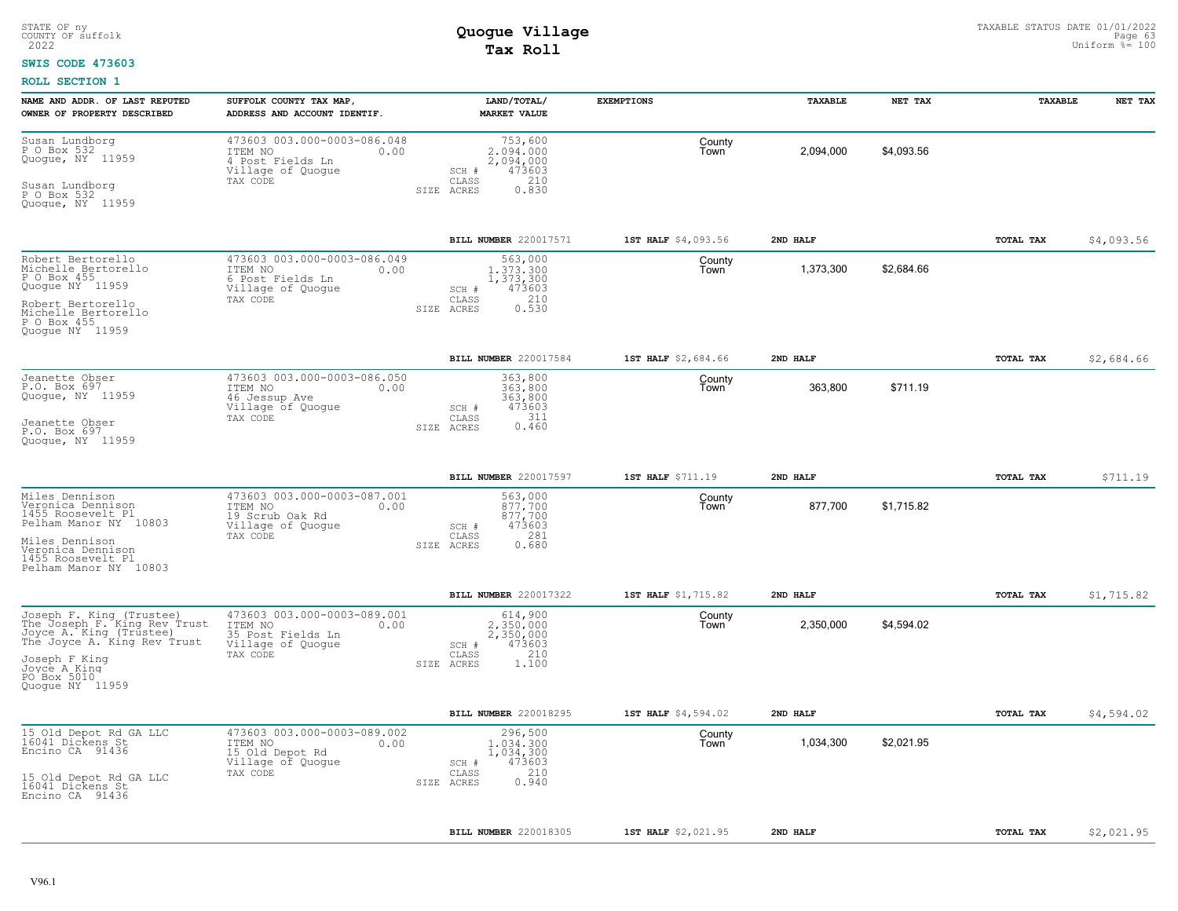### **SWIS CODE 473603**

| NAME AND ADDR. OF LAST REPUTED<br>OWNER OF PROPERTY DESCRIBED                                                                                                                         | SUFFOLK COUNTY TAX MAP,<br>ADDRESS AND ACCOUNT IDENTIF.                                              | LAND/TOTAL/<br><b>MARKET VALUE</b>                                                          | <b>EXEMPTIONS</b>   | <b>TAXABLE</b> | NET TAX    | <b>TAXABLE</b> | NET TAX    |
|---------------------------------------------------------------------------------------------------------------------------------------------------------------------------------------|------------------------------------------------------------------------------------------------------|---------------------------------------------------------------------------------------------|---------------------|----------------|------------|----------------|------------|
| Susan Lundborg<br>P O Box 532<br>Quoque, NY 11959<br>Susan Lundborg<br>P 0 Box 532<br>Quogue, NY 11959                                                                                | 473603 003.000-0003-086.048<br>ITEM NO<br>0.00<br>4 Post Fields Ln<br>Village of Quogue<br>TAX CODE  | 753,600<br>2.094.000<br>2,094,000<br>473603<br>SCH #<br>210<br>CLASS<br>0.830<br>SIZE ACRES | County<br>Town      | 2,094,000      | \$4,093.56 |                |            |
|                                                                                                                                                                                       |                                                                                                      | BILL NUMBER 220017571                                                                       | 1ST HALF \$4,093.56 | 2ND HALF       |            | TOTAL TAX      | \$4,093.56 |
| Robert Bertorello<br>Michelle Bertorello<br>P O Box 455<br>Quoque NY 11959<br>Robert Bertorello<br>Michelle Bertorello<br>P O Box 455<br>Quoque NY 11959                              | 473603 003.000-0003-086.049<br>ITEM NO<br>0.00<br>6 Post Fields Ln<br>Village of Quogue<br>TAX CODE  | 563,000<br>1,373,300<br>1,373,300<br>473603<br>SCH #<br>210<br>CLASS<br>0.530<br>SIZE ACRES | County<br>Town      | 1,373,300      | \$2,684.66 |                |            |
|                                                                                                                                                                                       |                                                                                                      | BILL NUMBER 220017584                                                                       | 1ST HALF \$2,684.66 | 2ND HALF       |            | TOTAL TAX      | \$2,684.66 |
| Jeanette Obser<br>P.O. Box 697<br>Quogue, NY 11959<br>Jeanette Obser<br>P.O. Box 697<br>Quoque, NY 11959                                                                              | 473603 003.000-0003-086.050<br>0.00<br>ITEM NO<br>46 Jessup Ave<br>Village of Quogue<br>TAX CODE     | 363,800<br>363,800<br>363,800<br>473603<br>SCH #<br>CLASS<br>311<br>0.460<br>SIZE ACRES     | County<br>Town      | 363,800        | \$711.19   |                |            |
|                                                                                                                                                                                       |                                                                                                      | BILL NUMBER 220017597                                                                       | 1ST HALF \$711.19   | 2ND HALF       |            | TOTAL TAX      | \$711.19   |
| Miles Dennison<br>Veronica Dennison<br>1455 Roosevelt Pl<br>Pelham Manor NY 10803<br>Miles Dennison<br>Veronica Dennison<br>1455 Roosevelt Pl<br>Pelham Manor NY 10803                | 473603 003.000-0003-087.001<br>ITEM NO<br>0.00<br>19 Scrub Oak Rd<br>Village of Quogue<br>TAX CODE   | 563,000<br>877,700<br>877,700<br>473603<br>SCH #<br>281<br>CLASS<br>0.680<br>SIZE ACRES     | County<br>Town      | 877,700        | \$1,715.82 |                |            |
|                                                                                                                                                                                       |                                                                                                      | BILL NUMBER 220017322                                                                       | 1ST HALF \$1,715.82 | 2ND HALF       |            | TOTAL TAX      | \$1,715.82 |
| Joseph F. King (Trustee)<br>The Joseph F. King Rev Trust<br>Joyce A. King (Trustee)<br>The Joyce A. King Rev Trust<br>Joseph F King<br>Joyce A King<br>PO Box 5010<br>Quoque NY 11959 | 473603 003.000-0003-089.001<br>ITEM NO<br>0.00<br>35 Post Fields Ln<br>Village of Quogue<br>TAX CODE | 614,900<br>2,350,000<br>2,350,000<br>473603<br>SCH #<br>210<br>CLASS<br>SIZE ACRES<br>1.100 | County<br>Town      | 2,350,000      | \$4,594.02 |                |            |
|                                                                                                                                                                                       |                                                                                                      | BILL NUMBER 220018295                                                                       | 1ST HALF \$4,594.02 | 2ND HALF       |            | TOTAL TAX      | \$4,594.02 |
| 15 Old Depot Rd GA LLC<br>16041 Dickens St<br>Encino CA 91436<br>15 Old Depot Rd GA LLC<br>16041 Dickens St<br>Encino CA 91436                                                        | 473603 003.000-0003-089.002<br>ITEM NO<br>0.00<br>15 Old Depot Rd<br>Village of Quogue<br>TAX CODE   | 296,500<br>1,034,300<br>1,034,300<br>473603<br>SCH #<br>210<br>CLASS<br>0.940<br>SIZE ACRES | County<br>Town      | 1,034,300      | \$2,021.95 |                |            |
|                                                                                                                                                                                       |                                                                                                      | BILL NUMBER 220018305                                                                       | 1ST HALF \$2,021.95 | 2ND HALF       |            | TOTAL TAX      | \$2,021.95 |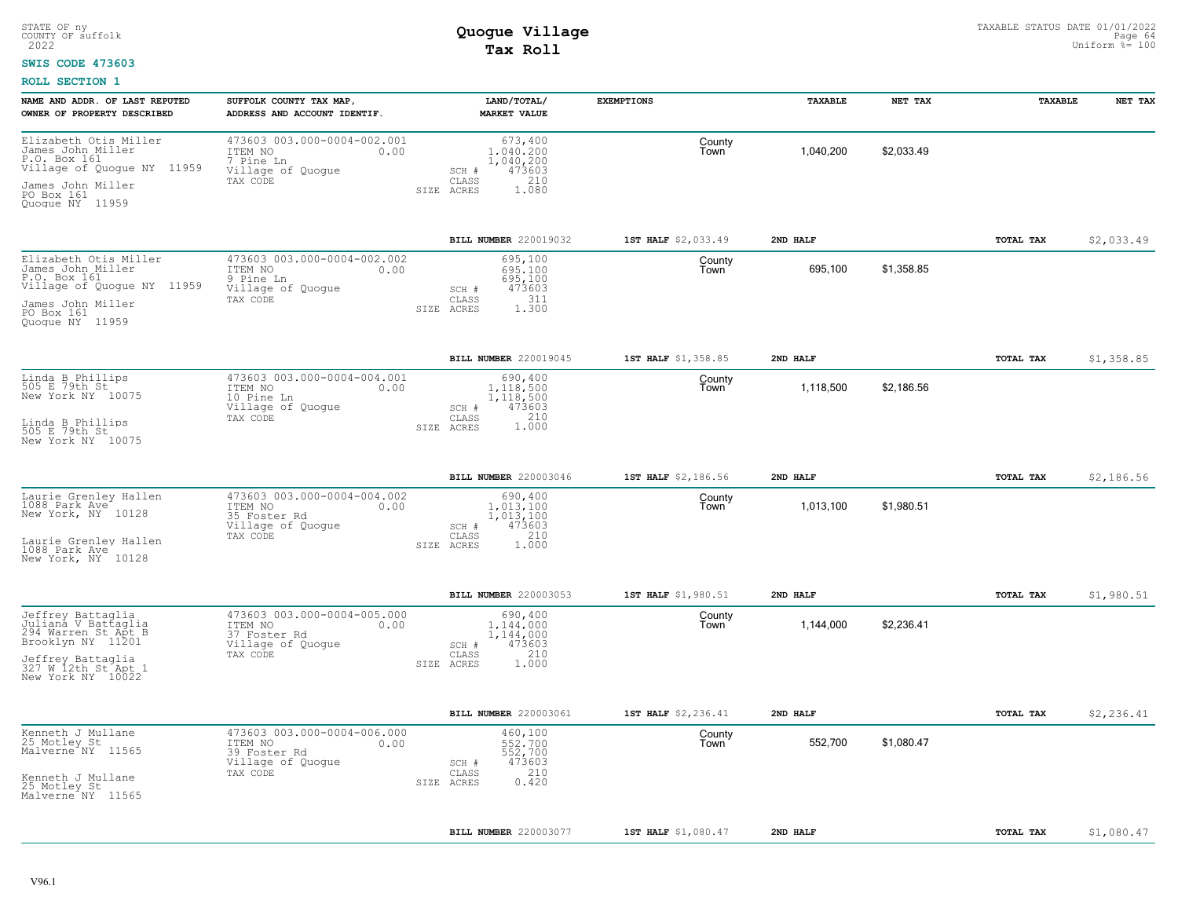### **SWIS CODE 473603**

| NAME AND ADDR. OF LAST REPUTED                                                                                                                        | SUFFOLK COUNTY TAX MAP                                                                          | LAND/TOTAL/                                                                                     | <b>EXEMPTIONS</b>   | TAXABLE   | NET TAX    | TAXABLE          | NET TAX    |
|-------------------------------------------------------------------------------------------------------------------------------------------------------|-------------------------------------------------------------------------------------------------|-------------------------------------------------------------------------------------------------|---------------------|-----------|------------|------------------|------------|
| OWNER OF PROPERTY DESCRIBED                                                                                                                           | ADDRESS AND ACCOUNT IDENTIF.                                                                    | <b>MARKET VALUE</b>                                                                             |                     |           |            |                  |            |
| Elizabeth Otis Miller<br>James John Miller<br>P.O. Box 161<br>Village of Quogue NY 11959<br>James John Miller<br>PO Box 161<br>Quoque NY 11959        | 473603 003.000-0004-002.001<br>ITEM NO<br>0.00<br>7 Pine Ln<br>Village of Quogue<br>TAX CODE    | 673,400<br>1,040,200<br>1,040,200<br>473603<br>SCH #<br>210<br>CLASS<br>1.080<br>SIZE ACRES     | County<br>Town      | 1,040,200 | \$2,033.49 |                  |            |
|                                                                                                                                                       |                                                                                                 | BILL NUMBER 220019032                                                                           | 1ST HALF \$2,033.49 | 2ND HALF  |            | TOTAL TAX        | \$2,033.49 |
| Elizabeth Otis Miller<br>James John Miller<br>P.O. Box 161<br>Village of Quogue NY 11959<br>James John Miller<br>PO Box 161<br>Quoque NY 11959        | 473603 003.000-0004-002.002<br>0.00<br>ITEM NO<br>9 Pine Ln<br>Village of Quoque<br>TAX CODE    | 695,100<br>695,100<br>695,100<br>473603<br>SCH #<br>311<br>CLASS<br>1.300<br>SIZE ACRES         | County<br>Town      | 695,100   | \$1,358.85 |                  |            |
|                                                                                                                                                       |                                                                                                 | BILL NUMBER 220019045                                                                           | 1ST HALF \$1,358.85 | 2ND HALF  |            | TOTAL TAX        | \$1,358.85 |
| Linda B Phillips<br>505 E 79th St<br>New York NY 10075<br>Linda B Phillips<br>505 E 79th St                                                           | 473603 003.000-0004-004.001<br>ITEM NO<br>0.00<br>10 Pine Ln<br>Village of Quogue<br>TAX CODE   | 690,400<br>1,118,500<br>1,118,500<br>$SCH$ $#$<br>473603<br>210<br>CLASS<br>1.000<br>SIZE ACRES | County<br>Town      | 1,118,500 | \$2,186.56 |                  |            |
| New York NY 10075                                                                                                                                     |                                                                                                 |                                                                                                 |                     |           |            |                  |            |
|                                                                                                                                                       |                                                                                                 | BILL NUMBER 220003046                                                                           | 1ST HALF \$2,186.56 | 2ND HALF  |            | <b>TOTAL TAX</b> | \$2,186.56 |
| Laurie Grenley Hallen<br>1088 Park Ave<br>New York, NY 10128<br>Laurie Grenley Hallen<br>1088 Park Ave<br>New York, NY 10128                          | 473603 003.000-0004-004.002<br>ITEM NO<br>0.00<br>35 Foster Rd<br>Village of Quogue<br>TAX CODE | 690,400<br>1,013,100<br>1,013,100<br>473603<br>SCH #<br>210<br>CLASS<br>1,000<br>SIZE ACRES     | County<br>Town      | 1,013,100 | \$1,980.51 |                  |            |
|                                                                                                                                                       |                                                                                                 | <b>BILL NUMBER 220003053</b>                                                                    | 1ST HALF \$1,980.51 | 2ND HALF  |            | TOTAL TAX        | \$1,980.51 |
| Jeffrey Battaglia<br>Julianā V Battaglia<br>294 Warren St Apt B<br>Brooklyn NY 11201<br>Jeffrey Battaglia<br>327 W 12th St Apt 1<br>New York NY 10022 | 473603 003.000-0004-005.000<br>ITEM NO<br>0.00<br>37 Foster Rd<br>Village of Quogue<br>TAX CODE | 690,400<br>1,144,000<br>1,144,000<br>473603<br>SCH #<br>210<br>CLASS<br>1.000<br>SIZE ACRES     | County<br>Town      | 1,144,000 | \$2,236.41 |                  |            |
|                                                                                                                                                       |                                                                                                 | <b>BILL NUMBER 220003061</b>                                                                    | 1ST HALF \$2,236.41 | 2ND HALF  |            | TOTAL TAX        | \$2,236.41 |
| Kenneth J Mullane<br>25 Motley St<br>Malverne <sup>*</sup> NY 11565<br>Kenneth J Mullane<br>25 Motley St<br>Malverne NY 11565                         | 473603 003.000-0004-006.000<br>ITEM NO<br>0.00<br>39 Foster Rd<br>Village of Quogue<br>TAX CODE | 460,100<br>552,700<br>552,700<br>473603<br>SCH #<br>210<br>CLASS<br>0.420<br>SIZE ACRES         | County<br>Town      | 552,700   | \$1,080.47 |                  |            |
|                                                                                                                                                       |                                                                                                 | BILL NUMBER 220003077                                                                           | 1ST HALF \$1,080.47 | 2ND HALF  |            | TOTAL TAX        | \$1,080.47 |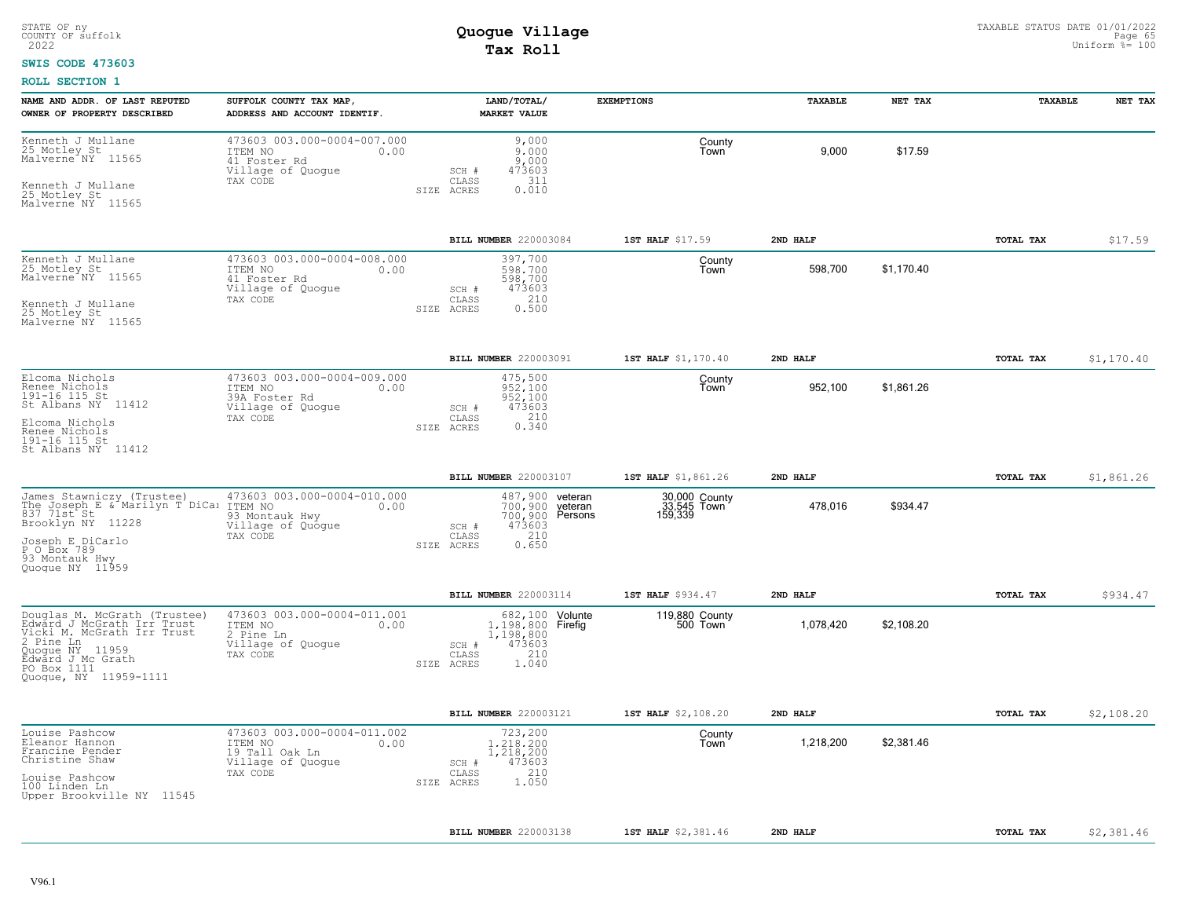### **SWIS CODE 473603**

| NAME AND ADDR. OF LAST REPUTED<br>OWNER OF PROPERTY DESCRIBED                                                                                                                            | SUFFOLK COUNTY TAX MAP,<br>ADDRESS AND ACCOUNT IDENTIF.                                           | LAND/TOTAL/<br><b>MARKET VALUE</b>                                                                              | <b>EXEMPTIONS</b>                       | TAXABLE   | NET TAX    | TAXABLE          | NET TAX    |
|------------------------------------------------------------------------------------------------------------------------------------------------------------------------------------------|---------------------------------------------------------------------------------------------------|-----------------------------------------------------------------------------------------------------------------|-----------------------------------------|-----------|------------|------------------|------------|
| Kenneth J Mullane<br>25 Motley St<br>Malverne NY 11565<br>Kenneth J Mullane<br>25 Motley St<br>Malverne NY 11565                                                                         | 473603 003.000-0004-007.000<br>ITEM NO<br>0.00<br>41 Foster Rd<br>Village of Quogue<br>TAX CODE   | 9,000<br>9,000<br>9,000<br>473603<br>SCH #<br>311<br>CLASS<br>0.010<br>SIZE ACRES                               | County<br>Town                          | 9,000     | \$17.59    |                  |            |
|                                                                                                                                                                                          |                                                                                                   | BILL NUMBER 220003084                                                                                           | 1ST HALF \$17.59                        | 2ND HALF  |            | TOTAL TAX        | \$17.59    |
| Kenneth J Mullane<br>25 Motley St<br>Malverne <sup>NY</sup> 11565<br>Kenneth J Mullane<br>25 Motley St<br>Malverne NY 11565                                                              | 473603 003.000-0004-008.000<br>ITEM NO<br>0.00<br>41 Foster Rd<br>Village of Quogue<br>TAX CODE   | 397,700<br>598,700<br>598,700<br>473603<br>SCH #<br>210<br>CLASS<br>SIZE ACRES<br>0.500                         | County<br>Town                          | 598,700   | \$1,170.40 |                  |            |
|                                                                                                                                                                                          |                                                                                                   | BILL NUMBER 220003091                                                                                           | 1ST HALF \$1,170.40                     | 2ND HALF  |            | TOTAL TAX        | \$1,170.40 |
| Elcoma Nichols<br>Renee Nichols<br>191-16 115 St<br>St Albans NY 11412<br>Elcoma Nichols<br>Renee Nichols<br>191-16 115 St<br>St Albans NY 11412                                         | 473603 003.000-0004-009.000<br>ITEM NO<br>0.00<br>39A Foster Rd<br>Village of Quogue<br>TAX CODE  | 475,500<br>952,100<br>952,100<br>473603<br>SCH #<br>210<br>CLASS<br>0.340<br>SIZE ACRES                         | County<br>Town                          | 952,100   | \$1,861.26 |                  |            |
|                                                                                                                                                                                          |                                                                                                   | BILL NUMBER 220003107                                                                                           | 1ST HALF \$1,861.26                     | 2ND HALF  |            | <b>TOTAL TAX</b> | \$1,861.26 |
| James Stawniczy (Trustee) 473603 C<br>The Joseph E & Marilyn T DiCa: ITEM NO<br>837 71st St<br>Brooklyn NY 11228<br>Joseph E DiCarlo<br>P O Box 789<br>93 Montauk Hwy<br>Quoque NY 11959 | 473603 003.000-0004-010.000<br>0.00<br>93 Montauk Hwy<br>Village of Quoque<br>TAX CODE            | 487,900 veteran<br>700.900 veteran<br>700,900 Persons<br>473603<br>SCH #<br>210<br>CLASS<br>0.650<br>SIZE ACRES | 30,000 County<br>33,545 Town<br>159,339 | 478.016   | \$934.47   |                  |            |
|                                                                                                                                                                                          |                                                                                                   | BILL NUMBER 220003114                                                                                           | 1ST HALF \$934.47                       | 2ND HALF  |            | TOTAL TAX        | \$934.47   |
| Douglas M. McGrath (Trustee)<br>Edward J McGrath Irr Trust<br>Vicki M. McGrath Irr Trust<br>2 Pine Ln<br>Ouogue NY 11959<br>Edward J Mc Grath<br>PO Box 1111<br>Quogue, NY 11959-1111    | 473603 003.000-0004-011.001<br>ITEM NO<br>0.00<br>2 Pine Ln<br>Village of Quogue<br>TAX CODE      | 682, 100 Volunte<br>1,198,800 Firefig<br>1,198,800<br>473603<br>SCH #<br>210<br>CLASS<br>1.040<br>SIZE ACRES    | 119,880 County<br>500 Town              | 1,078,420 | \$2,108.20 |                  |            |
|                                                                                                                                                                                          |                                                                                                   | BILL NUMBER 220003121                                                                                           | 1ST HALF \$2,108.20                     | 2ND HALF  |            | <b>TOTAL TAX</b> | \$2,108.20 |
| Louise Pashcow<br>Eleanor Hannon<br>Francine Pender<br>Christine Shaw<br>Louise Pashcow<br>100 Linden Ln<br>Upper Brookville NY 11545                                                    | 473603 003.000-0004-011.002<br>ITEM NO<br>0.00<br>19 Tall Oak Ln<br>Village of Quogue<br>TAX CODE | 723,200<br>1,218,200<br>1,218,200<br>473603<br>SCH #<br>210<br>CLASS<br>1.050<br>SIZE ACRES                     | County<br>Town                          | 1,218,200 | \$2,381.46 |                  |            |
|                                                                                                                                                                                          |                                                                                                   | BILL NUMBER 220003138                                                                                           | 1ST HALF \$2,381.46                     | 2ND HALF  |            | TOTAL TAX        | \$2,381.46 |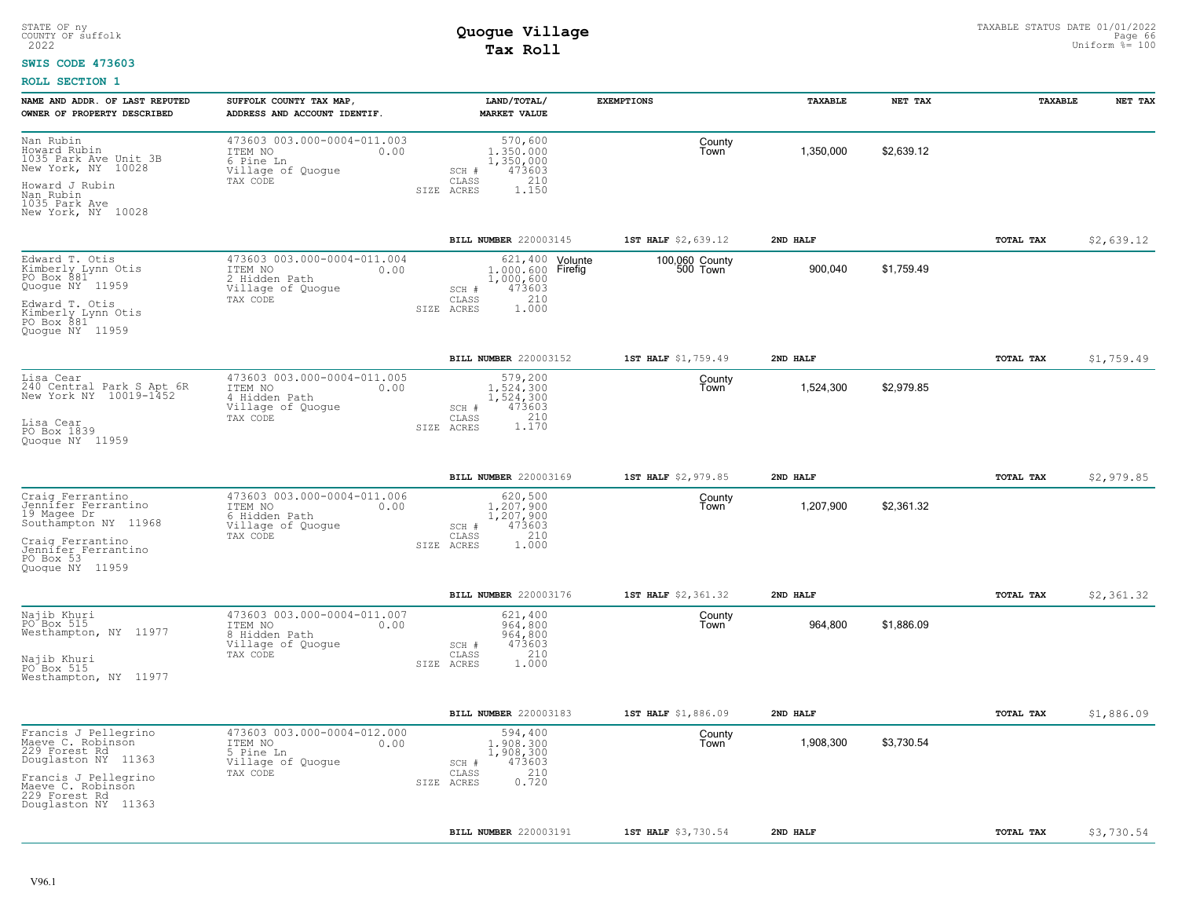### **SWIS CODE 473603**

| NAME AND ADDR. OF LAST REPUTED<br>OWNER OF PROPERTY DESCRIBED                                                            | SUFFOLK COUNTY TAX MAP,<br>ADDRESS AND ACCOUNT IDENTIF.                                          | LAND/TOTAL/<br><b>MARKET VALUE</b>                                                          | <b>EXEMPTIONS</b>          | TAXABLE   | NET TAX    | TAXABLE   | NET TAX    |
|--------------------------------------------------------------------------------------------------------------------------|--------------------------------------------------------------------------------------------------|---------------------------------------------------------------------------------------------|----------------------------|-----------|------------|-----------|------------|
| Nan Rubin<br>Howard Rubin<br>1035 Park Ave Unit 3B<br>New York, NY 10028<br>Howard J Rubin<br>Nan Rubin<br>1035 Park Ave | 473603 003.000-0004-011.003<br>ITEM NO<br>0.00<br>6 Pine Ln<br>Village of Quogue<br>TAX CODE     | 570,600<br>1,350,000<br>1,350,000<br>473603<br>SCH #<br>210<br>CLASS<br>1.150<br>SIZE ACRES | County<br>Town             | 1,350,000 | \$2,639.12 |           |            |
| New York, NY 10028                                                                                                       |                                                                                                  |                                                                                             |                            |           |            |           |            |
|                                                                                                                          |                                                                                                  | BILL NUMBER 220003145                                                                       | 1ST HALF \$2,639.12        | 2ND HALF  |            | TOTAL TAX | \$2,639.12 |
| Edward T. Otis<br>Kimberly Lynn Otis<br>PO Box 881<br>Quogue NY 11959                                                    | 473603 003.000-0004-011.004<br>ITEM NO<br>0.00<br>2 Hidden Path<br>Village of Quogue<br>TAX CODE | 621, 400 Volunte<br>1,000,600 Firefig<br>1,000,600<br>473603<br>SCH #<br>210<br>CLASS       | 100,060 County<br>500 Town | 900,040   | \$1,759.49 |           |            |
| Edward T. Otis<br>Kimberly Lynn Otis<br>PO Box 881<br>Quogue NY 11959                                                    |                                                                                                  | 1.000<br>SIZE ACRES                                                                         |                            |           |            |           |            |
|                                                                                                                          |                                                                                                  | BILL NUMBER 220003152                                                                       | 1ST HALF \$1,759.49        | 2ND HALF  |            | TOTAL TAX | \$1,759.49 |
| Lisa Cear<br>240 Central Park S Apt 6R<br>New York NY 10019-1452                                                         | 473603 003.000-0004-011.005<br>ITEM NO<br>0.00<br>4 Hidden Path<br>Village of Quogue             | 579,200<br>1.524.300<br>1,524,300<br>473603<br>SCH #                                        | County<br>Town             | 1,524,300 | \$2,979.85 |           |            |
| Lisa Cear<br>PO Box 1839<br>Quoque NY 11959                                                                              | TAX CODE                                                                                         | 1.170<br>CLASS<br>SIZE ACRES                                                                |                            |           |            |           |            |
|                                                                                                                          |                                                                                                  | BILL NUMBER 220003169                                                                       | 1ST HALF \$2,979.85        | 2ND HALF  |            | TOTAL TAX | \$2,979.85 |
| Craig Ferrantino<br>Jennifer Ferrantino<br>19 Magee Dr<br>Southampton NY 11968                                           | 473603 003.000-0004-011.006<br>ITEM NO<br>0.00<br>6 Hidden Path<br>Village of Quogue             | 620,500<br>1,207,900<br>1,207,900<br>473603<br>SCH #                                        | County<br>Town             | 1,207,900 | \$2,361.32 |           |            |
| Craig Ferrantino<br>Jennifer Ferrantino<br>PO Box 53<br>Quoque NY 11959                                                  | TAX CODE                                                                                         | 210<br>CLASS<br>SIZE ACRES<br>1.000                                                         |                            |           |            |           |            |
|                                                                                                                          |                                                                                                  | <b>BILL NUMBER 220003176</b>                                                                | 1ST HALF \$2,361.32        | 2ND HALF  |            | TOTAL TAX | \$2,361.32 |
| Najib Khuri<br>PO Box 515<br>Westhampton, NY 11977                                                                       | 473603 003.000-0004-011.007<br>ITEM NO<br>0.00<br>8 Hidden Path<br>Village of Quogue             | 621,400<br>964,800<br>964,800<br>473603<br>SCH #                                            | County<br>Town             | 964,800   | \$1,886.09 |           |            |
| Najib Khuri<br>PO Box 515<br>Westhampton, NY 11977                                                                       | TAX CODE                                                                                         | 210<br>CLASS<br>1.000<br>SIZE ACRES                                                         |                            |           |            |           |            |
|                                                                                                                          |                                                                                                  | BILL NUMBER 220003183                                                                       | 1ST HALF \$1,886.09        | 2ND HALF  |            | TOTAL TAX | \$1,886.09 |
| Francis J Pellegrino<br>Maeve C. Robinson<br>229 Forest Rd<br>Douglaston NY 11363                                        | 473603 003.000-0004-012.000<br>ITEM NO<br>0.00<br>5 Pine Ln<br>Village of Quogue                 | 594,400<br>1,908,300<br>1,908,300<br>473603<br>SCH #                                        | County<br>Town             | 1,908,300 | \$3,730.54 |           |            |
| Francis J Pellegrino<br>Maeve C. Robinson<br>229 Forest Rd<br>Douglaston NY 11363                                        | TAX CODE                                                                                         | 210<br>CLASS<br>0.720<br>SIZE ACRES                                                         |                            |           |            |           |            |
|                                                                                                                          |                                                                                                  | BILL NUMBER 220003191                                                                       | 1ST HALF \$3,730.54        | 2ND HALF  |            | TOTAL TAX | \$3,730.54 |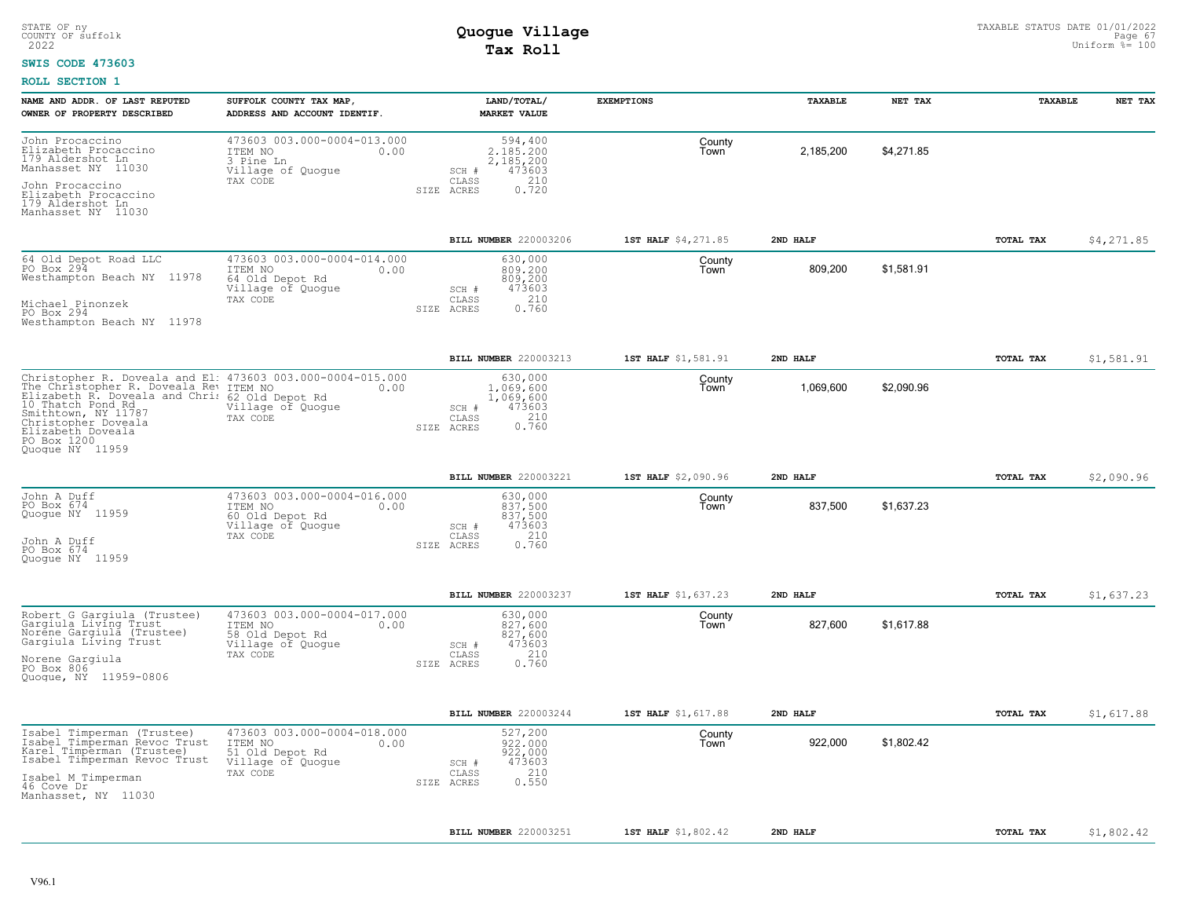### **SWIS CODE 473603**

| OWNER OF PROPERTY DESCRIBED<br>ADDRESS AND ACCOUNT IDENTIF.<br><b>MARKET VALUE</b><br>473603 003.000-0004-013.000<br>John Procaccino<br>594,400<br>County<br>Elizabeth Procaccino<br>\$4,271.85<br>2,185,200<br>ITEM NO<br>0.00<br>2,185,200<br>Town<br>179 Aldershot Ln<br>3 Pine Ln<br>2,185,200<br>Manhasset NY 11030<br>473603<br>Village of Quogue<br>SCH #<br>210<br>$\mathtt{CLASS}$<br>TAX CODE<br>John Procaccino<br>0.720<br>SIZE ACRES<br>Elizabeth Procaccino<br>179 Aldershot Ln<br>Manhasset NY 11030 | \$4,271.85 |
|---------------------------------------------------------------------------------------------------------------------------------------------------------------------------------------------------------------------------------------------------------------------------------------------------------------------------------------------------------------------------------------------------------------------------------------------------------------------------------------------------------------------|------------|
|                                                                                                                                                                                                                                                                                                                                                                                                                                                                                                                     |            |
|                                                                                                                                                                                                                                                                                                                                                                                                                                                                                                                     |            |
| BILL NUMBER 220003206<br>1ST HALF \$4,271.85<br>2ND HALF<br>TOTAL TAX                                                                                                                                                                                                                                                                                                                                                                                                                                               |            |
| 473603 003.000-0004-014.000<br>64 Old Depot Road LLC<br>630,000<br>County<br>PO Box 294<br>809,200<br>\$1,581.91<br>ITEM NO<br>0.00<br>809,200<br>809,200<br>Town<br>Westhampton Beach NY 11978<br>64 Old Depot Rd<br>473603<br>Village of Quogue<br>SCH #<br>210<br>CLASS<br>TAX CODE<br>Michael Pinonzek<br>0.760<br>SIZE ACRES<br>PO Box 294<br>Westhampton Beach NY 11978                                                                                                                                       |            |
| <b>BILL NUMBER 220003213</b><br>1ST HALF \$1,581.91<br>2ND HALF<br>TOTAL TAX                                                                                                                                                                                                                                                                                                                                                                                                                                        | \$1,581.91 |
| Christopher R. Doveala and El: 473603 003.000-0004-015.000<br>630,000<br>County<br>The Christopher R. Doveala Rev ITEM NO<br>Elizabeth R. Doveala Rev ITEM NO<br>Elizabeth R. Doveala and Chris 62 Old Depot Rd<br>10 Thatch Pond Rd<br>\$2,090.96<br>1,069,600<br>1,069,600<br>0.00<br>Town<br>1,069,600<br>473603<br>Village of Quogue<br>SCH #<br>Smithtown, NY 11787<br>0.760<br>CLASS<br>TAX CODE<br>Christopher Doveala<br>SIZE ACRES<br>Elizabeth Doveala<br>Quoque NY 11959                                 |            |
| BILL NUMBER 220003221<br>1ST HALF \$2,090.96<br>2ND HALF<br>TOTAL TAX                                                                                                                                                                                                                                                                                                                                                                                                                                               | \$2,090.96 |
| 473603 003.000-0004-016.000<br>630,000<br>John A Duff<br>County<br>PO Box 674<br>837,500<br>\$1,637.23<br>837,500<br>837,500<br>ITEM NO<br>0.00<br>Town<br>Quogue NY 11959<br>60 Old Depot Rd<br>Village of Quogue<br>473603<br>SCH #<br>TAX CODE<br>CLASS<br>210<br>John A Duff<br>0.760<br>SIZE ACRES<br>PO Box 674<br>Quoque NY 11959                                                                                                                                                                            |            |
| BILL NUMBER 220003237<br>1ST HALF \$1,637.23<br>2ND HALF<br>TOTAL TAX                                                                                                                                                                                                                                                                                                                                                                                                                                               | \$1,637.23 |
| 473603 003.000-0004-017.000<br>Robert G Gargiula (Trustee)<br>630,000<br>County<br>Gargiula Livíng Trust<br>Norene Gargiula (Trustee)<br>\$1,617.88<br>827,600<br>827,600<br>ITEM NO<br>0.00<br>Town<br>827,600<br>58 Old Depot Rd<br>Gargiula Living Trust<br>473603<br>Village of Quogue<br>SCH #<br>210<br>TAX CODE<br>CLASS<br>Norene Gargiula<br>PO Box 806<br>SIZE ACRES<br>0.760<br>Quogue, NY 11959-0806                                                                                                    |            |
| <b>BILL NUMBER</b> 220003244<br>1ST HALF \$1,617.88<br>2ND HALF<br>TOTAL TAX                                                                                                                                                                                                                                                                                                                                                                                                                                        | \$1,617.88 |
| 473603 003.000-0004-018.000<br>Isabel Timperman (Trustee)<br>527,200<br>County<br>Isabel Timperman Revoc Trust<br>922,000<br>922,000<br>\$1,802.42<br>ITEM NO<br>0.00<br>Town<br>Karel Timperman (Trustee)<br>922,000<br>51 Old Depot Rd<br>Isabel Timperman Revoc Trust<br>473603<br>Village of Quogue<br>SCH #<br>210<br>TAX CODE<br>CLASS<br>Isabel M Timperman<br>0.550<br>SIZE ACRES<br>46 Cove Dr<br>Manhasset, NY 11030                                                                                      |            |
| <b>BILL NUMBER 220003251</b><br>1ST HALF \$1,802.42<br>2ND HALF<br>TOTAL TAX                                                                                                                                                                                                                                                                                                                                                                                                                                        | \$1,802.42 |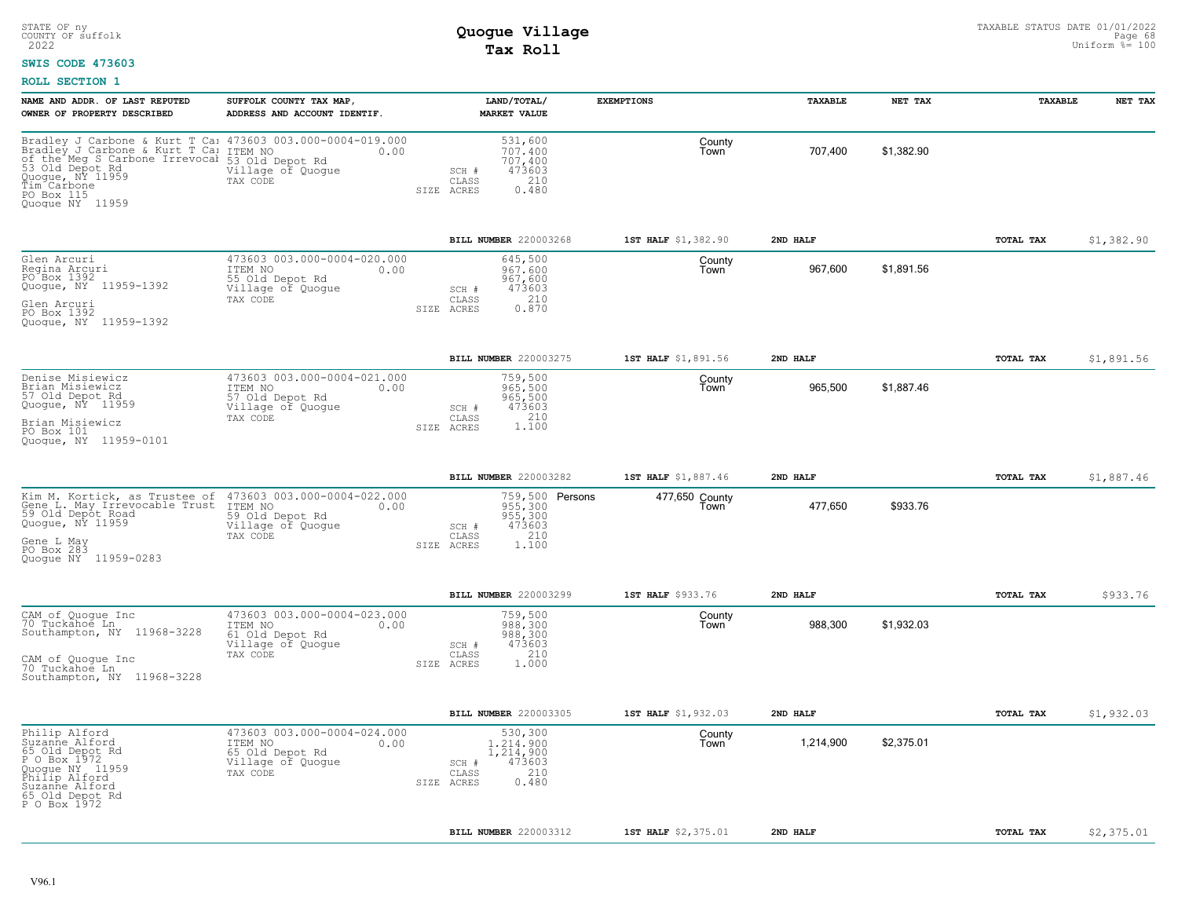### **SWIS CODE 473603**

| NAME AND ADDR. OF LAST REPUTED<br>OWNER OF PROPERTY DESCRIBED                                                                                                                                                                      | SUFFOLK COUNTY TAX MAP,<br>ADDRESS AND ACCOUNT IDENTIF.                                            | LAND/TOTAL/<br><b>MARKET VALUE</b>                                                              | <b>EXEMPTIONS</b>      | <b><i>TAXABLE</i></b> | NET TAX    | <b>TAXABLE</b> | NET TAX    |
|------------------------------------------------------------------------------------------------------------------------------------------------------------------------------------------------------------------------------------|----------------------------------------------------------------------------------------------------|-------------------------------------------------------------------------------------------------|------------------------|-----------------------|------------|----------------|------------|
| Bradley J Carbone & Kurt T Ca: 473603 003.000-0004-019.000<br>Bradley J Carbone & Kurt T Ca: ITEM NO 0.00<br>of the Meg S Carbone Irrevocal<br>53 Old Depot Rd<br>Quogue, NY 11959<br>Tim Carbone<br>PO Box 115<br>Quoque NY 11959 | 53 Old Depot Rd<br>Village of Quogue<br>TAX CODE                                                   | 531,600<br>707.400<br>707,400<br>473603<br>SCH #<br>210<br>CLASS<br>0.480<br>SIZE ACRES         | County<br>Town         | 707,400               | \$1,382.90 |                |            |
|                                                                                                                                                                                                                                    |                                                                                                    | BILL NUMBER 220003268                                                                           | 1ST HALF \$1,382.90    | 2ND HALF              |            | TOTAL TAX      | \$1,382.90 |
| Glen Arcuri<br>Regina Arcuri<br>PO Box 1392<br>Quogue, NY 11959-1392<br>Glen Arcuri<br>PO Box 1392<br>Quoque, NY 11959-1392                                                                                                        | 473603 003.000-0004-020.000<br>ITEM NO<br>0.00<br>55 Old Depot Rd<br>Village of Quogue<br>TAX CODE | 645,500<br>967.600<br>967,600<br>473603<br>SCH #<br>210<br>CLASS<br>0.870<br>SIZE ACRES         | County<br>Town         | 967,600               | \$1.891.56 |                |            |
|                                                                                                                                                                                                                                    |                                                                                                    | BILL NUMBER 220003275                                                                           | 1ST HALF \$1,891.56    | 2ND HALF              |            | TOTAL TAX      | \$1,891.56 |
| Denise Misiewicz<br>Brian Misiewicz<br>57 Old Depot Rd<br>Quoque, NY 11959<br>Brian Misiewicz<br>PO Box 101<br>11959-0101<br>Quoque, NY                                                                                            | 473603 003.000-0004-021.000<br>ITEM NO<br>0.00<br>57 Old Depot Rd<br>Village of Quogue<br>TAX CODE | 759,500<br>965,500<br>965,500<br>473603<br>SCH #<br>1.100<br>CLASS<br>SIZE ACRES                | County<br>Town         | 965,500               | \$1,887.46 |                |            |
|                                                                                                                                                                                                                                    |                                                                                                    | BILL NUMBER 220003282                                                                           | 1ST HALF \$1,887.46    | 2ND HALF              |            | TOTAL TAX      | \$1,887.46 |
| Kim M. Kortick, as Trustee of<br>Gene L. May Irrevocable Trust<br>59 Old Depot Road<br>Quogue, NY 11959<br>Gene L May<br>PO Box 283<br>Quoque NY 11959-0283                                                                        | 473603 003.000-0004-022.000<br>ITEM NO<br>0.00<br>59 Old Depot Rd<br>Village of Quogue<br>TAX CODE | 759,500 Persons<br>955,300<br>955,300<br>473603<br>SCH #<br>210<br>CLASS<br>SIZE ACRES<br>1.100 | 477,650 County<br>Town | 477,650               | \$933.76   |                |            |
|                                                                                                                                                                                                                                    |                                                                                                    | BILL NUMBER 220003299                                                                           | 1ST HALF \$933.76      | 2ND HALF              |            | TOTAL TAX      | \$933.76   |
| CAM of Quoque Inc<br>70 Tuckahoe Ln<br>Southampton, NY 11968-3228<br>CAM of Quoque Inc<br>70 Tuckahoe Ln<br>Southampton, NY 11968-3228                                                                                             | 473603 003.000-0004-023.000<br>ITEM NO<br>0.00<br>61 Old Depot Rd<br>Village of Quogue<br>TAX CODE | 759,500<br>988, 300<br>988, 300<br>473603<br>SCH #<br>210<br>CLASS<br>1,000<br>SIZE ACRES       | County<br>Town         | 988,300               | \$1,932.03 |                |            |
|                                                                                                                                                                                                                                    |                                                                                                    | BILL NUMBER 220003305                                                                           | 1ST HALF \$1,932.03    | 2ND HALF              |            | TOTAL TAX      | \$1,932.03 |
| Philip Alford<br>Suzanne Alford<br>65 Old Depot Rd<br>P O Box 1972<br>Quoque NY 11959<br>Philip Alford<br>Suzanne Alford<br>65 Old Depot Rd<br>P O Box 1972                                                                        | 473603 003.000-0004-024.000<br>ITEM NO<br>0.00<br>65 Old Depot Rd<br>Village of Quogue<br>TAX CODE | 530,300<br>1,214,900<br>1,214,900<br>473603<br>SCH #<br>210<br>CLASS<br>0.480<br>SIZE ACRES     | County<br>Town         | 1,214,900             | \$2,375.01 |                |            |
|                                                                                                                                                                                                                                    |                                                                                                    | BILL NUMBER 220003312                                                                           | 1ST HALF \$2,375.01    | 2ND HALF              |            | TOTAL TAX      | \$2,375.01 |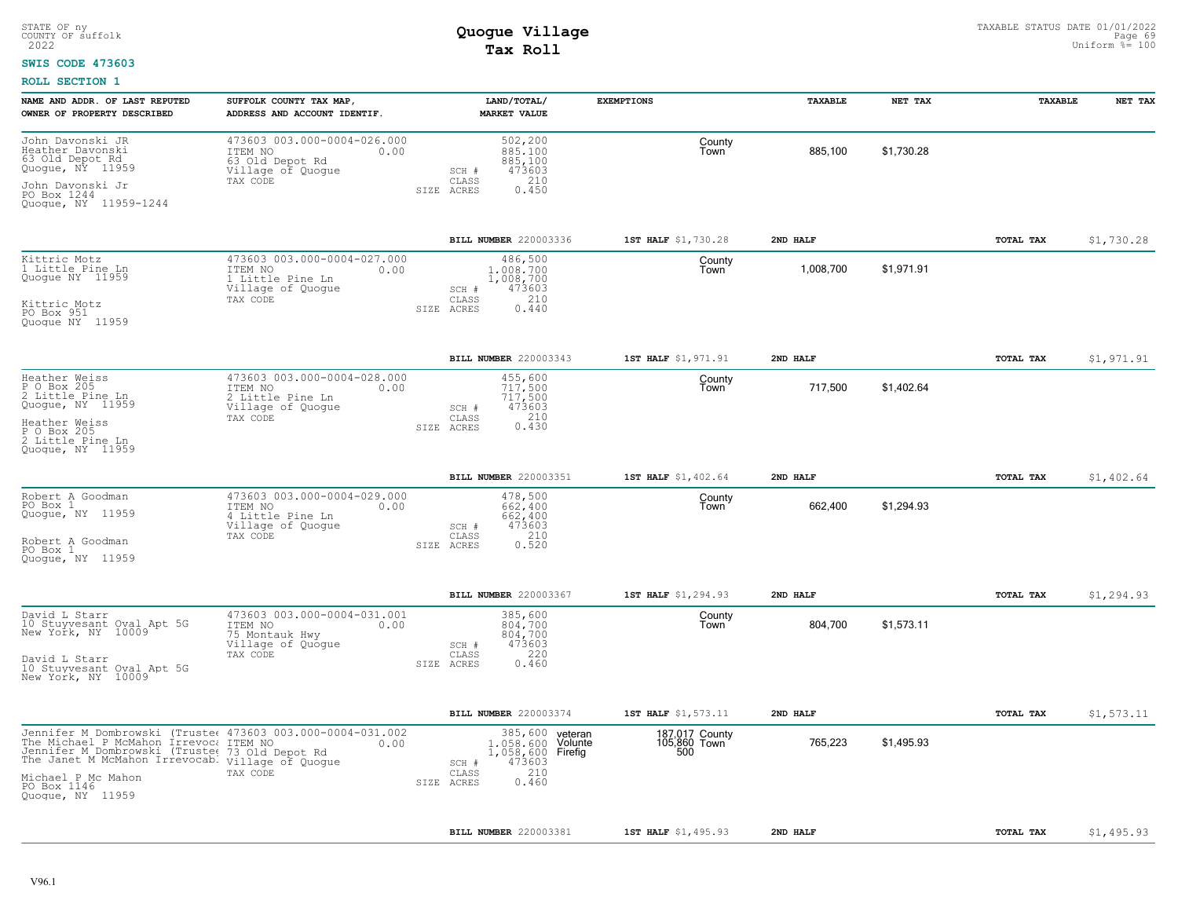### **SWIS CODE 473603**

| NAME AND ADDR. OF LAST REPUTED<br>OWNER OF PROPERTY DESCRIBED                                                                                                                                                                                                       | SUFFOLK COUNTY TAX MAP,<br>ADDRESS AND ACCOUNT IDENTIF.                                             | LAND/TOTAL/<br><b>MARKET VALUE</b>                                                                                        | <b>EXEMPTIONS</b>                     | TAXABLE   | NET TAX    | TAXABLE   | NET TAX    |
|---------------------------------------------------------------------------------------------------------------------------------------------------------------------------------------------------------------------------------------------------------------------|-----------------------------------------------------------------------------------------------------|---------------------------------------------------------------------------------------------------------------------------|---------------------------------------|-----------|------------|-----------|------------|
| John Davonski JR<br>Heather Davonski<br>63 Old Depot Rd<br>Quogue, NY 11959<br>John Davonski Jr<br>PO Box 1244<br>Quogue, NY 11959-1244                                                                                                                             | 473603 003.000-0004-026.000<br>ITEM NO<br>0.00<br>63 Old Depot Rd<br>Village of Quogue<br>TAX CODE  | 502,200<br>885,100<br>885,100<br>473603<br>SCH #<br>210<br>CLASS<br>SIZE ACRES<br>0.450                                   | County<br>l own                       | 885,100   | \$1,730.28 |           |            |
|                                                                                                                                                                                                                                                                     |                                                                                                     | BILL NUMBER 220003336                                                                                                     | 1ST HALF \$1,730.28                   | 2ND HALF  |            | TOTAL TAX | \$1,730.28 |
| Kittric Motz<br>1 Little Pine Ln<br>Quoque NY 11959<br>Kittric Motz<br>PO Box 951<br>Quoque NY 11959                                                                                                                                                                | 473603 003.000-0004-027.000<br>ITEM NO<br>0.00<br>1 Little Pine Ln<br>Village of Quogue<br>TAX CODE | 486,500<br>1,008,700<br>1,008,700<br>473603<br>SCH #<br>210<br>CLASS<br>SIZE ACRES<br>0.440                               | County<br>Town                        | 1,008,700 | \$1,971.91 |           |            |
|                                                                                                                                                                                                                                                                     |                                                                                                     | BILL NUMBER 220003343                                                                                                     | 1ST HALF \$1,971.91                   | 2ND HALF  |            | TOTAL TAX | \$1,971.91 |
| Heather Weiss<br>P O Box 205<br>2 Little Pine Ln<br>Quogue, NY 11959<br>Heather Weiss<br>P O Box 205<br>2 Little Pine Ln<br>Quoque, NY 11959                                                                                                                        | 473603 003.000-0004-028.000<br>ITEM NO<br>0.00<br>2 Little Pine Ln<br>Village of Quogue<br>TAX CODE | 455,600<br>717,500<br>717,500<br>473603<br>SCH #<br>0.430<br>CLASS<br>SIZE ACRES                                          | County<br>Town                        | 717,500   | \$1,402.64 |           |            |
|                                                                                                                                                                                                                                                                     |                                                                                                     | BILL NUMBER 220003351                                                                                                     | 1ST HALF \$1,402.64                   | 2ND HALF  |            | TOTAL TAX | \$1,402.64 |
| Robert A Goodman<br>PO Box 1<br>Quogue, NY 11959<br>Robert A Goodman<br>PO Box 1<br>Quoque, NY 11959                                                                                                                                                                | 473603 003.000-0004-029.000<br>ITEM NO<br>0.00<br>4 Little Pine Ln<br>Village of Quogue<br>TAX CODE | 478,500<br>662,400<br>662,400<br>473603<br>SCH #<br>210<br>CLASS<br>0.520<br>SIZE ACRES                                   | County<br>Town                        | 662,400   | \$1,294.93 |           |            |
|                                                                                                                                                                                                                                                                     |                                                                                                     | BILL NUMBER 220003367                                                                                                     | 1ST HALF \$1,294.93                   | 2ND HALF  |            | TOTAL TAX | \$1,294.93 |
| David L Starr<br>10 Stuyvesant Oval Apt 5G<br>New York, NY 10009<br>David L Starr<br>10 Stuyvesant Oval Apt 5G<br>New York, NY 10009                                                                                                                                | 473603 003.000-0004-031.001<br>ITEM NO<br>0.00<br>75 Montauk Hwy<br>Village of Quogue<br>TAX CODE   | 385,600<br>804,700<br>804,700<br>473603<br>SCH #<br>220<br>CLASS<br>0.460<br>SIZE ACRES                                   | County<br>Town                        | 804,700   | \$1,573.11 |           |            |
|                                                                                                                                                                                                                                                                     |                                                                                                     | BILL NUMBER 220003374                                                                                                     | 1ST HALF \$1,573.11                   | 2ND HALF  |            | TOTAL TAX | \$1,573.11 |
| Jennifer M Dombrowski (Truste: 473603 003.000-0004-031.002<br>The Michael P McMahon Irrevoc: ITEM NO<br>Jennifer M Dombrowski (Truster 73 01d Depot Rd<br>The Janet M McMahon Irrevocab. village of Quogue<br>Michael P Mc Mahon<br>PO Box 1146<br>Quoque, NY 11959 | 0.00<br>TAX CODE                                                                                    | 385,600<br>veteran<br>1,058,600<br>Volunte<br>1,058,600 Firefig<br>473603<br>SCH #<br>210<br>CLASS<br>0.460<br>SIZE ACRES | 187,017 County<br>105,860 Town<br>500 | 765,223   | \$1,495.93 |           |            |
|                                                                                                                                                                                                                                                                     |                                                                                                     | BILL NUMBER 220003381                                                                                                     | 1ST HALF \$1,495.93                   | 2ND HALF  |            | TOTAL TAX | \$1,495.93 |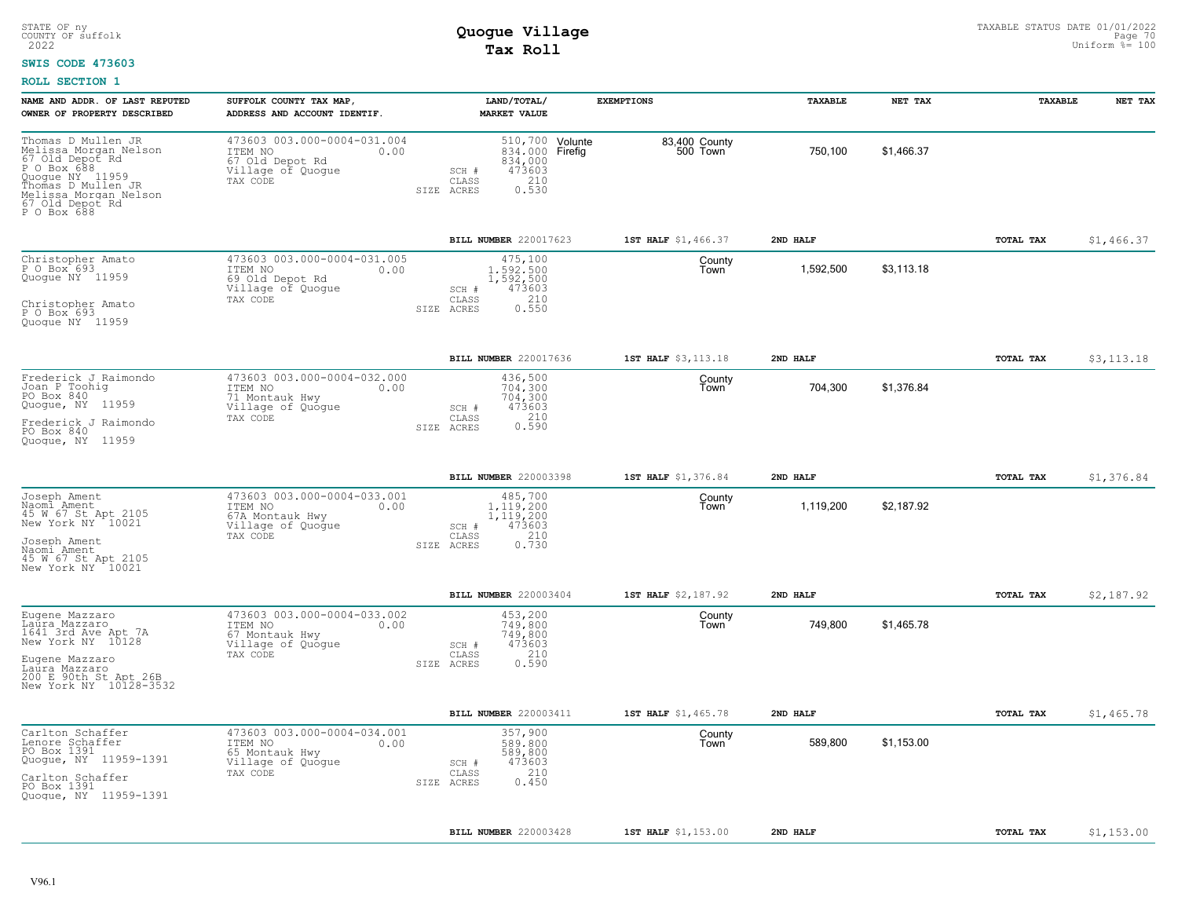#### **SWIS CODE 473603**

| NAME AND ADDR. OF LAST REPUTED<br>OWNER OF PROPERTY DESCRIBED                                                                                                                     | SUFFOLK COUNTY TAX MAP,<br>ADDRESS AND ACCOUNT IDENTIF.                                            | LAND/TOTAL/<br><b>MARKET VALUE</b>                                                                         | <b>EXEMPTIONS</b>         | TAXABLE   | NET TAX    | TAXABLE          | NET TAX    |
|-----------------------------------------------------------------------------------------------------------------------------------------------------------------------------------|----------------------------------------------------------------------------------------------------|------------------------------------------------------------------------------------------------------------|---------------------------|-----------|------------|------------------|------------|
| Thomas D Mullen JR<br>Melissa Morgan Nelson<br>67 Old Depoť Rd<br>P O Box 688<br>Quogue NY 11959<br>Thomas D Mullen JR<br>Melissa Morgan Nelson<br>67 Old Depot Rd<br>P O Box 688 | 473603 003.000-0004-031.004<br>ITEM NO<br>0.00<br>67 Old Depot Rd<br>Village of Quogue<br>TAX CODE | 510,700 Volunte<br>834,000 Firefig<br>834,000<br>473603<br>SCH #<br>210<br>CLASS<br>0.530<br>SIZE<br>ACRES | 83,400 County<br>500 Town | 750,100   | \$1,466.37 |                  |            |
|                                                                                                                                                                                   |                                                                                                    | BILL NUMBER 220017623                                                                                      | 1ST HALF \$1,466.37       | 2ND HALF  |            | TOTAL TAX        | \$1,466.37 |
| Christopher Amato<br>P O Box 693<br>Quogue NY 11959<br>Christopher Amato<br>P O Box 693<br>Quogue NY 11959                                                                        | 473603 003.000-0004-031.005<br>ITEM NO<br>0.00<br>69 Old Depot Rd<br>Village of Quogue<br>TAX CODE | 475,100<br>1,592,500<br>1,592,500<br>473603<br>SCH #<br>210<br>CLASS<br>0.550<br>SIZE ACRES                | County<br>Town            | 1,592,500 | \$3,113.18 |                  |            |
|                                                                                                                                                                                   |                                                                                                    | BILL NUMBER 220017636                                                                                      | 1ST HALF \$3,113.18       | 2ND HALF  |            | <b>TOTAL TAX</b> | \$3,113.18 |
| Frederick J Raimondo<br>Joan P Toohig<br>PO Box 840<br>Quogue, NY 11959<br>Frederick J Raimondo<br>PO Box 840<br>Quoque, NY 11959                                                 | 473603 003.000-0004-032.000<br>ITEM NO<br>0.00<br>71 Montauk Hwy<br>Village of Quoque<br>TAX CODE  | 436,500<br>704.300<br>704,300<br>473603<br>SCH #<br>210<br>CLASS<br>0.590<br>SIZE ACRES                    | County<br>Town            | 704,300   | \$1,376.84 |                  |            |
|                                                                                                                                                                                   |                                                                                                    | BILL NUMBER 220003398                                                                                      | 1ST HALF \$1,376.84       | 2ND HALF  |            | <b>TOTAL TAX</b> | \$1,376.84 |
| Joseph Ament<br>Naomi Ament<br>45 W 67 St Apt 2105<br>New York NY 10021<br>Joseph Ament<br>Naomi Ament<br>45 W 67 St Apt 2105<br>New York NY 10021                                | 473603 003.000-0004-033.001<br>ITEM NO<br>0.00<br>67A Montauk Hwy<br>Village of Quogue<br>TAX CODE | 485,700<br>1.119.200<br>1,119,200<br>473603<br>SCH #<br>210<br>CLASS<br>SIZE ACRES<br>0.730                | County<br>Town            | 1,119,200 | \$2,187.92 |                  |            |
|                                                                                                                                                                                   |                                                                                                    | BILL NUMBER 220003404                                                                                      | 1ST HALF \$2,187.92       | 2ND HALF  |            | TOTAL TAX        | \$2,187.92 |
| Eugene Mazzaro<br>Laura Mazzaro<br>1641 3rd Ave Apt 7A<br>New York NY 10128<br>Eugene Mazzaro<br>Laura Mazzaro<br>200 E 90th St Apt 26B<br>New York NY 10128-3532                 | 473603 003.000-0004-033.002<br>ITEM NO<br>0.00<br>67 Montauk Hwy<br>Village of Quogue<br>TAX CODE  | 453,200<br>749,800<br>749,800<br>473603<br>SCH #<br>210<br>CLASS<br>0.590<br>SIZE ACRES                    | County<br>Town            | 749,800   | \$1,465.78 |                  |            |
|                                                                                                                                                                                   |                                                                                                    | BILL NUMBER 220003411                                                                                      | 1ST HALF \$1,465.78       | 2ND HALF  |            | TOTAL TAX        | \$1,465.78 |
| Carlton Schaffer<br>Lenore Schaffer<br>PO Box 1391<br>Quogue, NY 11959-1391<br>Carlton Schaffer<br>PO Box 1391<br>Quogue, NY 11959-1391                                           | 473603 003.000-0004-034.001<br>ITEM NO<br>0.00<br>65 Montauk Hwy<br>Village of Quogue<br>TAX CODE  | 357,900<br>589,800<br>589,800<br>473603<br>SCH #<br>210<br>CLASS<br>0.450<br>SIZE ACRES                    | County<br>Town            | 589,800   | \$1,153.00 |                  |            |
|                                                                                                                                                                                   |                                                                                                    | BILL NUMBER 220003428                                                                                      | 1ST HALF \$1,153.00       | 2ND HALF  |            | TOTAL TAX        | \$1,153.00 |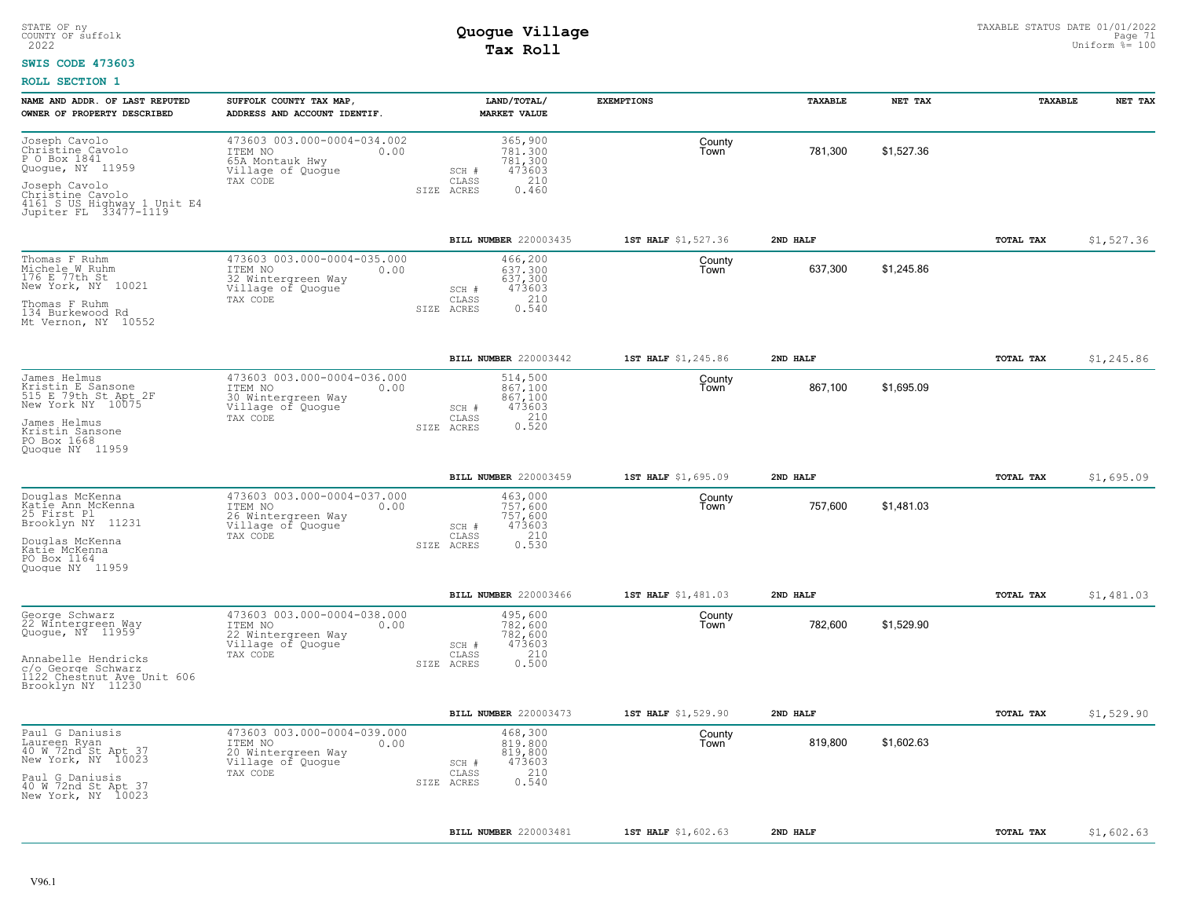#### **SWIS CODE 473603**

| NAME AND ADDR. OF LAST REPUTED<br>OWNER OF PROPERTY DESCRIBED                                                                                                      | SUFFOLK COUNTY TAX MAP,<br>ADDRESS AND ACCOUNT IDENTIF.                                               | LAND/TOTAL/<br><b>MARKET VALUE</b>                                                      | <b>EXEMPTIONS</b>   | TAXABLE  | NET TAX    | TAXABLE          | NET TAX    |
|--------------------------------------------------------------------------------------------------------------------------------------------------------------------|-------------------------------------------------------------------------------------------------------|-----------------------------------------------------------------------------------------|---------------------|----------|------------|------------------|------------|
| Joseph Cavolo<br>Christine Cavolo<br>P O Box 1841<br>Quogue, NY 11959<br>Joseph Cavolo<br>Christine Cavolo<br>4161 S US Highway 1 Unit E4<br>Jupiter FL 33477-1119 | 473603 003.000-0004-034.002<br>ITEM NO<br>0.00<br>65A Montauk Hwy<br>Village of Quogue<br>TAX CODE    | 365,900<br>781,300<br>781,300<br>473603<br>SCH #<br>210<br>CLASS<br>SIZE ACRES<br>0.460 | County<br>Town      | 781,300  | \$1,527.36 |                  |            |
|                                                                                                                                                                    |                                                                                                       | BILL NUMBER 220003435                                                                   | 1ST HALF \$1,527.36 | 2ND HALF |            | <b>TOTAL TAX</b> | \$1,527.36 |
| Thomas F Ruhm<br>Michele W Ruhm<br>176 E 77th St<br>New York, NY 10021<br>Thomas F Ruhm<br>134 Burkewood Rd<br>Mt Vernon, NY 10552                                 | 473603 003.000-0004-035.000<br>ITEM NO<br>0.00<br>32 Wintergreen Way<br>Village of Quoque<br>TAX CODE | 466,200<br>637,300<br>637,300<br>473603<br>SCH #<br>210<br>CLASS<br>0.540<br>SIZE ACRES | County<br>Town      | 637,300  | \$1,245.86 |                  |            |
|                                                                                                                                                                    |                                                                                                       | BILL NUMBER 220003442                                                                   | 1ST HALF \$1,245.86 | 2ND HALF |            | <b>TOTAL TAX</b> | \$1,245.86 |
| James Helmus<br>Kristin E Sansone<br>515 E 79th St Apt 2F<br>New York NY 10075<br>James Helmus<br>Kristin Sansone<br>PO Box 1668<br>Quoque NY 11959                | 473603 003.000-0004-036.000<br>ITEM NO<br>0.00<br>30 Wintergreen Way<br>Village of Quoque<br>TAX CODE | 514,500<br>867,100<br>867,100<br>473603<br>SCH #<br>0.210<br>CLASS<br>SIZE ACRES        | County<br>Town      | 867,100  | \$1,695.09 |                  |            |
|                                                                                                                                                                    |                                                                                                       | BILL NUMBER 220003459                                                                   | 1ST HALF \$1,695.09 | 2ND HALF |            | TOTAL TAX        | \$1,695.09 |
| Douglas McKenna<br>Katie Ann McKenna<br>25 First Pl<br>Brooklyn NY 11231<br>Douglas McKenna<br>Katie McKenna<br>PO Box 1164<br>Quoque NY 11959                     | 473603 003.000-0004-037.000<br>ITEM NO<br>0.00<br>26 Wintergreen Way<br>Village of Quogue<br>TAX CODE | 463,000<br>757,600<br>757,600<br>SCH #<br>473603<br>210<br>CLASS<br>0.530<br>SIZE ACRES | County<br>Town      | 757,600  | \$1,481.03 |                  |            |
|                                                                                                                                                                    |                                                                                                       | BILL NUMBER 220003466                                                                   | 1ST HALF \$1,481.03 | 2ND HALF |            | TOTAL TAX        | \$1,481.03 |
| George Schwarz<br>22 Wintergreen Way<br>Quogue, NY 11959<br>Annabelle Hendricks<br>c/o George Schwarz<br>1122 Chestnut Ave Unit 606<br>Brooklyn NY 11230           | 473603 003.000-0004-038.000<br>ITEM NO<br>0.00<br>22 Wintergreen Way<br>Village of Quogue<br>TAX CODE | 495,600<br>782,600<br>782,600<br>473603<br>SCH #<br>210<br>CLASS<br>0.500<br>SIZE ACRES | County<br>Town      | 782,600  | \$1,529.90 |                  |            |
|                                                                                                                                                                    |                                                                                                       | BILL NUMBER 220003473                                                                   | 1ST HALF \$1,529.90 | 2ND HALF |            | TOTAL TAX        | \$1,529.90 |
| Paul G Daniusis<br>Laureen Ryan<br>40 W 72nd St Apt 37<br>New York, NY 10023<br>Paul G Daniusis<br>40 W 72nd St Apt 37<br>New York, NY 10023                       | 473603 003.000-0004-039.000<br>ITEM NO<br>0.00<br>20 Wintergreen Way<br>Village of Quogue<br>TAX CODE | 468,300<br>819,800<br>819,800<br>473603<br>SCH #<br>210<br>CLASS<br>SIZE ACRES<br>0.540 | County<br>Town      | 819,800  | \$1,602.63 |                  |            |
|                                                                                                                                                                    |                                                                                                       | BILL NUMBER 220003481                                                                   | 1ST HALF \$1,602.63 | 2ND HALF |            | TOTAL TAX        | \$1,602.63 |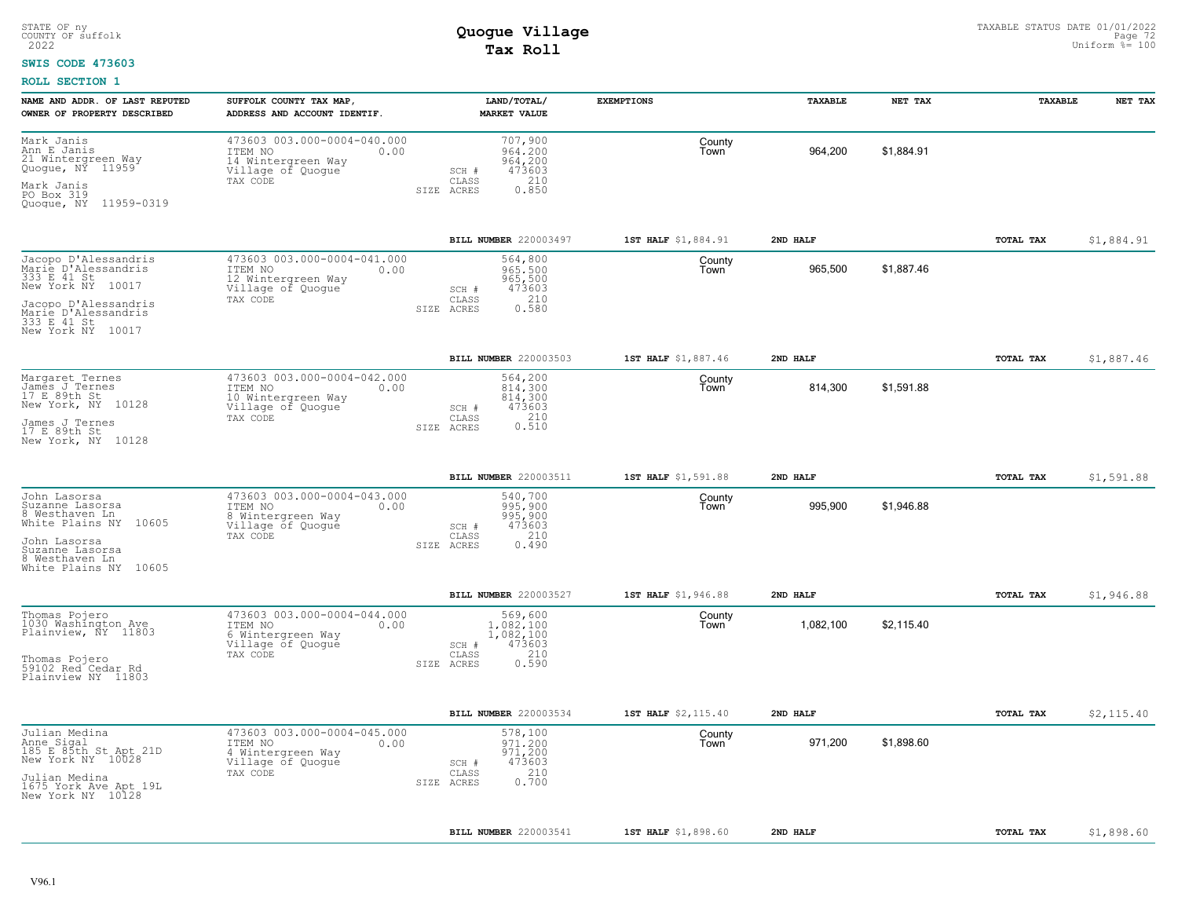#### **SWIS CODE 473603**

| NAME AND ADDR. OF LAST REPUTED<br>OWNER OF PROPERTY DESCRIBED                                                                                                         | SUFFOLK COUNTY TAX MAP,<br>ADDRESS AND ACCOUNT IDENTIF.                                               | LAND/TOTAL/<br><b>MARKET VALUE</b>                                                          | <b>EXEMPTIONS</b>   | TAXABLE   | NET TAX    | TAXABLE   | NET TAX    |
|-----------------------------------------------------------------------------------------------------------------------------------------------------------------------|-------------------------------------------------------------------------------------------------------|---------------------------------------------------------------------------------------------|---------------------|-----------|------------|-----------|------------|
| Mark Janis<br>Ann E Janis<br>21 Wintergreen Way<br>Quogue, NY 11959<br>Mark Janis<br>PO Box 319<br>Quogue, NY 11959-0319                                              | 473603 003.000-0004-040.000<br>ITEM NO<br>0.00<br>14 Wintergreen Way<br>Village of Quogue<br>TAX CODE | 707,900<br>964.200<br>964,200<br>473603<br>SCH #<br>210<br>CLASS<br>0.850<br>SIZE ACRES     | County<br>Town      | 964,200   | \$1,884.91 |           |            |
|                                                                                                                                                                       |                                                                                                       | BILL NUMBER 220003497                                                                       | 1ST HALF \$1,884.91 | 2ND HALF  |            | TOTAL TAX | \$1,884.91 |
| Jacopo D'Alessandris<br>Marie D'Alessandris<br>333 E 41 St<br>New York NY 10017<br>Jacopo D'Alessandris<br>Marie D'Alessandris<br>333 E 41 St<br>New York NY<br>10017 | 473603 003.000-0004-041.000<br>ITEM NO<br>0.00<br>12 Wintergreen Way<br>Village of Quogue<br>TAX CODE | 564,800<br>965,500<br>965,500<br>473603<br>SCH #<br>210<br>CLASS<br>0.580<br>SIZE ACRES     | County<br>Town      | 965,500   | \$1,887.46 |           |            |
|                                                                                                                                                                       |                                                                                                       | BILL NUMBER 220003503                                                                       | 1ST HALF \$1,887.46 | 2ND HALF  |            | TOTAL TAX | \$1,887.46 |
| Margaret Ternes<br>James J Ternes<br>17 E 89th St<br>New York, NY 10128<br>James J Ternes<br>17 E 89th St<br>New York, NY 10128                                       | 473603 003.000-0004-042.000<br>ITEM NO<br>0.00<br>10 Wintergreen Way<br>Village of Quogue<br>TAX CODE | 564,200<br>814,300<br>814,300<br>473603<br>SCH #<br>0.210<br>CLASS<br>SIZE ACRES            | County<br>Town      | 814,300   | \$1,591.88 |           |            |
|                                                                                                                                                                       |                                                                                                       | BILL NUMBER 220003511                                                                       | 1ST HALF \$1,591.88 | 2ND HALF  |            | TOTAL TAX | \$1,591.88 |
| John Lasorsa<br>Suzanne Lasorsa<br>8 Westhaven Ln<br>White Plains NY 10605<br>John Lasorsa<br>Suzanne Lasorsa<br>8 Westhaven Ln<br>White Plains NY 10605              | 473603 003.000-0004-043.000<br>ITEM NO<br>0.00<br>8 Wintergreen Way<br>Village of Quogue<br>TAX CODE  | 540,700<br>995,900<br>995,900<br>473603<br>SCH #<br>210<br>CLASS<br>0.490<br>SIZE ACRES     | County<br>Town      | 995,900   | \$1,946.88 |           |            |
|                                                                                                                                                                       |                                                                                                       | <b>BILL NUMBER 220003527</b>                                                                | 1ST HALF \$1,946.88 | 2ND HALF  |            | TOTAL TAX | \$1,946.88 |
| Thomas Pojero<br>1030 Washington Ave<br>Plainview, NY 11803<br>Thomas Pojero<br>59102 Red Cedar Rd<br>Plainview NY 11803                                              | 473603 003.000-0004-044.000<br>ITEM NO<br>0.00<br>6 Wintergreen Way<br>Village of Quogue<br>TAX CODE  | 569,600<br>1,082,100<br>1,082,100<br>473603<br>SCH #<br>210<br>CLASS<br>0.590<br>SIZE ACRES | County<br>Town      | 1,082,100 | \$2,115.40 |           |            |
|                                                                                                                                                                       |                                                                                                       | BILL NUMBER 220003534                                                                       | 1ST HALF \$2,115.40 | 2ND HALF  |            | TOTAL TAX | \$2,115.40 |
| Julian Medina<br>Anne Sigal<br>185 E 85th St Apt 21D<br>New York NY 10028<br>Julian Medina<br>1675 York Ave Apt 19L<br>New York NY 10128                              | 473603 003.000-0004-045.000<br>ITEM NO<br>0.00<br>4 Wintergreen Way<br>Village of Quogue<br>TAX CODE  | 578,100<br>971.200<br>971,200<br>473603<br>SCH #<br>210<br>CLASS<br>0.700<br>SIZE ACRES     | County<br>Town      | 971,200   | \$1,898.60 |           |            |
|                                                                                                                                                                       |                                                                                                       | BILL NUMBER 220003541                                                                       | 1ST HALF \$1,898.60 | 2ND HALF  |            | TOTAL TAX | \$1,898.60 |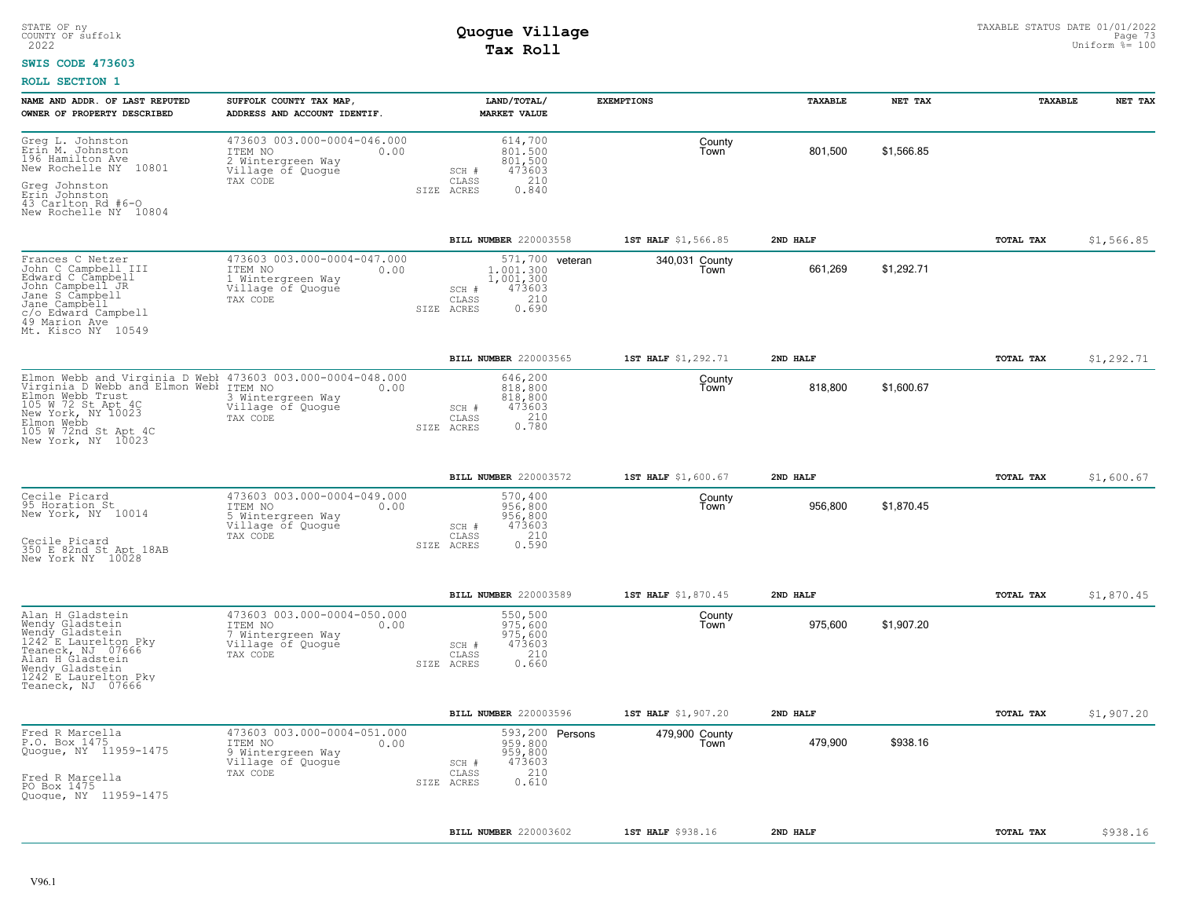#### **SWIS CODE 473603**

| NAME AND ADDR. OF LAST REPUTED<br>OWNER OF PROPERTY DESCRIBED                                                                                                                                                                         | SUFFOLK COUNTY TAX MAP,<br>ADDRESS AND ACCOUNT IDENTIF.                                              |                              | LAND/TOTAL/<br><b>MARKET VALUE</b>                                  | <b>EXEMPTIONS</b>      | <b>TAXABLE</b> | NET TAX    | <b>TAXABLE</b> | NET TAX    |
|---------------------------------------------------------------------------------------------------------------------------------------------------------------------------------------------------------------------------------------|------------------------------------------------------------------------------------------------------|------------------------------|---------------------------------------------------------------------|------------------------|----------------|------------|----------------|------------|
| Greg L. Johnston<br>Erin M. Johnston<br>196 Hamilton Ave<br>New Rochelle NY 10801<br>Greg Johnston<br>Erin Johnston<br>43 Carlton Rd #6-0                                                                                             | 473603 003.000-0004-046.000<br>ITEM NO<br>0.00<br>2 Wintergreen Way<br>Village of Quogue<br>TAX CODE | SCH #<br>CLASS<br>SIZE ACRES | 614,700<br>801,500<br>801,500<br>473603<br>210<br>0.840             | County<br>Town         | 801,500        | \$1,566.85 |                |            |
| New Rochelle NY 10804                                                                                                                                                                                                                 |                                                                                                      |                              |                                                                     |                        |                |            |                |            |
|                                                                                                                                                                                                                                       |                                                                                                      |                              | BILL NUMBER 220003558                                               | 1ST HALF \$1,566.85    | 2ND HALF       |            | TOTAL TAX      | \$1,566.85 |
| Frances C Netzer<br>John C Campbell III<br>Edward C Campbell<br>John Campbell JR<br>Jane S Campbell<br>Jane Campbell<br>c/o Edward Campbell<br>49 Marion Ave<br>Mt. Kisco NY 10549                                                    | 473603 003.000-0004-047.000<br>ITEM NO<br>0.00<br>1 Wintergreen Way<br>Village of Quoque<br>TAX CODE | SCH #<br>CLASS<br>SIZE ACRES | 571,700 veteran<br>1,001,300<br>1,001,300<br>473603<br>210<br>0.690 | 340,031 County<br>Town | 661,269        | \$1,292.71 |                |            |
|                                                                                                                                                                                                                                       |                                                                                                      |                              | BILL NUMBER 220003565                                               | 1ST HALF \$1,292.71    | 2ND HALF       |            | TOTAL TAX      | \$1,292.71 |
| Elmon Webb and Virginia D Webl 473603 003.000-0004-048.000<br>Virginia D Webb and Elmon Webl ITEM NO 0.00<br>Elmon Webb Trust<br>105 W 72 St Apt 4C<br>New York, NY 10023<br>Elmon Webb<br>105 W 72nd St Apt 4C<br>New York, NY 10023 | 3 Wintergreen Way<br>Village of Quogue<br>TAX CODE                                                   | SCH #<br>CLASS<br>SIZE ACRES | 646,200<br>818,800<br>818,800<br>473603<br>0.780                    | County<br>Town         | 818,800        | \$1,600.67 |                |            |
|                                                                                                                                                                                                                                       |                                                                                                      |                              | BILL NUMBER 220003572                                               | 1ST HALF \$1,600.67    | 2ND HALF       |            | TOTAL TAX      | \$1,600.67 |
| Cecile Picard<br>95 Horation St<br>New York, NY 10014<br>Cecile Picard<br>350 E 82nd St Apt 18AB<br>New York NY 10028                                                                                                                 | 473603 003.000-0004-049.000<br>ITEM NO<br>0.00<br>5 Wintergreen Way<br>Village of Quogue<br>TAX CODE | SCH #<br>CLASS<br>SIZE ACRES | 570,400<br>956,800<br>956,800<br>473603<br>210<br>0.590             | County<br>Town         | 956,800        | \$1,870.45 |                |            |
|                                                                                                                                                                                                                                       |                                                                                                      |                              | BILL NUMBER 220003589                                               | 1ST HALF \$1,870.45    | 2ND HALF       |            | TOTAL TAX      | \$1,870.45 |
| Alan H Gladstein<br>Wendy Gladstein<br>Wendy Gladstein<br>1242 <sup><math>\textdegree</math></sup> E Laurelton Pky<br>Teaneck, NJ 07666<br>Alan H Gladstein<br>Wendy Gladstein<br>1242 E Laurelton Pky<br>Teaneck, NJ 07666           | 473603 003.000-0004-050.000<br>ITEM NO<br>0.00<br>7 Wintergreen Way<br>Village of Quogue<br>TAX CODE | SCH #<br>CLASS<br>SIZE ACRES | 550,500<br>975,600<br>975,600<br>473603<br>210<br>0.660             | County<br>Town         | 975,600        | \$1,907.20 |                |            |
|                                                                                                                                                                                                                                       |                                                                                                      |                              | BILL NUMBER 220003596                                               | 1ST HALF \$1,907.20    | 2ND HALF       |            | TOTAL TAX      | \$1,907.20 |
| Fred R Marcella<br>P.O. Box 1475<br>Quogue, NY 11959-1475<br>Fred R Marcella<br>PO Box 1475<br>Quogue, NY 11959-1475                                                                                                                  | 473603 003.000-0004-051.000<br>ITEM NO<br>0.00<br>9 Wintergreen Way<br>Village of Quogue<br>TAX CODE | SCH #<br>CLASS<br>SIZE ACRES | 593,200 Persons<br>959,800<br>959,800<br>473603<br>210<br>0.610     | 479,900 County<br>Town | 479,900        | \$938.16   |                |            |
|                                                                                                                                                                                                                                       |                                                                                                      |                              | BILL NUMBER 220003602                                               | 1ST HALF \$938.16      | 2ND HALF       |            | TOTAL TAX      | \$938.16   |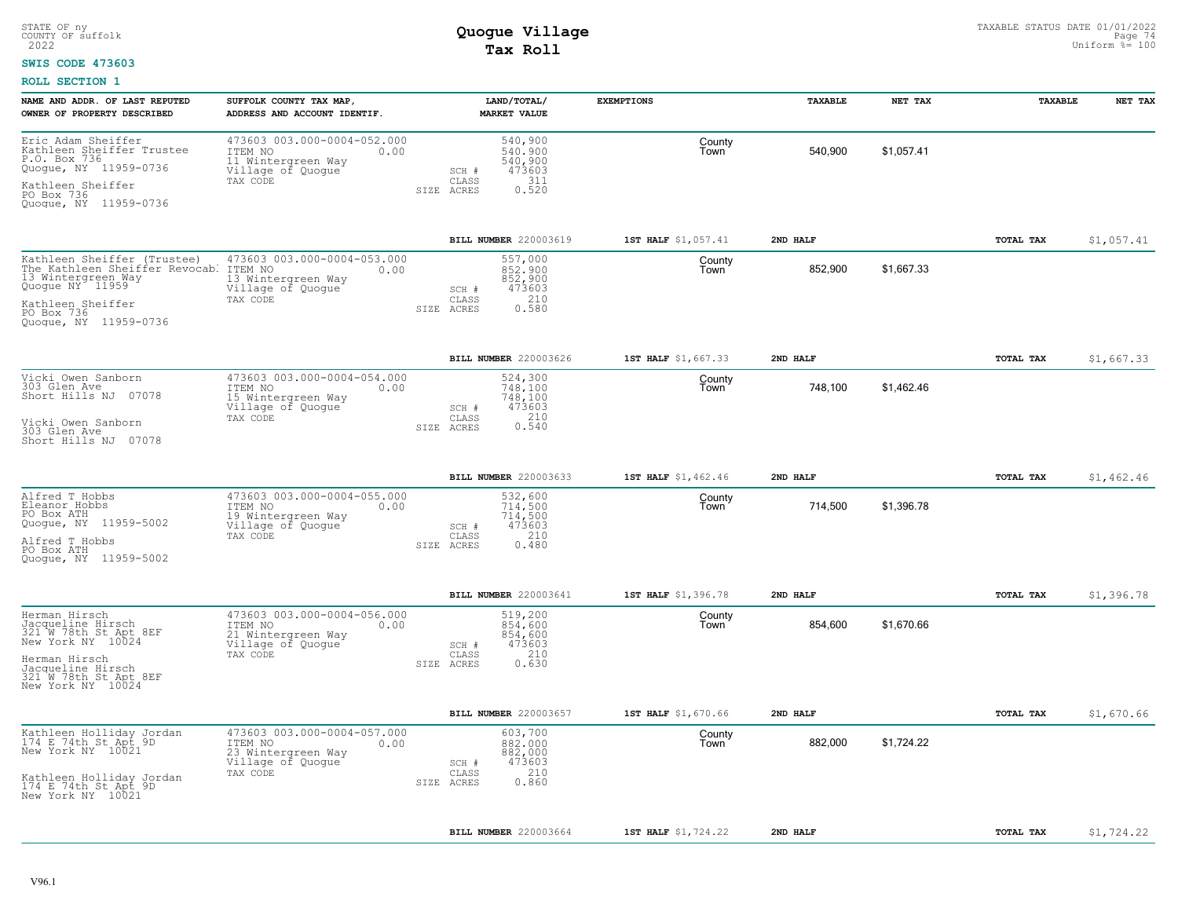### **SWIS CODE 473603**

| NAME AND ADDR. OF LAST REPUTED<br>OWNER OF PROPERTY DESCRIBED                                                                                                              | SUFFOLK COUNTY TAX MAP,<br>ADDRESS AND ACCOUNT IDENTIF.                                               | LAND/TOTAL/<br><b>MARKET VALUE</b>                                                          | <b>EXEMPTIONS</b>   | TAXABLE  | NET TAX    | TAXABLE   | NET TAX    |
|----------------------------------------------------------------------------------------------------------------------------------------------------------------------------|-------------------------------------------------------------------------------------------------------|---------------------------------------------------------------------------------------------|---------------------|----------|------------|-----------|------------|
| Eric Adam Sheiffer<br>Kathleen Sheiffer Trustee<br>P.O. Box 736<br>Quogue, NY 11959-0736<br>Kathleen Sheiffer<br>PO Box 736<br>Quogue, NY 11959-0736                       | 473603 003.000-0004-052.000<br>ITEM NO<br>0.00<br>11 Wintergreen Way<br>Village of Quogue<br>TAX CODE | 540,900<br>540,900<br>540,900<br>473603<br>SCH #<br>311<br>CLASS<br>0.520<br>SIZE ACRES     | County<br>Town      | 540,900  | \$1,057.41 |           |            |
|                                                                                                                                                                            |                                                                                                       | BILL NUMBER 220003619                                                                       | 1ST HALF \$1,057.41 | 2ND HALF |            | TOTAL TAX | \$1,057.41 |
| Kathleen Sheiffer (Trustee)<br>The Kathleen Sheiffer Revocab. ITEM NO<br>13 Wintergreen Way<br>Quogue NY 11959<br>Kathleen Sheiffer<br>PO Box 736<br>Quoque, NY 11959-0736 | 473603 003.000-0004-053.000<br>0.00<br>13 Wintergreen Way<br>Village of Quogue<br>TAX CODE            | 557,000<br>852,900<br>852,900<br>473603<br>SCH #<br>210<br>CLASS<br>0.580<br>SIZE ACRES     | County<br>Town      | 852,900  | \$1,667.33 |           |            |
|                                                                                                                                                                            |                                                                                                       | BILL NUMBER 220003626                                                                       | 1ST HALF \$1,667.33 | 2ND HALF |            | TOTAL TAX | \$1,667.33 |
| Vicki Owen Sanborn<br>303 Glen Ave<br>Short Hills NJ 07078<br>Vicki Owen Sanborn<br>303 Glen Ave<br>Short Hills NJ 07078                                                   | 473603 003.000-0004-054.000<br>ITEM NO<br>0.00<br>15 Wintergreen Way<br>Village of Quogue<br>TAX CODE | 524,300<br>748,100<br>748,100<br>473603<br>SCH #<br>0.310<br>CLASS<br>SIZE ACRES            | County<br>Town      | 748,100  | \$1,462.46 |           |            |
|                                                                                                                                                                            |                                                                                                       | BILL NUMBER 220003633                                                                       | 1ST HALF \$1,462.46 | 2ND HALF |            | TOTAL TAX | \$1,462.46 |
| Alfred T Hobbs<br>Eleanor Hobbs<br>PO Box ATH<br>Quogue, NY 11959-5002<br>Alfred T Hobbs<br>PO Box ATH<br>Quoque, NY 11959-5002                                            | 473603 003.000-0004-055.000<br>ITEM NO<br>0.00<br>19 Wintergreen Way<br>Village of Quogue<br>TAX CODE | 532,600<br>714,500<br>714,500<br>473603<br>SCH #<br>210<br>CLASS<br>SIZE ACRES<br>0.480     | County<br>Town      | 714,500  | \$1,396.78 |           |            |
|                                                                                                                                                                            |                                                                                                       | BILL NUMBER 220003641                                                                       | 1ST HALF \$1,396.78 | 2ND HALF |            | TOTAL TAX | \$1,396.78 |
| Herman Hirsch<br>Jacqueline Hirsch<br>321 W 78th St Apt 8EF<br>New York NY 10024<br>Herman Hirsch<br>Jacqueline Hirsch<br>321 W 78th St Apt 8EF<br>New York NY 10024       | 473603 003.000-0004-056.000<br>ITEM NO<br>0.00<br>21 Wintergreen Way<br>Village of Quogue<br>TAX CODE | 519,200<br>854,600<br>854,600<br>473603<br>SCH #<br>210<br>CLASS<br>0.630<br>SIZE ACRES     | County<br>Town      | 854,600  | \$1,670.66 |           |            |
|                                                                                                                                                                            |                                                                                                       | BILL NUMBER 220003657                                                                       | 1ST HALF \$1,670.66 | 2ND HALF |            | TOTAL TAX | \$1,670.66 |
| Kathleen Holliday Jordan<br>174 E 74th St Apt 9D<br>New York NY 10021<br>Kathleen Holliday Jordan<br>174 E 74th St Apt 9D<br>New York NY 10021                             | 473603 003.000-0004-057.000<br>ITEM NO<br>0.00<br>23 Wintergreen Way<br>Village of Quogue<br>TAX CODE | 603,700<br>882,000<br>882,000<br>473603<br>$SCH$ $#$<br>210<br>CLASS<br>0.860<br>SIZE ACRES | County<br>Town      | 882,000  | \$1,724.22 |           |            |
|                                                                                                                                                                            |                                                                                                       | BILL NUMBER 220003664                                                                       | 1ST HALF \$1,724.22 | 2ND HALF |            | TOTAL TAX | \$1,724.22 |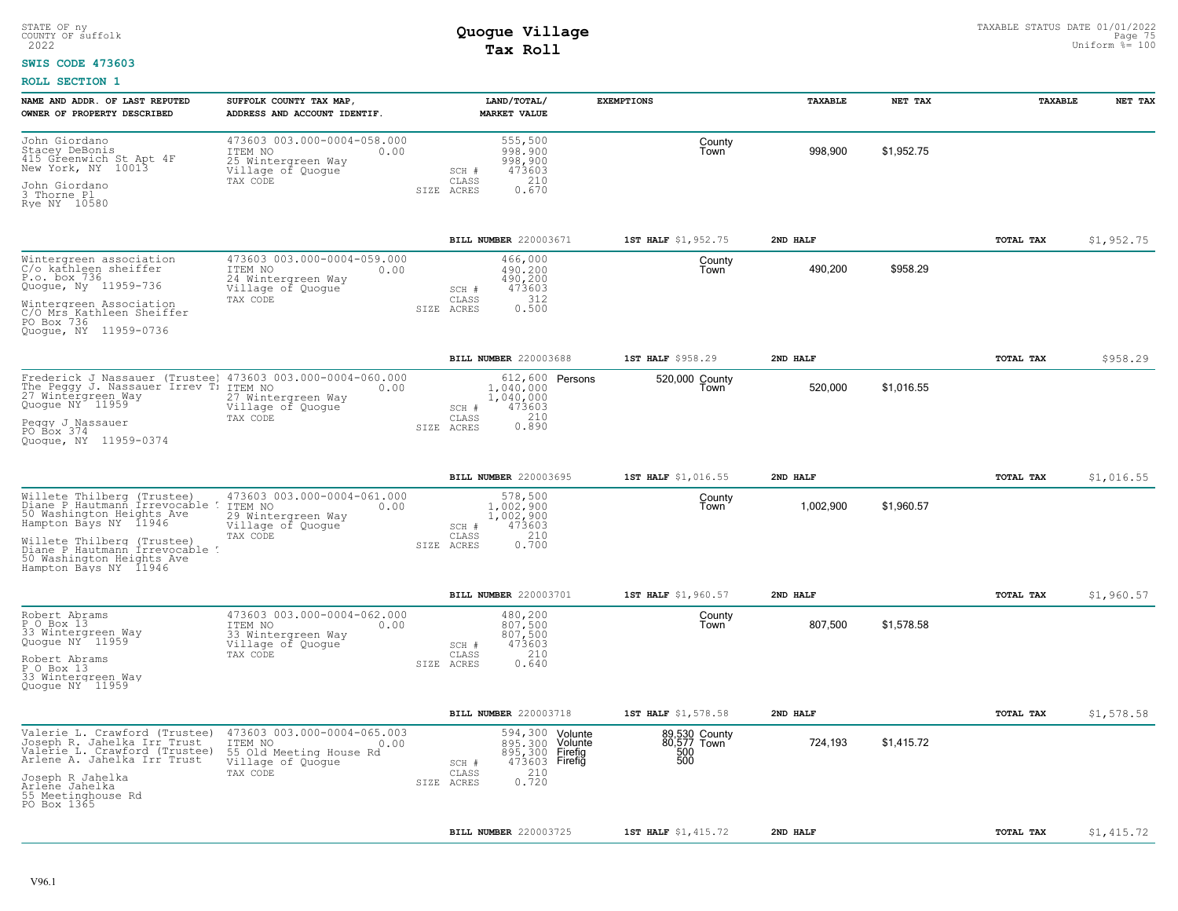#### **SWIS CODE 473603**

| NAME AND ADDR. OF LAST REPUTED<br>OWNER OF PROPERTY DESCRIBED                                                                                                                                                                          | SUFFOLK COUNTY TAX MAP,<br>ADDRESS AND ACCOUNT IDENTIF.                                                    | LAND/TOTAL/<br><b>MARKET VALUE</b>                                                                                      | <b>EXEMPTIONS</b>                          | <b>TAXABLE</b> | NET TAX    | <b>TAXABLE</b> | NET TAX    |
|----------------------------------------------------------------------------------------------------------------------------------------------------------------------------------------------------------------------------------------|------------------------------------------------------------------------------------------------------------|-------------------------------------------------------------------------------------------------------------------------|--------------------------------------------|----------------|------------|----------------|------------|
| John Giordano<br>Stacey DeBonis<br>415 Greenwich St Apt 4F<br>New York, NY 10013<br>John Giordano<br>3 Thorne Pl.<br>Rye NY 10580                                                                                                      | 473603 003.000-0004-058.000<br>ITEM NO<br>0.00<br>25 Wintergreen Way<br>Village of Quogue<br>TAX CODE      | 555,500<br>998,900<br>998,900<br>473603<br>SCH #<br>210<br>CLASS<br>0.670<br>SIZE ACRES                                 | County<br>Town                             | 998,900        | \$1,952.75 |                |            |
|                                                                                                                                                                                                                                        |                                                                                                            | BILL NUMBER 220003671                                                                                                   | 1ST HALF \$1,952.75                        | 2ND HALF       |            | TOTAL TAX      | \$1,952.75 |
| Wintergreen association<br>C/o kathleen sheiffer<br>P.o. box 736<br>Quogue, Ny 11959-736<br>Wintergreen Association<br>C/O Mrs Kathleen Sheiffer<br>PO Box 736<br>Quogue, NY 11959-0736                                                | 473603 003.000-0004-059.000<br>ITEM NO<br>0.00<br>24 Wintergreen Way<br>Village of Quogue<br>TAX CODE      | 466,000<br>490,200<br>490,200<br>473603<br>SCH #<br>312<br>CLASS<br>0.500<br>SIZE ACRES                                 | County<br>Town                             | 490,200        | \$958.29   |                |            |
|                                                                                                                                                                                                                                        |                                                                                                            | BILL NUMBER 220003688                                                                                                   | 1ST HALF \$958.29                          | 2ND HALF       |            | TOTAL TAX      | \$958.29   |
| Frederick J Nassauer (Trustee) 473603 003.000-0004-060.000<br>The Peggy J. Nassauer Irrev Ti<br>27 Wintergreen Way<br>Quogue NY 11959<br>Peqqy J Nassauer<br>PO Box 374<br>Quoque, NY 11959-0374                                       | ITEM NO<br>0.00<br>27 Wintergreen Way<br>Village of Quogue<br>TAX CODE                                     | 612,600 Persons<br>1,040,000<br>1,040,000<br>473603<br>SCH #<br>210<br>CLASS<br>0.890<br>SIZE ACRES                     | 520,000 County<br>Town                     | 520,000        | \$1,016.55 |                |            |
|                                                                                                                                                                                                                                        |                                                                                                            | BILL NUMBER 220003695                                                                                                   | 1ST HALF \$1,016.55                        | 2ND HALF       |            | TOTAL TAX      | \$1,016.55 |
| Willete Thilberg (Trustee)<br>Diane P Hautmann Irrevocable !<br>50 Washington Heights Ave<br>Hampton Bays NY 11946<br>Willete Thilberg (Trustee)<br>Diane P Hautmann Irrevocable<br>50 Washington Heights Ave<br>Hampton Bays NY 11946 | 473603 003.000-0004-061.000<br>ITEM NO<br>0.00<br>29 Wintergreen Way<br>Village of Quoque<br>TAX CODE      | 578,500<br>$1.002.900$<br>$1,002,900$<br>473603<br>SCH #<br>210<br>CLASS<br>0.700<br>SIZE ACRES                         | County<br>Town                             | 1,002,900      | \$1,960.57 |                |            |
|                                                                                                                                                                                                                                        |                                                                                                            | BILL NUMBER 220003701                                                                                                   | 1ST HALF \$1,960.57                        | 2ND HALF       |            | TOTAL TAX      | \$1,960.57 |
| Robert Abrams<br>P O Box 13<br>33 Wintergreen Way<br>Quogue NY <sup>-</sup> 11959<br>Robert Abrams<br>P O Box 13<br>33 Wintergreen Way<br>Quoque NY 11959                                                                              | 473603 003.000-0004-062.000<br>ITEM NO<br>0.00<br>33 Wintergreen Way<br>Village of Quogue<br>TAX CODE      | 480,200<br>807.500<br>807,500<br>473603<br>SCH #<br>CLASS<br>210<br>0.640<br>SIZE ACRES                                 | County<br>Town                             | 807,500        | \$1,578.58 |                |            |
|                                                                                                                                                                                                                                        |                                                                                                            | BILL NUMBER 220003718                                                                                                   | 1ST HALF \$1,578.58                        | 2ND HALF       |            | TOTAL TAX      | \$1,578.58 |
| Valerie L. Crawford (Trustee)<br>Joseph R. Jahelka Irr Trust<br>Valerie L. Crawford (Trustee)<br>Arlene A. Jahelka Irr Trust<br>Joseph R Jahelka<br>Arlene Jahelka<br>55 Meetinghouse Rd                                               | 473603 003.000-0004-065.003<br>ITEM NO<br>0.00<br>55 Old Meeting House Rd<br>Village of Quoque<br>TAX CODE | 594,300 Volunte<br>895,300 Volunte<br>895,300 Firefig<br>473603 Firefig<br>SCH #<br>210<br>CLASS<br>0.720<br>SIZE ACRES | 89,530 County<br>80,577 Town<br>500<br>500 | 724,193        | \$1.415.72 |                |            |
| PO Box 1365                                                                                                                                                                                                                            |                                                                                                            |                                                                                                                         |                                            |                |            |                |            |
|                                                                                                                                                                                                                                        |                                                                                                            | BILL NUMBER 220003725                                                                                                   | 1ST HALF \$1,415.72                        | 2ND HALF       |            | TOTAL TAX      | \$1,415.72 |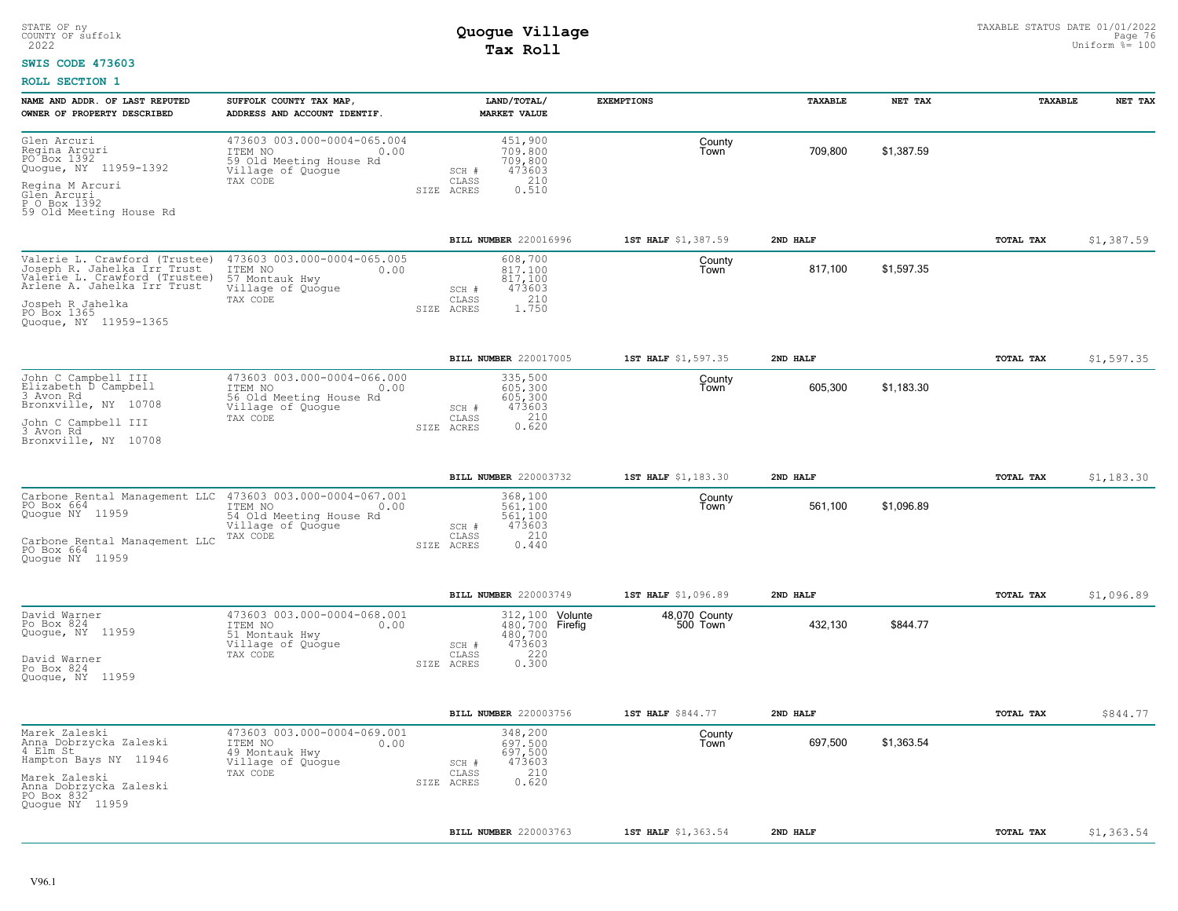#### **SWIS CODE 473603**

| NAME AND ADDR. OF LAST REPUTED<br>OWNER OF PROPERTY DESCRIBED                                                                                                                            | SUFFOLK COUNTY TAX MAP,<br>ADDRESS AND ACCOUNT IDENTIF.                                                    |                                         | LAND/TOTAL/<br><b>MARKET VALUE</b>                                       | <b>EXEMPTIONS</b>         | TAXABLE  | NET TAX    | TAXABLE          | NET TAX    |
|------------------------------------------------------------------------------------------------------------------------------------------------------------------------------------------|------------------------------------------------------------------------------------------------------------|-----------------------------------------|--------------------------------------------------------------------------|---------------------------|----------|------------|------------------|------------|
| Glen Arcuri<br>Regina Arcuri<br>PO Box 1392<br>Quogue, NY 11959-1392<br>Regina M Arcuri<br>Glen Arcuri<br>P.O Box 1392                                                                   | 473603 003.000-0004-065.004<br>ITEM NO<br>0.00<br>59 Old Meeting House Rd<br>Village of Quogue<br>TAX CODE | SCH #<br>CLASS<br>SIZE ACRES            | 451,900<br>709,800<br>709,800<br>473603<br>210<br>0.510                  | County<br>Town            | 709,800  | \$1,387.59 |                  |            |
| 59 Old Meeting House Rd                                                                                                                                                                  |                                                                                                            |                                         |                                                                          |                           |          |            |                  |            |
|                                                                                                                                                                                          |                                                                                                            |                                         | BILL NUMBER 220016996                                                    | 1ST HALF \$1,387.59       | 2ND HALF |            | TOTAL TAX        | \$1,387.59 |
| Valerie L. Crawford (Trustee)<br>Joseph R. Jahelka Irr Trust<br>Valerie L. Crawford (Trustee)<br>Arlene A. Jahelka Irr Trust<br>Jospeh R Jahelka<br>PO Box 1365<br>Quogue, NY 11959-1365 | 473603 003.000-0004-065.005<br>ITEM NO<br>0.00<br>57 Montauk Hwy<br>Village of Quogue<br>TAX CODE          | SCH #<br>$\mathtt{CLASS}$<br>SIZE ACRES | 608,700<br>817,100<br>817,100<br>473603<br>210<br>1.750                  | County<br>Town            | 817,100  | \$1,597.35 |                  |            |
|                                                                                                                                                                                          |                                                                                                            |                                         | BILL NUMBER 220017005                                                    | 1ST HALF \$1,597.35       | 2ND HALF |            | TOTAL TAX        | \$1,597.35 |
| John C Campbell III<br>Elizabeth D Campbell<br>3 Avon Rd<br>Bronxville, NY 10708<br>John C Campbell III<br>3 Avon Rd<br>Bronxville, NY 10708                                             | 473603 003.000-0004-066.000<br>ITEM NO<br>0.00<br>56 Old Meeting House Rd<br>Village of Quogue<br>TAX CODE | SCH #<br>CLASS<br>SIZE ACRES            | 335,500<br>605,300<br>605,300<br>473603<br>$0.210$<br>$0.620$            | County<br>Town            | 605,300  | \$1,183.30 |                  |            |
|                                                                                                                                                                                          |                                                                                                            |                                         | BILL NUMBER 220003732                                                    | 1ST HALF \$1,183.30       | 2ND HALF |            | TOTAL TAX        | \$1,183.30 |
| Carbone Rental Management LLC 473603 003.000-0004-067.001<br>PO Box 664<br>Quogue NY 11959<br>Carbone Rental Management LLC<br>PO Box 664<br>Quoque NY 11959                             | ITEM NO<br>$\sim$ 0.00<br>54 Old Meeting House Rd<br>Village of Quogue<br>TAX CODE                         | SCH #<br>CLASS<br>SIZE ACRES            | 368,100<br>561.100<br>561,100<br>473603<br>210<br>0.440                  | County<br>Town            | 561,100  | \$1,096.89 |                  |            |
|                                                                                                                                                                                          |                                                                                                            |                                         | <b>BILL NUMBER 220003749</b>                                             | 1ST HALF \$1,096.89       | 2ND HALF |            | TOTAL TAX        | \$1,096.89 |
| David Warner<br>Po Box 824<br>Quoque, NY 11959<br>David Warner<br>Po Box 824<br>Quoque, NY 11959                                                                                         | 473603 003.000-0004-068.001<br>ITEM NO<br>0.00<br>51 Montauk Hwy<br>Village of Quogue<br>TAX CODE          | SCH #<br>CLASS<br>SIZE ACRES            | 312, 100 Volunte<br>480,700 Firefig<br>480,700<br>473603<br>220<br>0.300 | 48,070 County<br>500 Town | 432,130  | \$844.77   |                  |            |
|                                                                                                                                                                                          |                                                                                                            |                                         | BILL NUMBER 220003756                                                    | 1ST HALF \$844.77         | 2ND HALF |            | TOTAL TAX        | \$844.77   |
| Marek Zaleski<br>Anna Dobrzycka Zaleski<br>4 Elm St<br>Hampton Bays NY 11946<br>Marek Zaleski<br>Anna Dobrzycka Zaleski<br>PO Box 832<br>Quogue NY 11959                                 | 473603 003.000-0004-069.001<br>ITEM NO<br>0.00<br>49 Montauk Hwy<br>Village of Quogue<br>TAX CODE          | SCH #<br>CLASS<br>SIZE ACRES            | 348,200<br>697.500<br>697,500<br>473603<br>210<br>0.620                  | County<br>Town            | 697,500  | \$1,363.54 |                  |            |
|                                                                                                                                                                                          |                                                                                                            |                                         | <b>BILL NUMBER 220003763</b>                                             | 1ST HALF \$1,363.54       | 2ND HALF |            | <b>TOTAL TAX</b> | \$1,363.54 |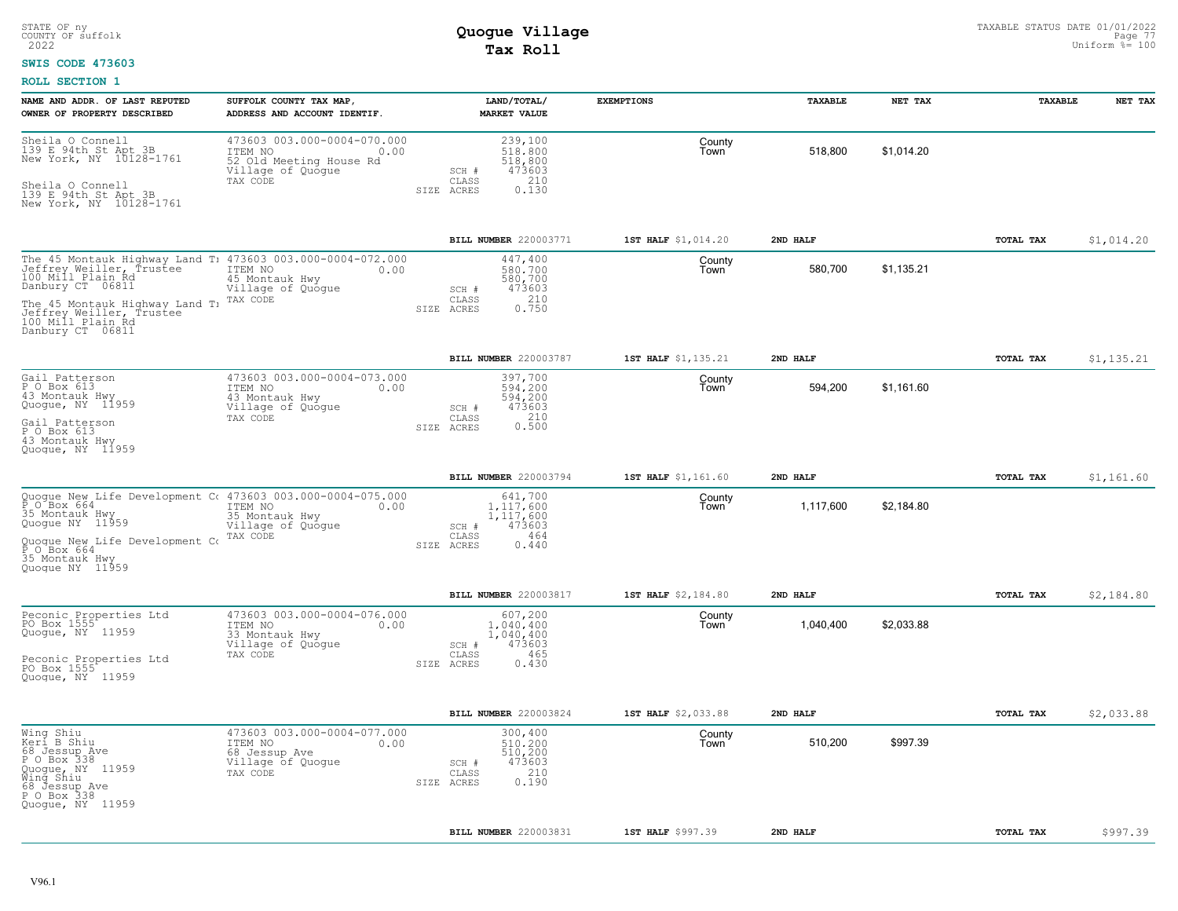#### **SWIS CODE 473603**

| NAME AND ADDR. OF LAST REPUTED<br>OWNER OF PROPERTY DESCRIBED                                                                                                                                                                                               | SUFFOLK COUNTY TAX MAP,<br>ADDRESS AND ACCOUNT IDENTIF.                                                    | LAND/TOTAL/<br><b>MARKET VALUE</b>                                                          | <b>EXEMPTIONS</b>   | TAXABLE   | NET TAX    | TAXABLE          | NET TAX    |
|-------------------------------------------------------------------------------------------------------------------------------------------------------------------------------------------------------------------------------------------------------------|------------------------------------------------------------------------------------------------------------|---------------------------------------------------------------------------------------------|---------------------|-----------|------------|------------------|------------|
| Sheila O Connell<br>139 E 94th St Apt 3B<br>New York, NY 10128-1761<br>Sheila O Connell<br>139 E 94th St Apt 3B<br>New York, NY 10128-1761                                                                                                                  | 473603 003.000-0004-070.000<br>ITEM NO<br>0.00<br>52 Old Meeting House Rd<br>Village of Quogue<br>TAX CODE | 239,100<br>518,800<br>518,800<br>473603<br>SCH #<br>210<br>CLASS<br>0.130<br>SIZE ACRES     | County<br>Town      | 518,800   | \$1,014.20 |                  |            |
|                                                                                                                                                                                                                                                             |                                                                                                            | BILL NUMBER 220003771                                                                       | 1ST HALF \$1,014.20 | 2ND HALF  |            | TOTAL TAX        | \$1,014.20 |
| The 45 Montauk Highway Land T: 473603 003.000-0004-072.000<br>Jeffrey Weiller, Trustee<br>100 Mill Plain Rd<br>Danbury CT 06811<br>The 45 Montauk Highway Land T <sub>1</sub> TAX CODE<br>Teffrey Weiller, Trustee<br>100 Mill Plain Rd<br>Danbury CT 06811 | ITEM NO<br>0.00<br>45 Montauk Hwy<br>Village of Quogue                                                     | 447,400<br>580,700<br>580,700<br>473603<br>SCH #<br>210<br>CLASS<br>0.750<br>SIZE ACRES     | County<br>Town      | 580,700   | \$1,135.21 |                  |            |
|                                                                                                                                                                                                                                                             |                                                                                                            | BILL NUMBER 220003787                                                                       | 1ST HALF \$1,135.21 | 2ND HALF  |            | TOTAL TAX        | \$1,135.21 |
| Gail Patterson<br>P O Box 613<br>43 Montauk Hwy<br>Quogue, NY 11959<br>Gail Patterson<br>P O Box 613<br>43 Montauk Hwy<br>Quoque, NY 11959                                                                                                                  | 473603 003.000-0004-073.000<br>0.00<br>ITEM NO<br>43 Montauk Hwy<br>Village of Quogue<br>TAX CODE          | 397,700<br>594,200<br>594,200<br>473603<br>SCH #<br>0.210<br>CLASS<br>SIZE ACRES            | County<br>Town      | 594,200   | \$1,161.60 |                  |            |
|                                                                                                                                                                                                                                                             |                                                                                                            | BILL NUMBER 220003794                                                                       | 1ST HALF \$1,161.60 | 2ND HALF  |            | <b>TOTAL TAX</b> | \$1,161.60 |
| Quogue New Life Development C( 473603 003.000-0004-075.000<br>P_O Box 664 (1TEM NO ) 000<br>35 Montauk Hwy<br>Quogue NY 11959<br>Ouoque New Life Development Company Company<br>P O Box 664<br>35 Montauk Hwy<br>Quoque NY 11959                            | ITEM NO<br>0.00<br>35 Montauk Hwy<br>Village of Quogue<br>TAX CODE                                         | 641,700<br>1,117,600<br>1,117,600<br>473603<br>SCH #<br>464<br>CLASS<br>0.440<br>SIZE ACRES | County<br>Town      | 1,117,600 | \$2,184.80 |                  |            |
|                                                                                                                                                                                                                                                             |                                                                                                            | BILL NUMBER 220003817                                                                       | 1ST HALF \$2,184.80 | 2ND HALF  |            | <b>TOTAL TAX</b> | \$2,184.80 |
| Peconic Properties Ltd<br>PO Box 1555<br>Quogue, NY 11959<br>Peconic Properties Ltd<br>PO Box 1555<br>Quoque, NY 11959                                                                                                                                      | 473603 003.000-0004-076.000<br>ITEM NO<br>0.00<br>33 Montauk Hwy<br>Village of Quogue<br>TAX CODE          | 607,200<br>1,040,400<br>1,040,400<br>473603<br>SCH #<br>465<br>CLASS<br>0.430<br>SIZE ACRES | County<br>Town      | 1,040,400 | \$2,033.88 |                  |            |
|                                                                                                                                                                                                                                                             |                                                                                                            | BILL NUMBER 220003824                                                                       | 1ST HALF \$2,033.88 | 2ND HALF  |            | TOTAL TAX        | \$2,033.88 |
| Wing Shiu<br>Keri B Shiu<br>68 Jessup Ave<br>P O Box 338<br>Quogue, NY 11959<br>Wing Shiu<br>68 Jessup Ave<br>P O Box 338<br>Quoque, NY 11959                                                                                                               | 473603 003.000-0004-077.000<br>ITEM NO<br>0.00<br>68 Jessup Ave<br>Village of Quogue<br>TAX CODE           | 300,400<br>510,200<br>510,200<br>473603<br>SCH #<br>210<br>CLASS<br>0.190<br>SIZE ACRES     | County<br>Town      | 510,200   | \$997.39   |                  |            |
|                                                                                                                                                                                                                                                             |                                                                                                            | BILL NUMBER 220003831                                                                       | 1ST HALF \$997.39   | 2ND HALF  |            | TOTAL TAX        | \$997.39   |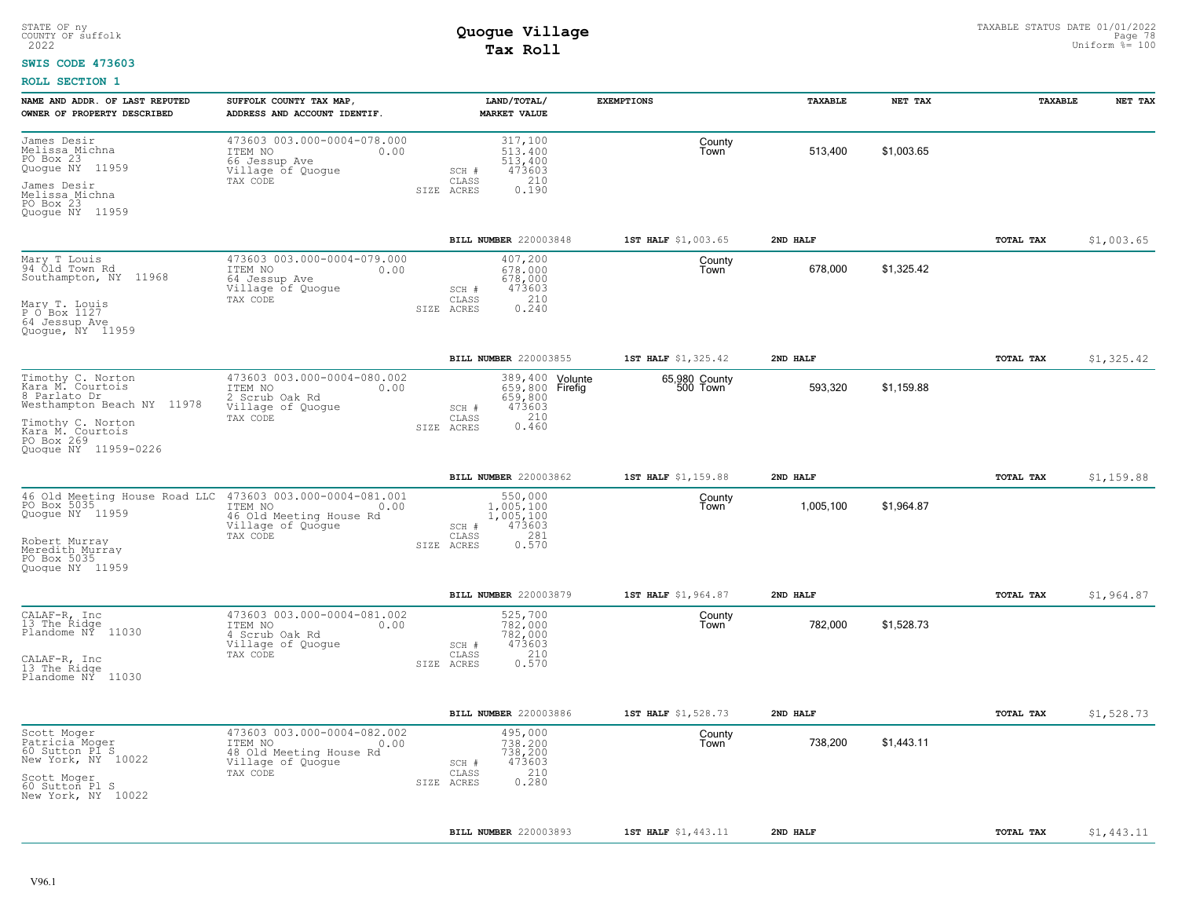#### **SWIS CODE 473603**

| NAME AND ADDR. OF LAST REPUTED<br>OWNER OF PROPERTY DESCRIBED                                                                                                      | SUFFOLK COUNTY TAX MAP,<br>ADDRESS AND ACCOUNT IDENTIF.                                                    | LAND/TOTAL/<br><b>MARKET VALUE</b>                                          | <b>EXEMPTIONS</b>                                                               | <b><i>TAXABLE</i></b> | NET TAX    | <b>TAXABLE</b> | NET TAX    |
|--------------------------------------------------------------------------------------------------------------------------------------------------------------------|------------------------------------------------------------------------------------------------------------|-----------------------------------------------------------------------------|---------------------------------------------------------------------------------|-----------------------|------------|----------------|------------|
| James Desir<br>Melissa Michna<br>PO Box 23<br>11959<br>Quoque NY<br>James Desir<br>Melissa Michna<br>PO Box 23<br>Quoque NY 11959                                  | 473603 003.000-0004-078.000<br>ITEM NO<br>0.00<br>66 Jessup Ave<br>Village of Quogue<br>TAX CODE           | 317,100<br>513,400<br>513,400<br>473603<br>SCH #<br>CLASS<br>SIZE ACRES     | County<br>Town<br>210<br>0.190                                                  | 513,400               | \$1,003.65 |                |            |
|                                                                                                                                                                    |                                                                                                            | BILL NUMBER 220003848                                                       | 1ST HALF \$1,003.65                                                             | 2ND HALF              |            | TOTAL TAX      | \$1,003.65 |
| Mary T Louis<br>94 Old Town Rd<br>Southampton, NY 11968<br>Mary T. Louis<br>P O Box 1127<br>64 Jessup Ave<br>Quoque, NY 11959                                      | 473603 003.000-0004-079.000<br>ITEM NO<br>0.00<br>64 Jessup Ave<br>Village of Quogue<br>TAX CODE           | 407,200<br>678,000<br>678,000<br>473603<br>SCH #<br>CLASS<br>SIZE ACRES     | County<br>Town<br>210<br>0.240                                                  | 678,000               | \$1.325.42 |                |            |
|                                                                                                                                                                    |                                                                                                            | BILL NUMBER 220003855                                                       | 1ST HALF \$1,325.42                                                             | 2ND HALF              |            | TOTAL TAX      | \$1,325.42 |
| Timothy C. Norton<br>Kara M. Courtois<br>8 Parlato Dr<br>Westhampton Beach NY 11978<br>Timothy C. Norton<br>Kara M. Courtois<br>PO Box 269<br>Quoque NY 11959-0226 | 473603 003.000-0004-080.002<br>ITEM NO<br>0.00<br>2 Scrub Oak Rd<br>Village of Quogue<br>TAX CODE          | 659,800<br>473603<br>SCH #<br>CLASS<br>SIZE ACRES                           | 389,400 Volunte<br>65,980 County<br>500 Town<br>659,800 Firefig<br>210<br>0.460 | 593,320               | \$1,159.88 |                |            |
|                                                                                                                                                                    |                                                                                                            | BILL NUMBER 220003862                                                       | 1ST HALF \$1,159.88                                                             | 2ND HALF              |            | TOTAL TAX      | \$1,159.88 |
| 46 Old Meeting House Road LLC<br>PO Box 5035<br>Quogue NY 11959<br>Robert Murray<br>Meredith Murray<br>PO Box 5035<br>Quoque NY 11959                              | 473603 003.000-0004-081.001<br>ITEM NO<br>0.00<br>46 Old Meeting House Rd<br>Village of Quogue<br>TAX CODE | 550,000<br>1,005,100<br>1,005,100<br>473603<br>SCH #<br>CLASS<br>SIZE ACRES | County<br>Town<br>281<br>0.570                                                  | 1,005,100             | \$1,964.87 |                |            |
|                                                                                                                                                                    |                                                                                                            | BILL NUMBER 220003879                                                       | 1ST HALF \$1,964.87                                                             | 2ND HALF              |            | TOTAL TAX      | \$1,964.87 |
| CALAF-R, Inc<br>13 The Ridge<br>Plandome NÝ 11030<br>CALAF-R, Inc<br>13 The Ridge<br>Plandome NY 11030                                                             | 473603 003.000-0004-081.002<br>ITEM NO<br>0.00<br>4 Scrub Oak Rd<br>Village of Quogue<br>TAX CODE          | 525,700<br>782,000<br>782,000<br>473603<br>SCH #<br>CLASS<br>SIZE ACRES     | County<br>Town<br>210<br>0.570                                                  | 782,000               | \$1,528.73 |                |            |
|                                                                                                                                                                    |                                                                                                            | BILL NUMBER 220003886                                                       | 1ST HALF \$1,528.73                                                             | 2ND HALF              |            | TOTAL TAX      | \$1,528.73 |
| Scott Moger<br>Patricia Moger<br>60 Sutton Pl S<br>New York, NY 10022<br>Scott Moger<br>60 Sutton Pl S<br>New York, NY 10022                                       | 473603 003.000-0004-082.002<br>ITEM NO<br>0.00<br>48 Old Meeting House Rd<br>Village of Quogue<br>TAX CODE | 495,000<br>738,200<br>738,200<br>473603<br>SCH #<br>CLASS<br>SIZE ACRES     | County<br>Town<br>210<br>0.280                                                  | 738,200               | \$1,443.11 |                |            |
|                                                                                                                                                                    |                                                                                                            | BILL NUMBER 220003893                                                       | 1ST HALF \$1,443.11                                                             | 2ND HALF              |            | TOTAL TAX      | \$1,443.11 |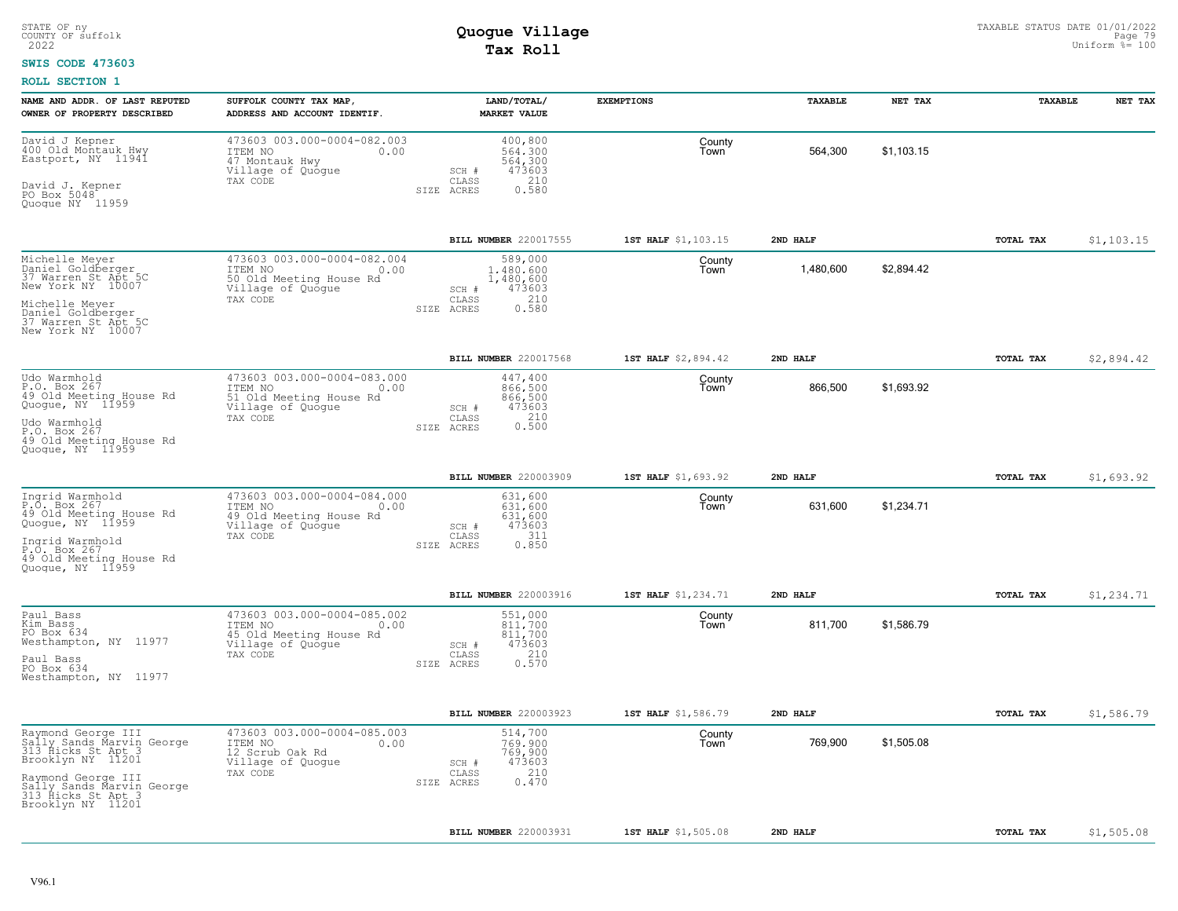#### **SWIS CODE 473603**

| NAME AND ADDR. OF LAST REPUTED<br>OWNER OF PROPERTY DESCRIBED                                                                                                                            | SUFFOLK COUNTY TAX MAP,<br>ADDRESS AND ACCOUNT IDENTIF.                                                    | LAND/TOTAL/<br><b>MARKET VALUE</b>                                                          | <b>EXEMPTIONS</b>   | TAXABLE   | NET TAX    | TAXABLE          | NET TAX    |
|------------------------------------------------------------------------------------------------------------------------------------------------------------------------------------------|------------------------------------------------------------------------------------------------------------|---------------------------------------------------------------------------------------------|---------------------|-----------|------------|------------------|------------|
| David J Kepner<br>400 Old Montauk Hwy<br>Eastport, NY 11941<br>David J. Kepner<br>PO Box 5048<br>Quogue NY 11959                                                                         | 473603 003.000-0004-082.003<br>ITEM NO<br>0.00<br>47 Montauk Hwy<br>Village of Quogue<br>TAX CODE          | 400,800<br>564,300<br>564,300<br>473603<br>SCH #<br>CLASS<br>210<br>0.580<br>SIZE ACRES     | County<br>Town      | 564,300   | \$1,103.15 |                  |            |
|                                                                                                                                                                                          |                                                                                                            | BILL NUMBER 220017555                                                                       | 1ST HALF \$1,103.15 | 2ND HALF  |            | TOTAL TAX        | \$1,103.15 |
| Michelle Meyer<br>Daniel Goldberger<br>37 Warren St Apt 5C<br>New York NY 10007<br>Michelle Meyer<br>Daniel Goldberger<br>37 Warren St Apt 5C<br>New York NY 10007                       | 473603 003.000-0004-082.004<br>ITEM NO<br>0.00<br>50 Old Meeting House Rd<br>Village of Quogue<br>TAX CODE | 589,000<br>1,480,600<br>1,480,600<br>473603<br>SCH #<br>210<br>CLASS<br>0.580<br>SIZE ACRES | County<br>Town      | 1,480,600 | \$2,894.42 |                  |            |
|                                                                                                                                                                                          |                                                                                                            | BILL NUMBER 220017568                                                                       | 1ST HALF \$2,894.42 | 2ND HALF  |            | TOTAL TAX        | \$2,894.42 |
| Udo Warmhold<br>P.O. Box 267<br>49 Old Meeting House Rd<br>Quogue, NY 11959<br>Udo Warmhold<br>P.O. Box 267<br>49 Old Meeting House Rd                                                   | 473603 003.000-0004-083.000<br>ITEM NO<br>0.00<br>51 Old Meeting House Rd<br>Village of Quogue<br>TAX CODE | 447,400<br>866,500<br>866,500<br>473603<br>SCH #<br>0.210<br>CLASS<br>SIZE ACRES            | County<br>Town      | 866,500   | \$1,693.92 |                  |            |
| Quoque, NY 11959                                                                                                                                                                         |                                                                                                            |                                                                                             |                     |           |            |                  |            |
|                                                                                                                                                                                          |                                                                                                            | BILL NUMBER 220003909                                                                       | 1ST HALF \$1,693.92 | 2ND HALF  |            | TOTAL TAX        | \$1,693.92 |
| Ingrid Warmhold<br>P.O. Box 267<br>49 Old Meeting House Rd<br>Quogue, NY 11959<br>Ingrid Warmhold<br>P.O. Box 267<br>49 Old Meeting House Rd<br>Quoque, NY 11959                         | 473603 003.000-0004-084.000<br>ITEM NO<br>0.00<br>49 Old Meeting House Rd<br>Village of Quogue<br>TAX CODE | 631,600<br>631,600<br>631,600<br>473603<br>SCH #<br>311<br>CLASS<br>0.850<br>SIZE ACRES     | County<br>Town      | 631,600   | \$1,234.71 |                  |            |
|                                                                                                                                                                                          |                                                                                                            | BILL NUMBER 220003916                                                                       | 1ST HALF \$1,234.71 | 2ND HALF  |            | <b>TOTAL TAX</b> | \$1,234.71 |
| Paul Bass<br>Kim Bass<br>PO Box 634<br>Westhampton, NY 11977<br>Paul Bass<br>PO Box 634<br>Westhampton, NY 11977                                                                         | 473603 003.000-0004-085.002<br>ITEM NO<br>0.00<br>45 Old Meeting House Rd<br>Village of Quogue<br>TAX CODE | 551,000<br>811.700<br>811,700<br>473603<br>SCH #<br>210<br>CLASS<br>0.570<br>SIZE ACRES     | County<br>Town      | 811,700   | \$1,586.79 |                  |            |
|                                                                                                                                                                                          |                                                                                                            | BILL NUMBER 220003923                                                                       | 1ST HALF \$1,586.79 | 2ND HALF  |            | TOTAL TAX        | \$1,586.79 |
| Raymond George III<br>Saily Sands Marvin George<br>313 Hicks St Apt 3<br>Brooklyn NY 11201<br>Raymond George III<br>Nally Sands Marvin George<br>313 Hicks St Apt 3<br>Brooklyn NY 11201 | 473603 003.000-0004-085.003<br>ITEM NO<br>0.00<br>12 Scrub Oak Rd<br>Village of Quogue<br>TAX CODE         | 514,700<br>769,900<br>769,900<br>473603<br>SCH #<br>210<br>CLASS<br>0.470<br>SIZE ACRES     | County<br>Town      | 769,900   | \$1,505.08 |                  |            |
|                                                                                                                                                                                          |                                                                                                            | BILL NUMBER 220003931                                                                       | 1ST HALF \$1,505.08 | 2ND HALF  |            | TOTAL TAX        | \$1,505.08 |
|                                                                                                                                                                                          |                                                                                                            |                                                                                             |                     |           |            |                  |            |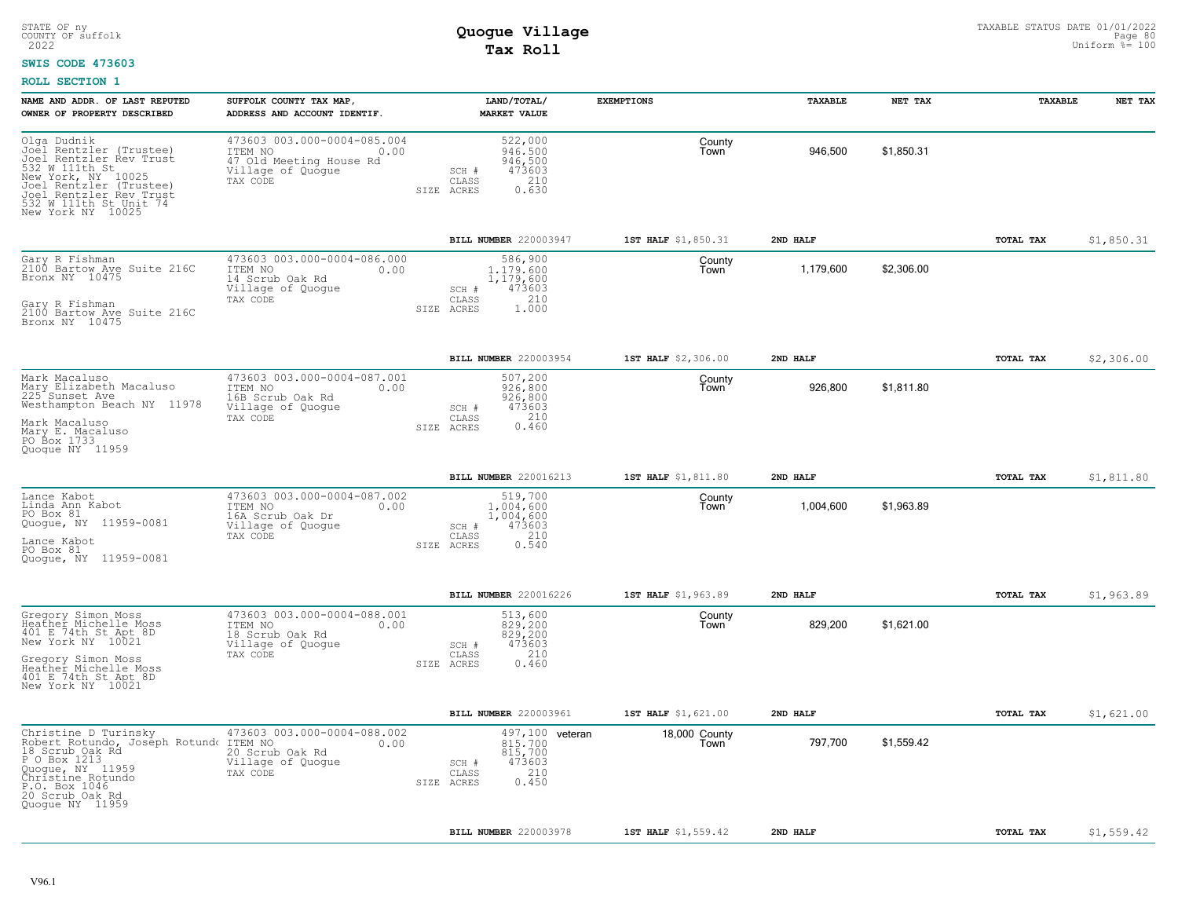#### **SWIS CODE 473603**

| NAME AND ADDR. OF LAST REPUTED<br>OWNER OF PROPERTY DESCRIBED                                                                                                                                                  | SUFFOLK COUNTY TAX MAP<br>ADDRESS AND ACCOUNT IDENTIF.                                                     |                                         | LAND/TOTAL/<br><b>MARKET VALUE</b>                              | <b>EXEMPTIONS</b>     | TAXABLE   | NET TAX    | TAXABLE   | NET TAX    |
|----------------------------------------------------------------------------------------------------------------------------------------------------------------------------------------------------------------|------------------------------------------------------------------------------------------------------------|-----------------------------------------|-----------------------------------------------------------------|-----------------------|-----------|------------|-----------|------------|
| Olga Dudnik<br>Joel Rentzler (Trustee)<br>Joel Rentzler Rev Trust<br>532 W 111th St<br>New York, NY 10025<br>Joel Rentzler (Trustee)<br>Joel Rentzler Rev Trust<br>532 W 111th St Unit 74<br>New York NY 10025 | 473603 003.000-0004-085.004<br>ITEM NO<br>0.00<br>47 Old Meeting House Rd<br>Village of Quoque<br>TAX CODE | SCH #<br>$\mathtt{CLASS}$<br>SIZE ACRES | 522,000<br>946.500<br>946,500<br>473603<br>210<br>0.630         | County<br>Town        | 946,500   | \$1,850.31 |           |            |
|                                                                                                                                                                                                                |                                                                                                            |                                         | BILL NUMBER 220003947                                           | 1ST HALF \$1,850.31   | 2ND HALF  |            | TOTAL TAX | \$1,850.31 |
| Gary R Fishman<br>2100 Bartow Ave Suite 216C<br>Bronx NY 10475<br>Gary R Fishman<br>2100 Bartow Ave Suite 216C<br>Bronx NY 10475                                                                               | 473603 003.000-0004-086.000<br>ITEM NO<br>0.00<br>14 Scrub Oak Rd<br>Village of Quogue<br>TAX CODE         | SCH #<br>CLASS<br>ACRES<br>SIZE         | 586,900<br>1,179,600<br>1,179,600<br>473603<br>210<br>1.000     | County<br>Town        | 1,179,600 | \$2,306.00 |           |            |
|                                                                                                                                                                                                                |                                                                                                            |                                         | BILL NUMBER 220003954                                           | 1ST HALF \$2,306.00   | 2ND HALF  |            | TOTAL TAX | \$2,306.00 |
| Mark Macaluso<br>Mary Elizabeth Macaluso<br>225 <sup>-</sup> Sunset Ave<br>Westhampton Beach NY 11978<br>Mark Macaluso<br>Mary E. Macaluso<br>PO Box 1733<br>Quoque NY 11959                                   | 473603 003.000-0004-087.001<br>ITEM NO<br>0.00<br>16B Scrub Oak Rd<br>Village of Quogue<br>TAX CODE        | SCH #<br>CLASS<br>SIZE ACRES            | 507,200<br>926,800<br>926,800<br>473603<br>210<br>0.460         | County<br>Town        | 926,800   | \$1,811.80 |           |            |
|                                                                                                                                                                                                                |                                                                                                            |                                         | BILL NUMBER 220016213                                           | 1ST HALF \$1,811.80   | 2ND HALF  |            | TOTAL TAX | \$1,811.80 |
| Lance Kabot<br>Linda Ann Kabot<br>PO Box 81<br>Quogue, NY 11959-0081<br>Lance Kabot<br>PO Box 81<br>Quoque, NY 11959-0081                                                                                      | 473603 003.000-0004-087.002<br>ITEM NO<br>0.00<br>16A Scrub Oak Dr<br>Village of Quoque<br>TAX CODE        | SCH #<br>CLASS<br>SIZE ACRES            | 519,700<br>1,004,600<br>1,004,600<br>473603<br>210<br>0.540     | County<br>Town        | 1,004,600 | \$1,963.89 |           |            |
|                                                                                                                                                                                                                |                                                                                                            |                                         | BILL NUMBER 220016226                                           | 1ST HALF \$1,963.89   | 2ND HALF  |            | TOTAL TAX | \$1,963.89 |
| Gregory Simon Moss<br>Heather Michelle Moss<br>401 E 74th St Apt 8D<br>New York NY 10021<br>Gregory Simon Moss<br>Heather Michelle Moss<br>401 E 74th St Apt 8D<br>New York NY 10021                           | 473603 003.000-0004-088.001<br>ITEM NO<br>0.00<br>18 Scrub Oak Rd<br>Village of Quogue<br>TAX CODE         | SCH #<br>CLASS<br>SIZE ACRES            | 513,600<br>829,200<br>829,200<br>473603<br>210<br>0.460         | County<br>Town        | 829,200   | \$1,621.00 |           |            |
|                                                                                                                                                                                                                |                                                                                                            |                                         | BILL NUMBER 220003961                                           | 1ST HALF \$1,621.00   | 2ND HALF  |            | TOTAL TAX | \$1,621.00 |
| Christine D Turinsky<br>Robert Rotundo, Joseph Rotundo ITEM NO<br>18 Scrub Oak Rd<br>P O Box 1213<br>Quogue, NY 11959<br>Christine Rotundo<br>P.O. Box 1046<br>20 Scrub Oak Rd<br>Quoque NY 11959              | 473603 003.000-0004-088.002<br>0.00<br>20 Scrub Oak Rd<br>Village of Quogue<br>TAX CODE                    | SCH #<br>$\mathtt{CLASS}$<br>SIZE ACRES | 497,100 veteran<br>815,700<br>815,700<br>473603<br>210<br>0.450 | 18,000 County<br>Town | 797,700   | \$1,559.42 |           |            |
|                                                                                                                                                                                                                |                                                                                                            |                                         | BILL NUMBER 220003978                                           | 1ST HALF \$1,559.42   | 2ND HALF  |            | TOTAL TAX | \$1,559.42 |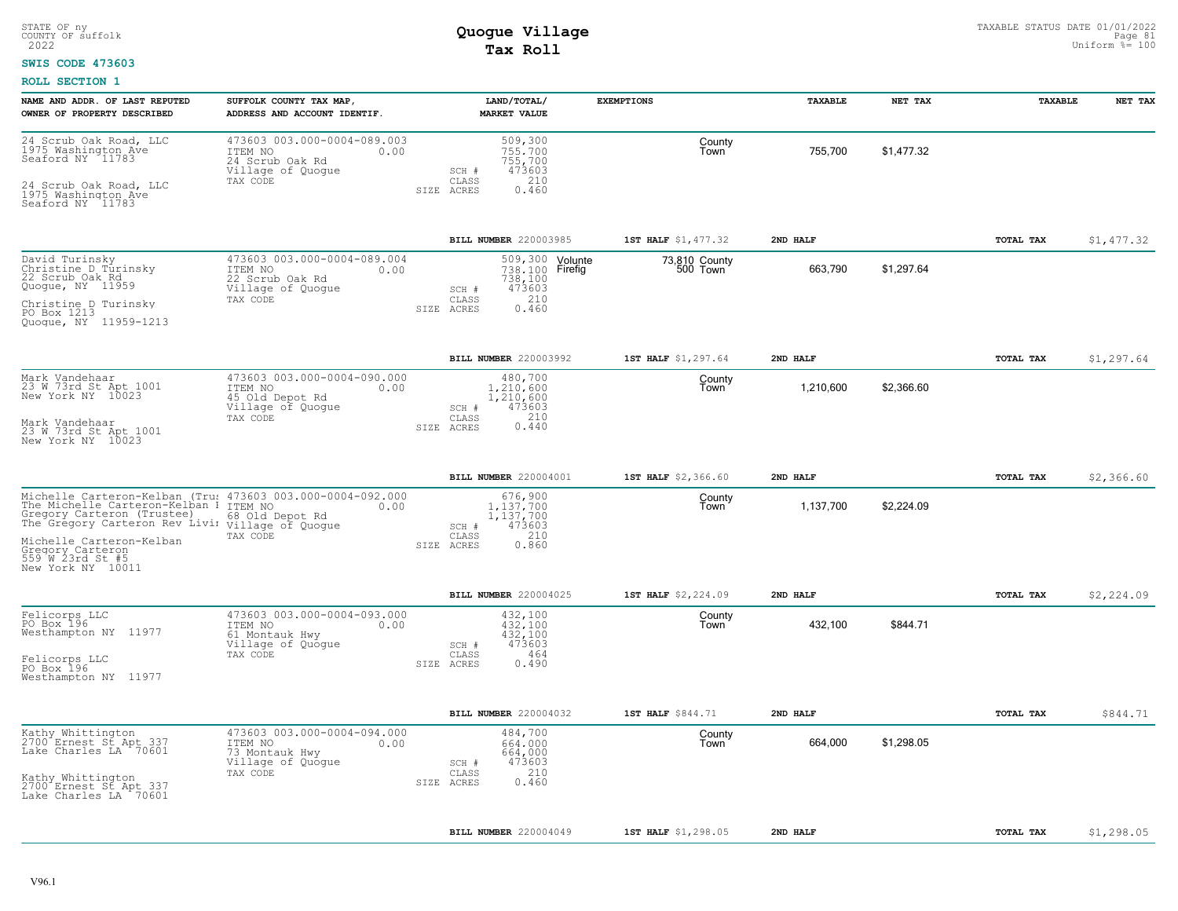#### **SWIS CODE 473603**

| NAME AND ADDR. OF LAST REPUTED<br>OWNER OF PROPERTY DESCRIBED                                                                                                                                                                                                                  | SUFFOLK COUNTY TAX MAP,<br>ADDRESS AND ACCOUNT IDENTIF.                                            |                                  | LAND/TOTAL/<br><b>MARKET VALUE</b>                                      | <b>EXEMPTIONS</b>         | TAXABLE   | NET TAX    | TAXABLE          | NET TAX    |
|--------------------------------------------------------------------------------------------------------------------------------------------------------------------------------------------------------------------------------------------------------------------------------|----------------------------------------------------------------------------------------------------|----------------------------------|-------------------------------------------------------------------------|---------------------------|-----------|------------|------------------|------------|
| 24 Scrub Oak Road, LLC<br>1975 Washington Ave<br>Seaford NY 11783<br>24 Scrub Oak Road, LLC<br>1975 Washington Ave<br>Seaford NY 11783                                                                                                                                         | 473603 003.000-0004-089.003<br>ITEM NO<br>0.00<br>24 Scrub Oak Rd<br>Village of Quogue<br>TAX CODE | SCH #<br>CLASS<br>SIZE ACRES     | 509,300<br>755,700<br>755,700<br>473603<br>210<br>0.460                 | County<br>Town            | 755,700   | \$1.477.32 |                  |            |
|                                                                                                                                                                                                                                                                                |                                                                                                    |                                  | BILL NUMBER 220003985                                                   | 1ST HALF \$1,477.32       | 2ND HALF  |            | TOTAL TAX        | \$1,477.32 |
| David Turinsky<br>Christine D Turinsky<br>22 Scrub Oak Rd<br>Quogue, NY 11959<br>Christine D Turinsky<br>PO Box 1213<br>Quoque, NY 11959-1213                                                                                                                                  | 473603 003.000-0004-089.004<br>ITEM NO<br>0.00<br>22 Scrub Oak Rd<br>Village of Quoque<br>TAX CODE | SCH #<br>CLASS<br>SIZE ACRES     | 509,300 Volunte<br>738,100 Firefig<br>738,100<br>473603<br>210<br>0.460 | 73,810 County<br>500 Town | 663,790   | \$1,297.64 |                  |            |
|                                                                                                                                                                                                                                                                                |                                                                                                    |                                  | BILL NUMBER 220003992                                                   | 1ST HALF \$1,297.64       | 2ND HALF  |            | TOTAL TAX        | \$1,297.64 |
| Mark Vandehaar<br>23 W 73rd St Apt 1001<br>New York NY 10023<br>Mark Vandehaar<br>23 W 73rd St Apt 1001<br>New York NY 10023                                                                                                                                                   | 473603 003.000-0004-090.000<br>ITEM NO<br>0.00<br>45 Old Depot Rd<br>Village of Quogue<br>TAX CODE | SCH #<br>CLASS<br>SIZE ACRES     | 480,700<br>1,210,600<br>1,210,600<br>473603<br>210<br>0.440             | County<br>Town            | 1,210,600 | \$2,366.60 |                  |            |
|                                                                                                                                                                                                                                                                                |                                                                                                    |                                  | BILL NUMBER 220004001                                                   | 1ST HALF \$2,366.60       | 2ND HALF  |            | TOTAL TAX        | \$2,366.60 |
| Michelle Carteron-Kelban (Tru: 473603 003.000-0004-092.000<br>The Michelle Carteron-Kelban I ITEM NO<br>Gregory Carteron (Trustee)<br>The Gregory Carteron Rev Livi village of Quogue<br>Michelle Carteron-Kelban<br>Gregory Carteron<br>559 W 23rd St #5<br>New York NY 10011 | 0.00<br>68 Old Depot Rd<br>TAX CODE                                                                | SCH #<br>CLASS<br>SIZE ACRES     | 676,900<br>1.137.700<br>1,137,700<br>473603<br>210<br>0.860             | County<br>Town            | 1,137,700 | \$2,224.09 |                  |            |
|                                                                                                                                                                                                                                                                                |                                                                                                    |                                  | BILL NUMBER 220004025                                                   | 1ST HALF \$2,224.09       | 2ND HALF  |            | TOTAL TAX        | \$2,224.09 |
| Felicorps LLC<br>PO Box 196<br>Westhampton NY 11977<br>Felicorps LLC<br>PO Box 196<br>Westhampton NY 11977                                                                                                                                                                     | 473603 003.000-0004-093.000<br>ITEM NO<br>0.00<br>61 Montauk Hwy<br>Village of Quogue<br>TAX CODE  | $SCH$ $#$<br>CLASS<br>SIZE ACRES | 432,100<br>432.100<br>432,100<br>473603<br>464<br>0.490                 | County<br>Town            | 432,100   | \$844.71   |                  |            |
|                                                                                                                                                                                                                                                                                |                                                                                                    |                                  | BILL NUMBER 220004032                                                   | 1ST HALF \$844.71         | 2ND HALF  |            | <b>TOTAL TAX</b> | \$844.71   |
| Kathy Whittington<br>2700 Ernest St Apt 337<br>Lake Charles LA 70601<br>Kathy Whittington<br>2700 Ernest St Apt 337<br>Lake Charles LA 70601                                                                                                                                   | 473603 003.000-0004-094.000<br>ITEM NO<br>0.00<br>73 Montauk Hwy<br>Village of Quogue<br>TAX CODE  | SCH #<br>CLASS<br>SIZE ACRES     | 484,700<br>664,000<br>664,000<br>473603<br>210<br>0.460                 | County<br>Town            | 664,000   | \$1.298.05 |                  |            |
|                                                                                                                                                                                                                                                                                |                                                                                                    |                                  | BILL NUMBER 220004049                                                   | 1ST HALF \$1,298.05       | 2ND HALF  |            | TOTAL TAX        | \$1,298.05 |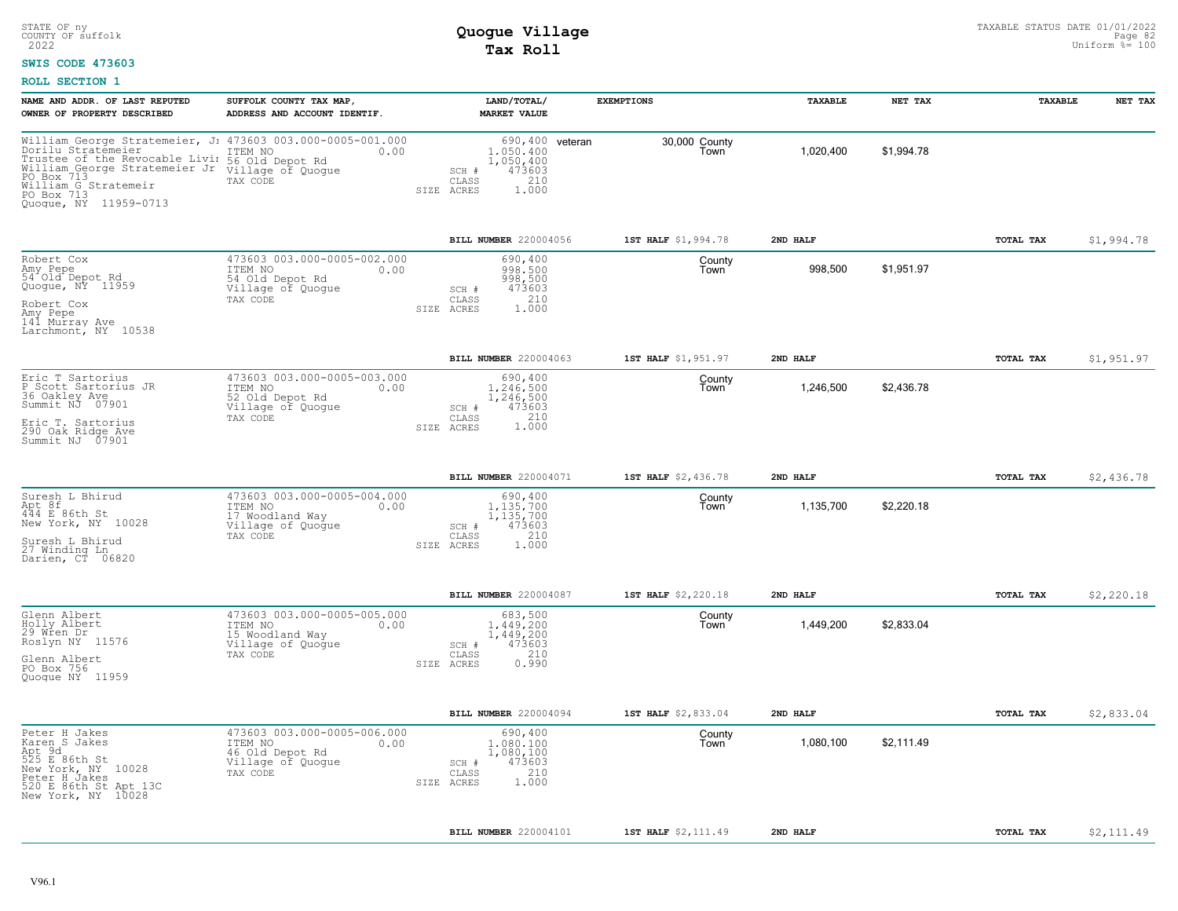### **SWIS CODE 473603**

| NAME AND ADDR. OF LAST REPUTED<br>SUFFOLK COUNTY TAX MAP,<br>OWNER OF PROPERTY DESCRIBED<br>ADDRESS AND ACCOUNT IDENTIF.                                                                                                                                                                        |                                      | LAND/TOTAL/<br><b>MARKET VALUE</b>                                  | <b>EXEMPTIONS</b>     | TAXABLE   | NET TAX    | TAXABLE          | NET TAX    |
|-------------------------------------------------------------------------------------------------------------------------------------------------------------------------------------------------------------------------------------------------------------------------------------------------|--------------------------------------|---------------------------------------------------------------------|-----------------------|-----------|------------|------------------|------------|
| William George Stratemeier, J: 473603 003.000-0005-001.000<br>Dorilu Stratēmeier<br>ITEM NO<br>Trustee of the Revocable Livin<br>56 Old Depot Rd<br>William George Stratemeier Jr<br>Village of Quogue<br>PO Box 713<br>TAX CODE<br>William G Stratemeir<br>PO Box 713<br>Quogue, NY 11959-0713 | 0.00<br>SCH #<br>CLASS<br>SIZE ACRES | 690,400 veteran<br>1,050,400<br>1,050,400<br>473603<br>210<br>1.000 | 30,000 County<br>Town | 1,020,400 | \$1.994.78 |                  |            |
|                                                                                                                                                                                                                                                                                                 |                                      | BILL NUMBER 220004056                                               | 1ST HALF \$1,994.78   | 2ND HALF  |            | <b>TOTAL TAX</b> | \$1,994.78 |
| 473603 003.000-0005-002.000<br>Robert Cox<br>Amy Pepe<br>ITEM NO<br>54 Old Depot Rd<br>54 Old Depot Rd<br>Quogue, NY 11959<br>Village of Quogue<br>TAX CODE<br>Robert Cox<br>Amy Pepe<br>141 Murray Ave<br>Larchmont, NY 10538                                                                  | 0.00<br>SCH #<br>CLASS<br>SIZE ACRES | 690,400<br>998,500<br>998,500<br>473603<br>210<br>1.000             | County<br>Town        | 998,500   | \$1,951.97 |                  |            |
|                                                                                                                                                                                                                                                                                                 |                                      | BILL NUMBER 220004063                                               | 1ST HALF \$1,951.97   | 2ND HALF  |            | TOTAL TAX        | \$1,951.97 |
| 473603 003.000-0005-003.000<br>Eric T Sartorius<br>P Scott Sartorius JR<br>ITEM NO<br>36 Oakley Ave<br>52 Old Depot Rd<br>Summit NJ 07901<br>Village of Quogue<br>TAX CODE<br>Eric T. Sartorius<br>290 Oak Ridge Ave<br>Summit NJ 07901                                                         | 0.00<br>SCH #<br>CLASS<br>SIZE ACRES | 690,400<br>1,246,500<br>1,246,500<br>473603<br>210<br>1.000         | County<br>Town        | 1,246,500 | \$2,436.78 |                  |            |
|                                                                                                                                                                                                                                                                                                 |                                      | BILL NUMBER 220004071                                               | 1ST HALF \$2,436.78   | 2ND HALF  |            | TOTAL TAX        | \$2,436.78 |
| 473603 003.000-0005-004.000<br>Suresh L Bhirud<br>Apt 8f<br>444 E 86th St<br>ITEM NO<br>17 Woodland Way<br>New York, NY 10028<br>Village of Quogue<br>TAX CODE<br>Suresh L Bhirud<br>27 Winding Ln.<br>Darien, CT 06820                                                                         | 0.00<br>SCH #<br>CLASS<br>SIZE ACRES | 690,400<br>1.135.700<br>1,135,700<br>473603<br>210<br>1.000         | County<br>Town        | 1,135,700 | \$2,220.18 |                  |            |
|                                                                                                                                                                                                                                                                                                 |                                      | BILL NUMBER 220004087                                               | 1ST HALF \$2,220.18   | 2ND HALF  |            | <b>TOTAL TAX</b> | \$2,220.18 |
| 473603 003.000-0005-005.000<br>Glenn Albert<br>Holly Albert<br>29 Wren Dr<br>ITEM NO<br>15 Woodland Way<br>Roslyn NY 11576<br>Village of Quogue<br>TAX CODE<br>Glenn Albert<br>PO Box 756<br>Quoque NY 11959                                                                                    | 0.00<br>SCH #<br>CLASS<br>SIZE ACRES | 683,500<br>1.449.200<br>1,449,200<br>473603<br>210<br>0.990         | County<br>Town        | 1,449,200 | \$2,833.04 |                  |            |
|                                                                                                                                                                                                                                                                                                 |                                      | BILL NUMBER 220004094                                               | 1ST HALF \$2,833.04   | 2ND HALF  |            | TOTAL TAX        | \$2,833.04 |
| 473603 003.000-0005-006.000<br>Peter H Jakes<br>Karen S Jakes<br>ITEM NO<br>Apt 9d<br>525 E 86th St<br>46 Old Depot Rd<br>Village of Quogue<br>New York, NY 10028<br>TAX CODE<br>Peter H Jakes<br>520 E 86th St Apt 13C<br>New York, NY 10028                                                   | 0.00<br>SCH #<br>CLASS<br>SIZE ACRES | 690,400<br>1,080,100<br>1,080,100<br>473603<br>210<br>1.000         | County<br>Town        | 1,080,100 | \$2,111.49 |                  |            |
|                                                                                                                                                                                                                                                                                                 |                                      | BILL NUMBER 220004101                                               | 1ST HALF \$2,111.49   | 2ND HALF  |            | TOTAL TAX        | \$2,111.49 |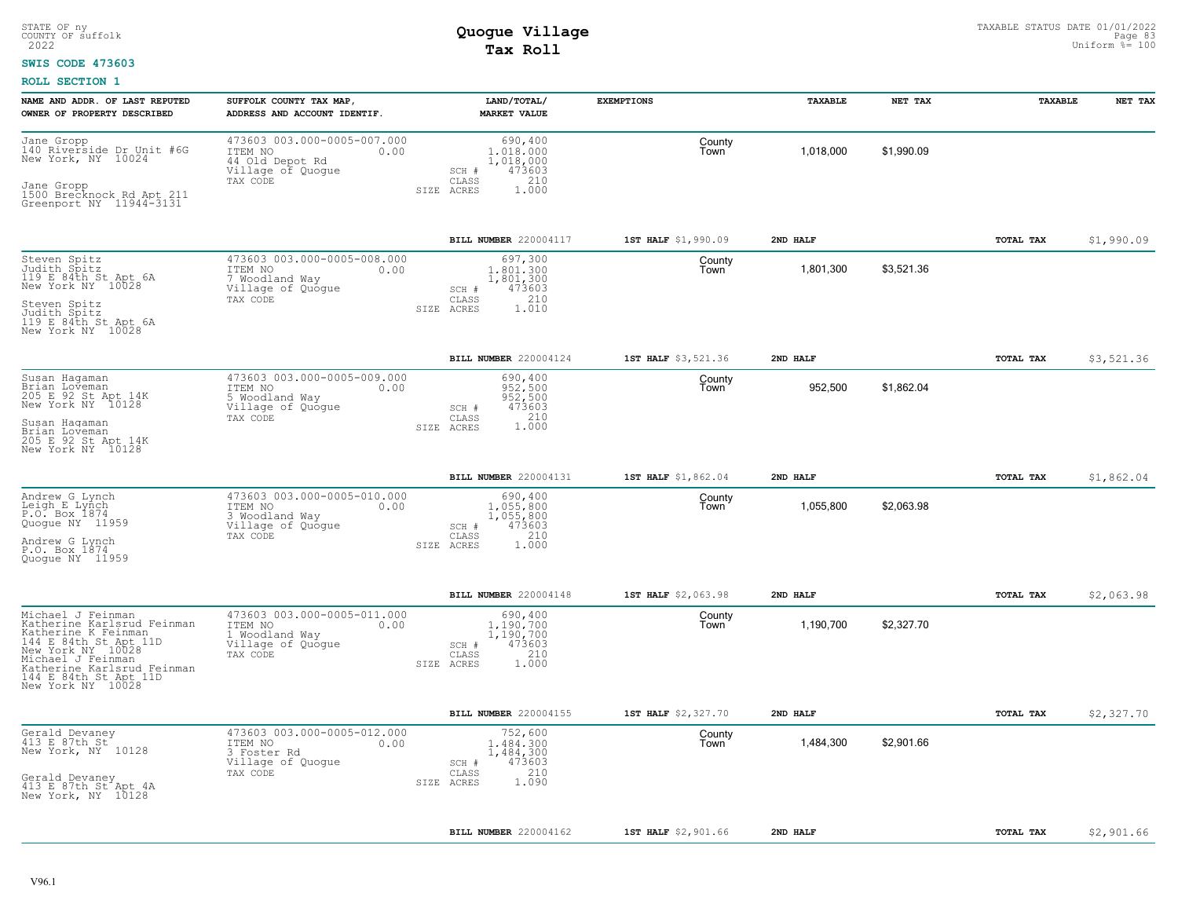### **SWIS CODE 473603**

| 473603 003.000-0005-007.000<br>Jane Gropp<br>690,400<br>County<br>140 Riverside Dr Unit #6G<br>1,018,000<br>\$1,990.09<br>ITEM NO<br>1,018,000<br>0.00<br>Town<br>New York, NY 10024<br>44 Old Depot Rd<br>1,018,000<br>Village of Quogue<br>473603<br>SCH #<br>210<br>TAX CODE<br>CLASS<br>Jane Gropp<br>SIZE ACRES<br>1.000<br>1500 Brecknock Rd Apt 211<br>Greenport NY 11944-3131                                                                                  | \$1,990.09 |
|------------------------------------------------------------------------------------------------------------------------------------------------------------------------------------------------------------------------------------------------------------------------------------------------------------------------------------------------------------------------------------------------------------------------------------------------------------------------|------------|
|                                                                                                                                                                                                                                                                                                                                                                                                                                                                        |            |
| BILL NUMBER 220004117<br>1ST HALF \$1,990.09<br>2ND HALF<br>TOTAL TAX                                                                                                                                                                                                                                                                                                                                                                                                  |            |
| 473603 003.000-0005-008.000<br>697,300<br>Steven Spitz<br>Judith Spitz<br>County<br>\$3,521.36<br>ITEM NO<br>1,801,300<br>1,801,300<br>0.00<br>Town<br>119 E 84th St Apt 6A<br>7 Woodland Way<br>1,801,300<br>New York NY 10028<br>Village of Quogue<br>473603<br>SCH #<br>210<br>CLASS<br>TAX CODE<br>Steven Spitz<br>Judith Spitz<br>1.010<br>SIZE ACRES<br>119 E 84th St Apt 6A<br>New York NY 10028                                                                |            |
| BILL NUMBER 220004124<br>1ST HALF \$3,521.36<br>2ND HALF<br>TOTAL TAX                                                                                                                                                                                                                                                                                                                                                                                                  | \$3,521.36 |
| 473603 003.000-0005-009.000<br>Susan Haqaman<br>690,400<br>County<br>952,500<br>\$1,862.04<br>Brian Loveman<br>205 E 92 St Apt 14K<br>952,500<br>ITEM NO<br>0.00<br>Town<br>952,500<br>5 Woodland Way<br>New York NY 10128<br>Village of Quogue<br>473603<br>SCH #<br>210<br>TAX CODE<br>CLASS<br>Susan Haqaman<br>1,000<br>SIZE ACRES<br>Brian Loveman<br>205 E 92 St Apt 14K<br>New York NY 10128                                                                    |            |
| BILL NUMBER 220004131<br>1ST HALF \$1,862.04<br>2ND HALF<br>TOTAL TAX                                                                                                                                                                                                                                                                                                                                                                                                  | \$1,862.04 |
| 473603 003.000-0005-010.000<br>Andrew G Lynch<br>690,400<br>County<br>Leigh E Lynch<br>\$2,063.98<br>1,055,800<br>1,055,800<br>ITEM NO<br>Town<br>0.00<br>P.O. Box 1874<br>Quogue NY 11959<br>1,055,800<br>3 Woodland Way<br>473603<br>Village of Quogue<br>SCH #<br>210<br>CLASS<br>TAX CODE<br>Andrew G Lynch<br>SIZE ACRES<br>1.000<br>P.O. Box 1874<br>Quoque NY 11959                                                                                             |            |
| BILL NUMBER 220004148<br>1ST HALF \$2,063.98<br>2ND HALF<br>TOTAL TAX                                                                                                                                                                                                                                                                                                                                                                                                  | \$2,063.98 |
| Michael J Feinman<br>473603 003.000-0005-011.000<br>690,400<br>County<br>Katherine Karlsrud Feinman<br>\$2,327.70<br>ITEM NO<br>1,190,700<br>1,190,700<br>0.00<br>Town<br>Katherine K Feinman<br>1,190,700<br>1 Woodland Way<br>144 E 84th St Apt 11D<br>473603<br>Village of Quogue<br>SCH #<br>New York NY 10028<br>210<br>CLASS<br>TAX CODE<br>Michael J Feinman<br>1.000<br>SIZE ACRES<br>Katherine Karlsrud Feinman<br>144 E 84th St Apt 11D<br>New York NY 10028 |            |
| BILL NUMBER 220004155<br>TOTAL TAX<br>1ST HALF \$2,327.70<br>2ND HALF                                                                                                                                                                                                                                                                                                                                                                                                  | \$2,327.70 |
| 473603 003.000-0005-012.000<br>Gerald Devaney<br>752,600<br>County<br>413 E 87th St<br>1,484,300<br>Town<br>1,484,300<br>\$2,901.66<br>ITEM NO<br>0.00<br>New York, NY 10128<br>3 Foster Rd<br>1,484,300<br>Village of Quogue<br>473603<br>SCH #<br>210<br>TAX CODE<br>CLASS<br>Gerald Devaney<br>1.090<br>SIZE ACRES<br>413 E 87th St Apt 4A<br>New York, NY 10128                                                                                                    |            |
| TOTAL TAX<br>BILL NUMBER 220004162<br>1ST HALF \$2,901.66<br>2ND HALF                                                                                                                                                                                                                                                                                                                                                                                                  | \$2,901.66 |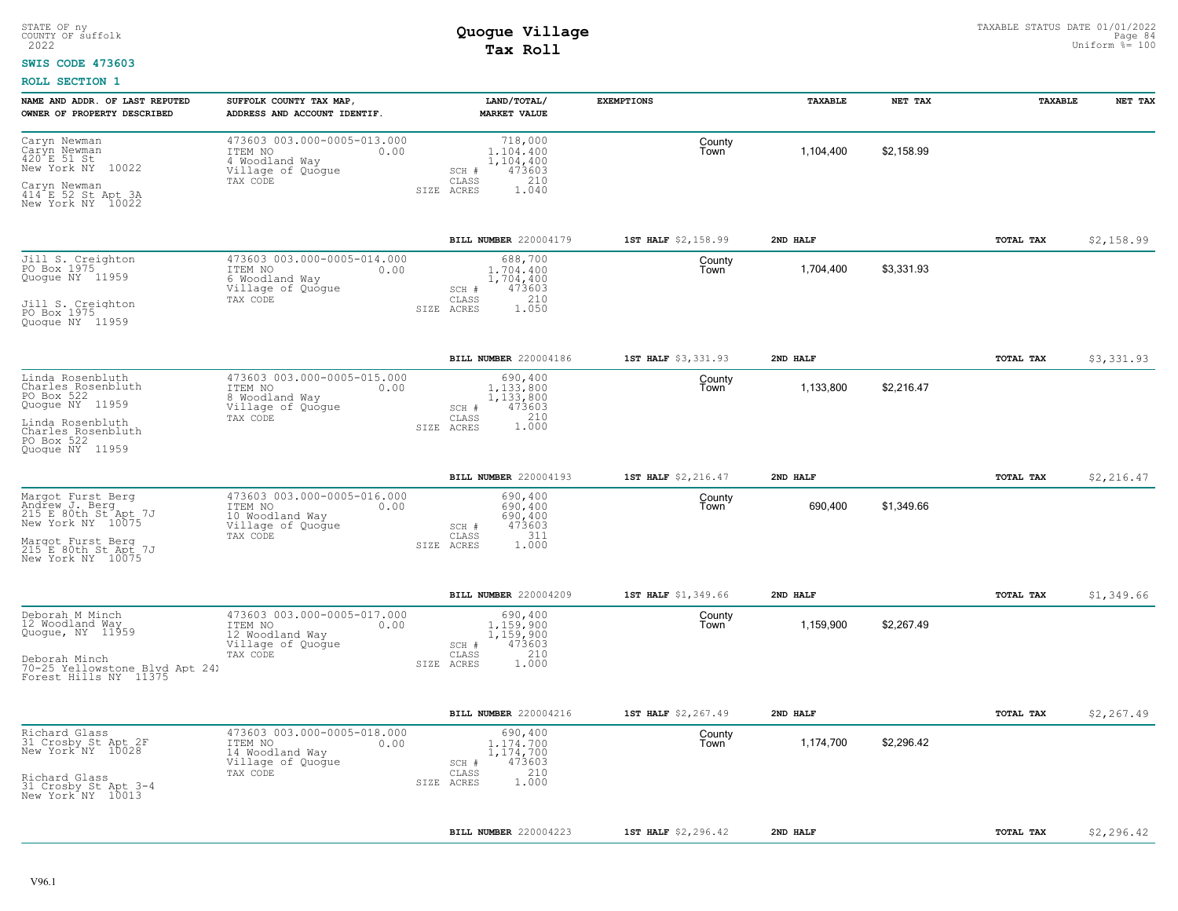### **SWIS CODE 473603**

| NAME AND ADDR. OF LAST REPUTED<br>OWNER OF PROPERTY DESCRIBED                                                                                      | SUFFOLK COUNTY TAX MAP,<br>ADDRESS AND ACCOUNT IDENTIF.                                            | LAND/TOTAL/<br><b>MARKET VALUE</b>                                                          | <b>EXEMPTIONS</b>   | TAXABLE   | NET TAX    | TAXABLE   | NET TAX     |
|----------------------------------------------------------------------------------------------------------------------------------------------------|----------------------------------------------------------------------------------------------------|---------------------------------------------------------------------------------------------|---------------------|-----------|------------|-----------|-------------|
| Caryn Newman<br>Caryn Newman<br>420 E 51 St<br>New York NY<br>10022<br>Caryn Newman<br>414 E 52 St Apt 3A<br>New York NY 10022                     | 473603 003.000-0005-013.000<br>ITEM NO<br>0.00<br>4 Woodland Way<br>Village of Quoque<br>TAX CODE  | 718,000<br>1,104,400<br>1,104,400<br>473603<br>SCH #<br>CLASS<br>210<br>1.040<br>SIZE ACRES | County<br>Town      | 1,104,400 | \$2,158.99 |           |             |
|                                                                                                                                                    |                                                                                                    | BILL NUMBER 220004179                                                                       | 1ST HALF \$2,158.99 | 2ND HALF  |            | TOTAL TAX | \$2,158.99  |
| Jill S. Creighton<br>PO Box 1975<br>Quogue NY 11959<br>Jill S. Creighton<br>PO Box 1975<br>Quoque NY 11959                                         | 473603 003.000-0005-014.000<br>ITEM NO<br>0.00<br>6 Woodland Way<br>Village of Quogue<br>TAX CODE  | 688,700<br>1,704,400<br>1,704,400<br>473603<br>SCH #<br>210<br>CLASS<br>SIZE ACRES<br>1.050 | County<br>Town      | 1,704,400 | \$3,331.93 |           |             |
|                                                                                                                                                    |                                                                                                    | BILL NUMBER 220004186                                                                       | 1ST HALF \$3,331.93 | 2ND HALF  |            | TOTAL TAX | \$3,331.93  |
| Linda Rosenbluth<br>Charles Rosenbluth<br>PO Box 522<br>Quogue NY 11959<br>Linda Rosenbluth<br>Charles_Rosenbluth<br>PO Box 522<br>Quoque NY 11959 | 473603 003.000-0005-015.000<br>0.00<br>ITEM NO<br>8 Woodland Way<br>Village of Quogue<br>TAX CODE  | 690,400<br>1,133,800<br>1,133,800<br>473603<br>SCH #<br>210<br>CLASS<br>1,000<br>SIZE ACRES | County<br>Town      | 1,133,800 | \$2,216.47 |           |             |
|                                                                                                                                                    |                                                                                                    | BILL NUMBER 220004193                                                                       | 1ST HALF \$2,216.47 | 2ND HAT.F |            | TOTAL TAX | \$2, 216.47 |
| Margot Furst Berg<br>Andrew J. Berg<br>215 E 80th St Apt 7J<br>New York NY 10075<br>Margot Furst Berg<br>215 E 80th St Apt 7J<br>New York NY 10075 | 473603 003.000-0005-016.000<br>ITEM NO<br>0.00<br>10 Woodland Way<br>Village of Quogue<br>TAX CODE | 690,400<br>690.400<br>690,400<br>473603<br>SCH #<br>311<br>CLASS<br>SIZE ACRES<br>1,000     | County<br>Town      | 690,400   | \$1,349.66 |           |             |
|                                                                                                                                                    |                                                                                                    | BILL NUMBER 220004209                                                                       | 1ST HALF \$1,349.66 | 2ND HALF  |            | TOTAL TAX | \$1,349.66  |
| Deborah M Minch<br>12 Woodland Way<br>Quogue, NY 11959<br>Deborah Minch<br>70-25 Yellowstone Blvd Apt 241<br>Forest Hills NY 11375                 | 473603 003.000-0005-017.000<br>0.00<br>ITEM NO<br>12 Woodland Way<br>Village of Quogue<br>TAX CODE | 690,400<br>1,159,900<br>1,159,900<br>473603<br>SCH #<br>210<br>CLASS<br>1,000<br>SIZE ACRES | County<br>Town      | 1,159,900 | \$2,267.49 |           |             |
|                                                                                                                                                    |                                                                                                    | BILL NUMBER 220004216                                                                       | 1ST HALF \$2,267.49 | 2ND HALF  |            | TOTAL TAX | \$2, 267.49 |
| Richard Glass<br>31 Crosby St Apt 2F<br>New York NY 10028<br>Richard Glass<br>31 Crosby St Apt 3-4<br>New York NY 10013                            | 473603 003.000-0005-018.000<br>0.00<br>ITEM NO<br>14 Woodland Way<br>Village of Quogue<br>TAX CODE | 690,400<br>1,174,700<br>1,174,700<br>473603<br>SCH #<br>210<br>CLASS<br>1,000<br>SIZE ACRES | County<br>Town      | 1,174,700 | \$2,296.42 |           |             |
|                                                                                                                                                    |                                                                                                    | BILL NUMBER 220004223                                                                       | 1ST HALF \$2,296.42 | 2ND HALF  |            | TOTAL TAX | \$2,296.42  |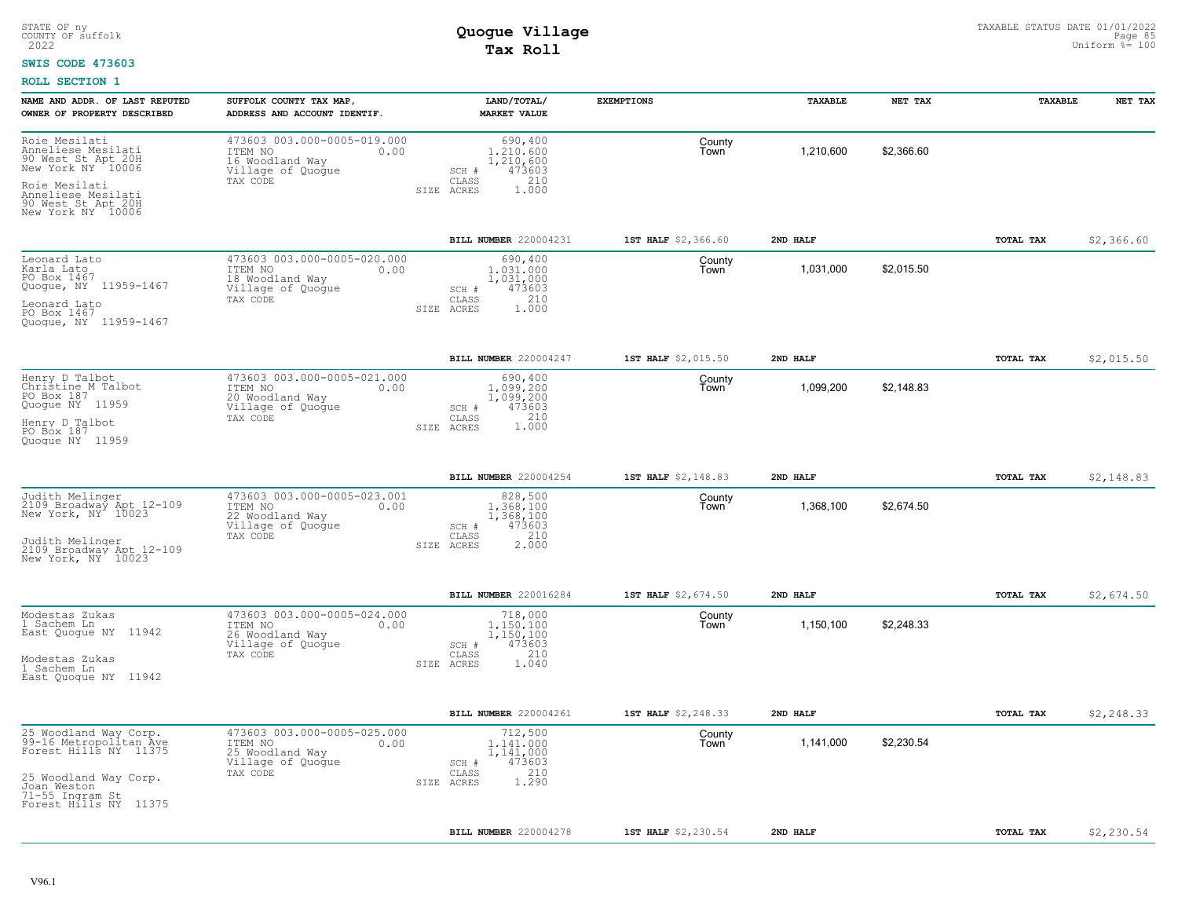#### **SWIS CODE 473603**

| NAME AND ADDR. OF LAST REPUTED<br>OWNER OF PROPERTY DESCRIBED                                                                                                    | SUFFOLK COUNTY TAX MAP,<br>ADDRESS AND ACCOUNT IDENTIF.                                            | LAND/TOTAL/<br><b>MARKET VALUE</b>                                                          | <b>EXEMPTIONS</b>   | TAXABLE   | NET TAX    | TAXABLE   | NET TAX     |
|------------------------------------------------------------------------------------------------------------------------------------------------------------------|----------------------------------------------------------------------------------------------------|---------------------------------------------------------------------------------------------|---------------------|-----------|------------|-----------|-------------|
| Roie Mesilati<br>Anneliese Mesilati<br>90 West St Apt 20H<br>New York NY 10006<br>Roie Mesilati<br>Anneliese Mesilati<br>90 West St Apt 20H<br>New York NY 10006 | 473603 003.000-0005-019.000<br>ITEM NO<br>0.00<br>16 Woodland Way<br>Village of Quogue<br>TAX CODE | 690,400<br>1,210,600<br>1,210,600<br>473603<br>SCH #<br>CLASS<br>210<br>SIZE ACRES<br>1,000 | County<br>Town      | 1,210,600 | \$2,366.60 |           |             |
|                                                                                                                                                                  |                                                                                                    | <b>BILL NUMBER 220004231</b>                                                                | 1ST HALF \$2,366.60 | 2ND HALF  |            | TOTAL TAX | \$2,366.60  |
| Leonard Lato<br>Karla Lato<br>PO Box 1467<br>Quogue, NY 11959-1467<br>Leonard Lato<br>PO Box 1467<br>Quoque, NY 11959-1467                                       | 473603 003.000-0005-020.000<br>ITEM NO<br>0.00<br>18 Woodland Way<br>Village of Quogue<br>TAX CODE | 690,400<br>1,031,000<br>1,031,000<br>473603<br>SCH #<br>210<br>CLASS<br>SIZE ACRES<br>1.000 | County<br>Town      | 1,031,000 | \$2,015.50 |           |             |
|                                                                                                                                                                  |                                                                                                    | BILL NUMBER 220004247                                                                       | 1ST HALF \$2,015.50 | 2ND HALF  |            | TOTAL TAX | \$2,015.50  |
| Henry D Talbot<br>Christine_M Talbot<br>PO Box 187<br>Quogue NY 11959<br>Henry D Talbot<br>PO Box 187<br>Quoque NY 11959                                         | 473603 003.000-0005-021.000<br>0.00<br>ITEM NO<br>20 Woodland Way<br>Village of Quogue<br>TAX CODE | 690,400<br>1,099,200<br>1,099,200<br>SCH #<br>473603<br>210<br>CLASS<br>1.000<br>SIZE ACRES | County<br>Town      | 1,099,200 | \$2,148.83 |           |             |
|                                                                                                                                                                  |                                                                                                    | BILL NUMBER 220004254                                                                       | 1ST HALF \$2,148.83 | 2ND HALF  |            | TOTAL TAX | \$2,148.83  |
| Judith Melinger<br>2109 Broadway Apt 12-109<br>New York, NY 10023<br>Judith Melinger<br>2109 Broadway Apt 12-109<br>New York, NY 10023                           | 473603 003.000-0005-023.001<br>ITEM NO<br>0.00<br>22 Woodland Way<br>Village of Quoque<br>TAX CODE | 828,500<br>1,368,100<br>1,368,100<br>473603<br>SCH #<br>210<br>CLASS<br>2,000<br>SIZE ACRES | County<br>Town      | 1,368,100 | \$2,674.50 |           |             |
|                                                                                                                                                                  |                                                                                                    | BILL NUMBER 220016284                                                                       | 1ST HALF \$2,674.50 | 2ND HALF  |            | TOTAL TAX | \$2,674.50  |
| Modestas Zukas<br>1 Sachem Ln<br>East Quogue NY 11942<br>Modestas Zukas<br>1 Sachem Ln<br>East Quoque NY 11942                                                   | 473603 003.000-0005-024.000<br>ITEM NO<br>0.00<br>26 Woodland Way<br>Village of Quogue<br>TAX CODE | 718,000<br>1,150,100<br>1,150,100<br>473603<br>SCH #<br>210<br>CLASS<br>1.040<br>SIZE ACRES | County<br>Town      | 1,150,100 | \$2,248.33 |           |             |
|                                                                                                                                                                  |                                                                                                    | BILL NUMBER 220004261                                                                       | 1ST HALF \$2,248.33 | 2ND HALF  |            | TOTAL TAX | \$2, 248.33 |
| 25 Woodland Way Corp.<br>99-16 Metropolitan Ave<br>Forest Hills NY 11375<br>25 Woodland Way Corp.<br>Joan Weston<br>71-55 Ingram St<br>Forest Hills NY 11375     | 473603 003.000-0005-025.000<br>ITEM NO<br>0.00<br>25 Woodland Way<br>Village of Quogue<br>TAX CODE | 712,500<br>1,141,000<br>1,141,000<br>473603<br>SCH #<br>210<br>CLASS<br>1,290<br>SIZE ACRES | County<br>Town      | 1,141,000 | \$2,230.54 |           |             |
|                                                                                                                                                                  |                                                                                                    | BILL NUMBER 220004278                                                                       | 1ST HALF \$2,230.54 | 2ND HALF  |            | TOTAL TAX | \$2,230.54  |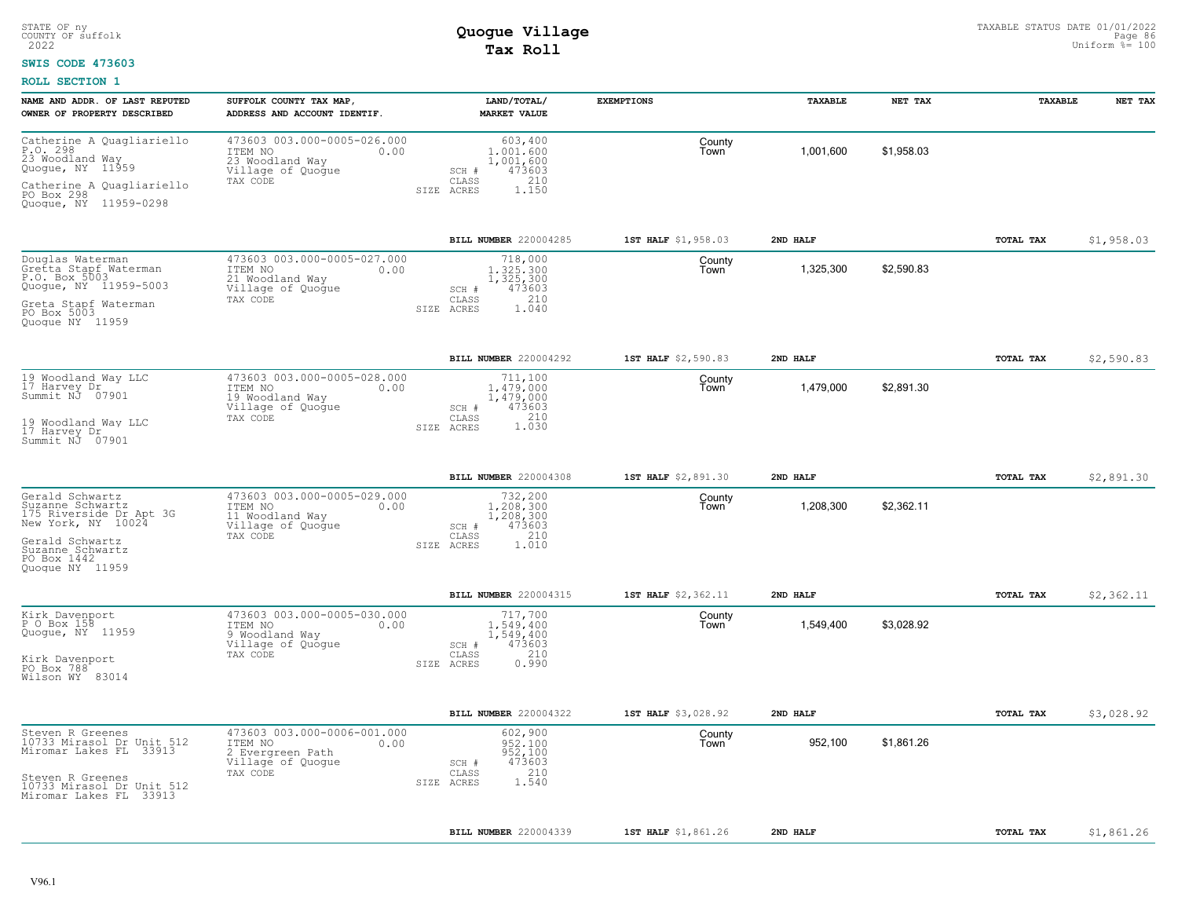### **SWIS CODE 473603**

| NAME AND ADDR. OF LAST REPUTED                                                                                             | SUFFOLK COUNTY TAX MAP,                                                                            | LAND/TOTAL/                                                                                 | <b>EXEMPTIONS</b>   | TAXABLE   | NET TAX    | TAXABLE   | NET TAX    |
|----------------------------------------------------------------------------------------------------------------------------|----------------------------------------------------------------------------------------------------|---------------------------------------------------------------------------------------------|---------------------|-----------|------------|-----------|------------|
| OWNER OF PROPERTY DESCRIBED                                                                                                | ADDRESS AND ACCOUNT IDENTIF.                                                                       | <b>MARKET VALUE</b>                                                                         |                     |           |            |           |            |
| Catherine A Quagliariello<br>P.O. 298<br>23 Woodland Way<br>Quogue, NY 11959                                               | 473603 003.000-0005-026.000<br>ITEM NO<br>0.00<br>23 Woodland Way<br>Village of Quogue             | 603,400<br>1,001,600<br>1,001,600<br>473603<br>SCH #                                        | County<br>Town      | 1,001,600 | \$1,958.03 |           |            |
| Catherine A Quagliariello<br>PO Box 298<br>Quoque, NY 11959-0298                                                           | TAX CODE                                                                                           | CLASS<br>210<br>1.150<br>SIZE ACRES                                                         |                     |           |            |           |            |
|                                                                                                                            |                                                                                                    | <b>BILL NUMBER 220004285</b>                                                                | 1ST HALF \$1,958.03 | 2ND HALF  |            | TOTAL TAX | \$1,958.03 |
| Douglas Waterman<br>Gretta Stapf Waterman<br>P.O. Box 5003<br>Quogue, NY 11959-5003<br>Greta Stapf Waterman<br>PO Box 5003 | 473603 003.000-0005-027.000<br>ITEM NO<br>0.00<br>21 Woodland Way<br>Village of Quogue<br>TAX CODE | 718,000<br>1.325.300<br>1,325,300<br>473603<br>SCH #<br>210<br>CLASS<br>1.040<br>SIZE ACRES | County<br>Town      | 1,325,300 | \$2,590.83 |           |            |
| Quoque NY 11959                                                                                                            |                                                                                                    |                                                                                             |                     |           |            |           |            |
|                                                                                                                            |                                                                                                    | BILL NUMBER 220004292                                                                       | 1ST HALF \$2,590.83 | 2ND HALF  |            | TOTAL TAX | \$2,590.83 |
| 19 Woodland Way LLC<br>17 Harvey Dr<br>Summit NJ 07901                                                                     | 473603 003.000-0005-028.000<br>ITEM NO<br>0.00<br>19 Woodland Way<br>Village of Quogue             | 711,100<br>1.479.000<br>1,479,000<br>473603<br>SCH #                                        | County<br>Town      | 1,479,000 | \$2,891.30 |           |            |
| 19 Woodland Way LLC<br>17 Harvey Dr<br>Summit NJ 07901                                                                     | TAX CODE                                                                                           | CLASS<br>1.030<br>SIZE ACRES                                                                |                     |           |            |           |            |
|                                                                                                                            |                                                                                                    | BILL NUMBER 220004308                                                                       | 1ST HALF \$2,891.30 | 2ND HALF  |            | TOTAL TAX | \$2,891.30 |
| Gerald Schwartz<br>Suzanne Schwartz<br>175 Riverside Dr Apt 3G<br>New York, NY 10024                                       | 473603 003.000-0005-029.000<br>ITEM NO<br>0.00<br>11 Woodland Way<br>Village of Quogue<br>TAX CODE | 732,200<br>1,208,300<br>1,208,300<br>473603<br>SCH #<br>210<br>CLASS                        | County<br>Town      | 1,208,300 | \$2,362.11 |           |            |
| Gerald Schwartz<br>Suzanne Schwartz<br>PO Box 1442<br>Quoque NY 11959                                                      |                                                                                                    | 1.010<br>SIZE ACRES                                                                         |                     |           |            |           |            |
|                                                                                                                            |                                                                                                    | BILL NUMBER 220004315                                                                       | 1ST HALF \$2,362.11 | 2ND HALF  |            | TOTAL TAX | \$2,362.11 |
| Kirk Davenport<br>P O Box 158<br>Quogue, NY 11959                                                                          | 473603 003.000-0005-030.000<br>ITEM NO<br>0.00<br>9 Woodland Way<br>Village of Quogue              | 717,700<br>1,549,400<br>1,549,400<br>473603<br>SCH #                                        | County<br>Town      | 1,549,400 | \$3,028.92 |           |            |
| Kirk Davenport<br>PO Box 788<br>Wilson WY 83014                                                                            | TAX CODE                                                                                           | 210<br>CLASS<br>SIZE ACRES<br>0.990                                                         |                     |           |            |           |            |
|                                                                                                                            |                                                                                                    | <b>BILL NUMBER</b> 220004322                                                                | 1ST HALF \$3,028.92 | 2ND HALF  |            | TOTAL TAX | \$3,028.92 |
| Steven R Greenes<br>10733 Mirasol Dr Unit 512<br>Miromar Lakes FL 33913                                                    | 473603 003.000-0006-001.000<br>ITEM NO<br>0.00<br>2 Evergreen Path<br>Village of Quogue            | 602,900<br>952.100<br>952,100<br>473603<br>SCH #                                            | County<br>Town      | 952,100   | \$1,861.26 |           |            |
| Steven R Greenes<br>10733 Mirasol Dr Unit 512<br>Miromar Lakes FL 33913                                                    | TAX CODE                                                                                           | 210<br>CLASS<br>1.540<br>SIZE ACRES                                                         |                     |           |            |           |            |
|                                                                                                                            |                                                                                                    | BILL NUMBER 220004339                                                                       | 1ST HALF \$1,861.26 | 2ND HALF  |            | TOTAL TAX | \$1,861.26 |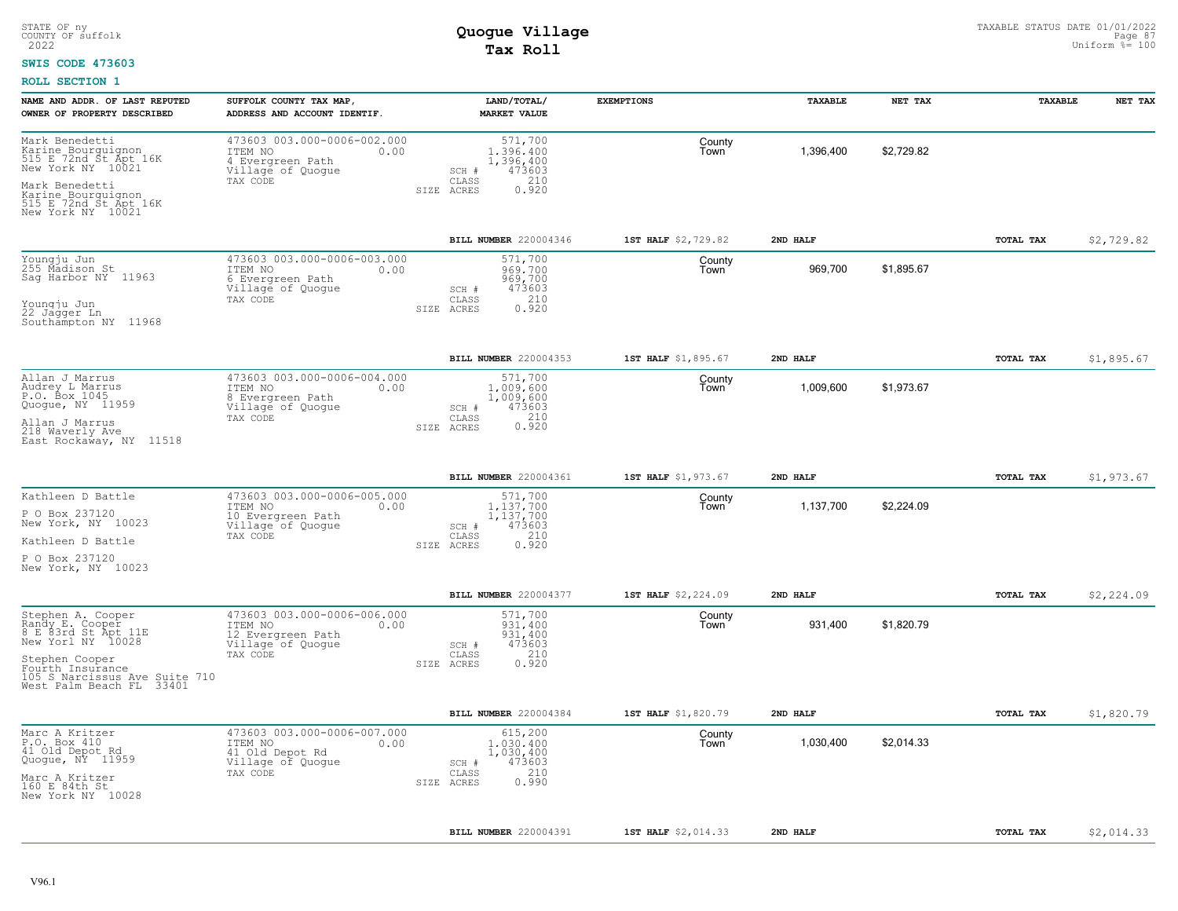#### **SWIS CODE 473603**

| NAME AND ADDR. OF LAST REPUTED<br>OWNER OF PROPERTY DESCRIBED                                                                                                                       | SUFFOLK COUNTY TAX MAP,<br>ADDRESS AND ACCOUNT IDENTIF.                                              | LAND/TOTAL/<br><b>MARKET VALUE</b>                                                                 | <b>EXEMPTIONS</b>   | TAXABLE   | NET TAX    | <b>TAXABLE</b> | NET TAX    |
|-------------------------------------------------------------------------------------------------------------------------------------------------------------------------------------|------------------------------------------------------------------------------------------------------|----------------------------------------------------------------------------------------------------|---------------------|-----------|------------|----------------|------------|
| Mark Benedetti<br>Karine Bourguignon<br>515 E 72nd Št Apt 16K<br>New York NY 10021<br>Mark Benedetti<br>Karine Bourguignon<br>515 E 72nd St Apt 16K<br>New York NY 10021            | 473603 003.000-0006-002.000<br>ITEM NO<br>0.00<br>4 Evergreen Path<br>Village of Quogue<br>TAX CODE  | 571,700<br>1,396,400<br>1,396,400<br>473603<br>SCH #<br>210<br>CLASS<br>0.920<br>SIZE ACRES        | County<br>Town      | 1,396,400 | \$2,729.82 |                |            |
|                                                                                                                                                                                     |                                                                                                      | <b>BILL NUMBER</b> 220004346                                                                       | 1ST HALF \$2,729.82 | 2ND HALF  |            | TOTAL TAX      | \$2,729.82 |
| Youngju Jun<br>255 Madison St<br>Sag Harbor NY 11963<br>Youngju Jun<br>22 Jagger Ln<br>Southampton NY 11968                                                                         | 473603 003.000-0006-003.000<br>ITEM NO<br>0.00<br>6 Evergreen Path<br>Village of Quoque<br>TAX CODE  | 571,700<br>969,700<br>969,700<br>473603<br>SCH #<br>210<br>CLASS<br>SIZE ACRES<br>0.920            | County<br>Town      | 969,700   | \$1,895.67 |                |            |
|                                                                                                                                                                                     |                                                                                                      | BILL NUMBER 220004353                                                                              | 1ST HALF \$1,895.67 | 2ND HALF  |            | TOTAL TAX      | \$1,895.67 |
| Allan J Marrus<br>Audrey L Marrus<br>P.O. Box 1045<br>Quoque, NY 11959<br>Allan J Marrus<br>218 Waverly Ave<br>East Rockaway, NY 11518                                              | 473603 003.000-0006-004.000<br>ITEM NO<br>0.00<br>8 Evergreen Path<br>Village of Quogue<br>TAX CODE  | 571,700<br>1,009,600<br>1,009,600<br>473603<br>SCH #<br>0.210<br>CLASS<br>SIZE ACRES               | County<br>Town      | 1,009,600 | \$1,973.67 |                |            |
|                                                                                                                                                                                     |                                                                                                      | BILL NUMBER 220004361                                                                              | 1ST HALF \$1,973.67 | 2ND HALF  |            | TOTAL TAX      | \$1,973.67 |
| Kathleen D Battle<br>P O Box 237120<br>New York, NY 10023<br>Kathleen D Battle<br>P O Box 237120<br>New York, NY 10023                                                              | 473603 003.000-0006-005.000<br>ITEM NO<br>0.00<br>10 Evergreen Path<br>Village of Quogue<br>TAX CODE | 571,700<br>1.137.700<br>1,137,700<br>473603<br>SCH #<br>210<br>CLASS<br>0.920<br>SIZE ACRES        | County<br>Town      | 1,137,700 | \$2,224.09 |                |            |
|                                                                                                                                                                                     |                                                                                                      | BILL NUMBER 220004377                                                                              | 1ST HALF \$2,224.09 | 2ND HALF  |            | TOTAL TAX      | \$2,224.09 |
| Stephen A. Cooper<br>Randy E. Cooper<br>8 E 83rd St Apt 11E<br>New Yorl NY 10028<br>Stephen Cooper<br>Fourth Insurance<br>105 S Narcissus Ave Suite 710<br>West Palm Beach FL 33401 | 473603 003.000-0006-006.000<br>ITEM NO<br>0.00<br>12 Evergreen Path<br>Village of Quogue<br>TAX CODE | 571,700<br>931,400<br>931,400<br>473603<br>SCH #<br>210<br>$\mathtt{CLASS}$<br>SIZE ACRES<br>0.920 | County<br>Town      | 931,400   | \$1,820.79 |                |            |
|                                                                                                                                                                                     |                                                                                                      | BILL NUMBER 220004384                                                                              | 1ST HALF \$1,820.79 | 2ND HALF  |            | TOTAL TAX      | \$1,820.79 |
| Marc A Kritzer<br>P.O. Box 410<br>41 Old Depot Rd<br>Quogue, NY 11959<br>Marc A Kritzer<br>160 E 84th St<br>New York NY 10028                                                       | 473603 003.000-0006-007.000<br>ITEM NO<br>0.00<br>41 Old Depot Rd<br>Village of Quogue<br>TAX CODE   | 615,200<br>1,030,400<br>1,030,400<br>473603<br>SCH #<br>210<br>CLASS<br>0.990<br>SIZE ACRES        | County<br>Town      | 1,030,400 | \$2,014.33 |                |            |
|                                                                                                                                                                                     |                                                                                                      | BILL NUMBER 220004391                                                                              | 1ST HALF \$2,014.33 | 2ND HALF  |            | TOTAL TAX      | \$2,014.33 |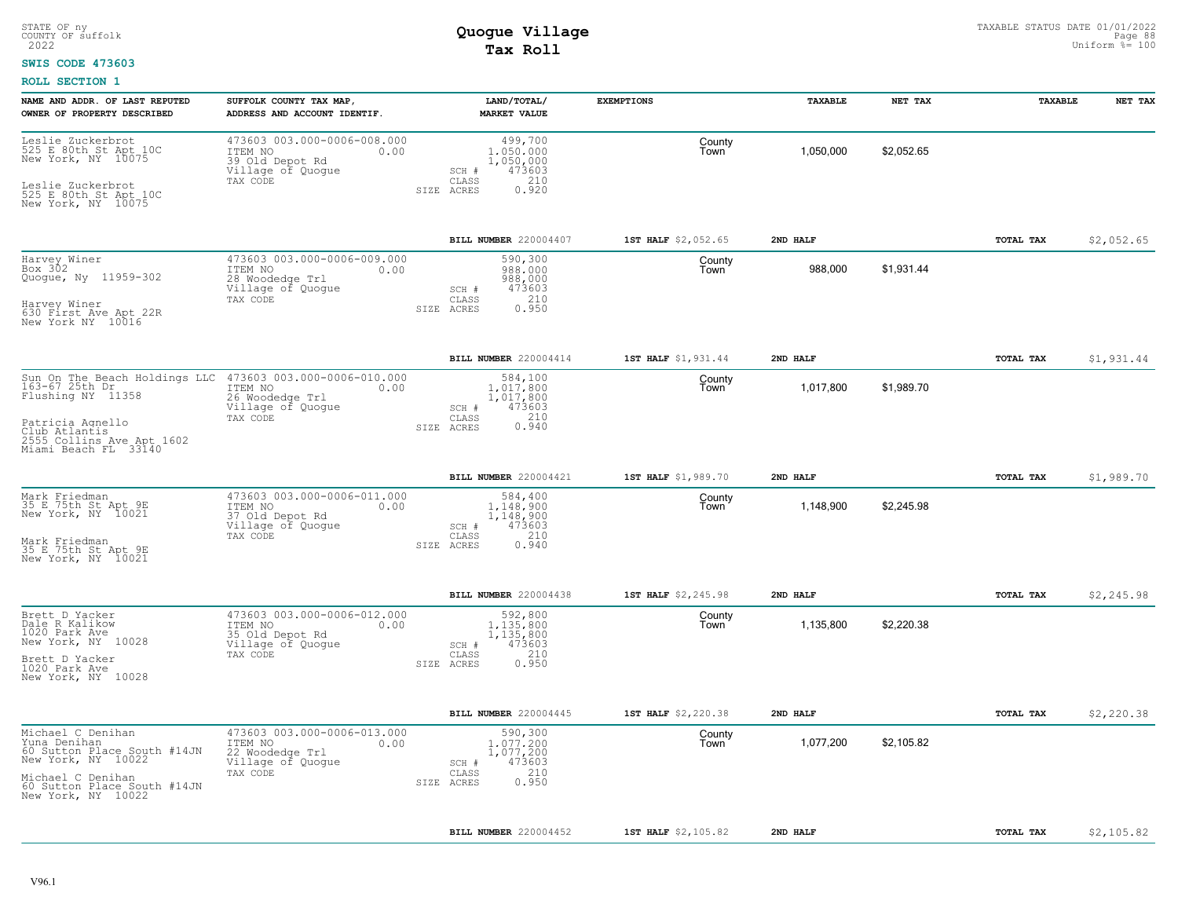#### **SWIS CODE 473603**

| NAME AND ADDR. OF LAST REPUTED<br>OWNER OF PROPERTY DESCRIBED                                                                                                    | SUFFOLK COUNTY TAX MAP,<br>ADDRESS AND ACCOUNT IDENTIF.                                            | LAND/TOTAL/<br><b>MARKET VALUE</b>                                                                     | <b>EXEMPTIONS</b>   | TAXABLE   | NET TAX    | TAXABLE          | NET TAX    |
|------------------------------------------------------------------------------------------------------------------------------------------------------------------|----------------------------------------------------------------------------------------------------|--------------------------------------------------------------------------------------------------------|---------------------|-----------|------------|------------------|------------|
| Leslie Zuckerbrot<br>525 E 80th St Apt 10C<br>New York, NY 10075<br>Leslie Zuckerbrot<br>525 E 80th St Apt 10C<br>New York, NY 10075                             | 473603 003.000-0006-008.000<br>ITEM NO<br>0.00<br>39 Old Depot Rd<br>Village of Quogue<br>TAX CODE | 499,700<br>1,050,000<br>1,050,000<br>473603<br>SCH #<br>210<br>CLASS<br>0.920<br>SIZE ACRES            | County<br>Town      | 1,050,000 | \$2,052.65 |                  |            |
|                                                                                                                                                                  |                                                                                                    | BILL NUMBER 220004407                                                                                  | 1ST HALF \$2,052.65 | 2ND HALF  |            | TOTAL TAX        | \$2,052.65 |
| Harvey Winer<br>Box 302<br>Quogue, Ny 11959-302<br>Harvey Winer<br>630 First Ave Apt 22R<br>New York NY 10016                                                    | 473603 003.000-0006-009.000<br>ITEM NO<br>0.00<br>28 Woodedge Trl<br>Village of Quogue<br>TAX CODE | 590,300<br>988,000<br>988,000<br>473603<br>SCH #<br>210<br>CLASS<br>0.950<br>SIZE ACRES                | County<br>Town      | 988,000   | \$1,931.44 |                  |            |
|                                                                                                                                                                  |                                                                                                    | BILL NUMBER 220004414                                                                                  | 1ST HALF \$1,931.44 | 2ND HALF  |            | TOTAL TAX        | \$1,931.44 |
| Sun On The Beach Holdings LLC<br>163-67 25th Dr.<br>Flushing NY 11358<br>Patricia Agnello<br>Club Atlantis<br>2555 Collins Ave Apt 1602<br>Miami Beach FL 33140  | 473603 003.000-0006-010.000<br>ITEM NO<br>0.00<br>26 Woodedge Trl<br>Village of Quogue<br>TAX CODE | 584,100<br>1,017,800<br>1,017,800<br>473603<br>SCH #<br>0.210<br>CLASS<br>SIZE ACRES                   | County<br>Town      | 1,017,800 | \$1,989.70 |                  |            |
|                                                                                                                                                                  |                                                                                                    | BILL NUMBER 220004421                                                                                  | 1ST HALF \$1,989.70 | 2ND HALF  |            | TOTAL TAX        | \$1,989.70 |
| Mark Friedman<br>35 E.75th St Apt 9E<br>New York, NY 10021<br>Mark Friedman<br>35 E 75th St Apt 9E<br>New York, NY 10021                                         | 473603 003.000-0006-011.000<br>ITEM NO<br>0.00<br>37 Old Depot Rd<br>Village of Quogue<br>TAX CODE | 584,400<br>1,148,900<br>1,148,900<br>473603<br>SCH #<br>210<br>CLASS<br>0.940<br>SIZE ACRES            | County<br>Town      | 1,148,900 | \$2,245.98 |                  |            |
|                                                                                                                                                                  |                                                                                                    | BILL NUMBER 220004438                                                                                  | 1ST HALF \$2,245.98 | 2ND HALF  |            | TOTAL TAX        | \$2,245.98 |
| Brett D Yacker<br>Dale R Kalikow<br>1020 Park Ave<br>New York, NY 10028<br>Brett D Yacker<br>1020 Park Ave<br>New York, NY 10028                                 | 473603 003.000-0006-012.000<br>ITEM NO<br>0.00<br>35 Old Depot Rd<br>Village of Quogue<br>TAX CODE | 592,800<br>1,135,800<br>1,135,800<br>473603<br>SCH #<br>210<br>$\mathtt{CLASS}$<br>SIZE ACRES<br>0.950 | County<br>Town      | 1,135,800 | \$2,220.38 |                  |            |
|                                                                                                                                                                  |                                                                                                    | <b>BILL NUMBER 220004445</b>                                                                           | 1ST HALF \$2,220.38 | 2ND HALF  |            | <b>TOTAL TAX</b> | \$2,220.38 |
| Michael C Denihan<br>Yuna Denihan<br>60 Sutton Place South #14JN<br>New York, NY 10022<br>Michael C Denihan<br>60 Sutton Place South #14JN<br>New York, NY 10022 | 473603 003.000-0006-013.000<br>ITEM NO<br>0.00<br>22 Woodedge Trl<br>Village of Quogue<br>TAX CODE | 590,300<br>1,077,200<br>1,077,200<br>473603<br>SCH #<br>210<br>CLASS<br>0.950<br>SIZE ACRES            | County<br>Town      | 1,077,200 | \$2,105.82 |                  |            |
|                                                                                                                                                                  |                                                                                                    | BILL NUMBER 220004452                                                                                  | 1ST HALF \$2,105.82 | 2ND HALF  |            | TOTAL TAX        | \$2,105.82 |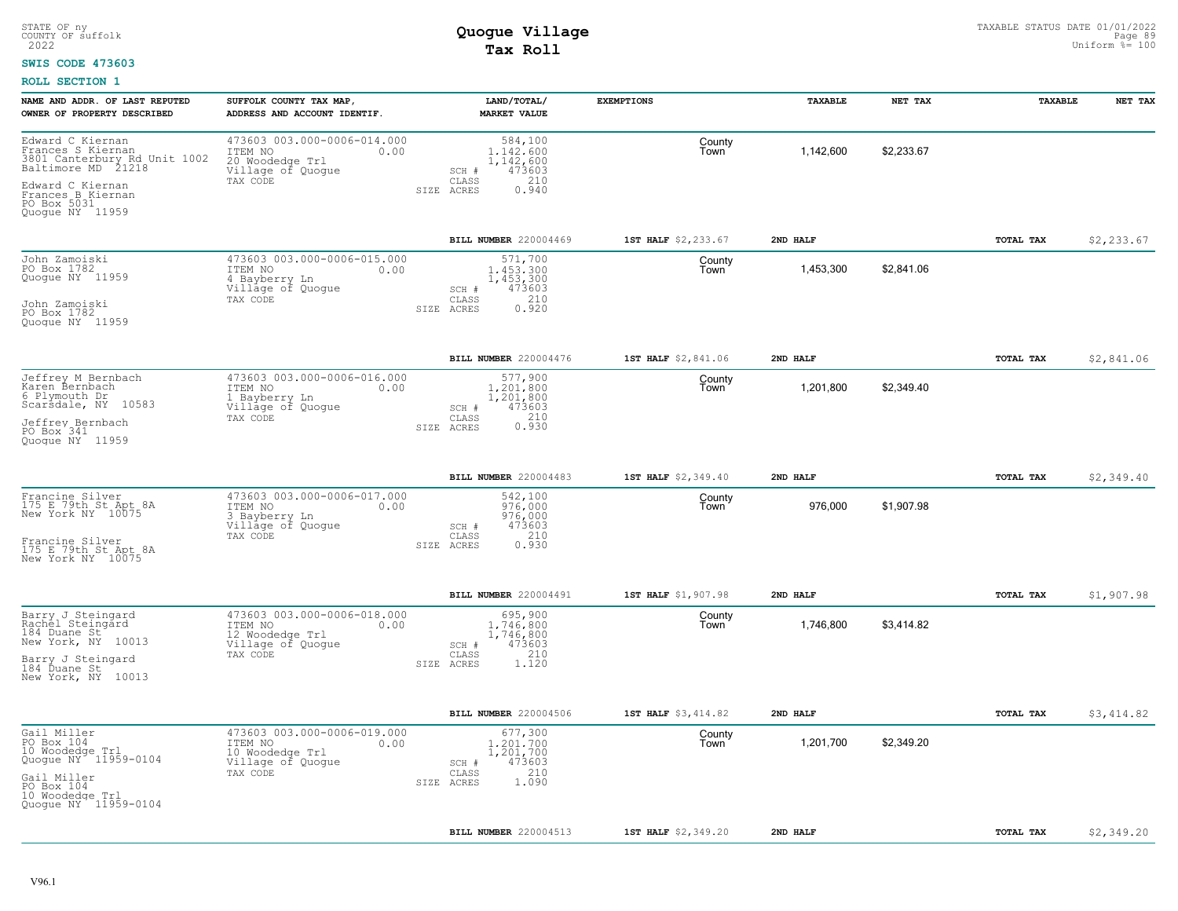### **SWIS CODE 473603**

| NAME AND ADDR. OF LAST REPUTED                                                              | SUFFOLK COUNTY TAX MAP,                                                                          | LAND/TOTAL/                                                                                 | <b>EXEMPTIONS</b>   | TAXABLE   | NET TAX    | TAXABLE   | NET TAX    |
|---------------------------------------------------------------------------------------------|--------------------------------------------------------------------------------------------------|---------------------------------------------------------------------------------------------|---------------------|-----------|------------|-----------|------------|
| OWNER OF PROPERTY DESCRIBED                                                                 | ADDRESS AND ACCOUNT IDENTIF.                                                                     | <b>MARKET VALUE</b>                                                                         |                     |           |            |           |            |
| Edward C Kiernan<br>Frances S Kiernan<br>3801 Canterbury Rd Unit 1002<br>Baltimore MD 21218 | 473603 003.000-0006-014.000<br>ITEM NO<br>0.00<br>20 Woodedge Trl<br>Village of Quogue           | 584,100<br>1,142,600<br>1,142,600<br>473603<br>$SCH$ $#$                                    | County<br>Town      | 1,142,600 | \$2,233.67 |           |            |
| Edward C Kiernan<br>Frances B Kiernan<br>PO Box 5031<br>Quogue NY 11959                     | TAX CODE                                                                                         | CLASS<br>210<br>0.940<br>SIZE ACRES                                                         |                     |           |            |           |            |
|                                                                                             |                                                                                                  | <b>BILL NUMBER</b> 220004469                                                                | 1ST HALF \$2,233.67 | 2ND HALF  |            | TOTAL TAX | \$2,233.67 |
| John Zamoiski<br>PO Box 1782<br>Quogue NY 11959<br>John Zamoiski<br>PO Box 1782             | 473603 003.000-0006-015.000<br>0.00<br>ITEM NO<br>4 Bayberry Ln<br>Village of Quogue<br>TAX CODE | 571,700<br>1,453,300<br>1,453,300<br>473603<br>SCH #<br>210<br>CLASS<br>0.920<br>SIZE ACRES | County<br>Town      | 1,453,300 | \$2,841.06 |           |            |
| Quoque NY 11959                                                                             |                                                                                                  |                                                                                             |                     |           |            |           |            |
|                                                                                             |                                                                                                  | BILL NUMBER 220004476                                                                       | 1ST HALF \$2,841.06 | 2ND HALF  |            | TOTAL TAX | \$2,841.06 |
| Jeffrey M Bernbach<br>Karen Bernbach<br>6 Plymouth Dr<br>Scarsdale, NY 10583                | 473603 003.000-0006-016.000<br>ITEM NO<br>0.00<br>1 Bayberry Ln<br>Village of Quogue             | 577,900<br>1,201,800<br>1,201,800<br>473603<br>SCH #                                        | County<br>Town      | 1,201,800 | \$2,349.40 |           |            |
| Jeffrey Bernbach<br>PO Box 341<br>Quoque NY 11959                                           | TAX CODE                                                                                         | 0.210<br>CLASS<br>SIZE ACRES                                                                |                     |           |            |           |            |
|                                                                                             |                                                                                                  | <b>BILL NUMBER 220004483</b>                                                                | 1ST HALF \$2,349.40 | 2ND HALF  |            | TOTAL TAX | \$2,349.40 |
| Francine Silver<br>175 E 79th St Apt 8A<br>New York NY 10075                                | 473603 003.000-0006-017.000<br>ITEM NO<br>0.00<br>3 Bayberry Ln<br>Village of Quogue             | 542,100<br>976,000<br>976,000<br>473603<br>SCH #                                            | County<br>Town      | 976,000   | \$1,907.98 |           |            |
| Francine Silver<br>175 E 79th St Apt 8A<br>New York NY 10075                                | TAX CODE                                                                                         | 210<br>CLASS<br>0.930<br>SIZE ACRES                                                         |                     |           |            |           |            |
|                                                                                             |                                                                                                  | BILL NUMBER 220004491                                                                       | 1ST HALF \$1,907.98 | 2ND HALF  |            | TOTAL TAX | \$1,907.98 |
| Barry J Steingard<br>Rachel Steingard<br>184 Duane St<br>New York, NY 10013                 | 473603 003.000-0006-018.000<br>ITEM NO<br>0.00<br>12 Woodedge Trl<br>Village of Quogue           | 695,900<br>1,746,800<br>1,746,800<br>473603<br>SCH #                                        | County<br>Town      | 1,746,800 | \$3,414.82 |           |            |
| Barry J Steingard<br>184 Duane St<br>New York, NY 10013                                     | TAX CODE                                                                                         | 210<br>CLASS<br>SIZE ACRES<br>1.120                                                         |                     |           |            |           |            |
|                                                                                             |                                                                                                  | <b>BILL NUMBER 220004506</b>                                                                | 1ST HALF \$3,414.82 | 2ND HALF  |            | TOTAL TAX | \$3,414.82 |
| Gail Miller<br>PO Box 104<br>10 Woodedge Trl<br>Quogue NY <sup>-</sup> 11959-0104           | 473603 003.000-0006-019.000<br>ITEM NO<br>0.00<br>10 Woodedge Trl<br>Village of Quogue           | 677,300<br>1,201,700<br>1,201,700<br>473603<br>SCH #                                        | County<br>Town      | 1,201,700 | \$2,349.20 |           |            |
| Gail Miller<br>PO Box 104<br>10 Woodedge Trl<br>Quoque NY 11959-0104                        | TAX CODE                                                                                         | 210<br>CLASS<br>1.090<br>SIZE ACRES                                                         |                     |           |            |           |            |
|                                                                                             |                                                                                                  | BILL NUMBER 220004513                                                                       | 1ST HALF \$2,349.20 | 2ND HALF  |            | TOTAL TAX | \$2,349.20 |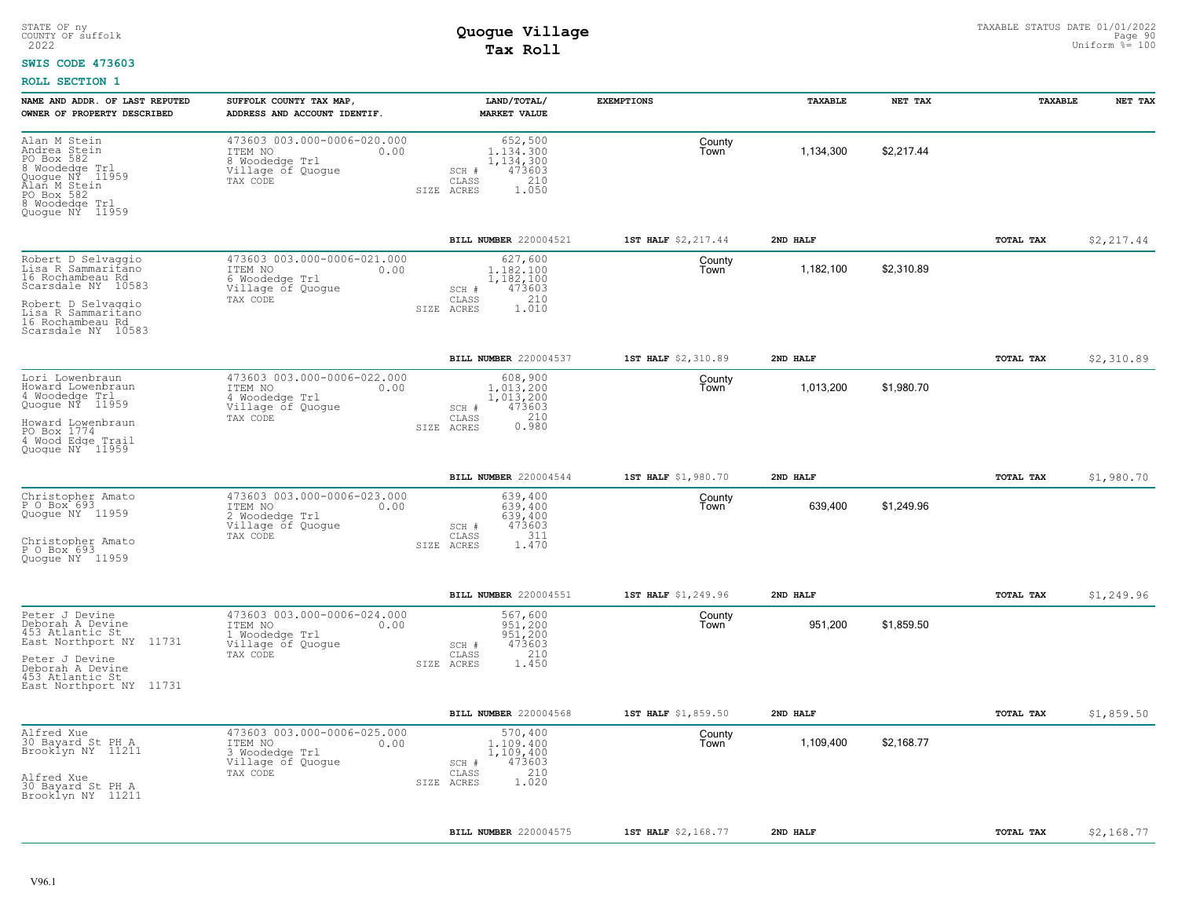### **SWIS CODE 473603**

| NAME AND ADDR. OF LAST REPUTED<br>OWNER OF PROPERTY DESCRIBED                                                                                                            | SUFFOLK COUNTY TAX MAP,<br>ADDRESS AND ACCOUNT IDENTIF.                                           | LAND/TOTAL/<br><b>MARKET VALUE</b>                                                          | <b>EXEMPTIONS</b>   | TAXABLE   | NET TAX    | TAXABLE   | NET TAX    |
|--------------------------------------------------------------------------------------------------------------------------------------------------------------------------|---------------------------------------------------------------------------------------------------|---------------------------------------------------------------------------------------------|---------------------|-----------|------------|-----------|------------|
| Alan M Stein<br>Andrea Stein<br>PO Box 582<br>8 Woodedge Trl<br>Quogue NY 11959<br>Alan M Stein<br>PO Box 582<br>8 Woodedge Trl<br>Quogue NY 11959                       | 473603 003.000-0006-020.000<br>ITEM NO<br>0.00<br>8 Woodedge Trl<br>Village of Quogue<br>TAX CODE | 652,500<br>1.134.300<br>1,134,300<br>473603<br>SCH #<br>210<br>CLASS<br>1.050<br>SIZE ACRES | County<br>Town      | 1,134,300 | \$2,217.44 |           |            |
|                                                                                                                                                                          |                                                                                                   | BILL NUMBER 220004521                                                                       | 1ST HALF \$2,217.44 | 2ND HALF  |            | TOTAL TAX | \$2,217.44 |
| Robert D Selvaggio<br>Lisa R Sammaritano<br>16 Rochambeau Rd<br>Scarsdale NY 10583<br>Robert D Selvaggio<br>Lisa R Sammaritano<br>16 Rochambeau Rd<br>Scarsdale NY 10583 | 473603 003.000-0006-021.000<br>ITEM NO<br>0.00<br>6 Woodedge Trl<br>Village of Quogue<br>TAX CODE | 627,600<br>1.182.100<br>1,182,100<br>473603<br>SCH #<br>210<br>CLASS<br>1.010<br>SIZE ACRES | County<br>l own     | 1,182,100 | \$2,310.89 |           |            |
|                                                                                                                                                                          |                                                                                                   | BILL NUMBER 220004537                                                                       | 1ST HALF \$2,310.89 | 2ND HALF  |            | TOTAL TAX | \$2,310.89 |
| Lori Lowenbraun<br>Howard Lowenbraun<br>4 Woodedge Trl<br>Quogue NY 11959<br>Howard Lowenbraun<br>PO Box 1774<br>4 Wood Edge Trail<br>Quoque NY 11959                    | 473603 003.000-0006-022.000<br>0.00<br>ITEM NO<br>4 Woodedge Trl<br>Village of Quogue<br>TAX CODE | 608,900<br>1,013,200<br>1,013,200<br>473603<br>SCH #<br>0.210<br>CLASS<br>SIZE ACRES        | County<br>Town      | 1,013,200 | \$1,980.70 |           |            |
|                                                                                                                                                                          |                                                                                                   | BILL NUMBER 220004544                                                                       | 1ST HALF \$1,980.70 | 2ND HALF  |            | TOTAL TAX | \$1,980.70 |
| Christopher Amato<br>P O Box 693<br>Quoque NY 11959<br>Christopher Amato<br>P O Box 693<br>Quoque NY 11959                                                               | 473603 003.000-0006-023.000<br>ITEM NO<br>0.00<br>2 Woodedge Trl<br>Village of Quogue<br>TAX CODE | 639,400<br>639,400<br>639,400<br>473603<br>SCH #<br>311<br>CLASS<br>SIZE ACRES<br>1.470     | County<br>Town      | 639,400   | \$1,249.96 |           |            |
|                                                                                                                                                                          |                                                                                                   | BILL NUMBER 220004551                                                                       | 1ST HALF \$1,249.96 | 2ND HALF  |            | TOTAL TAX | \$1,249.96 |
| Peter J Devine<br>Deborah A Devine<br>453 Atlantic St<br>East Northport NY 11731<br>Peter J Devine<br>Deborah A Devine<br>453 Atlantic St<br>East Northport NY 11731     | 473603 003.000-0006-024.000<br>ITEM NO<br>0.00<br>1 Woodedge Trl<br>Village of Quogue<br>TAX CODE | 567,600<br>951,200<br>951,200<br>473603<br>SCH #<br>210<br>CLASS<br>SIZE ACRES<br>1,450     | County<br>Town      | 951,200   | \$1,859.50 |           |            |
|                                                                                                                                                                          |                                                                                                   | BILL NUMBER 220004568                                                                       | 1ST HALF \$1,859.50 | 2ND HALF  |            | TOTAL TAX | \$1,859.50 |
| Alfred Xue<br>30 Bayard St PH A<br>Brooklyn NY 11211<br>Alfred Xue<br>30 Bayard St PH A<br>Brooklyn NY 11211                                                             | 473603 003.000-0006-025.000<br>ITEM NO<br>0.00<br>3 Woodedge Trl<br>Village of Quogue<br>TAX CODE | 570,400<br>1,109,400<br>1,109,400<br>473603<br>SCH #<br>210<br>CLASS<br>1.020<br>SIZE ACRES | County<br>Town      | 1,109,400 | \$2,168.77 |           |            |
|                                                                                                                                                                          |                                                                                                   | BILL NUMBER 220004575                                                                       | 1ST HALF \$2,168.77 | 2ND HALF  |            | TOTAL TAX | \$2,168.77 |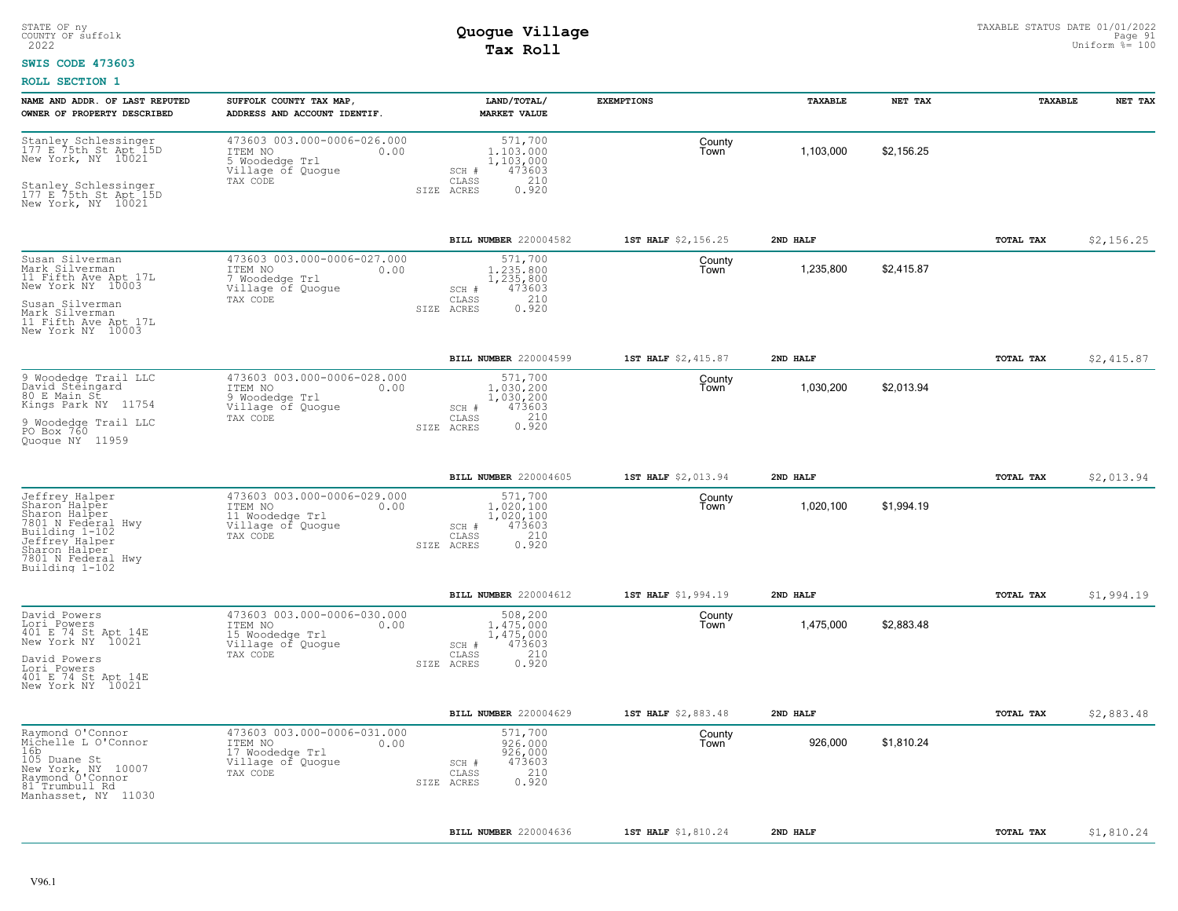#### **SWIS CODE 473603**

| NAME AND ADDR. OF LAST REPUTED<br>OWNER OF PROPERTY DESCRIBED                                                                                                       | SUFFOLK COUNTY TAX MAP,<br>ADDRESS AND ACCOUNT IDENTIF.                                            | LAND/TOTAL/<br><b>MARKET VALUE</b>                                                              | <b>EXEMPTIONS</b>   | TAXABLE   | NET TAX    | TAXABLE   | NET TAX    |
|---------------------------------------------------------------------------------------------------------------------------------------------------------------------|----------------------------------------------------------------------------------------------------|-------------------------------------------------------------------------------------------------|---------------------|-----------|------------|-----------|------------|
| Stanley Schlessinger<br>177 E 75th St Apt 15D<br>New York, NY 10021<br>Stanley Schlessinger<br>177 E 75th St Apt 15D<br>New York, NY 10021                          | 473603 003.000-0006-026.000<br>ITEM NO<br>0.00<br>5 Woodedge Trl<br>Village of Quogue<br>TAX CODE  | 571,700<br>1,103,000<br>1,103,000<br>473603<br>SCH #<br>210<br>CLASS<br>0.920<br>SIZE ACRES     | County<br>Town      | 1,103,000 | \$2.156.25 |           |            |
|                                                                                                                                                                     |                                                                                                    | BILL NUMBER 220004582                                                                           | 1ST HALF \$2,156.25 | 2ND HALF  |            | TOTAL TAX | \$2,156.25 |
| Susan Silverman<br>Mark Silverman<br>11 Fifth Ave Apt 17L<br>New York NY 10003<br>Susan Silverman<br>Mark Silverman<br>11 Fifth Ave Apt 17L<br>New York NY 10003    | 473603 003.000-0006-027.000<br>ITEM NO<br>0.00<br>7 Woodedge Trl<br>Village of Quogue<br>TAX CODE  | 571,700<br>1.235.800<br>1,235,800<br>473603<br>SCH #<br>210<br>CLASS<br>0.920<br>SIZE ACRES     | County<br>l own     | 1,235,800 | \$2,415.87 |           |            |
|                                                                                                                                                                     |                                                                                                    | BILL NUMBER 220004599                                                                           | 1ST HALF \$2,415.87 | 2ND HALF  |            | TOTAL TAX | \$2,415.87 |
| 9 Woodedge Trail LLC<br>David Steingard<br>80 E Main St<br>Kings Park NY 11754<br>9 Woodedge Trail LLC<br>PO Box 760<br>Quoque NY 11959                             | 473603 003.000-0006-028.000<br>ITEM NO<br>0.00<br>9 Woodedge Trl<br>Village of Quogue<br>TAX CODE  | 571,700<br>1,030,200<br>1,030,200<br>473603<br>SCH #<br>0.210<br>CLASS<br>SIZE ACRES            | County<br>Town      | 1,030,200 | \$2,013.94 |           |            |
|                                                                                                                                                                     |                                                                                                    | <b>BILL NUMBER 220004605</b>                                                                    | 1ST HALF \$2,013.94 | 2ND HALF  |            | TOTAL TAX | \$2,013.94 |
| Jeffrey Halper<br>Sharon Halper<br>Sharon Halper<br>7801 N Federal Hwy<br>Building 1-102<br>Jeffrey Halper<br>Sharon Halper<br>7801 N Federal Hwy<br>Building 1-102 | 473603 003.000-0006-029.000<br>ITEM NO<br>0.00<br>11 Woodedge Trl<br>Village of Quogue<br>TAX CODE | 571,700<br>$1.020.100$<br>$1,020,100$<br>473603<br>SCH #<br>210<br>CLASS<br>0.920<br>SIZE ACRES | County<br>Town      | 1,020,100 | \$1,994.19 |           |            |
|                                                                                                                                                                     |                                                                                                    | BILL NUMBER 220004612                                                                           | 1ST HALF \$1,994.19 | 2ND HALF  |            | TOTAL TAX | \$1,994.19 |
| David Powers<br>Lori Powers<br>401 E 74 St Apt 14E<br>New York NY 10021<br>David Powers<br>Lori Powers<br>401 E 74 St Apt 14E<br>New York NY 10021                  | 473603 003.000-0006-030.000<br>ITEM NO<br>0.00<br>15 Woodedge Trl<br>Village of Quogue<br>TAX CODE | 508,200<br>1,475,000<br>1,475,000<br>473603<br>SCH #<br>210<br>CLASS<br>0.920<br>SIZE ACRES     | County<br>Town      | 1,475,000 | \$2,883.48 |           |            |
|                                                                                                                                                                     |                                                                                                    | BILL NUMBER 220004629                                                                           | 1ST HALF \$2,883.48 | 2ND HALF  |            | TOTAL TAX | \$2,883.48 |
| Raymond O'Connor<br>Michelle L O'Connor<br>16b<br>105 Duane St<br>New York, NY 10007<br>Raymond O'Connor<br>81 Trumbull Rd<br>Manhasset, NY 11030                   | 473603 003.000-0006-031.000<br>ITEM NO<br>0.00<br>17 Woodedge Trl<br>Village of Quogue<br>TAX CODE | 571,700<br>926,000<br>926,000<br>473603<br>SCH #<br>210<br>CLASS<br>0.920<br>SIZE ACRES         | County<br>Town      | 926,000   | \$1,810.24 |           |            |
|                                                                                                                                                                     |                                                                                                    | <b>BILL NUMBER 220004636</b>                                                                    | 1ST HALF \$1,810.24 | 2ND HALF  |            | TOTAL TAX | \$1,810.24 |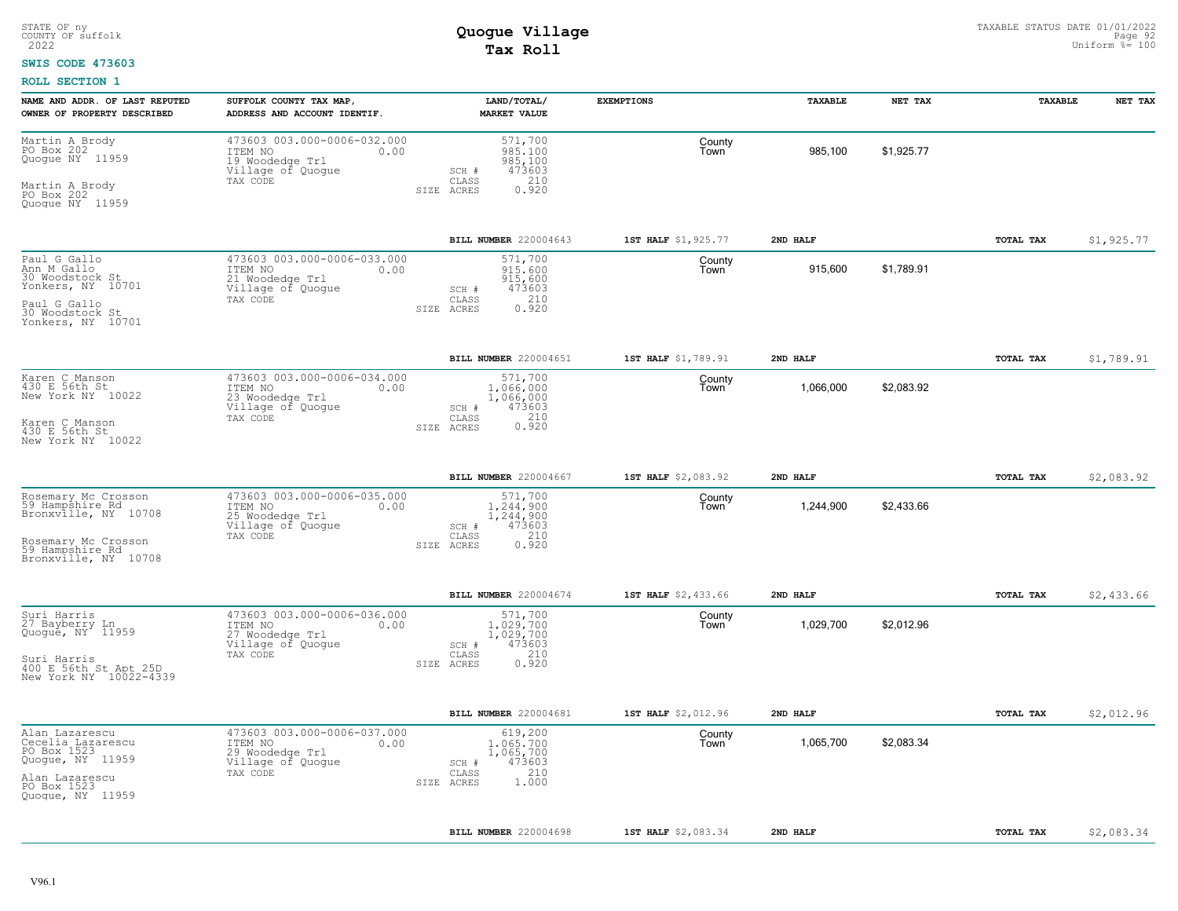#### **SWIS CODE 473603**

| NAME AND ADDR. OF LAST REPUTED<br>OWNER OF PROPERTY DESCRIBED                                                                    | SUFFOLK COUNTY TAX MAP,<br>ADDRESS AND ACCOUNT IDENTIF.                                            | LAND/TOTAL/<br><b>MARKET VALUE</b>                                                          | <b>EXEMPTIONS</b>   | TAXABLE   | NET TAX    | TAXABLE          | NET TAX    |
|----------------------------------------------------------------------------------------------------------------------------------|----------------------------------------------------------------------------------------------------|---------------------------------------------------------------------------------------------|---------------------|-----------|------------|------------------|------------|
| Martin A Brody<br>PO Box 202<br>Quogue NY 11959<br>Martin A Brody<br>PO Box 202<br>Quoque NY 11959                               | 473603 003.000-0006-032.000<br>ITEM NO<br>0.00<br>19 Woodedge Trl<br>Village of Quogue<br>TAX CODE | 571,700<br>985,100<br>985,100<br>473603<br>SCH #<br>210<br>CLASS<br>0.920<br>SIZE ACRES     | County<br>Town      | 985,100   | \$1,925.77 |                  |            |
|                                                                                                                                  |                                                                                                    | BILL NUMBER 220004643                                                                       | 1ST HALF \$1,925.77 | 2ND HALF  |            | TOTAL TAX        | \$1,925.77 |
| Paul G Gallo<br>Ann M Gallo<br>30 Woodstock St<br>Yonkers, NY 10701<br>Paul G Gallo<br>30 Woodstock St<br>Yonkers, NY 10701      | 473603 003.000-0006-033.000<br>ITEM NO<br>0.00<br>21 Woodedge Trl<br>Village of Quoque<br>TAX CODE | 571,700<br>915,600<br>915,600<br>473603<br>SCH #<br>210<br>CLASS<br>0.920<br>SIZE ACRES     | County<br>Town      | 915,600   | \$1,789.91 |                  |            |
|                                                                                                                                  |                                                                                                    | BILL NUMBER 220004651                                                                       | 1ST HALF \$1,789.91 | 2ND HALF  |            | TOTAL TAX        | \$1,789.91 |
| Karen C Manson<br>430 E 56th St<br>New York NY 10022<br>Karen C Manson<br>430 E 56th St<br>New York NY 10022                     | 473603 003.000-0006-034.000<br>ITEM NO<br>0.00<br>23 Woodedge Trl<br>Village of Quogue<br>TAX CODE | 571,700<br>1,066,000<br>1,066,000<br>473603<br>SCH #<br>210<br>CLASS<br>0.920<br>SIZE ACRES | County<br>Town      | 1,066,000 | \$2,083.92 |                  |            |
|                                                                                                                                  |                                                                                                    | BILL NUMBER 220004667                                                                       | 1ST HALF \$2,083.92 | 2ND HALF  |            | <b>TOTAL TAX</b> | \$2,083.92 |
| Rosemary Mc Crosson<br>59 Hampshire Rd<br>Bronxville, NY 10708<br>Rosemary Mc Crosson<br>59 Hampshire Rd<br>Bronxville, NY 10708 | 473603 003.000-0006-035.000<br>ITEM NO<br>0.00<br>25 Woodedge Trl<br>Village of Quogue<br>TAX CODE | 571,700<br>1,244,900<br>1,244,900<br>473603<br>SCH #<br>210<br>CLASS<br>0.920<br>SIZE ACRES | County<br>Town      | 1,244,900 | \$2,433.66 |                  |            |
|                                                                                                                                  |                                                                                                    | BILL NUMBER 220004674                                                                       | 1ST HALF \$2,433.66 | 2ND HALF  |            | <b>TOTAL TAX</b> | \$2,433.66 |
| Suri Harris<br>27 Bayberry Ln<br>Quogue, NY 11959<br>Suri Harris<br>400 E 56th St Apt 25D<br>New York NY 10022-4339              | 473603 003.000-0006-036.000<br>ITEM NO<br>0.00<br>27 Woodedge Trl<br>Village of Quogue<br>TAX CODE | 571,700<br>1,029,700<br>1,029,700<br>473603<br>SCH #<br>210<br>CLASS<br>0.920<br>SIZE ACRES | County<br>Town      | 1,029,700 | \$2,012.96 |                  |            |
|                                                                                                                                  |                                                                                                    | BILL NUMBER 220004681                                                                       | 1ST HALF \$2,012.96 | 2ND HALF  |            | TOTAL TAX        | \$2,012.96 |
| Alan Lazarescu<br>Cecelia Lazarescu<br>PO Box 1523<br>Quogue, NY 11959<br>Alan Lazarescu<br>PO Box 1523<br>Quogue, NY 11959      | 473603 003.000-0006-037.000<br>ITEM NO<br>0.00<br>29 Woodedge Trl<br>Village of Quogue<br>TAX CODE | 619,200<br>1,065,700<br>1,065,700<br>473603<br>SCH #<br>210<br>CLASS<br>1.000<br>SIZE ACRES | County<br>Town      | 1,065,700 | \$2,083.34 |                  |            |
|                                                                                                                                  |                                                                                                    | BILL NUMBER 220004698                                                                       | 1ST HALF \$2,083.34 | 2ND HALF  |            | TOTAL TAX        | \$2,083.34 |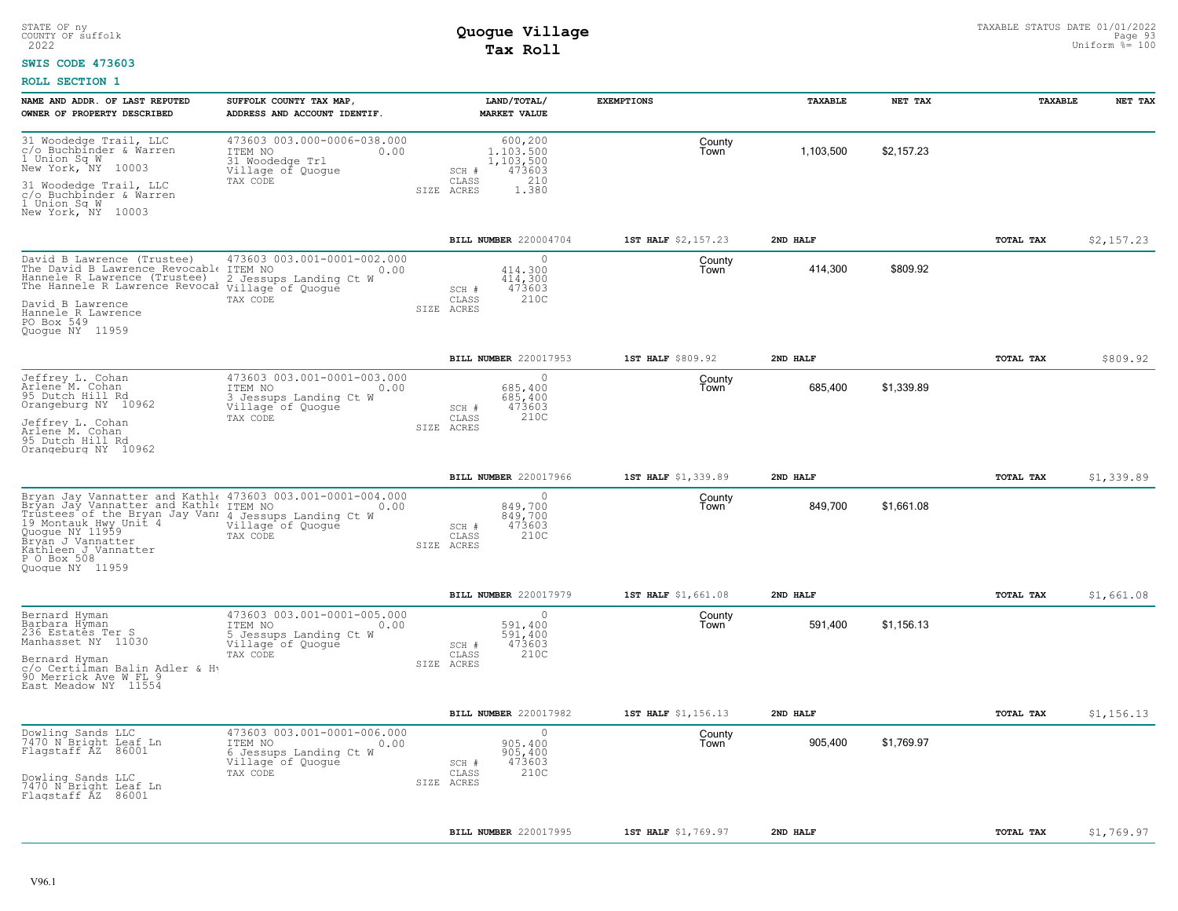#### **SWIS CODE 473603**

| NAME AND ADDR. OF LAST REPUTED<br>OWNER OF PROPERTY DESCRIBED                                                                                                                                      | SUFFOLK COUNTY TAX MAP<br>ADDRESS AND ACCOUNT IDENTIF.                                                    | LAND/TOTAL/<br><b>MARKET VALUE</b>                                                           | <b>EXEMPTIONS</b>   | TAXABLE   | NET TAX    | TAXABLE          | NET TAX    |
|----------------------------------------------------------------------------------------------------------------------------------------------------------------------------------------------------|-----------------------------------------------------------------------------------------------------------|----------------------------------------------------------------------------------------------|---------------------|-----------|------------|------------------|------------|
| 31 Woodedge Trail, LLC<br>c/o Buchbinder & Warren<br>1 Union Sq W<br>New York, NY 10003                                                                                                            | 473603 003.000-0006-038.000<br>ITEM NO<br>0.00<br>31 Woodedge Trl<br>Village of Quogue                    | 600,200<br>1,103,500<br>1,103,500<br>473603<br>SCH #                                         | County<br>Town      | 1,103,500 | \$2,157.23 |                  |            |
| 31 Woodedge Trail, LLC<br>c/o Buchbinder & Warren<br>1 Union Sq W<br>New York, NY 10003                                                                                                            | TAX CODE                                                                                                  | 210<br>CLASS<br>1.380<br>SIZE ACRES                                                          |                     |           |            |                  |            |
|                                                                                                                                                                                                    |                                                                                                           | BILL NUMBER 220004704                                                                        | 1ST HALF \$2,157.23 | 2ND HALF  |            | TOTAL TAX        | \$2,157.23 |
| David B Lawrence (Trustee)<br>The David B Lawrence Revocable ITEM NO<br>Hannele R Lawrence (Trustee)<br>The Hannele R Lawrence Revocal village of Quogue<br>David B Lawrence<br>Hannele R Lawrence | 473603 003.001-0001-002.000<br>0.00<br>2 Jessups Landing Ct W<br>TAX CODE                                 | $\bigcap$<br>414,300<br>414,300<br>473603<br>SCH #<br>210C<br>$\mathtt{CLASS}$<br>SIZE ACRES | County<br>Town      | 414,300   | \$809.92   |                  |            |
| PO Box 549<br>Quoque NY 11959                                                                                                                                                                      |                                                                                                           |                                                                                              |                     |           |            |                  |            |
|                                                                                                                                                                                                    |                                                                                                           | BILL NUMBER 220017953                                                                        | 1ST HALF \$809.92   | 2ND HALF  |            | <b>TOTAL TAX</b> | \$809.92   |
| Jeffrey L. Cohan<br>Arlene M. Cohan<br>95 Dutch Hill Rd<br>Orangeburg NY 10962                                                                                                                     | 473603 003.001-0001-003.000<br>ITEM NO<br>0.00<br>3 Jessups Landing Ct W<br>Village of Quogue             | $\cap$<br>685,400<br>685,400<br>473603<br>SCH #                                              | County<br>Town      | 685,400   | \$1,339.89 |                  |            |
| Jeffrey L. Cohan<br>Arlene M. Cohan<br>95 Dutch Hill Rd<br>Orangeburg NY 10962                                                                                                                     | TAX CODE                                                                                                  | 210C<br>$\mathtt{CLASS}$<br>SIZE ACRES                                                       |                     |           |            |                  |            |
|                                                                                                                                                                                                    |                                                                                                           | BILL NUMBER 220017966                                                                        | 1ST HALF \$1,339.89 | 2ND HALF  |            | TOTAL TAX        | \$1,339.89 |
| Bryan Jay Vannatter and Kathl<br>e 473603 003.001-0001-004.000<br>Bryan Jay Vannatter and Kathl<br>e ITEM NO 0.00<br>                                                                              | Village of Quogue<br>TAX CODE                                                                             | $\bigcap$<br>849,700<br>849,700<br>473603<br>SCH #<br>210C<br>CLASS<br>SIZE ACRES            | County<br>Town      | 849,700   | \$1,661.08 |                  |            |
|                                                                                                                                                                                                    |                                                                                                           | BILL NUMBER 220017979                                                                        | 1ST HALF \$1,661.08 | 2ND HALF  |            | TOTAL TAX        | \$1,661.08 |
| Bernard Hyman<br>Barbara Hyman<br>236 Estates Ter S<br>Manhasset NY 11030<br>Bernard Hyman                                                                                                         | 473603 003.001-0001-005.000<br>ITEM NO<br>0.00<br>5 Jessups Landing Ct W<br>Village of Quogue<br>TAX CODE | $\circ$<br>591,400<br>591,400<br>473603<br>SCH #<br>210C<br>CLASS                            | County<br>Town      | 591,400   | \$1,156.13 |                  |            |
| c/o Certilman Balin Adler & Hy<br>90 Merrick Ave W FL 9<br>East Meadow NY 11554                                                                                                                    |                                                                                                           | SIZE ACRES                                                                                   |                     |           |            |                  |            |
|                                                                                                                                                                                                    |                                                                                                           | BILL NUMBER 220017982                                                                        | 1ST HALF \$1,156.13 | 2ND HALF  |            | TOTAL TAX        | \$1,156.13 |
| Dowling Sands LLC<br>7470 N Bright Leaf Ln<br>Flagstaff AZ 86001                                                                                                                                   | 473603 003.001-0001-006.000<br>ITEM NO<br>0.00<br>6 Jessups Landing Ct W<br>Village of Quogue             | $\Omega$<br>905,400<br>905,400<br>473603<br>SCH #                                            | County<br>Town      | 905,400   | \$1,769.97 |                  |            |
| Dowling Sands LLC<br>7470 N Bright Leaf Ln<br>Flagstaff AZ 86001                                                                                                                                   | TAX CODE                                                                                                  | 210C<br>CLASS<br>SIZE ACRES                                                                  |                     |           |            |                  |            |
|                                                                                                                                                                                                    |                                                                                                           | BILL NUMBER 220017995                                                                        | 1ST HALF \$1,769.97 | 2ND HALF  |            | TOTAL TAX        | \$1,769.97 |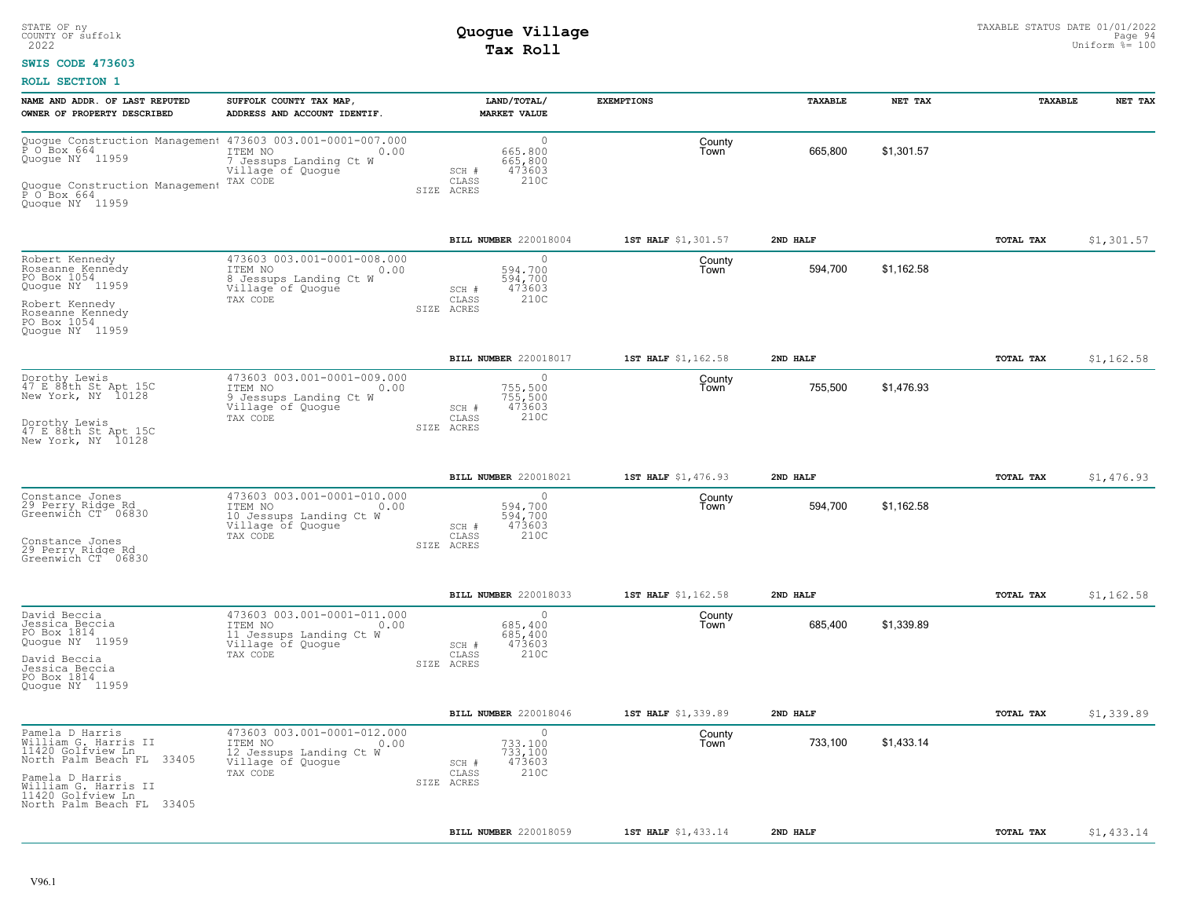### **SWIS CODE 473603**

| NAME AND ADDR. OF LAST REPUTED<br>OWNER OF PROPERTY DESCRIBED                                                                                                                           | SUFFOLK COUNTY TAX MAP,<br>ADDRESS AND ACCOUNT IDENTIF.                                                    | LAND/TOTAL/<br><b>MARKET VALUE</b>                                               | <b>EXEMPTIONS</b>   | TAXABLE  | NET TAX    | <b>TAXABLE</b>   | NET TAX    |
|-----------------------------------------------------------------------------------------------------------------------------------------------------------------------------------------|------------------------------------------------------------------------------------------------------------|----------------------------------------------------------------------------------|---------------------|----------|------------|------------------|------------|
| Ouogue Construction Management 473603 003.001-0001-007.000<br>P 0 Box 664<br>Quoque NY 11959<br>Quoque Construction Management<br>P O Box 664<br>Quogue NY 11959                        | 7 Jessups Landing Ct W<br>Village of Quogue<br>TAX CODE                                                    | $\circ$<br>665,800<br>665,800<br>473603<br>SCH #<br>210C<br>CLASS<br>SIZE ACRES  | County<br>Town      | 665,800  | \$1,301.57 |                  |            |
|                                                                                                                                                                                         |                                                                                                            | BILL NUMBER 220018004                                                            | 1ST HALF \$1,301.57 | 2ND HALF |            | <b>TOTAL TAX</b> | \$1,301.57 |
| Robert Kennedy<br>Roseanne Kennedy<br>PO Box 1054<br>Quogue NY 11959<br>Robert Kennedy<br>Roseanne Kennedy<br>PO Box 1054<br>Quogue NY 11959                                            | 473603 003.001-0001-008.000<br>ITEM NO<br>0.00<br>8 Jessups Landing Ct W<br>Village of Quogue<br>TAX CODE  | $\Omega$<br>594,700<br>594,700<br>473603<br>SCH #<br>210C<br>CLASS<br>SIZE ACRES | County<br>Town      | 594,700  | \$1,162.58 |                  |            |
|                                                                                                                                                                                         |                                                                                                            | BILL NUMBER 220018017                                                            | 1ST HALF \$1,162.58 | 2ND HALF |            | TOTAL TAX        | \$1,162.58 |
| Dorothy Lewis<br>47 E 88th St Apt 15C<br>New York, NY 10128<br>Dorothy Lewis<br>47 E 88th St Apt 15C<br>New York, NY 10128                                                              | 473603 003.001-0001-009.000<br>ITEM NO<br>0.00<br>9 Jessups Landing Ct W<br>Village of Quoque<br>TAX CODE  | $\cap$<br>755,500<br>755,500<br>473603<br>SCH #<br>CLASS<br>210C<br>SIZE ACRES   | County<br>Town      | 755,500  | \$1,476.93 |                  |            |
|                                                                                                                                                                                         |                                                                                                            | BILL NUMBER 220018021                                                            | 1ST HALF \$1,476.93 | 2ND HALF |            | TOTAL TAX        | \$1,476.93 |
| Constance Jones<br>29 Perry Ridge Rd<br>Greenwich CT 06830<br>Constance Jones<br>29 Perry Ridge Rd<br>Greenwich CT 06830                                                                | 473603 003.001-0001-010.000<br>ITEM NO<br>0.00<br>10 Jessups Landing Ct W<br>Village of Quogue<br>TAX CODE | $\circ$<br>594,700<br>594,700<br>473603<br>SCH #<br>210C<br>CLASS<br>SIZE ACRES  | County<br>Town      | 594,700  | \$1,162.58 |                  |            |
|                                                                                                                                                                                         |                                                                                                            | BILL NUMBER 220018033                                                            | 1ST HALF \$1,162.58 | 2ND HALF |            | <b>TOTAL TAX</b> | \$1,162.58 |
| David Beccia<br>Jessica Beccia<br>PO Box 1814<br>Quogue NY 11959<br>David Beccia<br>Jessica Beccia<br>PO Box 1814<br>Quoque NY 11959                                                    | 473603 003.001-0001-011.000<br>ITEM NO<br>0.00<br>11 Jessups Landing Ct W<br>Village of Quogue<br>TAX CODE | $\circ$<br>685,400<br>685,400<br>473603<br>SCH #<br>210C<br>CLASS<br>SIZE ACRES  | County<br>Town      | 685.400  | \$1.339.89 |                  |            |
|                                                                                                                                                                                         |                                                                                                            | BILL NUMBER 220018046                                                            | 1ST HALF \$1,339.89 | 2ND HALF |            | TOTAL TAX        | \$1,339.89 |
| Pamela D Harris<br>William G. Harris II<br>11420 Golfview Ln_<br>North Palm Beach FL 33405<br>Pamela D Harris<br>William G. Harris II<br>11420 Golfview Ln<br>North Palm Beach FL 33405 | 473603 003.001-0001-012.000<br>ITEM NO<br>0.00<br>12 Jessups Landing Ct W<br>Village of Quogue<br>TAX CODE | $\circ$<br>733.100<br>733,100<br>473603<br>SCH #<br>210C<br>CLASS<br>SIZE ACRES  | County<br>Town      | 733,100  | \$1,433.14 |                  |            |
|                                                                                                                                                                                         |                                                                                                            | <b>BILL NUMBER 220018059</b>                                                     | 1ST HALF \$1,433.14 | 2ND HALF |            | TOTAL TAX        | \$1,433.14 |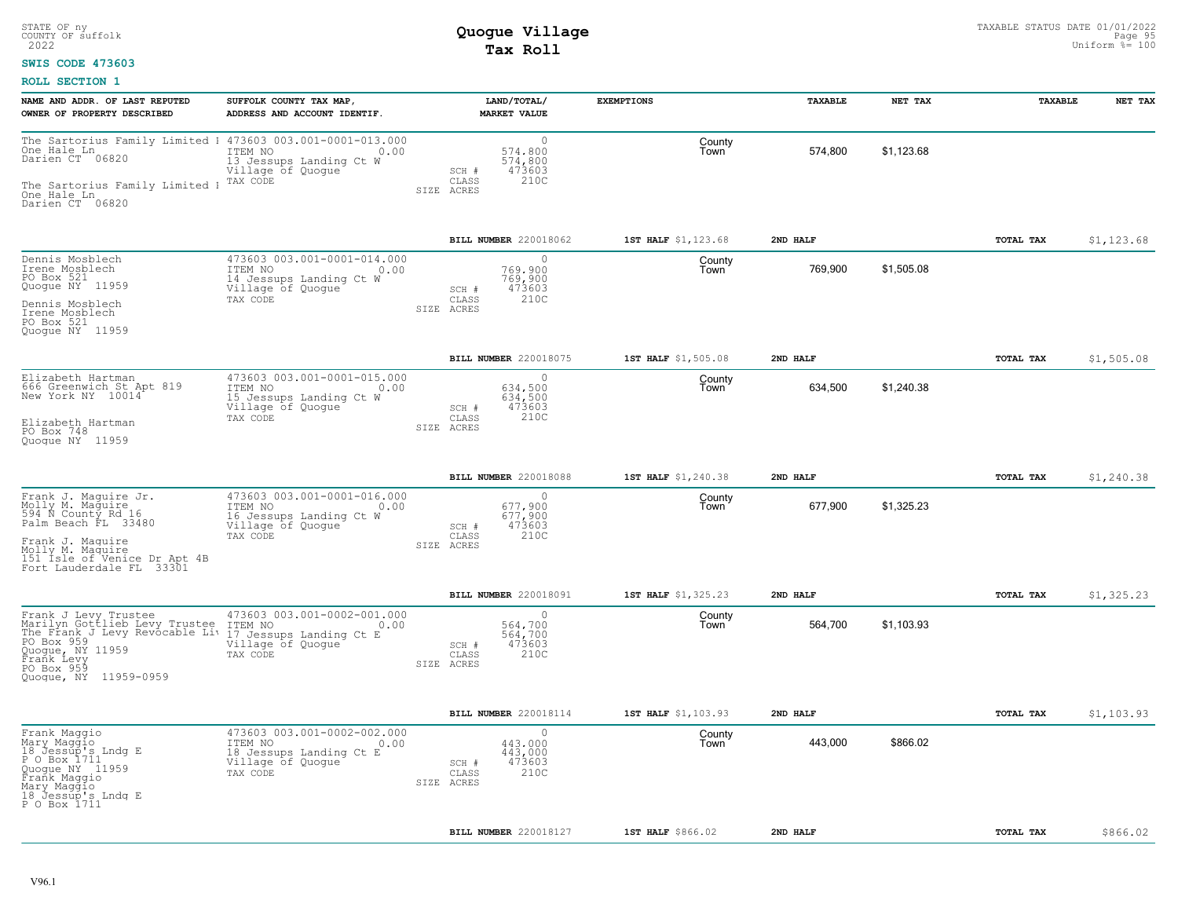### **SWIS CODE 473603**

| NAME AND ADDR. OF LAST REPUTED<br>OWNER OF PROPERTY DESCRIBED                                                                                                                             | SUFFOLK COUNTY TAX MAP<br>ADDRESS AND ACCOUNT IDENTIF.                                                     |                              | LAND/TOTAL/<br><b>MARKET VALUE</b>                | <b>EXEMPTIONS</b>   | TAXABLE  | NET TAX    | TAXABLE   | NET TAX     |
|-------------------------------------------------------------------------------------------------------------------------------------------------------------------------------------------|------------------------------------------------------------------------------------------------------------|------------------------------|---------------------------------------------------|---------------------|----------|------------|-----------|-------------|
| The Sartorius Family Limited 1 473603 003.001-0001-013.000<br>One Hale Ln<br>Darien CT 06820<br>The Sartorius Family Limited 1<br>One Hale Ln<br>Darien CT 06820                          | ITEM NO<br>0.00<br>13 Jessups Landing Ct W<br>Village of Quoque<br>TAX CODE                                | SCH #<br>CLASS<br>SIZE ACRES | $\circ$<br>574,800<br>574,800<br>473603<br>210C   | County<br>l own     | 574,800  | \$1,123.68 |           |             |
|                                                                                                                                                                                           |                                                                                                            |                              | BILL NUMBER 220018062                             | 1ST HALF \$1,123.68 | 2ND HALF |            | TOTAL TAX | \$1, 123.68 |
| Dennis Mosblech<br>Irene Mosblech<br>PO Box 521<br>Quogue NY 11959<br>Dennis Mosblech<br>Irene Mosblech<br>PO Box 521<br>Quogue NY 11959                                                  | 473603 003.001-0001-014.000<br>ITEM NO<br>0.00<br>14 Jessups Landing Ct W<br>Village of Quoque<br>TAX CODE | SCH #<br>CLASS<br>SIZE ACRES | $\bigcap$<br>769,900<br>769,900<br>473603<br>210C | County<br>Town      | 769,900  | \$1,505.08 |           |             |
|                                                                                                                                                                                           |                                                                                                            |                              | BILL NUMBER 220018075                             | 1ST HALF \$1,505.08 | 2ND HALF |            | TOTAL TAX | \$1,505.08  |
| Elizabeth Hartman<br>666 Greenwich St Apt 819<br>New York NY 10014<br>Elizabeth Hartman<br>PO Box 748<br>Quoque NY 11959                                                                  | 473603 003.001-0001-015.000<br>ITEM NO<br>0.00<br>15 Jessups Landing Ct W<br>Village of Quogue<br>TAX CODE | SCH #<br>CLASS<br>SIZE ACRES | $\bigcap$<br>634,500<br>634,500<br>473603<br>210C | County<br>Town      | 634,500  | \$1,240.38 |           |             |
|                                                                                                                                                                                           |                                                                                                            |                              | BILL NUMBER 220018088                             | 1ST HALF \$1,240.38 | 2ND HALF |            | TOTAL TAX | \$1,240.38  |
| Frank J. Maguire Jr.<br>Molly M. Maguire<br>594 N County Rd 16<br>Palm Beach FL 33480<br>Frank J. Maquire<br>Molly M. Maquire<br>151 Isle of Venice Dr Apt 4B<br>Fort Lauderdale FL 33301 | 473603 003.001-0001-016.000<br>ITEM NO<br>0.00<br>16 Jessups Landing Ct W<br>Village of Quoque<br>TAX CODE | SCH #<br>CLASS<br>SIZE ACRES | $\circ$<br>677.900<br>677,900<br>473603<br>210C   | County<br>Town      | 677,900  | \$1.325.23 |           |             |
|                                                                                                                                                                                           |                                                                                                            |                              | BILL NUMBER 220018091                             | 1ST HALF \$1,325.23 | 2ND HALF |            | TOTAL TAX | \$1,325.23  |
| Frank J Levy Trustee<br>Marilyn Gottlieb Levy Trustee<br>The Frank J Levy Revocable Liv<br>PO Box 959<br>Ouogue, NY 11959<br>Frank Levy<br>PO Box 959<br>Quogue, NY 11959-0959            | 473603 003.001-0002-001.000<br>ITEM NO<br>0.00<br>17 Jessups Landing Ct E<br>Village of Quogue<br>TAX CODE | SCH #<br>CLASS<br>SIZE ACRES | $\Omega$<br>564,700<br>564,700<br>473603<br>210C  | County<br>Town      | 564,700  | \$1,103.93 |           |             |
|                                                                                                                                                                                           |                                                                                                            |                              | BILL NUMBER 220018114                             | 1ST HALF \$1,103.93 | 2ND HALF |            | TOTAL TAX | \$1,103.93  |
| Frank Maggio<br>Mary Maggio<br>18 Jessup's Lndg E<br>P O Box 1711<br>Quoque NY 11959<br>Frank Maggio<br>Mary Maggio<br>18 Jessup's Lndg E<br>P 0 Box 1711                                 | 473603 003.001-0002-002.000<br>ITEM NO<br>0.00<br>18 Jessups Landing Ct E<br>Village of Quogue<br>TAX CODE | SCH #<br>CLASS<br>SIZE ACRES | $\Omega$<br>443,000<br>443,000<br>473603<br>210C  | County<br>Town      | 443,000  | \$866.02   |           |             |
|                                                                                                                                                                                           |                                                                                                            |                              | BILL NUMBER 220018127                             | 1ST HALF \$866.02   | 2ND HALF |            | TOTAL TAX | \$866.02    |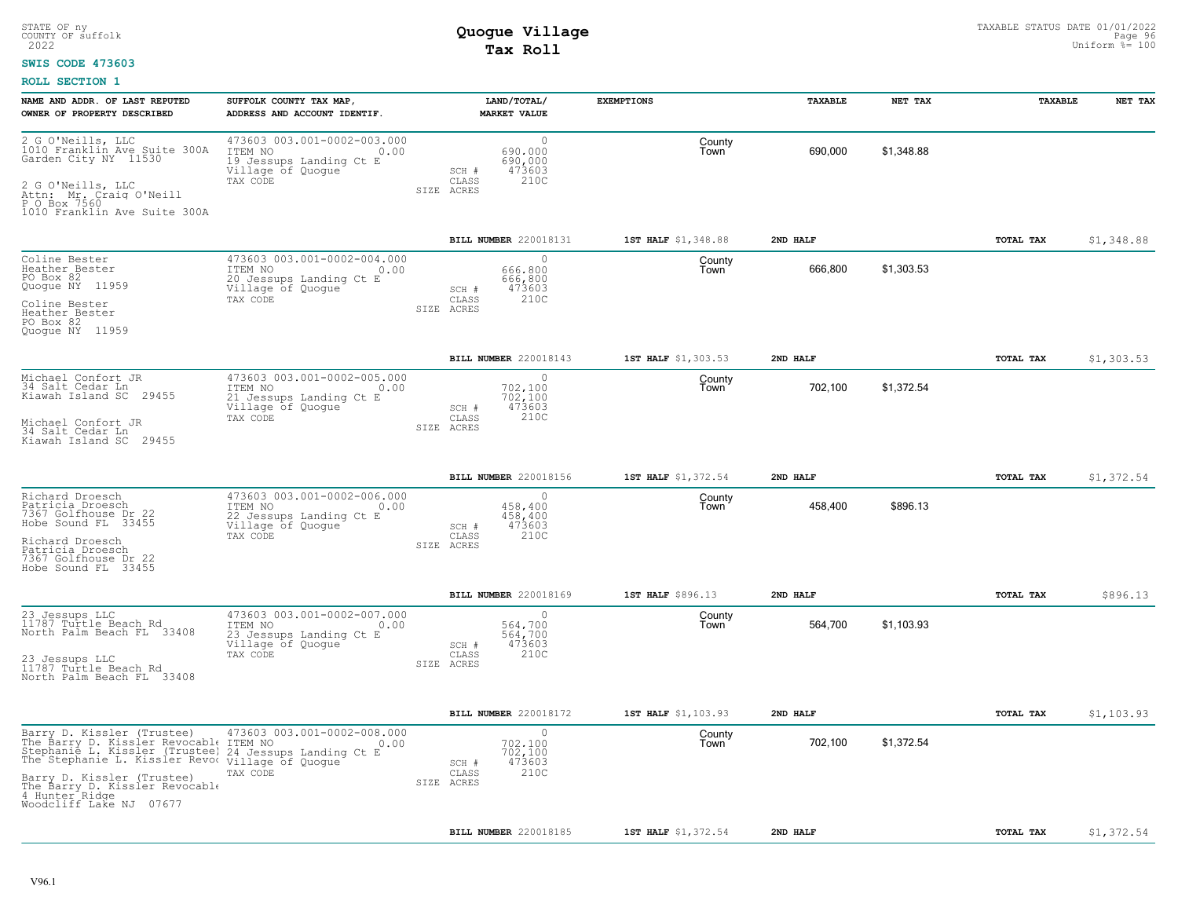### **SWIS CODE 473603**

| NAME AND ADDR. OF LAST REPUTED<br>OWNER OF PROPERTY DESCRIBED                                                                                                                                                                                                   | SUFFOLK COUNTY TAX MAP,<br>ADDRESS AND ACCOUNT IDENTIF.                                                    | LAND/TOTAL/<br><b>MARKET VALUE</b>                                                          | <b>EXEMPTIONS</b>   | <b>TAXABLE</b> | NET TAX    | <b>TAXABLE</b> | NET TAX    |
|-----------------------------------------------------------------------------------------------------------------------------------------------------------------------------------------------------------------------------------------------------------------|------------------------------------------------------------------------------------------------------------|---------------------------------------------------------------------------------------------|---------------------|----------------|------------|----------------|------------|
| 2 G O'Neills, LLC<br>1010 Franklin Ave Suite 300A<br>Garden City NY 11530<br>2 G O'Neills, LLC<br>Attn: Mr. Craig O'Neill<br>P O Box 7560<br>1010 Franklin Ave Suite 300A                                                                                       | 473603 003.001-0002-003.000<br>ITEM NO<br>0.00<br>19 Jessups Landing Ct E<br>Village of Quogue<br>TAX CODE | $\circ$<br>690,000<br>690,000<br>473603<br>SCH #<br>210C<br>CLASS<br>SIZE ACRES             | County<br>Town      | 690,000        | \$1,348.88 |                |            |
|                                                                                                                                                                                                                                                                 |                                                                                                            | BILL NUMBER 220018131                                                                       | 1ST HALF \$1,348.88 | 2ND HALF       |            | TOTAL TAX      | \$1,348.88 |
| Coline Bester<br>Heather Bester<br>PO Box 82<br>Quogue NY 11959<br>Coline Bester<br>Heather Bester<br>PO Box 82<br>Quoque NY 11959                                                                                                                              | 473603 003.001-0002-004.000<br>ITEM NO<br>0.00<br>20 Jessups Landing Ct E<br>Village of Quogue<br>TAX CODE | $\Omega$<br>666,800<br>666,800<br>473603<br>SCH #<br>210C<br>CLASS<br>SIZE ACRES            | County<br>Town      | 666,800        | \$1,303.53 |                |            |
|                                                                                                                                                                                                                                                                 |                                                                                                            | BILL NUMBER 220018143                                                                       | 1ST HALF \$1,303.53 | 2ND HALF       |            | TOTAL TAX      | \$1,303.53 |
| Michael Confort JR<br>34 Salt Cedar Ln<br>Kiawah Island SC<br>29455<br>Michael Confort JR<br>34 Salt Cedar Ln<br>Kiawah Island SC<br>29455                                                                                                                      | 473603 003.001-0002-005.000<br>ITEM NO<br>0.00<br>21 Jessups Landing Ct E<br>Village of Quogue<br>TAX CODE | $\Omega$<br>702,100<br>702,100<br>473603<br>SCH #<br>CLASS<br>210C<br>SIZE ACRES            | County<br>Town      | 702,100        | \$1,372.54 |                |            |
|                                                                                                                                                                                                                                                                 |                                                                                                            |                                                                                             |                     |                |            |                |            |
|                                                                                                                                                                                                                                                                 |                                                                                                            | BILL NUMBER 220018156                                                                       | 1ST HALF \$1,372.54 | 2ND HALF       |            | TOTAL TAX      | \$1,372.54 |
| Richard Droesch<br>Patricia Droesch<br>7367 Golfhouse Dr 22<br>Hobe Sound FL 33455<br>Richard Droesch<br>Patricia Droesch<br>7367 Golfhouse Dr 22<br>Hobe Sound FL 33455                                                                                        | 473603 003.001-0002-006.000<br>ITEM NO<br>0.00<br>22 Jessups Landing Ct E<br>Village of Quogue<br>TAX CODE | $\Omega$<br>458,400<br>458,400<br>473603<br>SCH #<br>210C<br>CLASS<br>SIZE ACRES            | County<br>Town      | 458,400        | \$896.13   |                |            |
|                                                                                                                                                                                                                                                                 |                                                                                                            | BILL NUMBER 220018169                                                                       | 1ST HALF \$896.13   | 2ND HALF       |            | TOTAL TAX      | \$896.13   |
| 23 Jessups LLC<br>11787 Turtle Beach Rd<br>North Palm Beach FL 33408<br>23 Jessups LLC<br>11787 Turtle Beach Rd<br>North Palm Beach FL 33408                                                                                                                    | 473603 003.001-0002-007.000<br>ITEM NO<br>0.00<br>23 Jessups Landing Ct E<br>Village of Quogue<br>TAX CODE | $\circ$<br>564,700<br>564,700<br>473603<br>SCH #<br>CLASS<br>210C<br>SIZE ACRES             | County<br>Town      | 564,700        | \$1,103.93 |                |            |
|                                                                                                                                                                                                                                                                 |                                                                                                            | BILL NUMBER 220018172                                                                       | 1ST HALF \$1,103.93 | 2ND HALF       |            | TOTAL TAX      | \$1,103.93 |
| Barry D. Kissler (Trustee)<br>The Barry D. Kissler Revocable<br>Stephanie L. Kissler (Trustee)<br>The Stephanie L. Kissler Revol village of Quogue<br>Barry D. Kissler (Trustee)<br>The Barry D. Kissler Revocable<br>4 Hunter Ridge<br>Woodcliff Lake NJ 07677 | 473603 003.001-0002-008.000<br>ITEM NO<br>0.00<br>24 Jessups Landing Ct E<br>TAX CODE                      | $\Omega$<br>702,100<br>702,100<br>473603<br>SCH #<br>210C<br>$\mathtt{CLASS}$<br>SIZE ACRES | County<br>Town      | 702,100        | \$1,372.54 |                |            |
|                                                                                                                                                                                                                                                                 |                                                                                                            | BILL NUMBER 220018185                                                                       | 1ST HALF \$1,372.54 | 2ND HALF       |            | TOTAL TAX      | \$1,372.54 |
|                                                                                                                                                                                                                                                                 |                                                                                                            |                                                                                             |                     |                |            |                |            |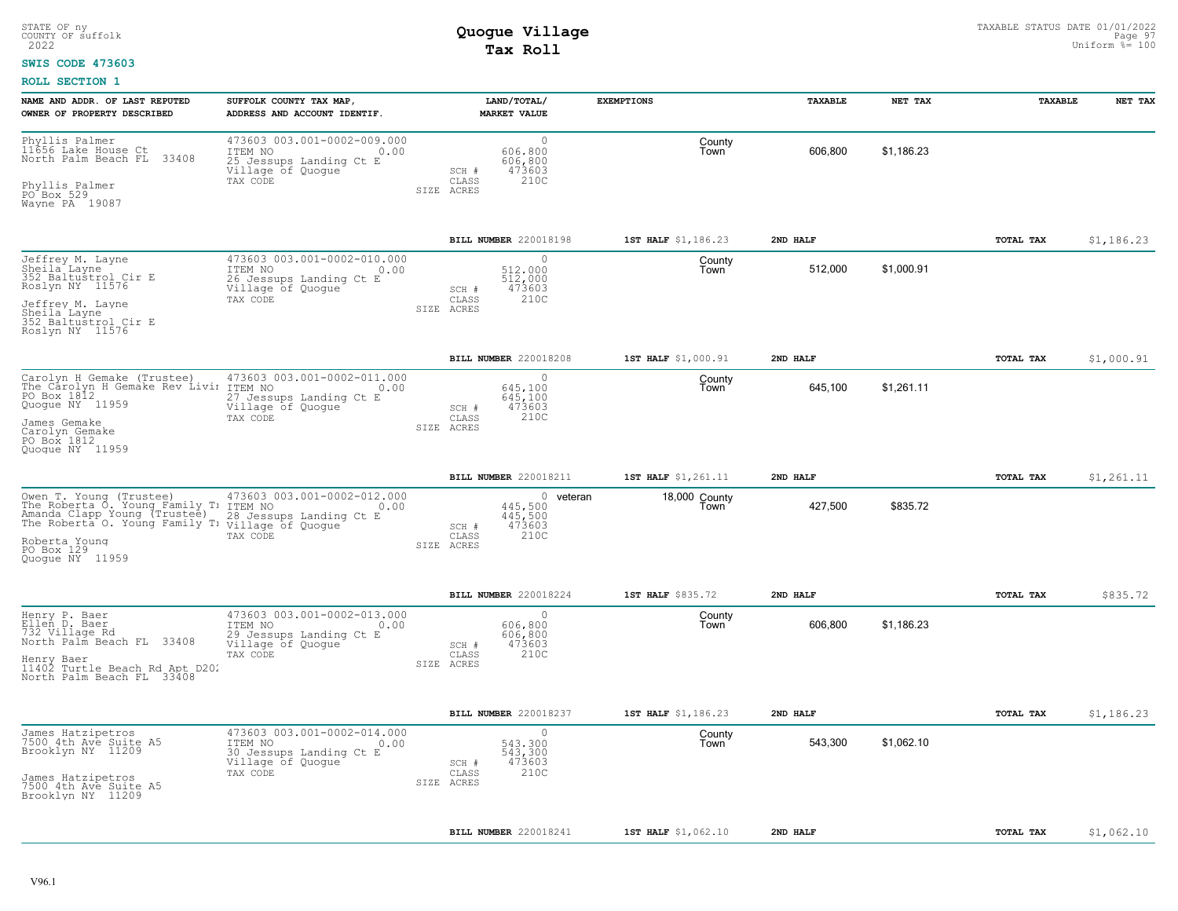#### **SWIS CODE 473603**

| NAME AND ADDR. OF LAST REPUTED<br>OWNER OF PROPERTY DESCRIBED                                                                                                                                                                | SUFFOLK COUNTY TAX MAP,<br>ADDRESS AND ACCOUNT IDENTIF.                                                    | LAND/TOTAL/<br><b>MARKET VALUE</b>                                                  | <b>EXEMPTIONS</b>     | TAXABLE  | NET TAX    | <b>TAXABLE</b> | NET TAX    |
|------------------------------------------------------------------------------------------------------------------------------------------------------------------------------------------------------------------------------|------------------------------------------------------------------------------------------------------------|-------------------------------------------------------------------------------------|-----------------------|----------|------------|----------------|------------|
| Phyllis Palmer<br>11656 Lake House Ct<br>33408<br>North Palm Beach FL<br>Phyllis Palmer<br>PO Box 529<br>Wayne PA 19087                                                                                                      | 473603 003.001-0002-009.000<br>ITEM NO<br>0.00<br>25 Jessups Landing Ct E<br>Village of Quogue<br>TAX CODE | $\circ$<br>606,800<br>606,800<br>473603<br>SCH #<br>CLASS<br>210C<br>SIZE ACRES     | County<br>Town        | 606,800  | \$1,186.23 |                |            |
|                                                                                                                                                                                                                              |                                                                                                            | BILL NUMBER 220018198                                                               | 1ST HALF \$1,186.23   | 2ND HALF |            | TOTAL TAX      | \$1,186.23 |
| Jeffrey M. Layne<br>Sheila Layne<br>352 Baltustrol Cir E<br>Roslyn NY 11576<br>Jeffrey M. Layne<br>Sheila Layne<br>352 Baltustrol Cir E<br>Roslyn NY 11576                                                                   | 473603 003.001-0002-010.000<br>ITEM NO<br>0.00<br>26 Jessups Landing Ct E<br>Village of Quogue<br>TAX CODE | $\cap$<br>512,000<br>512,000<br>473603<br>SCH #<br>210C<br>CLASS<br>SIZE ACRES      | County<br>Town        | 512,000  | \$1,000.91 |                |            |
|                                                                                                                                                                                                                              |                                                                                                            | BILL NUMBER 220018208                                                               | 1ST HALF \$1,000.91   | 2ND HALF |            | TOTAL TAX      | \$1,000.91 |
| Carolyn H Gemake (Trustee)<br>The Carolyn H Gemake Rev Livir ITEM NO<br>PO Box 1812<br>27 Jessu<br>Quogue NY 11959<br>James Gemake<br>Carolyn Gemake<br>PO Box 1812<br>Quoque NY 11959                                       | 473603 003.001-0002-011.000<br>0.00<br>27 Jessups Landing Ct E<br>Village of Quoque<br>TAX CODE            | $\circ$<br>645,100<br>645,100<br>473603<br>SCH #<br>210C<br>CLASS<br>SIZE ACRES     | County<br>Town        | 645,100  | \$1,261.11 |                |            |
|                                                                                                                                                                                                                              |                                                                                                            | BILL NUMBER 220018211                                                               | 1ST HALF \$1,261.11   | 2ND HALF |            | TOTAL TAX      | \$1,261.11 |
| Owen T. Young (Trustee) 473603 C<br>The Roberta O. Young Family T. ITEM NO<br>Amanda Clapp Young (Trustee) R. 28 Jessu<br>The Roberta O. Young Family T! Village of Quogue<br>Roberta Young<br>PO Box 129<br>Quoque NY 11959 | 473603 003.001-0002-012.000<br>0.00<br>28 Jessups Landing Ct E<br>TAX CODE                                 | $0$ veteran<br>445,500<br>445,500<br>473603<br>SCH #<br>210C<br>CLASS<br>SIZE ACRES | 18,000 County<br>Town | 427,500  | \$835.72   |                |            |
|                                                                                                                                                                                                                              |                                                                                                            | BILL NUMBER 220018224                                                               | 1ST HALF \$835.72     | 2ND HALF |            | TOTAL TAX      | \$835.72   |
| Henry P. Baer<br>Ellen D. Baer<br>732 Village Rd<br>North Palm Beach FL 33408<br>Henry Baer<br>11402 Turtle Beach Rd Apt D202<br>North Palm Beach FL 33408                                                                   | 473603 003.001-0002-013.000<br>ITEM NO<br>0.00<br>29 Jessups Landing Ct E<br>Village of Quogue<br>TAX CODE | $\Omega$<br>606,800<br>606,800<br>473603<br>SCH #<br>210C<br>CLASS<br>SIZE ACRES    | County<br>Town        | 606,800  | \$1,186.23 |                |            |
|                                                                                                                                                                                                                              |                                                                                                            | BILL NUMBER 220018237                                                               | 1ST HALF \$1,186.23   | 2ND HALF |            | TOTAL TAX      | \$1,186.23 |
| James Hatzipetros<br>7500 4th Ave Suite A5<br>Brooklyn NY 11209<br>James Hatzipetros<br>7500 4th Ave Suite A5<br>Brooklyn NY 11209                                                                                           | 473603 003.001-0002-014.000<br>ITEM NO<br>0.00<br>30 Jessups Landing Ct E<br>Village of Quogue<br>TAX CODE | $\cap$<br>543.300<br>543,300<br>473603<br>SCH #<br>210C<br>CLASS<br>SIZE ACRES      | County<br>Town        | 543,300  | \$1,062.10 |                |            |
|                                                                                                                                                                                                                              |                                                                                                            | BILL NUMBER 220018241                                                               | 1ST HALF \$1,062.10   | 2ND HALF |            | TOTAL TAX      | \$1,062.10 |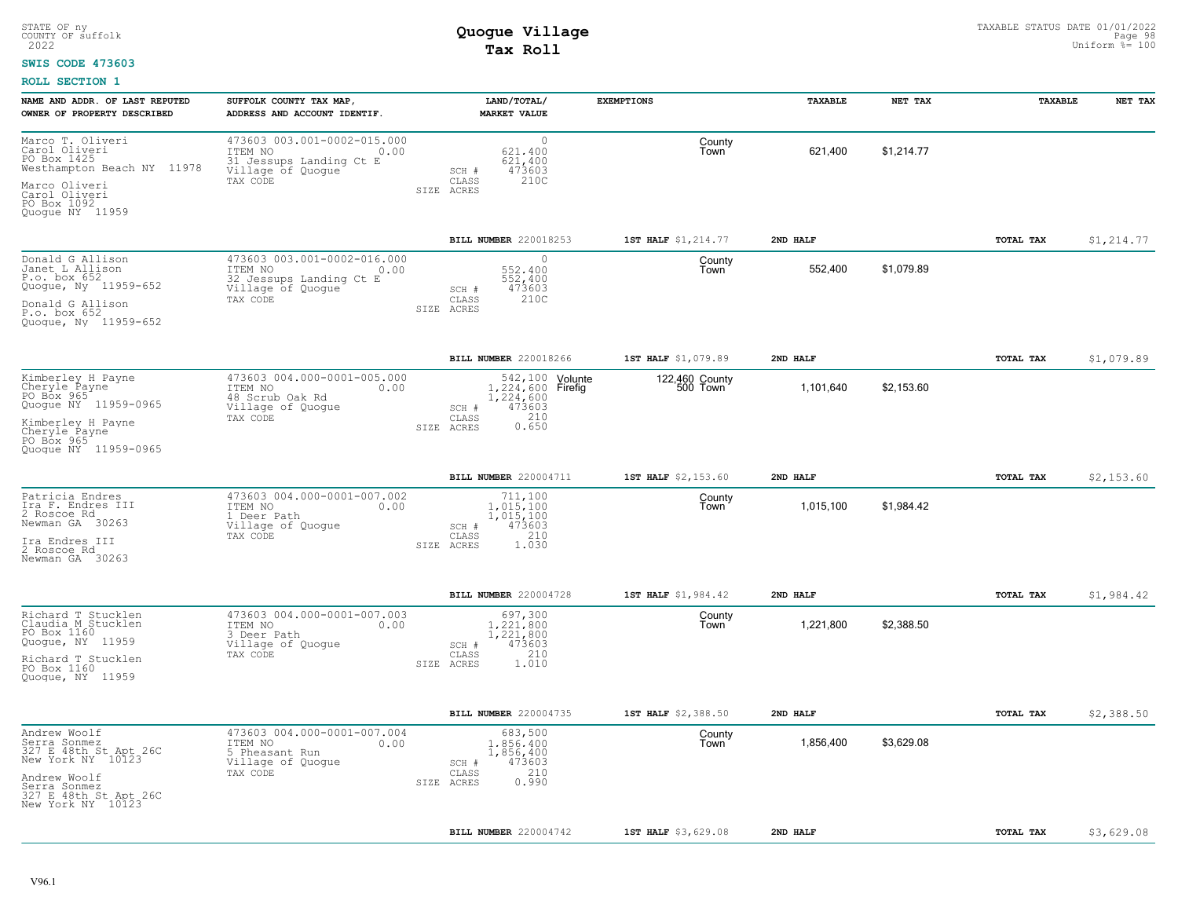#### **SWIS CODE 473603**

| NAME AND ADDR. OF LAST REPUTED                                                                                                                           | SUFFOLK COUNTY TAX MAP,                                                                                    | LAND/TOTAL/                                                                                             | <b>EXEMPTIONS</b>          | <b>TAXABLE</b> | NET TAX    | TAXABLE          | NET TAX     |
|----------------------------------------------------------------------------------------------------------------------------------------------------------|------------------------------------------------------------------------------------------------------------|---------------------------------------------------------------------------------------------------------|----------------------------|----------------|------------|------------------|-------------|
| OWNER OF PROPERTY DESCRIBED                                                                                                                              | ADDRESS AND ACCOUNT IDENTIF.                                                                               | <b>MARKET VALUE</b>                                                                                     |                            |                |            |                  |             |
| Marco T. Oliveri<br>Carol Oliveri<br>PO Box 1425<br>Westhampton Beach NY 11978<br>Marco Oliveri<br>Carol Oliveri<br>PO Box 1092<br>Quogue NY 11959       | 473603 003.001-0002-015.000<br>ITEM NO<br>0.00<br>31 Jessups Landing Ct E<br>Village of Quogue<br>TAX CODE | $\circ$<br>621,400<br>621,400<br>473603<br>SCH #<br>210C<br>CLASS<br>SIZE ACRES                         | County<br>Town             | 621,400        | \$1,214.77 |                  |             |
|                                                                                                                                                          |                                                                                                            | BILL NUMBER 220018253                                                                                   | 1ST HALF \$1,214.77        | 2ND HALF       |            | TOTAL TAX        | \$1, 214.77 |
| Donald G Allison<br>Janet L Allison<br>P.o. box 652<br>Quogue, Ny 11959-652<br>Donald G Allison<br>P.o. box 652<br>Quogue, Ny 11959-652                  | 473603 003.001-0002-016.000<br>ITEM NO<br>0.00<br>32 Jessups Landing Ct E<br>Village of Quogue<br>TAX CODE | $\mathbf{0}$<br>552.400<br>552,400<br>473603<br>SCH #<br>210C<br>CLASS<br>SIZE ACRES                    | County<br>Town             | 552,400        | \$1,079.89 |                  |             |
|                                                                                                                                                          |                                                                                                            | BILL NUMBER 220018266                                                                                   | 1ST HALF \$1,079.89        | 2ND HALF       |            | TOTAL TAX        | \$1,079.89  |
| Kimberley H Payne<br>Cheryle Payne<br>PO Box 965<br>Quogue NY 11959-0965<br>Kimberley H Payne<br>Cheryle Payne<br>PO Box 965<br>Quoque NY 11959-0965     | 473603 004.000-0001-005.000<br>ITEM NO<br>0.00<br>48 Scrub Oak Rd<br>Village of Quoque<br>TAX CODE         | 542, 100 Volunte<br>1,224,600 Firefig<br>1,224,600<br>473603<br>$SCH$ #<br>0.210<br>CLASS<br>SIZE ACRES | 122,460 County<br>500 Town | 1,101,640      | \$2,153.60 |                  |             |
|                                                                                                                                                          |                                                                                                            | BILL NUMBER 220004711                                                                                   | 1ST HALF \$2,153.60        | 2ND HALF       |            | <b>TOTAL TAX</b> | \$2,153.60  |
| Patricia Endres<br>Ira F. Endres III<br>2 Roscoe Rd<br>Newman GA 30263<br>Ira Endres III<br>2 Roscoe Rd<br>Newman GA 30263                               | 473603 004.000-0001-007.002<br>ITEM NO<br>0.00<br>1 Deer Path<br>Village of Quogue<br>TAX CODE             | 711,100<br>1,015,100<br>1,015,100<br>473603<br>SCH #<br>210<br>CLASS<br>1.030<br>SIZE ACRES             | County<br>Town             | 1,015,100      | \$1,984.42 |                  |             |
|                                                                                                                                                          |                                                                                                            | BILL NUMBER 220004728                                                                                   | 1ST HALF \$1,984.42        | 2ND HALF       |            | TOTAL TAX        | \$1,984.42  |
| Richard T Stucklen<br>Claudia M Stucklen<br>PO Box 1160<br>Quogue, NY 11959<br>Richard T Stucklen<br>PO Box 1160<br>Quoque, NY 11959                     | 473603 004.000-0001-007.003<br>ITEM NO<br>0.00<br>3 Deer Path<br>Village of Quogue<br>TAX CODE             | 697,300<br>1,221,800<br>1,221,800<br>473603<br>SCH #<br>210<br>CLASS<br>1.010<br>SIZE ACRES             | County<br>Town             | 1,221,800      | \$2,388.50 |                  |             |
|                                                                                                                                                          |                                                                                                            | <b>BILL NUMBER 220004735</b>                                                                            | 1ST HALF \$2,388.50        | 2ND HALF       |            | TOTAL TAX        | \$2,388.50  |
| Andrew Woolf<br>Serra Sonmez<br>327 E 48th St Apt 26C<br>New York NY 10123<br>Andrew Woolf<br>Serra Sonmez<br>327 E 48th St Apt 26C<br>New York NY 10123 | 473603 004.000-0001-007.004<br>ITEM NO<br>0.00<br>5 Pheasant Run<br>Village of Quogue<br>TAX CODE          | 683,500<br>1,856,400<br>1,856,400<br>473603<br>SCH #<br>210<br>CLASS<br>0.990<br>SIZE ACRES             | County<br>Town             | 1,856,400      | \$3,629.08 |                  |             |
|                                                                                                                                                          |                                                                                                            | BILL NUMBER 220004742                                                                                   | 1ST HALF \$3,629.08        | 2ND HALF       |            | <b>TOTAL TAX</b> | \$3,629.08  |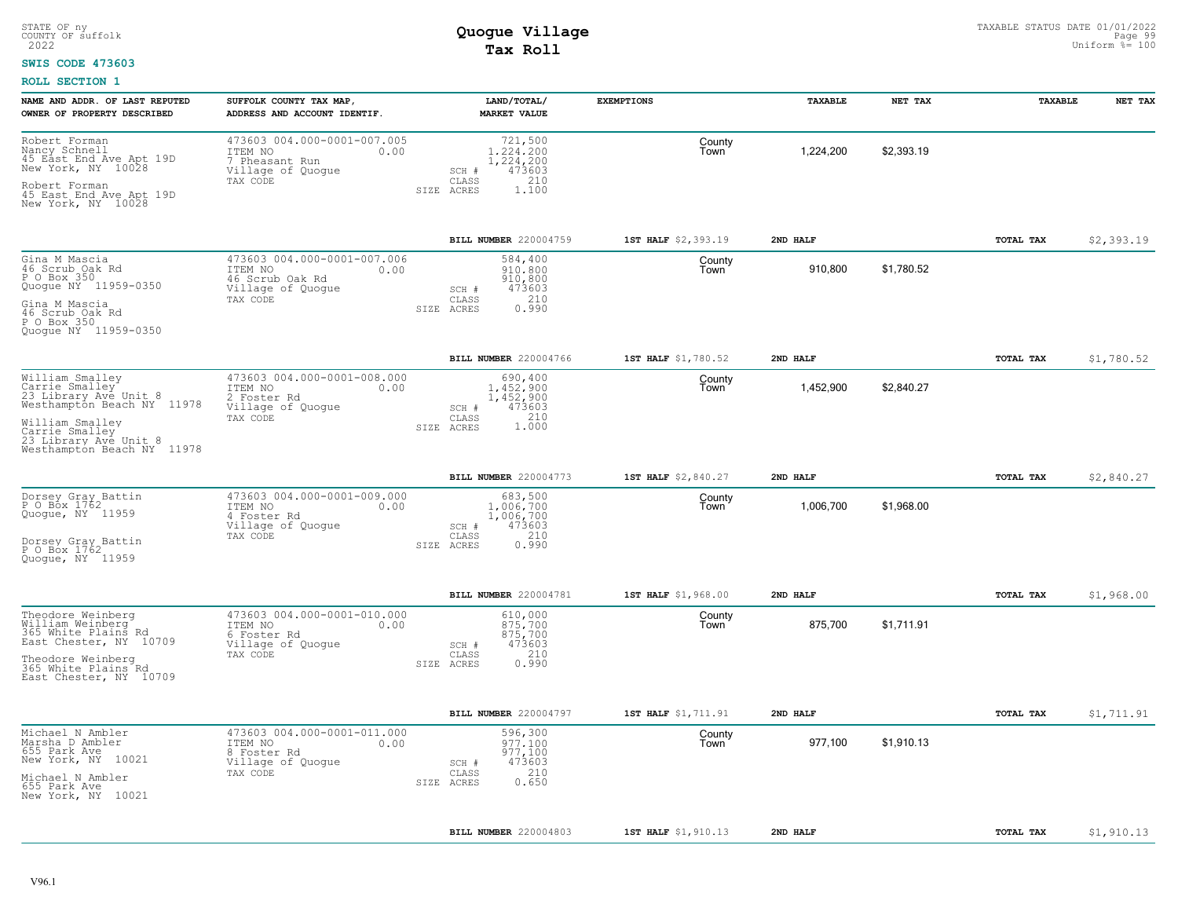#### **SWIS CODE 473603**

| NAME AND ADDR. OF LAST REPUTED<br>OWNER OF PROPERTY DESCRIBED                                                                                                                        | SUFFOLK COUNTY TAX MAP,<br>ADDRESS AND ACCOUNT IDENTIF.                                            | LAND/TOTAL/<br><b>MARKET VALUE</b>                                                          | <b>EXEMPTIONS</b>   | TAXABLE   | NET TAX    | <b>TAXABLE</b> | NET TAX    |
|--------------------------------------------------------------------------------------------------------------------------------------------------------------------------------------|----------------------------------------------------------------------------------------------------|---------------------------------------------------------------------------------------------|---------------------|-----------|------------|----------------|------------|
| Robert Forman<br>Nancy Schnell<br>45 East End Ave Apt 19D<br>New York, NY 10028<br>Robert Forman<br>45 East End Ave Apt 19D<br>New York, NY 10028                                    | 473603 004.000-0001-007.005<br>ITEM NO<br>0.00<br>7 Pheasant Run<br>Village of Quogue<br>TAX CODE  | 721,500<br>1,224,200<br>1,224,200<br>473603<br>SCH #<br>210<br>CLASS<br>SIZE ACRES<br>1.100 | County<br>Town      | 1,224,200 | \$2,393.19 |                |            |
|                                                                                                                                                                                      |                                                                                                    | BILL NUMBER 220004759                                                                       | 1ST HALF \$2,393.19 | 2ND HALF  |            | TOTAL TAX      | \$2,393.19 |
| Gina M Mascia<br>46 Scrub Oak Rd<br>P O Box 350<br>Quogue NY 11959-0350<br>Gina M Mascia<br>46 Scrub Oak Rd<br>P O Box 350<br>Quogue NY 11959-0350                                   | 473603 004.000-0001-007.006<br>ITEM NO<br>0.00<br>46 Scrub Oak Rd<br>Village of Quogue<br>TAX CODE | 584,400<br>910,800<br>910,800<br>473603<br>SCH #<br>210<br>CLASS<br>0.990<br>SIZE ACRES     | County<br>l own     | 910,800   | \$1,780.52 |                |            |
|                                                                                                                                                                                      |                                                                                                    | BILL NUMBER 220004766                                                                       | 1ST HALF \$1,780.52 | 2ND HALF  |            | TOTAL TAX      | \$1,780.52 |
| William Smalley<br>Carrie Smalley<br>23 Library Ave Unit 8<br>Westhampton Beach NY 11978<br>William Smalley<br>Carrie Smalley<br>23 Library Ave Unit 8<br>Westhampton Beach NY 11978 | 473603 004.000-0001-008.000<br>ITEM NO<br>0.00<br>2 Foster Rd<br>Village of Quogue<br>TAX CODE     | 690,400<br>1.452.900<br>1,452,900<br>473603<br>SCH #<br>210<br>CLASS<br>1.000<br>SIZE ACRES | County<br>Town      | 1,452,900 | \$2,840.27 |                |            |
|                                                                                                                                                                                      |                                                                                                    | <b>BILL NUMBER 220004773</b>                                                                | 1ST HALF \$2,840.27 | 2ND HALF  |            | TOTAL TAX      | \$2,840.27 |
| Dorsey Gray Battin<br>P O Box 1762<br>Quogue, NY 11959<br>Dorsey Gray Battin<br>P O Box 1762<br>Quoque, NY 11959                                                                     | 473603 004.000-0001-009.000<br>ITEM NO<br>0.00<br>4 Foster Rd<br>Village of Quogue<br>TAX CODE     | 683,500<br>1,006,700<br>1,006,700<br>473603<br>SCH #<br>210<br>CLASS<br>0.990<br>SIZE ACRES | County<br>Town      | 1,006,700 | \$1,968.00 |                |            |
|                                                                                                                                                                                      |                                                                                                    | BILL NUMBER 220004781                                                                       | 1ST HALF \$1,968.00 | 2ND HALF  |            | TOTAL TAX      | \$1,968.00 |
| Theodore Weinberg<br>William Weinberg<br>365 White Plains Rd<br>East Chester, NY 10709<br>Theodore Weinberg<br>365 White Plains Rd<br>East Chester, NY 10709                         | 473603 004.000-0001-010.000<br>ITEM NO<br>0.00<br>6 Foster Rd<br>Village of Quogue<br>TAX CODE     | 610,000<br>875,700<br>875,700<br>473603<br>$SCH$ $#$<br>210<br>CLASS<br>0.990<br>SIZE ACRES | County<br>Town      | 875,700   | \$1,711.91 |                |            |
|                                                                                                                                                                                      |                                                                                                    | BILL NUMBER 220004797                                                                       | 1ST HALF \$1,711.91 | 2ND HALF  |            | TOTAL TAX      | \$1,711.91 |
| Michael N Ambler<br>Marsha D Ambler<br>655 Park Ave<br>New York, NY 10021<br>Michael N Ambler<br>655 Park Ave<br>New York, NY 10021                                                  | 473603 004.000-0001-011.000<br>ITEM NO<br>0.00<br>8 Foster Rd<br>Village of Quogue<br>TAX CODE     | 596,300<br>977.100<br>977,100<br>473603<br>SCH #<br>210<br>CLASS<br>0.650<br>SIZE ACRES     | County<br>Town      | 977,100   | \$1,910.13 |                |            |
|                                                                                                                                                                                      |                                                                                                    | <b>BILL NUMBER 220004803</b>                                                                | 1ST HALF \$1,910.13 | 2ND HALF  |            | TOTAL TAX      | \$1,910.13 |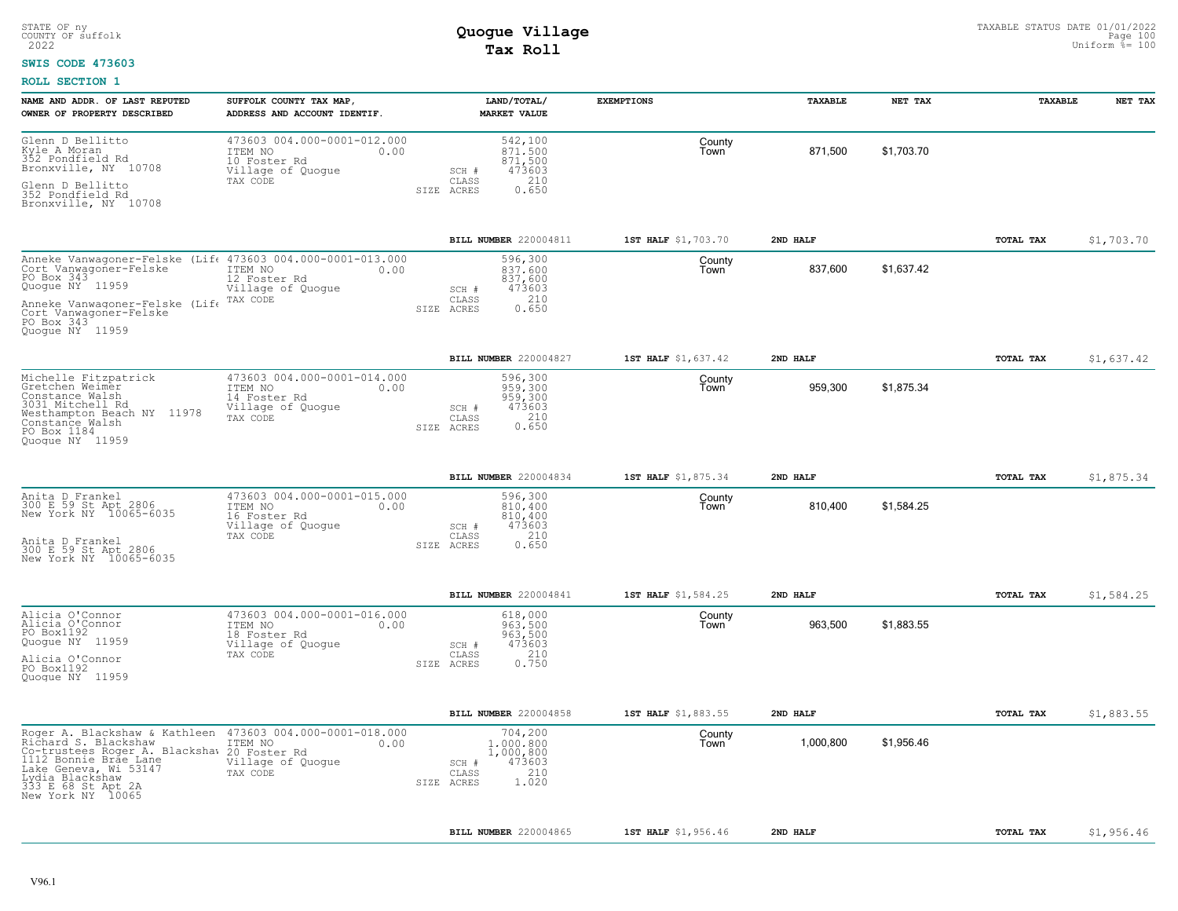#### **SWIS CODE 473603**

| NAME AND ADDR. OF LAST REPUTED<br>OWNER OF PROPERTY DESCRIBED                                                                                                                                                                                    | SUFFOLK COUNTY TAX MAP,<br>ADDRESS AND ACCOUNT IDENTIF.                                         | LAND/TOTAL/<br><b>MARKET VALUE</b>                                                            | <b>EXEMPTIONS</b>   | <b>TAXABLE</b> | NET TAX    | <b>TAXABLE</b> | NET TAX    |
|--------------------------------------------------------------------------------------------------------------------------------------------------------------------------------------------------------------------------------------------------|-------------------------------------------------------------------------------------------------|-----------------------------------------------------------------------------------------------|---------------------|----------------|------------|----------------|------------|
| Glenn D Bellitto<br>Kyle A Moran<br>352 Pondfield Rd<br>Bronxville, NY 10708<br>Glenn D Bellitto<br>352 Pondfield Rd                                                                                                                             | 473603 004.000-0001-012.000<br>ITEM NO<br>0.00<br>10 Foster Rd<br>Village of Quogue<br>TAX CODE | 542,100<br>871,500<br>,500<br>871<br>473603<br>SCH #<br>210<br>CLASS<br>0.650<br>SIZE ACRES   | County<br>Town      | 871,500        | \$1,703.70 |                |            |
| Bronxville, NY 10708                                                                                                                                                                                                                             |                                                                                                 |                                                                                               |                     |                |            |                |            |
|                                                                                                                                                                                                                                                  |                                                                                                 | BILL NUMBER 220004811                                                                         | 1ST HALF \$1,703.70 | 2ND HALF       |            | TOTAL TAX      | \$1,703.70 |
| Anneke Vanwagoner-Felske (Lif 473603 004.000-0001-013.000<br>Cort Vanwagoner-Felske<br>PO Box 343<br>Quogue NY 11959<br>Anneke Vanwagoner-Felske (Life                                                                                           | ITEM NO<br>0.00<br>12 Foster Rd<br>Village of Quogue<br>TAX CODE                                | 596,300<br>837,600<br>837,600<br>473603<br>SCH #<br>210<br>CLASS                              | County<br>Town      | 837,600        | \$1.637.42 |                |            |
| Cort Vanwagoner-Felske<br>PO Box 343<br>Quoque NY 11959                                                                                                                                                                                          |                                                                                                 | 0.650<br>SIZE ACRES                                                                           |                     |                |            |                |            |
|                                                                                                                                                                                                                                                  |                                                                                                 | BILL NUMBER 220004827                                                                         | 1ST HALF \$1,637.42 | 2ND HALF       |            | TOTAL TAX      | \$1,637.42 |
| Michelle Fitzpatrick<br>Gretchen Weimer<br>Constance Walsh<br>3031 Mitchell Rd<br>Westhampton Beach NY 11978<br>Constance Walsh<br>PO Box 1184<br>Quoque NY 11959                                                                                | 473603 004.000-0001-014.000<br>ITEM NO<br>0.00<br>14 Foster Rd<br>Village of Quogue<br>TAX CODE | 596,300<br>959,300<br>959,300<br>473603<br>SCH #<br>$0.210$<br>$0.650$<br>CLASS<br>SIZE ACRES | County<br>Town      | 959,300        | \$1,875.34 |                |            |
|                                                                                                                                                                                                                                                  |                                                                                                 | BILL NUMBER 220004834                                                                         | 1ST HALF \$1,875.34 | 2ND HALF       |            | TOTAL TAX      | \$1,875.34 |
| Anita D Frankel<br>300 E 59 St Apt 2806<br>New York NY 10065-6035                                                                                                                                                                                | 473603 004.000-0001-015.000<br>ITEM NO<br>0.00<br>16 Foster Rd<br>Village of Quogue             | 596,300<br>810,400<br>810,400<br>473603<br>SCH #                                              | County<br>Town      | 810,400        | \$1,584.25 |                |            |
| Anita D Frankel<br>300 E 59 St Apt 2806<br>New York NY 10065-6035                                                                                                                                                                                | TAX CODE                                                                                        | 210<br>CLASS<br>SIZE ACRES<br>0.650                                                           |                     |                |            |                |            |
|                                                                                                                                                                                                                                                  |                                                                                                 | BILL NUMBER 220004841                                                                         | 1ST HALF \$1,584.25 | 2ND HALF       |            | TOTAL TAX      | \$1,584.25 |
| Alicia O'Connor<br>Alicia O'Connor<br>PO Box1192<br>Quogue NY 11959                                                                                                                                                                              | 473603 004.000-0001-016.000<br>ITEM NO<br>0.00<br>18 Foster Rd<br>Village of Quogue             | 618,000<br>963,500<br>963,500<br>473603<br>$SCH$ #                                            | County<br>Town      | 963,500        | \$1,883.55 |                |            |
| Alicia O'Connor<br>PO Box1192<br>Quogue NY 11959                                                                                                                                                                                                 | TAX CODE                                                                                        | 210<br>CLASS<br>0.750<br>SIZE ACRES                                                           |                     |                |            |                |            |
|                                                                                                                                                                                                                                                  |                                                                                                 | BILL NUMBER 220004858                                                                         | 1ST HALF \$1,883.55 | 2ND HALF       |            | TOTAL TAX      | \$1,883.55 |
| Roger A. Blackshaw & Kathleen 473603 004.000-0001-018.000<br>Richard S. Blackshaw<br>Co-trustees Roger A. Blackshaw 20 Foster Rd<br>1112 Bonnie Brae Lane<br>Lake Geneva, Wi 53147<br>Lydia Blackshaw<br>333 E 68 St Apt 2A<br>New York NY 10065 | 0.00<br>ITEM NO<br>Village of Quogue<br>TAX CODE                                                | 704,200<br>1,000,800<br>1,000,800<br>473603<br>SCH #<br>210<br>CLASS<br>1.020<br>SIZE ACRES   | County<br>Town      | 1,000,800      | \$1,956.46 |                |            |
|                                                                                                                                                                                                                                                  |                                                                                                 | <b>BILL NUMBER 220004865</b>                                                                  | 1ST HALF \$1,956.46 | 2ND HALF       |            | TOTAL TAX      | \$1,956.46 |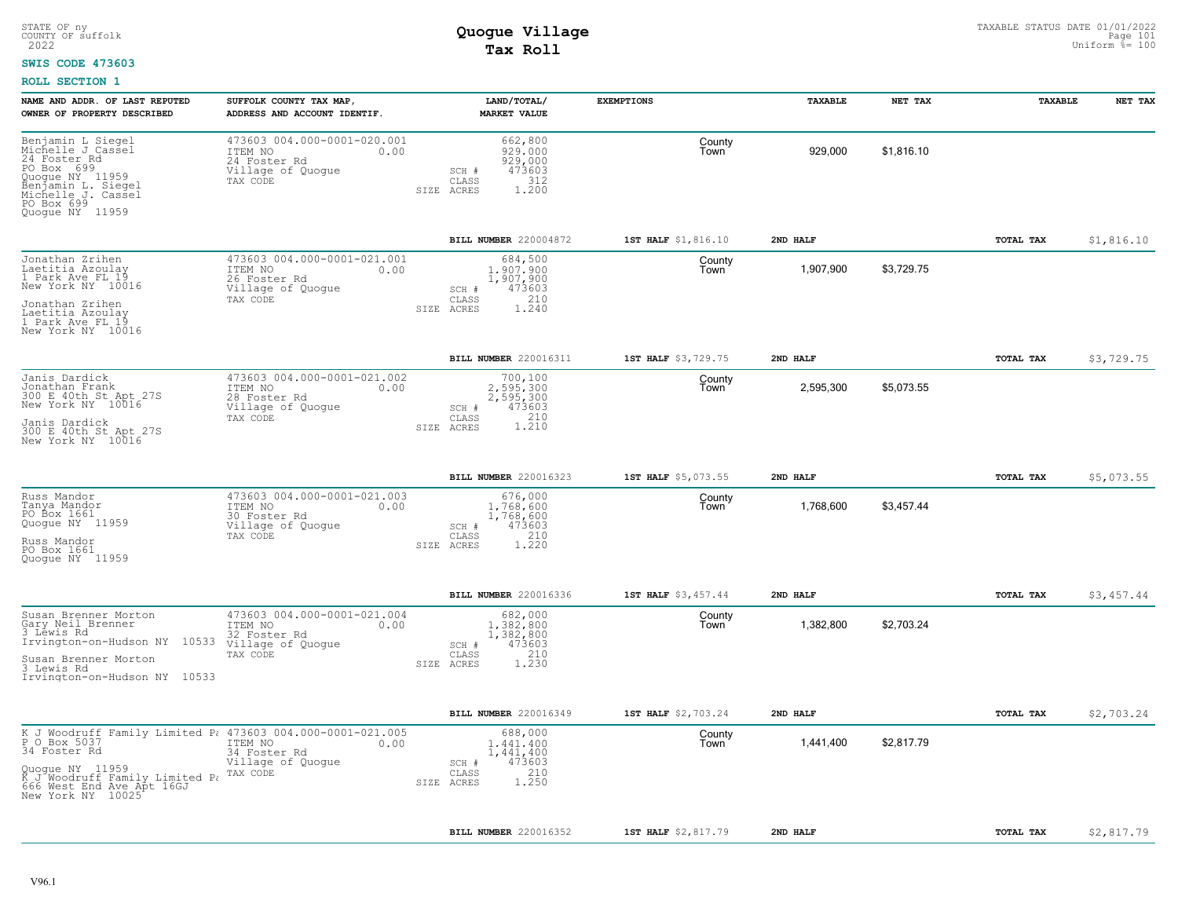#### **SWIS CODE 473603**

| NAME AND ADDR. OF LAST REPUTED<br>OWNER OF PROPERTY DESCRIBED                                                                                                                                                           | SUFFOLK COUNTY TAX MAP,<br>ADDRESS AND ACCOUNT IDENTIF.                                         | LAND/TOTAL/<br><b>MARKET VALUE</b>                                                             | <b>EXEMPTIONS</b>   | TAXABLE   | NET TAX    | TAXABLE   | NET TAX    |
|-------------------------------------------------------------------------------------------------------------------------------------------------------------------------------------------------------------------------|-------------------------------------------------------------------------------------------------|------------------------------------------------------------------------------------------------|---------------------|-----------|------------|-----------|------------|
| Benjamin L Siegel<br>Michelle J Cassel<br>24 Foster Rd<br>PO Box 699<br>Quoque NY 11959<br>Benjamin L. Siegel<br>Michelle J. Cassel<br>PO Box 699<br>Quogue NY 11959                                                    | 473603 004.000-0001-020.001<br>ITEM NO<br>0.00<br>24 Foster Rd<br>Village of Quogue<br>TAX CODE | 662,800<br>929,000<br>929,000<br>473603<br>SCH #<br>312<br>CLASS<br>SIZE ACRES<br>1,200        | County<br>Town      | 929,000   | \$1,816.10 |           |            |
|                                                                                                                                                                                                                         |                                                                                                 | BILL NUMBER 220004872                                                                          | 1ST HALF \$1,816.10 | 2ND HALF  |            | TOTAL TAX | \$1,816.10 |
| Jonathan Zrihen<br>Laetitia Azoulay<br>1 Park Ave FL 19<br>New York NY 10016<br>Jonathan Zrihen<br>Laetitia Azoulay<br>1 Park Ave FL 19<br>New York NY 10016                                                            | 473603 004.000-0001-021.001<br>ITEM NO<br>0.00<br>26 Foster Rd<br>Village of Quogue<br>TAX CODE | 684,500<br>1,907,900<br>1,907,900<br>473603<br>SCH #<br>210<br>CLASS<br>SIZE<br>ACRES<br>1.240 | County<br>Town      | 1,907,900 | \$3,729.75 |           |            |
|                                                                                                                                                                                                                         |                                                                                                 | BILL NUMBER 220016311                                                                          | 1ST HALF \$3,729.75 | 2ND HALF  |            | TOTAL TAX | \$3,729.75 |
| Janis Dardick<br>Jonathan Frank<br>300 E 40th St Apt 27S<br>New York NY 10016<br>Janis Dardick<br>300 E 40th St Apt 27S<br>New York NY 10016                                                                            | 473603 004.000-0001-021.002<br>ITEM NO<br>0.00<br>28 Foster Rd<br>Village of Quogue<br>TAX CODE | 700,100<br>2.595.300<br>2,595,300<br>SCH #<br>473603<br>1.210<br>CLASS<br>SIZE ACRES           | County<br>Town      | 2,595,300 | \$5,073.55 |           |            |
|                                                                                                                                                                                                                         |                                                                                                 | BILL NUMBER 220016323                                                                          | 1ST HALF \$5,073.55 | 2ND HALF  |            | TOTAL TAX | \$5,073.55 |
| Russ Mandor<br>Tanya Mandor<br>PO Box 1661<br>Quogue NY 11959<br>Russ Mandor<br>PO Box 1661<br>Quoque NY 11959                                                                                                          | 473603 004.000-0001-021.003<br>ITEM NO<br>0.00<br>30 Foster Rd<br>Village of Quogue<br>TAX CODE | 676,000<br>1,768,600<br>1,768,600<br>473603<br>SCH #<br>210<br>CLASS<br>1,220<br>SIZE ACRES    | County<br>Town      | 1,768,600 | \$3,457.44 |           |            |
|                                                                                                                                                                                                                         |                                                                                                 | <b>BILL NUMBER 220016336</b>                                                                   | 1ST HALF \$3,457.44 | 2ND HALF  |            | TOTAL TAX | \$3,457.44 |
| Susan Brenner Morton<br>Gary Neil Brenner<br>3 Lēwis Rd<br>Irvington-on-Hudson NY 10533<br>Susan Brenner Morton<br>3 Lewis Rd<br>Irvington-on-Hudson NY 10533                                                           | 473603 004.000-0001-021.004<br>ITEM NO<br>0.00<br>32 Foster Rd<br>Village of Quogue<br>TAX CODE | 682,000<br>1,382,800<br>1,382,800<br>473603<br>SCH #<br>210<br>CLASS<br>SIZE ACRES<br>1.230    | County<br>Town      | 1,382,800 | \$2,703.24 |           |            |
|                                                                                                                                                                                                                         |                                                                                                 | BILL NUMBER 220016349                                                                          | 1ST HALF \$2,703.24 | 2ND HALF  |            | TOTAL TAX | \$2,703.24 |
| K J Woodruff Family Limited P: 473603 004.000-0001-021.005<br>P O Box 5037 TTEM NO 0.00<br>34 Foster Rd<br>Quogue NY 11959<br>K J Woodruff Family Limited P. TAX CODE<br>666 West End Ave Apt 16GJ<br>New York NY 10025 | ITEM NO<br>0.00<br>34 Foster Rd<br>Village of Quogue                                            | 688,000<br>1,441,400<br>1,441,400<br>473603<br>SCH #<br>210<br>CLASS<br>1.250<br>SIZE ACRES    | County<br>Town      | 1,441,400 | \$2,817.79 |           |            |
|                                                                                                                                                                                                                         |                                                                                                 | <b>BILL NUMBER 220016352</b>                                                                   | 1ST HALF \$2,817.79 | 2ND HALF  |            | TOTAL TAX | \$2,817.79 |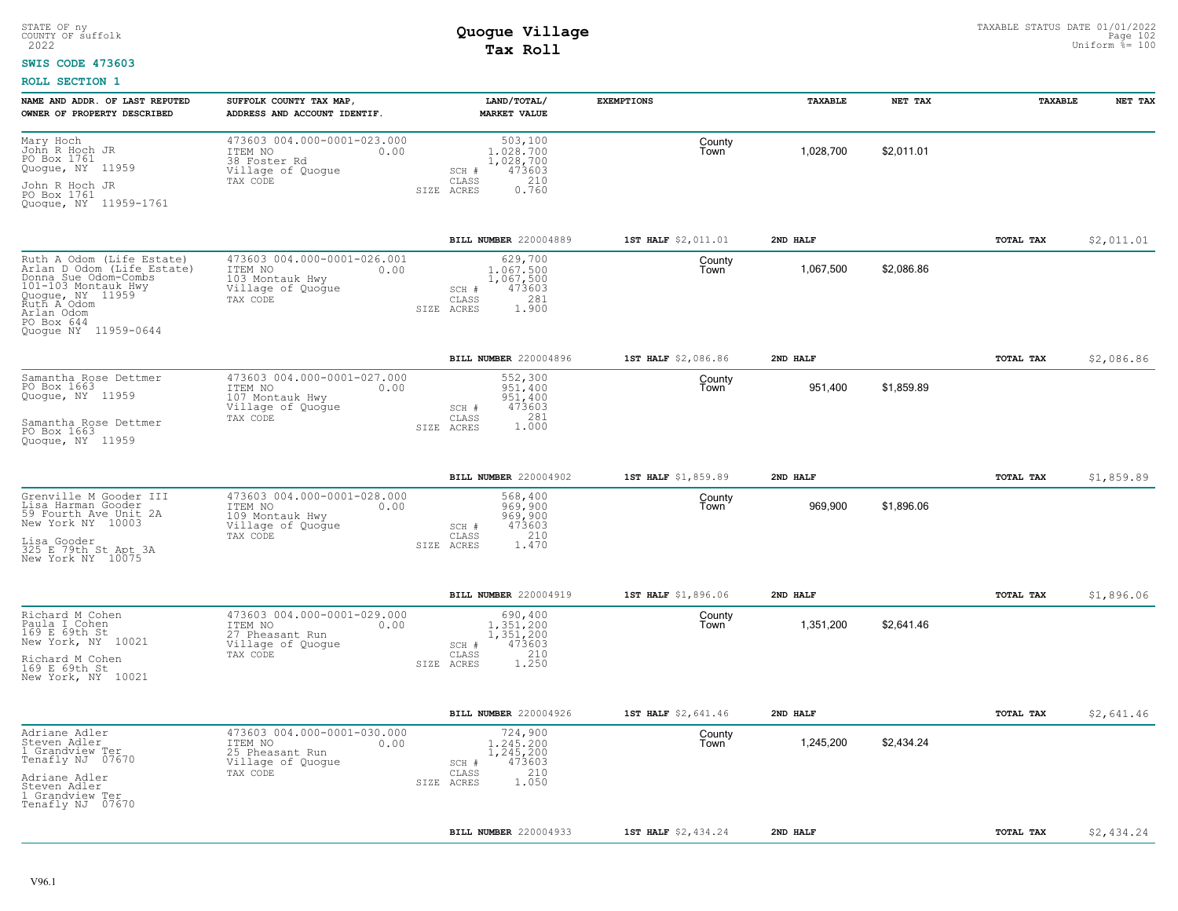#### **SWIS CODE 473603**

| NAME AND ADDR. OF LAST REPUTED<br>OWNER OF PROPERTY DESCRIBED                                                                                                                                 | SUFFOLK COUNTY TAX MAP,<br>ADDRESS AND ACCOUNT IDENTIF.                                            | LAND/TOTAL/<br><b>MARKET VALUE</b>                                                          | <b>EXEMPTIONS</b>   | <b>TAXABLE</b> | NET TAX    | TAXABLE   | NET TAX    |
|-----------------------------------------------------------------------------------------------------------------------------------------------------------------------------------------------|----------------------------------------------------------------------------------------------------|---------------------------------------------------------------------------------------------|---------------------|----------------|------------|-----------|------------|
| Mary Hoch<br>John R Hoch JR<br>PO Box 1761<br>Quogue, NY 11959<br>John R Hoch JR<br>PO Box 1761<br>Quogue, NY 11959-1761                                                                      | 473603 004.000-0001-023.000<br>ITEM NO<br>0.00<br>38 Foster Rd<br>Village of Quogue<br>TAX CODE    | 503,100<br>1,028,700<br>1,028,700<br>473603<br>SCH #<br>CLASS<br>210<br>0.760<br>SIZE ACRES | County<br>Town      | 1,028,700      | \$2,011.01 |           |            |
|                                                                                                                                                                                               |                                                                                                    | BILL NUMBER 220004889                                                                       | 1ST HALF \$2,011.01 | 2ND HALF       |            | TOTAL TAX | \$2,011.01 |
| Ruth A Odom (Life Estate)<br>Arlan D Odom (Life Estate)<br>Donna Sue Odom-Combs<br>101-103 Montauk Hwy<br>Quogue, NY 11959<br>Ruth A Odom<br>Arlan Odom<br>PO Box 644<br>Quoque NY 11959-0644 | 473603 004.000-0001-026.001<br>ITEM NO<br>0.00<br>103 Montauk Hwy<br>Village of Quogue<br>TAX CODE | 629,700<br>1,067,500<br>1,067,500<br>473603<br>SCH #<br>281<br>CLASS<br>1,900<br>SIZE ACRES | County<br>Town      | 1,067,500      | \$2,086.86 |           |            |
|                                                                                                                                                                                               |                                                                                                    | BILL NUMBER 220004896                                                                       | 1ST HALF \$2,086.86 | 2ND HALF       |            | TOTAL TAX | \$2,086.86 |
| Samantha Rose Dettmer<br>PO Box 1663<br>Quogue, NY 11959<br>Samantha Rose Dettmer<br>PO Box 1663<br>Quoque, NY 11959                                                                          | 473603 004.000-0001-027.000<br>ITEM NO<br>0.00<br>107 Montauk Hwy<br>Village of Quogue<br>TAX CODE | 552,300<br>951,400<br>951,400<br>473603<br>SCH #<br>281<br>CLASS<br>1,000<br>SIZE ACRES     | County<br>Town      | 951,400        | \$1,859.89 |           |            |
|                                                                                                                                                                                               |                                                                                                    | BILL NUMBER 220004902                                                                       | 1ST HALF \$1,859.89 | 2ND HALF       |            | TOTAL TAX | \$1,859.89 |
| Grenville M Gooder III<br>Lisa Harman Gooder<br>59 Fourth Ave Unit 2A<br>New York NY 10003<br>Lisa Gooder<br>325 E 79th St Apt 3A<br>New York NY 10075                                        | 473603 004.000-0001-028.000<br>ITEM NO<br>0.00<br>109 Montauk Hwy<br>Village of Quogue<br>TAX CODE | 568,400<br>969,900<br>969,900<br>473603<br>SCH #<br>210<br>CLASS<br>1.470<br>SIZE ACRES     | County<br>Town      | 969,900        | \$1,896.06 |           |            |
|                                                                                                                                                                                               |                                                                                                    | BILL NUMBER 220004919                                                                       | 1ST HALF \$1,896.06 | 2ND HALF       |            | TOTAL TAX | \$1,896.06 |
| Richard M Cohen<br>Paula I Cohen<br>169 E 69th St<br>New York, NY 10021<br>Richard M Cohen<br>169 E 69th St<br>New York, NY 10021                                                             | 473603 004.000-0001-029.000<br>ITEM NO<br>0.00<br>27 Pheasant Run<br>Village of Quogue<br>TAX CODE | 690,400<br>1,351,200<br>1,351,200<br>473603<br>SCH #<br>210<br>CLASS<br>1,250<br>SIZE ACRES | County<br>Town      | 1,351,200      | \$2,641.46 |           |            |
|                                                                                                                                                                                               |                                                                                                    | BILL NUMBER 220004926                                                                       | 1ST HALF \$2,641.46 | 2ND HALF       |            | TOTAL TAX | \$2,641.46 |
| Adriane Adler<br>Steven Adler<br>1 Grandview Ter<br>Tenafly NJ 07670<br>Adriane Adler<br>Steven Adler<br>1 Grandview Ter<br>Tenafly NJ 07670                                                  | 473603 004.000-0001-030.000<br>ITEM NO<br>0.00<br>25 Pheasant Run<br>Village of Quogue<br>TAX CODE | 724,900<br>1,245,200<br>1,245,200<br>473603<br>SCH #<br>210<br>CLASS<br>1.050<br>SIZE ACRES | County<br>Town      | 1,245,200      | \$2,434.24 |           |            |
|                                                                                                                                                                                               |                                                                                                    | BILL NUMBER 220004933                                                                       | 1ST HALF \$2,434.24 | 2ND HALF       |            | TOTAL TAX | \$2,434.24 |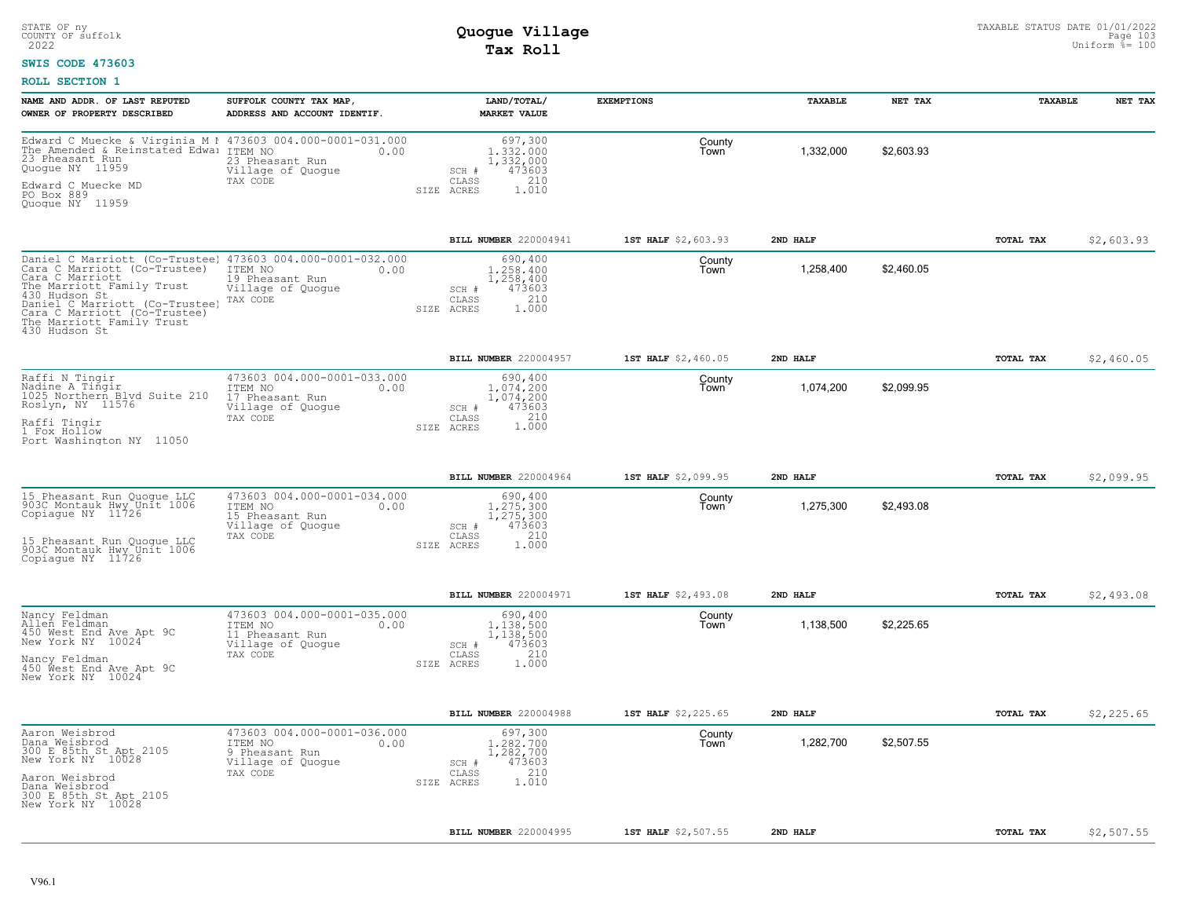### **SWIS CODE 473603**

| NAME AND ADDR. OF LAST REPUTED<br>OWNER OF PROPERTY DESCRIBED                                                                                                                                                                                                               | SUFFOLK COUNTY TAX MAP,<br>ADDRESS AND ACCOUNT IDENTIF.                                            | LAND/TOTAL/<br><b>MARKET VALUE</b>                                                          | <b>EXEMPTIONS</b>   | TAXABLE   | NET TAX    | <b>TAXABLE</b> | NET TAX    |
|-----------------------------------------------------------------------------------------------------------------------------------------------------------------------------------------------------------------------------------------------------------------------------|----------------------------------------------------------------------------------------------------|---------------------------------------------------------------------------------------------|---------------------|-----------|------------|----------------|------------|
| Edward C Muecke & Virginia M 1 473603 004.000-0001-031.000<br>The Amended & Reinstated Edwa: ITEM NO<br>23 Pheasant Run<br>Quoque NY 11959<br>Edward C Muecke MD<br>PO Box 889                                                                                              | 0.00<br>23 Pheasant Run<br>Village of Quogue<br>TAX CODE                                           | 697,300<br>1,332,000<br>1,332,000<br>473603<br>SCH #<br>210<br>CLASS<br>1.010<br>SIZE ACRES | County<br>Town      | 1,332,000 | \$2,603.93 |                |            |
| Quoque NY 11959                                                                                                                                                                                                                                                             |                                                                                                    |                                                                                             |                     |           |            |                |            |
|                                                                                                                                                                                                                                                                             |                                                                                                    | BILL NUMBER 220004941                                                                       | 1ST HALF \$2,603.93 | 2ND HALF  |            | TOTAL TAX      | \$2,603.93 |
| Daniel C Marriott (Co-Trustee) 473603 004.000-0001-032.000<br>Cara C Marriott (Co-Trustee)<br>Cara C Marriott<br>The Marriott Family Trust<br>430 Hudson St<br>Daniel C Marriott (Co-Trustee)<br>Cara C Marriott (Co-Trustee)<br>The Marriott Family Trust<br>430 Hudson St | ITEM NO<br>0.00<br>19 Pheasant Run<br>Village of Quogue<br>TAX CODE                                | 690,400<br>1,258,400<br>1,258,400<br>473603<br>SCH #<br>210<br>CLASS<br>1.000<br>SIZE ACRES | County<br>Town      | 1,258,400 | \$2,460.05 |                |            |
|                                                                                                                                                                                                                                                                             |                                                                                                    | BILL NUMBER 220004957                                                                       | 1ST HALF \$2,460.05 | 2ND HALF  |            | TOTAL TAX      | \$2,460.05 |
| Raffi N Tingir<br>Nadine A Tingir<br>1025 Northern Blvd Suite 210<br>Roslyn, NY 11576                                                                                                                                                                                       | 473603 004.000-0001-033.000<br>ITEM NO<br>0.00<br>17 Pheasant Run<br>Village of Quogue<br>TAX CODE | 690,400<br>1,074,200<br>1,074,200<br>473603<br>SCH #<br>210<br>CLASS                        | County<br>Town      | 1,074,200 | \$2,099.95 |                |            |
| Raffi Tingir<br>1 Fox Hollow<br>Port Washington NY 11050                                                                                                                                                                                                                    |                                                                                                    | 1.000<br>SIZE ACRES                                                                         |                     |           |            |                |            |
|                                                                                                                                                                                                                                                                             |                                                                                                    | BILL NUMBER 220004964                                                                       | 1ST HALF \$2,099.95 | 2ND HALF  |            | TOTAL TAX      | \$2,099.95 |
| 15 Pheasant Run Quoque LLC<br>903C Montauk Hwy Unit 1006<br>Copiague NY 11726                                                                                                                                                                                               | 473603 004.000-0001-034.000<br>ITEM NO<br>0.00<br>15 Pheasant Run<br>Village of Quoque             | 690,400<br>1,275,300<br>1,275,300<br>473603<br>SCH #                                        | County<br>Town      | 1,275,300 | \$2,493.08 |                |            |
| 15 Pheasant Run Quoque LLC<br>903C Montauk Hwy Unit 1006<br>Copiaque NY 11726                                                                                                                                                                                               | TAX CODE                                                                                           | 210<br>CLASS<br>SIZE ACRES<br>1,000                                                         |                     |           |            |                |            |
|                                                                                                                                                                                                                                                                             |                                                                                                    | <b>BILL NUMBER 220004971</b>                                                                | 1ST HALF \$2,493.08 | 2ND HALF  |            | TOTAL TAX      | \$2,493.08 |
| Nancy Feldman<br>Allen Feldman<br>450 West End Ave Apt 9C<br>New York NY 10024                                                                                                                                                                                              | 473603 004.000-0001-035.000<br>ITEM NO<br>0.00<br>11 Pheasant Run<br>Village of Quogue             | 690,400<br>1,138,500<br>1,138,500<br>473603<br>SCH #                                        | County<br>Town      | 1,138,500 | \$2,225.65 |                |            |
| Nancy Feldman<br>450 West End Ave Apt 9C<br>New York NY 10024                                                                                                                                                                                                               | TAX CODE                                                                                           | 210<br>CLASS<br>1.000<br>SIZE ACRES                                                         |                     |           |            |                |            |
|                                                                                                                                                                                                                                                                             |                                                                                                    | BILL NUMBER 220004988                                                                       | 1ST HALF \$2,225.65 | 2ND HALF  |            | TOTAL TAX      | \$2,225.65 |
| Aaron Weisbrod<br>Dana Weisbrod<br>300 E 85th St Apt 2105<br>New York NY 10028                                                                                                                                                                                              | 473603 004.000-0001-036.000<br>ITEM NO<br>0.00<br>9 Pheasant Run<br>Village of Quogue              | 697,300<br>1.282.700<br>1,282,700<br>473603<br>SCH #                                        | County<br>Town      | 1,282,700 | \$2,507.55 |                |            |
| Aaron Weisbrod<br>Dana Weisbrod<br>300 E 85th St Apt 2105<br>New York NY 10028                                                                                                                                                                                              | TAX CODE                                                                                           | 210<br>CLASS<br>1.010<br>SIZE ACRES                                                         |                     |           |            |                |            |
|                                                                                                                                                                                                                                                                             |                                                                                                    | <b>BILL NUMBER 220004995</b>                                                                | 1ST HALF \$2,507.55 | 2ND HALF  |            | TOTAL TAX      | \$2,507.55 |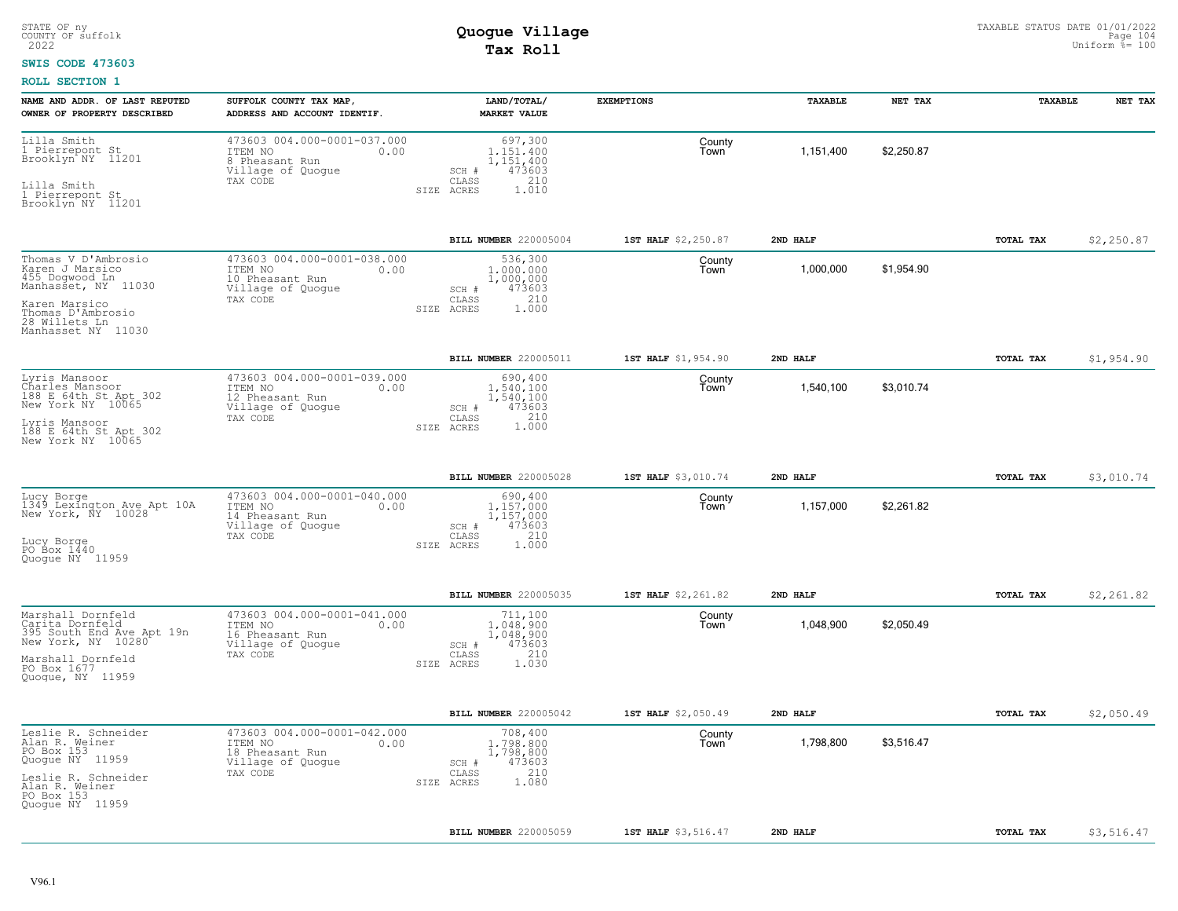#### **SWIS CODE 473603**

| NAME AND ADDR. OF LAST REPUTED<br>OWNER OF PROPERTY DESCRIBED                                                                                                | SUFFOLK COUNTY TAX MAP,<br>ADDRESS AND ACCOUNT IDENTIF.                                            | LAND/TOTAL/<br><b>MARKET VALUE</b>                                                          | <b>EXEMPTIONS</b>   | TAXABLE   | NET TAX    | TAXABLE   | NET TAX    |
|--------------------------------------------------------------------------------------------------------------------------------------------------------------|----------------------------------------------------------------------------------------------------|---------------------------------------------------------------------------------------------|---------------------|-----------|------------|-----------|------------|
| Lilla Smith<br>1 Pierrepont St<br>Brooklyn NY 11201<br>Lilla Smith<br>1 Pierrepont St<br>Brooklyn NY 11201                                                   | 473603 004.000-0001-037.000<br>ITEM NO<br>0.00<br>8 Pheasant Run<br>Village of Quogue<br>TAX CODE  | 697,300<br>1.151.400<br>1,151,400<br>473603<br>SCH #<br>210<br>CLASS<br>1.010<br>SIZE ACRES | County<br>Town      | 1,151,400 | \$2,250.87 |           |            |
|                                                                                                                                                              |                                                                                                    | BILL NUMBER 220005004                                                                       | 1ST HALF \$2,250.87 | 2ND HALF  |            | TOTAL TAX | \$2,250.87 |
| Thomas V D'Ambrosio<br>Karen J Marsico<br>455 Dogwood Ln<br>Manhasset, NY 11030<br>Karen Marsico<br>Thomas D'Ambrosio<br>28 Willets Ln<br>Manhasset NY 11030 | 473603 004.000-0001-038.000<br>ITEM NO<br>0.00<br>10 Pheasant Run<br>Village of Quogue<br>TAX CODE | 536,300<br>1,000,000<br>1,000,000<br>473603<br>SCH #<br>210<br>CLASS<br>1,000<br>SIZE ACRES | County<br>Town      | 1,000,000 | \$1,954.90 |           |            |
|                                                                                                                                                              |                                                                                                    | BILL NUMBER 220005011                                                                       | 1ST HALF \$1,954.90 | 2ND HALF  |            | TOTAL TAX | \$1,954.90 |
| Lyris Mansoor<br>Charles Mansoor<br>188 E 64th St Apt 302<br>New York NY 10065<br>Lyris Mansoor<br>188 E 64th St Apt 302<br>New York NY 10065                | 473603 004.000-0001-039.000<br>ITEM NO<br>0.00<br>12 Pheasant Run<br>Village of Quogue<br>TAX CODE | 690,400<br>1.540.100<br>1,540,100<br>473603<br>SCH #<br>CLASS<br>1.000<br>SIZE ACRES        | County<br>Town      | 1,540,100 | \$3,010.74 |           |            |
|                                                                                                                                                              |                                                                                                    | BILL NUMBER 220005028                                                                       | 1ST HALF \$3,010.74 | 2ND HALF  |            | TOTAL TAX | \$3,010.74 |
| Lucy Borge<br>1349 Lexington Ave Apt 10A<br>New York, NY 10028<br>Lucy Borge<br>PO Box 1440<br>Quoque NY 11959                                               | 473603 004.000-0001-040.000<br>ITEM NO<br>0.00<br>14 Pheasant Run<br>Village of Quogue<br>TAX CODE | 690,400<br>1.157.000<br>1,157,000<br>473603<br>SCH #<br>210<br>CLASS<br>SIZE ACRES<br>1,000 | County<br>Town      | 1,157,000 | \$2,261.82 |           |            |
|                                                                                                                                                              |                                                                                                    | <b>BILL NUMBER 220005035</b>                                                                | 1ST HALF \$2,261.82 | 2ND HALF  |            | TOTAL TAX | \$2,261.82 |
| Marshall Dornfeld<br>Carita Dornfeld<br>395 South End Ave Apt 19n New York, NY 10280<br>Marshall Dornfeld<br>PO Box 1677<br>Quogue, NY 11959                 | 473603 004.000-0001-041.000<br>ITEM NO<br>0.00<br>16 Pheasant Run<br>Village of Quogue<br>TAX CODE | 711,100<br>1,048,900<br>1,048,900<br>473603<br>SCH #<br>210<br>CLASS<br>1.030<br>SIZE ACRES | County<br>Town      | 1,048,900 | \$2,050.49 |           |            |
|                                                                                                                                                              |                                                                                                    | BILL NUMBER 220005042                                                                       | 1ST HALF \$2,050.49 | 2ND HALF  |            | TOTAL TAX | \$2,050.49 |
| Leslie R. Schneider<br>Alan R. Weiner<br>PO Box 153<br>Quogue NY 11959<br>Leslie R. Schneider<br>Alan R. Weiner<br>PO Box 153<br>Quogue NY 11959             | 473603 004.000-0001-042.000<br>ITEM NO<br>0.00<br>18 Pheasant Run<br>Village of Quogue<br>TAX CODE | 708,400<br>1,798,800<br>1,798,800<br>473603<br>SCH #<br>210<br>CLASS<br>1.080<br>SIZE ACRES | County<br>Town      | 1,798,800 | \$3,516.47 |           |            |
|                                                                                                                                                              |                                                                                                    | BILL NUMBER 220005059                                                                       | 1ST HALF \$3,516.47 | 2ND HALF  |            | TOTAL TAX | \$3,516.47 |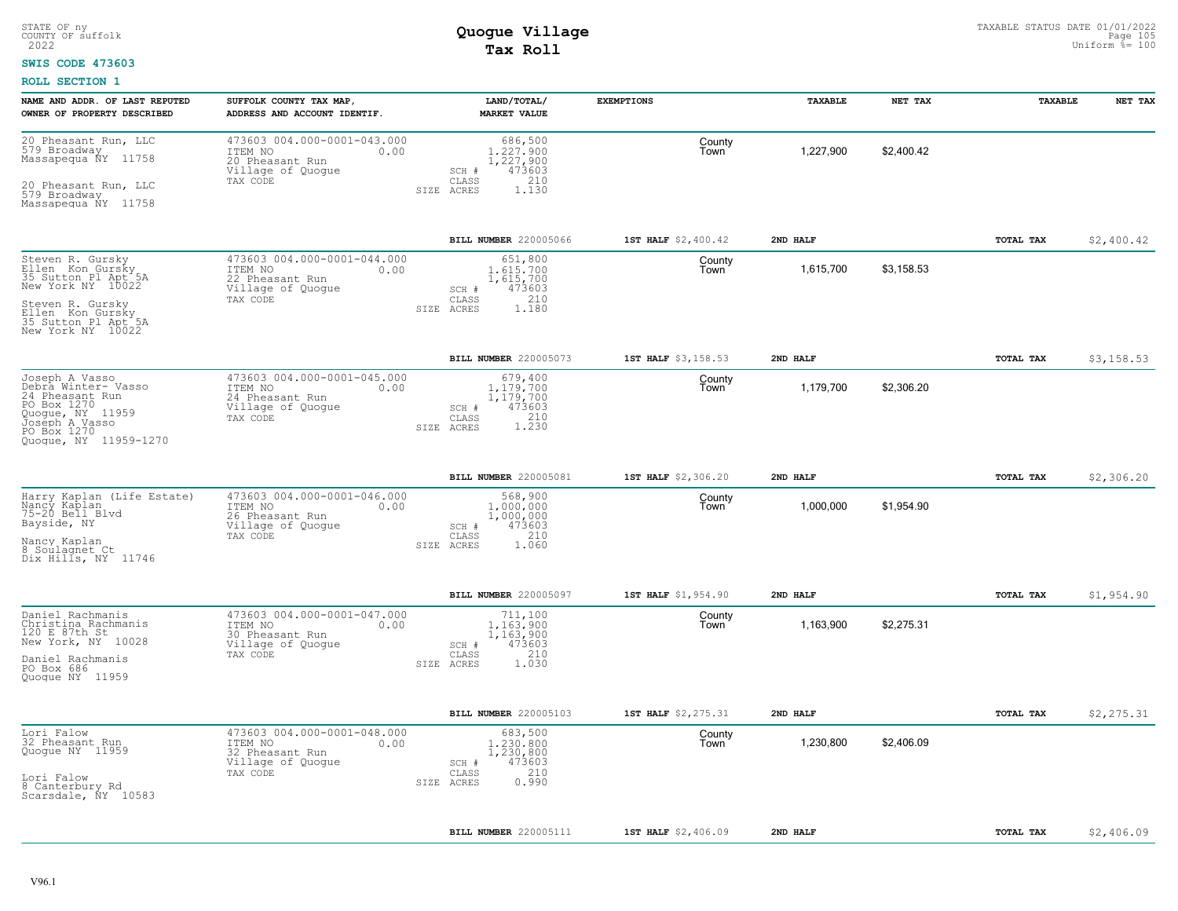#### **SWIS CODE 473603**

| NAME AND ADDR. OF LAST REPUTED<br>OWNER OF PROPERTY DESCRIBED                                                                                                        | SUFFOLK COUNTY TAX MAP,<br>ADDRESS AND ACCOUNT IDENTIF.                                            | LAND/TOTAL/<br><b>MARKET VALUE</b>                                                          | <b>EXEMPTIONS</b>   | TAXABLE   | NET TAX    | TAXABLE   | NET TAX    |
|----------------------------------------------------------------------------------------------------------------------------------------------------------------------|----------------------------------------------------------------------------------------------------|---------------------------------------------------------------------------------------------|---------------------|-----------|------------|-----------|------------|
| 20 Pheasant Run, LLC<br>579 Broadway<br>Massapequa ÑY<br>11758<br>20 Pheasant Run, LLC<br>579 Broadway<br>Massapequa NY 11758                                        | 473603 004.000-0001-043.000<br>ITEM NO<br>0.00<br>20 Pheasant Run<br>Village of Quogue<br>TAX CODE | 686,500<br>1,227,900<br>1,227,900<br>473603<br>SCH #<br>CLASS<br>210<br>SIZE ACRES<br>1.130 | County<br>Town      | 1,227,900 | \$2,400.42 |           |            |
|                                                                                                                                                                      |                                                                                                    | BILL NUMBER 220005066                                                                       | 1ST HALF \$2,400.42 | 2ND HALF  |            | TOTAL TAX | \$2,400.42 |
| Steven R. Gursky<br>Ellen Kon Gursky<br>35 Sutton Pl Apt 5A<br>New York NY 10022<br>Steven R. Gursky<br>Ellen Kon Gursky<br>35 Sutton Pl Apt 5A<br>New York NY 10022 | 473603 004.000-0001-044.000<br>ITEM NO<br>0.00<br>22 Pheasant Run<br>Village of Quogue<br>TAX CODE | 651,800<br>1,615,700<br>1,615,700<br>473603<br>SCH #<br>210<br>CLASS<br>SIZE ACRES<br>1,180 | County<br>Town      | 1,615,700 | \$3,158.53 |           |            |
|                                                                                                                                                                      |                                                                                                    | <b>BILL NUMBER 220005073</b>                                                                | 1ST HALF \$3,158.53 | 2ND HALF  |            | TOTAL TAX | \$3,158.53 |
| Joseph A Vasso<br>Debra Winter- Vasso<br>24 Pheasant Run<br>PO Box 1270<br>Quogue, NY 11959<br>Joseph A Vasso<br>PO Box 1270<br>Quoque, NY 11959-1270                | 473603 004.000-0001-045.000<br>ITEM NO<br>0.00<br>24 Pheasant Run<br>Village of Quoque<br>TAX CODE | 679,400<br>1.179.700<br>1,179,700<br>473603<br>SCH #<br>1.230<br>CLASS<br>SIZE ACRES        | County<br>Town      | 1,179,700 | \$2,306.20 |           |            |
|                                                                                                                                                                      |                                                                                                    | BILL NUMBER 220005081                                                                       | 1ST HALF \$2,306.20 | 2ND HALF  |            | TOTAL TAX | \$2,306.20 |
| Harry Kaplan (Life Estate)<br>Nancy Kaplan<br>75-20 Bell Blvd<br>Bayside, NY<br>Nancy Kaplan<br>8 Soulagnet Ct<br>Dix Hills, NY 11746                                | 473603 004.000-0001-046.000<br>ITEM NO<br>0.00<br>26 Pheasant Run<br>Village of Quogue<br>TAX CODE | 568,900<br>1,000,000<br>1,000,000<br>473603<br>SCH #<br>210<br>CLASS<br>SIZE ACRES<br>1.060 | County<br>Town      | 1,000,000 | \$1,954.90 |           |            |
|                                                                                                                                                                      |                                                                                                    | BILL NUMBER 220005097                                                                       | 1ST HALF \$1,954.90 | 2ND HALF  |            | TOTAL TAX | \$1,954.90 |
| Daniel Rachmanis<br>Christina Rachmanis<br>120 E 87th St<br>New York, NY 10028<br>Daniel Rachmanis<br>PO Box 686<br>Quoque NY 11959                                  | 473603 004.000-0001-047.000<br>ITEM NO<br>0.00<br>30 Pheasant Run<br>Village of Quogue<br>TAX CODE | 711,100<br>1.163.900<br>1,163,900<br>473603<br>SCH #<br>210<br>CLASS<br>SIZE ACRES<br>1.030 | County<br>Town      | 1,163,900 | \$2,275.31 |           |            |
|                                                                                                                                                                      |                                                                                                    | BILL NUMBER 220005103                                                                       | 1ST HALF \$2,275.31 | 2ND HALF  |            | TOTAL TAX | \$2,275.31 |
| Lori Falow<br>32 Pheasant Run<br>Quogue NY 11959<br>Lori Falow<br>8 Canterbury Rd<br>Scarsdale, NY 10583                                                             | 473603 004.000-0001-048.000<br>ITEM NO<br>0.00<br>32 Pheasant Run<br>Village of Quogue<br>TAX CODE | 683,500<br>1,230,800<br>1,230,800<br>473603<br>SCH #<br>210<br>CLASS<br>0.990<br>SIZE ACRES | County<br>Town      | 1,230,800 | \$2,406.09 |           |            |
|                                                                                                                                                                      |                                                                                                    | BILL NUMBER 220005111                                                                       | 1ST HALF \$2,406.09 | 2ND HALF  |            | TOTAL TAX | \$2,406.09 |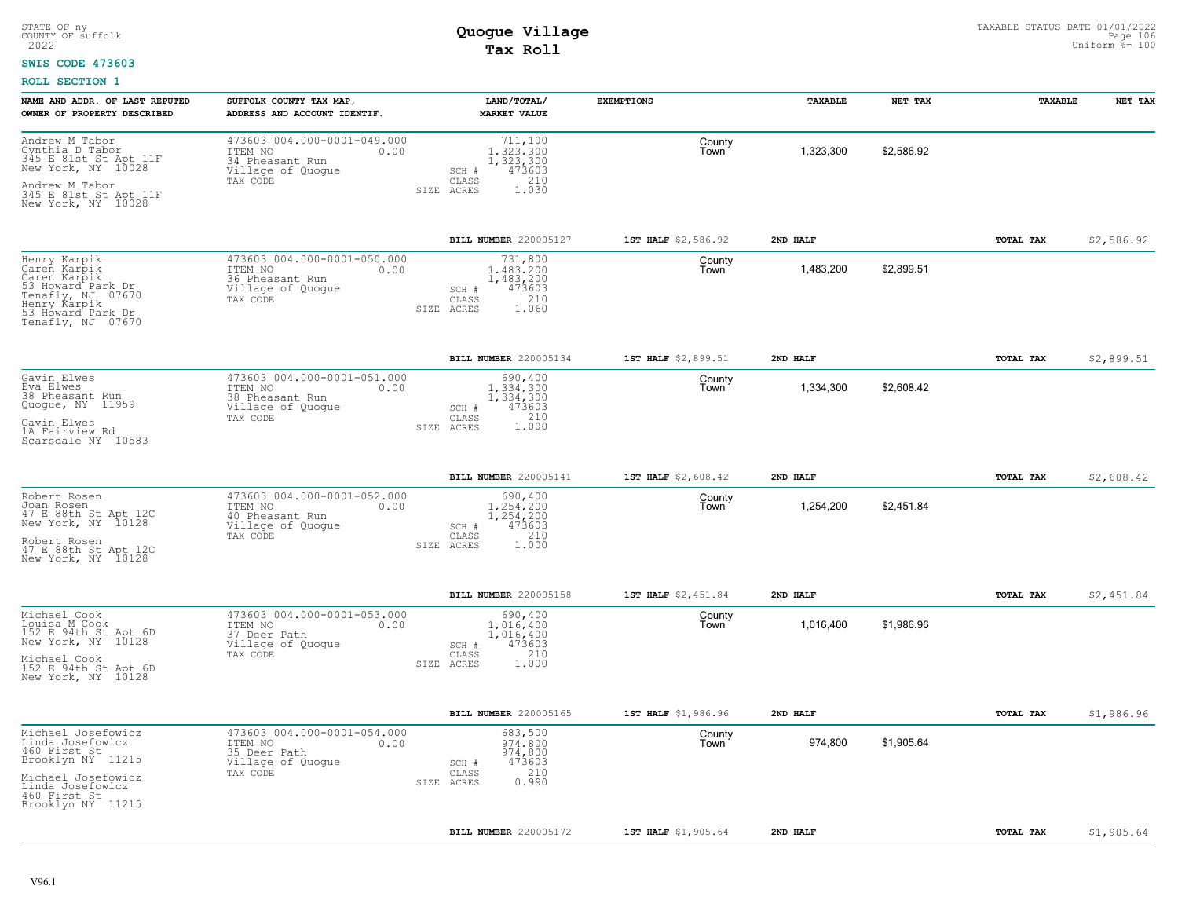#### **SWIS CODE 473603**

| NAME AND ADDR. OF LAST REPUTED<br>OWNER OF PROPERTY DESCRIBED                                                                                              | SUFFOLK COUNTY TAX MAP,<br>ADDRESS AND ACCOUNT IDENTIF.                                                    | LAND/TOTAL/<br><b>MARKET VALUE</b>                                                          | <b>EXEMPTIONS</b>   | TAXABLE   | NET TAX    | TAXABLE   | NET TAX    |
|------------------------------------------------------------------------------------------------------------------------------------------------------------|------------------------------------------------------------------------------------------------------------|---------------------------------------------------------------------------------------------|---------------------|-----------|------------|-----------|------------|
| Andrew M Tabor<br>Cynthia D Tabor<br>345 E 81st St Apt 11F<br>New York, NY 10028<br>Andrew M Tabor<br>345 E 81st St Apt 11F<br>New York, NY 10028          | 473603 004.000-0001-049.000<br>ITEM NO<br>0.00<br>34 Pheasant Run<br>Village of Quogue<br>TAX CODE<br>SIZE | 711,100<br>1.323.300<br>1,323,300<br>473603<br>SCH #<br>CLASS<br>210<br>1.030<br>ACRES      | County<br>Town      | 1,323,300 | \$2,586.92 |           |            |
|                                                                                                                                                            |                                                                                                            |                                                                                             |                     |           |            |           |            |
|                                                                                                                                                            |                                                                                                            | BILL NUMBER 220005127                                                                       | 1ST HALF \$2,586.92 | 2ND HALF  |            | TOTAL TAX | \$2,586.92 |
| Henry Karpik<br>Caren Karpik<br>Caren Karpik<br>53 Howard Park Dr<br>Tenafly, NJ 07670<br>Henry Karpik<br>53 Howard Park Dr<br>Tenafly, NJ 07670           | 473603 004.000-0001-050.000<br>ITEM NO<br>0.00<br>36 Pheasant Run<br>Village of Quogue<br>TAX CODE<br>SIZE | 731,800<br>1,483,200<br>1,483,200<br>473603<br>SCH #<br>210<br>CLASS<br>ACRES<br>1.060      | County<br>Town      | 1,483,200 | \$2,899.51 |           |            |
|                                                                                                                                                            |                                                                                                            | BILL NUMBER 220005134                                                                       | 1ST HALF \$2,899.51 | 2ND HALF  |            | TOTAL TAX | \$2,899.51 |
| Gavin Elwes<br>Eva Elwes<br>38 Pheasant Run<br>Quoque, NY 11959<br>Gavin Elwes<br>1A Fairview Rd<br>Scarsdale NY 10583                                     | 473603 004.000-0001-051.000<br>ITEM NO<br>0.00<br>38 Pheasant Run<br>Village of Quogue<br>TAX CODE         | 690,400<br>1,334,300<br>1,334,300<br>473603<br>SCH #<br>210<br>CLASS<br>1.000<br>SIZE ACRES | County<br>Town      | 1,334,300 | \$2,608.42 |           |            |
|                                                                                                                                                            |                                                                                                            | BILL NUMBER 220005141                                                                       | 1ST HALF \$2,608.42 | 2ND HALF  |            | TOTAL TAX | \$2,608.42 |
| Robert Rosen<br>Joan Rosen<br>47 E 88th St Apt 12C<br>New York, NY 10128<br>Robert Rosen<br>47 E 88th St Apt 12C<br>New York, NY 10128                     | 473603 004.000-0001-052.000<br>ITEM NO<br>0.00<br>40 Pheasant Run<br>Village of Quogue<br>TAX CODE         | 690,400<br>1,254,200<br>1,254,200<br>473603<br>SCH #<br>210<br>CLASS<br>1.000<br>SIZE ACRES | County<br>Town      | 1,254,200 | \$2,451.84 |           |            |
|                                                                                                                                                            |                                                                                                            | BILL NUMBER 220005158                                                                       | 1ST HALF \$2,451.84 | 2ND HALF  |            | TOTAL TAX | \$2,451.84 |
| Michael Cook<br>Louisa M Cook<br>152 E 94th St Apt 6D<br>New York, NY 10128<br>Michael Cook<br>152 E 94th St Apt 6D<br>New York, NY 10128                  | 473603 004.000-0001-053.000<br>ITEM NO<br>0.00<br>37 Deer Path<br>Village of Quogue<br>TAX CODE            | 690,400<br>1,016,400<br>1,016,400<br>473603<br>SCH #<br>210<br>CLASS<br>SIZE ACRES<br>1.000 | County<br>Town      | 1,016,400 | \$1,986.96 |           |            |
|                                                                                                                                                            |                                                                                                            | BILL NUMBER 220005165                                                                       | 1ST HALF \$1,986.96 | 2ND HALF  |            | TOTAL TAX | \$1,986.96 |
| Michael Josefowicz<br>Linda Josefowicz<br>460 First St<br>Brooklyn NY 11215<br>Michael Josefowicz<br>Linda Josefowicz<br>460 First St<br>Brooklyn NY 11215 | 473603 004.000-0001-054.000<br>ITEM NO<br>0.00<br>35 Deer Path<br>Village of Quogue<br>TAX CODE<br>SIZE    | 683,500<br>974,800<br>974,800<br>473603<br>SCH #<br>210<br>CLASS<br>0.990<br>ACRES          | County<br>Town      | 974,800   | \$1,905.64 |           |            |
|                                                                                                                                                            |                                                                                                            | BILL NUMBER 220005172                                                                       | 1ST HALF \$1,905.64 | 2ND HALF  |            | TOTAL TAX | \$1,905.64 |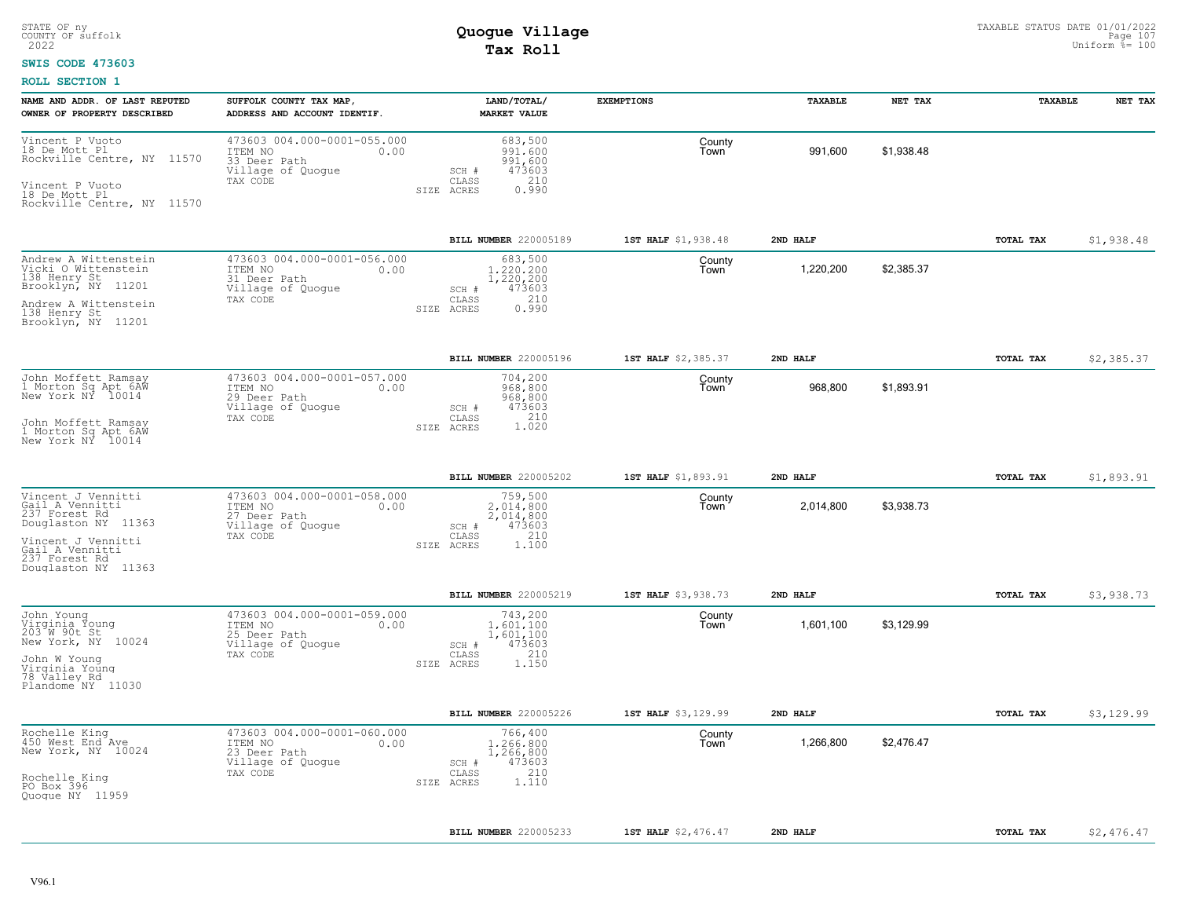#### **SWIS CODE 473603**

| NAME AND ADDR. OF LAST REPUTED<br>OWNER OF PROPERTY DESCRIBED                                                                                                  | SUFFOLK COUNTY TAX MAP,<br>ADDRESS AND ACCOUNT IDENTIF.                                         | LAND/TOTAL/<br><b>MARKET VALUE</b>                                                          | <b>EXEMPTIONS</b>   | <b>TAXABLE</b> | NET TAX    | <b>TAXABLE</b> | NET TAX    |
|----------------------------------------------------------------------------------------------------------------------------------------------------------------|-------------------------------------------------------------------------------------------------|---------------------------------------------------------------------------------------------|---------------------|----------------|------------|----------------|------------|
| Vincent P Vuoto<br>18 De Mott Pl<br>Rockville Centre, NY 11570<br>Vincent P Vuoto<br>18 De Mott Pl<br>Rockville Centre, NY 11570                               | 473603 004.000-0001-055.000<br>ITEM NO<br>0.00<br>33 Deer Path<br>Village of Quogue<br>TAX CODE | 683,500<br>991,600<br>991,600<br>473603<br>SCH #<br>210<br>CLASS<br>0.990<br>SIZE ACRES     | County<br>Town      | 991,600        | \$1,938.48 |                |            |
|                                                                                                                                                                |                                                                                                 | BILL NUMBER 220005189                                                                       | 1ST HALF \$1,938.48 | 2ND HALF       |            | TOTAL TAX      | \$1,938.48 |
| Andrew A Wittenstein<br>Vicki O Wittenstein<br>138 Henry St<br>Brooklyn, NY 11201<br>Andrew A Wittenstein<br>138 Henry St<br>Brooklyn, NY 11201                | 473603 004.000-0001-056.000<br>ITEM NO<br>0.00<br>31 Deer Path<br>Village of Quogue<br>TAX CODE | 683,500<br>1,220,200<br>1,220,200<br>473603<br>SCH #<br>210<br>CLASS<br>0.990<br>SIZE ACRES | County<br>Town      | 1,220,200      | \$2,385.37 |                |            |
|                                                                                                                                                                |                                                                                                 | BILL NUMBER 220005196                                                                       | 1ST HALF \$2,385.37 | 2ND HALF       |            | TOTAL TAX      | \$2,385.37 |
| John Moffett Ramsay<br>1 Morton Sq Apt 6AW<br>New York NY 10014<br>John Moffett Ramsay<br>1 Morton Sq Apt 6AW<br>New York NY 10014                             | 473603 004.000-0001-057.000<br>ITEM NO<br>0.00<br>29 Deer Path<br>Village of Quogue<br>TAX CODE | 704,200<br>968,800<br>968,800<br>SCH #<br>473603<br>210<br>CLASS<br>1.020<br>SIZE ACRES     | County<br>Town      | 968,800        | \$1,893.91 |                |            |
|                                                                                                                                                                |                                                                                                 | BILL NUMBER 220005202                                                                       | 1ST HALF \$1,893.91 | 2ND HALF       |            | TOTAL TAX      | \$1,893.91 |
| Vincent J Vennitti<br>Gail A Vennitti<br>237 Forest Rd<br>Douglaston NY 11363<br>Vincent J Vennitti<br>Gail A Vennitti<br>237 Forest Rd<br>Douglaston NY 11363 | 473603 004.000-0001-058.000<br>ITEM NO<br>0.00<br>27 Deer Path<br>Village of Quogue<br>TAX CODE | 759,500<br>2,014,800<br>2,014,800<br>473603<br>SCH #<br>210<br>CLASS<br>SIZE ACRES<br>1,100 | County<br>Town      | 2,014,800      | \$3,938.73 |                |            |
|                                                                                                                                                                |                                                                                                 | <b>BILL NUMBER 220005219</b>                                                                | 1ST HALF \$3,938.73 | 2ND HALF       |            | TOTAL TAX      | \$3,938.73 |
| John Young<br>Virginia Young<br>203 W 90t St<br>New York, NY 10024<br>John W Young<br>Virginia Young<br>78 Valley Rd<br>Plandome NY 11030                      | 473603 004.000-0001-059.000<br>ITEM NO<br>0.00<br>25 Deer Path<br>Village of Quogue<br>TAX CODE | 743,200<br>1,601,100<br>1,601,100<br>473603<br>SCH #<br>210<br>CLASS<br>SIZE ACRES<br>1,150 | County<br>Town      | 1,601,100      | \$3,129.99 |                |            |
|                                                                                                                                                                |                                                                                                 | BILL NUMBER 220005226                                                                       | 1ST HALF \$3,129.99 | 2ND HALF       |            | TOTAL TAX      | \$3,129.99 |
| Rochelle King<br>450 West End Ave<br>New York, NY 10024<br>Rochelle King<br>PO Box 396<br>Quoque NY 11959                                                      | 473603 004.000-0001-060.000<br>ITEM NO<br>0.00<br>23 Deer Path<br>Village of Quogue<br>TAX CODE | 766,400<br>1,266,800<br>1,266,800<br>473603<br>SCH #<br>210<br>CLASS<br>1.110<br>SIZE ACRES | County<br>Town      | 1,266,800      | \$2,476.47 |                |            |
|                                                                                                                                                                |                                                                                                 | <b>BILL NUMBER 220005233</b>                                                                | 1ST HALF \$2,476.47 | 2ND HALF       |            | TOTAL TAX      | \$2,476.47 |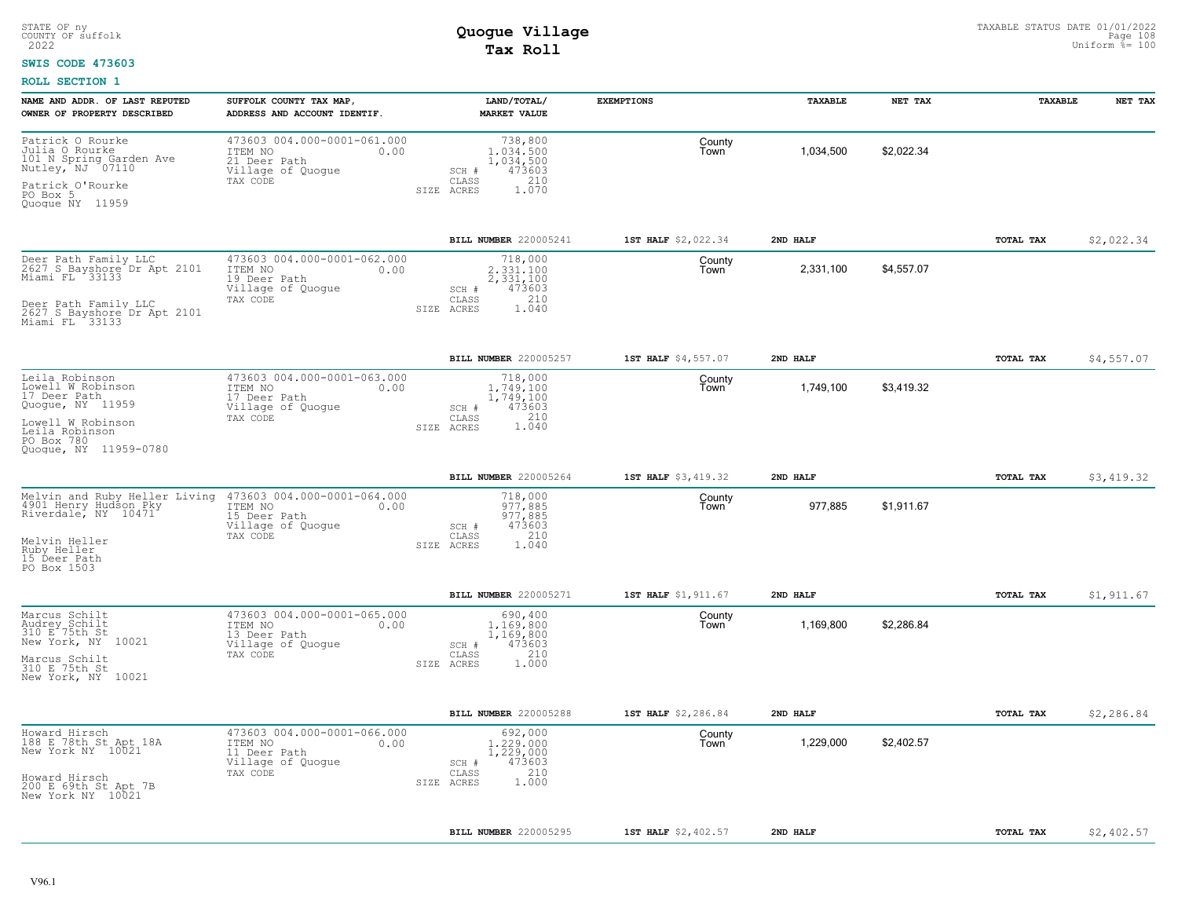#### **SWIS CODE 473603**

| NAME AND ADDR. OF LAST REPUTED                                                    | SUFFOLK COUNTY TAX MAP,                                                                         | LAND/TOTAL/                                                          | <b>EXEMPTIONS</b>   | TAXABLE   | NET TAX    | TAXABLE   | NET TAX    |
|-----------------------------------------------------------------------------------|-------------------------------------------------------------------------------------------------|----------------------------------------------------------------------|---------------------|-----------|------------|-----------|------------|
| OWNER OF PROPERTY DESCRIBED                                                       | ADDRESS AND ACCOUNT IDENTIF.                                                                    | <b>MARKET VALUE</b>                                                  |                     |           |            |           |            |
| Patrick O Rourke<br>Julia O Rourke<br>101 N Spring Garden Ave<br>Nutley, NJ 07110 | 473603 004.000-0001-061.000<br>ITEM NO<br>0.00<br>21 Deer Path<br>Village of Quogue             | 738,800<br>1,034,500<br>1,034,500<br>473603<br>SCH #                 | County<br>Town      | 1,034,500 | \$2,022.34 |           |            |
| Patrick O'Rourke<br>PO Box 5<br>Quoque NY 11959                                   | TAX CODE                                                                                        | CLASS<br>210<br>1.070<br>SIZE ACRES                                  |                     |           |            |           |            |
|                                                                                   |                                                                                                 | BILL NUMBER 220005241                                                | 1ST HALF \$2,022.34 | 2ND HALF  |            | TOTAL TAX | \$2,022.34 |
| Deer Path Family LLC<br>2627 S Bayshore Dr Apt 2101<br>Miami FL 33133             | 473603 004.000-0001-062.000<br>ITEM NO<br>0.00<br>19 Deer Path<br>Village of Quogue             | 718,000<br>2.331.100<br>2,331,100<br>473603<br>SCH #<br>210          | County<br>Town      | 2,331,100 | \$4,557.07 |           |            |
| Deer Path Family LLC<br>2627 S Bayshore Dr Apt 2101<br>Miami FL 33133             | TAX CODE                                                                                        | CLASS<br>SIZE ACRES<br>1.040                                         |                     |           |            |           |            |
|                                                                                   |                                                                                                 | BILL NUMBER 220005257                                                | 1ST HALF \$4,557.07 | 2ND HALF  |            | TOTAL TAX | \$4,557.07 |
| Leila Robinson<br>Lowell W Robinson<br>17 Deer Path<br>Quogue, NY 11959           | 473603 004.000-0001-063.000<br>0.00<br>ITEM NO<br>17 Deer Path<br>Village of Quogue             | 718,000<br>1,749,100<br>1,749,100<br>473603<br>SCH #<br>210          | County<br>Town      | 1,749,100 | \$3,419.32 |           |            |
| Lowell W Robinson<br>Leila Robinson<br>PO Box 780<br>Quoque, NY 11959-0780        | TAX CODE                                                                                        | CLASS<br>1,040<br>SIZE ACRES                                         |                     |           |            |           |            |
|                                                                                   |                                                                                                 | BILL NUMBER 220005264                                                | 1ST HALF \$3,419.32 | 2ND HALF  |            | TOTAL TAX | \$3,419.32 |
| Melvin and Ruby Heller Living<br>4901 Henry Hudson Pky<br>Riverdale, NY 10471     | 473603 004.000-0001-064.000<br>ITEM NO<br>0.00<br>15 Deer Path<br>Village of Quogue<br>TAX CODE | 718,000<br>977.885<br>977,885<br>473603<br>SCH #<br>210<br>CLASS     | County<br>Town      | 977,885   | \$1,911.67 |           |            |
| Melvin Heller<br>Ruby Heller<br>15 Deer Path<br>PO Box 1503                       |                                                                                                 | SIZE ACRES<br>1.040                                                  |                     |           |            |           |            |
|                                                                                   |                                                                                                 | BILL NUMBER 220005271                                                | 1ST HALF \$1,911.67 | 2ND HALF  |            | TOTAL TAX | \$1,911.67 |
| Marcus Schilt<br>Audrey Schilt<br>310 E 75th St<br>New York, NY 10021             | 473603 004.000-0001-065.000<br>ITEM NO<br>0.00<br>13 Deer Path<br>Village of Quogue<br>TAX CODE | 690,400<br>1,169,800<br>1,169,800<br>473603<br>SCH #<br>210<br>CLASS | County<br>Town      | 1,169,800 | \$2,286.84 |           |            |
| Marcus Schilt<br>310 E 75th St<br>New York, NY 10021                              |                                                                                                 | 1,000<br>SIZE ACRES                                                  |                     |           |            |           |            |
|                                                                                   |                                                                                                 | BILL NUMBER 220005288                                                | 1ST HALF \$2,286.84 | 2ND HALF  |            | TOTAL TAX | \$2,286.84 |
| Howard Hirsch<br>188 E 78th St Apt 18A<br>New York NY 10021                       | 473603 004.000-0001-066.000<br>ITEM NO<br>0.00<br>11 Deer Path<br>Village of Quogue             | 692,000<br>1,229,000<br>1,229,000<br>473603<br>SCH #                 | County<br>Town      | 1,229,000 | \$2,402.57 |           |            |
| Howard Hirsch<br>200 E 69th St Apt 7B<br>New York NY 10021                        | TAX CODE                                                                                        | 210<br>CLASS<br>1,000<br>SIZE ACRES                                  |                     |           |            |           |            |
|                                                                                   |                                                                                                 | BILL NUMBER 220005295                                                | 1ST HALF \$2,402.57 | 2ND HALF  |            | TOTAL TAX | \$2,402.57 |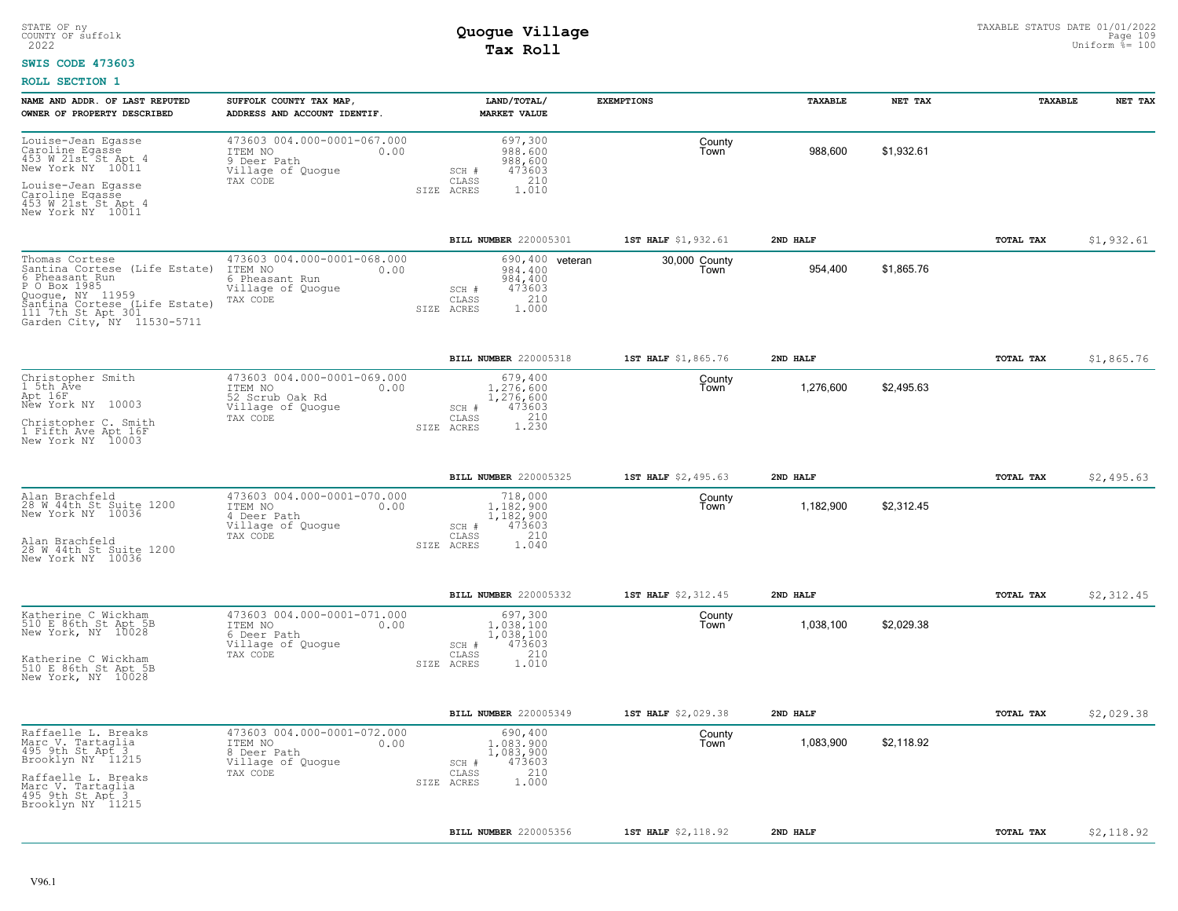#### **SWIS CODE 473603**

| NAME AND ADDR. OF LAST REPUTED<br>OWNER OF PROPERTY DESCRIBED                                                                                                                              | SUFFOLK COUNTY TAX MAP<br>ADDRESS AND ACCOUNT IDENTIF.                                            | LAND/TOTAL/<br><b>MARKET VALUE</b>                                                                 | <b>EXEMPTIONS</b>     | TAXABLE   | NET TAX    | TAXABLE          | NET TAX    |
|--------------------------------------------------------------------------------------------------------------------------------------------------------------------------------------------|---------------------------------------------------------------------------------------------------|----------------------------------------------------------------------------------------------------|-----------------------|-----------|------------|------------------|------------|
| Louise-Jean Egasse<br>Caroline Egasse<br>453 W 21st St Apt 4<br>New York NY 10011                                                                                                          | 473603 004.000-0001-067.000<br>ITEM NO<br>0.00<br>9 Deer Path<br>Village of Quogue<br>TAX CODE    | 697,300<br>988,600<br>988,600<br>473603<br>$SCH$ $#$<br>210<br>CLASS                               | County<br>Town        | 988,600   | \$1,932.61 |                  |            |
| Louise-Jean Egasse<br>Caroline Egasse<br>453 W 21st St Apt 4<br>New York NY 10011                                                                                                          |                                                                                                   | 1.010<br>SIZE ACRES                                                                                |                       |           |            |                  |            |
|                                                                                                                                                                                            |                                                                                                   | BILL NUMBER 220005301                                                                              | 1ST HALF \$1,932.61   | 2ND HALF  |            | TOTAL TAX        | \$1,932.61 |
| Thomas Cortese<br>Santina Cortese (Life Estate)<br>6 Pheasant Run<br>P O Box 1985<br>Quoque, NY 11959<br>Santina Cortese (Life Estate)<br>111 7th St Apt 301<br>Garden City, NY 11530-5711 | 473603 004.000-0001-068.000<br>ITEM NO<br>0.00<br>6 Pheasant Run<br>Village of Quogue<br>TAX CODE | 690,400<br>veteran<br>984,400<br>984,400<br>473603<br>SCH #<br>210<br>CLASS<br>1,000<br>SIZE ACRES | 30,000 County<br>Town | 954,400   | \$1,865.76 |                  |            |
|                                                                                                                                                                                            |                                                                                                   | BILL NUMBER 220005318                                                                              | 1ST HALF \$1,865.76   | 2ND HALF  |            | <b>TOTAL TAX</b> | \$1,865.76 |
| Christopher Smith<br>1 5th Ave<br>Apt 16F<br>New York NY 10003                                                                                                                             | 473603 004.000-0001-069.000<br>ITEM NO<br>0.00<br>52 Scrub Oak Rd<br>Village of Quogue            | 679,400<br>1,276,600<br>1,276,600<br>SCH #<br>473603                                               | County<br>Town        | 1,276,600 | \$2,495.63 |                  |            |
| Christopher C. Smith<br>1 Fifth Ave Apt 16F<br>New York NY 10003                                                                                                                           | TAX CODE                                                                                          | 210<br>CLASS<br>1.230<br>SIZE ACRES                                                                |                       |           |            |                  |            |
|                                                                                                                                                                                            |                                                                                                   | BILL NUMBER 220005325                                                                              | 1ST HALF \$2,495.63   | 2ND HALF  |            | TOTAL TAX        | \$2,495.63 |
| Alan Brachfeld<br>28 W 44th St Suite 1200<br>New York NY 10036                                                                                                                             | 473603 004.000-0001-070.000<br>ITEM NO<br>0.00<br>4 Deer Path<br>Village of Quoque                | 718,000<br>1.182.900<br>1,182,900<br>473603<br>SCH #                                               | County<br>Town        | 1,182,900 | \$2,312.45 |                  |            |
| Alan Brachfeld<br>28 W 44th St Suite 1200<br>New York NY 10036                                                                                                                             | TAX CODE                                                                                          | 210<br>CLASS<br>1.040<br>SIZE ACRES                                                                |                       |           |            |                  |            |
|                                                                                                                                                                                            |                                                                                                   | BILL NUMBER 220005332                                                                              | 1ST HALF \$2,312.45   | 2ND HALF  |            | <b>TOTAL TAX</b> | \$2,312.45 |
| Katherine C Wickham<br>510 E 86th St Apt 5B<br>New York, NY 10028                                                                                                                          | 473603 004.000-0001-071.000<br>ITEM NO<br>0.00<br>6 Deer Path<br>Village of Quogue                | 697,300<br>1,038,100<br>1,038,100<br>473603<br>SCH #                                               | County<br>Town        | 1,038,100 | \$2,029.38 |                  |            |
| Katherine C Wickham<br>510 E 86th St Apt 5B<br>New York, NY 10028                                                                                                                          | TAX CODE                                                                                          | 210<br>CLASS<br>1.010<br>SIZE ACRES                                                                |                       |           |            |                  |            |
|                                                                                                                                                                                            |                                                                                                   | BILL NUMBER 220005349                                                                              | 1ST HALF \$2,029.38   | 2ND HALF  |            | TOTAL TAX        | \$2,029.38 |
| Raffaelle L. Breaks<br>Marc V. Tartaglia<br>495 9th St Apt 3<br>Brooklyn NY 11215                                                                                                          | 473603 004.000-0001-072.000<br>ITEM NO<br>0.00<br>8 Deer Path<br>Village of Quogue                | 690,400<br>1,083,900<br>1,083,900<br>473603<br>SCH #                                               | County<br>Town        | 1,083,900 | \$2,118.92 |                  |            |
| Raffaelle L. Breaks<br>Marc V. Tartaglia<br>495 9th St Apt 3<br>Brooklyn NY 11215                                                                                                          | TAX CODE                                                                                          | 210<br>CLASS<br>1,000<br>SIZE ACRES                                                                |                       |           |            |                  |            |
|                                                                                                                                                                                            |                                                                                                   | BILL NUMBER 220005356                                                                              | 1ST HALF \$2,118.92   | 2ND HALF  |            | TOTAL TAX        | \$2,118.92 |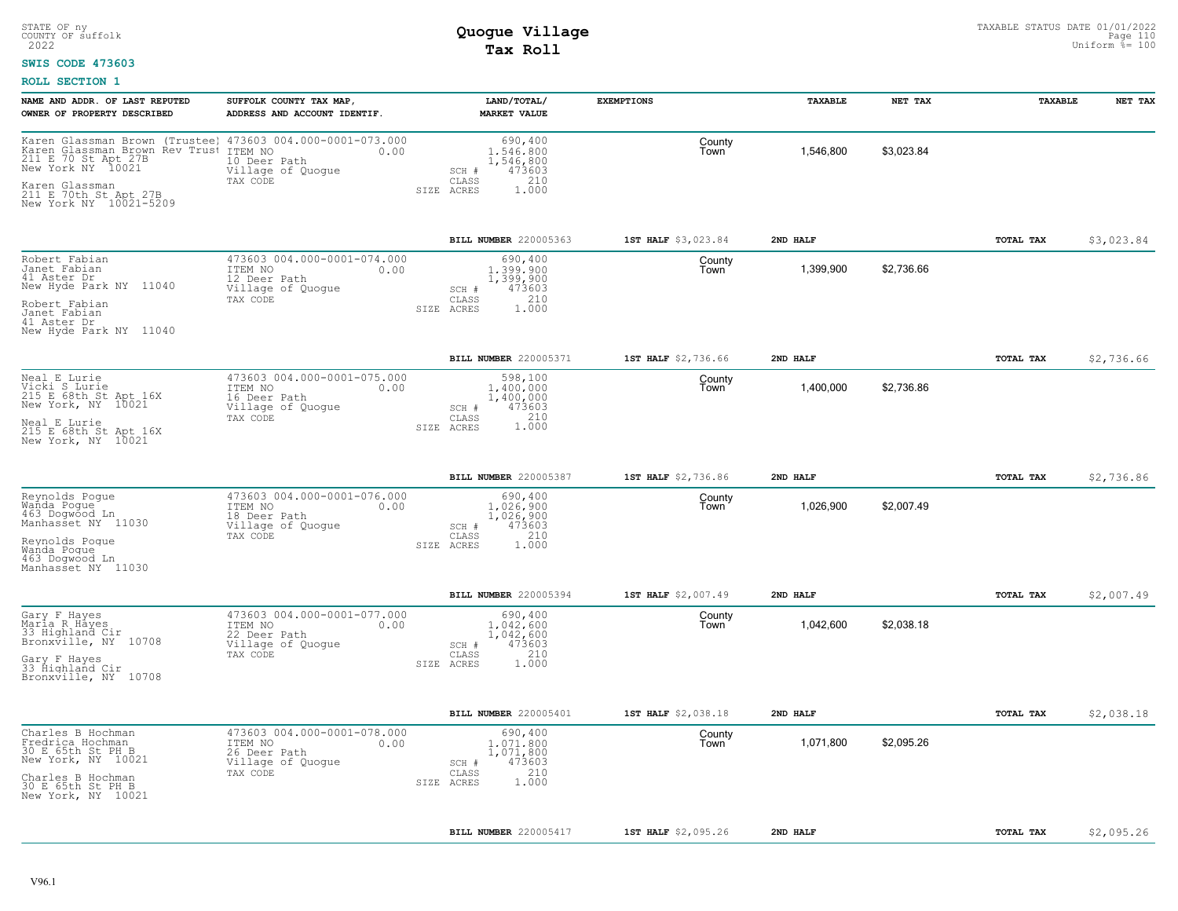### **SWIS CODE 473603**

| NAME AND ADDR. OF LAST REPUTED                                                                                                       | SUFFOLK COUNTY TAX MAP,                                                                         | LAND/TOTAL/                                                                                 | <b>EXEMPTIONS</b>   | TAXABLE   | NET TAX    | TAXABLE          | NET TAX    |
|--------------------------------------------------------------------------------------------------------------------------------------|-------------------------------------------------------------------------------------------------|---------------------------------------------------------------------------------------------|---------------------|-----------|------------|------------------|------------|
| OWNER OF PROPERTY DESCRIBED                                                                                                          | ADDRESS AND ACCOUNT IDENTIF.                                                                    | <b>MARKET VALUE</b>                                                                         |                     |           |            |                  |            |
| Karen Glassman Brown (Trustee)<br>Karen Glassman Brown Rev Trust ITEM NO<br>211 E 70 St Apt 27B 10 Deer<br>New York NY 10021 Village | 473603 004.000-0001-073.000<br>0.00<br>10 Deer Path<br>Village of Quogue                        | 690,400<br>1,546,800<br>1,546,800<br>473603<br>SCH #                                        | County<br>Town      | 1,546,800 | \$3,023.84 |                  |            |
| Karen Glassman<br>211 E 70th St Apt 27B<br>New York NY 10021-5209                                                                    | TAX CODE                                                                                        | 210<br>$\mathtt{CLASS}$<br>ACRES<br>1,000<br>SIZE                                           |                     |           |            |                  |            |
|                                                                                                                                      |                                                                                                 | <b>BILL NUMBER 220005363</b>                                                                | 1ST HALF \$3,023.84 | 2ND HALF  |            | <b>TOTAL TAX</b> | \$3,023.84 |
| Robert Fabian<br>Janet Fabian<br>41 Aster Dr<br>New Hyde Park NY 11040                                                               | 473603 004.000-0001-074.000<br>ITEM NO<br>0.00<br>12 Deer Path<br>Village of Quogue             | 690,400<br>1,399,900<br>1,399,900<br>473603<br>SCH #                                        | County<br>Town      | 1,399,900 | \$2,736.66 |                  |            |
| Robert Fabian<br>Janet Fabian<br>41 Aster Dr<br>New Hyde Park NY 11040                                                               | TAX CODE                                                                                        | 210<br>CLASS<br>SIZE ACRES<br>1,000                                                         |                     |           |            |                  |            |
|                                                                                                                                      |                                                                                                 | BILL NUMBER 220005371                                                                       | 1ST HALF \$2,736.66 | 2ND HALF  |            | TOTAL TAX        | \$2,736.66 |
| Neal E Lurie<br>Vicki S Lurie<br>215 E 68th St Apt 16X<br>New York, NY 10021                                                         | 473603 004.000-0001-075.000<br>ITEM NO<br>0.00<br>16 Deer Path<br>Village of Quogue             | 598,100<br>1,400,000<br>1,400,000<br>473603<br>SCH #                                        | County<br>Town      | 1,400,000 | \$2,736.86 |                  |            |
| Neal E Lurie<br>215 E 68th St Apt 16X<br>New York, NY 10021                                                                          | TAX CODE                                                                                        | 210<br>CLASS<br>1.000<br>SIZE ACRES                                                         |                     |           |            |                  |            |
|                                                                                                                                      |                                                                                                 | BILL NUMBER 220005387                                                                       | 1ST HALF \$2,736.86 | 2ND HALF  |            | TOTAL TAX        | \$2,736.86 |
| Reynolds Poque<br>Wanda Pogue<br>463 Dogwood Ln<br>Manhasset NY 11030                                                                | 473603 004.000-0001-076.000<br>ITEM NO<br>0.00<br>18 Deer Path<br>Village of Quogue<br>TAX CODE | 690,400<br>1,026,900<br>1,026,900<br>473603<br>SCH #<br>210<br>CLASS                        | County<br>Town      | 1,026,900 | \$2,007.49 |                  |            |
| Reynolds Poque<br>Wanda Poque<br>463 Dogwood Ln<br>Manhasset NY 11030                                                                |                                                                                                 | SIZE ACRES<br>1,000                                                                         |                     |           |            |                  |            |
|                                                                                                                                      |                                                                                                 | BILL NUMBER 220005394                                                                       | 1ST HALF \$2,007.49 | 2ND HALF  |            | TOTAL TAX        | \$2,007.49 |
| Gary F Hayes<br>Maria R Hayes<br>33 Highland Cir<br>Bronxville, NY 10708                                                             | 473603 004.000-0001-077.000<br>ITEM NO<br>0.00<br>22 Deer Path<br>Village of Quogue             | 690,400<br>1,042,600<br>1,042,600<br>473603<br>SCH #                                        | County<br>Town      | 1,042,600 | \$2,038.18 |                  |            |
| Gary F Hayes<br>33 Highland Cir<br>Bronxville, NY 10708                                                                              | TAX CODE                                                                                        | 210<br>CLASS<br>SIZE ACRES<br>1.000                                                         |                     |           |            |                  |            |
|                                                                                                                                      |                                                                                                 | BILL NUMBER 220005401                                                                       | 1ST HALF \$2,038.18 | 2ND HALF  |            | <b>TOTAL TAX</b> | \$2,038.18 |
| Charles B Hochman<br>Fredrica Hochman<br>30 E 65th St PH B<br>New York, NY 10021<br>Charles B Hochman                                | 473603 004.000-0001-078.000<br>ITEM NO<br>0.00<br>26 Deer Path<br>Village of Quogue<br>TAX CODE | 690,400<br>1,071,800<br>1,071,800<br>473603<br>SCH #<br>210<br>CLASS<br>1.000<br>SIZE ACRES | County<br>Town      | 1,071,800 | \$2,095.26 |                  |            |
| 30 E 65th St PH B<br>New York, NY 10021                                                                                              |                                                                                                 |                                                                                             |                     |           |            |                  |            |
|                                                                                                                                      |                                                                                                 | <b>BILL NUMBER 220005417</b>                                                                | 1ST HALF \$2,095.26 | 2ND HALF  |            | <b>TOTAL TAX</b> | \$2,095.26 |
|                                                                                                                                      |                                                                                                 |                                                                                             |                     |           |            |                  |            |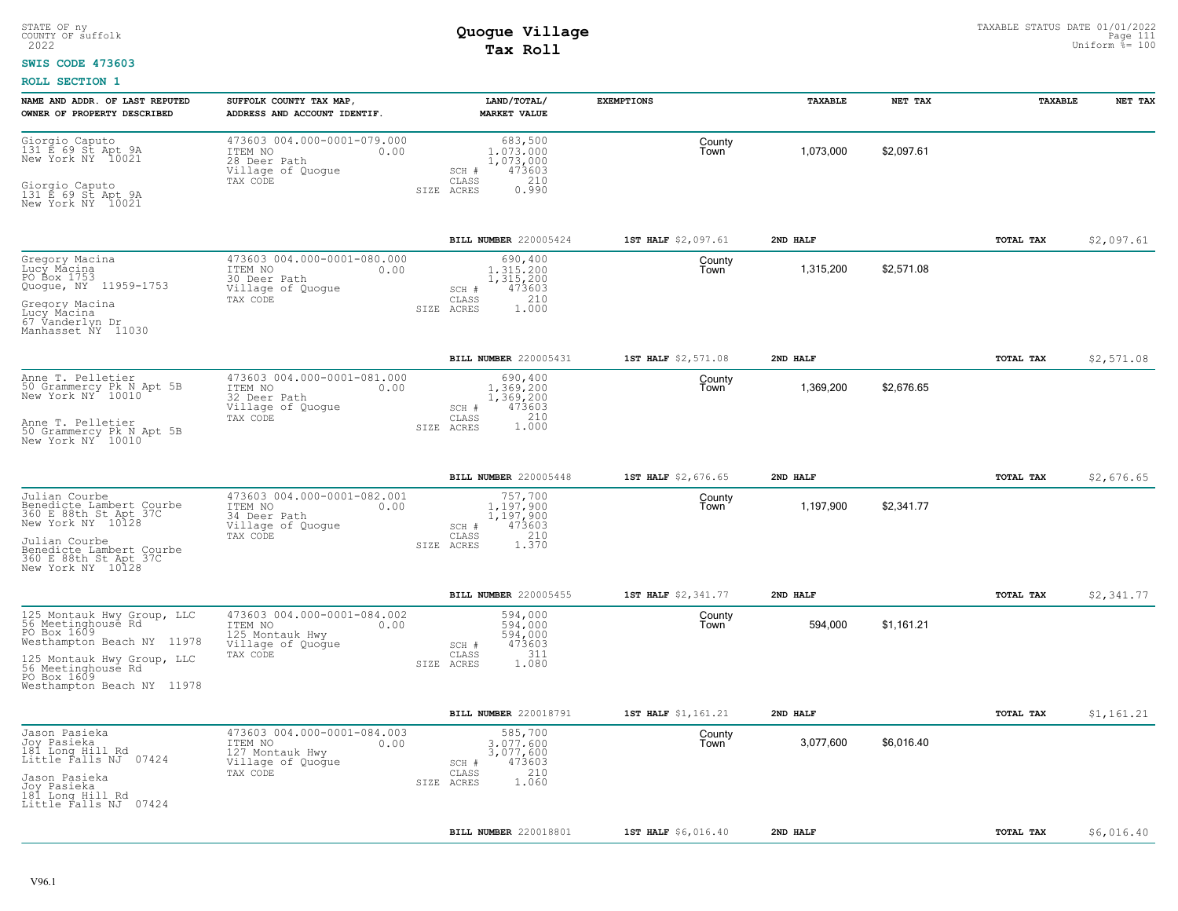### **SWIS CODE 473603**

| NAME AND ADDR. OF LAST REPUTED<br>OWNER OF PROPERTY DESCRIBED                                                                                                                                  | SUFFOLK COUNTY TAX MAP<br>ADDRESS AND ACCOUNT IDENTIF.                                             | LAND/TOTAL/<br><b>MARKET VALUE</b>                                                              | <b>EXEMPTIONS</b>   | TAXABLE   | NET TAX    | TAXABLE          | NET TAX    |
|------------------------------------------------------------------------------------------------------------------------------------------------------------------------------------------------|----------------------------------------------------------------------------------------------------|-------------------------------------------------------------------------------------------------|---------------------|-----------|------------|------------------|------------|
| Giorgio Caputo<br>131 E 69 St Apt 9A<br>New York NY 10021<br>Giorgio Caputo<br>131 E 69 St Apt 9A<br>New York NY 10021                                                                         | 473603 004.000-0001-079.000<br>ITEM NO<br>0.00<br>28 Deer Path<br>Village of Quogue<br>TAX CODE    | 683,500<br>1,073,000<br>1,073,000<br>473603<br>SCH #<br>210<br>CLASS<br>SIZE ACRES<br>0.990     | County<br>Town      | 1,073,000 | \$2,097.61 |                  |            |
|                                                                                                                                                                                                |                                                                                                    | BILL NUMBER 220005424                                                                           | 1ST HALF \$2,097.61 | 2ND HALF  |            | TOTAL TAX        | \$2,097.61 |
| Gregory Macina<br>Lucy Macina<br>PO Box 1753<br>Quogue, NY 11959-1753<br>Gregory Macina<br>Lucy Macina<br>67 Vanderlyn Dr<br>Manhasset NY 11030                                                | 473603 004.000-0001-080.000<br>ITEM NO<br>0.00<br>30 Deer Path<br>Village of Quogue<br>TAX CODE    | 690,400<br>1,315,200<br>1,315,200<br>473603<br>SCH #<br>210<br>CLASS<br>1,000<br>SIZE ACRES     | County<br>Town      | 1,315,200 | \$2,571.08 |                  |            |
|                                                                                                                                                                                                |                                                                                                    | BILL NUMBER 220005431                                                                           | 1ST HALF \$2,571.08 | 2ND HALF  |            | TOTAL TAX        | \$2,571.08 |
| Anne T. Pelletier<br>50 Grammercy Pk N Apt 5B<br>New York NY 10010<br>Anne T. Pelletier<br>50 Grammercy Pk N Apt 5B<br>New York NY 10010                                                       | 473603 004.000-0001-081.000<br>ITEM NO<br>0.00<br>32 Deer Path<br>Village of Quogue<br>TAX CODE    | 690,400<br>1,369,200<br>1,369,200<br>473603<br>SCH #<br>210<br>CLASS<br>1,000<br>SIZE ACRES     | County<br>Town      | 1,369,200 | \$2,676.65 |                  |            |
|                                                                                                                                                                                                |                                                                                                    | BILL NUMBER 220005448                                                                           | 1ST HALF \$2,676.65 | 2ND HALF  |            | TOTAL TAX        | \$2,676.65 |
| Julian Courbe<br>Benedicte Lambert Courbe<br>360 E 88th St Apt 37C<br>New York NY 10128<br>Julian Courbe<br>Benedicte Lambert Courbe<br>360 E 88th St Apt 37C<br>New York NY 10128             | 473603 004.000-0001-082.001<br>ITEM NO<br>0.00<br>34 Deer Path<br>Village of Quogue<br>TAX CODE    | 757,700<br>$1.197.900$<br>$1,197,900$<br>473603<br>SCH #<br>210<br>CLASS<br>1.370<br>SIZE ACRES | County<br>Town      | 1,197,900 | \$2,341.77 |                  |            |
|                                                                                                                                                                                                |                                                                                                    | BILL NUMBER 220005455                                                                           | 1ST HALF \$2,341.77 | 2ND HALF  |            | TOTAL TAX        | \$2,341.77 |
| 125 Montauk Hwy Group, LLC<br>56 Meetinghouse Rd<br>PO Box 1609<br>Westhampton Beach NY 11978<br>125 Montauk Hwy Group, LLC<br>56 Meetinghouse Rd<br>PO Box 1609<br>Westhampton Beach NY 11978 | 473603 004.000-0001-084.002<br>ITEM NO<br>0.00<br>125 Montauk Hwy<br>Village of Quogue<br>TAX CODE | 594,000<br>594,000<br>594,000<br>473603<br>$SCH$ $#$<br>311<br>CLASS<br>1.080<br>SIZE ACRES     | County<br>Town      | 594,000   | \$1,161.21 |                  |            |
|                                                                                                                                                                                                |                                                                                                    | BILL NUMBER 220018791                                                                           | 1ST HALF \$1,161.21 | 2ND HALF  |            | TOTAL TAX        | \$1,161.21 |
| Jason Pasieka<br>Joy Pasieka<br>181 Long Hill Rd<br>Little Falls NJ 07424<br>Jason Pasieka<br>Joy Pasieka<br>181 Long Hill Rd<br>Little Falls NJ 07424                                         | 473603 004.000-0001-084.003<br>ITEM NO<br>0.00<br>127 Montauk Hwy<br>Village of Quogue<br>TAX CODE | 585,700<br>3.077.600<br>3,077,600<br>473603<br>SCH #<br>210<br>CLASS<br>1.060<br>SIZE ACRES     | County<br>Town      | 3,077,600 | \$6,016.40 |                  |            |
|                                                                                                                                                                                                |                                                                                                    | BILL NUMBER 220018801                                                                           | 1ST HALF \$6,016.40 | 2ND HALF  |            | <b>TOTAL TAX</b> | \$6,016.40 |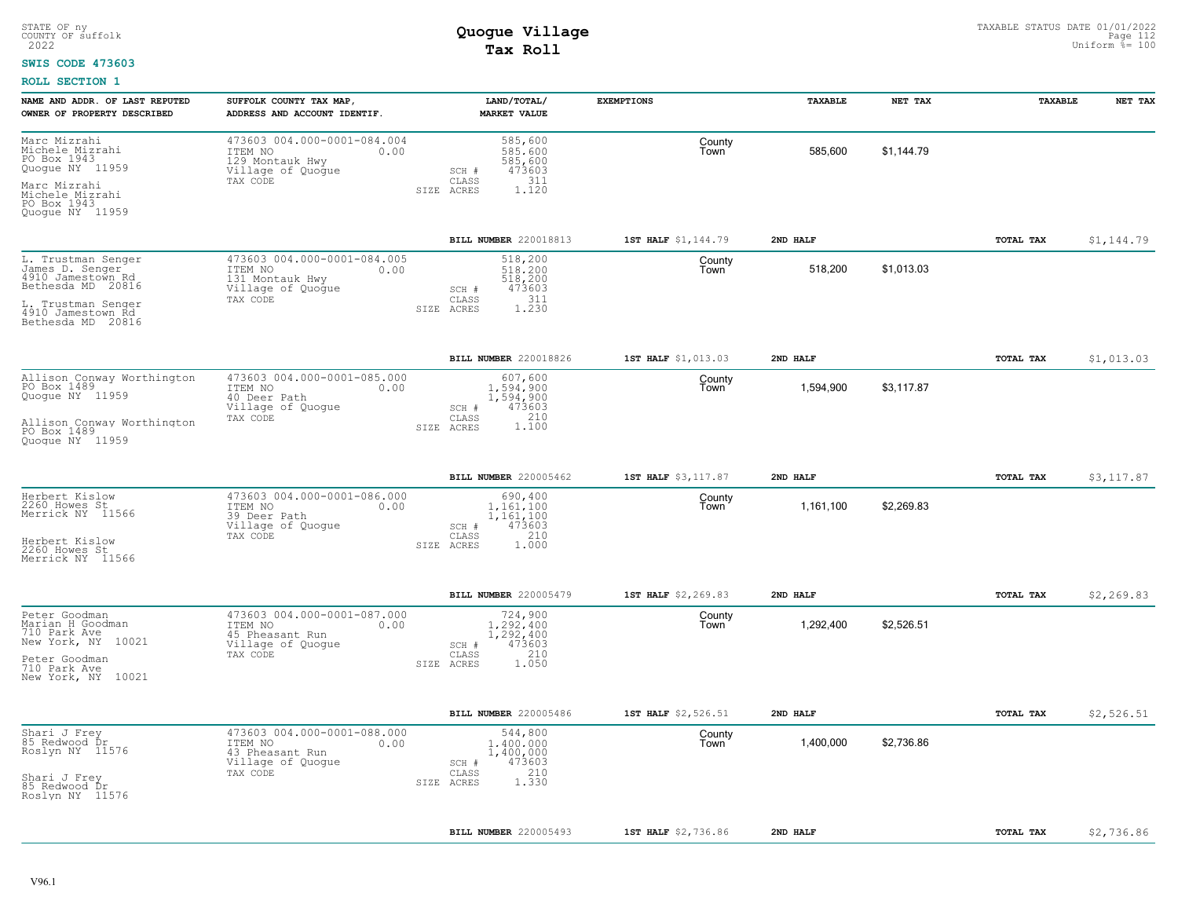#### **SWIS CODE 473603**

| NAME AND ADDR. OF LAST REPUTED<br>OWNER OF PROPERTY DESCRIBED                                        | SUFFOLK COUNTY TAX MAP,<br>ADDRESS AND ACCOUNT IDENTIF.                                            | LAND/TOTAL/<br><b>MARKET VALUE</b>                                                      | <b>EXEMPTIONS</b>   | TAXABLE   | NET TAX    | TAXABLE          | NET TAX     |
|------------------------------------------------------------------------------------------------------|----------------------------------------------------------------------------------------------------|-----------------------------------------------------------------------------------------|---------------------|-----------|------------|------------------|-------------|
| Marc Mizrahi<br>Michele Mizrahi<br>PO Box 1943<br>Quogue NY 11959<br>Marc Mizrahi<br>Michele Mizrahi | 473603 004.000-0001-084.004<br>ITEM NO<br>0.00<br>129 Montauk Hwy<br>Village of Quogue<br>TAX CODE | 585,600<br>585,600<br>585,600<br>473603<br>SCH #<br>311<br>CLASS<br>1.120<br>SIZE ACRES | County<br>Town      | 585.600   | \$1.144.79 |                  |             |
| PO Box 1943<br>Quoque NY 11959                                                                       |                                                                                                    |                                                                                         |                     |           |            |                  |             |
|                                                                                                      |                                                                                                    | BILL NUMBER 220018813                                                                   | 1ST HALF \$1,144.79 | 2ND HALF  |            | TOTAL TAX        | \$1,144.79  |
| L. Trustman Senger<br>James D. Senger<br>4910 Jamestown Rd<br>Bethesda MD 20816                      | 473603 004.000-0001-084.005<br>ITEM NO<br>0.00<br>131 Montauk Hwy<br>Village of Quoque             | 518,200<br>518,200<br>518,200<br>473603<br>SCH #<br>311                                 | County<br>Town      | 518,200   | \$1,013.03 |                  |             |
| L. Trustman Senger<br>4910 Jamestown Rd<br>Bethesda MD 20816                                         | TAX CODE                                                                                           | CLASS<br>1.230<br>SIZE ACRES                                                            |                     |           |            |                  |             |
|                                                                                                      |                                                                                                    | BILL NUMBER 220018826                                                                   | 1ST HALF \$1,013.03 | 2ND HALF  |            | TOTAL TAX        | \$1,013.03  |
| Allison Conway Worthington<br>PO Box 1489<br>Quogue NY 11959                                         | 473603 004.000-0001-085.000<br>ITEM NO<br>0.00<br>40 Deer Path<br>Village of Quogue                | 607,600<br>1,594,900<br>1,594,900<br>473603<br>SCH #                                    | County<br>Town      | 1,594,900 | \$3,117.87 |                  |             |
| Allison Conway Worthington<br>PO Box 1489<br>Quoque NY 11959                                         | TAX CODE                                                                                           | 210<br>CLASS<br>1,100<br>SIZE ACRES                                                     |                     |           |            |                  |             |
|                                                                                                      |                                                                                                    | <b>BILL NUMBER 220005462</b>                                                            | 1ST HALF \$3,117.87 | 2ND HALF  |            | <b>TOTAL TAX</b> | \$3.117.87  |
| Herbert Kislow<br>2260 Howes St<br>Merrick NY 11566                                                  | 473603 004.000-0001-086.000<br>ITEM NO<br>0.00<br>39 Deer Path<br>Village of Quogue                | 690,400<br>1.161.100<br>1,161,100<br>473603<br>SCH #                                    | County<br>Town      | 1,161,100 | \$2,269.83 |                  |             |
| Herbert Kislow<br>2260 Howes St<br>Merrick NY 11566                                                  | TAX CODE                                                                                           | 210<br>CLASS<br>SIZE ACRES<br>1.000                                                     |                     |           |            |                  |             |
|                                                                                                      |                                                                                                    | BILL NUMBER 220005479                                                                   | 1ST HALF \$2,269.83 | 2ND HALF  |            | TOTAL TAX        | \$2, 269.83 |
| Peter Goodman<br>Marian H Goodman<br>710 Park Ave<br>New York, NY 10021                              | 473603 004.000-0001-087.000<br>ITEM NO<br>0.00<br>45 Pheasant Run<br>Village of Quoque             | 724,900<br>1.292.400<br>1,292,400<br>473603<br>$SCH$ $#$                                | County<br>Town      | 1,292,400 | \$2,526.51 |                  |             |
| Peter Goodman<br>710 Park Ave<br>New York, NY 10021                                                  | TAX CODE                                                                                           | 210<br>CLASS<br>1.050<br>SIZE ACRES                                                     |                     |           |            |                  |             |
|                                                                                                      |                                                                                                    | BILL NUMBER 220005486                                                                   | 1ST HALF \$2,526.51 | 2ND HALF  |            | TOTAL TAX        | \$2,526.51  |
| Shari J Frey<br>85 Redwood Dr<br>Roslyn NY 11576                                                     | 473603 004.000-0001-088.000<br>ITEM NO<br>0.00<br>43 Pheasant Run<br>Village of Quogue<br>TAX CODE | 544,800<br>1,400,000<br>1,400,000<br>473603<br>SCH #<br>210<br>CLASS                    | County<br>Town      | 1.400.000 | \$2.736.86 |                  |             |
| Shari J Frey<br>85 Redwood Dr<br>Roslyn NY 11576                                                     |                                                                                                    | 1.330<br>SIZE ACRES                                                                     |                     |           |            |                  |             |
|                                                                                                      |                                                                                                    | BILL NUMBER 220005493                                                                   | 1ST HALF \$2,736.86 | 2ND HALF  |            | TOTAL TAX        | \$2,736.86  |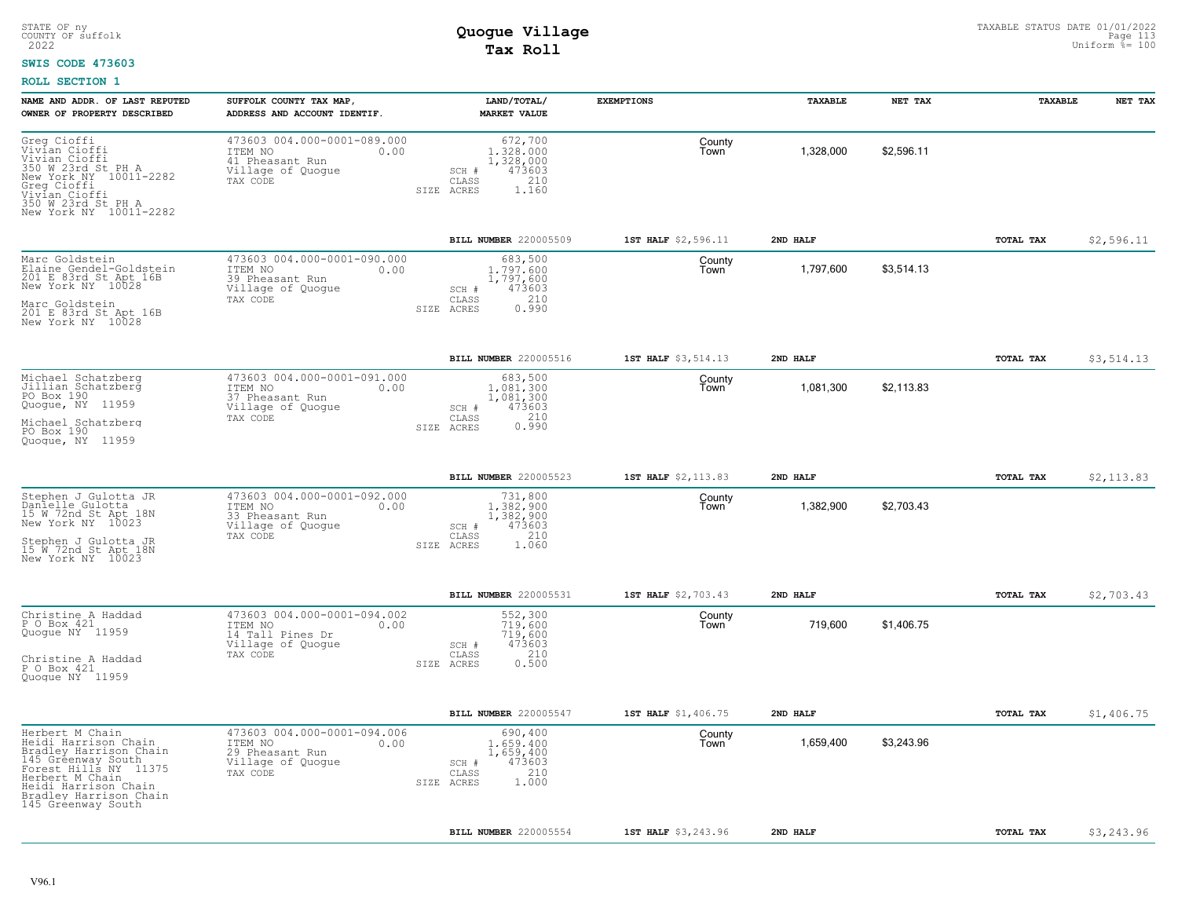#### **SWIS CODE 473603**

| NAME AND ADDR. OF LAST REPUTED<br>OWNER OF PROPERTY DESCRIBED                                                                                                                                               | SUFFOLK COUNTY TAX MAP<br>ADDRESS AND ACCOUNT IDENTIF.                                              | LAND/TOTAL/<br><b>MARKET VALUE</b>                                                          | <b>EXEMPTIONS</b>   | TAXABLE   | NET TAX    | TAXABLE   | NET TAX    |
|-------------------------------------------------------------------------------------------------------------------------------------------------------------------------------------------------------------|-----------------------------------------------------------------------------------------------------|---------------------------------------------------------------------------------------------|---------------------|-----------|------------|-----------|------------|
| Greg Cioffi<br>Vivían Cioffi<br>Vivian Cioffi<br>350 W 23rd St PH A<br>New York NY 10011-2282<br>Greg Cioffi<br>Vivían Cioffi<br>350 W 23rd St PH A<br>New York NY 10011-2282                               | 473603 004.000-0001-089.000<br>ITEM NO<br>0.00<br>41 Pheasant Run<br>Village of Quogue<br>TAX CODE  | 672,700<br>1.328.000<br>1,328,000<br>473603<br>SCH #<br>210<br>CLASS<br>SIZE ACRES<br>1.160 | County<br>Town      | 1,328,000 | \$2,596.11 |           |            |
|                                                                                                                                                                                                             |                                                                                                     | BILL NUMBER 220005509                                                                       | 1ST HALF \$2,596.11 | 2ND HALF  |            | TOTAL TAX | \$2,596.11 |
| Marc Goldstein<br>Elaine Gendel-Goldstein<br>201 E 83rd St Apt 16B<br>New York NY 10028<br>Marc Goldstein<br>201 E 83rd St Apt 16B<br>New York NY 10028                                                     | 473603 004.000-0001-090.000<br>ITEM NO<br>0.00<br>39 Pheasant Run<br>Village of Quogue<br>TAX CODE  | 683,500<br>1,797,600<br>1,797,600<br>473603<br>SCH #<br>210<br>CLASS<br>0.990<br>SIZE ACRES | County<br>Town      | 1,797,600 | \$3,514.13 |           |            |
|                                                                                                                                                                                                             |                                                                                                     | <b>BILL NUMBER 220005516</b>                                                                | 1ST HALF \$3,514.13 | 2ND HALF  |            | TOTAL TAX | \$3,514.13 |
| Michael Schatzberg<br>Jillian Schatzberg<br>PO Box 190<br>Quogue, NY 11959<br>Michael Schatzberg<br>PO Box 190<br>Quoque, NY 11959                                                                          | 473603 004.000-0001-091.000<br>ITEM NO<br>0.00<br>37 Pheasant Run<br>Village of Quogue<br>TAX CODE  | 683,500<br>1,081,300<br>1,081,300<br>473603<br>SCH #<br>210<br>CLASS<br>0.990<br>SIZE ACRES | County<br>Town      | 1,081,300 | \$2,113.83 |           |            |
|                                                                                                                                                                                                             |                                                                                                     | BILL NUMBER 220005523                                                                       | 1ST HALF \$2,113.83 | 2ND HALF  |            | TOTAL TAX | \$2,113.83 |
| Stephen J Gulotta JR<br>Danielle Gulotta<br>15 W 72nd St Apt 18N<br>New York NY 10023<br>Stephen J Gulotta JR<br>15 W 72nd St Apt 18N<br>New York NY 10023                                                  | 473603 004.000-0001-092.000<br>ITEM NO<br>0.00<br>33 Pheasant Run<br>Village of Quogue<br>TAX CODE  | 731,800<br>1,382,900<br>1,382,900<br>473603<br>SCH #<br>210<br>CLASS<br>SIZE ACRES<br>1.060 | County<br>Town      | 1,382,900 | \$2,703.43 |           |            |
|                                                                                                                                                                                                             |                                                                                                     | BILL NUMBER 220005531                                                                       | 1ST HALF \$2,703.43 | 2ND HALF  |            | TOTAL TAX | \$2,703.43 |
| Christine A Haddad<br>P O Box 421<br>Quoque NY 11959<br>Christine A Haddad<br>P O Box 421<br>Quoque NY 11959                                                                                                | 473603 004.000-0001-094.002<br>ITEM NO<br>0.00<br>14 Tall Pines Dr<br>Village of Quogue<br>TAX CODE | 552,300<br>719,600<br>719,600<br>473603<br>SCH #<br>210<br>CLASS<br>0.500<br>SIZE ACRES     | County<br>Town      | 719,600   | \$1,406.75 |           |            |
|                                                                                                                                                                                                             |                                                                                                     | BILL NUMBER 220005547                                                                       | 1ST HALF \$1,406.75 | 2ND HALF  |            | TOTAL TAX | \$1,406.75 |
| Herbert M Chain<br>Heidi Harrison Chain<br>Bradley Harrison Chain<br>145 Gréenway South<br>Forest Hills NY 11375<br>Herbert M Chain<br>Heidi Harrison Chain<br>Bradley Harrison Chain<br>145 Greenway South | 473603 004.000-0001-094.006<br>ITEM NO<br>0.00<br>29 Pheasant Run<br>Village of Quogue<br>TAX CODE  | 690,400<br>1,659,400<br>1,659,400<br>473603<br>SCH #<br>210<br>CLASS<br>1,000<br>SIZE ACRES | County<br>Town      | 1,659,400 | \$3,243.96 |           |            |
|                                                                                                                                                                                                             |                                                                                                     | <b>BILL NUMBER 220005554</b>                                                                | 1ST HALF \$3,243.96 | 2ND HALF  |            | TOTAL TAX | \$3,243.96 |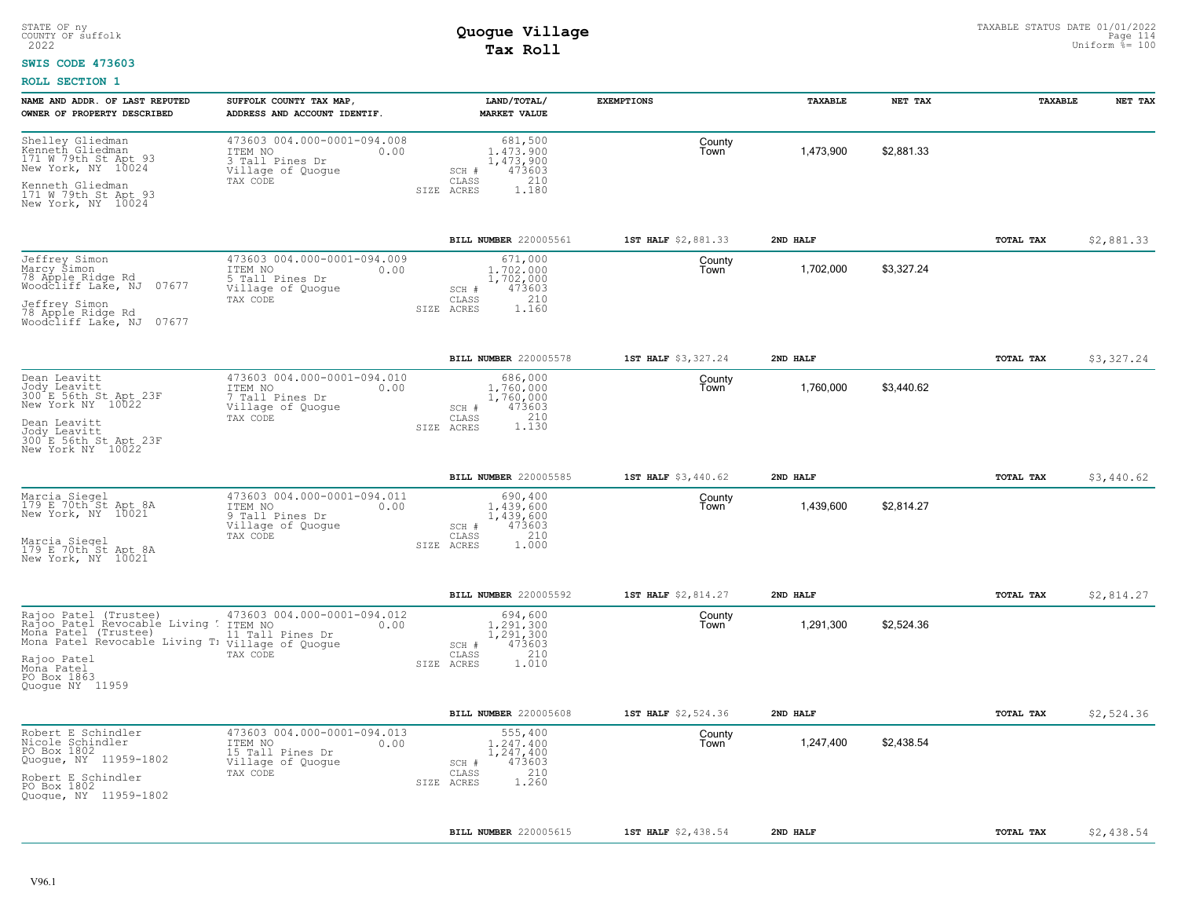### **SWIS CODE 473603**

| NAME AND ADDR. OF LAST REPUTED<br>OWNER OF PROPERTY DESCRIBED                                                   | SUFFOLK COUNTY TAX MAP<br>ADDRESS AND ACCOUNT IDENTIF.                                  | LAND/TOTAL/<br><b>MARKET VALUE</b>                                   | <b>EXEMPTIONS</b>   | TAXABLE   | NET TAX    | TAXABLE          | NET TAX    |
|-----------------------------------------------------------------------------------------------------------------|-----------------------------------------------------------------------------------------|----------------------------------------------------------------------|---------------------|-----------|------------|------------------|------------|
| Shelley Gliedman<br>Kenneth Gliedman<br>171 W 79th St Apt 93<br>New York, NY 10024                              | 473603 004.000-0001-094.008<br>ITEM NO<br>0.00<br>3 Tall Pines Dr<br>Village of Quogue  | 681,500<br>1.473.900<br>1,473,900<br>473603<br>SCH #                 | County<br>I own     | 1,473,900 | \$2.881.33 |                  |            |
| Kenneth Gliedman<br>171 W 79th St Apt 93<br>New York, NY 10024                                                  | TAX CODE                                                                                | 210<br>CLASS<br>SIZE ACRES<br>1,180                                  |                     |           |            |                  |            |
|                                                                                                                 |                                                                                         | BILL NUMBER 220005561                                                | 1ST HALF \$2,881.33 | 2ND HALF  |            | TOTAL TAX        | \$2,881.33 |
| Jeffrey Simon<br>Marcy Simon<br>78 Apple Ridge Rd<br>07677<br>Woodcliff Lake, NJ                                | 473603 004.000-0001-094.009<br>ITEM NO<br>0.00<br>5 Tall Pines Dr<br>Village of Quoque  | 671,000<br>1,702,000<br>1,702,000<br>473603<br>SCH #<br>210<br>CLASS | County<br>Town      | 1,702,000 | \$3,327.24 |                  |            |
| Jeffrey Simon<br>78 Apple Ridge Rd<br>Woodcliff Lake, NJ 07677                                                  | TAX CODE                                                                                | ACRES<br>1.160<br>SIZE                                               |                     |           |            |                  |            |
|                                                                                                                 |                                                                                         | BILL NUMBER 220005578                                                | 1ST HALF \$3,327.24 | 2ND HALF  |            | TOTAL TAX        | \$3,327.24 |
| Dean Leavitt<br>Jody Leavitt<br>300 E 56th St Apt 23F<br>New York NY 10022                                      | 473603 004.000-0001-094.010<br>ITEM NO<br>0.00<br>7 Tall Pines Dr<br>Village of Quoque  | 686,000<br>1,760,000<br>1,760,000<br>473603<br>SCH #                 | County<br>Town      | 1,760,000 | \$3,440.62 |                  |            |
| Dean Leavitt<br>Jody Leavitt<br>300 E 56th St Apt 23F<br>New York NY 10022                                      | TAX CODE                                                                                | 1.130<br>CLASS<br>SIZE ACRES                                         |                     |           |            |                  |            |
|                                                                                                                 |                                                                                         | <b>BILL NUMBER 220005585</b>                                         | 1ST HALF \$3,440.62 | 2ND HALF  |            | TOTAL TAX        | \$3,440.62 |
| Marcia Siegel<br>179 E 70th St Apt 8A<br>New York, NY 10021                                                     | 473603 004.000-0001-094.011<br>ITEM NO<br>0.00<br>9 Tall Pines Dr<br>Village of Quogue  | 690,400<br>1,439,600<br>1,439,600<br>473603<br>SCH #                 | County<br>Town      | 1,439,600 | \$2,814.27 |                  |            |
| Marcia Siegel<br>179 E 70th St Apt 8A<br>New York, NY 10021                                                     | TAX CODE                                                                                | 210<br>CLASS<br>1.000<br>SIZE ACRES                                  |                     |           |            |                  |            |
|                                                                                                                 |                                                                                         | BILL NUMBER 220005592                                                | 1ST HALF \$2,814.27 | 2ND HALF  |            | TOTAL TAX        | \$2,814.27 |
| Rajoo Patel (Trustee)<br>Rajoo Patel Revocable Living<br>Mona Patel (Trustee)<br>Mona Patel Revocable Living T: | 473603 004.000-0001-094.012<br>ITEM NO<br>0.00<br>11 Tall Pines Dr<br>Village of Quogue | 694,600<br>1,291,300<br>1,291,300<br>473603<br>SCH #                 | County<br>Town      | 1,291,300 | \$2,524.36 |                  |            |
| Rajoo Patel<br>Mona Patel<br>PO Box 1863<br>Quogue NY 11959                                                     | TAX CODE                                                                                | 210<br>CLASS<br>SIZE ACRES<br>1.010                                  |                     |           |            |                  |            |
|                                                                                                                 |                                                                                         | BILL NUMBER 220005608                                                | 1ST HALF \$2,524.36 | 2ND HALF  |            | TOTAL TAX        | \$2,524.36 |
| Robert E Schindler<br>Nicole Schindler<br>PO Box 1802<br>Quogue, NY 11959-1802                                  | 473603 004.000-0001-094.013<br>ITEM NO<br>0.00<br>15 Tall Pines Dr<br>Village of Quogue | 555,400<br>1,247,400<br>1,247,400<br>473603<br>SCH #                 | County<br>Town      | 1,247,400 | \$2,438.54 |                  |            |
| Robert E Schindler<br>PO Box 1802<br>Quogue, NY 11959-1802                                                      | TAX CODE                                                                                | 210<br>CLASS<br>1.260<br>SIZE ACRES                                  |                     |           |            |                  |            |
|                                                                                                                 |                                                                                         | <b>BILL NUMBER 220005615</b>                                         | 1ST HALF \$2,438.54 | 2ND HALF  |            | <b>TOTAL TAX</b> | \$2,438.54 |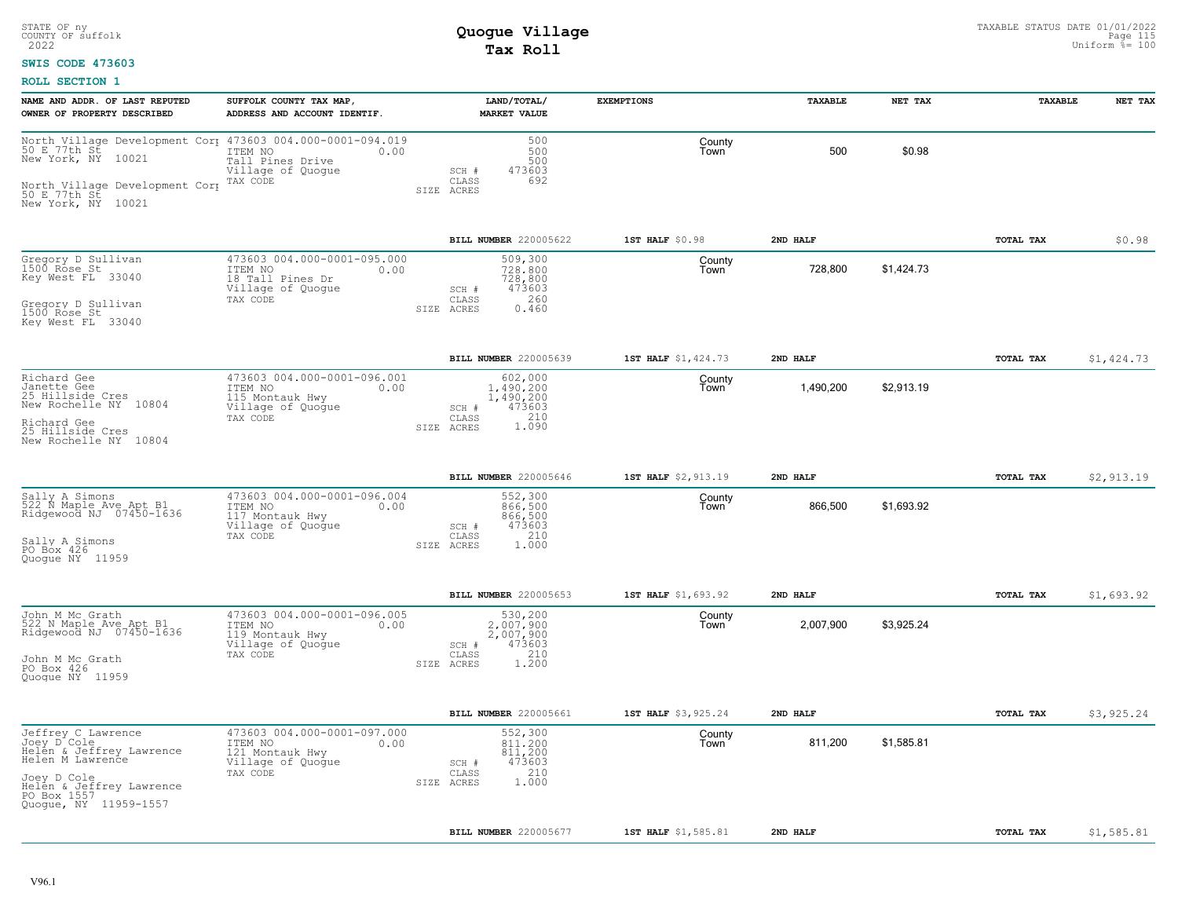### **SWIS CODE 473603**

| NAME AND ADDR. OF LAST REPUTED<br>OWNER OF PROPERTY DESCRIBED                                                                                                                  | SUFFOLK COUNTY TAX MAP,<br>ADDRESS AND ACCOUNT IDENTIF.                                             | LAND/TOTAL/<br>MARKET VALUE                                                                 | <b>EXEMPTIONS</b>   | <b>TAXABLE</b> | NET TAX    | <b><i>TAXABLE</i></b> | NET TAX    |
|--------------------------------------------------------------------------------------------------------------------------------------------------------------------------------|-----------------------------------------------------------------------------------------------------|---------------------------------------------------------------------------------------------|---------------------|----------------|------------|-----------------------|------------|
| North Village Development Cor 473603 004.000-0001-094.019<br>50 E.77th St. 10001<br>New York, NY 10021<br>North Village Development Corp<br>50 E 77th St<br>New York, NY 10021 | Tall Pines Drive<br>Village of Quogue<br>TAX CODE                                                   | 500<br>500<br>500<br>473603<br>SCH #<br>692<br>CLASS<br>SIZE ACRES                          | County<br>Town      | 500            | \$0.98     |                       |            |
|                                                                                                                                                                                |                                                                                                     | BILL NUMBER 220005622                                                                       | 1ST HALF \$0.98     | 2ND HALF       |            | TOTAL TAX             | \$0.98     |
| Gregory D Sullivan<br>1500 Rose St<br>Key West FL 33040<br>Gregory D Sullivan<br>1500 Rose St<br>Key West FL 33040                                                             | 473603 004.000-0001-095.000<br>ITEM NO<br>0.00<br>18 Tall Pines Dr<br>Village of Quoque<br>TAX CODE | 509,300<br>728,800<br>728,800<br>473603<br>SCH #<br>260<br>CLASS<br>0.460<br>SIZE ACRES     | County<br>Town      | 728.800        | \$1.424.73 |                       |            |
|                                                                                                                                                                                |                                                                                                     | BILL NUMBER 220005639                                                                       | 1ST HALF \$1,424.73 | 2ND HALF       |            | TOTAL TAX             | \$1,424.73 |
| Richard Gee<br>Janette Gee<br>25 Hillside Cres<br>New Rochelle NY 10804<br>Richard Gee<br>25 Hillside Cres<br>New Rochelle NY 10804                                            | 473603 004.000-0001-096.001<br>ITEM NO<br>0.00<br>115 Montauk Hwy<br>Village of Quogue<br>TAX CODE  | 602,000<br>1,490,200<br>1,490,200<br>473603<br>SCH #<br>1.090<br>CLASS<br>SIZE ACRES        | County<br>Town      | 1,490,200      | \$2,913.19 |                       |            |
|                                                                                                                                                                                |                                                                                                     | BILL NUMBER 220005646                                                                       | 1ST HALF \$2,913.19 | 2ND HALF       |            | TOTAL TAX             | \$2,913.19 |
| Sally A Simons<br>522 N Maple Ave Apt B1<br>Ridgewood NJ 07450-1636<br>Sally A Simons<br>PO Box 426<br>Quoque NY 11959                                                         | 473603 004.000-0001-096.004<br>ITEM NO<br>0.00<br>117 Montauk Hwy<br>Village of Quogue<br>TAX CODE  | 552,300<br>866,500<br>866,500<br>473603<br>$SCH$ $#$<br>210<br>CLASS<br>1.000<br>SIZE ACRES | County<br>Town      | 866,500        | \$1,693.92 |                       |            |
|                                                                                                                                                                                |                                                                                                     | BILL NUMBER 220005653                                                                       | 1ST HALF \$1,693.92 | 2ND HALF       |            | TOTAL TAX             | \$1,693.92 |
| John M Mc Grath<br>522 N Maple Ave Apt B1<br>Ridgewood NJ 07450-1636<br>John M Mc Grath<br>PO Box 426<br>Quoque NY 11959                                                       | 473603 004.000-0001-096.005<br>ITEM NO<br>0.00<br>119 Montauk Hwy<br>Village of Quogue<br>TAX CODE  | 530,200<br>2,007,900<br>2,007,900<br>473603<br>SCH #<br>210<br>CLASS<br>1.200<br>SIZE ACRES | County<br>Town      | 2,007,900      | \$3,925.24 |                       |            |
|                                                                                                                                                                                |                                                                                                     | BILL NUMBER 220005661                                                                       | 1ST HALF \$3,925.24 | 2ND HALF       |            | TOTAL TAX             | \$3,925.24 |
| Jeffrey C Lawrence<br>Joey D^Cole<br>Helên & Jeffrey Lawrence<br>Helen M Lawrence<br>Joey D Cole<br>Helen & Jeffrey Lawrence<br>PO Box 1557<br>Quogue, NY 11959-1557           | 473603 004.000-0001-097.000<br>ITEM NO<br>0.00<br>121 Montauk Hwy<br>Village of Quogue<br>TAX CODE  | 552,300<br>811,200<br>811,200<br>473603<br>$SCH$ $#$<br>210<br>CLASS<br>1.000<br>SIZE ACRES | County<br>Town      | 811,200        | \$1,585.81 |                       |            |
|                                                                                                                                                                                |                                                                                                     | BILL NUMBER 220005677                                                                       | 1ST HALF \$1,585.81 | 2ND HALF       |            | TOTAL TAX             | \$1,585.81 |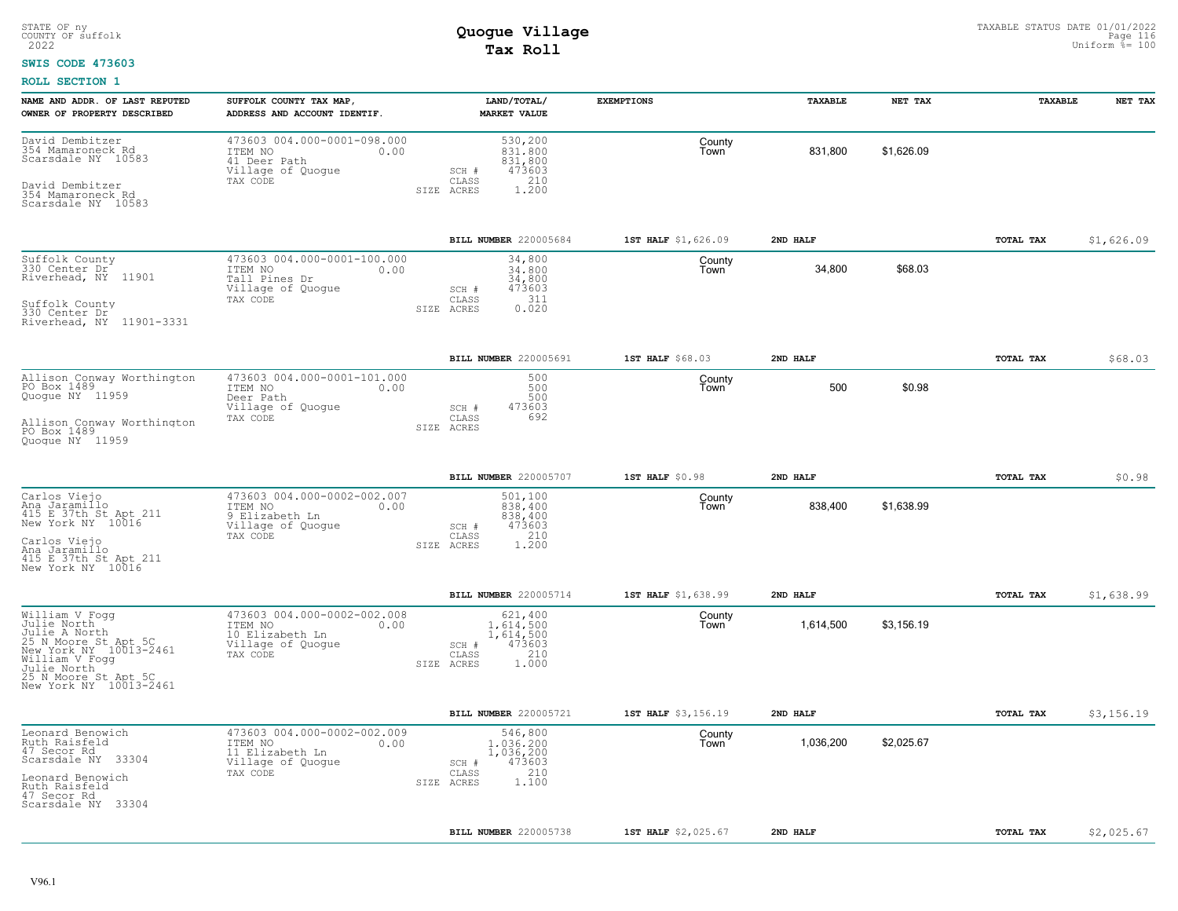#### **SWIS CODE 473603**

| NAME AND ADDR. OF LAST REPUTED<br>OWNER OF PROPERTY DESCRIBED                                                                                                                      | SUFFOLK COUNTY TAX MAP,<br>ADDRESS AND ACCOUNT IDENTIF.                                            | LAND/TOTAL/<br><b>MARKET VALUE</b>                                                          | <b>EXEMPTIONS</b>   | TAXABLE   | NET TAX    | TAXABLE          | NET TAX    |
|------------------------------------------------------------------------------------------------------------------------------------------------------------------------------------|----------------------------------------------------------------------------------------------------|---------------------------------------------------------------------------------------------|---------------------|-----------|------------|------------------|------------|
| David Dembitzer<br>354 Mamaroneck Rd<br>Scarsdale NY 10583<br>David Dembitzer<br>354 Mamaroneck Rd<br>Scarsdale NY 10583                                                           | 473603 004.000-0001-098.000<br>ITEM NO<br>0.00<br>41 Deer Path<br>Village of Quogue<br>TAX CODE    | 530,200<br>831,800<br>831,800<br>473603<br>SCH #<br>CLASS<br>210<br>1,200<br>SIZE ACRES     | County<br>Town      | 831,800   | \$1,626.09 |                  |            |
|                                                                                                                                                                                    |                                                                                                    | BILL NUMBER 220005684                                                                       | 1ST HALF \$1,626.09 | 2ND HALF  |            | TOTAL TAX        | \$1,626.09 |
| Suffolk County<br>330 Center Dr<br>Riverhead, NY 11901<br>Suffolk County<br>330 Center Dr<br>Riverhead, NY 11901-3331                                                              | 473603 004.000-0001-100.000<br>ITEM NO<br>0.00<br>Tall Pines Dr<br>Village of Quogue<br>TAX CODE   | 34,800<br>34,800<br>34,800<br>473603<br>SCH #<br>311<br>CLASS<br>SIZE ACRES<br>0.020        | County<br>Town      | 34,800    | \$68.03    |                  |            |
|                                                                                                                                                                                    |                                                                                                    | BILL NUMBER 220005691                                                                       | 1ST HALF \$68.03    | 2ND HALF  |            | TOTAL TAX        | \$68.03    |
| Allison Conway Worthington<br>PO Box 1489<br>Quoque NY 11959<br>Allison Conway Worthington<br>PO Box 1489<br>Quoque NY 11959                                                       | 473603 004.000-0001-101.000<br>ITEM NO<br>0.00<br>Deer Path<br>Village of Quogue<br>TAX CODE       | 500<br>500<br>500<br>473603<br>SCH #<br>CLASS<br>692<br>SIZE ACRES                          | County<br>Town      | 500       | \$0.98     |                  |            |
|                                                                                                                                                                                    |                                                                                                    | BILL NUMBER 220005707                                                                       | 1ST HALF \$0.98     | 2ND HALF  |            | TOTAL TAX        | \$0.98     |
| Carlos Viejo<br>Ana Jaramilio<br>415 E 37th St Apt 211<br>New York NY 10016<br>Carlos Viejo<br>Ana Jaramillo<br>415 E 37th St Apt 211<br>New York NY 10016                         | 473603 004.000-0002-002.007<br>ITEM NO<br>0.00<br>9 Elizabeth Ln<br>Village of Quoque<br>TAX CODE  | 501,100<br>838,400<br>838,400<br>473603<br>SCH #<br>210<br>CLASS<br>SIZE ACRES<br>1,200     | County<br>Town      | 838.400   | \$1.638.99 |                  |            |
|                                                                                                                                                                                    |                                                                                                    | BILL NUMBER 220005714                                                                       | 1ST HALF \$1,638.99 | 2ND HALF  |            | TOTAL TAX        | \$1,638.99 |
| William V Fogg<br>Julie North<br>Julie A North<br>Sil Moore St Apt 5C<br>New York NY 10013-2461<br>William V Fogg<br>Julie North<br>25 N Moore St Apt 5C<br>New York NY 10013-2461 | 473603 004.000-0002-002.008<br>ITEM NO<br>0.00<br>10 Elizabeth Ln<br>Village of Quogue<br>TAX CODE | 621,400<br>1,614,500<br>1,614,500<br>473603<br>SCH #<br>210<br>CLASS<br>1.000<br>SIZE ACRES | County<br>Town      | 1,614,500 | \$3,156.19 |                  |            |
|                                                                                                                                                                                    |                                                                                                    | BILL NUMBER 220005721                                                                       | 1ST HALF \$3,156.19 | 2ND HALF  |            | <b>TOTAL TAX</b> | \$3,156.19 |
| Leonard Benowich<br>Ruth Raisfeld<br>47 Secor Rd<br>Scarsdale NY 33304<br>Leonard Benowich<br>Ruth Raisfeld<br>47 Secor Rd<br>Scarsdale NY 33304                                   | 473603 004.000-0002-002.009<br>ITEM NO<br>0.00<br>11 Elizabeth Ln<br>Village of Quogue<br>TAX CODE | 546,800<br>1,036,200<br>1,036,200<br>473603<br>SCH #<br>210<br>CLASS<br>1.100<br>SIZE ACRES | County<br>Town      | 1,036,200 | \$2,025.67 |                  |            |
|                                                                                                                                                                                    |                                                                                                    | BILL NUMBER 220005738                                                                       | 1ST HALF \$2,025.67 | 2ND HALF  |            | TOTAL TAX        | \$2,025.67 |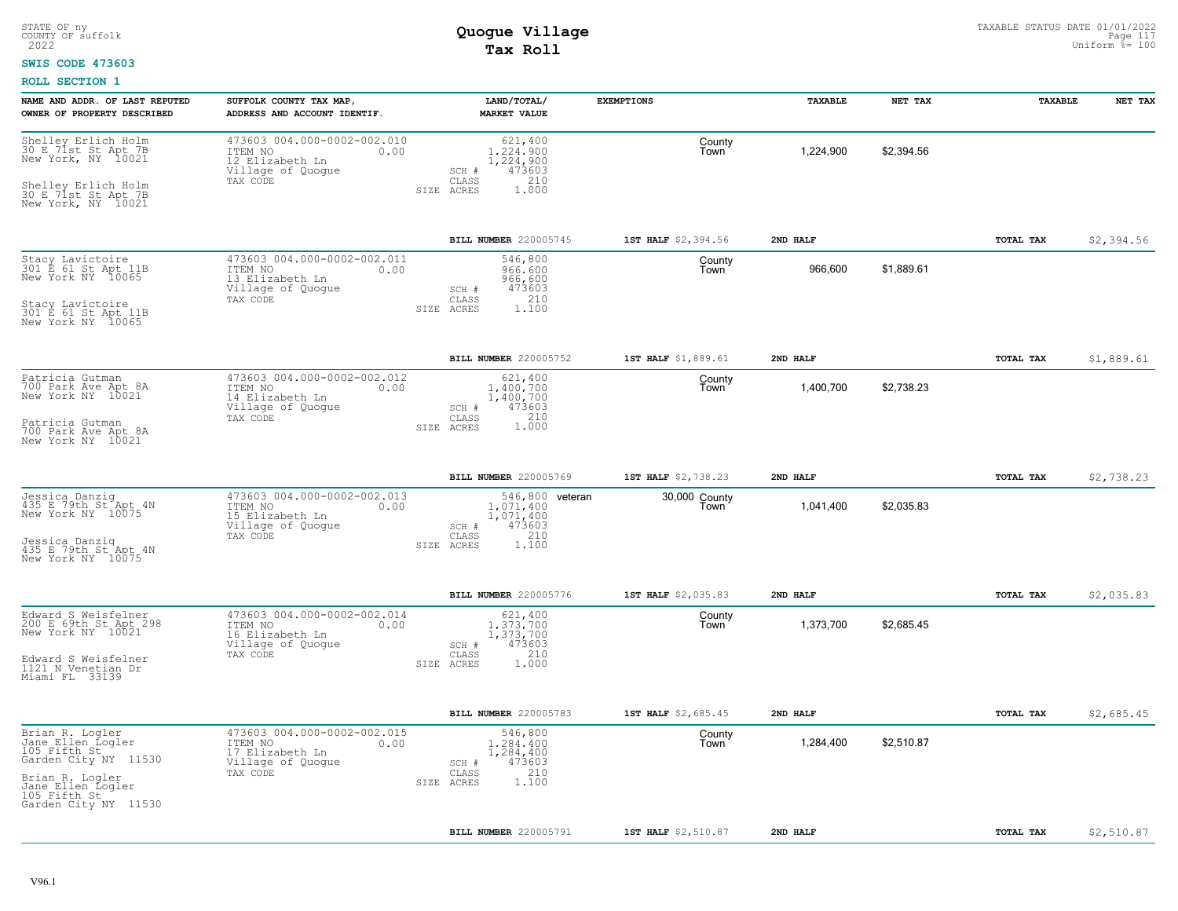#### **SWIS CODE 473603**

| NAME AND ADDR. OF LAST REPUTED<br>OWNER OF PROPERTY DESCRIBED                                                                        | SUFFOLK COUNTY TAX MAP,<br>ADDRESS AND ACCOUNT IDENTIF.                                            | LAND/TOTAL/<br><b>MARKET VALUE</b>                                                                     | <b>EXEMPTIONS</b>     | <b>TAXABLE</b> | NET TAX    | TAXABLE          | NET TAX    |
|--------------------------------------------------------------------------------------------------------------------------------------|----------------------------------------------------------------------------------------------------|--------------------------------------------------------------------------------------------------------|-----------------------|----------------|------------|------------------|------------|
| Shelley Erlich Holm<br>30 E.71st St Apt 7B<br>New York, NY 10021<br>Shelley Erlich Holm<br>30 E 71st St Apt 7B<br>New York, NY 10021 | 473603 004.000-0002-002.010<br>ITEM NO<br>0.00<br>12 Elizabeth Ln<br>Village of Quogue<br>TAX CODE | 621,400<br>1,224,900<br>1,224,900<br>473603<br>SCH #<br>210<br>$\mathtt{CLASS}$<br>SIZE ACRES<br>1.000 | County<br>Town        | 1,224,900      | \$2,394.56 |                  |            |
|                                                                                                                                      |                                                                                                    | BILL NUMBER 220005745                                                                                  | 1ST HALF \$2,394.56   | 2ND HALF       |            | TOTAL TAX        | \$2,394.56 |
| Stacy Lavictoire<br>301 E 61 St Apt 11B<br>New York NY 10065<br>Stacy Lavictoire<br>301 E 61 St Apt 11B<br>New York NY 10065         | 473603 004.000-0002-002.011<br>ITEM NO<br>0.00<br>13 Elizabeth Ln<br>Village of Quogue<br>TAX CODE | 546,800<br>966,600<br>966,600<br>473603<br>SCH #<br>210<br>CLASS<br>1.100<br>SIZE ACRES                | County<br>Town        | 966,600        | \$1,889.61 |                  |            |
|                                                                                                                                      |                                                                                                    | BILL NUMBER 220005752                                                                                  | 1ST HALF \$1,889.61   | 2ND HALF       |            | TOTAL TAX        | \$1,889.61 |
| Patricia Gutman<br>700 Park Ave Apt 8A<br>New York NY 10021                                                                          | 473603 004.000-0002-002.012<br>ITEM NO<br>0.00<br>14 Elizabeth Ln<br>Village of Quogue<br>TAX CODE | 621,400<br>1,400,700<br>1,400,700<br>473603<br>SCH #<br>210<br>CLASS                                   | County<br>Town        | 1,400,700      | \$2,738.23 |                  |            |
| Patricia Gutman<br>700 Park Ave Apt 8A<br>New York NY 10021                                                                          |                                                                                                    | 1,000<br>SIZE ACRES                                                                                    |                       |                |            |                  |            |
|                                                                                                                                      |                                                                                                    | BILL NUMBER 220005769                                                                                  | 1ST HALF \$2,738.23   | 2ND HALF       |            | TOTAL TAX        | \$2,738.23 |
| Jessica Danzig<br>435 E 79th St Apt 4N<br>New York NY 10075<br>Jessica Danziq<br>435 E 79th St Apt 4N                                | 473603 004.000-0002-002.013<br>ITEM NO<br>0.00<br>15 Elizabeth Ln<br>Village of Quogue<br>TAX CODE | 546,800 veteran<br>1.071.400<br>1,071,400<br>473603<br>SCH #<br>210<br>CLASS<br>1.100<br>SIZE ACRES    | 30,000 County<br>Town | 1,041,400      | \$2,035.83 |                  |            |
| New York NY 10075                                                                                                                    |                                                                                                    |                                                                                                        |                       |                |            |                  |            |
|                                                                                                                                      |                                                                                                    | BILL NUMBER 220005776                                                                                  | 1ST HALF \$2,035.83   | 2ND HALF       |            | TOTAL TAX        | \$2,035.83 |
| Edward S Weisfelner<br>200 E 69th St Apt 298<br>New York NY 10021                                                                    | 473603 004.000-0002-002.014<br>ITEM NO<br>0.00<br>16 Elizabeth Ln<br>Village of Quogue             | 621,400<br>1.373.700<br>1,373,700<br>473603<br>SCH #                                                   | County<br>Town        | 1,373,700      | \$2,685.45 |                  |            |
| Edward S Weisfelner<br>1121 N Venetian Dr<br>Miami FL 33139                                                                          | TAX CODE                                                                                           | 210<br>CLASS<br>SIZE ACRES<br>1,000                                                                    |                       |                |            |                  |            |
|                                                                                                                                      |                                                                                                    | <b>BILL NUMBER 220005783</b>                                                                           | 1ST HALF \$2,685.45   | 2ND HALF       |            | <b>TOTAL TAX</b> | \$2,685.45 |
| Brian R. Logler<br>Jane_Ellen_Logler<br>105 Fifth St<br>Garden City NY 11530                                                         | 473603 004.000-0002-002.015<br>ITEM NO<br>0.00<br>17 Elizabeth Ln<br>Village of Quogue             | 546,800<br>1,284,400<br>1,284,400<br>473603<br>SCH #                                                   | County<br>Town        | 1,284,400      | \$2,510.87 |                  |            |
| Brian R. Logler<br>Jane Ellen Logler<br>105 Fifth St<br>Garden City NY 11530                                                         | TAX CODE                                                                                           | 210<br>CLASS<br>1,100<br>SIZE ACRES                                                                    |                       |                |            |                  |            |
|                                                                                                                                      |                                                                                                    | <b>BILL NUMBER 220005791</b>                                                                           | 1ST HALF \$2,510.87   | 2ND HALF       |            | TOTAL TAX        | \$2,510.87 |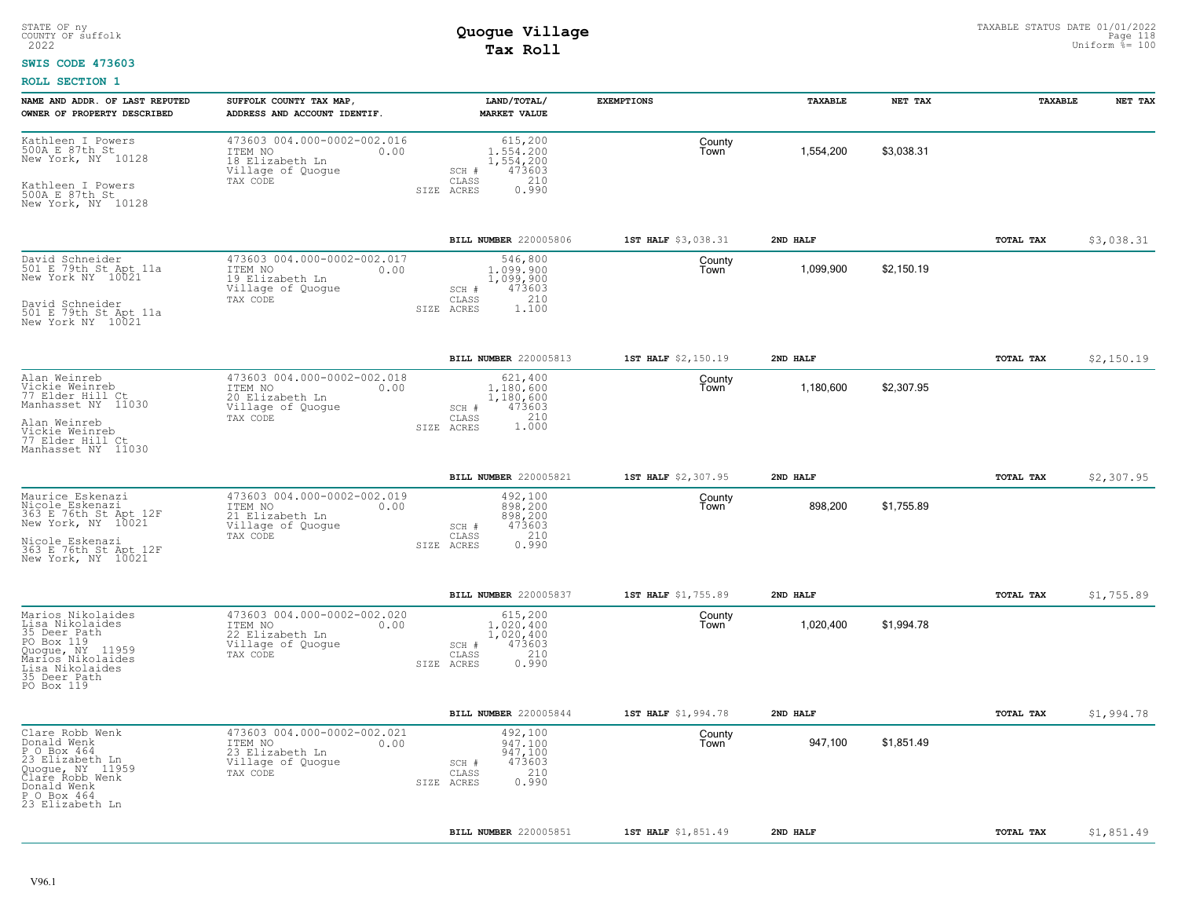### **SWIS CODE 473603**

| NAME AND ADDR. OF LAST REPUTED<br>OWNER OF PROPERTY DESCRIBED                                                                                                | SUFFOLK COUNTY TAX MAP,<br>ADDRESS AND ACCOUNT IDENTIF                                             | LAND/TOTAL/<br><b>MARKET VALUE</b>                                                                     | <b>EXEMPTIONS</b>   | TAXABLE   | NET TAX    | TAXABLE   | NET TAX    |
|--------------------------------------------------------------------------------------------------------------------------------------------------------------|----------------------------------------------------------------------------------------------------|--------------------------------------------------------------------------------------------------------|---------------------|-----------|------------|-----------|------------|
| Kathleen I Powers<br>500A E 87th St<br>New York, NY 10128<br>Kathleen I Powers<br>500A E 87th St<br>New York, NY 10128                                       | 473603 004.000-0002-002.016<br>ITEM NO<br>0.00<br>18 Elizabeth Ln<br>Village of Quogue<br>TAX CODE | 615,200<br>1,554,200<br>1,554,200<br>473603<br>SCH #<br>210<br>$\mathtt{CLASS}$<br>SIZE ACRES<br>0.990 | County<br>Town      | 1,554,200 | \$3,038.31 |           |            |
|                                                                                                                                                              |                                                                                                    | BILL NUMBER 220005806                                                                                  | 1ST HALF \$3,038.31 | 2ND HALF  |            | TOTAL TAX | \$3,038.31 |
| David Schneider<br>501 E 79th St Apt 11a<br>New York NY 10021<br>David Schneider<br>501 E 79th St Apt 11a<br>New York NY 10021                               | 473603 004.000-0002-002.017<br>ITEM NO<br>0.00<br>19 Elizabeth Ln<br>Village of Quogue<br>TAX CODE | 546,800<br>1,099,900<br>1,099,900<br>473603<br>SCH #<br>210<br>CLASS<br>SIZE ACRES<br>1,100            | County<br>Town      | 1,099,900 | \$2,150.19 |           |            |
|                                                                                                                                                              |                                                                                                    | <b>BILL NUMBER 220005813</b>                                                                           | 1ST HALF \$2,150.19 | 2ND HALF  |            | TOTAL TAX | \$2,150.19 |
| Alan Weinreb<br>Vickie Weinreb<br>77 Elder Hill Ct<br>Manhasset NY 11030<br>Alan Weinreb<br>Vickie Weinreb<br>77 Elder Hill Ct<br>Manhasset NY 11030         | 473603 004.000-0002-002.018<br>ITEM NO<br>0.00<br>20 Elizabeth Ln<br>Village of Quogue<br>TAX CODE | 621,400<br>1,180,600<br>1,180,600<br>473603<br>SCH #<br>1.210<br>CLASS<br>SIZE ACRES                   | County<br>Town      | 1,180,600 | \$2,307.95 |           |            |
|                                                                                                                                                              |                                                                                                    | BILL NUMBER 220005821                                                                                  | 1ST HALF \$2,307.95 | 2ND HALF  |            | TOTAL TAX | \$2,307.95 |
| Maurice Eskenazi<br>Nicole Eskenazi<br>363 E 76th St Apt 12F<br>New York, NY 10021<br>Nicole Eskenazi<br>363 E 76th St Apt 12F<br>New York, NY 10021         | 473603 004.000-0002-002.019<br>ITEM NO<br>0.00<br>21 Elizabeth Ln<br>Village of Quogue<br>TAX CODE | 492,100<br>898,200<br>898,200<br>473603<br>SCH #<br>210<br>CLASS<br>0.990<br>SIZE ACRES                | County<br>Town      | 898,200   | \$1,755.89 |           |            |
|                                                                                                                                                              |                                                                                                    | BILL NUMBER 220005837                                                                                  | 1ST HALF \$1,755.89 | 2ND HALF  |            | TOTAL TAX | \$1,755.89 |
| Marios Nikolaides<br>Lisa Nikolaides<br>35 Deer Path<br>PO Box 119<br>Quogue, NY 11959<br>Marios Nikolaides<br>Lisa Nikolaides<br>35 Deer Path<br>PO Box 119 | 473603 004.000-0002-002.020<br>ITEM NO<br>0.00<br>22 Elizabeth Ln<br>Village of Quogue<br>TAX CODE | 615,200<br>1.020.400<br>1,020,400<br>473603<br>SCH #<br>210<br>CLASS<br>0.990<br>SIZE ACRES            | County<br>Town      | 1,020,400 | \$1,994.78 |           |            |
|                                                                                                                                                              |                                                                                                    | BILL NUMBER 220005844                                                                                  | 1ST HALF \$1,994.78 | 2ND HALF  |            | TOTAL TAX | \$1,994.78 |
| Clare Robb Wenk<br>Donald Wenk<br>P O Box 464<br>23 Elizabeth Ln<br>Quogue, NY 11959<br>Clare Robb Wenk<br>Donald Wenk<br>P O Box 464<br>23 Elizabeth Ln     | 473603 004.000-0002-002.021<br>ITEM NO<br>0.00<br>23 Elizabeth Ln<br>Village of Quogue<br>TAX CODE | 492,100<br>947.100<br>947,100<br>473603<br>SCH #<br>210<br>CLASS<br>0.990<br>SIZE ACRES                | County<br>Town      | 947,100   | \$1,851.49 |           |            |
|                                                                                                                                                              |                                                                                                    | BILL NUMBER 220005851                                                                                  | 1ST HALF \$1,851.49 | 2ND HALF  |            | TOTAL TAX | \$1,851.49 |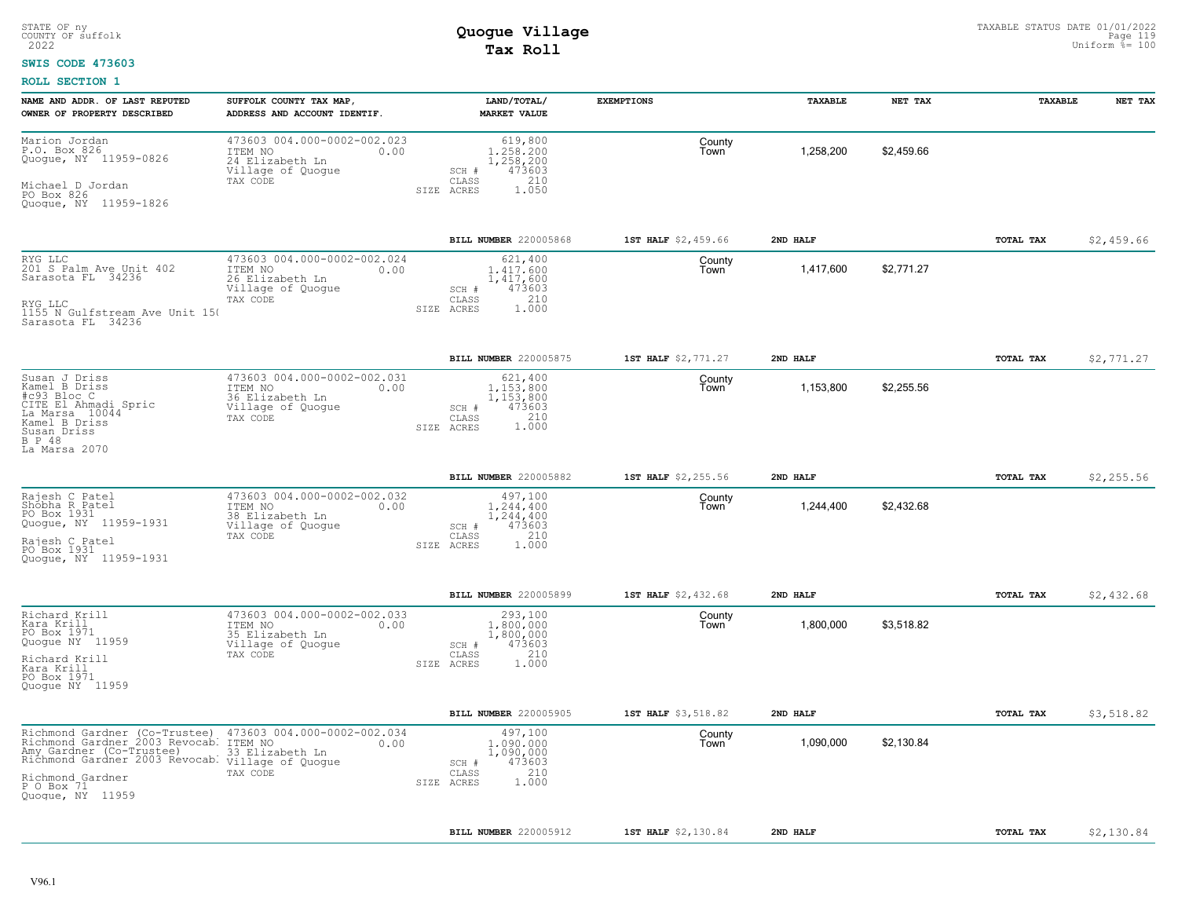### **SWIS CODE 473603**

| NAME AND ADDR. OF LAST REPUTED<br>OWNER OF PROPERTY DESCRIBED                                                                                                                                         | SUFFOLK COUNTY TAX MAP,<br>ADDRESS AND ACCOUNT IDENTIF.                                            | LAND/TOTAL/<br><b>MARKET VALUE</b>                                                          | <b>EXEMPTIONS</b>   | TAXABLE   | NET TAX    | TAXABLE   | NET TAX    |
|-------------------------------------------------------------------------------------------------------------------------------------------------------------------------------------------------------|----------------------------------------------------------------------------------------------------|---------------------------------------------------------------------------------------------|---------------------|-----------|------------|-----------|------------|
| Marion Jordan<br>P.O. Box 826<br>Quogue, NY 11959-0826<br>Michael D Jordan<br>PO Box 826<br>Quogue, NY 11959-1826                                                                                     | 473603 004.000-0002-002.023<br>ITEM NO<br>0.00<br>24 Elizabeth Ln<br>Village of Quogue<br>TAX CODE | 619,800<br>1,258,200<br>1,258,200<br>473603<br>SCH #<br>210<br>CLASS<br>SIZE ACRES<br>1.050 | County<br>Town      | 1,258,200 | \$2,459.66 |           |            |
|                                                                                                                                                                                                       |                                                                                                    | BILL NUMBER 220005868                                                                       | 1ST HALF \$2,459.66 | 2ND HALF  |            | TOTAL TAX | \$2,459.66 |
| RYG LLC<br>201 S Palm Ave Unit 402<br>Sarasota FL 34236<br>RYG LLC<br>1155 N Gulfstream Ave Unit 150<br>Sarasota FL 34236                                                                             | 473603 004.000-0002-002.024<br>ITEM NO<br>0.00<br>26 Elizabeth Ln<br>Village of Quogue<br>TAX CODE | 621,400<br>1.417.600<br>1,417,600<br>473603<br>SCH #<br>210<br>CLASS<br>1,000<br>SIZE ACRES | County<br>Town      | 1,417,600 | \$2,771.27 |           |            |
|                                                                                                                                                                                                       |                                                                                                    | BILL NUMBER 220005875                                                                       | 1ST HALF \$2,771.27 | 2ND HALF  |            | TOTAL TAX | \$2,771.27 |
| Susan J Driss<br>Kamel B Driss<br>#c93 Bloc C<br>CITE El Ahmadi Spric<br>La Marsa 10044<br>Kamel B Driss<br>Susan Driss<br>B P 48<br>La Marsa 2070                                                    | 473603 004.000-0002-002.031<br>ITEM NO<br>0.00<br>36 Elizabeth Ln<br>Village of Quogue<br>TAX CODE | 621,400<br>1,153,800<br>1,153,800<br>473603<br>SCH #<br>CLASS<br>210<br>1.000<br>SIZE ACRES | County<br>Town      | 1,153,800 | \$2,255.56 |           |            |
|                                                                                                                                                                                                       |                                                                                                    | BILL NUMBER 220005882                                                                       | 1ST HALF \$2,255.56 | 2ND HALF  |            | TOTAL TAX | \$2,255.56 |
| Rajesh C Patel<br>Shobha R Patel<br>PO Box 1931<br>Quogue, NY 11959-1931<br>Rajesh C Patel<br>PO Box 1931<br>Quoque, NY 11959-1931                                                                    | 473603 004.000-0002-002.032<br>ITEM NO<br>0.00<br>38 Elizabeth Ln<br>Village of Quogue<br>TAX CODE | 497,100<br>1,244,400<br>1,244,400<br>473603<br>SCH #<br>210<br>CLASS<br>1.000<br>SIZE ACRES | County<br>Town      | 1,244,400 | \$2,432.68 |           |            |
|                                                                                                                                                                                                       |                                                                                                    | BILL NUMBER 220005899                                                                       | 1ST HALF \$2,432.68 | 2ND HALF  |            | TOTAL TAX | \$2,432.68 |
| Richard Krill<br>Kara Krill<br>PO Box 1971<br>Quogue NY 11959<br>Richard Krill<br>Kara Krill<br>PO Box 1971<br>Quogue NY 11959                                                                        | 473603 004.000-0002-002.033<br>ITEM NO<br>0.00<br>35 Elizabeth Ln<br>Village of Quogue<br>TAX CODE | 293,100<br>1,800,000<br>1,800,000<br>473603<br>SCH #<br>210<br>CLASS<br>SIZE ACRES<br>1.000 | County<br>Town      | 1,800,000 | \$3,518.82 |           |            |
|                                                                                                                                                                                                       |                                                                                                    | BILL NUMBER 220005905                                                                       | 1ST HALF \$3,518.82 | 2ND HALF  |            | TOTAL TAX | \$3,518.82 |
| Richmond Gardner (Co-Trustee)<br>Richmond Gardner 2003 Revocab.<br>Amy Gardner (Co-Trustee)<br>Richmond Gardner 2003 Revocab. Village of Quogue<br>Richmond Gardner<br>P 0 Box 71<br>Quogue, NY 11959 | 473603 004.000-0002-002.034<br>ITEM NO<br>0.00<br>33 Elizabeth Ln<br>TAX CODE                      | 497,100<br>1,090,000<br>1,090,000<br>473603<br>SCH #<br>210<br>CLASS<br>1.000<br>SIZE ACRES | County<br>Town      | 1,090,000 | \$2,130.84 |           |            |
|                                                                                                                                                                                                       |                                                                                                    | BILL NUMBER 220005912                                                                       | 1ST HALF \$2,130.84 | 2ND HALF  |            | TOTAL TAX | \$2,130.84 |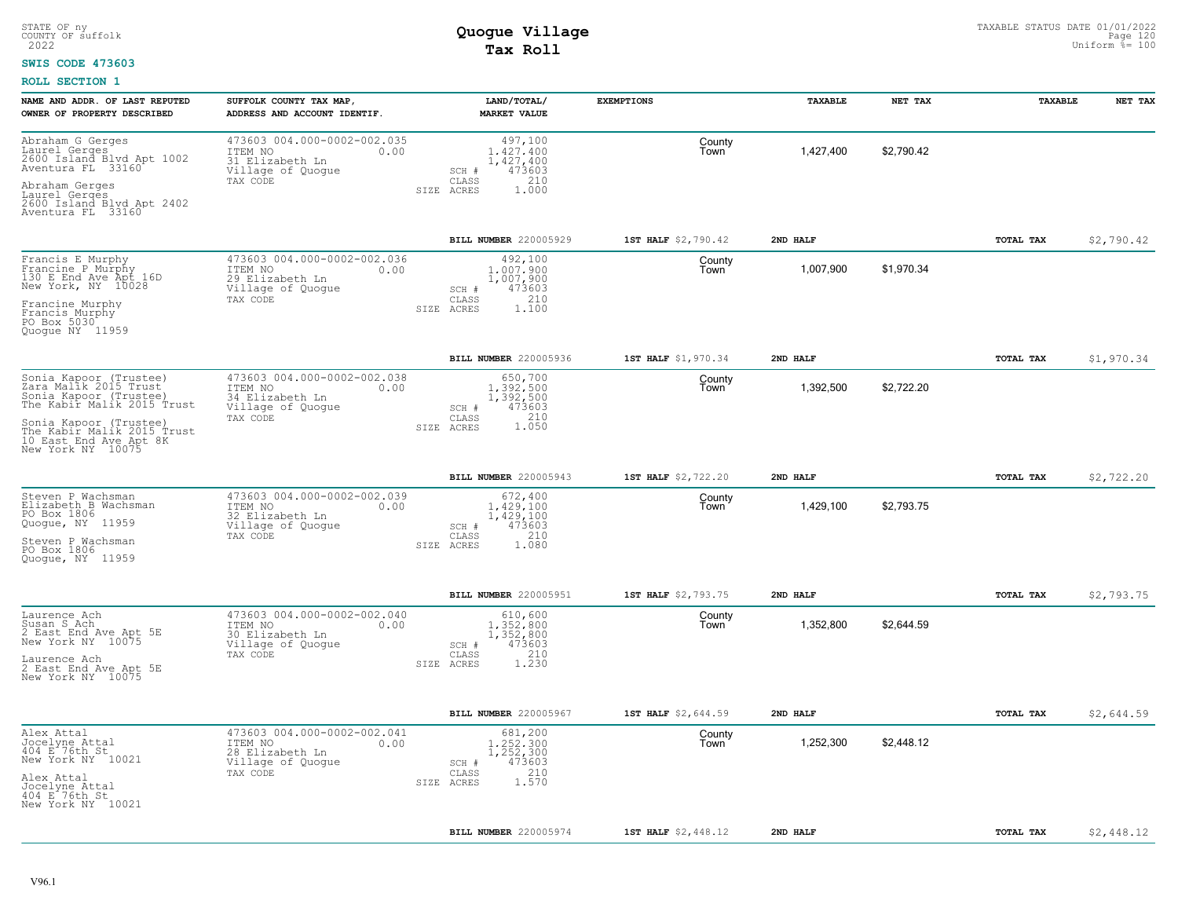#### **SWIS CODE 473603**

| NAME AND ADDR. OF LAST REPUTED<br>OWNER OF PROPERTY DESCRIBED                                                                                                                                                  | SUFFOLK COUNTY TAX MAP,<br>ADDRESS AND ACCOUNT IDENTIF.                                            | LAND/TOTAL/<br><b>MARKET VALUE</b>                                                                     | <b>EXEMPTIONS</b>   | TAXABLE   | NET TAX    | TAXABLE   | NET TAX    |
|----------------------------------------------------------------------------------------------------------------------------------------------------------------------------------------------------------------|----------------------------------------------------------------------------------------------------|--------------------------------------------------------------------------------------------------------|---------------------|-----------|------------|-----------|------------|
| Abraham G Gerges<br>Laurel Gerges<br>2600 Island Blvd Apt 1002<br>Aventura FL 33160<br>Abraham Gerges<br>Laurel Gerges<br>2600 Island Blvd Apt 2402<br>Aventura FL 33160                                       | 473603 004.000-0002-002.035<br>ITEM NO<br>0.00<br>31 Elizabeth Ln<br>Village of Quogue<br>TAX CODE | 497,100<br>1,427,400<br>1,427,400<br>473603<br>SCH #<br>210<br>CLASS<br>SIZE ACRES<br>1.000            | County<br>Town      | 1,427,400 | \$2,790.42 |           |            |
|                                                                                                                                                                                                                |                                                                                                    | BILL NUMBER 220005929                                                                                  | 1ST HALF \$2,790.42 | 2ND HALF  |            | TOTAL TAX | \$2,790.42 |
| Francis E Murphy<br>Francine P Murphy<br>130 E End Ave Apt 16D<br>New York, NY 10028<br>Francine Murphy<br>Francis Murphy<br>PO Box 5030<br>Quogue NY 11959                                                    | 473603 004.000-0002-002.036<br>ITEM NO<br>0.00<br>29 Elizabeth Ln<br>Village of Quogue<br>TAX CODE | 492,100<br>1,007,900<br>1,007,900<br>473603<br>SCH #<br>210<br>CLASS<br>1,100<br>SIZE ACRES            | County<br>Town      | 1,007,900 | \$1,970.34 |           |            |
|                                                                                                                                                                                                                |                                                                                                    | BILL NUMBER 220005936                                                                                  | 1ST HALF \$1,970.34 | 2ND HALF  |            | TOTAL TAX | \$1,970.34 |
| Sonia Kapoor (Trustee)<br>Zara Malik 2015 Trust<br>Sonia Kapoor (Trustee)<br>The Kabir Malik 2015 Trust<br>Sonia Kapoor (Trustee)<br>The Kabir Malik 2015 Trust<br>10 East End Ave Apt 8K<br>New York NY 10075 | 473603 004.000-0002-002.038<br>ITEM NO<br>0.00<br>34 Elizabeth Ln<br>Village of Quogue<br>TAX CODE | 650,700<br>1,392,500<br>1,392,500<br>473603<br>SCH #<br>210<br>CLASS<br>1.050<br>SIZE ACRES            | County<br>Town      | 1,392,500 | \$2,722.20 |           |            |
|                                                                                                                                                                                                                |                                                                                                    | BILL NUMBER 220005943                                                                                  | 1ST HALF \$2,722.20 | 2ND HALF  |            | TOTAL TAX | \$2,722.20 |
| Steven P Wachsman<br>Elizabeth B Wachsman<br>PO Box 1806<br>Quogue, NY 11959<br>Steven P Wachsman<br>PO Box 1806<br>Quoque, NY 11959                                                                           | 473603 004.000-0002-002.039<br>ITEM NO<br>0.00<br>32 Elizabeth Ln<br>Village of Quogue<br>TAX CODE | 672,400<br>1,429,100<br>1,429,100<br>473603<br>SCH #<br>210<br>CLASS<br>1.080<br>SIZE ACRES            | County<br>Town      | 1,429,100 | \$2,793.75 |           |            |
|                                                                                                                                                                                                                |                                                                                                    | BILL NUMBER 220005951                                                                                  | 1ST HALF \$2,793.75 | 2ND HALF  |            | TOTAL TAX | \$2,793.75 |
| Laurence Ach<br>Susan S Ach<br>2 East End Ave Apt 5E<br>New York NY 10075<br>Laurence Ach<br>2 East End Ave Apt 5E<br>New York NY 10075                                                                        | 473603 004.000-0002-002.040<br>ITEM NO<br>0.00<br>30 Elizabeth Ln<br>Village of Quogue<br>TAX CODE | 610,600<br>1,352,800<br>1,352,800<br>473603<br>SCH #<br>$\mathtt{CLASS}$<br>210<br>SIZE ACRES<br>1.230 | County<br>Town      | 1,352,800 | \$2,644.59 |           |            |
|                                                                                                                                                                                                                |                                                                                                    | <b>BILL NUMBER 220005967</b>                                                                           | 1ST HALF \$2,644.59 | 2ND HALF  |            | TOTAL TAX | \$2,644.59 |
| Alex Attal<br>Jocelyne Attal<br>404 E 76th St<br>New York NY 10021<br>Alex Attal<br>Jocelyne Attal<br>404 E 76th St<br>New York NY 10021                                                                       | 473603 004.000-0002-002.041<br>ITEM NO<br>0.00<br>28 Elizabeth Ln<br>Village of Quogue<br>TAX CODE | 681,200<br>1.252.300<br>1,252,300<br>473603<br>SCH #<br>210<br>CLASS<br>1.570<br>SIZE ACRES            | County<br>Town      | 1,252,300 | \$2,448.12 |           |            |
|                                                                                                                                                                                                                |                                                                                                    | BILL NUMBER 220005974                                                                                  | 1ST HALF \$2,448.12 | 2ND HALF  |            | TOTAL TAX | \$2,448.12 |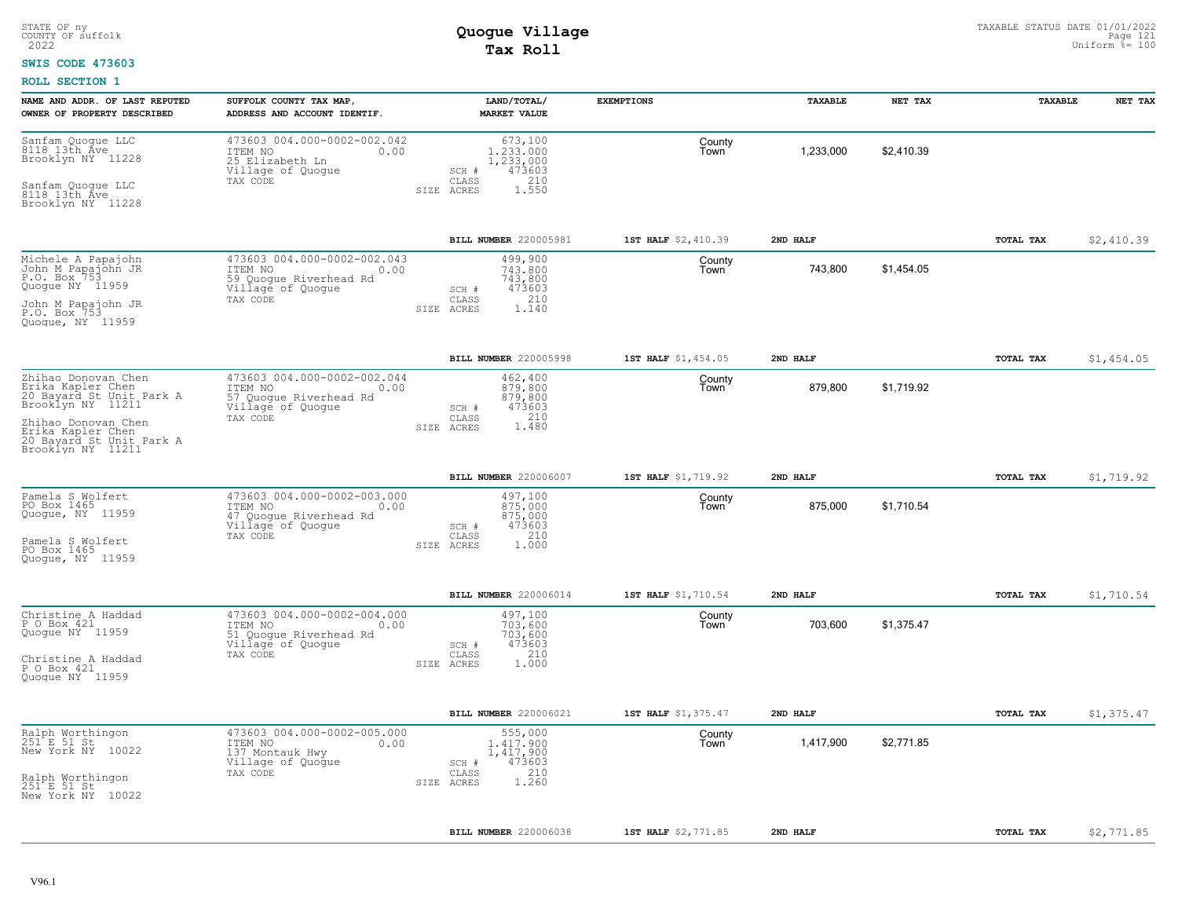#### **SWIS CODE 473603**

| 473603 004.000-0002-002.042<br>Sanfam Quogue LLC<br>8118 13th Ave<br>673,100<br>County<br>1,233,000<br>\$2,410.39<br>1,233,000<br>ITEM NO<br>0.00<br>Town<br>Brooklyn NY 11228<br>25 Elizabeth Ln<br>1,233,000<br>Village of Quogue<br>473603<br>SCH #<br>210<br>TAX CODE<br>CLASS<br>Sanfam Quoque LLC<br>8118 13th Ave<br>1.550<br>SIZE ACRES<br>Brooklyn NY 11228<br>BILL NUMBER 220005981<br>1ST HALF \$2,410.39<br>TOTAL TAX<br>2ND HALF<br>473603 004.000-0002-002.043<br>Michele A Papajohn<br>499,900<br>County<br>John M Papajohn JR<br>P.O. Box 753<br>743,800<br>743,800<br>\$1,454.05<br>ITEM NO<br>0.00<br>Town<br>59 Quogue Riverhead Rd<br>743,800<br>Quogue NY 11959<br>Village of Quogue<br>473603<br>SCH #<br>210<br>CLASS<br>TAX CODE<br>John M Papajohn JR<br>P.O. Box 753<br>SIZE ACRES<br>1.140<br>Quoque, NY 11959<br>BILL NUMBER 220005998<br>1ST HALF \$1,454.05<br>2ND HALF<br>TOTAL TAX<br>Zhihao Donovan Chen<br>473603 004.000-0002-002.044<br>462,400<br>County<br>Erika Kapler Chen<br>20 Bayard St Unit Park A<br>879,800<br>\$1.719.92<br>ITEM NO<br>0.00<br>879,800<br>Town<br>57 Quogue Riverhead Rd<br>879,800<br>Brooklyn NY 11211<br>Village of Quogue<br>473603<br>SCH #<br>TAX CODE<br>CLASS<br>210 |            |
|---------------------------------------------------------------------------------------------------------------------------------------------------------------------------------------------------------------------------------------------------------------------------------------------------------------------------------------------------------------------------------------------------------------------------------------------------------------------------------------------------------------------------------------------------------------------------------------------------------------------------------------------------------------------------------------------------------------------------------------------------------------------------------------------------------------------------------------------------------------------------------------------------------------------------------------------------------------------------------------------------------------------------------------------------------------------------------------------------------------------------------------------------------------------------------------------------------------------------------------------|------------|
|                                                                                                                                                                                                                                                                                                                                                                                                                                                                                                                                                                                                                                                                                                                                                                                                                                                                                                                                                                                                                                                                                                                                                                                                                                             |            |
|                                                                                                                                                                                                                                                                                                                                                                                                                                                                                                                                                                                                                                                                                                                                                                                                                                                                                                                                                                                                                                                                                                                                                                                                                                             | \$2,410.39 |
|                                                                                                                                                                                                                                                                                                                                                                                                                                                                                                                                                                                                                                                                                                                                                                                                                                                                                                                                                                                                                                                                                                                                                                                                                                             |            |
|                                                                                                                                                                                                                                                                                                                                                                                                                                                                                                                                                                                                                                                                                                                                                                                                                                                                                                                                                                                                                                                                                                                                                                                                                                             | \$1,454.05 |
| Zhihao Donovan Chen<br>Erika Kapler Chen<br>1.480<br>SIZE ACRES<br>20 Bayard St Unit Park A<br>Brooklyn NY 11211                                                                                                                                                                                                                                                                                                                                                                                                                                                                                                                                                                                                                                                                                                                                                                                                                                                                                                                                                                                                                                                                                                                            |            |
| BILL NUMBER 220006007<br>1ST HALF \$1,719.92<br>2ND HALF<br>TOTAL TAX                                                                                                                                                                                                                                                                                                                                                                                                                                                                                                                                                                                                                                                                                                                                                                                                                                                                                                                                                                                                                                                                                                                                                                       | \$1,719.92 |
| Pamela S Wolfert<br>473603 004.000-0002-003.000<br>497,100<br>County<br>PO Box 1465<br>875,000<br>\$1,710.54<br>ITEM NO<br>875,000<br>Town<br>0.00<br>Quogue, NY 11959<br>47 Quogue Riverhead Rd<br>875,000<br>473603<br>Village of Quogue<br>SCH #<br>210<br>TAX CODE<br>CLASS<br>Pamela S Wolfert<br>1.000<br>SIZE ACRES<br>PO Box 1465<br>Quoque, NY 11959                                                                                                                                                                                                                                                                                                                                                                                                                                                                                                                                                                                                                                                                                                                                                                                                                                                                               |            |
| BILL NUMBER 220006014<br>1ST HALF \$1,710.54<br>2ND HALF<br><b>TOTAL TAX</b>                                                                                                                                                                                                                                                                                                                                                                                                                                                                                                                                                                                                                                                                                                                                                                                                                                                                                                                                                                                                                                                                                                                                                                | \$1,710.54 |
| 473603 004.000-0002-004.000<br>Christine A Haddad<br>497,100<br>County<br>P O Box 421<br>703,600<br>\$1.375.47<br>ITEM NO<br>0.00<br>703,600<br>Town<br>Quoque NY 11959<br>703,600<br>51 Quogue Riverhead Rd<br>Village of Quogue<br>473603<br>SCH #<br>210<br>TAX CODE<br>CLASS<br>Christine A Haddad<br>1.000<br>SIZE ACRES<br>P O Box 421<br>Quogue NY 11959                                                                                                                                                                                                                                                                                                                                                                                                                                                                                                                                                                                                                                                                                                                                                                                                                                                                             |            |
| BILL NUMBER 220006021<br>1ST HALF \$1,375.47<br>2ND HALF<br>TOTAL TAX                                                                                                                                                                                                                                                                                                                                                                                                                                                                                                                                                                                                                                                                                                                                                                                                                                                                                                                                                                                                                                                                                                                                                                       | \$1,375.47 |
| 473603 004.000-0002-005.000<br>Ralph Worthingon<br>251 E 51 St<br>555,000<br>County<br>\$2,771.85<br>1,417,900<br>ITEM NO<br>0.00<br>1,417,900<br>Town<br>New York NY 10022<br>137 Montauk Hwy<br>1, 417, 900<br>Village of Quogue<br>473603<br>SCH #<br>210<br>TAX CODE<br>CLASS<br>Ralph Worthingon<br>251 E 51 St<br>1.260<br>SIZE ACRES<br>New York NY 10022                                                                                                                                                                                                                                                                                                                                                                                                                                                                                                                                                                                                                                                                                                                                                                                                                                                                            |            |
| <b>BILL NUMBER 220006038</b><br>1ST HALF \$2,771.85<br>2ND HALF<br>TOTAL TAX<br>\$2,771.85                                                                                                                                                                                                                                                                                                                                                                                                                                                                                                                                                                                                                                                                                                                                                                                                                                                                                                                                                                                                                                                                                                                                                  |            |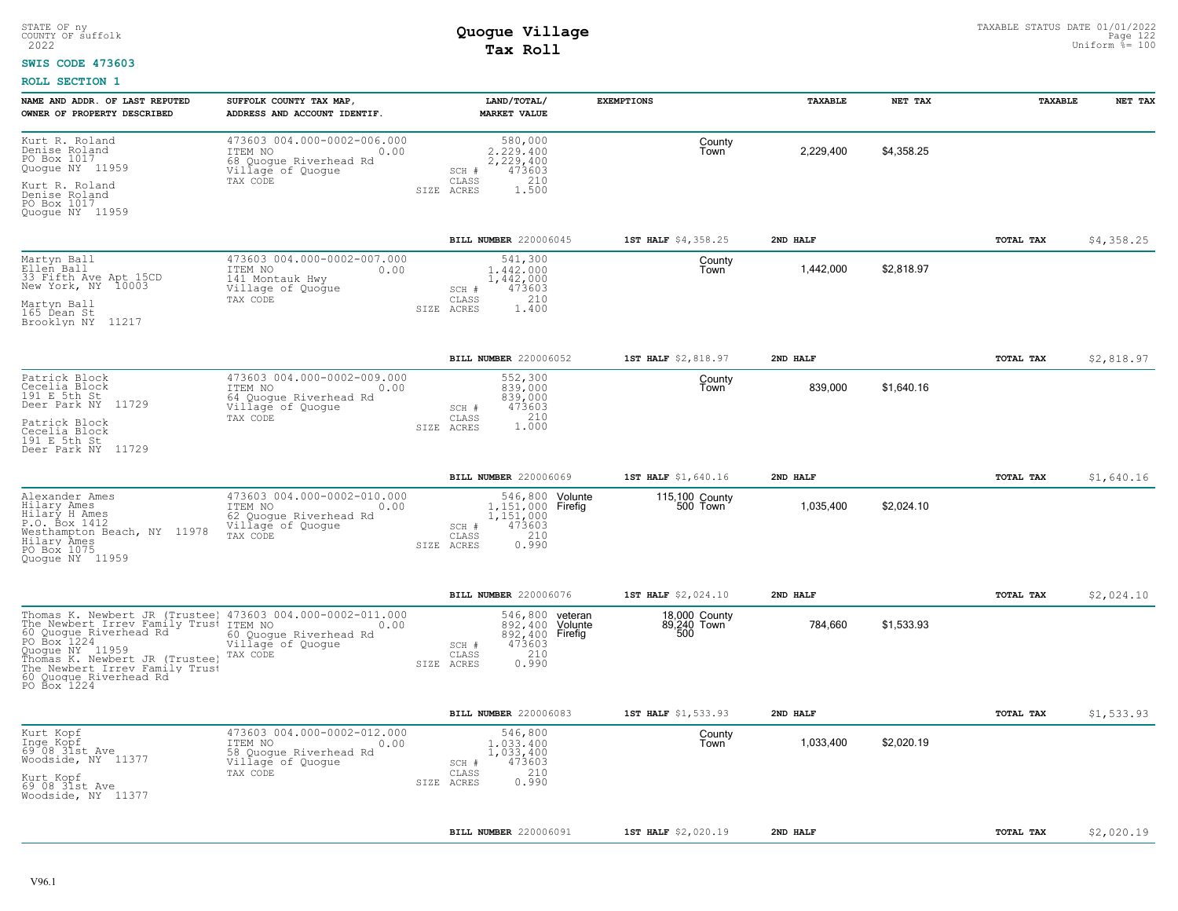#### **SWIS CODE 473603**

| NAME AND ADDR. OF LAST REPUTED<br>OWNER OF PROPERTY DESCRIBED                                                                                                                                                                             | SUFFOLK COUNTY TAX MAP,<br>ADDRESS AND ACCOUNT IDENTIF.                                                   |            | LAND/TOTAL/<br><b>MARKET VALUE</b>                                                                | <b>EXEMPTIONS</b>            | <b>TAXABLE</b> | NET TAX    | <b>TAXABLE</b> | NET TAX    |
|-------------------------------------------------------------------------------------------------------------------------------------------------------------------------------------------------------------------------------------------|-----------------------------------------------------------------------------------------------------------|------------|---------------------------------------------------------------------------------------------------|------------------------------|----------------|------------|----------------|------------|
| Kurt R. Roland<br>Denise Roland<br>PO Box 1017<br>Quogue NY 11959<br>Kurt R. Roland                                                                                                                                                       | 473603 004.000-0002-006.000<br>ITEM NO<br>0.00<br>68 Quogue Riverhead Rd<br>Village of Quogue<br>TAX CODE |            | 580,000<br>2.229.400<br>2, 229, 400<br>473603<br>SCH #<br>210<br>CLASS                            | County<br>Town               | 2,229,400      | \$4.358.25 |                |            |
| Denise Roland<br>PO Box 1017<br>Quoque NY 11959                                                                                                                                                                                           |                                                                                                           |            | 1,500<br>SIZE ACRES                                                                               |                              |                |            |                |            |
|                                                                                                                                                                                                                                           |                                                                                                           |            | BILL NUMBER 220006045                                                                             | 1ST HALF \$4,358.25          | 2ND HALF       |            | TOTAL TAX      | \$4,358.25 |
| Martyn Ball<br>Ellen Ball<br>33 Fifth Ave Apt 15CD<br>New York, NY 10003                                                                                                                                                                  | 473603 004.000-0002-007.000<br>ITEM NO<br>0.00<br>141 Montauk Hwy<br>Village of Quogue                    |            | 541,300<br>1,442,000<br>1,442,000<br>473603<br>SCH #<br>210<br>CLASS                              | County<br>Town               | 1,442,000      | \$2,818.97 |                |            |
| Martyn Ball<br>165 Dean St<br>Brooklyn NY 11217                                                                                                                                                                                           | TAX CODE                                                                                                  |            | SIZE ACRES<br>1.400                                                                               |                              |                |            |                |            |
|                                                                                                                                                                                                                                           |                                                                                                           |            | BILL NUMBER 220006052                                                                             | 1ST HALF \$2,818.97          | 2ND HALF       |            | TOTAL TAX      | \$2,818.97 |
| Patrick Block<br>Cecelia Block<br>191 E 5th St<br>Deer Park NY 11729                                                                                                                                                                      | 473603 004.000-0002-009.000<br>ITEM NO<br>0.00<br>64 Quogue Riverhead Rd<br>Village of Quogue             |            | 552,300<br>839,000<br>839,000<br>473603<br>SCH #                                                  | County<br>Town               | 839,000        | \$1,640.16 |                |            |
| Patrick Block<br>Cecelia Block<br>191 E 5th St<br>Deer Park NY 11729                                                                                                                                                                      | TAX CODE                                                                                                  | SIZE ACRES | 1.000<br>$\mathtt{CLASS}$                                                                         |                              |                |            |                |            |
|                                                                                                                                                                                                                                           |                                                                                                           |            | <b>BILL NUMBER 220006069</b>                                                                      | 1ST HALF \$1,640.16          | 2ND HALF       |            | TOTAL TAX      | \$1,640.16 |
| Alexander Ames<br>Hilary Ames<br>Hilary H Ames<br>P.O. Box 1412<br>Westhampton Beach, NY 11978<br>Hilary Ames<br>PO Box 1075<br>Quoque NY 11959                                                                                           | 473603 004.000-0002-010.000<br>ITEM NO<br>0.00<br>62 Quogue Riverhead Rd<br>Village of Quogue<br>TAX CODE | SIZE ACRES | 546,800 Volunte<br>1,151,000 Firefig<br>1,151,000<br>473603<br>SCH #<br>210<br>CLASS<br>0.990     | 115,100 County<br>500 Town   | 1,035,400      | \$2,024.10 |                |            |
|                                                                                                                                                                                                                                           |                                                                                                           |            | BILL NUMBER 220006076                                                                             | 1ST HALF \$2,024.10          | 2ND HALF       |            | TOTAL TAX      | \$2,024.10 |
| Thomas K. Newbert JR (Trustee)<br>The Newbert Irrev Family Trusi<br>60 Quogue Riverhead Rd<br>PO Box 1224<br>Quogue NY 11959<br>Thomas K. Newbert JR (Trustee)<br>The Newbert Irrev Family Trust<br>60 Quoque Riverhead Rd<br>PO Box 1224 | 473603 004.000-0002-011.000<br>ITEM NO<br>0.00<br>60 Quogue Riverhead Rd<br>Village of Quogue<br>TAX CODE | SIZE ACRES | 546,800 veteran<br>892,400 Volunte<br>892,400 Firefig<br>473603<br>SCH #<br>210<br>CLASS<br>0.990 | 18,000 County<br>89,240 Town | 784,660        | \$1,533.93 |                |            |
|                                                                                                                                                                                                                                           |                                                                                                           |            | <b>BILL NUMBER 220006083</b>                                                                      | 1ST HALF \$1,533.93          | 2ND HALF       |            | TOTAL TAX      | \$1,533.93 |
| Kurt Kopf<br>Inge Kopf<br>69 08 31st Ave<br>Woodside, NY 11377<br>Kurt Kopf                                                                                                                                                               | 473603 004.000-0002-012.000<br>ITEM NO<br>0.00<br>58 Quogue Riverhead Rd<br>Village of Quoque<br>TAX CODE | SIZE ACRES | 546,800<br>1,033,400<br>1,033,400<br>473603<br>SCH #<br>210<br>CLASS<br>0.990                     | County<br>Town               | 1,033,400      | \$2,020.19 |                |            |
| 69 08 31st Ave<br>Woodside, NY 11377                                                                                                                                                                                                      |                                                                                                           |            |                                                                                                   |                              |                |            |                |            |
|                                                                                                                                                                                                                                           |                                                                                                           |            | <b>BILL NUMBER 220006091</b>                                                                      | 1ST HALF \$2,020.19          | 2ND HALF       |            | TOTAL TAX      | \$2,020.19 |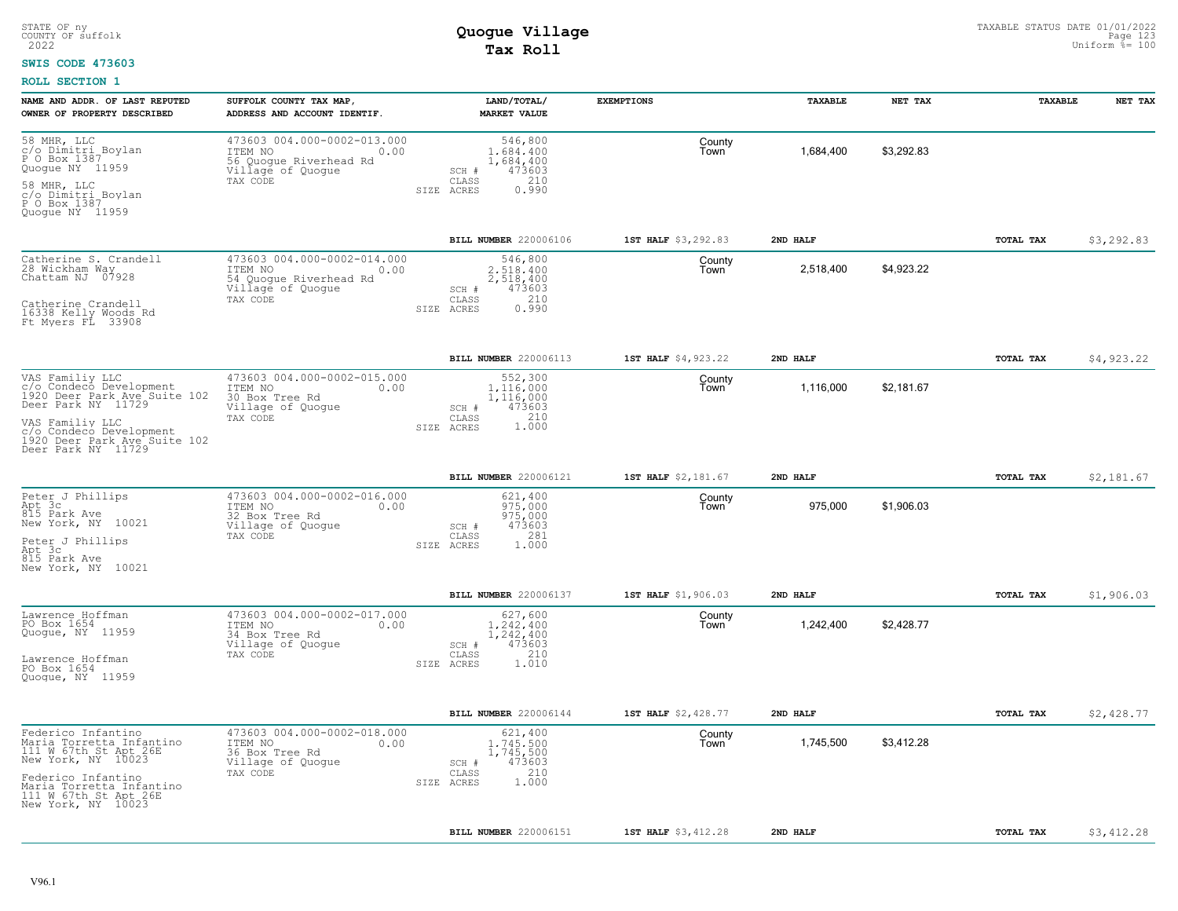#### **SWIS CODE 473603**

| NAME AND ADDR. OF LAST REPUTED                                                                   | SUFFOLK COUNTY TAX MAP,                                                                                   | LAND/TOTAL/                                                                 | <b>EXEMPTIONS</b>   | TAXABLE   | NET TAX    | TAXABLE          | NET TAX    |
|--------------------------------------------------------------------------------------------------|-----------------------------------------------------------------------------------------------------------|-----------------------------------------------------------------------------|---------------------|-----------|------------|------------------|------------|
| OWNER OF PROPERTY DESCRIBED                                                                      | ADDRESS AND ACCOUNT IDENTIF.                                                                              | <b>MARKET VALUE</b>                                                         |                     |           |            |                  |            |
| 58 MHR, LLC<br>c/o Dimitri_Boylan<br>P O Box 1387<br>Quoque NY 11959                             | 473603 004.000-0002-013.000<br>ITEM NO<br>0.00<br>56 Quogue Riverhead Rd<br>Village of Quogue             | 546,800<br>1,684,400<br>1,684,400<br>473603<br>SCH #                        | County<br>Town      | 1,684,400 | \$3,292.83 |                  |            |
| 58 MHR, LLC<br>c/o Dimitri_Boylan<br>P O Box 1387<br>Quoque NY 11959                             | TAX CODE                                                                                                  | 210<br>CLASS<br>0.990<br>SIZE ACRES                                         |                     |           |            |                  |            |
|                                                                                                  |                                                                                                           | BILL NUMBER 220006106                                                       | 1ST HALF \$3,292.83 | 2ND HALF  |            | <b>TOTAL TAX</b> | \$3,292.83 |
| Catherine S. Crandell<br>28 Wickham Way<br>Chattam NJ 07928                                      | 473603 004.000-0002-014.000<br>ITEM NO<br>0.00<br>54 Quogue Riverhead Rd<br>Village of Quoque<br>TAX CODE | 546,800<br>2,518,400<br>2,518,400<br>SCH #<br>473603<br>210<br>CLASS        | County<br>Town      | 2,518,400 | \$4.923.22 |                  |            |
| Catherine Crandell<br>16338 Kelly Woods Rd<br>Ft Myers FL 33908                                  |                                                                                                           | 0.990<br>SIZE ACRES                                                         |                     |           |            |                  |            |
|                                                                                                  |                                                                                                           | BILL NUMBER 220006113                                                       | 1ST HALF \$4,923.22 | 2ND HALF  |            | TOTAL TAX        | \$4,923.22 |
| VAS Familiy LLC<br>c/o Condecó Development<br>1920 Deer Park Ave Suite 102<br>Deer Park NY 11729 | 473603 004.000-0002-015.000<br>ITEM NO<br>0.00<br>30 Box Tree Rd<br>Village of Quogue                     | 552,300<br>1,116,000<br>1,116,000<br>473603<br>SCH #                        | County<br>Town      | 1,116,000 | \$2,181.67 |                  |            |
| VAS Familiy LLC<br>c/o Condeco Development<br>1920 Deer Park Ave Suite 102<br>Deer Park NY 11729 | TAX CODE                                                                                                  | 1.000<br>$\mathtt{CLASS}$<br>SIZE ACRES                                     |                     |           |            |                  |            |
|                                                                                                  |                                                                                                           | BILL NUMBER 220006121                                                       | 1ST HALF \$2,181.67 | 2ND HALF  |            | TOTAL TAX        | \$2,181.67 |
| Peter J Phillips<br>Apt 3c<br>815 Park Ave<br>New York, NY 10021                                 | 473603 004.000-0002-016.000<br>ITEM NO<br>0.00<br>32 Box Tree Rd<br>Village of Quoque<br>TAX CODE         | 621,400<br>975,000<br>975,000<br>473603<br>SCH #<br>281<br>$\mathtt{CLASS}$ | County<br>Town      | 975,000   | \$1,906.03 |                  |            |
| Peter J Phillips<br>Apt 3c<br>815 Park Ave<br>New York, NY 10021                                 |                                                                                                           | 1.000<br>SIZE ACRES                                                         |                     |           |            |                  |            |
|                                                                                                  |                                                                                                           | BILL NUMBER 220006137                                                       | 1ST HALF \$1,906.03 | 2ND HALF  |            | TOTAL TAX        | \$1,906.03 |
| Lawrence Hoffman<br>PO Box 1654<br>Quogue, NY 11959                                              | 473603 004.000-0002-017.000<br>ITEM NO<br>0.00<br>34 Box Tree Rd<br>Village of Quogue<br>TAX CODE         | 627,600<br>1,242,400<br>1,242,400<br>473603<br>SCH #<br>210<br>CLASS        | County<br>Town      | 1,242,400 | \$2,428.77 |                  |            |
| Lawrence Hoffman<br>PO Box 1654<br>Quoque, NY 11959                                              |                                                                                                           | 1.010<br>SIZE ACRES                                                         |                     |           |            |                  |            |
|                                                                                                  |                                                                                                           | BILL NUMBER 220006144                                                       | 1ST HALF \$2,428.77 | 2ND HALF  |            | TOTAL TAX        | \$2,428.77 |
| Federico Infantino<br>Maria Torretta Infantino<br>111 W 67th St Apt 26E<br>New York, NY 10023    | 473603 004.000-0002-018.000<br>ITEM NO<br>0.00<br>36 Box Tree Rd                                          | 621,400<br>1,745,500<br>1,745,500                                           | County<br>Town      | 1,745,500 | \$3,412.28 |                  |            |
| Federico Infantino                                                                               | Village of Quogue<br>TAX CODE                                                                             | 473603<br>SCH #<br>210<br>CLASS<br>1.000<br>SIZE ACRES                      |                     |           |            |                  |            |
| Maria Torretta Infantino<br>111 W 67th St Apt 26E<br>New York, NY 10023                          |                                                                                                           |                                                                             |                     |           |            |                  |            |
|                                                                                                  |                                                                                                           | BILL NUMBER 220006151                                                       | 1ST HALF \$3,412.28 | 2ND HALF  |            | <b>TOTAL TAX</b> | \$3,412.28 |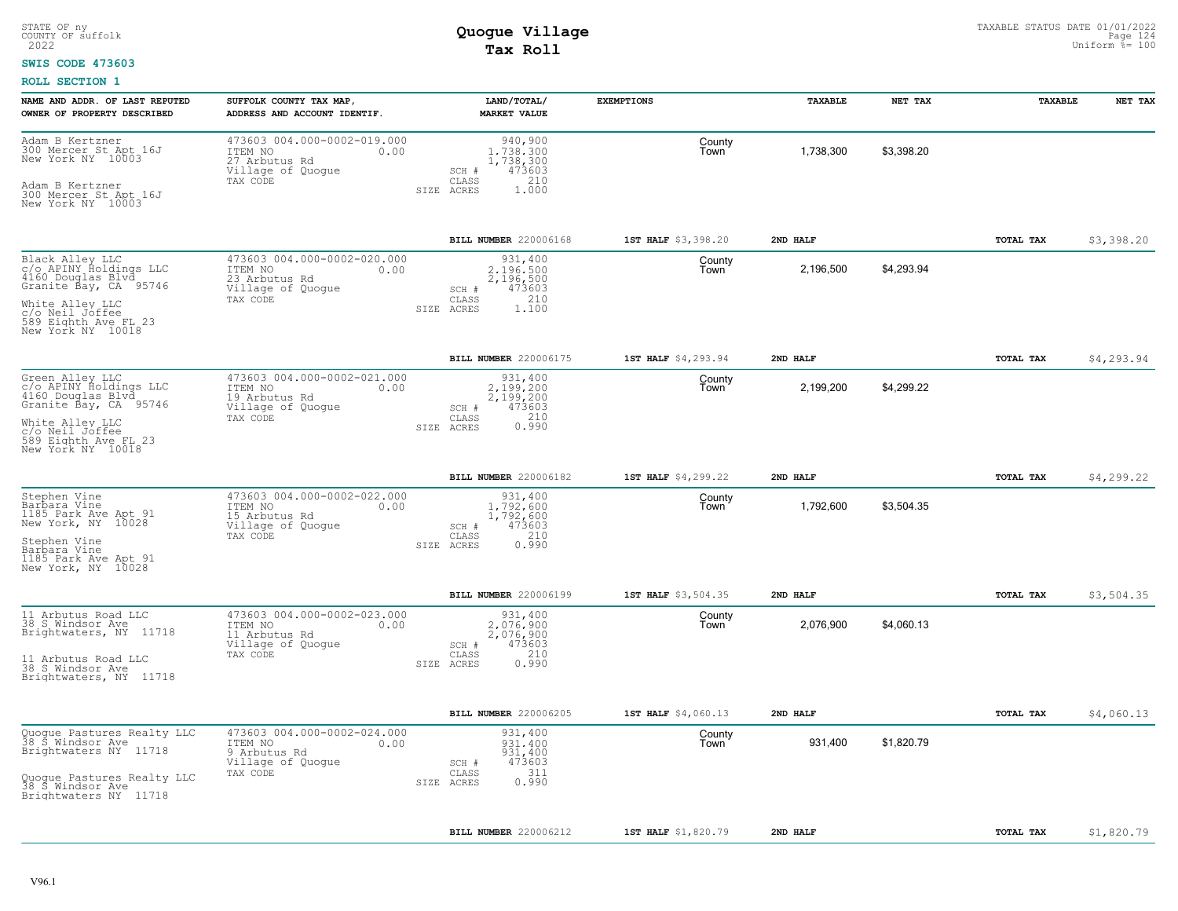### **SWIS CODE 473603**

| NAME AND ADDR. OF LAST REPUTED                                                          | SUFFOLK COUNTY TAX MAP,                                                                          | LAND/TOTAL/                                                                                 | <b>EXEMPTIONS</b>   | TAXABLE   | NET TAX    | TAXABLE   | NET TAX    |
|-----------------------------------------------------------------------------------------|--------------------------------------------------------------------------------------------------|---------------------------------------------------------------------------------------------|---------------------|-----------|------------|-----------|------------|
| OWNER OF PROPERTY DESCRIBED                                                             | ADDRESS AND ACCOUNT IDENTIF.                                                                     | <b>MARKET VALUE</b>                                                                         |                     |           |            |           |            |
| Adam B Kertzner<br>300 Mercer St Apt 16J<br>New York NY 10003<br>Adam B Kertzner        | 473603 004.000-0002-019.000<br>ITEM NO<br>0.00<br>27 Arbutus Rd<br>Village of Quogue<br>TAX CODE | 940,900<br>1,738,300<br>1,738,300<br>473603<br>SCH #<br>210<br>CLASS<br>SIZE ACRES<br>1.000 | County<br>Town      | 1,738,300 | \$3,398.20 |           |            |
| 300 Mercer St Apt 16J<br>New York NY 10003                                              |                                                                                                  |                                                                                             |                     |           |            |           |            |
|                                                                                         |                                                                                                  | BILL NUMBER 220006168                                                                       | 1ST HALF \$3,398.20 | 2ND HALF  |            | TOTAL TAX | \$3,398.20 |
| Black Alley LLC<br>c/o APINY Holdings LLC<br>4160 Douglas Blvd<br>Granite Bay, CA 95746 | 473603 004.000-0002-020.000<br>ITEM NO<br>0.00<br>23 Arbutus Rd<br>Village of Quogue             | 931,400<br>2.196.500<br>2,196,500<br>473603<br>SCH #                                        | County<br>Town      | 2,196,500 | \$4.293.94 |           |            |
| White Alley LLC<br>c/o Neil Joffee<br>589 Eighth Ave FL 23<br>New York NY 10018         | TAX CODE<br>SIZE                                                                                 | 210<br>CLASS<br>ACRES<br>1,100                                                              |                     |           |            |           |            |
|                                                                                         |                                                                                                  | BILL NUMBER 220006175                                                                       | 1ST HALF \$4,293.94 | 2ND HALF  |            | TOTAL TAX | \$4,293.94 |
| Green Alley LLC<br>c/o APINY Holdings LLC<br>4160 Douglas Blvd<br>Granite Bay, CA 95746 | 473603 004.000-0002-021.000<br>ITEM NO<br>0.00<br>19 Arbutus Rd<br>Village of Quogue<br>TAX CODE | 931,400<br>2,199,200<br>2,199,200<br>473603<br>SCH #<br>CLASS                               | County<br>Town      | 2,199,200 | \$4,299.22 |           |            |
| White Alley LLC<br>c/o Neil Joffee<br>589 Eighth Ave FL 23<br>New York NY 10018         |                                                                                                  | $0.210$<br>$0.990$<br>SIZE ACRES                                                            |                     |           |            |           |            |
|                                                                                         |                                                                                                  | BILL NUMBER 220006182                                                                       | 1ST HALF \$4,299.22 | 2ND HALF  |            | TOTAL TAX | \$4,299.22 |
| Stephen Vine<br>Barbara Vine<br>1185 Park Ave Apt 91<br>New York, NY 10028              | 473603 004.000-0002-022.000<br>ITEM NO<br>0.00<br>15 Arbutus Rd<br>Village of Quogue<br>TAX CODE | 931,400<br>1,792,600<br>1,792,600<br>473603<br>SCH #<br>210<br>CLASS                        | County<br>Town      | 1,792,600 | \$3,504.35 |           |            |
| Stephen Vine<br>Barbara Vine<br>1185 Park Ave Apt 91<br>New York, NY 10028              |                                                                                                  | 0.990<br>SIZE ACRES                                                                         |                     |           |            |           |            |
|                                                                                         |                                                                                                  | BILL NUMBER 220006199                                                                       | 1ST HALF \$3,504.35 | 2ND HALF  |            | TOTAL TAX | \$3,504.35 |
| 11 Arbutus Road LLC<br>38 S Windsor Ave<br>Brightwaters, NY 11718                       | 473603 004.000-0002-023.000<br>ITEM NO<br>0.00<br>11 Arbutus Rd<br>Village of Quogue             | 931,400<br>2,076,900<br>2,076,900<br>473603<br>SCH #<br>210                                 | County<br>Town      | 2,076,900 | \$4,060.13 |           |            |
| 11 Arbutus Road LLC<br>38 S Windsor Ave<br>Brightwaters, NY 11718                       | TAX CODE                                                                                         | CLASS<br>SIZE ACRES<br>0.990                                                                |                     |           |            |           |            |
|                                                                                         |                                                                                                  | BILL NUMBER 220006205                                                                       | 1ST HALF \$4,060.13 | 2ND HALF  |            | TOTAL TAX | \$4,060.13 |
| Quogue Pastures Realty LLC<br>38 S Windsor Ave<br>Brightwaters NY 11718                 | 473603 004.000-0002-024.000<br>ITEM NO<br>0.00<br>9 Arbutus Rd<br>Village of Quogue              | 931,400<br>931,400<br>931,400<br>473603<br>SCH #                                            | County<br>Town      | 931,400   | \$1,820.79 |           |            |
| Quoque Pastures Realty LLC<br>38 S Windsor Ave<br>Brightwaters NY 11718                 | TAX CODE                                                                                         | 311<br>CLASS<br>0.990<br>SIZE ACRES                                                         |                     |           |            |           |            |
|                                                                                         |                                                                                                  | BILL NUMBER 220006212                                                                       | 1ST HALF \$1,820.79 | 2ND HALF  |            | TOTAL TAX | \$1,820.79 |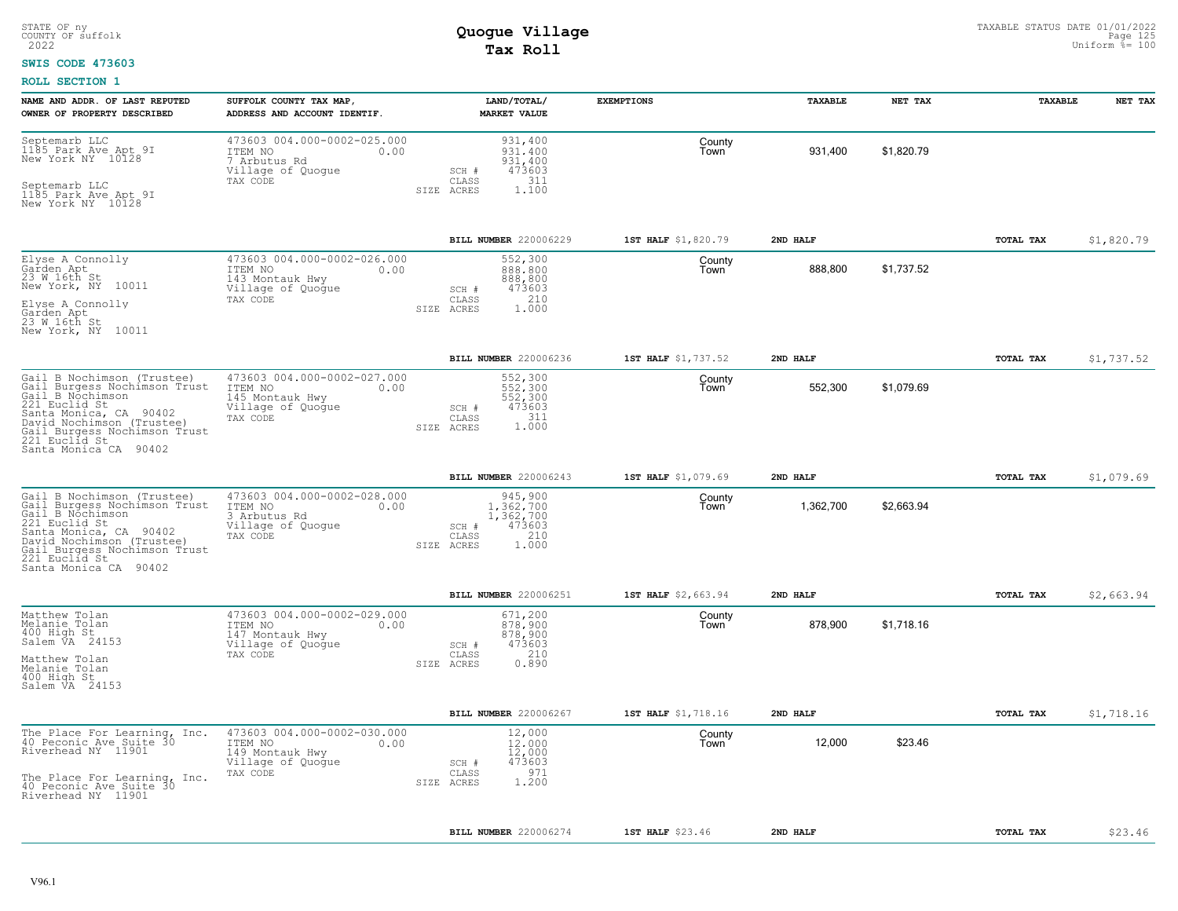#### **SWIS CODE 473603**

| NAME AND ADDR. OF LAST REPUTED<br>OWNER OF PROPERTY DESCRIBED                                                                                                                                                                    | SUFFOLK COUNTY TAX MAP,<br>ADDRESS AND ACCOUNT IDENTIF.                                            | LAND/TOTAL/<br><b>MARKET VALUE</b>                                                                 | <b>EXEMPTIONS</b>   | TAXABLE   | NET TAX    | TAXABLE   | NET TAX    |
|----------------------------------------------------------------------------------------------------------------------------------------------------------------------------------------------------------------------------------|----------------------------------------------------------------------------------------------------|----------------------------------------------------------------------------------------------------|---------------------|-----------|------------|-----------|------------|
| Septemarb LLC<br>1185 Park Ave Apt 9I<br>New York NY 10128<br>Septemarb LLC<br>1185 Park Ave Apt 9I<br>New York NY 10128                                                                                                         | 473603 004.000-0002-025.000<br>ITEM NO<br>0.00<br>7 Arbutus Rd<br>Village of Quogue<br>TAX CODE    | 931,400<br>931,400<br>931,400<br>473603<br>SCH #<br>311<br>CLASS<br>1,100<br>SIZE ACRES            | County<br>Town      | 931,400   | \$1,820.79 |           |            |
|                                                                                                                                                                                                                                  |                                                                                                    | BILL NUMBER 220006229                                                                              | 1ST HALF \$1,820.79 | 2ND HALF  |            | TOTAL TAX | \$1,820.79 |
| Elyse A Connolly<br>Garden Apt<br>23 W 16th St<br>New York, NY 10011<br>Elyse A Connolly<br>Garden Apt<br>23 W 16th St<br>New York, NY 10011                                                                                     | 473603 004.000-0002-026.000<br>ITEM NO<br>0.00<br>143 Montauk Hwy<br>Village of Quogue<br>TAX CODE | 552,300<br>888,800<br>888,800<br>473603<br>SCH #<br>210<br>CLASS<br>1,000<br>SIZE ACRES            | County<br>Town      | 888,800   | \$1,737.52 |           |            |
|                                                                                                                                                                                                                                  |                                                                                                    | BILL NUMBER 220006236                                                                              | 1ST HALF \$1,737.52 | 2ND HALF  |            | TOTAL TAX | \$1,737.52 |
| Gail B Nochimson (Trustee)<br>Gail Burgess Nochimson Trust<br>Gail B Nochimson<br>221 Euclid St<br>Santa Monica, CA 90402<br>David Nochimson (Trustee)<br>Gail Burgess Nochimson Trust<br>221 Euclid St<br>Santa Monica CA 90402 | 473603 004.000-0002-027.000<br>ITEM NO<br>0.00<br>145 Montauk Hwy<br>Village of Quogue<br>TAX CODE | 552,300<br>552,300<br>552,300<br>473603<br>$SCH$ $#$<br>311<br>CLASS<br>1.000<br>SIZE ACRES        | County<br>Town      | 552,300   | \$1,079.69 |           |            |
|                                                                                                                                                                                                                                  |                                                                                                    | <b>BILL NUMBER 220006243</b>                                                                       | 1ST HALF \$1,079.69 | 2ND HALF  |            | TOTAL TAX | \$1,079.69 |
| Gail B Nochimson (Trustee)<br>Gail Burgess Nochimson Trust<br>Gail_B Nochimson<br>221 Euclid St<br>Santa Monica, CA 90402<br>David Nochimson (Trustee)<br>Gail Burgess Nochimson Trust<br>221 Euclid St<br>Santa Monica CA 90402 | 473603 004.000-0002-028.000<br>ITEM NO<br>0.00<br>3 Arbutus Rd<br>Village of Quogue<br>TAX CODE    | 945,900<br>1.362.700<br>1,362,700<br>473603<br>SCH #<br>210<br>CLASS<br>1,000<br>SIZE ACRES        | County<br>Town      | 1,362,700 | \$2,663.94 |           |            |
|                                                                                                                                                                                                                                  |                                                                                                    | BILL NUMBER 220006251                                                                              | 1ST HALF \$2,663.94 | 2ND HALF  |            | TOTAL TAX | \$2,663.94 |
| Matthew Tolan<br>Melanie Tolan<br>400 High St<br>Salem VA 24153<br>Matthew Tolan<br>Melanie Tolan<br>400 High St<br>Salem VA 24153                                                                                               | 473603 004.000-0002-029.000<br>ITEM NO<br>0.00<br>147 Montauk Hwy<br>Village of Quogue<br>TAX CODE | 671,200<br>878,900<br>878,900<br>473603<br>SCH #<br>210<br>$\mathtt{CLASS}$<br>0.890<br>SIZE ACRES | County<br>Town      | 878,900   | \$1,718.16 |           |            |
|                                                                                                                                                                                                                                  |                                                                                                    | BILL NUMBER 220006267                                                                              | 1ST HALF \$1,718.16 | 2ND HALF  |            | TOTAL TAX | \$1,718.16 |
| The Place For Learning, Inc.<br>40 Peconic Ave Suite 30<br>Riverhead NY 11901<br>The Place For Learning, Inc.<br>40 Peconic Ave Suite 30<br>Riverhead NY 11901                                                                   | 473603 004.000-0002-030.000<br>ITEM NO<br>0.00<br>149 Montauk Hwy<br>Village of Quogue<br>TAX CODE | 12,000<br>12,000<br>12,000<br>473603<br>SCH #<br>971<br>CLASS<br>1.200<br>SIZE ACRES               | County<br>Town      | 12,000    | \$23.46    |           |            |
|                                                                                                                                                                                                                                  |                                                                                                    | <b>BILL NUMBER 220006274</b>                                                                       | 1ST HALF \$23.46    | 2ND HALF  |            | TOTAL TAX | \$23.46    |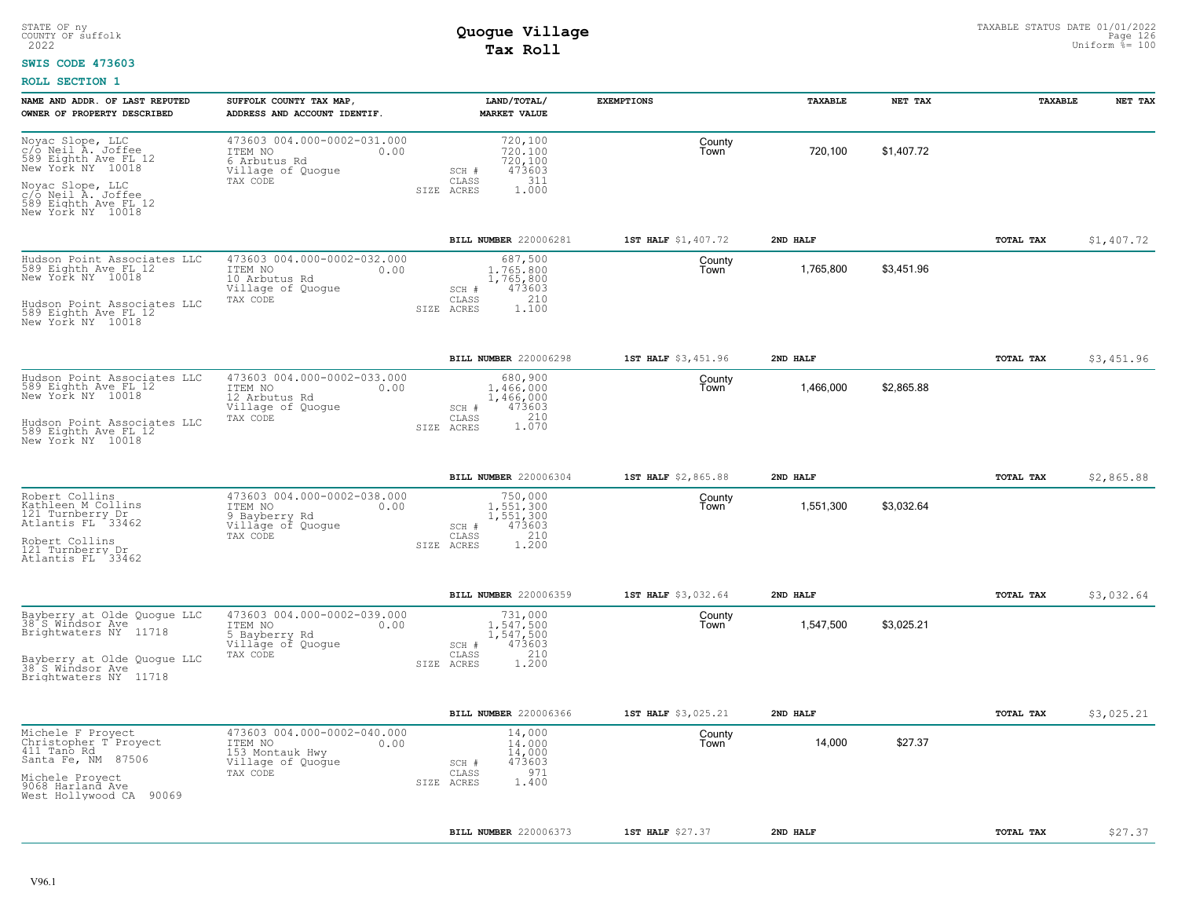### **SWIS CODE 473603**

| NAME AND ADDR. OF LAST REPUTED<br>OWNER OF PROPERTY DESCRIBED                                           | SUFFOLK COUNTY TAX MAP,<br>ADDRESS AND ACCOUNT IDENTIF.                                         | LAND/TOTAL/<br><b>MARKET VALUE</b>                               | <b>EXEMPTIONS</b>   | TAXABLE   | NET TAX    | TAXABLE   | NET TAX    |
|---------------------------------------------------------------------------------------------------------|-------------------------------------------------------------------------------------------------|------------------------------------------------------------------|---------------------|-----------|------------|-----------|------------|
| Noyac Slope, LLC<br>c/o Neil A. Joffee<br>589 Eighth Ave FL 12<br>New York NY 10018<br>Noyac Slope, LLC | 473603 004.000-0002-031.000<br>ITEM NO<br>0.00<br>6 Arbutus Rd<br>Village of Quogue<br>TAX CODE | 720,100<br>720,100<br>720,100<br>473603<br>SCH #<br>CLASS<br>311 | County<br>Town      | 720,100   | \$1,407.72 |           |            |
| c/o Neil A. Joffee<br>589 Eighth Ave FL 12<br>New York NY 10018                                         |                                                                                                 | SIZE ACRES<br>1,000                                              |                     |           |            |           |            |
|                                                                                                         |                                                                                                 | BILL NUMBER 220006281                                            | 1ST HALF \$1,407.72 | 2ND HALF  |            | TOTAL TAX | \$1,407.72 |
| Hudson Point Associates LLC<br>589 Eighth Ave FL 12<br>New York NY 10018                                | 473603 004.000-0002-032.000<br>ITEM NO<br>0.00<br>10 Arbutus Rd<br>Village of Quogue            | 687,500<br>1,765,800<br>1,765,800<br>473603<br>SCH #<br>210      | County<br>Town      | 1,765,800 | \$3,451.96 |           |            |
| Hudson Point Associates LLC<br>589 Eighth Ave FL 12<br>New York NY 10018                                | TAX CODE                                                                                        | CLASS<br>SIZE ACRES<br>1.100                                     |                     |           |            |           |            |
|                                                                                                         |                                                                                                 | BILL NUMBER 220006298                                            | 1ST HALF \$3,451.96 | 2ND HALF  |            | TOTAL TAX | \$3,451.96 |
| Hudson Point Associates LLC<br>589 Eighth Ave FL 12<br>New York NY 10018                                | 473603 004.000-0002-033.000<br>ITEM NO<br>0.00<br>12 Arbutus Rd<br>Village of Quogue            | 680,900<br>1.466.000<br>1,466,000<br>473603<br>SCH #             | County<br>Town      | 1,466,000 | \$2,865.88 |           |            |
| Hudson Point Associates LLC<br>589 Eighth Ave FL 12<br>New York NY 10018                                | TAX CODE                                                                                        | 1.210<br>CLASS<br>SIZE ACRES                                     |                     |           |            |           |            |
|                                                                                                         |                                                                                                 | BILL NUMBER 220006304                                            | 1ST HALF \$2,865.88 | 2ND HALF  |            | TOTAL TAX | \$2,865.88 |
| Robert Collins<br>Kathleen M Collins<br>121 Turnberry Dr<br>Atlantis FL 33462                           | 473603 004.000-0002-038.000<br>ITEM NO<br>0.00<br>9 Bayberry Rd<br>Village of Quoque            | 750,000<br>1.551.300<br>1,551,300<br>473603<br>SCH #             | County<br>Town      | 1,551,300 | \$3,032.64 |           |            |
| Robert Collins<br>121 Turnberry Dr<br>Atlantis FL 33462                                                 | TAX CODE                                                                                        | 210<br>CLASS<br>SIZE ACRES<br>1,200                              |                     |           |            |           |            |
|                                                                                                         |                                                                                                 | BILL NUMBER 220006359                                            | 1ST HALF \$3,032.64 | 2ND HALF  |            | TOTAL TAX | \$3,032.64 |
| Bayberry at Olde Quogue LLC<br>38 S Windsor Ave<br>Brightwaters NY 11718                                | 473603 004.000-0002-039.000<br>ITEM NO<br>0.00<br>5 Bayberry Rd<br>Village of Quogue            | 731,000<br>1,547,500<br>1,547,500<br>473603<br>SCH #             | County<br>Town      | 1,547,500 | \$3,025.21 |           |            |
| Bayberry at Olde Quoque LLC<br>38 S Windsor Ave<br>Brightwaters NY 11718                                | TAX CODE                                                                                        | 210<br>CLASS<br>1.200<br>SIZE ACRES                              |                     |           |            |           |            |
|                                                                                                         |                                                                                                 | BILL NUMBER 220006366                                            | 1ST HALF \$3,025.21 | 2ND HALF  |            | TOTAL TAX | \$3,025.21 |
| Michele F Proyect<br>Christopher T Proyect<br>411 Tano Rd<br>Santa Fe, NM 87506                         | 473603 004.000-0002-040.000<br>ITEM NO<br>0.00<br>153 Montauk Hwy<br>Village of Quogue          | 14,000<br>14,000<br>14,000<br>473603<br>SCH #                    | County<br>Town      | 14,000    | \$27.37    |           |            |
| Michele Provect<br>9068 Harland Ave<br>West Hollywood CA 90069                                          | TAX CODE                                                                                        | 971<br>CLASS<br>1,400<br>SIZE ACRES                              |                     |           |            |           |            |
|                                                                                                         |                                                                                                 | BILL NUMBER 220006373                                            | 1ST HALF \$27.37    | 2ND HALF  |            | TOTAL TAX | \$27.37    |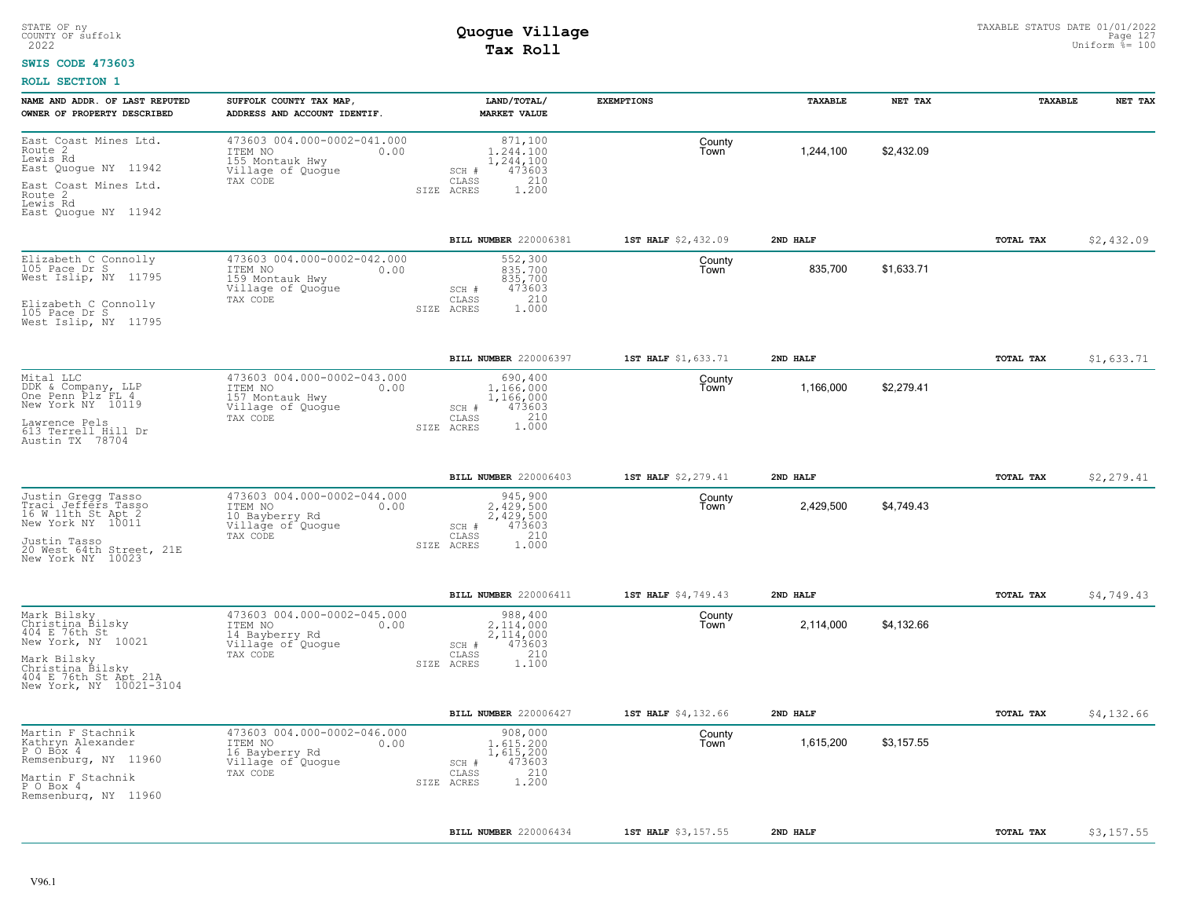### **SWIS CODE 473603**

| NAME AND ADDR. OF LAST REPUTED<br>OWNER OF PROPERTY DESCRIBED                                                                                                 | SUFFOLK COUNTY TAX MAP,<br>ADDRESS AND ACCOUNT IDENTIF.                                            | LAND/TOTAL/<br><b>MARKET VALUE</b>                                                          | <b>EXEMPTIONS</b>   | TAXABLE   | NET TAX    | TAXABLE   | NET TAX    |
|---------------------------------------------------------------------------------------------------------------------------------------------------------------|----------------------------------------------------------------------------------------------------|---------------------------------------------------------------------------------------------|---------------------|-----------|------------|-----------|------------|
| East Coast Mines Ltd.<br>Route 2<br>Lewis Rd<br>East Quoque NY 11942<br>East Coast Mines Ltd.<br>Route 2<br>Lewis Rd<br>East Quoque NY 11942                  | 473603 004.000-0002-041.000<br>ITEM NO<br>0.00<br>155 Montauk Hwy<br>Village of Quogue<br>TAX CODE | 871,100<br>1.244.100<br>1,244,100<br>473603<br>SCH #<br>CLASS<br>210<br>SIZE ACRES<br>1.200 | County<br>Town      | 1,244,100 | \$2,432.09 |           |            |
|                                                                                                                                                               |                                                                                                    | BILL NUMBER 220006381                                                                       | 1ST HALF \$2,432.09 | 2ND HALF  |            | TOTAL TAX | \$2,432.09 |
| Elizabeth C Connolly<br>105 Pace Dr S<br>West Islip, NY 11795<br>Elizabeth C Connolly<br>105 Pace Dr S<br>West Islip, NY 11795                                | 473603 004.000-0002-042.000<br>ITEM NO<br>0.00<br>159 Montauk Hwy<br>Village of Quogue<br>TAX CODE | 552,300<br>835,700<br>835,700<br>473603<br>SCH #<br>210<br>CLASS<br>1,000<br>SIZE ACRES     | County<br>Town      | 835,700   | \$1,633.71 |           |            |
|                                                                                                                                                               |                                                                                                    | BILL NUMBER 220006397                                                                       | 1ST HALF \$1,633.71 | 2ND HALF  |            | TOTAL TAX | \$1,633.71 |
| Mital LLC<br>DDK & Company, LLP<br>One Penn Plz FL 4<br>New York NY 10119<br>Lawrence Pels<br>613 Terrell Hill Dr<br>Austin TX 78704                          | 473603 004.000-0002-043.000<br>ITEM NO<br>0.00<br>157 Montauk Hwy<br>Village of Quogue<br>TAX CODE | 690,400<br>1,166,000<br>1,166,000<br>473603<br>SCH #<br>CLASS<br>210<br>1.000<br>SIZE ACRES | County<br>Town      | 1,166,000 | \$2,279.41 |           |            |
|                                                                                                                                                               |                                                                                                    | BILL NUMBER 220006403                                                                       | 1ST HALF \$2,279.41 | 2ND HALF  |            | TOTAL TAX | \$2,279.41 |
| Justin Gregg Tasso<br>Traci Jeffers Tasso<br>16 W 11th St Apt 2<br>New York NY 10011<br>Justin Tasso<br>20 West 64th Street, 21E<br>New York NY 10023         | 473603 004.000-0002-044.000<br>ITEM NO<br>0.00<br>10 Bayberry Rd<br>Village of Quogue<br>TAX CODE  | 945,900<br>2,429,500<br>2,429,500<br>473603<br>SCH #<br>210<br>CLASS<br>1.000<br>SIZE ACRES | County<br>Town      | 2,429,500 | \$4,749.43 |           |            |
|                                                                                                                                                               |                                                                                                    | BILL NUMBER 220006411                                                                       | 1ST HALF \$4,749.43 | 2ND HALF  |            | TOTAL TAX | \$4,749.43 |
| Mark Bilsky<br>Christina Bilsky<br>404 E 76th St<br>New York, NY 10021<br>Mark Bilsky<br>Christina Bilsky<br>404 E 76th St Apt 21A<br>New York, NY 10021-3104 | 473603 004.000-0002-045.000<br>ITEM NO<br>0.00<br>14 Bayberry Rd<br>Village of Quogue<br>TAX CODE  | 988,400<br>2,114,000<br>2,114,000<br>473603<br>SCH #<br>210<br>CLASS<br>SIZE ACRES<br>1.100 | County<br>Town      | 2,114,000 | \$4,132.66 |           |            |
|                                                                                                                                                               |                                                                                                    | BILL NUMBER 220006427                                                                       | 1ST HALF \$4,132.66 | 2ND HALF  |            | TOTAL TAX | \$4,132.66 |
| Martin F Stachnik<br>Kathryn Alexander<br>P O Box 4<br>Remsenburg, NY 11960<br>Martin F Stachnik<br>P O Box 4<br>Remsenburg, NY 11960                         | 473603 004.000-0002-046.000<br>ITEM NO<br>0.00<br>16 Bayberry Rd<br>Village of Quogue<br>TAX CODE  | 908,000<br>1,615,200<br>1,615,200<br>473603<br>SCH #<br>210<br>CLASS<br>1.200<br>SIZE ACRES | County<br>Town      | 1,615,200 | \$3,157.55 |           |            |
|                                                                                                                                                               |                                                                                                    | BILL NUMBER 220006434                                                                       | 1ST HALF \$3,157.55 | 2ND HALF  |            | TOTAL TAX | \$3,157.55 |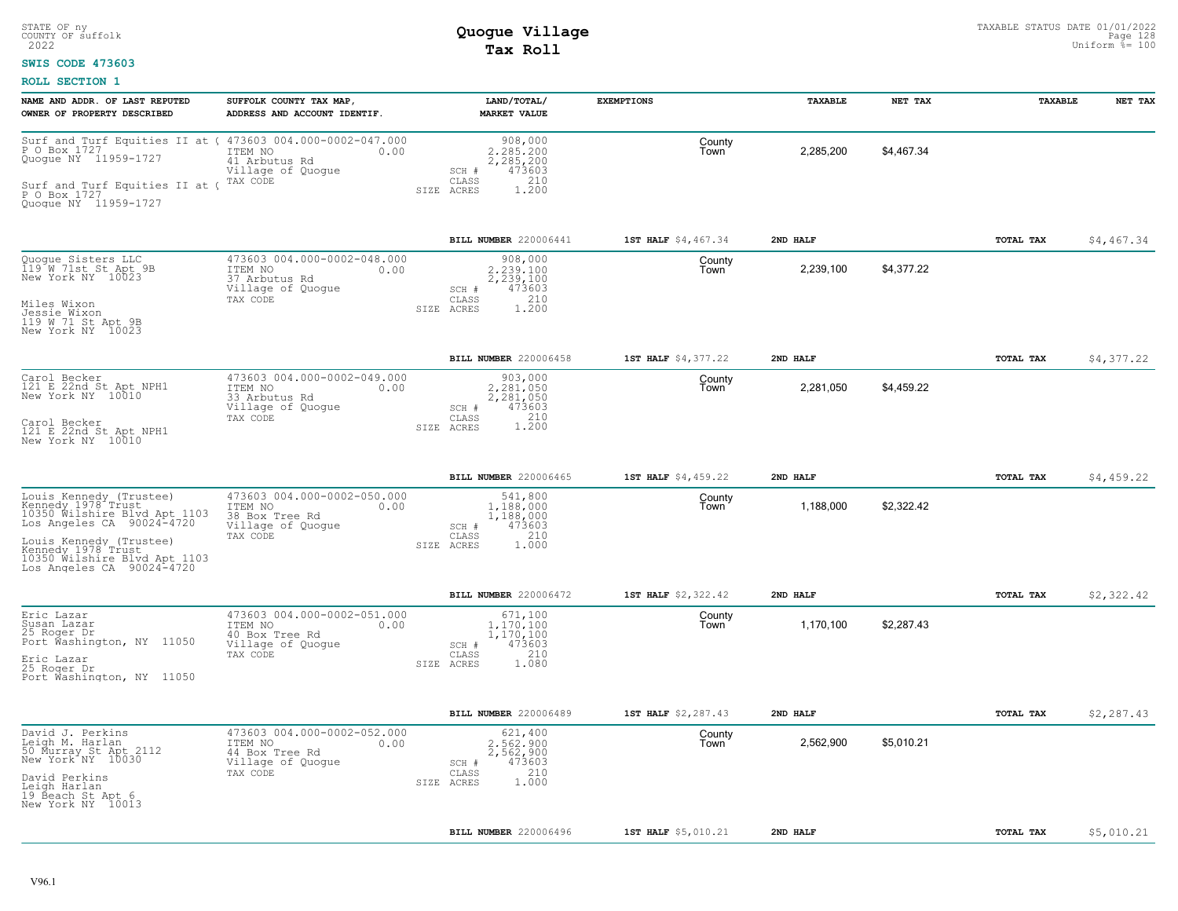### **SWIS CODE 473603**

| NAME AND ADDR. OF LAST REPUTED<br>OWNER OF PROPERTY DESCRIBED                                                                                                                                                              | SUFFOLK COUNTY TAX MAP,<br>ADDRESS AND ACCOUNT IDENTIF.                                           | LAND/TOTAL/<br><b>MARKET VALUE</b>                                                          | <b>EXEMPTIONS</b>   | TAXABLE   | NET TAX    | TAXABLE          | NET TAX    |
|----------------------------------------------------------------------------------------------------------------------------------------------------------------------------------------------------------------------------|---------------------------------------------------------------------------------------------------|---------------------------------------------------------------------------------------------|---------------------|-----------|------------|------------------|------------|
| Surf_and_Turf Equities II at ( 473603 004.000-0002-047.000<br>P O Box 1727<br>Quogue NY 11959-1727<br>Surf and Turf Equities II at (<br>P O Box 1727<br>Quoque NY 11959-1727                                               | ITEM NO<br>0.00<br>41 Arbutus Rd<br>Village of Quogue<br>TAX CODE                                 | 908,000<br>2.285.200<br>2,285,200<br>473603<br>SCH #<br>210<br>CLASS<br>1,200<br>SIZE ACRES | County<br>Town      | 2,285,200 | \$4,467.34 |                  |            |
|                                                                                                                                                                                                                            |                                                                                                   | BILL NUMBER 220006441                                                                       | 1ST HALF \$4,467.34 | 2ND HALF  |            | TOTAL TAX        | \$4,467.34 |
| Quogue Sisters LLC<br>119 W 71st St Apt 9B<br>New York NY 10023<br>Miles Wixon<br>Jessie Wixon<br>119 W 71 St Apt 9B<br>New York NY 10023                                                                                  | 473603 004.000-0002-048.000<br>ITEM NO<br>0.00<br>37 Arbutus Rd<br>Village of Quogue<br>TAX CODE  | 908,000<br>2,239,100<br>2,239,100<br>473603<br>SCH #<br>210<br>CLASS<br>SIZE ACRES<br>1.200 | County<br>Town      | 2,239,100 | \$4,377.22 |                  |            |
|                                                                                                                                                                                                                            |                                                                                                   | BILL NUMBER 220006458                                                                       | 1ST HALF \$4,377.22 | 2ND HALF  |            | TOTAL TAX        | \$4,377.22 |
| Carol Becker<br>121 E 22nd St Apt NPH1<br>New York NY 10010<br>Carol Becker<br>121 E 22nd St Apt NPH1<br>New York NY 10010                                                                                                 | 473603 004.000-0002-049.000<br>ITEM NO<br>0.00<br>33 Arbutus Rd<br>Village of Quoque<br>TAX CODE  | 903,000<br>2.281.050<br>2,281,050<br>SCH #<br>473603<br>1.200<br>CLASS<br>SIZE ACRES        | County<br>Town      | 2,281,050 | \$4,459.22 |                  |            |
|                                                                                                                                                                                                                            |                                                                                                   | <b>BILL NUMBER 220006465</b>                                                                | 1ST HALF \$4,459.22 | 2ND HALF  |            | <b>TOTAL TAX</b> | \$4,459.22 |
| Louis Kennedy (Trustee)<br>Kennedy 1978 Trust<br>10350 Wilshire Blvd Apt 1103<br>Los Angeles CA $90024-4720$<br>Louis Kennedy (Trustee)<br>Kennedy 1978 Trust<br>10350 Wilshire Blvd Apt 1103<br>Los Angeles CA 90024-4720 | 473603 004.000-0002-050.000<br>ITEM NO<br>0.00<br>38 Box Tree Rd<br>Village of Quogue<br>TAX CODE | 541,800<br>1,188,000<br>1,188,000<br>473603<br>SCH #<br>210<br>CLASS<br>1.000<br>SIZE ACRES | County<br>Town      | 1,188,000 | \$2,322.42 |                  |            |
|                                                                                                                                                                                                                            |                                                                                                   | BILL NUMBER 220006472                                                                       | 1ST HALF \$2,322.42 | 2ND HALF  |            | <b>TOTAL TAX</b> | \$2,322.42 |
| Eric Lazar<br>Susan Lazar<br>25 Roger Dr<br>Port Washington, NY 11050<br>Eric Lazar<br>25 Roger Dr<br>Port Washington, NY 11050                                                                                            | 473603 004.000-0002-051.000<br>ITEM NO<br>0.00<br>40 Box Tree Rd<br>Village of Quogue<br>TAX CODE | 671,100<br>1,170,100<br>1,170,100<br>473603<br>SCH #<br>210<br>CLASS<br>1.080<br>SIZE ACRES | County<br>Town      | 1,170,100 | \$2,287.43 |                  |            |
|                                                                                                                                                                                                                            |                                                                                                   | BILL NUMBER 220006489                                                                       | 1ST HALF \$2,287.43 | 2ND HALF  |            | TOTAL TAX        | \$2,287.43 |
| David J. Perkins<br>Leigh M. Harlan<br>50 Murray St Apt 2112<br>New York NY 10030<br>David Perkins<br>Leigh Harlan<br>19 Beach St Apt 6<br>New York NY 10013                                                               | 473603 004.000-0002-052.000<br>ITEM NO<br>0.00<br>44 Box Tree Rd<br>Village of Quogue<br>TAX CODE | 621,400<br>2.562.900<br>2,562,900<br>473603<br>SCH #<br>210<br>CLASS<br>1.000<br>SIZE ACRES | County<br>Town      | 2,562,900 | \$5.010.21 |                  |            |
|                                                                                                                                                                                                                            |                                                                                                   | BILL NUMBER 220006496                                                                       | 1ST HALF \$5,010.21 | 2ND HALF  |            | TOTAL TAX        | \$5,010.21 |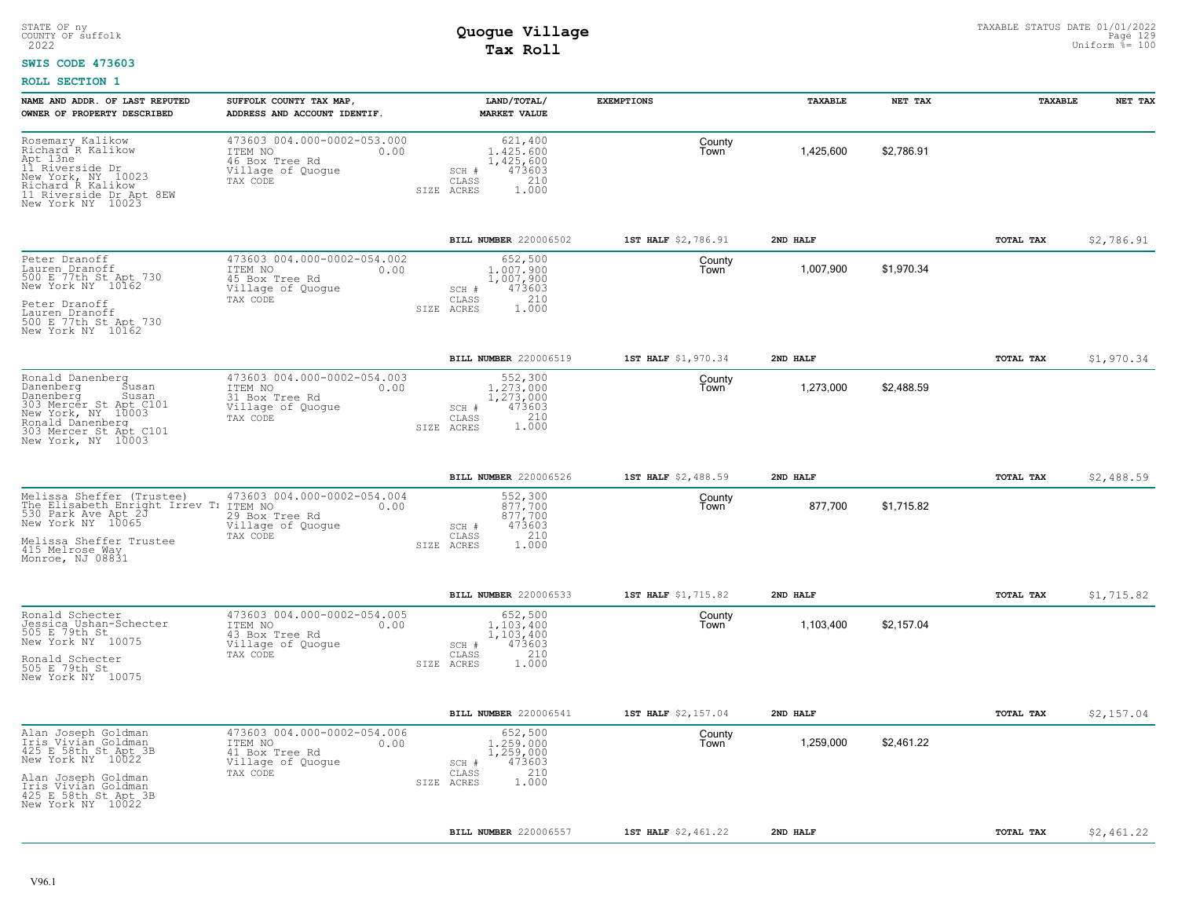#### **SWIS CODE 473603**

| NAME AND ADDR. OF LAST REPUTED<br>OWNER OF PROPERTY DESCRIBED                                                                                                                      | SUFFOLK COUNTY TAX MAP,<br>ADDRESS AND ACCOUNT IDENTIF.                                           | LAND/TOTAL/<br><b>MARKET VALUE</b>                                                             | <b>EXEMPTIONS</b>   | TAXABLE   | NET TAX    | TAXABLE   | NET TAX    |
|------------------------------------------------------------------------------------------------------------------------------------------------------------------------------------|---------------------------------------------------------------------------------------------------|------------------------------------------------------------------------------------------------|---------------------|-----------|------------|-----------|------------|
| Rosemary Kalikow<br>Richard R Kalikow<br>Apt 13ne<br>11 Riverside Dr<br>New York, NY 10023<br>Richard R Kalikow<br>11 Riverside Dr Apt 8EW<br>New York NY 10023                    | 473603 004.000-0002-053.000<br>ITEM NO<br>0.00<br>46 Box Tree Rd<br>Village of Quogue<br>TAX CODE | 621,400<br>1,425,600<br>1,425,600<br>473603<br>SCH #<br>210<br>CLASS<br>ACRES<br>1,000<br>SIZE | County<br>Town      | 1,425,600 | \$2,786.91 |           |            |
|                                                                                                                                                                                    |                                                                                                   | <b>BILL NUMBER 220006502</b>                                                                   | 1ST HALF \$2,786.91 | 2ND HALF  |            | TOTAL TAX | \$2,786.91 |
| Peter Dranoff<br>Lauren Dranoff<br>500 E 77th St Apt 730<br>New York NY 10162<br>Peter Dranoff<br>Lauren Dranoff<br>500 E 77th St Apt 730<br>New York NY 10162                     | 473603 004.000-0002-054.002<br>ITEM NO<br>0.00<br>45 Box Tree Rd<br>Village of Quogue<br>TAX CODE | 652,500<br>1,007,900<br>1,007,900<br>473603<br>SCH #<br>210<br>CLASS<br>SIZE<br>ACRES<br>1.000 | County<br>Town      | 1,007,900 | \$1,970.34 |           |            |
|                                                                                                                                                                                    |                                                                                                   | <b>BILL NUMBER 220006519</b>                                                                   | 1ST HALF \$1,970.34 | 2ND HALF  |            | TOTAL TAX | \$1,970.34 |
| Ronald Danenberg<br>Danenberg<br>Susan<br>Danenberg<br>Susan<br>303 Mercer St Apt C101<br>New York, NY 10003<br>Ronald Danenberg<br>303 Mercer St Apt C101<br>New York, NY 10003   | 473603 004.000-0002-054.003<br>ITEM NO<br>0.00<br>31 Box Tree Rd<br>Village of Quogue<br>TAX CODE | 552,300<br>1,273,000<br>1,273,000<br>473603<br>SCH #<br>CLASS<br>210<br>1.000<br>SIZE ACRES    | County<br>Town      | 1,273,000 | \$2,488.59 |           |            |
|                                                                                                                                                                                    |                                                                                                   | BILL NUMBER 220006526                                                                          | 1ST HALF \$2,488.59 | 2ND HALF  |            | TOTAL TAX | \$2,488.59 |
| Melissa Sheffer (Trustee)<br>The Elisabeth Enright Irrev T:<br>530 Park Ave Apt 2J<br>New York NY 10065<br>Melissa Sheffer Trustee<br>415 Melrose Way<br>Monroe, NJ 08831          | 473603 004.000-0002-054.004<br>ITEM NO<br>0.00<br>29 Box Tree Rd<br>Village of Quogue<br>TAX CODE | 552,300<br>877.700<br>877,700<br>473603<br>SCH #<br>210<br>CLASS<br>1.000<br>SIZE ACRES        | County<br>Town      | 877,700   | \$1,715.82 |           |            |
|                                                                                                                                                                                    |                                                                                                   | <b>BILL NUMBER 220006533</b>                                                                   | 1ST HALF \$1,715.82 | 2ND HALF  |            | TOTAL TAX | \$1,715.82 |
| Ronald Schecter<br>Jessica Ushan-Schecter<br>505 E 79th St<br>New York NY 10075<br>Ronald Schecter<br>505 E 79th St<br>New York NY 10075                                           | 473603 004.000-0002-054.005<br>ITEM NO<br>0.00<br>43 Box Tree Rd<br>Village of Quogue<br>TAX CODE | 652,500<br>1,103,400<br>1,103,400<br>473603<br>SCH #<br>210<br>CLASS<br>SIZE ACRES<br>1.000    | County<br>Town      | 1,103,400 | \$2.157.04 |           |            |
|                                                                                                                                                                                    |                                                                                                   | BILL NUMBER 220006541                                                                          | 1ST HALF \$2,157.04 | 2ND HALF  |            | TOTAL TAX | \$2,157.04 |
| Alan Joseph Goldman<br>Iris Vivian Goldman<br>425 E 58th St Apt 3B<br>New York NY 10022<br>Alan Joseph Goldman<br>Iris Vivian Goldman<br>425 E 58th St Apt 3B<br>New York NY 10022 | 473603 004.000-0002-054.006<br>ITEM NO<br>0.00<br>41 Box Tree Rd<br>Village of Quogue<br>TAX CODE | 652,500<br>1,259,000<br>1,259,000<br>473603<br>SCH #<br>210<br>CLASS<br>1.000<br>SIZE ACRES    | County<br>Town      | 1,259,000 | \$2,461.22 |           |            |
|                                                                                                                                                                                    |                                                                                                   | BILL NUMBER 220006557                                                                          | 1ST HALF \$2,461.22 | 2ND HALF  |            | TOTAL TAX | \$2,461.22 |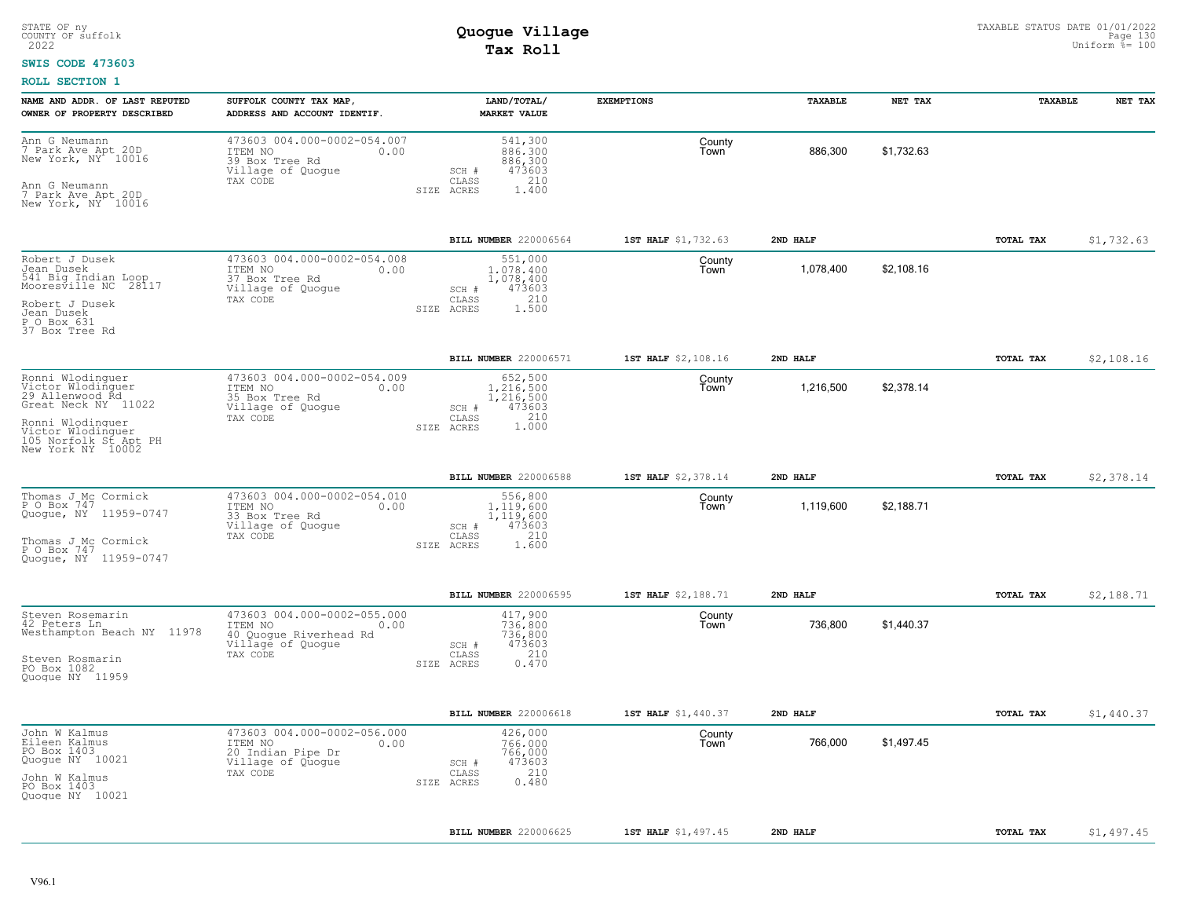#### **SWIS CODE 473603**

| NAME AND ADDR. OF LAST REPUTED<br>OWNER OF PROPERTY DESCRIBED                                                                                                          | SUFFOLK COUNTY TAX MAP,<br>ADDRESS AND ACCOUNT IDENTIF.                                                   | LAND/TOTAL/<br><b>MARKET VALUE</b>                                                          | <b>EXEMPTIONS</b>   | <b>TAXABLE</b> | NET TAX    | TAXABLE   | NET TAX    |
|------------------------------------------------------------------------------------------------------------------------------------------------------------------------|-----------------------------------------------------------------------------------------------------------|---------------------------------------------------------------------------------------------|---------------------|----------------|------------|-----------|------------|
| Ann G Neumann<br>7 Park Ave Apt 20D<br>New York, NY 10016<br>Ann G Neumann<br>7 Park Ave Apt 20D<br>New York, NY 10016                                                 | 473603 004.000-0002-054.007<br>ITEM NO<br>0.00<br>39 Box Tree Rd<br>Village of Quogue<br>TAX CODE         | 541,300<br>886,300<br>886,300<br>473603<br>SCH #<br>CLASS<br>210<br>1.400<br>SIZE ACRES     | County<br>Town      | 886,300        | \$1,732.63 |           |            |
|                                                                                                                                                                        |                                                                                                           | BILL NUMBER 220006564                                                                       | 1ST HALF \$1,732.63 | 2ND HALF       |            | TOTAL TAX | \$1,732.63 |
| Robert J Dusek<br>Jean Dusek<br>541 Big Indian Loop<br>Mooresville NC 28117<br>Robert J Dusek<br>Jean Dusek<br>P O Box 631<br>37 Box Tree Rd                           | 473603 004.000-0002-054.008<br>ITEM NO<br>0.00<br>37 Box Tree Rd<br>Village of Quogue<br>TAX CODE         | 551,000<br>1,078,400<br>1,078,400<br>473603<br>SCH #<br>210<br>CLASS<br>1.500<br>SIZE ACRES | County<br>Town      | 1,078,400      | \$2,108.16 |           |            |
|                                                                                                                                                                        |                                                                                                           | BILL NUMBER 220006571                                                                       | 1ST HALF \$2,108.16 | 2ND HALF       |            | TOTAL TAX | \$2,108.16 |
| Ronni Wlodinquer<br>Victor Wlodinguer<br>29 Allenwood Rd<br>Great Neck NY 11022<br>Ronni Wlodinquer<br>Victor Wlodinquer<br>105 Norfolk St Apt PH<br>New York NY 10002 | 473603 004.000-0002-054.009<br>ITEM NO<br>0.00<br>35 Box Tree Rd<br>Village of Quogue<br>TAX CODE         | 652,500<br>1,216,500<br>1,216,500<br>473603<br>SCH #<br>CLASS<br>1.000<br>SIZE ACRES        | County<br>l own     | 1,216,500      | \$2,378.14 |           |            |
|                                                                                                                                                                        |                                                                                                           | BILL NUMBER 220006588                                                                       | 1ST HALF \$2,378.14 | 2ND HALF       |            | TOTAL TAX | \$2,378.14 |
| Thomas J Mc Cormick<br>P O Box 747<br>Quoque, NY 11959-0747<br>Thomas J_Mc Cormick<br>P O Box 747<br>Quoque, NY 11959-0747                                             | 473603 004.000-0002-054.010<br>ITEM NO<br>0.00<br>33 Box Tree Rd<br>Village of Quogue<br>TAX CODE         | 556,800<br>1,119,600<br>1,119,600<br>473603<br>SCH #<br>210<br>CLASS<br>1.600<br>SIZE ACRES | County<br>Town      | 1,119,600      | \$2,188.71 |           |            |
|                                                                                                                                                                        |                                                                                                           | BILL NUMBER 220006595                                                                       | 1ST HALF \$2,188.71 | 2ND HALF       |            | TOTAL TAX | \$2,188.71 |
| Steven Rosemarin<br>42 Peters Ln<br>Westhampton Beach NY 11978<br>Steven Rosmarin<br>PO Box 1082<br>Quoque NY 11959                                                    | 473603 004.000-0002-055.000<br>ITEM NO<br>0.00<br>40 Quogue Riverhead Rd<br>Village of Quogue<br>TAX CODE | 417,900<br>736,800<br>736,800<br>473603<br>SCH #<br>210<br>CLASS<br>SIZE ACRES<br>0.470     | County<br>Town      | 736,800        | \$1,440.37 |           |            |
|                                                                                                                                                                        |                                                                                                           | BILL NUMBER 220006618                                                                       | 1ST HALF \$1,440.37 | 2ND HALF       |            | TOTAL TAX | \$1,440.37 |
| John W Kalmus<br>Eileen Kalmus<br>PO Box 1403<br>Quogue NY 10021<br>John W Kalmus<br>PO Box 1403<br>Quoque NY 10021                                                    | 473603 004.000-0002-056.000<br>ITEM NO<br>0.00<br>20 Indian Pipe Dr<br>Village of Quogue<br>TAX CODE      | 426,000<br>766,000<br>766,000<br>473603<br>SCH #<br>210<br>CLASS<br>0.480<br>SIZE ACRES     | County<br>l own     | 766,000        | \$1,497.45 |           |            |
|                                                                                                                                                                        |                                                                                                           | BILL NUMBER 220006625                                                                       | 1ST HALF \$1,497.45 | 2ND HALF       |            | TOTAL TAX | \$1,497.45 |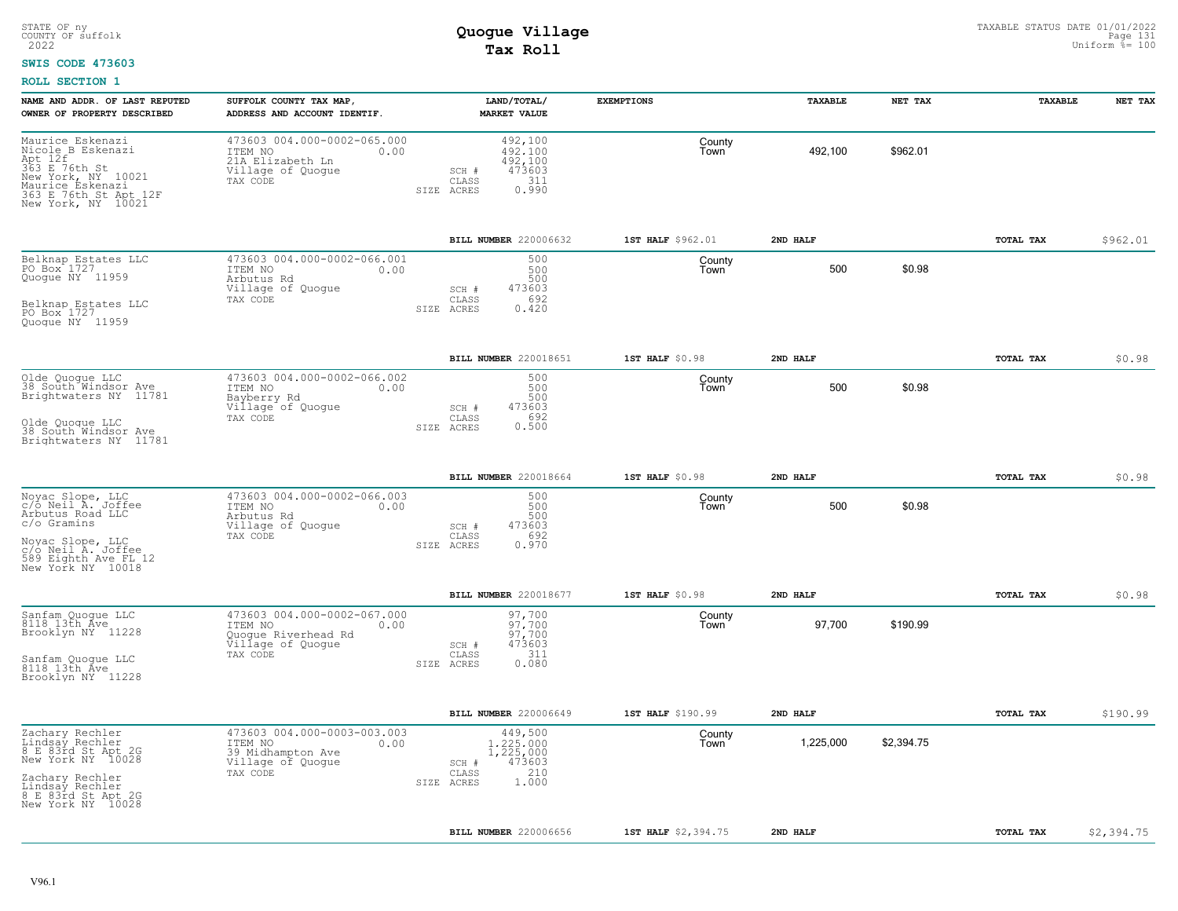#### **SWIS CODE 473603**

| NAME AND ADDR. OF LAST REPUTED<br>OWNER OF PROPERTY DESCRIBED                                                                                              | SUFFOLK COUNTY TAX MAP,<br>ADDRESS AND ACCOUNT IDENTIF.                                             | LAND/TOTAL/<br><b>MARKET VALUE</b>                                                      | <b>EXEMPTIONS</b>   | TAXABLE   | NET TAX    | TAXABLE          | NET TAX    |
|------------------------------------------------------------------------------------------------------------------------------------------------------------|-----------------------------------------------------------------------------------------------------|-----------------------------------------------------------------------------------------|---------------------|-----------|------------|------------------|------------|
| Maurice Eskenazi<br>Nicole B Eskenazi<br>Apt 12f<br>363 E 76th St<br>New York, NY 10021<br>Maurice Eskenazi<br>363 E 76th St Apt 12F<br>New York, NY 10021 | 473603 004.000-0002-065.000<br>ITEM NO<br>0.00<br>21A Elizabeth Ln<br>Village of Quogue<br>TAX CODE | 492,100<br>492.100<br>492,100<br>473603<br>SCH #<br>311<br>CLASS<br>0.990<br>SIZE ACRES | County<br>Town      | 492,100   | \$962.01   |                  |            |
|                                                                                                                                                            |                                                                                                     | BILL NUMBER 220006632                                                                   | 1ST HALF \$962.01   | 2ND HALF  |            | TOTAL TAX        | \$962.01   |
| Belknap Estates LLC<br>PO Box 1727<br>Quogue NY 11959<br>Belknap Estates LLC                                                                               | 473603 004.000-0002-066.001<br>ITEM NO<br>0.00<br>Arbutus Rd<br>Village of Quoque<br>TAX CODE       | 500<br>500<br>500<br>473603<br>$SCH$ $#$<br>692<br>CLASS                                | County<br>Town      | 500       | \$0.98     |                  |            |
| PO Box 1727<br>Quoque NY 11959                                                                                                                             |                                                                                                     | SIZE ACRES<br>0.420                                                                     |                     |           |            |                  |            |
|                                                                                                                                                            |                                                                                                     | BILL NUMBER 220018651                                                                   | 1ST HALF \$0.98     | 2ND HALF  |            | TOTAL TAX        | \$0.98     |
| Olde Quogue LLC<br>38 South Windsor Ave<br>Brightwaters NY 11781                                                                                           | 473603 004.000-0002-066.002<br>ITEM NO<br>0.00<br>Bayberry Rd<br>Village of Quoque<br>TAX CODE      | 500<br>500<br>500<br>473603<br>SCH #<br>CLASS<br>692                                    | County<br>Town      | 500       | \$0.98     |                  |            |
| Olde Quoque LLC<br>38 South Windsor Ave<br>Brightwaters NY 11781                                                                                           |                                                                                                     | 0.500<br>SIZE ACRES                                                                     |                     |           |            |                  |            |
|                                                                                                                                                            |                                                                                                     | BILL NUMBER 220018664                                                                   | 1ST HALF \$0.98     | 2ND HALF  |            | TOTAL TAX        | \$0.98     |
| Noyac Slope, LLC<br>c/o Neil A. Joffee<br>Arbutus Road LLC<br>c/o Gramins                                                                                  | 473603 004.000-0002-066.003<br>ITEM NO<br>0.00<br>Arbutus Rd<br>Village of Quogue<br>TAX CODE       | 500<br>500<br>500<br>473603<br>SCH #<br>692<br>CLASS                                    | County<br>Town      | 500       | \$0.98     |                  |            |
| Novac Slope, LLC<br>c/o Neil A. Joffee<br>589 Eighth Ave FL 12<br>New York NY 10018                                                                        |                                                                                                     | 0.970<br>SIZE ACRES                                                                     |                     |           |            |                  |            |
|                                                                                                                                                            |                                                                                                     | BILL NUMBER 220018677                                                                   | 1ST HALF \$0.98     | 2ND HALF  |            | TOTAL TAX        | \$0.98     |
| Sanfam Quogue LLC<br>8118 13th Ave<br>Brooklyn NY 11228                                                                                                    | 473603 004.000-0002-067.000<br>ITEM NO<br>0.00<br>Quogue Riverhead Rd<br>Village of Quogue          | 97,700<br>$97.700$<br>$97,700$<br>473603<br>SCH #<br>311                                | County<br>Town      | 97,700    | \$190.99   |                  |            |
| Sanfam Quoque LLC<br>8118 13th Ave<br>Brooklyn NY 11228                                                                                                    | TAX CODE                                                                                            | CLASS<br>0.080<br>SIZE ACRES                                                            |                     |           |            |                  |            |
|                                                                                                                                                            |                                                                                                     | BILL NUMBER 220006649                                                                   | 1ST HALF \$190.99   | 2ND HALF  |            | TOTAL TAX        | \$190.99   |
| Zachary Rechler<br>Lindsay Rechler<br>8 E 83rd St Apt 2G<br>New York NY 10028                                                                              | 473603 004.000-0003-003.003<br>ITEM NO<br>0.00<br>39 Midhampton Ave<br>Village of Quogue            | 449,500<br>1,225,000<br>1,225,000<br>473603<br>SCH #                                    | County<br>Town      | 1,225,000 | \$2,394.75 |                  |            |
| Zachary Rechler<br>Lindsay Rechler<br>8 E 83rd St Apt 2G<br>New York NY 10028                                                                              | TAX CODE                                                                                            | 210<br>CLASS<br>1.000<br>SIZE ACRES                                                     |                     |           |            |                  |            |
|                                                                                                                                                            |                                                                                                     | <b>BILL NUMBER</b> 220006656                                                            | 1ST HALF \$2,394.75 | 2ND HALF  |            | <b>TOTAL TAX</b> | \$2,394.75 |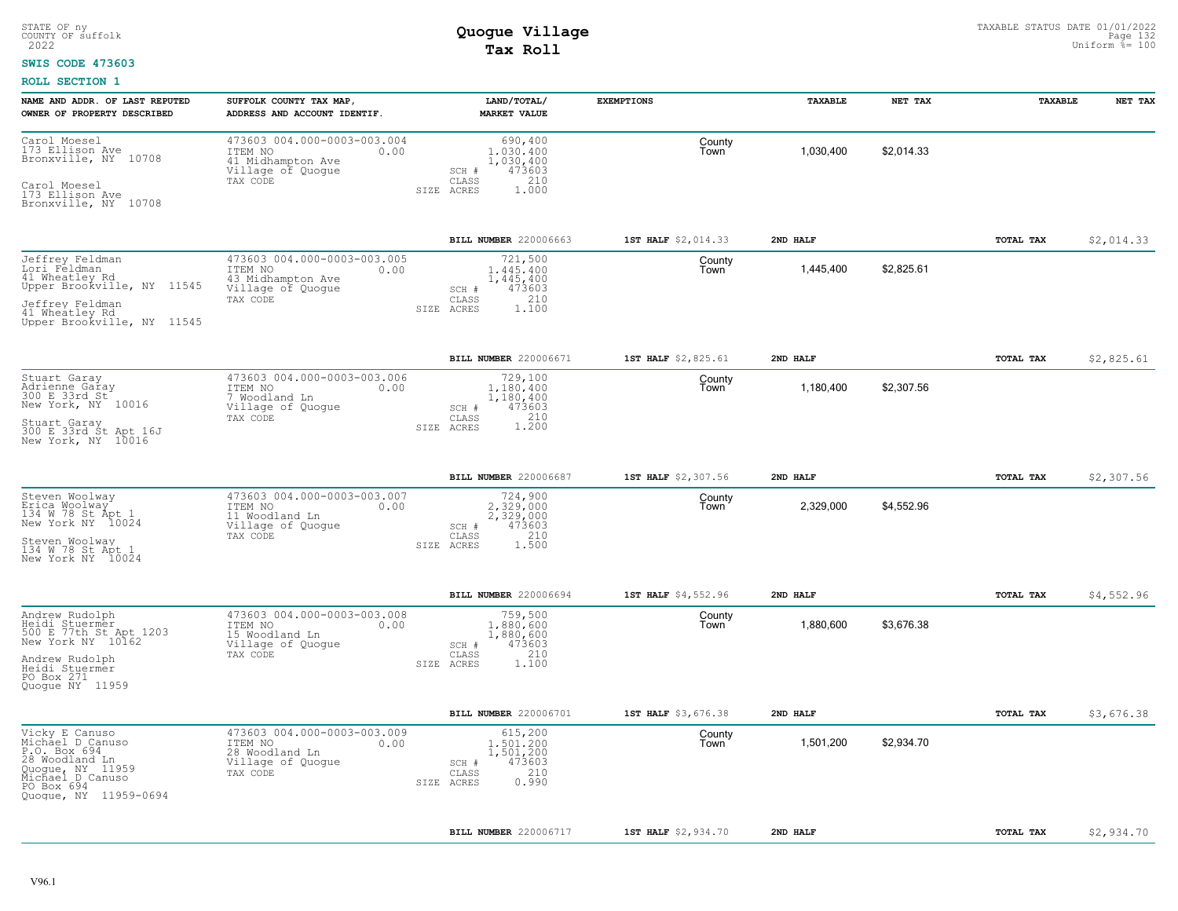#### **SWIS CODE 473603**

| NAME AND ADDR. OF LAST REPUTED<br>OWNER OF PROPERTY DESCRIBED                                                                                        | SUFFOLK COUNTY TAX MAP,<br>ADDRESS AND ACCOUNT IDENTIF.                                              | LAND/TOTAL/<br><b>MARKET VALUE</b>                                                          | <b>EXEMPTIONS</b>   | TAXABLE   | NET TAX    | TAXABLE          | NET TAX    |
|------------------------------------------------------------------------------------------------------------------------------------------------------|------------------------------------------------------------------------------------------------------|---------------------------------------------------------------------------------------------|---------------------|-----------|------------|------------------|------------|
| Carol Moesel<br>173 Ellison Ave<br>10708<br>Bronxville, NY<br>Carol Moesel<br>173 Ellison Ave<br>Bronxville, NY 10708                                | 473603 004.000-0003-003.004<br>ITEM NO<br>0.00<br>41 Midhampton Ave<br>Village of Quogue<br>TAX CODE | 690,400<br>1,030,400<br>1,030,400<br>473603<br>SCH #<br>210<br>CLASS<br>1,000<br>SIZE ACRES | County<br>Town      | 1,030,400 | \$2.014.33 |                  |            |
|                                                                                                                                                      |                                                                                                      | BILL NUMBER 220006663                                                                       | 1ST HALF \$2,014.33 | 2ND HALF  |            | <b>TOTAL TAX</b> | \$2,014.33 |
| Jeffrey Feldman<br>Lori Feldman<br>41 Wheatley Rd<br>Upper Brookville, NY 11545<br>Jeffrey Feldman<br>41 Wheatley Rd<br>Upper Brookville, NY 11545   | 473603 004.000-0003-003.005<br>ITEM NO<br>0.00<br>43 Midhampton Ave<br>Village of Quogue<br>TAX CODE | 721,500<br>1,445,400<br>1,445,400<br>473603<br>SCH #<br>210<br>CLASS<br>SIZE ACRES<br>1,100 | County<br>Town      | 1,445,400 | \$2,825.61 |                  |            |
|                                                                                                                                                      |                                                                                                      | BILL NUMBER 220006671                                                                       | 1ST HALF \$2,825.61 | 2ND HALF  |            | TOTAL TAX        | \$2,825.61 |
| Stuart Garay<br>Adrienne Garay<br>300 E 33rd St<br>New York, NY 10016<br>Stuart Garay<br>300 E 33rd St Apt 16J<br>New York, NY 10016                 | 473603 004.000-0003-003.006<br>ITEM NO<br>0.00<br>7 Woodland Ln<br>Village of Quogue<br>TAX CODE     | 729,100<br>1,180,400<br>1,180,400<br>473603<br>SCH #<br>1.210<br>CLASS<br>SIZE ACRES        | County<br>Town      | 1,180,400 | \$2,307.56 |                  |            |
|                                                                                                                                                      |                                                                                                      | BILL NUMBER 220006687                                                                       | 1ST HALF \$2,307.56 | 2ND HALF  |            | TOTAL TAX        | \$2,307.56 |
| Steven Woolway<br>Erica Woolway<br>134 W 78 St Apt 1<br>New York NY 10024<br>Steven Woolway<br>134 W 78 St Apt 1<br>New York NY 10024                | 473603 004.000-0003-003.007<br>ITEM NO<br>0.00<br>11 Woodland Ln<br>Village of Quogue<br>TAX CODE    | 724,900<br>2,329,000<br>2,329,000<br>473603<br>SCH #<br>210<br>CLASS<br>1.500<br>SIZE ACRES | County<br>Town      | 2,329,000 | \$4,552.96 |                  |            |
|                                                                                                                                                      |                                                                                                      | BILL NUMBER 220006694                                                                       | 1ST HALF \$4,552.96 | 2ND HALF  |            | TOTAL TAX        | \$4,552.96 |
| Andrew Rudolph<br>Heidi Stuermer<br>500 E 77th St Apt 1203<br>New York NY 10162<br>Andrew Rudolph<br>Heidi Stuermer<br>PO Box 271<br>Quoque NY 11959 | 473603 004.000-0003-003.008<br>ITEM NO<br>0.00<br>15 Woodland Ln<br>Village of Quogue<br>TAX CODE    | 759,500<br>1,880,600<br>1,880,600<br>473603<br>SCH #<br>210<br>CLASS<br>SIZE ACRES<br>1.100 | County<br>Town      | 1,880,600 | \$3,676.38 |                  |            |
|                                                                                                                                                      |                                                                                                      | BILL NUMBER 220006701                                                                       | 1ST HALF \$3,676.38 | 2ND HALF  |            | TOTAL TAX        | \$3,676.38 |
| Vicky E Canuso<br>Michael D Canuso<br>P.O. Box 694<br>28 Woodland Ln<br>Quogue, NY 11959<br>Michael D Canuso<br>PO Box 694<br>Quoque, NY 11959-0694  | 473603 004.000-0003-003.009<br>ITEM NO<br>0.00<br>28 Woodland Ln<br>Village of Quogue<br>TAX CODE    | 615,200<br>1,501,200<br>1,501,200<br>473603<br>SCH #<br>210<br>CLASS<br>0.990<br>SIZE ACRES | County<br>Town      | 1,501,200 | \$2,934.70 |                  |            |
|                                                                                                                                                      |                                                                                                      | <b>BILL NUMBER 220006717</b>                                                                | 1ST HALF \$2,934.70 | 2ND HALF  |            | TOTAL TAX        | \$2,934.70 |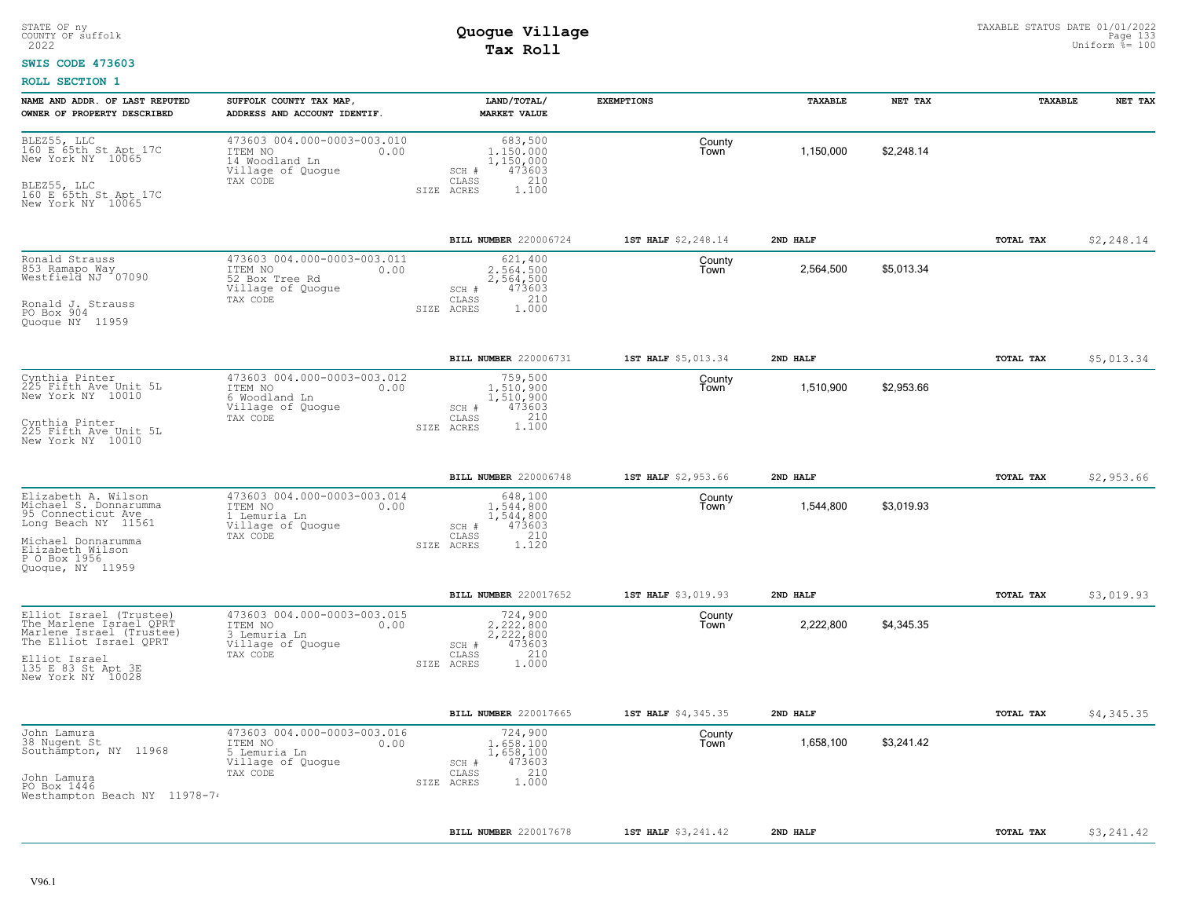#### **SWIS CODE 473603**

| NAME AND ADDR. OF LAST REPUTED<br>OWNER OF PROPERTY DESCRIBED                                                                                                           | SUFFOLK COUNTY TAX MAP,<br>ADDRESS AND ACCOUNT IDENTIF                                            | LAND/TOTAL/<br><b>MARKET VALUE</b>                                                                     | <b>EXEMPTIONS</b>   | TAXABLE   | NET TAX    | TAXABLE   | NET TAX    |
|-------------------------------------------------------------------------------------------------------------------------------------------------------------------------|---------------------------------------------------------------------------------------------------|--------------------------------------------------------------------------------------------------------|---------------------|-----------|------------|-----------|------------|
| BLEZ55, LLC<br>160 E 65th St Apt 17C<br>New York NY 10065<br>BLEZ55, LLC<br>160 E 65th St Apt 17C<br>New York NY 10065                                                  | 473603 004.000-0003-003.010<br>ITEM NO<br>0.00<br>14 Woodland Ln<br>Village of Quogue<br>TAX CODE | 683,500<br>1,150,000<br>1,150,000<br>473603<br>SCH #<br>210<br>$\mathtt{CLASS}$<br>1,100<br>SIZE ACRES | County<br>Town      | 1,150,000 | \$2,248.14 |           |            |
|                                                                                                                                                                         |                                                                                                   | BILL NUMBER 220006724                                                                                  | 1ST HALF \$2,248.14 | 2ND HALF  |            | TOTAL TAX | \$2,248.14 |
| Ronald Strauss<br>853 Ramapo Way<br>Westfield NJ 107090<br>Ronald J. Strauss<br>PO Box 904<br>Quoque NY 11959                                                           | 473603 004.000-0003-003.011<br>ITEM NO<br>0.00<br>52 Box Tree Rd<br>Village of Quogue<br>TAX CODE | 621,400<br>2,564,500<br>2,564,500<br>473603<br>SCH #<br>210<br>CLASS<br>SIZE ACRES<br>1,000            | County<br>Town      | 2,564,500 | \$5,013.34 |           |            |
|                                                                                                                                                                         |                                                                                                   | BILL NUMBER 220006731                                                                                  | 1ST HALF \$5,013.34 | 2ND HALF  |            | TOTAL TAX | \$5,013.34 |
| Cynthia Pinter<br>225 Fifth Ave Unit 5L<br>New York NY 10010<br>Cynthia Pinter<br>225 Fifth Ave Unit 5L<br>New York NY 10010                                            | 473603 004.000-0003-003.012<br>ITEM NO<br>0.00<br>6 Woodland Ln<br>Village of Quogue<br>TAX CODE  | 759,500<br>1,510,900<br>1,510,900<br>473603<br>SCH #<br>CLASS<br>1.100<br>SIZE ACRES                   | County<br>Town      | 1,510,900 | \$2,953.66 |           |            |
|                                                                                                                                                                         |                                                                                                   | BILL NUMBER 220006748                                                                                  | 1ST HALF \$2,953.66 | 2ND HALF  |            | TOTAL TAX | \$2,953.66 |
| Elizabeth A. Wilson<br>Michael S. Donnarumma<br>95 Connecticut Ave<br>Long Beach NY 11561<br>Michael Donnarumma<br>Elizabeth Wilson<br>P O Box 1956<br>Quoque, NY 11959 | 473603 004.000-0003-003.014<br>ITEM NO<br>0.00<br>1 Lemuria Ln<br>Village of Quogue<br>TAX CODE   | 648,100<br>1,544,800<br>1,544,800<br>473603<br>SCH #<br>210<br>CLASS<br>SIZE ACRES<br>1.120            | County<br>Town      | 1,544,800 | \$3,019.93 |           |            |
|                                                                                                                                                                         |                                                                                                   | BILL NUMBER 220017652                                                                                  | 1ST HALF \$3,019.93 | 2ND HALF  |            | TOTAL TAX | \$3,019.93 |
| Elliot Israel (Trustee)<br>The Marlene Israel QPRT<br>Marlene Israel (Trustee)<br>The Elliot Israel QPRT<br>Elliot Israel<br>135 E 83 St Apt 3E<br>New York NY 10028    | 473603 004.000-0003-003.015<br>ITEM NO<br>0.00<br>3 Lemuria Ln<br>Village of Quogue<br>TAX CODE   | 724,900<br>2.222.800<br>2,222,800<br>473603<br>SCH #<br>210<br>CLASS<br>SIZE ACRES<br>1,000            | County<br>Town      | 2,222,800 | \$4,345.35 |           |            |
|                                                                                                                                                                         |                                                                                                   | BILL NUMBER 220017665                                                                                  | 1ST HALF \$4,345.35 | 2ND HALF  |            | TOTAL TAX | \$4,345.35 |
| John Lamura<br>38 Nugent St<br>Southampton, NY 11968<br>John Lamura<br>PO Box 1446<br>Westhampton Beach NY 11978-74                                                     | 473603 004.000-0003-003.016<br>ITEM NO<br>0.00<br>5 Lemuria Ln<br>Village of Quogue<br>TAX CODE   | 724,900<br>1,658,100<br>1,658,100<br>473603<br>SCH #<br>210<br>CLASS<br>1,000<br>SIZE ACRES            | County<br>Town      | 1,658,100 | \$3,241.42 |           |            |
|                                                                                                                                                                         |                                                                                                   |                                                                                                        |                     |           |            |           |            |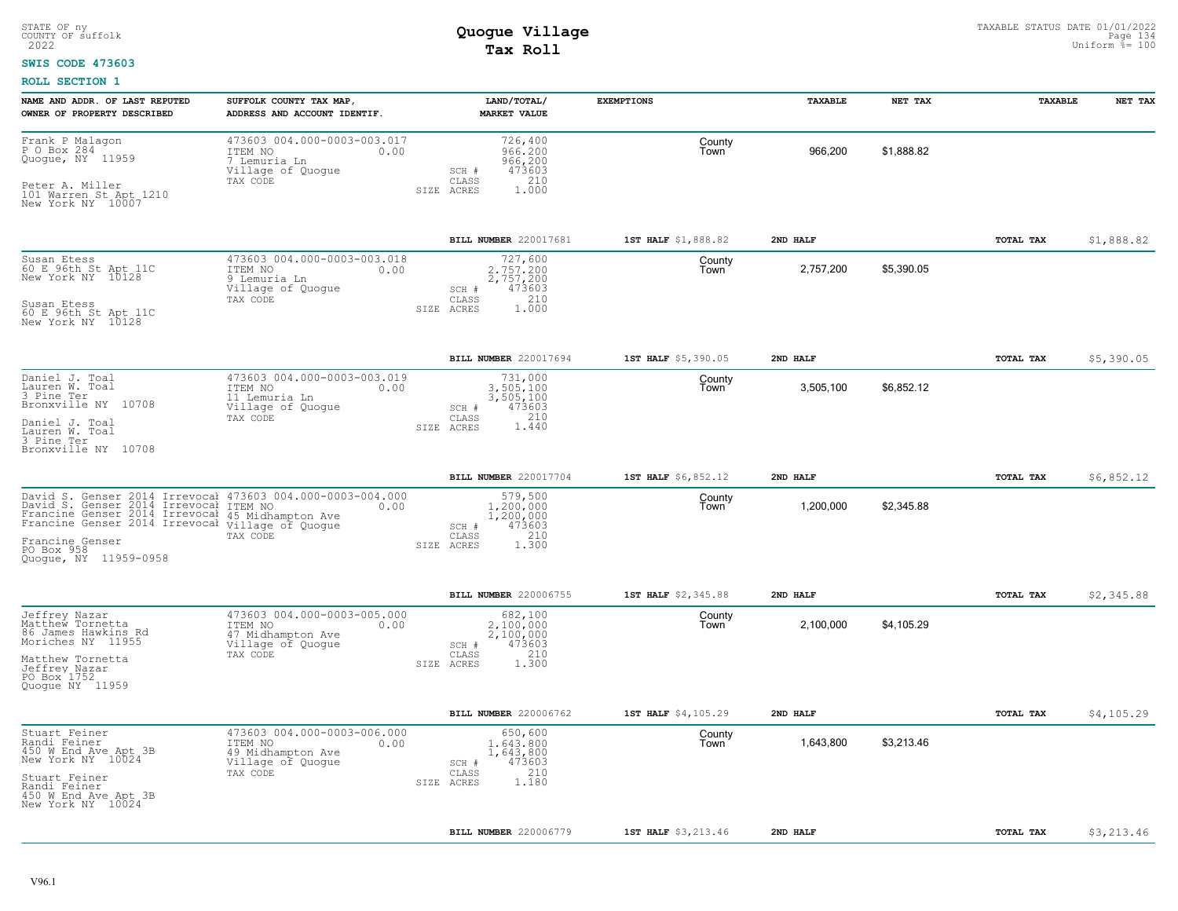### **SWIS CODE 473603**

| NAME AND ADDR. OF LAST REPUTED<br>OWNER OF PROPERTY DESCRIBED                                                                                                                                                                                                               | SUFFOLK COUNTY TAX MAP,<br>ADDRESS AND ACCOUNT IDENTIF.                                              | LAND/TOTAL/<br><b>MARKET VALUE</b>                                                          | <b>EXEMPTIONS</b>   | <b>TAXABLE</b> | NET TAX    | TAXABLE          | NET TAX    |
|-----------------------------------------------------------------------------------------------------------------------------------------------------------------------------------------------------------------------------------------------------------------------------|------------------------------------------------------------------------------------------------------|---------------------------------------------------------------------------------------------|---------------------|----------------|------------|------------------|------------|
| Frank P Malagon<br>P O Box 284<br>Quogue, NY 11959<br>Peter A. Miller<br>101 Warren St Apt 1210<br>New York NY 10007                                                                                                                                                        | 473603 004.000-0003-003.017<br>ITEM NO<br>0.00<br>7 Lemuria Ln<br>Village of Quogue<br>TAX CODE      | 726,400<br>966,200<br>966,200<br>473603<br>SCH #<br>210<br>CLASS<br>1.000<br>SIZE ACRES     | County<br>Town      | 966,200        | \$1,888.82 |                  |            |
|                                                                                                                                                                                                                                                                             |                                                                                                      | BILL NUMBER 220017681                                                                       | 1ST HALF \$1,888.82 | 2ND HALF       |            | TOTAL TAX        | \$1,888.82 |
| Susan Etess<br>60 E 96th St Apt 11C<br>New York NY 10128<br>Susan Etess<br>60 E 96th St Apt 11C<br>New York NY 10128                                                                                                                                                        | 473603 004.000-0003-003.018<br>ITEM NO<br>0.00<br>9 Lemuria Ln<br>Village of Quogue<br>TAX CODE      | 727,600<br>2.757.200<br>2,757,200<br>473603<br>SCH #<br>210<br>CLASS<br>SIZE ACRES<br>1,000 | County<br>Town      | 2,757,200      | \$5,390.05 |                  |            |
|                                                                                                                                                                                                                                                                             |                                                                                                      | BILL NUMBER 220017694                                                                       | 1ST HALF \$5,390.05 | 2ND HALF       |            | TOTAL TAX        | \$5,390.05 |
| Daniel J. Toal<br>Lauren W. Toal<br>3 Pine Ter<br>Bronxville NY 10708<br>Daniel J. Toal<br>Lauren W. Toal<br>3 Pine Ter<br>Bronxville NY 10708                                                                                                                              | 473603 004.000-0003-003.019<br>ITEM NO<br>0.00<br>11 Lemuria Ln<br>Village of Quogue<br>TAX CODE     | 731,000<br>3,505,100<br>3,505,100<br>473603<br>SCH #<br>210<br>CLASS<br>1.440<br>SIZE ACRES | County<br>Town      | 3,505,100      | \$6,852.12 |                  |            |
|                                                                                                                                                                                                                                                                             |                                                                                                      | BILL NUMBER 220017704                                                                       | 1ST HALF \$6,852.12 | 2ND HALF       |            | TOTAL TAX        | \$6,852.12 |
| David S. Genser 2014 Irrevocal 473603 004.000-0003-004.000<br>David S. Genser 2014 Irrevocal ITEM NO 0.00<br>Francine Genser 2014 Irrevocal 45 Midhampton Ave<br>Francine Genser 2014 Irrevocal Village of Quogue<br>Francine Genser<br>PO Box 958<br>Ouoque, NY 11959-0958 | TAX CODE                                                                                             | 579,500<br>1,200,000<br>1,200,000<br>473603<br>SCH #<br>210<br>CLASS<br>1.300<br>SIZE ACRES | County<br>Town      | 1,200,000      | \$2,345.88 |                  |            |
|                                                                                                                                                                                                                                                                             |                                                                                                      | BILL NUMBER 220006755                                                                       | 1ST HALF \$2,345.88 | 2ND HALF       |            | TOTAL TAX        | \$2,345.88 |
| Jeffrey Nazar<br>Matthew Tornetta<br>86 James Hawkins Rd<br>Moriches NY 11955<br>Matthew Tornetta<br>Jeffrey Nazar<br>PO Box 1752<br>Quoque NY 11959                                                                                                                        | 473603 004.000-0003-005.000<br>ITEM NO<br>0.00<br>47 Midhampton Ave<br>Village of Quogue<br>TAX CODE | 682,100<br>2,100,000<br>2,100,000<br>473603<br>SCH #<br>210<br>CLASS<br>1,300<br>SIZE ACRES | County<br>Town      | 2,100,000      | \$4,105.29 |                  |            |
|                                                                                                                                                                                                                                                                             |                                                                                                      | BILL NUMBER 220006762                                                                       | 1ST HALF \$4,105.29 | 2ND HALF       |            | TOTAL TAX        | \$4,105.29 |
| Stuart Feiner<br>Randi Feiner<br>450 W End Ave Apt 3B<br>New York NY 10024<br>Stuart Feiner<br>Randi Feiner<br>450 W End Ave Apt 3B<br>New York NY 10024                                                                                                                    | 473603 004.000-0003-006.000<br>ITEM NO<br>0.00<br>49 Midhampton Ave<br>Village of Quogue<br>TAX CODE | 650,600<br>1,643,800<br>1,643,800<br>473603<br>SCH #<br>210<br>CLASS<br>SIZE ACRES<br>1.180 | County<br>Town      | 1,643,800      | \$3,213.46 |                  |            |
|                                                                                                                                                                                                                                                                             |                                                                                                      | BILL NUMBER 220006779                                                                       | 1ST HALF \$3,213.46 | 2ND HALF       |            | <b>TOTAL TAX</b> | \$3,213.46 |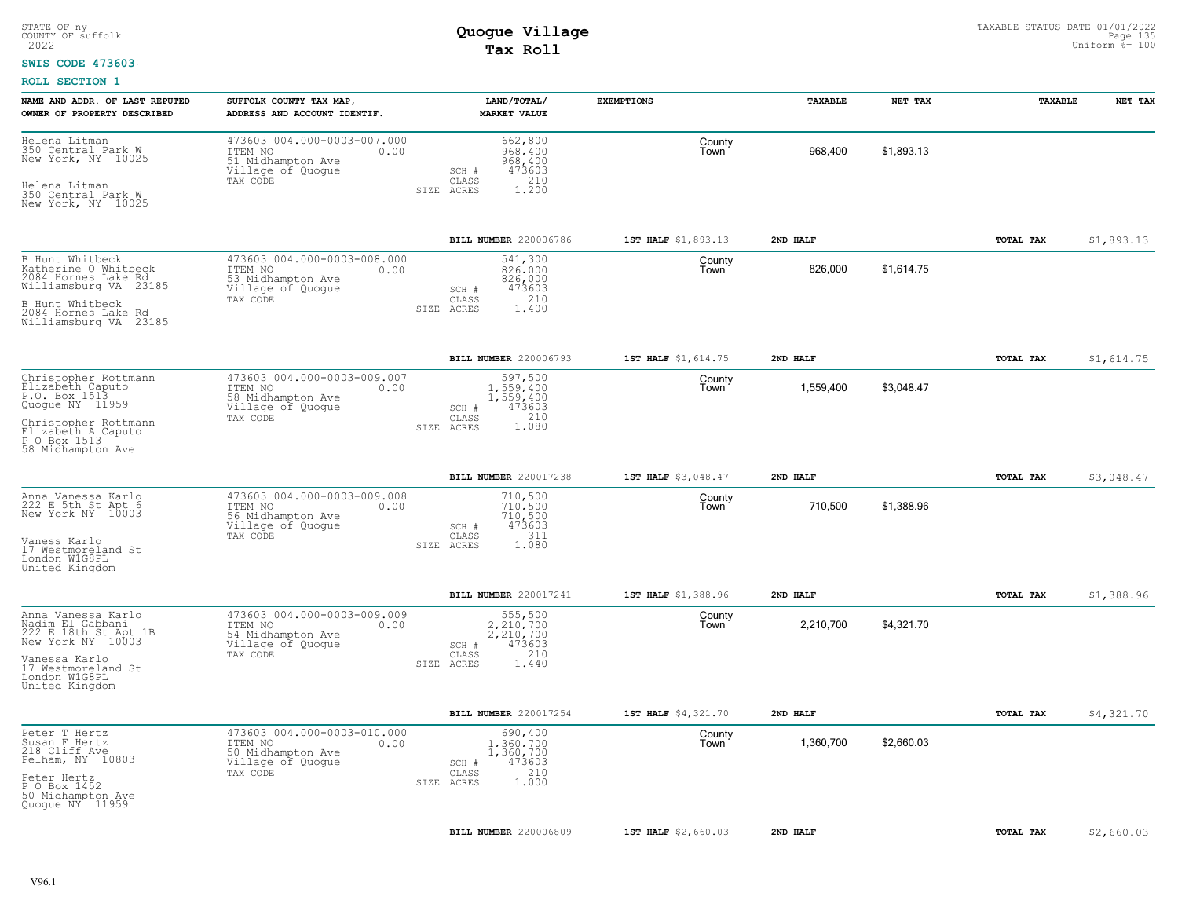#### **SWIS CODE 473603**

| NAME AND ADDR. OF LAST REPUTED<br>OWNER OF PROPERTY DESCRIBED                                                                                                 | SUFFOLK COUNTY TAX MAP,<br>ADDRESS AND ACCOUNT IDENTIF.                                              | LAND/TOTAL/<br><b>MARKET VALUE</b>                                                                     | <b>EXEMPTIONS</b>   | <b>TAXABLE</b> | NET TAX    | <b>TAXABLE</b> | NET TAX    |
|---------------------------------------------------------------------------------------------------------------------------------------------------------------|------------------------------------------------------------------------------------------------------|--------------------------------------------------------------------------------------------------------|---------------------|----------------|------------|----------------|------------|
| Helena Litman<br>350 Central Park W<br>New York, NY 10025<br>Helena Litman<br>350 Central Park W<br>New York, NY 10025                                        | 473603 004.000-0003-007.000<br>ITEM NO<br>0.00<br>51 Midhampton Ave<br>Village of Quogue<br>TAX CODE | 662,800<br>968,400<br>968,400<br>473603<br>$SCH$ $#$<br>210<br>CLASS<br>1.200<br>SIZE ACRES            | County<br>Town      | 968,400        | \$1,893.13 |                |            |
|                                                                                                                                                               |                                                                                                      | BILL NUMBER 220006786                                                                                  | 1ST HALF \$1,893.13 | 2ND HALF       |            | TOTAL TAX      | \$1,893.13 |
| B Hunt Whitbeck<br>Katherine O Whitbeck<br>2084 Hornes Lake Rd<br>Williamsburg VA 23185<br>B Hunt Whitbeck<br>2084 Hornes Lake Rd<br>Williamsburg VA 23185    | 473603 004.000-0003-008.000<br>ITEM NO<br>0.00<br>53 Midhampton Ave<br>Village of Quogue<br>TAX CODE | 541,300<br>826,000<br>826,000<br>473603<br>SCH #<br>210<br>CLASS<br>SIZE ACRES<br>1,400                | County<br>Town      | 826,000        | \$1,614.75 |                |            |
|                                                                                                                                                               |                                                                                                      | BILL NUMBER 220006793                                                                                  | 1ST HALF \$1,614.75 | 2ND HALF       |            | TOTAL TAX      | \$1,614.75 |
| Christopher Rottmann<br>Elizabeth Caputo<br>P.O. Box 1513<br>Quogue NY 11959<br>Christopher Rottmann                                                          | 473603 004.000-0003-009.007<br>ITEM NO<br>0.00<br>58 Midhampton Ave<br>Village of Quogue<br>TAX CODE | 597,500<br>1,559,400<br>1,559,400<br>473603<br>SCH #<br>210<br>CLASS                                   | County<br>Town      | 1,559,400      | \$3,048.47 |                |            |
| Elizabeth A Caputo<br>P O Box 1513<br>58 Midhampton Ave                                                                                                       |                                                                                                      | 1.080<br>SIZE ACRES                                                                                    |                     |                |            |                |            |
|                                                                                                                                                               |                                                                                                      | BILL NUMBER 220017238                                                                                  | 1ST HALF \$3,048.47 | 2ND HALF       |            | TOTAL TAX      | \$3,048.47 |
| Anna Vanessa Karlo<br>222 E 5th St Apt 6<br>New York NY 10003<br>Vaness Karlo<br>17 Westmoreland St<br>London W1G8PL<br>United Kingdom                        | 473603 004.000-0003-009.008<br>ITEM NO<br>0.00<br>56 Midhampton Ave<br>Village of Quogue<br>TAX CODE | 710,500<br>710,500<br>710,500<br>473603<br>SCH #<br>311<br>CLASS<br>1.080<br>SIZE ACRES                | County<br>Town      | 710,500        | \$1,388.96 |                |            |
|                                                                                                                                                               |                                                                                                      | BILL NUMBER 220017241                                                                                  | 1ST HALF \$1,388.96 | 2ND HALF       |            | TOTAL TAX      | \$1,388.96 |
| Anna Vanessa Karlo<br>Nadim El Gabbani<br>222 E 18th St Apt 1B<br>New York NY 10003<br>Vanessa Karlo<br>17 Westmoreland St<br>London W1G8PL<br>United Kingdom | 473603 004.000-0003-009.009<br>ITEM NO<br>0.00<br>54 Midhampton Ave<br>Village of Quogue<br>TAX CODE | 555,500<br>2.210.700<br>2,210,700<br>473603<br>SCH #<br>210<br>CLASS<br>SIZE ACRES<br>1.440            | County<br>Town      | 2,210,700      | \$4,321.70 |                |            |
|                                                                                                                                                               |                                                                                                      | BILL NUMBER 220017254                                                                                  | 1ST HALF \$4,321.70 | 2ND HALF       |            | TOTAL TAX      | \$4,321.70 |
| Peter T Hertz<br>Susan F Hertz<br>218 Cliff Ave<br>Pelham, NY 10803<br>Peter Hertz<br>P O Box 1452<br>50 Midhampton Ave<br>Quoque NY 11959                    | 473603 004.000-0003-010.000<br>0.00<br>ITEM NO<br>50 Midhampton Ave<br>Village of Quogue<br>TAX CODE | 690,400<br>1.360.700<br>1,360,700<br>473603<br>SCH #<br>210<br>$\mathtt{CLASS}$<br>1,000<br>SIZE ACRES | County<br>Town      | 1,360,700      | \$2,660.03 |                |            |
|                                                                                                                                                               |                                                                                                      | <b>BILL NUMBER 220006809</b>                                                                           | 1ST HALF \$2,660.03 | 2ND HALF       |            | TOTAL TAX      | \$2,660.03 |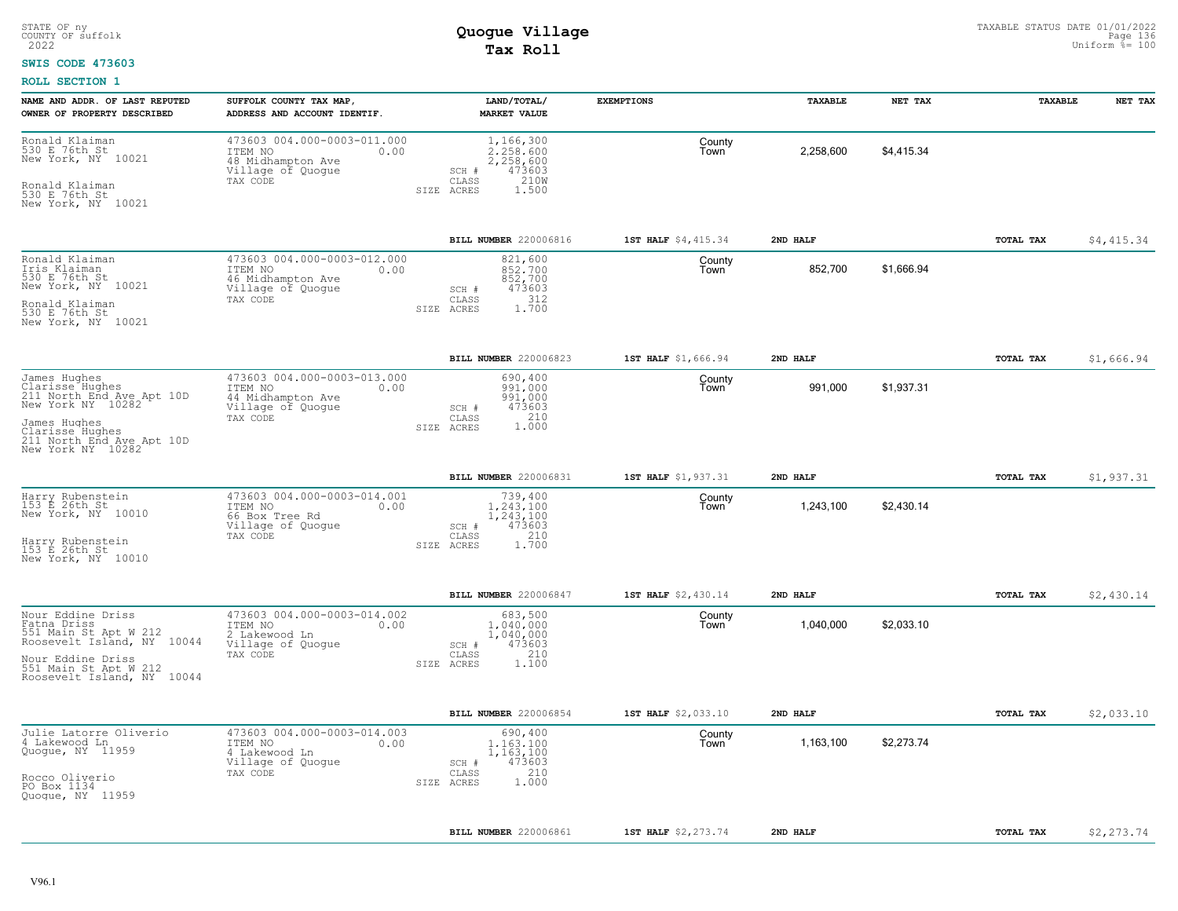#### **SWIS CODE 473603**

| NAME AND ADDR. OF LAST REPUTED<br>OWNER OF PROPERTY DESCRIBED                                                                  | SUFFOLK COUNTY TAX MAP,<br>ADDRESS AND ACCOUNT IDENTIF.                                              | LAND/TOTAL/<br><b>MARKET VALUE</b>                                                             | <b>EXEMPTIONS</b>   | <b>TAXABLE</b> | NET TAX    | <b>TAXABLE</b> | NET TAX    |
|--------------------------------------------------------------------------------------------------------------------------------|------------------------------------------------------------------------------------------------------|------------------------------------------------------------------------------------------------|---------------------|----------------|------------|----------------|------------|
| Ronald Klaiman<br>530 E 76th St<br>New York, NY 10021<br>Ronald Klaiman<br>530 E 76th St<br>New York, NY 10021                 | 473603 004.000-0003-011.000<br>ITEM NO<br>0.00<br>48 Midhampton Ave<br>Village of Quogue<br>TAX CODE | 1,166,300<br>2,258,600<br>2,258,600<br>473603<br>SCH #<br>210W<br>CLASS<br>SIZE ACRES<br>1.500 | County<br>Town      | 2,258,600      | \$4,415.34 |                |            |
|                                                                                                                                |                                                                                                      | BILL NUMBER 220006816                                                                          | 1ST HALF \$4,415.34 | 2ND HALF       |            | TOTAL TAX      | \$4,415.34 |
| Ronald Klaiman<br>Iris Klaiman<br>530 E 76th St<br>New York, NY 10021<br>Ronald Klaiman<br>530 E 76th St<br>New York, NY 10021 | 473603 004.000-0003-012.000<br>ITEM NO<br>0.00<br>46 Midhampton Ave<br>Village of Quogue<br>TAX CODE | 821,600<br>852,700<br>852,700<br>473603<br>SCH #<br>312<br>CLASS<br>1,700<br>SIZE ACRES        | County<br>l own     | 852,700        | \$1,666.94 |                |            |
|                                                                                                                                |                                                                                                      | BILL NUMBER 220006823                                                                          | 1ST HALF \$1,666.94 | 2ND HALF       |            | TOTAL TAX      | \$1,666.94 |
| James Hughes<br>Clarisse Hughes<br>211 North End Ave Apt 10D<br>New York NY 10282<br>James Hughes                              | 473603 004.000-0003-013.000<br>ITEM NO<br>0.00<br>44 Midhampton Ave<br>Village of Quoque<br>TAX CODE | 690,400<br>991,000<br>991,000<br>473603<br>SCH #<br>210<br>CLASS                               | County<br>Town      | 991,000        | \$1,937.31 |                |            |
| Clarisse Hughes<br>211 North End Ave Apt 10D<br>New York NY 10282                                                              |                                                                                                      | 1,000<br>SIZE ACRES                                                                            |                     |                |            |                |            |
|                                                                                                                                |                                                                                                      | BILL NUMBER 220006831                                                                          | 1ST HALF \$1,937.31 | 2ND HALF       |            | TOTAL TAX      | \$1,937.31 |
| Harry Rubenstein<br>153 E 26th St<br>New York, NY 10010<br>Harry Rubenstein<br>153 E 26th St<br>New York, NY 10010             | 473603 004.000-0003-014.001<br>ITEM NO<br>0.00<br>66 Box Tree Rd<br>Village of Quogue<br>TAX CODE    | 739,400<br>1,243,100<br>1,243,100<br>473603<br>SCH #<br>210<br>CLASS<br>1,700<br>SIZE ACRES    | County<br>Town      | 1,243,100      | \$2,430.14 |                |            |
|                                                                                                                                |                                                                                                      | BILL NUMBER 220006847                                                                          | 1ST HALF \$2,430.14 | 2ND HALF       |            | TOTAL TAX      | \$2,430.14 |
| Nour Eddine Driss<br>Fatna Driss<br>551 Main St Apt W 212<br>Roosevelt Island, NY 10044                                        | 473603 004.000-0003-014.002<br>ITEM NO<br>0.00<br>2 Lakewood Ln<br>Village of Quogue                 | 683,500<br>1,040,000<br>1,040,000<br>473603<br>SCH #                                           | County<br>Town      | 1,040,000      | \$2,033.10 |                |            |
| Nour Eddine Driss<br>551 Main St Apt W 212<br>Roosevelt Island, NY 10044                                                       | TAX CODE                                                                                             | 210<br>CLASS<br>SIZE ACRES<br>1,100                                                            |                     |                |            |                |            |
|                                                                                                                                |                                                                                                      | BILL NUMBER 220006854                                                                          | 1ST HALF \$2,033.10 | 2ND HALF       |            | TOTAL TAX      | \$2,033.10 |
| Julie Latorre Oliverio<br>4 Lakewood Ln<br>Quogue, NY 11959<br>Rocco Oliverio                                                  | 473603 004.000-0003-014.003<br>0.00<br>ITEM NO<br>4 Lakewood Ln<br>Village of Quogue<br>TAX CODE     | 690,400<br>1,163,100<br>1,163,100<br>473603<br>SCH #<br>210<br>CLASS                           | County<br>Town      | 1,163,100      | \$2,273.74 |                |            |
| PO Box 1134<br>Quoque, NY 11959                                                                                                |                                                                                                      | 1.000<br>SIZE ACRES                                                                            |                     |                |            |                |            |
|                                                                                                                                |                                                                                                      | BILL NUMBER 220006861                                                                          | 1ST HALF \$2,273.74 | 2ND HALF       |            | TOTAL TAX      | \$2,273.74 |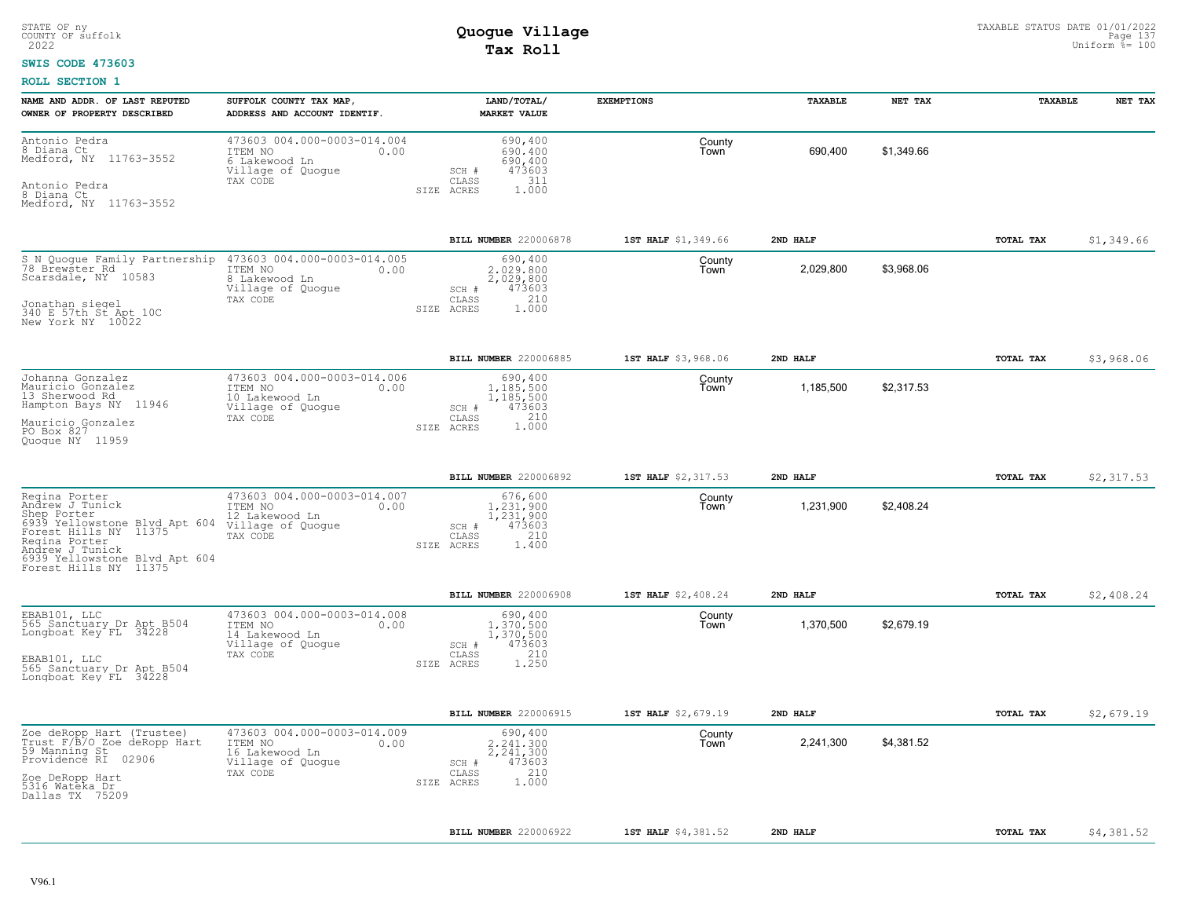### **SWIS CODE 473603**

| NAME AND ADDR. OF LAST REPUTED<br>OWNER OF PROPERTY DESCRIBED                                                                                                                                           | SUFFOLK COUNTY TAX MAP,<br>ADDRESS AND ACCOUNT IDENTIF.                                           | LAND/TOTAL/<br><b>MARKET VALUE</b>                                                          | <b>EXEMPTIONS</b>   | <b>TAXABLE</b> | NET TAX    | <b>TAXABLE</b> | NET TAX    |
|---------------------------------------------------------------------------------------------------------------------------------------------------------------------------------------------------------|---------------------------------------------------------------------------------------------------|---------------------------------------------------------------------------------------------|---------------------|----------------|------------|----------------|------------|
| Antonio Pedra<br>8 Diana Ct<br>Medford, NY 11763-3552<br>Antonio Pedra<br>8 Diana Ct<br>Medford, NY 11763-3552                                                                                          | 473603 004.000-0003-014.004<br>ITEM NO<br>0.00<br>6 Lakewood Ln<br>Village of Quogue<br>TAX CODE  | 690,400<br>690,400<br>690,400<br>473603<br>SCH #<br>311<br>CLASS<br>1.000<br>SIZE ACRES     | County<br>Town      | 690,400        | \$1,349.66 |                |            |
|                                                                                                                                                                                                         |                                                                                                   | BILL NUMBER 220006878                                                                       | 1ST HALF \$1,349.66 | 2ND HALF       |            | TOTAL TAX      | \$1,349.66 |
| S N Quogue Family Partnership<br>78 Brewster Rd<br>Scarsdale, NY 10583<br>Jonathan siegel<br>340 E 57th St Apt 10C<br>New York NY 10022                                                                 | 473603 004.000-0003-014.005<br>ITEM NO<br>0.00<br>8 Lakewood Ln<br>Village of Quoque<br>TAX CODE  | 690,400<br>2,029,800<br>2,029,800<br>473603<br>SCH #<br>210<br>CLASS<br>SIZE ACRES<br>1,000 | County<br>Town      | 2,029,800      | \$3.968.06 |                |            |
|                                                                                                                                                                                                         |                                                                                                   | BILL NUMBER 220006885                                                                       | 1ST HALF \$3,968.06 | 2ND HALF       |            | TOTAL TAX      | \$3,968.06 |
| Johanna Gonzalez<br>Mauricio Gonzalez<br>13 Sherwood Rd<br>Hampton Bays NY 11946<br>Mauricio Gonzalez<br>PO Box 827<br>Quoque NY 11959                                                                  | 473603 004.000-0003-014.006<br>ITEM NO<br>0.00<br>10 Lakewood Ln<br>Village of Quogue<br>TAX CODE | 690,400<br>1,185,500<br>1,185,500<br>473603<br>SCH #<br>210<br>CLASS<br>1.000<br>SIZE ACRES | County<br>Town      | 1,185,500      | \$2,317.53 |                |            |
|                                                                                                                                                                                                         |                                                                                                   | BILL NUMBER 220006892                                                                       | 1ST HALF \$2,317.53 | 2ND HALF       |            | TOTAL TAX      | \$2,317.53 |
| Regina Porter<br>Andrew J Tunick<br>Shep Porter<br>6939 Yellowstone Blyd Apt 604<br>Forest Hills NY 11375<br>Regina Porter<br>Andrew J Tunick<br>6939 Yellowstone Blvd Apt 604<br>Forest Hills NY 11375 | 473603 004.000-0003-014.007<br>ITEM NO<br>0.00<br>12 Lakewood Ln<br>Village of Quogue<br>TAX CODE | 676,600<br>1,231,900<br>1,231,900<br>473603<br>SCH #<br>210<br>CLASS<br>SIZE ACRES<br>1.400 | County<br>Town      | 1,231,900      | \$2,408.24 |                |            |
|                                                                                                                                                                                                         |                                                                                                   | <b>BILL NUMBER 220006908</b>                                                                | 1ST HALF \$2,408.24 | 2ND HALF       |            | TOTAL TAX      | \$2,408.24 |
| EBAB101, LLC<br>565 Sanctuary Dr Apt B504<br>Longboat Key FL 34228<br>EBAB101, LLC<br>565 Sanctuary Dr Apt B504<br>Longboat Key FL 34228                                                                | 473603 004.000-0003-014.008<br>ITEM NO<br>0.00<br>14 Lakewood Ln<br>Village of Quogue<br>TAX CODE | 690,400<br>1.370.500<br>1,370,500<br>473603<br>SCH #<br>210<br>CLASS<br>1.250<br>SIZE ACRES | County<br>Town      | 1,370,500      | \$2,679.19 |                |            |
|                                                                                                                                                                                                         |                                                                                                   | BILL NUMBER 220006915                                                                       | 1ST HALF \$2,679.19 | 2ND HALF       |            | TOTAL TAX      | \$2,679.19 |
| Zoe deRopp Hart (Trustee)<br>Trust F/B/O_Zoe deRopp Hart<br>59 Manning St<br>Providence RI<br>02906<br>Zoe DeRopp Hart<br>5316 Wateka Dr.<br>Dallas TX 75209                                            | 473603 004.000-0003-014.009<br>ITEM NO<br>0.00<br>16 Lakewood Ln<br>Village of Quogue<br>TAX CODE | 690,400<br>2.241.300<br>2,241,300<br>473603<br>SCH #<br>210<br>CLASS<br>1,000<br>SIZE ACRES | County<br>Town      | 2,241,300      | \$4,381.52 |                |            |
|                                                                                                                                                                                                         |                                                                                                   | BILL NUMBER 220006922                                                                       | 1ST HALF \$4,381.52 | 2ND HALF       |            | TOTAL TAX      | \$4,381.52 |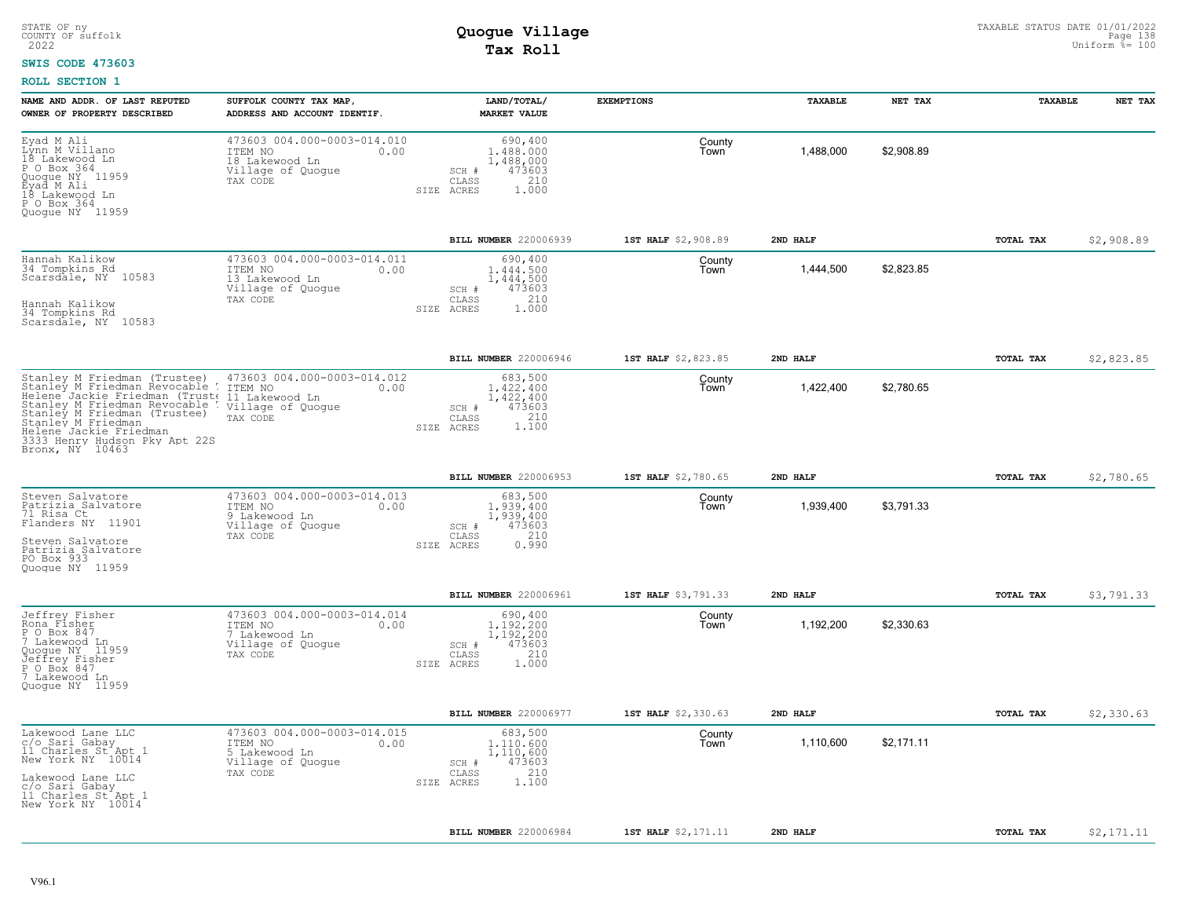### **SWIS CODE 473603**

| NAME AND ADDR. OF LAST REPUTED<br>OWNER OF PROPERTY DESCRIBED                                                                                                                                                                                                                                                   | SUFFOLK COUNTY TAX MAP,<br>ADDRESS AND ACCOUNT IDENTIF.                                           | LAND/TOTAL/<br><b>MARKET VALUE</b>                                                          | <b>EXEMPTIONS</b>   | TAXABLE   | NET TAX    | TAXABLE          | NET TAX    |
|-----------------------------------------------------------------------------------------------------------------------------------------------------------------------------------------------------------------------------------------------------------------------------------------------------------------|---------------------------------------------------------------------------------------------------|---------------------------------------------------------------------------------------------|---------------------|-----------|------------|------------------|------------|
| Eyad M Ali<br>Lýnn M Villano<br>18 Lakewood Ln<br>P O Box 364<br>Quoque NY 11959<br>Éyad M Ali<br>18 Lakewood Ln<br>P O Box 364<br>Quogue NY 11959                                                                                                                                                              | 473603 004.000-0003-014.010<br>ITEM NO<br>0.00<br>18 Lakewood Ln<br>Village of Quogue<br>TAX CODE | 690,400<br>1,488,000<br>1,488,000<br>473603<br>SCH #<br>210<br>CLASS<br>1,000<br>SIZE ACRES | County<br>Town      | 1.488.000 | \$2,908.89 |                  |            |
|                                                                                                                                                                                                                                                                                                                 |                                                                                                   | BILL NUMBER 220006939                                                                       | 1ST HALF \$2,908.89 | 2ND HALF  |            | TOTAL TAX        | \$2,908.89 |
| Hannah Kalikow<br>34 Tompkins Rd<br>Scarsdale, NY 10583<br>Hannah Kalikow<br>34 Tompkins Rd<br>Scarsdale, NY 10583                                                                                                                                                                                              | 473603 004.000-0003-014.011<br>ITEM NO<br>0.00<br>13 Lakewood Ln<br>Village of Quogue<br>TAX CODE | 690,400<br>1,444,500<br>1,444,500<br>473603<br>SCH #<br>210<br>CLASS<br>SIZE ACRES<br>1,000 | County<br>Town      | 1,444,500 | \$2,823.85 |                  |            |
|                                                                                                                                                                                                                                                                                                                 |                                                                                                   | BILL NUMBER 220006946                                                                       | 1ST HALF \$2,823.85 | 2ND HALF  |            | TOTAL TAX        | \$2,823.85 |
| Stanley M Friedman (Trustee)<br>Stanley M Friedman Revocable ! ITEM NO<br>Helene Jackie Friedman (Trust, 11 Lakewood Ln<br>Stanley M Friedman Revocable : Village of Quogue<br>Stanley M Friedman (Trustee)<br>Stanley M Friedman<br>Helene Jackie Friedman<br>3333 Henry Hudson Pky Apt 22S<br>Bronx, NY 10463 | 473603 004.000-0003-014.012<br>0.00<br>TAX CODE                                                   | 683,500<br>1.422.400<br>1,422,400<br>473603<br>SCH #<br>210<br>CLASS<br>1.100<br>SIZE ACRES | County<br>Town      | 1,422,400 | \$2,780.65 |                  |            |
|                                                                                                                                                                                                                                                                                                                 |                                                                                                   | BILL NUMBER 220006953                                                                       | 1ST HALF \$2,780.65 | 2ND HALF  |            | TOTAL TAX        | \$2,780.65 |
| Steven Salvatore<br>Patrizia Salvatore<br>71 Risa Ct<br>Flanders NY 11901<br>Steven Salvatore<br>Patrizia Salvatore<br>PO Box 933<br>Quoque NY 11959                                                                                                                                                            | 473603 004.000-0003-014.013<br>ITEM NO<br>0.00<br>9 Lakewood Ln<br>Village of Quogue<br>TAX CODE  | 683,500<br>1,939,400<br>1,939,400<br>473603<br>SCH #<br>210<br>CLASS<br>0.990<br>SIZE ACRES | County<br>Town      | 1,939,400 | \$3,791.33 |                  |            |
|                                                                                                                                                                                                                                                                                                                 |                                                                                                   | BILL NUMBER 220006961                                                                       | 1ST HALF \$3,791.33 | 2ND HALF  |            | TOTAL TAX        | \$3,791.33 |
| Jeffrey Fisher<br>Rona Fisher<br>P O Box 847<br>7 Lakewood<br>Lakewood Ln<br>Quogue NY 11959<br>Jeffrey Fisher<br>P O Box 847<br>7 Lakewood Ln<br>Quogue NY 11959                                                                                                                                               | 473603 004.000-0003-014.014<br>ITEM NO<br>0.00<br>7 Lakewood Ln<br>Village of Quogue<br>TAX CODE  | 690,400<br>1,192,200<br>1,192,200<br>473603<br>SCH #<br>210<br>CLASS<br>1.000<br>SIZE ACRES | County<br>Town      | 1,192,200 | \$2,330.63 |                  |            |
|                                                                                                                                                                                                                                                                                                                 |                                                                                                   | BILL NUMBER 220006977                                                                       | 1ST HALF \$2,330.63 | 2ND HALF  |            | <b>TOTAL TAX</b> | \$2,330.63 |
| Lakewood Lane LLC<br>c/o Sari Gabay<br>11 Charles St <sup>+</sup> Apt 1<br>New York NY 10014<br>Lakewood Lane LLC<br>c/o Sari Gabay<br>11 Charles St Apt 1<br>New York NY 10014                                                                                                                                 | 473603 004.000-0003-014.015<br>ITEM NO<br>0.00<br>5 Lakewood Ln<br>Village of Quogue<br>TAX CODE  | 683,500<br>1.110.600<br>1,110,600<br>473603<br>SCH #<br>210<br>CLASS<br>1,100<br>SIZE ACRES | County<br>Town      | 1,110,600 | \$2.171.11 |                  |            |
|                                                                                                                                                                                                                                                                                                                 |                                                                                                   | BILL NUMBER 220006984                                                                       | 1ST HALF \$2,171.11 | 2ND HALF  |            | <b>TOTAL TAX</b> | \$2,171.11 |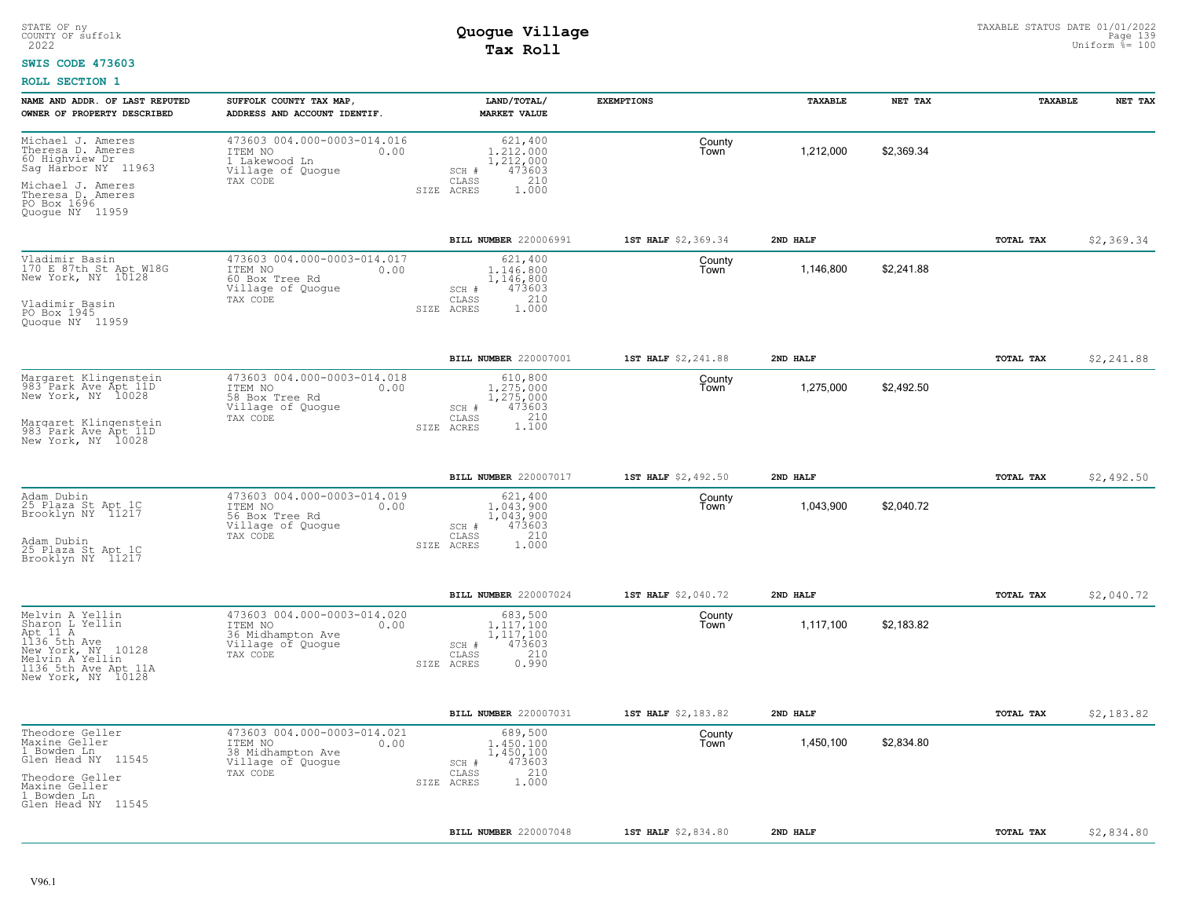#### **SWIS CODE 473603**

| NAME AND ADDR. OF LAST REPUTED<br>OWNER OF PROPERTY DESCRIBED                                                                                            | SUFFOLK COUNTY TAX MAP,<br>ADDRESS AND ACCOUNT IDENTIF.                                              | LAND/TOTAL/<br><b>MARKET VALUE</b>                                                              | <b>EXEMPTIONS</b>   | <b>TAXABLE</b> | NET TAX    | <b>TAXABLE</b> | NET TAX    |
|----------------------------------------------------------------------------------------------------------------------------------------------------------|------------------------------------------------------------------------------------------------------|-------------------------------------------------------------------------------------------------|---------------------|----------------|------------|----------------|------------|
| Michael J. Ameres<br>Theresa D. Ameres<br>60 Highview Dr<br>Sag Harbor NY 11963<br>Michael J. Ameres                                                     | 473603 004.000-0003-014.016<br>ITEM NO<br>0.00<br>1 Lakewood Ln<br>Village of Quogue<br>TAX CODE     | 621,400<br>1,212,000<br>1,212,000<br>473603<br>$SCH$ $#$<br>210<br>CLASS<br>1,000<br>SIZE ACRES | County<br>Town      | 1,212,000      | \$2.369.34 |                |            |
| Theresa D. Ameres<br>PO Box 1696<br>Quoque NY 11959                                                                                                      |                                                                                                      |                                                                                                 |                     |                |            |                |            |
|                                                                                                                                                          |                                                                                                      | BILL NUMBER 220006991                                                                           | 1ST HALF \$2,369.34 | 2ND HALF       |            | TOTAL TAX      | \$2,369.34 |
| Vladimir Basin<br>170 E 87th St Apt W18G<br>New York, NY 10128                                                                                           | 473603 004.000-0003-014.017<br>ITEM NO<br>0.00<br>60 Box Tree Rd<br>Village of Quoque                | 621,400<br>1.146.800<br>1,146,800<br>473603<br>SCH #<br>210<br>CLASS                            | County<br>Town      | 1,146,800      | \$2,241.88 |                |            |
| Vladimir Basin<br>PO Box 1945<br>Quoque NY 11959                                                                                                         | TAX CODE                                                                                             | 1,000<br>SIZE<br>ACRES                                                                          |                     |                |            |                |            |
|                                                                                                                                                          |                                                                                                      | BILL NUMBER 220007001                                                                           | 1ST HALF \$2,241.88 | 2ND HALF       |            | TOTAL TAX      | \$2,241.88 |
| Margaret Klingenstein<br>983 Park Ave Apt 11D<br>New York, NY 10028                                                                                      | 473603 004.000-0003-014.018<br>ITEM NO<br>0.00<br>58 Box Tree Rd<br>Village of Quogue                | 610,800<br>1,275,000<br>1,275,000<br>473603<br>SCH #                                            | County<br>Town      | 1,275,000      | \$2,492.50 |                |            |
| Margaret Klingenstein<br>983 Park Ave Apt 11D<br>New York, NY 10028                                                                                      | TAX CODE                                                                                             | 210<br>CLASS<br>1,100<br>SIZE ACRES                                                             |                     |                |            |                |            |
|                                                                                                                                                          |                                                                                                      | BILL NUMBER 220007017                                                                           | 1ST HALF \$2,492.50 | 2ND HALF       |            | TOTAL TAX      | \$2,492.50 |
| Adam Dubin<br>25 Plaza St Apt 1C<br>Brooklyn NY 11217                                                                                                    | 473603 004.000-0003-014.019<br>ITEM NO<br>0.00<br>56 Box Tree Rd<br>Village of Quogue                | 621,400<br>1,043,900<br>1,043,900<br>SCH #<br>473603<br>210                                     | County<br>Town      | 1,043,900      | \$2,040.72 |                |            |
| Adam Dubin<br>25 Plaza St Apt 1C<br>Brooklyn NY 11217                                                                                                    | TAX CODE                                                                                             | CLASS<br>1.000<br>SIZE ACRES                                                                    |                     |                |            |                |            |
|                                                                                                                                                          |                                                                                                      | BILL NUMBER 220007024                                                                           | 1ST HALF \$2,040.72 | 2ND HALF       |            | TOTAL TAX      | \$2,040.72 |
| Melvin A Yellin<br>Sharon L Yellin<br>Apt 11 A<br>1136 5th Ave<br>New York, NY<br>10128<br>Melvin A Yellin<br>1136 5th Ave Apt 11A<br>New York, NY 10128 | 473603 004.000-0003-014.020<br>ITEM NO<br>0.00<br>36 Midhampton Ave<br>Village of Quogue<br>TAX CODE | 683,500<br>1.117.100<br>1,117,100<br>473603<br>SCH #<br>210<br>CLASS<br>0.990<br>SIZE ACRES     | County<br>Town      | 1,117,100      | \$2,183.82 |                |            |
|                                                                                                                                                          |                                                                                                      | BILL NUMBER 220007031                                                                           | 1ST HALF \$2,183.82 | 2ND HALF       |            | TOTAL TAX      | \$2,183.82 |
| Theodore Geller<br>Maxine Geller<br>1 Bowden Ln                                                                                                          | 473603 004.000-0003-014.021<br>0.00<br>ITEM NO                                                       | 689,500<br>1,450,100                                                                            | County<br>Town      | 1,450,100      | \$2,834.80 |                |            |
| Glen Head NY 11545                                                                                                                                       | 38 Midhampton Ave<br>Village of Quogue<br>TAX CODE                                                   | 1,450,100<br>473603<br>SCH #<br>210<br>CLASS                                                    |                     |                |            |                |            |
| Theodore Geller<br>Maxine Geller<br>1 Bowden Ln<br>Glen Head NY 11545                                                                                    |                                                                                                      | 1.000<br>SIZE ACRES                                                                             |                     |                |            |                |            |
|                                                                                                                                                          |                                                                                                      | BILL NUMBER 220007048                                                                           | 1ST HALF \$2,834.80 | 2ND HALF       |            | TOTAL TAX      | \$2,834.80 |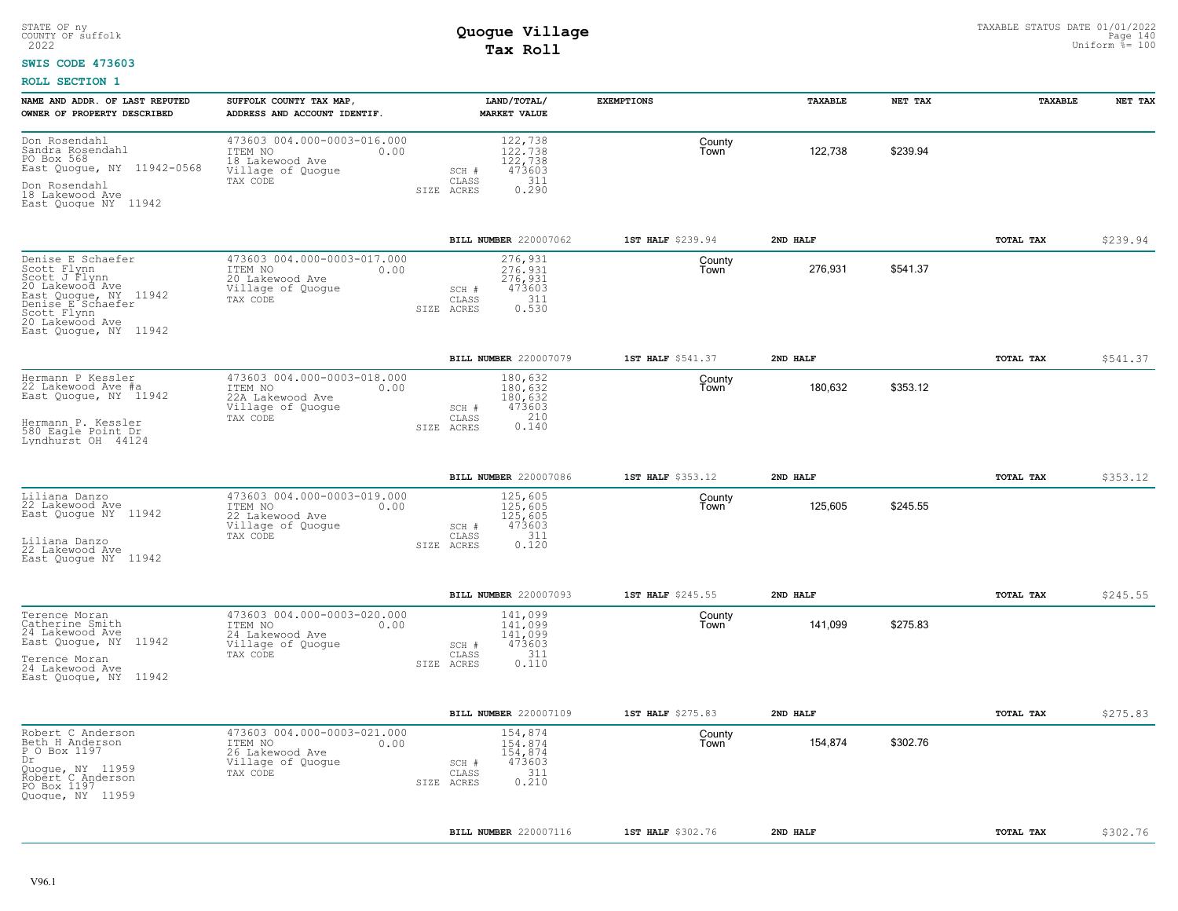### **SWIS CODE 473603**

| NAME AND ADDR. OF LAST REPUTED<br>OWNER OF PROPERTY DESCRIBED                                                                                                                 | SUFFOLK COUNTY TAX MAP,<br>ADDRESS AND ACCOUNT IDENTIF.                                             | LAND/TOTAL/<br><b>MARKET VALUE</b>                                                        | <b>EXEMPTIONS</b> | TAXABLE  | NET TAX  | TAXABLE   | NET TAX  |
|-------------------------------------------------------------------------------------------------------------------------------------------------------------------------------|-----------------------------------------------------------------------------------------------------|-------------------------------------------------------------------------------------------|-------------------|----------|----------|-----------|----------|
| Don Rosendahl<br>Sandra Rosendahl<br>PO Box 568<br>East Quogue, NY 11942-0568<br>Don Rosendahl<br>18 Lakewood Ave<br>East Quoque NY 11942                                     | 473603 004.000-0003-016.000<br>ITEM NO<br>0.00<br>18 Lakewood Ave<br>Village of Quogue<br>TAX CODE  | 122,738<br>122,738<br>122,738<br>473603<br>SCH #<br>311<br>CLASS<br>0.290<br>SIZE ACRES   | County<br>Town    | 122.738  | \$239.94 |           |          |
|                                                                                                                                                                               |                                                                                                     | BILL NUMBER 220007062                                                                     | 1ST HALF \$239.94 | 2ND HALF |          | TOTAL TAX | \$239.94 |
| Denise E Schaefer<br>Scott Flynn<br>Scott J Flynn<br>20 Lakewood Ave<br>East Quogue, NY 11942<br>Denise E Schaefer<br>Scott Flynn<br>20 Lakewood Ave<br>East Quoque, NY 11942 | 473603 004.000-0003-017.000<br>ITEM NO<br>0.00<br>20 Lakewood Ave<br>Village of Quoque<br>TAX CODE  | 276,931<br>276.931<br>276,931<br>473603<br>SCH #<br>311<br>CLASS<br>0.530<br>SIZE ACRES   | County<br>Town    | 276,931  | \$541.37 |           |          |
|                                                                                                                                                                               |                                                                                                     | BILL NUMBER 220007079                                                                     | 1ST HALF \$541.37 | 2ND HALF |          | TOTAL TAX | \$541.37 |
| Hermann P Kessler<br>22 Lakewood Ave #a<br>East Quogue, NY 11942<br>Hermann P. Kessler<br>580 Eagle Point Dr<br>Lyndhurst OH 44124                                            | 473603 004.000-0003-018.000<br>ITEM NO<br>0.00<br>22A Lakewood Ave<br>Village of Quogue<br>TAX CODE | 180,632<br>180.632<br>180,632<br>473603<br>SCH #<br>210<br>CLASS<br>0.140<br>SIZE ACRES   | County<br>Town    | 180,632  | \$353.12 |           |          |
|                                                                                                                                                                               |                                                                                                     | BILL NUMBER 220007086                                                                     | 1ST HALF \$353.12 | 2ND HALF |          | TOTAL TAX | \$353.12 |
| Liliana Danzo<br>22 Lakewood Ave<br>East Quoque NY 11942<br>Liliana Danzo<br>22 Lakewood Ave<br>East Quoque NY 11942                                                          | 473603 004.000-0003-019.000<br>ITEM NO<br>0.00<br>22 Lakewood Ave<br>Village of Quogue<br>TAX CODE  | 125,605<br>125,605<br>125,605<br>473603<br>SCH #<br>311<br>CLASS<br>0.120<br>SIZE ACRES   | County<br>Town    | 125,605  | \$245.55 |           |          |
|                                                                                                                                                                               |                                                                                                     | BILL NUMBER 220007093                                                                     | 1ST HALF \$245.55 | 2ND HALF |          | TOTAL TAX | \$245.55 |
| Terence Moran<br>Catherine Smith<br>24 Lakewood Ave<br>East Quogue, NY 11942<br>Terence Moran<br>24 Lakewood Ave<br>East Quoque, NY 11942                                     | 473603 004.000-0003-020.000<br>ITEM NO<br>0.00<br>24 Lakewood Ave<br>Village of Quoque<br>TAX CODE  | 141,099<br>141.099<br>141,099<br>473603<br>$SCH$ #<br>311<br>CLASS<br>0.110<br>SIZE ACRES | County<br>Town    | 141,099  | \$275.83 |           |          |
|                                                                                                                                                                               |                                                                                                     | BILL NUMBER 220007109                                                                     | 1ST HALF \$275.83 | 2ND HALF |          | TOTAL TAX | \$275.83 |
| Robert C Anderson<br>Beth H Anderson<br>P O Box 1197<br>Dr<br>Ouogue, NY 11959<br>Robert C Anderson<br>PO Box 1197<br>Quoque, NY 11959                                        | 473603 004.000-0003-021.000<br>ITEM NO<br>0.00<br>26 Lakewood Ave<br>Village of Quogue<br>TAX CODE  | 154,874<br>154,874<br>154,874<br>473603<br>SCH #<br>311<br>CLASS<br>0.210<br>SIZE ACRES   | County<br>Town    | 154.874  | \$302.76 |           |          |
|                                                                                                                                                                               |                                                                                                     | BILL NUMBER 220007116                                                                     | 1ST HALF \$302.76 | 2ND HALF |          | TOTAL TAX | \$302.76 |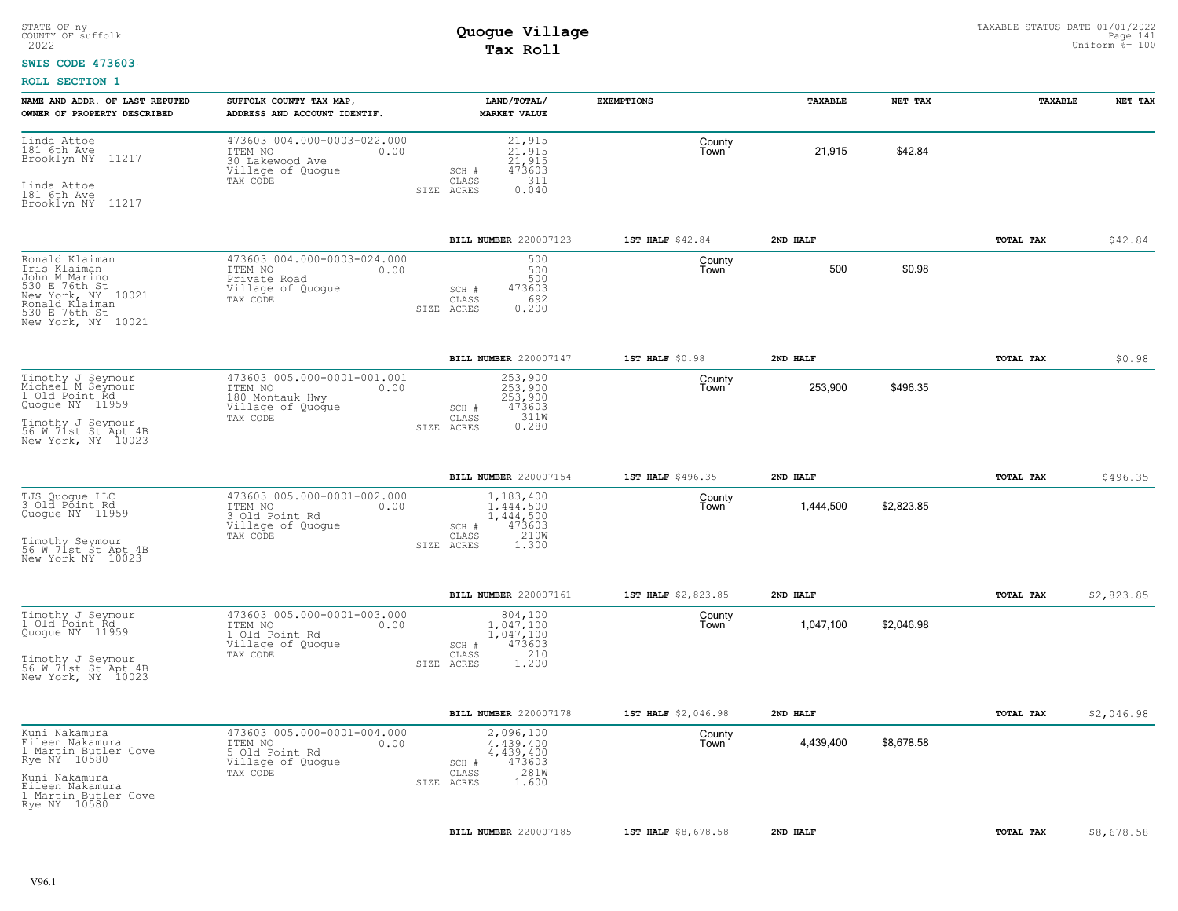### **SWIS CODE 473603**

| NAME AND ADDR. OF LAST REPUTED<br>OWNER OF PROPERTY DESCRIBED                                                                                        | SUFFOLK COUNTY TAX MAP,<br>ADDRESS AND ACCOUNT IDENTIF.                                            | LAND/TOTAL/<br><b>MARKET VALUE</b>                                                             | <b>EXEMPTIONS</b>   | TAXABLE   | NET TAX    | TAXABLE   | NET TAX    |
|------------------------------------------------------------------------------------------------------------------------------------------------------|----------------------------------------------------------------------------------------------------|------------------------------------------------------------------------------------------------|---------------------|-----------|------------|-----------|------------|
| Linda Attoe<br>181 6th Ave<br>11217<br>Brooklyn NY<br>Linda Attoe<br>181 6th Ave<br>Brooklyn NY 11217                                                | 473603 004.000-0003-022.000<br>ITEM NO<br>0.00<br>30 Lakewood Ave<br>Village of Quogue<br>TAX CODE | 21,915<br>21.915<br>21,915<br>473603<br>SCH #<br>311<br>CLASS<br>0.040<br>SIZE ACRES           | County<br>Town      | 21,915    | \$42.84    |           |            |
|                                                                                                                                                      |                                                                                                    | BILL NUMBER 220007123                                                                          | 1ST HALF \$42.84    | 2ND HALF  |            | TOTAL TAX | \$42.84    |
| Ronald Klaiman<br>Iris Klaiman<br>John M Marino<br>530 E 76th St<br>New York, NY 10021<br>Ronald Klaiman<br>530 E 76th St<br>New York, NY 10021      | 473603 004.000-0003-024.000<br>ITEM NO<br>0.00<br>Private Road<br>Village of Quogue<br>TAX CODE    | 500<br>500<br>500<br>473603<br>SCH #<br>692<br>CLASS<br>0.200<br>SIZE ACRES                    | County<br>Town      | 500       | \$0.98     |           |            |
|                                                                                                                                                      |                                                                                                    | BILL NUMBER 220007147                                                                          | 1ST HALF \$0.98     | 2ND HALF  |            | TOTAL TAX | \$0.98     |
| Timothy J Seymour<br>Michael M Seymour<br>1 Old Point Rd<br>Quogue NY 11959<br>Timothy J Seymour<br>56 W 71st St Apt 4B<br>New York, NY 10023        | 473603 005.000-0001-001.001<br>ITEM NO<br>0.00<br>180 Montauk Hwy<br>Village of Quogue<br>TAX CODE | 253,900<br>253,900<br>253,900<br>473603<br>SCH #<br>311W<br>0.280<br>CLASS<br>SIZE ACRES       | County<br>Town      | 253,900   | \$496.35   |           |            |
|                                                                                                                                                      |                                                                                                    | BILL NUMBER 220007154                                                                          | 1ST HALF \$496.35   | 2ND HALF  |            | TOTAL TAX | \$496.35   |
| TJS Quogue LLC<br>3 Old Point Rd<br>Quoque NY 11959<br>Timothy Seymour<br>56 W 71st St Apt 4B<br>New York NY 10023                                   | 473603 005.000-0001-002.000<br>ITEM NO<br>0.00<br>3 Old Point Rd<br>Village of Quoque<br>TAX CODE  | 1,183,400<br>1,444,500<br>1,444,500<br>473603<br>SCH #<br>210W<br>CLASS<br>SIZE ACRES<br>1.300 | County<br>Town      | 1,444,500 | \$2,823.85 |           |            |
|                                                                                                                                                      |                                                                                                    | BILL NUMBER 220007161                                                                          | 1ST HALF \$2,823.85 | 2ND HALF  |            | TOTAL TAX | \$2,823.85 |
| Timothy J Seymour<br>1 Old Point Rd<br>Quogue NY 11959<br>Timothy J Seymour<br>56 W 71st St Apt 4B<br>New York, NY 10023                             | 473603 005.000-0001-003.000<br>ITEM NO<br>0.00<br>1 Old Point Rd<br>Village of Quogue<br>TAX CODE  | 804,100<br>1,047,100<br>1,047,100<br>473603<br>SCH #<br>210<br>CLASS<br>1.200<br>SIZE ACRES    | County<br>Town      | 1,047,100 | \$2,046.98 |           |            |
|                                                                                                                                                      |                                                                                                    | BILL NUMBER 220007178                                                                          | 1ST HALF \$2,046.98 | 2ND HALF  |            | TOTAL TAX | \$2,046.98 |
| Kuni Nakamura<br>Eileen Nakamura<br>1 Martin Butler Cove<br>Rye NY 10580<br>Kuni Nakamura<br>Eileen Nakamura<br>1 Martin Butler Cove<br>Rye NY 10580 | 473603 005.000-0001-004.000<br>ITEM NO<br>0.00<br>5 Old Point Rd<br>Village of Quogue<br>TAX CODE  | 2,096,100<br>4.439.400<br>4,439,400<br>473603<br>SCH #<br>281W<br>CLASS<br>1.600<br>SIZE ACRES | County<br>Town      | 4,439,400 | \$8,678.58 |           |            |
|                                                                                                                                                      |                                                                                                    | <b>BILL NUMBER 220007185</b>                                                                   | 1ST HALF \$8,678.58 | 2ND HALF  |            | TOTAL TAX | \$8,678.58 |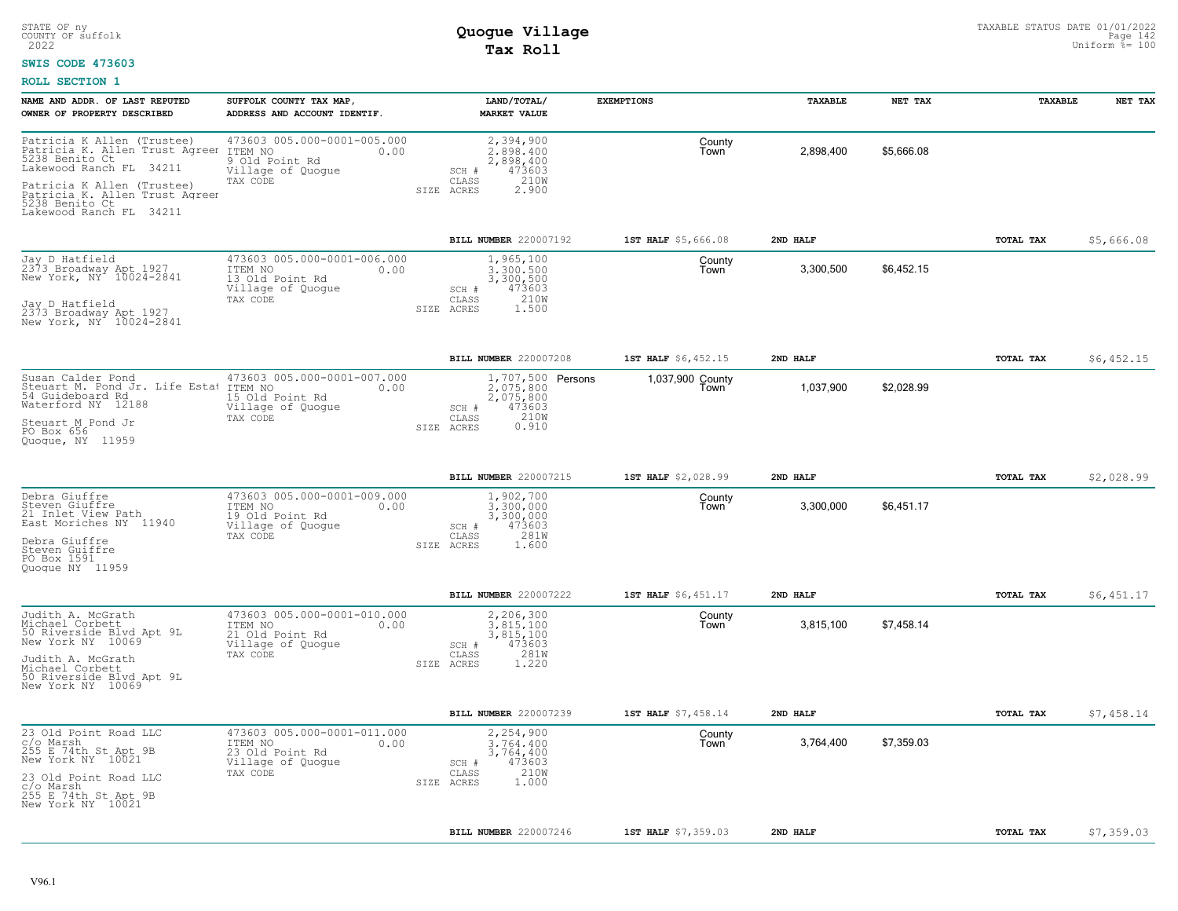### **SWIS CODE 473603**

| NAME AND ADDR. OF LAST REPUTED<br>OWNER OF PROPERTY DESCRIBED                                                                                                                                                          | SUFFOLK COUNTY TAX MAP,<br>ADDRESS AND ACCOUNT IDENTIF.                                            | LAND/TOTAL/<br><b>MARKET VALUE</b>                                                                     | <b>EXEMPTIONS</b>        | TAXABLE   | NET TAX    | TAXABLE          | NET TAX    |
|------------------------------------------------------------------------------------------------------------------------------------------------------------------------------------------------------------------------|----------------------------------------------------------------------------------------------------|--------------------------------------------------------------------------------------------------------|--------------------------|-----------|------------|------------------|------------|
| Patricia K Allen (Trustee)<br>Patricia K. Allen Trust Agreer<br>5238 Benito Ct<br>Lakewood Ranch FL 34211<br>Patricia K Allen (Trustee)<br>Patricia K. Allen Trust Agreen<br>5238 Benito Ct<br>Lakewood Ranch FL 34211 | 473603 005.000-0001-005.000<br>ITEM NO<br>0.00<br>9 Old Point Rd<br>Village of Quogue<br>TAX CODE  | 2,394,900<br>2,898,400<br>2,898,400<br>473603<br>SCH #<br>210W<br>CLASS<br>2.900<br>SIZE ACRES         | County<br>Town           | 2,898,400 | \$5,666.08 |                  |            |
|                                                                                                                                                                                                                        |                                                                                                    | BILL NUMBER 220007192                                                                                  | 1ST HALF \$5,666.08      | 2ND HALF  |            | TOTAL TAX        | \$5,666.08 |
| Jay D Hatfield<br>2373 Broadway Apt 1927<br>New York, NY 10024-2841<br>Jay D Hatfield<br>2373 Broadway Apt 1927<br>New York, NY 10024-2841                                                                             | 473603 005.000-0001-006.000<br>ITEM NO<br>0.00<br>13 Old Point Rd<br>Village of Quoque<br>TAX CODE | 1,965,100<br>3,300,500<br>3,300,500<br>473603<br>SCH #<br>210W<br>CLASS<br>SIZE ACRES<br>1.500         | County<br>Town           | 3,300,500 | \$6,452.15 |                  |            |
|                                                                                                                                                                                                                        |                                                                                                    | <b>BILL NUMBER 220007208</b>                                                                           | 1ST HALF \$6,452.15      | 2ND HALF  |            | TOTAL TAX        | \$6,452.15 |
| Susan Calder Pond<br>Steuart M. Pond Jr. Life Estat<br>54 Guideboard Rd<br>Waterford NY 12188<br>Steuart M Pond Jr<br>PO Box 656<br>Quoque, NY 11959                                                                   | 473603 005.000-0001-007.000<br>ITEM NO<br>0.00<br>15 Old Point Rd<br>Village of Quogue<br>TAX CODE | 1,707,500 Persons<br>2,075,800<br>2,075,800<br>SCH #<br>473603<br>210W<br>CLASS<br>0.910<br>SIZE ACRES | 1,037,900 County<br>Town | 1,037,900 | \$2,028.99 |                  |            |
|                                                                                                                                                                                                                        |                                                                                                    | <b>BILL NUMBER 220007215</b>                                                                           | 1ST HALF \$2,028.99      | 2ND HALF  |            | <b>TOTAL TAX</b> | \$2,028.99 |
| Debra Giuffre<br>Steven Giuffre<br>21 Inlet View Path<br>East Moriches NY 11940<br>Debra Giuffre<br>Steven Guiffre<br>PO Box 1591<br>Quoque NY 11959                                                                   | 473603 005.000-0001-009.000<br>ITEM NO<br>0.00<br>19 Old Point Rd<br>Village of Quoque<br>TAX CODE | 1,902,700<br>3,300,000<br>3,300,000<br>473603<br>SCH #<br>281W<br>CLASS<br>SIZE ACRES<br>1.600         | County<br>Town           | 3,300,000 | \$6,451.17 |                  |            |
|                                                                                                                                                                                                                        |                                                                                                    | <b>BILL NUMBER 220007222</b>                                                                           | 1ST HALF \$6,451.17      | 2ND HALF  |            | <b>TOTAL TAX</b> | \$6,451.17 |
| Judith A. McGrath<br>Michael Corbett<br>50 Riverside Blvd Apt 9L<br>New York NY 10069<br>Judith A. McGrath<br>Michael Corbett<br>50 Riverside Blyd Apt 9L<br>New York NY 10069                                         | 473603 005.000-0001-010.000<br>0.00<br>ITEM NO<br>21 Old Point Rd<br>Village of Quogue<br>TAX CODE | 2,206,300<br>3.815.100<br>3,815,100<br>473603<br>SCH #<br>CLASS<br>281W<br>SIZE ACRES<br>1.220         | County<br>Town           | 3,815,100 | \$7,458.14 |                  |            |
|                                                                                                                                                                                                                        |                                                                                                    | <b>BILL NUMBER 220007239</b>                                                                           | 1ST HALF \$7,458.14      | 2ND HALF  |            | TOTAL TAX        | \$7,458.14 |
| 23 Old Point Road LLC<br>c/o Marsh<br>255 E 74th St Apt 9B<br>New York NY 10021<br>23 Old Point Road LLC<br>c/o Marsh<br>255 E 74th St Apt 9B<br>New York NY 10021                                                     | 473603 005.000-0001-011.000<br>ITEM NO<br>0.00<br>23 Old Point Rd<br>Village of Quogue<br>TAX CODE | 2,254,900<br>3,764,400<br>3,764,400<br>473603<br>SCH #<br>210W<br>CLASS<br>1,000<br>SIZE ACRES         | County<br>Town           | 3,764,400 | \$7,359.03 |                  |            |
|                                                                                                                                                                                                                        |                                                                                                    | BILL NUMBER 220007246                                                                                  | 1ST HALF \$7,359.03      | 2ND HALF  |            | TOTAL TAX        | \$7,359.03 |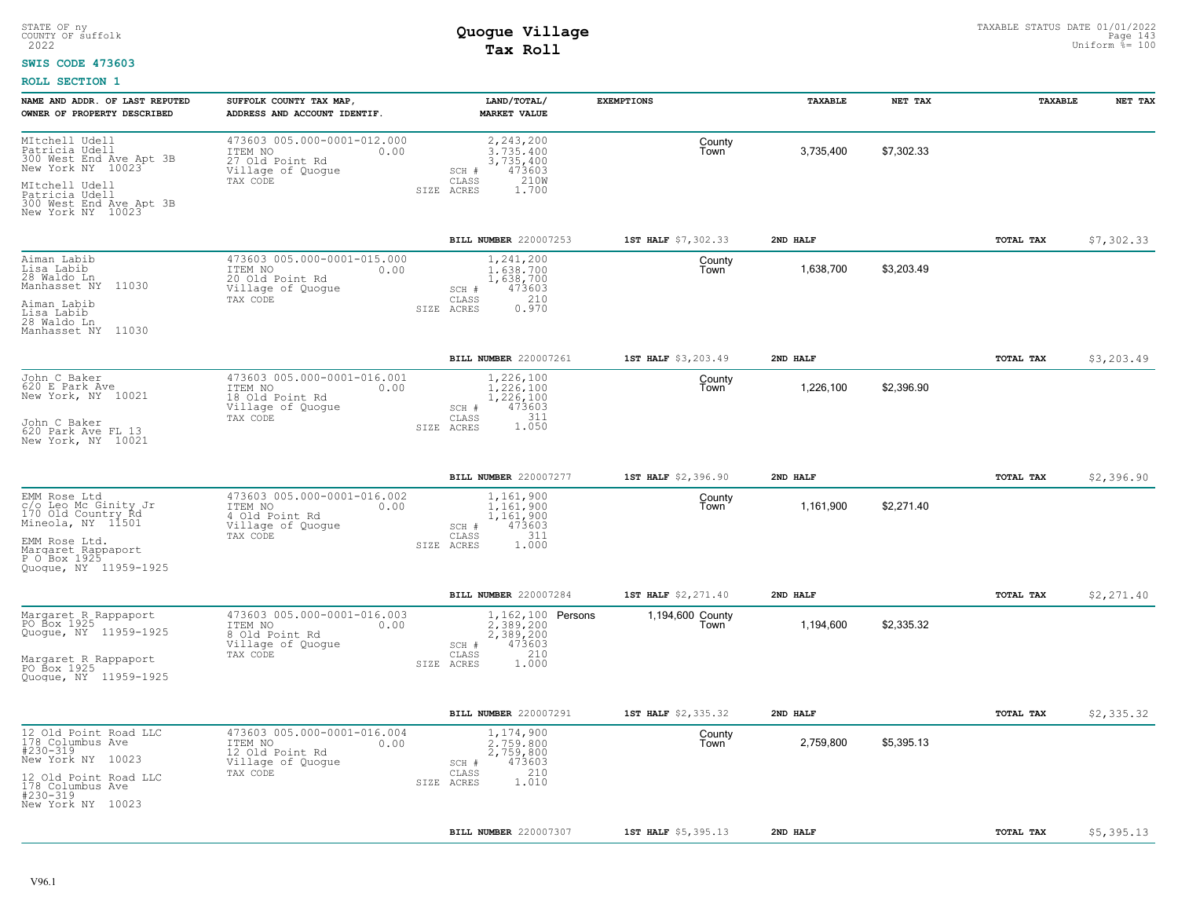#### **SWIS CODE 473603**

| NAME AND ADDR. OF LAST REPUTED<br>OWNER OF PROPERTY DESCRIBED                                                                                                   | SUFFOLK COUNTY TAX MAP,<br>ADDRESS AND ACCOUNT IDENTIF.                                            | LAND/TOTAL/<br><b>MARKET VALUE</b>                                                                      | <b>EXEMPTIONS</b>        | TAXABLE   | NET TAX    | TAXABLE   | NET TAX    |
|-----------------------------------------------------------------------------------------------------------------------------------------------------------------|----------------------------------------------------------------------------------------------------|---------------------------------------------------------------------------------------------------------|--------------------------|-----------|------------|-----------|------------|
| MItchell Udell<br>Patricia Udell<br>300 West End Ave Apt 3B<br>New York NY 10023<br>MItchell Udell<br>Patricia Udell<br>300 West End Ave Apt 3B                 | 473603 005.000-0001-012.000<br>ITEM NO<br>0.00<br>27 Old Point Rd<br>Village of Quogue<br>TAX CODE | 2,243,200<br>3.735.400<br>3,735,400<br>473603<br>SCH #<br>210W<br>CLASS<br>SIZE ACRES<br>1,700          | County<br>Town           | 3,735,400 | \$7,302.33 |           |            |
| New York NY 10023                                                                                                                                               |                                                                                                    | BILL NUMBER 220007253                                                                                   | 1ST HALF \$7,302.33      | 2ND HALF  |            | TOTAL TAX | \$7,302.33 |
| Aiman Labib<br>Lisa Labib<br>$28$ Waldo Ln<br>Manhasset NY 11030<br>Aiman Labib<br>Lisa Labib<br>28 Waldo Ln<br>Manhasset NY 11030                              | 473603 005.000-0001-015.000<br>ITEM NO<br>0.00<br>20 Old Point Rd<br>Village of Quogue<br>TAX CODE | 1,241,200<br>1,638,700<br>1,638,700<br>473603<br>SCH #<br>210<br>CLASS<br>SIZE ACRES<br>0.970           | County<br>Town           | 1,638,700 | \$3,203.49 |           |            |
|                                                                                                                                                                 |                                                                                                    | BILL NUMBER 220007261                                                                                   | 1ST HALF \$3,203.49      | 2ND HALF  |            | TOTAL TAX | \$3,203.49 |
| John C Baker<br>620 E Park Ave<br>New York, NY 10021<br>John C Baker<br>620 Park Ave FL 13<br>New York, NY 10021                                                | 473603 005.000-0001-016.001<br>ITEM NO<br>0.00<br>18 Old Point Rd<br>Village of Quogue<br>TAX CODE | 1,226,100<br>1,226,100<br>1,226,100<br>473603<br>SCH #<br>CLASS<br>311<br>1.050<br>SIZE ACRES           | County<br>Town           | 1,226,100 | \$2,396.90 |           |            |
|                                                                                                                                                                 |                                                                                                    | BILL NUMBER 220007277                                                                                   | 1ST HALF \$2,396.90      | 2ND HALF  |            | TOTAL TAX | \$2,396.90 |
| EMM Rose Ltd<br>c/o Leo Mc Ginity Jr<br>170 Old Country Rd<br>Mineola, NY 11501<br>EMM Rose Ltd.<br>Margaret Rappaport<br>P O Box 1925<br>Quoque, NY 11959-1925 | 473603 005.000-0001-016.002<br>ITEM NO<br>0.00<br>4 Old Point Rd<br>Village of Quogue<br>TAX CODE  | 1,161,900<br>1,161,900<br>1,161,900<br>473603<br>SCH #<br>311<br>CLASS<br>1.000<br>SIZE ACRES           | County<br>Town           | 1,161,900 | \$2,271.40 |           |            |
|                                                                                                                                                                 |                                                                                                    | BILL NUMBER 220007284                                                                                   | 1ST HALF \$2,271.40      | 2ND HALF  |            | TOTAL TAX | \$2,271.40 |
| Margaret R_Rappaport<br>PO Box 1925<br>Quogue, NY 11959-1925<br>Margaret R Rappaport<br>PO Box 1925<br>Quogue, NY 11959-1925                                    | 473603 005.000-0001-016.003<br>ITEM NO<br>0.00<br>8 Old Point Rd<br>Village of Quogue<br>TAX CODE  | 1, 162, 100 Persons<br>2,389,200<br>2,389,200<br>473603<br>SCH #<br>210<br>CLASS<br>1.000<br>SIZE ACRES | 1,194,600 County<br>Town | 1,194,600 | \$2,335.32 |           |            |
|                                                                                                                                                                 |                                                                                                    | BILL NUMBER 220007291                                                                                   | 1ST HALF \$2,335.32      | 2ND HALF  |            | TOTAL TAX | \$2,335.32 |
| 12 Old Point Road LLC<br>178 Columbus Ave<br>#230-319<br>New York NY 10023<br>12 Old Point Road LLC<br>178 Columbus Ave<br>#230-319<br>New York NY 10023        | 473603 005.000-0001-016.004<br>ITEM NO<br>0.00<br>12 Old Point Rd<br>Village of Quogue<br>TAX CODE | 1,174,900<br>2,759,800<br>2,759,800<br>473603<br>SCH #<br>210<br>CLASS<br>1.010<br>SIZE ACRES           | County<br>Town           | 2,759,800 | \$5,395.13 |           |            |
|                                                                                                                                                                 |                                                                                                    | BILL NUMBER 220007307                                                                                   | 1ST HALF \$5,395.13      | 2ND HALF  |            | TOTAL TAX | \$5,395.13 |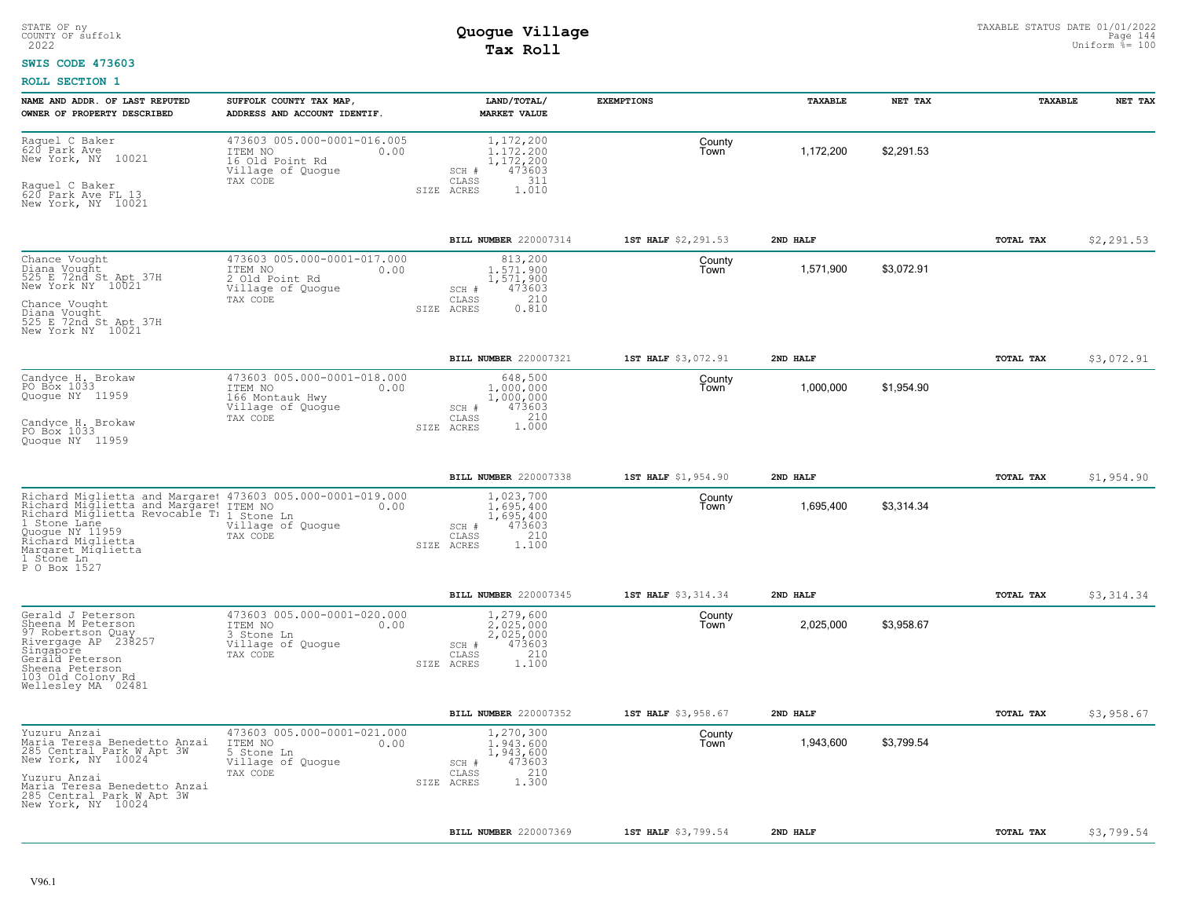### **SWIS CODE 473603**

| NAME AND ADDR. OF LAST REPUTED<br>OWNER OF PROPERTY DESCRIBED                                                                                                                                                                                                 | SUFFOLK COUNTY TAX MAP<br>ADDRESS AND ACCOUNT IDENTIF.                                             | LAND/TOTAL/<br><b>MARKET VALUE</b>                                                                               | <b>EXEMPTIONS</b>   | TAXABLE   | NET TAX    | TAXABLE   | NET TAX    |
|---------------------------------------------------------------------------------------------------------------------------------------------------------------------------------------------------------------------------------------------------------------|----------------------------------------------------------------------------------------------------|------------------------------------------------------------------------------------------------------------------|---------------------|-----------|------------|-----------|------------|
| Raquel C Baker<br>620 Park Ave<br>New York, NY 10021<br>Raquel C Baker<br>620 Park Ave FL 13<br>New York, NY 10021                                                                                                                                            | 473603 005.000-0001-016.005<br>ITEM NO<br>0.00<br>16 Old Point Rd<br>Village of Quogue<br>TAX CODE | 1,172,200<br>1.172.200<br>1,172,200<br>473603<br>SCH #<br>311<br>CLASS<br>SIZE ACRES<br>1.010                    | County<br>Town      | 1,172,200 | \$2,291.53 |           |            |
|                                                                                                                                                                                                                                                               |                                                                                                    | BILL NUMBER 220007314                                                                                            | 1ST HALF \$2,291.53 | 2ND HALF  |            | TOTAL TAX | \$2,291.53 |
| Chance Vought<br>Diana Vought<br>525 E 72nd St Apt 37H<br>New York NY 10021<br>Chance Vought<br>Diana Vought<br>525 E 72nd St Apt 37H<br>New York NY 10021                                                                                                    | 473603 005.000-0001-017.000<br>ITEM NO<br>0.00<br>2 Old Point Rd<br>Village of Quoque<br>TAX CODE  | 813,200<br>1,571,900<br>1,571,900<br>473603<br>SCH #<br>210<br>$\mathtt{CLASS}$<br>0.810<br>ACRES<br><b>STZE</b> | County<br>Town      | 1,571,900 | \$3,072.91 |           |            |
|                                                                                                                                                                                                                                                               |                                                                                                    | BILL NUMBER 220007321                                                                                            | 1ST HALF \$3,072.91 | 2ND HALF  |            | TOTAL TAX | \$3,072.91 |
| Candyce H. Brokaw<br>PO Box 1033<br>Quogue NY 11959<br>Candyce H. Brokaw<br>PO Box 1033<br>Quoque NY 11959                                                                                                                                                    | 473603 005.000-0001-018.000<br>ITEM NO<br>0.00<br>166 Montauk Hwy<br>Village of Quogue<br>TAX CODE | 648,500<br>1,000,000<br>1,000,000<br>473603<br>SCH #<br>1.000<br>CLASS<br>SIZE ACRES                             | County<br>Town      | 1,000,000 | \$1,954.90 |           |            |
|                                                                                                                                                                                                                                                               |                                                                                                    |                                                                                                                  |                     |           |            |           |            |
|                                                                                                                                                                                                                                                               |                                                                                                    | BILL NUMBER 220007338                                                                                            | 1ST HALF \$1,954.90 | 2ND HALF  |            | TOTAL TAX | \$1,954.90 |
| Richard Miglietta and Margaret 473603 005.000-0001-019.000<br>Richard Miglietta and Margaret ITEM NO<br>Richard Miglietta Revocable T: 1 Stone Ln<br>1 Stone Lane<br>Quogue NY 11959<br>Richard Miglietta<br>Margaret Miglietta<br>1 Stone Ln<br>P O Box 1527 | 0.00<br>Village of Quogue<br>TAX CODE                                                              | 1,023,700<br>1,695,400<br>1,695,400<br>473603<br>SCH #<br>210<br>CLASS<br>1.100<br>SIZE ACRES                    | County<br>Town      | 1,695,400 | \$3,314.34 |           |            |
|                                                                                                                                                                                                                                                               |                                                                                                    | BILL NUMBER 220007345                                                                                            | 1ST HALF \$3,314.34 | 2ND HAT.F |            | TOTAL TAX | \$3,314.34 |
| Gerald J Peterson<br>Sheena M Peterson<br>97 Robertson Quay<br>Rivergage AP 238257<br>Singapore<br>Gerald Peterson<br>Sheena Peterson<br>103 Old Colony Rd<br>Wellesley MA 02481                                                                              | 473603 005.000-0001-020.000<br>ITEM NO<br>0.00<br>3 Stone Ln<br>Village of Quoque<br>TAX CODE      | 1,279,600<br>2.025.000<br>2,025,000<br>473603<br>$SCH$ #<br>210<br>CLASS<br>1,100<br>SIZE ACRES                  | County<br>Town      | 2,025,000 | \$3,958.67 |           |            |
|                                                                                                                                                                                                                                                               |                                                                                                    | BILL NUMBER 220007352                                                                                            | 1ST HALF \$3,958.67 | 2ND HALF  |            | TOTAL TAX | \$3,958.67 |
| Yuzuru Anzai<br>Maria Teresa Benedetto Anzai<br>285 Central Park W Apt 3W<br>New York, NY 10024<br>Yuzuru Anzai<br>Maria Teresa Benedetto Anzai<br>285 Central Park W Apt 3W<br>New York, NY 10024                                                            | 473603 005.000-0001-021.000<br>ITEM NO<br>0.00<br>5 Stone Ln<br>Village of Quogue<br>TAX CODE      | 1,270,300<br>1,943,600<br>1,943,600<br>473603<br>SCH #<br>210<br>CLASS<br>1.300<br>SIZE ACRES                    | County<br>Town      | 1,943,600 | \$3,799.54 |           |            |
|                                                                                                                                                                                                                                                               |                                                                                                    | BILL NUMBER 220007369                                                                                            | 1ST HALF \$3,799.54 | 2ND HALF  |            | TOTAL TAX | \$3,799.54 |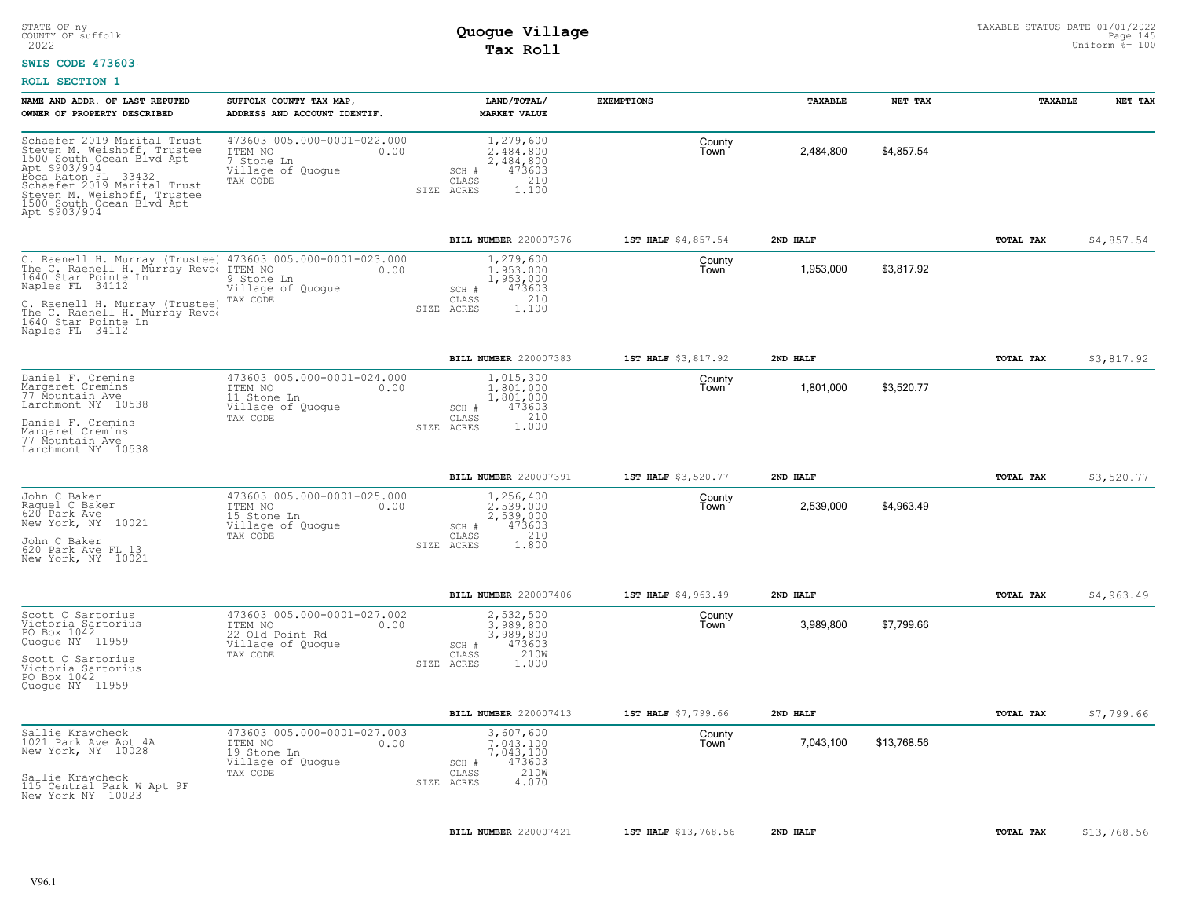### **SWIS CODE 473603**

| NAME AND ADDR. OF LAST REPUTED<br>OWNER OF PROPERTY DESCRIBED                                                                                                                                                                                                     | SUFFOLK COUNTY TAX MAP,<br>ADDRESS AND ACCOUNT IDENTIF.                                            | LAND/TOTAL/<br>MARKET VALUE                                                                               | <b>EXEMPTIONS</b>    | TAXABLE   | NET TAX     | TAXABLE   | NET TAX     |
|-------------------------------------------------------------------------------------------------------------------------------------------------------------------------------------------------------------------------------------------------------------------|----------------------------------------------------------------------------------------------------|-----------------------------------------------------------------------------------------------------------|----------------------|-----------|-------------|-----------|-------------|
| Schaefer 2019 Marital Trust<br>Steven M. Weishoff, Trustee<br>1500 South Ocean Blvd Apt<br>Apt S903/904<br>Boca Raton FL 33432<br>Schaefer 2019 Marital Trust<br>Steven M. Weishoff, Trustee<br>1500 South Ocean Blvd Apt<br>Apt S903/904                         | 473603 005.000-0001-022.000<br>ITEM NO<br>0.00<br>7 Stone Ln<br>Village of Quogue<br>TAX CODE      | 1,279,600<br>2.484.800<br>2,484,800<br>473603<br>SCH #<br>210<br>CLASS<br>1,100<br>SIZE ACRES             | County<br>Town       | 2,484,800 | \$4,857.54  |           |             |
|                                                                                                                                                                                                                                                                   |                                                                                                    | BILL NUMBER 220007376                                                                                     | 1ST HALF \$4,857.54  | 2ND HALF  |             | TOTAL TAX | \$4,857.54  |
| C. Raenell H. Murray (Trustee) 473603 005.000-0001-023.000<br>The C. Raenell H. Murray Revoe ITEM NO 0.00<br>1640 Star Pointe Ln<br>Naples FL 34112<br>C. Raenell H. Murray (Trustee)<br>The C. Raenell H. Murray Revod<br>1640 Star Pointe Ln<br>Naples FL 34112 | 9 Stone Ln<br>Village of Quogue<br>TAX CODE                                                        | 1,279,600<br>1,953,000<br>1,953,000<br>473603<br>SCH #<br>210<br>CLASS<br>SIZE ACRES<br>1,100             | County<br>Town       | 1,953,000 | \$3,817.92  |           |             |
|                                                                                                                                                                                                                                                                   |                                                                                                    | BILL NUMBER 220007383                                                                                     | 1ST HALF \$3,817.92  | 2ND HALF  |             | TOTAL TAX | \$3,817.92  |
| Daniel F. Cremins<br>Margaret Cremins<br>77 Mountain Ave<br>Larchmont NY 10538<br>Daniel F. Cremins<br>Margaret Cremins<br>77 Mountain Ave<br>Larchmont NY 10538                                                                                                  | 473603 005.000-0001-024.000<br>ITEM NO<br>0.00<br>11 Stone Ln<br>Village of Quogue<br>TAX CODE     | 1,015,300<br>1,801,000<br>1,801,000<br>SCH #<br>473603<br>210<br>CLASS<br>1.000<br>SIZE ACRES             | County<br>Town       | 1,801,000 | \$3,520.77  |           |             |
|                                                                                                                                                                                                                                                                   |                                                                                                    | BILL NUMBER 220007391                                                                                     | 1ST HALF \$3,520.77  | 2ND HALF  |             | TOTAL TAX | \$3,520.77  |
| John C Baker<br>Raquel C Baker<br>620 Park Ave<br>New York, NY 10021<br>John C Baker<br>620 Park Ave FL 13<br>New York, NY 10021                                                                                                                                  | 473603 005.000-0001-025.000<br>ITEM NO<br>0.00<br>15 Stone Ln<br>Village of Quoque<br>TAX CODE     | 1,256,400<br>2,539,000<br>2,539,000<br>473603<br>SCH #<br>210<br>CLASS<br>1.800<br>SIZE ACRES             | County<br>Town       | 2,539,000 | \$4,963.49  |           |             |
|                                                                                                                                                                                                                                                                   |                                                                                                    | BILL NUMBER 220007406                                                                                     | 1ST HALF \$4,963.49  | 2ND HALF  |             | TOTAL TAX | \$4,963.49  |
| Scott C Sartorius<br>Victoria Sartorius<br>PO Box 1042<br>Quogue NY 11959<br>Scott C Sartorius<br>Victoria Sartorius<br>PO Box 1042<br>Quogue NY 11959                                                                                                            | 473603 005.000-0001-027.002<br>ITEM NO<br>0.00<br>22 Old Point Rd<br>Village of Quogue<br>TAX CODE | 2,532,500<br>3.989.800<br>3,989,800<br>473603<br>SCH #<br>210W<br>$\mathtt{CLASS}$<br>SIZE ACRES<br>1,000 | County<br>Town       | 3,989,800 | \$7,799.66  |           |             |
|                                                                                                                                                                                                                                                                   |                                                                                                    | BILL NUMBER 220007413                                                                                     | 1ST HALF \$7,799.66  | 2ND HALF  |             | TOTAL TAX | \$7,799.66  |
| Sallie Krawcheck<br>1021 Park Ave Apt 4A<br>New York, NY 10028<br>Sallie Krawcheck<br>115 Central Park W Apt 9F<br>New York NY 10023                                                                                                                              | 473603 005.000-0001-027.003<br>ITEM NO<br>0.00<br>19 Stone Ln<br>Village of Quogue<br>TAX CODE     | 3,607,600<br>7,043,100<br>7,043,100<br>473603<br>SCH #<br>210W<br>CLASS<br>4.070<br>SIZE ACRES            | County<br>Town       | 7,043,100 | \$13,768.56 |           |             |
|                                                                                                                                                                                                                                                                   |                                                                                                    | BILL NUMBER 220007421                                                                                     | 1ST HALF \$13,768.56 | 2ND HALF  |             | TOTAL TAX | \$13,768.56 |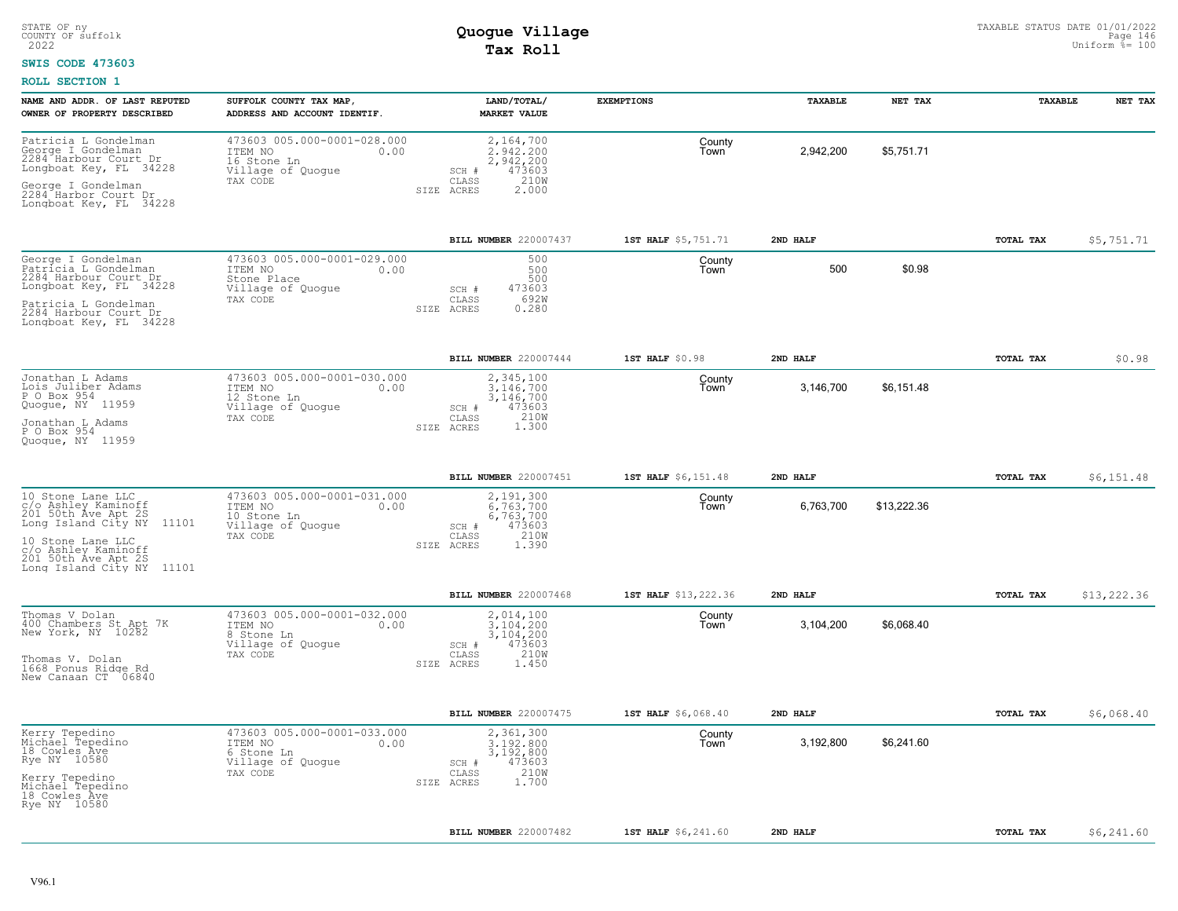### **SWIS CODE 473603**

| NAME AND ADDR. OF LAST REPUTED<br>OWNER OF PROPERTY DESCRIBED                                   | SUFFOLK COUNTY TAX MAP,<br>ADDRESS AND ACCOUNT IDENTIF                                         | LAND/TOTAL/<br><b>MARKET VALUE</b>                                      | <b>EXEMPTIONS</b>    | TAXABLE   | NET TAX     | TAXABLE   | NET TAX     |
|-------------------------------------------------------------------------------------------------|------------------------------------------------------------------------------------------------|-------------------------------------------------------------------------|----------------------|-----------|-------------|-----------|-------------|
| Patricia L Gondelman<br>George I Gondelman<br>2284 Harbour Court Dr<br>Longboat Key, FL 34228   | 473603 005.000-0001-028.000<br>ITEM NO<br>0.00<br>16 Stone Ln<br>Village of Quogue<br>TAX CODE | 2,164,700<br>2.942.200<br>2,942,200<br>473603<br>SCH #<br>210W<br>CLASS | County<br>Town       | 2,942,200 | \$5,751.71  |           |             |
| George I Gondelman<br>2284 Harbor Court Dr<br>Longboat Key, FL 34228                            |                                                                                                | SIZE ACRES<br>2.000                                                     |                      |           |             |           |             |
|                                                                                                 |                                                                                                | BILL NUMBER 220007437                                                   | 1ST HALF \$5,751.71  | 2ND HALF  |             | TOTAL TAX | \$5,751.71  |
| George I Gondelman<br>Patricia L Gondelman<br>2284 Harbour Court Dr<br>Longboat Key, FL 34228   | 473603 005.000-0001-029.000<br>ITEM NO<br>0.00<br>Stone Place<br>Village of Quogue             | 500<br>500<br>500<br>473603<br>SCH #                                    | County<br>Town       | 500       | \$0.98      |           |             |
| Patricia L Gondelman<br>2284 Harbour Court Dr<br>Longboat Key, FL 34228                         | TAX CODE                                                                                       | 692W<br>CLASS<br>0.280<br>SIZE ACRES                                    |                      |           |             |           |             |
|                                                                                                 |                                                                                                | BILL NUMBER 220007444                                                   | 1ST HALF \$0.98      | 2ND HALF  |             | TOTAL TAX | \$0.98      |
| Jonathan L Adams<br>Lois Juliber Adams<br>P O Box 954<br>Quogue, NY 11959                       | 473603 005.000-0001-030.000<br>ITEM NO<br>0.00<br>12 Stone Ln<br>Village of Quogue             | 2,345,100<br>3,146,700<br>3,146,700<br>473603<br>SCH #                  | County<br>Town       | 3,146,700 | \$6,151.48  |           |             |
| Jonathan L Adams<br>P O Box 954<br>Quoque, NY 11959                                             | TAX CODE                                                                                       | 210W<br>CLASS<br>1.300<br>SIZE ACRES                                    |                      |           |             |           |             |
|                                                                                                 |                                                                                                | BILL NUMBER 220007451                                                   | 1ST HALF \$6,151.48  | 2ND HALF  |             | TOTAL TAX | \$6,151.48  |
| 10 Stone Lane LLC<br>c/o Ashley Kaminoff<br>201 50th Ave Apt 2S<br>11101<br>Long Island City NY | 473603 005.000-0001-031.000<br>ITEM NO<br>0.00<br>10 Stone Ln<br>Village of Quogue<br>TAX CODE | 2,191,300<br>6.763.700<br>6,763,700<br>473603<br>SCH #<br>210W<br>CLASS | County<br>Town       | 6,763,700 | \$13,222.36 |           |             |
| 10 Stone Lane LLC<br>c/o Ashley Kaminoff<br>201 50th Ave Apt 2S<br>Long Island City NY 11101    |                                                                                                | 1.390<br>SIZE ACRES                                                     |                      |           |             |           |             |
|                                                                                                 |                                                                                                | BILL NUMBER 220007468                                                   | 1ST HALF \$13,222.36 | 2ND HALF  |             | TOTAL TAX | \$13,222.36 |
| Thomas V Dolan<br>400 Chambers St Apt 7K<br>New York, NY 10282                                  | 473603 005.000-0001-032.000<br>ITEM NO<br>0.00<br>8 Stone Ln<br>Village of Quogue              | 2,014,100<br>3.104.200<br>3,104,200<br>473603<br>SCH #                  | County<br>Town       | 3,104,200 | \$6,068.40  |           |             |
| Thomas V. Dolan<br>1668 Ponus Ridge Rd<br>New Canaan CT 06840                                   | TAX CODE                                                                                       | 210W<br>CLASS<br>SIZE ACRES<br>1.450                                    |                      |           |             |           |             |
|                                                                                                 |                                                                                                | BILL NUMBER 220007475                                                   | 1ST HALF \$6,068.40  | 2ND HALF  |             | TOTAL TAX | \$6,068.40  |
| Kerry Tepedino<br>Michael Tepedino<br>18 Cowles Ave<br>Rye NY 10580                             | 473603 005.000-0001-033.000<br>ITEM NO<br>0.00<br>6 Stone Ln<br>Village of Quogue              | 2,361,300<br>3,192,800<br>3,192,800<br>473603<br>SCH #                  | County<br>Town       | 3,192,800 | \$6,241.60  |           |             |
| Kerry Tepedino<br>Michael Tepedino<br>18 Cowles Ave<br>Rye NY 10580                             | TAX CODE                                                                                       | 210W<br>CLASS<br>1.700<br>SIZE ACRES                                    |                      |           |             |           |             |
|                                                                                                 |                                                                                                | BILL NUMBER 220007482                                                   | 1ST HALF \$6,241.60  | 2ND HALF  |             | TOTAL TAX | \$6,241.60  |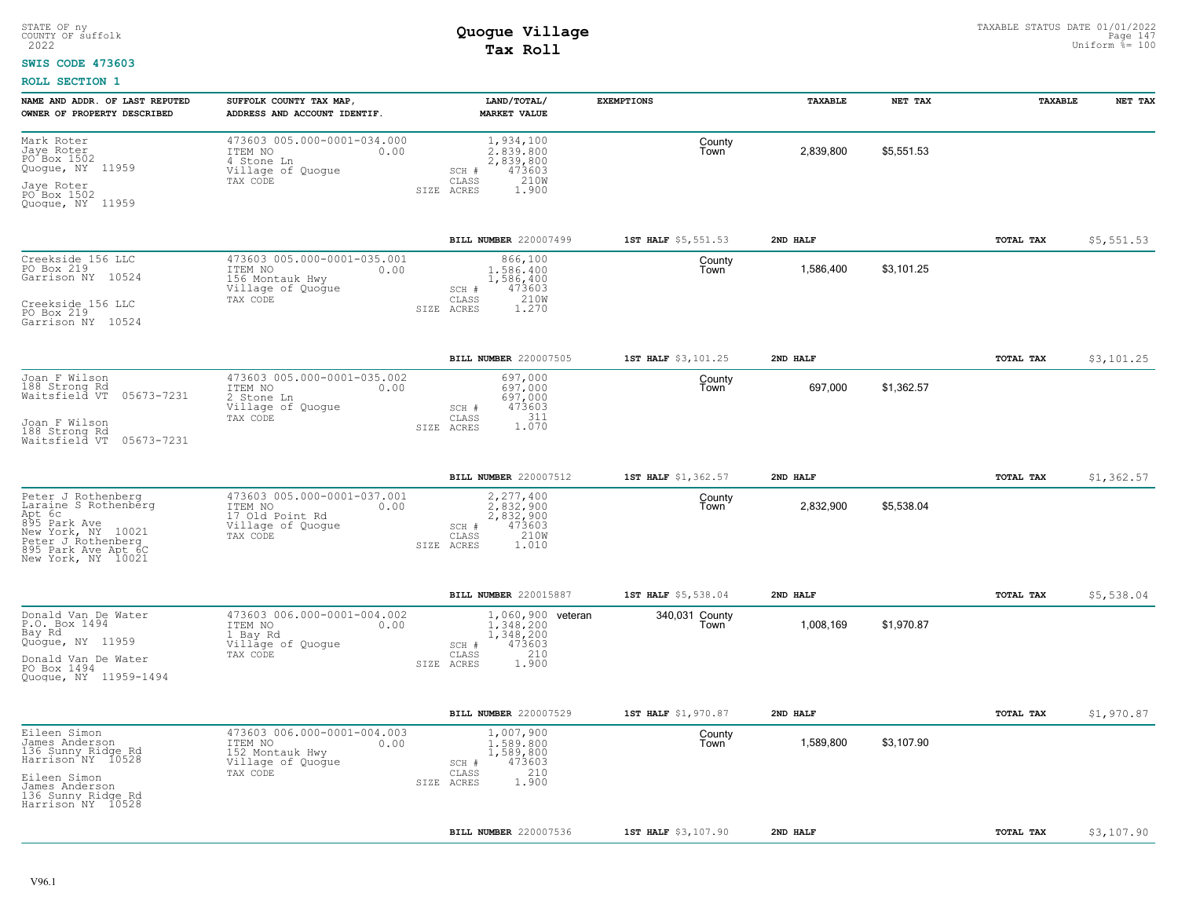### **SWIS CODE 473603**

| NAME AND ADDR. OF LAST REPUTED<br>OWNER OF PROPERTY DESCRIBED                                                                                                 | SUFFOLK COUNTY TAX MAP,<br>ADDRESS AND ACCOUNT IDENTIF.                                            | LAND/TOTAL/<br><b>MARKET VALUE</b>                                                                    | <b>EXEMPTIONS</b>      | TAXABLE   | NET TAX    | TAXABLE   | NET TAX    |
|---------------------------------------------------------------------------------------------------------------------------------------------------------------|----------------------------------------------------------------------------------------------------|-------------------------------------------------------------------------------------------------------|------------------------|-----------|------------|-----------|------------|
| Mark Roter<br>Jaye Roter<br>PO Box 1502<br>Quogue, NY 11959<br>Jaye Roter<br>PO Box 1502<br>Quogue, NY 11959                                                  | 473603 005.000-0001-034.000<br>ITEM NO<br>0.00<br>4 Stone Ln<br>Village of Quogue<br>TAX CODE      | 1,934,100<br>2.839.800<br>2,839,800<br>473603<br>SCH #<br>210W<br>CLASS<br>SIZE ACRES<br>1.900        | County<br>Town         | 2,839,800 | \$5,551.53 |           |            |
|                                                                                                                                                               |                                                                                                    | BILL NUMBER 220007499                                                                                 | 1ST HALF \$5,551.53    | 2ND HALF  |            | TOTAL TAX | \$5,551.53 |
| Creekside 156 LLC<br>PO Box 219<br>Garrison NY 10524<br>Creekside 156 LLC<br>PO Box 219<br>Garrison NY 10524                                                  | 473603 005.000-0001-035.001<br>ITEM NO<br>0.00<br>156 Montauk Hwy<br>Village of Quogue<br>TAX CODE | 866,100<br>1,586,400<br>1,586,400<br>473603<br>SCH #<br>210W<br>CLASS<br>1.270<br>SIZE ACRES          | County<br>Town         | 1,586,400 | \$3,101.25 |           |            |
|                                                                                                                                                               |                                                                                                    | BILL NUMBER 220007505                                                                                 | 1ST HALF \$3,101.25    | 2ND HALF  |            | TOTAL TAX | \$3,101.25 |
| Joan F Wilson<br>188 Strong Rd<br>Waitsfield VT<br>05673-7231<br>Joan F Wilson<br>188 Strong Rd<br>Waitsfield VT<br>05673-7231                                | 473603 005.000-0001-035.002<br>ITEM NO<br>0.00<br>2 Stone Ln<br>Village of Quogue<br>TAX CODE      | 697,000<br>697,000<br>697,000<br>473603<br>SCH #<br>$1.311$<br>$1.070$<br>CLASS<br>SIZE ACRES         | County<br>Town         | 697,000   | \$1,362.57 |           |            |
|                                                                                                                                                               |                                                                                                    | BILL NUMBER 220007512                                                                                 | 1ST HALF \$1,362.57    | 2ND HALF  |            | TOTAL TAX | \$1,362.57 |
| Peter J Rothenberg<br>Laraine S Rothenberg<br>Apt 6c<br>895 Park Ave<br>New York, NY 10021<br>Peter J Rothenberg<br>895 Park Ave Apt 6C<br>New York, NY 10021 | 473603 005.000-0001-037.001<br>ITEM NO<br>0.00<br>17 Old Point Rd<br>Village of Quogue<br>TAX CODE | 2,277,400<br>2,832,900<br>2,832,900<br>473603<br>SCH #<br>210W<br>CLASS<br>1.010<br>SIZE ACRES        | County<br>Town         | 2,832,900 | \$5,538.04 |           |            |
|                                                                                                                                                               |                                                                                                    | BILL NUMBER 220015887                                                                                 | 1ST HALF \$5,538.04    | 2ND HALF  |            | TOTAL TAX | \$5,538.04 |
| Donald Van De Water<br>P.O. Box 1494<br>Bay Rd<br>Quogue, NY 11959<br>Donald Van De Water<br>PO Box 1494<br>Quogue, NY 11959-1494                             | 473603 006.000-0001-004.002<br>ITEM NO<br>0.00<br>1 Bay Rd<br>Village of Quogue<br>TAX CODE        | 1,060,900 veteran<br>1,348,200<br>1,348,200<br>473603<br>SCH #<br>210<br>CLASS<br>1.900<br>SIZE ACRES | 340,031 County<br>Town | 1,008,169 | \$1,970.87 |           |            |
|                                                                                                                                                               |                                                                                                    | BILL NUMBER 220007529                                                                                 | 1ST HALF \$1,970.87    | 2ND HALF  |            | TOTAL TAX | \$1,970.87 |
| Eileen Simon<br>James Anderson<br>136 Sunny Ridge Rd<br>Harrison NY 10528<br>Eileen Simon<br>James Anderson<br>136 Sunny Ridge Rd<br>Harrison NY 10528        | 473603 006.000-0001-004.003<br>ITEM NO<br>0.00<br>152 Montauk Hwy<br>Village of Quogue<br>TAX CODE | 1,007,900<br>1,589,800<br>1,589,800<br>473603<br>SCH #<br>210<br>CLASS<br>1.900<br>SIZE ACRES         | County<br>Town         | 1,589,800 | \$3,107.90 |           |            |
|                                                                                                                                                               |                                                                                                    | BILL NUMBER 220007536                                                                                 | 1ST HALF \$3,107.90    | 2ND HALF  |            | TOTAL TAX | \$3,107.90 |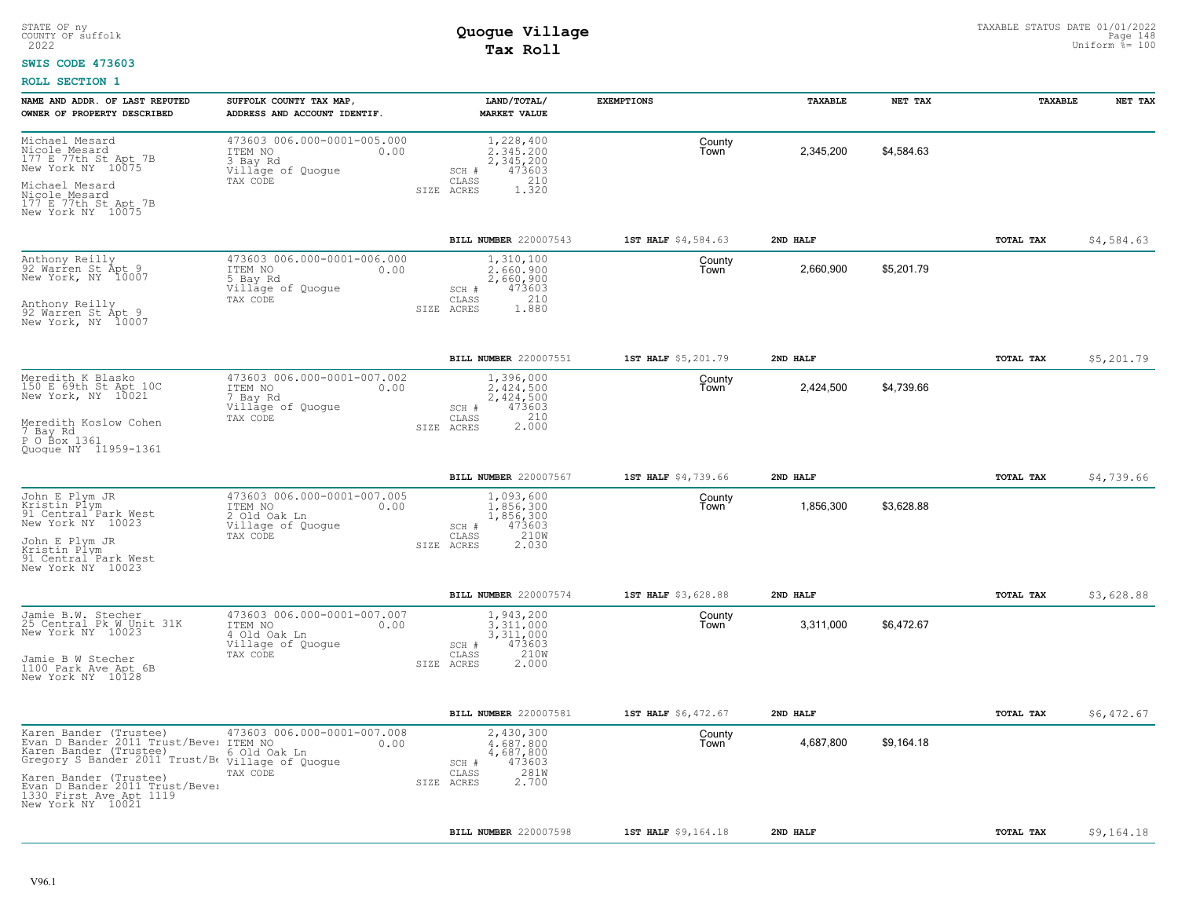### **SWIS CODE 473603**

| NAME AND ADDR. OF LAST REPUTED<br>OWNER OF PROPERTY DESCRIBED                                                                                                                                                                    | SUFFOLK COUNTY TAX MAP<br>ADDRESS AND ACCOUNT IDENTIF.                                          | LAND/TOTAL/<br><b>MARKET VALUE</b>                                                                | <b>EXEMPTIONS</b>   | TAXABLE   | NET TAX    | TAXABLE   | NET TAX    |
|----------------------------------------------------------------------------------------------------------------------------------------------------------------------------------------------------------------------------------|-------------------------------------------------------------------------------------------------|---------------------------------------------------------------------------------------------------|---------------------|-----------|------------|-----------|------------|
| Michael Mesard<br>Nicole Mesard<br>177 E 77th St Apt 7B<br>New York NY 10075<br>Michael Mesard<br>Nicole Mesard<br>177 E 77th St Apt 7B<br>New York NY 10075                                                                     | 473603 006.000-0001-005.000<br>ITEM NO<br>0.00<br>3 Bay Rd<br>Village of Quogue<br>TAX CODE     | 1,228,400<br>2.345.200<br>2,345,200<br>473603<br>SCH #<br>210<br>CLASS<br>ACRES<br>1.320<br>SIZE  | County<br>Town      | 2,345,200 | \$4,584.63 |           |            |
|                                                                                                                                                                                                                                  |                                                                                                 | BILL NUMBER 220007543                                                                             | 1ST HALF \$4,584.63 | 2ND HALF  |            | TOTAL TAX | \$4,584.63 |
| Anthony Reilly<br>92 Warren St Apt 9<br>New York, NY 10007<br>Anthony Reilly<br>92 Warren St Apt 9<br>New York, NY 10007                                                                                                         | 473603 006.000-0001-006.000<br>ITEM NO<br>0.00<br>5 Bay Rd<br>Village of Quogue<br>TAX CODE     | 1,310,100<br>2,660,900<br>2,660,900<br>473603<br>SCH #<br>210<br>CLASS<br>1.880<br>SIZE ACRES     | County<br>Town      | 2,660,900 | \$5,201.79 |           |            |
|                                                                                                                                                                                                                                  |                                                                                                 | BILL NUMBER 220007551                                                                             | 1ST HALF \$5,201.79 | 2ND HALF  |            | TOTAL TAX | \$5,201.79 |
| Meredith K Blasko<br>150 E 69th St Apt 10C<br>New York, NY 10021<br>Meredith Koslow Cohen<br>7 Bay Rd<br>P O Box 1361<br>Quoque NY 11959-1361                                                                                    | 473603 006.000-0001-007.002<br>ITEM NO<br>0.00<br>7 Bay Rd<br>Village of Quogue<br>TAX CODE     | 1,396,000<br>2.424.500<br>2,424,500<br>473603<br>SCH #<br>2.000<br>CLASS<br>SIZE ACRES            | County<br>Town      | 2,424,500 | \$4,739.66 |           |            |
|                                                                                                                                                                                                                                  |                                                                                                 | BILL NUMBER 220007567                                                                             | 1ST HALF \$4,739.66 | 2ND HALF  |            | TOTAL TAX | \$4,739.66 |
| John E Plym JR<br>Kristin Plym<br>91 Central Park West<br>New York NY 10023<br>John E Plym JR<br>Kristin Plym<br>91 Central Park West<br>New York NY 10023                                                                       | 473603 006.000-0001-007.005<br>ITEM NO<br>0.00<br>2 Old Oak Ln<br>Village of Quogue<br>TAX CODE | 1,093,600<br>1,856,300<br>1,856,300<br>473603<br>SCH #<br>210W<br>CLASS<br>2.030<br>SIZE ACRES    | County<br>Town      | 1,856,300 | \$3,628.88 |           |            |
|                                                                                                                                                                                                                                  |                                                                                                 | BILL NUMBER 220007574                                                                             | 1ST HALF \$3,628.88 | 2ND HALF  |            | TOTAL TAX | \$3,628.88 |
| Jamie B.W. Stecher<br>25 Central Pk W Unit 31K<br>New York NY 10023<br>Jamie B W Stecher<br>1100 Park Ave Apt 6B<br>New York NY 10128                                                                                            | 473603 006.000-0001-007.007<br>ITEM NO<br>0.00<br>4 Old Oak Ln<br>Village of Quogue<br>TAX CODE | 1,943,200<br>3,311,000<br>3,311,000<br>473603<br>SCH #<br>210W<br>CLASS<br>2.000<br>SIZE ACRES    | County<br>Town      | 3,311,000 | \$6,472.67 |           |            |
|                                                                                                                                                                                                                                  |                                                                                                 | BILL NUMBER 220007581                                                                             | 1ST HALF \$6,472.67 | 2ND HALF  |            | TOTAL TAX | \$6,472.67 |
| Karen Bander (Trustee)<br>Evan D Bander 2011 Trust/Bevel<br>Karen Bander (Trustee)<br>Gregory S Bander 2011 Trust/Be<br>Karen Bander (Trustee)<br>Evan D Bander 2011 Trust/Bevel<br>1330 First Ave Apt 1119<br>New York NY 10021 | 473603 006.000-0001-007.008<br>ITEM NO<br>0.00<br>6 Old Oak Ln<br>Village of Quogue<br>TAX CODE | 2,430,300<br>4,687,800<br>4,687,800<br>473603<br>SCH #<br>281W<br>CLASS<br>2.700<br>SIZE<br>ACRES | County<br>Town      | 4,687,800 | \$9,164.18 |           |            |
|                                                                                                                                                                                                                                  |                                                                                                 | BILL NUMBER 220007598                                                                             | 1ST HALF \$9,164.18 | 2ND HALF  |            | TOTAL TAX | \$9,164.18 |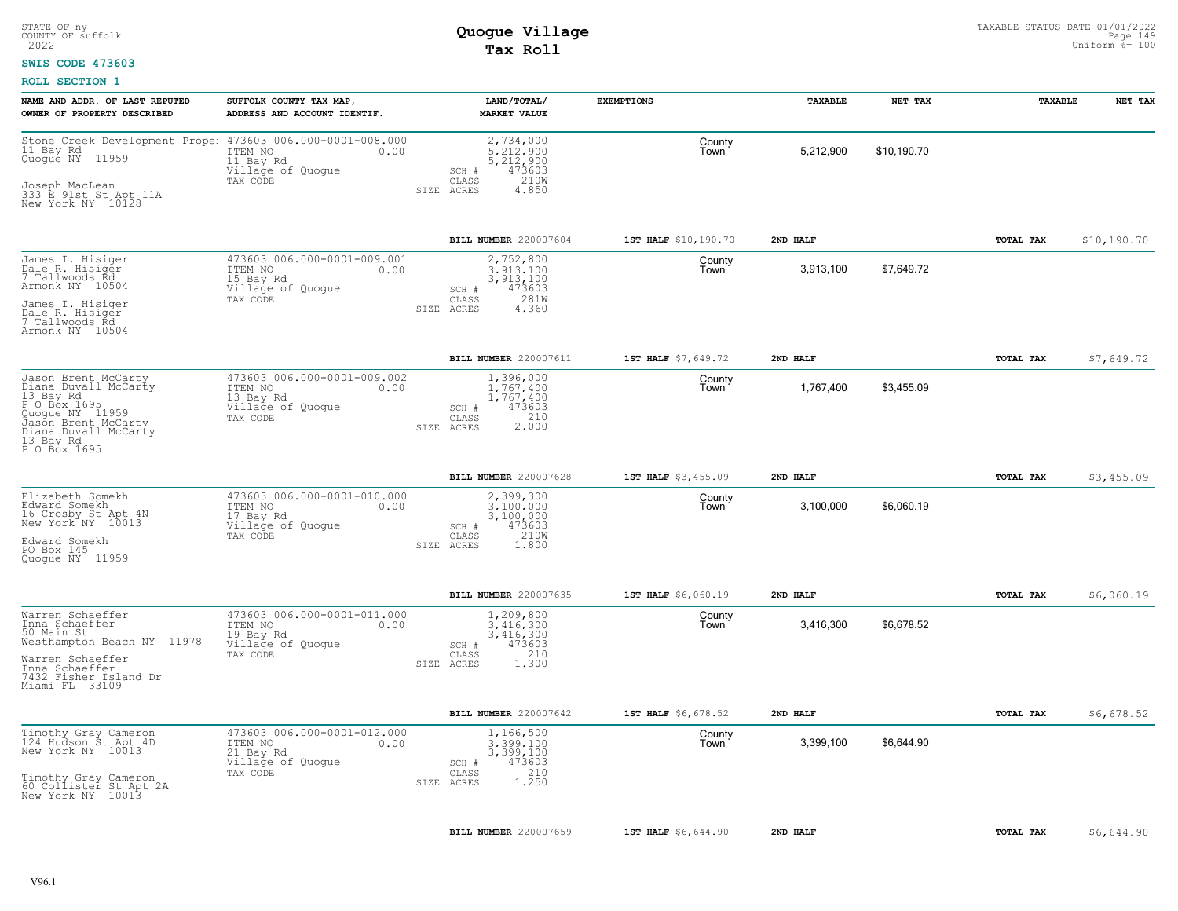### **SWIS CODE 473603**

| NAME AND ADDR. OF LAST REPUTED<br>OWNER OF PROPERTY DESCRIBED                                                                                                           | SUFFOLK COUNTY TAX MAP,<br>ADDRESS AND ACCOUNT IDENTIF.                                      | LAND/TOTAL/<br><b>MARKET VALUE</b>                                                                        | <b>EXEMPTIONS</b>    | TAXABLE   | NET TAX     | TAXABLE          | NET TAX     |
|-------------------------------------------------------------------------------------------------------------------------------------------------------------------------|----------------------------------------------------------------------------------------------|-----------------------------------------------------------------------------------------------------------|----------------------|-----------|-------------|------------------|-------------|
| Stone Creek Development Prope: 473603 006.000-0001-008.000<br>11 Bay Rd<br>Quoque NY 11959<br>Joseph MacLean<br>333 E 91st St Apt 11A<br>New York NY 10128              | ITEM NO<br>0.00<br>11 Bay Rd<br>Village of Quogue<br>TAX CODE                                | 2,734,000<br>5.212.900<br>5,212,900<br>473603<br>SCH #<br>$\mathtt{CLASS}$<br>210W<br>SIZE ACRES<br>4.850 | County<br>Town       | 5,212,900 | \$10,190.70 |                  |             |
|                                                                                                                                                                         |                                                                                              | BILL NUMBER 220007604                                                                                     | 1ST HALF \$10,190.70 | 2ND HALF  |             | <b>TOTAL TAX</b> | \$10,190.70 |
| James I. Hisiger<br>Dale R. Hisiger<br>7 Tallwoods Rd<br>Armonk NY 10504<br>James I. Hisiger<br>Dale R. Hisiger<br>7 Tallwoods Rd<br>Armonk NY 10504                    | 473603 006.000-0001-009.001<br>ITEM NO<br>0.00<br>15 Bay Rd<br>Village of Quogue<br>TAX CODE | 2,752,800<br>3,913,100<br>3,913,100<br>473603<br>SCH #<br>281W<br>CLASS<br>SIZE ACRES<br>4.360            | County<br>l own      | 3,913,100 | \$7,649.72  |                  |             |
|                                                                                                                                                                         |                                                                                              | BILL NUMBER 220007611                                                                                     | 1ST HALF \$7,649.72  | 2ND HALF  |             | TOTAL TAX        | \$7,649.72  |
| Jason Brent McCarty<br>Diana Duvall McCarty<br>13 Bay Rd<br>P O Box 1695<br>Quogue NY 11959<br>Jason Brent McCarty<br>Diana Duvall McCarty<br>13 Bay Rd<br>P O Box 1695 | 473603 006.000-0001-009.002<br>ITEM NO<br>0.00<br>13 Bay Rd<br>Village of Quogue<br>TAX CODE | 1,396,000<br>1,767,400<br>1,767,400<br>473603<br>SCH #<br>2.000<br>CLASS<br>SIZE ACRES                    | County<br>Town       | 1,767,400 | \$3,455.09  |                  |             |
|                                                                                                                                                                         |                                                                                              | BILL NUMBER 220007628                                                                                     | 1ST HALF \$3,455.09  | 2ND HALF  |             | TOTAL TAX        | \$3,455.09  |
| Elizabeth Somekh<br>Edward Somekh<br>16 Crosby St Apt 4N<br>New York <sup>"</sup> NY 10013<br>Edward Somekh<br>PO Box 145<br>Quoque NY 11959                            | 473603 006.000-0001-010.000<br>ITEM NO<br>0.00<br>17 Bay Rd<br>Village of Quogue<br>TAX CODE | 2,399,300<br>3.100.000<br>3,100,000<br>473603<br>SCH #<br>210W<br>CLASS<br>SIZE ACRES<br>1,800            | County<br>Town       | 3,100,000 | \$6,060.19  |                  |             |
|                                                                                                                                                                         |                                                                                              | <b>BILL NUMBER 220007635</b>                                                                              | 1ST HALF \$6,060.19  | 2ND HALF  |             | TOTAL TAX        | \$6,060.19  |
| Warren Schaeffer<br>Inna Schaeffer<br>50 Main St<br>Westhampton Beach NY 11978<br>Warren Schaeffer<br>Inna Schaeffer<br>7432 Fisher Island Dr<br>Miami FL 33109         | 473603 006.000-0001-011.000<br>0.00<br>ITEM NO<br>19 Bay Rd<br>Village of Quogue<br>TAX CODE | 1,209,800<br>3.416.300<br>3,416,300<br>473603<br>SCH #<br>210<br>CLASS<br>SIZE ACRES<br>1,300             | County<br>l own      | 3,416,300 | \$6,678.52  |                  |             |
|                                                                                                                                                                         |                                                                                              | BILL NUMBER 220007642                                                                                     | 1ST HALF \$6,678.52  | 2ND HALF  |             | <b>TOTAL TAX</b> | \$6,678.52  |
| Timothy Gray Cameron<br>124 Hudson St Apt 4D<br>New York NY 10013<br>Timothy Gray Cameron<br>60 Collister St Apt 2A<br>New York NY 10013                                | 473603 006.000-0001-012.000<br>ITEM NO<br>0.00<br>21 Bay Rd<br>Village of Quogue<br>TAX CODE | 1,166,500<br>3.399.100<br>3,399,100<br>473603<br>SCH #<br>210<br>CLASS<br>1,250<br>SIZE ACRES             | County<br>Town       | 3,399,100 | \$6,644.90  |                  |             |
|                                                                                                                                                                         |                                                                                              | BILL NUMBER 220007659                                                                                     | 1ST HALF \$6,644.90  | 2ND HALF  |             | TOTAL TAX        |             |
|                                                                                                                                                                         |                                                                                              |                                                                                                           |                      |           |             |                  | \$6,644.90  |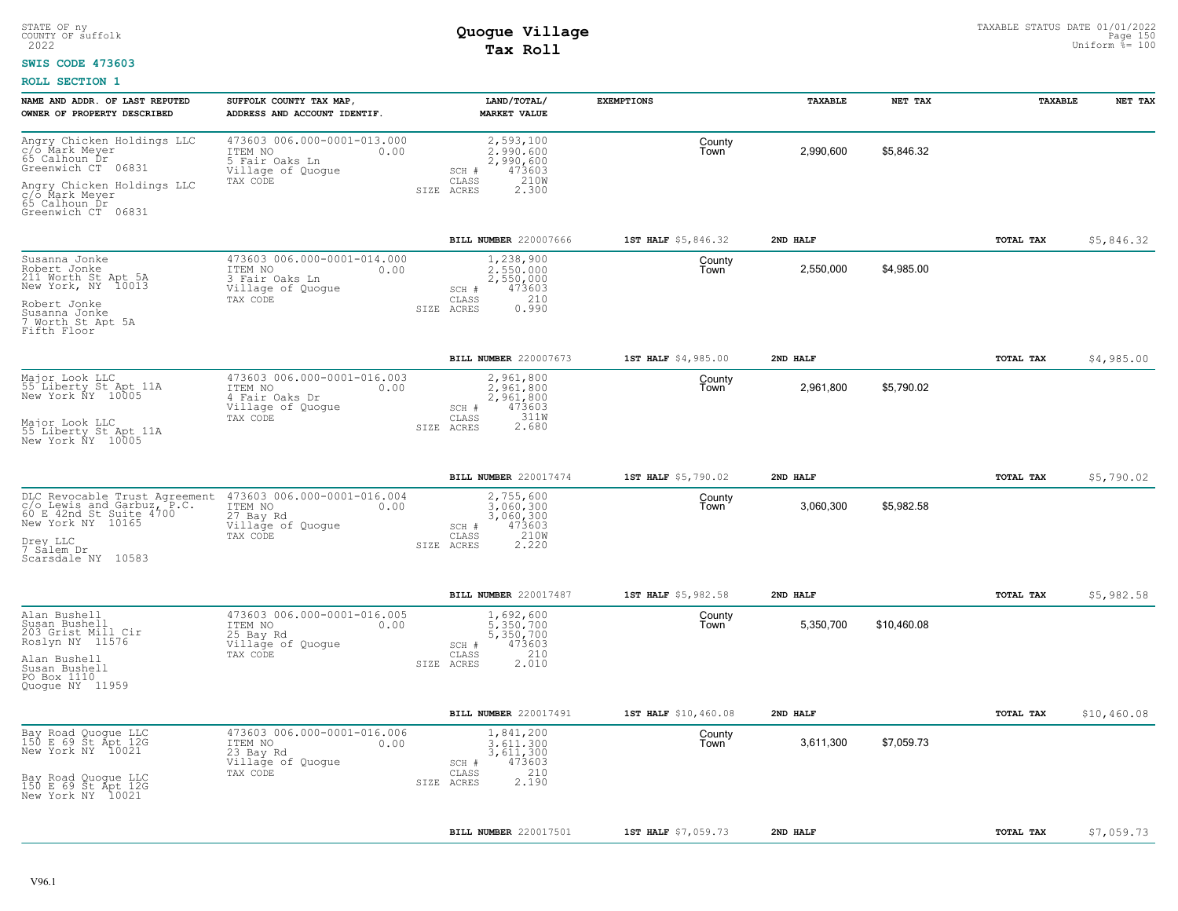### **SWIS CODE 473603**

| NAME AND ADDR. OF LAST REPUTED<br>OWNER OF PROPERTY DESCRIBED                                                                                               | SUFFOLK COUNTY TAX MAP,<br>ADDRESS AND ACCOUNT IDENTIF.                                           | LAND/TOTAL/<br><b>MARKET VALUE</b>                                                                        | <b>EXEMPTIONS</b>    | TAXABLE   | NET TAX     | TAXABLE   | NET TAX     |
|-------------------------------------------------------------------------------------------------------------------------------------------------------------|---------------------------------------------------------------------------------------------------|-----------------------------------------------------------------------------------------------------------|----------------------|-----------|-------------|-----------|-------------|
| Angry Chicken Holdings LLC<br>c/o Mark Meyer<br>65 Calhoun Dr<br>Greenwich CT 06831<br>Angry Chicken Holdings LLC<br>c/o Mark Meyer<br>65 Calhoun Dr        | 473603 006.000-0001-013.000<br>ITEM NO<br>0.00<br>5 Fair Oaks Ln<br>Village of Quogue<br>TAX CODE | 2,593,100<br>2,990,600<br>2,990,600<br>473603<br>SCH #<br>$\mathtt{CLASS}$<br>210W<br>SIZE ACRES<br>2.300 | County<br>Town       | 2,990,600 | \$5,846.32  |           |             |
| Greenwich CT 06831                                                                                                                                          |                                                                                                   |                                                                                                           |                      |           |             |           |             |
|                                                                                                                                                             |                                                                                                   | <b>BILL NUMBER 220007666</b>                                                                              | 1ST HALF \$5,846.32  | 2ND HALF  |             | TOTAL TAX | \$5,846.32  |
| Susanna Jonke<br>Robert Jonke<br>211 Worth St Apt 5A<br>New York, NY 10013<br>Robert Jonke<br>Susanna Jonke<br>7 Worth St Apt 5A                            | 473603 006.000-0001-014.000<br>ITEM NO<br>0.00<br>3 Fair Oaks Ln<br>Village of Quogue<br>TAX CODE | 1,238,900<br>2,550,000<br>2,550,000<br>473603<br>SCH #<br>210<br>CLASS<br>0.990<br>SIZE ACRES             | County<br>Town       | 2,550,000 | \$4,985.00  |           |             |
| Fifth Floor                                                                                                                                                 |                                                                                                   |                                                                                                           |                      |           |             |           |             |
|                                                                                                                                                             |                                                                                                   | <b>BILL NUMBER 220007673</b>                                                                              | 1ST HALF \$4,985.00  | 2ND HALF  |             | TOTAL TAX | \$4,985.00  |
| Major Look LLC<br>55 Liberty St Apt 11A<br>New York NY 10005                                                                                                | 473603 006.000-0001-016.003<br>ITEM NO<br>0.00<br>4 Fair Oaks Dr<br>Village of Quogue<br>TAX CODE | 2,961,800<br>2.961.800<br>2,961,800<br>SCH #<br>473603<br>311W<br>CLASS                                   | County<br>Town       | 2,961,800 | \$5,790.02  |           |             |
| Major Look LLC<br>55 Liberty St Apt 11A<br>New York NY 10005                                                                                                |                                                                                                   | 2.680<br>SIZE ACRES                                                                                       |                      |           |             |           |             |
|                                                                                                                                                             |                                                                                                   | BILL NUMBER 220017474                                                                                     | 1ST HALF \$5,790.02  | 2ND HALF  |             | TOTAL TAX | \$5,790.02  |
| DLC Revocable Trust Agreement<br>c/o Lewis and Garbuz, P.C.<br>60 E 42nd St Suite 4700<br>New York NY 10165<br>Drey LLC<br>7 Salem Dr<br>Scarsdale NY 10583 | 473603 006.000-0001-016.004<br>ITEM NO<br>0.00<br>27 Bay Rd<br>Village of Quogue<br>TAX CODE      | 2,755,600<br>3,060,300<br>3,060,300<br>473603<br>SCH #<br>210W<br>CLASS<br>SIZE ACRES<br>2.220            | County<br>Town       | 3,060,300 | \$5,982.58  |           |             |
|                                                                                                                                                             |                                                                                                   | <b>BILL NUMBER 220017487</b>                                                                              | 1ST HALF \$5,982.58  | 2ND HALF  |             | TOTAL TAX | \$5,982.58  |
| Alan Bushell<br>Susan Bushell<br>203 Grist Mill Cir<br>Roslyn NY 11576<br>Alan Bushell<br>Susan Bushell<br>PO Box 1110<br>Quoque NY 11959                   | 473603 006.000-0001-016.005<br>ITEM NO<br>0.00<br>25 Bay Rd<br>Village of Quogue<br>TAX CODE      | 1,692,600<br>5,350,700<br>5,350,700<br>473603<br>SCH #<br>210<br>CLASS<br>2.010<br>SIZE ACRES             | County<br>Town       | 5,350,700 | \$10,460.08 |           |             |
|                                                                                                                                                             |                                                                                                   | BILL NUMBER 220017491                                                                                     | 1ST HALF \$10,460.08 | 2ND HALF  |             | TOTAL TAX | \$10,460.08 |
| Bay Road Quogue LLC<br>150 E 69 St Apt 12G<br>New York NY 10021                                                                                             | 473603 006.000-0001-016.006<br>ITEM NO<br>0.00<br>23 Bay Rd<br>Village of Quogue                  | 1,841,200<br>3.611.300<br>3,611,300<br>473603<br>SCH #                                                    | County<br>Town       | 3,611,300 | \$7,059.73  |           |             |
| Bay Road Quogue LLC<br>150 E 69 St Apt 12G<br>New York NY 10021                                                                                             | TAX CODE                                                                                          | 210<br>CLASS<br>2.190<br>SIZE ACRES                                                                       |                      |           |             |           |             |
|                                                                                                                                                             |                                                                                                   | BILL NUMBER 220017501                                                                                     | 1ST HALF \$7,059.73  | 2ND HALF  |             | TOTAL TAX | \$7,059.73  |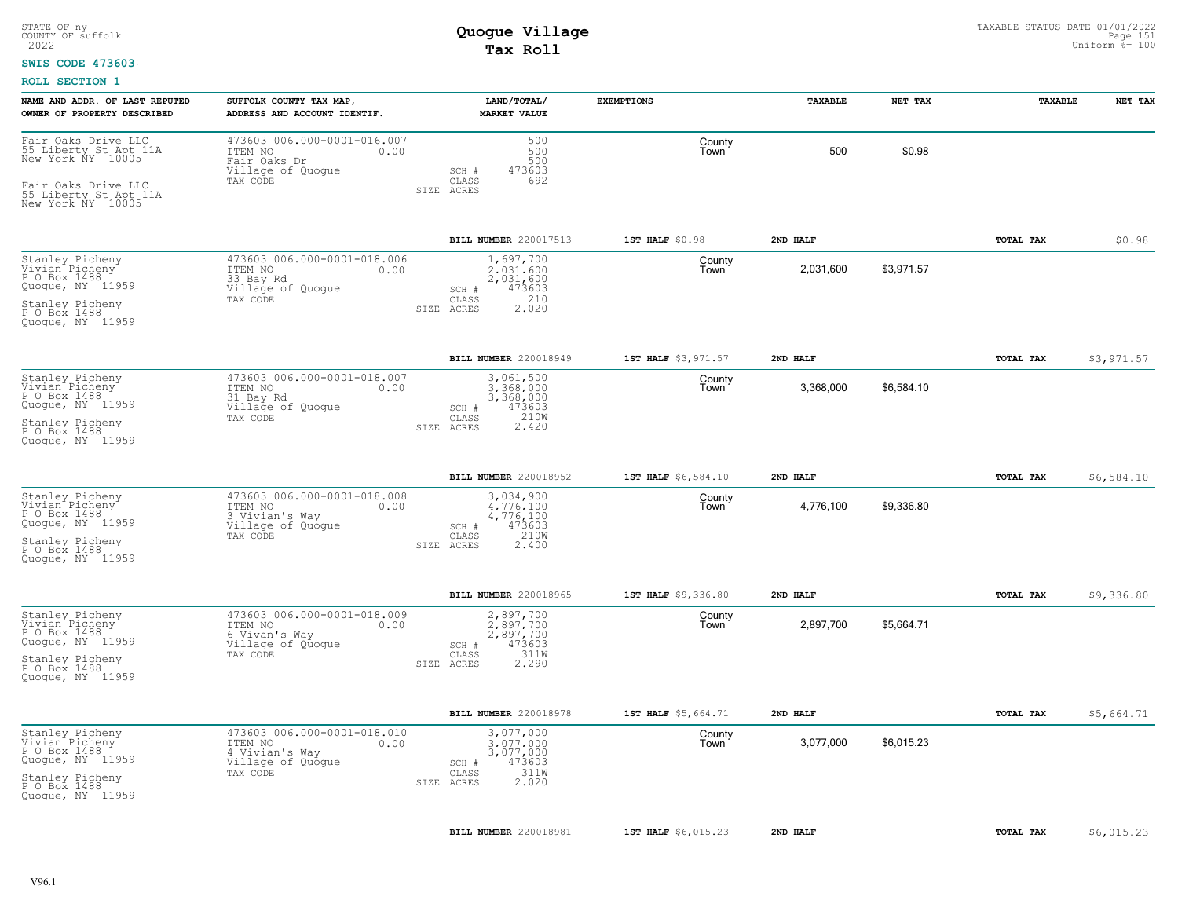### **SWIS CODE 473603**

| NAME AND ADDR. OF LAST REPUTED<br>OWNER OF PROPERTY DESCRIBED                                                                                          | SUFFOLK COUNTY TAX MAP<br>ADDRESS AND ACCOUNT IDENTIF.                                            | LAND/TOTAL/<br><b>MARKET VALUE</b>                                                                | <b>EXEMPTIONS</b>   | TAXABLE   | NET TAX    | TAXABLE   | NET TAX    |
|--------------------------------------------------------------------------------------------------------------------------------------------------------|---------------------------------------------------------------------------------------------------|---------------------------------------------------------------------------------------------------|---------------------|-----------|------------|-----------|------------|
| Fair Oaks Drive LLC<br>55 Liberty St Apt 11A<br>New York NY 10005<br>Fair Oaks Drive LLC<br>55 Liberty St Apt 11A<br>New York NY 10005                 | 473603 006.000-0001-016.007<br>ITEM NO<br>0.00<br>Fair Oaks Dr<br>Village of Quogue<br>TAX CODE   | 500<br>500<br>500<br>473603<br>SCH #<br>CLASS<br>692<br>SIZE ACRES                                | County<br>Town      | 500       | \$0.98     |           |            |
|                                                                                                                                                        |                                                                                                   | BILL NUMBER 220017513                                                                             | 1ST HALF \$0.98     | 2ND HALF  |            | TOTAL TAX | \$0.98     |
| Stanley Picheny<br>Vivian Picheny<br>P O Box 1488<br>Quogue, NY 11959<br>Stanley Picheny<br>P O Box 1488<br>Quoque, NY 11959                           | 473603 006.000-0001-018.006<br>0.00<br>ITEM NO<br>33 Bay Rd<br>Village of Quogue<br>TAX CODE      | 1,697,700<br>2.031.600<br>2,031,600<br>473603<br>$SCH$ $#$<br>210<br>CLASS<br>2.020<br>SIZE ACRES | County<br>Town      | 2,031,600 | \$3,971.57 |           |            |
|                                                                                                                                                        |                                                                                                   | BILL NUMBER 220018949                                                                             | 1ST HALF \$3,971.57 | 2ND HALF  |            | TOTAL TAX | \$3,971.57 |
| Stanley Picheny<br>Vivian Picheny<br>P O Box 1488<br>Quogue, NY 11959<br>Stanley Picheny<br>P O Box 1488<br>Quoque, NY 11959                           | 473603 006.000-0001-018.007<br>ITEM NO<br>0.00<br>31 Bay Rd<br>Village of Quogue<br>TAX CODE      | 3,061,500<br>3,368,000<br>3,368,000<br>473603<br>SCH #<br>210W<br>CLASS<br>2.420<br>SIZE ACRES    | County<br>Town      | 3,368,000 | \$6,584.10 |           |            |
|                                                                                                                                                        |                                                                                                   | BILL NUMBER 220018952                                                                             | 1ST HALF \$6,584.10 | 2ND HALF  |            | TOTAL TAX | \$6,584.10 |
| Stanley Picheny<br>Vivian Picheny<br>P O Box 1488<br>Quoque, NY 11959<br>Stanley Picheny<br>P O Box 1488<br>Quoque, NY 11959                           | 473603 006.000-0001-018.008<br>ITEM NO<br>0.00<br>3 Vivian's Way<br>Village of Quogue<br>TAX CODE | 3,034,900<br>4,776,100<br>4,776,100<br>473603<br>SCH #<br>210W<br>CLASS<br>SIZE ACRES<br>2.400    | County<br>Town      | 4,776,100 | \$9,336.80 |           |            |
|                                                                                                                                                        |                                                                                                   | BILL NUMBER 220018965                                                                             | 1ST HALF \$9,336.80 | 2ND HALF  |            | TOTAL TAX | \$9,336.80 |
| Stanley Picheny<br>Vivian Picheny<br>P O Box 1488<br>Quogue, NY 11959<br>Stanley Picheny<br>P O Box 1488<br>Quoque, NY 11959                           | 473603 006.000-0001-018.009<br>ITEM NO<br>0.00<br>6 Vivan's Way<br>Village of Quogue<br>TAX CODE  | 2,897,700<br>2.897.700<br>2,897,700<br>473603<br>SCH #<br>CLASS<br>311W<br>2.290<br>SIZE ACRES    | County<br>Town      | 2,897,700 | \$5,664.71 |           |            |
|                                                                                                                                                        |                                                                                                   | BILL NUMBER 220018978                                                                             | 1ST HALF \$5,664.71 | 2ND HALF  |            | TOTAL TAX | \$5,664.71 |
| Stanley Picheny<br>Vivian <sup>*</sup> Picheny <sup>-</sup><br>P O Box 1488<br>Quoque, NY 11959<br>Stanley Picheny<br>P O Box 1488<br>Quoque, NY 11959 | 473603 006.000-0001-018.010<br>ITEM NO<br>0.00<br>4 Vivian's Way<br>Village of Quogue<br>TAX CODE | 3,077,000<br>3,077,000<br>3,077,000<br>473603<br>SCH #<br>311W<br>CLASS<br>2.020<br>SIZE ACRES    | County<br>Town      | 3,077,000 | \$6,015.23 |           |            |
|                                                                                                                                                        |                                                                                                   | BILL NUMBER 220018981                                                                             | 1ST HALF \$6,015.23 | 2ND HALF  |            | TOTAL TAX | \$6,015.23 |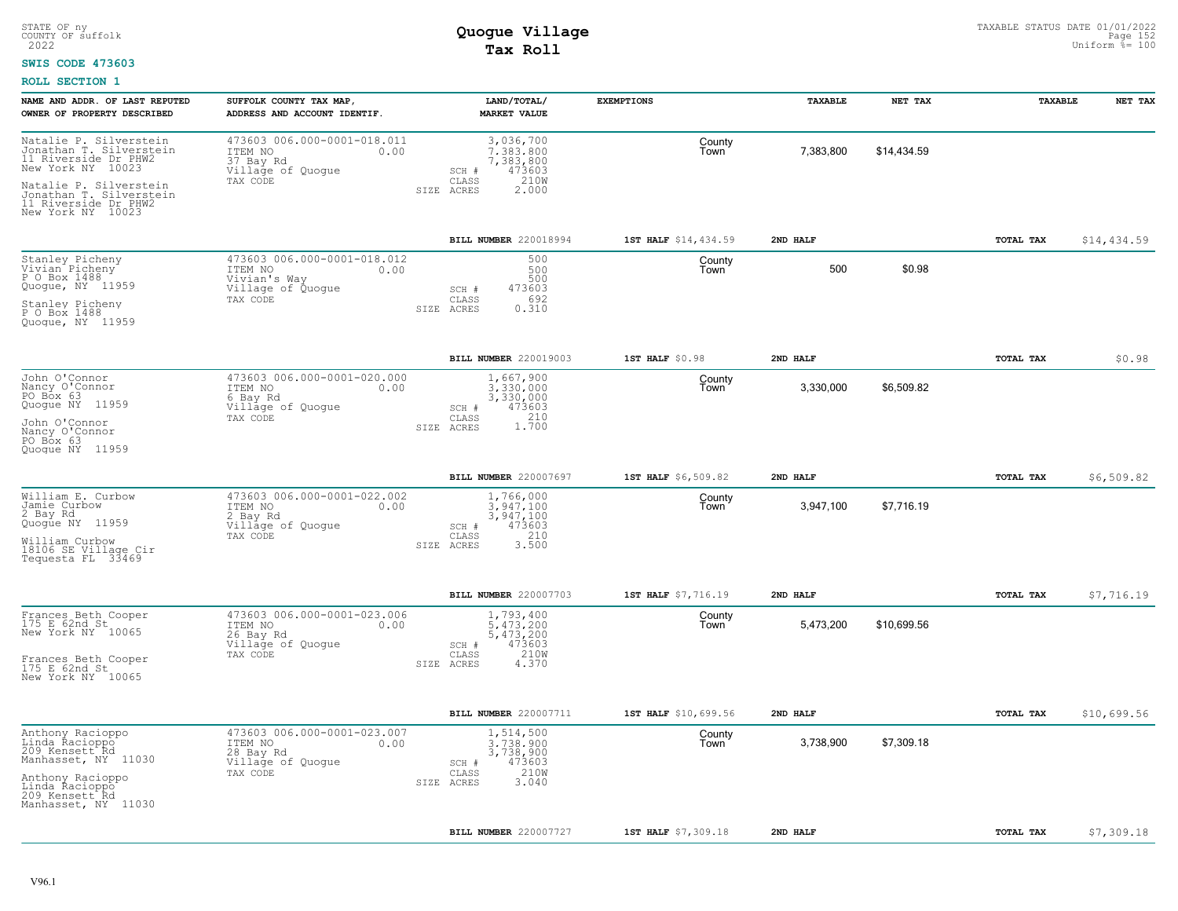#### **SWIS CODE 473603**

| NAME AND ADDR. OF LAST REPUTED                                                                           | SUFFOLK COUNTY TAX MAP                                                                          | LAND/TOTAL/                                                                 | <b>EXEMPTIONS</b>    | TAXABLE   | NET TAX     | TAXABLE   | NET TAX     |
|----------------------------------------------------------------------------------------------------------|-------------------------------------------------------------------------------------------------|-----------------------------------------------------------------------------|----------------------|-----------|-------------|-----------|-------------|
| OWNER OF PROPERTY DESCRIBED                                                                              | ADDRESS AND ACCOUNT IDENTIF.                                                                    | <b>MARKET VALUE</b>                                                         |                      |           |             |           |             |
| Natalie P. Silverstein<br>Notation T. Silverstein<br>11 Riverside Dr PHW2<br>New York NY 10023           | 473603 006.000-0001-018.011<br>ITEM NO<br>0.00<br>37 Bay Rd<br>Village of Quogue                | 3,036,700<br>7.383.800<br>7,383,800<br>473603<br>SCH #                      | County<br>Town       | 7,383,800 | \$14,434.59 |           |             |
| Natalie P. Silverstein<br>Nonathan T. Silverstein<br>11 Riverside Dr PHW2<br>New York NY 10023           | TAX CODE                                                                                        | 210W<br>$\mathtt{CLASS}$<br>SIZE ACRES<br>2.000                             |                      |           |             |           |             |
|                                                                                                          |                                                                                                 | BILL NUMBER 220018994                                                       | 1ST HALF \$14,434.59 | 2ND HALF  |             | TOTAL TAX | \$14,434.59 |
| Stanley Picheny<br>Vivian Picheny<br>P O Box 1488<br>Quogue, NY 11959<br>Stanley Picheny<br>P O Box 1488 | 473603 006.000-0001-018.012<br>ITEM NO<br>0.00<br>Vivian's Way<br>Village of Quogue<br>TAX CODE | 500<br>500<br>500<br>473603<br>SCH #<br>692<br>CLASS<br>0.310<br>SIZE ACRES | County<br>Town       | 500       | \$0.98      |           |             |
| Quoque, NY 11959                                                                                         |                                                                                                 |                                                                             |                      |           |             |           |             |
|                                                                                                          |                                                                                                 | BILL NUMBER 220019003                                                       | 1ST HALF \$0.98      | 2ND HALF  |             | TOTAL TAX | \$0.98      |
| John O'Connor<br>Nancy O'Connor<br>PO Box 63<br>Quogue NY 11959                                          | 473603 006.000-0001-020.000<br>ITEM NO<br>0.00<br>6 Bay Rd<br>Village of Quogue<br>TAX CODE     | 1,667,900<br>3,330,000<br>3,330,000<br>473603<br>SCH #<br>CLASS             | County<br>Town       | 3,330,000 | \$6,509.82  |           |             |
| John O'Connor<br>Nancy O'Connor<br>PO Box 63<br>Quoque NY 11959                                          |                                                                                                 | 1.700<br>SIZE ACRES                                                         |                      |           |             |           |             |
|                                                                                                          |                                                                                                 | BILL NUMBER 220007697                                                       | 1ST HALF \$6,509.82  | 2ND HALF  |             | TOTAL TAX | \$6,509.82  |
| William E. Curbow<br>Jamie Curbow<br>2 Bay Rd<br>Quogūe NY 11959                                         | 473603 006.000-0001-022.002<br>ITEM NO<br>0.00<br>2 Bay Rd<br>Village of Quogue<br>TAX CODE     | 1,766,000<br>$3,947,100$<br>$3,947,100$<br>473603<br>SCH #<br>210<br>CLASS  | County<br>Town       | 3,947,100 | \$7,716.19  |           |             |
| William Curbow<br>18106 SE Village Cir<br>Tequesta FL 33469                                              |                                                                                                 | 3.500<br>SIZE ACRES                                                         |                      |           |             |           |             |
|                                                                                                          |                                                                                                 | BILL NUMBER 220007703                                                       | 1ST HALF \$7,716.19  | 2ND HALF  |             | TOTAL TAX | \$7,716.19  |
| Frances Beth Cooper<br>175 E 62nd St<br>New York NY 10065                                                | 473603 006.000-0001-023.006<br>ITEM NO<br>0.00<br>26 Bay Rd<br>Village of Quogue                | 1,793,400<br>5,473,200<br>5,473,200<br>473603<br>SCH #                      | County<br>Town       | 5,473,200 | \$10,699.56 |           |             |
| Frances Beth Cooper<br>175 E 62nd St<br>New York NY 10065                                                | TAX CODE                                                                                        | 210W<br>CLASS<br>SIZE ACRES<br>4.370                                        |                      |           |             |           |             |
|                                                                                                          |                                                                                                 | BILL NUMBER 220007711                                                       | 1ST HALF \$10,699.56 | 2ND HALF  |             | TOTAL TAX | \$10,699.56 |
| Anthony Racioppo<br>Linda Racioppo<br>209 Kensett Rd<br>Manhasset, NY 11030                              | 473603 006.000-0001-023.007<br>ITEM NO<br>0.00<br>28 Bay Rd<br>Village of Quogue                | 1,514,500<br>3.738.900<br>3,738,900<br>473603<br>SCH #                      | County<br>Town       | 3,738,900 | \$7,309.18  |           |             |
| Anthony Racioppo<br>Linda Racioppo<br>209 Kensett Rd<br>Manhasset, NY 11030                              | TAX CODE                                                                                        | 210W<br>CLASS<br>3.040<br>SIZE ACRES                                        |                      |           |             |           |             |
|                                                                                                          |                                                                                                 | BILL NUMBER 220007727                                                       | 1ST HALF \$7,309.18  | 2ND HALF  |             | TOTAL TAX | \$7,309.18  |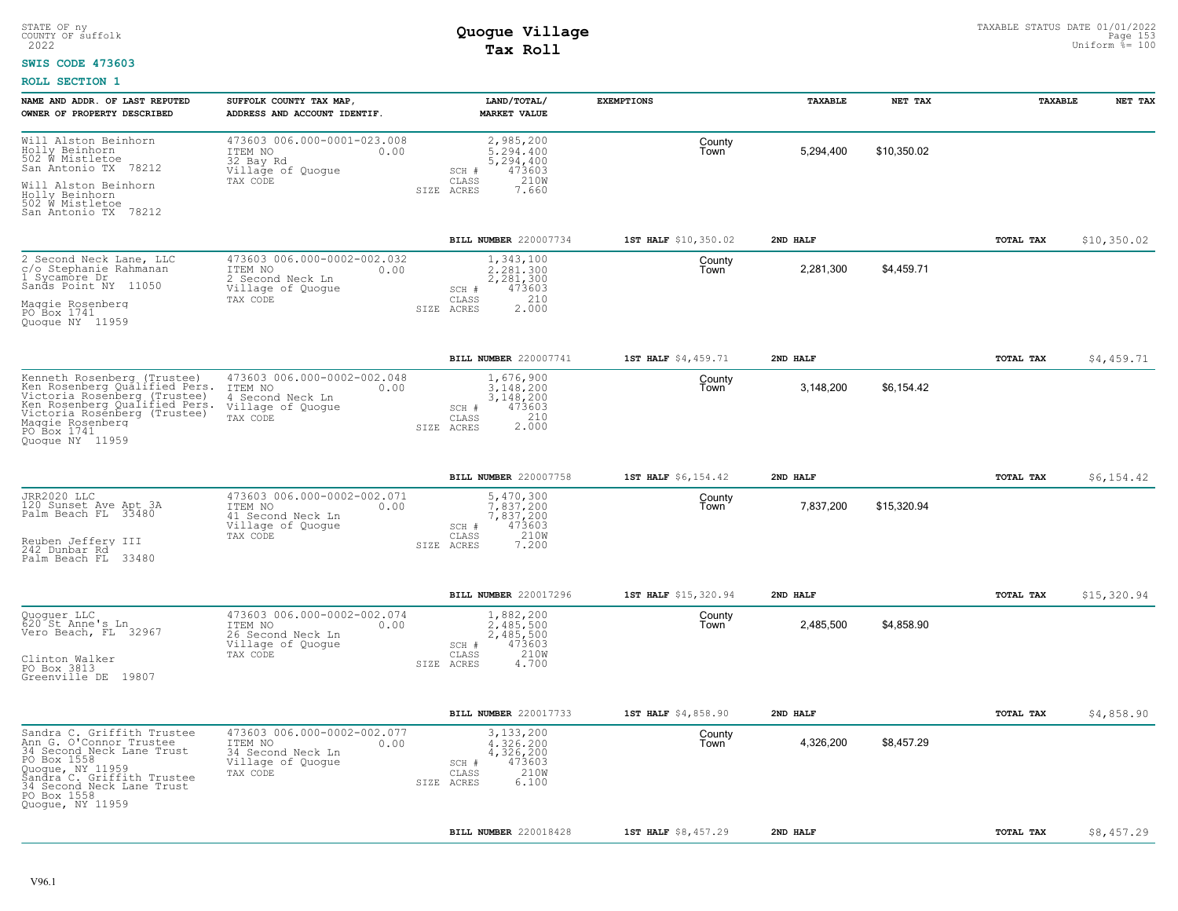### **SWIS CODE 473603**

| NAME AND ADDR. OF LAST REPUTED                                                                                                                                                                                      | SUFFOLK COUNTY TAX MAP,                                                                              | LAND/TOTAL/                                                                                    | <b>EXEMPTIONS</b>    | TAXABLE   | NET TAX     | TAXABLE          | NET TAX     |
|---------------------------------------------------------------------------------------------------------------------------------------------------------------------------------------------------------------------|------------------------------------------------------------------------------------------------------|------------------------------------------------------------------------------------------------|----------------------|-----------|-------------|------------------|-------------|
| OWNER OF PROPERTY DESCRIBED                                                                                                                                                                                         | ADDRESS AND ACCOUNT IDENTIF.                                                                         | <b>MARKET VALUE</b>                                                                            |                      |           |             |                  |             |
| Will Alston Beinhorn<br>Holly Beinhorn<br>502 W Mistletoe<br>San Antonio TX 78212                                                                                                                                   | 473603 006.000-0001-023.008<br>ITEM NO<br>0.00<br>32 Bay Rd<br>Village of Quogue                     | 2,985,200<br>5,294,400<br>5,294,400<br>473603<br>SCH #                                         | County<br>Town       | 5,294,400 | \$10,350.02 |                  |             |
| Will Alston Beinhorn<br>Holly Beinhorn<br>502 W Mistletoe<br>San Antonio TX 78212                                                                                                                                   | TAX CODE                                                                                             | 210W<br>CLASS<br>7.660<br>SIZE ACRES                                                           |                      |           |             |                  |             |
|                                                                                                                                                                                                                     |                                                                                                      | BILL NUMBER 220007734                                                                          | 1ST HALF \$10,350.02 | 2ND HALF  |             | TOTAL TAX        | \$10,350.02 |
| 2 Second Neck Lane, LLC<br>c/o Stephanie Rahmanan<br>Sycamore Dr<br>$\mathbf{1}$<br>Sands Point NY 11050<br>Maggie Rosenberg<br>PO Box 1741<br>Quoque NY 11959                                                      | 473603 006.000-0002-002.032<br>ITEM NO<br>0.00<br>2 Second Neck Ln<br>Village of Quogue<br>TAX CODE  | 1,343,100<br>2,281,300<br>2,281,300<br>473603<br>SCH #<br>210<br>CLASS<br>2.000<br>SIZE ACRES  | County<br>Town       | 2,281,300 | \$4,459.71  |                  |             |
|                                                                                                                                                                                                                     |                                                                                                      | BILL NUMBER 220007741                                                                          | 1ST HALF \$4,459.71  | 2ND HALF  |             | TOTAL TAX        | \$4,459.71  |
| Kenneth Rosenberg (Trustee)<br>Ken Rosenberg Qualified Pers.<br>Victoria Rosenberg (Trustee)<br>Wetter Rosenberg (Trustee)<br>Victoria Rosenberg (Trustee)<br>Maggie Rosenberg<br>PO Box 1741<br>Quoque NY 11959    | 473603 006.000-0002-002.048<br>ITEM NO<br>0.00<br>4 Second Neck Ln<br>Village of Quogue<br>TAX CODE  | 1,676,900<br>3,148,200<br>3,148,200<br>473603<br>SCH #<br>2.000<br>CLASS<br>SIZE ACRES         | County<br>Town       | 3,148,200 | \$6,154.42  |                  |             |
|                                                                                                                                                                                                                     |                                                                                                      | BILL NUMBER 220007758                                                                          | 1ST HALF \$6,154.42  | 2ND HALF  |             | TOTAL TAX        | \$6,154.42  |
| JRR2020 LLC<br>120 Sunset Ave Apt 3A<br>Palm Beach FL 33480<br>Reuben Jeffery III<br>242 Dunbar Rd<br>Palm Beach FL<br>33480                                                                                        | 473603 006.000-0002-002.071<br>ITEM NO<br>0.00<br>41 Second Neck Ln<br>Village of Quoque<br>TAX CODE | 5,470,300<br>7,837,200<br>7,837,200<br>473603<br>SCH #<br>210W<br>CLASS<br>7.200<br>SIZE ACRES | County<br>Town       | 7,837,200 | \$15,320.94 |                  |             |
|                                                                                                                                                                                                                     |                                                                                                      | BILL NUMBER 220017296                                                                          | 1ST HALF \$15,320.94 | 2ND HALF  |             | TOTAL TAX        | \$15,320.94 |
| Quoguer LLC<br>620 St Anne's Ln<br>Vero Beach, FL 32967<br>Clinton Walker<br>PO Box 3813<br>Greenville DE 19807                                                                                                     | 473603 006.000-0002-002.074<br>ITEM NO<br>0.00<br>26 Second Neck Ln<br>Village of Quogue<br>TAX CODE | 1,882,200<br>2,485,500<br>2,485,500<br>473603<br>SCH #<br>CLASS<br>210W<br>4.700<br>SIZE ACRES | County<br>Town       | 2,485,500 | \$4,858.90  |                  |             |
|                                                                                                                                                                                                                     |                                                                                                      | BILL NUMBER 220017733                                                                          | 1ST HALF \$4,858.90  | 2ND HALF  |             | <b>TOTAL TAX</b> | \$4,858.90  |
| Sandra C. Griffith Trustee<br>Ann G. O'Connor Trustee<br>34 Second Neck Lane Trust<br>PO Box 1558<br>Quoque, NY 11959<br>Šandra C. Griffith Trustee<br>34 Second Neck Lane Trust<br>PO Box 1558<br>Quogue, NY 11959 | 473603 006.000-0002-002.077<br>ITEM NO<br>0.00<br>34 Second Neck Ln<br>Village of Quogue<br>TAX CODE | 3,133,200<br>4,326,200<br>4,326,200<br>473603<br>SCH #<br>210W<br>CLASS<br>SIZE ACRES<br>6,100 | County<br>Town       | 4,326,200 | \$8,457.29  |                  |             |
|                                                                                                                                                                                                                     |                                                                                                      | BILL NUMBER 220018428                                                                          | 1ST HALF \$8,457.29  | 2ND HALF  |             | <b>TOTAL TAX</b> | \$8,457.29  |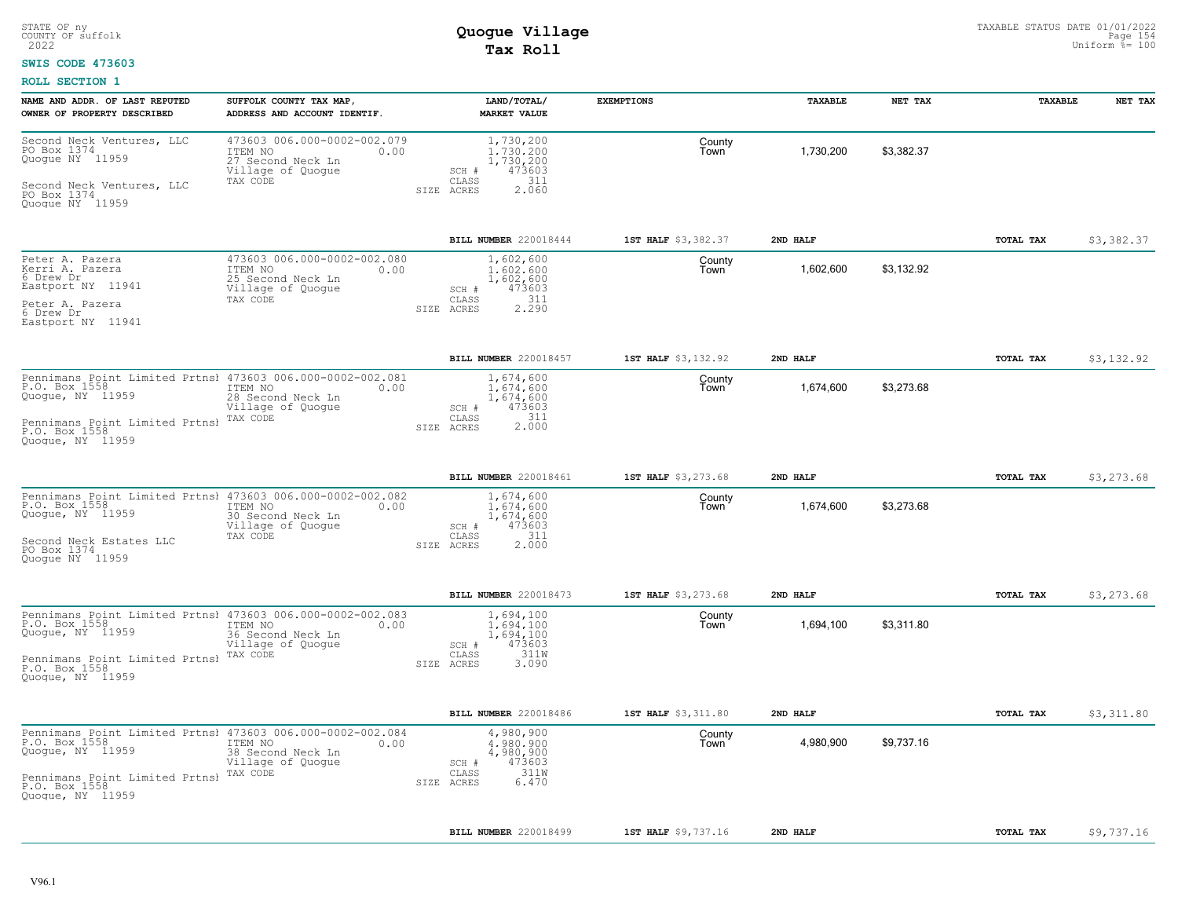### **SWIS CODE 473603**

| NAME AND ADDR. OF LAST REPUTED<br>OWNER OF PROPERTY DESCRIBED                                                                                                          | SUFFOLK COUNTY TAX MAP,<br>ADDRESS AND ACCOUNT IDENTIF.                                              | LAND/TOTAL/<br><b>MARKET VALUE</b>                                                                        | <b>EXEMPTIONS</b>   | TAXABLE   | NET TAX    | TAXABLE          | NET TAX    |
|------------------------------------------------------------------------------------------------------------------------------------------------------------------------|------------------------------------------------------------------------------------------------------|-----------------------------------------------------------------------------------------------------------|---------------------|-----------|------------|------------------|------------|
| Second Neck Ventures, LLC<br>PO Box 1374<br>Quogue NY 11959<br>Second Neck Ventures, LLC<br>PO Box 1374<br>Quoque NY 11959                                             | 473603 006.000-0002-002.079<br>ITEM NO<br>0.00<br>27 Second Neck Ln<br>Village of Quogue<br>TAX CODE | 1,730,200<br>1,730,200<br>1,730,200<br>473603<br>SCH #<br>311<br>CLASS<br>2.060<br>ACRES<br>SIZE          | County<br>Town      | 1,730,200 | \$3,382.37 |                  |            |
|                                                                                                                                                                        |                                                                                                      | BILL NUMBER 220018444                                                                                     | 1ST HALF \$3,382.37 | 2ND HALF  |            | TOTAL TAX        | \$3,382.37 |
| Peter A. Pazera<br>Kerri A. Pazera<br>6 Drew Dr<br>Eastport NY 11941<br>Peter A. Pazera<br>6 Drew Dr<br>Eastport NY 11941                                              | 473603 006.000-0002-002.080<br>ITEM NO<br>0.00<br>25 Second Neck Ln<br>Village of Quoque<br>TAX CODE | 1,602,600<br>1,602,600<br>1,602,600<br>473603<br>$SCH$ $#$<br>311<br>CLASS<br>2.290<br>SIZE ACRES         | County<br>Town      | 1,602,600 | \$3,132.92 |                  |            |
|                                                                                                                                                                        |                                                                                                      | BILL NUMBER 220018457                                                                                     | 1ST HALF \$3,132.92 | 2ND HALF  |            | <b>TOTAL TAX</b> | \$3,132.92 |
| Pennimans Point Limited Prtnsl 473603 006.000-0002-002.081<br>P.O. Box 1558<br>Quogue, NY 11959<br>Pennimans Point Limited Prtnsl<br>P.O. Box 1558<br>Quoque, NY 11959 | ITEM NO<br>0.00<br>28 Second Neck Ln<br>Village of Quogue<br>TAX CODE                                | 1,674,600<br>1,674,600<br>1,674,600<br>473603<br>SCH #<br>311<br>CLASS<br>2,000<br>SIZE ACRES             | County<br>Town      | 1,674,600 | \$3,273.68 |                  |            |
|                                                                                                                                                                        |                                                                                                      | BILL NUMBER 220018461                                                                                     | 1ST HALF \$3,273.68 | 2ND HALF  |            | TOTAL TAX        | \$3,273.68 |
| Pennimans Point Limited Prtnsł 473603 006.000-0002-002.082<br>P.O. Box 1558<br>Quoque, NY 11959<br>Second Neck Estates LLC<br>PO Box 1374<br>Quoque NY 11959           | ITEM NO<br>0.00<br>30 Second Neck Ln<br>Village of Quogue<br>TAX CODE                                | 1,674,600<br>1,674,600<br>1,674,600<br>473603<br>SCH #<br>311<br>CLASS<br>2.000<br>SIZE ACRES             | County<br>Town      | 1,674,600 | \$3,273.68 |                  |            |
|                                                                                                                                                                        |                                                                                                      | <b>BILL NUMBER 220018473</b>                                                                              | 1ST HALF \$3,273.68 | 2ND HALF  |            | TOTAL TAX        | \$3,273.68 |
| Pennimans Point Limited Prtnsl 473603 006.000-0002-002.083<br>P.O. Box 1558<br>Quoque, NY 11959<br>Pennimans Point Limited Prtnsl<br>P.O. Box 1558<br>Quoque, NY 11959 | 0.00<br>ITEM NO<br>36 Second Neck Ln<br>Village of Quogue<br>TAX CODE                                | 1,694,100<br>1,694,100<br>1,694,100<br>473603<br>SCH #<br>311W<br>CLASS<br>SIZE ACRES<br>3.090            | County<br>Town      | 1,694,100 | \$3,311.80 |                  |            |
|                                                                                                                                                                        |                                                                                                      | <b>BILL NUMBER 220018486</b>                                                                              | 1ST HALF \$3,311.80 | 2ND HALF  |            | <b>TOTAL TAX</b> | \$3,311.80 |
| Pennimans Point Limited Prtnsl 473603 006.000-0002-002.084<br>P.O. Box 1558<br>Quogue, NY 11959<br>Pennimans Point Limited Prtnsl<br>P.O. Box 1558<br>Quoque, NY 11959 | ITEM NO<br>0.00<br>38 Second Neck Ln<br>Village of Quogue<br>TAX CODE                                | 4,980,900<br>4,980,900<br>4,980,900<br>473603<br>SCH #<br>311W<br>$\mathtt{CLASS}$<br>SIZE ACRES<br>6.470 | County<br>Town      | 4,980,900 | \$9,737.16 |                  |            |
|                                                                                                                                                                        |                                                                                                      | BILL NUMBER 220018499                                                                                     | 1ST HALF \$9,737.16 | 2ND HALF  |            | TOTAL TAX        | \$9,737.16 |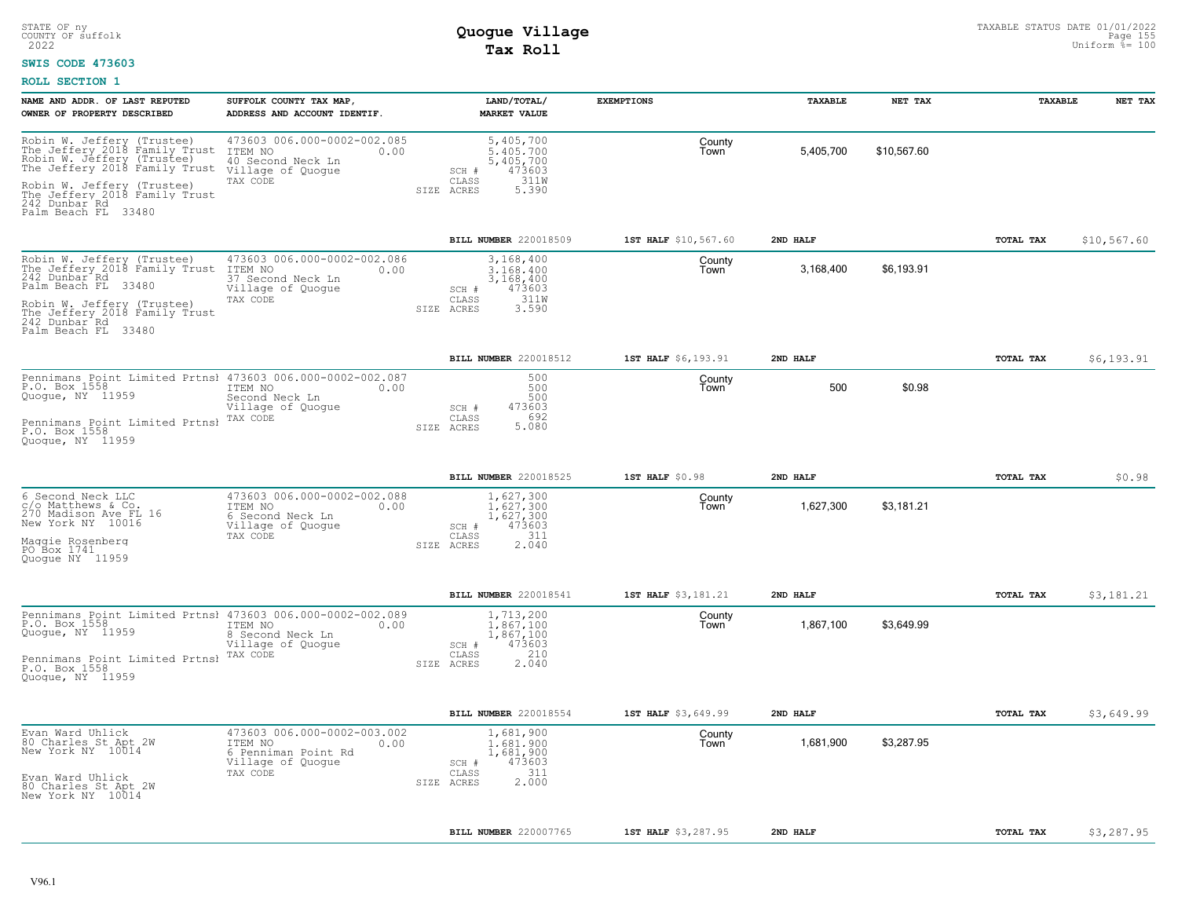### **SWIS CODE 473603**

| 473603 006.000-0002-002.085<br>5,405,700<br>County<br>5,405,700<br>\$10,567.60<br>ITEM NO<br>5, 405, 700<br>5, 405, 700<br>473603<br>0.00<br>Town<br>40 Second Neck Ln<br>Village of Quogue<br>SCH #<br>311W<br>CLASS<br>TAX CODE<br>SIZE ACRES<br>5.390<br>Palm Beach FL 33480<br><b>BILL NUMBER 220018509</b><br>\$10,567.60<br>1ST HALF \$10,567.60<br>2ND HALF<br>TOTAL TAX<br>473603 006.000-0002-002.086<br>3,168,400<br>County<br>\$6,193.91<br>ITEM NO<br>3.168.400<br>3,168,400<br>0.00<br>Town<br>37 Second Neck Ln<br>3,168,400<br>Village of Quogue<br>473603<br>SCH #<br>311W<br>TAX CODE<br>CLASS<br>3.590<br>SIZE ACRES<br>BILL NUMBER 220018512<br>TOTAL TAX<br>1ST HALF \$6,193.91<br>2ND HAT.F<br>\$6,193.91<br>Pennimans Point Limited Prtnsl 473603 006.000-0002-002.087<br>500<br>County<br>500<br>\$0.98<br>500<br>Town<br>ITEM NO<br>0.00<br>Second Neck Ln<br>500<br>473603<br>Village of Quoque<br>SCH #<br>692<br>CLASS<br>TAX CODE<br>5.080<br>SIZE ACRES<br>BILL NUMBER 220018525<br>1ST HALF \$0.98<br>2ND HALF<br>TOTAL TAX<br>\$0.98<br>473603 006.000-0002-002.088<br>1,627,300<br>County<br>1,627,300<br>\$3,181.21<br>1,627,300<br>1,627,300<br>ITEM NO<br>0.00<br>Town<br>6 Second Neck Ln<br>473603<br>Village of Quogue<br>SCH #<br>311<br>CLASS<br>TAX CODE<br>2.040<br>SIZE ACRES<br>BILL NUMBER 220018541<br>1ST HALF \$3,181.21<br>2ND HALF<br>TOTAL TAX<br>\$3,181.21<br>Pennimans Point Limited Prtnsl 473603 006.000-0002-002.089<br>1,713,200<br>County<br>\$3,649.99<br>ITEM NO<br>0.00<br>1.867.100<br>1,867,100<br>Town<br>8 Second Neck Ln<br>1,867,100<br>473603<br>Village of Quogue<br>SCH #<br>210<br>TAX CODE<br>CLASS<br>2.040<br>SIZE ACRES<br>BILL NUMBER 220018554<br>\$3,649.99<br>1ST HALF \$3,649.99<br>2ND HALF<br>TOTAL TAX<br>473603 006.000-0002-003.002<br>1,681,900<br>County<br>\$3,287.95<br>ITEM NO<br>0.00<br>1,681,900<br>Town<br>1,681,900<br>6 Penniman Point Rd<br>1,681,900<br>Village of Quogue<br>473603<br>SCH #<br>311<br>TAX CODE<br>CLASS<br>2.000<br>SIZE ACRES<br><b>BILL NUMBER 220007765</b><br>1ST HALF \$3,287.95<br>2ND HALF<br>TOTAL TAX<br>\$3,287.95 | NAME AND ADDR. OF LAST REPUTED<br>OWNER OF PROPERTY DESCRIBED                                                                                                                                                           | SUFFOLK COUNTY TAX MAP,<br>ADDRESS AND ACCOUNT IDENTIF. | LAND/TOTAL/<br><b>MARKET VALUE</b> | <b>EXEMPTIONS</b> | TAXABLE | NET TAX | TAXABLE | NET TAX |
|--------------------------------------------------------------------------------------------------------------------------------------------------------------------------------------------------------------------------------------------------------------------------------------------------------------------------------------------------------------------------------------------------------------------------------------------------------------------------------------------------------------------------------------------------------------------------------------------------------------------------------------------------------------------------------------------------------------------------------------------------------------------------------------------------------------------------------------------------------------------------------------------------------------------------------------------------------------------------------------------------------------------------------------------------------------------------------------------------------------------------------------------------------------------------------------------------------------------------------------------------------------------------------------------------------------------------------------------------------------------------------------------------------------------------------------------------------------------------------------------------------------------------------------------------------------------------------------------------------------------------------------------------------------------------------------------------------------------------------------------------------------------------------------------------------------------------------------------------------------------------------------------------------------------------------------------------------------------------------------------------------------------------------------------------------------------------------------------------------------------------------------------------|-------------------------------------------------------------------------------------------------------------------------------------------------------------------------------------------------------------------------|---------------------------------------------------------|------------------------------------|-------------------|---------|---------|---------|---------|
|                                                                                                                                                                                                                                                                                                                                                                                                                                                                                                                                                                                                                                                                                                                                                                                                                                                                                                                                                                                                                                                                                                                                                                                                                                                                                                                                                                                                                                                                                                                                                                                                                                                                                                                                                                                                                                                                                                                                                                                                                                                                                                                                                  | Robin W. Jeffery (Trustee)<br>The Jeffery 2018 Family Trust<br>Robin W. Jeffery (Trustee)<br>The Jeffery 2018 Family Trust<br>Robin W. Jeffery (Trustee)<br>The Jeffery 2018 Family Trust<br>242 Dunbar Rd              |                                                         |                                    |                   |         |         |         |         |
|                                                                                                                                                                                                                                                                                                                                                                                                                                                                                                                                                                                                                                                                                                                                                                                                                                                                                                                                                                                                                                                                                                                                                                                                                                                                                                                                                                                                                                                                                                                                                                                                                                                                                                                                                                                                                                                                                                                                                                                                                                                                                                                                                  |                                                                                                                                                                                                                         |                                                         |                                    |                   |         |         |         |         |
|                                                                                                                                                                                                                                                                                                                                                                                                                                                                                                                                                                                                                                                                                                                                                                                                                                                                                                                                                                                                                                                                                                                                                                                                                                                                                                                                                                                                                                                                                                                                                                                                                                                                                                                                                                                                                                                                                                                                                                                                                                                                                                                                                  | Robin W. Jeffery (Trustee)<br>The Jeffery 2018 Family Trust<br>242 Dunbar <sup>-</sup> Rd<br>Palm Beach FL 33480<br>Robin W. Jeffery (Trustee)<br>The Jeffery 2018 Family Trust<br>242 Dunbar Rd<br>Palm Beach FL 33480 |                                                         |                                    |                   |         |         |         |         |
|                                                                                                                                                                                                                                                                                                                                                                                                                                                                                                                                                                                                                                                                                                                                                                                                                                                                                                                                                                                                                                                                                                                                                                                                                                                                                                                                                                                                                                                                                                                                                                                                                                                                                                                                                                                                                                                                                                                                                                                                                                                                                                                                                  |                                                                                                                                                                                                                         |                                                         |                                    |                   |         |         |         |         |
|                                                                                                                                                                                                                                                                                                                                                                                                                                                                                                                                                                                                                                                                                                                                                                                                                                                                                                                                                                                                                                                                                                                                                                                                                                                                                                                                                                                                                                                                                                                                                                                                                                                                                                                                                                                                                                                                                                                                                                                                                                                                                                                                                  | P.O. Box 1558<br>Quoque, NY 11959<br>Pennimans Point Limited Prtnsl<br>P.O. Box 1558<br>Quoque, NY 11959                                                                                                                |                                                         |                                    |                   |         |         |         |         |
|                                                                                                                                                                                                                                                                                                                                                                                                                                                                                                                                                                                                                                                                                                                                                                                                                                                                                                                                                                                                                                                                                                                                                                                                                                                                                                                                                                                                                                                                                                                                                                                                                                                                                                                                                                                                                                                                                                                                                                                                                                                                                                                                                  |                                                                                                                                                                                                                         |                                                         |                                    |                   |         |         |         |         |
|                                                                                                                                                                                                                                                                                                                                                                                                                                                                                                                                                                                                                                                                                                                                                                                                                                                                                                                                                                                                                                                                                                                                                                                                                                                                                                                                                                                                                                                                                                                                                                                                                                                                                                                                                                                                                                                                                                                                                                                                                                                                                                                                                  | 6 Second Neck LLC<br>c/o Matthews & Co.<br>270 Madison Ave FL 16<br>New York NY 10016<br>Maqqie Rosenberq<br>PO Box 1741<br>Quoque NY 11959                                                                             |                                                         |                                    |                   |         |         |         |         |
|                                                                                                                                                                                                                                                                                                                                                                                                                                                                                                                                                                                                                                                                                                                                                                                                                                                                                                                                                                                                                                                                                                                                                                                                                                                                                                                                                                                                                                                                                                                                                                                                                                                                                                                                                                                                                                                                                                                                                                                                                                                                                                                                                  |                                                                                                                                                                                                                         |                                                         |                                    |                   |         |         |         |         |
|                                                                                                                                                                                                                                                                                                                                                                                                                                                                                                                                                                                                                                                                                                                                                                                                                                                                                                                                                                                                                                                                                                                                                                                                                                                                                                                                                                                                                                                                                                                                                                                                                                                                                                                                                                                                                                                                                                                                                                                                                                                                                                                                                  | P.O. Box 1558<br>Quogue, NY 11959<br>Pennimans Point Limited Prtnsl<br>P.O. Box 1558<br>Quoque, NY 11959                                                                                                                |                                                         |                                    |                   |         |         |         |         |
|                                                                                                                                                                                                                                                                                                                                                                                                                                                                                                                                                                                                                                                                                                                                                                                                                                                                                                                                                                                                                                                                                                                                                                                                                                                                                                                                                                                                                                                                                                                                                                                                                                                                                                                                                                                                                                                                                                                                                                                                                                                                                                                                                  |                                                                                                                                                                                                                         |                                                         |                                    |                   |         |         |         |         |
|                                                                                                                                                                                                                                                                                                                                                                                                                                                                                                                                                                                                                                                                                                                                                                                                                                                                                                                                                                                                                                                                                                                                                                                                                                                                                                                                                                                                                                                                                                                                                                                                                                                                                                                                                                                                                                                                                                                                                                                                                                                                                                                                                  | Evan Ward Uhlick<br>80 Charles St Apt 2W<br>New York NY 10014<br>Evan Ward Uhlick<br>80 Charles St Apt 2W<br>New York NY 10014                                                                                          |                                                         |                                    |                   |         |         |         |         |
|                                                                                                                                                                                                                                                                                                                                                                                                                                                                                                                                                                                                                                                                                                                                                                                                                                                                                                                                                                                                                                                                                                                                                                                                                                                                                                                                                                                                                                                                                                                                                                                                                                                                                                                                                                                                                                                                                                                                                                                                                                                                                                                                                  |                                                                                                                                                                                                                         |                                                         |                                    |                   |         |         |         |         |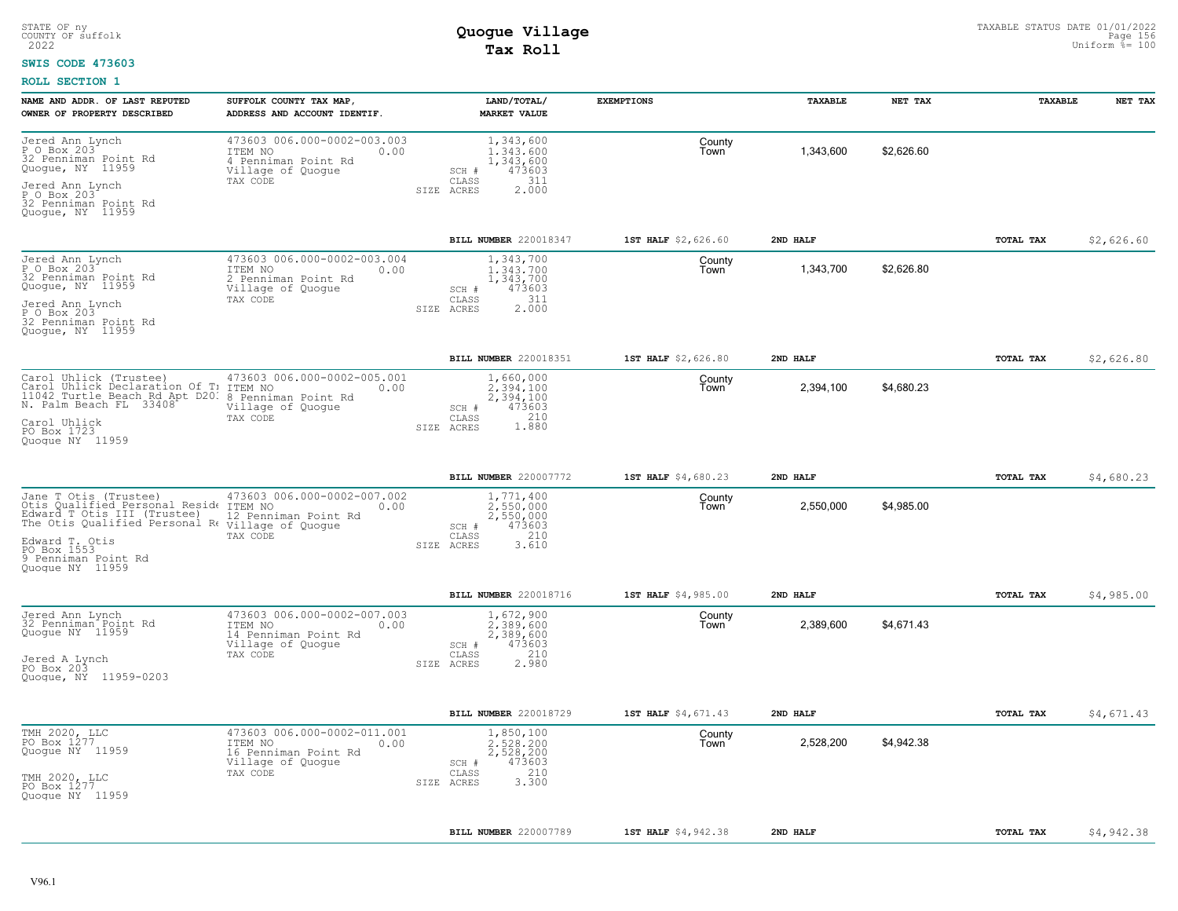#### **SWIS CODE 473603**

| NAME AND ADDR. OF LAST REPUTED                                                                                                                           | SUFFOLK COUNTY TAX MAP,                                                                                 | LAND/TOTAL/                                                                                       | <b>EXEMPTIONS</b>   | TAXABLE   | NET TAX    | TAXABLE   | NET TAX    |
|----------------------------------------------------------------------------------------------------------------------------------------------------------|---------------------------------------------------------------------------------------------------------|---------------------------------------------------------------------------------------------------|---------------------|-----------|------------|-----------|------------|
| OWNER OF PROPERTY DESCRIBED                                                                                                                              | ADDRESS AND ACCOUNT IDENTIF.                                                                            | <b>MARKET VALUE</b>                                                                               |                     |           |            |           |            |
| Jered Ann Lynch<br>P O Box 203<br>32 Penniman Point Rd<br>Quogue, NY 11959                                                                               | 473603 006.000-0002-003.003<br>ITEM NO<br>0.00<br>4 Penniman Point Rd<br>Village of Quogue              | 1,343,600<br>1,343,600<br>1,343,600<br>473603<br>SCH #                                            | County<br>Town      | 1,343,600 | \$2,626.60 |           |            |
| Jered Ann Lynch<br>P O Box 203<br>32 Penniman Point Rd<br>Quogue, NY 11959                                                                               | TAX CODE                                                                                                | 311<br>CLASS<br>2.000<br>SIZE ACRES                                                               |                     |           |            |           |            |
|                                                                                                                                                          |                                                                                                         | BILL NUMBER 220018347                                                                             | 1ST HALF \$2,626.60 | 2ND HALF  |            | TOTAL TAX | \$2,626.60 |
| Jered Ann Lynch<br>P O Box 203<br>32 Penniman Point Rd<br>Quogue, NY 11959<br>Jered Ann Lynch                                                            | 473603 006.000-0002-003.004<br>0.00<br>ITEM NO<br>2 Penniman Point Rd<br>Village of Quogue<br>TAX CODE  | 1,343,700<br>1, 343, 700<br>1, 343, 700<br>473603<br>SCH #<br>311<br>CLASS<br>2.000<br>SIZE ACRES | County<br>Town      | 1,343,700 | \$2,626.80 |           |            |
| P O Box 203<br>32 Penniman Point Rd<br>Quogue, NY 11959                                                                                                  |                                                                                                         |                                                                                                   |                     |           |            |           |            |
|                                                                                                                                                          |                                                                                                         | BILL NUMBER 220018351                                                                             | 1ST HALF \$2,626.80 | 2ND HALF  |            | TOTAL TAX | \$2,626.80 |
| Carol Uhlick (Trustee)<br>Carol Uhlick Declaration Of T:<br>11042 Turtle Beach Rd Apt D20. 8 Penniman Point Rd<br>N. Palm Beach FL 33408<br>Carol Uhlick | 473603 006.000-0002-005.001<br>ITEM NO<br>0.00<br>Village of Quogue<br>TAX CODE                         | 1,660,000<br>2.394.100<br>2,394,100<br>473603<br>SCH #<br>1.880<br>CLASS                          | County<br>Town      | 2,394,100 | \$4,680.23 |           |            |
| PO Box 1723<br>Quoque NY 11959                                                                                                                           |                                                                                                         | SIZE ACRES                                                                                        |                     |           |            |           |            |
|                                                                                                                                                          |                                                                                                         | BILL NUMBER 220007772                                                                             | 1ST HALF \$4,680.23 | 2ND HALF  |            | TOTAL TAX | \$4,680.23 |
| Jane T Otis (Trustee)<br>Otis Qualified Personal Reside<br>Edward T Otis III (Trustee)<br>The Otis Qualified Personal Re Village of Quogue               | 473603 006.000-0002-007.002<br>ITEM NO<br>0.00<br>12 Penniman Point Rd<br>TAX CODE                      | 1,771,400<br>$2,550,000$<br>2,550,000<br>473603<br>SCH #<br>210<br>CLASS                          | County<br>Town      | 2,550,000 | \$4,985.00 |           |            |
| Edward T. Otis<br>PO_Box 1553<br>9 Penniman Point Rd<br>Quoque NY 11959                                                                                  |                                                                                                         | 3.610<br>SIZE ACRES                                                                               |                     |           |            |           |            |
|                                                                                                                                                          |                                                                                                         | BILL NUMBER 220018716                                                                             | 1ST HALF \$4,985.00 | 2ND HALF  |            | TOTAL TAX | \$4,985.00 |
| Jered Ann Lynch<br>32 Penniman Point Rd<br>Quoque NY 11959                                                                                               | 473603 006.000-0002-007.003<br>ITEM NO<br>0.00<br>14 Penniman Point Rd<br>Village of Quogue<br>TAX CODE | 1,672,900<br>2,389,600<br>2,389,600<br>473603<br>SCH #<br>210                                     | County<br>Town      | 2,389,600 | \$4,671.43 |           |            |
| Jered A Lynch<br>PO Box 203<br>Quogue, NY 11959-0203                                                                                                     |                                                                                                         | CLASS<br>2.980<br>SIZE ACRES                                                                      |                     |           |            |           |            |
|                                                                                                                                                          |                                                                                                         | BILL NUMBER 220018729                                                                             | 1ST HALF \$4,671.43 | 2ND HALF  |            | TOTAL TAX | \$4,671.43 |
| TMH 2020, LLC<br>PO Box 1277<br>Quoque NY 11959                                                                                                          | 473603 006.000-0002-011.001<br>ITEM NO<br>0.00<br>16 Penniman Point Rd<br>Village of Quogue             | 1,850,100<br>2,528,200<br>2,528,200<br>473603<br>SCH #                                            | County<br>Town      | 2,528,200 | \$4,942.38 |           |            |
| TMH 2020, LLC<br>PO Box 1277<br>Quogue NY 11959                                                                                                          | TAX CODE                                                                                                | 210<br>CLASS<br>3.300<br>SIZE<br>ACRES                                                            |                     |           |            |           |            |
|                                                                                                                                                          |                                                                                                         | BILL NUMBER 220007789                                                                             | 1ST HALF \$4,942.38 | 2ND HALF  |            | TOTAL TAX | \$4,942.38 |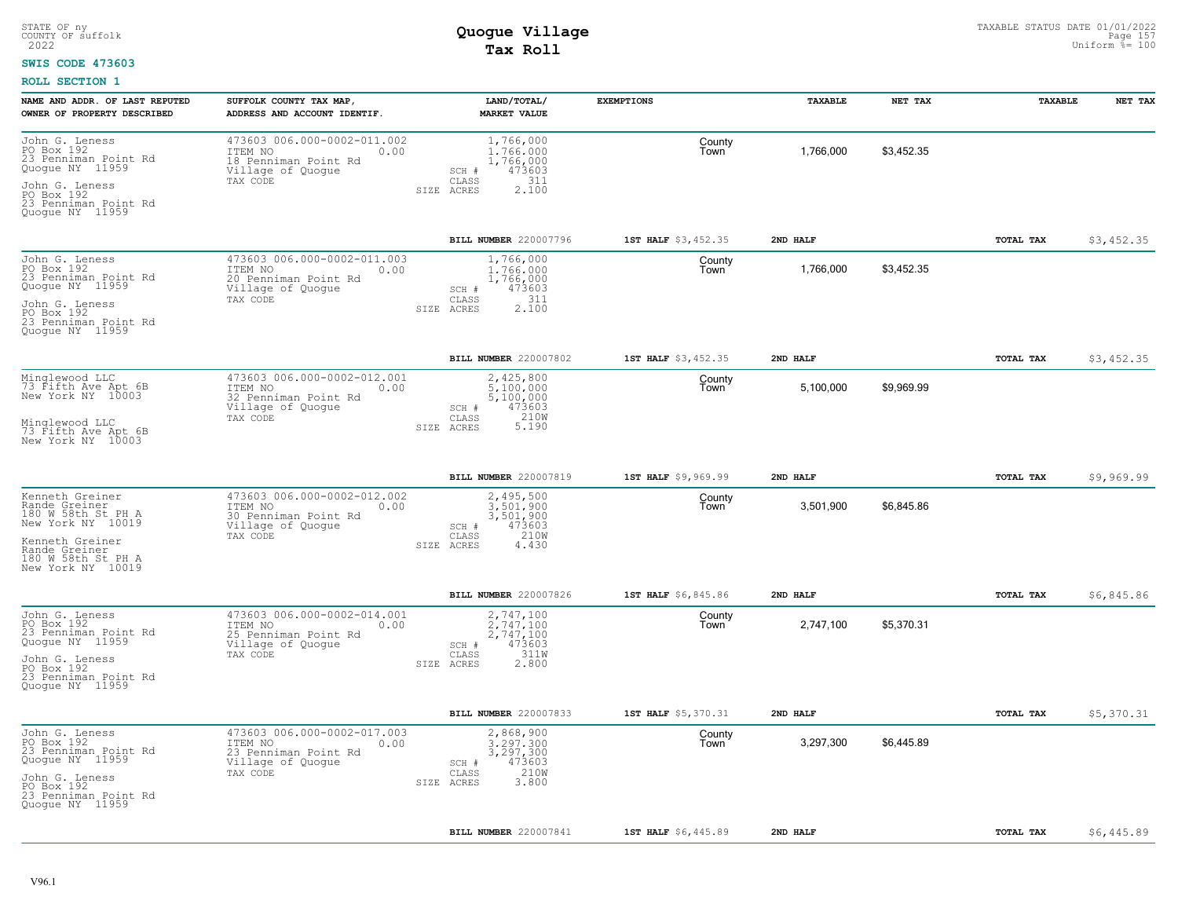### **SWIS CODE 473603**

| NAME AND ADDR. OF LAST REPUTED                                              | SUFFOLK COUNTY TAX MAP,                                                                     | LAND/TOTAL/                                            | <b>EXEMPTIONS</b>   | TAXABLE   | NET TAX    | TAXABLE          | NET TAX    |
|-----------------------------------------------------------------------------|---------------------------------------------------------------------------------------------|--------------------------------------------------------|---------------------|-----------|------------|------------------|------------|
| OWNER OF PROPERTY DESCRIBED                                                 | ADDRESS AND ACCOUNT IDENTIF.                                                                | <b>MARKET VALUE</b>                                    |                     |           |            |                  |            |
| John G. Leness<br>PO Box 192<br>23 Penniman Point Rd<br>Quogue NY 11959     | 473603 006.000-0002-011.002<br>ITEM NO<br>0.00<br>18 Penniman Point Rd<br>Village of Quogue | 1,766,000<br>1,766,000<br>1,766,000<br>473603<br>SCH # | County<br>Town      | 1,766,000 | \$3,452.35 |                  |            |
| John G. Leness<br>PO Box 192<br>23 Penniman Point Rd<br>Quogue NY 11959     | TAX CODE                                                                                    | 311<br>CLASS<br>2.100<br>SIZE ACRES                    |                     |           |            |                  |            |
|                                                                             |                                                                                             | BILL NUMBER 220007796                                  | 1ST HALF \$3,452.35 | 2ND HALF  |            | TOTAL TAX        | \$3,452.35 |
| John G. Leness<br>PO Box 192<br>23 Penniman Point Rd<br>Quogue NY 11959     | 473603 006.000-0002-011.003<br>ITEM NO<br>0.00<br>20 Penniman Point Rd<br>Village of Quogue | 1,766,000<br>1,766,000<br>1,766,000<br>473603<br>SCH # | County<br>Town      | 1,766,000 | \$3,452.35 |                  |            |
| John G. Leness<br>PO Box 192<br>23 Penniman Point Rd<br>Quogue NY 11959     | TAX CODE                                                                                    | 311<br>CLASS<br>2.100<br>SIZE<br>ACRES                 |                     |           |            |                  |            |
|                                                                             |                                                                                             | BILL NUMBER 220007802                                  | 1ST HALF \$3,452.35 | 2ND HALF  |            | TOTAL TAX        | \$3,452.35 |
| Minglewood LLC<br>73 Fifth Ave Apt 6B<br>New York NY 10003                  | 473603 006.000-0002-012.001<br>ITEM NO<br>0.00<br>32 Penniman Point Rd<br>Village of Quoque | 2,425,800<br>5,100,000<br>5,100,000<br>SCH #<br>473603 | County<br>Town      | 5,100,000 | \$9,969.99 |                  |            |
| Minglewood LLC<br>73 Fifth Ave Apt 6B<br>New York NY 10003                  | TAX CODE                                                                                    | 210W<br>CLASS<br>5.190<br>SIZE ACRES                   |                     |           |            |                  |            |
|                                                                             |                                                                                             | BILL NUMBER 220007819                                  | 1ST HALF \$9,969.99 | 2ND HALF  |            | <b>TOTAL TAX</b> | \$9,969.99 |
| Kenneth Greiner<br>Rande Greiner<br>180 W 58th St PH A<br>New York NY 10019 | 473603 006.000-0002-012.002<br>ITEM NO<br>0.00<br>30 Penniman Point Rd<br>Village of Quoque | 2,495,500<br>3,501,900<br>3,501,900<br>SCH #<br>473603 | County<br>Town      | 3,501,900 | \$6,845.86 |                  |            |
| Kenneth Greiner<br>Rande Greiner<br>180 W 58th St PH A<br>New York NY 10019 | TAX CODE                                                                                    | 210W<br>CLASS<br>4,430<br>SIZE ACRES                   |                     |           |            |                  |            |
|                                                                             |                                                                                             | BILL NUMBER 220007826                                  | 1ST HALF \$6,845.86 | 2ND HALF  |            | <b>TOTAL TAX</b> | \$6,845.86 |
| John G. Leness<br>PO Box 192<br>23 Penniman Point Rd<br>Quogue NY 11959     | 473603 006.000-0002-014.001<br>ITEM NO<br>0.00<br>25 Penniman Point Rd<br>Village of Quogue | 2,747,100<br>2.747.100<br>2,747,100<br>473603<br>SCH # | County<br>Town      | 2,747,100 | \$5,370.31 |                  |            |
| John G. Leness<br>PO Box 192<br>23 Penniman Point Rd<br>Quogue NY 11959     | TAX CODE                                                                                    | 311W<br>CLASS<br>2.800<br>SIZE ACRES                   |                     |           |            |                  |            |
|                                                                             |                                                                                             | <b>BILL NUMBER 220007833</b>                           | 1ST HALF \$5,370.31 | 2ND HALF  |            | TOTAL TAX        | \$5,370.31 |
| John G. Leness<br>PO Box 192<br>23 Penniman Point Rd<br>Quogue NY 11959     | 473603 006.000-0002-017.003<br>ITEM NO<br>0.00<br>23 Penniman Point Rd<br>Village of Quogue | 2,868,900<br>3.297.300<br>3,297,300<br>473603<br>SCH # | County<br>Town      | 3,297,300 | \$6,445.89 |                  |            |
| John G. Leness<br>PO Box 192<br>23 Penniman Point Rd<br>Quogue NY 11959     | TAX CODE                                                                                    | 210W<br>CLASS<br>3.800<br>SIZE ACRES                   |                     |           |            |                  |            |
|                                                                             |                                                                                             | BILL NUMBER 220007841                                  | 1ST HALF \$6,445.89 | 2ND HALF  |            | <b>TOTAL TAX</b> | \$6,445.89 |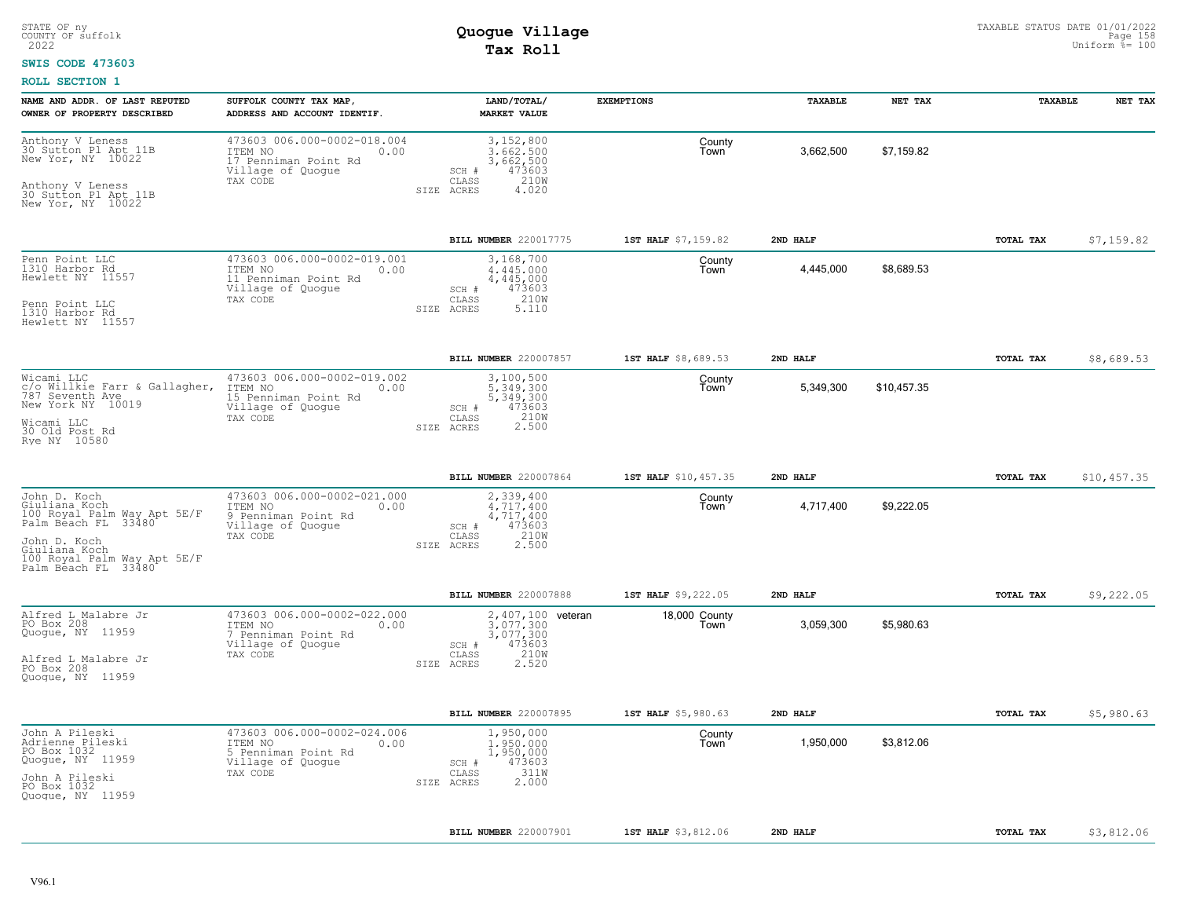### **SWIS CODE 473603**

| NAME AND ADDR. OF LAST REPUTED<br>OWNER OF PROPERTY DESCRIBED                                                                                                              | SUFFOLK COUNTY TAX MAP<br>ADDRESS AND ACCOUNT IDENTIF.                                                  | LAND/TOTAL/<br><b>MARKET VALUE</b>                                                                     | <b>EXEMPTIONS</b>     | TAXABLE   | NET TAX     | TAXABLE   | NET TAX     |
|----------------------------------------------------------------------------------------------------------------------------------------------------------------------------|---------------------------------------------------------------------------------------------------------|--------------------------------------------------------------------------------------------------------|-----------------------|-----------|-------------|-----------|-------------|
| Anthony V Leness<br>30 Sutton Pl Apt 11B<br>New Yor, NY 10022<br>Anthony V Leness<br>30 Sutton Pl Apt 11B<br>New Yor, NY 10022                                             | 473603 006.000-0002-018.004<br>ITEM NO<br>0.00<br>17 Penniman Point Rd<br>Village of Quogue<br>TAX CODE | 3,152,800<br>3.662.500<br>3,662,500<br>473603<br>SCH #<br>210W<br>CLASS<br>SIZE ACRES<br>4.020         | County<br>Town        | 3,662,500 | \$7,159.82  |           |             |
|                                                                                                                                                                            |                                                                                                         | <b>BILL NUMBER 220017775</b>                                                                           | 1ST HALF \$7,159.82   | 2ND HALF  |             | TOTAL TAX | \$7,159.82  |
| Penn Point LLC<br>1310 Harbor Rd<br>Hewlett NY 11557<br>Penn Point LLC<br>1310 Harbor Rd<br>Hewlett NY 11557                                                               | 473603 006.000-0002-019.001<br>ITEM NO<br>0.00<br>11 Penniman Point Rd<br>Village of Quogue<br>TAX CODE | 3,168,700<br>4.445.000<br>4,445,000<br>473603<br>SCH #<br>210W<br>CLASS<br>5.110<br>SIZE<br>ACRES      | County<br>Town        | 4,445,000 | \$8,689.53  |           |             |
|                                                                                                                                                                            |                                                                                                         | BILL NUMBER 220007857                                                                                  | 1ST HALF \$8,689.53   | 2ND HALF  |             | TOTAL TAX | \$8,689.53  |
| Wicami LLC<br>c/o Willkie Farr & Gallagher,<br>787 Seventh Ave<br>New York NY 10019<br>Wicami LLC<br>30 Old Post Rd<br>Rye NY 10580                                        | 473603 006.000-0002-019.002<br>ITEM NO<br>0.00<br>15 Penniman Point Rd<br>Village of Quogue<br>TAX CODE | 3,100,500<br>5,349,300<br>5,349,300<br>473603<br>SCH #<br>210W<br>CLASS<br>2.500<br>SIZE ACRES         | County<br>Town        | 5,349,300 | \$10.457.35 |           |             |
|                                                                                                                                                                            |                                                                                                         | BILL NUMBER 220007864                                                                                  | 1ST HALF \$10,457.35  | 2ND HALF  |             | TOTAL TAX | \$10,457.35 |
| John D. Koch<br>Giuliana Koch<br>100 Royal Palm Way Apt 5E/F<br>Palm Beach FL 33480<br>John D. Koch<br>Giuliana Koch<br>100 Royal Palm Way Apt 5E/F<br>Palm Beach FL 33480 | 473603 006.000-0002-021.000<br>ITEM NO<br>0.00<br>9 Penniman Point Rd<br>Village of Quoque<br>TAX CODE  | 2,339,400<br>$4.717.400$<br>$4.717.400$<br>473603<br>SCH #<br>210W<br>CLASS<br>2,500<br>SIZE ACRES     | County<br>Town        | 4,717,400 | \$9,222.05  |           |             |
|                                                                                                                                                                            |                                                                                                         | BILL NUMBER 220007888                                                                                  | 1ST HALF \$9,222.05   | 2ND HALF  |             | TOTAL TAX | \$9,222.05  |
| Alfred L Malabre Jr<br>PO Box 208<br>Quogue, NY 11959<br>Alfred L Malabre Jr<br>PO Box 208<br>Quoque, NY 11959                                                             | 473603 006.000-0002-022.000<br>ITEM NO<br>0.00<br>7 Penniman Point Rd<br>Village of Quogue<br>TAX CODE  | 2,407,100 veteran<br>3.077.300<br>3,077,300<br>473603<br>SCH #<br>210W<br>CLASS<br>2.520<br>SIZE ACRES | 18,000 County<br>Town | 3,059,300 | \$5,980.63  |           |             |
|                                                                                                                                                                            |                                                                                                         | BILL NUMBER 220007895                                                                                  | 1ST HALF \$5,980.63   | 2ND HALF  |             | TOTAL TAX | \$5,980.63  |
| John A Pileski<br>Adrienne Pileski<br>PO Box 1032<br>Quogue, NY 11959<br>John A Pileski<br>PO Box 1032<br>Quoque, NY 11959                                                 | 473603 006.000-0002-024.006<br>ITEM NO<br>0.00<br>5 Penniman Point Rd<br>Village of Quogue<br>TAX CODE  | 1,950,000<br>1,950,000<br>1,950,000<br>473603<br>SCH #<br>311W<br>CLASS<br>2.000<br>SIZE ACRES         | County<br>Town        | 1,950,000 | \$3,812.06  |           |             |
|                                                                                                                                                                            |                                                                                                         | BILL NUMBER 220007901                                                                                  | 1ST HALF \$3,812.06   | 2ND HALF  |             | TOTAL TAX | \$3,812.06  |
|                                                                                                                                                                            |                                                                                                         |                                                                                                        |                       |           |             |           |             |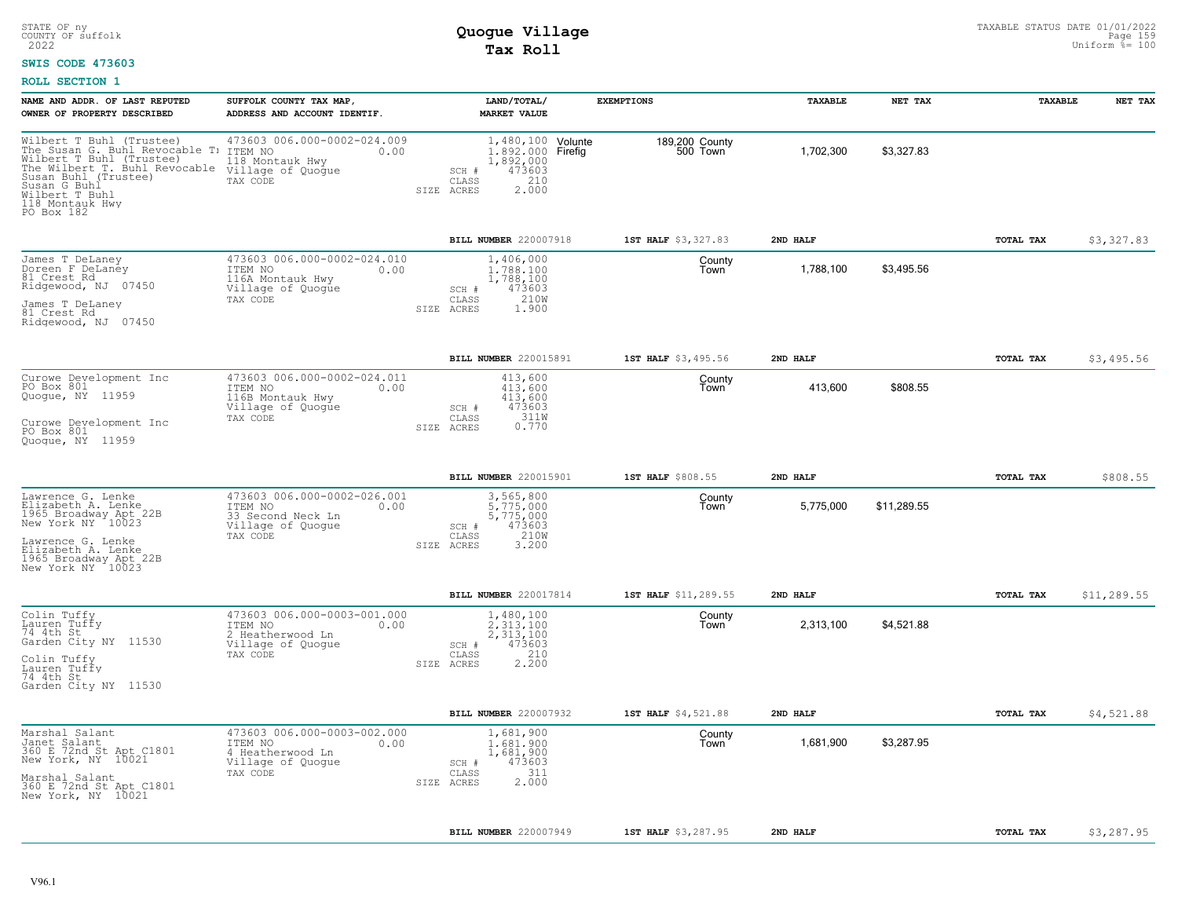### **SWIS CODE 473603**

| NAME AND ADDR. OF LAST REPUTED<br>OWNER OF PROPERTY DESCRIBED                                                                                                                                                                       | SUFFOLK COUNTY TAX MAP<br>ADDRESS AND ACCOUNT IDENTIF.                                               | LAND/TOTAL/<br><b>MARKET VALUE</b>                                                                            | <b>EXEMPTIONS</b>          | TAXABLE   | NET TAX     | TAXABLE   | NET TAX     |
|-------------------------------------------------------------------------------------------------------------------------------------------------------------------------------------------------------------------------------------|------------------------------------------------------------------------------------------------------|---------------------------------------------------------------------------------------------------------------|----------------------------|-----------|-------------|-----------|-------------|
| Wilbert T Buhl (Trustee)<br>The Susan G. Buhl Revocable T: ITEM NO<br>Wilbert T Buhl (Trustee) 118 Mont<br>The Wilbert T. Buhl Revocable<br>Susan Buhl (Trustee)<br>Susan G Buhl<br>Wilbert T Buhl<br>118 Montauk Hwy<br>PO Box 182 | 473603 006.000-0002-024.009<br>0.00<br>118 Montauk Hwy<br>Village of Quogue<br>TAX CODE              | 1,480,100 Volunte<br>1.892.000 Firefig<br>1,892,000<br>473603<br>SCH #<br>210<br>CLASS<br>2.000<br>SIZE ACRES | 189,200 County<br>500 Town | 1,702,300 | \$3,327.83  |           |             |
|                                                                                                                                                                                                                                     |                                                                                                      | BILL NUMBER 220007918                                                                                         | 1ST HALF \$3,327.83        | 2ND HALF  |             | TOTAL TAX | \$3,327.83  |
| James T DeLaney<br>Doreen F DeLaney<br>81 Crest Rd<br>Ridgewood, NJ 07450<br>James T DeLaney<br>81 Crest Rd<br>Ridgewood, NJ 07450                                                                                                  | 473603 006.000-0002-024.010<br>ITEM NO<br>0.00<br>116A Montauk Hwy<br>Village of Quogue<br>TAX CODE  | 1,406,000<br>1,788,100<br>1,788,100<br>473603<br>SCH #<br>210W<br>$\mathtt{CLASS}$<br>SIZE ACRES<br>1,900     | County<br>Town             | 1,788,100 | \$3,495.56  |           |             |
|                                                                                                                                                                                                                                     |                                                                                                      | BILL NUMBER 220015891                                                                                         | 1ST HALF \$3,495.56        | 2ND HALF  |             | TOTAL TAX | \$3,495.56  |
| Curowe Development Inc<br>PO Box 801<br>Quogue, NY 11959<br>Curowe Development Inc<br>PO Box 801<br>Quoque, NY 11959                                                                                                                | 473603 006.000-0002-024.011<br>ITEM NO<br>0.00<br>116B Montauk Hwy<br>Village of Quogue<br>TAX CODE  | 413,600<br>413,600<br>413,600<br>473603<br>SCH #<br>311W<br>CLASS<br>0.770<br>SIZE ACRES                      | County<br>Town             | 413,600   | \$808.55    |           |             |
|                                                                                                                                                                                                                                     |                                                                                                      |                                                                                                               |                            |           |             |           |             |
|                                                                                                                                                                                                                                     |                                                                                                      | BILL NUMBER 220015901                                                                                         | 1ST HALF \$808.55          | 2ND HALF  |             | TOTAL TAX | \$808.55    |
| Lawrence G. Lenke<br>Elizabeth A. Lenke<br>1965 Broadway Apt 22B<br>New York NY <sup>-</sup> 10023<br>Lawrence G. Lenke<br>Elizabeth A. Lenke<br>1965 Broadway Apt 22B<br>New York NY 10023                                         | 473603 006.000-0002-026.001<br>ITEM NO<br>0.00<br>33 Second Neck Ln<br>Village of Quogue<br>TAX CODE | 3,565,800<br>5,775,000<br>5,775,000<br>473603<br>SCH #<br>210W<br>CLASS<br>3.200<br>SIZE ACRES                | County<br>Town             | 5,775,000 | \$11,289.55 |           |             |
|                                                                                                                                                                                                                                     |                                                                                                      | BILL NUMBER 220017814                                                                                         | 1ST HALF \$11,289.55       | 2ND HALF  |             | TOTAL TAX | \$11,289.55 |
| Colin Tuffy<br>Lauren Tuffy<br>74 4th St<br>Garden City NY 11530<br>Colin Tuffy<br>Lauren Tuffy<br>74 4th St<br>Garden City NY 11530                                                                                                | 473603 006.000-0003-001.000<br>ITEM NO<br>0.00<br>2 Heatherwood Ln<br>Village of Quogue<br>TAX CODE  | 1,480,100<br>2.313.100<br>2,313,100<br>473603<br>SCH #<br>210<br>CLASS<br>2.200<br>SIZE ACRES                 | County<br>Town             | 2,313,100 | \$4,521.88  |           |             |
|                                                                                                                                                                                                                                     |                                                                                                      | BILL NUMBER 220007932                                                                                         | 1ST HALF \$4,521.88        | 2ND HALF  |             | TOTAL TAX | \$4,521.88  |
| Marshal Salant<br>Janet Salant<br>360 E 72nd St Apt C1801<br>New York, NY 10021<br>Marshal Salant<br>360 E 72nd St Apt C1801<br>New York, NY 10021                                                                                  | 473603 006.000-0003-002.000<br>ITEM NO<br>0.00<br>4 Heatherwood Ln<br>Village of Quogue<br>TAX CODE  | 1,681,900<br>1,681,900<br>1,681,900<br>473603<br>SCH #<br>311<br>CLASS<br>2.000<br>SIZE<br>ACRES              | County<br>Town             | 1,681,900 | \$3,287.95  |           |             |
|                                                                                                                                                                                                                                     |                                                                                                      | BILL NUMBER 220007949                                                                                         | 1ST HALF \$3,287.95        | 2ND HALF  |             | TOTAL TAX | \$3,287.95  |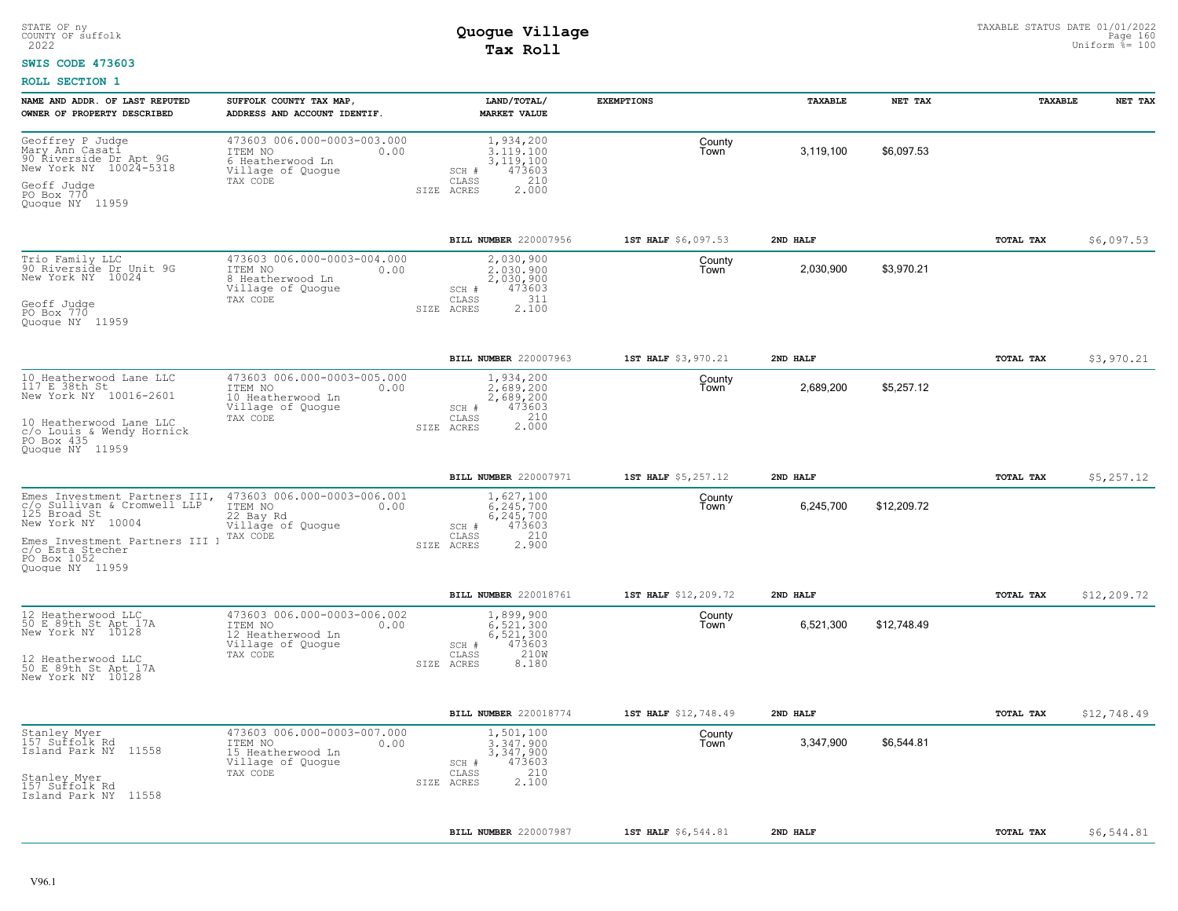#### **SWIS CODE 473603**

| NAME AND ADDR. OF LAST REPUTED<br>OWNER OF PROPERTY DESCRIBED                                                                                                                             | SUFFOLK COUNTY TAX MAP<br>ADDRESS AND ACCOUNT IDENTIF.                                               | LAND/TOTAL/<br><b>MARKET VALUE</b>                                                                                        | <b>EXEMPTIONS</b>                     | TAXABLE               | NET TAX     | TAXABLE   | NET TAX     |
|-------------------------------------------------------------------------------------------------------------------------------------------------------------------------------------------|------------------------------------------------------------------------------------------------------|---------------------------------------------------------------------------------------------------------------------------|---------------------------------------|-----------------------|-------------|-----------|-------------|
| Geoffrey P Judge<br>Mary Ann Casati<br>90 Riverside Dr Apt 9G<br>New York NY 10024-5318<br>Geoff Judge<br>PO Box 770<br>Quoque NY 11959                                                   | 473603 006.000-0003-003.000<br>ITEM NO<br>0.00<br>6 Heatherwood Ln<br>Village of Quogue<br>TAX CODE  | 1,934,200<br>3,119,100<br>3, 119, 100<br>473603<br>SCH #<br>210<br>CLASS<br>2.000<br>ACRES<br>SIZE                        | County<br>Town                        | 3,119,100             | \$6,097.53  |           |             |
|                                                                                                                                                                                           |                                                                                                      |                                                                                                                           |                                       |                       |             |           |             |
| Trio Family LLC<br>90 Riverside Dr Unit 9G<br>New York NY 10024<br>Geoff Judge<br>PO Box 770<br>Quogue NY 11959                                                                           | 473603 006.000-0003-004.000<br>ITEM NO<br>0.00<br>8 Heatherwood Ln<br>Village of Quogue<br>TAX CODE  | BILL NUMBER 220007956<br>2,030,900<br>2,030,900<br>2,030,900<br>473603<br>SCH #<br>311<br>CLASS<br>2,100<br>SIZE<br>ACRES | 1ST HALF \$6,097.53<br>County<br>Town | 2ND HALF<br>2,030,900 | \$3.970.21  | TOTAL TAX | \$6,097.53  |
|                                                                                                                                                                                           |                                                                                                      | BILL NUMBER 220007963                                                                                                     | 1ST HALF \$3,970.21                   | 2ND HALF              |             | TOTAL TAX | \$3,970.21  |
| 10 Heatherwood Lane LLC<br>117 E 38th St<br>New York NY 10016-2601<br>10 Heatherwood Lane LLC                                                                                             | 473603 006.000-0003-005.000<br>ITEM NO<br>0.00<br>10 Heatherwood Ln<br>Village of Quogue<br>TAX CODE | 1,934,200<br>2,689,200<br>2,689,200<br>473603<br>SCH #<br>2.000<br>CLASS<br>SIZE ACRES                                    | County<br>Town                        | 2,689,200             | \$5,257.12  |           |             |
| c/o Louis & Wendy Hornick<br>PO Box 435<br>Quoque NY 11959                                                                                                                                |                                                                                                      |                                                                                                                           |                                       |                       |             |           |             |
|                                                                                                                                                                                           |                                                                                                      | BILL NUMBER 220007971                                                                                                     | 1ST HALF \$5,257.12                   | 2ND HALF              |             | TOTAL TAX | \$5,257.12  |
| Emes Investment Partners III,<br>c/o Sullivan & Cromwell LLP<br>125 Broad St<br>New York NY 10004<br>Emes Investment Partners III ]<br>c/o Esta Stecher<br>PO Box 1052<br>Quoque NY 11959 | 473603 006.000-0003-006.001<br>ITEM NO<br>0.00<br>22 Bay Rd<br>Village of Quoque<br>TAX CODE         | 1,627,100<br>$6.245.700$<br>$6.245.700$<br>473603<br>SCH #<br>210<br>CLASS<br>2.900<br>SIZE ACRES                         | County<br>Town                        | 6,245,700             | \$12,209.72 |           |             |
|                                                                                                                                                                                           |                                                                                                      | BILL NUMBER 220018761                                                                                                     | 1ST HALF \$12,209.72                  | 2ND HALF              |             | TOTAL TAX | \$12,209.72 |
| 12 Heatherwood LLC<br>50 E 89th St Apt 17A<br>New York NY 10128<br>12 Heatherwood LLC<br>50 E 89th St Apt 17A                                                                             | 473603 006.000-0003-006.002<br>ITEM NO<br>0.00<br>12 Heatherwood Ln<br>Village of Quogue<br>TAX CODE | 1,899,900<br>6.521.300<br>6,521,300<br>473603<br>SCH #<br>210W<br>CLASS<br>SIZE ACRES<br>8,180                            | County<br>Town                        | 6,521,300             | \$12.748.49 |           |             |
| New York NY 10128                                                                                                                                                                         |                                                                                                      |                                                                                                                           |                                       |                       |             |           |             |
|                                                                                                                                                                                           |                                                                                                      | BILL NUMBER 220018774                                                                                                     | 1ST HALF \$12,748.49                  | 2ND HALF              |             | TOTAL TAX | \$12,748.49 |
| Stanley Myer<br>157 Suffolk Rd<br>11558<br>Island Park NY                                                                                                                                 | 473603 006.000-0003-007.000<br>ITEM NO<br>0.00<br>15 Heatherwood Ln<br>Village of Quogue             | 1,501,100<br>3.347.900<br>3,347,900<br>473603<br>SCH #                                                                    | County<br>Town                        | 3,347,900             | \$6,544.81  |           |             |
| Stanley Myer<br>157 Suffolk Rd<br>11558<br>Island Park NY                                                                                                                                 | TAX CODE                                                                                             | 210<br>CLASS<br>2.100<br>ACRES<br>SIZE                                                                                    |                                       |                       |             |           |             |
|                                                                                                                                                                                           |                                                                                                      | BILL NUMBER 220007987                                                                                                     | 1ST HALF \$6,544.81                   | 2ND HALF              |             | TOTAL TAX | \$6,544.81  |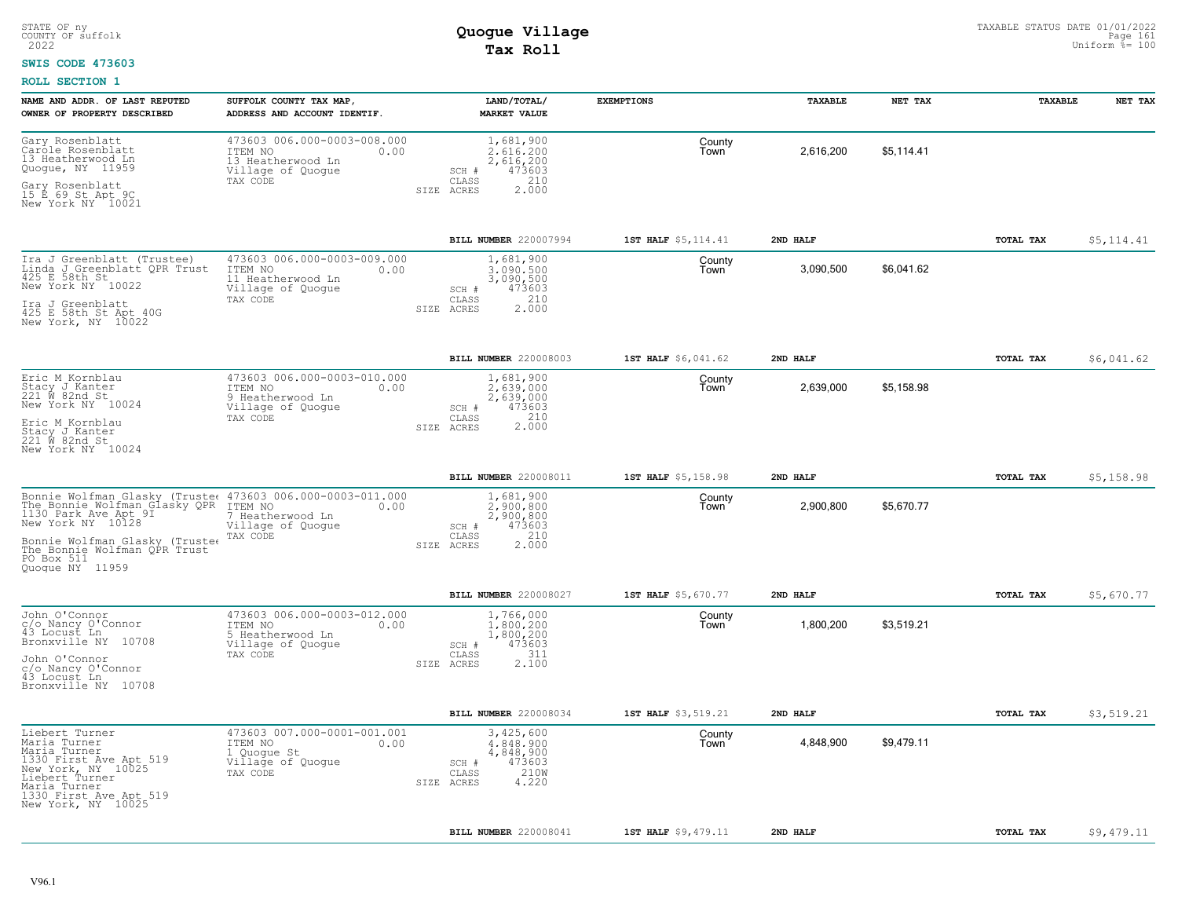#### **SWIS CODE 473603**

| NAME AND ADDR. OF LAST REPUTED<br>OWNER OF PROPERTY DESCRIBED                                                                                                                                                                                       | SUFFOLK COUNTY TAX MAP<br>ADDRESS AND ACCOUNT IDENTIF.                                               | LAND/TOTAL/<br><b>MARKET VALUE</b>                                                                | <b>EXEMPTIONS</b>   | TAXABLE   | NET TAX    | TAXABLE          | NET TAX    |
|-----------------------------------------------------------------------------------------------------------------------------------------------------------------------------------------------------------------------------------------------------|------------------------------------------------------------------------------------------------------|---------------------------------------------------------------------------------------------------|---------------------|-----------|------------|------------------|------------|
| Gary Rosenblatt<br>Carole Rosenblatt<br>13 Heatherwood Ln<br>Quogue, NY 11959<br>Gary Rosenblatt<br>15 E 69 St Apt 9C<br>New York NY 10021                                                                                                          | 473603 006.000-0003-008.000<br>ITEM NO<br>0.00<br>13 Heatherwood Ln<br>Village of Quogue<br>TAX CODE | 1,681,900<br>2,616,200<br>2,616,200<br>473603<br>SCH #<br>CLASS<br>210<br>2.000<br>SIZE ACRES     | County<br>Town      | 2,616,200 | \$5,114.41 |                  |            |
|                                                                                                                                                                                                                                                     |                                                                                                      | BILL NUMBER 220007994                                                                             | 1ST HALF \$5,114.41 | 2ND HALF  |            | <b>TOTAL TAX</b> | \$5,114.41 |
| Ira J Greenblatt (Trustee)<br>Linda J Greenblatt OPR Trust<br>425 E 58th St<br>New York NY 10022<br>Ira J Greenblatt<br>425 E 58th St Apt 40G<br>New York, NY 10022                                                                                 | 473603 006.000-0003-009.000<br>ITEM NO<br>0.00<br>11 Heatherwood Ln<br>Village of Quogue<br>TAX CODE | 1,681,900<br>3,090,500<br>3,090,500<br>473603<br>SCH #<br>210<br>CLASS<br>2.000<br>ACRES<br>SIZE  | County<br>Town      | 3,090,500 | \$6,041.62 |                  |            |
|                                                                                                                                                                                                                                                     |                                                                                                      | BILL NUMBER 220008003                                                                             | 1ST HALF \$6,041.62 | 2ND HALF  |            | TOTAL TAX        | \$6,041.62 |
| Eric M Kornblau<br>Stacy J Kanter<br>221 W 82nd St<br>New York NY 10024<br>Eric M Kornblau<br>Stacy J Kanter<br>221 W 82nd St<br>New York NY 10024                                                                                                  | 473603 006.000-0003-010.000<br>ITEM NO<br>0.00<br>9 Heatherwood Ln<br>Village of Quoque<br>TAX CODE  | 1,681,900<br>2,639,000<br>2,639,000<br>473603<br>$SCH$ #<br>2.000<br>CLASS<br>SIZE ACRES          | County<br>Town      | 2,639,000 | \$5,158.98 |                  |            |
|                                                                                                                                                                                                                                                     |                                                                                                      | BILL NUMBER 220008011                                                                             | 1ST HALF \$5,158.98 | 2ND HALF  |            | TOTAL TAX        | \$5,158.98 |
| Bonnie Wolfman Glasky (Truste: 473603 006.000-0003-011.000<br>The Bonnie Wolfman Glasky QPR ITEM NO<br>1130 Park Ave Apt 9I<br>New York NY 10128<br>Bonnie Wolfman Glasky (Trustee<br>The Bonnie Wolfman QPR Trust<br>PO Box 511<br>Quoque NY 11959 | 0.00<br>7 Heatherwood Ln<br>Village of Quogue<br>TAX CODE                                            | 1,681,900<br>2,900,800<br>2,900,800<br>473603<br>SCH #<br>210<br>CLASS<br>2.000<br>SIZE ACRES     | County<br>Town      | 2,900,800 | \$5,670.77 |                  |            |
|                                                                                                                                                                                                                                                     |                                                                                                      | <b>BILL NUMBER 220008027</b>                                                                      | 1ST HALF \$5,670.77 | 2ND HALF  |            | TOTAL TAX        | \$5,670.77 |
| John O'Connor<br>c/o Nancy O'Connor<br>43 Locust Ln<br>10708<br>Bronxville NY<br>John O'Connor<br>c/o Nancy O'Connor<br>43 Locust Ln<br>Bronxville NY 10708                                                                                         | 473603 006.000-0003-012.000<br>ITEM NO<br>0.00<br>5 Heatherwood Ln<br>Village of Quogue<br>TAX CODE  | 1,766,000<br>1,800,200<br>1,800,200<br>473603<br>SCH #<br>311<br>CLASS<br>SIZE ACRES<br>2.100     | County<br>Town      | 1,800,200 | \$3,519.21 |                  |            |
|                                                                                                                                                                                                                                                     |                                                                                                      | BILL NUMBER 220008034                                                                             | 1ST HALF \$3,519.21 | 2ND HALF  |            | TOTAL TAX        | \$3,519.21 |
| Liebert Turner<br>Maria Turner<br>Maria Turner<br>1330 First Ave Apt 519<br>New York, NY 10025<br>Liebert Turner<br>Maria Turner<br>1330 First Ave Apt 519<br>New York, NY 10025                                                                    | 473603 007.000-0001-001.001<br>ITEM NO<br>0.00<br>1 Quoque St<br>Village of Quogue<br>TAX CODE       | 3,425,600<br>4,848,900<br>4,848,900<br>473603<br>SCH #<br>210W<br>CLASS<br>4.220<br>SIZE<br>ACRES | County<br>Town      | 4,848,900 | \$9,479.11 |                  |            |
|                                                                                                                                                                                                                                                     |                                                                                                      | BILL NUMBER 220008041                                                                             | 1ST HALF \$9,479.11 | 2ND HALF  |            | TOTAL TAX        | \$9,479.11 |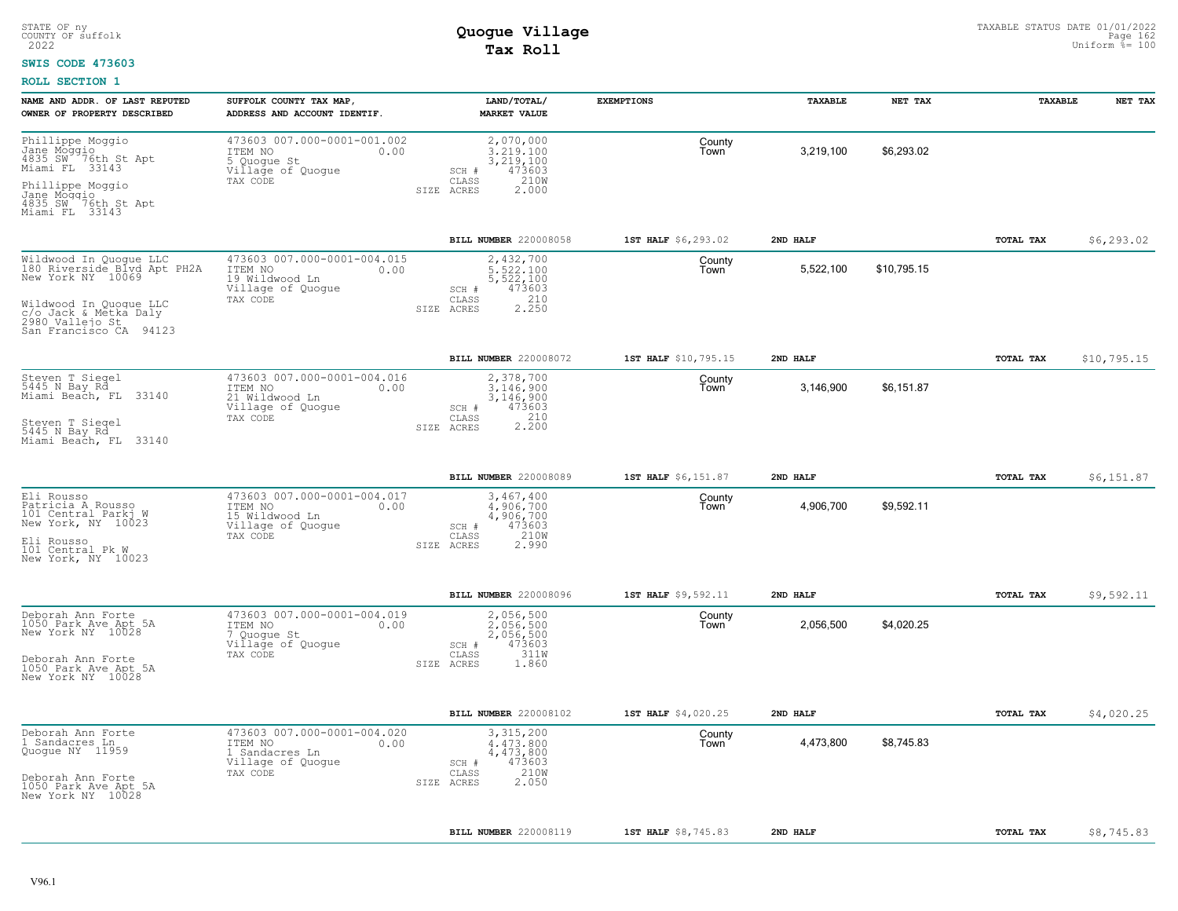### **SWIS CODE 473603**

| NAME AND ADDR. OF LAST REPUTED                                                               | SUFFOLK COUNTY TAX MAP,                                                                           | LAND/TOTAL/                                                            | <b>EXEMPTIONS</b>    | TAXABLE   | NET TAX     | TAXABLE          | NET TAX     |
|----------------------------------------------------------------------------------------------|---------------------------------------------------------------------------------------------------|------------------------------------------------------------------------|----------------------|-----------|-------------|------------------|-------------|
| OWNER OF PROPERTY DESCRIBED                                                                  | ADDRESS AND ACCOUNT IDENTIF.                                                                      | <b>MARKET VALUE</b>                                                    |                      |           |             |                  |             |
| Phillippe Moggio<br>Jane Moggio<br>4835 SW 76th St Apt<br>Miami FL 33143                     | 473603 007.000-0001-001.002<br>ITEM NO<br>0.00<br>5 Quoque St<br>Village of Quogue                | 2,070,000<br>3.219.100<br>3,219,100<br>473603<br>SCH #                 | County<br>Town       | 3,219,100 | \$6,293.02  |                  |             |
| Phillippe Moggio<br>Jane Moggio<br>4835 SW 76th St Apt<br>Miami FL 33143                     | TAX CODE                                                                                          | CLASS<br>210W<br>2.000<br>SIZE ACRES                                   |                      |           |             |                  |             |
|                                                                                              |                                                                                                   | BILL NUMBER 220008058                                                  | 1ST HALF \$6,293.02  | 2ND HALF  |             | TOTAL TAX        | \$6, 293.02 |
| Wildwood In Quogue LLC<br>180 Riverside Blvd Apt PH2A<br>New York NY 10069                   | 473603 007.000-0001-004.015<br>ITEM NO<br>0.00<br>19 Wildwood Ln<br>Village of Quogue<br>TAX CODE | 2,432,700<br>5.522.100<br>5,522,100<br>473603<br>SCH #<br>210<br>CLASS | County<br>Town       | 5,522,100 | \$10,795.15 |                  |             |
| Wildwood In Quoque LLC<br>c/o Jack & Metka Daly<br>2980 Vallejo St<br>San Francisco CA 94123 |                                                                                                   | 2.250<br>SIZE ACRES                                                    |                      |           |             |                  |             |
|                                                                                              |                                                                                                   | BILL NUMBER 220008072                                                  | 1ST HALF \$10,795.15 | 2ND HALF  |             | TOTAL TAX        | \$10,795.15 |
| Steven T Siegel<br>5445 N Bay Rd<br>Miami Beach, FL 33140                                    | 473603 007.000-0001-004.016<br>ITEM NO<br>0.00<br>21 Wildwood Ln<br>Village of Quogue             | 2,378,700<br>3.146.900<br>3,146,900<br>473603<br>SCH #                 | County<br>Town       | 3,146,900 | \$6,151.87  |                  |             |
| Steven T Siegel<br>5445 N Bay Rd<br>Miami Beach, FL 33140                                    | TAX CODE                                                                                          | 2.200<br>CLASS<br>SIZE ACRES                                           |                      |           |             |                  |             |
|                                                                                              |                                                                                                   | <b>BILL NUMBER 220008089</b>                                           | 1ST HALF \$6,151.87  | 2ND HALF  |             | TOTAL TAX        | \$6,151.87  |
| Eli Rousso<br>Patricia A Rousso<br>101 Central Parkj W<br>New York, NY 10023                 | 473603 007.000-0001-004.017<br>ITEM NO<br>0.00<br>15 Wildwood Ln<br>Village of Quogue             | 3,467,400<br>4.906.700<br>4,906,700<br>473603<br>SCH #                 | County<br>Town       | 4,906,700 | \$9,592.11  |                  |             |
| Eli Rousso<br>101 Central Pk W<br>New York, NY 10023                                         | TAX CODE                                                                                          | 210W<br>CLASS<br>SIZE ACRES<br>2.990                                   |                      |           |             |                  |             |
|                                                                                              |                                                                                                   | BILL NUMBER 220008096                                                  | 1ST HALF \$9,592.11  | 2ND HALF  |             | TOTAL TAX        | \$9,592.11  |
| Deborah Ann Forte<br>1050 Park Ave Apt 5A<br>New York NY 10028                               | 473603 007.000-0001-004.019<br>ITEM NO<br>0.00<br>7 Quoque St<br>Village of Quogue                | 2,056,500<br>2,056,500<br>2,056,500<br>473603<br>SCH #                 | County<br>Town       | 2,056,500 | \$4,020.25  |                  |             |
| Deborah Ann Forte<br>1050 Park Ave Apt 5A<br>New York NY 10028                               | TAX CODE                                                                                          | 311W<br>CLASS<br>SIZE ACRES<br>1.860                                   |                      |           |             |                  |             |
|                                                                                              |                                                                                                   | BILL NUMBER 220008102                                                  | 1ST HALF \$4,020.25  | 2ND HALF  |             | TOTAL TAX        | \$4,020.25  |
| Deborah Ann Forte<br>1 Sandacres Ln<br>Quogue NY 11959                                       | 473603 007.000-0001-004.020<br>ITEM NO<br>0.00<br>1 Sandacres Ln<br>Village of Quogue             | 3,315,200<br>4,473,800<br>4,473,800<br>473603<br>SCH #                 | County<br>Town       | 4,473,800 | \$8,745.83  |                  |             |
| Deborah Ann Forte<br>1050 Park Ave Apt 5A<br>New York NY 10028                               | TAX CODE                                                                                          | 210W<br>CLASS<br>2.050<br>SIZE ACRES                                   |                      |           |             |                  |             |
|                                                                                              |                                                                                                   | <b>BILL NUMBER 220008119</b>                                           | 1ST HALF \$8,745.83  | 2ND HALF  |             | <b>TOTAL TAX</b> | \$8,745.83  |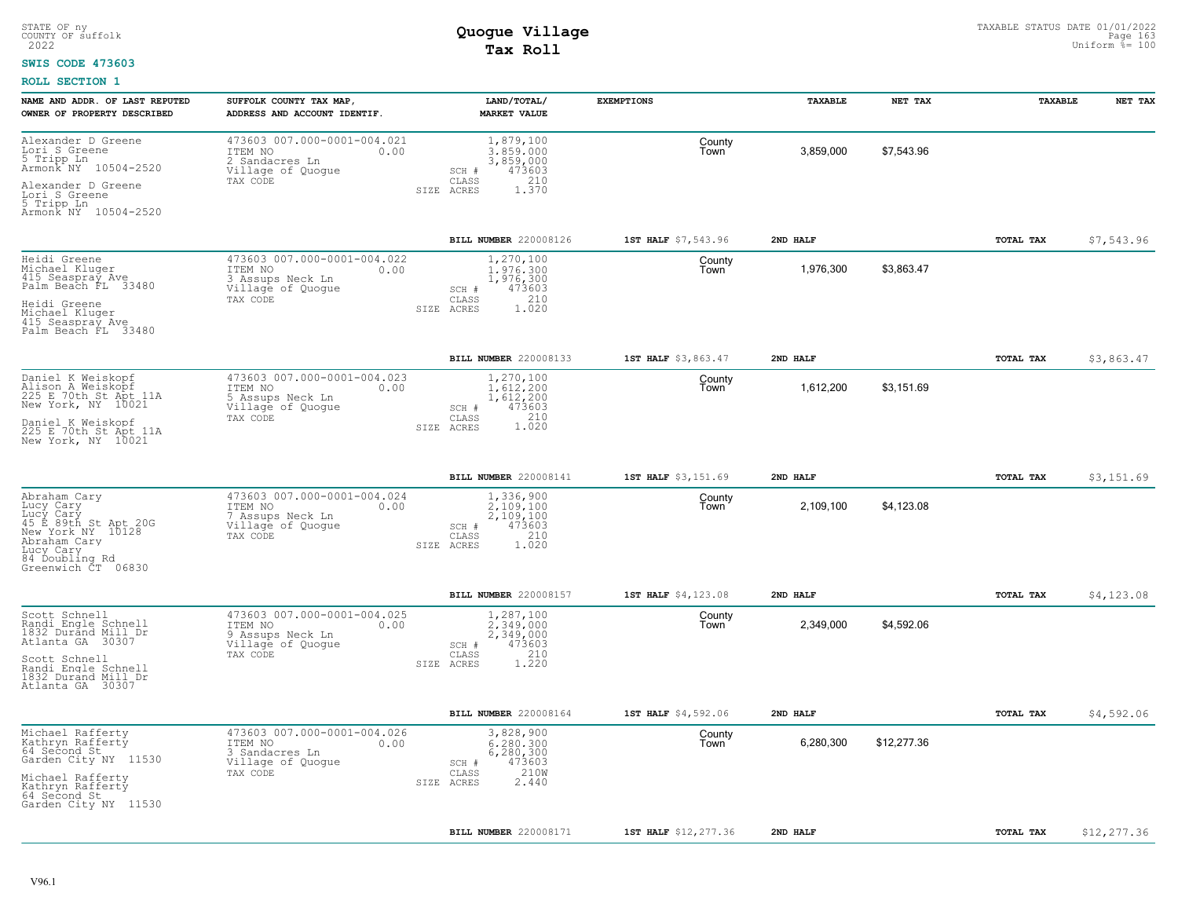### **SWIS CODE 473603**

| NAME AND ADDR. OF LAST REPUTED<br>OWNER OF PROPERTY DESCRIBED                                                                                            | SUFFOLK COUNTY TAX MAP,<br>ADDRESS AND ACCOUNT IDENTIF.                                             | LAND/TOTAL/<br><b>MARKET VALUE</b>                                                                | <b>EXEMPTIONS</b>    | TAXABLE   | NET TAX     | TAXABLE   | NET TAX     |
|----------------------------------------------------------------------------------------------------------------------------------------------------------|-----------------------------------------------------------------------------------------------------|---------------------------------------------------------------------------------------------------|----------------------|-----------|-------------|-----------|-------------|
| Alexander D Greene<br>Lori S Greene<br>5 Tripp In<br>Armonk NY 10504-2520                                                                                | 473603 007.000-0001-004.021<br>ITEM NO<br>0.00<br>2 Sandacres Ln<br>Village of Quogue               | 1,879,100<br>3.859.000<br>3,859,000<br>473603<br>SCH #                                            | County<br>Town       | 3,859,000 | \$7,543.96  |           |             |
| Alexander D Greene<br>Lori S Greene<br>5 Tripp Ln<br>Armonk NY 10504-2520                                                                                | TAX CODE                                                                                            | 210<br>CLASS<br>1.370<br>SIZE ACRES                                                               |                      |           |             |           |             |
|                                                                                                                                                          |                                                                                                     | BILL NUMBER 220008126                                                                             | 1ST HALF \$7,543.96  | 2ND HALF  |             | TOTAL TAX | \$7,543.96  |
| Heidi Greene<br>Michael Kluger<br>415 Seaspray Ave<br>Palm Beach FL 33480<br>Heidi Greene                                                                | 473603 007.000-0001-004.022<br>ITEM NO<br>0.00<br>3 Assups Neck Ln<br>Village of Quogue<br>TAX CODE | 1,270,100<br>1,976,300<br>1,976,300<br>473603<br>SCH #<br>210<br>CLASS                            | County<br>Town       | 1,976,300 | \$3,863.47  |           |             |
| Michael Kluger<br>415 Seaspray Ave<br>Palm Beach FL 33480                                                                                                |                                                                                                     | SIZE ACRES<br>1.020                                                                               |                      |           |             |           |             |
|                                                                                                                                                          |                                                                                                     | BILL NUMBER 220008133                                                                             | 1ST HALF \$3,863.47  | 2ND HALF  |             | TOTAL TAX | \$3,863.47  |
| Daniel K Weiskopf<br>Alison A Weiskopf<br>225 E 70th St Apt 11A<br>New York, NY 10021                                                                    | 473603 007.000-0001-004.023<br>ITEM NO<br>0.00<br>5 Assups Neck Ln<br>Village of Quogue             | 1,270,100<br>1,612,200<br>1,612,200<br>473603<br>SCH #                                            | County<br>Town       | 1,612,200 | \$3,151.69  |           |             |
| Daniel K Weiskopf<br>225 E 70th St Apt 11A<br>New York, NY 10021                                                                                         | TAX CODE                                                                                            | 210<br>CLASS<br>$1.\overline{0}\overline{20}$<br>SIZE ACRES                                       |                      |           |             |           |             |
|                                                                                                                                                          |                                                                                                     | BILL NUMBER 220008141                                                                             | 1ST HALF \$3,151.69  | 2ND HALF  |             | TOTAL TAX | \$3,151.69  |
| Abraham Cary<br>Lucy Cary<br>Lucy Cary<br>45 E 89th St Apt 20G<br>New York NY 10128<br>Abraham Cary<br>Lucy Cary<br>84 Doubling Rd<br>Greenwich CT 06830 | 473603 007.000-0001-004.024<br>ITEM NO<br>0.00<br>7 Assups Neck Ln<br>Village of Quogue<br>TAX CODE | 1,336,900<br>2,109,100<br>2,109,100<br>473603<br>$SCH$ $#$<br>210<br>CLASS<br>SIZE ACRES<br>1.020 | County<br>Town       | 2,109,100 | \$4,123.08  |           |             |
|                                                                                                                                                          |                                                                                                     | <b>BILL NUMBER 220008157</b>                                                                      | 1ST HALF \$4,123.08  | 2ND HALF  |             | TOTAL TAX | \$4,123.08  |
| Scott Schnell<br>Randi Engle Schnell<br>1832 Durand Mill Dr<br>Atlanta GA 30307<br>Scott Schnell                                                         | 473603 007.000-0001-004.025<br>ITEM NO<br>0.00<br>9 Assups Neck Ln<br>Village of Quogue<br>TAX CODE | 1,287,100<br>2.349.000<br>2, 349, 000<br>473603<br>SCH #<br>210<br>CLASS                          | County<br>Town       | 2,349,000 | \$4,592.06  |           |             |
| Randi Engle Schnell<br>1832 Durand Mill Dr<br>Atlanta GA 30307                                                                                           |                                                                                                     | 1,220<br>SIZE ACRES                                                                               |                      |           |             |           |             |
|                                                                                                                                                          |                                                                                                     | BILL NUMBER 220008164                                                                             | 1ST HALF \$4,592.06  | 2ND HALF  |             | TOTAL TAX | \$4,592.06  |
| Michael Rafferty<br>Kathryn Rafferty<br>64 Second St<br>Garden City NY 11530                                                                             | 473603 007.000-0001-004.026<br>ITEM NO<br>0.00<br>3 Sandacres Ln<br>Village of Quogue               | 3,828,900<br>6,280,300<br>6,280,300<br>473603<br>SCH #                                            | County<br>Town       | 6,280,300 | \$12,277.36 |           |             |
| Michael Rafferty<br>Kathryn Rafferty<br>64 Second St<br>Garden City NY 11530                                                                             | TAX CODE                                                                                            | 210W<br>CLASS<br>2.440<br>SIZE ACRES                                                              |                      |           |             |           |             |
|                                                                                                                                                          |                                                                                                     | BILL NUMBER 220008171                                                                             | 1ST HALF \$12,277.36 | 2ND HALF  |             | TOTAL TAX | \$12,277.36 |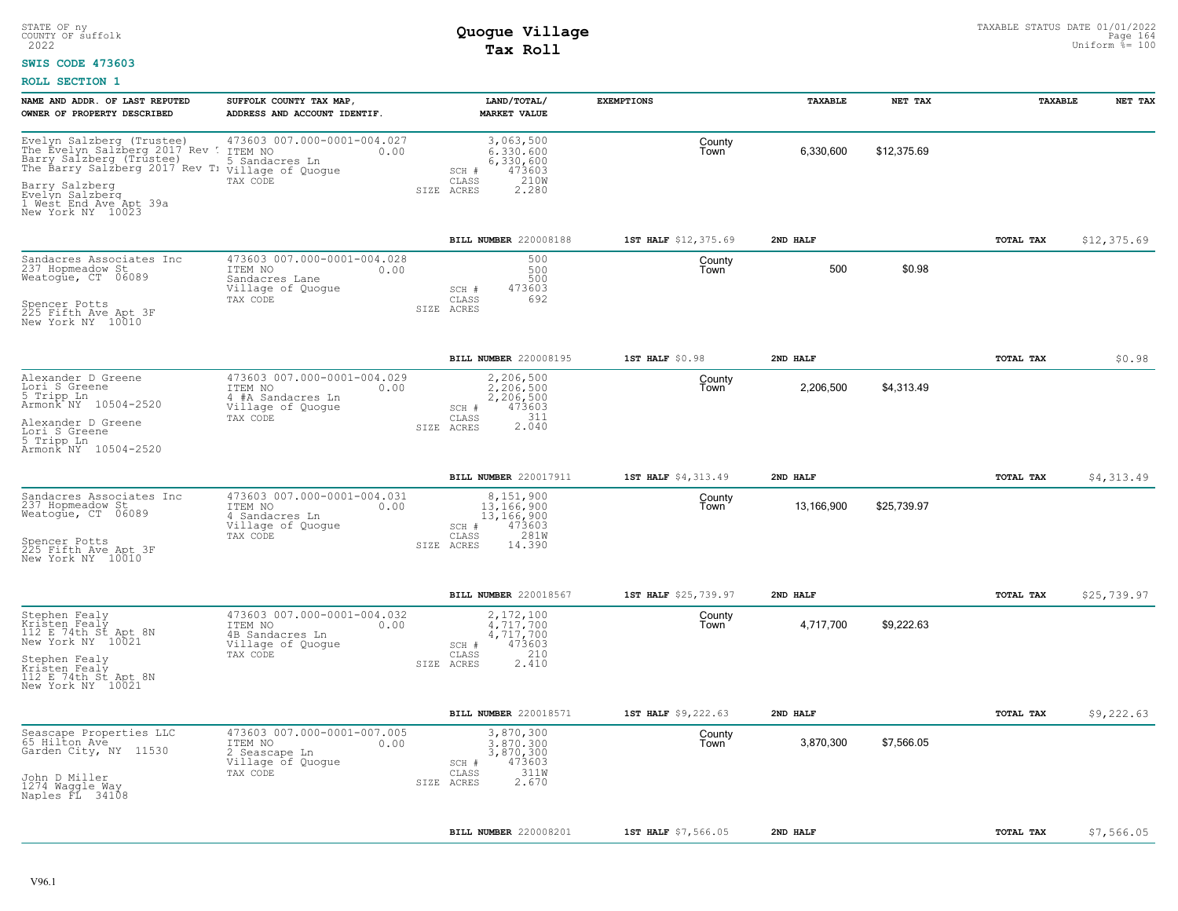### **SWIS CODE 473603**

| NAME AND ADDR. OF LAST REPUTED<br>OWNER OF PROPERTY DESCRIBED                                                                                                                                                                                                   | SUFFOLK COUNTY TAX MAP,<br>ADDRESS AND ACCOUNT IDENTIF.                                           | LAND/TOTAL/<br><b>MARKET VALUE</b>                                                                | <b>EXEMPTIONS</b>    | TAXABLE    | NET TAX     | TAXABLE          | NET TAX     |
|-----------------------------------------------------------------------------------------------------------------------------------------------------------------------------------------------------------------------------------------------------------------|---------------------------------------------------------------------------------------------------|---------------------------------------------------------------------------------------------------|----------------------|------------|-------------|------------------|-------------|
| Evelyn Salzberg (Trustee) 473603 C<br>The Evelyn Salzberg 2017 Rev ! ITEM NO<br>Barry Salzberg (Trustee) 5 Sandacres Ln<br>The Barry Salzberg 2017 Rev T: Village of Quogue<br>Barry Salzberg<br>Evelyn Salzberg<br>1 West End Ave Apt 39a<br>New York NY 10023 | 473603 007.000-0001-004.027<br>0.00<br>TAX CODE                                                   | 3,063,500<br>6.330.600<br>6,330,600<br>473603<br>SCH #<br>210W<br>CLASS<br>SIZE ACRES<br>2.280    | County<br>Town       | 6,330,600  | \$12,375.69 |                  |             |
|                                                                                                                                                                                                                                                                 |                                                                                                   | BILL NUMBER 220008188                                                                             | 1ST HALF \$12,375.69 | 2ND HALF   |             | TOTAL TAX        | \$12,375.69 |
| Sandacres Associates Inc<br>237 Hopmeadow St<br>Weatogue, CT 06089                                                                                                                                                                                              | 473603 007.000-0001-004.028<br>ITEM NO<br>0.00<br>Sandacres Lane<br>Village of Quogue<br>TAX CODE | 500<br>500<br>500<br>473603<br>SCH #<br>692<br>CLASS                                              | County<br>Town       | 500        | \$0.98      |                  |             |
| Spencer Potts<br>225 Fifth Ave Apt 3F<br>New York NY 10010                                                                                                                                                                                                      |                                                                                                   | SIZE ACRES                                                                                        |                      |            |             |                  |             |
|                                                                                                                                                                                                                                                                 |                                                                                                   | BILL NUMBER 220008195                                                                             | 1ST HALF \$0.98      | 2ND HALF   |             | TOTAL TAX        | \$0.98      |
| Alexander D Greene<br>Lori S Greene<br>5 Tripp Ln<br>Armonk <sup>-</sup> NY 10504-2520                                                                                                                                                                          | 473603 007.000-0001-004.029<br>ITEM NO<br>0.00<br>4 #A Sandacres Ln<br>Village of Quogue          | 2,206,500<br>2,206,500<br>2,206,500<br>473603<br>SCH #                                            | County<br>Town       | 2,206,500  | \$4,313.49  |                  |             |
| Alexander D Greene<br>Lori S Greene<br>5 Tripp Ln<br>Armonk NY 10504-2520                                                                                                                                                                                       | TAX CODE                                                                                          | 311<br>CLASS<br>$2.\overline{0}\overline{4}\overline{0}$<br>SIZE ACRES                            |                      |            |             |                  |             |
|                                                                                                                                                                                                                                                                 |                                                                                                   | BILL NUMBER 220017911                                                                             | 1ST HALF \$4,313.49  | 2ND HALF   |             | TOTAL TAX        | \$4,313.49  |
| Sandacres Associates Inc<br>237 Hopmeadow St<br>Weatogue, CT 06089<br>Spencer Potts<br>225 Fifth Ave Apt 3F<br>New York NY 10010                                                                                                                                | 473603 007.000-0001-004.031<br>ITEM NO<br>0.00<br>4 Sandacres Ln<br>Village of Quogue<br>TAX CODE | 8,151,900<br>13,166,900<br>13,166,900<br>473603<br>SCH #<br>281W<br>CLASS<br>14.390<br>SIZE ACRES | County<br>Town       | 13,166,900 | \$25,739.97 |                  |             |
|                                                                                                                                                                                                                                                                 |                                                                                                   | BILL NUMBER 220018567                                                                             | 1ST HALF \$25,739.97 | 2ND HALF   |             | <b>TOTAL TAX</b> | \$25,739.97 |
| Stephen Fealy<br>Kristen Fealy<br>112 E 74th St Apt 8N<br>New York NY 10021                                                                                                                                                                                     | 473603 007.000-0001-004.032<br>ITEM NO<br>0.00<br>4B Sandacres Ln<br>Village of Quogue            | 2,172,100<br>4.717.700<br>4,717,700<br>473603<br>SCH #                                            | County<br>Town       | 4,717,700  | \$9,222.63  |                  |             |
| Stephen Fealy<br>Kristen Fealý<br>112 E 74th St Apt 8N<br>New York NY 10021                                                                                                                                                                                     | TAX CODE                                                                                          | 210<br>CLASS<br>2.410<br>SIZE ACRES                                                               |                      |            |             |                  |             |
|                                                                                                                                                                                                                                                                 |                                                                                                   | BILL NUMBER 220018571                                                                             | 1ST HALF \$9,222.63  | 2ND HALF   |             | TOTAL TAX        | \$9,222.63  |
| Seascape Properties LLC<br>65 Hilton Ave<br>Garden City, NY 11530                                                                                                                                                                                               | 473603 007.000-0001-007.005<br>ITEM NO<br>0.00<br>2 Seascape Ln<br>Village of Quogue<br>TAX CODE  | 3,870,300<br>3.870.300<br>3,870,300<br>473603<br>$SCH$ $#$<br>311W<br>CLASS                       | County<br>Town       | 3,870,300  | \$7,566.05  |                  |             |
| John D Miller<br>1274 Waggle Way<br>Naples FL 34108                                                                                                                                                                                                             |                                                                                                   | 2.670<br>SIZE ACRES                                                                               |                      |            |             |                  |             |
|                                                                                                                                                                                                                                                                 |                                                                                                   | <b>BILL NUMBER 220008201</b>                                                                      | 1ST HALF \$7,566.05  | 2ND HALF   |             | TOTAL TAX        | \$7,566.05  |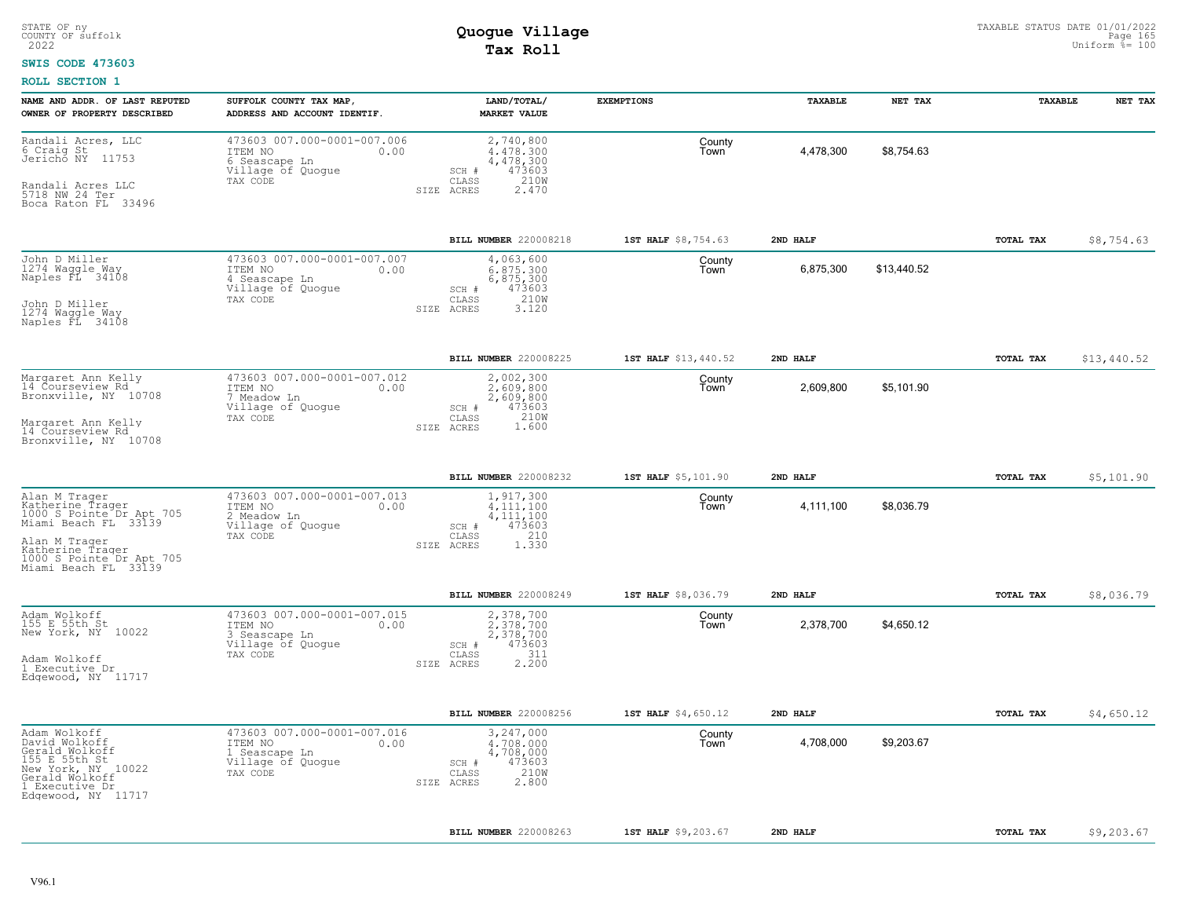### **SWIS CODE 473603**

| NAME AND ADDR. OF LAST REPUTED<br>OWNER OF PROPERTY DESCRIBED                                                                                                                  | SUFFOLK COUNTY TAX MAP,<br>ADDRESS AND ACCOUNT IDENTIF.                                          | LAND/TOTAL/<br><b>MARKET VALUE</b>                                                              | <b>EXEMPTIONS</b>    | TAXABLE   | NET TAX     | TAXABLE   | NET TAX     |
|--------------------------------------------------------------------------------------------------------------------------------------------------------------------------------|--------------------------------------------------------------------------------------------------|-------------------------------------------------------------------------------------------------|----------------------|-----------|-------------|-----------|-------------|
| Randali Acres, LLC<br>6 Craig St<br>Jerichō NY 11753<br>Randali Acres LLC<br>5718 NW 24 Ter<br>Boca Raton FL 33496                                                             | 473603 007.000-0001-007.006<br>ITEM NO<br>0.00<br>6 Seascape Ln<br>Village of Quogue<br>TAX CODE | 2,740,800<br>4.478.300<br>4,478,300<br>473603<br>SCH #<br>210W<br>CLASS<br>SIZE ACRES<br>2.470  | County<br>Town       | 4,478,300 | \$8,754.63  |           |             |
|                                                                                                                                                                                |                                                                                                  | BILL NUMBER 220008218                                                                           | 1ST HALF \$8,754.63  | 2ND HALF  |             | TOTAL TAX | \$8,754.63  |
| John D Miller<br>1274 Waggle Way<br>Naples FL 34108<br>John D Miller<br>1274 Waggle Way<br>Naples FL 34108                                                                     | 473603 007.000-0001-007.007<br>ITEM NO<br>0.00<br>4 Seascape Ln<br>Village of Quogue<br>TAX CODE | 4,063,600<br>6,875,300<br>6,875,300<br>473603<br>SCH #<br>210W<br>CLASS<br>SIZE ACRES<br>3.120  | County<br>Town       | 6,875,300 | \$13,440.52 |           |             |
|                                                                                                                                                                                |                                                                                                  | BILL NUMBER 220008225                                                                           | 1ST HALF \$13,440.52 | 2ND HALF  |             | TOTAL TAX | \$13,440.52 |
| Margaret Ann Kelly<br>14 Courseview Rd<br>Bronxville, NY 10708<br>Margaret Ann Kelly<br>14 Courseview Rd<br>Bronxville, NY 10708                                               | 473603 007.000-0001-007.012<br>ITEM NO<br>0.00<br>7 Meadow Ln<br>Village of Quogue<br>TAX CODE   | 2,002,300<br>2.609.800<br>2,609,800<br>473603<br>SCH #<br>CLASS<br>210W<br>1.600<br>SIZE ACRES  | County<br>Town       | 2,609,800 | \$5,101.90  |           |             |
|                                                                                                                                                                                |                                                                                                  | BILL NUMBER 220008232                                                                           | 1ST HALF \$5,101.90  | 2ND HALF  |             | TOTAL TAX | \$5,101.90  |
| Alan M Trager<br>Katherine Trager<br>1000 S Pointe Dr Apt 705<br>Miami Beach FL 33139<br>Alan M Trager<br>Katherine Trager<br>1000 S Pointe Dr Apt 705<br>Miami Beach FL 33139 | 473603 007.000-0001-007.013<br>ITEM NO<br>0.00<br>2 Meadow Ln<br>Village of Quogue<br>TAX CODE   | 1,917,300<br>4.111.100<br>4, 111, 100<br>473603<br>SCH #<br>210<br>CLASS<br>1.330<br>SIZE ACRES | County<br>Town       | 4,111,100 | \$8.036.79  |           |             |
|                                                                                                                                                                                |                                                                                                  | BILL NUMBER 220008249                                                                           | 1ST HALF \$8,036.79  | 2ND HALF  |             | TOTAL TAX | \$8,036.79  |
| Adam Wolkoff<br>155 E 55th St<br>New York, NY 10022<br>Adam Wolkoff<br>1 Executive Dr<br>Edgewood, NY 11717                                                                    | 473603 007.000-0001-007.015<br>ITEM NO<br>0.00<br>3 Seascape Ln<br>Village of Quogue<br>TAX CODE | 2,378,700<br>2,378,700<br>2,378,700<br>473603<br>SCH #<br>311<br>CLASS<br>2.200<br>SIZE ACRES   | County<br>Town       | 2,378,700 | \$4,650.12  |           |             |
|                                                                                                                                                                                |                                                                                                  | BILL NUMBER 220008256                                                                           | 1ST HALF \$4,650.12  | 2ND HALF  |             | TOTAL TAX | \$4,650.12  |
| Adam Wolkoff<br>David Wolkoff<br>Gerald Wolkoff<br>155 E 55th St<br>New York, NY 10022<br>Gerald Wolkoff<br>1 Executive Dr<br>Edgewood, NY 11717                               | 473603 007.000-0001-007.016<br>0.00<br>ITEM NO<br>1 Seascape Ln<br>Village of Quogue<br>TAX CODE | 3,247,000<br>4,708,000<br>4,708,000<br>473603<br>SCH #<br>210W<br>CLASS<br>2.800<br>SIZE ACRES  | County<br>Town       | 4,708,000 | \$9,203.67  |           |             |
|                                                                                                                                                                                |                                                                                                  | <b>BILL NUMBER 220008263</b>                                                                    | 1ST HALF \$9,203.67  | 2ND HALF  |             | TOTAL TAX | \$9,203.67  |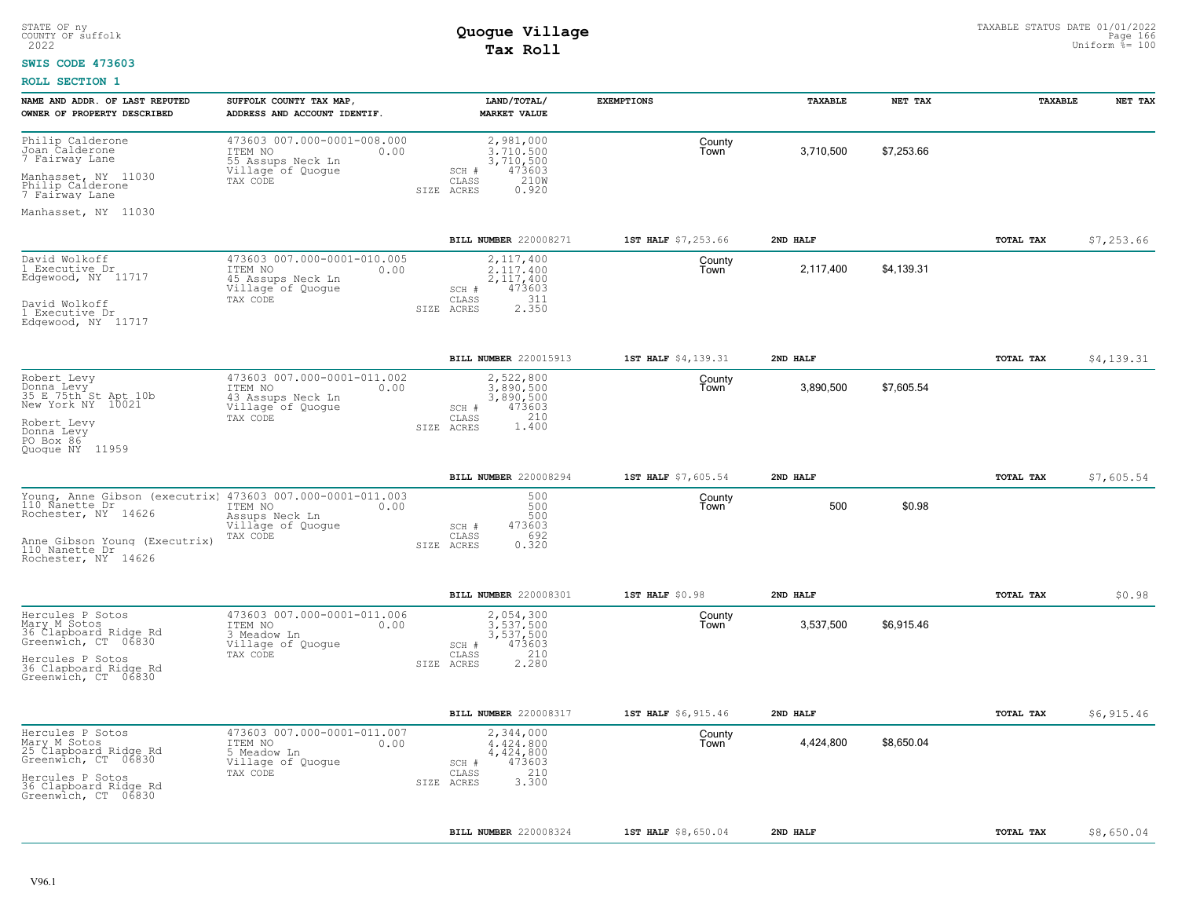### **SWIS CODE 473603**

| NAME AND ADDR. OF LAST REPUTED                                                   | SUFFOLK COUNTY TAX MAP,                                                                              | LAND/TOTAL/                                                            | <b>EXEMPTIONS</b>   | TAXABLE   | NET TAX    | TAXABLE   | NET TAX    |
|----------------------------------------------------------------------------------|------------------------------------------------------------------------------------------------------|------------------------------------------------------------------------|---------------------|-----------|------------|-----------|------------|
| OWNER OF PROPERTY DESCRIBED                                                      | ADDRESS AND ACCOUNT IDENTIF.                                                                         | <b>MARKET VALUE</b>                                                    |                     |           |            |           |            |
| Philip Calderone<br>Joan Calderone<br>7 Fairway Lane                             | 473603 007.000-0001-008.000<br>ITEM NO<br>0.00<br>55 Assups Neck Ln                                  | 2,981,000<br>3,710,500<br>3,710,500<br>473603                          | County<br>Town      | 3,710,500 | \$7,253.66 |           |            |
| Manhasset, NY 11030<br>Philip Calderone<br>7 Fairway Lane                        | Village of Quogue<br>TAX CODE                                                                        | SCH #<br>CLASS<br>210W<br>0.920<br>ACRES<br>SIZE                       |                     |           |            |           |            |
| Manhasset, NY 11030                                                              |                                                                                                      |                                                                        |                     |           |            |           |            |
|                                                                                  |                                                                                                      | BILL NUMBER 220008271                                                  | 1ST HALF \$7,253.66 | 2ND HALF  |            | TOTAL TAX | \$7,253.66 |
| David Wolkoff<br>1 Executive Dr<br>Edgewood, NY 11717                            | 473603 007.000-0001-010.005<br>ITEM NO<br>0.00<br>45 Assups Neck Ln<br>Village of Quogue<br>TAX CODE | 2,117,400<br>2.117.400<br>2,117,400<br>473603<br>SCH #<br>311<br>CLASS | County<br>Town      | 2,117,400 | \$4,139.31 |           |            |
| David Wolkoff<br>1 Executive Dr<br>Edgewood, NY 11717                            |                                                                                                      | 2.350<br>SIZE ACRES                                                    |                     |           |            |           |            |
|                                                                                  |                                                                                                      | BILL NUMBER 220015913                                                  | 1ST HALF \$4,139.31 | 2ND HALF  |            | TOTAL TAX | \$4,139.31 |
| Robert Levy<br>Donna Levy<br>35 E 75th St Apt 10b<br>New York NY 10021           | 473603 007.000-0001-011.002<br>ITEM NO<br>0.00<br>43 Assups Neck Ln<br>Village of Quogue             | 2,522,800<br>3,890,500<br>3,890,500<br>SCH #<br>473603<br>210          | County<br>Town      | 3,890,500 | \$7,605.54 |           |            |
| Robert Levy<br>Donna Levy<br>PO Box 86<br>Quoque NY 11959                        | TAX CODE                                                                                             | CLASS<br>1.400<br>SIZE ACRES                                           |                     |           |            |           |            |
|                                                                                  |                                                                                                      | BILL NUMBER 220008294                                                  | 1ST HALF \$7,605.54 | 2ND HALF  |            | TOTAL TAX | \$7,605.54 |
| Young, Anne Gibson (executrix)<br>110 Nanette Dr<br>Rochester, NY 14626          | 473603 007.000-0001-011.003<br>ITEM NO<br>0.00<br>Assups Neck Ln<br>Village of Quogue                | 500<br>500<br>500<br>473603<br>SCH #                                   | County<br>Town      | 500       | \$0.98     |           |            |
| Anne Gibson Young (Executrix)<br>110 Nanette Dr<br>Rochester, NY 14626           | TAX CODE                                                                                             | 692<br>CLASS<br>0.320<br>SIZE ACRES                                    |                     |           |            |           |            |
|                                                                                  |                                                                                                      | BILL NUMBER 220008301                                                  | 1ST HALF \$0.98     | 2ND HALF  |            | TOTAL TAX | \$0.98     |
| Hercules P Sotos<br>Mary M Sotos<br>36 Clapboard Ridge Rd<br>Greenwich, CT 06830 | 473603 007.000-0001-011.006<br>ITEM NO<br>0.00<br>3 Meadow Ln<br>Village of Quogue                   | 2,054,300<br>3,537,500<br>3,537,500<br>473603<br>SCH #                 | County<br>Town      | 3,537,500 | \$6,915.46 |           |            |
| Hercules P Sotos<br>36 Clapboard Ridge Rd<br>Greenwich, CT 06830                 | TAX CODE                                                                                             | 210<br>CLASS<br>2,280<br>SIZE ACRES                                    |                     |           |            |           |            |
|                                                                                  |                                                                                                      | <b>BILL NUMBER 220008317</b>                                           | 1ST HALF \$6,915.46 | 2ND HALF  |            | TOTAL TAX | \$6,915.46 |
| Hercules P Sotos<br>Mary M Sotos<br>25 Clapboard_Ridge_Rd<br>Greenwich, CT 06830 | 473603 007.000-0001-011.007<br>ITEM NO<br>0.00<br>5 Meadow Ln<br>Village of Quogue                   | 2,344,000<br>4.424.800<br>4,424,800<br>473603<br>SCH #                 | County<br>Town      | 4,424,800 | \$8,650.04 |           |            |
| Hercules P Sotos<br>36 Clapboard Ridge Rd<br>Greenwich, CT 06830                 | TAX CODE                                                                                             | 210<br>CLASS<br>3.300<br>SIZE ACRES                                    |                     |           |            |           |            |
|                                                                                  |                                                                                                      | BILL NUMBER 220008324                                                  | 1ST HALF \$8,650.04 | 2ND HAT.F |            | TOTAL TAX | \$8,650.04 |
|                                                                                  |                                                                                                      |                                                                        |                     |           |            |           |            |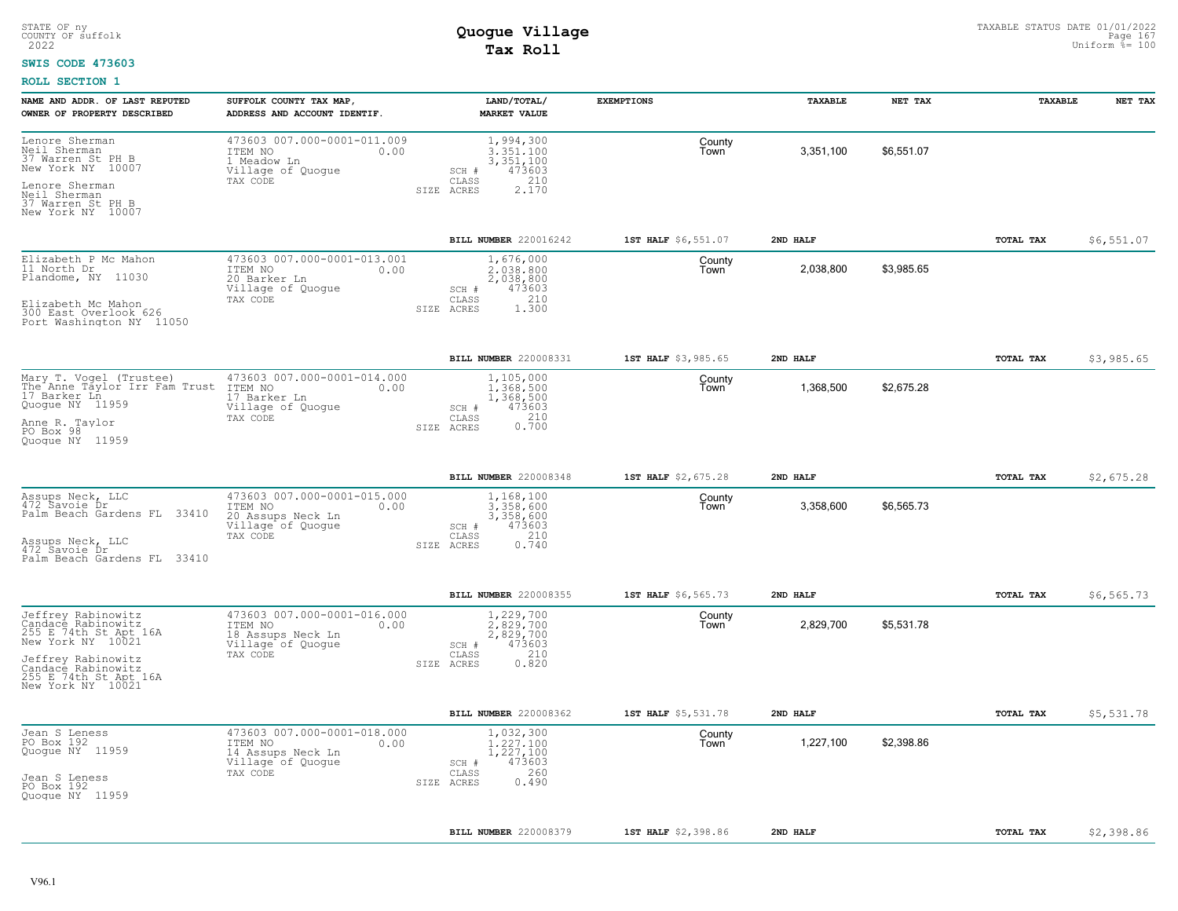#### **SWIS CODE 473603**

| NAME AND ADDR. OF LAST REPUTED<br>OWNER OF PROPERTY DESCRIBED                                                                                                                    | SUFFOLK COUNTY TAX MAP,<br>ADDRESS AND ACCOUNT IDENTIF.                                              | LAND/TOTAL/<br><b>MARKET VALUE</b>                                                            | <b>EXEMPTIONS</b>   | TAXABLE   | NET TAX    | TAXABLE          | NET TAX    |
|----------------------------------------------------------------------------------------------------------------------------------------------------------------------------------|------------------------------------------------------------------------------------------------------|-----------------------------------------------------------------------------------------------|---------------------|-----------|------------|------------------|------------|
| Lenore Sherman<br>Neil Sherman<br>37 Warren St PH B<br>New York NY 10007<br>Lenore Sherman<br>Neil Sherman<br>37 Warren St PH B<br>New York NY 10007                             | 473603 007.000-0001-011.009<br>ITEM NO<br>0.00<br>1 Meadow Ln<br>Village of Quogue<br>TAX CODE       | 1,994,300<br>3,351,100<br>3,351,100<br>473603<br>SCH #<br>CLASS<br>210<br>2.170<br>SIZE ACRES | County<br>Town      | 3,351,100 | \$6.551.07 |                  |            |
|                                                                                                                                                                                  |                                                                                                      | BILL NUMBER 220016242                                                                         | 1ST HALF \$6,551.07 | 2ND HALF  |            | TOTAL TAX        | \$6,551.07 |
| Elizabeth P Mc Mahon<br>11 North Dr<br>Plandome, NY 11030<br>Elizabeth Mc Mahon<br>300 East Overlook 626<br>Port Washington NY 11050                                             | 473603 007.000-0001-013.001<br>ITEM NO<br>0.00<br>20 Barker Ln<br>Village of Quogue<br>TAX CODE      | 1,676,000<br>2,038,800<br>2,038,800<br>473603<br>SCH #<br>210<br>CLASS<br>SIZE ACRES<br>1,300 | County<br>l own     | 2,038,800 | \$3,985.65 |                  |            |
|                                                                                                                                                                                  |                                                                                                      | BILL NUMBER 220008331                                                                         | 1ST HALF \$3,985.65 | 2ND HALF  |            | TOTAL TAX        | \$3,985.65 |
| Mary T. Vogel (Trustee)<br>The Anne Taylor Irr Fam Trust<br>17 Barker Ln<br>Quogue NY 11959<br>Anne R. Taylor<br>PO Box 98<br>Quoque NY 11959                                    | 473603 007.000-0001-014.000<br>ITEM NO<br>0.00<br>17 Barker Ln<br>Village of Quogue<br>TAX CODE      | 1,105,000<br>1,368,500<br>1,368,500<br>473603<br>SCH #<br>CLASS<br>0.210<br>SIZE ACRES        | County<br>l own     | 1,368,500 | \$2,675.28 |                  |            |
|                                                                                                                                                                                  |                                                                                                      | BILL NUMBER 220008348                                                                         | 1ST HALF \$2,675.28 | 2ND HALF  |            | TOTAL TAX        | \$2,675.28 |
| Assups Neck, LLC<br>472 Savoie Dr<br>Palm Beach Gardens FL 33410<br>Assups Neck, LLC<br>472 Savoie Dr<br>Palm Beach Gardens FL 33410                                             | 473603 007.000-0001-015.000<br>ITEM NO<br>0.00<br>20 Assups Neck Ln<br>Village of Quoque<br>TAX CODE | 1,168,100<br>3,358,600<br>3,358,600<br>473603<br>SCH #<br>210<br>CLASS<br>0.740<br>SIZE ACRES | County<br>Town      | 3,358,600 | \$6,565.73 |                  |            |
|                                                                                                                                                                                  |                                                                                                      | BILL NUMBER 220008355                                                                         | 1ST HALF \$6,565.73 | 2ND HALF  |            | <b>TOTAL TAX</b> | \$6,565.73 |
| Jeffrey Rabinowitz<br>Candace Rabinowitz<br>255 E 74th St Apt 16A<br>New York NY 10021<br>Jeffrey Rabinowitz<br>Candace Rabinowitz<br>255 E 74th St Apt 16A<br>New York NY 10021 | 473603 007.000-0001-016.000<br>ITEM NO<br>0.00<br>18 Assups Neck Ln<br>Village of Quogue<br>TAX CODE | 1,229,700<br>2.829.700<br>2,829,700<br>473603<br>SCH #<br>210<br>CLASS<br>SIZE ACRES<br>0.820 | County<br>Town      | 2,829,700 | \$5.531.78 |                  |            |
|                                                                                                                                                                                  |                                                                                                      | BILL NUMBER 220008362                                                                         | 1ST HALF \$5,531.78 | 2ND HALF  |            | <b>TOTAL TAX</b> | \$5,531.78 |
| Jean S Leness<br>PO Box 192<br>Quogue NY 11959<br>Jean S Leness<br>PO Box 192<br>Quoque NY 11959                                                                                 | 473603 007.000-0001-018.000<br>0.00<br>ITEM NO<br>14 Assups Neck Ln<br>Village of Quogue<br>TAX CODE | 1,032,300<br>1.227.100<br>1,227,100<br>473603<br>SCH #<br>260<br>CLASS<br>0.490<br>SIZE ACRES | County<br>Town      | 1,227,100 | \$2,398.86 |                  |            |
|                                                                                                                                                                                  |                                                                                                      | BILL NUMBER 220008379                                                                         | 1ST HALF \$2,398.86 | 2ND HALF  |            | TOTAL TAX        | \$2,398.86 |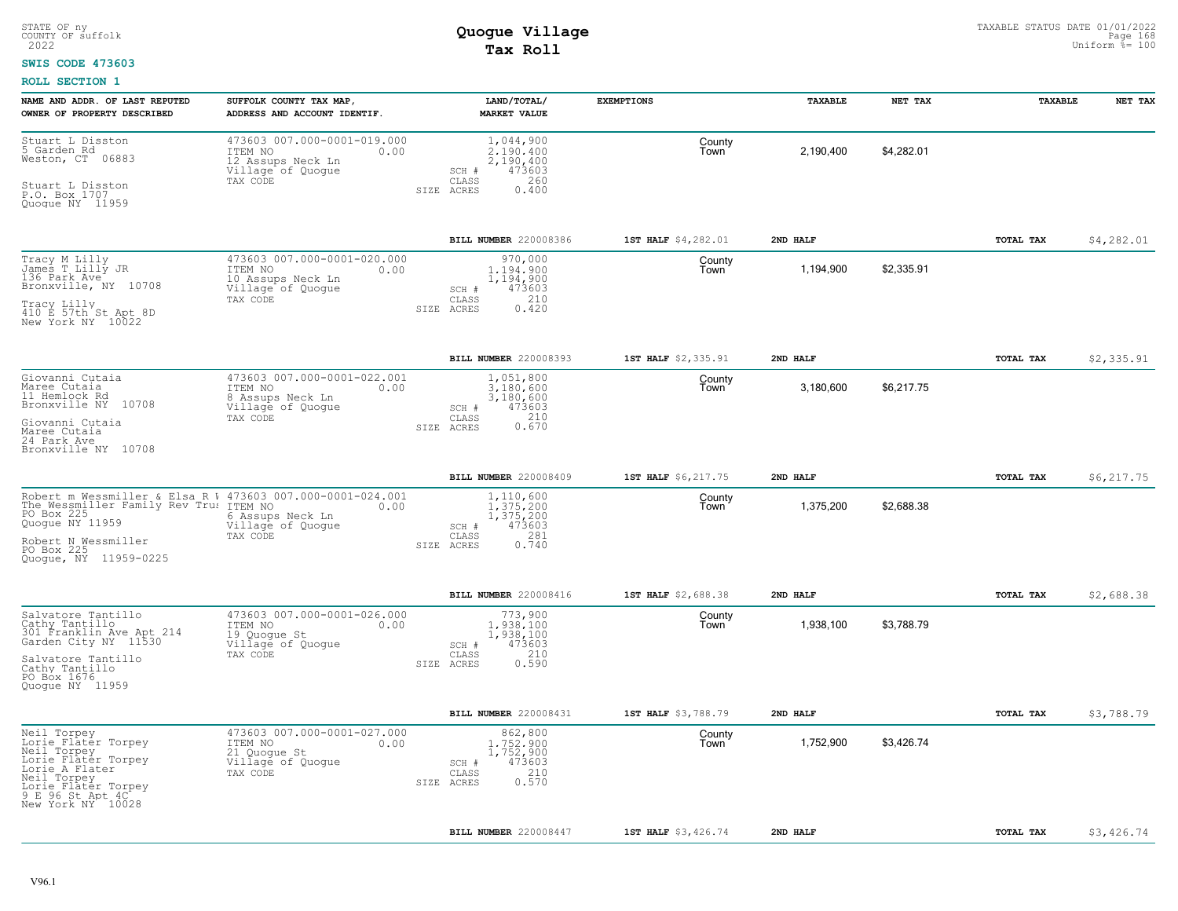### **SWIS CODE 473603**

| NAME AND ADDR. OF LAST REPUTED<br>OWNER OF PROPERTY DESCRIBED                                                                                                                                       | SUFFOLK COUNTY TAX MAP<br>ADDRESS AND ACCOUNT IDENTIF.                                               | LAND/TOTAL/<br><b>MARKET VALUE</b>                                                                | <b>EXEMPTIONS</b>   | TAXABLE   | NET TAX    | TAXABLE          | NET TAX     |
|-----------------------------------------------------------------------------------------------------------------------------------------------------------------------------------------------------|------------------------------------------------------------------------------------------------------|---------------------------------------------------------------------------------------------------|---------------------|-----------|------------|------------------|-------------|
| Stuart L Disston<br>5 Garden Rd<br>Weston, CT 06883<br>Stuart L Disston<br>P.O. Box 1707<br>Quogue NY 11959                                                                                         | 473603 007.000-0001-019.000<br>ITEM NO<br>0.00<br>12 Assups Neck Ln<br>Village of Quogue<br>TAX CODE | 1,044,900<br>2,190,400<br>2,190,400<br>473603<br>SCH #<br>CLASS<br>260<br>0.400<br>SIZE ACRES     | County<br>Town      | 2,190,400 | \$4,282.01 |                  |             |
|                                                                                                                                                                                                     |                                                                                                      | BILL NUMBER 220008386                                                                             | 1ST HALF \$4,282.01 | 2ND HALF  |            | TOTAL TAX        | \$4,282.01  |
| Tracy M Lilly<br>James T Lilly JR<br>136 Park Ave<br>Bronxville, NY 10708<br>Tracy Lilly<br>410 E 57th St Apt 8D<br>New York NY 10022                                                               | 473603 007.000-0001-020.000<br>ITEM NO<br>0.00<br>10 Assups Neck Ln<br>Village of Quogue<br>TAX CODE | 970,000<br>1,194,900<br>1,194,900<br>473603<br>SCH #<br>210<br>CLASS<br>ACRES<br>0.420<br>SIZE    | County<br>Town      | 1,194,900 | \$2,335.91 |                  |             |
|                                                                                                                                                                                                     |                                                                                                      | BILL NUMBER 220008393                                                                             | 1ST HALF \$2,335.91 | 2ND HALF  |            | TOTAL TAX        | \$2,335.91  |
| Giovanni Cutaia<br>Maree Cutaia<br>11 Hemlock Rd<br>Bronxville NY 10708<br>Giovanni Cutaia<br>Maree Cutaia<br>24 Park Ave<br>Bronxville NY 10708                                                    | 473603 007.000-0001-022.001<br>ITEM NO<br>0.00<br>8 Assups Neck Ln<br>Village of Quogue<br>TAX CODE  | 1,051,800<br>3,180,600<br>3,180,600<br>473603<br>$SCH$ $#$<br>210<br>CLASS<br>0.670<br>SIZE ACRES | County<br>Town      | 3,180,600 | \$6,217.75 |                  |             |
|                                                                                                                                                                                                     |                                                                                                      | BILL NUMBER 220008409                                                                             | 1ST HALF \$6,217.75 | 2ND HALF  |            | TOTAL TAX        | \$6, 217.75 |
| Robert m Wessmiller & Elsa R W 473603 007.000-0001-024.001<br>The Wessmiller Family Rev Tru: ITEM NO<br>PO Box 225<br>Quogue NY 11959<br>Robert N Wessmiller<br>PO Box 225<br>Quoque, NY 11959-0225 | 0.00<br>6 Assups Neck Ln<br>Village of Quoque<br>TAX CODE                                            | 1,110,600<br>1, 375, 200<br>1, 375, 200<br>473603<br>SCH #<br>281<br>CLASS<br>0.740<br>SIZE ACRES | County<br>Town      | 1,375,200 | \$2,688.38 |                  |             |
|                                                                                                                                                                                                     |                                                                                                      | BILL NUMBER 220008416                                                                             | 1ST HALF \$2,688.38 | 2ND HALF  |            | TOTAL TAX        | \$2,688.38  |
| Salvatore Tantillo<br>Cathy Tantillo<br>301 Franklin Ave Apt 214<br>Garden City NY 11530<br>Salvatore Tantillo<br>Cathy Tantillo<br>PO Box 1676<br>Quoque NY 11959                                  | 473603 007.000-0001-026.000<br>ITEM NO<br>0.00<br>19 Quoque St<br>Village of Quogue<br>TAX CODE      | 773,900<br>1,938,100<br>1,938,100<br>473603<br>SCH #<br>210<br>CLASS<br>0.590<br>SIZE ACRES       | County<br>Town      | 1,938,100 | \$3,788.79 |                  |             |
|                                                                                                                                                                                                     |                                                                                                      | BILL NUMBER 220008431                                                                             | 1ST HALF \$3,788.79 | 2ND HALF  |            | <b>TOTAL TAX</b> | \$3,788.79  |
| Neil Torpey<br>Lorie Flater Torpey<br>Neil Torpey<br>Lorie Flater Torpey<br>Lorie A Flater<br>Neil Torpey<br>Lorie Flater Torpey<br>9 E 96 St Apt 4C<br>New York NY <sup>10028</sup>                | 473603 007.000-0001-027.000<br>ITEM NO<br>0.00<br>21 Quoque St<br>Village of Quogue<br>TAX CODE      | 862,800<br>1,752,900<br>1,752,900<br>473603<br>SCH #<br>210<br>CLASS<br>0.570<br>SIZE ACRES       | County<br>Town      | 1,752,900 | \$3,426.74 |                  |             |
|                                                                                                                                                                                                     |                                                                                                      | BILL NUMBER 220008447                                                                             | 1ST HALF \$3,426.74 | 2ND HALF  |            | TOTAL TAX        | \$3,426.74  |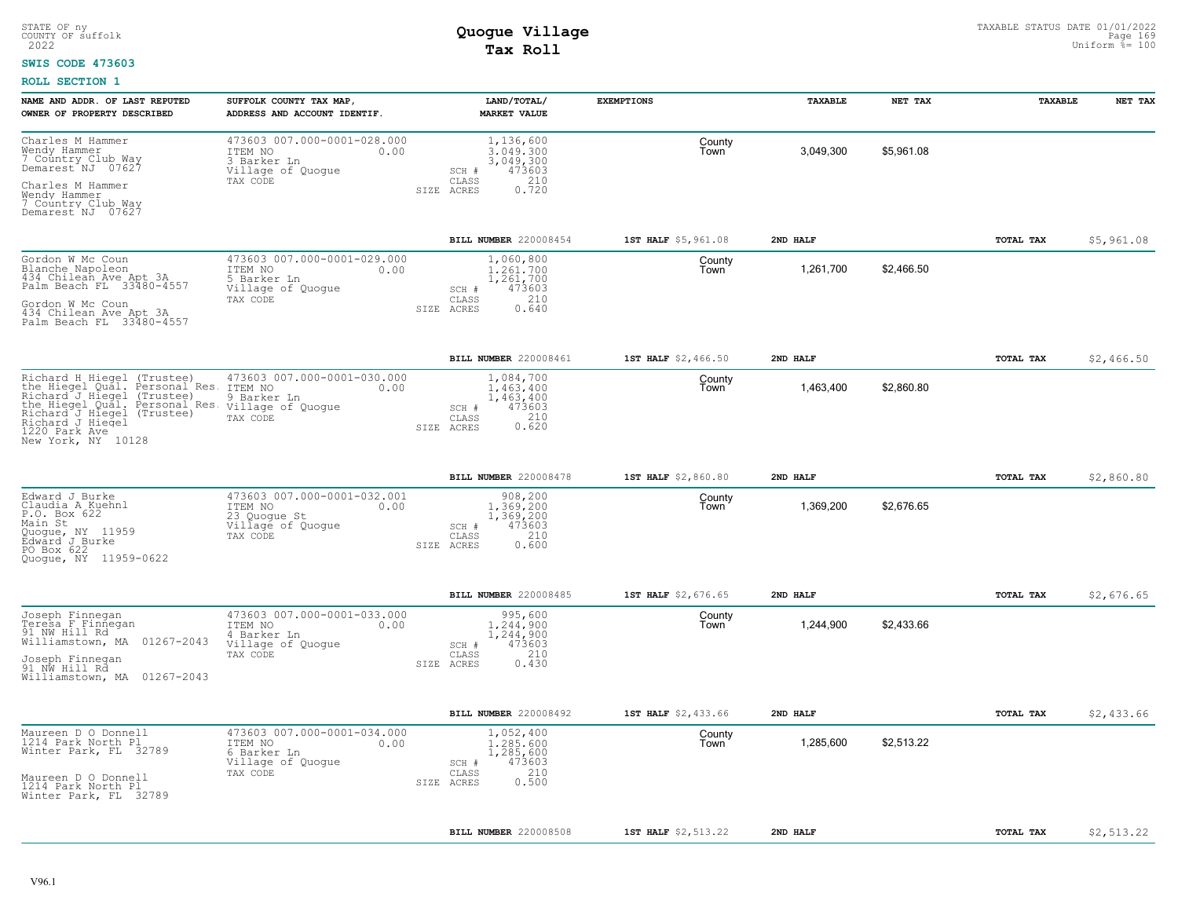### **SWIS CODE 473603**

| NAME AND ADDR. OF LAST REPUTED<br>OWNER OF PROPERTY DESCRIBED                                                                                                                                                                                                       | SUFFOLK COUNTY TAX MAP,<br>ADDRESS AND ACCOUNT IDENTIF.                                         | LAND/TOTAL/<br><b>MARKET VALUE</b>                                                            | <b>EXEMPTIONS</b>   | TAXABLE   | NET TAX    | <b>TAXABLE</b> | NET TAX    |
|---------------------------------------------------------------------------------------------------------------------------------------------------------------------------------------------------------------------------------------------------------------------|-------------------------------------------------------------------------------------------------|-----------------------------------------------------------------------------------------------|---------------------|-----------|------------|----------------|------------|
| Charles M Hammer<br>Wendy Hammer<br>7 Country Club Way<br>Demarest <sup>ANJ</sup> 07627<br>Charles M Hammer                                                                                                                                                         | 473603 007.000-0001-028.000<br>ITEM NO<br>0.00<br>3 Barker Ln<br>Village of Quogue<br>TAX CODE  | 1,136,600<br>3,049,300<br>3,049,300<br>473603<br>SCH #<br>210<br>CLASS<br>0.720               | County<br>Town      | 3,049,300 | \$5,961.08 |                |            |
| Wendy Hammer<br>7 Country Club Way<br>Demarest NJ 07627                                                                                                                                                                                                             |                                                                                                 | SIZE ACRES                                                                                    |                     |           |            |                |            |
|                                                                                                                                                                                                                                                                     |                                                                                                 | <b>BILL NUMBER 220008454</b>                                                                  | 1ST HALF \$5,961.08 | 2ND HALF  |            | TOTAL TAX      | \$5,961.08 |
| Gordon W Mc Coun<br>Blanche Napoleon<br>434 Chilean Ave Apt 3A<br>Palm Beach FL 33480-4557<br>Gordon W Mc Coun                                                                                                                                                      | 473603 007.000-0001-029.000<br>ITEM NO<br>0.00<br>5 Barker Ln<br>Village of Quogue<br>TAX CODE  | 1,060,800<br>1,261,700<br>1,261,700<br>473603<br>$SCH$ $#$<br>210<br>CLASS                    | County<br>Town      | 1,261,700 | \$2,466.50 |                |            |
| 434 Chilean Ave Apt 3A<br>Palm Beach FL 33480-4557                                                                                                                                                                                                                  |                                                                                                 | 0.640<br>SIZE ACRES                                                                           |                     |           |            |                |            |
|                                                                                                                                                                                                                                                                     |                                                                                                 | BILL NUMBER 220008461                                                                         | 1ST HALF \$2,466.50 | 2ND HALF  |            | TOTAL TAX      | \$2,466.50 |
| Richard H Hiegel (Trustee)<br>the Hiegel Qual. Personal Res.<br>Richard J Hiegel (Trustee)<br>The Hiegel Qual. Personal Res. Village of Quogue<br>Richard J Hiegel (Trustee) TAX CODE<br>Richard J Hiegel (Trustee) TAX CODE<br>1220 Park Ave<br>New York, NY 10128 | 473603 007.000-0001-030.000<br>ITEM NO<br>0.00<br>9 Barker Ln                                   | 1,084,700<br>1,463,400<br>1,463,400<br>473603<br>SCH #<br>210<br>CLASS<br>0.620<br>SIZE ACRES | County<br>Town      | 1,463,400 | \$2,860.80 |                |            |
|                                                                                                                                                                                                                                                                     |                                                                                                 | BILL NUMBER 220008478                                                                         | 1ST HALF \$2,860.80 | 2ND HALF  |            | TOTAL TAX      | \$2,860.80 |
| Edward J Burke<br>Claudia A Kuehnl<br>P.O. Box 622<br>Main St<br>Ouogue, NY 11959<br>Edward J Burke<br>PO Box 622<br>Quoque, NY 11959-0622                                                                                                                          | 473603 007.000-0001-032.001<br>ITEM NO<br>0.00<br>23 Quogue St<br>Village of Quogue<br>TAX CODE | 908,200<br>1.369.200<br>1,369,200<br>473603<br>SCH #<br>210<br>CLASS<br>0.600<br>SIZE ACRES   | County<br>Town      | 1,369,200 | \$2,676.65 |                |            |
|                                                                                                                                                                                                                                                                     |                                                                                                 | BILL NUMBER 220008485                                                                         | 1ST HALF \$2,676.65 | 2ND HALF  |            | TOTAL TAX      | \$2,676.65 |
| Joseph Finnegan<br>Teresa F Finnegan<br>91 NW Hill Rd<br>Williamstown, MA 01267-2043<br>Joseph Finnegan<br>91 NW Hill Rd<br>Williamstown, MA 01267-2043                                                                                                             | 473603 007.000-0001-033.000<br>ITEM NO<br>0.00<br>4 Barker Ln<br>Village of Quogue<br>TAX CODE  | 995,600<br>1,244,900<br>1,244,900<br>473603<br>SCH #<br>210<br>CLASS<br>SIZE ACRES<br>0.430   | County<br>Town      | 1,244,900 | \$2.433.66 |                |            |
|                                                                                                                                                                                                                                                                     |                                                                                                 | BILL NUMBER 220008492                                                                         | 1ST HALF \$2,433.66 | 2ND HALF  |            | TOTAL TAX      | \$2,433.66 |
| Maureen D O Donnell<br>1214 Park North Pl<br>Winter Park, FL 32789<br>Maureen D O Donnell<br>1214 Park North Pl                                                                                                                                                     | 473603 007.000-0001-034.000<br>ITEM NO<br>0.00<br>6 Barker Ln<br>Village of Quogue<br>TAX CODE  | 1,052,400<br>1,285,600<br>1,285,600<br>473603<br>SCH #<br>210<br>CLASS<br>0.500<br>SIZE ACRES | County<br>Town      | 1,285,600 | \$2,513.22 |                |            |
| Winter Park, FL 32789                                                                                                                                                                                                                                               |                                                                                                 |                                                                                               |                     |           |            |                |            |
|                                                                                                                                                                                                                                                                     |                                                                                                 | BILL NUMBER 220008508                                                                         | 1ST HALF \$2,513.22 | 2ND HALF  |            | TOTAL TAX      | \$2,513.22 |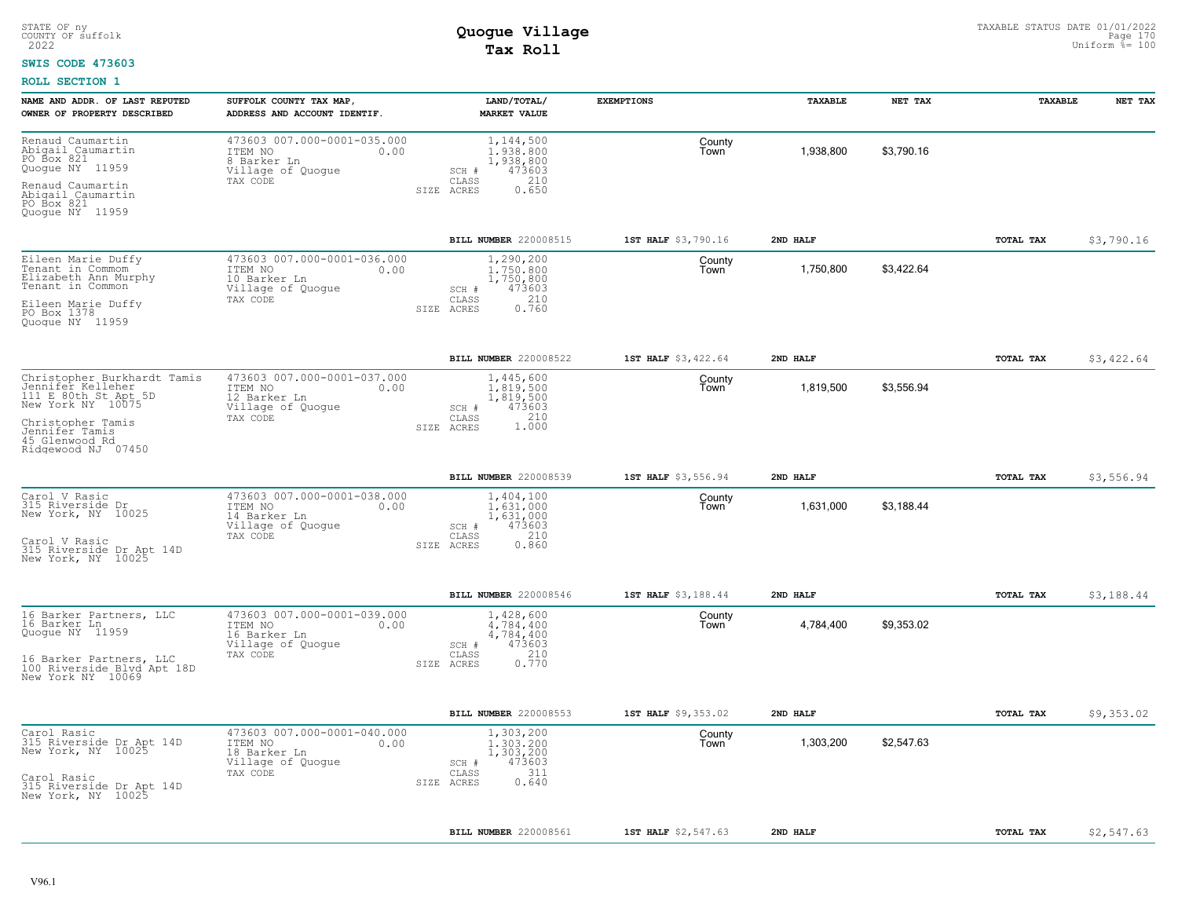### **SWIS CODE 473603**

| NAME AND ADDR. OF LAST REPUTED<br>OWNER OF PROPERTY DESCRIBED                                                                              | SUFFOLK COUNTY TAX MAP,<br>ADDRESS AND ACCOUNT IDENTIF.                                         | LAND/TOTAL/<br><b>MARKET VALUE</b>                                                            | <b>EXEMPTIONS</b>   | TAXABLE   | NET TAX    | TAXABLE   | NET TAX    |
|--------------------------------------------------------------------------------------------------------------------------------------------|-------------------------------------------------------------------------------------------------|-----------------------------------------------------------------------------------------------|---------------------|-----------|------------|-----------|------------|
| Renaud Caumartin<br>Abigail Caumartin<br>PO Box 821<br>Quogue NY 11959                                                                     | 473603 007.000-0001-035.000<br>ITEM NO<br>0.00<br>8 Barker Ln<br>Village of Quogue              | 1,144,500<br>1,938,800<br>1,938,800<br>473603<br>SCH #                                        | County<br>Town      | 1,938,800 | \$3,790.16 |           |            |
| Renaud Caumartin<br>Abigail Caumartin<br>PO Box 821<br>Quogue NY 11959                                                                     | TAX CODE                                                                                        | 210<br>CLASS<br>SIZE ACRES<br>0.650                                                           |                     |           |            |           |            |
|                                                                                                                                            |                                                                                                 | BILL NUMBER 220008515                                                                         | 1ST HALF \$3,790.16 | 2ND HALF  |            | TOTAL TAX | \$3,790.16 |
| Eileen Marie Duffy<br>Tenant in Commom<br>Elizabeth Ann Murphy<br>Tenant in Common<br>Eileen Marie Duffy<br>PO Box 1378<br>Quogue NY 11959 | 473603 007.000-0001-036.000<br>ITEM NO<br>0.00<br>10 Barker Ln<br>Village of Quogue<br>TAX CODE | 1,290,200<br>1,750,800<br>1,750,800<br>473603<br>SCH #<br>210<br>CLASS<br>0.760<br>SIZE ACRES | County<br>Town      | 1,750,800 | \$3,422.64 |           |            |
|                                                                                                                                            |                                                                                                 | BILL NUMBER 220008522                                                                         | 1ST HALF \$3,422.64 | 2ND HALF  |            | TOTAL TAX | \$3,422.64 |
| Christopher Burkhardt Tamis<br>Jennifer Kelleher<br>111 E 80th St Apt 5D<br>New York NY 10075                                              | 473603 007.000-0001-037.000<br>ITEM NO<br>0.00<br>12 Barker Ln<br>Village of Quogue             | 1,445,600<br>1.819.500<br>1,819,500<br>SCH #<br>473603                                        | County<br>Town      | 1,819,500 | \$3,556.94 |           |            |
| Christopher Tamis<br>Jennifer Tamis<br>45 Glenwood Rd<br>Ridgewood NJ 07450                                                                | TAX CODE                                                                                        | CLASS<br>210<br>1.000<br>SIZE ACRES                                                           |                     |           |            |           |            |
|                                                                                                                                            |                                                                                                 | BILL NUMBER 220008539                                                                         | 1ST HALF \$3,556.94 | 2ND HALF  |            | TOTAL TAX | \$3,556.94 |
| Carol V Rasic<br>315 Riverside Dr<br>New York, NY 10025<br>Carol V Rasic<br>315 Riverside Dr Apt 14D                                       | 473603 007.000-0001-038.000<br>ITEM NO<br>0.00<br>14 Barker Ln<br>Village of Quogue<br>TAX CODE | 1,404,100<br>1,631,000<br>1,631,000<br>473603<br>SCH #<br>210<br>CLASS<br>SIZE ACRES<br>0.860 | County<br>Town      | 1,631,000 | \$3,188.44 |           |            |
| New York, NY 10025                                                                                                                         |                                                                                                 |                                                                                               |                     |           |            |           |            |
|                                                                                                                                            |                                                                                                 | BILL NUMBER 220008546                                                                         | 1ST HALF \$3,188.44 | 2ND HALF  |            | TOTAL TAX | \$3,188.44 |
| 16 Barker Partners, LLC<br>16 Barker Ln<br>Quoque NY 11959                                                                                 | 473603 007.000-0001-039.000<br>ITEM NO<br>0.00<br>16 Barker Ln<br>Village of Quogue<br>TAX CODE | 1,428,600<br>4,784,400<br>4,784,400<br>473603<br>SCH #<br>210                                 | County<br>Town      | 4,784,400 | \$9,353.02 |           |            |
| 16 Barker Partners, LLC<br>100 Riverside Blvd Apt 18D<br>New York NY 10069                                                                 |                                                                                                 | CLASS<br>0.770<br>SIZE ACRES                                                                  |                     |           |            |           |            |
|                                                                                                                                            |                                                                                                 | BILL NUMBER 220008553                                                                         | 1ST HALF \$9,353.02 | 2ND HALF  |            | TOTAL TAX | \$9,353.02 |
| Carol Rasic<br>315 Riverside Dr Apt 14D<br>New York, NY 10025                                                                              | 473603 007.000-0001-040.000<br>0.00<br>ITEM NO<br>18 Barker Ln<br>Village of Quogue<br>TAX CODE | 1,303,200<br>1,303,200<br>1,303,200<br>473603<br>SCH #<br>-311<br>CLASS                       | County<br>Town      | 1,303,200 | \$2,547.63 |           |            |
| Carol Rasic<br>315 Riverside Dr Apt 14D<br>New York, NY 10025                                                                              |                                                                                                 | 0.640<br>SIZE ACRES                                                                           |                     |           |            |           |            |
|                                                                                                                                            |                                                                                                 | BILL NUMBER 220008561                                                                         | 1ST HALF \$2,547.63 | 2ND HALF  |            | TOTAL TAX | \$2,547.63 |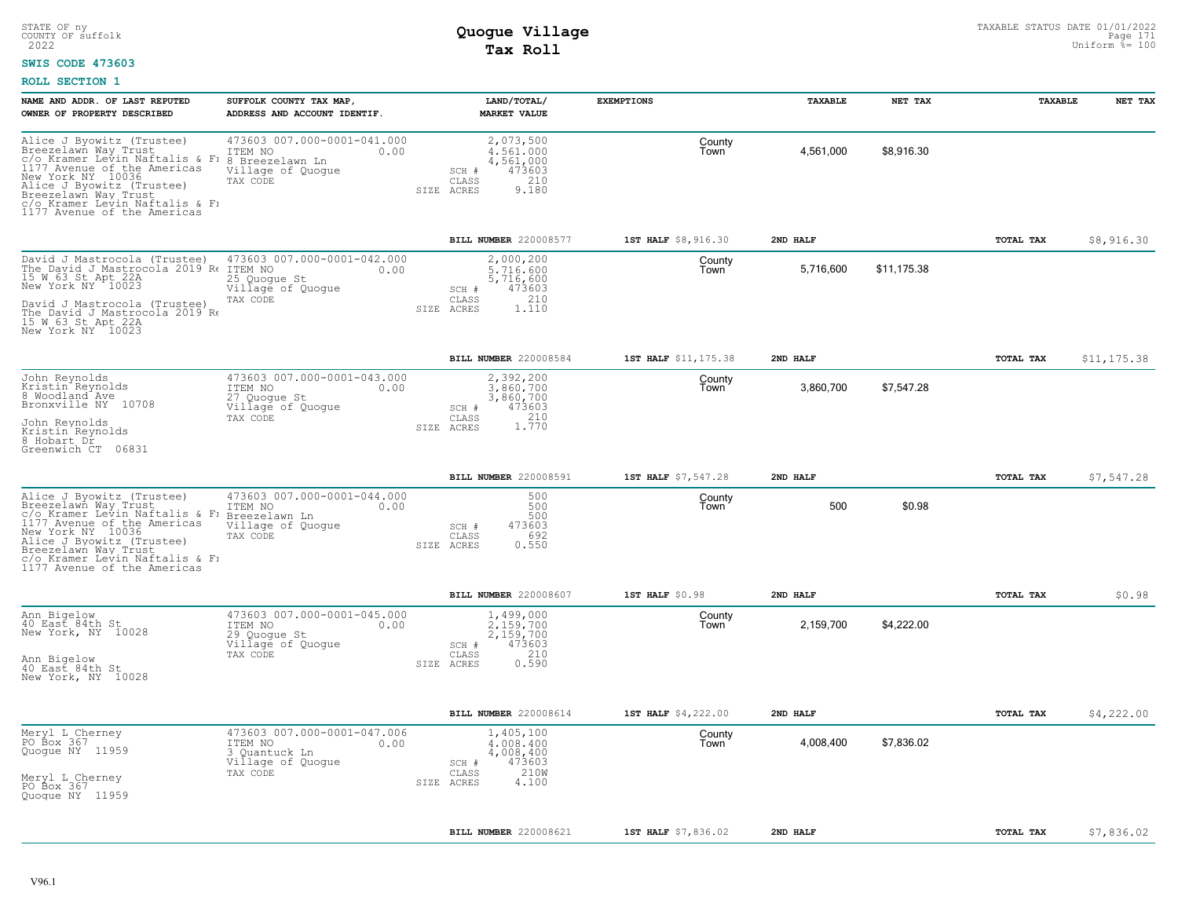### **SWIS CODE 473603**

| NAME AND ADDR. OF LAST REPUTED<br>OWNER OF PROPERTY DESCRIBED                                                                                                                                                                                                 | SUFFOLK COUNTY TAX MAP<br>ADDRESS AND ACCOUNT IDENTIF.                                             | LAND/TOTAL/<br><b>MARKET VALUE</b>                                                               | <b>EXEMPTIONS</b>    | TAXABLE   | NET TAX     | TAXABLE   | NET TAX     |
|---------------------------------------------------------------------------------------------------------------------------------------------------------------------------------------------------------------------------------------------------------------|----------------------------------------------------------------------------------------------------|--------------------------------------------------------------------------------------------------|----------------------|-----------|-------------|-----------|-------------|
| Alice J Byowitz (Trustee)<br>Breezelawn Way Trust<br>c/o Kramer Levin Naftalis & F:<br>1177 Avenue of the Americas<br>New York NY 10036<br>Alice J Byowitz (Trustee)<br>Breezelawn Way Trust<br>c/o Kramer Levin Naftalis & F1<br>1177 Avenue of the Americas | 473603 007.000-0001-041.000<br>ITEM NO<br>0.00<br>8 Breezelawn Ln<br>Village of Quogue<br>TAX CODE | 2,073,500<br>4.561.000<br>4,561,000<br>473603<br>SCH #<br>210<br>CLASS<br>9.180<br>SIZE ACRES    | County<br>Town       | 4,561,000 | \$8,916.30  |           |             |
|                                                                                                                                                                                                                                                               |                                                                                                    | BILL NUMBER 220008577                                                                            | 1ST HALF \$8,916.30  | 2ND HALF  |             | TOTAL TAX | \$8,916.30  |
| David J Mastrocola (Trustee)<br>The David J Mastrocola 2019 Re<br>15 W 63 St Apt 22A<br>New York NY 10023<br>David J Mastrocola (Trustee)<br>The David J Mastrocola 2019'Re<br>15 W.63 St Apt 22A<br>New York NY 10023                                        | 473603 007.000-0001-042.000<br>ITEM NO<br>0.00<br>25 Quogue St<br>Village of Quogue<br>TAX CODE    | 2,000,200<br>5,716,600<br>5,716,600<br>473603<br>SCH #<br>210<br>CLASS<br>1.110<br>SIZE<br>ACRES | County<br>Town       | 5,716,600 | \$11.175.38 |           |             |
|                                                                                                                                                                                                                                                               |                                                                                                    | BILL NUMBER 220008584                                                                            | 1ST HALF \$11,175.38 | 2ND HALF  |             | TOTAL TAX | \$11,175.38 |
| John Reynolds<br>Kristin Reynolds<br>8 Woodland <sup>"</sup> Ave<br>Bronxville NY 10708<br>John Reynolds<br>Kristin Reynolds<br>8 Hobart Dr<br>Greenwich CT 06831                                                                                             | 473603 007.000-0001-043.000<br>ITEM NO<br>0.00<br>27 Quoque St<br>Village of Quoque<br>TAX CODE    | 2,392,200<br>3,860,700<br>3,860,700<br>473603<br>SCH #<br>1.770<br>CLASS<br>SIZE ACRES           | County<br>Town       | 3,860,700 | \$7,547.28  |           |             |
|                                                                                                                                                                                                                                                               |                                                                                                    | BILL NUMBER 220008591                                                                            | 1ST HALF \$7,547.28  | 2ND HALF  |             | TOTAL TAX | \$7,547.28  |
| Alice J Byowitz (Trustee)<br>Breezelawn Way Trust<br>c/o Kramer Levin Naftalis & F:<br>1177 Avenue of the Americas<br>New York NY 10036<br>Alice J Byowitz (Trustee)<br>Breezelawn Way Trust<br>c/o Kramer Levin Naftalis & F:<br>1177 Avenue of the Americas | 473603 007.000-0001-044.000<br>ITEM NO<br>0.00<br>Breezelawn Ln<br>Village of Quogue<br>TAX CODE   | 500<br>500<br>500<br>473603<br>SCH #<br>692<br>CLASS<br>0.550<br>SIZE ACRES                      | County<br>Town       | 500       | \$0.98      |           |             |
|                                                                                                                                                                                                                                                               |                                                                                                    | BILL NUMBER 220008607                                                                            | 1ST HALF \$0.98      | 2ND HALF  |             | TOTAL TAX | \$0.98      |
| Ann Bigelow<br>40 East 84th St<br>New York, NY 10028<br>Ann Bigelow<br>40 East 84th St<br>New York, NY 10028                                                                                                                                                  | 473603 007.000-0001-045.000<br>ITEM NO<br>0.00<br>29 Quoque St<br>Village of Quogue<br>TAX CODE    | 1,499,000<br>2,159,700<br>2,159,700<br>473603<br>SCH #<br>210<br>CLASS<br>0.590<br>SIZE ACRES    | County<br>Town       | 2,159,700 | \$4.222.00  |           |             |
|                                                                                                                                                                                                                                                               |                                                                                                    | BILL NUMBER 220008614                                                                            | 1ST HALF \$4,222.00  | 2ND HALF  |             | TOTAL TAX | \$4,222.00  |
| Meryl L Cherney<br>PO Box 367<br>Quoque NY 11959<br>Meryl L Cherney<br>PO Box 367<br>Quoque NY 11959                                                                                                                                                          | 473603 007.000-0001-047.006<br>ITEM NO<br>0.00<br>3 Quantuck Ln<br>Village of Quogue<br>TAX CODE   | 1,405,100<br>4,008,400<br>4,008,400<br>473603<br>SCH #<br>210W<br>CLASS<br>4.100<br>SIZE ACRES   | County<br>Town       | 4,008,400 | \$7,836.02  |           |             |
|                                                                                                                                                                                                                                                               |                                                                                                    | BILL NUMBER 220008621                                                                            | 1ST HALF \$7,836.02  | 2ND HALF  |             | TOTAL TAX | \$7,836.02  |
|                                                                                                                                                                                                                                                               |                                                                                                    |                                                                                                  |                      |           |             |           |             |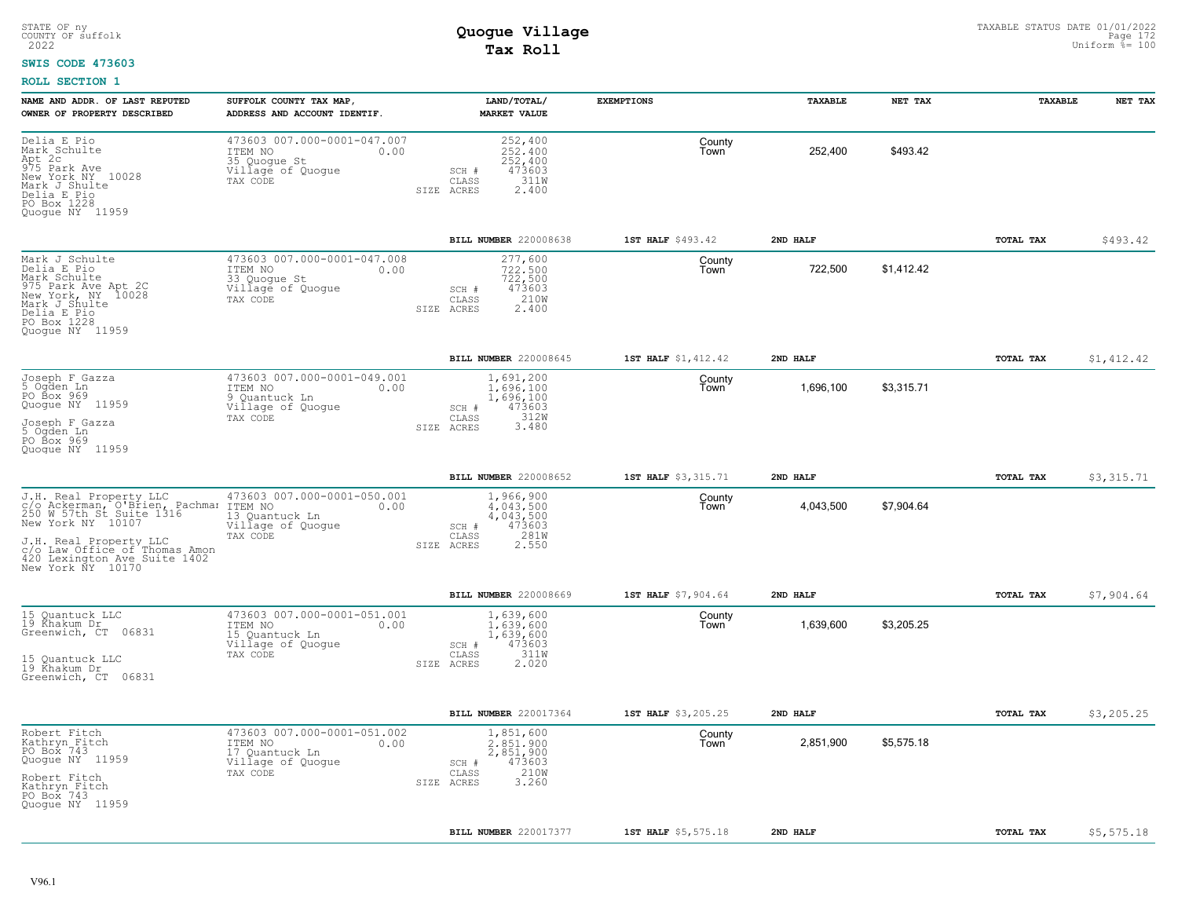#### **SWIS CODE 473603**

| Delia E Pio<br>473603 007.000-0001-047.007<br>252,400<br>County<br>Mark Schulte<br>252,400<br>\$493.42<br>ITEM NO<br>0.00<br>252,400<br>Town<br>Apt 2c<br>975 Park Ave<br>35 Quoque St<br>252,400<br>Village of Quogue<br>473603<br>SCH #<br>New York NY 10028<br>CLASS<br>311W<br>TAX CODE<br>Mark J Shulte<br>2.400<br>SIZE ACRES<br>Delia E Pio<br>PO Box 1228<br>Quogue NY 11959<br>BILL NUMBER 220008638<br>1ST HALF \$493.42<br>2ND HALF<br>TOTAL TAX<br>473603 007.000-0001-047.008<br>Mark J Schulte<br>277,600<br>County<br>Delia E Pio<br>722,500<br>\$1,412.42<br>ITEM NO<br>722,500<br>0.00<br>Town<br>Mark Schulte<br>722,500<br>33 Quogue St<br>975 Park Ave Apt 2C<br>New York, NY 10028<br>Village of Quogue<br>473603<br>SCH #<br>210W<br>TAX CODE<br>CLASS<br>Mark J Shulte<br>SIZE ACRES<br>2.400<br>Delia E Pio<br>PO Box 1228<br>Quoque NY 11959<br><b>BILL NUMBER 220008645</b><br>1ST HALF \$1,412.42<br>2ND HALF<br>TOTAL TAX<br>473603 007.000-0001-049.001<br>Joseph F Gazza<br>5 Ogden Ln<br>1,691,200<br>County<br>1,696,100<br>\$3,315.71<br>ITEM NO<br>0.00<br>1,696,100<br>Town<br>PO Box 969<br>1,696,100<br>9 Quantuck Ln<br>Quogue NY 11959<br>Village of Quogue<br>SCH #<br>473603<br>TAX CODE<br>CLASS<br>312W<br>Joseph F Gazza<br>5 Ogden Ln<br>3.480<br>SIZE ACRES<br>PO Box 969<br>Ouoque NY 11959<br>BILL NUMBER 220008652<br>1ST HALF \$3,315.71<br>2ND HALF<br>TOTAL TAX<br>473603 007.000-0001-050.001<br>J.H. Real Property LLC<br>1,966,900<br>County<br>c/o Ackerman, O'Brien, Pachman ITEM NO<br>250 W 57th St Suite 1316 13 Quant<br>4,043,500<br>\$7.904.64<br>4.043.500<br>0.00<br>Town<br>13 Ouantuck Ln<br>4,043,500<br>New York NY 10107<br>Village of Quoque<br>473603<br>SCH #<br>281W<br>TAX CODE<br>CLASS<br>J.H. Real Property LLC<br>2.550<br>SIZE ACRES<br>c/o Law Office of Thomas Amon<br>420 Lexington Ave Suite 1402<br>New York NY 10170<br>BILL NUMBER 220008669<br>1ST HALF \$7,904.64<br>2ND HALF<br>TOTAL TAX<br>15 Ouantuck LLC<br>473603 007.000-0001-051.001<br>1,639,600<br>County<br>19 Khakum Dr<br>\$3,205.25<br>0.00<br>1,639,600<br>1,639,600<br>ITEM NO<br>Town<br>Greenwich, CT 06831<br>15 Quantuck Ln<br>1,639,600<br>Village of Quogue<br>473603<br>SCH #<br>311W<br>CLASS<br>TAX CODE<br>15 Quantuck LLC<br>2.020<br>SIZE ACRES<br>19 Řhakum Dr<br>Greenwich, CT 06831<br>BILL NUMBER 220017364<br>1ST HALF \$3,205.25<br>2ND HALF<br><b>TOTAL TAX</b><br>473603 007.000-0001-051.002<br>Robert Fitch<br>1,851,600<br>County<br>Kathryn Fitch<br>\$5,575.18<br>2,851,900<br>ITEM NO<br>0.00<br>2.851.900<br>Town<br>PO Box 743<br>2,851,900<br>17 Quantuck Ln<br>Quogue NY 11959<br>473603<br>Village of Quogue<br>SCH #<br>210W<br>CLASS<br>TAX CODE<br>Robert Fitch<br>3.260<br>SIZE ACRES<br>Kathryn Fitch<br>PO Box 743<br>Quoque NY 11959<br>BILL NUMBER 220017377<br>1ST HALF \$5,575.18<br>2ND HALF<br>TOTAL TAX | NAME AND ADDR. OF LAST REPUTED<br>OWNER OF PROPERTY DESCRIBED | SUFFOLK COUNTY TAX MAP,<br>ADDRESS AND ACCOUNT IDENTIF. | LAND/TOTAL/<br><b>MARKET VALUE</b> | <b>EXEMPTIONS</b> | TAXABLE | NET TAX | TAXABLE | NET TAX    |
|--------------------------------------------------------------------------------------------------------------------------------------------------------------------------------------------------------------------------------------------------------------------------------------------------------------------------------------------------------------------------------------------------------------------------------------------------------------------------------------------------------------------------------------------------------------------------------------------------------------------------------------------------------------------------------------------------------------------------------------------------------------------------------------------------------------------------------------------------------------------------------------------------------------------------------------------------------------------------------------------------------------------------------------------------------------------------------------------------------------------------------------------------------------------------------------------------------------------------------------------------------------------------------------------------------------------------------------------------------------------------------------------------------------------------------------------------------------------------------------------------------------------------------------------------------------------------------------------------------------------------------------------------------------------------------------------------------------------------------------------------------------------------------------------------------------------------------------------------------------------------------------------------------------------------------------------------------------------------------------------------------------------------------------------------------------------------------------------------------------------------------------------------------------------------------------------------------------------------------------------------------------------------------------------------------------------------------------------------------------------------------------------------------------------------------------------------------------------------------------------------------------------------------------------------------------------------------------------------------------------------------------------------------------------------------------------------------------------------------------------------------------------------------------------------------------------------------------------------------------------------------------------------------------|---------------------------------------------------------------|---------------------------------------------------------|------------------------------------|-------------------|---------|---------|---------|------------|
|                                                                                                                                                                                                                                                                                                                                                                                                                                                                                                                                                                                                                                                                                                                                                                                                                                                                                                                                                                                                                                                                                                                                                                                                                                                                                                                                                                                                                                                                                                                                                                                                                                                                                                                                                                                                                                                                                                                                                                                                                                                                                                                                                                                                                                                                                                                                                                                                                                                                                                                                                                                                                                                                                                                                                                                                                                                                                                              |                                                               |                                                         |                                    |                   |         |         |         |            |
|                                                                                                                                                                                                                                                                                                                                                                                                                                                                                                                                                                                                                                                                                                                                                                                                                                                                                                                                                                                                                                                                                                                                                                                                                                                                                                                                                                                                                                                                                                                                                                                                                                                                                                                                                                                                                                                                                                                                                                                                                                                                                                                                                                                                                                                                                                                                                                                                                                                                                                                                                                                                                                                                                                                                                                                                                                                                                                              |                                                               |                                                         |                                    |                   |         |         |         | \$493.42   |
|                                                                                                                                                                                                                                                                                                                                                                                                                                                                                                                                                                                                                                                                                                                                                                                                                                                                                                                                                                                                                                                                                                                                                                                                                                                                                                                                                                                                                                                                                                                                                                                                                                                                                                                                                                                                                                                                                                                                                                                                                                                                                                                                                                                                                                                                                                                                                                                                                                                                                                                                                                                                                                                                                                                                                                                                                                                                                                              |                                                               |                                                         |                                    |                   |         |         |         |            |
|                                                                                                                                                                                                                                                                                                                                                                                                                                                                                                                                                                                                                                                                                                                                                                                                                                                                                                                                                                                                                                                                                                                                                                                                                                                                                                                                                                                                                                                                                                                                                                                                                                                                                                                                                                                                                                                                                                                                                                                                                                                                                                                                                                                                                                                                                                                                                                                                                                                                                                                                                                                                                                                                                                                                                                                                                                                                                                              |                                                               |                                                         |                                    |                   |         |         |         | \$1,412.42 |
|                                                                                                                                                                                                                                                                                                                                                                                                                                                                                                                                                                                                                                                                                                                                                                                                                                                                                                                                                                                                                                                                                                                                                                                                                                                                                                                                                                                                                                                                                                                                                                                                                                                                                                                                                                                                                                                                                                                                                                                                                                                                                                                                                                                                                                                                                                                                                                                                                                                                                                                                                                                                                                                                                                                                                                                                                                                                                                              |                                                               |                                                         |                                    |                   |         |         |         |            |
|                                                                                                                                                                                                                                                                                                                                                                                                                                                                                                                                                                                                                                                                                                                                                                                                                                                                                                                                                                                                                                                                                                                                                                                                                                                                                                                                                                                                                                                                                                                                                                                                                                                                                                                                                                                                                                                                                                                                                                                                                                                                                                                                                                                                                                                                                                                                                                                                                                                                                                                                                                                                                                                                                                                                                                                                                                                                                                              |                                                               |                                                         |                                    |                   |         |         |         | \$3,315.71 |
|                                                                                                                                                                                                                                                                                                                                                                                                                                                                                                                                                                                                                                                                                                                                                                                                                                                                                                                                                                                                                                                                                                                                                                                                                                                                                                                                                                                                                                                                                                                                                                                                                                                                                                                                                                                                                                                                                                                                                                                                                                                                                                                                                                                                                                                                                                                                                                                                                                                                                                                                                                                                                                                                                                                                                                                                                                                                                                              |                                                               |                                                         |                                    |                   |         |         |         |            |
|                                                                                                                                                                                                                                                                                                                                                                                                                                                                                                                                                                                                                                                                                                                                                                                                                                                                                                                                                                                                                                                                                                                                                                                                                                                                                                                                                                                                                                                                                                                                                                                                                                                                                                                                                                                                                                                                                                                                                                                                                                                                                                                                                                                                                                                                                                                                                                                                                                                                                                                                                                                                                                                                                                                                                                                                                                                                                                              |                                                               |                                                         |                                    |                   |         |         |         | \$7,904.64 |
|                                                                                                                                                                                                                                                                                                                                                                                                                                                                                                                                                                                                                                                                                                                                                                                                                                                                                                                                                                                                                                                                                                                                                                                                                                                                                                                                                                                                                                                                                                                                                                                                                                                                                                                                                                                                                                                                                                                                                                                                                                                                                                                                                                                                                                                                                                                                                                                                                                                                                                                                                                                                                                                                                                                                                                                                                                                                                                              |                                                               |                                                         |                                    |                   |         |         |         |            |
|                                                                                                                                                                                                                                                                                                                                                                                                                                                                                                                                                                                                                                                                                                                                                                                                                                                                                                                                                                                                                                                                                                                                                                                                                                                                                                                                                                                                                                                                                                                                                                                                                                                                                                                                                                                                                                                                                                                                                                                                                                                                                                                                                                                                                                                                                                                                                                                                                                                                                                                                                                                                                                                                                                                                                                                                                                                                                                              |                                                               |                                                         |                                    |                   |         |         |         | \$3,205.25 |
|                                                                                                                                                                                                                                                                                                                                                                                                                                                                                                                                                                                                                                                                                                                                                                                                                                                                                                                                                                                                                                                                                                                                                                                                                                                                                                                                                                                                                                                                                                                                                                                                                                                                                                                                                                                                                                                                                                                                                                                                                                                                                                                                                                                                                                                                                                                                                                                                                                                                                                                                                                                                                                                                                                                                                                                                                                                                                                              |                                                               |                                                         |                                    |                   |         |         |         |            |
|                                                                                                                                                                                                                                                                                                                                                                                                                                                                                                                                                                                                                                                                                                                                                                                                                                                                                                                                                                                                                                                                                                                                                                                                                                                                                                                                                                                                                                                                                                                                                                                                                                                                                                                                                                                                                                                                                                                                                                                                                                                                                                                                                                                                                                                                                                                                                                                                                                                                                                                                                                                                                                                                                                                                                                                                                                                                                                              |                                                               |                                                         |                                    |                   |         |         |         | \$5,575.18 |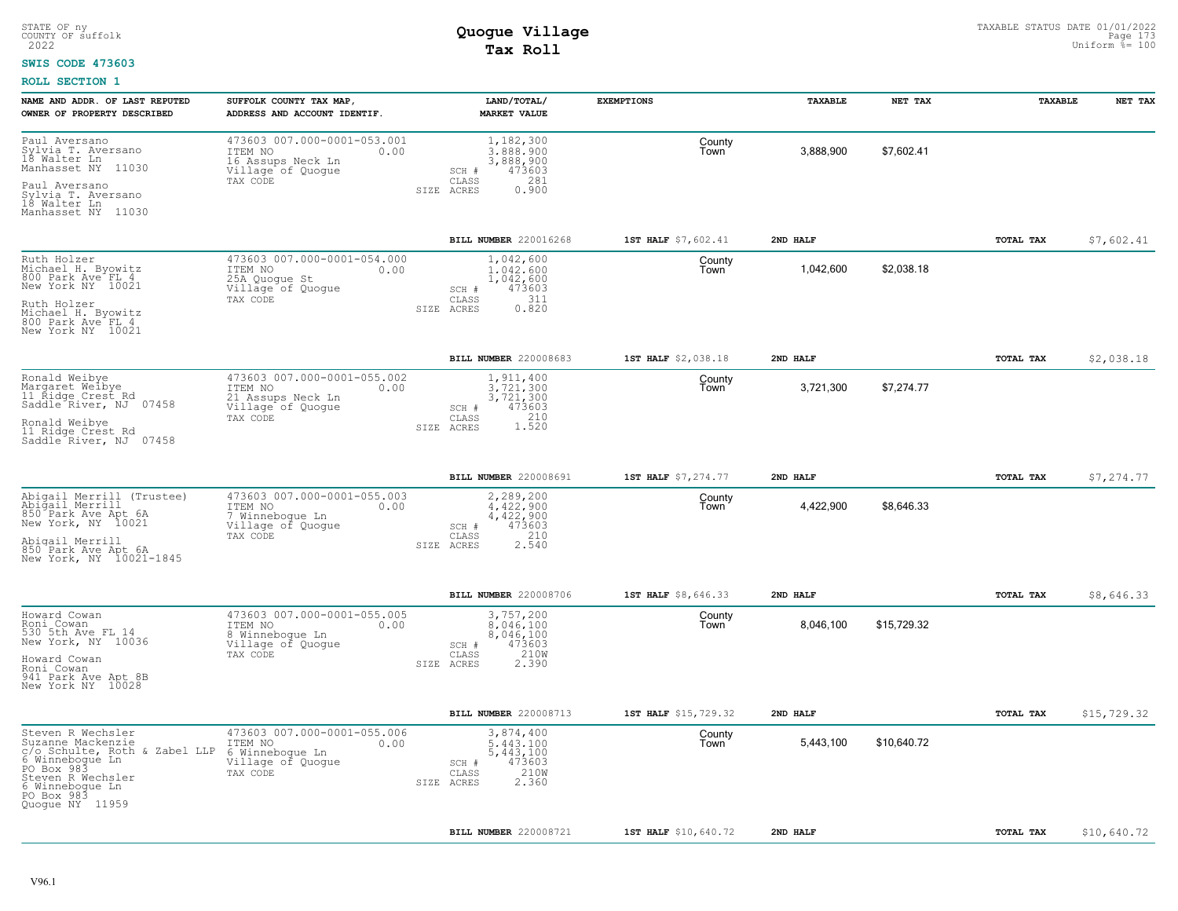### **SWIS CODE 473603**

| NAME AND ADDR. OF LAST REPUTED<br>OWNER OF PROPERTY DESCRIBED                                                                                                                     | SUFFOLK COUNTY TAX MAP,<br>ADDRESS AND ACCOUNT IDENTIF.                                              | LAND/TOTAL/<br><b>MARKET VALUE</b>                                                               | <b>EXEMPTIONS</b>    | <b>TAXABLE</b> | NET TAX     | <b>TAXABLE</b> | NET TAX     |
|-----------------------------------------------------------------------------------------------------------------------------------------------------------------------------------|------------------------------------------------------------------------------------------------------|--------------------------------------------------------------------------------------------------|----------------------|----------------|-------------|----------------|-------------|
| Paul Aversano<br>Sylvia T. Aversano<br>18 Walter Ln<br>11030<br>Manhasset NY                                                                                                      | 473603 007.000-0001-053.001<br>ITEM NO<br>0.00<br>16 Assups Neck Ln<br>Village of Quoque<br>TAX CODE | 1,182,300<br>3.888.900<br>3,888,900<br>473603<br>SCH #<br>281<br>CLASS                           | County<br>Town       | 3,888,900      | \$7.602.41  |                |             |
| Paul Aversano<br>Sylvia T. Aversano<br>18 Walter Ln<br>Manhasset NY 11030                                                                                                         |                                                                                                      | 0.900<br>SIZE ACRES                                                                              |                      |                |             |                |             |
|                                                                                                                                                                                   |                                                                                                      | BILL NUMBER 220016268                                                                            | 1ST HALF \$7,602.41  | 2ND HALF       |             | TOTAL TAX      | \$7,602.41  |
| Ruth Holzer<br>Michael H. Byowitz<br>800 Park Ave FL 4<br>New York NY 10021                                                                                                       | 473603 007.000-0001-054.000<br>ITEM NO<br>0.00<br>25A Quogue St<br>Village of Quogue<br>TAX CODE     | 1,042,600<br>1.042.600<br>1,042,600<br>473603<br>SCH #<br>311<br>CLASS                           | County<br>Town       | 1,042,600      | \$2,038.18  |                |             |
| Ruth Holzer<br>Michael H. Byowitz<br>800 Park Ave FL 4<br>New York NY 10021                                                                                                       |                                                                                                      | 0.820<br>SIZE<br>ACRES                                                                           |                      |                |             |                |             |
|                                                                                                                                                                                   |                                                                                                      | BILL NUMBER 220008683                                                                            | 1ST HALF \$2,038.18  | 2ND HALF       |             | TOTAL TAX      | \$2,038.18  |
| Ronald Weibye<br>Margaret Weibye<br>11 Řidge Crest Rd<br>Saddle River, NJ 07458                                                                                                   | 473603 007.000-0001-055.002<br>ITEM NO<br>0.00<br>21 Assups Neck Ln<br>Village of Quogue             | 1,911,400<br>3.721.300<br>3,721,300<br>473603<br>SCH #                                           | County<br>Town       | 3,721,300      | \$7,274.77  |                |             |
| Ronald Weibye<br>11 Ridge Crest Rd<br>Saddle River, NJ 07458                                                                                                                      | TAX CODE                                                                                             | CLASS<br>1.520<br>SIZE ACRES                                                                     |                      |                |             |                |             |
|                                                                                                                                                                                   |                                                                                                      | BILL NUMBER 220008691                                                                            | 1ST HALF \$7,274.77  | 2ND HALF       |             | TOTAL TAX      | \$7,274.77  |
| Abigail Merrill (Trustee)<br>Abigail Merrill<br>850 Park Ave Apt 6A<br>New York, NY 10021                                                                                         | 473603 007.000-0001-055.003<br>ITEM NO<br>0.00<br>7 Winnebogue Ln<br>Village of Quogue<br>TAX CODE   | 2,289,200<br>$4.422.900$<br>$4.422.900$<br>473603<br>SCH #<br>210<br>CLASS                       | County<br>Town       | 4,422,900      | \$8,646.33  |                |             |
| Abigail Merrill<br>850 Park Ave Apt 6A<br>New York, NY 10021-1845                                                                                                                 |                                                                                                      | 2.540<br>SIZE ACRES                                                                              |                      |                |             |                |             |
|                                                                                                                                                                                   |                                                                                                      | BILL NUMBER 220008706                                                                            | 1ST HALF \$8,646.33  | 2ND HALF       |             | TOTAL TAX      | \$8,646.33  |
| Howard Cowan<br>Roni Cowan<br>530 5th Ave FL 14<br>New York, NY 10036                                                                                                             | 473603 007.000-0001-055.005<br>ITEM NO<br>0.00<br>8 Winneboque Ln<br>Village of Quogue<br>TAX CODE   | 3,757,200<br>8.046.100<br>8,046,100<br>473603<br>SCH #<br>210W<br>CLASS                          | County<br>Town       | 8,046,100      | \$15,729.32 |                |             |
| Howard Cowan<br>Roni Cowan<br>941 Park Ave Apt 8B<br>New York NY 10028                                                                                                            |                                                                                                      | 2.390<br>SIZE ACRES                                                                              |                      |                |             |                |             |
|                                                                                                                                                                                   |                                                                                                      | BILL NUMBER 220008713                                                                            | 1ST HALF \$15,729.32 | 2ND HALF       |             | TOTAL TAX      | \$15,729.32 |
| Steven R Wechsler<br>Suzanne Mackenzie<br>c/o Schulte, Roth & Zabel LLP<br>6 Winneboque Ln<br>PO Box 983<br>Steven R Wechsler<br>6 Winnebogue Ln<br>PO Box 983<br>Quoque NY 11959 | 473603 007.000-0001-055.006<br>ITEM NO<br>0.00<br>6 Winnebogue Ln<br>Village of Quogue<br>TAX CODE   | 3,874,400<br>5.443.100<br>5, 443, 100<br>473603<br>SCH #<br>210W<br>CLASS<br>2.360<br>SIZE ACRES | County<br>Town       | 5,443,100      | \$10,640.72 |                |             |
|                                                                                                                                                                                   |                                                                                                      | BILL NUMBER 220008721                                                                            | 1ST HALF \$10,640.72 | 2ND HALF       |             | TOTAL TAX      | \$10,640.72 |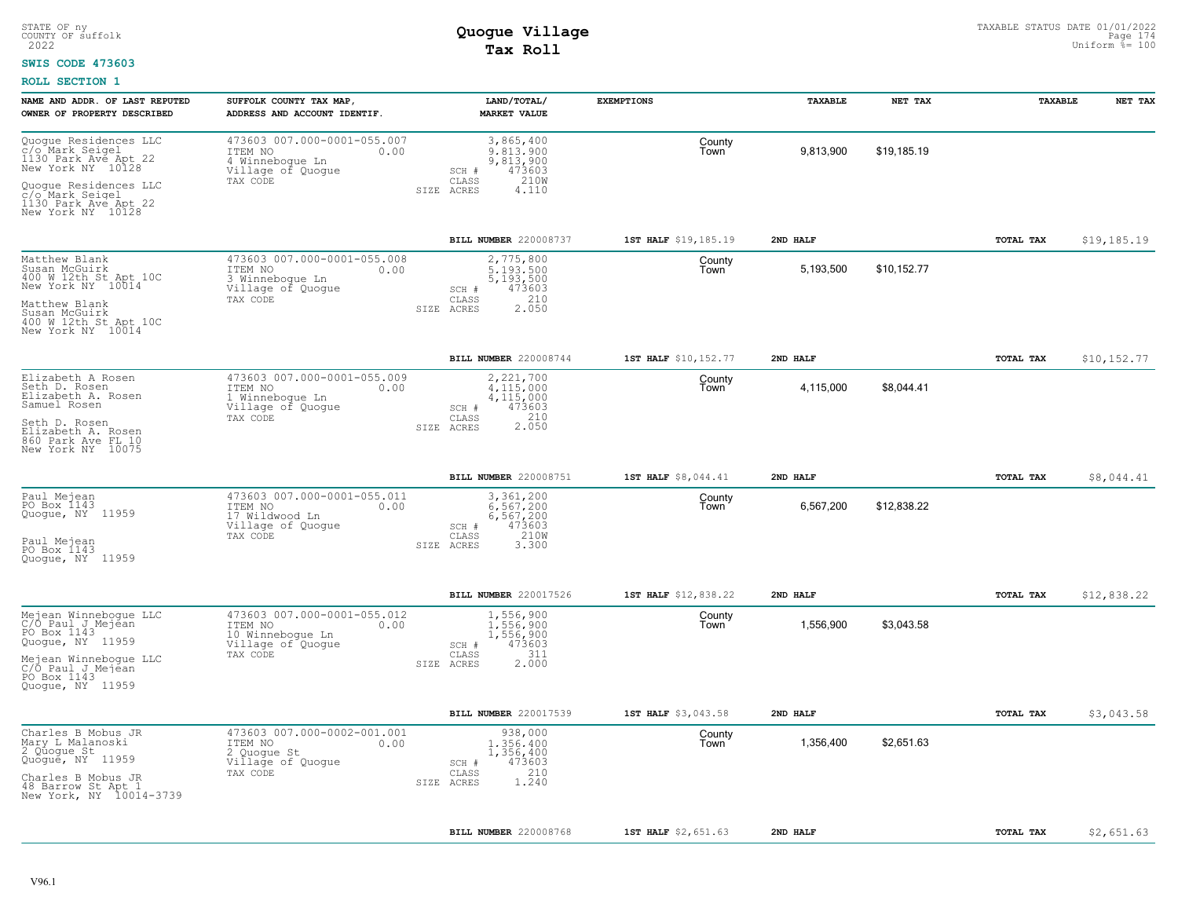### **SWIS CODE 473603**

| NAME AND ADDR. OF LAST REPUTED<br>OWNER OF PROPERTY DESCRIBED                                                                                                  | SUFFOLK COUNTY TAX MAP,<br>ADDRESS AND ACCOUNT IDENTIF.                                             | LAND/TOTAL/<br><b>MARKET VALUE</b>                                                               | <b>EXEMPTIONS</b>    | TAXABLE   | NET TAX     | TAXABLE          | NET TAX     |
|----------------------------------------------------------------------------------------------------------------------------------------------------------------|-----------------------------------------------------------------------------------------------------|--------------------------------------------------------------------------------------------------|----------------------|-----------|-------------|------------------|-------------|
| Quogue Residences LLC<br>c/o Mark Seigel<br>1130 Park Ave Apt 22<br>New York NY 10128<br>Quoque Residences LLC<br>c/o Mark Seigel<br>1130 Park Ave Apt 22      | 473603 007.000-0001-055.007<br>ITEM NO<br>0.00<br>4 Winneboque Ln<br>Village of Quogue<br>TAX CODE  | 3,865,400<br>9,813,900<br>9,813,900<br>473603<br>SCH #<br>210W<br>CLASS<br>SIZE ACRES<br>4.110   | County<br>Town       | 9,813,900 | \$19,185.19 |                  |             |
| New York NY 10128                                                                                                                                              |                                                                                                     | BILL NUMBER 220008737                                                                            | 1ST HALF \$19,185.19 | 2ND HALF  |             | TOTAL TAX        |             |
| Matthew Blank<br>Susan McGuirk<br>400 W 12th St Apt 10C<br>New York NY 10014<br>Matthew Blank<br>Susan McGuirk<br>400 W 12th St Apt 10C<br>New York NY 10014   | 473603 007.000-0001-055.008<br>0.00<br>ITEM NO<br>3 Winnebogue Ln<br>Village of Quogue<br>TAX CODE  | 2,775,800<br>5.193.500<br>5,193,500<br>473603<br>SCH #<br>210<br>CLASS<br>2.050<br>SIZE<br>ACRES | County<br>Town       | 5,193,500 | \$10,152.77 |                  | \$19,185.19 |
|                                                                                                                                                                |                                                                                                     | BILL NUMBER 220008744                                                                            | 1ST HALF \$10,152.77 | 2ND HALF  |             | TOTAL TAX        | \$10,152.77 |
| Elizabeth A Rosen<br>Seth D. Rosen<br>Elizabeth A. Rosen<br>Samuel Rosen<br>Seth D. Rosen<br>Elizabeth A. Rosen<br>860 Park Ave FL 10<br>New York NY 10075     | 473603 007.000-0001-055.009<br>ITEM NO<br>0.00<br>1 Winneboque Ln<br>Village of Quoque<br>TAX CODE  | 2,221,700<br>4,115,000<br>4,115,000<br>473603<br>SCH #<br>210<br>CLASS<br>2.050<br>SIZE ACRES    | County<br>Town       | 4,115,000 | \$8,044.41  |                  |             |
|                                                                                                                                                                |                                                                                                     | BILL NUMBER 220008751                                                                            | 1ST HALF \$8,044.41  | 2ND HALF  |             | <b>TOTAL TAX</b> | \$8,044.41  |
| Paul Mejean<br>PO Box 1143<br>Quogue, NY 11959<br>Paul Mejean<br>PO Box 1143<br>Quoque, NY 11959                                                               | 473603 007.000-0001-055.011<br>ITEM NO<br>0.00<br>17 Wildwood Ln<br>Village of Quogue<br>TAX CODE   | 3,361,200<br>6.567.200<br>6,567,200<br>473603<br>SCH #<br>210W<br>CLASS<br>3.300<br>SIZE ACRES   | County<br>Town       | 6,567,200 | \$12,838.22 |                  |             |
|                                                                                                                                                                |                                                                                                     | <b>BILL NUMBER 220017526</b>                                                                     | 1ST HALF \$12,838.22 | 2ND HALF  |             | <b>TOTAL TAX</b> | \$12,838.22 |
| Mejean Winnebogue LLC<br>C/Ó Paul J Mejean<br>PO Box 1143<br>Quogue, NY 11959<br>Mejean Winnebogue LLC<br>C/O_Paul_J_Mejean<br>PO Box 1143<br>Quoque, NY 11959 | 473603 007.000-0001-055.012<br>ITEM NO<br>0.00<br>10 Winnebogue Ln<br>Village of Quogue<br>TAX CODE | 1,556,900<br>1,556,900<br>1,556,900<br>473603<br>SCH #<br>311<br>CLASS<br>2.000<br>SIZE ACRES    | County<br>Town       | 1,556,900 | \$3,043.58  |                  |             |
|                                                                                                                                                                |                                                                                                     | BILL NUMBER 220017539                                                                            | 1ST HALF \$3,043.58  | 2ND HALF  |             | TOTAL TAX        | \$3,043.58  |
| Charles B Mobus JR<br>Mary L Malanoski<br>2 Quogue St<br>Quogué, NY 11959<br>Charles B Mobus JR<br>48 Barrow St Apt 1<br>New York, NY 10014-3739               | 473603 007.000-0002-001.001<br>0.00<br>ITEM NO<br>2 Quogue St<br>Village of Quogue<br>TAX CODE      | 938,000<br>1,356,400<br>1,356,400<br>473603<br>SCH #<br>210<br>CLASS<br>1,240<br>SIZE ACRES      | County<br>Town       | 1,356,400 | \$2,651.63  |                  |             |
|                                                                                                                                                                |                                                                                                     | BILL NUMBER 220008768                                                                            | 1ST HALF \$2,651.63  | 2ND HALF  |             | TOTAL TAX        | \$2,651.63  |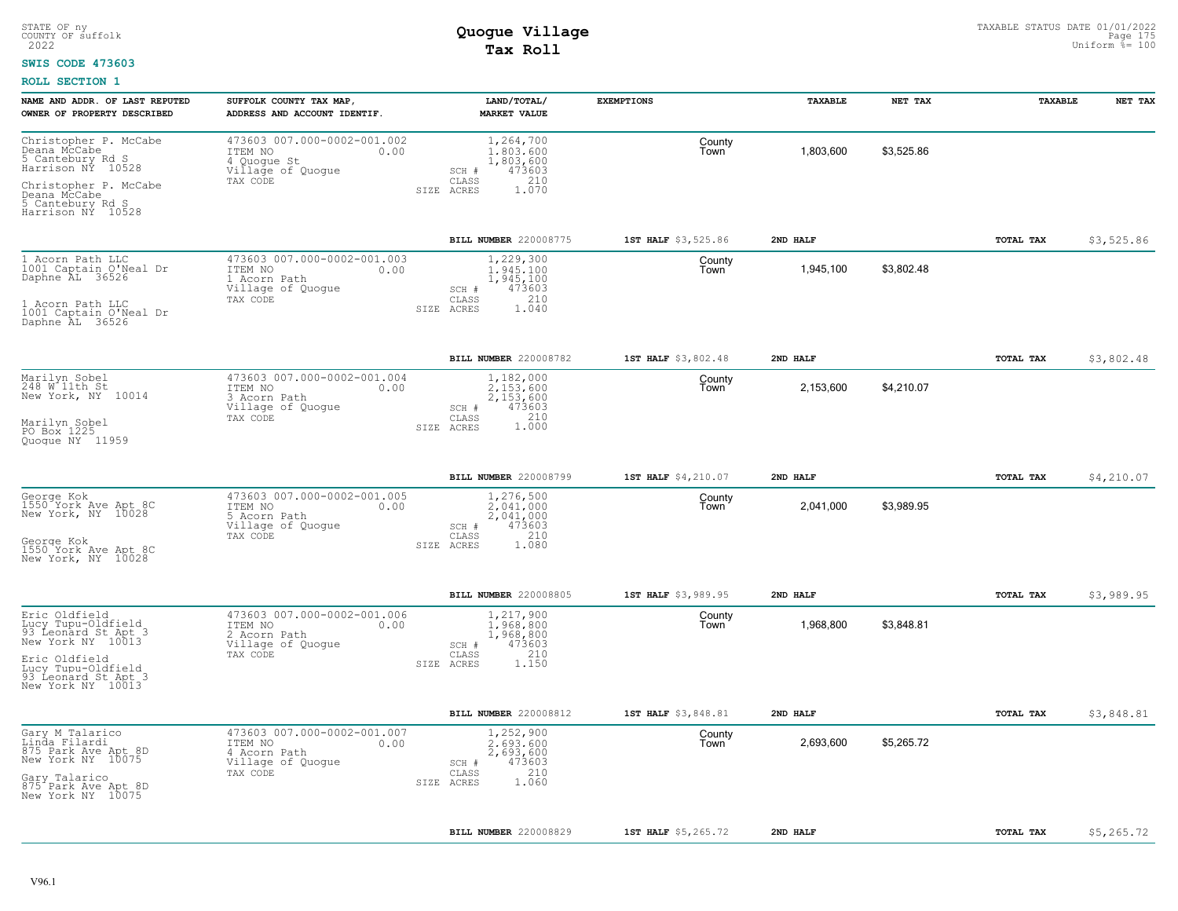### **SWIS CODE 473603**

| NAME AND ADDR. OF LAST REPUTED<br>OWNER OF PROPERTY DESCRIBED                                                           | SUFFOLK COUNTY TAX MAP,<br>ADDRESS AND ACCOUNT IDENTIF.                                         | LAND/TOTAL/<br><b>MARKET VALUE</b>                                                            | <b>EXEMPTIONS</b>   | TAXABLE   | NET TAX    | TAXABLE   | NET TAX    |
|-------------------------------------------------------------------------------------------------------------------------|-------------------------------------------------------------------------------------------------|-----------------------------------------------------------------------------------------------|---------------------|-----------|------------|-----------|------------|
| Christopher P. McCabe<br>Deana McCabe<br>5 Cantebury Rd S<br>Harrison NY 10528<br>Christopher P. McCabe<br>Deana McCabe | 473603 007.000-0002-001.002<br>ITEM NO<br>0.00<br>4 Quogue St<br>Village of Quogue<br>TAX CODE  | 1,264,700<br>1,803,600<br>1,803,600<br>473603<br>SCH #<br>210<br>CLASS<br>SIZE ACRES<br>1.070 | County<br>Town      | 1,803,600 | \$3,525.86 |           |            |
| 5 Cantebury Rd S<br>Harrison NY 10528                                                                                   |                                                                                                 |                                                                                               |                     |           |            |           |            |
|                                                                                                                         |                                                                                                 | BILL NUMBER 220008775                                                                         | 1ST HALF \$3,525.86 | 2ND HALF  |            | TOTAL TAX | \$3,525.86 |
| 1 Acorn Path LLC<br>1001 Captain O'Neal Dr<br>Daphne AL 36526                                                           | 473603 007.000-0002-001.003<br>ITEM NO<br>0.00<br>1 Acorn Path<br>Village of Quogue             | 1,229,300<br>1.945.100<br>1,945,100<br>473603<br>SCH #<br>210                                 | County<br>I own     | 1,945,100 | \$3,802.48 |           |            |
| 1 Acorn Path LLC<br>1001 Captain O'Neal Dr<br>Daphne AL 36526                                                           | TAX CODE                                                                                        | CLASS<br>SIZE ACRES<br>1.040                                                                  |                     |           |            |           |            |
|                                                                                                                         |                                                                                                 | BILL NUMBER 220008782                                                                         | 1ST HALF \$3,802.48 | 2ND HALF  |            | TOTAL TAX | \$3,802.48 |
| Marilyn Sobel<br>248 W lith St<br>New York, NY 10014                                                                    | 473603 007.000-0002-001.004<br>ITEM NO<br>0.00<br>3 Acorn Path<br>Village of Quogue<br>TAX CODE | 1,182,000<br>2.153.600<br>2,153,600<br>473603<br>SCH #<br>CLASS                               | County<br>Town      | 2,153,600 | \$4,210.07 |           |            |
| Marilyn Sobel<br>PO Box 1225<br>Quoque NY 11959                                                                         |                                                                                                 | 1.000<br>SIZE ACRES                                                                           |                     |           |            |           |            |
|                                                                                                                         |                                                                                                 | BILL NUMBER 220008799                                                                         | 1ST HALF \$4,210.07 | 2ND HALF  |            | TOTAL TAX | \$4,210.07 |
| George Kok<br>1550 York Ave Apt 8C<br>New York, NY 10028                                                                | 473603 007.000-0002-001.005<br>ITEM NO<br>0.00<br>5 Acorn Path<br>Village of Quogue             | 1,276,500<br>2.041.000<br>2,041,000<br>473603<br>SCH #                                        | County<br>Town      | 2,041,000 | \$3,989.95 |           |            |
| George Kok<br>1550 York Ave Apt 8C<br>New York, NY 10028                                                                | TAX CODE                                                                                        | 210<br>CLASS<br>1.080<br>SIZE ACRES                                                           |                     |           |            |           |            |
|                                                                                                                         |                                                                                                 | <b>BILL NUMBER 220008805</b>                                                                  | 1ST HALF \$3,989.95 | 2ND HALF  |            | TOTAL TAX | \$3,989.95 |
| Eric Oldfield<br>Lucy Tupu-Oldfield<br>93 Leonard St Apt 3<br>New York NY 10013                                         | 473603 007.000-0002-001.006<br>ITEM NO<br>0.00<br>2 Acorn Path<br>Village of Quogue             | 1,217,900<br>1,968,800<br>1,968,800<br>473603<br>SCH #                                        | County<br>Town      | 1,968,800 | \$3,848.81 |           |            |
| Eric Oldfield<br>Lucy Tupu-Oldfield<br>93 Leonard St Apt 3<br>New York NY 10013                                         | TAX CODE                                                                                        | 210<br>CLASS<br>SIZE ACRES<br>1,150                                                           |                     |           |            |           |            |
|                                                                                                                         |                                                                                                 | BILL NUMBER 220008812                                                                         | 1ST HALF \$3,848.81 | 2ND HALF  |            | TOTAL TAX | \$3,848.81 |
| Gary M Talarico<br>Linda Filardi<br>875 Park Ave Apt 8D<br>New York NY 10075                                            | 473603 007.000-0002-001.007<br>ITEM NO<br>0.00<br>4 Acorn Path<br>Village of Quogue             | 1,252,900<br>2.693.600<br>2,693,600<br>473603<br>SCH #                                        | County<br>Town      | 2,693,600 | \$5,265.72 |           |            |
| Gary Talarico<br>875 Park Ave Apt 8D<br>New York NY 10075                                                               | TAX CODE                                                                                        | 210<br>CLASS<br>1.060<br>SIZE ACRES                                                           |                     |           |            |           |            |
|                                                                                                                         |                                                                                                 | <b>BILL NUMBER 220008829</b>                                                                  | 1ST HALF \$5,265.72 | 2ND HALF  |            | TOTAL TAX | \$5,265.72 |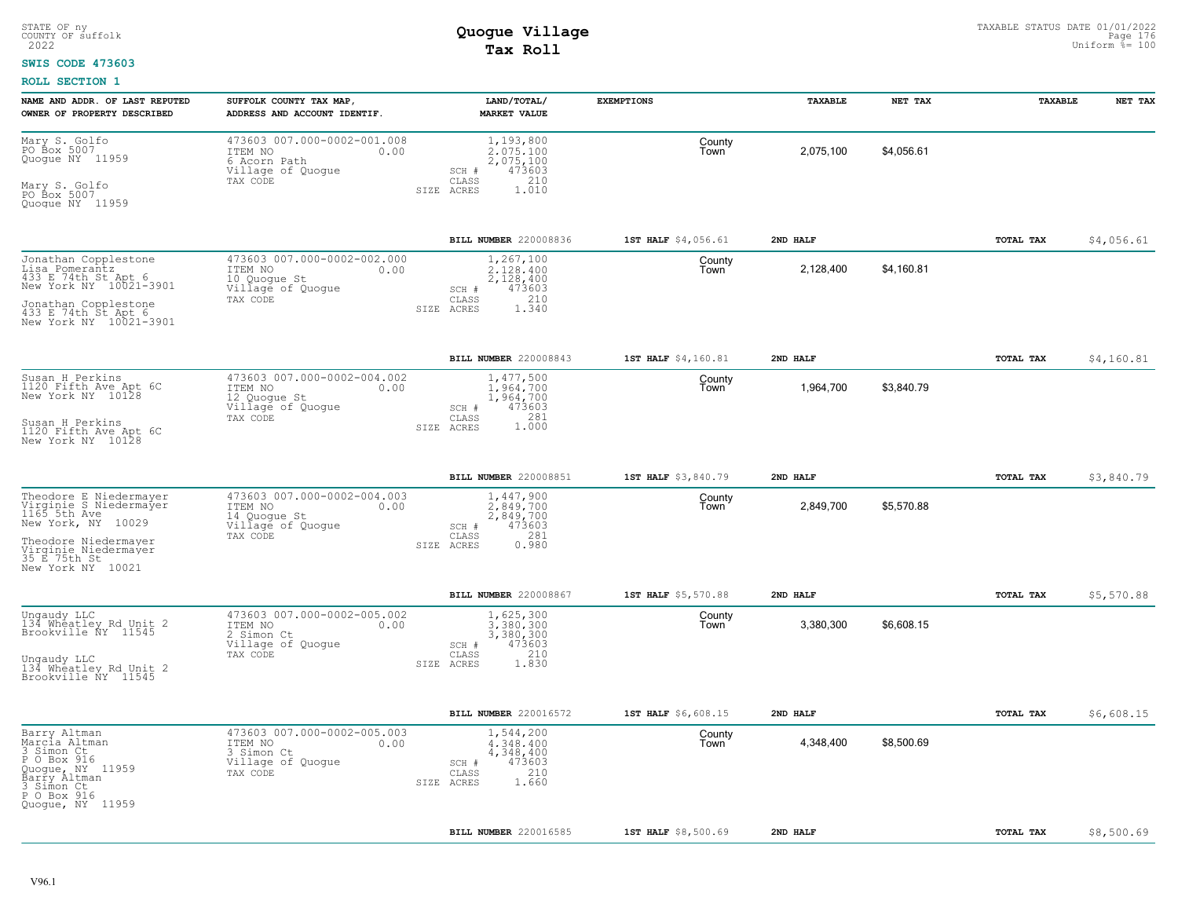### **SWIS CODE 473603**

| NAME AND ADDR. OF LAST REPUTED<br>OWNER OF PROPERTY DESCRIBED                                                                                                               | SUFFOLK COUNTY TAX MAP<br>ADDRESS AND ACCOUNT IDENTIF.                                          | LAND/TOTAL/<br><b>MARKET VALUE</b>                                                            | <b>EXEMPTIONS</b>   | TAXABLE   | NET TAX    | TAXABLE   | NET TAX    |
|-----------------------------------------------------------------------------------------------------------------------------------------------------------------------------|-------------------------------------------------------------------------------------------------|-----------------------------------------------------------------------------------------------|---------------------|-----------|------------|-----------|------------|
| Mary S. Golfo<br>PO Box 5007<br>Quoque NY 11959<br>Mary S. Golfo<br>PO Box 5007<br>Quoque NY 11959                                                                          | 473603 007.000-0002-001.008<br>ITEM NO<br>0.00<br>6 Acorn Path<br>Village of Quogue<br>TAX CODE | 1,193,800<br>2.075.100<br>2,075,100<br>473603<br>SCH #<br>CLASS<br>210<br>SIZE ACRES<br>1.010 | County<br>Town      | 2,075,100 | \$4,056.61 |           |            |
|                                                                                                                                                                             |                                                                                                 | BILL NUMBER 220008836                                                                         | 1ST HALF \$4,056.61 | 2ND HALF  |            | TOTAL TAX | \$4,056.61 |
| Jonathan Copplestone<br>Lisa Pomerantz<br>433 E 74th St Apt 6<br>New York NY 10021-3901<br>Jonathan Copplestone<br>433 E 74th St Apt 6<br>New York NY 10021-3901            | 473603 007.000-0002-002.000<br>ITEM NO<br>0.00<br>10 Quogue St<br>Village of Quogue<br>TAX CODE | 1,267,100<br>2.128.400<br>2,128,400<br>473603<br>SCH #<br>210<br>CLASS<br>1.340<br>SIZE ACRES | County<br>Town      | 2,128,400 | \$4,160.81 |           |            |
|                                                                                                                                                                             |                                                                                                 | BILL NUMBER 220008843                                                                         | 1ST HALF \$4,160.81 | 2ND HALF  |            | TOTAL TAX | \$4,160.81 |
| Susan H Perkins<br>1120 Fifth Ave Apt 6C<br>New York NY 10128<br>Susan H Perkins<br>1120 Fifth Ave Apt 6C<br>New York NY 10128                                              | 473603 007.000-0002-004.002<br>ITEM NO<br>0.00<br>12 Quogue St<br>Village of Quogue<br>TAX CODE | 1,477,500<br>1,964,700<br>1,964,700<br>SCH #<br>473603<br>CLASS<br>281<br>1.000<br>SIZE ACRES | County<br>Town      | 1,964,700 | \$3,840.79 |           |            |
|                                                                                                                                                                             |                                                                                                 | BILL NUMBER 220008851                                                                         | 1ST HALF \$3,840.79 | 2ND HALF  |            | TOTAL TAX | \$3,840.79 |
| Theodore E Niedermayer<br>Virginie S Niedermayer<br>1165 5th Ave<br>New York, NY 10029<br>Theodore Niedermayer<br>Virginie Niedermayer<br>35 E 75th St<br>New York NY 10021 | 473603 007.000-0002-004.003<br>ITEM NO<br>0.00<br>14 Quoque St<br>Village of Quogue<br>TAX CODE | 1,447,900<br>2.849.700<br>2,849,700<br>473603<br>SCH #<br>281<br>CLASS<br>0.980<br>SIZE ACRES | County<br>Town      | 2,849,700 | \$5,570.88 |           |            |
|                                                                                                                                                                             |                                                                                                 | BILL NUMBER 220008867                                                                         | 1ST HALF \$5,570.88 | 2ND HALF  |            | TOTAL TAX | \$5,570.88 |
| Ungaudy LLC<br>134 Wheatley Rd Unit 2<br>Brookville ÑY 11545<br>Ungaudy LLC<br>134 Wheatley Rd Unit 2<br>Brookville NY 11545                                                | 473603 007.000-0002-005.002<br>0.00<br>ITEM NO<br>2 Simon Ct<br>Village of Quogue<br>TAX CODE   | 1,625,300<br>3.380.300<br>3,380,300<br>473603<br>SCH #<br>210<br>CLASS<br>1.830<br>SIZE ACRES | County<br>Town      | 3,380,300 | \$6,608.15 |           |            |
|                                                                                                                                                                             |                                                                                                 | BILL NUMBER 220016572                                                                         | 1ST HALF \$6,608.15 | 2ND HALF  |            | TOTAL TAX | \$6,608.15 |
| Barry Altman<br>Marcia Altman<br>3 Simon Ct<br>P O Box 916<br>Quoque, NY 11959<br>Barry Altman<br>3 Simon Ct<br>P O Box 916<br>Quogue, NY 11959                             | 473603 007.000-0002-005.003<br>ITEM NO<br>0.00<br>3 Simon Ct<br>Village of Quogue<br>TAX CODE   | 1,544,200<br>4,348,400<br>4,348,400<br>473603<br>SCH #<br>210<br>CLASS<br>1.660<br>SIZE ACRES | County<br>Town      | 4,348,400 | \$8,500.69 |           |            |
|                                                                                                                                                                             |                                                                                                 | BILL NUMBER 220016585                                                                         | 1ST HALF \$8,500.69 | 2ND HALF  |            | TOTAL TAX | \$8,500.69 |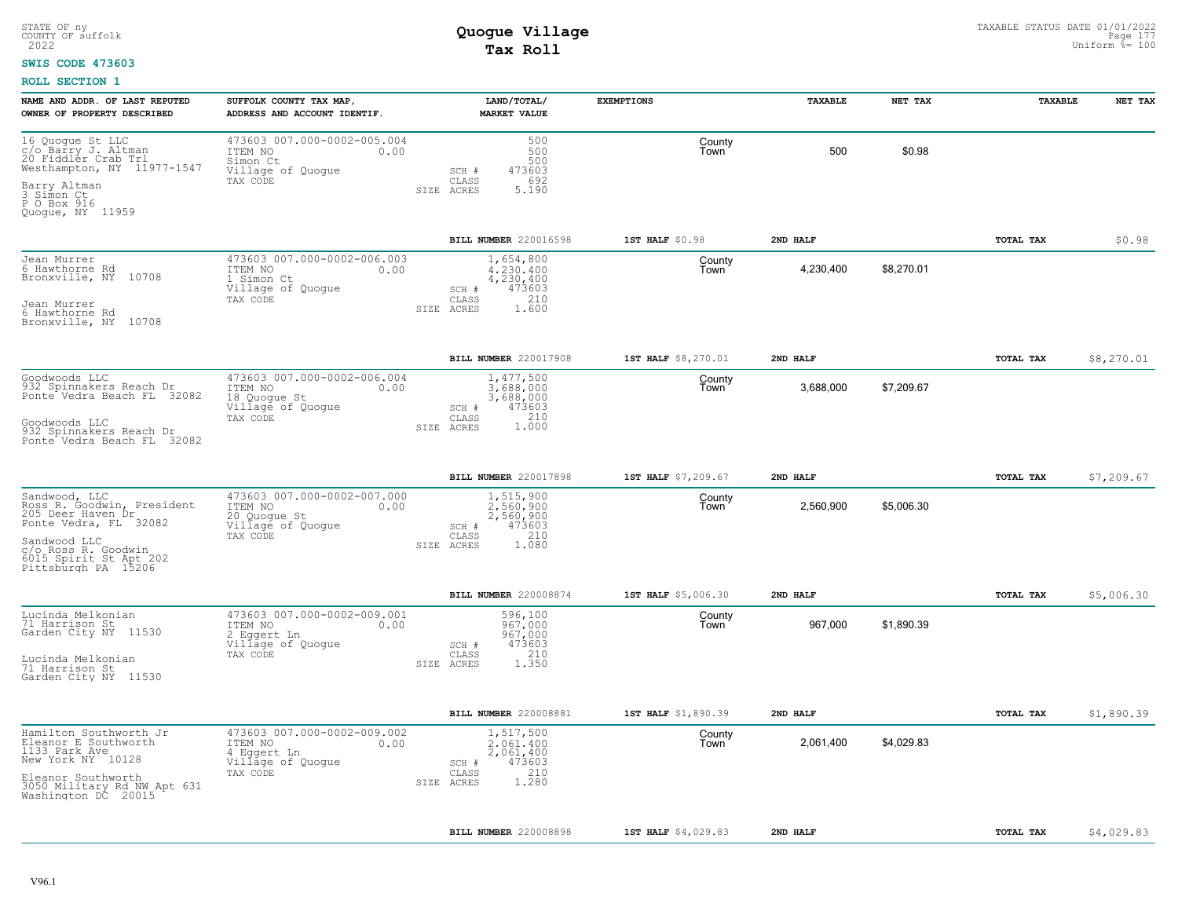### **SWIS CODE 473603**

| NAME AND ADDR. OF LAST REPUTED<br>OWNER OF PROPERTY DESCRIBED                                | SUFFOLK COUNTY TAX MAP,<br>ADDRESS AND ACCOUNT IDENTIF.                                         | LAND/TOTAL/<br><b>MARKET VALUE</b>                                     | <b>EXEMPTIONS</b>   | <b>TAXABLE</b> | NET TAX    | <b>TAXABLE</b>   | NET TAX    |
|----------------------------------------------------------------------------------------------|-------------------------------------------------------------------------------------------------|------------------------------------------------------------------------|---------------------|----------------|------------|------------------|------------|
| 16 Quogue St LLC<br>c/o Barry J. Altman<br>20 Fiddler Crab Trl<br>Westhampton, NY 11977-1547 | 473603 007.000-0002-005.004<br>ITEM NO<br>0.00<br>Simon Ct<br>Village of Quogue                 | 500<br>500<br>500<br>473603<br>SCH #<br>692                            | County<br>Town      | 500            | \$0.98     |                  |            |
| Barry Altman<br>3 Simon Ct<br>P O Box 916<br>Quoque, NY 11959                                | TAX CODE                                                                                        | CLASS<br>5.190<br>SIZE ACRES                                           |                     |                |            |                  |            |
|                                                                                              |                                                                                                 | BILL NUMBER 220016598                                                  | 1ST HALF \$0.98     | 2ND HALF       |            | TOTAL TAX        | \$0.98     |
| Jean Murrer<br>6 Hawthorne Rd<br>Bronxville, NY 10708                                        | 473603 007.000-0002-006.003<br>ITEM NO<br>0.00<br>1 Simon Ct<br>Village of Quogue<br>TAX CODE   | 1,654,800<br>4,230,400<br>4,230,400<br>473603<br>SCH #<br>210<br>CLASS | County<br>Town      | 4,230,400      | \$8,270.01 |                  |            |
| Jean Murrer<br>6 Hawthorne Rd<br>10708<br>Bronxville, NY                                     |                                                                                                 | SIZE ACRES<br>1.600                                                    |                     |                |            |                  |            |
|                                                                                              |                                                                                                 | BILL NUMBER 220017908                                                  | 1ST HALF \$8,270.01 | 2ND HALF       |            | TOTAL TAX        | \$8,270.01 |
| Goodwoods LLC<br>932 Spinnakers Reach Dr<br>Ponte Vedra Beach FL 32082                       | 473603 007.000-0002-006.004<br>ITEM NO<br>0.00<br>18 Quoque St<br>Village of Quogue<br>TAX CODE | 1,477,500<br>3,688,000<br>3,688,000<br>473603<br>SCH #<br>CLASS        | County<br>Town      | 3,688,000      | \$7,209.67 |                  |            |
| Goodwoods LLC<br>932 Spinnakers Reach Dr<br>Ponte Vedra Beach FL 32082                       |                                                                                                 | 1.000<br>SIZE ACRES                                                    |                     |                |            |                  |            |
|                                                                                              |                                                                                                 | BILL NUMBER 220017898                                                  | 1ST HALF \$7,209.67 | 2ND HALF       |            | TOTAL TAX        | \$7,209.67 |
| Sandwood, LLC<br>Ross R. Goodwin, President<br>205 Deer Haven Dr<br>Ponte Vedra, FL 32082    | 473603 007.000-0002-007.000<br>ITEM NO<br>0.00<br>20 Quogue St<br>Village of Quogue<br>TAX CODE | 1,515,900<br>2.560.900<br>2,560,900<br>473603<br>SCH #<br>210<br>CLASS | County<br>Town      | 2,560,900      | \$5,006.30 |                  |            |
| Sandwood LLC<br>c/o Ross R. Goodwin<br>6015 Spirit St Apt 202<br>Pittsburgh PA 15206         |                                                                                                 | SIZE ACRES<br>1.080                                                    |                     |                |            |                  |            |
|                                                                                              |                                                                                                 | BILL NUMBER 220008874                                                  | 1ST HALF \$5,006.30 | 2ND HALF       |            | TOTAL TAX        | \$5,006.30 |
| Lucinda Melkonian<br>71 Harrison St<br>Garden City NY 11530                                  | 473603 007.000-0002-009.001<br>ITEM NO<br>0.00<br>2 Eggert Ln<br>Village of Quogue              | 596,100<br>967,000<br>967,000<br>473603<br>SCH #                       | County<br>Town      | 967,000        | \$1,890.39 |                  |            |
| Lucinda Melkonian<br>71 Harrison St<br>Garden City NY 11530                                  | TAX CODE                                                                                        | 210<br>CLASS<br>1.350<br>SIZE ACRES                                    |                     |                |            |                  |            |
|                                                                                              |                                                                                                 | BILL NUMBER 220008881                                                  | 1ST HALF \$1,890.39 | 2ND HALF       |            | TOTAL TAX        | \$1,890.39 |
| Hamilton Southworth Jr<br>Eleanor E Southworth<br>1133 Park Ave<br>New York NY 10128         | 473603 007.000-0002-009.002<br>ITEM NO<br>0.00<br>4 Eggert Ln<br>Village of Quogue<br>TAX CODE  | 1,517,500<br>2.061.400<br>2,061,400<br>473603<br>SCH #<br>210<br>CLASS | County<br>Town      | 2,061,400      | \$4,029.83 |                  |            |
| Eleanor Southworth<br>3050 Military Rd NW Apt 631<br>Washington DC 20015                     |                                                                                                 | 1.280<br>SIZE ACRES                                                    |                     |                |            |                  |            |
|                                                                                              |                                                                                                 | <b>BILL NUMBER 220008898</b>                                           | 1ST HALF \$4,029.83 | 2ND HALF       |            | <b>TOTAL TAX</b> | \$4,029.83 |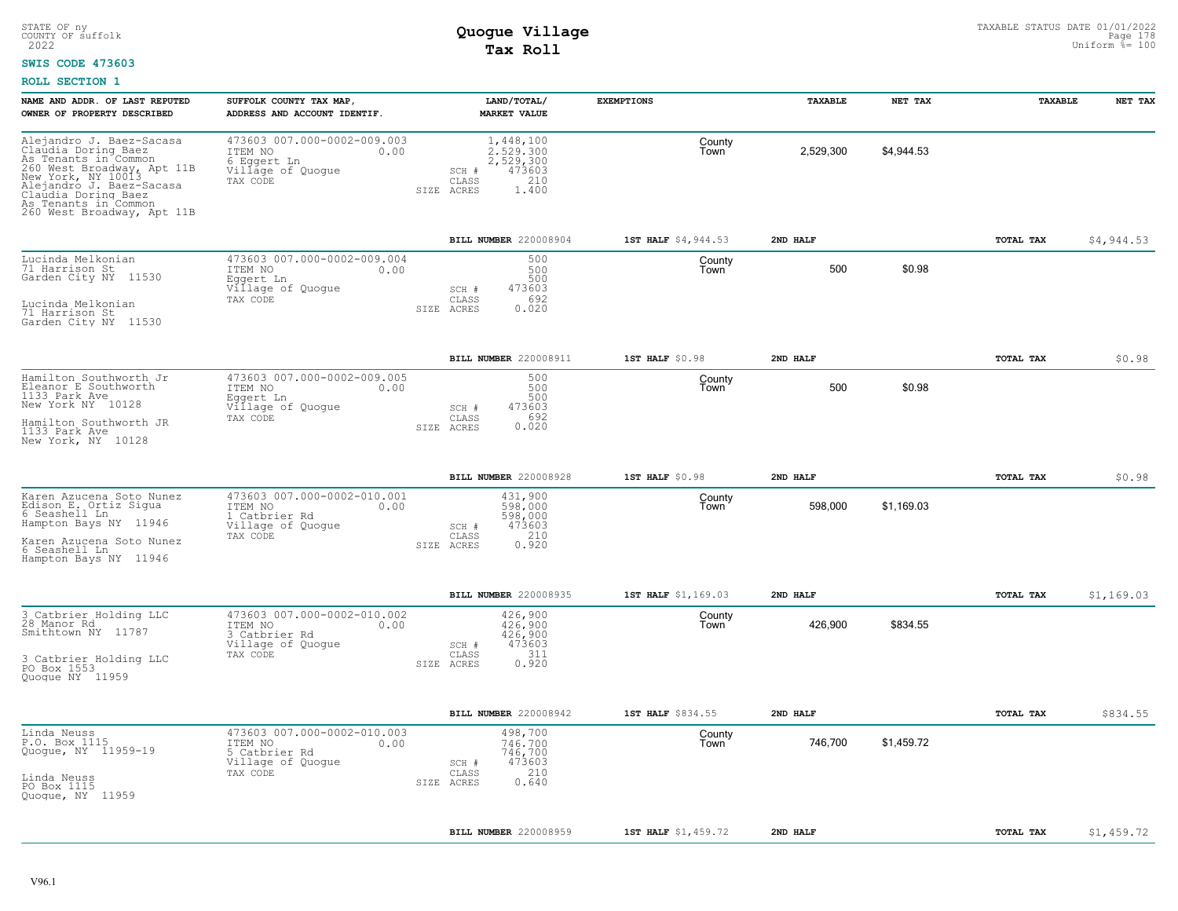### **SWIS CODE 473603**

| NAME AND ADDR. OF LAST REPUTED<br>OWNER OF PROPERTY DESCRIBED                                                                                                                                                                        | SUFFOLK COUNTY TAX MAP,<br>ADDRESS AND ACCOUNT IDENTIF.                                          | LAND/TOTAL/<br><b>MARKET VALUE</b>                                                            | <b>EXEMPTIONS</b>   | TAXABLE   | NET TAX    | <b>TAXABLE</b>   | NET TAX    |
|--------------------------------------------------------------------------------------------------------------------------------------------------------------------------------------------------------------------------------------|--------------------------------------------------------------------------------------------------|-----------------------------------------------------------------------------------------------|---------------------|-----------|------------|------------------|------------|
| Alejandro J. Baez-Sacasa<br>Claudia Doring Baez<br>As Tenants in Common<br>260 West Broadway, Apt 11B<br>New York, NY 10013<br>Alejandro J. Baez-Sacasa<br>Claudia Doring Baez<br>As Tenants in Common<br>260 West Broadway, Apt 11B | 473603 007.000-0002-009.003<br>ITEM NO<br>0.00<br>6 Eggert Ln<br>Village of Quogue<br>TAX CODE   | 1,448,100<br>2.529.300<br>2,529,300<br>473603<br>SCH #<br>210<br>CLASS<br>SIZE ACRES<br>1,400 | County<br>Town      | 2,529,300 | \$4,944.53 |                  |            |
|                                                                                                                                                                                                                                      |                                                                                                  | BILL NUMBER 220008904                                                                         | 1ST HALF \$4,944.53 | 2ND HALF  |            | TOTAL TAX        | \$4,944.53 |
| Lucinda Melkonian<br>71 Harrison St<br>Garden City NY 11530<br>Lucinda Melkonian<br>71 Harrison St<br>Garden City NY 11530                                                                                                           | 473603 007.000-0002-009.004<br>0.00<br>ITEM NO<br>Eqqert Ln<br>Village of Quogue<br>TAX CODE     | 500<br>500<br>500<br>473603<br>SCH #<br>CLASS<br>692<br>0.020<br>SIZE ACRES                   | County<br>Town      | 500       | \$0.98     |                  |            |
|                                                                                                                                                                                                                                      |                                                                                                  | BILL NUMBER 220008911                                                                         | 1ST HALF \$0.98     | 2ND HALF  |            | TOTAL TAX        | \$0.98     |
| Hamilton Southworth Jr<br>Eleanor E Southworth<br>1133 Park Ave<br>New York NY 10128<br>Hamilton Southworth JR<br>1133 Park Ave<br>New York, NY 10128                                                                                | 473603 007.000-0002-009.005<br>ITEM NO<br>0.00<br>Eggert Ln<br>Village of Quogue<br>TAX CODE     | 500<br>500<br>500<br>473603<br>SCH #<br>692<br>CLASS<br>0.020<br>SIZE ACRES                   | County<br>Town      | 500       | \$0.98     |                  |            |
|                                                                                                                                                                                                                                      |                                                                                                  | BILL NUMBER 220008928                                                                         | $1ST$ HALF $$0.98$  | 2ND HALF  |            | TOTAL TAX        | \$0.98     |
| Karen Azucena Soto Nunez<br>Edison E. Ortiz Sigua<br>6 Seashell Ln<br>Hampton Bays NY 11946<br>Karen Azucena Soto Nunez<br>6 Seashell Ln<br>Hampton Bays NY 11946                                                                    | 473603 007.000-0002-010.001<br>ITEM NO<br>0.00<br>1 Catbrier Rd<br>Village of Quogue<br>TAX CODE | 431,900<br>598,000<br>598,000<br>473603<br>SCH #<br>210<br>CLASS<br>0.920<br>SIZE ACRES       | County<br>Town      | 598,000   | \$1,169.03 |                  |            |
|                                                                                                                                                                                                                                      |                                                                                                  | BILL NUMBER 220008935                                                                         | 1ST HALF \$1,169.03 | 2ND HALF  |            | TOTAL TAX        | \$1,169.03 |
| 3 Catbrier Holding LLC<br>28 Manor Rd<br>Smithtown NY 11787<br>3 Catbrier Holding LLC<br>PO Box 1553<br>Quoque NY 11959                                                                                                              | 473603 007.000-0002-010.002<br>ITEM NO<br>0.00<br>3 Catbrier Rd<br>Village of Quogue<br>TAX CODE | 426,900<br>426.900<br>426,900<br>473603<br>SCH #<br>311<br>CLASS<br>0.920<br>SIZE ACRES       | County<br>Town      | 426,900   | \$834.55   |                  |            |
|                                                                                                                                                                                                                                      |                                                                                                  | BILL NUMBER 220008942                                                                         | 1ST HALF \$834.55   | 2ND HALF  |            | <b>TOTAL TAX</b> | \$834.55   |
| Linda Neuss<br>P.O. Box 1115<br>Quogue, NY 11959-19<br>Linda Neuss<br>PO Box 1115<br>Quoque, NY 11959                                                                                                                                | 473603 007.000-0002-010.003<br>ITEM NO<br>0.00<br>5 Catbrier Rd<br>Village of Quogue<br>TAX CODE | 498,700<br>746,700<br>746,700<br>473603<br>SCH #<br>210<br>CLASS<br>0.640<br>SIZE ACRES       | County<br>Town      | 746,700   | \$1,459.72 |                  |            |
|                                                                                                                                                                                                                                      |                                                                                                  | BILL NUMBER 220008959                                                                         | 1ST HALF \$1,459.72 | 2ND HALF  |            | TOTAL TAX        | \$1,459.72 |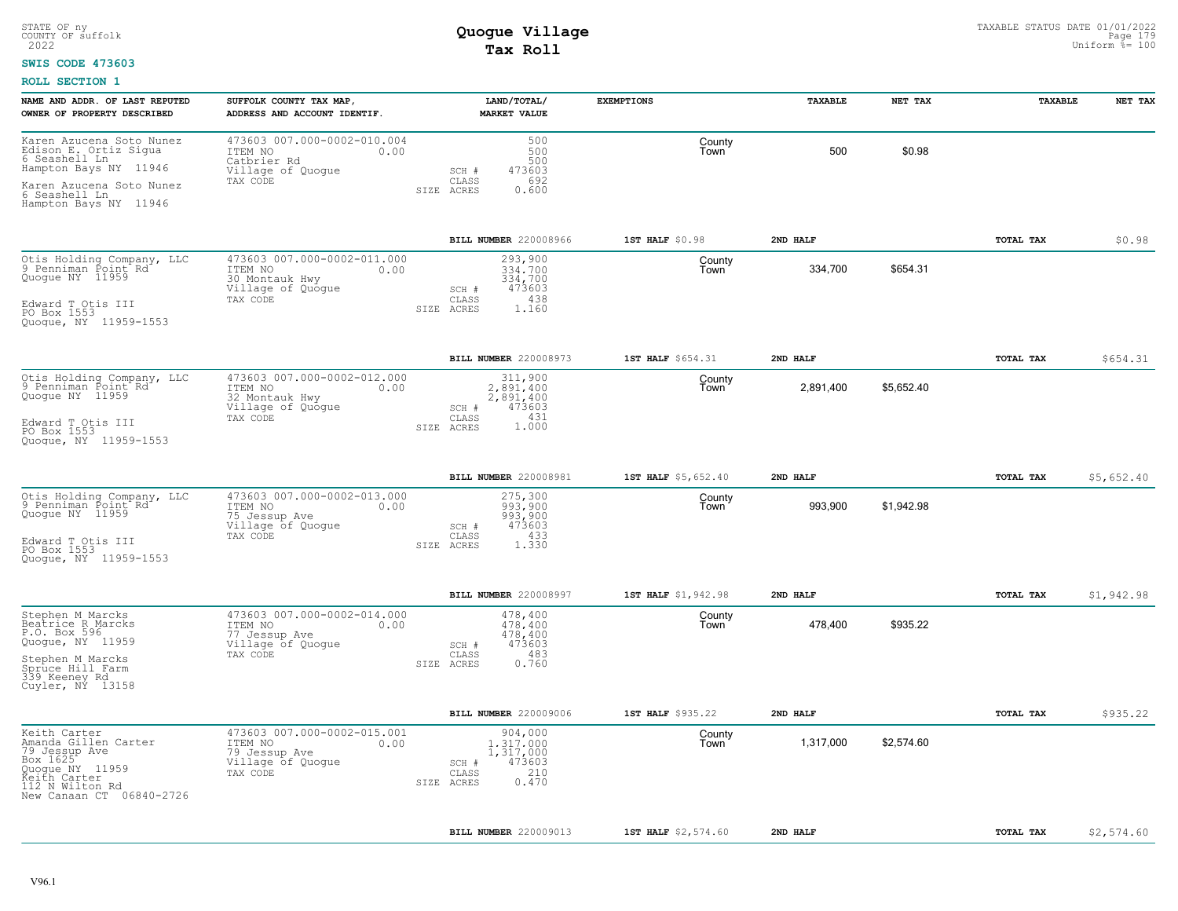### **SWIS CODE 473603**

| NAME AND ADDR. OF LAST REPUTED<br>OWNER OF PROPERTY DESCRIBED                                                                                                     | SUFFOLK COUNTY TAX MAP,<br>ADDRESS AND ACCOUNT IDENTIF.                                           | LAND/TOTAL/<br>MARKET VALUE                                                                                          | <b>EXEMPTIONS</b>                   | TAXABLE               | NET TAX    | TAXABLE          | NET TAX    |
|-------------------------------------------------------------------------------------------------------------------------------------------------------------------|---------------------------------------------------------------------------------------------------|----------------------------------------------------------------------------------------------------------------------|-------------------------------------|-----------------------|------------|------------------|------------|
| Karen Azucena Soto Nunez<br>Edison E. Ortiz Sigua<br>6 Seashell Ln<br>Hampton Bays NY 11946<br>Karen Azucena Soto Nunez<br>6 Seashell Ln<br>Hampton Bays NY 11946 | 473603 007.000-0002-010.004<br>ITEM NO<br>0.00<br>Catbrier Rd<br>Village of Quogue<br>TAX CODE    | 500<br>500<br>500<br>473603<br>SCH #<br>692<br>CLASS<br>SIZE ACRES<br>0.600                                          | County<br>Town                      | 500                   | \$0.98     |                  |            |
|                                                                                                                                                                   |                                                                                                   | BILL NUMBER 220008966                                                                                                | 1ST HALF \$0.98                     | 2ND HALF              |            | <b>TOTAL TAX</b> | \$0.98     |
| Otis Holding Company, LLC<br>9 Penniman Point Rd<br>Quogue NY 11959<br>Edward T Otis III<br>PO Box 1553                                                           | 473603 007.000-0002-011.000<br>ITEM NO<br>0.00<br>30 Montauk Hwy<br>Village of Quoque<br>TAX CODE | 293,900<br>334,700<br>334,700<br>473603<br>SCH #<br>438<br>CLASS<br>SIZE ACRES<br>1.160                              | County<br>Town                      | 334,700               | \$654.31   |                  |            |
| Quogue, NY 11959-1553                                                                                                                                             |                                                                                                   |                                                                                                                      |                                     |                       |            |                  |            |
| Otis Holding Company, LLC<br>9 Penniman Point Rd<br>Quogue NY 11959<br>Edward T Otis III<br>PO Box 1553<br>Quoque, NY 11959-1553                                  | 473603 007.000-0002-012.000<br>ITEM NO<br>0.00<br>32 Montauk Hwy<br>Village of Quogue<br>TAX CODE | BILL NUMBER 220008973<br>311,900<br>2,891,400<br>2,891,400<br>473603<br>SCH #<br>CLASS<br>431<br>1,000<br>SIZE ACRES | 1ST HALF \$654.31<br>County<br>Town | 2ND HALF<br>2,891,400 | \$5,652.40 | TOTAL TAX        | \$654.31   |
|                                                                                                                                                                   |                                                                                                   | BILL NUMBER 220008981                                                                                                | 1ST HALF \$5,652.40                 | 2ND HALF              |            | <b>TOTAL TAX</b> | \$5,652.40 |
| Otis Holding Company, LLC<br>9 Penniman Point Rd<br>Quoque NY 11959<br>Edward T Otis III<br>PO Box 1553<br>Quoque, NY 11959-1553                                  | 473603 007.000-0002-013.000<br>ITEM NO<br>0.00<br>75 Jessup Ave<br>Village of Quogue<br>TAX CODE  | 275,300<br>993,900<br>993,900<br>473603<br>SCH #<br>433<br>CLASS<br>SIZE ACRES<br>1.330                              | County<br>Town                      | 993,900               | \$1,942.98 |                  |            |
|                                                                                                                                                                   |                                                                                                   | BILL NUMBER 220008997                                                                                                | 1ST HALF \$1,942.98                 | 2ND HALF              |            | TOTAL TAX        | \$1,942.98 |
| Stephen M Marcks<br>Beatrice R Marcks<br>P.O. Box 596<br>Quogue, NY 11959<br>Stephen M Marcks<br>Spruce Hill Farm<br>339 Keeney Rd<br>Cuyler, NY 13158            | 473603 007.000-0002-014.000<br>ITEM NO<br>0.00<br>77 Jessup Ave<br>Village of Quogue<br>TAX CODE  | 478,400<br>478,400<br>478,400<br>473603<br>SCH #<br>483<br>CLASS<br>0.760<br>SIZE ACRES                              | County<br>Town                      | 478,400               | \$935.22   |                  |            |
|                                                                                                                                                                   |                                                                                                   | BILL NUMBER 220009006                                                                                                | 1ST HALF \$935.22                   | 2ND HALF              |            | TOTAL TAX        | \$935.22   |
| Keith Carter<br>Amanda Gillen Carter<br>79 Jessup Ave<br>Box 1625<br>Quogue NY 11959<br>Reith Carter<br>112 N Wilton Rd<br>New Canaan CT 06840-2726               | 473603 007.000-0002-015.001<br>ITEM NO<br>0.00<br>79 Jessup Ave<br>Village of Quoque<br>TAX CODE  | 904,000<br>1,317,000<br>1,317,000<br>473603<br>SCH #<br>210<br>CLASS<br>0.470<br>SIZE ACRES                          | County<br>Town                      | 1,317,000             | \$2,574.60 |                  |            |
|                                                                                                                                                                   |                                                                                                   | BILL NUMBER 220009013                                                                                                | 1ST HALF \$2,574.60                 | 2ND HALF              |            | <b>TOTAL TAX</b> | \$2,574.60 |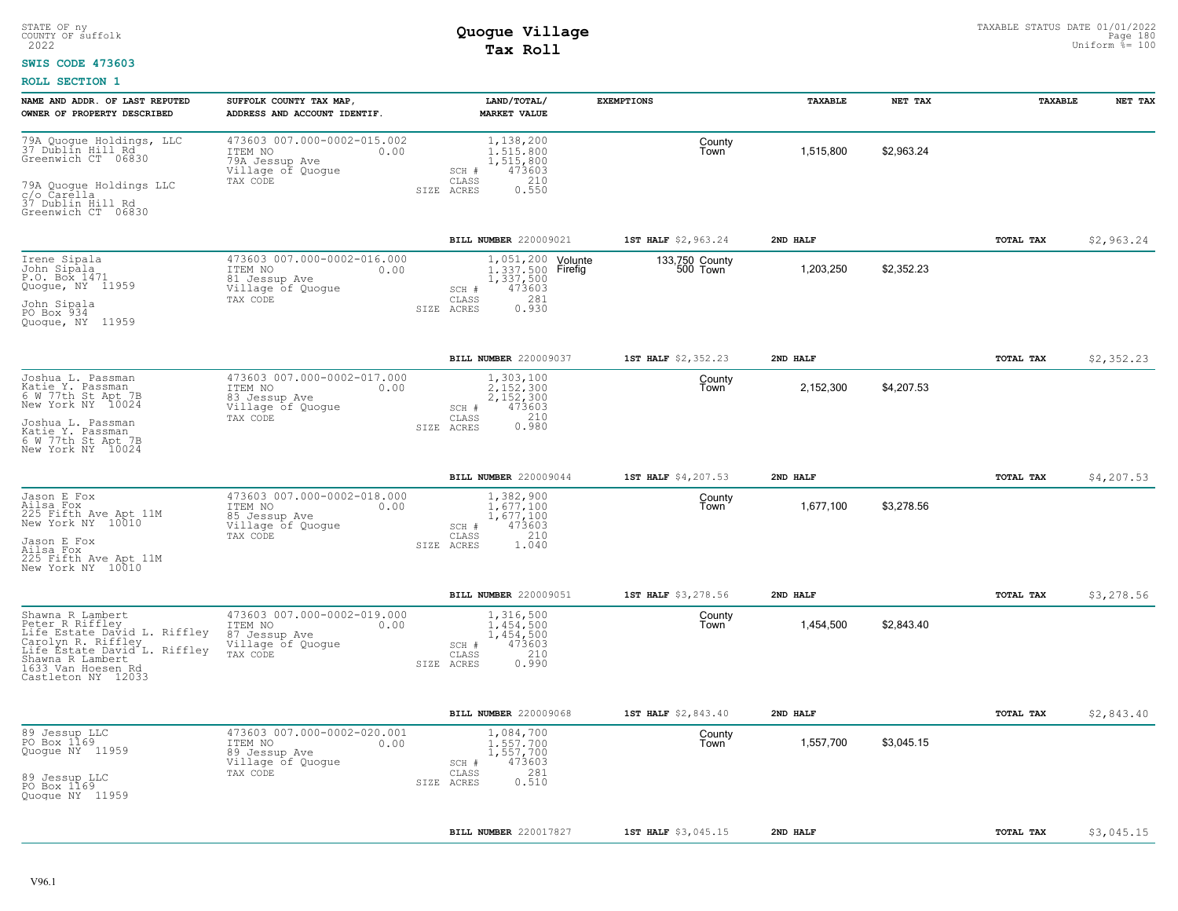### **SWIS CODE 473603**

| NAME AND ADDR. OF LAST REPUTED                                                                                                                                                            | SUFFOLK COUNTY TAX MAP,                                                                                                           | LAND/TOTAL/                                                                                                          | <b>EXEMPTIONS</b>          | <b>TAXABLE</b> | NET TAX    | TAXABLE   | NET TAX    |
|-------------------------------------------------------------------------------------------------------------------------------------------------------------------------------------------|-----------------------------------------------------------------------------------------------------------------------------------|----------------------------------------------------------------------------------------------------------------------|----------------------------|----------------|------------|-----------|------------|
| OWNER OF PROPERTY DESCRIBED<br>79A Quoque Holdings, LLC<br>37 Dũblín Hill Rd<br>Greenwich CT 06830<br>79A Quoque Holdings LLC                                                             | ADDRESS AND ACCOUNT IDENTIF.<br>473603 007.000-0002-015.002<br>ITEM NO<br>0.00<br>79A Jessup Ave<br>Village of Quogue<br>TAX CODE | <b>MARKET VALUE</b><br>1,138,200<br>1,515,800<br>1,515,800<br>473603<br>SCH #<br>CLASS<br>210<br>0.550<br>SIZE ACRES | County<br>Town             | 1,515,800      | \$2,963.24 |           |            |
| c/o Čarella<br>37 Dublin Hill Rd<br>Greenwich CT 06830                                                                                                                                    |                                                                                                                                   |                                                                                                                      |                            |                |            |           |            |
|                                                                                                                                                                                           |                                                                                                                                   | BILL NUMBER 220009021                                                                                                | 1ST HALF \$2,963.24        | 2ND HALF       |            | TOTAL TAX | \$2,963.24 |
| Irene Sipala<br>John Sipala<br>P.0. Box.1471<br>Quogue, NY 11959<br>John Sipala<br>PO Box 934<br>Quogue, NY 11959                                                                         | 473603 007.000-0002-016.000<br>ITEM NO<br>0.00<br>81 Jessup Ave<br>Village of Quogue<br>TAX CODE                                  | 1,051,200<br>Volunte<br>1, 337, 500 Firefig<br>1, 337, 500<br>473603<br>SCH #<br>281<br>CLASS<br>0.930<br>SIZE ACRES | 133,750 County<br>500 Town | 1,203,250      | \$2,352.23 |           |            |
|                                                                                                                                                                                           |                                                                                                                                   | BILL NUMBER 220009037                                                                                                | 1ST HALF \$2,352.23        | 2ND HALF       |            | TOTAL TAX | \$2,352.23 |
| Joshua L. Passman<br>Katie Y. Passman<br>6 W 77th St Apt 7B<br>New York NY 10024                                                                                                          | 473603 007.000-0002-017.000<br>0.00<br>ITEM NO<br>83 Jessup Ave<br>Village of Quogue<br>TAX CODE                                  | 1,303,100<br>2.152.300<br>2,152,300<br>473603<br>SCH #<br>210<br>CLASS                                               | County<br>Town             | 2,152,300      | \$4,207.53 |           |            |
| Joshua L. Passman<br>Katie Y. Passman<br>6 W 77th St Apt 7B<br>New York NY 10024                                                                                                          |                                                                                                                                   | 0.980<br>SIZE ACRES                                                                                                  |                            |                |            |           |            |
|                                                                                                                                                                                           |                                                                                                                                   | BILL NUMBER 220009044                                                                                                | 1ST HALF \$4,207.53        | 2ND HAT.F      |            | TOTAL TAX | \$4,207.53 |
| Jason E Fox<br>Ailsa Fox<br>225 Fifth Ave Apt 11M<br>New York NY 10010<br>Jason E Fox<br>Ailsa Fox<br>225 Fifth Ave Apt 11M<br>New York NY 10010                                          | 473603 007.000-0002-018.000<br>ITEM NO<br>0.00<br>85 Jessup Ave<br>Village of Quogue<br>TAX CODE                                  | 1,382,900<br>1.677.100<br>1,677,100<br>SCH #<br>473603<br>210<br>CLASS<br>SIZE ACRES<br>1.040                        | County<br>Town             | 1,677,100      | \$3,278.56 |           |            |
|                                                                                                                                                                                           |                                                                                                                                   | BILL NUMBER 220009051                                                                                                | 1ST HALF \$3,278.56        | 2ND HALF       |            | TOTAL TAX | \$3,278.56 |
| Shawna R Lambert<br>Peter R Riffley<br>Life Estate David L. Riffley<br>Carolyn R. Riffley<br>Life Estate David L. Riffley<br>Shawna R Lambert<br>1633 Van Hoesen Rd<br>Castleton NY 12033 | 473603 007.000-0002-019.000<br>0.00<br>ITEM NO<br>87 Jessup Ave<br>Village of Quogue<br>TAX CODE                                  | 1,316,500<br>1.454.500<br>1,454,500<br>473603<br>$SCH$ $#$<br>210<br>CLASS<br>0.990<br>SIZE ACRES                    | County<br>Town             | 1,454,500      | \$2,843.40 |           |            |
|                                                                                                                                                                                           |                                                                                                                                   | BILL NUMBER 220009068                                                                                                | 1ST HALF \$2,843.40        | 2ND HALF       |            | TOTAL TAX | \$2,843.40 |
| 89 Jessup LLC<br>PO Box 1169<br>Quogue NY 11959<br>89 Jessup LLC<br>PO Box 1169<br>Quoque NY 11959                                                                                        | 473603 007.000-0002-020.001<br>0.00<br>ITEM NO<br>89 Jessup Ave<br>Village of Quogue<br>TAX CODE                                  | 1,084,700<br>1,557,700<br>1,557,700<br>473603<br>SCH #<br>281<br>CLASS<br>0.510<br>SIZE ACRES                        | County<br>Town             | 1,557,700      | \$3,045.15 |           |            |
|                                                                                                                                                                                           |                                                                                                                                   |                                                                                                                      |                            |                |            |           |            |
|                                                                                                                                                                                           |                                                                                                                                   | BILL NUMBER 220017827                                                                                                | 1ST HALF \$3,045.15        | 2ND HALF       |            | TOTAL TAX | \$3,045.15 |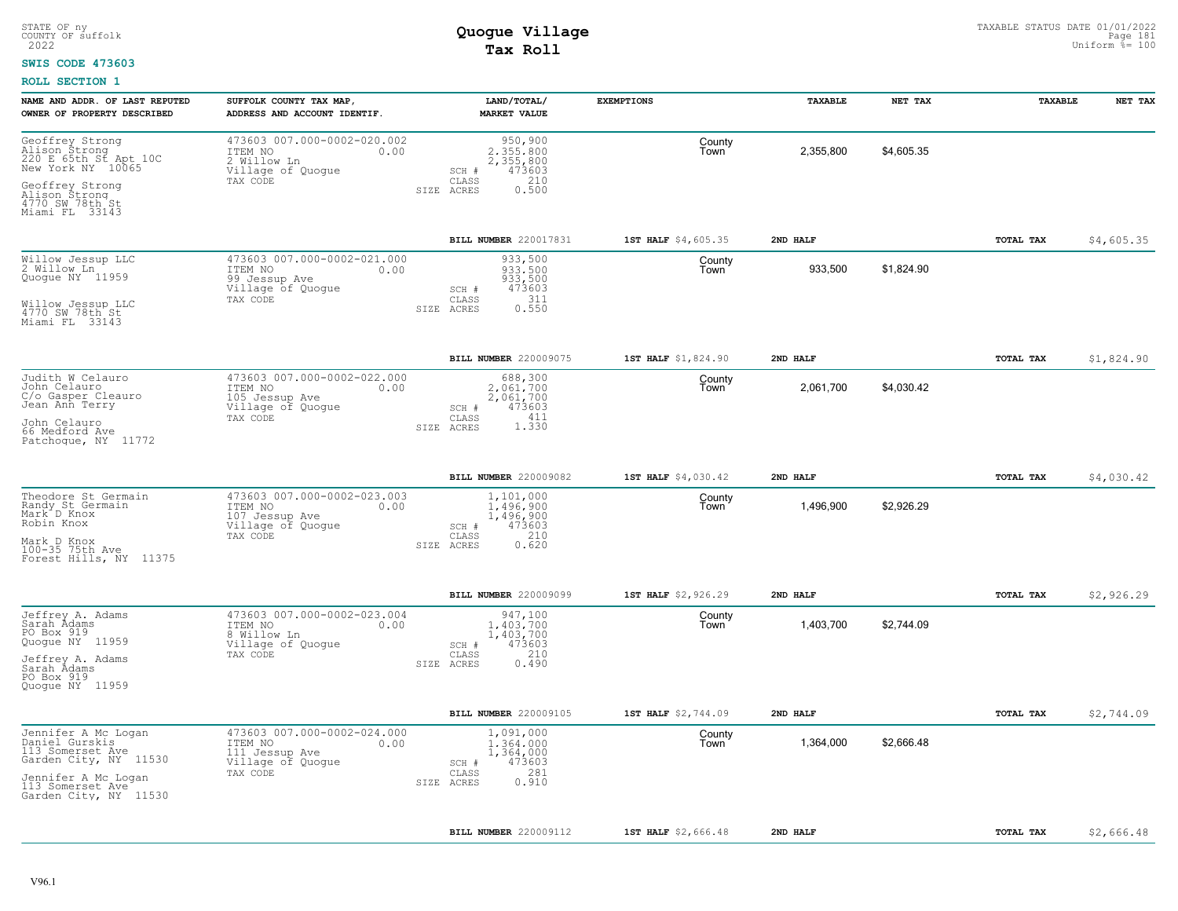#### **SWIS CODE 473603**

| NAME AND ADDR. OF LAST REPUTED<br>OWNER OF PROPERTY DESCRIBED                                     | SUFFOLK COUNTY TAX MAP,<br>ADDRESS AND ACCOUNT IDENTIF.                                           | LAND/TOTAL/<br><b>MARKET VALUE</b>                                                              | <b>EXEMPTIONS</b>   | TAXABLE   | NET TAX    | TAXABLE   | NET TAX    |
|---------------------------------------------------------------------------------------------------|---------------------------------------------------------------------------------------------------|-------------------------------------------------------------------------------------------------|---------------------|-----------|------------|-----------|------------|
| Geoffrey Strong<br>Alison Strong<br>220 E 65th St Apt 10C<br>New York NY 10065<br>Geoffrey Strong | 473603 007.000-0002-020.002<br>ITEM NO<br>0.00<br>2 Willow Ln<br>Village of Quogue<br>TAX CODE    | 950,900<br>2.355.800<br>2,355,800<br>473603<br>$SCH$ $#$<br>210<br>CLASS<br>0.500<br>SIZE ACRES | County<br>Town      | 2,355,800 | \$4,605.35 |           |            |
| Alison Strong<br>4770 SW 78th St<br>Miami FL 33143                                                |                                                                                                   |                                                                                                 |                     |           |            |           |            |
|                                                                                                   |                                                                                                   | BILL NUMBER 220017831                                                                           | 1ST HALF \$4,605.35 | 2ND HALF  |            | TOTAL TAX | \$4,605.35 |
| Willow Jessup LLC<br>2 Willow Ln<br>Quoque NY 11959                                               | 473603 007.000-0002-021.000<br>ITEM NO<br>0.00<br>99 Jessup Ave<br>Village of Quogue<br>TAX CODE  | 933,500<br>933,500<br>933,500<br>473603<br>SCH #<br>311<br>CLASS                                | County<br>Town      | 933,500   | \$1,824.90 |           |            |
| Willow Jessup LLC<br>4770 SW 78th St<br>Miami FL 33143                                            |                                                                                                   | 0.550<br>ACRES<br>SIZE                                                                          |                     |           |            |           |            |
|                                                                                                   |                                                                                                   | <b>BILL NUMBER 220009075</b>                                                                    | 1ST HALF \$1,824.90 | 2ND HALF  |            | TOTAL TAX | \$1,824.90 |
| Judith W Celauro<br>John Celauro<br>C/o Gasper Cleauro<br>Jean Ann Terry                          | 473603 007.000-0002-022.000<br>ITEM NO<br>0.00<br>105 Jessup Ave<br>Village of Quogue             | 688,300<br>2.061.700<br>2,061,700<br>SCH #<br>473603                                            | County<br>Town      | 2,061,700 | \$4,030.42 |           |            |
| John Celauro<br>66 Medford Ave<br>Patchoque, NY 11772                                             | TAX CODE                                                                                          | 411<br>CLASS<br>1.330<br>SIZE ACRES                                                             |                     |           |            |           |            |
|                                                                                                   |                                                                                                   | BILL NUMBER 220009082                                                                           | 1ST HALF \$4,030.42 | 2ND HALF  |            | TOTAL TAX | \$4,030.42 |
| Theodore St Germain<br>Randy St Germain<br>Mark D Knox<br>Robin Knox                              | 473603 007.000-0002-023.003<br>ITEM NO<br>0.00<br>107 Jessup Ave<br>Village of Quoque<br>TAX CODE | 1,101,000<br>1.496.900<br>1,496,900<br>473603<br>SCH #<br>210<br>CLASS                          | County<br>Town      | 1,496,900 | \$2,926.29 |           |            |
| Mark D Knox<br>100-35 75th Ave<br>Forest Hills, NY 11375                                          |                                                                                                   | 0.620<br>SIZE ACRES                                                                             |                     |           |            |           |            |
|                                                                                                   |                                                                                                   | BILL NUMBER 220009099                                                                           | 1ST HALF \$2,926.29 | 2ND HALF  |            | TOTAL TAX | \$2,926.29 |
| Jeffrey A. Adams<br>Sarah Ådams<br>PO Box 919<br>Quogue NY 11959<br>Jeffrey A. Adams              | 473603 007.000-0002-023.004<br>ITEM NO<br>0.00<br>8 Willow Ln<br>Village of Quogue<br>TAX CODE    | 947,100<br>1,403,700<br>1,403,700<br>473603<br>SCH #<br>210<br>CLASS                            | County<br>Town      | 1,403,700 | \$2,744.09 |           |            |
| Sarah Adams<br>PO Box 919<br>Quoque NY 11959                                                      |                                                                                                   | SIZE ACRES<br>0.490                                                                             |                     |           |            |           |            |
|                                                                                                   |                                                                                                   | <b>BILL NUMBER 220009105</b>                                                                    | 1ST HALF \$2,744.09 | 2ND HALF  |            | TOTAL TAX | \$2,744.09 |
| Jennifer A Mc Logan<br>Daniel Gurskis<br>113 Somerset Ave<br>Garden City, NY 11530                | 473603 007.000-0002-024.000<br>ITEM NO<br>0.00<br>111 Jessup Ave<br>Village of Quogue             | 1,091,000<br>1,364,000<br>1,364,000<br>473603<br>SCH #                                          | County<br>Town      | 1,364,000 | \$2,666.48 |           |            |
| Jennifer A Mc Logan<br>113 Somerset Ave<br>Garden City, NY 11530                                  | TAX CODE                                                                                          | 281<br>CLASS<br>0.910<br>SIZE ACRES                                                             |                     |           |            |           |            |
|                                                                                                   |                                                                                                   | BILL NUMBER 220009112                                                                           | 1ST HALF \$2,666.48 | 2ND HALF  |            | TOTAL TAX | \$2,666.48 |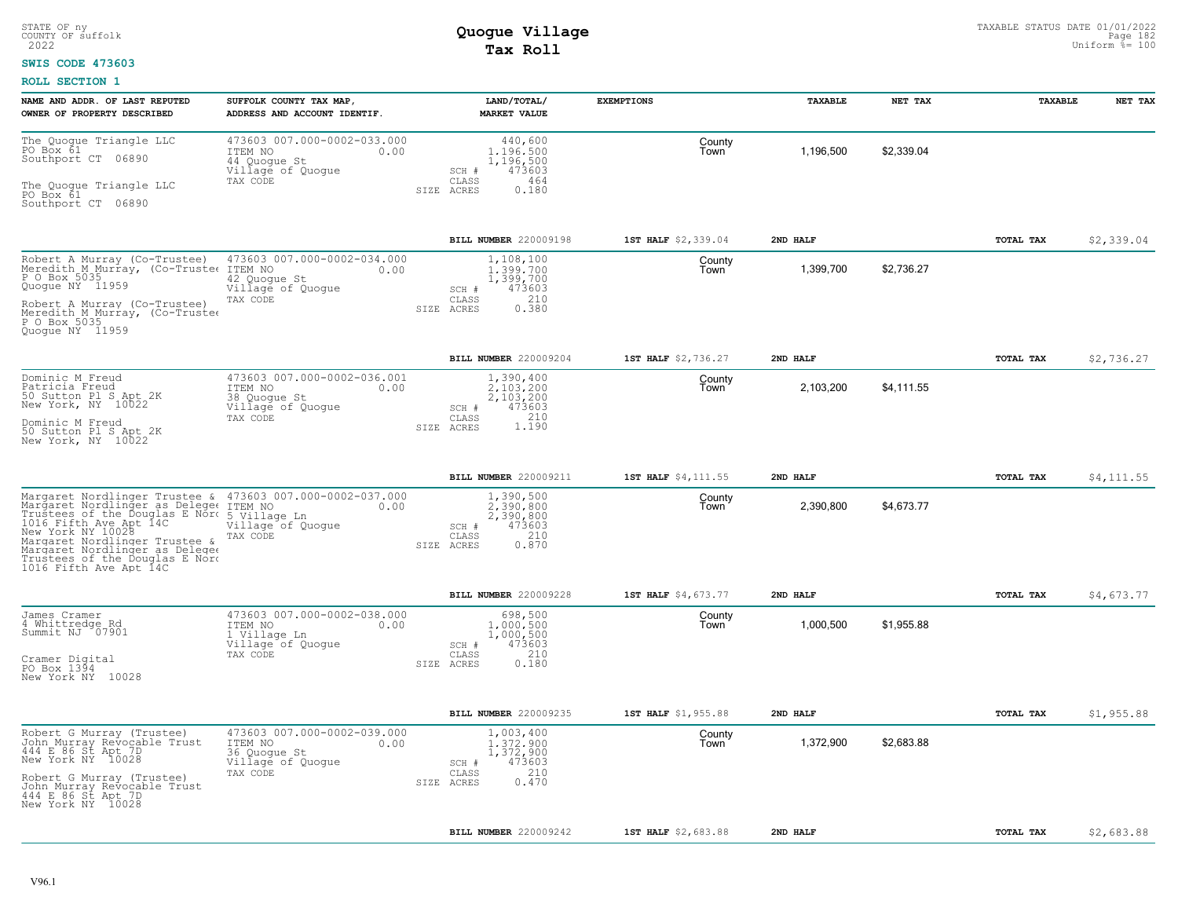### **SWIS CODE 473603**

| NAME AND ADDR. OF LAST REPUTED<br>OWNER OF PROPERTY DESCRIBED                                                                                                                                                                                                                                       | SUFFOLK COUNTY TAX MAP<br>ADDRESS AND ACCOUNT IDENTIF.                                          | LAND/TOTAL/<br><b>MARKET VALUE</b>                                                               | <b>EXEMPTIONS</b>   | TAXABLE   | NET TAX    | TAXABLE   | NET TAX    |
|-----------------------------------------------------------------------------------------------------------------------------------------------------------------------------------------------------------------------------------------------------------------------------------------------------|-------------------------------------------------------------------------------------------------|--------------------------------------------------------------------------------------------------|---------------------|-----------|------------|-----------|------------|
| The Quoque Triangle LLC<br>PO Box 61<br>Southport CT<br>06890<br>The Quoque Triangle LLC<br>PO Box 61<br>Southport CT 06890                                                                                                                                                                         | 473603 007.000-0002-033.000<br>ITEM NO<br>0.00<br>44 Quoque St<br>Village of Quogue<br>TAX CODE | 440,600<br>1,196,500<br>1,196,500<br>473603<br>SCH #<br>464<br>CLASS<br>SIZE ACRES<br>0.180      | County<br>Town      | 1,196,500 | \$2,339.04 |           |            |
|                                                                                                                                                                                                                                                                                                     |                                                                                                 | <b>BILL NUMBER 220009198</b>                                                                     | 1ST HALF \$2,339.04 | 2ND HALF  |            | TOTAL TAX | \$2,339.04 |
| Robert A Murray (Co-Trustee)<br>Meredith M Murray, (Co-Trustee<br>P O Box 5035<br>Quogue NY 11959<br>Robert A Murray (Co-Trustee)<br>Meredith M Murray, (Co-Trustee<br>P O Box 5035<br>Quoque NY 11959                                                                                              | 473603 007.000-0002-034.000<br>ITEM NO<br>0.00<br>42 Quogue St<br>Village of Quogue<br>TAX CODE | 1,108,100<br>1,399,700<br>1,399,700<br>473603<br>SCH #<br>210<br>CLASS<br>0.380<br>ACRES<br>SIZE | County<br>Town      | 1,399,700 | \$2.736.27 |           |            |
|                                                                                                                                                                                                                                                                                                     |                                                                                                 | BILL NUMBER 220009204                                                                            | 1ST HALF \$2,736.27 | 2ND HALF  |            | TOTAL TAX | \$2,736.27 |
| Dominic M Freud<br>Patricia Freud<br>50 Sutton Pl S Apt 2K<br>New York, NY 10022<br>Dominic M Freud<br>50 Sutton Pl S Apt 2K<br>New York, NY 10022                                                                                                                                                  | 473603 007.000-0002-036.001<br>ITEM NO<br>0.00<br>38 Quogue St<br>Village of Quogue<br>TAX CODE | 1,390,400<br>2,103,200<br>2,103,200<br>473603<br>SCH #<br>1.190<br>CLASS<br>SIZE ACRES           | County<br>Town      | 2,103,200 | \$4,111.55 |           |            |
|                                                                                                                                                                                                                                                                                                     |                                                                                                 | BILL NUMBER 220009211                                                                            | 1ST HALF \$4,111.55 | 2ND HALF  |            | TOTAL TAX | \$4,111.55 |
| Margaret Nordlinger Trustee &<br>Margaret Nordlinger as Delege ITEM NO<br>Trustees of the Douglas E Nord 5 Village Ln<br>1016 Fifth Ave Apt 14C<br>New York NY 10028<br>Margaret Nordlinger Trustee &<br>Margaret Nordlinger as Delegee<br>Trustees of the Douglas E Nord<br>1016 Fifth Ave Apt 14C | 473603 007.000-0002-037.000<br>0.00<br>Village of Quogue<br>TAX CODE                            | 1,390,500<br>2.390.800<br>2,390,800<br>473603<br>SCH #<br>210<br>CLASS<br>0.870<br>SIZE ACRES    | County<br>Town      | 2,390,800 | \$4,673.77 |           |            |
|                                                                                                                                                                                                                                                                                                     |                                                                                                 | BILL NUMBER 220009228                                                                            | 1ST HALF \$4,673.77 | 2ND HALF  |            | TOTAL TAX | \$4,673.77 |
| James Cramer<br>4 Whittredge Rd<br>Summit NJ 07901<br>Cramer Digital<br>PO Box 1394<br>New York NY 10028                                                                                                                                                                                            | 473603 007.000-0002-038.000<br>ITEM NO<br>0.00<br>1 Village Ln<br>Village of Quogue<br>TAX CODE | 698,500<br>1,000,500<br>1,000,500<br>473603<br>SCH #<br>210<br>CLASS<br>SIZE ACRES<br>0.180      | County<br>Town      | 1,000,500 | \$1,955.88 |           |            |
|                                                                                                                                                                                                                                                                                                     |                                                                                                 | BILL NUMBER 220009235                                                                            | 1ST HALF \$1,955.88 | 2ND HALF  |            | TOTAL TAX | \$1,955.88 |
| Robert G Murray (Trustee)<br>John Murray Revocable Trust<br>444 E 86 St Apt 7D<br>New York NY 10028<br>Robert G Murray (Trustee)<br>John Murray Revocable Trust<br>444 E 86 St Apt 7D<br>New York NY 10028                                                                                          | 473603 007.000-0002-039.000<br>ITEM NO<br>0.00<br>36 Quogue St<br>Village of Quogue<br>TAX CODE | 1,003,400<br>1,372,900<br>1,372,900<br>473603<br>SCH #<br>210<br>CLASS<br>0.470<br>SIZE<br>ACRES | County<br>Town      | 1,372,900 | \$2,683.88 |           |            |
|                                                                                                                                                                                                                                                                                                     |                                                                                                 | BILL NUMBER 220009242                                                                            | 1ST HALF \$2,683.88 | 2ND HALF  |            | TOTAL TAX | \$2,683.88 |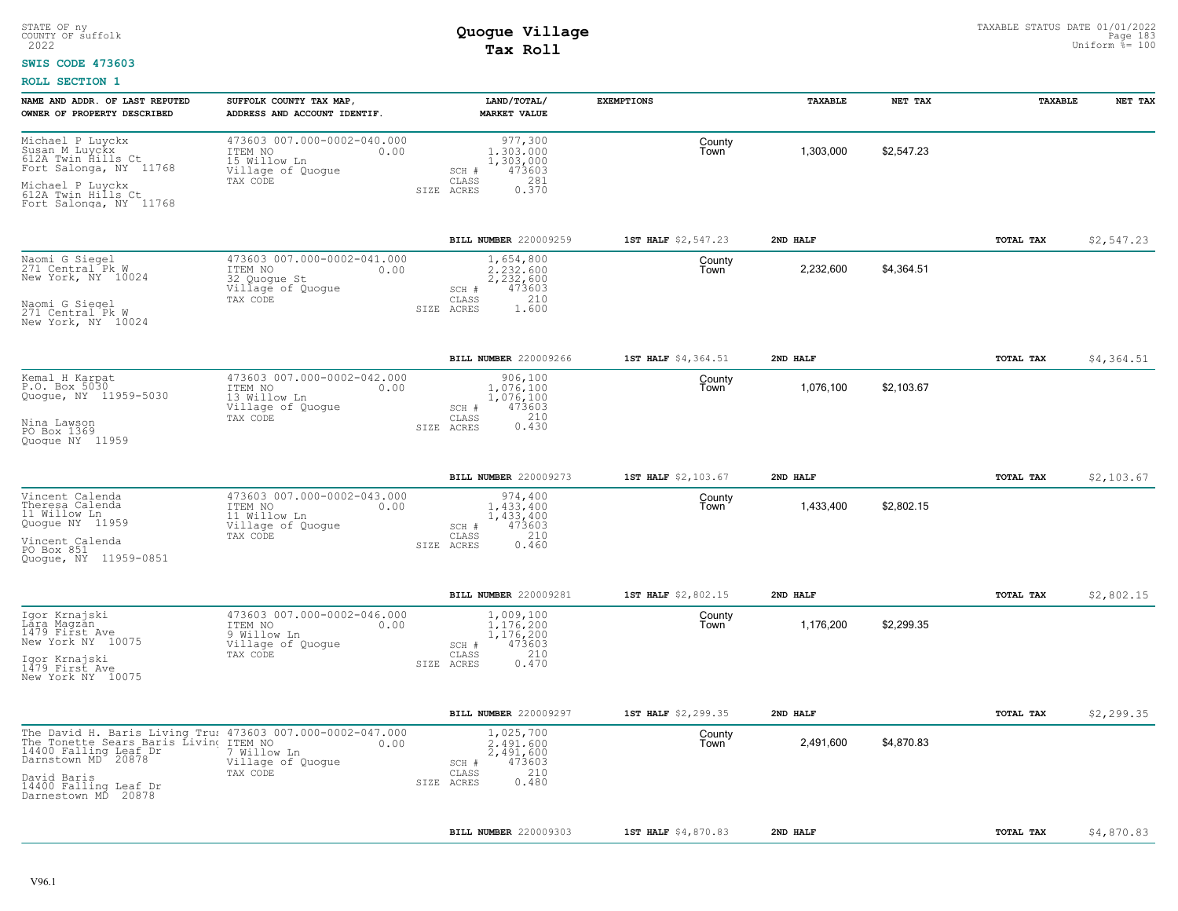#### **SWIS CODE 473603**

| NAME AND ADDR. OF LAST REPUTED<br>OWNER OF PROPERTY DESCRIBED                                                                                                                                                | SUFFOLK COUNTY TAX MAP<br>ADDRESS AND ACCOUNT IDENTIF.                                                             | LAND/TOTAL/<br><b>MARKET VALUE</b>                                                                | <b>EXEMPTIONS</b>   | TAXABLE    | NET TAX    | TAXABLE   | NET TAX     |
|--------------------------------------------------------------------------------------------------------------------------------------------------------------------------------------------------------------|--------------------------------------------------------------------------------------------------------------------|---------------------------------------------------------------------------------------------------|---------------------|------------|------------|-----------|-------------|
| Michael P Luyckx<br>Susan M Luyckx<br>612A Twin Hills Ct<br>Fort Salonga, NY 11768<br>Michael P Luyckx<br>612A Twin Hills Ct<br>Fort Salonga, NY 11768                                                       | 473603 007.000-0002-040.000<br>ITEM NO<br>0.00<br>15 Willow Ln<br>Village of Quogue<br>TAX CODE                    | 977,300<br>1,303,000<br>1,303,000<br>473603<br>SCH #<br>281<br>CLASS<br>0.370<br>SIZE ACRES       | County<br>Town      | 1,303,000  | \$2.547.23 |           |             |
|                                                                                                                                                                                                              |                                                                                                                    | <b>BILL NUMBER 220009259</b>                                                                      | 1ST HALF \$2,547.23 | 2ND HALF   |            | TOTAL TAX | \$2,547.23  |
| Naomi G Siegel<br>271 Central Pk W<br>New York, NY 10024<br>Naomi G Siegel<br>271 Central Pk W<br>New York, NY 10024                                                                                         | 473603 007.000-0002-041.000<br>ITEM NO<br>0.00<br>32 Quogue St<br>Village of Quogue<br>TAX CODE                    | 1,654,800<br>2.232.600<br>2,232,600<br>473603<br>$SCH$ $#$<br>210<br>CLASS<br>SIZE ACRES<br>1.600 | County<br>Town      | 2,232,600  | \$4,364.51 |           |             |
|                                                                                                                                                                                                              |                                                                                                                    | <b>BILL NUMBER 220009266</b>                                                                      | 1ST HALF \$4,364.51 | 2ND HALF   |            | TOTAL TAX | \$4,364.51  |
| Kemal H Karpat<br>473603 007.000-0002-042.000<br>P.O. Box 5030<br>ITEM NO<br>0.00<br>Quogue, NY 11959-5030<br>13 Willow Ln<br>Village of Quogue<br>TAX CODE<br>Nina Lawson<br>PO Box 1369<br>Quoque NY 11959 | 906,100<br>1,076,100<br>1,076,100<br>473603<br>SCH #<br>210<br>CLASS<br>0.430<br>SIZE ACRES                        | County<br>Town                                                                                    | 1,076,100           | \$2,103.67 |            |           |             |
|                                                                                                                                                                                                              |                                                                                                                    | <b>BILL NUMBER 220009273</b>                                                                      | 1ST HALF \$2,103.67 | 2ND HALF   |            | TOTAL TAX | \$2,103.67  |
| Vincent Calenda<br>Theresa Calenda<br>ITEM NO<br>11 Willow Ln<br>Quogue NY 11959<br>TAX CODE<br>Vincent Calenda<br>PO Box 851<br>Quoque, NY 11959-0851                                                       | 473603 007.000-0002-043.000<br>0.00<br>11 Willow Ln<br>Village of Quogue                                           | 974,400<br>1,433,400<br>1,433,400<br>473603<br>SCH #<br>CLASS<br>210<br>SIZE ACRES<br>0.460       | County<br>Town      | 1,433,400  | \$2,802.15 |           |             |
|                                                                                                                                                                                                              |                                                                                                                    | BILL NUMBER 220009281                                                                             | 1ST HALF \$2,802.15 | 2ND HALF   |            | TOTAL TAX | \$2,802.15  |
| Igor Krnajski<br>Lára Magzan<br>ITEM NO<br>1479 First Ave<br>9 Willow Ln<br>New York NY 10075<br>Village of Quogue<br>TAX CODE<br>Igor Krnajski<br>1479 First Ave<br>New York NY 10075                       | 473603 007.000-0002-046.000<br>0.00                                                                                | 1,009,100<br>1.176.200<br>1,176,200<br>473603<br>SCH #<br>210<br>CLASS<br>0.470<br>SIZE ACRES     | County<br>Town      | 1,176,200  | \$2,299.35 |           |             |
|                                                                                                                                                                                                              |                                                                                                                    | BILL NUMBER 220009297                                                                             | 1ST HALF \$2,299.35 | 2ND HALF   |            | TOTAL TAX | \$2, 299.35 |
| The Tonette Sears Baris Living TTEM NO<br>14400 Falling Leaf Dr 7 Willow<br>Darnstown MD 20878 Village<br>David Baris<br>14400 Falling Leaf Dr<br>Darnestown MD 20878                                        | The David H. Baris Living Tru: 473603 007.000-0002-047.000<br>0.00<br>7 Willow Ln<br>Village of Quogue<br>TAX CODE | 1,025,700<br>2.491.600<br>2,491,600<br>473603<br>SCH #<br>210<br>CLASS<br>0.480<br>SIZE ACRES     | County<br>Town      | 2,491,600  | \$4,870.83 |           |             |
|                                                                                                                                                                                                              |                                                                                                                    | <b>BILL NUMBER 220009303</b>                                                                      | 1ST HALF \$4,870.83 | 2ND HALF   |            | TOTAL TAX | \$4,870.83  |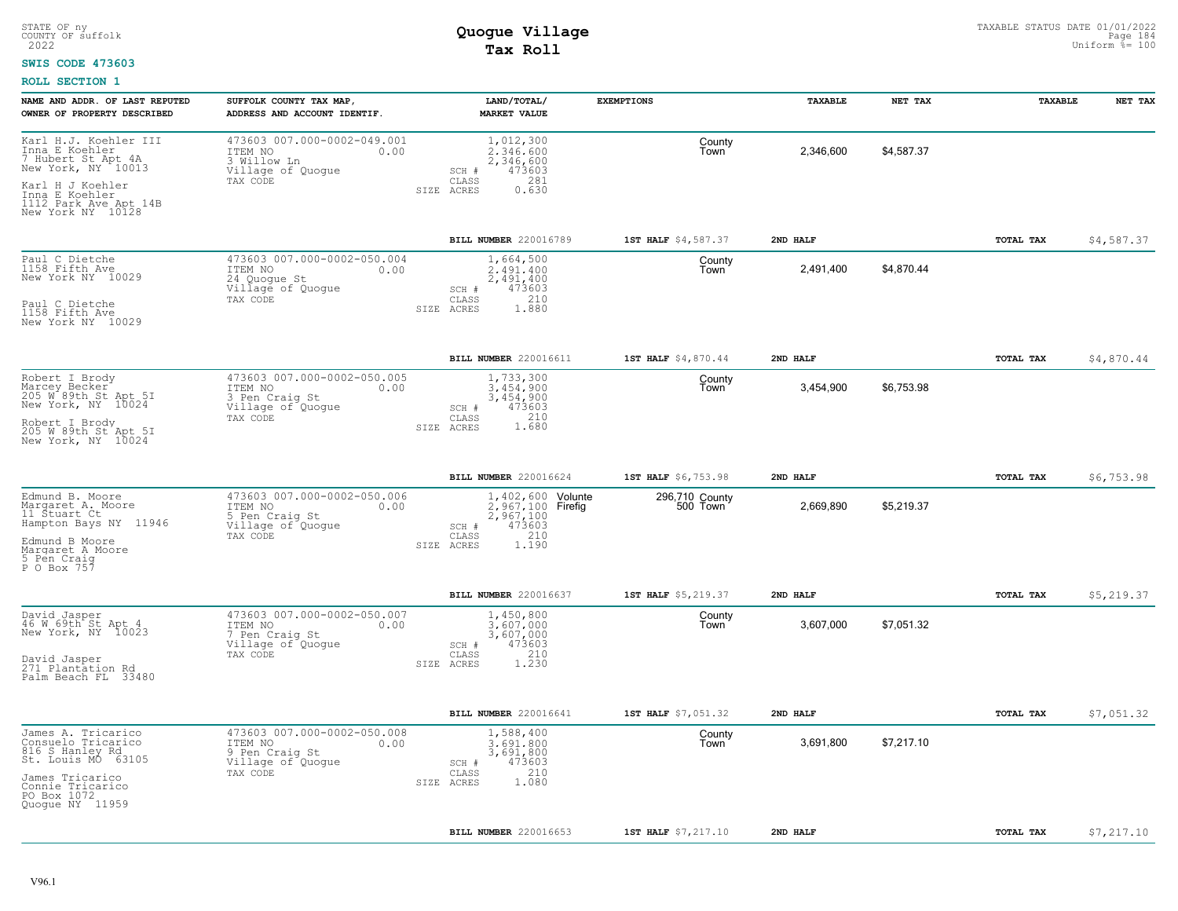#### **SWIS CODE 473603**

| NAME AND ADDR. OF LAST REPUTED<br>OWNER OF PROPERTY DESCRIBED                      | SUFFOLK COUNTY TAX MAP,<br>ADDRESS AND ACCOUNT IDENTIF.                                        | LAND/TOTAL/<br><b>MARKET VALUE</b>                                       | <b>EXEMPTIONS</b>          | TAXABLE   | NET TAX    | TAXABLE   | NET TAX    |
|------------------------------------------------------------------------------------|------------------------------------------------------------------------------------------------|--------------------------------------------------------------------------|----------------------------|-----------|------------|-----------|------------|
| Karl H.J. Koehler III<br>Tha E Koehler<br>7 Hubert St Apt 4A<br>New York, NY 10013 | 473603 007.000-0002-049.001<br>ITEM NO<br>0.00<br>3 Willow Ln<br>Village of Quogue<br>TAX CODE | 1,012,300<br>2.346.600<br>2,346,600<br>473603<br>SCH #<br>281<br>CLASS   | County<br>Town             | 2,346,600 | \$4,587.37 |           |            |
| Karl H J Koehler<br>Inna E Koehler<br>1112 Park Ave Apt 14B<br>New York NY 10128   |                                                                                                | SIZE ACRES<br>0.630                                                      |                            |           |            |           |            |
|                                                                                    |                                                                                                | <b>BILL NUMBER 220016789</b>                                             | 1ST HALF \$4,587.37        | 2ND HALF  |            | TOTAL TAX | \$4,587.37 |
| Paul C Dietche<br>1158 Fifth Ave<br>New York NY 10029                              | 473603 007.000-0002-050.004<br>ITEM NO<br>0.00<br>24 Quogue St<br>Village of Quogue            | 1,664,500<br>2,491,400<br>2,491,400<br>473603<br>SCH #<br>210            | County<br>Town             | 2,491,400 | \$4,870.44 |           |            |
| TAX CODE<br>Paul C Dietche<br>1158 Fifth Ave<br>New York NY 10029                  |                                                                                                | CLASS<br>SIZE ACRES<br>1.880                                             |                            |           |            |           |            |
|                                                                                    |                                                                                                | BILL NUMBER 220016611                                                    | 1ST HALF \$4,870.44        | 2ND HALF  |            | TOTAL TAX | \$4,870.44 |
| Robert I Brody<br>Marcey Becker<br>205 W 89th St Apt 5I<br>New York, NY 10024      | 473603 007.000-0002-050.005<br>ITEM NO<br>0.00<br>3 Pen Craig St<br>Village of Quoque          | 1,733,300<br>3.454.900<br>3,454,900<br>473603<br>SCH #                   | County<br>Town             | 3,454,900 | \$6,753.98 |           |            |
| TAX CODE<br>Robert I Brody<br>205 W 89th St Apt 5I<br>New York, NY 10024           |                                                                                                | 210<br>CLASS<br>1.680<br>SIZE ACRES                                      |                            |           |            |           |            |
|                                                                                    |                                                                                                | BILL NUMBER 220016624                                                    | 1ST HALF \$6,753.98        | 2ND HALF  |            | TOTAL TAX | \$6,753.98 |
| Edmund B. Moore<br>Margaret A. Moore<br>11 Štuart Ct<br>Hampton Bays NY 11946      | 473603 007.000-0002-050.006<br>ITEM NO<br>0.00<br>5 Pen Craig St<br>Village of Quogue          | 1,402,600 Volunte<br>2,967,100 Firefig<br>2,967,100<br>473603<br>$SCH$ # | 296,710 County<br>500 Town | 2,669,890 | \$5,219.37 |           |            |
| Edmund B Moore<br>Margaret A Moore<br>5 Pen Craiq<br>P O Box 757                   | TAX CODE                                                                                       | 210<br>CLASS<br>1.190<br>SIZE ACRES                                      |                            |           |            |           |            |
|                                                                                    |                                                                                                | BILL NUMBER 220016637                                                    | 1ST HALF \$5,219.37        | 2ND HALF  |            | TOTAL TAX | \$5,219.37 |
| David Jasper<br>46 W 69th St Apt 4<br>New York, NY 10023                           | 473603 007.000-0002-050.007<br>ITEM NO<br>0.00<br>7 Pen Craig St<br>Village of Quogue          | 1,450,800<br>3,607,000<br>3,607,000<br>473603<br>SCH #                   | County<br>Town             | 3,607,000 | \$7,051.32 |           |            |
| TAX CODE<br>David Jasper<br>271 Plantation Rd<br>Palm Beach FL 33480               |                                                                                                | 210<br>CLASS<br>1.230<br>SIZE ACRES                                      |                            |           |            |           |            |
|                                                                                    |                                                                                                | BILL NUMBER 220016641                                                    | 1ST HALF \$7,051.32        | 2ND HALF  |            | TOTAL TAX | \$7,051.32 |
| James A. Tricarico<br>Consuelo Tricarico<br>816 S Hanley Rd<br>St. Louis MO 63105  | 473603 007.000-0002-050.008<br>ITEM NO<br>0.00<br>9 Pen Craig St<br>Village of Quogue          | 1,588,400<br>3,691,800<br>3,691,800<br>473603<br>SCH #                   | County<br>Town             | 3,691,800 | \$7,217.10 |           |            |
| James Tricarico<br>Connie Tricarico<br>PO Box 1072<br>Quogue NY 11959              | TAX CODE                                                                                       | 210<br>CLASS<br>1.080<br>SIZE ACRES                                      |                            |           |            |           |            |
|                                                                                    |                                                                                                | <b>BILL NUMBER 220016653</b>                                             | 1ST HALF \$7,217.10        | 2ND HALF  |            | TOTAL TAX | \$7,217.10 |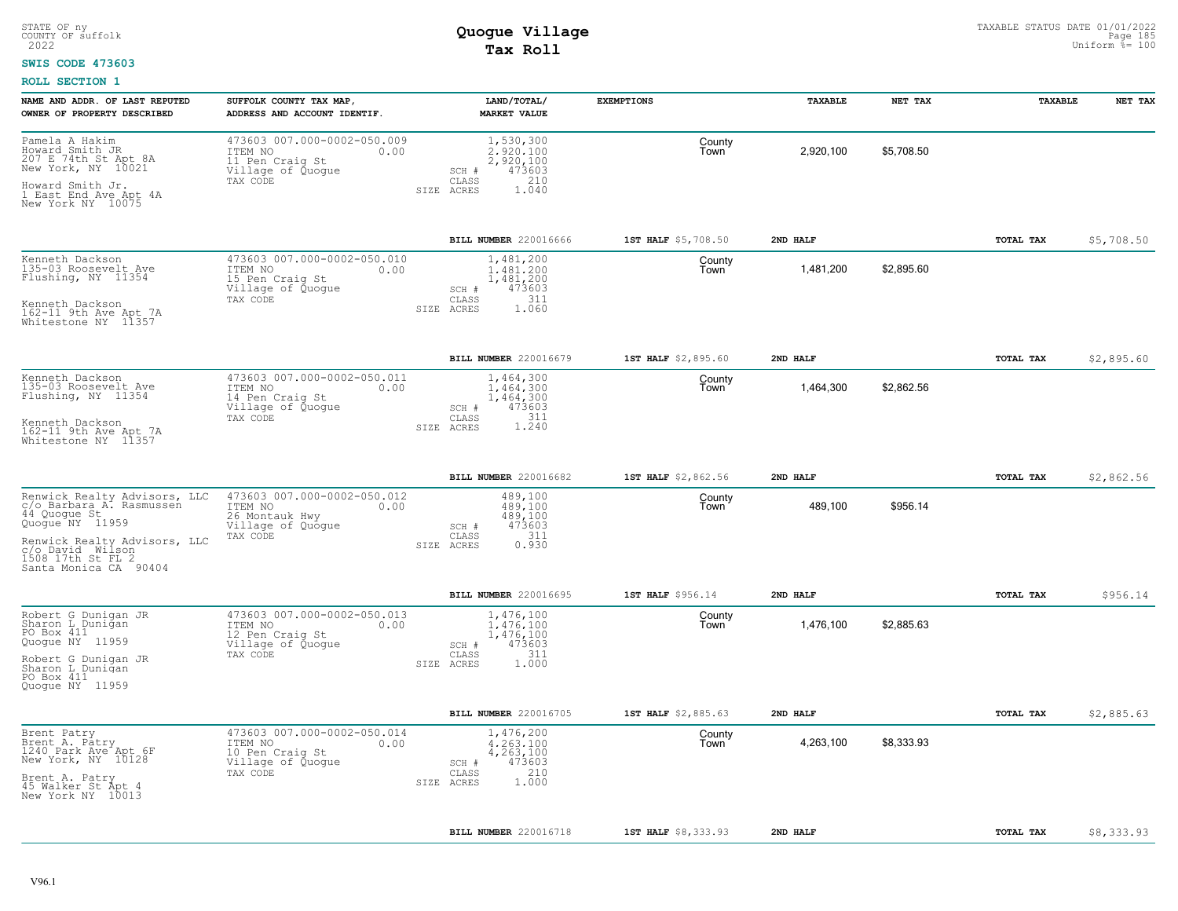#### **SWIS CODE 473603**

| NAME AND ADDR. OF LAST REPUTED<br>OWNER OF PROPERTY DESCRIBED                                  | SUFFOLK COUNTY TAX MAP,<br>ADDRESS AND ACCOUNT IDENTIF.                                            | LAND/TOTAL/<br><b>MARKET VALUE</b>                                     | <b>EXEMPTIONS</b>   | <b>TAXABLE</b> | NET TAX    | <b>TAXABLE</b> | NET TAX    |
|------------------------------------------------------------------------------------------------|----------------------------------------------------------------------------------------------------|------------------------------------------------------------------------|---------------------|----------------|------------|----------------|------------|
| Pamela A Hakim<br>Howard Smith JR<br>207 E 74th St Apt 8A<br>New York, NY 10021                | 473603 007.000-0002-050.009<br>ITEM NO<br>0.00<br>11 Pen Craig St<br>Village of Quogue<br>TAX CODE | 1,530,300<br>2.920.100<br>2,920,100<br>473603<br>SCH #<br>210<br>CLASS | County<br>Town      | 2,920,100      | \$5.708.50 |                |            |
| Howard Smith Jr.<br>1 East End Ave Apt 4A<br>New York NY 10075                                 |                                                                                                    | 1.040<br>SIZE ACRES                                                    |                     |                |            |                |            |
|                                                                                                |                                                                                                    | <b>BILL NUMBER</b> 220016666                                           | 1ST HALF \$5,708.50 | 2ND HALF       |            | TOTAL TAX      | \$5,708.50 |
| Kenneth Dackson<br>135-03 Roosevelt Ave<br>Flushing, NY 11354                                  | 473603 007.000-0002-050.010<br>ITEM NO<br>0.00<br>15 Pen Craig St<br>Village of Quogue             | 1,481,200<br>1,481,200<br>1,481,200<br>473603<br>SCH #<br>311<br>CLASS | County<br>Town      | 1,481,200      | \$2,895.60 |                |            |
| Kenneth Dackson<br>162-11 9th Ave Apt 7A<br>Whitestone NY 11357                                | TAX CODE                                                                                           | 1.060<br>SIZE ACRES                                                    |                     |                |            |                |            |
|                                                                                                |                                                                                                    | BILL NUMBER 220016679                                                  | 1ST HALF \$2,895.60 | 2ND HALF       |            | TOTAL TAX      | \$2,895.60 |
| Kenneth Dackson<br>135-03 Roosevelt Ave<br>Flushing, NY 11354                                  | 473603 007.000-0002-050.011<br>ITEM NO<br>0.00<br>14 Pen Craig St<br>Village of Quogue             | 1,464,300<br>1,464,300<br>1,464,300<br>473603<br>SCH #                 | County<br>Town      | 1,464,300      | \$2,862.56 |                |            |
| Kenneth Dackson<br>162-11 9th Ave Apt 7A<br>Whitestone NY 11357                                | TAX CODE                                                                                           | 311<br>CLASS<br>1.240<br>SIZE ACRES                                    |                     |                |            |                |            |
|                                                                                                |                                                                                                    | BILL NUMBER 220016682                                                  | 1ST HALF \$2,862.56 | 2ND HALF       |            | TOTAL TAX      | \$2,862.56 |
| Renwick Realty Advisors, LLC<br>c/o Barbara A. Rasmussen<br>44 Quogue St<br>Quogue NY 11959    | 473603 007.000-0002-050.012<br>ITEM NO<br>0.00<br>26 Montauk Hwy<br>Village of Quogue              | 489,100<br>489,100<br>489,100<br>473603<br>SCH #<br>311                | County<br>Town      | 489,100        | \$956.14   |                |            |
| Renwick Realty Advisors, LLC<br>c/o David Wilson<br>1508 17th St FL 2<br>Santa Monica CA 90404 | TAX CODE                                                                                           | CLASS<br>0.930<br>SIZE ACRES                                           |                     |                |            |                |            |
|                                                                                                |                                                                                                    | <b>BILL NUMBER 220016695</b>                                           | 1ST HALF \$956.14   | 2ND HALF       |            | TOTAL TAX      | \$956.14   |
| Robert G Dunigan JR<br>Sharon L Dunigan<br>PO Box 411<br>Quoque NY 11959                       | 473603 007.000-0002-050.013<br>ITEM NO<br>0.00<br>12 Pen Craiq St<br>Village of Quogue<br>TAX CODE | 1,476,100<br>1,476,100<br>1,476,100<br>473603<br>SCH #<br>CLASS<br>311 | County<br>Town      | 1,476,100      | \$2,885.63 |                |            |
| Robert G Duniqan JR<br>Sharon L Dunigan<br>PO Box 411<br>Quoque NY 11959                       |                                                                                                    | 1,000<br>SIZE ACRES                                                    |                     |                |            |                |            |
|                                                                                                |                                                                                                    | BILL NUMBER 220016705                                                  | 1ST HALF \$2,885.63 | 2ND HALF       |            | TOTAL TAX      | \$2,885.63 |
| Brent Patry<br>Brent A. Patry<br>1240 Park Ave Apt 6F<br>New York, NY 10128                    | 473603 007.000-0002-050.014<br>ITEM NO<br>0.00<br>10 Pen Craig St<br>Village of Quogue             | 1,476,200<br>4.263.100<br>4,263,100<br>473603<br>SCH #                 | County<br>Town      | 4,263,100      | \$8,333.93 |                |            |
| Brent A. Patry<br>45 Walker St Apt 4<br>New York NY 10013                                      | TAX CODE                                                                                           | 210<br>CLASS<br>1.000<br>ACRES<br>SIZE                                 |                     |                |            |                |            |
|                                                                                                |                                                                                                    | BILL NUMBER 220016718                                                  | 1ST HALF \$8,333.93 | 2ND HALF       |            | TOTAL TAX      | \$8,333.93 |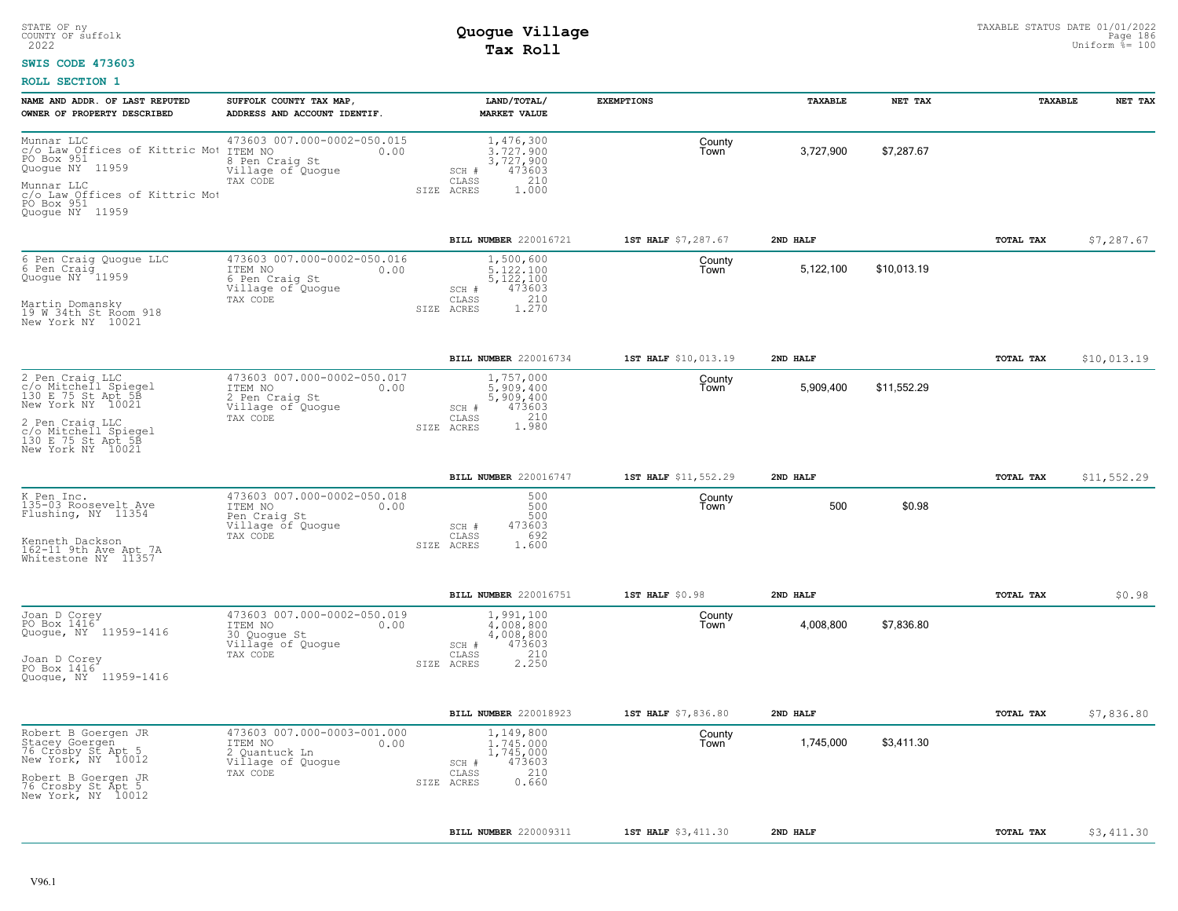### **SWIS CODE 473603**

| NAME AND ADDR. OF LAST REPUTED<br>OWNER OF PROPERTY DESCRIBED                                                                                                            | SUFFOLK COUNTY TAX MAP,<br>ADDRESS AND ACCOUNT IDENTIF.                                           | LAND/TOTAL/<br><b>MARKET VALUE</b>                                                                  | <b>EXEMPTIONS</b>    | TAXABLE   | NET TAX     | TAXABLE   | NET TAX     |
|--------------------------------------------------------------------------------------------------------------------------------------------------------------------------|---------------------------------------------------------------------------------------------------|-----------------------------------------------------------------------------------------------------|----------------------|-----------|-------------|-----------|-------------|
| Munnar LLC<br>c/o Law Offices of Kittric Mot<br>PO Box 951<br>Quoque NY 11959<br>Munnar LLC<br>c/o Law Offices of Kittric Mot<br>PO Box 951<br>Quoque NY 11959           | 473603 007.000-0002-050.015<br>ITEM NO<br>0.00<br>8 Pen Craig St<br>Village of Quogue<br>TAX CODE | 1,476,300<br>3.727.900<br>3,727,900<br>473603<br>SCH #<br>210<br>CLASS<br>1.000<br>SIZE ACRES       | County<br>Town       | 3,727,900 | \$7,287.67  |           |             |
|                                                                                                                                                                          |                                                                                                   | BILL NUMBER 220016721                                                                               | 1ST HALF \$7,287.67  | 2ND HALF  |             | TOTAL TAX | \$7,287.67  |
| 6 Pen Craig Quogue LLC<br>6 Pen Craig<br>0 Pense Miller<br>Quoque NY 11959<br>Martin Domansky<br>19 W 34th St Room 918<br>New York NY 10021                              | 473603 007.000-0002-050.016<br>ITEM NO<br>0.00<br>6 Pen Craig St<br>Village of Quogue<br>TAX CODE | 1,500,600<br>5,122,100<br>5, 122, 100<br>473603<br>$SCH$ #<br>$210$<br>1.270<br>CLASS<br>SIZE ACRES | County<br>Town       | 5,122,100 | \$10,013.19 |           |             |
|                                                                                                                                                                          |                                                                                                   | BILL NUMBER 220016734                                                                               | 1ST HALF \$10,013.19 | 2ND HALF  |             | TOTAL TAX | \$10,013.19 |
| 2 Pen Craig LLC<br>c/o Mitchell Spiegel<br>130 E 75 St Apt 5B<br>New York NY 10021<br>2 Pen Craig LLC<br>c/o Mitchell Spiegel<br>130 E 75 St Apt 58<br>New York NY 10021 | 473603 007.000-0002-050.017<br>ITEM NO<br>0.00<br>2 Pen Craig St<br>Village of Quogue<br>TAX CODE | 1,757,000<br>5.909.400<br>5,909,400<br>473603<br>SCH #<br>210<br>CLASS<br>1.980<br>SIZE ACRES       | County<br>Town       | 5,909,400 | \$11,552.29 |           |             |
|                                                                                                                                                                          |                                                                                                   | BILL NUMBER 220016747                                                                               | 1ST HALF \$11,552.29 | 2ND HALF  |             | TOTAL TAX | \$11,552.29 |
| K Pen Inc.<br>135-03 Roosevelt Ave<br>Flushing, NY 11354<br>Kenneth Dackson<br>162-11 9th Ave Apt 7A<br>Whitestone NY 11357                                              | 473603 007.000-0002-050.018<br>ITEM NO<br>0.00<br>Pen Craig St<br>Village of Quoque<br>TAX CODE   | 500<br>500<br>500<br>473603<br>SCH #<br>692<br>CLASS<br>1.600<br>SIZE ACRES                         | County<br>Town       | 500       | \$0.98      |           |             |
|                                                                                                                                                                          |                                                                                                   | BILL NUMBER 220016751                                                                               | 1ST HALF \$0.98      | 2ND HALF  |             | TOTAL TAX | \$0.98      |
| Joan D Corey<br>PO Box 1416<br>Quogue, NY 11959-1416<br>Joan D Corey<br>PO Box 1416<br>Quoque, NY 11959-1416                                                             | 473603 007.000-0002-050.019<br>ITEM NO<br>0.00<br>30 Quogue St<br>Village of Quogue<br>TAX CODE   | 1,991,100<br>4,008,800<br>4,008,800<br>473603<br>SCH #<br>210<br>CLASS<br>SIZE ACRES<br>2.250       | County<br>Town       | 4,008,800 | \$7,836.80  |           |             |
|                                                                                                                                                                          |                                                                                                   | BILL NUMBER 220018923                                                                               | 1ST HALF \$7,836.80  | 2ND HALF  |             | TOTAL TAX | \$7,836.80  |
| Robert B Goergen JR<br>Stacey Goergen<br>76 Crosby St Apt 5<br>New York, NY 10012<br>Robert B Goergen JR<br>76 Crosby St Apt 5<br>New York, NY 10012                     | 473603 007.000-0003-001.000<br>ITEM NO<br>0.00<br>2 Quantuck Ln<br>Village of Quogue<br>TAX CODE  | 1,149,800<br>1,745,000<br>1,745,000<br>473603<br>SCH #<br>210<br>CLASS<br>0.660<br>SIZE ACRES       | County<br>Town       | 1,745,000 | \$3,411.30  |           |             |
|                                                                                                                                                                          |                                                                                                   | BILL NUMBER 220009311                                                                               | 1ST HALF \$3,411.30  | 2ND HALF  |             | TOTAL TAX | \$3,411.30  |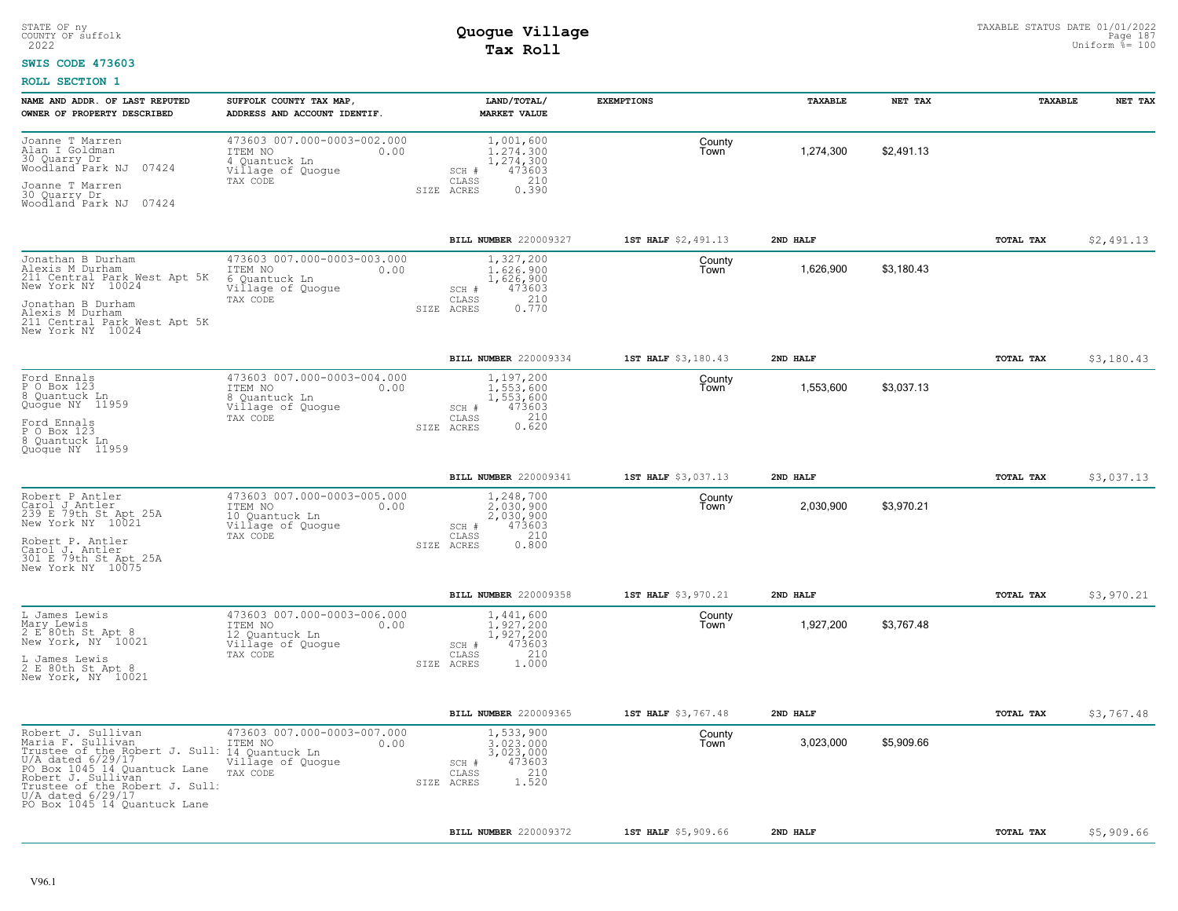#### **SWIS CODE 473603**

| NAME AND ADDR. OF LAST REPUTED<br>OWNER OF PROPERTY DESCRIBED                                                                                                                                                                               | SUFFOLK COUNTY TAX MAP<br>ADDRESS AND ACCOUNT IDENTIF.                                            | LAND/TOTAL/<br><b>MARKET VALUE</b>                                                                  | <b>EXEMPTIONS</b>   | TAXABLE   | NET TAX    | TAXABLE          | NET TAX    |
|---------------------------------------------------------------------------------------------------------------------------------------------------------------------------------------------------------------------------------------------|---------------------------------------------------------------------------------------------------|-----------------------------------------------------------------------------------------------------|---------------------|-----------|------------|------------------|------------|
| Joanne T Marren<br>Name I Goldman<br>30 Quarry Dr<br>Woodland Park NJ<br>07424<br>Joanne T Marren<br>30 Quarry Dr<br>Woodland Park NJ 07424                                                                                                 | 473603 007.000-0003-002.000<br>ITEM NO<br>0.00<br>4 Quantuck Ln<br>Village of Quogue<br>TAX CODE  | 1,001,600<br>1,274,300<br>1,274,300<br>473603<br>SCH #<br>210<br>CLASS<br>SIZE ACRES<br>0.390       | County<br>Town      | 1,274,300 | \$2,491.13 |                  |            |
|                                                                                                                                                                                                                                             |                                                                                                   | <b>BILL NUMBER 220009327</b>                                                                        | 1ST HALF \$2,491.13 | 2ND HALF  |            | <b>TOTAL TAX</b> | \$2,491.13 |
| Jonathan B Durham<br>Alexis M Durham<br>211 Central Park West Apt 5K<br>New York NY 10024<br>Jonathan B Durham<br>Alexis M Durham<br>211 Central Park West Apt 5K<br>New York NY 10024                                                      | 473603 007.000-0003-003.000<br>ITEM NO<br>0.00<br>6 Quantuck Ln<br>Village of Quogue<br>TAX CODE  | 1,327,200<br>1.626.900<br>1,626,900<br>473603<br>SCH #<br>210<br>CLASS<br>0.770<br>SIZE<br>ACRES    | County<br>Town      | 1,626,900 | \$3,180.43 |                  |            |
|                                                                                                                                                                                                                                             |                                                                                                   | BILL NUMBER 220009334                                                                               | 1ST HALF \$3,180.43 | 2ND HALF  |            | TOTAL TAX        | \$3,180.43 |
| Ford Ennals<br>P O Box 123<br>8 Quantuck Ln<br>Quogue NY 11959<br>Ford Ennals<br>P O Box 123<br>8 Quantuck Ln<br>Quoque NY 11959                                                                                                            | 473603 007.000-0003-004.000<br>ITEM NO<br>0.00<br>8 Quantuck Ln<br>Village of Quogue<br>TAX CODE  | 1,197,200<br>1,553,600<br>1,553,600<br>473603<br>SCH #<br>$0.210$<br>$0.620$<br>CLASS<br>SIZE ACRES | County<br>Town      | 1,553,600 | \$3,037.13 |                  |            |
|                                                                                                                                                                                                                                             |                                                                                                   | BILL NUMBER 220009341                                                                               | 1ST HALF \$3,037.13 | 2ND HALF  |            | TOTAL TAX        | \$3,037.13 |
| Robert P Antler<br>Carol J Antler<br>239 E 79th St Apt 25A<br>New York NY 10021<br>Robert P. Antler<br>Carol J. Antier<br>301 E 79th St Apt 25A<br>New York NY 10075                                                                        | 473603 007.000-0003-005.000<br>ITEM NO<br>0.00<br>10 Ouantuck Ln<br>Village of Quogue<br>TAX CODE | 1,248,700<br>2,030,900<br>2,030,900<br>473603<br>SCH #<br>210<br>CLASS<br>SIZE ACRES<br>0.800       | County<br>Town      | 2,030,900 | \$3,970.21 |                  |            |
|                                                                                                                                                                                                                                             |                                                                                                   | <b>BILL NUMBER 220009358</b>                                                                        | 1ST HALF \$3,970.21 | 2ND HALF  |            | TOTAL TAX        | \$3,970.21 |
| L James Lewis<br>Mary Lewis<br>2 E 80th St Apt 8<br>New York, NY 10021<br>L James Lewis<br>2 E 80th St Apt 8<br>New York, NY 10021                                                                                                          | 473603 007.000-0003-006.000<br>ITEM NO<br>0.00<br>12 Quantuck Ln<br>Village of Quogue<br>TAX CODE | 1,441,600<br>1.927.200<br>1,927,200<br>473603<br>SCH #<br>210<br>CLASS<br>SIZE ACRES<br>1.000       | County<br>Town      | 1,927,200 | \$3.767.48 |                  |            |
|                                                                                                                                                                                                                                             |                                                                                                   | BILL NUMBER 220009365                                                                               | 1ST HALF \$3,767.48 | 2ND HALF  |            | TOTAL TAX        | \$3,767.48 |
| Robert J. Sullivan<br>Maria F. Sullivan<br>Trustee of the Robert J. Sull:<br>U/A_dated 6/29/17<br>PO Box 1045 14 Quantuck Lane<br>Robert J. Sullivan<br>Trustee of the Robert J. Sull:<br>U/A_dated 6/29/17<br>PO Box 1045 14 Quantuck Lane | 473603 007.000-0003-007.000<br>ITEM NO<br>0.00<br>14 Quantuck Ln<br>Village of Quogue<br>TAX CODE | 1,533,900<br>3,023,000<br>3,023,000<br>473603<br>SCH #<br>210<br>CLASS<br>1.520<br>SIZE ACRES       | County<br>Town      | 3,023,000 | \$5,909.66 |                  |            |
|                                                                                                                                                                                                                                             |                                                                                                   | BILL NUMBER 220009372                                                                               | 1ST HALF \$5,909.66 | 2ND HALF  |            | <b>TOTAL TAX</b> | \$5,909.66 |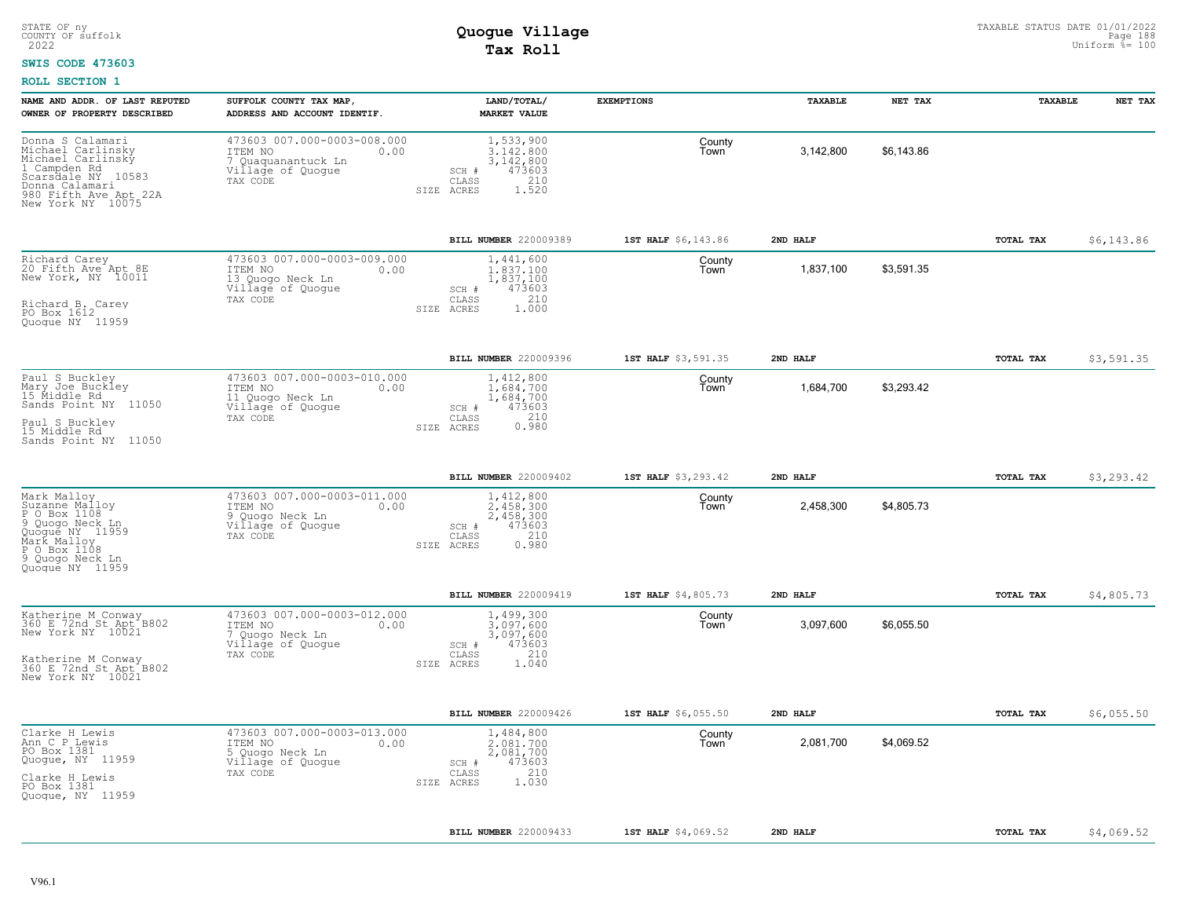#### **SWIS CODE 473603**

| NAME AND ADDR. OF LAST REPUTED<br>OWNER OF PROPERTY DESCRIBED                                                                                                                                        | SUFFOLK COUNTY TAX MAP,<br>ADDRESS AND ACCOUNT IDENTIF.                                             | LAND/TOTAL/<br><b>MARKET VALUE</b>                                                              | <b>EXEMPTIONS</b>   | TAXABLE   | NET TAX    | TAXABLE   | NET TAX    |
|------------------------------------------------------------------------------------------------------------------------------------------------------------------------------------------------------|-----------------------------------------------------------------------------------------------------|-------------------------------------------------------------------------------------------------|---------------------|-----------|------------|-----------|------------|
| Donna S Calamari<br>Michael Carlinsky<br>Michael Carlinsky<br>1 Campden Rd<br>Scarsdale NY 10583<br>Donna Calamari<br>980 Fifth Ave Apt 22A<br>New York NY 10075                                     | 473603 007.000-0003-008.000<br>ITEM NO<br>0.00<br>Quaquanantuck Ln<br>Village of Quogue<br>TAX CODE | 1,533,900<br>3.142.800<br>3, 142, 800<br>473603<br>SCH #<br>210<br>CLASS<br>1.520<br>SIZE ACRES | County<br>Town      | 3,142,800 | \$6,143.86 |           |            |
|                                                                                                                                                                                                      |                                                                                                     | BILL NUMBER 220009389                                                                           | 1ST HALF \$6,143.86 | 2ND HALF  |            | TOTAL TAX | \$6,143.86 |
| Richard Carey<br>20 Fifth Ave Apt 8E<br>New York, NY 10011<br>Richard B. Carey<br>PO Box 1612<br>Quogue NY 11959                                                                                     | 473603 007.000-0003-009.000<br>ITEM NO<br>0.00<br>13 Quogo Neck Ln<br>Village of Quogue<br>TAX CODE | 1,441,600<br>1,837,100<br>1,837,100<br>473603<br>SCH #<br>210<br>CLASS<br>1.000<br>SIZE ACRES   | County<br>Town      | 1,837,100 | \$3,591.35 |           |            |
|                                                                                                                                                                                                      |                                                                                                     | BILL NUMBER 220009396                                                                           | 1ST HALF \$3,591.35 | 2ND HALF  |            | TOTAL TAX | \$3,591.35 |
| Paul S Buckley<br>Mary Joe Buckley<br>ITEM NO<br>15 Middle Rd<br>11 Quogo Neck Ln<br>Sands Point NY 11050<br>Village of Quogue<br>TAX CODE<br>Paul S Buckley<br>15 Middle Rd<br>Sands Point NY 11050 | 473603 007.000-0003-010.000<br>0.00                                                                 | 1,412,800<br>1.684.700<br>1,684,700<br>473603<br>SCH #<br>210<br>CLASS<br>0.980<br>SIZE ACRES   | County<br>Town      | 1,684,700 | \$3,293.42 |           |            |
|                                                                                                                                                                                                      |                                                                                                     | BILL NUMBER 220009402                                                                           | 1ST HALF \$3,293.42 | 2ND HALF  |            | TOTAL TAX | \$3,293.42 |
| Mark Malloy<br>Suzanne Malloy<br>P O Box 1108<br>9<br>Quogo Neck Ln<br>Quõgué NY 11959<br>Mark Malloy<br>P O Box 1108<br>9 Quoqo Neck Ln<br>Quoque NY 11959                                          | 473603 007.000-0003-011.000<br>ITEM NO<br>0.00<br>9 Quoqo Neck Ln<br>Village of Quogue<br>TAX CODE  | 1,412,800<br>2.458.300<br>2,458,300<br>473603<br>SCH #<br>210<br>CLASS<br>0.980<br>SIZE ACRES   | County<br>Town      | 2,458,300 | \$4,805.73 |           |            |
|                                                                                                                                                                                                      |                                                                                                     | BILL NUMBER 220009419                                                                           | 1ST HALF \$4,805.73 | 2ND HALF  |            | TOTAL TAX | \$4,805.73 |
| Katherine M Conway<br>360 E 72nd St Apt B802<br>New York NY 10021<br>ITEM NO<br>Quogo Neck Ln<br>Village of Quogue<br>TAX CODE<br>Katherine M Conway<br>360 E 72nd St Apt B802<br>New York NY 10021  | 473603 007.000-0003-012.000<br>0.00                                                                 | 1,499,300<br>3.097.600<br>3,097,600<br>473603<br>SCH #<br>210<br>CLASS<br>1.040<br>SIZE ACRES   | County<br>Town      | 3,097,600 | \$6,055.50 |           |            |
|                                                                                                                                                                                                      |                                                                                                     | BILL NUMBER 220009426                                                                           | 1ST HALF \$6,055.50 | 2ND HALF  |            | TOTAL TAX | \$6,055.50 |
| Clarke H Lewis<br>Ann C P Lewis<br>PO Box 1381<br>Quogue, NY 11959<br>Clarke H Lewis<br>PO Box 1381<br>Quogue, NY 11959                                                                              | 473603 007.000-0003-013.000<br>ITEM NO<br>0.00<br>5 Quogo Neck Ln<br>Village of Quogue<br>TAX CODE  | 1,484,800<br>2.081.700<br>2,081,700<br>473603<br>SCH #<br>210<br>CLASS<br>1.030<br>SIZE ACRES   | County<br>Town      | 2,081,700 | \$4,069.52 |           |            |
|                                                                                                                                                                                                      |                                                                                                     | BILL NUMBER 220009433                                                                           | 1ST HALF \$4,069.52 | 2ND HALF  |            | TOTAL TAX | \$4,069.52 |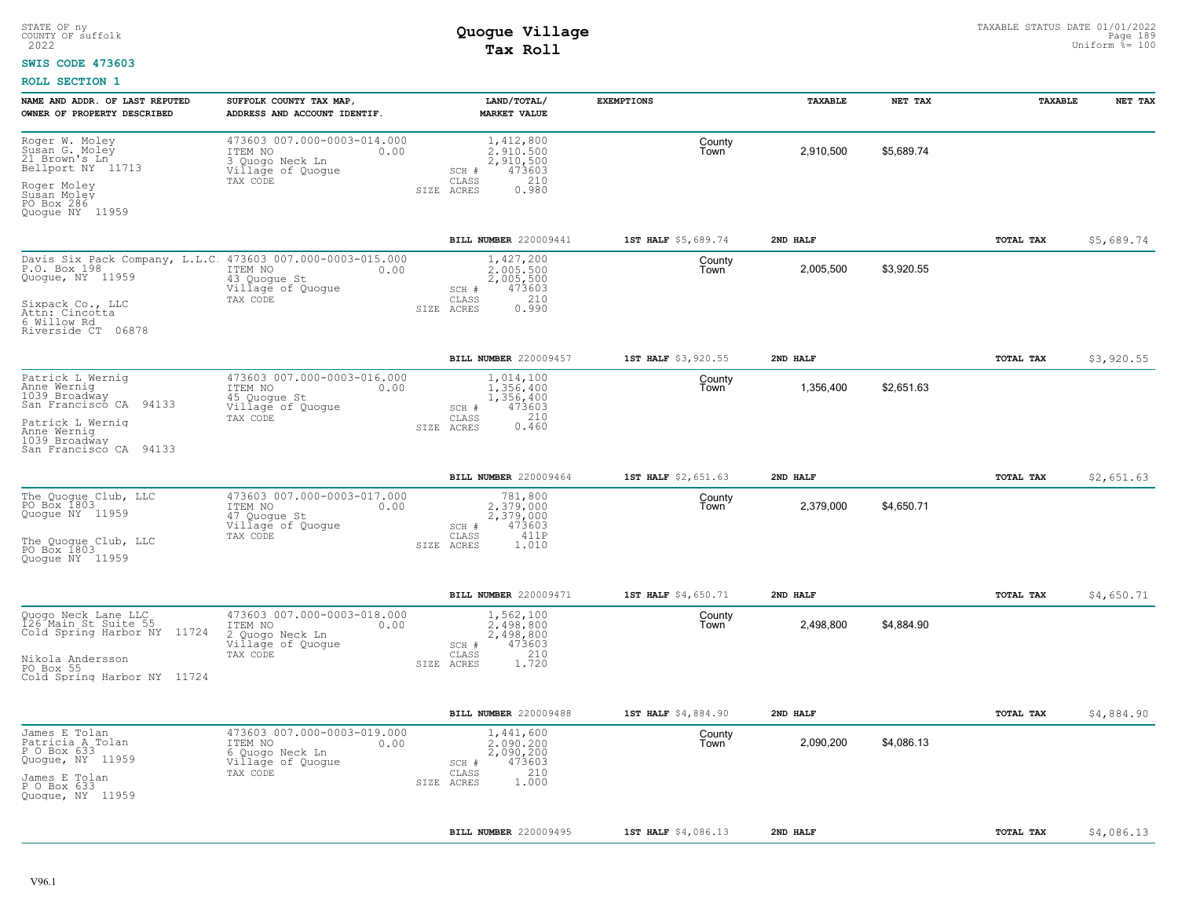#### **SWIS CODE 473603**

| NAME AND ADDR. OF LAST REPUTED<br>OWNER OF PROPERTY DESCRIBED                                                                                                             | SUFFOLK COUNTY TAX MAP,<br>ADDRESS AND ACCOUNT IDENTIF.                                            | LAND/TOTAL/<br><b>MARKET VALUE</b>                                                            | <b>EXEMPTIONS</b>   | TAXABLE   | NET TAX    | <b>TAXABLE</b>   | NET TAX    |
|---------------------------------------------------------------------------------------------------------------------------------------------------------------------------|----------------------------------------------------------------------------------------------------|-----------------------------------------------------------------------------------------------|---------------------|-----------|------------|------------------|------------|
| Roger W. Moley<br>Susan G. Moley<br>21 Brown's Ln<br>Bellport NY 11713<br>Roger Moley<br>Susan Moley<br>PO Box 286<br>Quogue NY 11959                                     | 473603 007.000-0003-014.000<br>ITEM NO<br>0.00<br>3 Quogo Neck Ln<br>Village of Quogue<br>TAX CODE | 1,412,800<br>2.910.500<br>2,910,500<br>473603<br>SCH #<br>210<br>CLASS<br>0.980<br>SIZE ACRES | County<br>Town      | 2,910,500 | \$5,689.74 |                  |            |
|                                                                                                                                                                           |                                                                                                    | BILL NUMBER 220009441                                                                         | 1ST HALF \$5,689.74 | 2ND HALF  |            | TOTAL TAX        | \$5,689.74 |
| Davis Six Pack Company, L.L.C. 473603 007.000-0003-015.000<br>P.O. Box 198<br>Quogue, NY 11959<br>Sixpack Co., LLC<br>Attn: Cincotta<br>6 Willow Rd<br>Riverside CT 06878 | ITEM NO<br>0.00<br>43 Quogue St<br>Village of Quogue<br>TAX CODE                                   | 1,427,200<br>2,005,500<br>2,005,500<br>473603<br>SCH #<br>210<br>CLASS<br>0.990<br>SIZE ACRES | County<br>Town      | 2,005,500 | \$3,920.55 |                  |            |
|                                                                                                                                                                           |                                                                                                    | BILL NUMBER 220009457                                                                         | 1ST HALF \$3,920.55 | 2ND HALF  |            | <b>TOTAL TAX</b> | \$3,920.55 |
| Patrick L Wernig<br>Anne Wernig<br>1039 Broadway<br>San Francisco CA 94133<br>Patrick L Wernig<br>Anne Wernig<br>1039 Broadway<br>San Francisco CA 94133                  | 473603 007.000-0003-016.000<br>ITEM NO<br>0.00<br>45 Quoque St<br>Village of Quogue<br>TAX CODE    | 1,014,100<br>1,356,400<br>1,356,400<br>473603<br>SCH #<br>210<br>CLASS<br>0.460<br>SIZE ACRES | County<br>Town      | 1,356,400 | \$2,651.63 |                  |            |
|                                                                                                                                                                           |                                                                                                    | BILL NUMBER 220009464                                                                         | 1ST HALF \$2,651.63 | 2ND HALF  |            | TOTAL TAX        | \$2,651.63 |
| The Quogue Club, LLC<br>PO Box 1803<br>Quoque NY 11959<br>The Quoque Club, LLC<br>PO Box 1803<br>Quoque NY 11959                                                          | 473603 007.000-0003-017.000<br>ITEM NO<br>0.00<br>47 Quogue St<br>Village of Quogue<br>TAX CODE    | 781,800<br>2.379.000<br>2,379,000<br>473603<br>SCH #<br>CLASS<br>411P<br>SIZE ACRES<br>1.010  | County<br>Town      | 2,379,000 | \$4,650.71 |                  |            |
|                                                                                                                                                                           |                                                                                                    | BILL NUMBER 220009471                                                                         | 1ST HALF \$4,650.71 | 2ND HALF  |            | TOTAL TAX        | \$4,650.71 |
| Quogo Neck Lane LLC<br>126 Main St Suite 55<br>Cold Spring Harbor NY 11724<br>Nikola Andersson<br>PO Box 55<br>Cold Spring Harbor NY 11724                                | 473603 007.000-0003-018.000<br>ITEM NO<br>0.00<br>2 Quogo Neck Ln<br>Village of Quogue<br>TAX CODE | 1,562,100<br>2.498.800<br>2,498,800<br>473603<br>SCH #<br>210<br>CLASS<br>1.720<br>SIZE ACRES | County<br>Town      | 2,498,800 | \$4,884.90 |                  |            |
|                                                                                                                                                                           |                                                                                                    | BILL NUMBER 220009488                                                                         | 1ST HALF \$4,884.90 | 2ND HALF  |            | TOTAL TAX        | \$4,884.90 |
| James E Tolan<br>Patricia A Tolan<br>P O Box 633<br>Quogue, NY 11959<br>James E Tolan<br>P O Box 633<br>Quogue, NY 11959                                                  | 473603 007.000-0003-019.000<br>ITEM NO<br>0.00<br>6 Quogo Neck Ln<br>Village of Quogue<br>TAX CODE | 1,441,600<br>2.090.200<br>2,090,200<br>473603<br>SCH #<br>210<br>CLASS<br>1.000<br>SIZE ACRES | County<br>Town      | 2,090,200 | \$4.086.13 |                  |            |
|                                                                                                                                                                           |                                                                                                    | BILL NUMBER 220009495                                                                         | 1ST HALF \$4,086.13 | 2ND HALF  |            | TOTAL TAX        | \$4,086.13 |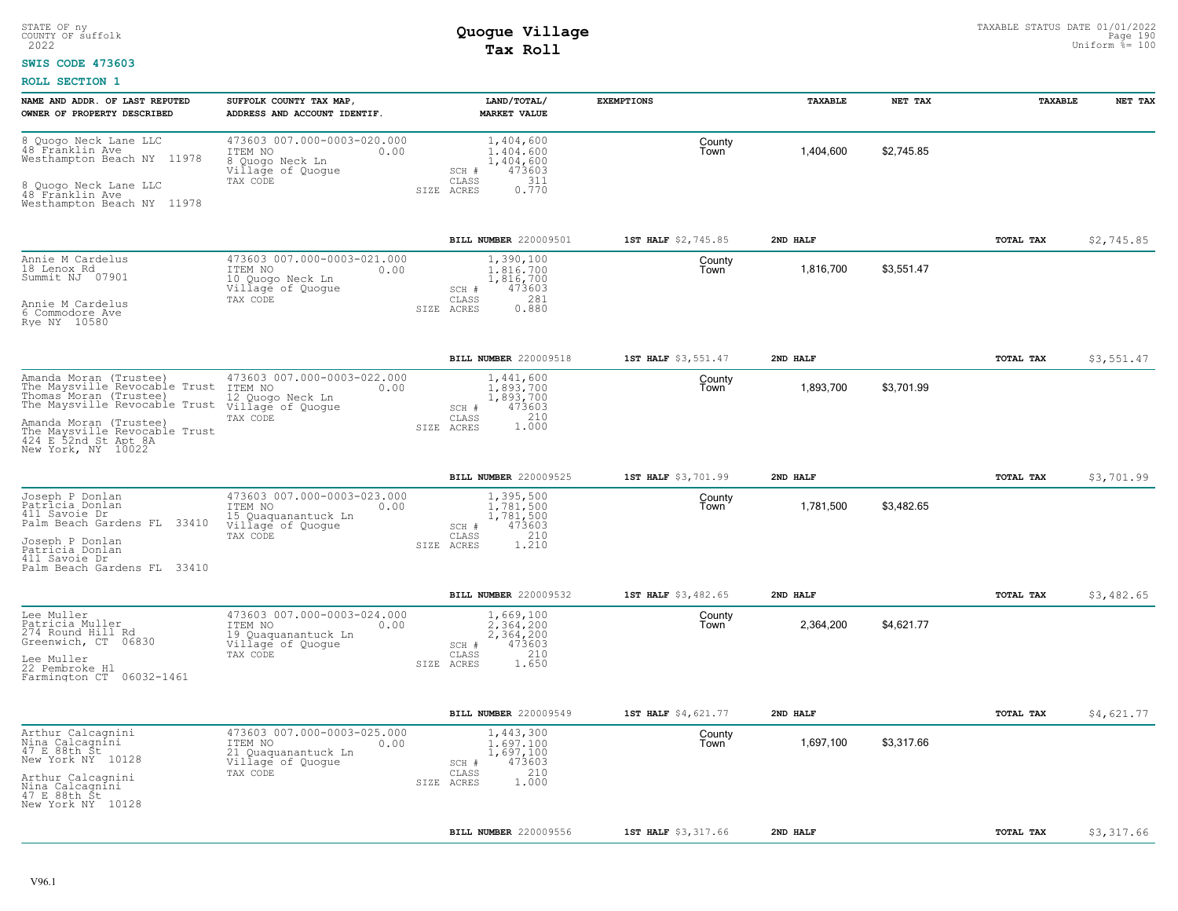#### **SWIS CODE 473603**

| 473603 007.000-0003-020.000<br>8 Quogo Neck Lane LLC<br>1,404,600<br>County<br>48 Fränklin Ave<br>Town<br>1,404,600<br>\$2,745.85<br>ITEM NO<br>1,404,600<br>0.00<br>Westhampton Beach NY 11978<br>8 Quoqo Neck Ln<br>1,404,600<br>Village of Quogue<br>473603<br>SCH #<br>311<br>TAX CODE<br>CLASS<br>8 Quogo Neck Lane LLC<br>0.770<br>ACRES<br>SIZE<br>48 Franklin Ave<br>Westhampton Beach NY 11978                                                                   |            |
|---------------------------------------------------------------------------------------------------------------------------------------------------------------------------------------------------------------------------------------------------------------------------------------------------------------------------------------------------------------------------------------------------------------------------------------------------------------------------|------------|
|                                                                                                                                                                                                                                                                                                                                                                                                                                                                           |            |
| BILL NUMBER 220009501<br>2ND HALF<br>TOTAL TAX<br>1ST HALF \$2,745.85                                                                                                                                                                                                                                                                                                                                                                                                     | \$2,745.85 |
| Annie M Cardelus<br>473603 007.000-0003-021.000<br>1,390,100<br>County<br>18 Lenox Rd<br>\$3.551.47<br>0.00<br>1,816,700<br>1,816,700<br>ITEM NO<br>Town<br>Summit NJ 07901<br>10 Quogo Neck Ln<br>1,816,700<br>Village of Quogue<br>473603<br>SCH #<br>281<br>TAX CODE<br>CLASS<br>Annie M Cardelus<br>0.880<br>ACRES<br>SIZE<br>6 Commodore Ave<br>Rye NY 10580                                                                                                         |            |
| BILL NUMBER 220009518<br>1ST HALF \$3,551.47<br>2ND HALF<br>TOTAL TAX                                                                                                                                                                                                                                                                                                                                                                                                     | \$3,551.47 |
| 473603 007.000-0003-022.000<br>Amanda Moran (Trustee)<br>1,441,600<br>County<br>\$3,701.99<br>The Maysville Revocable Trust<br>1,893,700<br>1,893,700<br>ITEM NO<br>0.00<br>Town<br>Thomas Moran (Trustee)<br>1,893,700<br>12 Quogo Neck Ln<br>The Maysville Revocable Trust<br>Village of Quogue<br>473603<br>SCH #<br>1.000<br>CLASS<br>TAX CODE<br>Amanda Moran (Trustee)<br>SIZE ACRES<br>The Maysville Revocable Trust<br>424 E 52nd St Apt 8A<br>New York, NY 10022 |            |
|                                                                                                                                                                                                                                                                                                                                                                                                                                                                           |            |
| BILL NUMBER 220009525<br>1ST HALF \$3,701.99<br>TOTAL TAX<br>2ND HALF<br>473603 007.000-0003-023.000<br>1,395,500<br>Joseph P Donlan<br>County                                                                                                                                                                                                                                                                                                                            | \$3,701.99 |
| Patricia Donlan<br>\$3,482.65<br>1,781,500<br>ITEM NO<br>1,781,500<br>0.00<br>Town<br>411 Savoie Dr<br>1,781,500<br>15 Quaquanantuck Ln<br>Palm Beach Gardens FL 33410<br>Village of Quogue<br>473603<br>SCH #<br>210<br>TAX CODE<br>CLASS<br>Joseph P Donlan<br>1.210<br>SIZE ACRES<br>Patricia Donlan<br>411 Savoie Dr<br>Palm Beach Gardens FL 33410                                                                                                                   |            |
| BILL NUMBER 220009532<br>1ST HALF \$3,482.65<br>2ND HALF<br>TOTAL TAX                                                                                                                                                                                                                                                                                                                                                                                                     | \$3,482.65 |
| 473603 007.000-0003-024.000<br>Lee Muller<br>1,669,100<br>County<br>Patricia Muller<br>\$4,621.77<br>ITEM NO<br>0.00<br>2.364.200<br>2,364,200<br>Town<br>274 Round Hill Rd<br>2,364,200<br>Quaquanantuck Ln<br>19.<br>Greenwich, CT 06830<br>473603<br>Village of Quogue<br>SCH #<br>210<br>TAX CODE<br>CLASS<br>Lee Muller<br>1.650<br>SIZE<br>ACRES<br>22 Pembroke Hl<br>Farmington CT 06032-1461                                                                      |            |
| BILL NUMBER 220009549<br>1ST HALF \$4,621.77<br>2ND HALF<br>TOTAL TAX                                                                                                                                                                                                                                                                                                                                                                                                     | \$4,621.77 |
| 473603 007.000-0003-025.000<br>Arthur Calcagnini<br>1,443,300<br>County<br>Nina Calcagníni<br>47 E 88th St<br>\$3,317.66<br>ITEM NO<br>1,697,100<br>Town<br>1,697,100<br>0.00<br>1,697,100<br>21 Quaquanantuck Ln<br>New York NY 10128<br>Village of Quogue<br>473603<br>SCH #<br>210<br>TAX CODE<br>CLASS<br>Arthur Calcagnini<br>1.000<br>SIZE ACRES<br>Nina Calcagnini<br>47 E 88th St<br>New York NY 10128                                                            |            |
| BILL NUMBER 220009556<br>1ST HALF \$3,317.66<br>2ND HALF<br>TOTAL TAX                                                                                                                                                                                                                                                                                                                                                                                                     | \$3,317.66 |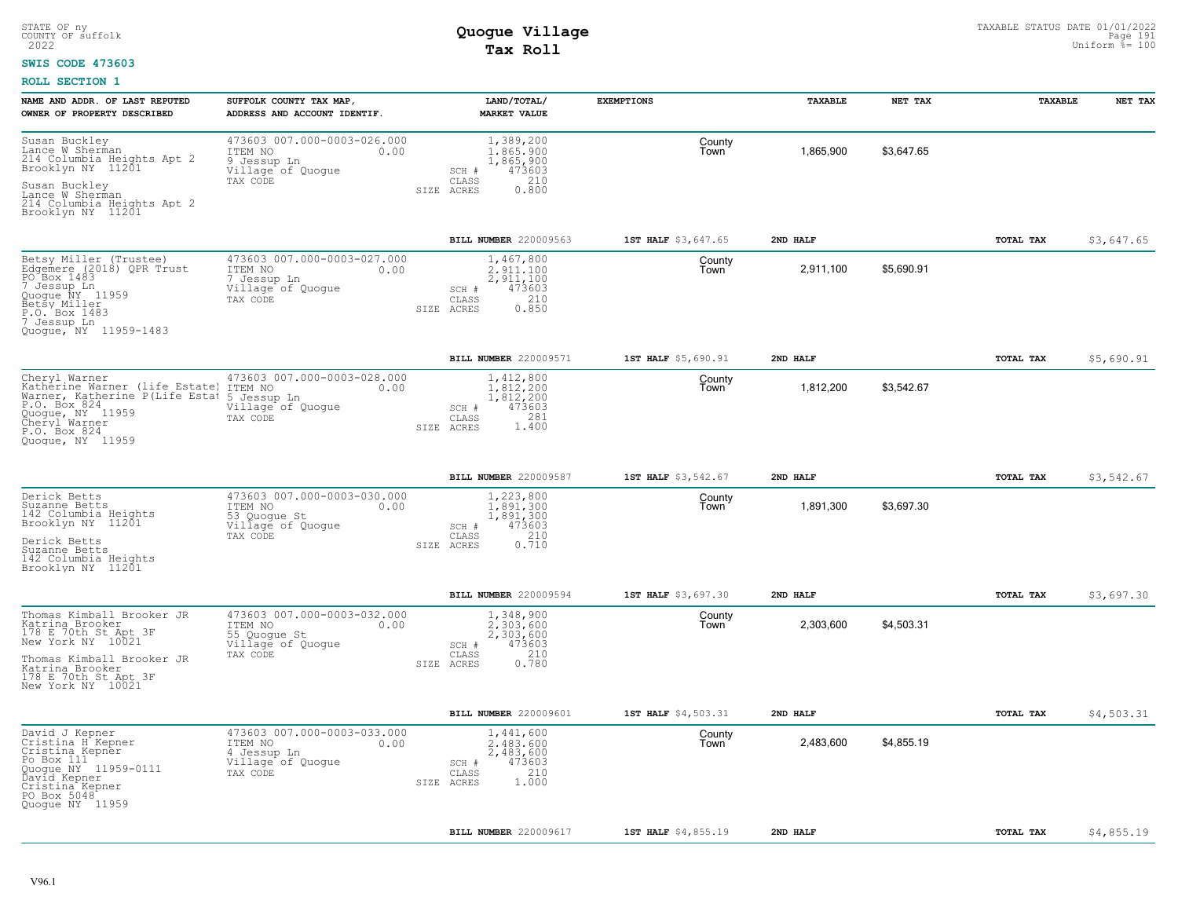#### **SWIS CODE 473603**

| NAME AND ADDR. OF LAST REPUTED<br>OWNER OF PROPERTY DESCRIBED                                                                                                                          | SUFFOLK COUNTY TAX MAP<br>ADDRESS AND ACCOUNT IDENTIF.                                                 | LAND/TOTAL/<br><b>MARKET VALUE</b>                                                                  | <b>EXEMPTIONS</b>   | TAXABLE   | NET TAX    | TAXABLE   | NET TAX    |
|----------------------------------------------------------------------------------------------------------------------------------------------------------------------------------------|--------------------------------------------------------------------------------------------------------|-----------------------------------------------------------------------------------------------------|---------------------|-----------|------------|-----------|------------|
| Susan Buckley<br>Lance W Sherman<br>214 Columbia Heights Apt 2<br>Brooklyn NY 11201<br>Susan Buckley<br>Lance W Sherman                                                                | 473603 007.000-0003-026.000<br>ITEM NO<br>0.00<br>9 Jessup Ln<br>Village of Quogue<br>TAX CODE<br>SIZE | 1,389,200<br>1,865,900<br>1,865,900<br>473603<br>SCH #<br>$\mathtt{CLASS}$<br>210<br>0.800<br>ACRES | County<br>Town      | 1,865,900 | \$3,647.65 |           |            |
| 214 Columbia Heights Apt 2<br>Brooklyn NY 11201                                                                                                                                        |                                                                                                        |                                                                                                     |                     |           |            |           |            |
|                                                                                                                                                                                        |                                                                                                        | <b>BILL NUMBER 220009563</b>                                                                        | 1ST HALF \$3,647.65 | 2ND HALF  |            | TOTAL TAX | \$3,647.65 |
| Betsy Miller (Trustee)<br>Edgemere (2018) QPR Trust<br>PO Box 1483<br>7 Jessup Ln<br>Quogue NY 11959<br>Betšy Miller<br>P.O. Box 1483<br>7 Jessup Ln<br>Quoque, NY 11959-1483          | 473603 007.000-0003-027.000<br>ITEM NO<br>0.00<br>7 Jessup Ln<br>Village of Quogue<br>TAX CODE         | 1,467,800<br>2,911,100<br>2,911,100<br>473603<br>SCH #<br>210<br>CLASS<br>0.850<br>SIZE ACRES       | County<br>Town      | 2,911,100 | \$5,690.91 |           |            |
|                                                                                                                                                                                        |                                                                                                        | <b>BILL NUMBER 220009571</b>                                                                        | 1ST HALF \$5,690.91 | 2ND HALF  |            | TOTAL TAX | \$5,690.91 |
| Cheryl Warner<br>Katherine Warner (life Estate)<br>Warner, Katherine P(Life Estat<br>P.O. Box 824<br>Quogue, NY 11959<br>Cheryl Warner<br>P.O. Box 824<br>Quoque, NY 11959             | 473603 007.000-0003-028.000<br>ITEM NO<br>0.00<br>5 Jessup Ln<br>Village of Quogue<br>TAX CODE         | 1,412,800<br>1.812.200<br>1,812,200<br>SCH #<br>473603<br>281<br>CLASS<br>1.400<br>SIZE ACRES       | County<br>Town      | 1,812,200 | \$3,542.67 |           |            |
|                                                                                                                                                                                        |                                                                                                        | BILL NUMBER 220009587                                                                               | 1ST HALF \$3,542.67 | 2ND HALF  |            | TOTAL TAX | \$3,542.67 |
| Derick Betts<br>Suzanne Betts<br>142 Columbia Heights<br>Brooklyn NY 11201<br>Derick Betts<br>Suzanne Betts<br>142 Columbia Heights<br>Brooklyn NY 11201                               | 473603 007.000-0003-030.000<br>ITEM NO<br>0.00<br>53 Quogue St<br>Village of Quogue<br>TAX CODE        | 1,223,800<br>1,891,300<br>1,891,300<br>473603<br>SCH #<br>210<br>CLASS<br>0.710<br>SIZE ACRES       | County<br>Town      | 1,891,300 | \$3,697.30 |           |            |
|                                                                                                                                                                                        |                                                                                                        | <b>BILL NUMBER 220009594</b>                                                                        | 1ST HALF \$3,697.30 | 2ND HALF  |            | TOTAL TAX | \$3,697.30 |
| Thomas Kimball Brooker JR<br>Katrina Brooker<br>178 E 70th St Apt 3F<br>New York NY 10021<br>Thomas Kimball Brooker JR<br>Katrina Brooker<br>178 E 70th St Apt 3F<br>New York NY 10021 | 473603 007.000-0003-032.000<br>ITEM NO<br>0.00<br>55 Quogue St<br>Villagé of Quoque<br>TAX CODE        | 1,348,900<br>2.303.600<br>2,303,600<br>473603<br>SCH #<br>210<br>CLASS<br>0.780<br>SIZE ACRES       | County<br>Town      | 2,303,600 | \$4,503.31 |           |            |
|                                                                                                                                                                                        |                                                                                                        | BILL NUMBER 220009601                                                                               | 1ST HALF \$4,503.31 | 2ND HALF  |            | TOTAL TAX | \$4,503.31 |
| David J Kepner<br>Cristina H Kepner<br>Cristina Kepner<br>Po Box 111<br>Quogue NY 11959-0111<br>Ďavíd Kepner<br>Cristina Kepner<br>PO Box 5048<br>Quoque NY 11959                      | 473603 007.000-0003-033.000<br>ITEM NO<br>0.00<br>4 Jessup Ln<br>Village of Quogue<br>TAX CODE         | 1,441,600<br>2,483,600<br>2,483,600<br>473603<br>SCH #<br>210<br>CLASS<br>1,000<br>SIZE ACRES       | County<br>Town      | 2,483,600 | \$4,855.19 |           |            |
|                                                                                                                                                                                        |                                                                                                        | BILL NUMBER 220009617                                                                               | 1ST HALF \$4,855.19 | 2ND HALF  |            | TOTAL TAX | \$4,855.19 |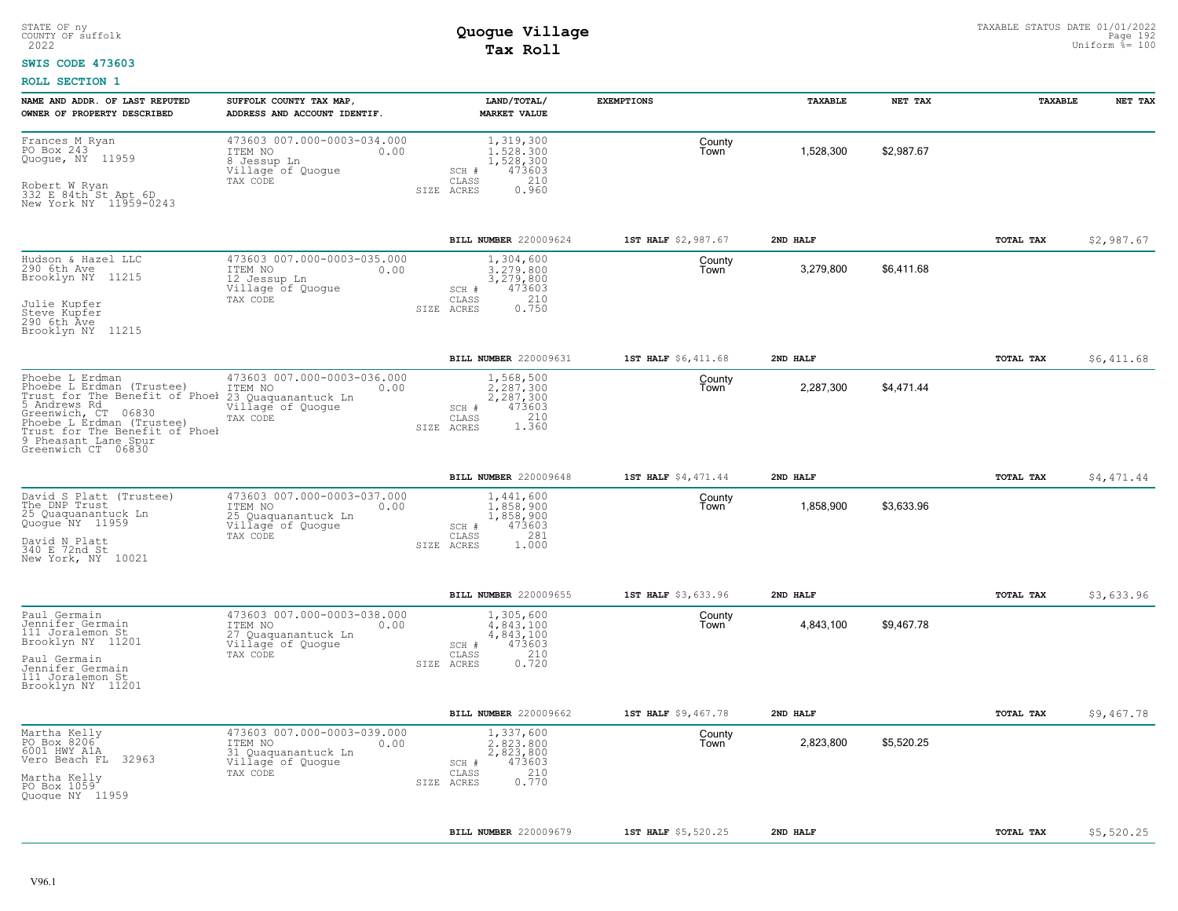#### **SWIS CODE 473603**

| NAME AND ADDR. OF LAST REPUTED<br>OWNER OF PROPERTY DESCRIBED                                                                                                                                                                                          | SUFFOLK COUNTY TAX MAP,<br>ADDRESS AND ACCOUNT IDENTIF.                                                | LAND/TOTAL/<br><b>MARKET VALUE</b>                                                            | <b>EXEMPTIONS</b>   | TAXABLE   | NET TAX    | TAXABLE          | NET TAX    |
|--------------------------------------------------------------------------------------------------------------------------------------------------------------------------------------------------------------------------------------------------------|--------------------------------------------------------------------------------------------------------|-----------------------------------------------------------------------------------------------|---------------------|-----------|------------|------------------|------------|
| Frances M Ryan<br>PO Box 243<br>Quogue, NY 11959<br>Robert W Ryan<br>332 E 84th St Apt 6D<br>New York NY 11959-0243                                                                                                                                    | 473603 007.000-0003-034.000<br>ITEM NO<br>0.00<br>8 Jessup Ln<br>Village of Quogue<br>TAX CODE         | 1,319,300<br>1,528,300<br>1,528,300<br>473603<br>SCH #<br>210<br>CLASS<br>SIZE ACRES<br>0.960 | County<br>Town      | 1,528,300 | \$2,987.67 |                  |            |
|                                                                                                                                                                                                                                                        |                                                                                                        | BILL NUMBER 220009624                                                                         | 1ST HALF \$2,987.67 | 2ND HALF  |            | TOTAL TAX        | \$2,987.67 |
| Hudson & Hazel LLC<br>290 6th Ave<br>Brooklyn NY 11215<br>Julie Kupfer<br>Steve Kupfer<br>290 6th Ave<br>Brooklyn NY 11215                                                                                                                             | 473603 007.000-0003-035.000<br>ITEM NO<br>0.00<br>12 Jessup Ln<br>Village of Quogue<br>TAX CODE        | 1,304,600<br>3,279,800<br>3,279,800<br>473603<br>SCH #<br>210<br>CLASS<br>0.750<br>SIZE ACRES | County<br>Town      | 3,279,800 | \$6,411.68 |                  |            |
|                                                                                                                                                                                                                                                        |                                                                                                        | BILL NUMBER 220009631                                                                         | 1ST HALF \$6,411.68 | 2ND HALF  |            | TOTAL TAX        | \$6,411.68 |
| Phoebe L Erdman<br>Phoebe L Erdman (Trustee)<br>Trust for The Benefit of Phoel 23 Quaquanantuck Ln<br>5 Andrews Rd<br>Greenwich, CT 06830<br>Phoebe L Erdman (Trustee)<br>Trust for The Benefit of Phoel<br>9 Pheasant Lane Spur<br>Greenwich CT 06830 | 473603 007.000-0003-036.000<br>ITEM NO<br>0.00<br>Village of Quogue<br>TAX CODE                        | 1,568,500<br>2.287.300<br>2,287,300<br>473603<br>SCH #<br>1.360<br>CLASS<br>SIZE ACRES        | County<br>Town      | 2,287,300 | \$4,471.44 |                  |            |
|                                                                                                                                                                                                                                                        |                                                                                                        | BILL NUMBER 220009648                                                                         | 1ST HALF \$4,471.44 | 2ND HALF  |            | TOTAL TAX        | \$4,471.44 |
| David S Platt (Trustee)<br>The DNP Trust<br>25 Quaquanantuck Ln<br>Quogue NY 11959<br>David N Platt<br>340 E 72nd St<br>New York, NY 10021                                                                                                             | 473603 007.000-0003-037.000<br>ITEM NO<br>0.00<br>25 Quaquanantuck Ln<br>Village of Quogue<br>TAX CODE | 1,441,600<br>1,858,900<br>1,858,900<br>473603<br>SCH #<br>281<br>CLASS<br>SIZE ACRES<br>1.000 | County<br>Town      | 1,858,900 | \$3,633.96 |                  |            |
|                                                                                                                                                                                                                                                        |                                                                                                        | <b>BILL NUMBER 220009655</b>                                                                  | 1ST HALF \$3,633.96 | 2ND HALF  |            | <b>TOTAL TAX</b> | \$3,633.96 |
| Paul Germain<br>Jennifer Germain<br>111 Joralemon St<br>Brooklyn NY 11201<br>Paul Germain<br>Jennifer Germain<br>111 Joralemon St<br>Brooklyn NY 11201                                                                                                 | 473603 007.000-0003-038.000<br>ITEM NO<br>0.00<br>27 Quaquanantuck Ln<br>Village of Quogue<br>TAX CODE | 1,305,600<br>4,843,100<br>4,843,100<br>473603<br>SCH #<br>0.720<br>CLASS<br>SIZE ACRES        | County<br>l own     | 4,843,100 | \$9,467.78 |                  |            |
|                                                                                                                                                                                                                                                        |                                                                                                        | BILL NUMBER 220009662                                                                         | 1ST HALF \$9,467.78 | 2ND HALF  |            | TOTAL TAX        | \$9,467.78 |
| Martha Kelly<br>PO Box 8206<br>6001 HWY A1A<br>Vero Beach FL 32963<br>Martha Kelly<br>PO Box 1059<br>Quoque NY 11959                                                                                                                                   | 473603 007.000-0003-039.000<br>ITEM NO<br>0.00<br>31 Quaquanantuck Ln<br>Village of Quogue<br>TAX CODE | 1,337,600<br>2,823,800<br>2,823,800<br>473603<br>SCH #<br>210<br>CLASS<br>0.770<br>SIZE ACRES | County<br>Town      | 2,823,800 | \$5,520.25 |                  |            |
|                                                                                                                                                                                                                                                        |                                                                                                        |                                                                                               |                     |           |            |                  |            |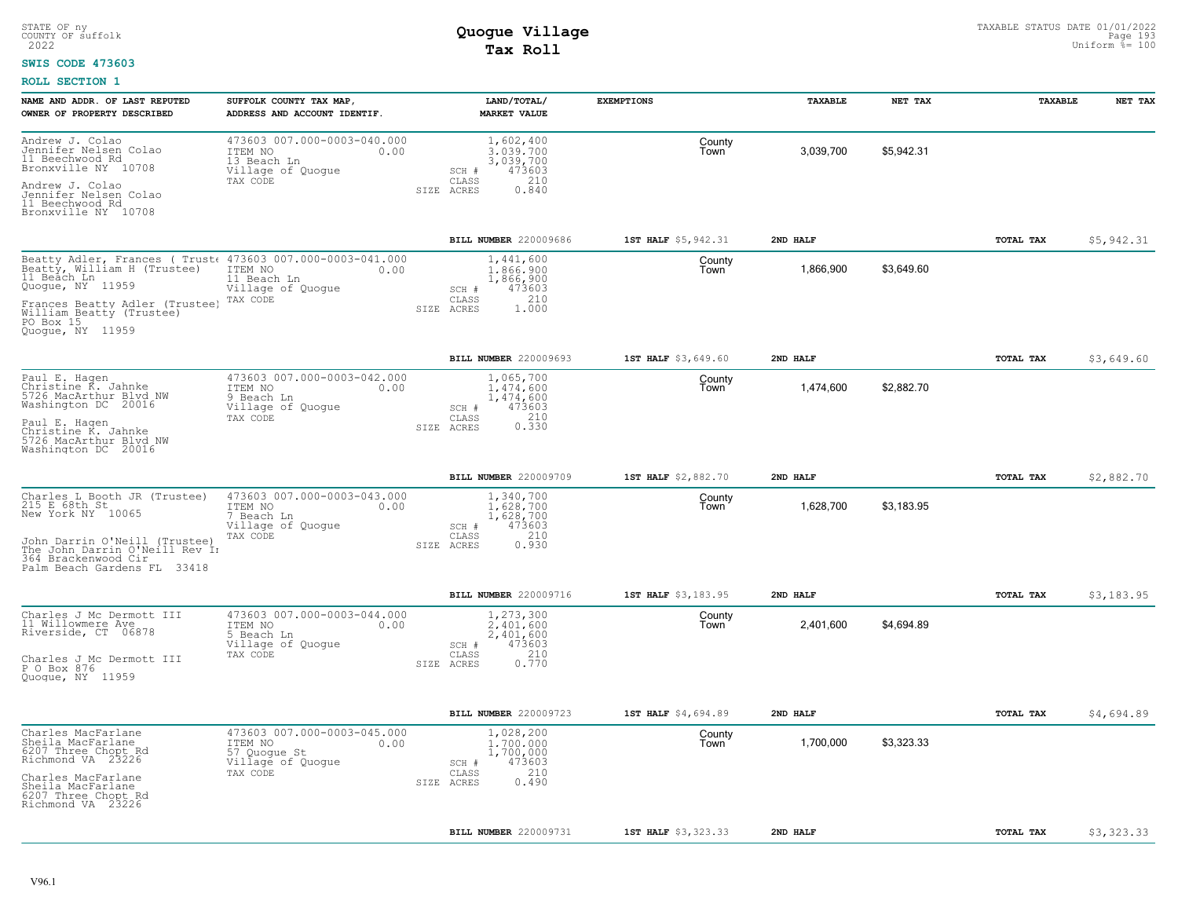#### **SWIS CODE 473603**

| NAME AND ADDR. OF LAST REPUTED<br>OWNER OF PROPERTY DESCRIBED                                                                                                | SUFFOLK COUNTY TAX MAP<br>ADDRESS AND ACCOUNT IDENTIF.                                         | LAND/TOTAL/<br><b>MARKET VALUE</b>                                                            | <b>EXEMPTIONS</b>   | TAXABLE   | NET TAX    | TAXABLE   | NET TAX    |
|--------------------------------------------------------------------------------------------------------------------------------------------------------------|------------------------------------------------------------------------------------------------|-----------------------------------------------------------------------------------------------|---------------------|-----------|------------|-----------|------------|
| Andrew J. Colao<br>Jennifer Nelsen Colao<br>11 Beechwood Rd<br>Bronxville NY 10708<br>Andrew J. Colao<br>Jennifer Nelsen Colao<br>11 Beechwood Rd            | 473603 007.000-0003-040.000<br>ITEM NO<br>0.00<br>13 Beach Ln<br>Village of Quogue<br>TAX CODE | 1,602,400<br>3.039.700<br>3,039,700<br>473603<br>SCH #<br>210<br>CLASS<br>SIZE ACRES<br>0.840 | County<br>Town      | 3,039,700 | \$5,942.31 |           |            |
| Bronxville NY 10708                                                                                                                                          |                                                                                                |                                                                                               |                     |           |            |           |            |
|                                                                                                                                                              |                                                                                                | BILL NUMBER 220009686                                                                         | 1ST HALF \$5,942.31 | 2ND HALF  |            | TOTAL TAX | \$5,942.31 |
| Beatty Adler, Frances (Trust 473603 007.000-0003-041.000<br>Beatty, William H (Trustee)<br>11 Beach Ln<br>Quogue, NY 11959                                   | ITEM NO<br>0.00<br>11 Beach Ln<br>Village of Quogue                                            | 1,441,600<br>1,866,900<br>1,866,900<br>473603<br>SCH #                                        | County<br>Town      | 1,866,900 | \$3,649.60 |           |            |
| Frances Beatty Adler (Trustee)<br>William Beatty (Trustee)<br>PO Box 15<br>Quoque, NY 11959                                                                  | TAX CODE                                                                                       | 210<br>CLASS<br>1.000<br>SIZE ACRES                                                           |                     |           |            |           |            |
|                                                                                                                                                              |                                                                                                | BILL NUMBER 220009693                                                                         | 1ST HALF \$3,649.60 | 2ND HALF  |            | TOTAL TAX | \$3,649.60 |
| Paul E. Hagen<br>Christine K. Jahnke<br>5726 MacArthur Blyd NW<br>Washington DC 20016                                                                        | 473603 007.000-0003-042.000<br>ITEM NO<br>0.00<br>9 Beach Ln<br>Village of Quogue              | 1,065,700<br>1,474,600<br>1,474,600<br>473603<br>SCH #                                        | County<br>Town      | 1,474,600 | \$2,882.70 |           |            |
| Paul E. Hagen<br>Christine K. Jahnke<br>5726 MacArthur Blvd NW<br>Washington DC 20016                                                                        | TAX CODE                                                                                       | 0.330<br>CLASS<br>SIZE ACRES                                                                  |                     |           |            |           |            |
|                                                                                                                                                              |                                                                                                | BILL NUMBER 220009709                                                                         | 1ST HALF \$2,882.70 | 2ND HALF  |            | TOTAL TAX | \$2,882.70 |
| Charles L Booth JR (Trustee)<br>215 E 68th St<br>New York NY 10065<br>John Darrin O'Neill (Trustee)<br>The John Darrin O'Neill Rev In<br>364 Brackenwood Cir | 473603 007.000-0003-043.000<br>ITEM NO<br>0.00<br>7 Beach Ln<br>Village of Quoque<br>TAX CODE  | 1,340,700<br>1,628,700<br>1,628,700<br>473603<br>SCH #<br>210<br>CLASS<br>0.930<br>SIZE ACRES | County<br>Town      | 1,628,700 | \$3,183.95 |           |            |
| Palm Beach Gardens FL 33418                                                                                                                                  |                                                                                                |                                                                                               |                     |           |            |           |            |
|                                                                                                                                                              |                                                                                                | BILL NUMBER 220009716                                                                         | 1ST HALF \$3,183.95 | 2ND HALF  |            | TOTAL TAX | \$3,183.95 |
| Charles J Mc Dermott III<br>11 Willowmere Ave<br>Riverside, CT 06878                                                                                         | 473603 007.000-0003-044.000<br>ITEM NO<br>0.00<br>5 Beach Ln<br>Village of Quogue              | 1,273,300<br>2.401.600<br>2,401,600<br>473603<br>SCH #                                        | County<br>Town      | 2,401,600 | \$4,694.89 |           |            |
| Charles J Mc Dermott III<br>P O Box 876<br>Quogue, NY 11959                                                                                                  | TAX CODE                                                                                       | 210<br>CLASS<br>0.770<br>SIZE ACRES                                                           |                     |           |            |           |            |
|                                                                                                                                                              |                                                                                                | BILL NUMBER 220009723                                                                         | 1ST HALF \$4,694.89 | 2ND HALF  |            | TOTAL TAX | \$4,694.89 |
| Charles MacFarlane<br>Sheila MacFarlane<br>6207 Three Chopt Rd<br>Richmond VA 23226                                                                          | 473603 007.000-0003-045.000<br>ITEM NO<br>0.00<br>57 Quoque St<br>Village of Quogue            | 1,028,200<br>1,700,000<br>1,700,000<br>473603<br>SCH #                                        | County<br>Town      | 1,700,000 | \$3,323.33 |           |            |
| Charles MacFarlane<br>Sheila MacFarlane<br>6207 Three Chopt Rd<br>Richmond VA 23226                                                                          | TAX CODE                                                                                       | 210<br>CLASS<br>0.490<br>SIZE ACRES                                                           |                     |           |            |           |            |
|                                                                                                                                                              |                                                                                                | BILL NUMBER 220009731                                                                         | 1ST HALF \$3,323.33 | 2ND HALF  |            | TOTAL TAX | \$3,323.33 |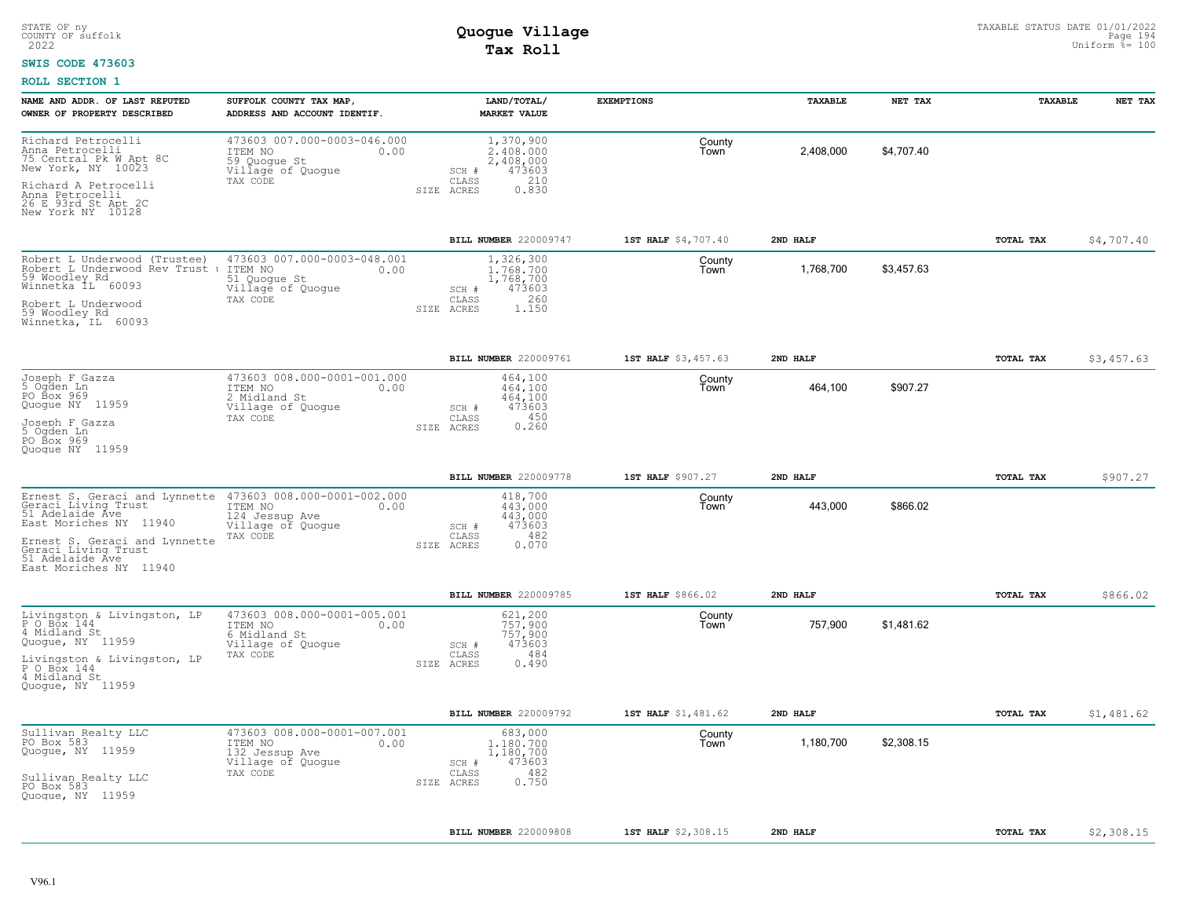#### **SWIS CODE 473603**

| NAME AND ADDR. OF LAST REPUTED<br>OWNER OF PROPERTY DESCRIBED                                                                                                                                                                                                     | SUFFOLK COUNTY TAX MAP,<br>ADDRESS AND ACCOUNT IDENTIF.                                           | LAND/TOTAL/<br><b>MARKET VALUE</b>                                                            | <b>EXEMPTIONS</b>   | TAXABLE   | NET TAX    | TAXABLE   | NET TAX    |
|-------------------------------------------------------------------------------------------------------------------------------------------------------------------------------------------------------------------------------------------------------------------|---------------------------------------------------------------------------------------------------|-----------------------------------------------------------------------------------------------|---------------------|-----------|------------|-----------|------------|
| Richard Petrocelli<br>Anna Petrocelli<br>75 Central Pk W Apt 8C<br>New York, NY 10023<br>Richard A Petrocelli                                                                                                                                                     | 473603 007.000-0003-046.000<br>ITEM NO<br>0.00<br>59 Quogue St<br>Villagé of Quogue<br>TAX CODE   | 1,370,900<br>2,408,000<br>2,408,000<br>473603<br>SCH #<br>210<br>CLASS<br>SIZE ACRES<br>0.830 | County<br>Town      | 2,408,000 | \$4,707.40 |           |            |
| Anna Petrocelli<br>26 E 93rd St Apt 2C<br>New York NY 10128                                                                                                                                                                                                       |                                                                                                   |                                                                                               |                     |           |            |           |            |
|                                                                                                                                                                                                                                                                   |                                                                                                   | BILL NUMBER 220009747                                                                         | 1ST HALF \$4,707.40 | 2ND HALF  |            | TOTAL TAX | \$4,707.40 |
| Robert L Underwood (Trustee)<br>Robert L Underwood Rev Trust t<br>59 Woodley Rd<br>Winnetka IL 60093<br>Robert L Underwood<br>59 Woodley_Rd                                                                                                                       | 473603 007.000-0003-048.001<br>ITEM NO<br>0.00<br>51 Quogue St<br>Village of Quogue<br>TAX CODE   | 1,326,300<br>1,768,700<br>1,768,700<br>473603<br>SCH #<br>260<br>CLASS<br>1.150<br>SIZE ACRES | County<br>Town      | 1,768,700 | \$3,457.63 |           |            |
| Winnetka, IL 60093                                                                                                                                                                                                                                                |                                                                                                   |                                                                                               |                     |           |            |           |            |
|                                                                                                                                                                                                                                                                   |                                                                                                   | BILL NUMBER 220009761                                                                         | 1ST HALF \$3,457.63 | 2ND HALF  |            | TOTAL TAX | \$3,457.63 |
| Joseph F Gazza<br>5 Ogden Ln<br>PO Box 969<br>Quogue NY 11959                                                                                                                                                                                                     | 473603 008.000-0001-001.000<br>ITEM NO<br>0.00<br>2 Midland St<br>Village of Quogue<br>TAX CODE   | 464,100<br>464,100<br>464,100<br>473603<br>SCH #<br>450<br>CLASS                              | County<br>Town      | 464,100   | \$907.27   |           |            |
| Joseph F Gazza<br>5 Oqden Ln<br>PO Box 969<br>Quoque NY 11959                                                                                                                                                                                                     |                                                                                                   | 0.260<br>SIZE ACRES                                                                           |                     |           |            |           |            |
|                                                                                                                                                                                                                                                                   |                                                                                                   | BILL NUMBER 220009778                                                                         | 1ST HALF \$907.27   | 2ND HALF  |            | TOTAL TAX | \$907.27   |
| Ernest S. Geraci and Lynnette 473603 008.000-0001-002.000<br>Geraci Living Trust TEM NO 100<br>51 Adelaide Ave 124 Jessup Ave 0.00<br>East Moriches NY 11940<br>Ernest S. Geraci and Lynnette<br>Geraci Living Trust<br>51 Adelaide Ave<br>East Moriches NY 11940 | 124 Jessup Ave<br>Village of Quogue<br>TAX CODE                                                   | 418,700<br>443,000<br>443,000<br>473603<br>SCH #<br>482<br>CLASS<br>0.070<br>SIZE ACRES       | County<br>Town      | 443,000   | \$866.02   |           |            |
|                                                                                                                                                                                                                                                                   |                                                                                                   | BILL NUMBER 220009785                                                                         | 1ST HALF \$866.02   | 2ND HALF  |            | TOTAL TAX | \$866.02   |
| Livingston & Livingston, LP<br>P 0 Box 144<br>4 Midland St<br>Quogue, NY 11959<br>Livingston & Livingston, LP                                                                                                                                                     | 473603 008.000-0001-005.001<br>ITEM NO<br>0.00<br>6 Midland St<br>Village of Quogue<br>TAX CODE   | 621,200<br>757.900<br>757,900<br>473603<br>SCH #<br>484<br>CLASS<br>0.490<br>SIZE ACRES       | County<br>Town      | 757,900   | \$1,481.62 |           |            |
| P O Box 144<br>4 Midland St<br>Quoque, NY 11959                                                                                                                                                                                                                   |                                                                                                   |                                                                                               |                     |           |            |           |            |
|                                                                                                                                                                                                                                                                   |                                                                                                   | BILL NUMBER 220009792                                                                         | 1ST HALF \$1,481.62 | 2ND HALF  |            | TOTAL TAX | \$1,481.62 |
| Sullivan Realty LLC<br>PO Box 583<br>Quogue, NY 11959<br>Sullivan Realty LLC                                                                                                                                                                                      | 473603 008.000-0001-007.001<br>ITEM NO<br>0.00<br>132 Jessup Ave<br>Village of Quogue<br>TAX CODE | 683,000<br>1,180,700<br>1,180,700<br>473603<br>SCH #<br>482<br>CLASS<br>0.750<br>SIZE ACRES   | County<br>Town      | 1,180,700 | \$2,308.15 |           |            |
| PO Box 583<br>Quoque, NY 11959                                                                                                                                                                                                                                    |                                                                                                   |                                                                                               |                     |           |            |           |            |
|                                                                                                                                                                                                                                                                   |                                                                                                   | BILL NUMBER 220009808                                                                         | 1ST HALF \$2,308.15 | 2ND HALF  |            | TOTAL TAX | \$2,308.15 |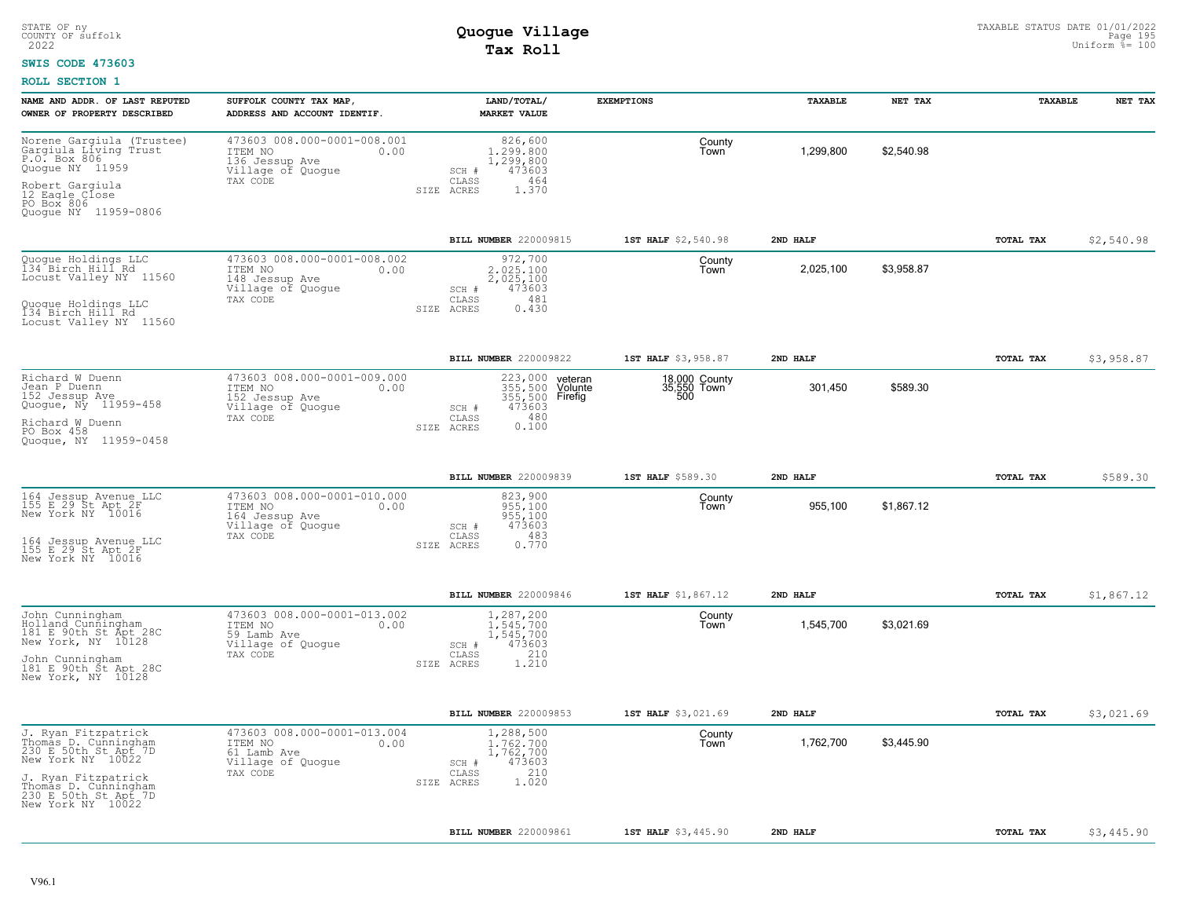#### **SWIS CODE 473603**

| NAME AND ADDR. OF LAST REPUTED<br>OWNER OF PROPERTY DESCRIBED                                                                                                                        | SUFFOLK COUNTY TAX MAP,<br>ADDRESS AND ACCOUNT IDENTIF.                                           | LAND/TOTAL/<br><b>MARKET VALUE</b>                                                                                   | <b>EXEMPTIONS</b>                     | TAXABLE               | NET TAX    | TAXABLE   | NET TAX    |
|--------------------------------------------------------------------------------------------------------------------------------------------------------------------------------------|---------------------------------------------------------------------------------------------------|----------------------------------------------------------------------------------------------------------------------|---------------------------------------|-----------------------|------------|-----------|------------|
| Norene Gargiula (Trustee)<br>Gargiula Living Trust<br>P.O. Box 806<br>Quoque NY 11959<br>Robert Gargiula<br>12 Eagle Close<br>PO Box 806                                             | 473603 008.000-0001-008.001<br>ITEM NO<br>0.00<br>136 Jessup Ave<br>Village of Quogue<br>TAX CODE | 826,600<br>1,299,800<br>1,299,800<br>473603<br>SCH #<br>CLASS<br>464<br>SIZE ACRES<br>1.370                          | County<br>Town                        | 1,299,800             | \$2,540.98 |           |            |
| Quoque NY 11959-0806                                                                                                                                                                 |                                                                                                   |                                                                                                                      |                                       |                       |            |           |            |
| Quogue Holdings LLC<br>134 Birch Hill Rd<br>Locust Valley NY 11560<br>Quoque Holdings LLC<br>134 Birch Hill Rd<br>Locust Valley NY 11560                                             | 473603 008.000-0001-008.002<br>ITEM NO<br>0.00<br>148 Jessup Ave<br>Village of Quogue<br>TAX CODE | BILL NUMBER 220009815<br>972,700<br>2.025.100<br>2,025,100<br>473603<br>SCH #<br>481<br>CLASS<br>0.430<br>SIZE ACRES | 1ST HALF \$2,540.98<br>County<br>Town | 2ND HALF<br>2,025,100 | \$3,958.87 | TOTAL TAX | \$2,540.98 |
|                                                                                                                                                                                      |                                                                                                   | BILL NUMBER 220009822                                                                                                | 1ST HALF \$3,958.87                   | 2ND HALF              |            | TOTAL TAX | \$3,958.87 |
| Richard W Duenn<br>Jean P Duenn<br>152 Jessup Ave<br>Quogue, Ny 11959-458<br>Richard W Duenn<br>PO Box 458<br>Quoque, NY 11959-0458                                                  | 473603 008.000-0001-009.000<br>ITEM NO<br>0.00<br>152 Jessup Ave<br>Village of Quogue<br>TAX CODE | 223,000<br>veteran<br>355,500 Volunte<br>355,500 Firefig<br>473603<br>SCH #<br>0.180<br>CLASS<br>SIZE ACRES          | 18,000 County<br>35,550 Town<br>500   | 301,450               | \$589.30   |           |            |
|                                                                                                                                                                                      |                                                                                                   | BILL NUMBER 220009839                                                                                                | 1ST HALF \$589.30                     | 2ND HALF              |            | TOTAL TAX | \$589.30   |
| 164 Jessup Avenue LLC<br>155 E 29 St Apt 2F<br>New York NY 10016<br>164 Jessup Avenue LLC<br>155 E 29 St Apt 2F<br>New York NY 10016                                                 | 473603 008.000-0001-010.000<br>ITEM NO<br>0.00<br>164 Jessup Ave<br>Village of Quogue<br>TAX CODE | 823,900<br>955,100<br>955,100<br>473603<br>SCH #<br>483<br>CLASS<br>0.770<br>SIZE ACRES                              | County<br>Town                        | 955,100               | \$1,867.12 |           |            |
|                                                                                                                                                                                      |                                                                                                   | BILL NUMBER 220009846                                                                                                | 1ST HALF \$1,867.12                   | 2ND HALF              |            | TOTAL TAX | \$1,867.12 |
| John Cunningham<br>Bolland Cunningham<br>181 E 90th St Apt 28C<br>New York, NY 10128<br>John Cunningham<br>181 E 90th St Apt 28C<br>New York, NY 10128                               | 473603 008.000-0001-013.002<br>ITEM NO<br>0.00<br>59 Lamb Ave<br>Village of Quogue<br>TAX CODE    | 1,287,200<br>1.545.700<br>1,545,700<br>473603<br>SCH #<br>210<br>CLASS<br>1.210<br>SIZE ACRES                        | County<br>Town                        | 1,545,700             | \$3,021.69 |           |            |
|                                                                                                                                                                                      |                                                                                                   | BILL NUMBER 220009853                                                                                                | 1ST HALF \$3,021.69                   | 2ND HALF              |            | TOTAL TAX | \$3,021.69 |
| J. Ryan Fitzpatrick<br>Thomas D. Cunningham<br>230 E 50th St Apt 7D<br>New York NY 10022<br>J. Ryan Fitzpatrick<br>Thomas D. Cunningham<br>230 E 50th St Apt 7D<br>New York NY 10022 | 473603 008.000-0001-013.004<br>ITEM NO<br>0.00<br>61 Lamb Ave<br>Village of Quogue<br>TAX CODE    | 1,288,500<br>1,762,700<br>1,762,700<br>473603<br>SCH #<br>210<br>CLASS<br>1.020<br>SIZE ACRES                        | County<br>Town                        | 1,762,700             | \$3,445.90 |           |            |
|                                                                                                                                                                                      |                                                                                                   | BILL NUMBER 220009861                                                                                                | 1ST HALF \$3,445.90                   | 2ND HALF              |            | TOTAL TAX | \$3,445.90 |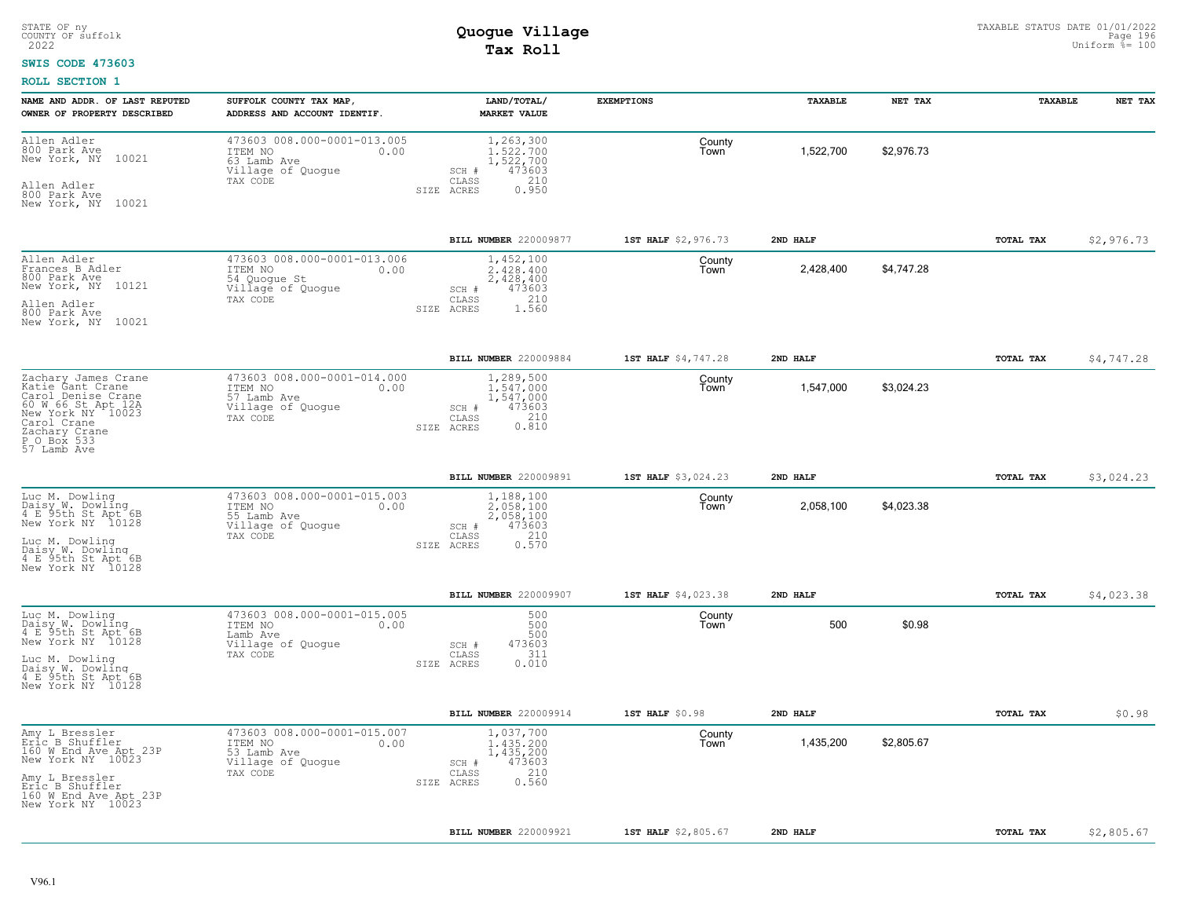#### **SWIS CODE 473603**

| NAME AND ADDR. OF LAST REPUTED<br>OWNER OF PROPERTY DESCRIBED                                                                                                          | SUFFOLK COUNTY TAX MAP,<br>ADDRESS AND ACCOUNT IDENTIF.                                         | LAND/TOTAL/<br><b>MARKET VALUE</b>                                                            | <b>EXEMPTIONS</b>   | TAXABLE   | NET TAX    | TAXABLE          | NET TAX    |
|------------------------------------------------------------------------------------------------------------------------------------------------------------------------|-------------------------------------------------------------------------------------------------|-----------------------------------------------------------------------------------------------|---------------------|-----------|------------|------------------|------------|
| Allen Adler<br>800 Park Ave<br>10021<br>New York, NY<br>Allen Adler<br>800 Park Ave<br>New York, NY 10021                                                              | 473603 008.000-0001-013.005<br>ITEM NO<br>0.00<br>63 Lamb Ave<br>Village of Quogue<br>TAX CODE  | 1,263,300<br>1,522,700<br>1,522,700<br>473603<br>SCH #<br>210<br>CLASS<br>0.950<br>SIZE ACRES | County<br>Town      | 1,522,700 | \$2,976.73 |                  |            |
|                                                                                                                                                                        |                                                                                                 | BILL NUMBER 220009877                                                                         | 1ST HALF \$2,976.73 | 2ND HALF  |            | TOTAL TAX        | \$2,976.73 |
| Allen Adler<br>Frances B Adler<br>800 Park Ave<br>New York, NY 10121<br>Allen Adler<br>800 Park Ave<br>New York, NY 10021                                              | 473603 008.000-0001-013.006<br>ITEM NO<br>0.00<br>54 Quogue St<br>Village of Quogue<br>TAX CODE | 1,452,100<br>2.428.400<br>2,428,400<br>473603<br>SCH #<br>210<br>CLASS<br>1.560<br>SIZE ACRES | County<br>Town      | 2,428,400 | \$4,747.28 |                  |            |
|                                                                                                                                                                        |                                                                                                 | BILL NUMBER 220009884                                                                         | 1ST HALF \$4,747.28 | 2ND HALF  |            | TOTAL TAX        | \$4,747.28 |
| Zachary James Crane<br>Katie Gant Crane<br>Carol Denise Crane<br>60 W 66 St Apt 12A<br>New York NY 10023<br>Carol Crane<br>Zachary Crane<br>P_O_Box 533<br>57 Lamb Ave | 473603 008.000-0001-014.000<br>ITEM NO<br>0.00<br>57 Lamb Ave<br>Village of Quogue<br>TAX CODE  | 1,289,500<br>1.547.000<br>1,547,000<br>473603<br>SCH #<br>0.210<br>CLASS<br>SIZE ACRES        | County<br>Town      | 1,547,000 | \$3,024.23 |                  |            |
|                                                                                                                                                                        |                                                                                                 | BILL NUMBER 220009891                                                                         | 1ST HALF \$3,024.23 | 2ND HALF  |            | TOTAL TAX        | \$3,024.23 |
| Luc M. Dowling<br>Daisy W. Dowling<br>4 E 95th St Apt 6B<br>New York NY 10128<br>Luc M. Dowling<br>Daisy W. Dowling<br>4 E 95th St Apt 6B<br>New York NY 10128         | 473603 008.000-0001-015.003<br>ITEM NO<br>0.00<br>55 Lamb Ave<br>Village of Quogue<br>TAX CODE  | 1,188,100<br>2,058,100<br>2,058,100<br>473603<br>SCH #<br>210<br>CLASS<br>0.570<br>SIZE ACRES | County<br>Town      | 2,058,100 | \$4,023.38 |                  |            |
|                                                                                                                                                                        |                                                                                                 | BILL NUMBER 220009907                                                                         | 1ST HALF \$4,023.38 | 2ND HALF  |            | <b>TOTAL TAX</b> | \$4,023.38 |
| Luc M. Dowling<br>Daisy W. Dowling<br>4 E 95th St Apt 6B<br>New York NY 10128<br>Luc M. Dowling<br>Daisy W. Dowling<br>4 E 95th St Apt 6B<br>New York NY 10128         | 473603 008.000-0001-015.005<br>ITEM NO<br>0.00<br>Lamb Ave<br>Village of Quogue<br>TAX CODE     | 500<br>500<br>500<br>473603<br>SCH #<br>311<br>CLASS<br>0.010<br>SIZE ACRES                   | County<br>Town      | 500       | \$0.98     |                  |            |
|                                                                                                                                                                        |                                                                                                 | BILL NUMBER 220009914                                                                         | 1ST HALF \$0.98     | 2ND HALF  |            | TOTAL TAX        | \$0.98     |
| Amy L Bressler<br>Eric B Shuffler<br>160 W End Ave Apt 23P<br>New York NY 10023<br>Amy L Bressler<br>Eric B Shuffler<br>160 W End Ave Apt 23P<br>New York NY 10023     | 473603 008.000-0001-015.007<br>ITEM NO<br>0.00<br>53 Lamb Ave<br>Village of Quogue<br>TAX CODE  | 1,037,700<br>1,435,200<br>1,435,200<br>473603<br>SCH #<br>210<br>CLASS<br>0.560<br>SIZE ACRES | County<br>Town      | 1,435,200 | \$2,805.67 |                  |            |
|                                                                                                                                                                        |                                                                                                 | BILL NUMBER 220009921                                                                         | 1ST HALF \$2,805.67 | 2ND HALF  |            | TOTAL TAX        | \$2,805.67 |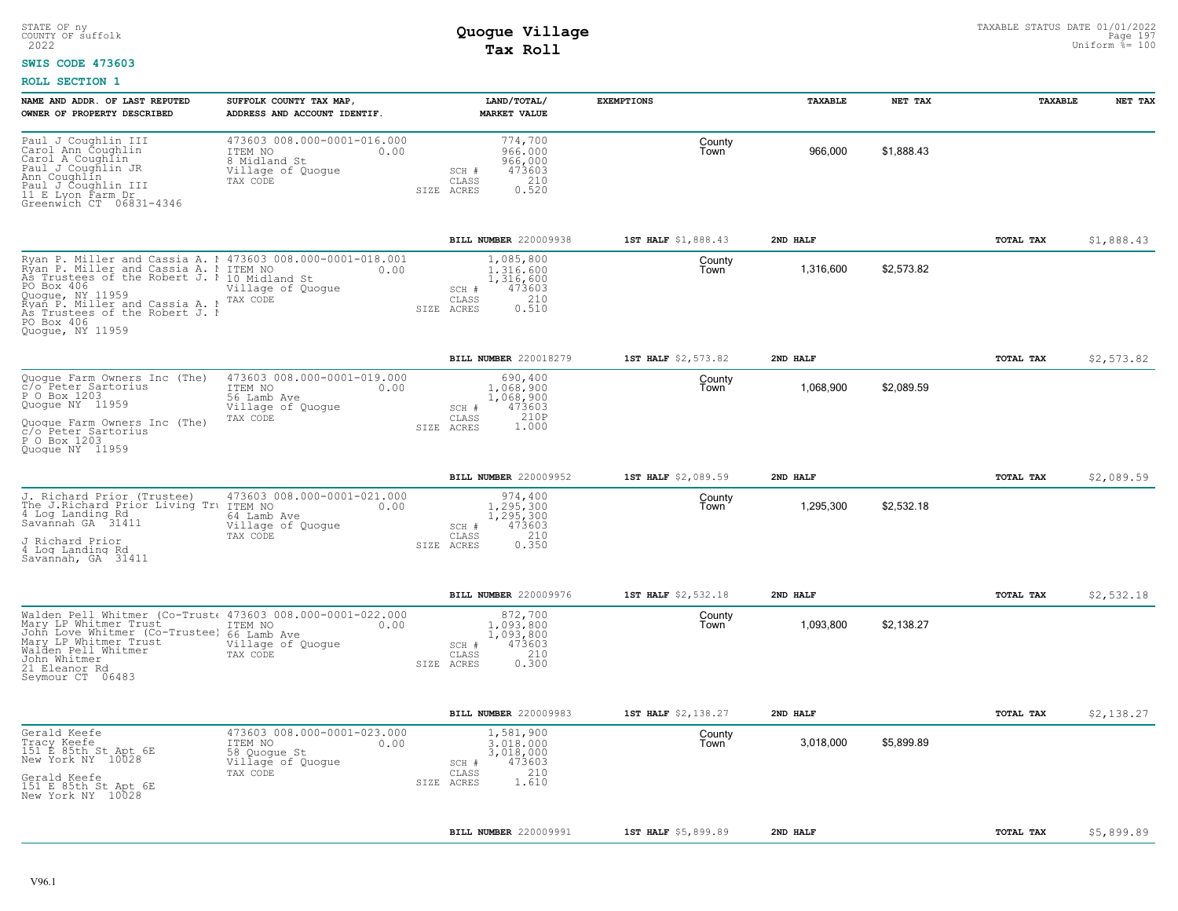#### **SWIS CODE 473603**

| 473603 008.000-0001-016.000<br>774,700<br>County<br>966,000<br>\$1,888.43<br>ITEM NO<br>966,000<br>0.00<br>Town<br>966,000<br>8 Midland St<br>473603<br>Village of Quogue<br>SCH #<br>210<br>CLASS<br>TAX CODE<br>SIZE ACRES<br>0.520<br>\$1,888.43<br>BILL NUMBER 220009938<br>1ST HALF \$1,888.43<br>2ND HALF<br>TOTAL TAX<br>Ryan P. Miller and Cassia A. 1 473603 008.000-0001-018.001<br>1,085,800<br>County<br>Ryan P. Miller and Cassia A. I ITEM NO<br>As Trustees of the Robert J. 1 10 Midland St<br>\$2,573.82<br>1.316.600<br>1,316,600<br>0.00<br>Town<br>1,316,600<br>Village of Quogue<br>473603<br>SCH #<br>210<br>CLASS<br>TAX CODE<br>Ryan P. Miller and Cassia A. N<br>As Trustees of the Robert J. N<br>0.510<br>SIZE ACRES<br><b>BILL NUMBER 220018279</b><br>1ST HALF \$2,573.82<br>2ND HALF<br>TOTAL TAX<br>\$2,573.82<br>473603 008.000-0001-019.000<br>690,400<br>County<br>1,068,900<br>\$2,089.59<br>ITEM NO<br>0.00<br>1,068,900<br>Town<br>56 Lamb Ave<br>1,068,900<br>473603<br>Village of Quoque<br>SCH #<br>210P<br>TAX CODE<br>CLASS<br>1.000<br>SIZE ACRES<br>BILL NUMBER 220009952<br>1ST HALF \$2,089.59<br>2ND HALF<br>TOTAL TAX<br>\$2,089.59<br>473603 008.000-0001-021.000<br>974,400<br>County<br>1,295,300<br>\$2,532.18<br>ITEM NO<br>1,295,300<br>0.00<br>Town<br>1,295,300<br>64 Lamb Ave<br>473603<br>Village of Quogue<br>SCH #<br>210<br>TAX CODE<br>CLASS<br>SIZE ACRES<br>0.350<br>\$2,532.18<br>BILL NUMBER 220009976<br>1ST HALF \$2,532.18<br>2ND HALF<br>TOTAL TAX<br>Walden Pell Whitmer (Co-Trust 473603 008.000-0001-022.000<br>872,700<br>County<br>1,093,800<br>\$2,138.27<br>ITEM NO<br>0.00<br>1,093,800<br>Town<br>John Love Whitmer (Co-Trustee)<br>66 Lamb Ave<br>1,093,800<br>473603<br>Village of Quoque<br>SCH #<br>210<br>TAX CODE<br>CLASS<br>0.300<br>SIZE ACRES<br>\$2,138.27<br>BILL NUMBER 220009983<br>1ST HALF \$2,138.27<br>2ND HALF<br>TOTAL TAX<br>473603 008.000-0001-023.000<br>1,581,900<br>County<br>\$5,899.89<br>0.00<br>3,018,000<br>3,018,000<br>ITEM NO<br>Town<br>58 Quoque St<br>3,018,000<br>473603<br>Village of Quogue<br>SCH #<br>210<br>CLASS<br>TAX CODE<br>1.610<br>SIZE ACRES<br>BILL NUMBER 220009991<br>1ST HALF \$5,899.89<br>2ND HALF<br>TOTAL TAX<br>\$5,899.89 | NAME AND ADDR. OF LAST REPUTED<br>OWNER OF PROPERTY DESCRIBED                                                                                                                    | SUFFOLK COUNTY TAX MAP,<br>ADDRESS AND ACCOUNT IDENTIF. | LAND/TOTAL/<br><b>MARKET VALUE</b> | <b>EXEMPTIONS</b> | TAXABLE | NET TAX | TAXABLE | NET TAX |
|-----------------------------------------------------------------------------------------------------------------------------------------------------------------------------------------------------------------------------------------------------------------------------------------------------------------------------------------------------------------------------------------------------------------------------------------------------------------------------------------------------------------------------------------------------------------------------------------------------------------------------------------------------------------------------------------------------------------------------------------------------------------------------------------------------------------------------------------------------------------------------------------------------------------------------------------------------------------------------------------------------------------------------------------------------------------------------------------------------------------------------------------------------------------------------------------------------------------------------------------------------------------------------------------------------------------------------------------------------------------------------------------------------------------------------------------------------------------------------------------------------------------------------------------------------------------------------------------------------------------------------------------------------------------------------------------------------------------------------------------------------------------------------------------------------------------------------------------------------------------------------------------------------------------------------------------------------------------------------------------------------------------------------------------------------------------------------------------------------------------------------------------------------------------------------------------------------------------------------------------------------------------------|----------------------------------------------------------------------------------------------------------------------------------------------------------------------------------|---------------------------------------------------------|------------------------------------|-------------------|---------|---------|---------|---------|
|                                                                                                                                                                                                                                                                                                                                                                                                                                                                                                                                                                                                                                                                                                                                                                                                                                                                                                                                                                                                                                                                                                                                                                                                                                                                                                                                                                                                                                                                                                                                                                                                                                                                                                                                                                                                                                                                                                                                                                                                                                                                                                                                                                                                                                                                       | Paul J Coughlin III<br>Carol Ann Coughlin<br>Carol A Coughlin<br>Paul J Coughlin JR<br>Ann Coughlín<br>Paul J Coughlin III<br>11 E Lyon Farm Dr<br>Greenwich CT 06831-4346       |                                                         |                                    |                   |         |         |         |         |
|                                                                                                                                                                                                                                                                                                                                                                                                                                                                                                                                                                                                                                                                                                                                                                                                                                                                                                                                                                                                                                                                                                                                                                                                                                                                                                                                                                                                                                                                                                                                                                                                                                                                                                                                                                                                                                                                                                                                                                                                                                                                                                                                                                                                                                                                       |                                                                                                                                                                                  |                                                         |                                    |                   |         |         |         |         |
|                                                                                                                                                                                                                                                                                                                                                                                                                                                                                                                                                                                                                                                                                                                                                                                                                                                                                                                                                                                                                                                                                                                                                                                                                                                                                                                                                                                                                                                                                                                                                                                                                                                                                                                                                                                                                                                                                                                                                                                                                                                                                                                                                                                                                                                                       | PO Box 406<br>Quogue, NY 11959<br>PO Box 406<br>Quoque, NY 11959                                                                                                                 |                                                         |                                    |                   |         |         |         |         |
|                                                                                                                                                                                                                                                                                                                                                                                                                                                                                                                                                                                                                                                                                                                                                                                                                                                                                                                                                                                                                                                                                                                                                                                                                                                                                                                                                                                                                                                                                                                                                                                                                                                                                                                                                                                                                                                                                                                                                                                                                                                                                                                                                                                                                                                                       |                                                                                                                                                                                  |                                                         |                                    |                   |         |         |         |         |
|                                                                                                                                                                                                                                                                                                                                                                                                                                                                                                                                                                                                                                                                                                                                                                                                                                                                                                                                                                                                                                                                                                                                                                                                                                                                                                                                                                                                                                                                                                                                                                                                                                                                                                                                                                                                                                                                                                                                                                                                                                                                                                                                                                                                                                                                       | Quogue Farm Owners Inc (The)<br>c/o Peter Sartorius<br>P O Box 1203<br>Quoque NY 11959<br>Quoque Farm Owners Inc (The)<br>c/o Peter Sartorius<br>P O Box 1203<br>Quoque NY 11959 |                                                         |                                    |                   |         |         |         |         |
|                                                                                                                                                                                                                                                                                                                                                                                                                                                                                                                                                                                                                                                                                                                                                                                                                                                                                                                                                                                                                                                                                                                                                                                                                                                                                                                                                                                                                                                                                                                                                                                                                                                                                                                                                                                                                                                                                                                                                                                                                                                                                                                                                                                                                                                                       |                                                                                                                                                                                  |                                                         |                                    |                   |         |         |         |         |
|                                                                                                                                                                                                                                                                                                                                                                                                                                                                                                                                                                                                                                                                                                                                                                                                                                                                                                                                                                                                                                                                                                                                                                                                                                                                                                                                                                                                                                                                                                                                                                                                                                                                                                                                                                                                                                                                                                                                                                                                                                                                                                                                                                                                                                                                       | J. Richard Prior (Trustee)<br>The J.Richard Prior Living Tru<br>4 Log Landing Rd<br>Savannah GA 31411<br>J Richard Prior<br>4 Log Landing Rd<br>Savannah, GA 31411               |                                                         |                                    |                   |         |         |         |         |
|                                                                                                                                                                                                                                                                                                                                                                                                                                                                                                                                                                                                                                                                                                                                                                                                                                                                                                                                                                                                                                                                                                                                                                                                                                                                                                                                                                                                                                                                                                                                                                                                                                                                                                                                                                                                                                                                                                                                                                                                                                                                                                                                                                                                                                                                       |                                                                                                                                                                                  |                                                         |                                    |                   |         |         |         |         |
|                                                                                                                                                                                                                                                                                                                                                                                                                                                                                                                                                                                                                                                                                                                                                                                                                                                                                                                                                                                                                                                                                                                                                                                                                                                                                                                                                                                                                                                                                                                                                                                                                                                                                                                                                                                                                                                                                                                                                                                                                                                                                                                                                                                                                                                                       | Mary LP Whitmer Trust<br>Mary LP Whitmer Trust<br>Walden Pell Whitmer<br>John Whitmer<br>21 Eleanor Rd<br>Seymour CT 06483                                                       |                                                         |                                    |                   |         |         |         |         |
|                                                                                                                                                                                                                                                                                                                                                                                                                                                                                                                                                                                                                                                                                                                                                                                                                                                                                                                                                                                                                                                                                                                                                                                                                                                                                                                                                                                                                                                                                                                                                                                                                                                                                                                                                                                                                                                                                                                                                                                                                                                                                                                                                                                                                                                                       |                                                                                                                                                                                  |                                                         |                                    |                   |         |         |         |         |
|                                                                                                                                                                                                                                                                                                                                                                                                                                                                                                                                                                                                                                                                                                                                                                                                                                                                                                                                                                                                                                                                                                                                                                                                                                                                                                                                                                                                                                                                                                                                                                                                                                                                                                                                                                                                                                                                                                                                                                                                                                                                                                                                                                                                                                                                       | Gerald Keefe<br>Tracy Keefe<br>151 E 85th St Apt 6E<br>New York NY 10028<br>Gerald Keefe<br>151 E 85th St Apt 6E<br>New York NY 10028                                            |                                                         |                                    |                   |         |         |         |         |
|                                                                                                                                                                                                                                                                                                                                                                                                                                                                                                                                                                                                                                                                                                                                                                                                                                                                                                                                                                                                                                                                                                                                                                                                                                                                                                                                                                                                                                                                                                                                                                                                                                                                                                                                                                                                                                                                                                                                                                                                                                                                                                                                                                                                                                                                       |                                                                                                                                                                                  |                                                         |                                    |                   |         |         |         |         |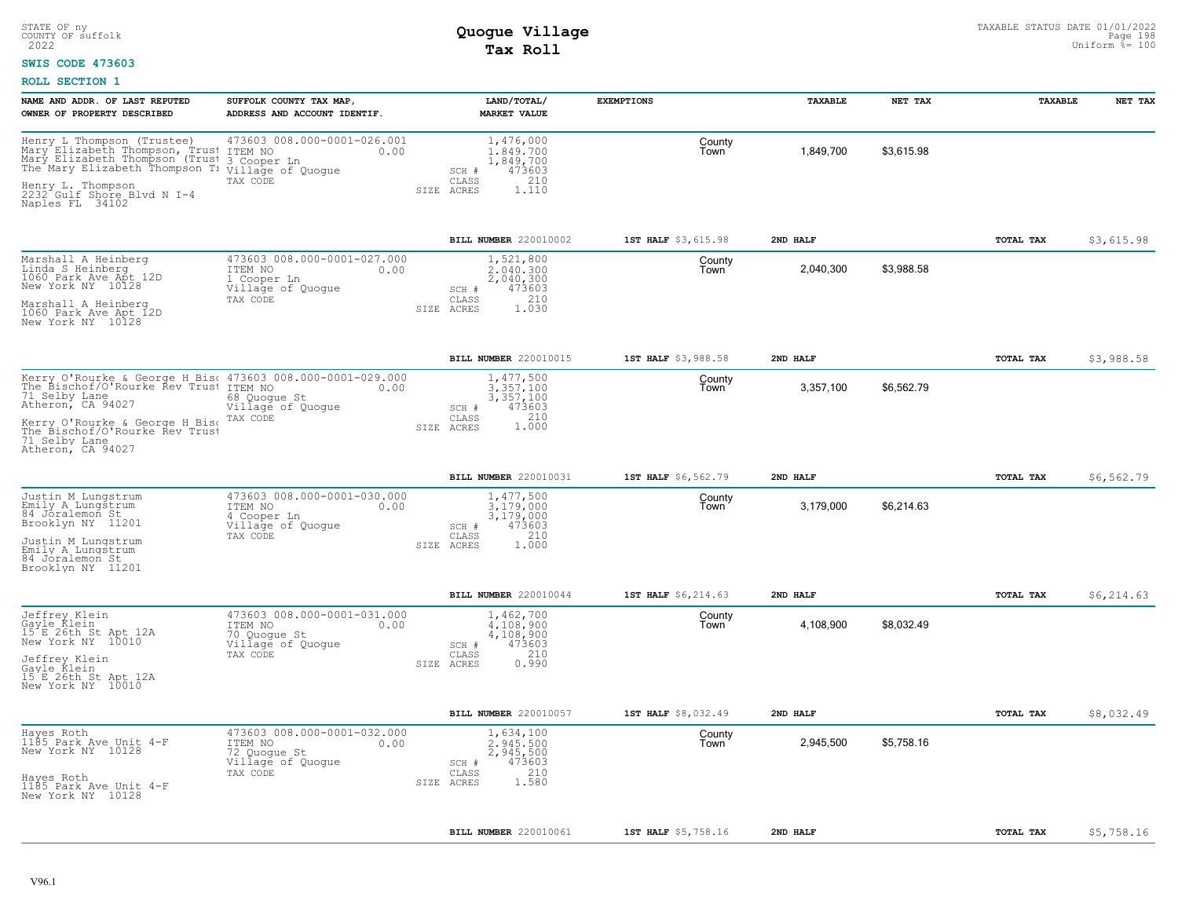#### **SWIS CODE 473603**

| NAME AND ADDR. OF LAST REPUTED<br>OWNER OF PROPERTY DESCRIBED                                                                                      | SUFFOLK COUNTY TAX MAP,<br>ADDRESS AND ACCOUNT IDENTIF.                             | LAND/TOTAL/<br><b>MARKET VALUE</b>                            | <b>EXEMPTIONS</b>   | TAXABLE   | NET TAX    | <b>TAXABLE</b> | NET TAX    |
|----------------------------------------------------------------------------------------------------------------------------------------------------|-------------------------------------------------------------------------------------|---------------------------------------------------------------|---------------------|-----------|------------|----------------|------------|
| Henry L Thompson (Trustee)<br>Mary Elizabeth Thompson, Trust<br>Mary Elizabeth Thompson (Trust<br>The Mary Elizabeth Thompson T: Village of Quogue | 473603 008.000-0001-026.001<br>ITEM NO<br>0.00<br>3 Cooper Ln                       | 1,476,000<br>1.849.700<br>1,849,700<br>473603<br>SCH #        | County<br>Town      | 1,849,700 | \$3,615.98 |                |            |
| Henry L. Thompson<br>2232 Gulf Shore Blvd N I-4<br>Naples FL 34102                                                                                 | TAX CODE                                                                            | 210<br>CLASS<br>1.110<br>SIZE ACRES                           |                     |           |            |                |            |
|                                                                                                                                                    |                                                                                     | BILL NUMBER 220010002                                         | 1ST HALF \$3,615.98 | 2ND HALF  |            | TOTAL TAX      | \$3,615.98 |
| Marshall A Heinberg<br>Linda S Heinberg<br>1060 Park Ave Apt 12D<br>New York NY 10128                                                              | 473603 008.000-0001-027.000<br>ITEM NO<br>0.00<br>1 Cooper Ln<br>Village of Quogue  | 1,521,800<br>2,040,300<br>2,040,300<br>473603<br>SCH #<br>210 | County<br>Town      | 2,040,300 | \$3,988.58 |                |            |
| Marshall A Heinberg<br>1060 Park Ave Apt 12D<br>New York NY 10128                                                                                  | TAX CODE                                                                            | CLASS<br>1.030<br>SIZE ACRES                                  |                     |           |            |                |            |
|                                                                                                                                                    |                                                                                     | BILL NUMBER 220010015                                         | 1ST HALF \$3,988.58 | 2ND HALF  |            | TOTAL TAX      | \$3,988.58 |
| Kerry O'Rourke & George H Bis  473603 008.000-0001-029.000<br>The Bischof/O'Rourke Rev Trust ITEM NO<br>71 Selby Lane<br>Atheron, CA 94027         | 0.00<br>68 Quogue St<br>Village of Quogue                                           | 1,477,500<br>3.357.100<br>3,357,100<br>SCH #<br>473603        | County<br>Town      | 3,357,100 | \$6,562.79 |                |            |
| Kerry O'Rourke & George H Bise<br>The Bischof/O'Rourke Rev Trust<br>71 Selby Lane<br>Atheron, CA 94027                                             | TAX CODE                                                                            | 1.000<br>CLASS<br>SIZE ACRES                                  |                     |           |            |                |            |
|                                                                                                                                                    |                                                                                     | BILL NUMBER 220010031                                         | 1ST HALF \$6,562.79 | 2ND HALF  |            | TOTAL TAX      | \$6,562.79 |
| Justin M Lungstrum<br>Emily A Lungstrum<br>84 Joralemon St<br>Brooklyn NY 11201                                                                    | 473603 008.000-0001-030.000<br>ITEM NO<br>0.00<br>4 Cooper Ln<br>Village of Quogue  | 1,477,500<br>3.179.000<br>3,179,000<br>473603<br>SCH #        | County<br>Town      | 3,179,000 | \$6,214.63 |                |            |
| Justin M Lungstrum<br>Emily A Lungstrum<br>84 Joralemon St<br>Brooklyn NY 11201                                                                    | TAX CODE                                                                            | 210<br>CLASS<br>SIZE ACRES<br>1,000                           |                     |           |            |                |            |
|                                                                                                                                                    |                                                                                     | BILL NUMBER 220010044                                         | 1ST HALF \$6,214.63 | 2ND HALF  |            | TOTAL TAX      | \$6,214.63 |
| Jeffrey Klein<br>Gayle Klein<br>15 E 26th St Apt 12A<br>New York NY 10010                                                                          | 473603 008.000-0001-031.000<br>ITEM NO<br>0.00<br>70 Quogue St<br>Village of Quogue | 1,462,700<br>4.108.900<br>4,108,900<br>473603<br>SCH #        | County<br>Town      | 4,108,900 | \$8,032.49 |                |            |
| Jeffrey Klein<br>Gayle Klein<br>15'E 26th St Apt 12A<br>New York NY 10010                                                                          | TAX CODE                                                                            | 210<br>CLASS<br>SIZE ACRES<br>0.990                           |                     |           |            |                |            |
|                                                                                                                                                    |                                                                                     | BILL NUMBER 220010057                                         | 1ST HALF \$8,032.49 | 2ND HALF  |            | TOTAL TAX      | \$8,032.49 |
| Hayes Roth<br>1185 Park Ave Unit 4-F<br>New York NY 10128                                                                                          | 473603 008.000-0001-032.000<br>ITEM NO<br>0.00<br>72 Quogue St<br>Village of Quogue | 1,634,100<br>2.945.500<br>2,945,500<br>473603<br>SCH #        | County<br>Town      | 2,945,500 | \$5,758.16 |                |            |
| Hayes Roth<br>1185 Park Ave Unit 4-F<br>New York NY 10128                                                                                          | TAX CODE                                                                            | 210<br>CLASS<br>1.580<br>SIZE ACRES                           |                     |           |            |                |            |
|                                                                                                                                                    |                                                                                     | BILL NUMBER 220010061                                         | 1ST HALF \$5,758.16 | 2ND HALF  |            | TOTAL TAX      | \$5,758.16 |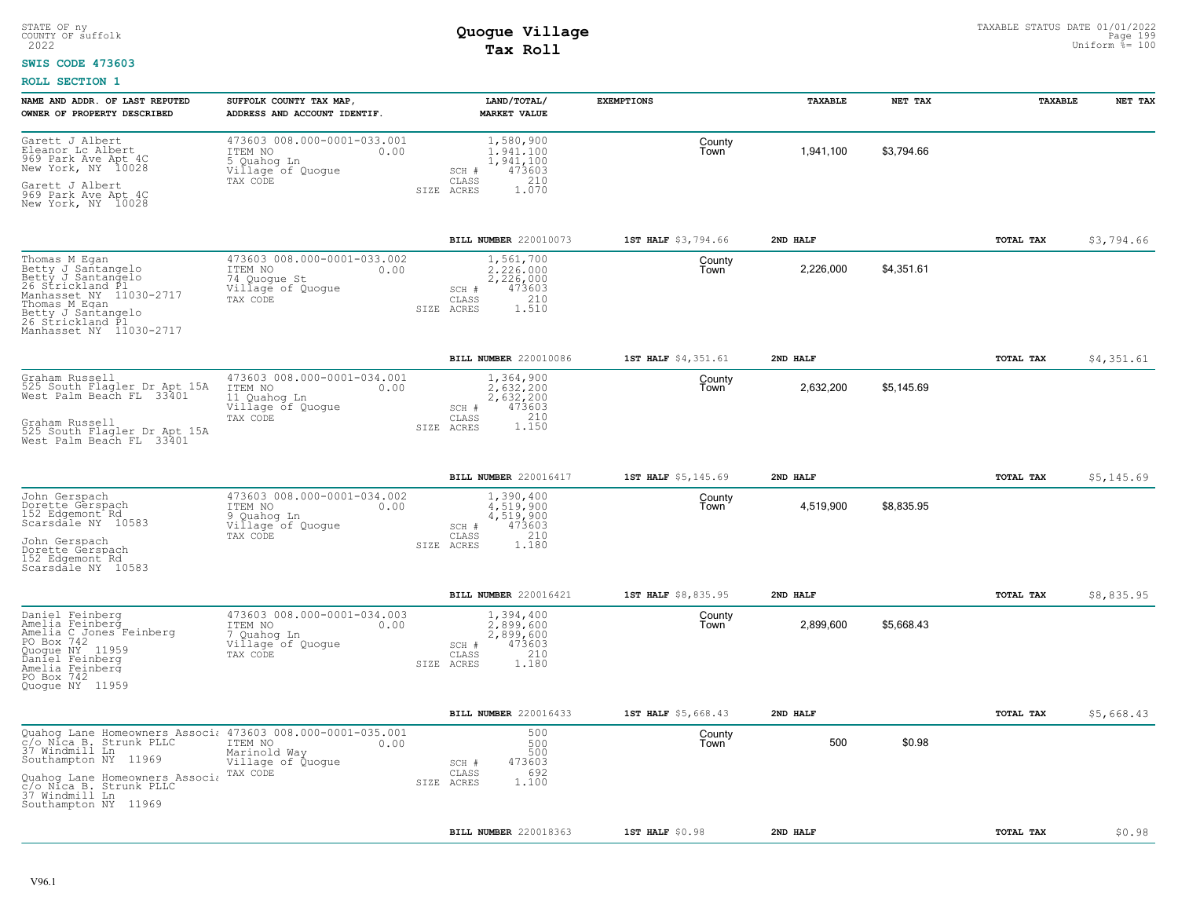#### **SWIS CODE 473603**

| NAME AND ADDR. OF LAST REPUTED<br>OWNER OF PROPERTY DESCRIBED                                                                                                                                  | SUFFOLK COUNTY TAX MAP,<br>ADDRESS AND ACCOUNT IDENTIF.                                         | LAND/TOTAL/<br><b>MARKET VALUE</b>                                                               | <b>EXEMPTIONS</b>   | TAXABLE   | NET TAX    | TAXABLE   | NET TAX    |
|------------------------------------------------------------------------------------------------------------------------------------------------------------------------------------------------|-------------------------------------------------------------------------------------------------|--------------------------------------------------------------------------------------------------|---------------------|-----------|------------|-----------|------------|
| Garett J Albert<br>Eleanor Lc Albert<br>969 Park Ave Apt 4C<br>New York, NY 10028<br>Garett J Albert<br>969 Park Ave Apt 4C                                                                    | 473603 008.000-0001-033.001<br>ITEM NO<br>0.00<br>5 Quahog Ln<br>Village of Quogue<br>TAX CODE  | 1,580,900<br>1.941.100<br>1,941,100<br>473603<br>SCH #<br>CLASS<br>210<br>1.070<br>ACRES<br>SIZE | County<br>Town      | 1,941,100 | \$3.794.66 |           |            |
| New York, NY 10028                                                                                                                                                                             |                                                                                                 |                                                                                                  |                     |           |            |           |            |
|                                                                                                                                                                                                |                                                                                                 | BILL NUMBER 220010073                                                                            | 1ST HALF \$3,794.66 | 2ND HALF  |            | TOTAL TAX | \$3,794.66 |
| Thomas M Egan<br>Betty J Santangelo<br>Betty J Santangelo<br>26 Strickland Pl<br>Manhasset NY 11030-2717<br>Thomas M Egan<br>Betty J Santangelo<br>26 Strickland Pl<br>Manhasset NY 11030-2717 | 473603 008.000-0001-033.002<br>ITEM NO<br>0.00<br>74 Quoque St<br>Village of Quogue<br>TAX CODE | 1,561,700<br>2.226.000<br>2,226,000<br>473603<br>SCH #<br>210<br>CLASS<br>SIZE ACRES<br>1.510    | County<br>Town      | 2,226,000 | \$4,351.61 |           |            |
|                                                                                                                                                                                                |                                                                                                 | BILL NUMBER 220010086                                                                            | 1ST HALF \$4,351.61 | 2ND HALF  |            | TOTAL TAX | \$4,351.61 |
| Graham Russell<br>525 South Flagler Dr Apt 15A<br>West Palm Beach FL 33401                                                                                                                     | 473603 008.000-0001-034.001<br>ITEM NO<br>0.00<br>11 Quahoq Ln<br>Village of Quogue<br>TAX CODE | 1,364,900<br>2.632.200<br>2,632,200<br>473603<br>SCH #<br>$\mathtt{CLASS}$                       | County<br>Town      | 2,632,200 | \$5,145.69 |           |            |
| Graham Russell<br>525 South Flaqler Dr Apt 15A<br>West Palm Beach FL 33401                                                                                                                     |                                                                                                 | 1.150<br>SIZE ACRES                                                                              |                     |           |            |           |            |
|                                                                                                                                                                                                |                                                                                                 | BILL NUMBER 220016417                                                                            | 1ST HALF \$5,145.69 | 2ND HALF  |            | TOTAL TAX | \$5,145.69 |
| John Gerspach<br>Dorette Gerspach<br>152 Edgemont <sup>-</sup> Rd<br>Scarsdäle NY 10583<br>John Gerspach<br>Dorette Gerspach<br>152 Edgemont Rd<br>Scarsdale NY 10583                          | 473603 008.000-0001-034.002<br>ITEM NO<br>0.00<br>9 Quahog Ln<br>Village of Quoque<br>TAX CODE  | 1,390,400<br>4.519.900<br>4,519,900<br>473603<br>SCH #<br>210<br>CLASS<br>1.180<br>SIZE ACRES    | County<br>Town      | 4,519,900 | \$8,835.95 |           |            |
|                                                                                                                                                                                                |                                                                                                 | BILL NUMBER 220016421                                                                            | 1ST HALF \$8,835.95 | 2ND HALF  |            | TOTAL TAX | \$8,835.95 |
| Daniel Feinberg<br>Amelia Feinberg<br>Amelia C Jones Feinberg<br>PO Box 742<br>Quoque NY 11959<br>Daniel Feinberg<br>Amelia Feinberg<br>PO Box 742<br>Quoque NY 11959                          | 473603 008.000-0001-034.003<br>ITEM NO<br>0.00<br>7 Quahog Ln<br>Village of Quogue<br>TAX CODE  | 1,394,400<br>2,899,600<br>2,899,600<br>473603<br>SCH #<br>210<br>CLASS<br>1,180<br>SIZE ACRES    | County<br>Town      | 2,899,600 | \$5,668.43 |           |            |
|                                                                                                                                                                                                |                                                                                                 | BILL NUMBER 220016433                                                                            | 1ST HALF \$5,668.43 | 2ND HALF  |            | TOTAL TAX | \$5,668.43 |
| Quahog Lane Homeowners Associ 473603 008.000-0001-035.001<br>C/o Nica B. Strunk PLLC TTEM NO 0.00<br>37 Windmill Ln 2006 Marinold Wav 0.00<br>Southampton NY 11969                             | Marinold Way<br>Village of Quogue                                                               | 500<br>500<br>500<br>473603<br>SCH #                                                             | County<br>Town      | 500       | \$0.98     |           |            |
| Quahog Lane Homeowners Associa<br>C/o Nica B. Strunk PLLC<br>37 Windmill Ln<br>Southampton NY 11969                                                                                            | TAX CODE                                                                                        | 692<br>CLASS<br>1,100<br>SIZE ACRES                                                              |                     |           |            |           |            |
|                                                                                                                                                                                                |                                                                                                 | BILL NUMBER 220018363                                                                            | 1ST HALF \$0.98     | 2ND HALF  |            | TOTAL TAX | \$0.98     |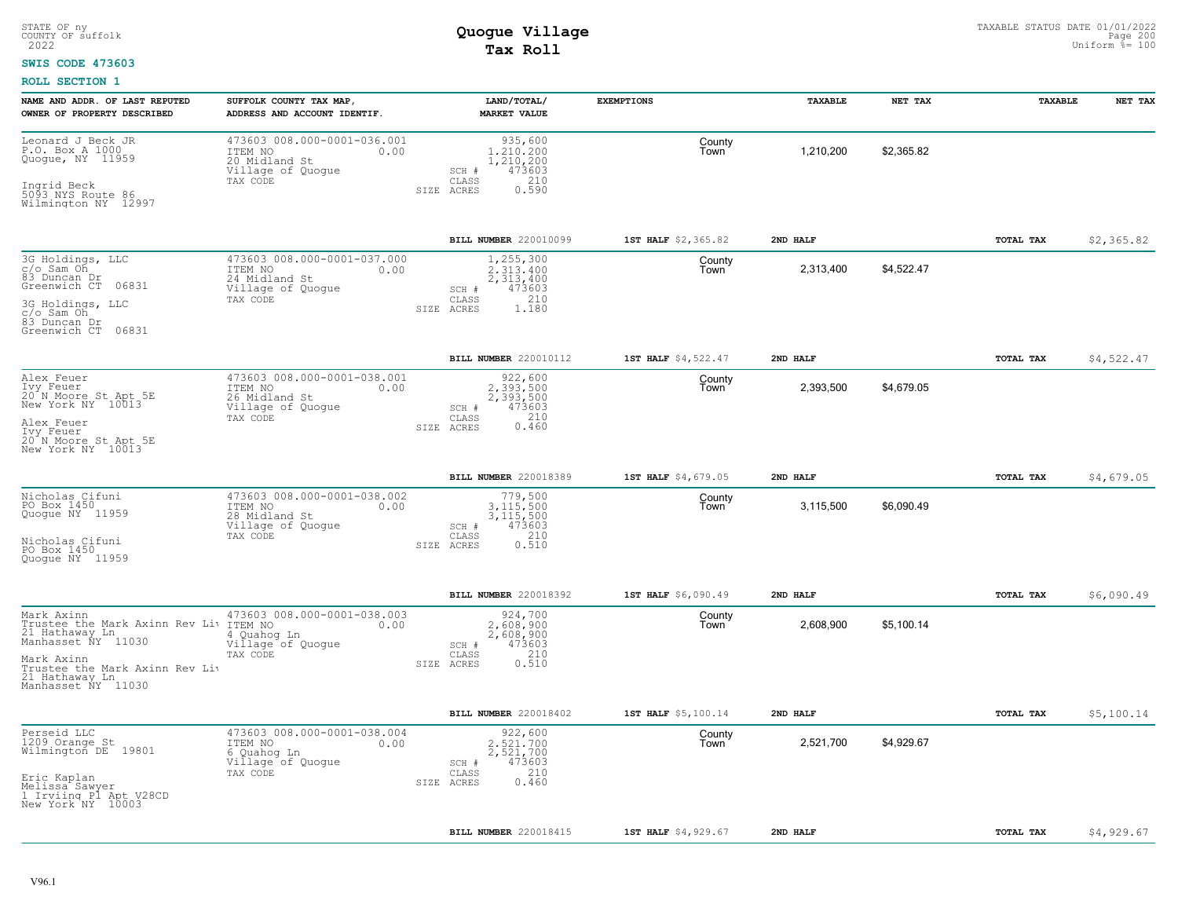#### **SWIS CODE 473603**

| NAME AND ADDR. OF LAST REPUTED<br>OWNER OF PROPERTY DESCRIBED                                                                                                                                                  | SUFFOLK COUNTY TAX MAP,<br>ADDRESS AND ACCOUNT IDENTIF.                                          | LAND/TOTAL/<br><b>MARKET VALUE</b>                                                            | <b>EXEMPTIONS</b>   | TAXABLE   | NET TAX    | TAXABLE   | NET TAX    |
|----------------------------------------------------------------------------------------------------------------------------------------------------------------------------------------------------------------|--------------------------------------------------------------------------------------------------|-----------------------------------------------------------------------------------------------|---------------------|-----------|------------|-----------|------------|
| Leonard J Beck JR<br>P.O. Box A 1000<br>Quogue, NY 11959<br>Ingrid Beck<br>5093 NYS Route 86<br>Wilmington NY 12997                                                                                            | 473603 008.000-0001-036.001<br>ITEM NO<br>0.00<br>20 Midland St<br>Village of Quogue<br>TAX CODE | 935,600<br>1,210,200<br>1,210,200<br>473603<br>SCH #<br>210<br>CLASS<br>SIZE ACRES<br>0.590   | County<br>Town      | 1,210,200 | \$2,365.82 |           |            |
|                                                                                                                                                                                                                |                                                                                                  | BILL NUMBER 220010099                                                                         | 1ST HALF \$2,365.82 | 2ND HALF  |            | TOTAL TAX | \$2,365.82 |
| 3G Holdings, LLC<br>c/o Sam Oh<br>83 Duncan Dr<br>Greenwich CT 06831<br>3G Holdings, LLC<br>c/o Sam Oh<br>83 Duncan Dr<br>Greenwich CT 06831                                                                   | 473603 008.000-0001-037.000<br>ITEM NO<br>0.00<br>24 Midland St<br>Village of Quogue<br>TAX CODE | 1,255,300<br>2.313.400<br>2,313,400<br>473603<br>SCH #<br>210<br>CLASS<br>1.180<br>SIZE ACRES | County<br>Town      | 2,313,400 | \$4,522.47 |           |            |
|                                                                                                                                                                                                                |                                                                                                  | BILL NUMBER 220010112                                                                         | 1ST HALF \$4,522.47 | 2ND HALF  |            | TOTAL TAX | \$4,522.47 |
| Alex Feuer<br>Try Feuer<br>20 N Moore St Apt 5E<br>New York NY 10013<br>Alex Feuer<br>Ivy Feuer<br>20 N Moore St Apt 5E<br>New York NY 10013                                                                   | 473603 008.000-0001-038.001<br>ITEM NO<br>0.00<br>26 Midland St<br>Village of Quogue<br>TAX CODE | 922,600<br>2.393.500<br>2,393,500<br>473603<br>SCH #<br>210<br>CLASS<br>0.460<br>SIZE ACRES   | County<br>Town      | 2,393,500 | \$4,679.05 |           |            |
|                                                                                                                                                                                                                |                                                                                                  | BILL NUMBER 220018389                                                                         | 1ST HALF \$4,679.05 | 2ND HALF  |            | TOTAL TAX | \$4,679.05 |
| Nicholas Cifuni<br>PO Box 1450<br>Quogue NY 11959<br>Nicholas Cifuni<br>PO Box 1450<br>Quoque NY 11959                                                                                                         | 473603 008.000-0001-038.002<br>ITEM NO<br>0.00<br>28 Midland St<br>Village of Quogue<br>TAX CODE | 779,500<br>3,115,500<br>3,115,500<br>473603<br>SCH #<br>210<br>CLASS<br>0.510<br>SIZE ACRES   | County<br>Town      | 3,115,500 | \$6,090.49 |           |            |
|                                                                                                                                                                                                                |                                                                                                  | BILL NUMBER 220018392                                                                         | 1ST HALF \$6,090.49 | 2ND HALF  |            | TOTAL TAX | \$6,090.49 |
| Mark Axinn<br>Trustee the Mark Axinn Rev Liv ITEM NO<br>21 Hathaway Ln <sub>11000</sub> 4 Quahoo<br>Manhasset ÑY 11030<br>Mark Axinn<br>Trustee the Mark Axinn Rev Liv<br>21 Hathaway Ln<br>Manhasset NY 11030 | 473603 008.000-0001-038.003<br>0.00<br>4 Quahog Ln<br>Village of Quogue<br>TAX CODE              | 924,700<br>2,608,900<br>2,608,900<br>473603<br>SCH #<br>210<br>CLASS<br>0.510<br>SIZE ACRES   | County<br>Town      | 2,608,900 | \$5,100.14 |           |            |
|                                                                                                                                                                                                                |                                                                                                  | BILL NUMBER 220018402                                                                         | 1ST HALF \$5,100.14 | 2ND HALF  |            | TOTAL TAX | \$5,100.14 |
| Perseid LLC<br>1209 Orange St<br>Wilmington DE 19801<br>Eric Kaplan<br>Melissa Sawyer<br>1 Irviing Pl Apt V28CD<br>New York NY 10003                                                                           | 473603 008.000-0001-038.004<br>ITEM NO<br>0.00<br>6 Quahog Ln<br>Village of Quogue<br>TAX CODE   | 922,600<br>2.521.700<br>2,521,700<br>473603<br>SCH #<br>210<br>CLASS<br>0.460<br>SIZE ACRES   | County<br>Town      | 2,521,700 | \$4,929.67 |           |            |
|                                                                                                                                                                                                                |                                                                                                  | BILL NUMBER 220018415                                                                         | 1ST HALF \$4,929.67 | 2ND HALF  |            | TOTAL TAX | \$4,929.67 |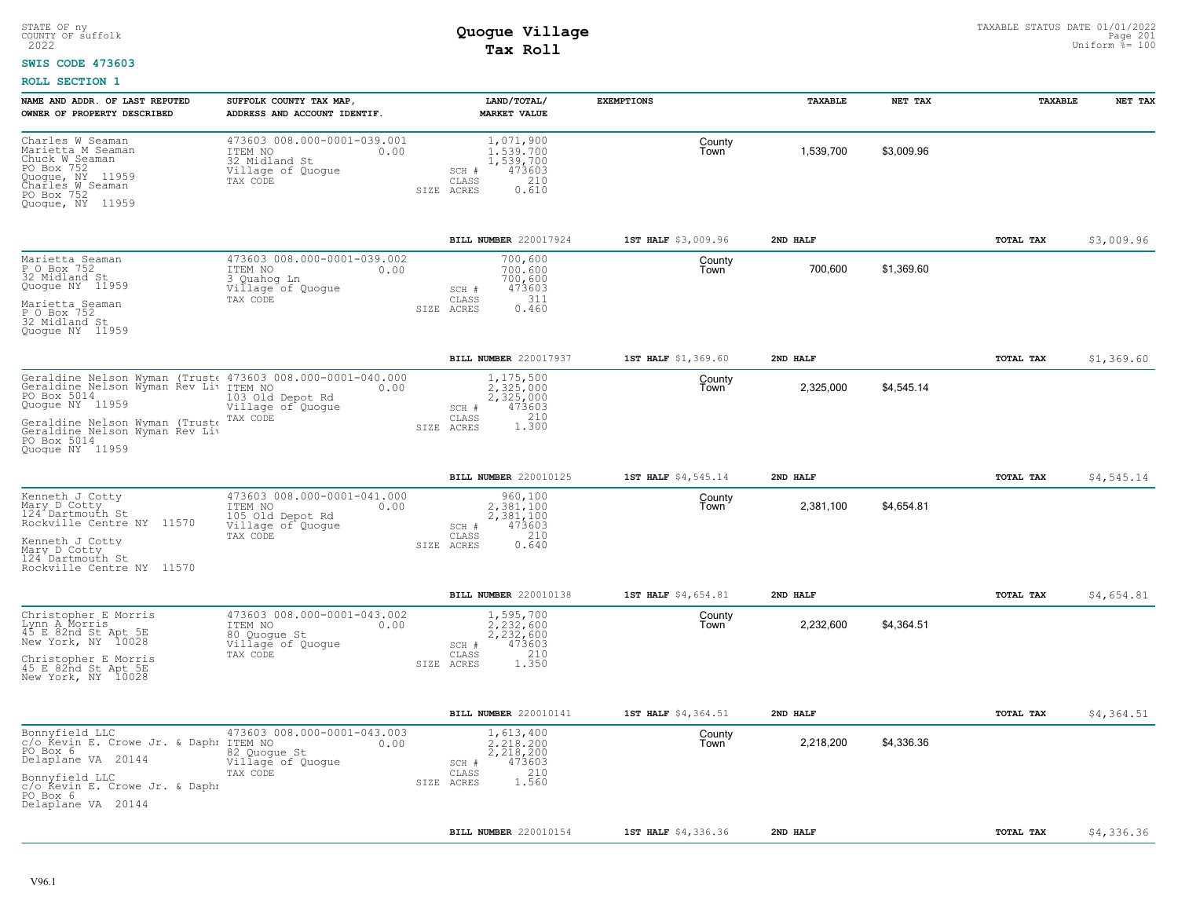#### **SWIS CODE 473603**

| NAME AND ADDR. OF LAST REPUTED<br>OWNER OF PROPERTY DESCRIBED                                                                                                                                                                                | SUFFOLK COUNTY TAX MAP,<br>ADDRESS AND ACCOUNT IDENTIF.                                             | LAND/TOTAL/<br><b>MARKET VALUE</b>                                                            | <b>EXEMPTIONS</b>   | TAXABLE   | NET TAX    | TAXABLE   | NET TAX    |
|----------------------------------------------------------------------------------------------------------------------------------------------------------------------------------------------------------------------------------------------|-----------------------------------------------------------------------------------------------------|-----------------------------------------------------------------------------------------------|---------------------|-----------|------------|-----------|------------|
| Charles W Seaman<br>Marietta M Seaman<br>Chuck W Seaman<br>PO Box 752<br>Quogue, NY 11959<br>Charles M Seaman<br>PO Box 752<br>Quogue, NY 11959                                                                                              | 473603 008.000-0001-039.001<br>ITEM NO<br>0.00<br>32 Midland St<br>Village of Quogue<br>TAX CODE    | 1,071,900<br>1.539.700<br>1,539,700<br>473603<br>SCH #<br>CLASS<br>210<br>SIZE ACRES<br>0.610 | County<br>Town      | 1,539,700 | \$3,009.96 |           |            |
|                                                                                                                                                                                                                                              |                                                                                                     | BILL NUMBER 220017924                                                                         | 1ST HALF \$3,009.96 | 2ND HALF  |            | TOTAL TAX | \$3,009.96 |
| Marietta Seaman<br>P O Box 752<br>32 Midland St<br>Quogue NY 11959<br>Marietta Seaman<br>P O Box 752<br>32 Midland St<br>Quoque NY 11959                                                                                                     | 473603 008.000-0001-039.002<br>ITEM NO<br>0.00<br>3 Quahog Ln<br>Village of Quogue<br>TAX CODE      | 700,600<br>700,600<br>700,600<br>473603<br>SCH #<br>311<br>CLASS<br>0.460<br>SIZE ACRES       | County<br>Town      | 700,600   | \$1,369.60 |           |            |
|                                                                                                                                                                                                                                              |                                                                                                     | BILL NUMBER 220017937                                                                         | 1ST HALF \$1,369.60 | 2ND HALF  |            | TOTAL TAX | \$1,369.60 |
| Geraldine Nelson Wyman (Trust< 473603 008.000-0001-040.000<br>Geraldine Nelson Wyman Rev Liv ITEM NO<br>PO Box 5014<br>Quoque NY 11959<br>Geraldine Nelson Wyman (Truste<br>Geraldine Nelson Wyman Rev Liv<br>PO Box 5014<br>Ouoque NY 11959 | 0.00<br>103 Old Depot Rd<br>Village of Quogue<br>TAX CODE                                           | 1,175,500<br>2.325.000<br>2,325,000<br>473603<br>SCH #<br>CLASS<br>1.300<br>SIZE ACRES        | County<br>Town      | 2,325,000 | \$4,545.14 |           |            |
|                                                                                                                                                                                                                                              |                                                                                                     | BILL NUMBER 220010125                                                                         | 1ST HALF \$4,545.14 | 2ND HALF  |            | TOTAL TAX | \$4,545.14 |
| Kenneth J Cotty<br>Mary D Cotty<br>124 <sup>-</sup> Dartmouth St<br>Rockville Centre NY 11570<br>Kenneth J Cotty<br>Mary D Cotty<br>124 Dartmouth St<br>Rockville Centre NY 11570                                                            | 473603 008.000-0001-041.000<br>ITEM NO<br>0.00<br>105 Old Depot Rd<br>Village of Quogue<br>TAX CODE | 960,100<br>2,381,100<br>2,381,100<br>473603<br>SCH #<br>210<br>CLASS<br>0.640<br>SIZE ACRES   | County<br>Town      | 2,381,100 | \$4,654.81 |           |            |
|                                                                                                                                                                                                                                              |                                                                                                     | BILL NUMBER 220010138                                                                         | 1ST HALF \$4,654.81 | 2ND HALF  |            | TOTAL TAX | \$4,654.81 |
| Christopher E Morris<br>Lynn A Morris<br>45 E 82nd St Apt 5E<br>New York, NY 10028<br>Christopher E Morris<br>45 E 82nd St Apt 5E<br>New York, NY 10028                                                                                      | 473603 008.000-0001-043.002<br>ITEM NO<br>0.00<br>80 Quoque St<br>Village of Quogue<br>TAX CODE     | 1,595,700<br>2,232,600<br>2,232,600<br>473603<br>SCH #<br>210<br>CLASS<br>SIZE ACRES<br>1.350 | County<br>Town      | 2,232,600 | \$4,364.51 |           |            |
|                                                                                                                                                                                                                                              |                                                                                                     | BILL NUMBER 220010141                                                                         | 1ST HALF \$4,364.51 | 2ND HALF  |            | TOTAL TAX | \$4,364.51 |
| Bonnyfield LLC<br>c/o Řevin E. Crowe Jr. & Daphr<br>PO Box 6<br>Delaplane VA 20144<br>Bonnyfield LLC<br>c/o Kevin E. Crowe Jr. & Daphr<br>PO Box 6<br>Delaplane VA 20144                                                                     | 473603 008.000-0001-043.003<br>ITEM NO<br>0.00<br>82 Quoque St<br>Village of Quogue<br>TAX CODE     | 1,613,400<br>2.218.200<br>2,218,200<br>473603<br>SCH #<br>210<br>CLASS<br>1.560<br>SIZE ACRES | County<br>Town      | 2,218,200 | \$4,336.36 |           |            |
|                                                                                                                                                                                                                                              |                                                                                                     | BILL NUMBER 220010154                                                                         | 1ST HALF \$4,336.36 | 2ND HALF  |            | TOTAL TAX | \$4,336.36 |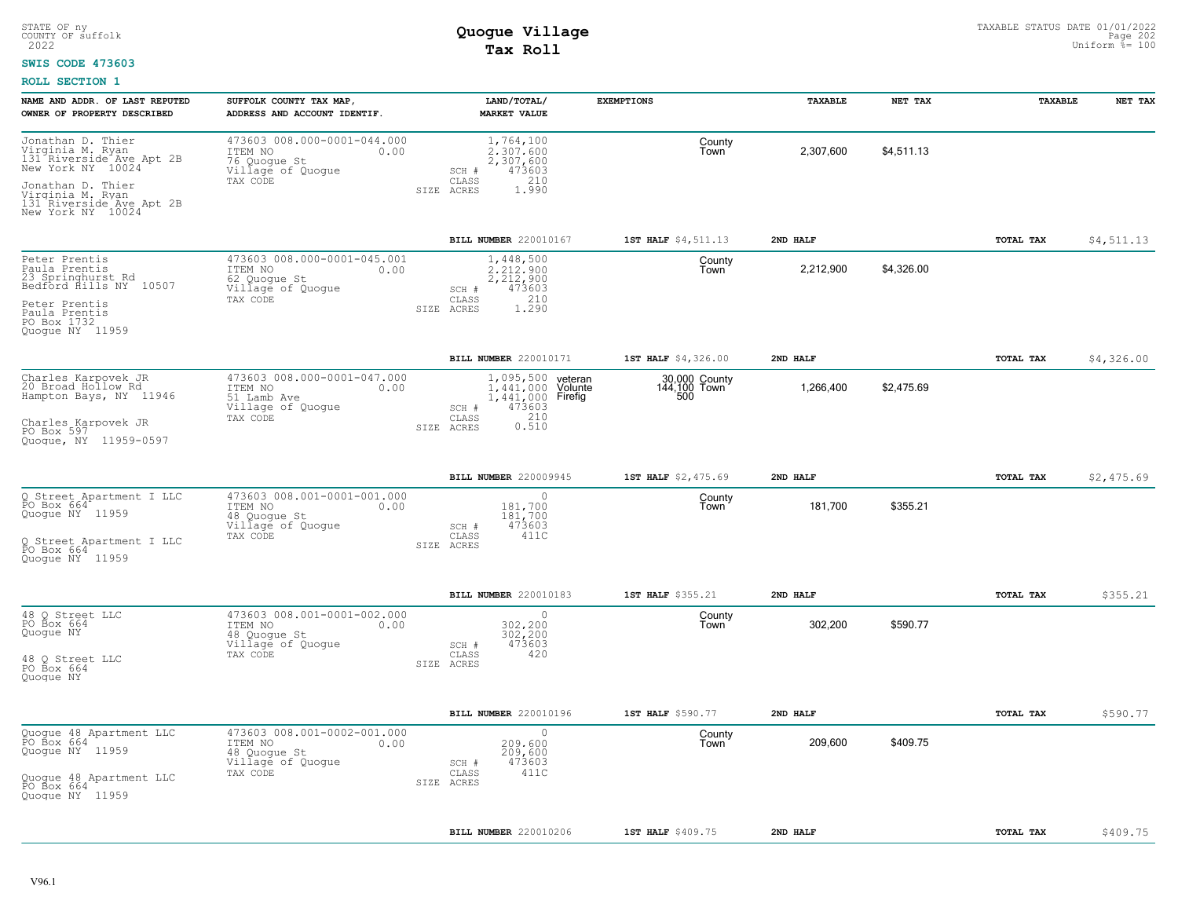#### **SWIS CODE 473603**

| NAME AND ADDR. OF LAST REPUTED<br>OWNER OF PROPERTY DESCRIBED                                   | SUFFOLK COUNTY TAX MAP,<br>ADDRESS AND ACCOUNT IDENTIF.                                         | LAND/TOTAL/<br>MARKET VALUE                                                    | <b>EXEMPTIONS</b>             | TAXABLE   | NET TAX    | TAXABLE   | NET TAX    |
|-------------------------------------------------------------------------------------------------|-------------------------------------------------------------------------------------------------|--------------------------------------------------------------------------------|-------------------------------|-----------|------------|-----------|------------|
| Jonathan D. Thier<br>Virginia M. Ryan<br>131 Riverside Ave Apt 2B<br>New York NY 10024          | 473603 008.000-0001-044.000<br>ITEM NO<br>0.00<br>76 Quoque St<br>Village of Quogue             | 1,764,100<br>2.307.600<br>2,307,600<br>473603<br>SCH #                         | County<br>Town                | 2,307,600 | \$4,511.13 |           |            |
| Jonathan D. Thier<br>Virginia M. Ryan<br>131 Riverside Ave Apt 2B<br>New York NY 10024          | TAX CODE                                                                                        | 210<br>CLASS<br>SIZE ACRES<br>1.990                                            |                               |           |            |           |            |
|                                                                                                 |                                                                                                 | BILL NUMBER 220010167                                                          | 1ST HALF \$4,511.13           | 2ND HALF  |            | TOTAL TAX | \$4,511.13 |
| Peter Prentis<br>Paula Prentis<br>23 Springhurst Rd<br>Bedford fiills NY 10507<br>Peter Prentis | 473603 008.000-0001-045.001<br>ITEM NO<br>0.00<br>62 Quoque St<br>Village of Quogue<br>TAX CODE | 1,448,500<br>2.212.900<br>2,212,900<br>473603<br>SCH #<br>210<br>CLASS         | County<br>Town                | 2,212,900 | \$4,326.00 |           |            |
| Paula Prentis<br>PO Box 1732<br>Quoque NY 11959                                                 |                                                                                                 | SIZE ACRES<br>1,290                                                            |                               |           |            |           |            |
|                                                                                                 |                                                                                                 | <b>BILL NUMBER 220010171</b>                                                   | 1ST HALF \$4,326.00           | 2ND HALF  |            | TOTAL TAX | \$4,326.00 |
| Charles Karpovek JR<br>20 Broad Hollow Rd<br>Hampton Bays, NY 11946                             | 473603 008.000-0001-047.000<br>ITEM NO<br>0.00<br>51 Lamb Ave<br>Village of Quogue              | 1,095,500 yeteran<br>1,441,000 Volunte<br>1,441,000 Firefig<br>473603<br>SCH # | 30,000 County<br>144,100 Town | 1,266,400 | \$2,475.69 |           |            |
| Charles Karpovek JR<br>PO Box 597<br>Quoque, NY 11959-0597                                      | TAX CODE                                                                                        | 0.310<br>CLASS<br>SIZE ACRES                                                   |                               |           |            |           |            |
|                                                                                                 |                                                                                                 | BILL NUMBER 220009945                                                          | 1ST HALF \$2,475.69           | 2ND HALF  |            | TOTAL TAX | \$2,475.69 |
| Q Street Apartment I LLC<br>PO Box 664<br>Quogue NY 11959                                       | 473603 008.001-0001-001.000<br>ITEM NO<br>0.00<br>48 Quoque St<br>Village of Quogue             | $\circ$<br>181,700<br>181,700<br>473603<br>SCH #                               | County<br>Town                | 181,700   | \$355.21   |           |            |
| Q Street Apartment I LLC<br>PO Box 664<br>Quoque NY 11959                                       | TAX CODE                                                                                        | 411C<br>CLASS<br>SIZE ACRES                                                    |                               |           |            |           |            |
|                                                                                                 |                                                                                                 | BILL NUMBER 220010183                                                          | 1ST HALF \$355.21             | 2ND HALF  |            | TOTAL TAX | \$355.21   |
| 48 Q Street LLC<br>PO Box 664<br>Quogue NY                                                      | 473603 008.001-0001-002.000<br>ITEM NO<br>0.00<br>48 Quoque St<br>Village of Quogue<br>TAX CODE | $\circ$<br>302,200<br>302,200<br>473603<br>SCH #<br>420<br>CLASS               | County<br>Town                | 302,200   | \$590.77   |           |            |
| 48 Q Street LLC<br>PO Box 664<br>Quoque NY                                                      |                                                                                                 | SIZE ACRES                                                                     |                               |           |            |           |            |
|                                                                                                 |                                                                                                 | BILL NUMBER 220010196                                                          | 1ST HALF \$590.77             | 2ND HALF  |            | TOTAL TAX | \$590.77   |
| Quoque 48 Apartment LLC<br>PO Box 664<br>Quogue NY 11959                                        | 473603 008.001-0002-001.000<br>ITEM NO<br>0.00<br>48 Quoque St<br>Village of Quogue             | 0<br>209,600<br>209,600<br>473603<br>SCH #                                     | County<br>Town                | 209,600   | \$409.75   |           |            |
| Quoque 48 Apartment LLC<br>PO Box 664<br>Quoque NY 11959                                        | TAX CODE                                                                                        | 411C<br>CLASS<br>SIZE ACRES                                                    |                               |           |            |           |            |
|                                                                                                 |                                                                                                 | BILL NUMBER 220010206                                                          | 1ST HALF \$409.75             | 2ND HALF  |            | TOTAL TAX | \$409.75   |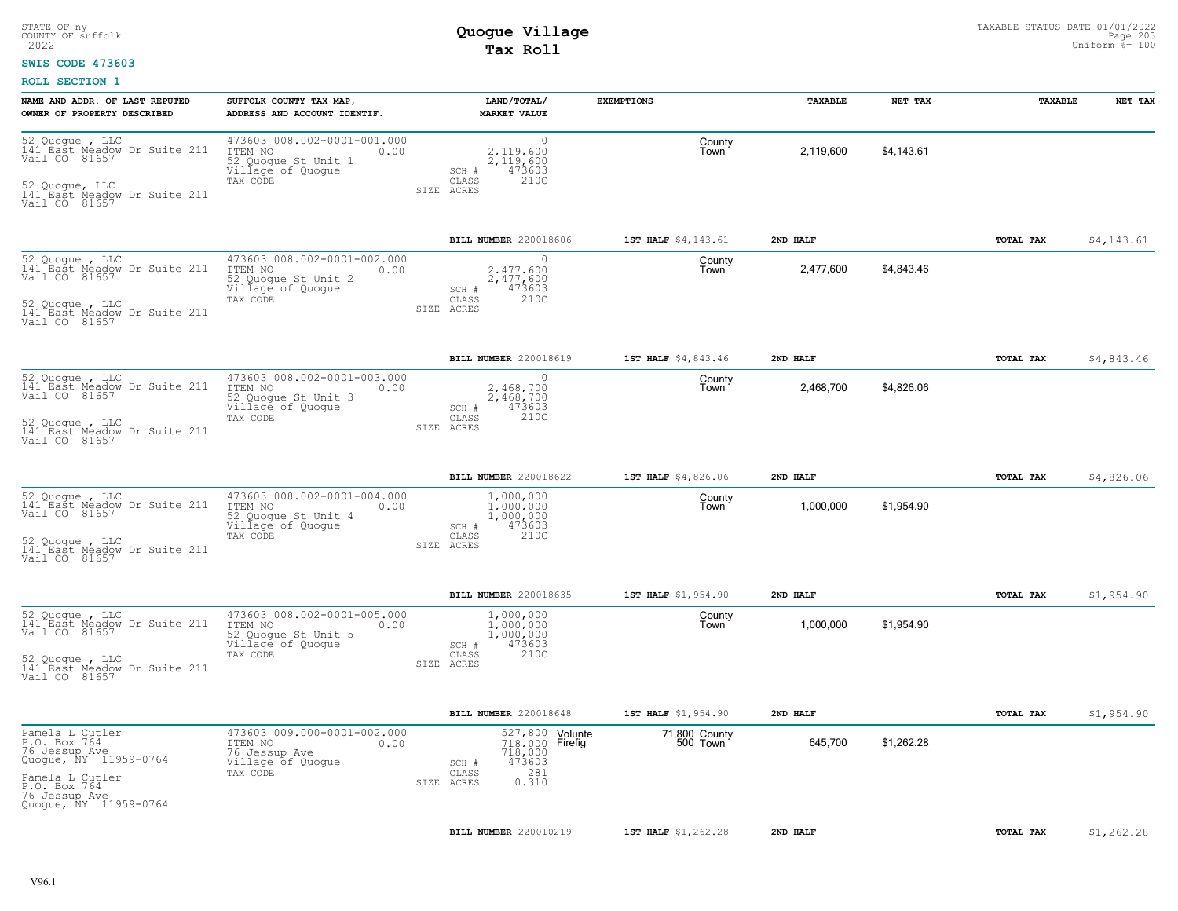#### **SWIS CODE 473603**

| NAME AND ADDR. OF LAST REPUTED<br>OWNER OF PROPERTY DESCRIBED                                                                                          | SUFFOLK COUNTY TAX MAP,<br>ADDRESS AND ACCOUNT IDENTIF.                                                | LAND/TOTAL/<br><b>MARKET VALUE</b>                                                                      | <b>EXEMPTIONS</b>         | TAXABLE   | NET TAX    | TAXABLE   | NET TAX    |
|--------------------------------------------------------------------------------------------------------------------------------------------------------|--------------------------------------------------------------------------------------------------------|---------------------------------------------------------------------------------------------------------|---------------------------|-----------|------------|-----------|------------|
| 52 Quogue, LLC<br>141 East Meadow Dr Suite 211<br>Vail CO 81657<br>52 Quoque, LLC<br>141 East Meadow Dr Suite 211<br>Vail CO 81657                     | 473603 008.002-0001-001.000<br>ITEM NO<br>0.00<br>52 Quoque St Unit 1<br>Village of Quogue<br>TAX CODE | $\circ$<br>2.119.600<br>2,119,600<br>473603<br>SCH #<br>210C<br>CLASS<br>SIZE ACRES                     | County<br>Town            | 2,119,600 | \$4,143.61 |           |            |
|                                                                                                                                                        |                                                                                                        | BILL NUMBER 220018606                                                                                   | 1ST HALF \$4,143.61       | 2ND HALF  |            | TOTAL TAX | \$4,143.61 |
| 52 Quogue, LLC<br>141 East Meadow Dr Suite 211<br>Vail CO 81657<br>52 Quoque, LLC<br>141 East Meadow Dr Suite 211<br>Vail CO 81657                     | 473603 008.002-0001-002.000<br>ITEM NO<br>0.00<br>52 Quogue St Unit 2<br>Village of Quogue<br>TAX CODE | 0<br>2.477.600<br>2,477,600<br>473603<br>SCH #<br>210C<br>CLASS<br>SIZE ACRES                           | County<br>Town            | 2,477,600 | \$4,843.46 |           |            |
|                                                                                                                                                        |                                                                                                        | BILL NUMBER 220018619                                                                                   | 1ST HALF \$4,843.46       | 2ND HALF  |            | TOTAL TAX | \$4,843.46 |
| 52 Quoque, LLC<br>141 East Meadow Dr Suite 211<br>Vail CO 81657<br>52 Quoque , LLC<br>141 East Meadow Dr Suite 211                                     | 473603 008.002-0001-003.000<br>ITEM NO<br>0.00<br>52 Quogue St Unit 3<br>Village of Quogue<br>TAX CODE | $\cap$<br>2.468.700<br>2,468,700<br>473603<br>SCH #<br>210C<br>CLASS<br>SIZE ACRES                      | County<br>Town            | 2,468,700 | \$4,826.06 |           |            |
| Vail CO 81657                                                                                                                                          |                                                                                                        |                                                                                                         |                           |           |            |           |            |
|                                                                                                                                                        |                                                                                                        | BILL NUMBER 220018622                                                                                   | 1ST HALF \$4,826.06       | 2ND HALF  |            | TOTAL TAX | \$4,826.06 |
| 52 Quogue , LLC<br>141 East Meadow Dr Suite 211<br>Vail CO 81657<br>52 Quoque, LLC<br>141 East Meadow Dr Suite 211<br>Vail CO 81657                    | 473603 008.002-0001-004.000<br>ITEM NO<br>0.00<br>52 Quogue St Unit 4<br>Village of Quogue<br>TAX CODE | 1,000,000<br>1,000,000<br>1,000,000<br>SCH #<br>473603<br>CLASS<br>210C<br>SIZE ACRES                   | County<br>Town            | 1,000,000 | \$1,954.90 |           |            |
|                                                                                                                                                        |                                                                                                        | BILL NUMBER 220018635                                                                                   | 1ST HALF \$1,954.90       | 2ND HALF  |            | TOTAL TAX | \$1,954.90 |
| 52 Quogue , LLC<br>141 East Meadow Dr Suite 211<br>Vail CO 81657<br>52 Quogue , LLC<br>141 East Meadow Dr Suite 211<br>Vail CO 81657                   | 473603 008.002-0001-005.000<br>ITEM NO<br>0.00<br>52 Quogue St Unit 5<br>Village of Quogue<br>TAX CODE | 1,000,000<br>1.000.000<br>1,000,000<br>473603<br>SCH #<br>210C<br>CLASS<br>SIZE ACRES                   | County<br>Town            | 1,000,000 | \$1,954.90 |           |            |
|                                                                                                                                                        |                                                                                                        | BILL NUMBER 220018648                                                                                   | 1ST HALF \$1,954.90       | 2ND HALF  |            | TOTAL TAX | \$1,954.90 |
| Pamela L Cutler<br>P.O. Box 764<br>76 Jessup Ave<br>Quogue, NY 11959-0764<br>Pamela L Cutler<br>P.O. Box 764<br>76 Jessup Ave<br>Quoque, NY 11959-0764 | 473603 009.000-0001-002.000<br>ITEM NO<br>0.00<br>76 Jessup Ave<br>Village of Quogue<br>TAX CODE       | 527,800 Volunte<br>718,000 Firefig<br>718,000<br>473603<br>SCH #<br>281<br>CLASS<br>0.310<br>SIZE ACRES | 71,800 County<br>500 Town | 645,700   | \$1,262.28 |           |            |
|                                                                                                                                                        |                                                                                                        | BILL NUMBER 220010219                                                                                   | 1ST HALF \$1,262.28       | 2ND HALF  |            | TOTAL TAX | \$1,262.28 |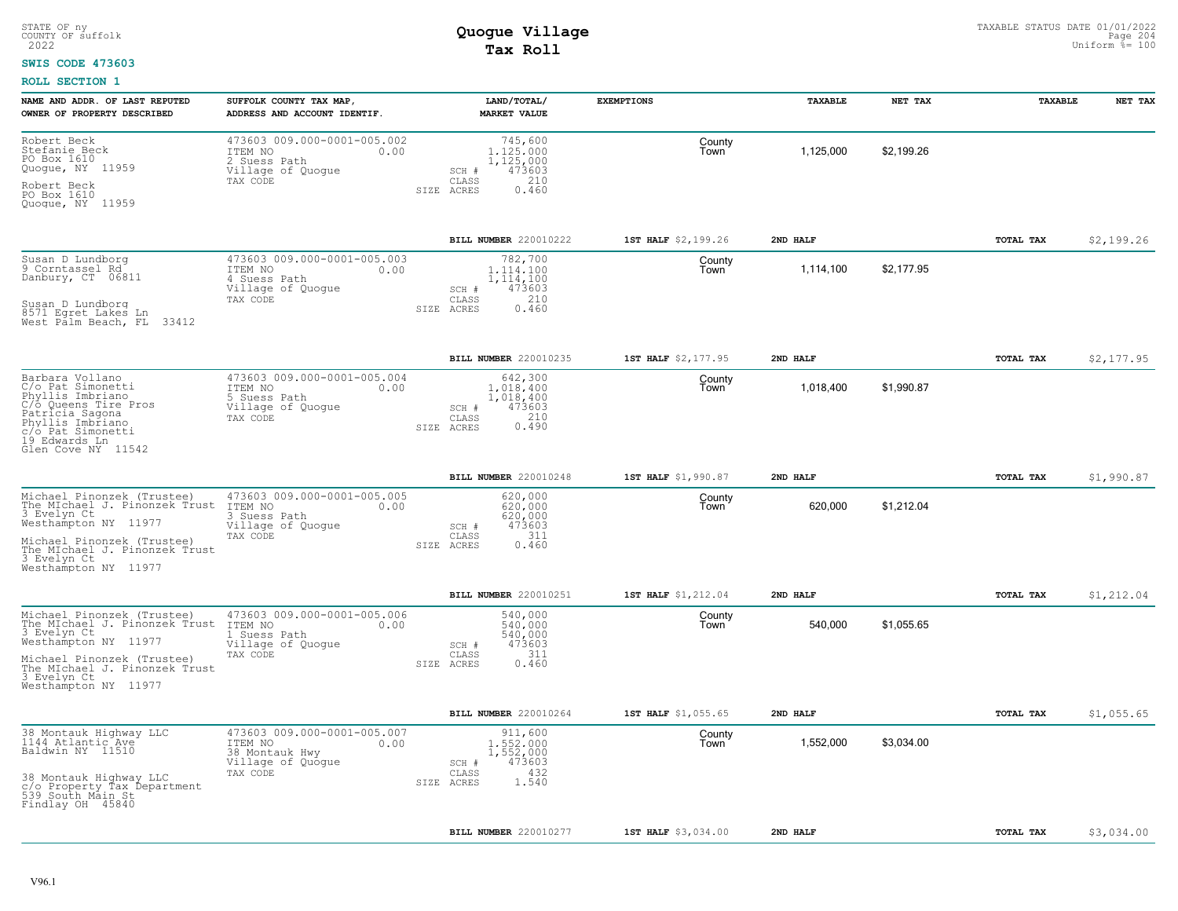#### **SWIS CODE 473603**

| NAME AND ADDR. OF LAST REPUTED<br>OWNER OF PROPERTY DESCRIBED                                                                                                                                            | SUFFOLK COUNTY TAX MAP,<br>ADDRESS AND ACCOUNT IDENTIF.                                           | LAND/TOTAL/<br><b>MARKET VALUE</b>                                                                 | <b>EXEMPTIONS</b>   | TAXABLE   | NET TAX    | <b>TAXABLE</b> | NET TAX    |
|----------------------------------------------------------------------------------------------------------------------------------------------------------------------------------------------------------|---------------------------------------------------------------------------------------------------|----------------------------------------------------------------------------------------------------|---------------------|-----------|------------|----------------|------------|
| Robert Beck<br>Stefanie Beck<br>PO Box 1610<br>Quogue, NY 11959<br>Robert Beck<br>PO Box 1610<br>Quoque, NY 11959                                                                                        | 473603 009.000-0001-005.002<br>ITEM NO<br>0.00<br>2 Suess Path<br>Village of Quogue<br>TAX CODE   | 745,600<br>1,125,000<br>1,125,000<br>473603<br>SCH #<br>210<br>CLASS<br>0.460<br>SIZE ACRES        | County<br>Town      | 1,125,000 | \$2,199.26 |                |            |
|                                                                                                                                                                                                          |                                                                                                   | BILL NUMBER 220010222                                                                              | 1ST HALF \$2,199.26 | 2ND HALF  |            | TOTAL TAX      | \$2,199.26 |
| Susan D Lundborg<br>9 Corntassel Rd<br>Danbury, CT 06811<br>Susan D Lundborg<br>8571 Egret Lakes Ln<br>West Palm Beach, FL<br>33412                                                                      | 473603 009.000-0001-005.003<br>ITEM NO<br>0.00<br>4 Suess Path<br>Village of Quogue<br>TAX CODE   | 782,700<br>1.114.100<br>1,114,100<br>473603<br>SCH #<br>210<br>CLASS<br>0.460<br>SIZE ACRES        | County<br>Town      | 1,114,100 | \$2,177.95 |                |            |
|                                                                                                                                                                                                          |                                                                                                   | BILL NUMBER 220010235                                                                              | 1ST HALF \$2,177.95 | 2ND HALF  |            | TOTAL TAX      | \$2,177.95 |
| Barbara Vollano<br>C/o Pat Simonetti<br>Phyllis Imbriano<br>C/O Queens Tire Pros<br>Patricia Sagona<br>Phyllis Imbriano<br>c/o Pat Simonetti<br>19 Edwards Ln<br>Glen Cove NY 11542                      | 473603 009.000-0001-005.004<br>ITEM NO<br>0.00<br>5 Suess Path<br>Village of Quogue<br>TAX CODE   | 642,300<br>1,018,400<br>1,018,400<br>SCH #<br>473603<br>210<br>CLASS<br>0.490<br>SIZE ACRES        | County<br>Town      | 1,018,400 | \$1,990.87 |                |            |
|                                                                                                                                                                                                          |                                                                                                   | BILL NUMBER 220010248                                                                              | 1ST HALF \$1,990.87 | 2ND HALF  |            | TOTAL TAX      | \$1,990.87 |
| Michael Pinonzek (Trustee)<br>The MIchael J. Pinonzek Trust<br>3 Evelyn Ct<br>Westhampton NY 11977<br>Michael Pinonzek (Trustee)<br>The MIchael J. Pinonzek Trust<br>3 Evelyn Ct<br>Westhampton NY 11977 | 473603 009.000-0001-005.005<br>ITEM NO<br>0.00<br>3 Suess Path<br>Village of Quogue<br>TAX CODE   | 620,000<br>620,000<br>620,000<br>473603<br>SCH #<br>311<br>$\mathtt{CLASS}$<br>0.460<br>SIZE ACRES | County<br>Town      | 620,000   | \$1,212.04 |                |            |
|                                                                                                                                                                                                          |                                                                                                   | BILL NUMBER 220010251                                                                              | 1ST HALF \$1,212.04 | 2ND HALF  |            | TOTAL TAX      | \$1,212.04 |
| Michael Pinonzek (Trustee)<br>The MIchael J. Pinonzek Trust<br>3 Evelyn Ct<br>Westhampton NY 11977<br>Michael Pinonzek (Trustee)<br>The MIchael J. Pinonzek Trust<br>3 Evelyn Ct<br>Westhampton NY 11977 | 473603 009.000-0001-005.006<br>ITEM NO<br>0.00<br>Suess Path<br>Village of Quogue<br>TAX CODE     | 540,000<br>540,000<br>540,000<br>473603<br>SCH #<br>311<br>CLASS<br>SIZE ACRES<br>0.460            | County<br>Town      | 540,000   | \$1,055.65 |                |            |
|                                                                                                                                                                                                          |                                                                                                   | BILL NUMBER 220010264                                                                              | 1ST HALF \$1,055.65 | 2ND HALF  |            | TOTAL TAX      | \$1,055.65 |
| 38 Montauk Highway LLC<br>1144 Atlantic Ave<br>Baldwin NY 11510<br>38 Montauk Highway LLC<br>c/o Property Tax Department<br>539 South Main St<br>Findlay OH 45840                                        | 473603 009.000-0001-005.007<br>ITEM NO<br>0.00<br>38 Montauk Hwy<br>Village of Quogue<br>TAX CODE | 911,600<br>1,552,000<br>1,552,000<br>473603<br>SCH #<br>432<br>CLASS<br>1.540<br>SIZE ACRES        | County<br>Town      | 1,552,000 | \$3,034.00 |                |            |
|                                                                                                                                                                                                          |                                                                                                   | BILL NUMBER 220010277                                                                              | 1ST HALF \$3,034.00 | 2ND HALF  |            | TOTAL TAX      | \$3,034.00 |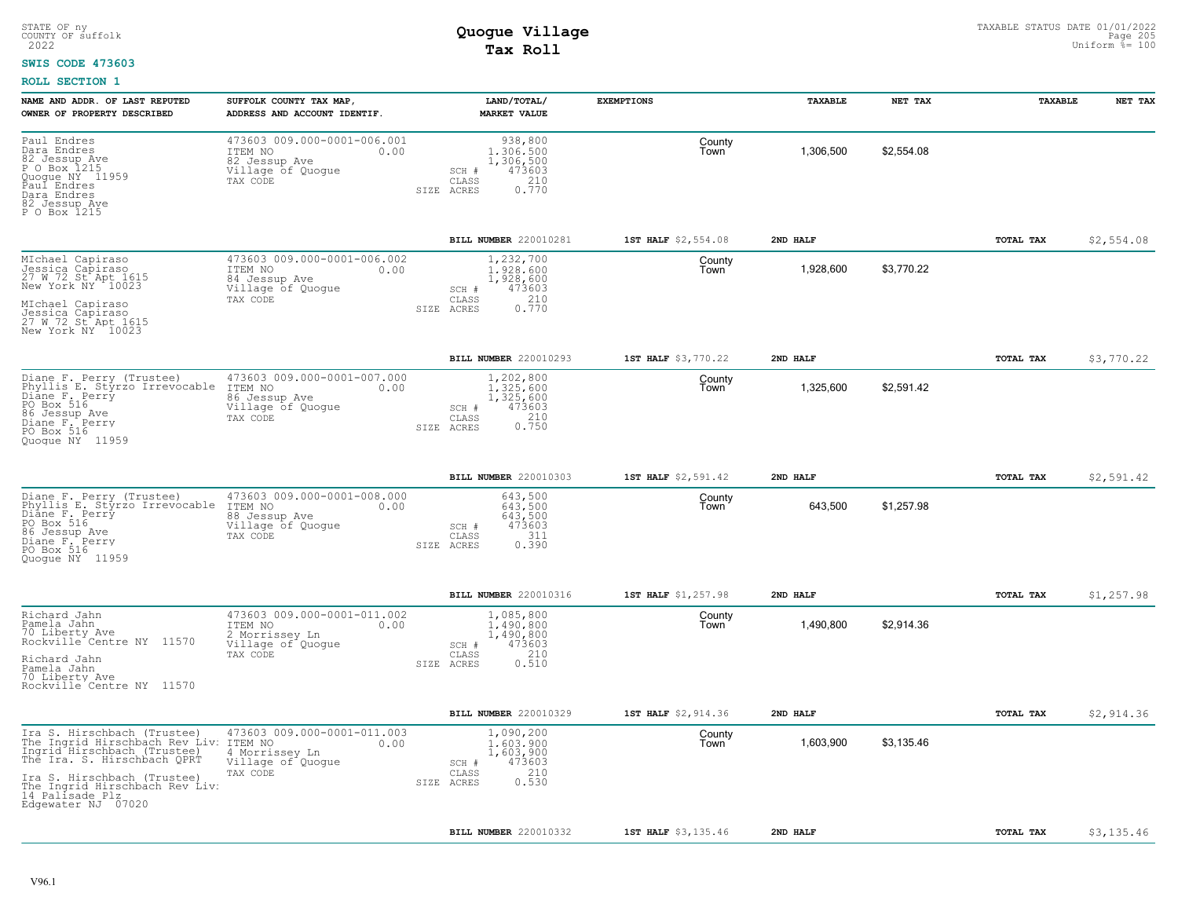#### **SWIS CODE 473603**

| NAME AND ADDR. OF LAST REPUTED<br>OWNER OF PROPERTY DESCRIBED                                                                                                                                                                         | SUFFOLK COUNTY TAX MAP<br>ADDRESS AND ACCOUNT IDENTIF.                                            | LAND/TOTAL/<br><b>MARKET VALUE</b>                                                            | <b>EXEMPTIONS</b>   | TAXABLE   | NET TAX    | TAXABLE          | NET TAX    |
|---------------------------------------------------------------------------------------------------------------------------------------------------------------------------------------------------------------------------------------|---------------------------------------------------------------------------------------------------|-----------------------------------------------------------------------------------------------|---------------------|-----------|------------|------------------|------------|
| Paul Endres<br>Dara Endres<br>82 Jessup Ave<br>P O Box 1215<br>Quoque NY 11959<br>Paul Endres<br>Dara Endres<br>82 Jessup Ave<br>P O Box 1215                                                                                         | 473603 009.000-0001-006.001<br>ITEM NO<br>0.00<br>82 Jessup Ave<br>Village of Quogue<br>TAX CODE  | 938,800<br>1,306,500<br>1,306,500<br>473603<br>SCH #<br>210<br>CLASS<br>0.770<br>SIZE ACRES   | County<br>Town      | 1,306,500 | \$2,554.08 |                  |            |
|                                                                                                                                                                                                                                       |                                                                                                   | BILL NUMBER 220010281                                                                         | 1ST HALF \$2,554.08 | 2ND HALF  |            | TOTAL TAX        | \$2,554.08 |
| MIchael Capiraso<br>Jessica Capiraso<br>27 W 72 St Apt 1615<br>New York NY 10023<br>MIchael Capiraso<br>Jessica Capiraso<br>27 W 72 St Apt 1615<br>New York NY 10023                                                                  | 473603 009.000-0001-006.002<br>ITEM NO<br>0.00<br>84 Jessup Ave<br>Village of Quoque<br>TAX CODE  | 1,232,700<br>1,928,600<br>1,928,600<br>473603<br>SCH #<br>210<br>CLASS<br>0.770<br>SIZE ACRES | County<br>Town      | 1,928,600 | \$3,770.22 |                  |            |
|                                                                                                                                                                                                                                       |                                                                                                   | BILL NUMBER 220010293                                                                         | 1ST HALF \$3,770.22 | 2ND HALF  |            | TOTAL TAX        | \$3,770.22 |
| Diane F. Perry (Trustee)<br>Phyllis E. Styrzo Irrevocable<br>Diane F. Perry<br>PO Box 516<br>86 Jessup Ave<br>Diane F. Perry<br>PO Box 516<br>Quoque NY 11959                                                                         | 473603 009.000-0001-007.000<br>ITEM NO<br>0.00<br>86 Jessup Ave<br>Village of Quogue<br>TAX CODE  | 1,202,800<br>1.325.600<br>1,325,600<br>473603<br>SCH #<br>0.210<br>CLASS<br>SIZE ACRES        | County<br>Town      | 1,325,600 | \$2,591.42 |                  |            |
|                                                                                                                                                                                                                                       |                                                                                                   | BILL NUMBER 220010303                                                                         | 1ST HALF \$2,591.42 | 2ND HALF  |            | <b>TOTAL TAX</b> | \$2,591.42 |
| Diane F. Perry (Trustee)<br>Phyllis E. Styrzo Irrevocable<br>Diane F. Perry<br>PO Box 516<br>86 Jessup Ave<br>Diane F. Perry<br>PO Box 516<br>Quoque NY 11959                                                                         | 473603 009.000-0001-008.000<br>ITEM NO<br>0.00<br>88 Jessup Ave<br>Village of Quoque<br>TAX CODE  | 643,500<br>643.500<br>643,500<br>473603<br>SCH #<br>311<br>CLASS<br>0.390<br>SIZE ACRES       | County<br>Town      | 643,500   | \$1,257.98 |                  |            |
|                                                                                                                                                                                                                                       |                                                                                                   | <b>BILL NUMBER 220010316</b>                                                                  | 1ST HALF \$1,257.98 | 2ND HALF  |            | TOTAL TAX        | \$1,257.98 |
| Richard Jahn<br>Pamela Jahn<br>70 Liberty Ave<br>Rockville Centre NY 11570<br>Richard Jahn<br>Pamela Jahn<br>70 Liberty Ave<br>Rockville Centre NY 11570                                                                              | 473603 009.000-0001-011.002<br>ITEM NO<br>0.00<br>2 Morrissey Ln<br>Village of Quogue<br>TAX CODE | 1,085,800<br>1,490,800<br>1,490,800<br>473603<br>SCH #<br>210<br>CLASS<br>SIZE ACRES<br>0.510 | County<br>Town      | 1,490,800 | \$2,914.36 |                  |            |
|                                                                                                                                                                                                                                       |                                                                                                   | BILL NUMBER 220010329                                                                         | 1ST HALF \$2,914.36 | 2ND HALF  |            | TOTAL TAX        | \$2,914.36 |
| Ira S. Hirschbach (Trustee)<br>The Ingrid Hirschbach Rev Liv:<br>Ingrid Hirschbach (Trustee)<br>The Ira. S. Hirschbach QPRT<br>Ira S. Hirschbach (Trustee)<br>The Ingrid Hirschbach Rev Liv:<br>14 Palisade Plz<br>Edgewater NJ 07020 | 473603 009.000-0001-011.003<br>ITEM NO<br>0.00<br>4 Morrissey Ln<br>Village of Quogue<br>TAX CODE | 1,090,200<br>1,603,900<br>1,603,900<br>473603<br>SCH #<br>210<br>CLASS<br>0.530<br>SIZE ACRES | County<br>Town      | 1,603,900 | \$3,135.46 |                  |            |
|                                                                                                                                                                                                                                       |                                                                                                   | BILL NUMBER 220010332                                                                         | 1ST HALF \$3,135.46 | 2ND HALF  |            | TOTAL TAX        | \$3,135.46 |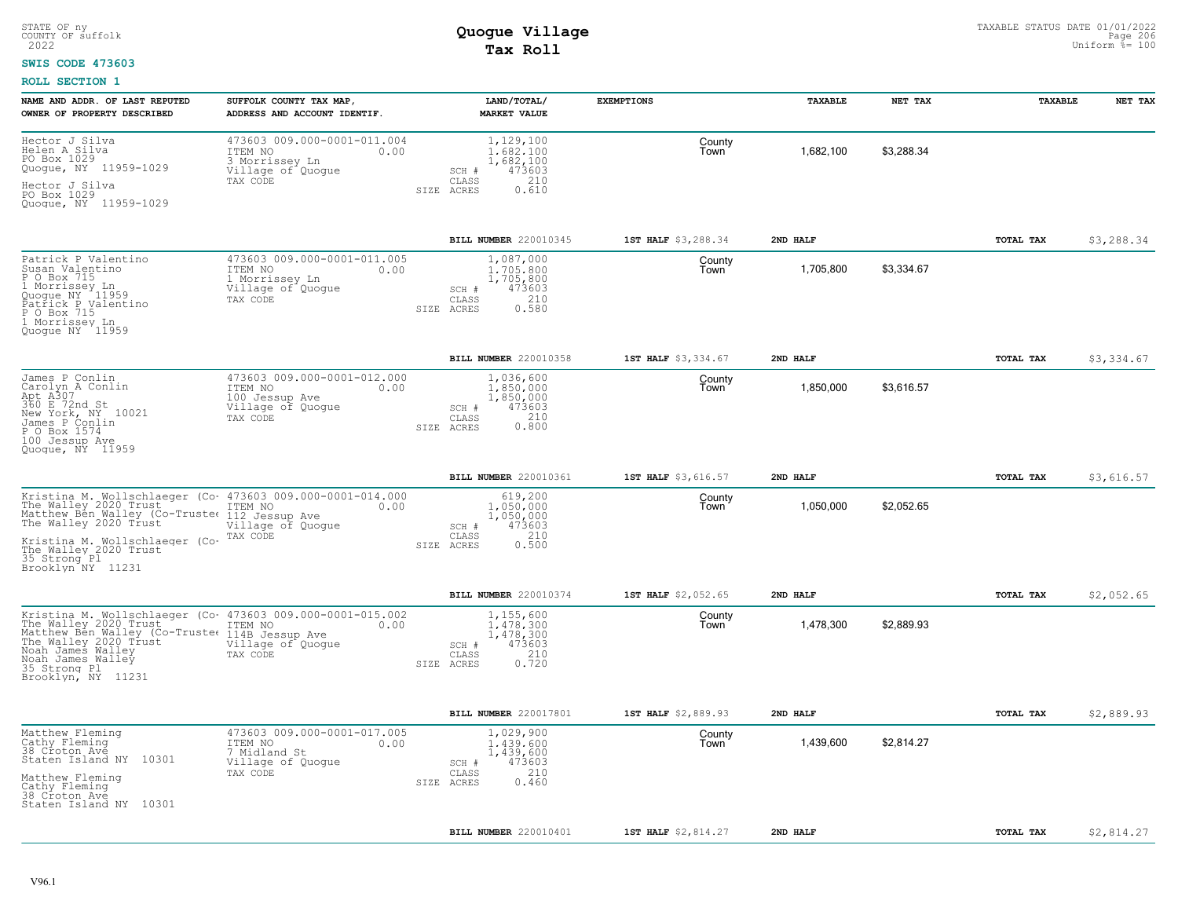### **SWIS CODE 473603**

| NAME AND ADDR. OF LAST REPUTED<br>OWNER OF PROPERTY DESCRIBED                                                                                                                                                                                                                             | SUFFOLK COUNTY TAX MAP,<br>ADDRESS AND ACCOUNT IDENTIF.                                           | LAND/TOTAL/<br><b>MARKET VALUE</b>                                                                | <b>EXEMPTIONS</b>   | TAXABLE   | NET TAX    | <b>TAXABLE</b> | NET TAX    |
|-------------------------------------------------------------------------------------------------------------------------------------------------------------------------------------------------------------------------------------------------------------------------------------------|---------------------------------------------------------------------------------------------------|---------------------------------------------------------------------------------------------------|---------------------|-----------|------------|----------------|------------|
| Hector J Silva<br>Helen A Silva<br>PO Box 1029<br>Quogue, NY 11959-1029<br>Hector J Silva<br>PO Box 1029<br>Quogue, NY 11959-1029                                                                                                                                                         | 473603 009.000-0001-011.004<br>ITEM NO<br>0.00<br>3 Morrissey Ln<br>Village of Quogue<br>TAX CODE | 1,129,100<br>1.682.100<br>1,682,100<br>473603<br>SCH #<br>210<br>CLASS<br>0.610<br>SIZE ACRES     | County<br>Town      | 1,682,100 | \$3,288.34 |                |            |
|                                                                                                                                                                                                                                                                                           |                                                                                                   | BILL NUMBER 220010345                                                                             | 1ST HALF \$3,288.34 | 2ND HALF  |            | TOTAL TAX      | \$3,288.34 |
| Patrick P Valentino<br>Susan Valentino<br>P O Box 715<br>1 Morrissey Ln<br>Quogue NY .11959<br>Patrick P Valentino<br>P O Box 715<br>1 Morrissey Ln<br>Quoque NY 11959                                                                                                                    | 473603 009.000-0001-011.005<br>ITEM NO<br>0.00<br>1 Morrissey Ln<br>Village of Quogue<br>TAX CODE | 1,087,000<br>1,705,800<br>1,705,800<br>473603<br>SCH #<br>210<br>CLASS<br>SIZE ACRES<br>0.580     | County<br>Town      | 1,705,800 | \$3,334.67 |                |            |
|                                                                                                                                                                                                                                                                                           |                                                                                                   | <b>BILL NUMBER 220010358</b>                                                                      | 1ST HALF \$3,334.67 | 2ND HALF  |            | TOTAL TAX      | \$3,334.67 |
| James P Conlin<br>Carolyn A Conlin<br>Apt A307<br>360 E 72nd St<br>New York, NY 10021<br>James P Conlin<br>P O Box 1574<br>100 Jessup Ave<br>Quoque, NY 11959                                                                                                                             | 473603 009.000-0001-012.000<br>ITEM NO<br>0.00<br>100 Jessup Ave<br>Village of Quogue<br>TAX CODE | 1,036,600<br>1,850,000<br>1,850,000<br>473603<br>SCH #<br>210<br>CLASS<br>0.800<br>SIZE ACRES     | County<br>Town      | 1,850,000 | \$3,616.57 |                |            |
|                                                                                                                                                                                                                                                                                           |                                                                                                   | BILL NUMBER 220010361                                                                             | 1ST HALF \$3,616.57 | 2ND HALF  |            | TOTAL TAX      | \$3,616.57 |
| Kristina M. Wollschlaeger (Co. 473603 009.000-0001-014.000<br>The Walley 2020 Trust TIEM NO<br>Matthew Ben Walley (Co-Trustet 112 Jessup Ave 0.00<br>The Walley 2020 Trust 112 Jessup Ave<br>Kristina M. Wollschlaeger (Co-<br>The Walley 2020 Trust<br>35 Strong Pl<br>Brooklyn NY 11231 | Village of Quogue<br>TAX CODE                                                                     | 619,200<br>1,050,000<br>1,050,000<br>SCH #<br>473603<br>210<br>CLASS<br>0.500<br>SIZE ACRES       | County<br>Town      | 1,050,000 | \$2.052.65 |                |            |
|                                                                                                                                                                                                                                                                                           |                                                                                                   | <b>BILL NUMBER 220010374</b>                                                                      | 1ST HALF \$2,052.65 | 2ND HALF  |            | TOTAL TAX      | \$2,052.65 |
| Kristina M. Wollschlaeger (Co. 473603 009.000-0001-015.002<br>The Walley 2020 Trust<br>Matthew Ben Walley (Co-Trustee<br>The Walley 2020 Trust<br>Noah James Walley<br>Noah James Walley<br>35 Strong Pl<br>Brooklyn, NY 11231                                                            | ITEM NO<br>0.00<br>114B Jessup Ave<br>Village of Quogue<br>TAX CODE                               | 1,155,600<br>1,478,300<br>1,478,300<br>473603<br>$SCH$ $#$<br>210<br>CLASS<br>0.720<br>SIZE ACRES | County<br>Town      | 1,478,300 | \$2,889.93 |                |            |
|                                                                                                                                                                                                                                                                                           |                                                                                                   | BILL NUMBER 220017801                                                                             | 1ST HALF \$2,889.93 | 2ND HALF  |            | TOTAL TAX      | \$2,889.93 |
| Matthew Fleming<br>Cathy Fleming<br>38 Croton Ave<br>Staten Island NY 10301<br>Matthew Fleming<br>Cathy Fleming<br>38 Croton Ave<br>Staten Island NY 10301                                                                                                                                | 473603 009.000-0001-017.005<br>ITEM NO<br>0.00<br>7 Midland St<br>Village of Quogue<br>TAX CODE   | 1,029,900<br>1,439,600<br>1,439,600<br>473603<br>SCH #<br>210<br>CLASS<br>0.460<br>SIZE ACRES     | County<br>Town      | 1,439,600 | \$2,814.27 |                |            |
|                                                                                                                                                                                                                                                                                           |                                                                                                   | BILL NUMBER 220010401                                                                             | 1ST HALF \$2,814.27 | 2ND HALF  |            | TOTAL TAX      | \$2,814.27 |
|                                                                                                                                                                                                                                                                                           |                                                                                                   |                                                                                                   |                     |           |            |                |            |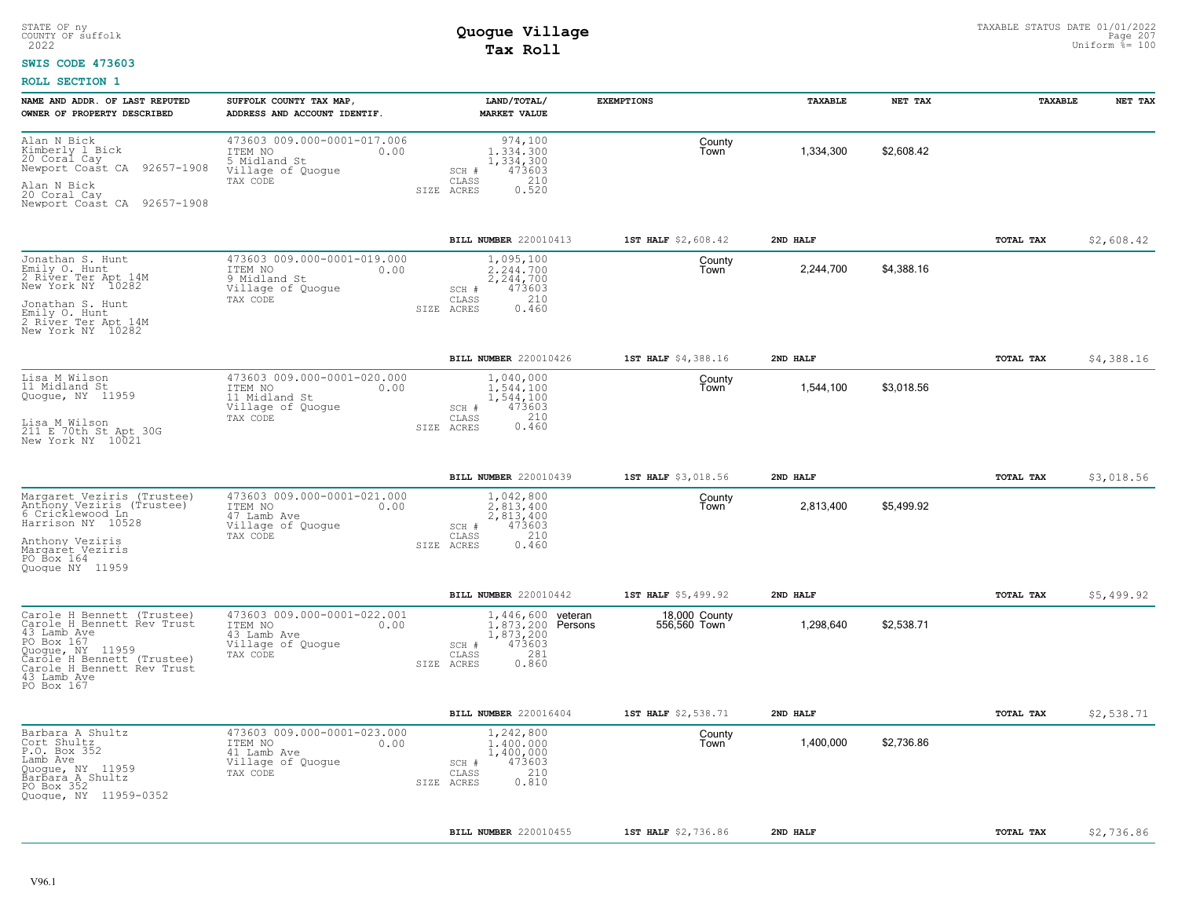### **SWIS CODE 473603**

| NAME AND ADDR. OF LAST REPUTED<br>OWNER OF PROPERTY DESCRIBED                                                                                                                                      | SUFFOLK COUNTY TAX MAP,<br>ADDRESS AND ACCOUNT IDENTIF.                                          | LAND/TOTAL/<br>MARKET VALUE                                                                                              | <b>EXEMPTIONS</b>             | TAXABLE   | NET TAX    | <b>TAXABLE</b>   | NET TAX    |
|----------------------------------------------------------------------------------------------------------------------------------------------------------------------------------------------------|--------------------------------------------------------------------------------------------------|--------------------------------------------------------------------------------------------------------------------------|-------------------------------|-----------|------------|------------------|------------|
| Alan N Bick<br>Kimberly 1 Bick<br>20 Coral Cay<br>Newport Coast CA 92657-1908<br>Alan N Bick<br>20 Coral Cay<br>Newport Coast CA 92657-1908                                                        | 473603 009.000-0001-017.006<br>ITEM NO<br>0.00<br>5 Midland St<br>Village of Quogue<br>TAX CODE  | 974,100<br>1,334,300<br>1,334,300<br>473603<br>SCH #<br>210<br>CLASS<br>0.520<br>SIZE ACRES                              | County<br>Town                | 1,334,300 | \$2,608.42 |                  |            |
|                                                                                                                                                                                                    |                                                                                                  | BILL NUMBER 220010413                                                                                                    | 1ST HALF \$2,608.42           | 2ND HALF  |            | TOTAL TAX        | \$2,608.42 |
| Jonathan S. Hunt<br>Emily O. Hunt<br>2 River Ter Apt 14M<br>New York NY 10282<br>Jonathan S. Hunt<br>Emily O. Hunt<br>2 River Ter Apt 14M<br>New York NY 10282                                     | 473603 009.000-0001-019.000<br>ITEM NO<br>0.00<br>9 Midland St<br>Village of Quogue<br>TAX CODE  | 1,095,100<br>2.244.700<br>2,244,700<br>473603<br>SCH #<br>210<br>CLASS<br>0.460<br>SIZE ACRES                            | County<br>Town                | 2,244,700 | \$4,388.16 |                  |            |
|                                                                                                                                                                                                    |                                                                                                  | BILL NUMBER 220010426                                                                                                    | 1ST HALF \$4,388.16           | 2ND HALF  |            | TOTAL TAX        | \$4,388.16 |
| Lisa M Wilson<br>11 Midland St<br>Quoque, NY 11959<br>Lisa M Wilson<br>211 E 70th St Apt 30G<br>New York NY 10021                                                                                  | 473603 009.000-0001-020.000<br>ITEM NO<br>0.00<br>11 Midland St<br>Village of Quogue<br>TAX CODE | 1,040,000<br>1,544,100<br>1,544,100<br>473603<br>SCH #<br>210<br>CLASS<br>0.460<br>SIZE ACRES                            | County<br>Town                | 1,544,100 | \$3,018.56 |                  |            |
|                                                                                                                                                                                                    |                                                                                                  | <b>BILL NUMBER 220010439</b>                                                                                             | 1ST HALF \$3,018.56           | 2ND HALF  |            | <b>TOTAL TAX</b> | \$3,018.56 |
| Margaret Veziris (Trustee)<br>Anthony Veziris (Trustee)<br>6 Cricklewood Ln<br>Harrison NY 10528<br>Anthony Veziris<br>Margaret Veziris<br>PO Box 164<br>Quoque NY 11959                           | 473603 009.000-0001-021.000<br>ITEM NO<br>0.00<br>47 Lamb Ave<br>Village of Quogue<br>TAX CODE   | 1,042,800<br>2.813.400<br>2,813,400<br>SCH #<br>473603<br>$\mathtt{CLASS}$<br>210<br>SIZE ACRES<br>0.460                 | County<br>Town                | 2,813,400 | \$5,499.92 |                  |            |
|                                                                                                                                                                                                    |                                                                                                  | BILL NUMBER 220010442                                                                                                    | 1ST HALF \$5,499.92           | 2ND HALF  |            | TOTAL TAX        | \$5,499.92 |
| Carole H Bennett (Trustee)<br>Carole H Bennett Rev Trust<br>43 Lamb Ave<br>PO Box 167<br>Quoque, NY 11959<br>Carole H Bennett (Trustee)<br>Carole H Bennett Rev Trust<br>43 Lamb Ave<br>PO Box 167 | 473603 009.000-0001-022.001<br>ITEM NO<br>0.00<br>43 Lamb Ave<br>Village of Quogue<br>TAX CODE   | 1,446,600 veteran<br>1,873,200 Persons<br>1,873,200<br>473603<br>SCH #<br>281<br>$\mathtt{CLASS}$<br>SIZE ACRES<br>0.860 | 18,000 County<br>556,560 Town | 1,298,640 | \$2,538.71 |                  |            |
|                                                                                                                                                                                                    |                                                                                                  | BILL NUMBER 220016404                                                                                                    | 1ST HALF \$2,538.71           | 2ND HALF  |            | TOTAL TAX        | \$2,538.71 |
| Barbara A Shultz<br>Cort Shultz<br>P.O. Box 352<br>Lamb Ave<br>Quoque, NY 11959<br>Barbara A Shultz<br>PO Box 352<br>Quogue, NY 11959-0352                                                         | 473603 009.000-0001-023.000<br>0.00<br>ITEM NO<br>41 Lamb Ave<br>Village of Quogue<br>TAX CODE   | 1,242,800<br>1,400,000<br>1,400,000<br>473603<br>SCH #<br>210<br>CLASS<br>0.810<br>SIZE ACRES                            | County<br>Town                | 1,400,000 | \$2,736.86 |                  |            |
|                                                                                                                                                                                                    |                                                                                                  | <b>BILL NUMBER 220010455</b>                                                                                             | 1ST HALF \$2,736.86           | 2ND HALF  |            | TOTAL TAX        | \$2,736.86 |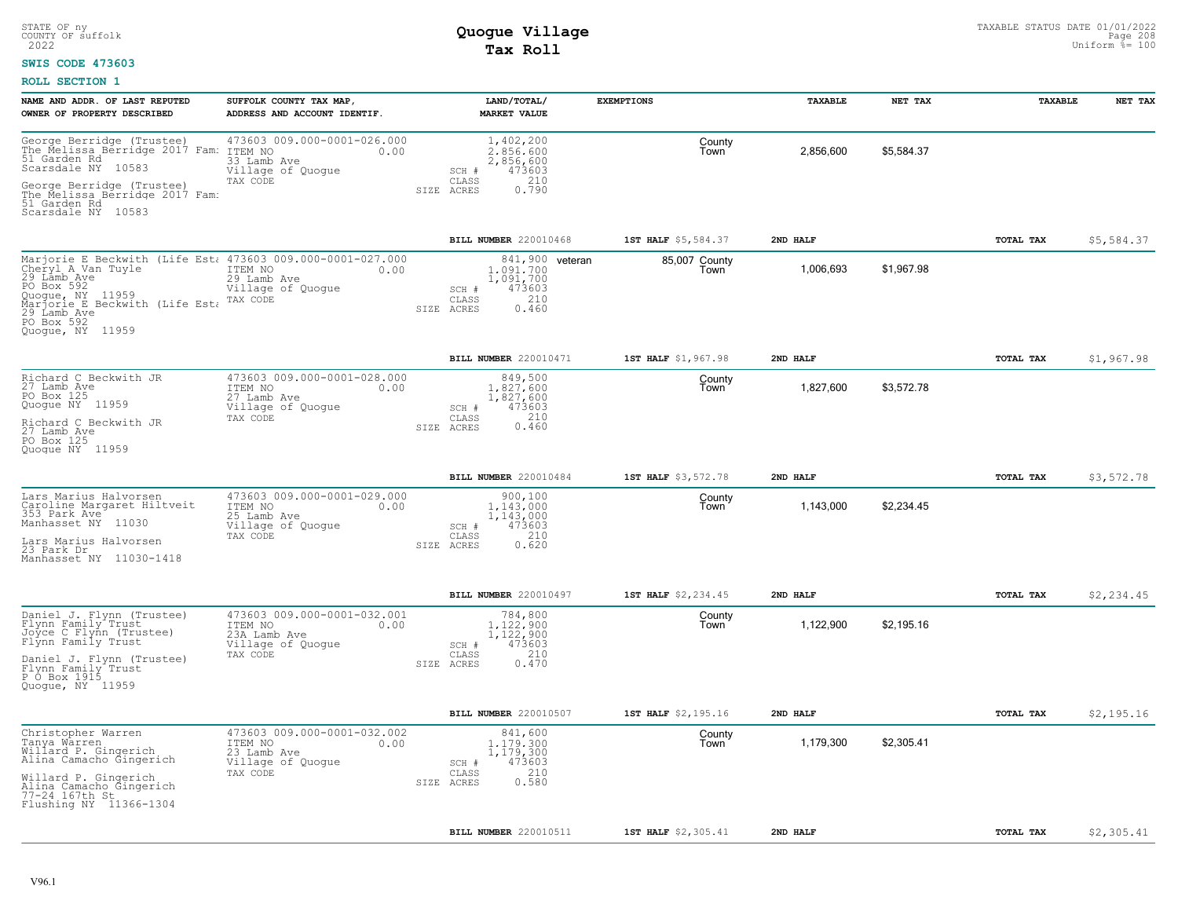### **SWIS CODE 473603**

| NAME AND ADDR. OF LAST REPUTED<br>OWNER OF PROPERTY DESCRIBED                                                                                                                                                                   | SUFFOLK COUNTY TAX MAP,<br>ADDRESS AND ACCOUNT IDENTIF.                                         |                              | LAND/TOTAL/<br><b>MARKET VALUE</b>                                  | <b>EXEMPTIONS</b>     | TAXABLE   | NET TAX    | TAXABLE   | NET TAX    |
|---------------------------------------------------------------------------------------------------------------------------------------------------------------------------------------------------------------------------------|-------------------------------------------------------------------------------------------------|------------------------------|---------------------------------------------------------------------|-----------------------|-----------|------------|-----------|------------|
| George Berridge (Trustee)         473603 C<br>The Melissa Berridge 2017 Fam: ITEM NO<br>51 Garden Rd<br>Scarsdale NY 10583<br>George Berridge (Trustee)<br>The Melissa Berridge 2017 Fam:<br>51 Garden Rd<br>Scarsdale NY 10583 | 473603 009.000-0001-026.000<br>0.00<br>33 Lamb Ave<br>Village of Quogue<br>TAX CODE             | SCH #<br>CLASS<br>SIZE ACRES | 1,402,200<br>2.856.600<br>2,856,600<br>473603<br>210<br>0.790       | County<br>Town        | 2,856,600 | \$5,584.37 |           |            |
|                                                                                                                                                                                                                                 |                                                                                                 |                              | BILL NUMBER 220010468                                               | 1ST HALF \$5,584.37   | 2ND HALF  |            | TOTAL TAX | \$5,584.37 |
| Marjorie E Beckwith (Life Est: 473603 009.000-0001-027.000<br>Cheryl A Van Tuyle<br>29 Lamb Ave<br>PO Box 592<br>Quoque, NY 11959<br>Marjorie E Beckwith (Life Est. TAX CODE<br>29 Lamb Ave<br>PO Box 592<br>Quoque, NY 11959   | ITEM NO<br>0.00<br>29 Lamb Ave<br>Village of Quogue                                             | SCH #<br>CLASS<br>SIZE ACRES | 841,900 veteran<br>1,091,700<br>1,091,700<br>473603<br>210<br>0.460 | 85,007 County<br>Town | 1,006,693 | \$1,967.98 |           |            |
|                                                                                                                                                                                                                                 |                                                                                                 |                              | BILL NUMBER 220010471                                               | 1ST HALF \$1,967.98   | 2ND HALF  |            | TOTAL TAX | \$1,967.98 |
| Richard C Beckwith JR<br>27 Lamb Ave<br>PO Box 125<br>Quoque NY 11959<br>Richard C Beckwith JR<br>27 Lamb Ave<br>PO Box 125<br>Quoque NY 11959                                                                                  | 473603 009.000-0001-028.000<br>ITEM NO<br>0.00<br>27 Lamb Ave<br>Village of Quogue<br>TAX CODE  | SCH #<br>CLASS<br>SIZE ACRES | 849,500<br>1.827.600<br>1,827,600<br>473603<br>210<br>0.460         | County<br>Town        | 1,827,600 | \$3,572.78 |           |            |
|                                                                                                                                                                                                                                 |                                                                                                 |                              | BILL NUMBER 220010484                                               | 1ST HALF \$3,572.78   | 2ND HALF  |            | TOTAL TAX | \$3,572.78 |
| Lars Marius Halvorsen<br>Caroline Margaret Hiltveit<br>353 Park Ave<br>Manhasset NY 11030<br>Lars Marius Halvorsen<br>23 Park Dr<br>Manhasset NY 11030-1418                                                                     | 473603 009.000-0001-029.000<br>ITEM NO<br>0.00<br>25 Lamb Ave<br>Village of Quogue<br>TAX CODE  | SCH #<br>CLASS<br>SIZE ACRES | 900,100<br>1.143.000<br>1,143,000<br>473603<br>210<br>0.620         | County<br>l own       | 1,143,000 | \$2,234.45 |           |            |
|                                                                                                                                                                                                                                 |                                                                                                 |                              | BILL NUMBER 220010497                                               | 1ST HALF \$2,234.45   | 2ND HALF  |            | TOTAL TAX | \$2,234.45 |
| Daniel J. Flynn (Trustee)<br>Flynn Family Trust<br>Joyce C Flynn (Trustee)<br>Flynn Family Trust<br>Daniel J. Flynn (Trustee)<br>Flynn Family Trust<br>P O Box 1915<br>Quoque, NY 11959                                         | 473603 009.000-0001-032.001<br>ITEM NO<br>0.00<br>23A Lamb Ave<br>Village of Quogue<br>TAX CODE | SCH #<br>CLASS<br>SIZE ACRES | 784,800<br>1.122.900<br>1,122,900<br>473603<br>210<br>0.470         | County<br>Town        | 1,122,900 | \$2,195.16 |           |            |
|                                                                                                                                                                                                                                 |                                                                                                 |                              | BILL NUMBER 220010507                                               | 1ST HALF \$2,195.16   | 2ND HALF  |            | TOTAL TAX | \$2,195.16 |
| Christopher Warren<br>Tanya Warren<br>Willard P. Gingerich<br>Alina Camacho Gingerich<br>Willard P. Gingerich<br>niina Camacho Gingerich<br>77-24 167th St<br>Flushing NY 11366-1304                                            | 473603 009.000-0001-032.002<br>ITEM NO<br>0.00<br>23 Lamb Ave<br>Village of Quogue<br>TAX CODE  | SCH #<br>CLASS<br>SIZE ACRES | 841,600<br>1.179.300<br>1,179,300<br>473603<br>210<br>0.580         | County<br>Town        | 1,179,300 | \$2,305.41 |           |            |
|                                                                                                                                                                                                                                 |                                                                                                 |                              | BILL NUMBER 220010511                                               | 1ST HALF \$2,305.41   | 2ND HALF  |            | TOTAL TAX | \$2,305.41 |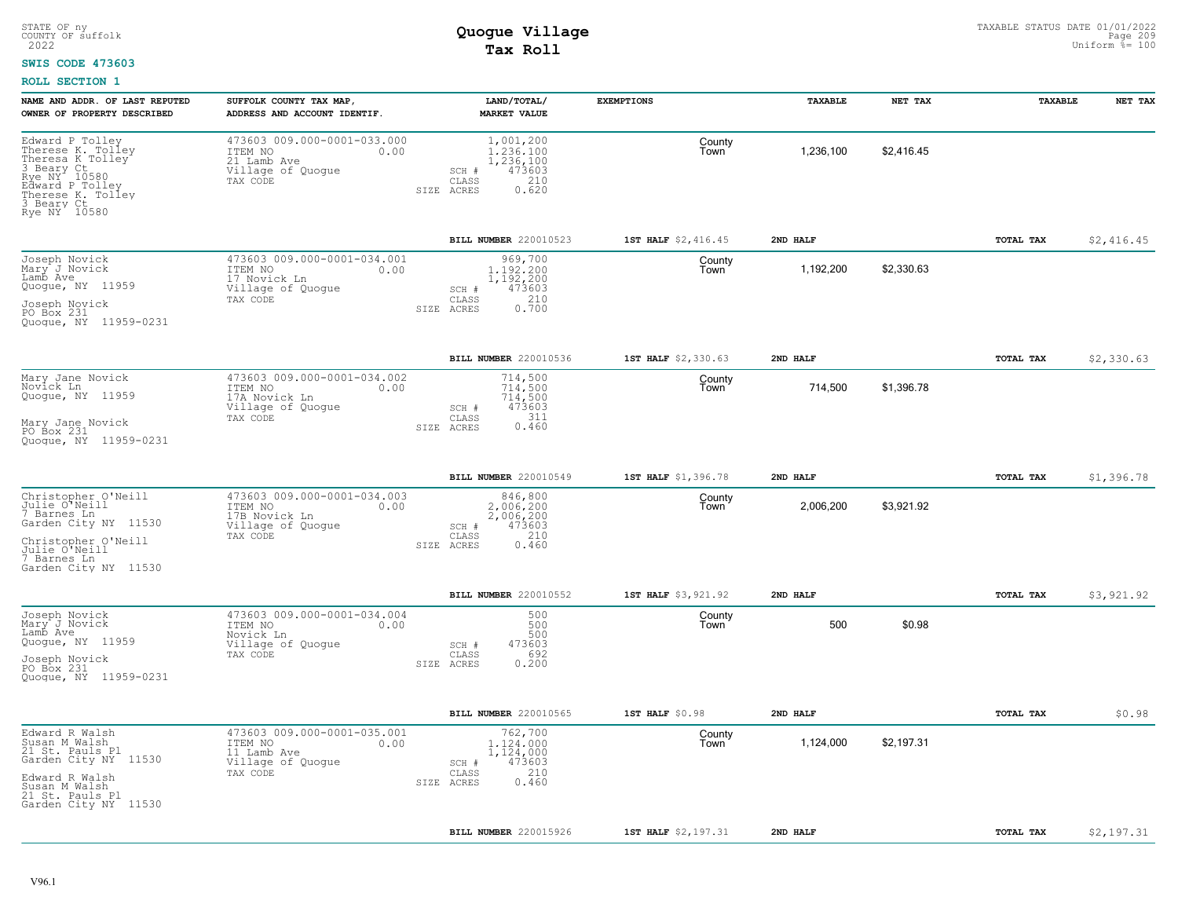#### **SWIS CODE 473603**

| 473603 009.000-0001-033.000<br>1,001,200<br>Edward P Tolley<br>County<br>Therese K. Tolley<br>1,236,100<br>\$2,416.45<br>ITEM NO<br>0.00<br>1,236,100<br>Town<br>Theresa K Tolley<br>3 Beary Ct<br>Rye NY 10580<br>21 Lamb Ave<br>1,236,100<br>Village of Quogue<br>473603<br>SCH #<br>CLASS<br>210<br>TAX CODE<br>Edward P Tolley<br>SIZE ACRES<br>0.620<br>Therese K. Tolley<br>3 Beary Ct<br>Rye NY 10580<br>BILL NUMBER 220010523<br>1ST HALF \$2,416.45<br>2ND HALF<br>TOTAL TAX<br>473603 009.000-0001-034.001<br>969,700<br>County<br>1.192.200<br>1,192,200<br>\$2,330.63<br>ITEM NO<br>0.00<br>Town<br>17 Novick Ln<br>1,192,200<br>473603<br>Village of Quogue<br>SCH #<br>210<br>TAX CODE<br>CLASS<br>0.700<br>SIZE ACRES<br>BILL NUMBER 220010536<br>1ST HALF \$2,330.63<br>2ND HALF<br><b>TOTAL TAX</b><br>473603 009.000-0001-034.002<br>714,500<br>County<br>714,500<br>\$1,396.78<br>714,500<br>ITEM NO<br>0.00<br>Town<br>17A Novick Ln<br>714,500<br>473603<br>Village of Quoque<br>SCH #<br>311<br>TAX CODE<br>CLASS<br>0.460<br>SIZE ACRES<br>BILL NUMBER 220010549<br>1ST HALF \$1,396.78<br>2ND HALF<br>TOTAL TAX<br>473603 009.000-0001-034.003<br>846,800<br>County<br>\$3,921.92<br>2,006,200<br>ITEM NO<br>0.00<br>2,006,200<br>Town<br>17B Novick Ln<br>2,006,200<br>Village of Quogue<br>473603<br>SCH #<br>210<br>TAX CODE<br>CLASS<br>0.460<br>SIZE ACRES<br>BILL NUMBER 220010552<br>1ST HALF \$3,921.92<br>2ND HALF<br>TOTAL TAX<br>473603 009.000-0001-034.004<br>500<br>County<br>500<br>500<br>\$0.98<br>ITEM NO<br>0.00<br>Town<br>500<br>Novick Ln<br>Village of Quogue<br>473603<br>SCH #<br>692<br>TAX CODE<br>CLASS<br>0.200<br>SIZE ACRES<br>BILL NUMBER 220010565<br>2ND HALF<br>TOTAL TAX<br>$1ST$ HALF $$0.98$<br>473603 009.000-0001-035.001<br>762,700<br>County<br>1,124,000<br>\$2,197.31<br>ITEM NO<br>0.00<br>1,124,000<br>Town<br>11 Lamb Ave<br>1,124,000<br>473603<br>Village of Quogue<br>SCH #<br>210<br>TAX CODE<br>CLASS<br>0.460<br>SIZE ACRES<br>BILL NUMBER 220015926<br>1ST HALF \$2,197.31<br>2ND HALF<br><b>TOTAL TAX</b> | NAME AND ADDR. OF LAST REPUTED | SUFFOLK COUNTY TAX MAP,      | LAND/TOTAL/         | <b>EXEMPTIONS</b> | <b>TAXABLE</b> | NET TAX | TAXABLE | NET TAX    |
|------------------------------------------------------------------------------------------------------------------------------------------------------------------------------------------------------------------------------------------------------------------------------------------------------------------------------------------------------------------------------------------------------------------------------------------------------------------------------------------------------------------------------------------------------------------------------------------------------------------------------------------------------------------------------------------------------------------------------------------------------------------------------------------------------------------------------------------------------------------------------------------------------------------------------------------------------------------------------------------------------------------------------------------------------------------------------------------------------------------------------------------------------------------------------------------------------------------------------------------------------------------------------------------------------------------------------------------------------------------------------------------------------------------------------------------------------------------------------------------------------------------------------------------------------------------------------------------------------------------------------------------------------------------------------------------------------------------------------------------------------------------------------------------------------------------------------------------------------------------------------------------------------------------------------------------------------------------------------------------------------------------------------------------------------------------------------------------|--------------------------------|------------------------------|---------------------|-------------------|----------------|---------|---------|------------|
|                                                                                                                                                                                                                                                                                                                                                                                                                                                                                                                                                                                                                                                                                                                                                                                                                                                                                                                                                                                                                                                                                                                                                                                                                                                                                                                                                                                                                                                                                                                                                                                                                                                                                                                                                                                                                                                                                                                                                                                                                                                                                          | OWNER OF PROPERTY DESCRIBED    | ADDRESS AND ACCOUNT IDENTIF. | <b>MARKET VALUE</b> |                   |                |         |         |            |
|                                                                                                                                                                                                                                                                                                                                                                                                                                                                                                                                                                                                                                                                                                                                                                                                                                                                                                                                                                                                                                                                                                                                                                                                                                                                                                                                                                                                                                                                                                                                                                                                                                                                                                                                                                                                                                                                                                                                                                                                                                                                                          |                                |                              |                     |                   |                |         |         |            |
| Joseph Novick<br>Mary J Novick<br>Lamb Ave<br>Quogue, NY 11959<br>Joseph Novick<br>PO Box 231<br>Quogue, NY 11959-0231<br>Mary Jane Novick<br>Novick Ln<br>Quogue, NY 11959<br>Mary Jane Novick<br>PO Box 231<br>Ouoque, NY 11959-0231<br>Christopher O'Neill<br>Julie O'Neill<br>7 Barnes Ln<br>Garden City NY 11530<br>Christopher O'Neill<br>Julie O'Neill<br>7 Barnes Ln<br>Garden City NY 11530<br>Joseph Novick<br>Mary J Novick<br>Lamb Ave<br>Quogue, NY 11959<br>Joseph Novick<br>PO Box 231<br>Quogue, NY 11959-0231<br>Edward R Walsh<br>Susan M Walsh<br>21 St. Pauls Pl<br>Garden City NY 11530<br>Edward R Walsh<br>Susan M Walsh<br>21 St. Pauls Pl<br>Garden City NY 11530                                                                                                                                                                                                                                                                                                                                                                                                                                                                                                                                                                                                                                                                                                                                                                                                                                                                                                                                                                                                                                                                                                                                                                                                                                                                                                                                                                                               |                                |                              |                     |                   |                |         |         | \$2,416.45 |
|                                                                                                                                                                                                                                                                                                                                                                                                                                                                                                                                                                                                                                                                                                                                                                                                                                                                                                                                                                                                                                                                                                                                                                                                                                                                                                                                                                                                                                                                                                                                                                                                                                                                                                                                                                                                                                                                                                                                                                                                                                                                                          |                                |                              |                     |                   |                |         |         |            |
|                                                                                                                                                                                                                                                                                                                                                                                                                                                                                                                                                                                                                                                                                                                                                                                                                                                                                                                                                                                                                                                                                                                                                                                                                                                                                                                                                                                                                                                                                                                                                                                                                                                                                                                                                                                                                                                                                                                                                                                                                                                                                          |                                |                              |                     |                   |                |         |         | \$2,330.63 |
|                                                                                                                                                                                                                                                                                                                                                                                                                                                                                                                                                                                                                                                                                                                                                                                                                                                                                                                                                                                                                                                                                                                                                                                                                                                                                                                                                                                                                                                                                                                                                                                                                                                                                                                                                                                                                                                                                                                                                                                                                                                                                          |                                |                              |                     |                   |                |         |         |            |
|                                                                                                                                                                                                                                                                                                                                                                                                                                                                                                                                                                                                                                                                                                                                                                                                                                                                                                                                                                                                                                                                                                                                                                                                                                                                                                                                                                                                                                                                                                                                                                                                                                                                                                                                                                                                                                                                                                                                                                                                                                                                                          |                                |                              |                     |                   |                |         |         | \$1,396.78 |
|                                                                                                                                                                                                                                                                                                                                                                                                                                                                                                                                                                                                                                                                                                                                                                                                                                                                                                                                                                                                                                                                                                                                                                                                                                                                                                                                                                                                                                                                                                                                                                                                                                                                                                                                                                                                                                                                                                                                                                                                                                                                                          |                                |                              |                     |                   |                |         |         |            |
|                                                                                                                                                                                                                                                                                                                                                                                                                                                                                                                                                                                                                                                                                                                                                                                                                                                                                                                                                                                                                                                                                                                                                                                                                                                                                                                                                                                                                                                                                                                                                                                                                                                                                                                                                                                                                                                                                                                                                                                                                                                                                          |                                |                              |                     |                   |                |         |         | \$3,921.92 |
|                                                                                                                                                                                                                                                                                                                                                                                                                                                                                                                                                                                                                                                                                                                                                                                                                                                                                                                                                                                                                                                                                                                                                                                                                                                                                                                                                                                                                                                                                                                                                                                                                                                                                                                                                                                                                                                                                                                                                                                                                                                                                          |                                |                              |                     |                   |                |         |         |            |
|                                                                                                                                                                                                                                                                                                                                                                                                                                                                                                                                                                                                                                                                                                                                                                                                                                                                                                                                                                                                                                                                                                                                                                                                                                                                                                                                                                                                                                                                                                                                                                                                                                                                                                                                                                                                                                                                                                                                                                                                                                                                                          |                                |                              |                     |                   |                |         |         | \$0.98     |
|                                                                                                                                                                                                                                                                                                                                                                                                                                                                                                                                                                                                                                                                                                                                                                                                                                                                                                                                                                                                                                                                                                                                                                                                                                                                                                                                                                                                                                                                                                                                                                                                                                                                                                                                                                                                                                                                                                                                                                                                                                                                                          |                                |                              |                     |                   |                |         |         |            |
|                                                                                                                                                                                                                                                                                                                                                                                                                                                                                                                                                                                                                                                                                                                                                                                                                                                                                                                                                                                                                                                                                                                                                                                                                                                                                                                                                                                                                                                                                                                                                                                                                                                                                                                                                                                                                                                                                                                                                                                                                                                                                          |                                |                              |                     |                   |                |         |         | \$2,197.31 |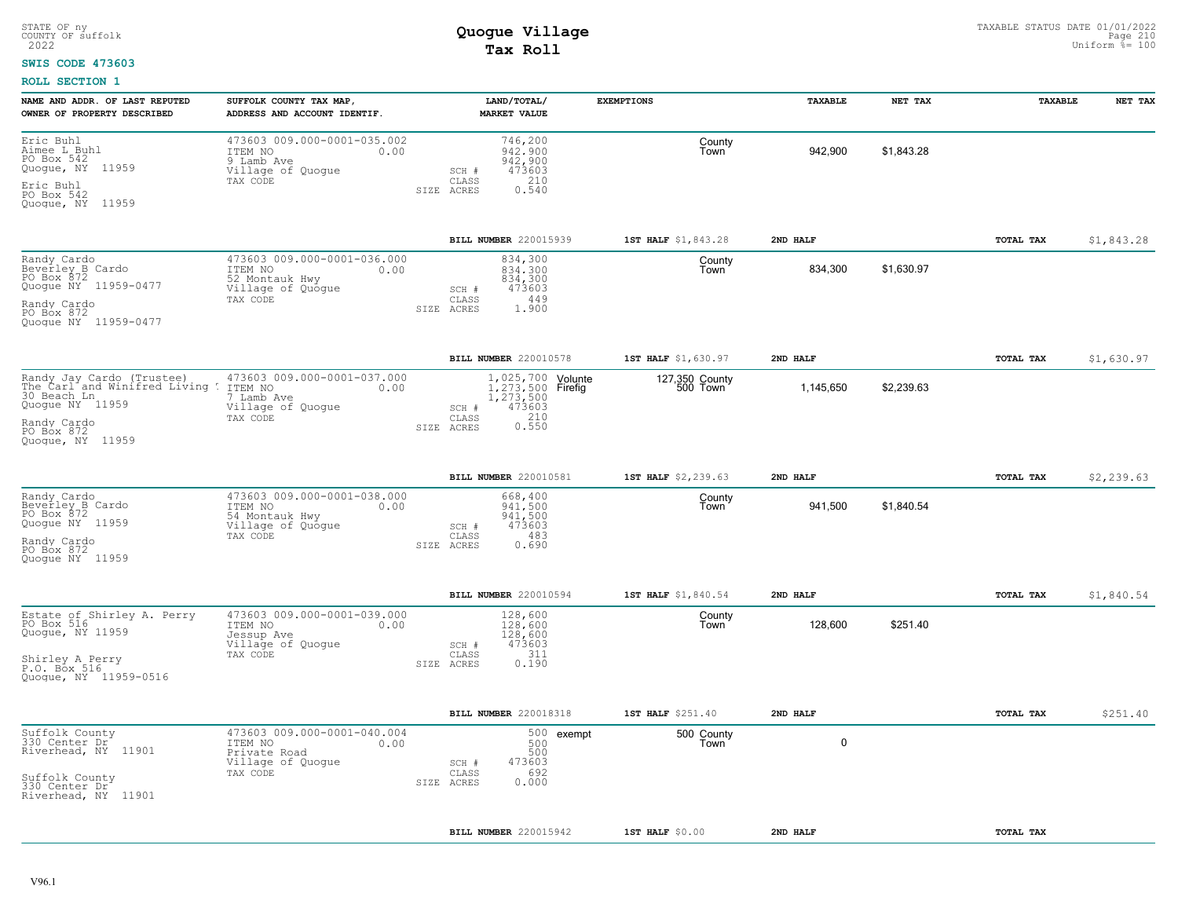### **SWIS CODE 473603**

| NAME AND ADDR. OF LAST REPUTED                                                                                                                                         | SUFFOLK COUNTY TAX MAP,                                                                           | LAND/TOTAL/                                                                                                   | <b>EXEMPTIONS</b>          | TAXABLE   | NET TAX    | TAXABLE   | NET TAX    |
|------------------------------------------------------------------------------------------------------------------------------------------------------------------------|---------------------------------------------------------------------------------------------------|---------------------------------------------------------------------------------------------------------------|----------------------------|-----------|------------|-----------|------------|
| OWNER OF PROPERTY DESCRIBED                                                                                                                                            | ADDRESS AND ACCOUNT IDENTIF.                                                                      | <b>MARKET VALUE</b>                                                                                           |                            |           |            |           |            |
| Eric Buhl<br>Aimee L Buhl<br>PO Box 542<br>Quogue, NY 11959<br>Eric Buhl<br>PO Box 542<br>Quoque, NY 11959                                                             | 473603 009.000-0001-035.002<br>ITEM NO<br>0.00<br>9 Lamb Ave<br>Village of Quogue<br>TAX CODE     | 746,200<br>942,900<br>942,900<br>473603<br>SCH #<br>210<br>CLASS<br>0.540<br>SIZE ACRES                       | County<br>Town             | 942,900   | \$1.843.28 |           |            |
|                                                                                                                                                                        |                                                                                                   | BILL NUMBER 220015939                                                                                         | 1ST HALF \$1,843.28        | 2ND HALF  |            | TOTAL TAX | \$1,843.28 |
| Randy Cardo<br>Beverley B Cardo<br>PO Box 872<br>Quogue NY 11959-0477<br>Randy Cardo<br>PO Box 872<br>Quogue NY 11959-0477                                             | 473603 009.000-0001-036.000<br>ITEM NO<br>0.00<br>52 Montauk Hwy<br>Village of Quogue<br>TAX CODE | 834,300<br>834,300<br>834,300<br>473603<br>SCH #<br>449<br>CLASS<br>1.900<br>SIZE ACRES                       | County<br>Town             | 834,300   | \$1.630.97 |           |            |
|                                                                                                                                                                        |                                                                                                   | BILL NUMBER 220010578                                                                                         | 1ST HALF \$1,630.97        | 2ND HALF  |            | TOTAL TAX | \$1,630.97 |
| Randy Jay Cardo (Trustee)        473603 C<br>The_Carl and Winifred Living T ITEM NO<br>30 Beach Ln<br>Quogue NY 11959<br>Randy Cardo<br>PO Box 872<br>Quoque, NY 11959 | 473603 009.000-0001-037.000<br>0.00<br>7 Lamb Ave<br>Village of Quogue<br>TAX CODE                | 1,025,700 Volunte<br>1.273.500 Firefig<br>1,273,500<br>473603<br>SCH #<br>210<br>CLASS<br>0.550<br>SIZE ACRES | 127,350 County<br>500 Town | 1,145,650 | \$2,239.63 |           |            |
|                                                                                                                                                                        |                                                                                                   | BILL NUMBER 220010581                                                                                         | 1ST HALF \$2,239.63        | 2ND HALF  |            | TOTAL TAX | \$2,239.63 |
| Randy Cardo<br>Beverley B Cardo<br>PO Box 872<br>Quogue NY 11959<br>Randy Cardo<br>PO Box 872<br>Quoque NY 11959                                                       | 473603 009.000-0001-038.000<br>ITEM NO<br>0.00<br>54 Montauk Hwy<br>Village of Quogue<br>TAX CODE | 668,400<br>941,500<br>941,500<br>473603<br>SCH #<br>483<br>CLASS<br>SIZE ACRES<br>0.690                       | County<br>Town             | 941,500   | \$1,840.54 |           |            |
|                                                                                                                                                                        |                                                                                                   | BILL NUMBER 220010594                                                                                         | 1ST HALF \$1,840.54        | 2ND HALF  |            | TOTAL TAX | \$1,840.54 |
| Estate of Shirley A. Perry<br>PO Box 516<br>Quogue, NY 11959<br>Shirley A Perry<br>P.O. Box 516<br>Quogue, NY 11959-0516                                               | 473603 009.000-0001-039.000<br>ITEM NO<br>0.00<br>Jessup Ave<br>Village of Quoque<br>TAX CODE     | 128,600<br>128,600<br>128,600<br>473603<br>SCH #<br>311<br>CLASS<br>0.190<br>SIZE ACRES                       | County<br>Town             | 128,600   | \$251.40   |           |            |
|                                                                                                                                                                        |                                                                                                   | BILL NUMBER 220018318                                                                                         | 1ST HALF \$251.40          | 2ND HALF  |            | TOTAL TAX | \$251.40   |
| Suffolk County<br>330 Center Dr<br>Riverhead, NY<br>11901<br>Suffolk County<br>330 Center Dr<br>Riverhead, NY 11901                                                    | 473603 009.000-0001-040.004<br>0.00<br>ITEM NO<br>Private Road<br>Village of Quogue<br>TAX CODE   | 500<br>exempt<br>500<br>500<br>473603<br>SCH #<br>692<br>CLASS<br>0.000<br>SIZE ACRES                         | 500 County<br>Town         | 0         |            |           |            |
|                                                                                                                                                                        |                                                                                                   | BILL NUMBER 220015942                                                                                         | 1ST HALF $$0.00$           | 2ND HALF  |            | TOTAL TAX |            |
|                                                                                                                                                                        |                                                                                                   |                                                                                                               |                            |           |            |           |            |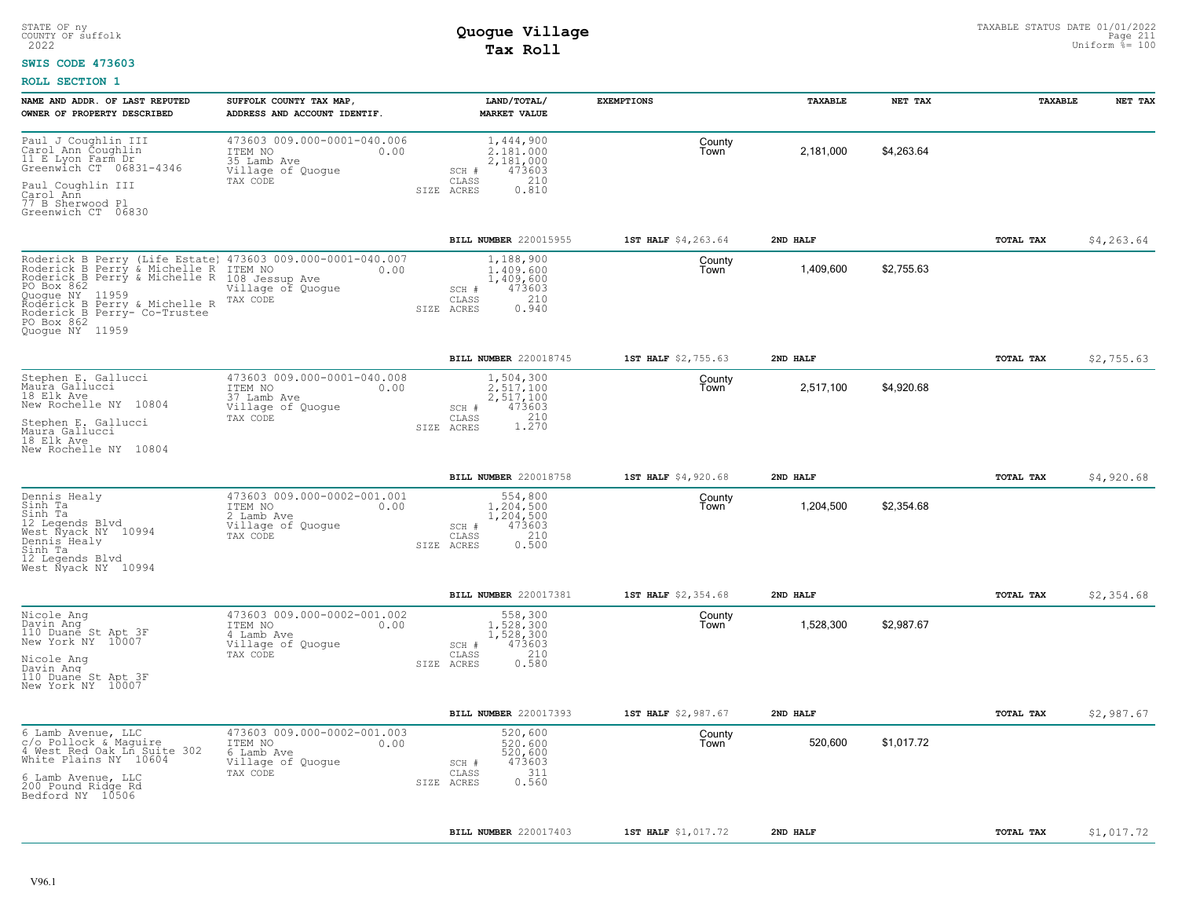#### **SWIS CODE 473603**

| NAME AND ADDR. OF LAST REPUTED<br>OWNER OF PROPERTY DESCRIBED                                                                                                                                                                       | SUFFOLK COUNTY TAX MAP<br>ADDRESS AND ACCOUNT IDENTIF.                                            | LAND/TOTAL/<br><b>MARKET VALUE</b>                                                               | <b>EXEMPTIONS</b>             | TAXABLE   | NET TAX    | TAXABLE   | NET TAX    |
|-------------------------------------------------------------------------------------------------------------------------------------------------------------------------------------------------------------------------------------|---------------------------------------------------------------------------------------------------|--------------------------------------------------------------------------------------------------|-------------------------------|-----------|------------|-----------|------------|
| Paul J Coughlin III<br>Carol Ann Coughlin<br>11 E Lyon Farm Dr<br>Greenwich CT 06831-4346<br>Paul Coughlin III                                                                                                                      | 473603 009.000-0001-040.006<br>ITEM NO<br>0.00<br>35 Lamb Ave<br>Village of Quogue<br>TAX CODE    | 1,444,900<br>2.181.000<br>2,181,000<br>473603<br>SCH #<br>210<br>CLASS                           | County<br>Town                | 2,181,000 | \$4,263.64 |           |            |
| Carol Ann<br>77 B Sherwood Pl<br>Greenwich CT 06830                                                                                                                                                                                 |                                                                                                   | 0.810<br>SIZE ACRES                                                                              |                               |           |            |           |            |
|                                                                                                                                                                                                                                     |                                                                                                   | BILL NUMBER 220015955                                                                            | 1ST HALF \$4,263.64           | 2ND HALF  |            | TOTAL TAX | \$4,263.64 |
| Roderick B Perry (Life Estate)<br>Roderick B Perry & Michelle R<br>Roderick B Perry & Michelle R<br>PO Box 862<br>Ouoque NY 11959<br>Rodérick B Perry & Michelle R<br>Roderick B Perry- Co-Trustee<br>PO Box 862<br>Quoque NY 11959 | 473603 009.000-0001-040.007<br>ITEM NO<br>0.00<br>108 Jessup Ave<br>Village of Quogue<br>TAX CODE | 1,188,900<br>1,409,600<br>1,409,600<br>473603<br>SCH #<br>210<br>CLASS<br>0.940<br>SIZE<br>ACRES | County<br>Town                | 1,409,600 | \$2,755.63 |           |            |
|                                                                                                                                                                                                                                     |                                                                                                   | BILL NUMBER 220018745                                                                            | 1ST HALF \$2,755.63           | 2ND HALF  |            | TOTAL TAX | \$2,755.63 |
| Stephen E. Gallucci<br>Maura Gallucci<br>18 Elk Ave<br>New Rochelle NY 10804<br>Stephen E. Gallucci<br>Maura Gallucci<br>18 Elk Ave<br>New Rochelle NY 10804                                                                        | 473603 009.000-0001-040.008<br>ITEM NO<br>0.00<br>37 Lamb Ave<br>Village of Quogue<br>TAX CODE    | 1,504,300<br>2.517.100<br>2,517,100<br>473603<br>SCH #<br>1.270<br>CLASS<br>SIZE ACRES           | County<br>Town                | 2,517,100 | \$4,920.68 |           |            |
|                                                                                                                                                                                                                                     |                                                                                                   |                                                                                                  |                               |           |            |           |            |
| Dennis Healy                                                                                                                                                                                                                        | 473603 009.000-0002-001.001                                                                       | BILL NUMBER 220018758<br>554,800                                                                 | 1ST HALF \$4,920.68<br>County | 2ND HALF  |            | TOTAL TAX | \$4,920.68 |
| Sinh Ta<br>Sinh Ta<br>12 Legends Blvd<br>West Nyack NY 10994<br>Dennis Healy<br>Sinh Ta<br>12 Legends Blvd<br>West Nyack NY 10994                                                                                                   | ITEM NO<br>0.00<br>2 Lamb Ave<br>Village of Quoque<br>TAX CODE                                    | 1,204,500<br>1,204,500<br>473603<br>SCH #<br>210<br>CLASS<br>0.500<br>ACRES<br>SIZE              | Town                          | 1,204,500 | \$2,354.68 |           |            |
|                                                                                                                                                                                                                                     |                                                                                                   | BILL NUMBER 220017381                                                                            | 1ST HALF \$2,354.68           | 2ND HALF  |            | TOTAL TAX | \$2,354.68 |
| Nicole Ang<br>Davin Ang<br>110 Duane St Apt 3F<br>New York NY 10007<br>Nicole Ang<br>Davin Ang<br>110 Duane St Apt 3F<br>New York NY 10007                                                                                          | 473603 009.000-0002-001.002<br>ITEM NO<br>0.00<br>4 Lamb Ave<br>Village of Quogue<br>TAX CODE     | 558,300<br>1,528,300<br>1,528,300<br>473603<br>SCH #<br>210<br>CLASS<br>0.580<br>SIZE ACRES      | County<br>Town                | 1,528,300 | \$2,987.67 |           |            |
|                                                                                                                                                                                                                                     |                                                                                                   | BILL NUMBER 220017393                                                                            | 1ST HALF \$2,987.67           | 2ND HALF  |            | TOTAL TAX | \$2,987.67 |
| 6 Lamb Avenue, LLC<br>c/o Pollock & Maquire<br>4 West Red Oak Ln Suite 302<br>White Plains NY 10604                                                                                                                                 | 473603 009.000-0002-001.003<br>0.00<br>ITEM NO<br>6 Lamb Ave<br>Village of Quogue                 | 520,600<br>520,600<br>520,600<br>473603<br>SCH #                                                 | County<br>Town                | 520,600   | \$1,017.72 |           |            |
| 6 Lamb Avenue, LLC<br>200 Pound Ridge Rd<br>Bedford NY 10506                                                                                                                                                                        | TAX CODE                                                                                          | 311<br>CLASS<br>0.560<br>SIZE ACRES                                                              |                               |           |            |           |            |
|                                                                                                                                                                                                                                     |                                                                                                   | BILL NUMBER 220017403                                                                            | 1ST HALF \$1,017.72           | 2ND HALF  |            | TOTAL TAX | \$1,017.72 |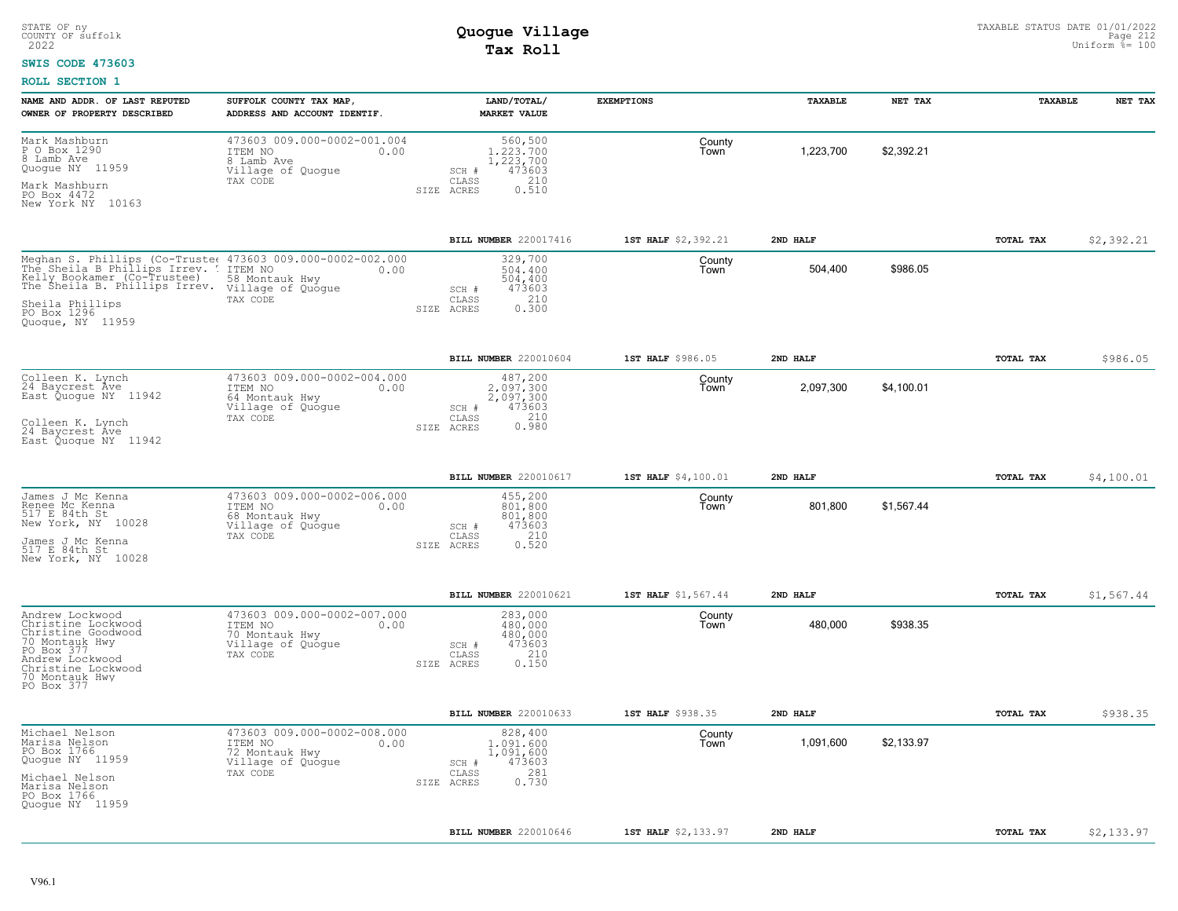#### **SWIS CODE 473603**

| NAME AND ADDR. OF LAST REPUTED<br>OWNER OF PROPERTY DESCRIBED                                                                                                                                                                             | SUFFOLK COUNTY TAX MAP,<br>ADDRESS AND ACCOUNT IDENTIF.                                           | LAND/TOTAL/<br><b>MARKET VALUE</b>                                                          | <b>EXEMPTIONS</b>   | <b><i>TAXABLE</i></b> | NET TAX    | TAXABLE          | NET TAX    |
|-------------------------------------------------------------------------------------------------------------------------------------------------------------------------------------------------------------------------------------------|---------------------------------------------------------------------------------------------------|---------------------------------------------------------------------------------------------|---------------------|-----------------------|------------|------------------|------------|
| Mark Mashburn<br>P O Box 1290<br>8 Lamb Ave<br>Quogue NY 11959<br>Mark Mashburn                                                                                                                                                           | 473603 009.000-0002-001.004<br>ITEM NO<br>0.00<br>8 Lamb Ave<br>Village of Quogue<br>TAX CODE     | 560,500<br>1,223,700<br>1,223,700<br>473603<br>SCH #<br>210<br>CLASS<br>0.510<br>SIZE ACRES | County<br>Town      | 1,223,700             | \$2,392.21 |                  |            |
| PO Box 4472<br>New York NY 10163                                                                                                                                                                                                          |                                                                                                   |                                                                                             |                     |                       |            |                  |            |
|                                                                                                                                                                                                                                           |                                                                                                   | BILL NUMBER 220017416                                                                       | 1ST HALF \$2,392.21 | 2ND HALF              |            | TOTAL TAX        | \$2,392.21 |
| Meghan S. Phillips (Co-Truste: 473603 009.000-0002-002.000<br>The Sheila B Phillips Irrev. TEM NO<br>Kelly Bookamer (Co-Trustee) 58 Montauk Hwy 0.00<br>The Sheila B. Phillips Irrev. Village of Quogue<br>Sheila Phillips<br>PO Box 1296 | TAX CODE                                                                                          | 329,700<br>504,400<br>504,400<br>473603<br>SCH #<br>210<br>CLASS<br>0.300<br>SIZE ACRES     | County<br>Town      | 504,400               | \$986.05   |                  |            |
| Quoque, NY 11959                                                                                                                                                                                                                          |                                                                                                   |                                                                                             |                     |                       |            |                  |            |
|                                                                                                                                                                                                                                           |                                                                                                   | BILL NUMBER 220010604                                                                       | 1ST HALF \$986.05   | 2ND HALF              |            | TOTAL TAX        | \$986.05   |
| Colleen K. Lynch<br>24 Baycrest Ave<br>East Quogue NY 11942                                                                                                                                                                               | 473603 009.000-0002-004.000<br>ITEM NO<br>0.00<br>64 Montauk Hwy<br>Village of Quogue             | 487,200<br>2,097,300<br>2,097,300<br>473603<br>SCH #                                        | County<br>Town      | 2,097,300             | \$4,100.01 |                  |            |
| Colleen K. Lynch<br>24 Baycrest Ave<br>East Quoque NY 11942                                                                                                                                                                               | TAX CODE                                                                                          | 210<br>CLASS<br>0.980<br>SIZE ACRES                                                         |                     |                       |            |                  |            |
|                                                                                                                                                                                                                                           |                                                                                                   | <b>BILL NUMBER 220010617</b>                                                                | 1ST HALF \$4,100.01 | 2ND HALF              |            | <b>TOTAL TAX</b> | \$4,100.01 |
| James J Mc Kenna<br>Renee Mc Kenna<br>517 E 84th St<br>New York, NY 10028                                                                                                                                                                 | 473603 009.000-0002-006.000<br>ITEM NO<br>0.00<br>68 Montauk Hwy<br>Village of Quogue             | 455,200<br>801,800<br>801,800<br>473603<br>SCH #                                            | County<br>Town      | 801,800               | \$1,567.44 |                  |            |
| James J Mc Kenna<br>517 E 84th St<br>New York, NY 10028                                                                                                                                                                                   | TAX CODE                                                                                          | 210<br>CLASS<br>SIZE ACRES<br>0.520                                                         |                     |                       |            |                  |            |
|                                                                                                                                                                                                                                           |                                                                                                   | BILL NUMBER 220010621                                                                       | 1ST HALF \$1,567.44 | 2ND HALF              |            | TOTAL TAX        | \$1,567.44 |
| Andrew Lockwood<br>Christine Lockwood<br>Christine Goodwood<br>70 Montauk Hwy<br>PO Box 377<br>Andrew Lockwood<br>Christine Lockwood<br>70 Montauk Hwy<br>PO Box 377                                                                      | 473603 009.000-0002-007.000<br>ITEM NO<br>0.00<br>70 Montauk Hwy<br>Village of Quogue<br>TAX CODE | 283,000<br>480,000<br>480,000<br>473603<br>SCH #<br>210<br>CLASS<br>0.150<br>SIZE ACRES     | County<br>Town      | 480,000               | \$938.35   |                  |            |
|                                                                                                                                                                                                                                           |                                                                                                   | BILL NUMBER 220010633                                                                       | 1ST HALF \$938.35   | 2ND HALF              |            | TOTAL TAX        | \$938.35   |
| Michael Nelson<br>Marisa Nelson<br>PO Box 1766<br>Quogue NY 11959                                                                                                                                                                         | 473603 009.000-0002-008.000<br>ITEM NO<br>0.00<br>72 Montauk Hwy<br>Village of Quogue             | 828,400<br>1,091,600<br>1,091,600<br>473603<br>SCH #                                        | County<br>Town      | 1,091,600             | \$2,133.97 |                  |            |
| Michael Nelson<br>Marisa Nelson<br>PO Box 1766<br>Quogue NY 11959                                                                                                                                                                         | TAX CODE                                                                                          | CLASS<br>281<br>0.730<br>SIZE ACRES                                                         |                     |                       |            |                  |            |
|                                                                                                                                                                                                                                           |                                                                                                   | <b>BILL NUMBER</b> 220010646                                                                | 1ST HALF \$2,133.97 | 2ND HALF              |            | TOTAL TAX        | \$2,133.97 |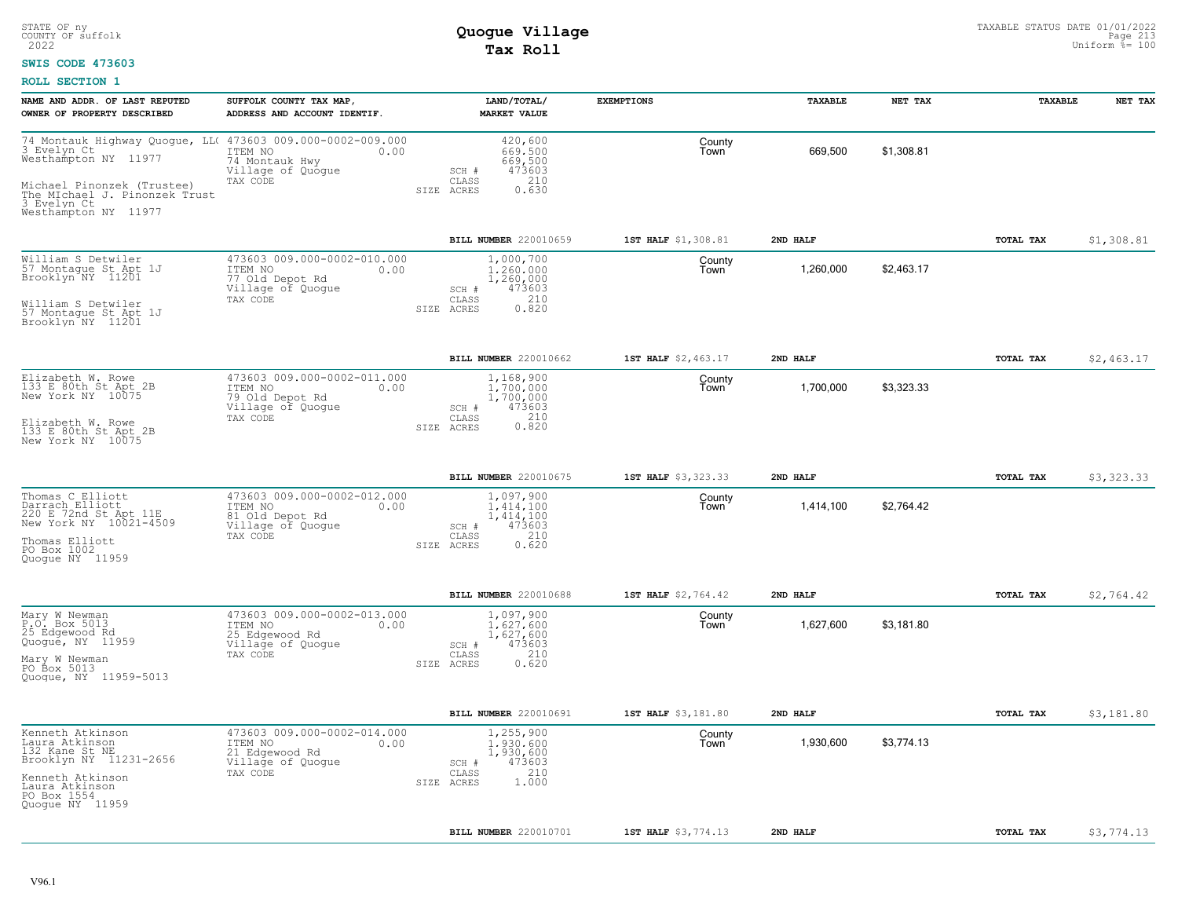### **SWIS CODE 473603**

| NAME AND ADDR. OF LAST REPUTED<br>OWNER OF PROPERTY DESCRIBED                                                                                                                                                  | SUFFOLK COUNTY TAX MAP,<br>ADDRESS AND ACCOUNT IDENTIF.                                            | LAND/TOTAL/<br><b>MARKET VALUE</b>                                                            | <b>EXEMPTIONS</b>   | TAXABLE   | NET TAX    | TAXABLE   | NET TAX    |
|----------------------------------------------------------------------------------------------------------------------------------------------------------------------------------------------------------------|----------------------------------------------------------------------------------------------------|-----------------------------------------------------------------------------------------------|---------------------|-----------|------------|-----------|------------|
| 74 Montauk Highway Quogue, LL( 473603 009.000-0002-009.000<br>3 Evelyn Ct<br>Westhampton NY 11977<br>Michael Pinonzek (Trustee)<br>The MIchael J. Pinonzek Trust<br>3 Evelyn Ct  11000<br>Westhampton NY 11977 | ITEM NO<br>0.00<br>74 Montauk Hwy<br>Village of Quogue<br>TAX CODE                                 | 420,600<br>669,500<br>669,500<br>473603<br>SCH #<br>210<br>CLASS<br>0.630<br>SIZE ACRES       | County<br>Town      | 669,500   | \$1,308.81 |           |            |
|                                                                                                                                                                                                                |                                                                                                    | BILL NUMBER 220010659                                                                         | 1ST HALF \$1,308.81 | 2ND HALF  |            | TOTAL TAX | \$1,308.81 |
| William S Detwiler<br>57 Montague St Apt 1J<br>Brooklyn NY 11201<br>William S Detwiler                                                                                                                         | 473603 009.000-0002-010.000<br>ITEM NO<br>0.00<br>77 Old Depot Rd<br>Village of Quoque<br>TAX CODE | 1,000,700<br>1,260,000<br>1,260,000<br>473603<br>SCH #<br>210<br>CLASS<br>SIZE ACRES<br>0.820 | County<br>Town      | 1,260,000 | \$2,463.17 |           |            |
| 57 Montague St Apt 1J<br>Brooklyn NY 11201                                                                                                                                                                     |                                                                                                    |                                                                                               |                     |           |            |           |            |
|                                                                                                                                                                                                                |                                                                                                    | BILL NUMBER 220010662                                                                         | 1ST HALF \$2,463.17 | 2ND HALF  |            | TOTAL TAX | \$2,463.17 |
| Elizabeth W. Rowe<br>133 E 80th St Apt 2B<br>New York NY 10075                                                                                                                                                 | 473603 009.000-0002-011.000<br>ITEM NO<br>0.00<br>79 Old Depot Rd<br>Village of Quoque<br>TAX CODE | 1,168,900<br>1.700.000<br>1,700,000<br>473603<br>SCH #<br>CLASS                               | County<br>Town      | 1,700,000 | \$3,323.33 |           |            |
| Elizabeth W. Rowe<br>133 E 80th St Apt 2B<br>New York NY 10075                                                                                                                                                 |                                                                                                    | 0.820<br>SIZE ACRES                                                                           |                     |           |            |           |            |
|                                                                                                                                                                                                                |                                                                                                    | BILL NUMBER 220010675                                                                         | 1ST HALF \$3,323.33 | 2ND HALF  |            | TOTAL TAX | \$3,323.33 |
| Thomas C Elliott<br>Darrach Elliott<br>220 E 72nd St Apt 11E<br>New York NY 10021-4509<br>Thomas Elliott<br>PO Box 1002<br>Quoque NY 11959                                                                     | 473603 009.000-0002-012.000<br>ITEM NO<br>0.00<br>81 Old Depot Rd<br>Village of Quogue<br>TAX CODE | 1,097,900<br>1,414,100<br>1,414,100<br>473603<br>SCH #<br>210<br>CLASS<br>SIZE ACRES<br>0.620 | County<br>Town      | 1,414,100 | \$2,764.42 |           |            |
|                                                                                                                                                                                                                |                                                                                                    | BILL NUMBER 220010688                                                                         | 1ST HALF \$2,764.42 | 2ND HALF  |            | TOTAL TAX | \$2,764.42 |
| Mary W Newman<br>P.O. Box 5013<br>25 Edgewood Rd<br>Quogué, NY 11959<br>Mary W Newman<br>PO Box 5013                                                                                                           | 473603 009.000-0002-013.000<br>ITEM NO<br>0.00<br>25 Edgewood Rd<br>Village of Quogue<br>TAX CODE  | 1,097,900<br>1.627.600<br>1,627,600<br>473603<br>SCH #<br>210<br>CLASS<br>SIZE ACRES<br>0.620 | County<br>Town      | 1,627,600 | \$3,181.80 |           |            |
| Quogue, NY 11959-5013                                                                                                                                                                                          |                                                                                                    |                                                                                               |                     |           |            |           |            |
|                                                                                                                                                                                                                |                                                                                                    | BILL NUMBER 220010691                                                                         | 1ST HALF \$3,181.80 | 2ND HALF  |            | TOTAL TAX | \$3,181.80 |
| Kenneth Atkinson<br>Laura Atkinson<br>132 Kane St NE<br>Brooklyn NY 11231-2656<br>Kenneth Atkinson<br>Laura Atkinson<br>PO Box 1554<br>Quoque NY 11959                                                         | 473603 009.000-0002-014.000<br>0.00<br>ITEM NO<br>21 Edgewood Rd<br>Village of Quoque<br>TAX CODE  | 1,255,900<br>1,930,600<br>1,930,600<br>473603<br>SCH #<br>210<br>CLASS<br>1,000<br>SIZE ACRES | County<br>Town      | 1,930,600 | \$3,774.13 |           |            |
|                                                                                                                                                                                                                |                                                                                                    |                                                                                               |                     |           |            |           |            |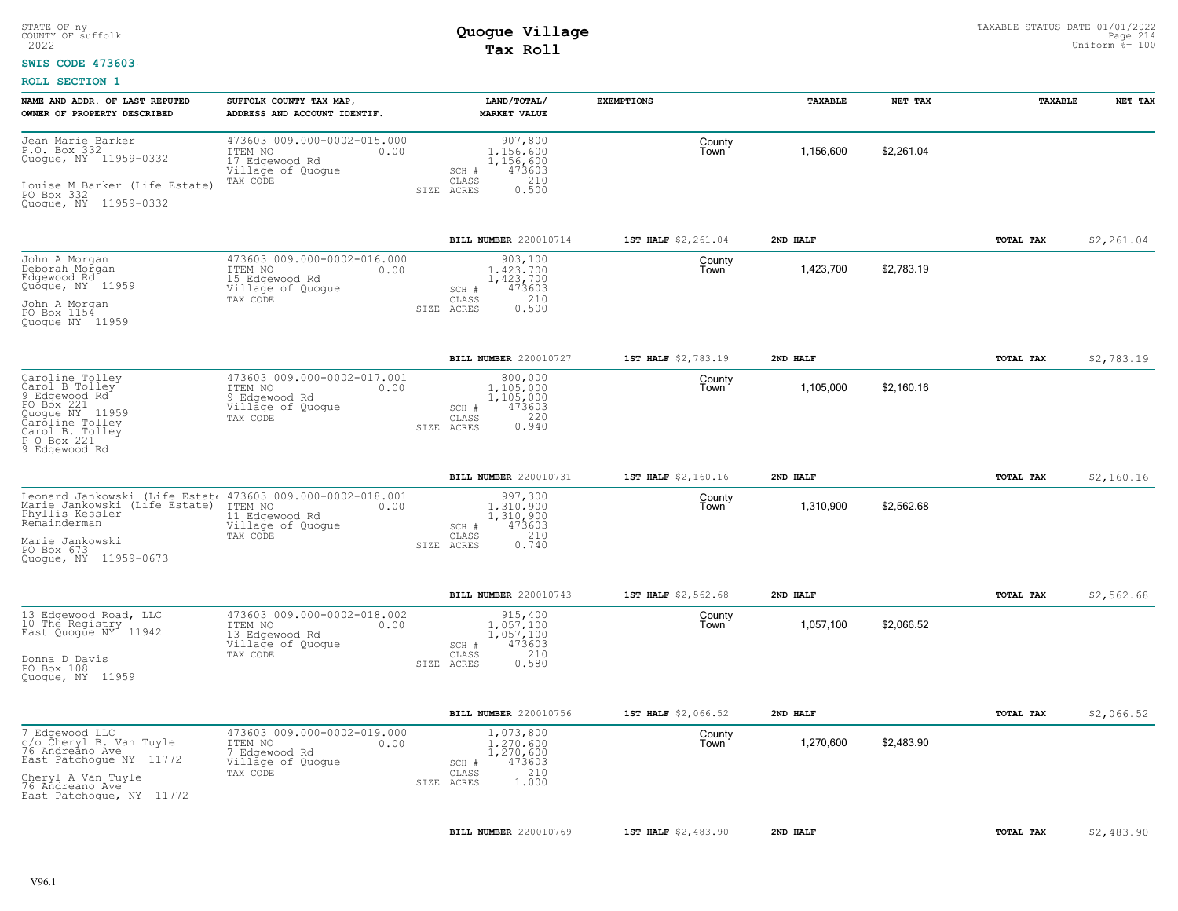### **SWIS CODE 473603**

| NAME AND ADDR. OF LAST REPUTED<br>OWNER OF PROPERTY DESCRIBED                                                                                                                                                                                       | SUFFOLK COUNTY TAX MAP,<br>ADDRESS AND ACCOUNT IDENTIF. | LAND/TOTAL/<br><b>MARKET VALUE</b>                                                                | <b>EXEMPTIONS</b>   | TAXABLE   | NET TAX    | TAXABLE          | NET TAX    |
|-----------------------------------------------------------------------------------------------------------------------------------------------------------------------------------------------------------------------------------------------------|---------------------------------------------------------|---------------------------------------------------------------------------------------------------|---------------------|-----------|------------|------------------|------------|
| Jean Marie Barker<br>P.O. Box 332<br>ITEM NO<br>Quogue, NY 11959-0332<br>17 Edgewood Rd<br>Village of Quogue<br>TAX CODE<br>Louise M Barker (Life Estate)<br>PO Box 332<br>Quogue, NY 11959-0332                                                    | 473603 009.000-0002-015.000<br>0.00                     | 907,800<br>1.156.600<br>1,156,600<br>473603<br>SCH #<br>210<br>CLASS<br>0.500<br>SIZE ACRES       | County<br>Town      | 1.156.600 | \$2.261.04 |                  |            |
|                                                                                                                                                                                                                                                     |                                                         | BILL NUMBER 220010714                                                                             | 1ST HALF \$2,261.04 | 2ND HALF  |            | TOTAL TAX        | \$2,261.04 |
| John A Morgan<br>Deborah Morgan<br>ITEM NO<br>Edgewood Rd<br>15 Edgewood Rd<br>Quogue, NY 11959<br>Village of Quoque<br>TAX CODE<br>John A Morgan<br>PO Box 1154<br>Quoque NY 11959                                                                 | 473603 009.000-0002-016.000<br>0.00                     | 903,100<br>1.423.700<br>1,423,700<br>473603<br>SCH #<br>210<br>CLASS<br>0.500<br>SIZE ACRES       | County<br>Town      | 1,423,700 | \$2.783.19 |                  |            |
|                                                                                                                                                                                                                                                     |                                                         | BILL NUMBER 220010727                                                                             | 1ST HALF \$2,783.19 | 2ND HALF  |            | TOTAL TAX        | \$2,783.19 |
| Caroline Tolley<br>Carol B Tolley<br>9 Edgewood Rd<br>ITEM NO<br>9 Edgewood Rd<br>PO Box 221<br>Village of Quogue<br>Quogue NY 11959<br>Caroline Tolley<br>TAX CODE<br>Carol B. Tolley<br>P O Box 221<br>9 Edgewood Rd                              | 473603 009.000-0002-017.001<br>0.00                     | 800,000<br>1,105,000<br>1,105,000<br>473603<br>SCH #<br>$0.220$<br>$0.940$<br>CLASS<br>SIZE ACRES | County<br>Town      | 1,105,000 | \$2,160.16 |                  |            |
|                                                                                                                                                                                                                                                     |                                                         | BILL NUMBER 220010731                                                                             | 1ST HALF \$2,160.16 | 2ND HALF  |            | <b>TOTAL TAX</b> | \$2,160.16 |
| Leonard Jankowski (Life Estat: 473603 009.000-0002-018.001<br>Marie Jankowski (Life Estate) ITEM NO<br>Phyllis Kessler<br>11 Edgewood Rd<br>Remainderman<br>Village of Quoque<br>TAX CODE<br>Marie Jankowski<br>PO Box 673<br>Quoque, NY 11959-0673 | 0.00                                                    | 997,300<br>1.310.900<br>1,310,900<br>473603<br>SCH #<br>210<br>CLASS<br>0.740<br>SIZE ACRES       | County<br>Town      | 1,310,900 | \$2,562.68 |                  |            |
|                                                                                                                                                                                                                                                     |                                                         | BILL NUMBER 220010743                                                                             | 1ST HALF \$2,562.68 | 2ND HALF  |            | TOTAL TAX        | \$2,562.68 |
| 13 Edgewood Road, LLC<br>10 The Registry<br>ITEM NO<br>East Quogue NY <sup>-</sup> 11942<br>13 Edgewood Rd<br>Village of Quogue<br>TAX CODE<br>Donna D Davis<br>PO Box 108<br>Quogue, NY 11959                                                      | 473603 009.000-0002-018.002<br>0.00                     | 915,400<br>1,057,100<br>1,057,100<br>473603<br>$SCH$ $#$<br>210<br>CLASS<br>0.580<br>SIZE ACRES   | County<br>Town      | 1,057,100 | \$2,066.52 |                  |            |
|                                                                                                                                                                                                                                                     |                                                         | BILL NUMBER 220010756                                                                             | 1ST HALF \$2,066.52 | 2ND HALF  |            | TOTAL TAX        | \$2,066.52 |
| 7 Edgewood LLC<br>c/o Cheryl B. Van Tuyle<br>76 Andreano Ave<br>ITEM NO<br>7 Edgewood Rd<br>East Patchogue NY 11772<br>Village of Quogue<br>TAX CODE<br>Cheryl A Van Tuyle<br>76 Andreano Ave<br>East Patchogue, NY 11772                           | 473603 009.000-0002-019.000<br>0.00                     | 1,073,800<br>1,270,600<br>1,270,600<br>473603<br>SCH #<br>210<br>CLASS<br>1.000<br>SIZE ACRES     | County<br>Town      | 1,270,600 | \$2.483.90 |                  |            |
|                                                                                                                                                                                                                                                     |                                                         | BILL NUMBER 220010769                                                                             | 1ST HALF \$2,483.90 | 2ND HALF  |            | TOTAL TAX        | \$2,483.90 |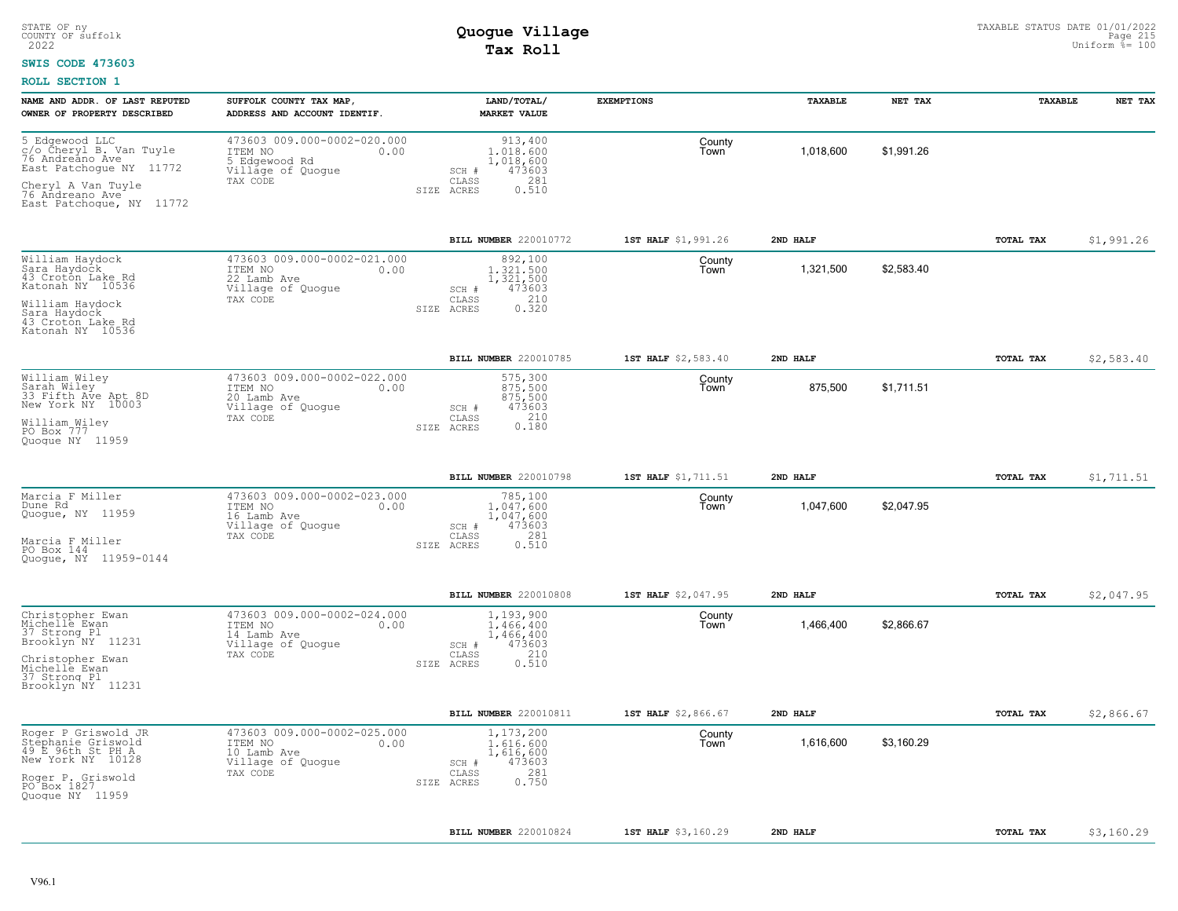#### **SWIS CODE 473603**

| NAME AND ADDR. OF LAST REPUTED<br>OWNER OF PROPERTY DESCRIBED                                                                                                | SUFFOLK COUNTY TAX MAP,<br>ADDRESS AND ACCOUNT IDENTIF.                                          | LAND/TOTAL/<br><b>MARKET VALUE</b>                                                             | <b>EXEMPTIONS</b>   | TAXABLE   | NET TAX    | TAXABLE          | NET TAX    |
|--------------------------------------------------------------------------------------------------------------------------------------------------------------|--------------------------------------------------------------------------------------------------|------------------------------------------------------------------------------------------------|---------------------|-----------|------------|------------------|------------|
| 5 Edgewood LLC<br>c/o Cheryl B. Van Tuyle<br>76 Andreano Ave<br>East Patchogue NY 11772<br>Cheryl A Van Tuyle<br>76 Andreano Ave<br>East Patchoque, NY 11772 | 473603 009.000-0002-020.000<br>ITEM NO<br>0.00<br>5 Edgewood Rd<br>Village of Quogue<br>TAX CODE | 913,400<br>1,018,600<br>1,018,600<br>473603<br>SCH #<br>281<br>CLASS<br>0.510<br>SIZE<br>ACRES | County<br>Town      | 1,018,600 | \$1,991.26 |                  |            |
|                                                                                                                                                              |                                                                                                  | BILL NUMBER 220010772                                                                          | 1ST HALF \$1,991.26 | 2ND HALF  |            | TOTAL TAX        | \$1,991.26 |
| William Haydock<br>Sara Haydock<br>43 Croton Lake Rd<br>Katonah NY 10536<br>William Haydock<br>Sara Haydock<br>43 Croton Lake Rd<br>Katonah NY 10536         | 473603 009.000-0002-021.000<br>ITEM NO<br>0.00<br>22 Lamb Ave<br>Village of Quogue<br>TAX CODE   | 892,100<br>1,321,500<br>1,321,500<br>473603<br>SCH #<br>210<br>CLASS<br>0.320<br>SIZE ACRES    | County<br>Town      | 1,321,500 | \$2,583.40 |                  |            |
|                                                                                                                                                              |                                                                                                  | BILL NUMBER 220010785                                                                          | 1ST HALF \$2,583.40 | 2ND HALF  |            | <b>TOTAL TAX</b> | \$2,583.40 |
| William Wiley<br>Sarah Wiley<br>33 Fifth Ave Apt 8D<br>New York NY 10003<br>William Wiley<br>PO Box 777<br>Ouoque NY 11959                                   | 473603 009.000-0002-022.000<br>ITEM NO<br>0.00<br>20 Lamb Ave<br>Village of Quogue<br>TAX CODE   | 575,300<br>875,500<br>875,500<br>473603<br>SCH #<br>210<br>CLASS<br>0.180<br>SIZE ACRES        | County<br>Town      | 875,500   | \$1,711.51 |                  |            |
|                                                                                                                                                              |                                                                                                  | BILL NUMBER 220010798                                                                          | 1ST HALF \$1,711.51 | 2ND HALF  |            | TOTAL TAX        | \$1,711.51 |
| Marcia F Miller<br>Dune Rd<br>Quogue, NY 11959<br>Marcia F Miller<br>PO Box 144<br>Quoque, NY 11959-0144                                                     | 473603 009.000-0002-023.000<br>ITEM NO<br>0.00<br>16 Lamb Ave<br>Village of Quogue<br>TAX CODE   | 785,100<br>1.047.600<br>1,047,600<br>473603<br>SCH #<br>281<br>CLASS<br>SIZE ACRES<br>0.510    | County<br>Town      | 1,047,600 | \$2,047.95 |                  |            |
|                                                                                                                                                              |                                                                                                  | BILL NUMBER 220010808                                                                          | 1ST HALF \$2,047.95 | 2ND HALF  |            | TOTAL TAX        | \$2,047.95 |
| Christopher Ewan<br>Michelle Ewan<br>37 Strong Pl<br>Brooklyn NY 11231<br>Christopher Ewan<br>Michelle Ewan<br>37 Strong Pl<br>Brooklyn NY 11231             | 473603 009.000-0002-024.000<br>ITEM NO<br>0.00<br>14 Lamb Ave<br>Village of Quogue<br>TAX CODE   | 1,193,900<br>1,466,400<br>1,466,400<br>473603<br>SCH #<br>210<br>CLASS<br>0.510<br>SIZE ACRES  | County<br>Town      | 1,466,400 | \$2,866.67 |                  |            |
|                                                                                                                                                              |                                                                                                  | BILL NUMBER 220010811                                                                          | 1ST HALF \$2,866.67 | 2ND HALF  |            | TOTAL TAX        | \$2,866.67 |
| Roger P Griswold JR<br>Stephanie Griswold<br>49 E 96th St PH A<br>New York NY 10128<br>Roger P. Griswold<br>PO Box 1827<br>Quoque NY 11959                   | 473603 009.000-0002-025.000<br>ITEM NO<br>0.00<br>10 Lamb Ave<br>Village of Quogue<br>TAX CODE   | 1,173,200<br>1,616,600<br>1,616,600<br>473603<br>SCH #<br>281<br>CLASS<br>0.750<br>SIZE ACRES  | County<br>Town      | 1,616,600 | \$3,160.29 |                  |            |
|                                                                                                                                                              |                                                                                                  | BILL NUMBER 220010824                                                                          | 1ST HALF \$3,160.29 | 2ND HALF  |            | TOTAL TAX        | \$3,160.29 |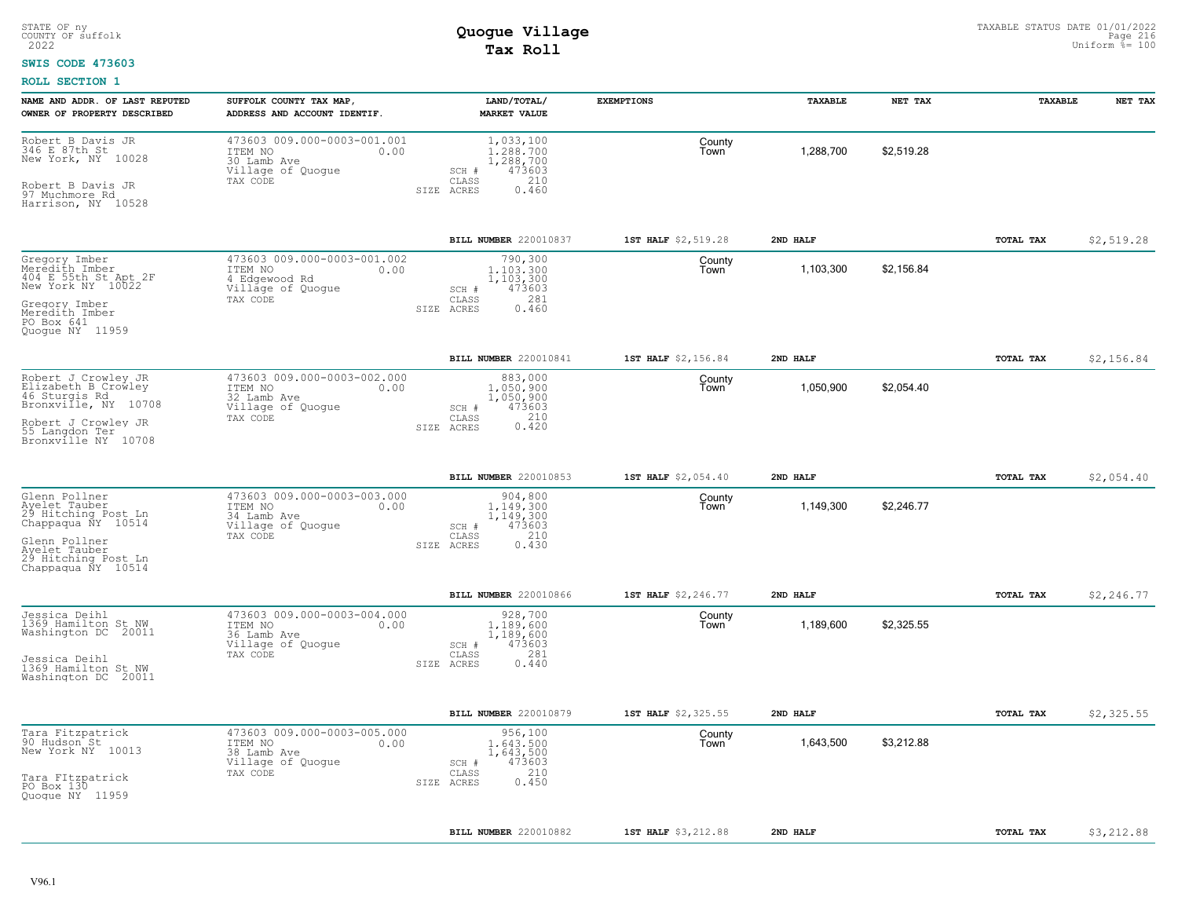#### **SWIS CODE 473603**

| NAME AND ADDR. OF LAST REPUTED                                                      | SUFFOLK COUNTY TAX MAP,                                                                        | LAND/TOTAL/                                                          | <b>EXEMPTIONS</b>   | TAXABLE   | NET TAX    | TAXABLE          | NET TAX    |
|-------------------------------------------------------------------------------------|------------------------------------------------------------------------------------------------|----------------------------------------------------------------------|---------------------|-----------|------------|------------------|------------|
| OWNER OF PROPERTY DESCRIBED                                                         | ADDRESS AND ACCOUNT IDENTIF.                                                                   | <b>MARKET VALUE</b>                                                  |                     |           |            |                  |            |
| Robert B Davis JR<br>346 E 87th St<br>New York, NY 10028                            | 473603 009.000-0003-001.001<br>ITEM NO<br>0.00<br>30 Lamb Ave<br>Village of Quogue             | 1,033,100<br>1,288,700<br>1,288,700<br>473603<br>SCH #               | County<br>Town      | 1,288,700 | \$2,519.28 |                  |            |
| Robert B Davis JR<br>97 Muchmore Rd<br>Harrison, NY 10528                           | TAX CODE                                                                                       | CLASS<br>210<br>0.460<br>SIZE ACRES                                  |                     |           |            |                  |            |
|                                                                                     |                                                                                                | BILL NUMBER 220010837                                                | 1ST HALF \$2,519.28 | 2ND HALF  |            | TOTAL TAX        | \$2,519.28 |
| Gregory Imber<br>Merédith Imber<br>404 E 55th St Apt 2F<br>New York NY 10022        | 473603 009.000-0003-001.002<br>ITEM NO<br>0.00<br>4 Edgewood Rd<br>Village of Quogue           | 790,300<br>1,103,300<br>1,103,300<br>473603<br>SCH #                 | County<br>Town      | 1,103,300 | \$2,156.84 |                  |            |
| Gregory Imber<br>Meredith Imber<br>PO Box 641<br>Ouoque NY 11959                    | TAX CODE<br>SIZE                                                                               | 281<br>CLASS<br>ACRES<br>0.460                                       |                     |           |            |                  |            |
|                                                                                     |                                                                                                | BILL NUMBER 220010841                                                | 1ST HALF \$2,156.84 | 2ND HALF  |            | TOTAL TAX        | \$2,156.84 |
| Robert J Crowley JR<br>Elizabeth B Crowley<br>46 Sturgis Rd<br>Bronxville, NY 10708 | 473603 009.000-0003-002.000<br>ITEM NO<br>0.00<br>32 Lamb Ave<br>Village of Quogue             | 883,000<br>1,050,900<br>1,050,900<br>473603<br>SCH #                 | County<br>Town      | 1,050,900 | \$2,054.40 |                  |            |
| Robert J Crowley JR<br>55 Langdon Ter<br>Bronxville NY 10708                        | TAX CODE                                                                                       | 0.420<br>CLASS<br>SIZE ACRES                                         |                     |           |            |                  |            |
|                                                                                     |                                                                                                | <b>BILL NUMBER 220010853</b>                                         | 1ST HALF \$2,054.40 | 2ND HALF  |            | TOTAL TAX        | \$2,054.40 |
| Glenn Pollner<br>Ayelet Tauber<br>29 Hitching Post Ln<br>Chappaqua NY 10514         | 473603 009.000-0003-003.000<br>ITEM NO<br>0.00<br>34 Lamb Ave<br>Village of Quogue<br>TAX CODE | 904,800<br>1,149,300<br>1,149,300<br>473603<br>SCH #<br>CLASS<br>210 | County<br>Town      | 1,149,300 | \$2.246.77 |                  |            |
| Glenn Pollner<br>Ayelet Tauber<br>29 Hitching Post Ln<br>Chappaqua NY 10514         |                                                                                                | 0.430<br>SIZE ACRES                                                  |                     |           |            |                  |            |
|                                                                                     |                                                                                                | <b>BILL NUMBER 220010866</b>                                         | 1ST HALF \$2,246.77 | 2ND HALF  |            | TOTAL TAX        | \$2,246.77 |
| Jessica Deihl<br>1369 Hamilton St NW<br>Washington DC 20011                         | 473603 009.000-0003-004.000<br>ITEM NO<br>0.00<br>36 Lamb Ave<br>Village of Quogue             | 928,700<br>1,189,600<br>1,189,600<br>473603<br>SCH #                 | County<br>Town      | 1,189,600 | \$2,325.55 |                  |            |
| Jessica Deihl<br>1369 Hamilton St NW<br>Washington DC 20011                         | TAX CODE                                                                                       | 281<br>CLASS<br>0.440<br>SIZE ACRES                                  |                     |           |            |                  |            |
|                                                                                     |                                                                                                | <b>BILL NUMBER 220010879</b>                                         | 1ST HALF \$2,325.55 | 2ND HALF  |            | <b>TOTAL TAX</b> | \$2,325.55 |
| Tara Fitzpatrick<br>90 Hudson St<br>New York NY 10013                               | 473603 009.000-0003-005.000<br>ITEM NO<br>0.00<br>38 Lamb Ave<br>Village of Quogue             | 956,100<br>1,643,500<br>1,643,500<br>473603<br>SCH #                 | County<br>Town      | 1,643,500 | \$3,212.88 |                  |            |
| Tara FItzpatrick<br>PO Box 130<br>Quoque NY 11959                                   | TAX CODE                                                                                       | 210<br>CLASS<br>0.450<br>SIZE ACRES                                  |                     |           |            |                  |            |
|                                                                                     |                                                                                                | BILL NUMBER 220010882                                                | 1ST HALF \$3,212.88 | 2ND HALF  |            | TOTAL TAX        | \$3,212.88 |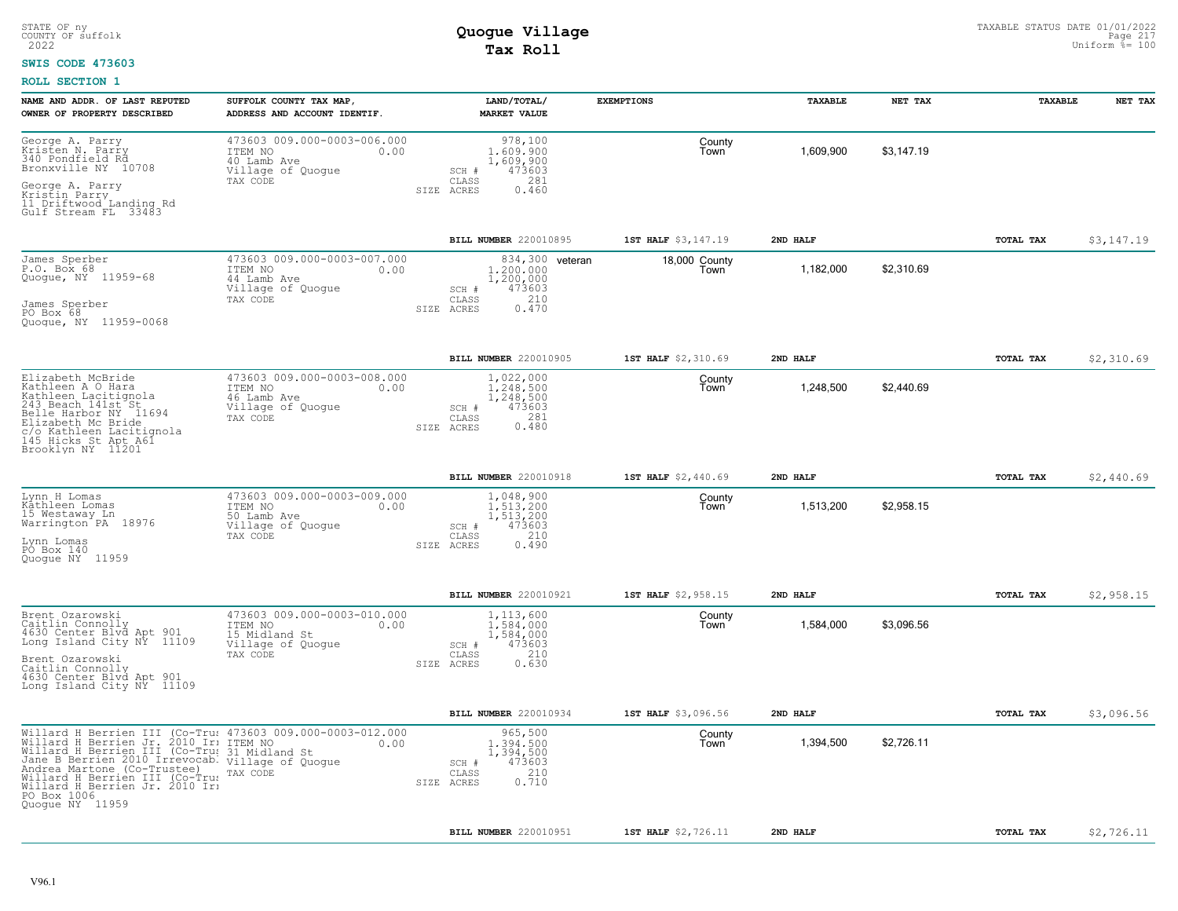#### **SWIS CODE 473603**

| NAME AND ADDR. OF LAST REPUTED<br>OWNER OF PROPERTY DESCRIBED                                                                                                                                                                                                                                                                                                                   | SUFFOLK COUNTY TAX MAP,<br>ADDRESS AND ACCOUNT IDENTIF.                                          | LAND/TOTAL/<br><b>MARKET VALUE</b>                                                                  | <b>EXEMPTIONS</b>     | <b>TAXABLE</b> | NET TAX    | <b>TAXABLE</b>   | NET TAX    |
|---------------------------------------------------------------------------------------------------------------------------------------------------------------------------------------------------------------------------------------------------------------------------------------------------------------------------------------------------------------------------------|--------------------------------------------------------------------------------------------------|-----------------------------------------------------------------------------------------------------|-----------------------|----------------|------------|------------------|------------|
| George A. Parry<br>Kristen N. Parry<br>340 Pondfield Rd<br>Bronxville NY 10708<br>George A. Parry<br>Kristin Parry<br>11 Driftwood Landing Rd<br>Gulf Stream FL 33483                                                                                                                                                                                                           | 473603 009.000-0003-006.000<br>ITEM NO<br>0.00<br>40 Lamb Ave<br>Village of Quoque<br>TAX CODE   | 978,100<br>1,609,900<br>1,609,900<br>473603<br>SCH #<br>281<br>CLASS<br>0.460<br>SIZE ACRES         | County<br>Town        | 1.609.900      | \$3.147.19 |                  |            |
|                                                                                                                                                                                                                                                                                                                                                                                 |                                                                                                  | BILL NUMBER 220010895                                                                               | 1ST HALF \$3,147.19   | 2ND HALF       |            | <b>TOTAL TAX</b> | \$3,147.19 |
| James Sperber<br>P.O. Box 68<br>Quogue, NY 11959-68<br>James Sperber<br>PO Box 68<br>Quogue, NY 11959-0068                                                                                                                                                                                                                                                                      | 473603 009.000-0003-007.000<br>ITEM NO<br>0.00<br>44 Lamb Ave<br>Village of Quogue<br>TAX CODE   | 834,300 veteran<br>1,200,000<br>1,200,000<br>473603<br>SCH #<br>210<br>CLASS<br>0.470<br>SIZE ACRES | 18,000 County<br>Town | 1,182,000      | \$2,310.69 |                  |            |
|                                                                                                                                                                                                                                                                                                                                                                                 |                                                                                                  | BILL NUMBER 220010905                                                                               | 1ST HALF \$2,310.69   | 2ND HALF       |            | TOTAL TAX        | \$2,310.69 |
| Elizabeth McBride<br>Kathleen A O Hara<br>Kathleen Lacitignola<br>243 Beach 141st St<br>Belle Harbor NY 11694<br>Elizabeth Mc Bride<br>c/o Kathleen Lacitiqnola<br>145 Hicks St Apt A61<br>Brooklyn NY 11201                                                                                                                                                                    | 473603 009.000-0003-008.000<br>ITEM NO<br>0.00<br>46 Lamb Ave<br>Village of Quogue<br>TAX CODE   | 1,022,000<br>1,248,500<br>1,248,500<br>473603<br>SCH #<br>281<br>CLASS<br>0.480<br>SIZE ACRES       | County<br>Town        | 1,248,500      | \$2,440.69 |                  |            |
|                                                                                                                                                                                                                                                                                                                                                                                 |                                                                                                  | BILL NUMBER 220010918                                                                               | 1ST HALF \$2,440.69   | 2ND HALF       |            | TOTAL TAX        | \$2,440.69 |
| Lynn H Lomas<br>Kåthleen Lomas<br>15 Westaway_Ln<br>Warrington PA 18976<br>Lynn Lomas<br>PO Box 140<br>Quoque NY 11959                                                                                                                                                                                                                                                          | 473603 009.000-0003-009.000<br>ITEM NO<br>0.00<br>50 Lamb Ave<br>Village of Quogue<br>TAX CODE   | 1,048,900<br>1,513,200<br>1,513,200<br>473603<br>SCH #<br>210<br>CLASS<br>0.490<br>SIZE ACRES       | County<br>Town        | 1,513,200      | \$2,958.15 |                  |            |
|                                                                                                                                                                                                                                                                                                                                                                                 |                                                                                                  | BILL NUMBER 220010921                                                                               | 1ST HALF \$2,958.15   | 2ND HALF       |            | TOTAL TAX        | \$2,958.15 |
| Brent Ozarowski<br>Caitlin Connolly<br>4630 Center Blvd Apt 901<br>Long Island City NY 11109<br>Brent Ozarowski<br>Caitlin Connolly<br>4630 Center Blvd Apt 901<br>Long Island City NY 11109                                                                                                                                                                                    | 473603 009.000-0003-010.000<br>ITEM NO<br>0.00<br>15 Midland St<br>Village of Quogue<br>TAX CODE | 1,113,600<br>1,584,000<br>1,584,000<br>473603<br>SCH #<br>CLASS<br>210<br>SIZE ACRES<br>0.630       | County<br>Town        | 1,584,000      | \$3,096.56 |                  |            |
|                                                                                                                                                                                                                                                                                                                                                                                 |                                                                                                  | BILL NUMBER 220010934                                                                               | 1ST HALF \$3,096.56   | 2ND HALF       |            | TOTAL TAX        | \$3,096.56 |
| Willard H Berrien III (Co-Tru: 473603 009.000-0003-012.000<br>Willard H Berrien Jr. 2010 Ir: ITEM NO 0.00<br>Willard H Berrien III (Co-Tru: 31 Midland St<br>Jane B Berrien 2010 Irrevocab. Village of Quogue<br>Andrea Martone (Co-Truste<br>Andrea Martone (Co-Trustee)<br>Willard H Berrien III (Co-Trus<br>Willard H Berrien Jr. 2010 Ir:<br>PO Box 1006<br>Quoque NY 11959 | TAX CODE                                                                                         | 965,500<br>1,394,500<br>1,394,500<br>473603<br>SCH #<br>210<br>CLASS<br>0.710<br>SIZE ACRES         | County<br>Town        | 1,394,500      | \$2,726.11 |                  |            |
|                                                                                                                                                                                                                                                                                                                                                                                 |                                                                                                  | BILL NUMBER 220010951                                                                               | 1ST HALF \$2,726.11   | 2ND HALF       |            | TOTAL TAX        | \$2,726.11 |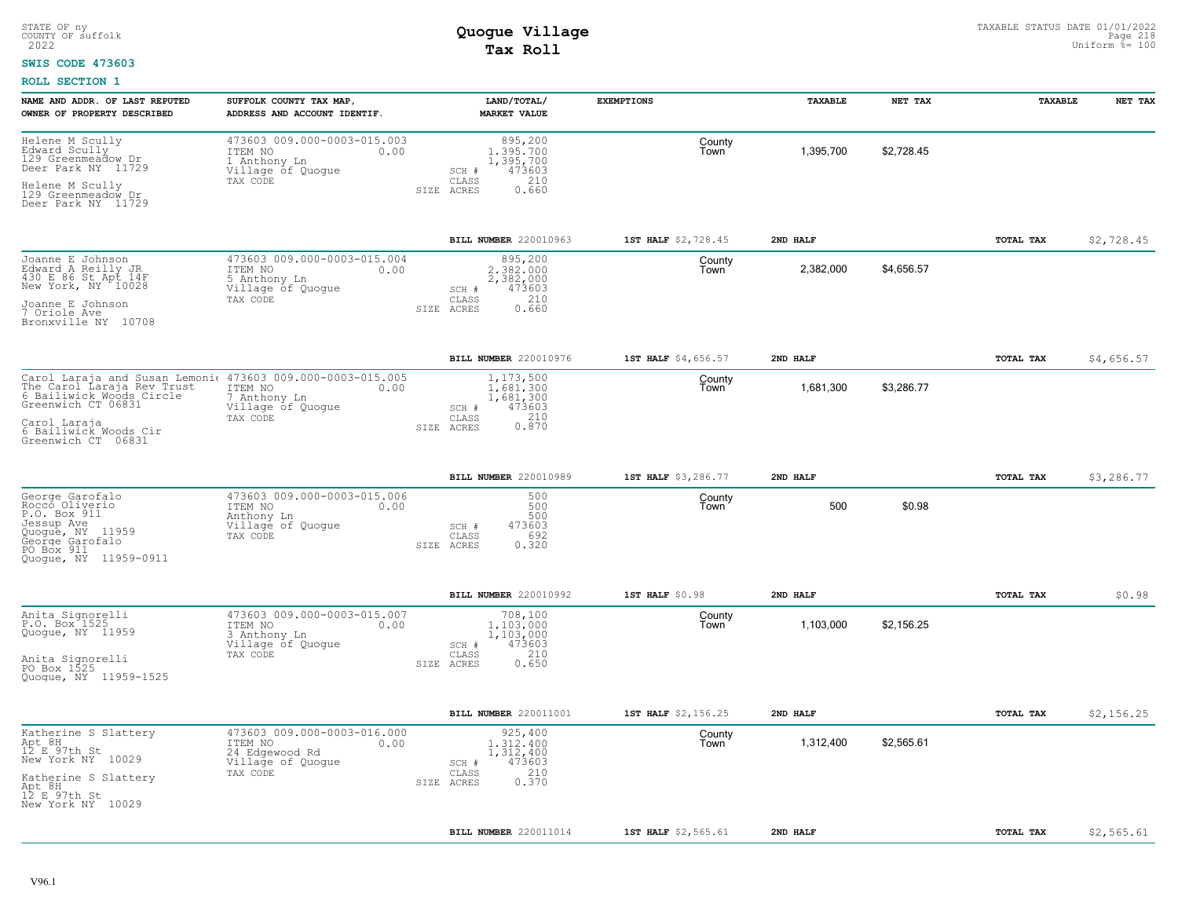#### **SWIS CODE 473603**

| NAME AND ADDR. OF LAST REPUTED<br>OWNER OF PROPERTY DESCRIBED                                                                                                                                             | SUFFOLK COUNTY TAX MAP,<br>ADDRESS AND ACCOUNT IDENTIF.                                           | LAND/TOTAL/<br><b>MARKET VALUE</b>                                                            | <b>EXEMPTIONS</b>   | <b>TAXABLE</b> | NET TAX    | TAXABLE          | NET TAX    |
|-----------------------------------------------------------------------------------------------------------------------------------------------------------------------------------------------------------|---------------------------------------------------------------------------------------------------|-----------------------------------------------------------------------------------------------|---------------------|----------------|------------|------------------|------------|
| Helene M Scully<br>Edward Scully<br>129 Greenmeadow Dr<br>Deer Park NY 11729<br>Helene M Scully<br>129 Greenmeadow Dr<br>Deer Park NY 11729                                                               | 473603 009.000-0003-015.003<br>ITEM NO<br>0.00<br>1 Anthony Ln<br>Village of Quogue<br>TAX CODE   | 895,200<br>1,395,700<br>1,395,700<br>473603<br>SCH #<br>210<br>CLASS<br>SIZE ACRES<br>0.660   | County<br>Town      | 1,395,700      | \$2,728.45 |                  |            |
|                                                                                                                                                                                                           |                                                                                                   | BILL NUMBER 220010963                                                                         | 1ST HALF \$2,728.45 | 2ND HALF       |            | <b>TOTAL TAX</b> | \$2,728.45 |
| Joanne E Johnson<br>Edward A Reilly JR<br>430 E 86 St Apt 14F<br>New York, NY 10028<br>Joanne E Johnson<br>7 Oriole Ave<br>Bronxville NY 10708                                                            | 473603 009.000-0003-015.004<br>ITEM NO<br>0.00<br>5 Anthony Ln<br>Village of Quogue<br>TAX CODE   | 895,200<br>2.382.000<br>2,382,000<br>473603<br>SCH #<br>210<br>CLASS<br>0.660<br>SIZE ACRES   | County<br>Town      | 2,382,000      | \$4,656.57 |                  |            |
|                                                                                                                                                                                                           |                                                                                                   | BILL NUMBER 220010976                                                                         | 1ST HALF \$4,656.57 | 2ND HALF       |            | TOTAL TAX        | \$4,656.57 |
| Carol Laraja and Susan Lemoni  473603 009.000-0003-015.005<br>The Carol Laraja Rev Trust<br>6 Bailiwick Woods Circle<br>Greenwich CT 06831<br>Carol Laraja<br>6 Bailiwick Woods Cir<br>Greenwich CT 06831 | ITEM NO<br>0.00<br>7 Anthony Ln<br>Village of Quogue<br>TAX CODE                                  | 1,173,500<br>1,681,300<br>1,681,300<br>473603<br>SCH #<br>210<br>CLASS<br>0.870<br>SIZE ACRES | County<br>Town      | 1,681,300      | \$3,286.77 |                  |            |
|                                                                                                                                                                                                           |                                                                                                   | BILL NUMBER 220010989                                                                         | 1ST HALF \$3,286.77 | 2ND HALF       |            | TOTAL TAX        | \$3,286.77 |
| George Garofalo<br>Rocco Oliverio<br>P.O. Box 911<br>Jessup Ave<br>Quogue, NY 11959<br>George Garofalo<br>PO Box 911<br>Quoque, NY 11959-0911                                                             | 473603 009.000-0003-015.006<br>ITEM NO<br>0.00<br>Anthony Ln<br>Village of Quogue<br>TAX CODE     | 500<br>500<br>500<br>473603<br>SCH #<br>692<br>CLASS<br>0.320<br>SIZE ACRES                   | County<br>Town      | 500            | \$0.98     |                  |            |
|                                                                                                                                                                                                           |                                                                                                   | BILL NUMBER 220010992                                                                         | 1ST HALF \$0.98     | 2ND HALF       |            | TOTAL TAX        | \$0.98     |
| Anita Signorelli<br>P.O. Box <sup>1525</sup><br>Quogue, NY 11959<br>Anita Signorelli<br>PO Box 1525<br>Quogue, NY 11959-1525                                                                              | 473603 009.000-0003-015.007<br>ITEM NO<br>0.00<br>3 Anthony Ln<br>Village of Quogue<br>TAX CODE   | 708,100<br>1,103,000<br>1,103,000<br>473603<br>SCH #<br>210<br>CLASS<br>0.650<br>SIZE ACRES   | County<br>Town      | 1,103,000      | \$2.156.25 |                  |            |
|                                                                                                                                                                                                           |                                                                                                   | BILL NUMBER 220011001                                                                         | 1ST HALF \$2,156.25 | 2ND HALF       |            | TOTAL TAX        | \$2,156.25 |
| Katherine S Slattery<br>Apt 8H<br>12 E 97th St<br>New York NY 10029<br>Katherine S Slattery<br>Apt 8H<br>12 E 97th St<br>New York NY 10029                                                                | 473603 009.000-0003-016.000<br>0.00<br>ITEM NO<br>24 Edgewood Rd<br>Village of Quogue<br>TAX CODE | 925,400<br>1,312,400<br>1,312,400<br>473603<br>SCH #<br>210<br>CLASS<br>0.370<br>SIZE ACRES   | County<br>Town      | 1,312,400      | \$2,565.61 |                  |            |
|                                                                                                                                                                                                           |                                                                                                   | BILL NUMBER 220011014                                                                         | 1ST HALF \$2,565.61 | 2ND HALF       |            | <b>TOTAL TAX</b> | \$2,565.61 |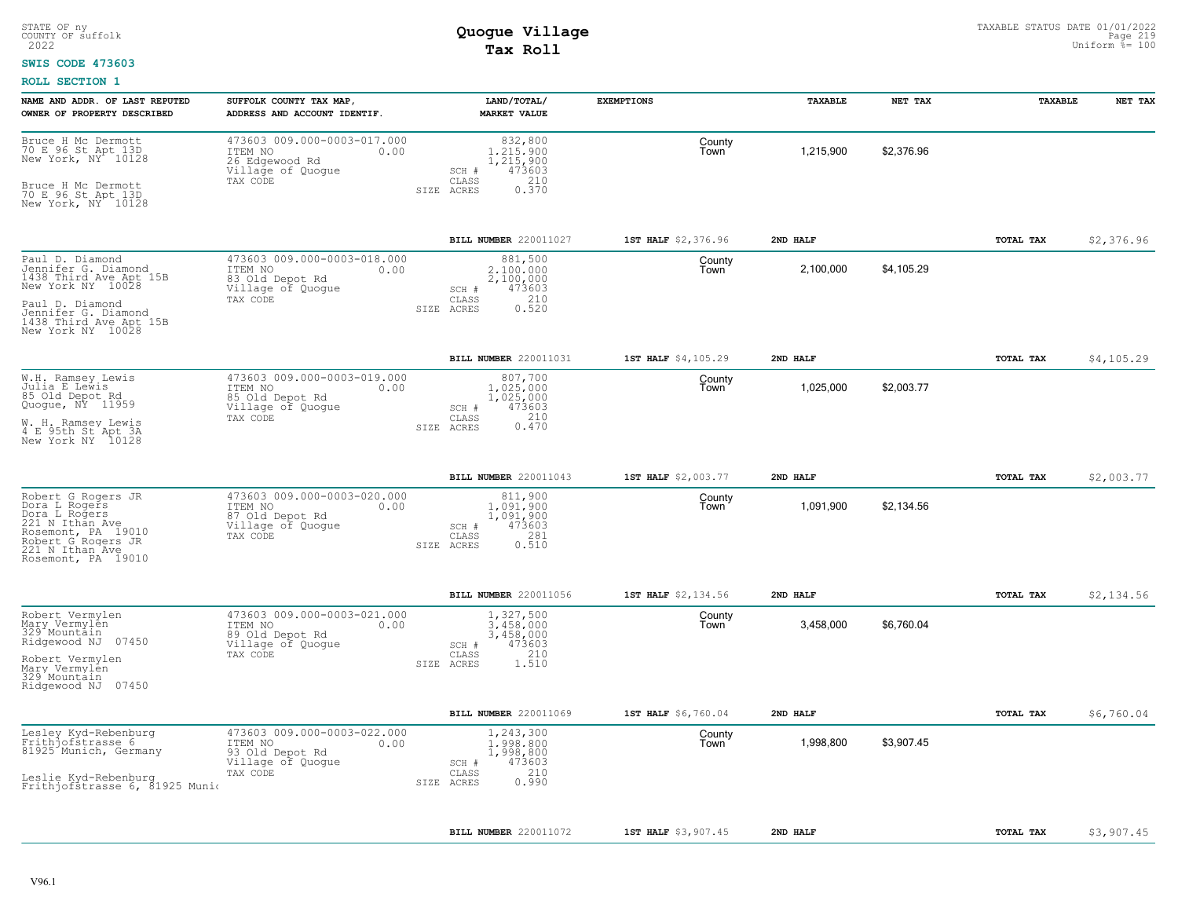#### **SWIS CODE 473603**

| NAME AND ADDR. OF LAST REPUTED<br>OWNER OF PROPERTY DESCRIBED                                                                                                                  | SUFFOLK COUNTY TAX MAP,<br>ADDRESS AND ACCOUNT IDENTIF                                             | LAND/TOTAL/<br><b>MARKET VALUE</b>                                                             | <b>EXEMPTIONS</b>   | TAXABLE   | NET TAX    | TAXABLE   | NET TAX    |
|--------------------------------------------------------------------------------------------------------------------------------------------------------------------------------|----------------------------------------------------------------------------------------------------|------------------------------------------------------------------------------------------------|---------------------|-----------|------------|-----------|------------|
| Bruce H Mc Dermott<br>70 E 96 St Apt 13D<br>New York, NY <sup>-</sup> 10128<br>Bruce H Mc Dermott<br>70 E 96 St Apt 13D<br>New York, NY 10128                                  | 473603 009.000-0003-017.000<br>ITEM NO<br>0.00<br>26 Edgewood Rd<br>Village of Quogue<br>TAX CODE  | 832,800<br>1,215,900<br>1,215,900<br>473603<br>SCH #<br>210<br>CLASS<br>0.370<br>SIZE ACRES    | County<br>Town      | 1,215,900 | \$2,376.96 |           |            |
|                                                                                                                                                                                |                                                                                                    | BILL NUMBER 220011027                                                                          | 1ST HALF \$2,376.96 | 2ND HALF  |            | TOTAL TAX | \$2,376.96 |
| Paul D. Diamond<br>Jennifer G. Diamond<br>1438 Third Ave Apt 15B<br>New York NY 10028<br>Paul D. Diamond<br>Jennifer G. Diamond<br>1438 Third Ave Apt 15B<br>New York NY 10028 | 473603 009.000-0003-018.000<br>ITEM NO<br>0.00<br>83 Old Depot Rd<br>Village of Quogue<br>TAX CODE | 881,500<br>2,100,000<br>2,100,000<br>473603<br>SCH #<br>210<br>CLASS<br>0.520<br>ACRES<br>SIZE | County<br>Town      | 2,100,000 | \$4,105.29 |           |            |
|                                                                                                                                                                                |                                                                                                    | BILL NUMBER 220011031                                                                          | 1ST HALF \$4,105.29 | 2ND HALF  |            | TOTAL TAX | \$4,105.29 |
| W.H. Ramsey Lewis<br>Julia E Lewis<br>85 Old Depot Rd<br>Quogue, NY 11959<br>W. H. Ramsey Lewis<br>4 E 95th St Apt 3A<br>New York NY 10128                                     | 473603 009.000-0003-019.000<br>ITEM NO<br>0.00<br>85 Old Depot Rd<br>Village of Quogue<br>TAX CODE | 807,700<br>1,025,000<br>1,025,000<br>473603<br>SCH #<br>210<br>CLASS<br>0.470<br>SIZE ACRES    | County<br>Town      | 1,025,000 | \$2,003.77 |           |            |
|                                                                                                                                                                                |                                                                                                    | BILL NUMBER 220011043                                                                          | 1ST HALF \$2,003.77 | 2ND HALF  |            | TOTAL TAX | \$2,003.77 |
| Robert G Rogers JR<br>Dora L Rogers<br>Dora L Rogers<br>221 N Ithan Ave<br>Rosemont, PA 19010<br>Robert G Rogers JR<br>221 N Ithan Ave<br>Rosemont, PA 19010                   | 473603 009.000-0003-020.000<br>ITEM NO<br>0.00<br>87 Old Depot Rd<br>Village of Quogue<br>TAX CODE | 811,900<br>1.091.900<br>1,091,900<br>473603<br>SCH #<br>CLASS<br>281<br>0.510<br>SIZE ACRES    | County<br>Town      | 1,091,900 | \$2,134.56 |           |            |
|                                                                                                                                                                                |                                                                                                    | BILL NUMBER 220011056                                                                          | 1ST HALF \$2,134.56 | 2ND HALF  |            | TOTAL TAX | \$2,134.56 |
| Robert Vermylen<br>Mary Vermylên<br>329 <sup>-</sup> Mountain<br>Ridgewood NJ 07450<br>Robert Vermylen<br>Mary Vermylen<br>329 Mountain<br>Ridgewood NJ 07450                  | 473603 009.000-0003-021.000<br>ITEM NO<br>0.00<br>89 Old Depot Rd<br>Village of Quogue<br>TAX CODE | 1,327,500<br>3,458,000<br>3,458,000<br>473603<br>SCH #<br>210<br>CLASS<br>1.510<br>SIZE ACRES  | County<br>Town      | 3,458,000 | \$6,760.04 |           |            |
|                                                                                                                                                                                |                                                                                                    | BILL NUMBER 220011069                                                                          | 1ST HALF \$6,760.04 | 2ND HALF  |            | TOTAL TAX | \$6,760.04 |
| Lesley Kyd-Rebenburg<br>Frith of strasse 6<br>81925 Munich, Germany<br>Leslie Kyd-Rebenburg<br>Frithjofstrasse 6, 81925 Munio                                                  | 473603 009.000-0003-022.000<br>ITEM NO<br>0.00<br>93 Old Depot Rd<br>Village of Quogue<br>TAX CODE | 1,243,300<br>1,998,800<br>1,998,800<br>473603<br>SCH #<br>210<br>CLASS<br>0.990<br>SIZE ACRES  | County<br>Town      | 1,998,800 | \$3,907.45 |           |            |
|                                                                                                                                                                                |                                                                                                    | BILL NUMBER 220011072                                                                          | 1ST HALF \$3,907.45 | 2ND HALF  |            | TOTAL TAX | \$3,907.45 |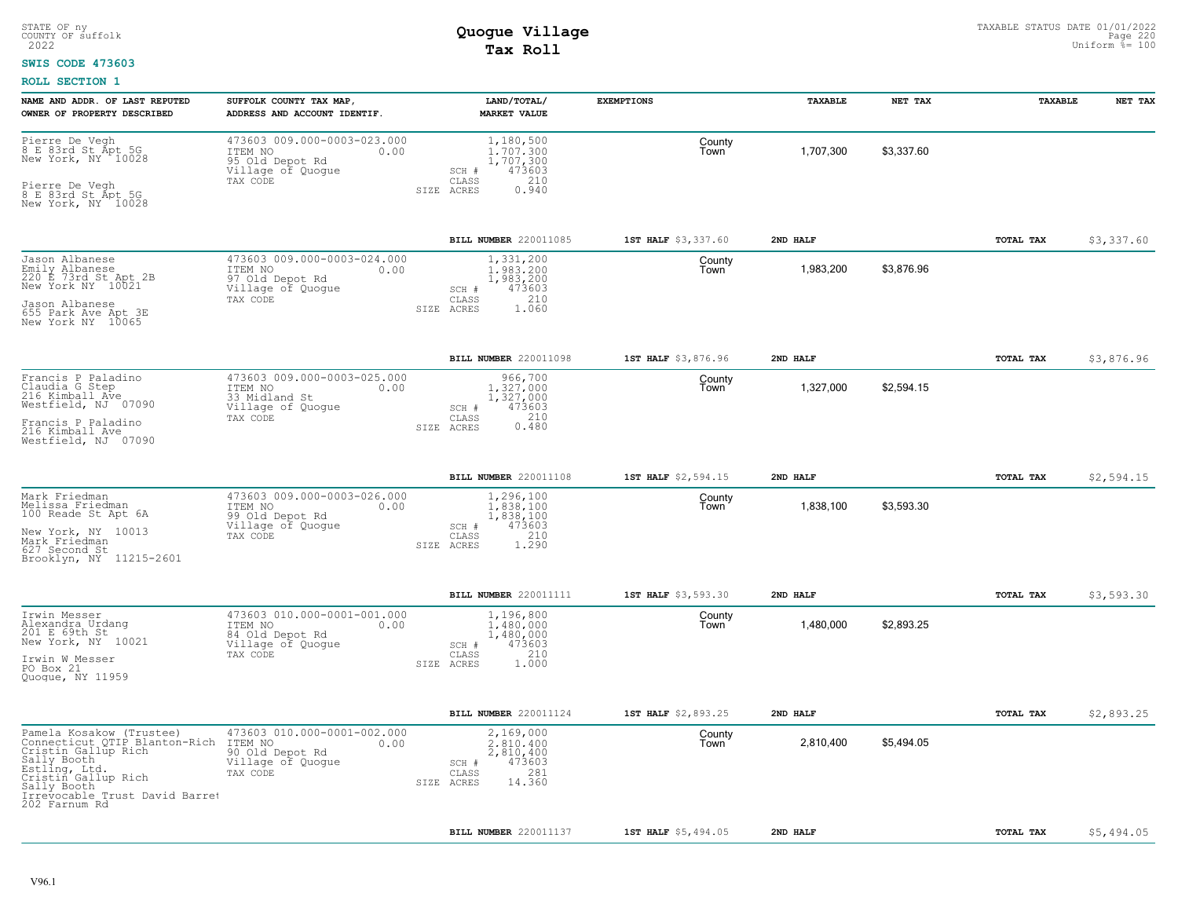#### **SWIS CODE 473603**

| NAME AND ADDR. OF LAST REPUTED<br>OWNER OF PROPERTY DESCRIBED                                                                                                                                             | SUFFOLK COUNTY TAX MAP,<br>ADDRESS AND ACCOUNT IDENTIF                                             | LAND/TOTAL/<br><b>MARKET VALUE</b>                                                             | <b>EXEMPTIONS</b>   | TAXABLE   | NET TAX    | TAXABLE          | NET TAX    |
|-----------------------------------------------------------------------------------------------------------------------------------------------------------------------------------------------------------|----------------------------------------------------------------------------------------------------|------------------------------------------------------------------------------------------------|---------------------|-----------|------------|------------------|------------|
| Pierre De Vegh<br>8 E 83rd St Apt 5G<br>New York, NY 10028<br>Pierre De Vegh<br>8 E 83rd St Apt 5G<br>New York, NY 10028                                                                                  | 473603 009.000-0003-023.000<br>ITEM NO<br>0.00<br>95 Old Depot Rd<br>Village of Quogue<br>TAX CODE | 1,180,500<br>1,707,300<br>1,707,300<br>473603<br>SCH #<br>210<br>CLASS<br>SIZE ACRES<br>0.940  | County<br>Town      | 1,707,300 | \$3,337.60 |                  |            |
|                                                                                                                                                                                                           |                                                                                                    | BILL NUMBER 220011085                                                                          | 1ST HALF \$3,337.60 | 2ND HALF  |            | TOTAL TAX        | \$3,337.60 |
| Jason Albanese<br>Emily Albanese<br>220 E 73rd St Apt 2B<br>New York NY 10021<br>Jason Albanese<br>655 Park Ave Apt 3E<br>New York NY 10065                                                               | 473603 009.000-0003-024.000<br>ITEM NO<br>0.00<br>97 Old Depot Rd<br>Village of Quogue<br>TAX CODE | 1,331,200<br>1,983,200<br>1,983,200<br>473603<br>SCH #<br>210<br>CLASS<br>SIZE ACRES<br>1.060  | County<br>Town      | 1,983,200 | \$3,876.96 |                  |            |
|                                                                                                                                                                                                           |                                                                                                    | BILL NUMBER 220011098                                                                          | 1ST HALF \$3,876.96 | 2ND HALF  |            | TOTAL TAX        | \$3,876.96 |
| Francis P Paladino<br>Claudia G Step<br>216 Kimball Ave<br>Westfield, NJ 07090                                                                                                                            | 473603 009.000-0003-025.000<br>ITEM NO<br>0.00<br>33 Midland St<br>Village of Quogue<br>TAX CODE   | 966,700<br>1.327.000<br>1,327,000<br>473603<br>SCH #<br>210<br>CLASS                           | County<br>Town      | 1,327,000 | \$2,594.15 |                  |            |
| Francis P Paladino<br>216 Kimball Ave<br>Westfield, NJ 07090                                                                                                                                              |                                                                                                    | 0.480<br>SIZE ACRES                                                                            |                     |           |            |                  |            |
|                                                                                                                                                                                                           |                                                                                                    | BILL NUMBER 220011108                                                                          | 1ST HALF \$2,594.15 | 2ND HALF  |            | TOTAL TAX        | \$2,594.15 |
| Mark Friedman<br>Melissa Friedman<br>100 Reade St Apt 6A<br>New York, NY 10013<br>Mark Friedman<br>627 Second St                                                                                          | 473603 009.000-0003-026.000<br>ITEM NO<br>0.00<br>99 Old Depot Rd<br>Village of Quogue<br>TAX CODE | 1,296,100<br>1,838,100<br>1,838,100<br>473603<br>SCH #<br>210<br>CLASS<br>1.290<br>SIZE ACRES  | County<br>Town      | 1,838,100 | \$3,593.30 |                  |            |
| Brooklyn, NY 11215-2601                                                                                                                                                                                   |                                                                                                    |                                                                                                |                     |           |            |                  |            |
|                                                                                                                                                                                                           |                                                                                                    | BILL NUMBER 220011111                                                                          | 1ST HALF \$3,593.30 | 2ND HALF  |            | TOTAL TAX        | \$3,593.30 |
| Irwin Messer<br>Alexandra Urdanq<br>201 E 69th St<br>New York, NY 10021<br>Irwin W Messer<br>PO Box 21<br>Quogue, NY 11959                                                                                | 473603 010.000-0001-001.000<br>ITEM NO<br>0.00<br>84 Old Depot Rd<br>Village of Quogue<br>TAX CODE | 1,196,800<br>1,480,000<br>1,480,000<br>473603<br>SCH #<br>210<br>CLASS<br>1,000<br>SIZE ACRES  | County<br>Town      | 1,480,000 | \$2,893.25 |                  |            |
|                                                                                                                                                                                                           |                                                                                                    | BILL NUMBER 220011124                                                                          | 1ST HALF \$2,893.25 | 2ND HALF  |            | TOTAL TAX        | \$2,893.25 |
| Pamela Kosakow (Trustee)<br>Connecticut QTIP Blanton-Rich<br>Cristin Gallup Rich<br>Sally Booth<br>Estling, Ltd.<br>Cristin Gallup Rich<br>Sally Booth<br>Irrevocable Trust David Barret<br>202 Farnum Rd | 473603 010.000-0001-002.000<br>ITEM NO<br>0.00<br>90 Old Depot Rd<br>Village of Quogue<br>TAX CODE | 2,169,000<br>2,810,400<br>2,810,400<br>473603<br>SCH #<br>281<br>CLASS<br>14.360<br>SIZE ACRES | County<br>Town      | 2,810,400 | \$5,494.05 |                  |            |
|                                                                                                                                                                                                           |                                                                                                    | BILL NUMBER 220011137                                                                          | 1ST HALF \$5,494.05 | 2ND HALF  |            | <b>TOTAL TAX</b> | \$5,494.05 |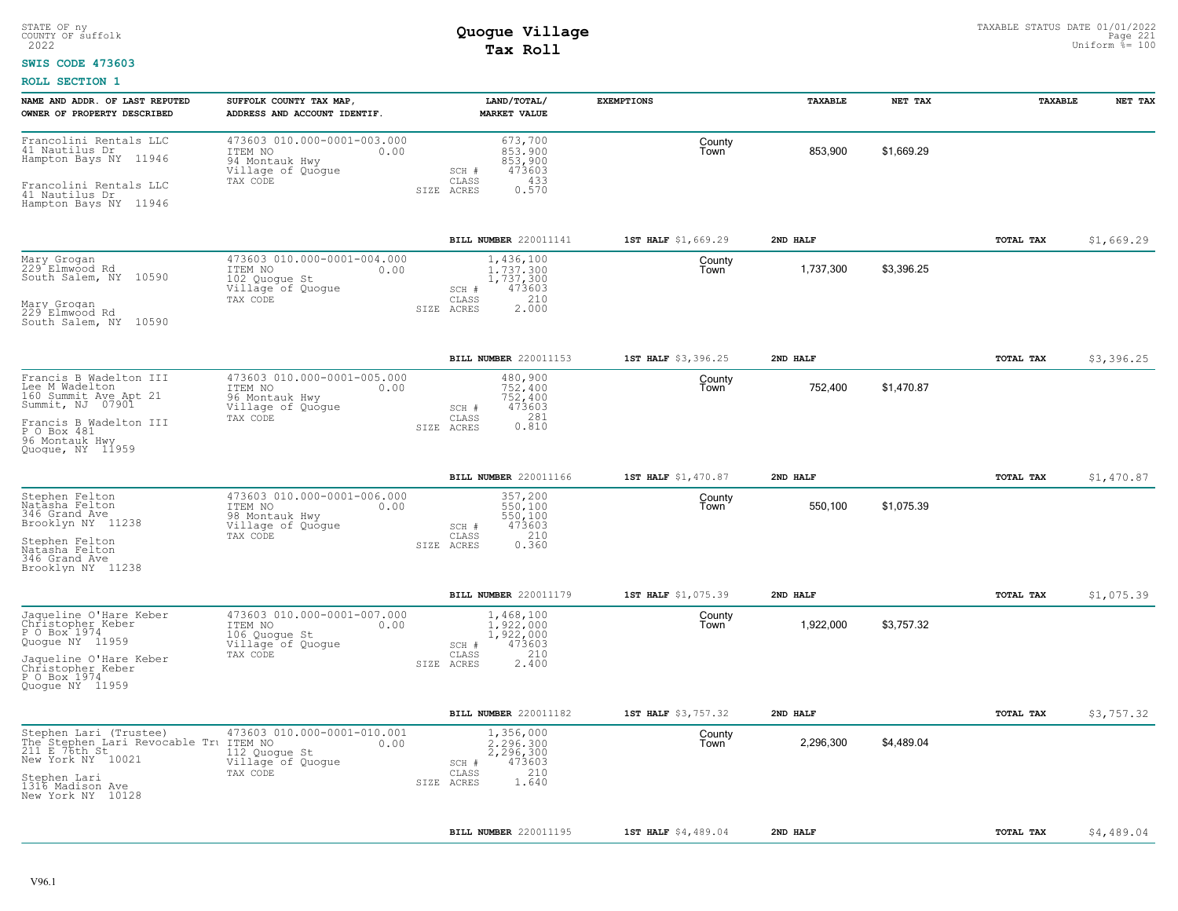#### **SWIS CODE 473603**

| NAME AND ADDR. OF LAST REPUTED<br>OWNER OF PROPERTY DESCRIBED                                                                                                                             | SUFFOLK COUNTY TAX MAP,<br>ADDRESS AND ACCOUNT IDENTIF.                                           | LAND/TOTAL/<br><b>MARKET VALUE</b>                                                            | <b>EXEMPTIONS</b>   | TAXABLE   | NET TAX    | TAXABLE   | NET TAX    |
|-------------------------------------------------------------------------------------------------------------------------------------------------------------------------------------------|---------------------------------------------------------------------------------------------------|-----------------------------------------------------------------------------------------------|---------------------|-----------|------------|-----------|------------|
| Francolini Rentals LLC<br>41 Nautilus Dr<br>Hampton Bays NY 11946<br>Francolini Rentals LLC<br>41 Nautilus Dr<br>Hampton Bays NY 11946                                                    | 473603 010.000-0001-003.000<br>ITEM NO<br>0.00<br>94 Montauk Hwy<br>Village of Quogue<br>TAX CODE | 673,700<br>853,900<br>853,900<br>473603<br>SCH #<br>433<br>CLASS<br>SIZE ACRES<br>0.570       | County<br>Town      | 853,900   | \$1,669.29 |           |            |
|                                                                                                                                                                                           |                                                                                                   | BILL NUMBER 220011141                                                                         | 1ST HALF \$1,669.29 | 2ND HALF  |            | TOTAL TAX | \$1,669.29 |
| Mary Grogan<br>229 Elmwood Rd<br>South Salem, NY 10590<br>Mary Grogan<br>229 Elmwood Rd<br>South Salem, NY 10590                                                                          | 473603 010.000-0001-004.000<br>0.00<br>ITEM NO<br>102 Quogue St<br>Village of Quoque<br>TAX CODE  | 1,436,100<br>1,737,300<br>1,737,300<br>473603<br>SCH #<br>210<br>CLASS<br>2.000<br>SIZE ACRES | County<br>Town      | 1,737,300 | \$3,396.25 |           |            |
|                                                                                                                                                                                           |                                                                                                   | BILL NUMBER 220011153                                                                         | 1ST HALF \$3,396.25 | 2ND HALF  |            | TOTAL TAX | \$3,396.25 |
| Francis B Wadelton III<br>Lee M Wadelton<br>160 Summit Ave Apt 21<br>Summit, NJ 07901<br>Francis B Wadelton III<br>$P$ <sup>O</sup> Box 481<br>96 Montauk Hwy<br>Quoque, NY 11959         | 473603 010.000-0001-005.000<br>ITEM NO<br>0.00<br>96 Montauk Hwy<br>Village of Quogue<br>TAX CODE | 480,900<br>752,400<br>752,400<br>473603<br>SCH #<br>281<br>CLASS<br>0.810<br>SIZE ACRES       | County<br>Town      | 752,400   | \$1,470.87 |           |            |
|                                                                                                                                                                                           |                                                                                                   | BILL NUMBER 220011166                                                                         | 1ST HALF \$1,470.87 | 2ND HALF  |            | TOTAL TAX | \$1,470.87 |
| Stephen Felton<br>Natasha Felton<br>346 Grand Ave<br>Brooklyn NY 11238<br>Stephen Felton<br>Natasha Felton<br>346 Grand Ave<br>Brooklyn NY 11238                                          | 473603 010.000-0001-006.000<br>ITEM NO<br>0.00<br>98 Montauk Hwy<br>Village of Quoque<br>TAX CODE | 357,200<br>550,100<br>550,100<br>473603<br>SCH #<br>CLASS<br>210<br>0.360<br>SIZE ACRES       | County<br>Town      | 550,100   | \$1,075.39 |           |            |
|                                                                                                                                                                                           |                                                                                                   | <b>BILL NUMBER 220011179</b>                                                                  | 1ST HALF \$1,075.39 | 2ND HALF  |            | TOTAL TAX | \$1,075.39 |
| Jaqueline O'Hare Keber<br>Christopher Keber<br>P O Box 1974<br>Quoque NY 11959<br>Jaqueline O'Hare Keber<br>Christopher Keber<br>P O Box 1974<br>Quoque NY 11959                          | 473603 010.000-0001-007.000<br>ITEM NO<br>0.00<br>106 Quogue St<br>Village of Quoque<br>TAX CODE  | 1,468,100<br>1,922,000<br>1,922,000<br>473603<br>SCH #<br>210<br>CLASS<br>2.400<br>SIZE ACRES | County<br>Town      | 1,922,000 | \$3,757.32 |           |            |
|                                                                                                                                                                                           |                                                                                                   | BILL NUMBER 220011182                                                                         | 1ST HALF \$3,757.32 | 2ND HALF  |            | TOTAL TAX | \$3,757.32 |
| Stephen Lari (Trustee)<br>The Stephen Lari Revocable Tru ITEM NO<br>211 E 76th St <sub>20004</sub> 112 Quoq<br>New York NY 10021<br>Stephen Lari<br>1316 Madison Ave<br>New York NY 10128 | 473603 010.000-0001-010.001<br>0.00<br>112 Quogue St<br>Village of Quogue<br>TAX CODE             | 1,356,000<br>2.296.300<br>2,296,300<br>473603<br>SCH #<br>210<br>CLASS<br>SIZE ACRES<br>1.640 | County<br>Town      | 2,296,300 | \$4,489.04 |           |            |
|                                                                                                                                                                                           |                                                                                                   | BILL NUMBER 220011195                                                                         | 1ST HALF \$4,489.04 | 2ND HALF  |            | TOTAL TAX | \$4,489.04 |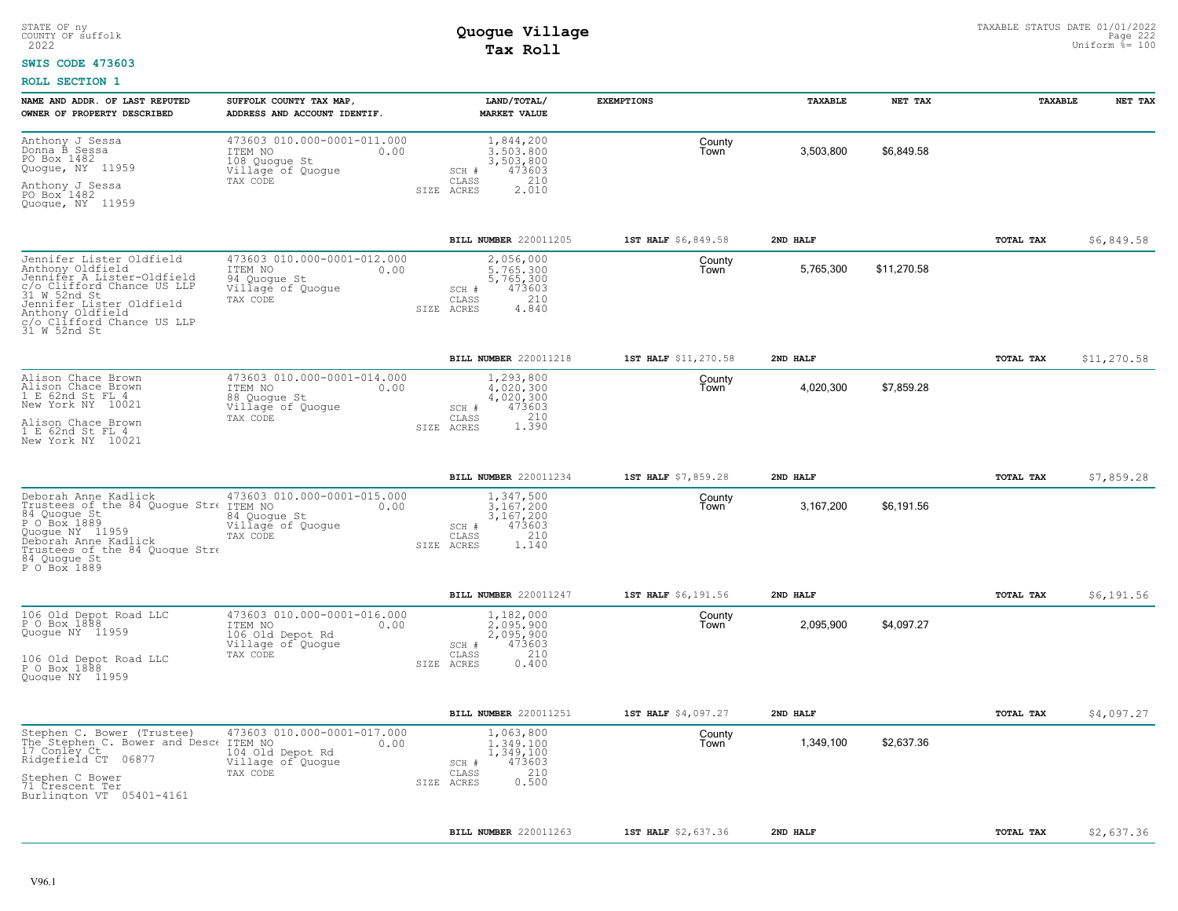#### **SWIS CODE 473603**

| NAME AND ADDR. OF LAST REPUTED<br>OWNER OF PROPERTY DESCRIBED                                                                                                                                                          | SUFFOLK COUNTY TAX MAP<br>ADDRESS AND ACCOUNT IDENTIF.                                              | LAND/TOTAL/<br><b>MARKET VALUE</b>                                                            | <b>EXEMPTIONS</b>    | TAXABLE   | NET TAX     | TAXABLE   | NET TAX     |
|------------------------------------------------------------------------------------------------------------------------------------------------------------------------------------------------------------------------|-----------------------------------------------------------------------------------------------------|-----------------------------------------------------------------------------------------------|----------------------|-----------|-------------|-----------|-------------|
| Anthony J Sessa<br>Donna B Sessa<br>PO Box 1482<br>Quogue, NY 11959<br>Anthony J Sessa<br>PO Box 1482<br>Quoque, NY 11959                                                                                              | 473603 010.000-0001-011.000<br>ITEM NO<br>0.00<br>108 Quoque St<br>Village of Quoque<br>TAX CODE    | 1,844,200<br>3,503,800<br>3,503,800<br>473603<br>SCH #<br>CLASS<br>210<br>2.010<br>SIZE ACRES | County<br>Town       | 3,503,800 | \$6,849.58  |           |             |
|                                                                                                                                                                                                                        |                                                                                                     | BILL NUMBER 220011205                                                                         | 1ST HALF \$6,849.58  | 2ND HALF  |             | TOTAL TAX | \$6,849.58  |
| Jennifer Lister Oldfield<br>Anthony Oldfield<br>Jennifer A Lister-Oldfield<br>c/o Clifford Chance US LLP<br>31 W 52nd St<br>Jennifer Lister Oldfield<br>Anthony Oldfield<br>c/o Clifford Chance US LLP<br>31 W 52nd St | 473603 010.000-0001-012.000<br>ITEM NO<br>0.00<br>94 Quoque St<br>Village of Quogue<br>TAX CODE     | 2,056,000<br>5,765,300<br>5,765,300<br>473603<br>SCH #<br>210<br>CLASS<br>4,840<br>SIZE ACRES | County<br>Town       | 5,765,300 | \$11,270.58 |           |             |
|                                                                                                                                                                                                                        |                                                                                                     | BILL NUMBER 220011218                                                                         | 1ST HALF \$11,270.58 | 2ND HALF  |             | TOTAL TAX | \$11,270.58 |
| Alison Chace Brown<br>Alison Chace Brown<br>1 E 62nd St FL 4<br>New York NY 10021                                                                                                                                      | 473603 010.000-0001-014.000<br>ITEM NO<br>0.00<br>88 Quoque St<br>Village of Quogue                 | 1,293,800<br>4,020,300<br>4,020,300<br>473603<br>SCH #                                        | County<br>Town       | 4,020,300 | \$7,859.28  |           |             |
| Alison Chace Brown<br>1 E 62nd St FL 4<br>New York NY 10021                                                                                                                                                            | TAX CODE                                                                                            | 1.390<br>CLASS<br>SIZE ACRES                                                                  |                      |           |             |           |             |
|                                                                                                                                                                                                                        |                                                                                                     | BILL NUMBER 220011234                                                                         | 1ST HALF \$7,859.28  | 2ND HALF  |             | TOTAL TAX | \$7,859.28  |
| Deborah Anne Kadlick<br>Trustees of the 84 Quogue Stre ITEM NO<br>84 Quogue St<br>P O Box 1889<br>Quoque NY 11959<br>Deborah Anne Kadlick<br>Trustees of the 84 Quoque Stre<br>84 Quoque St<br>P O Box 1889            | 473603 010.000-0001-015.000<br>0.00<br>84 Quoque St<br>Village of Quogue<br>TAX CODE                | 1,347,500<br>3,167,200<br>3,167,200<br>473603<br>SCH #<br>210<br>CLASS<br>1.140<br>SIZE ACRES | County<br>Town       | 3,167,200 | \$6,191.56  |           |             |
|                                                                                                                                                                                                                        |                                                                                                     | BILL NUMBER 220011247                                                                         | 1ST HALF \$6,191.56  | 2ND HALF  |             | TOTAL TAX | \$6,191.56  |
| 106 Old Depot Road LLC<br>P 0 Box 1888<br>Quogue NY 11959<br>106 Old Depot Road LLC<br>P O Box 1888<br>Quoque NY 11959                                                                                                 | 473603 010.000-0001-016.000<br>0.00<br>ITEM NO<br>106 Old Depot Rd<br>Village of Quogue<br>TAX CODE | 1,182,000<br>2,095,900<br>2,095,900<br>473603<br>SCH #<br>210<br>CLASS<br>0.400<br>SIZE ACRES | County<br>Town       | 2,095,900 | \$4,097.27  |           |             |
|                                                                                                                                                                                                                        |                                                                                                     |                                                                                               |                      |           |             |           |             |
|                                                                                                                                                                                                                        |                                                                                                     | BILL NUMBER 220011251                                                                         | 1ST HALF \$4,097.27  | 2ND HALF  |             | TOTAL TAX | \$4,097.27  |
| Stephen C. Bower (Trustee)<br>The Stephen C. Bower and Desce<br>17 Conley Ct<br>Ridgefield CT 06877                                                                                                                    | 473603 010.000-0001-017.000<br>ITEM NO<br>0.00<br>104 Old Depot Rd<br>Village of Quogue             | 1,063,800<br>1,349,100<br>1,349,100<br>473603<br>SCH #                                        | County<br>Town       | 1,349,100 | \$2,637.36  |           |             |
| Stephen C Bower<br>71 Crescent Ter<br>Burlington VT 05401-4161                                                                                                                                                         | TAX CODE                                                                                            | 210<br>CLASS<br>0.500<br>SIZE ACRES                                                           |                      |           |             |           |             |
|                                                                                                                                                                                                                        |                                                                                                     | BILL NUMBER 220011263                                                                         | 1ST HALF \$2,637.36  | 2ND HALF  |             | TOTAL TAX | \$2,637.36  |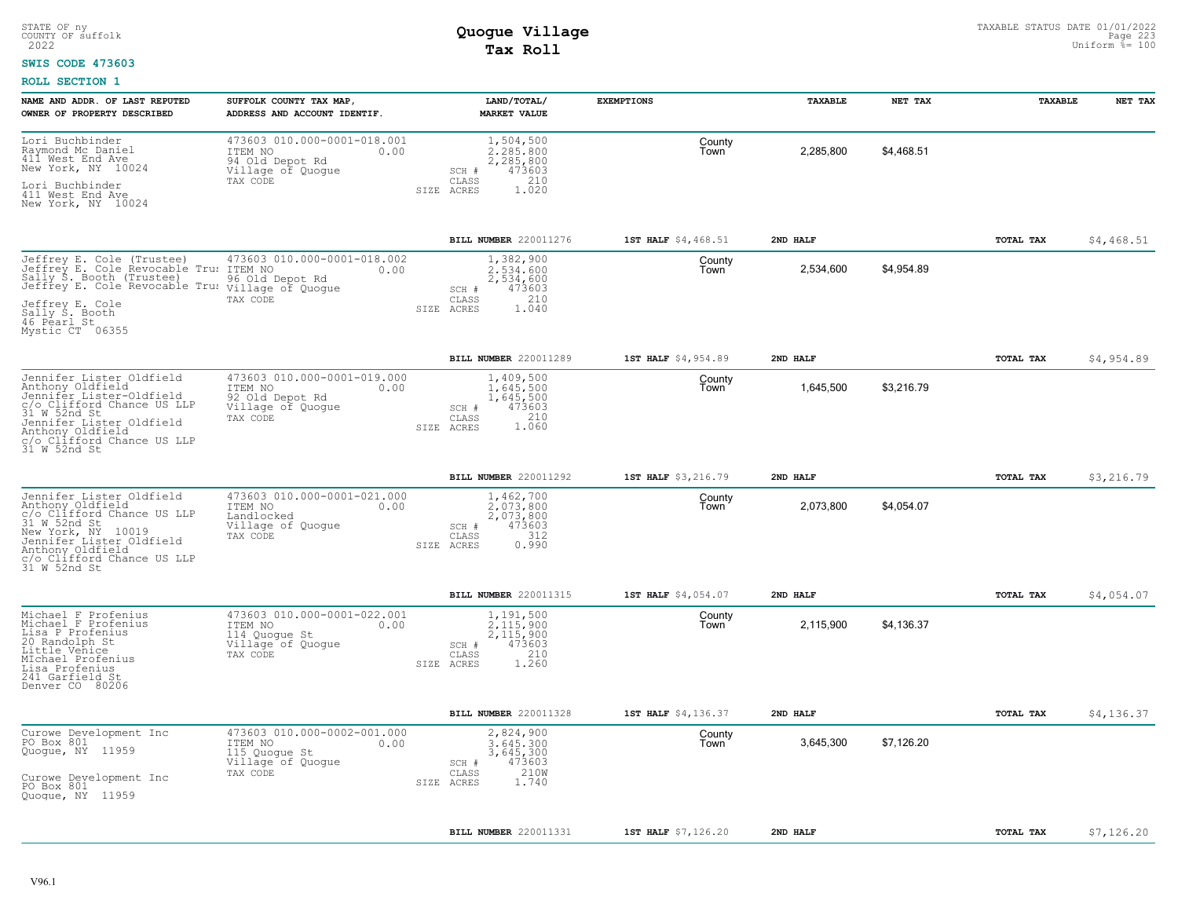#### **SWIS CODE 473603**

| 473603 010.000-0001-018.001<br>Lori Buchbinder<br>1,504,500<br>County<br>Raymond Mc Daniel<br>411 West End Ave<br>2,285,800<br>\$4,468.51<br>ITEM NO<br>0.00<br>2,285,800<br>Town<br>94 Old Depot Rd<br>2,285,800<br>New York, NY 10024<br>Village of Quogue<br>473603<br>SCH #<br>210<br>TAX CODE<br>CLASS<br>Lori Buchbinder<br>SIZE ACRES<br>1.020<br>411 West End Ave<br>New York, NY 10024<br>\$4,468.51<br>BILL NUMBER 220011276<br>1ST HALF \$4,468.51<br>2ND HALF<br>TOTAL TAX<br>Jeffrey E. Cole (Trustee) 473603 0<br>Jeffrey E. Cole Revocable Tru: ITEM NO<br>473603 010.000-0001-018.002<br>1,382,900<br>County<br>\$4,954.89<br>2.534.600<br>2,534,600<br>0.00<br>Town<br>Sally S. Booth (Trustee)<br>96 Old Depot Rd<br>2,534,600<br>Jeffrey E. Cole Revocable Tru: village of Quogue<br>473603<br>SCH #<br>210<br>CLASS<br>TAX CODE<br>Jeffrey E. Cole<br>SIZE ACRES<br>1.040<br>Sally S. Booth<br>46 Pearl_St<br>Mystic CT 06355<br>\$4,954.89<br>BILL NUMBER 220011289<br>1ST HALF \$4,954.89<br>2ND HALF<br>TOTAL TAX<br>473603 010.000-0001-019.000<br>Jennifer Lister Oldfield<br>1,409,500<br>County<br>Anthony Oldfield<br>Jennifer Lister-Oldfield<br>1,645,500<br>\$3,216.79<br>1,645,500<br>ITEM NO<br>0.00<br>Town<br>92 Old Depot Rd<br>1,645,500<br>Village of Quogue<br>473603<br>SCH #<br>CLASS<br>210<br>TAX CODE<br>Jennifer Lister Oldfield<br>1.060<br>SIZE ACRES<br>31 W 52nd St<br>BILL NUMBER 220011292<br>1ST HALF \$3,216.79<br>2ND HALF<br>TOTAL TAX<br>\$3,216.79<br>473603 010.000-0001-021.000<br>1,462,700<br>Jennifer Lister Oldfield<br>County<br>Anthony Oldfield<br>\$4,054.07<br>2,073,800<br>ITEM NO<br>2,073,800<br>0.00<br>Town<br>c/o Clifford Chance US LLP<br>2,073,800<br>Landlocked<br>31 W 52nd St<br>Village of Quogue<br>473603<br>SCH #<br>New York, NY 10019<br>Jennifer Lister Oldfield<br>312<br>TAX CODE<br>CLASS<br>0.990<br>SIZE ACRES<br>Anthony Oldfield<br>c/o Clifford Chance US LLP<br>31 W 52nd St<br>BILL NUMBER 220011315<br>1ST HALF \$4,054.07<br>2ND HALF<br>TOTAL TAX<br>\$4,054.07<br>473603 010.000-0001-022.001<br>1,191,500<br>Michael F Profenius<br>County<br>Michael F Profenius<br>2,115,900<br>2,115,900<br>\$4,136.37<br>ITEM NO<br>0.00<br>Town<br>Lisa P Profenius<br>2,115,900<br>114 Quoque St<br>20 Randolph St<br>473603<br>Village of Quogue<br>SCH #<br>Little Venice<br>210<br>CLASS<br>TAX CODE<br>MIchael Profenius<br>SIZE ACRES<br>1.260<br>Lisa Profenius<br>241 Garfield St<br>Denver CO 80206<br>BILL NUMBER 220011328<br>\$4,136.37<br>1ST HALF \$4,136.37<br>2ND HALF<br>TOTAL TAX<br>473603 010.000-0002-001.000<br>Curowe Development Inc<br>2,824,900<br>County<br>PO Box 801<br>3,645,300<br>\$7,126.20<br>ITEM NO<br>0.00<br>3.645.300<br>Town<br>Quogue, NY 11959<br>3,645,300<br>115 Quogue St<br>473603<br>Village of Quogue<br>SCH #<br>210W<br>TAX CODE<br>CLASS<br>Curowe Development Inc<br>1.740<br>SIZE<br>ACRES<br>PO Box 801<br>Quogue, NY 11959<br>BILL NUMBER 220011331<br>1ST HALF \$7,126.20<br>2ND HALF<br>TOTAL TAX<br>\$7,126.20 | NAME AND ADDR. OF LAST REPUTED<br>OWNER OF PROPERTY DESCRIBED                                | SUFFOLK COUNTY TAX MAP<br>ADDRESS AND ACCOUNT IDENTIF. | LAND/TOTAL/<br><b>MARKET VALUE</b> | <b>EXEMPTIONS</b> | TAXABLE | NET TAX | TAXABLE | NET TAX |
|---------------------------------------------------------------------------------------------------------------------------------------------------------------------------------------------------------------------------------------------------------------------------------------------------------------------------------------------------------------------------------------------------------------------------------------------------------------------------------------------------------------------------------------------------------------------------------------------------------------------------------------------------------------------------------------------------------------------------------------------------------------------------------------------------------------------------------------------------------------------------------------------------------------------------------------------------------------------------------------------------------------------------------------------------------------------------------------------------------------------------------------------------------------------------------------------------------------------------------------------------------------------------------------------------------------------------------------------------------------------------------------------------------------------------------------------------------------------------------------------------------------------------------------------------------------------------------------------------------------------------------------------------------------------------------------------------------------------------------------------------------------------------------------------------------------------------------------------------------------------------------------------------------------------------------------------------------------------------------------------------------------------------------------------------------------------------------------------------------------------------------------------------------------------------------------------------------------------------------------------------------------------------------------------------------------------------------------------------------------------------------------------------------------------------------------------------------------------------------------------------------------------------------------------------------------------------------------------------------------------------------------------------------------------------------------------------------------------------------------------------------------------------------------------------------------------------------------------------------------------------------------------------------------------------------------------------------------------------------------------------------------------------------------------------------------------|----------------------------------------------------------------------------------------------|--------------------------------------------------------|------------------------------------|-------------------|---------|---------|---------|---------|
|                                                                                                                                                                                                                                                                                                                                                                                                                                                                                                                                                                                                                                                                                                                                                                                                                                                                                                                                                                                                                                                                                                                                                                                                                                                                                                                                                                                                                                                                                                                                                                                                                                                                                                                                                                                                                                                                                                                                                                                                                                                                                                                                                                                                                                                                                                                                                                                                                                                                                                                                                                                                                                                                                                                                                                                                                                                                                                                                                                                                                                                                     |                                                                                              |                                                        |                                    |                   |         |         |         |         |
|                                                                                                                                                                                                                                                                                                                                                                                                                                                                                                                                                                                                                                                                                                                                                                                                                                                                                                                                                                                                                                                                                                                                                                                                                                                                                                                                                                                                                                                                                                                                                                                                                                                                                                                                                                                                                                                                                                                                                                                                                                                                                                                                                                                                                                                                                                                                                                                                                                                                                                                                                                                                                                                                                                                                                                                                                                                                                                                                                                                                                                                                     |                                                                                              |                                                        |                                    |                   |         |         |         |         |
|                                                                                                                                                                                                                                                                                                                                                                                                                                                                                                                                                                                                                                                                                                                                                                                                                                                                                                                                                                                                                                                                                                                                                                                                                                                                                                                                                                                                                                                                                                                                                                                                                                                                                                                                                                                                                                                                                                                                                                                                                                                                                                                                                                                                                                                                                                                                                                                                                                                                                                                                                                                                                                                                                                                                                                                                                                                                                                                                                                                                                                                                     |                                                                                              |                                                        |                                    |                   |         |         |         |         |
|                                                                                                                                                                                                                                                                                                                                                                                                                                                                                                                                                                                                                                                                                                                                                                                                                                                                                                                                                                                                                                                                                                                                                                                                                                                                                                                                                                                                                                                                                                                                                                                                                                                                                                                                                                                                                                                                                                                                                                                                                                                                                                                                                                                                                                                                                                                                                                                                                                                                                                                                                                                                                                                                                                                                                                                                                                                                                                                                                                                                                                                                     |                                                                                              |                                                        |                                    |                   |         |         |         |         |
|                                                                                                                                                                                                                                                                                                                                                                                                                                                                                                                                                                                                                                                                                                                                                                                                                                                                                                                                                                                                                                                                                                                                                                                                                                                                                                                                                                                                                                                                                                                                                                                                                                                                                                                                                                                                                                                                                                                                                                                                                                                                                                                                                                                                                                                                                                                                                                                                                                                                                                                                                                                                                                                                                                                                                                                                                                                                                                                                                                                                                                                                     |                                                                                              |                                                        |                                    |                   |         |         |         |         |
|                                                                                                                                                                                                                                                                                                                                                                                                                                                                                                                                                                                                                                                                                                                                                                                                                                                                                                                                                                                                                                                                                                                                                                                                                                                                                                                                                                                                                                                                                                                                                                                                                                                                                                                                                                                                                                                                                                                                                                                                                                                                                                                                                                                                                                                                                                                                                                                                                                                                                                                                                                                                                                                                                                                                                                                                                                                                                                                                                                                                                                                                     | c/o Clifford Chance US LLP<br>31 W.52nd St<br>Anthony Oldfield<br>c/o Clifford Chance US LLP |                                                        |                                    |                   |         |         |         |         |
|                                                                                                                                                                                                                                                                                                                                                                                                                                                                                                                                                                                                                                                                                                                                                                                                                                                                                                                                                                                                                                                                                                                                                                                                                                                                                                                                                                                                                                                                                                                                                                                                                                                                                                                                                                                                                                                                                                                                                                                                                                                                                                                                                                                                                                                                                                                                                                                                                                                                                                                                                                                                                                                                                                                                                                                                                                                                                                                                                                                                                                                                     |                                                                                              |                                                        |                                    |                   |         |         |         |         |
|                                                                                                                                                                                                                                                                                                                                                                                                                                                                                                                                                                                                                                                                                                                                                                                                                                                                                                                                                                                                                                                                                                                                                                                                                                                                                                                                                                                                                                                                                                                                                                                                                                                                                                                                                                                                                                                                                                                                                                                                                                                                                                                                                                                                                                                                                                                                                                                                                                                                                                                                                                                                                                                                                                                                                                                                                                                                                                                                                                                                                                                                     |                                                                                              |                                                        |                                    |                   |         |         |         |         |
|                                                                                                                                                                                                                                                                                                                                                                                                                                                                                                                                                                                                                                                                                                                                                                                                                                                                                                                                                                                                                                                                                                                                                                                                                                                                                                                                                                                                                                                                                                                                                                                                                                                                                                                                                                                                                                                                                                                                                                                                                                                                                                                                                                                                                                                                                                                                                                                                                                                                                                                                                                                                                                                                                                                                                                                                                                                                                                                                                                                                                                                                     |                                                                                              |                                                        |                                    |                   |         |         |         |         |
|                                                                                                                                                                                                                                                                                                                                                                                                                                                                                                                                                                                                                                                                                                                                                                                                                                                                                                                                                                                                                                                                                                                                                                                                                                                                                                                                                                                                                                                                                                                                                                                                                                                                                                                                                                                                                                                                                                                                                                                                                                                                                                                                                                                                                                                                                                                                                                                                                                                                                                                                                                                                                                                                                                                                                                                                                                                                                                                                                                                                                                                                     |                                                                                              |                                                        |                                    |                   |         |         |         |         |
|                                                                                                                                                                                                                                                                                                                                                                                                                                                                                                                                                                                                                                                                                                                                                                                                                                                                                                                                                                                                                                                                                                                                                                                                                                                                                                                                                                                                                                                                                                                                                                                                                                                                                                                                                                                                                                                                                                                                                                                                                                                                                                                                                                                                                                                                                                                                                                                                                                                                                                                                                                                                                                                                                                                                                                                                                                                                                                                                                                                                                                                                     |                                                                                              |                                                        |                                    |                   |         |         |         |         |
|                                                                                                                                                                                                                                                                                                                                                                                                                                                                                                                                                                                                                                                                                                                                                                                                                                                                                                                                                                                                                                                                                                                                                                                                                                                                                                                                                                                                                                                                                                                                                                                                                                                                                                                                                                                                                                                                                                                                                                                                                                                                                                                                                                                                                                                                                                                                                                                                                                                                                                                                                                                                                                                                                                                                                                                                                                                                                                                                                                                                                                                                     |                                                                                              |                                                        |                                    |                   |         |         |         |         |
|                                                                                                                                                                                                                                                                                                                                                                                                                                                                                                                                                                                                                                                                                                                                                                                                                                                                                                                                                                                                                                                                                                                                                                                                                                                                                                                                                                                                                                                                                                                                                                                                                                                                                                                                                                                                                                                                                                                                                                                                                                                                                                                                                                                                                                                                                                                                                                                                                                                                                                                                                                                                                                                                                                                                                                                                                                                                                                                                                                                                                                                                     |                                                                                              |                                                        |                                    |                   |         |         |         |         |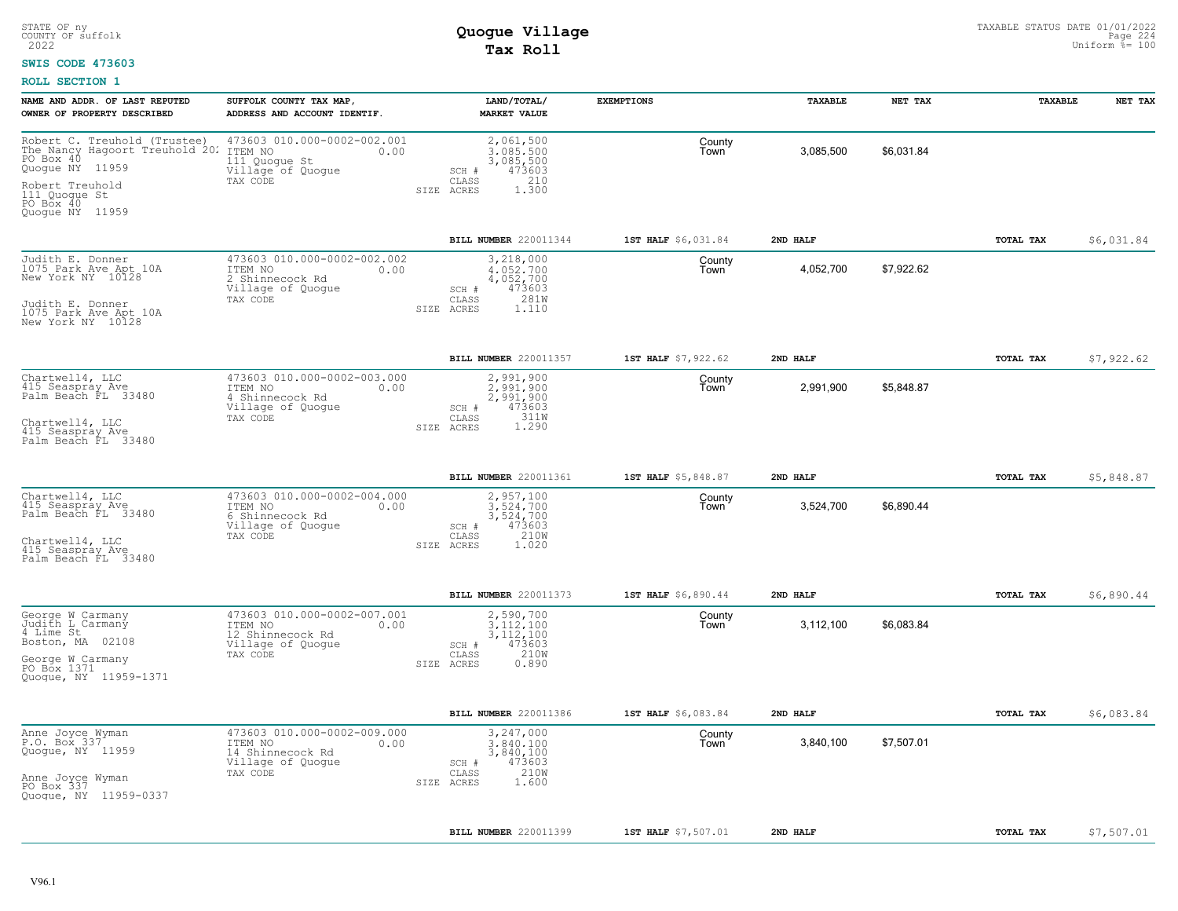#### **SWIS CODE 473603**

| NAME AND ADDR. OF LAST REPUTED<br>OWNER OF PROPERTY DESCRIBED                                                                                                      | SUFFOLK COUNTY TAX MAP,<br>ADDRESS AND ACCOUNT IDENTIF.                                             | LAND/TOTAL/<br><b>MARKET VALUE</b>                                                                          | <b>EXEMPTIONS</b>   | TAXABLE   | NET TAX    | TAXABLE          | NET TAX    |
|--------------------------------------------------------------------------------------------------------------------------------------------------------------------|-----------------------------------------------------------------------------------------------------|-------------------------------------------------------------------------------------------------------------|---------------------|-----------|------------|------------------|------------|
| Robert C. Treuhold (Trustee)<br>The Nancy Hagoort Treuhold 202<br>PO Box 40<br>Quogue NY 11959<br>Robert Treuhold<br>111 Quoque St<br>PO Box 40<br>Quogue NY 11959 | 473603 010.000-0002-002.001<br>ITEM NO<br>0.00<br>111 Quogue St<br>Village of Quoque<br>TAX CODE    | 2,061,500<br>3.085.500<br>3,085,500<br>473603<br>$SCH$ #<br>210<br>CLASS<br>1.300<br>SIZE ACRES             | County<br>Town      | 3,085,500 | \$6.031.84 |                  |            |
|                                                                                                                                                                    |                                                                                                     | BILL NUMBER 220011344                                                                                       | 1ST HALF \$6,031.84 | 2ND HALF  |            | TOTAL TAX        | \$6,031.84 |
| Judith E. Donner<br>1075 Park Ave Apt 10A<br>New York NY 10128<br>Judith E. Donner<br>1075 Park Ave Apt 10A<br>New York NY 10128                                   | 473603 010.000-0002-002.002<br>ITEM NO<br>0.00<br>2 Shinnecock Rd<br>Village of Quoque<br>TAX CODE  | 3,218,000<br>4,052,700<br>4,052,700<br>473603<br>SCH #<br>281W<br>CLASS<br>SIZE ACRES<br>1.110              | County<br>Town      | 4,052,700 | \$7,922.62 |                  |            |
|                                                                                                                                                                    |                                                                                                     | BILL NUMBER 220011357                                                                                       | 1ST HALF \$7,922.62 | 2ND HALF  |            | <b>TOTAL TAX</b> | \$7,922.62 |
| Chartwell4, LLC<br>415 Seaspray Ave<br>Palm Beach FL 33480<br>Chartwell4, LLC<br>415 Seaspray Ave<br>Palm Beach FL 33480                                           | 473603 010.000-0002-003.000<br>ITEM NO<br>0.00<br>4 Shinnecock Rd<br>Village of Quogue<br>TAX CODE  | 2,991,900<br>2,991,900<br>2,991,900<br>473603<br>SCH #<br>311W<br>CLASS<br>1.290<br>SIZE ACRES              | County<br>Town      | 2,991,900 | \$5,848.87 |                  |            |
|                                                                                                                                                                    |                                                                                                     | BILL NUMBER 220011361                                                                                       | 1ST HALF \$5,848.87 | 2ND HALF  |            | TOTAL TAX        | \$5,848.87 |
| Chartwell4, LLC<br>415 Seaspray Ave<br>Palm Beach FL 33480<br>Chartwell4, LLC<br>415 Seaspray Ave<br>Palm Beach FL 33480                                           | 473603 010.000-0002-004.000<br>ITEM NO<br>0.00<br>6 Shinnecock Rd<br>Village of Quogue<br>TAX CODE  | 2,957,100<br>3,524,700<br>3,524,700<br>473603<br>SCH #<br>210W<br>CLASS<br>SIZE ACRES<br>1.020              | County<br>Town      | 3,524,700 | \$6,890.44 |                  |            |
|                                                                                                                                                                    |                                                                                                     | BILL NUMBER 220011373                                                                                       | 1ST HALF \$6,890.44 | 2ND HALF  |            | TOTAL TAX        | \$6,890.44 |
| George W Carmany<br>Judith L Carmany<br>Boston, MA 02108<br>George W Carmany<br>PO Box 1371<br>Quogue, NY 11959-1371                                               | 473603 010.000-0002-007.001<br>ITEM NO<br>0.00<br>12 Shinnecock Rd<br>Village of Quogue<br>TAX CODE | 2,590,700<br>3,112,100<br>3, 112, 100<br>473603<br>SCH #<br>210W<br>$\mathtt{CLASS}$<br>SIZE ACRES<br>0.890 | County<br>Town      | 3,112,100 | \$6,083.84 |                  |            |
|                                                                                                                                                                    |                                                                                                     | BILL NUMBER 220011386                                                                                       | 1ST HALF \$6,083.84 | 2ND HALF  |            | TOTAL TAX        | \$6,083.84 |
| Anne Joyce Wyman<br>P.O. Box 337<br>Quogue, NY 11959<br>Anne Joyce Wyman<br>PO Box 337<br>Quoque, NY 11959-0337                                                    | 473603 010.000-0002-009.000<br>ITEM NO<br>0.00<br>14 Shinnecock Rd<br>Village of Quogue<br>TAX CODE | 3,247,000<br>3.840.100<br>3,840,100<br>473603<br>SCH #<br>210W<br>$\mathtt{CLASS}$<br>SIZE ACRES<br>1.600   | County<br>Town      | 3,840,100 | \$7,507.01 |                  |            |
|                                                                                                                                                                    |                                                                                                     | BILL NUMBER 220011399                                                                                       | 1ST HALF \$7,507.01 | 2ND HALF  |            | TOTAL TAX        | \$7,507.01 |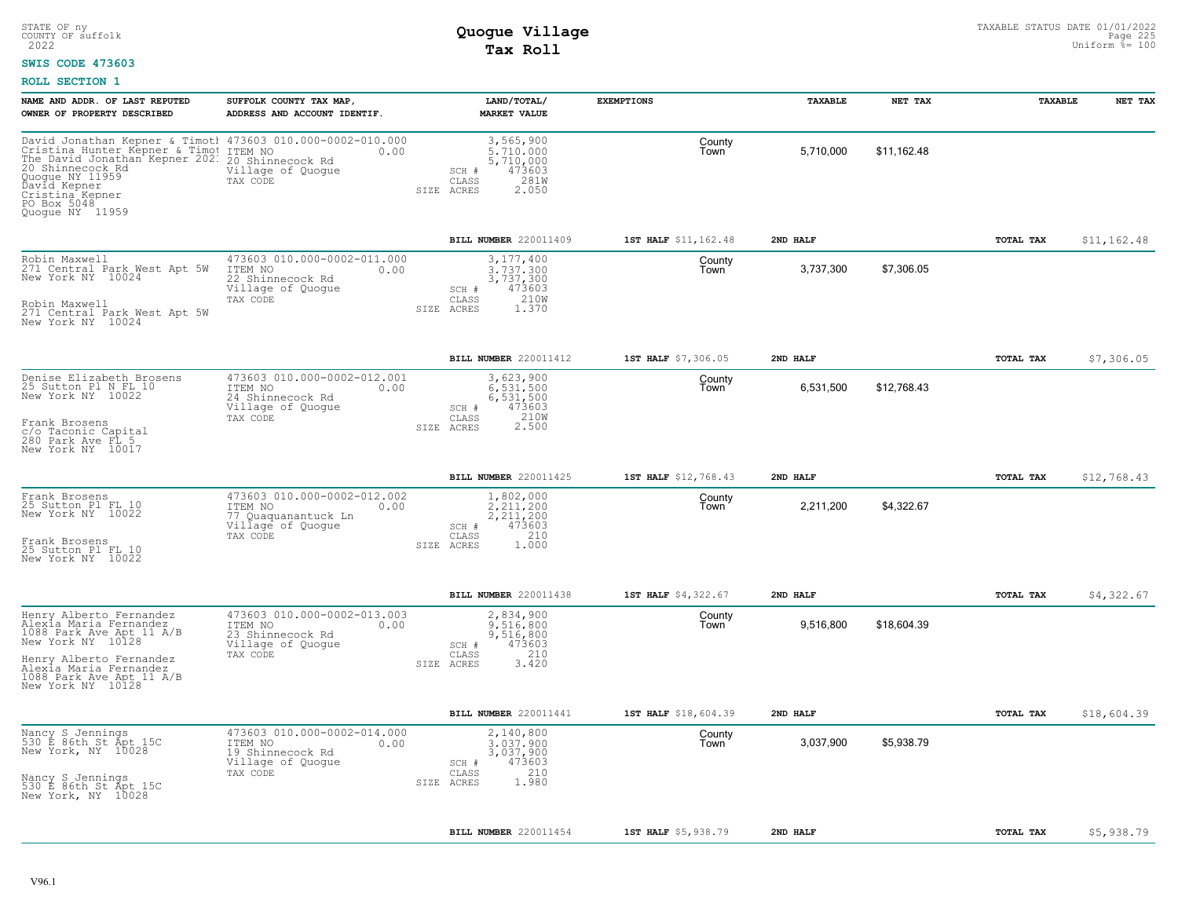#### **SWIS CODE 473603**

| NAME AND ADDR. OF LAST REPUTED                                                                                                                                                                                                             | SUFFOLK COUNTY TAX MAP,                                                                             | LAND/TOTAL/                                                                                    | <b>EXEMPTIONS</b>    | TAXABLE   | NET TAX     | TAXABLE   | NET TAX      |
|--------------------------------------------------------------------------------------------------------------------------------------------------------------------------------------------------------------------------------------------|-----------------------------------------------------------------------------------------------------|------------------------------------------------------------------------------------------------|----------------------|-----------|-------------|-----------|--------------|
| OWNER OF PROPERTY DESCRIBED                                                                                                                                                                                                                | ADDRESS AND ACCOUNT IDENTIF.                                                                        | MARKET VALUE                                                                                   |                      |           |             |           |              |
| David Jonathan Kepner & Timotl 473603 010.000-0002-010.000<br>Cristina Hunter Kepner & Timo!<br>The David Jonathan Kepner 202.<br>20 Shinnecock Rd<br>Quogue NY 11959<br>David Kepner<br>Cristina Kepner<br>PO Box 5048<br>Quogue NY 11959 | ITEM NO<br>0.00<br>20 Shinnecock Rd<br>Village of Quogue<br>TAX CODE                                | 3,565,900<br>5,710,000<br>5,710,000<br>473603<br>SCH #<br>281W<br>CLASS<br>2.050<br>SIZE ACRES | County<br>Town       | 5,710,000 | \$11,162.48 |           |              |
|                                                                                                                                                                                                                                            |                                                                                                     | BILL NUMBER 220011409                                                                          | 1ST HALF \$11,162.48 | 2ND HALF  |             | TOTAL TAX | \$11, 162.48 |
| Robin Maxwell<br>271 Central Park West Apt 5W<br>New York NY 10024<br>Robin Maxwell<br>271 Central Park West Apt 5W                                                                                                                        | 473603 010.000-0002-011.000<br>ITEM NO<br>0.00<br>22 Shinnecock Rd<br>Village of Quogue<br>TAX CODE | 3,177,400<br>3,737,300<br>3,737,300<br>473603<br>SCH #<br>210W<br>CLASS<br>1.370<br>SIZE ACRES | County<br>Town       | 3,737,300 | \$7,306.05  |           |              |
| New York NY 10024                                                                                                                                                                                                                          |                                                                                                     |                                                                                                |                      |           |             |           |              |
|                                                                                                                                                                                                                                            |                                                                                                     | BILL NUMBER 220011412                                                                          | 1ST HALF \$7,306.05  | 2ND HALF  |             | TOTAL TAX | \$7,306.05   |
| Denise Elizabeth Brosens<br>25 Sutton Pl N FL 10<br>New York NY 10022                                                                                                                                                                      | 473603 010.000-0002-012.001<br>ITEM NO<br>0.00<br>24 Shinnecock Rd<br>Village of Quoque             | 3,623,900<br>6.531.500<br>6,531,500<br>473603<br>SCH #                                         | County<br>Town       | 6,531,500 | \$12.768.43 |           |              |
| Frank Brosens<br>c/o Taconic Capital<br>280 Park Ave FL 5<br>New York NY 10017                                                                                                                                                             | TAX CODE                                                                                            | 210W<br>CLASS<br>2.500<br>SIZE ACRES                                                           |                      |           |             |           |              |
|                                                                                                                                                                                                                                            |                                                                                                     | BILL NUMBER 220011425                                                                          | 1ST HALF \$12,768.43 | 2ND HALF  |             | TOTAL TAX | \$12,768.43  |
| Frank Brosens<br>25 Sutton Pl FL 10<br>New York NY 10022                                                                                                                                                                                   | 473603 010.000-0002-012.002<br>ITEM NO<br>0.00<br>77 Quaquanantuck Ln<br>Village of Quogue          | 1,802,000<br>2.211.200<br>2, 211, 200<br>473603<br>SCH #                                       | County<br>Town       | 2,211,200 | \$4,322.67  |           |              |
| Frank Brosens<br>25 Sutton Pl FL 10<br>New York NY 10022                                                                                                                                                                                   | TAX CODE                                                                                            | 210<br>CLASS<br>SIZE ACRES<br>1,000                                                            |                      |           |             |           |              |
|                                                                                                                                                                                                                                            |                                                                                                     | BILL NUMBER 220011438                                                                          | 1ST HALF \$4,322.67  | 2ND HALF  |             | TOTAL TAX | \$4,322.67   |
| Henry Alberto Fernandez<br>Alexia Maria Fernandez<br>1088 Park Ave Apt 11 A/B<br>New York NY 10128                                                                                                                                         | 473603 010.000-0002-013.003<br>0.00<br>ITEM NO<br>23 Shinnecock Rd<br>Village of Quogue             | 2,834,900<br>9.516.800<br>9,516,800<br>473603<br>SCH #                                         | County<br>Town       | 9,516,800 | \$18,604.39 |           |              |
| Henry Alberto Fernandez<br>Alexia Maria Fernandez<br>1088 Park Ave Apt 11 A/B<br>New York NY 10128                                                                                                                                         | TAX CODE                                                                                            | CLASS<br>210<br>3.420<br>SIZE ACRES                                                            |                      |           |             |           |              |
|                                                                                                                                                                                                                                            |                                                                                                     | BILL NUMBER 220011441                                                                          | 1ST HALF \$18,604.39 | 2ND HALF  |             | TOTAL TAX | \$18,604.39  |
| Nancy S Jennings<br>530 E 86th St Apt 15C<br>New York, NY 10028                                                                                                                                                                            | 473603 010.000-0002-014.000<br>ITEM NO<br>0.00<br>19 Shinnecock Rd<br>Village of Quogue             | 2,140,800<br>3,037,900<br>3,037,900<br>473603<br>SCH #                                         | County<br>Town       | 3,037,900 | \$5,938.79  |           |              |
| Nancy S Jennings<br>530 E 86th St Apt 15C<br>New York, NY 10028                                                                                                                                                                            | TAX CODE                                                                                            | 210<br>CLASS<br>1.980<br>ACRES<br>SIZE                                                         |                      |           |             |           |              |
|                                                                                                                                                                                                                                            |                                                                                                     | BILL NUMBER 220011454                                                                          | 1ST HALF \$5,938.79  | 2ND HALF  |             | TOTAL TAX | \$5,938.79   |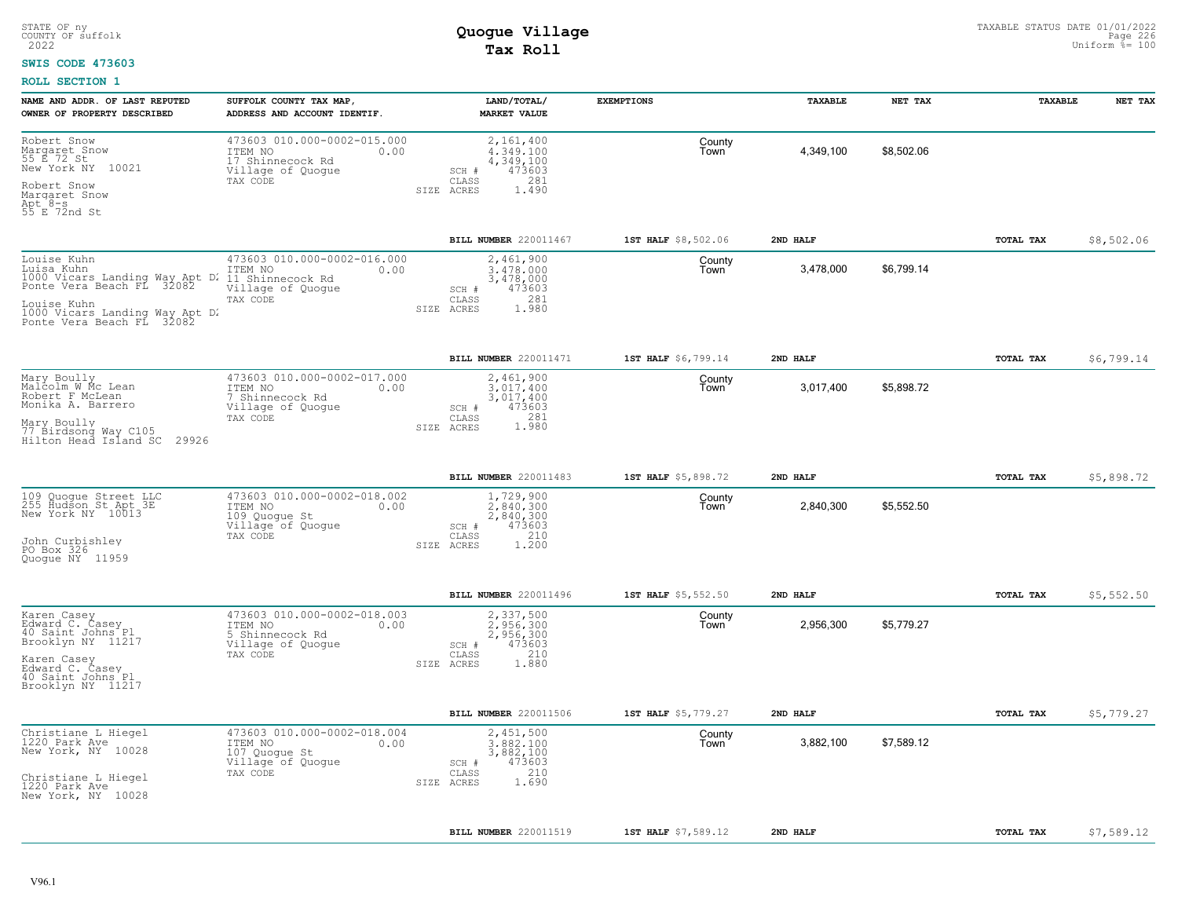#### **SWIS CODE 473603**

| NAME AND ADDR. OF LAST REPUTED<br>OWNER OF PROPERTY DESCRIBED                                                                                                          | SUFFOLK COUNTY TAX MAP<br>ADDRESS AND ACCOUNT IDENTIF.                                              | LAND/TOTAL/<br><b>MARKET VALUE</b>                                                               | <b>EXEMPTIONS</b>   | TAXABLE   | NET TAX    | TAXABLE          | NET TAX    |
|------------------------------------------------------------------------------------------------------------------------------------------------------------------------|-----------------------------------------------------------------------------------------------------|--------------------------------------------------------------------------------------------------|---------------------|-----------|------------|------------------|------------|
| Robert Snow<br>Margaret Snow<br>55 E 72 St<br>New York NY<br>10021<br>Robert Snow<br>Margaret Snow<br>Apt 8-s<br>55 E 72nd St                                          | 473603 010.000-0002-015.000<br>ITEM NO<br>0.00<br>17 Shinnecock Rd<br>Village of Quogue<br>TAX CODE | 2,161,400<br>4,349,100<br>4,349,100<br>473603<br>SCH #<br>281<br>CLASS<br>SIZE ACRES<br>1.490    | County<br>Town      | 4,349,100 | \$8,502.06 |                  |            |
|                                                                                                                                                                        |                                                                                                     | BILL NUMBER 220011467                                                                            | 1ST HALF \$8,502.06 | 2ND HALF  |            | TOTAL TAX        | \$8,502.06 |
| Louise Kuhn<br>Luisa Kuhn<br>1000 Vicars Landing Way Apt D.<br>Ponte Vera Beach FL 32082<br>Louise Kuhn<br>1000 Vicars Landing Way Apt D.<br>Ponte Vera Beach FL 32082 | 473603 010.000-0002-016.000<br>ITEM NO<br>0.00<br>11 Shinnecock Rd<br>Village of Quogue<br>TAX CODE | 2,461,900<br>3,478,000<br>3,478,000<br>473603<br>SCH #<br>281<br>CLASS<br>1.980<br>SIZE<br>ACRES | County<br>Town      | 3,478,000 | \$6,799.14 |                  |            |
|                                                                                                                                                                        |                                                                                                     | BILL NUMBER 220011471                                                                            | 1ST HALF \$6,799.14 | 2ND HALF  |            | <b>TOTAL TAX</b> | \$6,799.14 |
| Mary Boully<br>Malcolm W Mc Lean<br>Robert F McLean<br>Monika A. Barrero<br>Mary Boully<br>77 Birdsonq Way C105<br>Hilton Head Island SC 29926                         | 473603 010.000-0002-017.000<br>ITEM NO<br>0.00<br>7 Shinnecock Rd<br>Village of Quogue<br>TAX CODE  | 2,461,900<br>3,017,400<br>3,017,400<br>473603<br>SCH #<br>281<br>CLASS<br>1.980<br>SIZE ACRES    | County<br>Town      | 3,017,400 | \$5,898.72 |                  |            |
|                                                                                                                                                                        |                                                                                                     | BILL NUMBER 220011483                                                                            | 1ST HALF \$5,898.72 | 2ND HALF  |            | <b>TOTAL TAX</b> | \$5,898.72 |
| 109 Quoque Street LLC<br>255 Hudson St Apt 3E<br>New York NY 10013<br>John Curbishley<br>PO Box 326<br>Quoque NY 11959                                                 | 473603 010.000-0002-018.002<br>ITEM NO<br>0.00<br>109 Quogue St<br>Village of Quoque<br>TAX CODE    | 1,729,900<br>2,840,300<br>2,840,300<br>473603<br>SCH #<br>210<br>CLASS<br>1,200<br>SIZE<br>ACRES | County<br>Town      | 2,840,300 | \$5,552.50 |                  |            |
|                                                                                                                                                                        |                                                                                                     | BILL NUMBER 220011496                                                                            | 1ST HALF \$5,552.50 | 2ND HALF  |            | <b>TOTAL TAX</b> | \$5,552.50 |
| Karen Casey<br>Edward C. Casey<br>40 Saint Johns Pl<br>Brooklyn NY 11217<br>Karen Casey<br>Edward C. Casey<br>40 Saint Johns Pl<br>Brooklyn NY 11217                   | 473603 010.000-0002-018.003<br>ITEM NO<br>0.00<br>5 Shinnecock Rd<br>Village of Quogue<br>TAX CODE  | 2,337,500<br>2.956.300<br>2,956,300<br>473603<br>SCH #<br>210<br>CLASS<br>1.880<br>SIZE ACRES    | County<br>Town      | 2,956,300 | \$5,779.27 |                  |            |
|                                                                                                                                                                        |                                                                                                     | <b>BILL NUMBER 220011506</b>                                                                     | 1ST HALF \$5,779.27 | 2ND HALF  |            | TOTAL TAX        | \$5,779.27 |
| Christiane L Hiegel<br>1220 Park Ave<br>New York, NY 10028<br>Christiane L Hiegel<br>1220 Park Ave<br>New York, NY 10028                                               | 473603 010.000-0002-018.004<br>ITEM NO<br>0.00<br>107 Quoque St<br>Village of Quogue<br>TAX CODE    | 2,451,500<br>3,882,100<br>3,882,100<br>473603<br>SCH #<br>210<br>CLASS<br>1.690<br>SIZE ACRES    | County<br>Town      | 3,882,100 | \$7,589.12 |                  |            |
|                                                                                                                                                                        |                                                                                                     | BILL NUMBER 220011519                                                                            | 1ST HALF \$7,589.12 | 2ND HALF  |            | TOTAL TAX        | \$7,589.12 |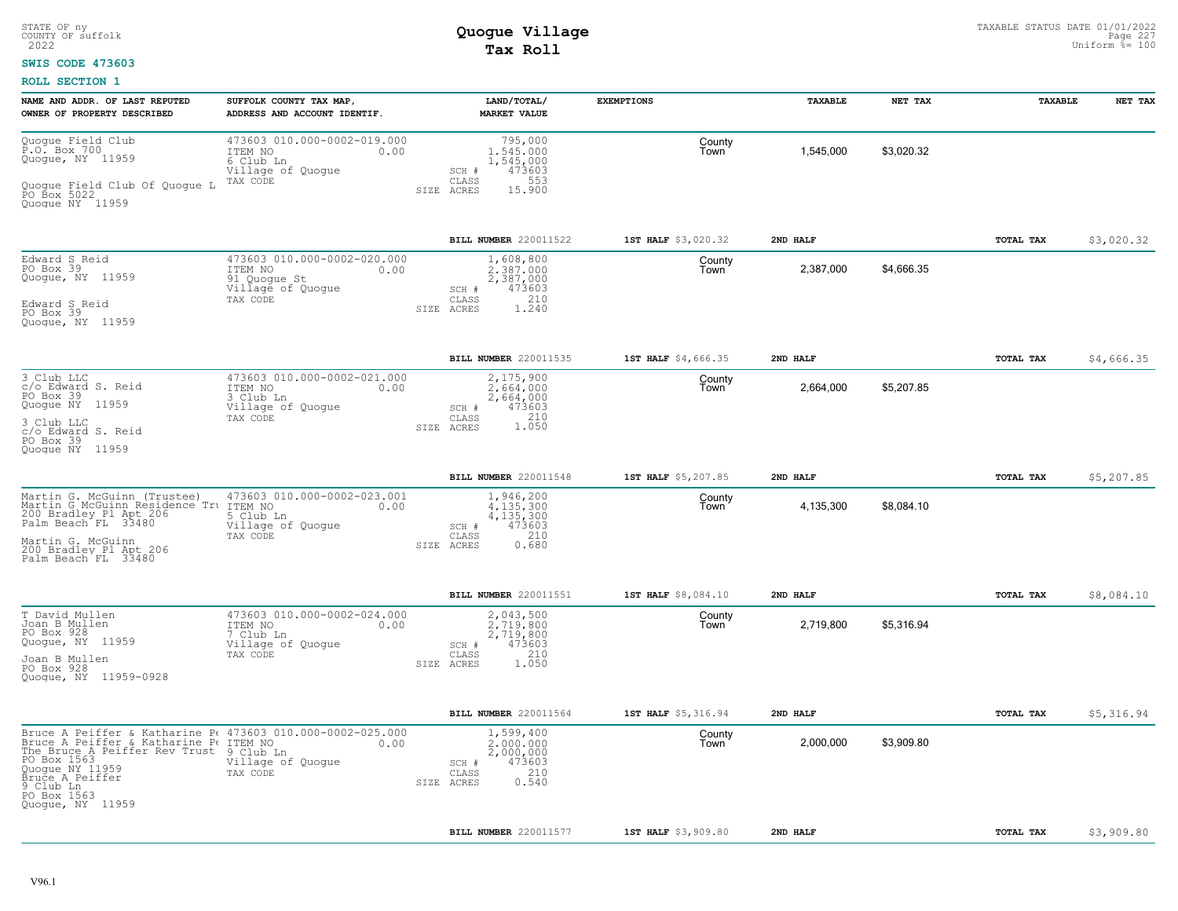#### **SWIS CODE 473603**

| NAME AND ADDR. OF LAST REPUTED<br>OWNER OF PROPERTY DESCRIBED                                                                                                                                                                                                     | SUFFOLK COUNTY TAX MAP,<br>ADDRESS AND ACCOUNT IDENTIF.                                         | LAND/TOTAL/<br><b>MARKET VALUE</b>                                                              | <b>EXEMPTIONS</b>   | TAXABLE   | NET TAX    | TAXABLE          | NET TAX    |
|-------------------------------------------------------------------------------------------------------------------------------------------------------------------------------------------------------------------------------------------------------------------|-------------------------------------------------------------------------------------------------|-------------------------------------------------------------------------------------------------|---------------------|-----------|------------|------------------|------------|
| Quogue Field Club<br>P.O. Box 700<br>Quogue, NY 11959<br>Quoque Field Club Of Quoque L<br>PO Box 5022<br>Quoque NY 11959                                                                                                                                          | 473603 010.000-0002-019.000<br>ITEM NO<br>0.00<br>6 Club Ln<br>Village of Quogue<br>TAX CODE    | 795,000<br>1,545,000<br>1,545,000<br>473603<br>SCH #<br>CLASS<br>553<br>SIZE ACRES<br>15.900    | County<br>Town      | 1,545,000 | \$3,020.32 |                  |            |
|                                                                                                                                                                                                                                                                   |                                                                                                 | BILL NUMBER 220011522                                                                           | 1ST HALF \$3,020.32 | 2ND HALF  |            | <b>TOTAL TAX</b> | \$3,020.32 |
| Edward S Reid<br>PO Box 39<br>Quogue, NY 11959<br>Edward S Reid<br>PO Box 39<br>Quoque, NY 11959                                                                                                                                                                  | 473603 010.000-0002-020.000<br>ITEM NO<br>0.00<br>91 Quogue St<br>Village of Quogue<br>TAX CODE | 1,608,800<br>2.387.000<br>2,387,000<br>473603<br>SCH #<br>210<br>CLASS<br>1.240<br>SIZE ACRES   | County<br>Town      | 2,387,000 | \$4,666.35 |                  |            |
|                                                                                                                                                                                                                                                                   |                                                                                                 | BILL NUMBER 220011535                                                                           | 1ST HALF \$4,666.35 | 2ND HALF  |            | TOTAL TAX        | \$4,666.35 |
| 3 Club LLC<br>c/o Edward S. Reid<br>PO Box 39<br>Quogue NY 11959<br>3 Club LLC<br>c/o Edward S. Reid<br>PO Box 39<br>Quoque NY 11959                                                                                                                              | 473603 010.000-0002-021.000<br>ITEM NO<br>0.00<br>3 Club Ln<br>Village of Quogue<br>TAX CODE    | 2,175,900<br>2.664.000<br>2,664,000<br>473603<br>SCH #<br>$210$<br>1.050<br>CLASS<br>SIZE ACRES | County<br>Town      | 2,664,000 | \$5,207.85 |                  |            |
|                                                                                                                                                                                                                                                                   |                                                                                                 | BILL NUMBER 220011548                                                                           | 1ST HALF \$5,207.85 | 2ND HALF  |            | TOTAL TAX        | \$5,207.85 |
| Martin G. McGuinn (Trustee)<br>Martin G McGuinn Residence Tru ITEM NO<br>200 Bradley Pl Apt 206<br>Palm Beach FL 33480<br>Martin G. McGuinn<br>200 Bradley Pl Apt 206<br>Palm Beach FL 33480                                                                      | 473603 010.000-0002-023.001<br>0.00<br>5 Club Ln<br>Village of Quogue<br>TAX CODE               | 1,946,200<br>4.135.300<br>4,135,300<br>473603<br>SCH #<br>210<br>CLASS<br>0.680<br>SIZE ACRES   | County<br>Town      | 4,135,300 | \$8,084.10 |                  |            |
|                                                                                                                                                                                                                                                                   |                                                                                                 | BILL NUMBER 220011551                                                                           | 1ST HALF \$8,084.10 | 2ND HALF  |            | TOTAL TAX        | \$8,084.10 |
| T David Mullen<br>Joan B Mullen<br>PO Box 928<br>Quogue, NY 11959<br>Joan B Mullen<br>PO Box 928<br>Quoque, NY 11959-0928                                                                                                                                         | 473603 010.000-0002-024.000<br>ITEM NO<br>0.00<br>7 Club Ln<br>Village of Quogue<br>TAX CODE    | 2,043,500<br>2.719.800<br>2,719,800<br>473603<br>SCH #<br>210<br>CLASS<br>SIZE ACRES<br>1.050   | County<br>Town      | 2,719,800 | \$5,316.94 |                  |            |
|                                                                                                                                                                                                                                                                   |                                                                                                 | BILL NUMBER 220011564                                                                           | 1ST HALF \$5,316.94 | 2ND HALF  |            | <b>TOTAL TAX</b> | \$5,316.94 |
| Bruce A Peiffer & Katharine P. 473603 010.000-0002-025.000<br>Bruce A Peiffer & Katharine Pe ITEM NO<br>The Bruce A Peiffer Rev Trust 9 Club Ln<br>PO Box 1563<br>Quogue NY 11959<br>Bruce A Peiffer<br>$\overline{9}$ Club In<br>PO Box 1563<br>Quogue, NY 11959 | 0.00<br>Village of Quogue<br>TAX CODE                                                           | 1,599,400<br>2,000,000<br>2,000,000<br>473603<br>SCH #<br>210<br>CLASS<br>0.540<br>SIZE ACRES   | County<br>Town      | 2,000,000 | \$3,909.80 |                  |            |
|                                                                                                                                                                                                                                                                   |                                                                                                 | <b>BILL NUMBER 220011577</b>                                                                    | 1ST HALF \$3,909.80 | 2ND HALF  |            | TOTAL TAX        | \$3,909.80 |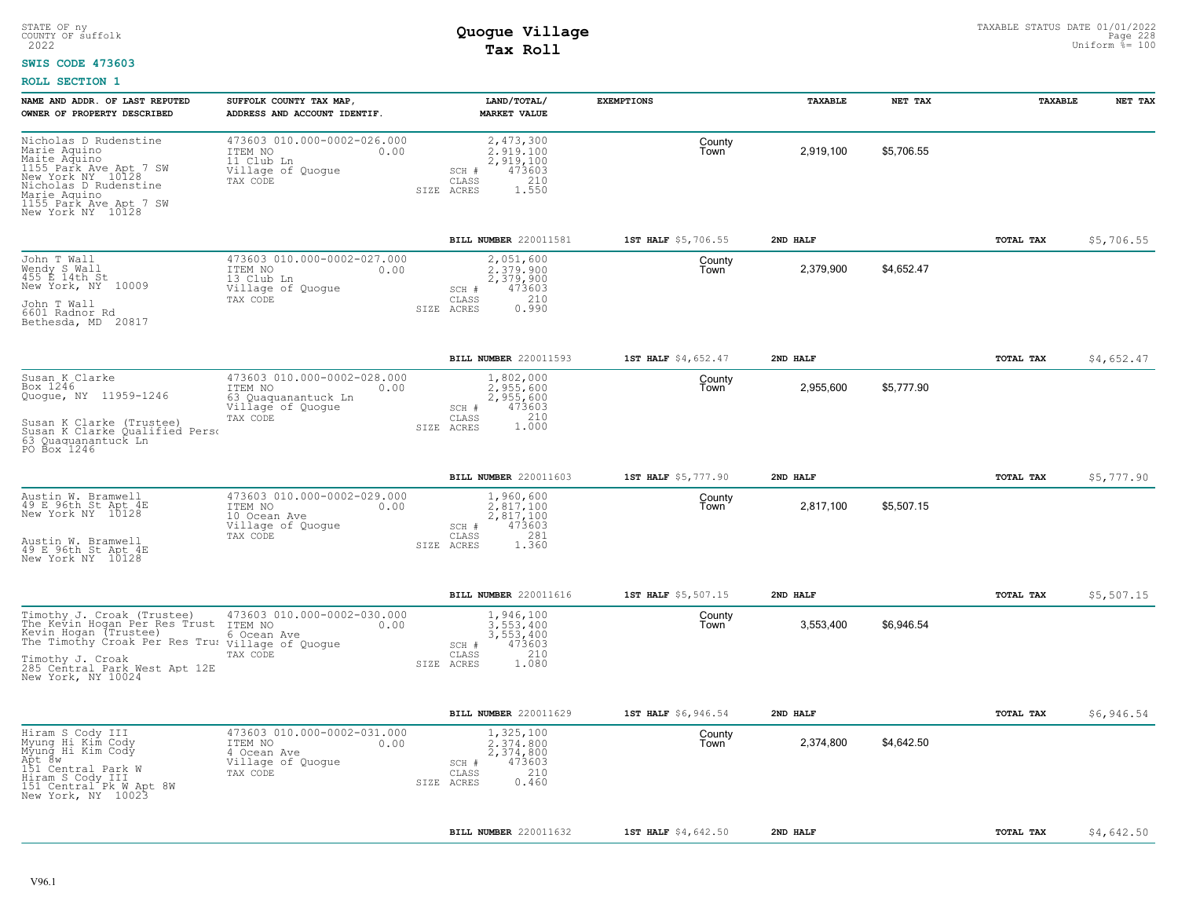#### **SWIS CODE 473603**

| NAME AND ADDR. OF LAST REPUTED<br>OWNER OF PROPERTY DESCRIBED                                                                                                                                                       | SUFFOLK COUNTY TAX MAP,<br>ADDRESS AND ACCOUNT IDENTIF.                                                | LAND/TOTAL/<br><b>MARKET VALUE</b>                                                                       | <b>EXEMPTIONS</b>   | TAXABLE   | NET TAX    | TAXABLE          | NET TAX    |
|---------------------------------------------------------------------------------------------------------------------------------------------------------------------------------------------------------------------|--------------------------------------------------------------------------------------------------------|----------------------------------------------------------------------------------------------------------|---------------------|-----------|------------|------------------|------------|
| Nicholas D Rudenstine<br>Marie Aquino<br>Maite Aquino<br>1155 Park Ave Apt 7 SW<br>New York NY 10128<br>Nicholas D Rudenstine<br>Marie Aquino<br>1155 Park Ave Apt 7 SW<br>New York NY 10128                        | 473603 010.000-0002-026.000<br>ITEM NO<br>0.00<br>11 Club Ln<br>Village of Quogue<br>TAX CODE          | 2,473,300<br>2.919.100<br>2,919,100<br>473603<br>SCH #<br>210<br>CLASS<br>1.550<br>SIZE ACRES            | County<br>Town      | 2.919.100 | \$5.706.55 |                  |            |
|                                                                                                                                                                                                                     |                                                                                                        | BILL NUMBER 220011581                                                                                    | 1ST HALF \$5,706.55 | 2ND HALF  |            | TOTAL TAX        | \$5,706.55 |
| John T Wall<br>Wendy S Wall<br>455 E 14th St<br>New York, NY 10009<br>John T Wall<br>6601 Radnor Rd<br>Bethesda, MD 20817                                                                                           | 473603 010.000-0002-027.000<br>ITEM NO<br>0.00<br>13 Club Ln<br>Village of Quoque<br>TAX CODE          | 2,051,600<br>2,379,900<br>2,379,900<br>473603<br>SCH #<br>210<br>CLASS<br>0.990<br>SIZE ACRES            | County<br>Town      | 2,379,900 | \$4,652.47 |                  |            |
|                                                                                                                                                                                                                     |                                                                                                        | BILL NUMBER 220011593                                                                                    | 1ST HALF \$4,652.47 | 2ND HALF  |            | TOTAL TAX        | \$4,652.47 |
| Susan K Clarke<br>Box 1246<br>Quogue, NY 11959-1246<br>Susan K Clarke (Trustee)<br>Susan K Clarke Qualified Perso<br>63 Quaquanantuck Ln<br>PO Box 1246                                                             | 473603 010.000-0002-028.000<br>ITEM NO<br>0.00<br>63 Quaquanantuck Ln<br>Village of Quogue<br>TAX CODE | 1,802,000<br>2,955,600<br>2,955,600<br>473603<br>SCH #<br>210<br>$\mathtt{CLASS}$<br>1.000<br>SIZE ACRES | County<br>Town      | 2,955,600 | \$5,777.90 |                  |            |
|                                                                                                                                                                                                                     |                                                                                                        | <b>BILL NUMBER 220011603</b>                                                                             | 1ST HALF \$5,777.90 | 2ND HALF  |            | <b>TOTAL TAX</b> | \$5.777.90 |
| Austin W. Bramwell<br>49 E 96th St Apt 4E<br>New York NY 10128<br>Austin W. Bramwell<br>49 E 96th St Apt 4E<br>New York NY 10128                                                                                    | 473603 010.000-0002-029.000<br>ITEM NO<br>0.00<br>10 Ocean Ave<br>Village of Quogue<br>TAX CODE        | 1,960,600<br>$2,817,100$<br>$2,817,100$<br>473603<br>SCH #<br>281<br>CLASS<br>SIZE ACRES<br>1.360        | County<br>Town      | 2,817,100 | \$5,507.15 |                  |            |
|                                                                                                                                                                                                                     |                                                                                                        | BILL NUMBER 220011616                                                                                    | 1ST HALF \$5,507.15 | 2ND HALF  |            | TOTAL TAX        | \$5,507.15 |
| Timothy J. Croak (Trustee)<br>The Kevin Hogan Per Res Trust<br>Kevin Hogan (Trustee)<br>The Timothy Croak Per Res Tru: Village of Quogue<br>Timothy J. Croak<br>285 Central Park West Apt 12E<br>New York, NY 10024 | 473603 010.000-0002-030.000<br>ITEM NO<br>0.00<br>6 Ocean Ave<br>TAX CODE                              | 1,946,100<br>3.553.400<br>3,553,400<br>473603<br>$SCH$ $#$<br>210<br>CLASS<br>SIZE ACRES<br>1.080        | County<br>Town      | 3,553,400 | \$6,946.54 |                  |            |
|                                                                                                                                                                                                                     |                                                                                                        | BILL NUMBER 220011629                                                                                    | 1ST HALF \$6,946.54 | 2ND HALF  |            | <b>TOTAL TAX</b> | \$6,946.54 |
| Hiram S Cody III<br>Myung Hi Kim Cody<br>Myung Hi Kim Cody<br>Apt 8w<br>151 Central Park W<br>Hiram S Cody III<br>151 Central Pk W Apt 8W<br>New York, NY 10023                                                     | 473603 010.000-0002-031.000<br>ITEM NO<br>0.00<br>4 Ocean Ave<br>Village of Quogue<br>TAX CODE         | 1,325,100<br>2,374,800<br>2,374,800<br>473603<br>SCH #<br>210<br>CLASS<br>0.460<br>SIZE ACRES            | County<br>Town      | 2,374,800 | \$4,642.50 |                  |            |
|                                                                                                                                                                                                                     |                                                                                                        | BILL NUMBER 220011632                                                                                    | 1ST HALF \$4,642.50 | 2ND HALF  |            | TOTAL TAX        | \$4,642.50 |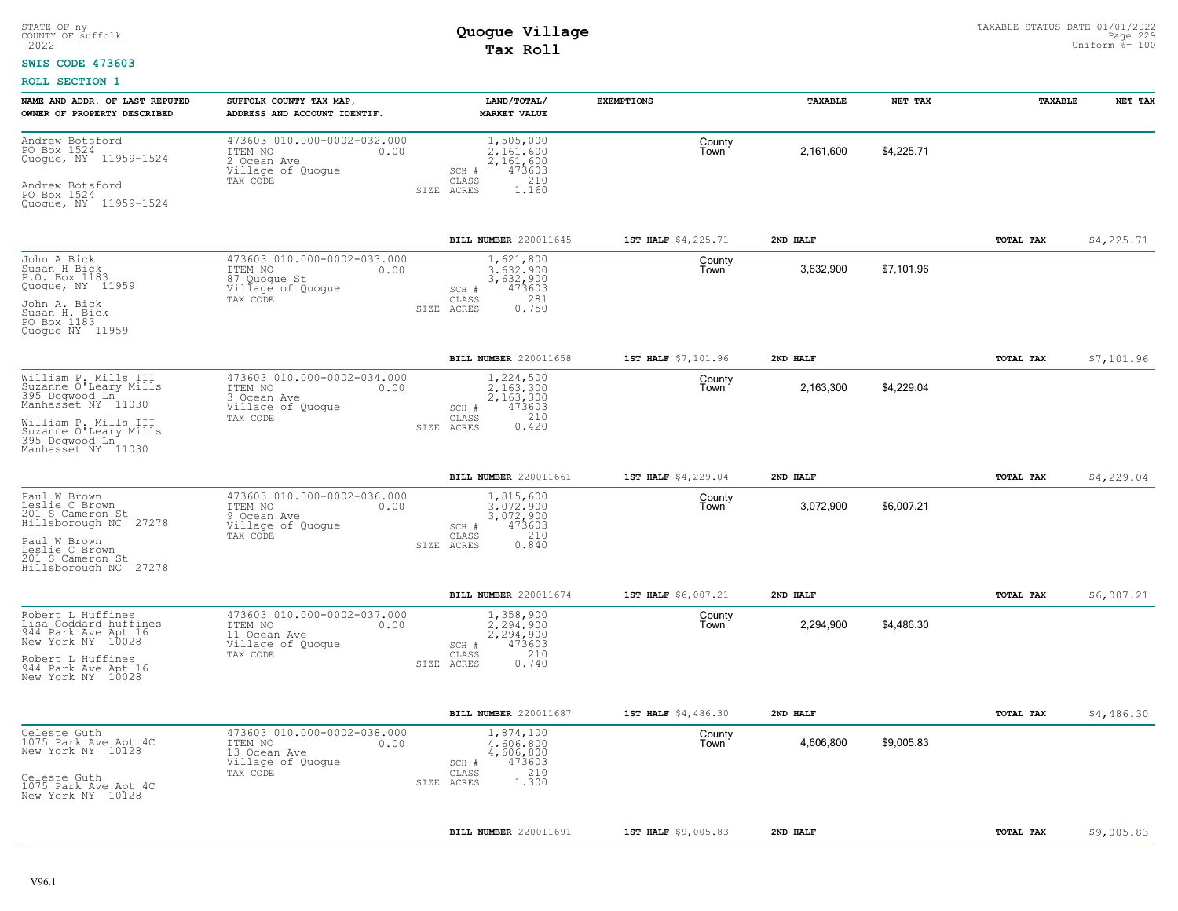#### **SWIS CODE 473603**

| NAME AND ADDR. OF LAST REPUTED<br>OWNER OF PROPERTY DESCRIBED                                                                                                                  | SUFFOLK COUNTY TAX MAP,<br>ADDRESS AND ACCOUNT IDENTIF.                                         | LAND/TOTAL/<br><b>MARKET VALUE</b>                                                            | <b>EXEMPTIONS</b>   | TAXABLE   | NET TAX    | TAXABLE   | NET TAX    |
|--------------------------------------------------------------------------------------------------------------------------------------------------------------------------------|-------------------------------------------------------------------------------------------------|-----------------------------------------------------------------------------------------------|---------------------|-----------|------------|-----------|------------|
| Andrew Botsford<br>PO Box 1524<br>Quogue, NY 11959-1524<br>Andrew Botsford<br>PO Box 1524<br>Quogue, NY 11959-1524                                                             | 473603 010.000-0002-032.000<br>ITEM NO<br>0.00<br>2 Ocean Ave<br>Village of Quogue<br>TAX CODE  | 1,505,000<br>2,161,600<br>2,161,600<br>473603<br>SCH #<br>CLASS<br>210<br>1.160<br>SIZE ACRES | County<br>Town      | 2,161,600 | \$4,225.71 |           |            |
|                                                                                                                                                                                |                                                                                                 | BILL NUMBER 220011645                                                                         | 1ST HALF \$4,225.71 | 2ND HALF  |            | TOTAL TAX | \$4,225.71 |
| John A Bick<br>Susan H Bick<br>P.O. Box 1183<br>Quogue, NY 11959<br>John A. Bick<br>Susan H. Bick<br>PO Box 1183<br>Quogue NY 11959                                            | 473603 010.000-0002-033.000<br>ITEM NO<br>0.00<br>87 Quogue St<br>Village of Quogue<br>TAX CODE | 1,621,800<br>3.632.900<br>3,632,900<br>473603<br>SCH #<br>281<br>CLASS<br>0.750<br>SIZE ACRES | County<br>Town      | 3,632,900 | \$7,101.96 |           |            |
|                                                                                                                                                                                |                                                                                                 | BILL NUMBER 220011658                                                                         | 1ST HALF \$7,101.96 | 2ND HALF  |            | TOTAL TAX | \$7,101.96 |
| William P. Mills III<br>Suzanne O'Leary Mills<br>395 Dogwood Ln<br>Manhasset NY 11030<br>William P. Mills III<br>Suzanne O'Leary Mills<br>395 Doqwood Ln<br>Manhasset NY 11030 | 473603 010.000-0002-034.000<br>ITEM NO<br>0.00<br>3 Ocean Ave<br>Village of Quogue<br>TAX CODE  | 1,224,500<br>2.163.300<br>2,163,300<br>SCH #<br>473603<br>210<br>CLASS<br>0.420<br>SIZE ACRES | County<br>Town      | 2,163,300 | \$4,229.04 |           |            |
|                                                                                                                                                                                |                                                                                                 | BILL NUMBER 220011661                                                                         | 1ST HALF \$4,229.04 | 2ND HALF  |            | TOTAL TAX | \$4,229.04 |
| Paul W Brown<br>Leslie C Brown<br>201 S Cameron St<br>Hillsborough NC 27278<br>Paul W Brown<br>Leslie C Brown<br>201 S Cameron St<br>Hillsborough NC 27278                     | 473603 010.000-0002-036.000<br>ITEM NO<br>0.00<br>9 Ocean Ave<br>Village of Quoque<br>TAX CODE  | 1,815,600<br>3.072.900<br>3,072,900<br>473603<br>SCH #<br>210<br>CLASS<br>0.840<br>SIZE ACRES | County<br>Town      | 3,072,900 | \$6,007.21 |           |            |
|                                                                                                                                                                                |                                                                                                 | BILL NUMBER 220011674                                                                         | 1ST HALF \$6,007.21 | 2ND HALF  |            | TOTAL TAX | \$6,007.21 |
| Robert L Huffines<br>Lisa Goddard huffines<br>944 Park Ave Apt 16<br>New York NY 10028<br>Robert L Huffines<br>944 Park Ave Apt 16<br>New York NY 10028                        | 473603 010.000-0002-037.000<br>0.00<br>ITEM NO<br>11 Ocean Ave<br>Village of Quogue<br>TAX CODE | 1,358,900<br>2,294,900<br>2,294,900<br>473603<br>SCH #<br>210<br>CLASS<br>0.740<br>SIZE ACRES | County<br>Town      | 2,294,900 | \$4,486.30 |           |            |
|                                                                                                                                                                                |                                                                                                 | BILL NUMBER 220011687                                                                         | 1ST HALF \$4,486.30 | 2ND HALF  |            | TOTAL TAX | \$4,486.30 |
| Celeste Guth<br>1075 Park Ave Apt 4C<br>New York NY 10128<br>Celeste Guth<br>1075 Park Ave Apt 4C<br>New York NY 10128                                                         | 473603 010.000-0002-038.000<br>ITEM NO<br>0.00<br>13 Ocean Ave<br>Village of Quogue<br>TAX CODE | 1,874,100<br>4,606,800<br>4,606,800<br>473603<br>SCH #<br>210<br>CLASS<br>1.300<br>SIZE ACRES | County<br>Town      | 4,606,800 | \$9,005.83 |           |            |
|                                                                                                                                                                                |                                                                                                 |                                                                                               |                     |           |            |           |            |
|                                                                                                                                                                                |                                                                                                 | <b>BILL NUMBER 220011691</b>                                                                  | 1ST HALF \$9,005.83 | 2ND HALF  |            | TOTAL TAX | \$9,005.83 |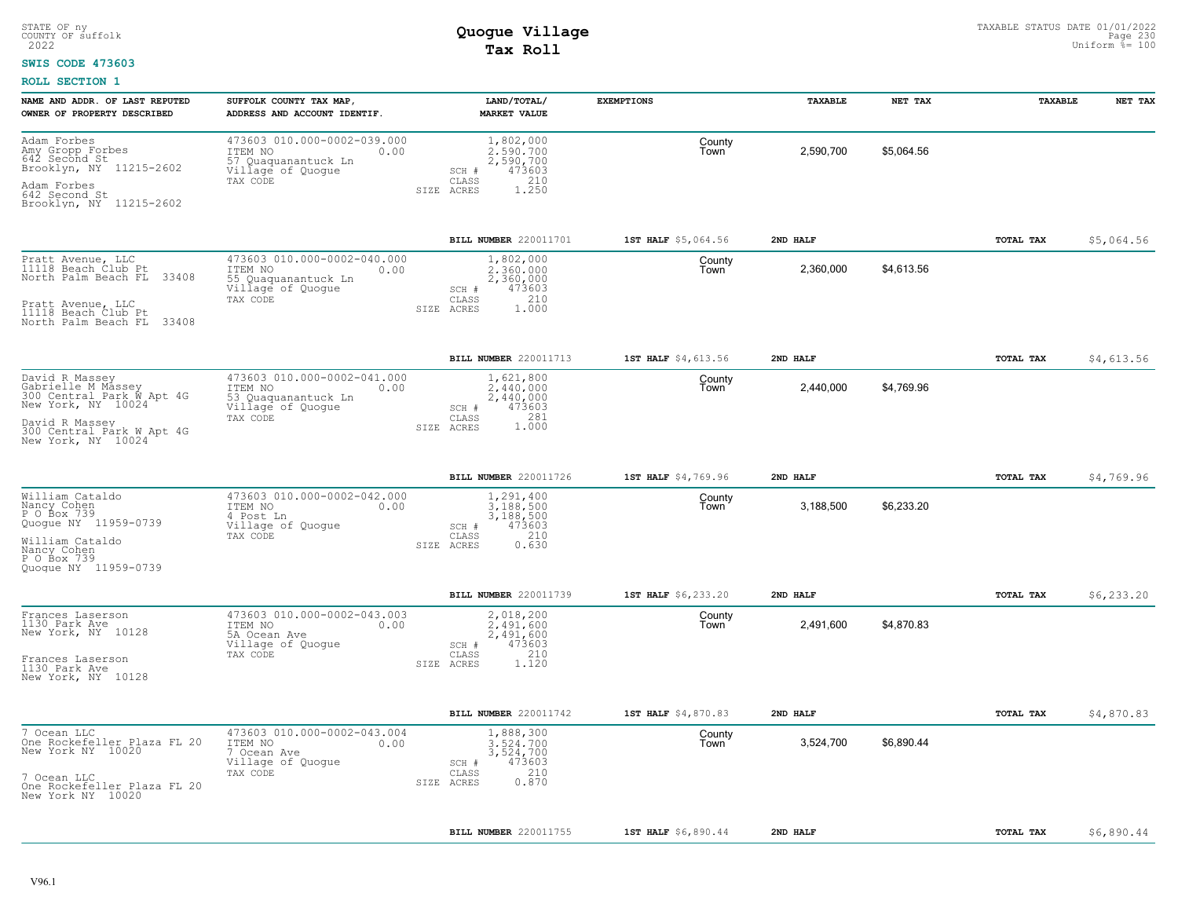#### **SWIS CODE 473603**

| NAME AND ADDR. OF LAST REPUTED<br>OWNER OF PROPERTY DESCRIBED                                                 | SUFFOLK COUNTY TAX MAP,<br>ADDRESS AND ACCOUNT IDENTIF.                                                   | LAND/TOTAL/<br><b>MARKET VALUE</b>                                                            | <b>EXEMPTIONS</b>   | TAXABLE   | NET TAX    | TAXABLE   | NET TAX     |
|---------------------------------------------------------------------------------------------------------------|-----------------------------------------------------------------------------------------------------------|-----------------------------------------------------------------------------------------------|---------------------|-----------|------------|-----------|-------------|
| Adam Forbes<br>Amy Gropp Forbes<br>$642$ Second St<br>Brooklyn, NY 11215-2602<br>Adam Forbes<br>642 Second St | 473603 010.000-0002-039.000<br>ITEM NO<br>0.00<br>57<br>Quaquanantuck Ln<br>Village of Quogue<br>TAX CODE | 1,802,000<br>2,590,700<br>2,590,700<br>473603<br>SCH #<br>210<br>CLASS<br>1.250<br>SIZE ACRES | County<br>Town      | 2,590,700 | \$5,064.56 |           |             |
| Brooklyn, NY 11215-2602                                                                                       |                                                                                                           |                                                                                               |                     |           |            |           |             |
|                                                                                                               |                                                                                                           | BILL NUMBER 220011701                                                                         | 1ST HALF \$5,064.56 | 2ND HALF  |            | TOTAL TAX | \$5,064.56  |
| Pratt Avenue, LLC<br>11118 Beach Club Pt<br>North Palm Beach FL<br>33408                                      | 473603 010.000-0002-040.000<br>ITEM NO<br>0.00<br>55 Quaquanantuck Ln<br>Village of Quogue<br>TAX CODE    | 1,802,000<br>2,360,000<br>2,360,000<br>473603<br>SCH #<br>210<br>CLASS                        | County<br>Town      | 2,360,000 | \$4,613.56 |           |             |
| Pratt Avenue, LLC<br>11118 Beach Club Pt<br>33408<br>North Palm Beach FL                                      |                                                                                                           | 1,000<br>SIZE ACRES                                                                           |                     |           |            |           |             |
|                                                                                                               |                                                                                                           | BILL NUMBER 220011713                                                                         | 1ST HALF \$4,613.56 | 2ND HALF  |            | TOTAL TAX | \$4,613.56  |
| David R Massey<br>Gabrielle M Massey<br>300 Central Park W Apt 4G<br>New York, NY 10024                       | 473603 010.000-0002-041.000<br>ITEM NO<br>0.00<br>53 Quaquanantuck Ln<br>Village of Quogue                | 1,621,800<br>2.440.000<br>2,440,000<br>473603<br>SCH #                                        | County<br>Town      | 2,440,000 | \$4,769.96 |           |             |
| David R Massey<br>300 Central Park W Apt 4G<br>New York, NY 10024                                             | TAX CODE                                                                                                  | 281<br>CLASS<br>1.000<br>SIZE ACRES                                                           |                     |           |            |           |             |
|                                                                                                               |                                                                                                           | BILL NUMBER 220011726                                                                         | 1ST HALF \$4,769.96 | 2ND HALF  |            | TOTAL TAX | \$4,769.96  |
| William Cataldo<br>Nancy Cohen<br>P O Box 739<br>Quogue NY 11959-0739                                         | 473603 010.000-0002-042.000<br>ITEM NO<br>0.00<br>4 Post Ln<br>Village of Quogue                          | 1,291,400<br>3.188.500<br>3,188,500<br>473603<br>SCH #                                        | County<br>Town      | 3,188,500 | \$6,233.20 |           |             |
| William Cataldo<br>Nancy Cohen<br>P O Box 739<br>Quoque NY 11959-0739                                         | TAX CODE                                                                                                  | 210<br>CLASS<br>0.630<br>SIZE ACRES                                                           |                     |           |            |           |             |
|                                                                                                               |                                                                                                           | BILL NUMBER 220011739                                                                         | 1ST HALF \$6,233.20 | 2ND HALF  |            | TOTAL TAX | \$6, 233.20 |
| Frances Laserson<br>1130 Park Ave<br>New York, NY 10128                                                       | 473603 010.000-0002-043.003<br>ITEM NO<br>0.00<br>5A Ocean Ave<br>Village of Quogue<br>TAX CODE           | 2,018,200<br>2.491.600<br>2,491,600<br>473603<br>SCH #<br>CLASS<br>210                        | County<br>Town      | 2,491,600 | \$4,870.83 |           |             |
| Frances Laserson<br>1130 Park Ave<br>New York, NY 10128                                                       |                                                                                                           | SIZE ACRES<br>1,120                                                                           |                     |           |            |           |             |
|                                                                                                               |                                                                                                           | BILL NUMBER 220011742                                                                         | 1ST HALF \$4,870.83 | 2ND HALF  |            | TOTAL TAX | \$4,870.83  |
| 7 Ocean LLC<br>One Rockefeller Plaza FL 20<br>New York NY 10020                                               | 473603 010.000-0002-043.004<br>ITEM NO<br>0.00<br>7 Ocean Ave<br>Village of Quogue                        | 1,888,300<br>3,524,700<br>3,524,700<br>473603<br>SCH #                                        | County<br>Town      | 3,524,700 | \$6,890.44 |           |             |
| 7 Ocean LLC<br>One Rockefeller Plaza FL 20<br>New York NY 10020                                               | TAX CODE                                                                                                  | 210<br>CLASS<br>0.870<br>SIZE ACRES                                                           |                     |           |            |           |             |
|                                                                                                               |                                                                                                           | BILL NUMBER 220011755                                                                         | 1ST HALF \$6,890.44 | 2ND HALF  |            | TOTAL TAX | \$6,890.44  |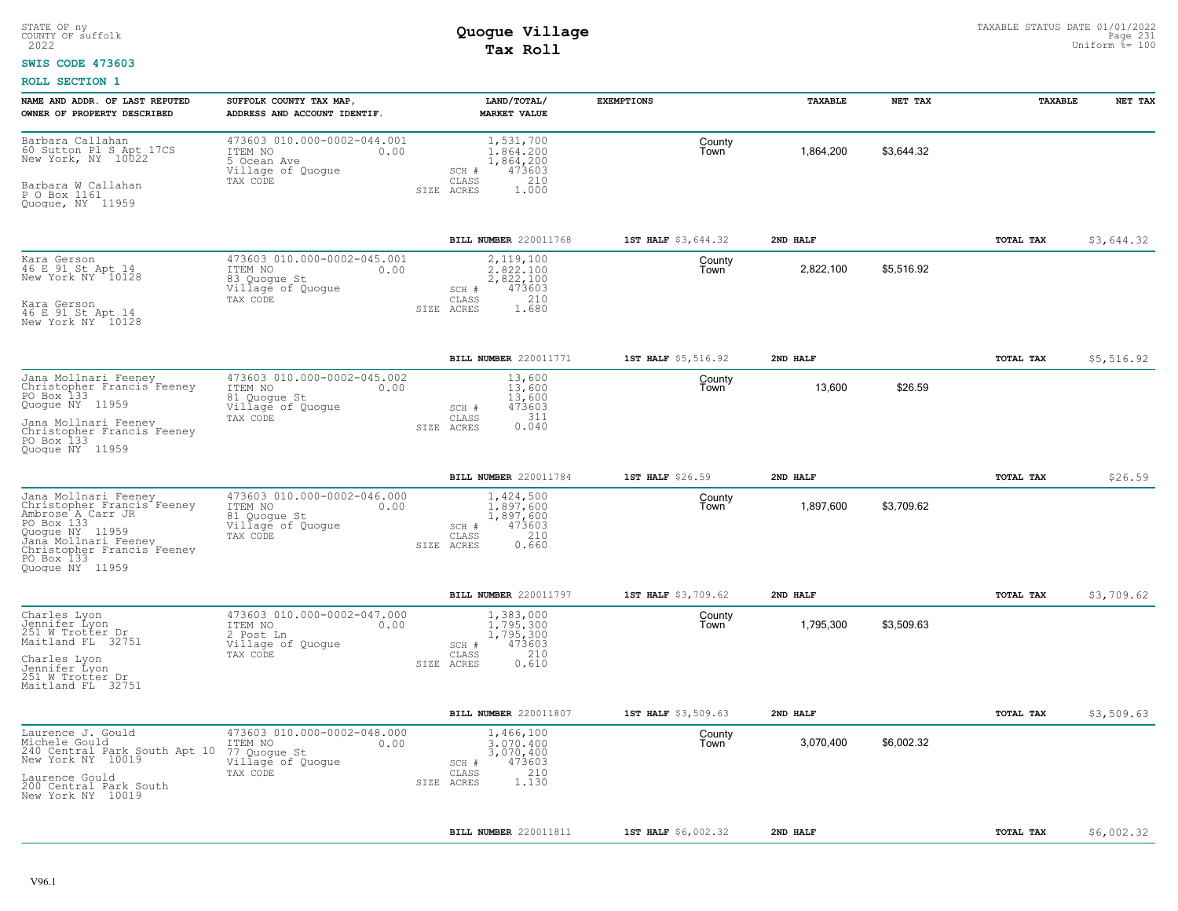### **SWIS CODE 473603**

| NAME AND ADDR. OF LAST REPUTED<br>OWNER OF PROPERTY DESCRIBED                                                                                                                                   | SUFFOLK COUNTY TAX MAP,<br>ADDRESS AND ACCOUNT IDENTIF.                                         | LAND/TOTAL/<br><b>MARKET VALUE</b>                                                                       | <b>EXEMPTIONS</b>   | TAXABLE   | NET TAX    | TAXABLE   | NET TAX    |
|-------------------------------------------------------------------------------------------------------------------------------------------------------------------------------------------------|-------------------------------------------------------------------------------------------------|----------------------------------------------------------------------------------------------------------|---------------------|-----------|------------|-----------|------------|
| Barbara Callahan<br>60 Sutton Pl S Apt 17CS<br>New York, NY 10022<br>Barbara W Callahan<br>P O Box 1161<br>Quogue, NY 11959                                                                     | 473603 010.000-0002-044.001<br>ITEM NO<br>0.00<br>5 Ocean Ave<br>Village of Quogue<br>TAX CODE  | 1,531,700<br>1.864.200<br>1,864,200<br>473603<br>SCH #<br>CLASS<br>210<br>SIZE ACRES<br>1,000            | County<br>Town      | 1,864,200 | \$3.644.32 |           |            |
|                                                                                                                                                                                                 |                                                                                                 | BILL NUMBER 220011768                                                                                    | 1ST HALF \$3,644.32 | 2ND HALF  |            | TOTAL TAX | \$3,644.32 |
| Kara Gerson<br>46 E 91 St Apt 14<br>New York NY 10128<br>Kara Gerson<br>46 E 91 St Apt 14<br>New York NY 10128                                                                                  | 473603 010.000-0002-045.001<br>ITEM NO<br>0.00<br>83 Quogue St<br>Village of Quogue<br>TAX CODE | 2,119,100<br>2.822.100<br>2,822,100<br>473603<br>SCH #<br>210<br>$\mathtt{CLASS}$<br>1.680<br>SIZE ACRES | County<br>Town      | 2,822,100 | \$5,516.92 |           |            |
|                                                                                                                                                                                                 |                                                                                                 | BILL NUMBER 220011771                                                                                    | 1ST HALF \$5,516.92 | 2ND HALF  |            | TOTAL TAX | \$5,516.92 |
| Jana Mollnari Feeney<br>Christopher Francis <sup>t</sup> Feeney<br>PO Box 133<br>Quoque NY 11959<br>Jana Mollnari Feeney<br>Christopher Francis Feeney<br>PO Box 133<br>Quoque NY 11959         | 473603 010.000-0002-045.002<br>ITEM NO<br>0.00<br>81 Quoque St<br>Village of Quogue<br>TAX CODE | 13,600<br>13,600<br>13,600<br>473603<br>SCH #<br>311<br>CLASS<br>0.040<br>SIZE ACRES                     | County<br>Town      | 13,600    | \$26.59    |           |            |
|                                                                                                                                                                                                 |                                                                                                 | BILL NUMBER 220011784                                                                                    | 1ST HALF \$26.59    | 2ND HALF  |            | TOTAL TAX | \$26.59    |
| Jana Mollnari Feeney<br>Christopher Francis Feeney<br>Ambrose A Carr JR<br>PO Box 133<br>Quogue NY 11959<br>Janā Mollnari Feeney<br>Christopher Francis Feeney<br>PO Box 133<br>Quoque NY 11959 | 473603 010.000-0002-046.000<br>ITEM NO<br>0.00<br>81 Quoque St<br>Village of Quoque<br>TAX CODE | 1,424,500<br>1,897,600<br>1,897,600<br>473603<br>SCH #<br>210<br>CLASS<br>0.660<br>SIZE ACRES            | County<br>Town      | 1,897,600 | \$3,709.62 |           |            |
|                                                                                                                                                                                                 |                                                                                                 | BILL NUMBER 220011797                                                                                    | 1ST HALF \$3,709.62 | 2ND HALF  |            | TOTAL TAX | \$3,709.62 |
| Charles Lyon<br>Jennifer Lyon<br>251 W Trotter Dr<br>Maitland FL 32751<br>Charles Lyon<br>Jennifer Lyon<br>251 W Trotter Dr<br>Maitland FL 32751                                                | 473603 010.000-0002-047.000<br>ITEM NO<br>0.00<br>2 Post Ln<br>Village of Quoque<br>TAX CODE    | 1,383,000<br>1,795,300<br>1,795,300<br>473603<br>SCH #<br>210<br>CLASS<br>0.610<br>SIZE ACRES            | County<br>Town      | 1,795,300 | \$3,509.63 |           |            |
|                                                                                                                                                                                                 |                                                                                                 | BILL NUMBER 220011807                                                                                    | 1ST HALF \$3,509.63 | 2ND HALF  |            | TOTAL TAX | \$3,509.63 |
| Laurence J. Gould<br>Michele Gould<br>240 Central Park South Apt 10<br>New York NY 10019<br>Laurence Gould<br>200 Central Park South<br>New York NY 10019                                       | 473603 010.000-0002-048.000<br>ITEM NO<br>0.00<br>77 Quogue St<br>Village of Quogue<br>TAX CODE | 1,466,100<br>3.070.400<br>3,070,400<br>473603<br>SCH #<br>210<br>CLASS<br>SIZE ACRES<br>1.130            | County<br>l own     | 3,070,400 | \$6,002.32 |           |            |
|                                                                                                                                                                                                 |                                                                                                 | BILL NUMBER 220011811                                                                                    | 1ST HALF \$6,002.32 | 2ND HALF  |            | TOTAL TAX | \$6,002.32 |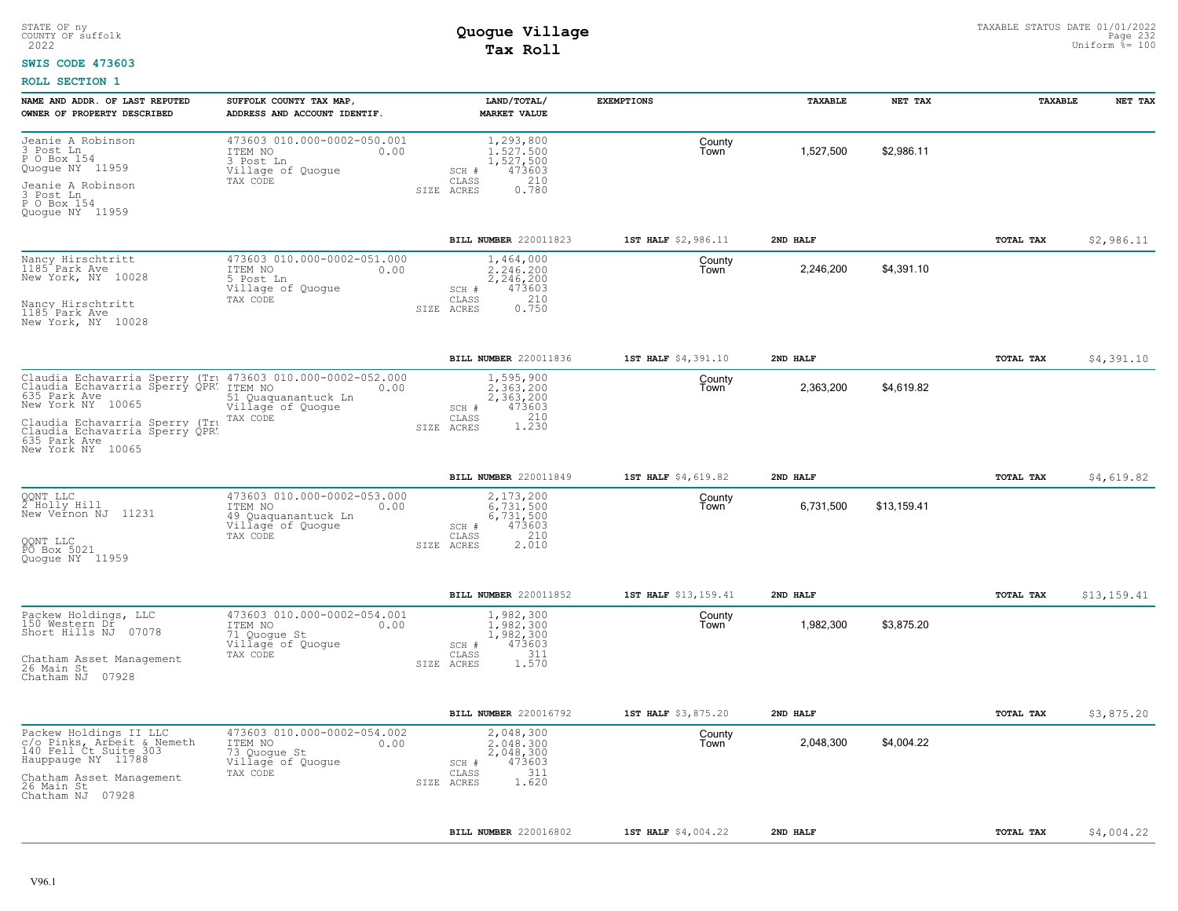#### **SWIS CODE 473603**

| NAME AND ADDR. OF LAST REPUTED<br>OWNER OF PROPERTY DESCRIBED                                                                                                        | SUFFOLK COUNTY TAX MAP,<br>ADDRESS AND ACCOUNT IDENTIF.                                      | LAND/TOTAL/<br><b>MARKET VALUE</b>                                                            | <b>EXEMPTIONS</b>    | TAXABLE   | NET TAX     | <b>TAXABLE</b> | NET TAX     |
|----------------------------------------------------------------------------------------------------------------------------------------------------------------------|----------------------------------------------------------------------------------------------|-----------------------------------------------------------------------------------------------|----------------------|-----------|-------------|----------------|-------------|
| Jeanie A Robinson<br>3 Post Ln<br>P O Box 154<br>Quogue NY 11959<br>Jeanie A Robinson                                                                                | 473603 010.000-0002-050.001<br>ITEM NO<br>0.00<br>3 Post Ln<br>Village of Quogue<br>TAX CODE | 1,293,800<br>1.527.500<br>1,527,500<br>473603<br>SCH #<br>210<br>CLASS<br>0.780<br>SIZE ACRES | County<br>Town       | 1,527,500 | \$2,986.11  |                |             |
| 3 Post Ln<br>P O Box 154<br>Quogue NY 11959                                                                                                                          |                                                                                              |                                                                                               |                      |           |             |                |             |
|                                                                                                                                                                      |                                                                                              | BILL NUMBER 220011823                                                                         | 1ST HALF \$2,986.11  | 2ND HALF  |             | TOTAL TAX      | \$2,986.11  |
| Nancy Hirschtritt<br>1185 Park Ave<br>New York, NY 10028                                                                                                             | 473603 010.000-0002-051.000<br>ITEM NO<br>0.00<br>5 Post Ln<br>Village of Quogue<br>TAX CODE | 1,464,000<br>2.246.200<br>2,246,200<br>473603<br>SCH #<br>210<br>CLASS                        | County<br>Town       | 2,246,200 | \$4,391.10  |                |             |
| Nancy Hirschtritt<br>1185 Park Ave<br>New York, NY 10028                                                                                                             |                                                                                              | 0.750<br>SIZE ACRES                                                                           |                      |           |             |                |             |
|                                                                                                                                                                      |                                                                                              | BILL NUMBER 220011836                                                                         | 1ST HALF \$4,391.10  | 2ND HALF  |             | TOTAL TAX      | \$4,391.10  |
| Claudia Echavarria Sperry (Tru 473603 010.000-0002-052.000<br>Claudia Echavarria Sperry QPR: ITEM NO<br>635 Park Ave ecoses 51 Quaquanantuck Ln<br>New York NY 10065 | 51 Quaquanantuck Ln<br>Village of Quogue                                                     | 1,595,900<br>2.363.200<br>2,363,200<br>473603<br>SCH #                                        | County<br>Town       | 2,363,200 | \$4,619.82  |                |             |
| Claudia Echavarria Sperry (Tru<br>Claudia Echavarria Sperry QPR.<br>635 Park Ave<br>New York NY 10065                                                                | TAX CODE                                                                                     | 1.230<br>CLASS<br>SIZE ACRES                                                                  |                      |           |             |                |             |
|                                                                                                                                                                      |                                                                                              | BILL NUMBER 220011849                                                                         | 1ST HALF \$4,619.82  | 2ND HALF  |             | TOTAL TAX      | \$4,619.82  |
| QQNT LLC<br>2 Holly Hill<br>New Vernon NJ 11231                                                                                                                      | 473603 010.000-0002-053.000<br>ITEM NO<br>0.00<br>49 Quaquanantuck Ln<br>Village of Quogue   | 2,173,200<br>6,731,500<br>6,731,500<br>473603<br>SCH #                                        | County<br>Town       | 6,731,500 | \$13,159.41 |                |             |
| QQNT LLC<br>PO Box 5021<br>Quoque NY 11959                                                                                                                           | TAX CODE                                                                                     | 210<br>CLASS<br>2.010<br>SIZE ACRES                                                           |                      |           |             |                |             |
|                                                                                                                                                                      |                                                                                              | BILL NUMBER 220011852                                                                         | 1ST HALF \$13,159.41 | 2ND HALF  |             | TOTAL TAX      | \$13,159.41 |
| Packew Holdings, LLC<br>150 Western Dr<br>Short Hills NJ 07078                                                                                                       | 473603 010.000-0002-054.001<br>ITEM NO<br>0.00<br>71 Quogue St<br>Villagé of Quogue          | 1,982,300<br>1,982,300<br>1,982,300<br>473603<br>SCH #                                        | County<br>Town       | 1,982,300 | \$3,875.20  |                |             |
| Chatham Asset Management<br>26 Main St<br>Chatham NJ 07928                                                                                                           | TAX CODE                                                                                     | 311<br>CLASS<br>1.570<br>SIZE ACRES                                                           |                      |           |             |                |             |
|                                                                                                                                                                      |                                                                                              | BILL NUMBER 220016792                                                                         | 1ST HALF \$3,875.20  | 2ND HALF  |             | TOTAL TAX      | \$3,875.20  |
| Packew Holdings II LLC<br>c/o Pinks, Arbeit & Nemeth<br>140 Fell Ct Suite 303<br>Hauppauge NY 11788                                                                  | 473603 010.000-0002-054.002<br>ITEM NO<br>0.00<br>73 Quoque St<br>Village of Quogue          | 2,048,300<br>2.048.300<br>2,048,300<br>473603<br>SCH #                                        | County<br>Town       | 2,048,300 | \$4,004.22  |                |             |
| Chatham Asset Management<br>26 Main St<br>Chatham NJ 07928                                                                                                           | TAX CODE                                                                                     | 311<br>$\mathtt{CLASS}$<br>1.620<br>SIZE ACRES                                                |                      |           |             |                |             |
|                                                                                                                                                                      |                                                                                              | BILL NUMBER 220016802                                                                         | 1ST HALF \$4,004.22  | 2ND HALF  |             | TOTAL TAX      | \$4,004.22  |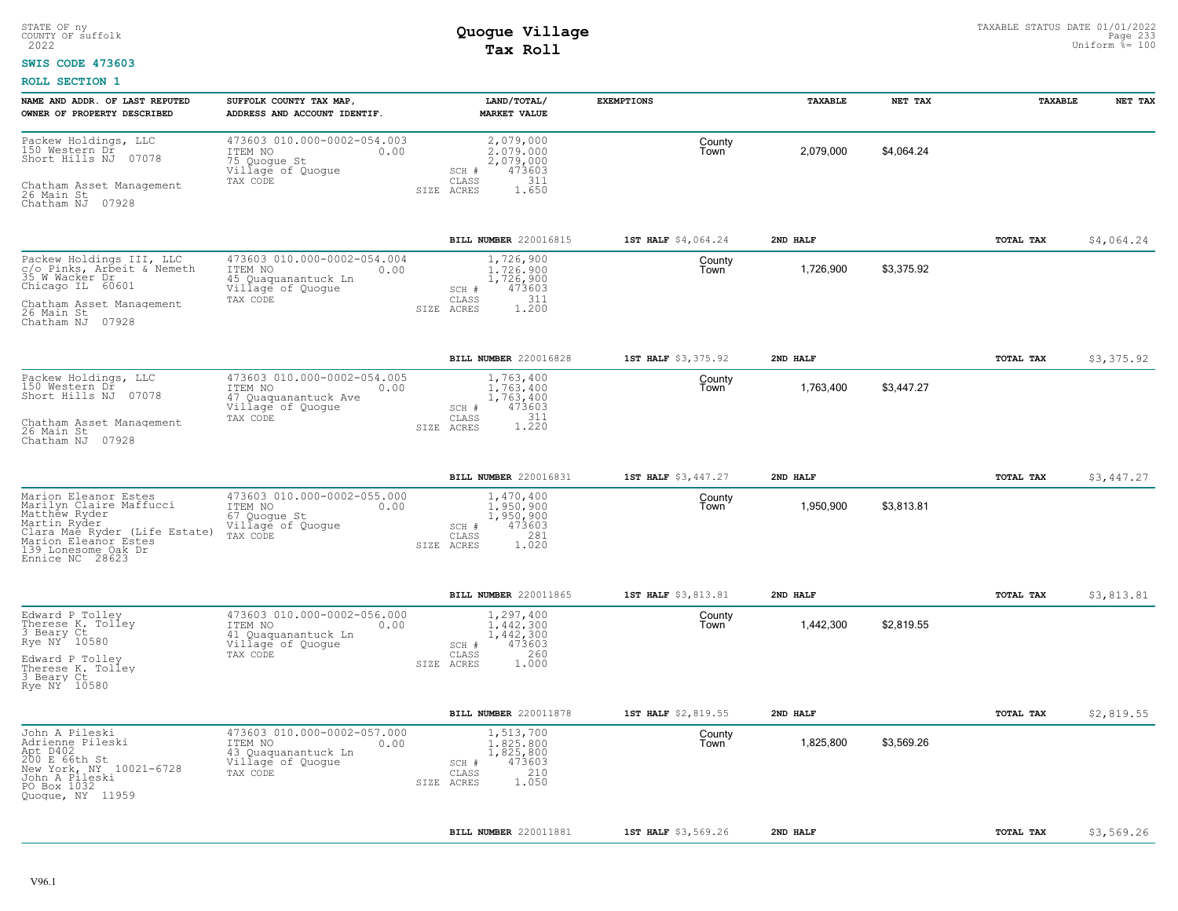#### **SWIS CODE 473603**

| NAME AND ADDR. OF LAST REPUTED                                                                                                                                                      | SUFFOLK COUNTY TAX MAP                                                                                 | LAND/TOTAL/                                                                                   | <b>EXEMPTIONS</b>   | TAXABLE   | NET TAX    | TAXABLE   | NET TAX    |
|-------------------------------------------------------------------------------------------------------------------------------------------------------------------------------------|--------------------------------------------------------------------------------------------------------|-----------------------------------------------------------------------------------------------|---------------------|-----------|------------|-----------|------------|
| OWNER OF PROPERTY DESCRIBED                                                                                                                                                         | ADDRESS AND ACCOUNT IDENTIF.                                                                           | <b>MARKET VALUE</b>                                                                           |                     |           |            |           |            |
| Packew Holdings, LLC<br>150 Western Dr<br>Short Hills NJ 07078                                                                                                                      | 473603 010.000-0002-054.003<br>ITEM NO<br>0.00<br>75 Quoque St<br>Villagé of Quogue                    | 2,079,000<br>2,079,000<br>2,079,000<br>473603<br>SCH #                                        | County<br>Town      | 2,079,000 | \$4,064.24 |           |            |
| Chatham Asset Management<br>26 Main St<br>Chatham NJ 07928                                                                                                                          | TAX CODE                                                                                               | 311<br>CLASS<br>SIZE ACRES<br>1.650                                                           |                     |           |            |           |            |
|                                                                                                                                                                                     |                                                                                                        | BILL NUMBER 220016815                                                                         | 1ST HALF \$4,064.24 | 2ND HALF  |            | TOTAL TAX | \$4,064.24 |
| Packew Holdings III, LLC<br>c/o Pinks, Arbeit & Nemeth<br>35 W Wacker Dr<br>Chicago IL 60601                                                                                        | 473603 010.000-0002-054.004<br>ITEM NO<br>0.00<br>45 Quaquanantuck Ln<br>Village of Quogue             | 1,726,900<br>1,726,900<br>1,726,900<br>473603<br>SCH #                                        | County<br>Town      | 1,726,900 | \$3,375.92 |           |            |
| Chatham Asset Management<br>26 Main St<br>Chatham NJ 07928                                                                                                                          | TAX CODE                                                                                               | 311<br>CLASS<br>1.200<br>SIZE<br>ACRES                                                        |                     |           |            |           |            |
|                                                                                                                                                                                     |                                                                                                        | BILL NUMBER 220016828                                                                         | 1ST HALF \$3,375.92 | 2ND HALF  |            | TOTAL TAX | \$3,375.92 |
| Packew Holdings, LLC<br>150 Western Dr<br>Short Hills NJ 07078                                                                                                                      | 473603 010.000-0002-054.005<br>ITEM NO<br>0.00<br>47 Quaquanantuck Ave<br>Village of Quogue            | 1,763,400<br>1,763,400<br>1,763,400<br>473603<br>SCH #                                        | County<br>Town      | 1,763,400 | \$3,447.27 |           |            |
| Chatham Asset Management<br>26 Main St<br>Chatham NJ 07928                                                                                                                          | TAX CODE                                                                                               | 311<br>CLASS<br>1.220<br>SIZE ACRES                                                           |                     |           |            |           |            |
|                                                                                                                                                                                     |                                                                                                        | BILL NUMBER 220016831                                                                         | 1ST HALF \$3,447.27 | 2ND HALF  |            | TOTAL TAX | \$3,447.27 |
| Marion Eleanor Estes<br>Marilyn Claire Maffucci<br>Matthew Ryder<br>Martin Ryder<br>Clara Mae Ryder_(Life Estate)<br>Marion Eleanor Estes<br>139 Lonesome Oak Dr<br>Ennice NC 28623 | 473603 010.000-0002-055.000<br>ITEM NO<br>0.00<br>67 Quogue St<br>Village of Quogue<br>TAX CODE        | 1,470,400<br>1,950,900<br>1,950,900<br>473603<br>SCH #<br>281<br>CLASS<br>1.020<br>SIZE ACRES | County<br>Town      | 1,950,900 | \$3,813.81 |           |            |
|                                                                                                                                                                                     |                                                                                                        | BILL NUMBER 220011865                                                                         | 1ST HALF \$3,813.81 | 2ND HALF  |            | TOTAL TAX | \$3,813.81 |
| Edward P Tolley<br>Therese K. Tolley<br>3 Beary Ct<br>Rye NY 10580<br>Edward P Tolley                                                                                               | 473603 010.000-0002-056.000<br>ITEM NO<br>0.00<br>41 Quaquanantuck Ln<br>Village of Quogue<br>TAX CODE | 1,297,400<br>1,442,300<br>1,442,300<br>473603<br>SCH #<br>260<br>CLASS<br>1.000<br>SIZE ACRES | County<br>Town      | 1,442,300 | \$2,819.55 |           |            |
| Therese K. Tolley<br>3 Beary Ct<br>Rye NY 10580                                                                                                                                     |                                                                                                        |                                                                                               |                     |           |            |           |            |
|                                                                                                                                                                                     |                                                                                                        | <b>BILL NUMBER 220011878</b>                                                                  | 1ST HALF \$2,819.55 | 2ND HALF  |            | TOTAL TAX | \$2,819.55 |
| John A Pileski<br>Adrienne Pileski<br>Apt D402<br>200 E 66th St<br>New York, NY 10021-6728<br>John A Pileski<br>PO Box 1032<br>Quoque, NY 11959                                     | 473603 010.000-0002-057.000<br>ITEM NO<br>0.00<br>43 Quaquanantuck Ln<br>Village of Quogue<br>TAX CODE | 1,513,700<br>1,825,800<br>1,825,800<br>473603<br>SCH #<br>210<br>CLASS<br>1.050<br>SIZE ACRES | County<br>Town      | 1,825,800 | \$3,569.26 |           |            |
|                                                                                                                                                                                     |                                                                                                        | BILL NUMBER 220011881                                                                         | 1ST HALF \$3,569.26 | 2ND HALF  |            | TOTAL TAX | \$3,569.26 |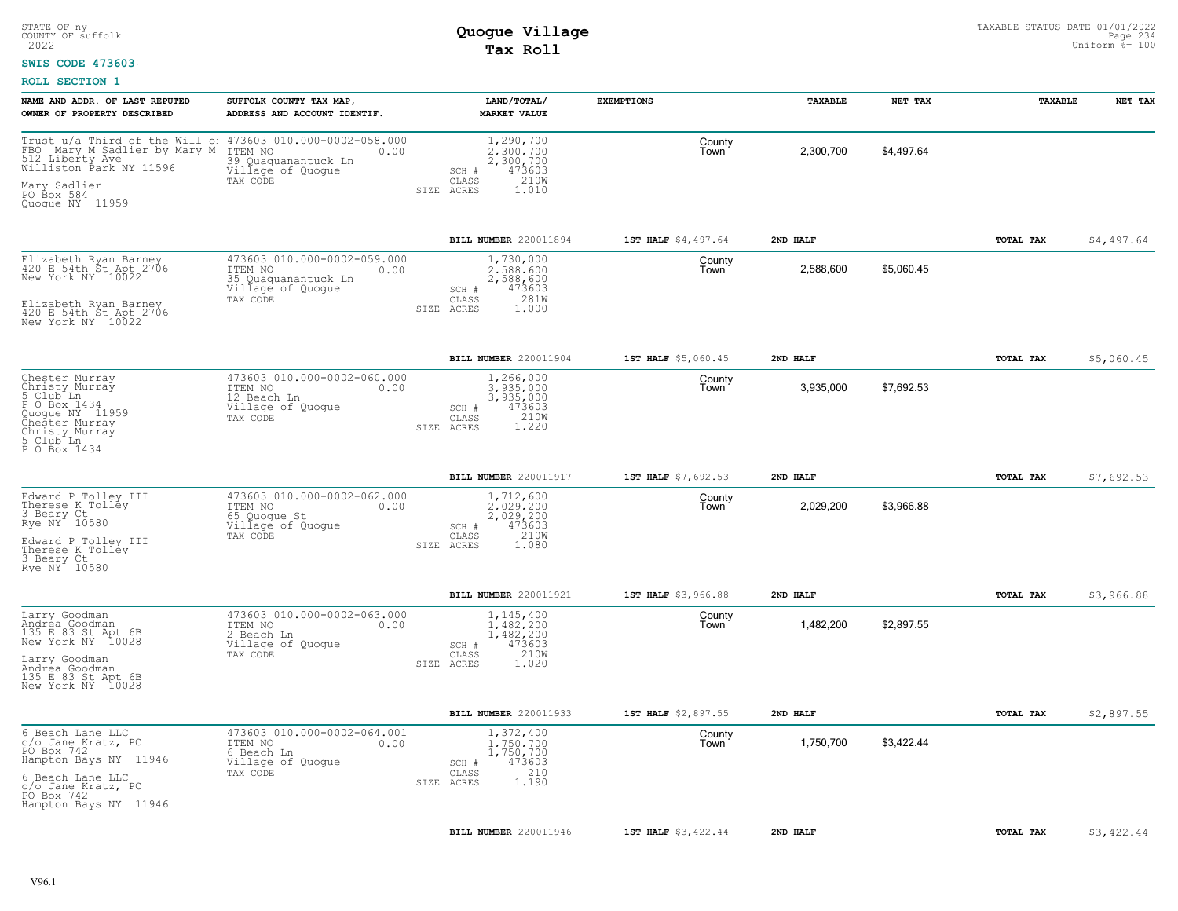### **SWIS CODE 473603**

| NAME AND ADDR. OF LAST REPUTED<br>OWNER OF PROPERTY DESCRIBED                                                                            | SUFFOLK COUNTY TAX MAP,<br>ADDRESS AND ACCOUNT IDENTIF.                                                | LAND/TOTAL/<br><b>MARKET VALUE</b>                                                             | <b>EXEMPTIONS</b>   | TAXABLE   | NET TAX    | <b>TAXABLE</b> | NET TAX    |
|------------------------------------------------------------------------------------------------------------------------------------------|--------------------------------------------------------------------------------------------------------|------------------------------------------------------------------------------------------------|---------------------|-----------|------------|----------------|------------|
| Trust u/a Third of the Will o: 473603 010.000-0002-058.000<br>FBO Mary M Sadlier by Mary M<br>512 Liberty Ave<br>Williston Park NY 11596 | ITEM NO<br>0.00<br>39 Quaquanantuck Ln<br>Village of Quogue                                            | 1,290,700<br>2,300,700<br>2,300,700<br>473603<br>SCH #                                         | County<br>Town      | 2,300,700 | \$4,497.64 |                |            |
| Mary Sadlier<br>PO Box 584<br>Quogue NY 11959                                                                                            | TAX CODE                                                                                               | 210W<br>CLASS<br>1.010<br>SIZE ACRES                                                           |                     |           |            |                |            |
|                                                                                                                                          |                                                                                                        | BILL NUMBER 220011894                                                                          | 1ST HALF \$4,497.64 | 2ND HALF  |            | TOTAL TAX      | \$4,497.64 |
| Elizabeth Ryan Barney<br>420 E 54th St Apt 2706<br>New York NY 10022                                                                     | 473603 010.000-0002-059.000<br>ITEM NO<br>0.00<br>35 Quaquanantuck Ln<br>Village of Quogue<br>TAX CODE | 1,730,000<br>2.588.600<br>2,588,600<br>473603<br>SCH #<br>281W<br>CLASS                        | County<br>Town      | 2,588,600 | \$5,060.45 |                |            |
| Elizabeth Ryan Barney<br>420 E 54th St Apt 2706<br>New York NY 10022                                                                     |                                                                                                        | SIZE ACRES<br>1.000                                                                            |                     |           |            |                |            |
|                                                                                                                                          |                                                                                                        | BILL NUMBER 220011904                                                                          | 1ST HALF \$5,060.45 | 2ND HALF  |            | TOTAL TAX      | \$5,060.45 |
| Chester Murray<br>Christy Murray<br>5 Club Ln<br>P O Box 1434<br>Quogue NY 11959<br>Chester Murray<br>Christy Murray                     | 473603 010.000-0002-060.000<br>ITEM NO<br>0.00<br>12 Beach Ln<br>Village of Quogue<br>TAX CODE         | 1,266,000<br>3.935.000<br>3,935,000<br>SCH #<br>473603<br>210W<br>CLASS<br>1.220<br>SIZE ACRES | County<br>Town      | 3,935,000 | \$7,692.53 |                |            |
| 5 Club Ln<br>P O Box 1434                                                                                                                |                                                                                                        |                                                                                                |                     |           |            |                |            |
|                                                                                                                                          |                                                                                                        | BILL NUMBER 220011917                                                                          | 1ST HALF \$7,692.53 | 2ND HALF  |            | TOTAL TAX      | \$7,692.53 |
| Edward P Tolley III<br>Therese K Tolley<br>3 Beary Ct<br>Rye NY 10580                                                                    | 473603 010.000-0002-062.000<br>ITEM NO<br>0.00<br>65 Quoque St<br>Village of Quogue<br>TAX CODE        | 1,712,600<br>2.029.200<br>2,029,200<br>SCH #<br>473603<br>CLASS<br>210W                        | County<br>Town      | 2,029,200 | \$3,966.88 |                |            |
| Edward P Tolley III<br>Therese K Tolley<br>3 Beary Ct<br>Rye NY 10580                                                                    |                                                                                                        | SIZE ACRES<br>1.080                                                                            |                     |           |            |                |            |
|                                                                                                                                          |                                                                                                        | BILL NUMBER 220011921                                                                          | 1ST HALF \$3,966.88 | 2ND HALF  |            | TOTAL TAX      | \$3,966.88 |
| Larry Goodman<br>Andrea Goodman<br>135 E 83 St Apt 6B<br>New York NY 10028                                                               | 473603 010.000-0002-063.000<br>ITEM NO<br>0.00<br>2 Beach Ln<br>Village of Quogue                      | 1,145,400<br>1,482,200<br>1,482,200<br>473603<br>$SCH$ #                                       | County<br>Town      | 1,482,200 | \$2,897.55 |                |            |
| Larry Goodman<br>Andrea Goodman<br>135 E 83 St Apt 6B<br>New York NY 10028                                                               | TAX CODE                                                                                               | 210W<br>CLASS<br>SIZE ACRES<br>1.020                                                           |                     |           |            |                |            |
|                                                                                                                                          |                                                                                                        | BILL NUMBER 220011933                                                                          | 1ST HALF \$2,897.55 | 2ND HALF  |            | TOTAL TAX      | \$2,897.55 |
| 6 Beach Lane LLC<br>c/o Jane Kratz, PC<br>PO Box 742<br>Hampton Bays NY 11946                                                            | 473603 010.000-0002-064.001<br>ITEM NO<br>0.00<br>6 Beach Ln<br>Village of Quogue                      | 1,372,400<br>1,750,700<br>1,750,700<br>473603<br>SCH #                                         | County<br>Town      | 1,750,700 | \$3,422.44 |                |            |
| 6 Beach Lane LLC<br>c/o Jane Kratz, PC<br>PO Box 742<br>Hampton Bays NY 11946                                                            | TAX CODE                                                                                               | 210<br>CLASS<br>1.190<br>SIZE ACRES                                                            |                     |           |            |                |            |
|                                                                                                                                          |                                                                                                        | BILL NUMBER 220011946                                                                          | 1ST HALF \$3,422.44 | 2ND HALF  |            | TOTAL TAX      | \$3,422.44 |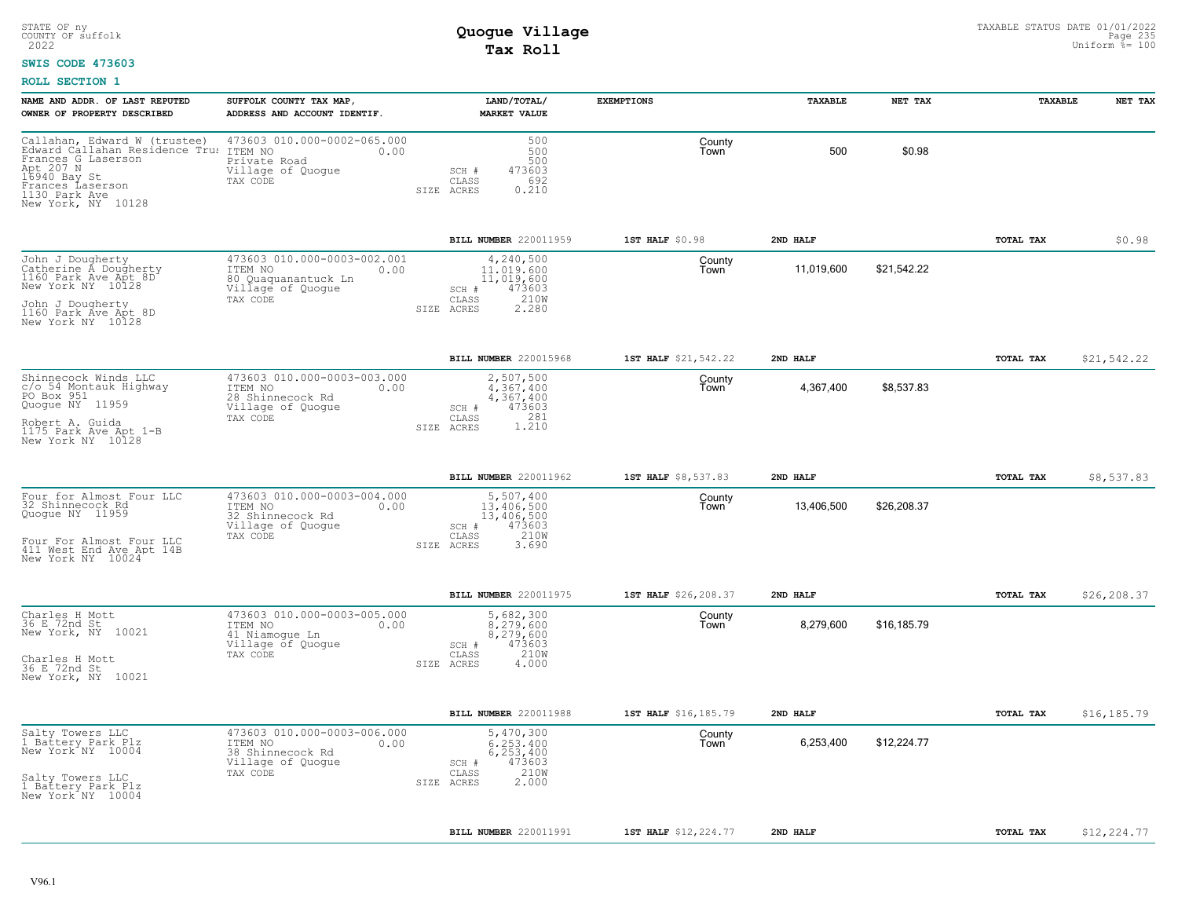#### **SWIS CODE 473603**

| NAME AND ADDR. OF LAST REPUTED<br>OWNER OF PROPERTY DESCRIBED                                                                                                                | SUFFOLK COUNTY TAX MAP,<br>ADDRESS AND ACCOUNT IDENTIF.                                                | LAND/TOTAL/<br><b>MARKET VALUE</b>                                                               | <b>EXEMPTIONS</b>    | TAXABLE    | NET TAX     | <b>TAXABLE</b> | NET TAX     |
|------------------------------------------------------------------------------------------------------------------------------------------------------------------------------|--------------------------------------------------------------------------------------------------------|--------------------------------------------------------------------------------------------------|----------------------|------------|-------------|----------------|-------------|
| Callahan, Edward W (trustee)<br>Edward Callahan Residence Tru:<br>Frances G Laserson<br>Apt 207 N<br>16940 Bay St<br>Frances Laserson<br>1130 Park Ave<br>New York, NY 10128 | 473603 010.000-0002-065.000<br>ITEM NO<br>0.00<br>Private Road<br>Village of Quogue<br>TAX CODE        | 500<br>500<br>500<br>473603<br>SCH #<br>692<br>CLASS<br>0.210<br>SIZE ACRES                      | County<br>Town       | 500        | \$0.98      |                |             |
|                                                                                                                                                                              |                                                                                                        | BILL NUMBER 220011959                                                                            | 1ST HALF \$0.98      | 2ND HALF   |             | TOTAL TAX      | \$0.98      |
| John J Dougherty<br>Catherine A Dougherty<br>1160 Park Ave Apt 8D<br>New York NY 10128<br>John J Dougherty<br>1160 Park Ave Apt 8D<br>New York NY 10128                      | 473603 010.000-0003-002.001<br>ITEM NO<br>0.00<br>80 Quaquanantuck Ln<br>Village of Quogue<br>TAX CODE | 4,240,500<br>11,019,600<br>11,019,600<br>473603<br>SCH #<br>210W<br>CLASS<br>2.280<br>SIZE ACRES | County<br>Town       | 11,019,600 | \$21,542.22 |                |             |
|                                                                                                                                                                              |                                                                                                        | BILL NUMBER 220015968                                                                            | 1ST HALF \$21,542.22 | 2ND HALF   |             | TOTAL TAX      | \$21,542.22 |
| Shinnecock Winds LLC<br>c/o 54 Montauk Highway<br>PO Box 951<br>Quogue NY 11959<br>Robert A. Guida                                                                           | 473603 010.000-0003-003.000<br>ITEM NO<br>0.00<br>28 Shinnecock Rd<br>Village of Quogue<br>TAX CODE    | 2,507,500<br>4.367.400<br>4,367,400<br>473603<br>SCH #<br>281<br>CLASS                           | County<br>Town       | 4,367,400  | \$8,537.83  |                |             |
| 1175 Park Ave Apt 1-B<br>New York NY 10128                                                                                                                                   |                                                                                                        | 1.210<br>SIZE ACRES                                                                              |                      |            |             |                |             |
|                                                                                                                                                                              |                                                                                                        | BILL NUMBER 220011962                                                                            | 1ST HALF \$8,537.83  | 2ND HALF   |             | TOTAL TAX      | \$8,537.83  |
| Four for Almost Four LLC<br>32 Shinnecock Rd<br>Quogue NY 11959                                                                                                              | 473603 010.000-0003-004.000<br>ITEM NO<br>0.00<br>32 Shinnecock Rd<br>Village of Quogue<br>TAX CODE    | 5,507,400<br>13,406,500<br>13,406,500<br>473603<br>SCH #<br>210W<br>CLASS                        | County<br>Town       | 13,406,500 | \$26,208.37 |                |             |
| Four For Almost Four LLC<br>411 West End Ave Apt 14B<br>New York NY 10024                                                                                                    |                                                                                                        | SIZE ACRES<br>3.690                                                                              |                      |            |             |                |             |
|                                                                                                                                                                              |                                                                                                        | BILL NUMBER 220011975                                                                            | 1ST HALF \$26,208.37 | 2ND HALF   |             | TOTAL TAX      | \$26,208.37 |
| Charles H Mott<br>36 E 72nd St<br>New York, NY 10021                                                                                                                         | 473603 010.000-0003-005.000<br>ITEM NO<br>0.00<br>41 Niamoque Ln<br>Village of Quogue                  | 5,682,300<br>8.279.600<br>8,279,600<br>473603<br>SCH #                                           | County<br>Town       | 8,279,600  | \$16,185.79 |                |             |
| Charles H Mott<br>36 E 72nd St<br>New York, NY 10021                                                                                                                         | TAX CODE                                                                                               | 210W<br>CLASS<br>SIZE ACRES<br>4.000                                                             |                      |            |             |                |             |
|                                                                                                                                                                              |                                                                                                        | BILL NUMBER 220011988                                                                            | 1ST HALF \$16,185.79 | 2ND HALF   |             | TOTAL TAX      | \$16,185.79 |
| Salty Towers LLC<br>1 Battery Park Plz<br>New York NY 10004                                                                                                                  | 473603 010.000-0003-006.000<br>ITEM NO<br>0.00<br>38 Shinnecock Rd<br>Village of Quogue                | 5,470,300<br>6.253.400<br>6,253,400<br>473603<br>SCH #                                           | County<br>Town       | 6,253,400  | \$12,224.77 |                |             |
| Salty Towers LLC<br>1 Battery Park Plz<br>New York NY 10004                                                                                                                  | TAX CODE                                                                                               | 210W<br>CLASS<br>2.000<br>SIZE ACRES                                                             |                      |            |             |                |             |
|                                                                                                                                                                              |                                                                                                        | BILL NUMBER 220011991                                                                            | 1ST HALF \$12,224.77 | 2ND HALF   |             | TOTAL TAX      | \$12,224.77 |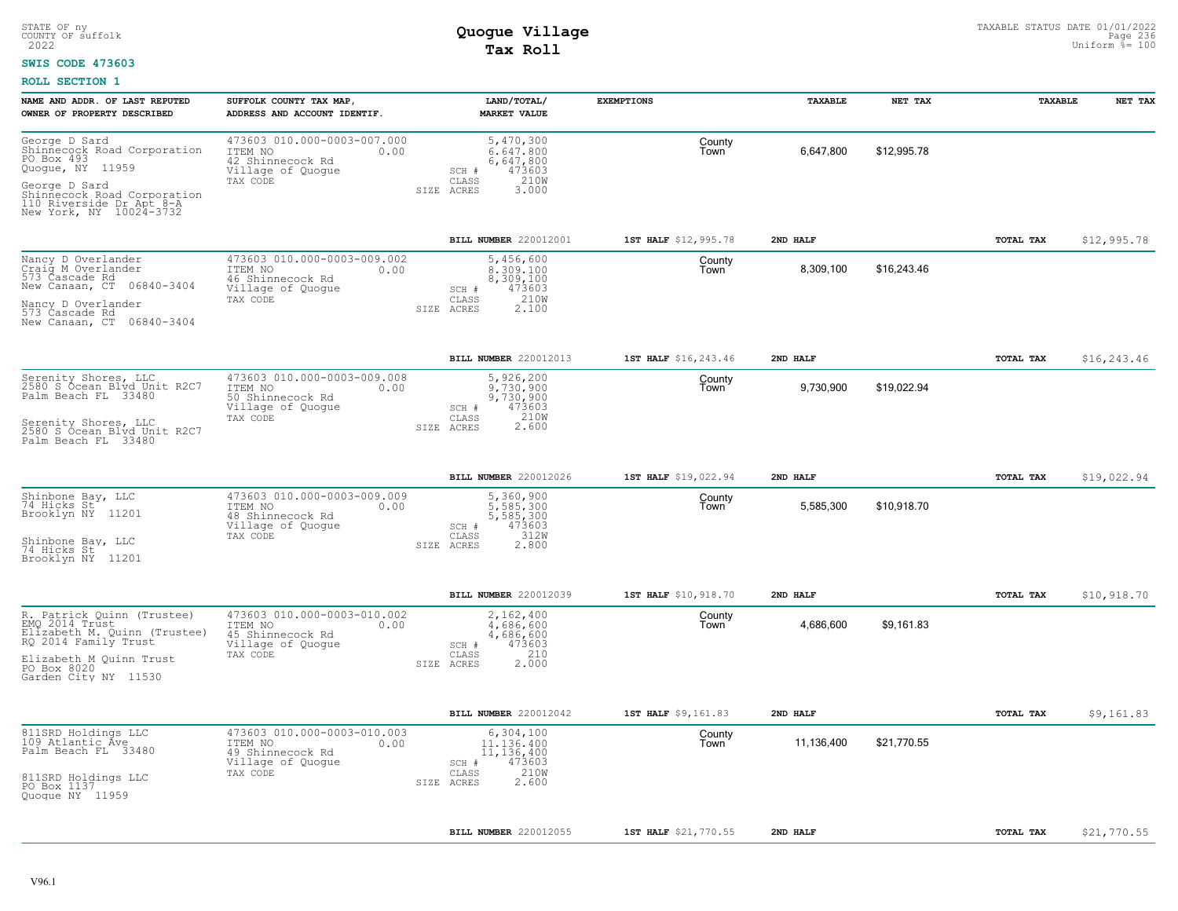#### **SWIS CODE 473603**

| NAME AND ADDR. OF LAST REPUTED                                                                                                                                  | SUFFOLK COUNTY TAX MAP                                                                              | LAND/TOTAL/                                                                                    | <b>EXEMPTIONS</b>    | TAXABLE    | NET TAX     | TAXABLE          | NET TAX     |
|-----------------------------------------------------------------------------------------------------------------------------------------------------------------|-----------------------------------------------------------------------------------------------------|------------------------------------------------------------------------------------------------|----------------------|------------|-------------|------------------|-------------|
| OWNER OF PROPERTY DESCRIBED                                                                                                                                     | ADDRESS AND ACCOUNT IDENTIF.                                                                        | <b>MARKET VALUE</b>                                                                            |                      |            |             |                  |             |
| George D Sard<br>Shinnecock Road Corporation<br>PO Box 493<br>Quogue, NY 11959                                                                                  | 473603 010.000-0003-007.000<br>ITEM NO<br>0.00<br>42 Shinnecock Rd<br>Village of Quogue<br>TAX CODE | 5,470,300<br>6,647,800<br>6,647,800<br>473603<br>SCH #<br>210W<br>CLASS                        | County<br>Town       | 6,647,800  | \$12,995.78 |                  |             |
| George D Sard<br>Shinnecock Road Corporation<br>110 Riverside Dr Apt 8-A<br>New York, NY 10024-3732                                                             |                                                                                                     | SIZE ACRES<br>3.000                                                                            |                      |            |             |                  |             |
|                                                                                                                                                                 |                                                                                                     | BILL NUMBER 220012001                                                                          | 1ST HALF \$12,995.78 | 2ND HALF   |             | <b>TOTAL TAX</b> | \$12,995.78 |
| Nancy D Overlander<br>Craig M Overlander<br>573 Čascade Rd<br>06840-3404<br>New Canaan, CT<br>Nancy D Overlander<br>573 Cascade Rd<br>New Canaan, CT 06840-3404 | 473603 010.000-0003-009.002<br>ITEM NO<br>0.00<br>46 Shinnecock Rd<br>Village of Quogue<br>TAX CODE | 5,456,600<br>8,309,100<br>8,309,100<br>473603<br>SCH #<br>210W<br>CLASS<br>2,100<br>SIZE ACRES | County<br>Town       | 8,309,100  | \$16,243.46 |                  |             |
|                                                                                                                                                                 |                                                                                                     | BILL NUMBER 220012013                                                                          | 1ST HALF \$16,243.46 | 2ND HALF   |             | TOTAL TAX        | \$16,243.46 |
| Serenity Shores, LLC<br>2580 S Ócean Blyd Unit R2C7<br>Palm Beach FL 33480                                                                                      | 473603 010.000-0003-009.008<br>ITEM NO<br>0.00<br>50 Shinnecock Rd<br>Village of Quogue<br>TAX CODE | 5,926,200<br>9,730,900<br>9,730,900<br>473603<br>SCH #<br>210W<br>CLASS                        | County<br>Town       | 9,730,900  | \$19,022.94 |                  |             |
| Serenity Shores, LLC<br>2580 S Ocean Blyd Unit R2C7<br>Palm Beach FL 33480                                                                                      |                                                                                                     | 2.600<br>SIZE ACRES                                                                            |                      |            |             |                  |             |
|                                                                                                                                                                 |                                                                                                     | <b>BILL NUMBER 220012026</b>                                                                   | 1ST HALF \$19,022.94 | 2ND HALF   |             | TOTAL TAX        | \$19,022.94 |
| Shinbone Bay, LLC<br>74 Hicks St<br>Brooklyn NY 11201                                                                                                           | 473603 010.000-0003-009.009<br>ITEM NO<br>0.00<br>48 Shinnecock Rd<br>Village of Quogue<br>TAX CODE | 5,360,900<br>5,585,300<br>5,585,300<br>473603<br>SCH #<br>312W<br>CLASS                        | County<br>Town       | 5,585,300  | \$10,918.70 |                  |             |
| Shinbone Bay, LLC<br>74 Hicks St<br>Brooklyn NY 11201                                                                                                           |                                                                                                     | 2.800<br>SIZE ACRES                                                                            |                      |            |             |                  |             |
|                                                                                                                                                                 |                                                                                                     | BILL NUMBER 220012039                                                                          | 1ST HALF \$10,918.70 | 2ND HALF   |             | TOTAL TAX        | \$10,918.70 |
| R. Patrick Quinn (Trustee)<br>EMQ 2014 Trust<br>Elizabeth M. Quinn (Trustee)<br>RQ 2014 Family Trust                                                            | 473603 010.000-0003-010.002<br>ITEM NO<br>0.00<br>45 Shinnecock Rd<br>Village of Quogue             | 2,162,400<br>4,686,600<br>4,686,600<br>473603<br>SCH #                                         | County<br>Town       | 4,686,600  | \$9.161.83  |                  |             |
| Elizabeth M Quinn Trust<br>PO Box 8020<br>Garden City NY 11530                                                                                                  | TAX CODE                                                                                            | 210<br>CLASS<br>2,000<br>SIZE ACRES                                                            |                      |            |             |                  |             |
|                                                                                                                                                                 |                                                                                                     | BILL NUMBER 220012042                                                                          | 1ST HALF \$9,161.83  | 2ND HALF   |             | TOTAL TAX        | \$9,161.83  |
| 811SRD Holdings LLC<br>109 Atlantic Ave<br>Palm Beach FL 33480                                                                                                  | 473603 010.000-0003-010.003<br>ITEM NO<br>0.00<br>49 Shinnecock Rd<br>Village of Quogue<br>TAX CODE | 6,304,100<br>11,136,400<br>11,136,400<br>473603<br>SCH #<br>210W<br>CLASS                      | County<br>Town       | 11,136,400 | \$21,770.55 |                  |             |
| 811SRD Holdings LLC<br>PO Box 1137<br>Quogue NY 11959                                                                                                           |                                                                                                     | 2.600<br>SIZE ACRES                                                                            |                      |            |             |                  |             |
|                                                                                                                                                                 |                                                                                                     | BILL NUMBER 220012055                                                                          | 1ST HALF \$21,770.55 | 2ND HALF   |             | TOTAL TAX        | \$21,770.55 |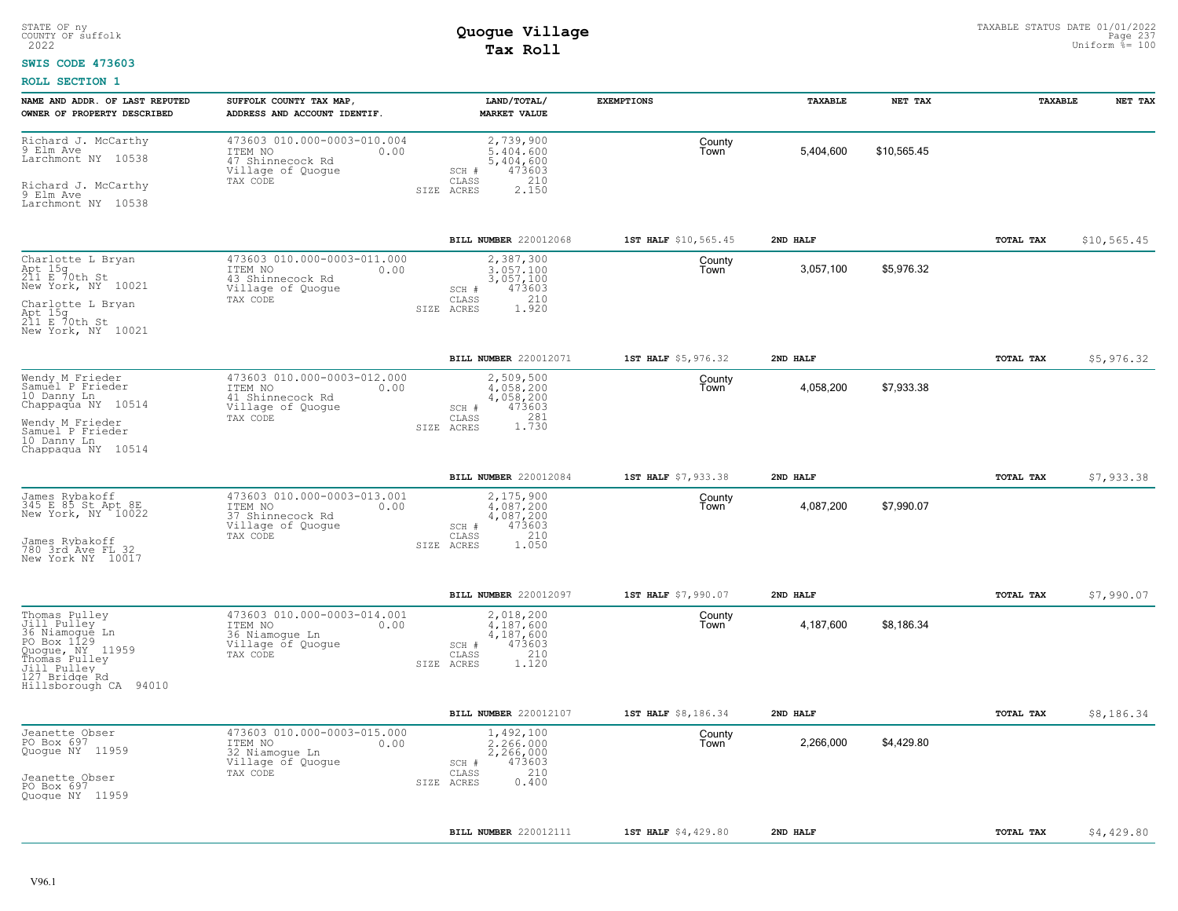#### **SWIS CODE 473603**

| NAME AND ADDR. OF LAST REPUTED<br>OWNER OF PROPERTY DESCRIBED                                                                                               | SUFFOLK COUNTY TAX MAP,<br>ADDRESS AND ACCOUNT IDENTIF.                                             | LAND/TOTAL/<br><b>MARKET VALUE</b>                                                                | <b>EXEMPTIONS</b>    | TAXABLE   | NET TAX     | TAXABLE          | NET TAX      |
|-------------------------------------------------------------------------------------------------------------------------------------------------------------|-----------------------------------------------------------------------------------------------------|---------------------------------------------------------------------------------------------------|----------------------|-----------|-------------|------------------|--------------|
| Richard J. McCarthy<br>9 Elm Ave<br>Larchmont NY 10538<br>Richard J. McCarthy<br>9 Elm Ave<br>Larchmont NY 10538                                            | 473603 010.000-0003-010.004<br>ITEM NO<br>0.00<br>47 Shinnecock Rd<br>Village of Quogue<br>TAX CODE | 2,739,900<br>5,404,600<br>5,404,600<br>473603<br>SCH #<br>210<br>CLASS<br>2.150<br>SIZE ACRES     | County<br>Town       | 5,404,600 | \$10,565.45 |                  |              |
|                                                                                                                                                             |                                                                                                     | BILL NUMBER 220012068                                                                             | 1ST HALF \$10,565.45 | 2ND HALF  |             | TOTAL TAX        | \$10, 565.45 |
| Charlotte L Bryan<br>Apt 15g<br>211 E 70th St<br>New York, NY 10021<br>Charlotte L Bryan<br>Apt 15g<br>211 E 70th St<br>New York, NY 10021                  | 473603 010.000-0003-011.000<br>ITEM NO<br>0.00<br>43 Shinnecock Rd<br>Village of Quogue<br>TAX CODE | 2,387,300<br>3.057.100<br>3,057,100<br>473603<br>SCH #<br>210<br>CLASS<br>1.920<br>SIZE ACRES     | County<br>Town       | 3,057,100 | \$5,976.32  |                  |              |
|                                                                                                                                                             |                                                                                                     | BILL NUMBER 220012071                                                                             | 1ST HALF \$5,976.32  | 2ND HALF  |             | TOTAL TAX        | \$5,976.32   |
| Wendy M Frieder<br>Samuel P Frieder<br>10 Danny Ln<br>Chappaqua NY 10514<br>Wendy M Frieder<br>Samuel P Frieder<br>10 Danny Ln<br>Chappaqua NY 10514        | 473603 010.000-0003-012.000<br>ITEM NO<br>0.00<br>41 Shinnecock Rd<br>Village of Quogue<br>TAX CODE | 2,509,500<br>4,058,200<br>4,058,200<br>473603<br>SCH #<br>1.730<br>CLASS<br>SIZE ACRES            | County<br>Town       | 4,058,200 | \$7,933.38  |                  |              |
|                                                                                                                                                             |                                                                                                     | BILL NUMBER 220012084                                                                             | 1ST HALF \$7,933.38  | 2ND HALF  |             | TOTAL TAX        | \$7,933.38   |
| James Rybakoff<br>345 E 85 St Apt 8E<br>New York, NY 10022<br>James Rybakoff<br>780 3rd Ave FL 32<br>New York NY 10017                                      | 473603 010.000-0003-013.001<br>ITEM NO<br>0.00<br>37 Shinnecock Rd<br>Village of Quogue<br>TAX CODE | 2,175,900<br>$4.087.200$<br>$4,087,200$<br>473603<br>SCH #<br>210<br>CLASS<br>1.050<br>SIZE ACRES | County<br>Town       | 4,087,200 | \$7,990.07  |                  |              |
|                                                                                                                                                             |                                                                                                     | BILL NUMBER 220012097                                                                             | 1ST HALF \$7,990.07  | 2ND HALF  |             | TOTAL TAX        | \$7,990.07   |
| Thomas Pulley<br>Jill Pulley<br>36 Niamogue Ln<br>PO Box 1129<br>Quogue, NY 11959<br>Thomas Pulley<br>Jill Pulley<br>127 Bridge Rd<br>Hillsborough CA 94010 | 473603 010.000-0003-014.001<br>ITEM NO<br>0.00<br>36 Niamoque Ln<br>Village of Quogue<br>TAX CODE   | 2,018,200<br>4,187,600<br>4,187,600<br>473603<br>SCH #<br>210<br>CLASS<br>SIZE ACRES<br>1.120     | County<br>Town       | 4,187,600 | \$8,186.34  |                  |              |
|                                                                                                                                                             |                                                                                                     | BILL NUMBER 220012107                                                                             | 1ST HALF \$8,186.34  | 2ND HALF  |             | <b>TOTAL TAX</b> | \$8,186.34   |
| Jeanette Obser<br>PO Box 697<br>Quogue NY 11959<br>Jeanette Obser<br>PO Box 697<br>Quogue NY 11959                                                          | 473603 010.000-0003-015.000<br>ITEM NO<br>0.00<br>32 Niamogue Ln<br>Village of Quogue<br>TAX CODE   | 1,492,100<br>2,266,000<br>2,266,000<br>473603<br>SCH #<br>210<br>CLASS<br>0.400<br>SIZE ACRES     | County<br>Town       | 2,266,000 | \$4,429.80  |                  |              |
|                                                                                                                                                             |                                                                                                     | BILL NUMBER 220012111                                                                             | 1ST HALF \$4,429.80  | 2ND HALF  |             | TOTAL TAX        | \$4,429.80   |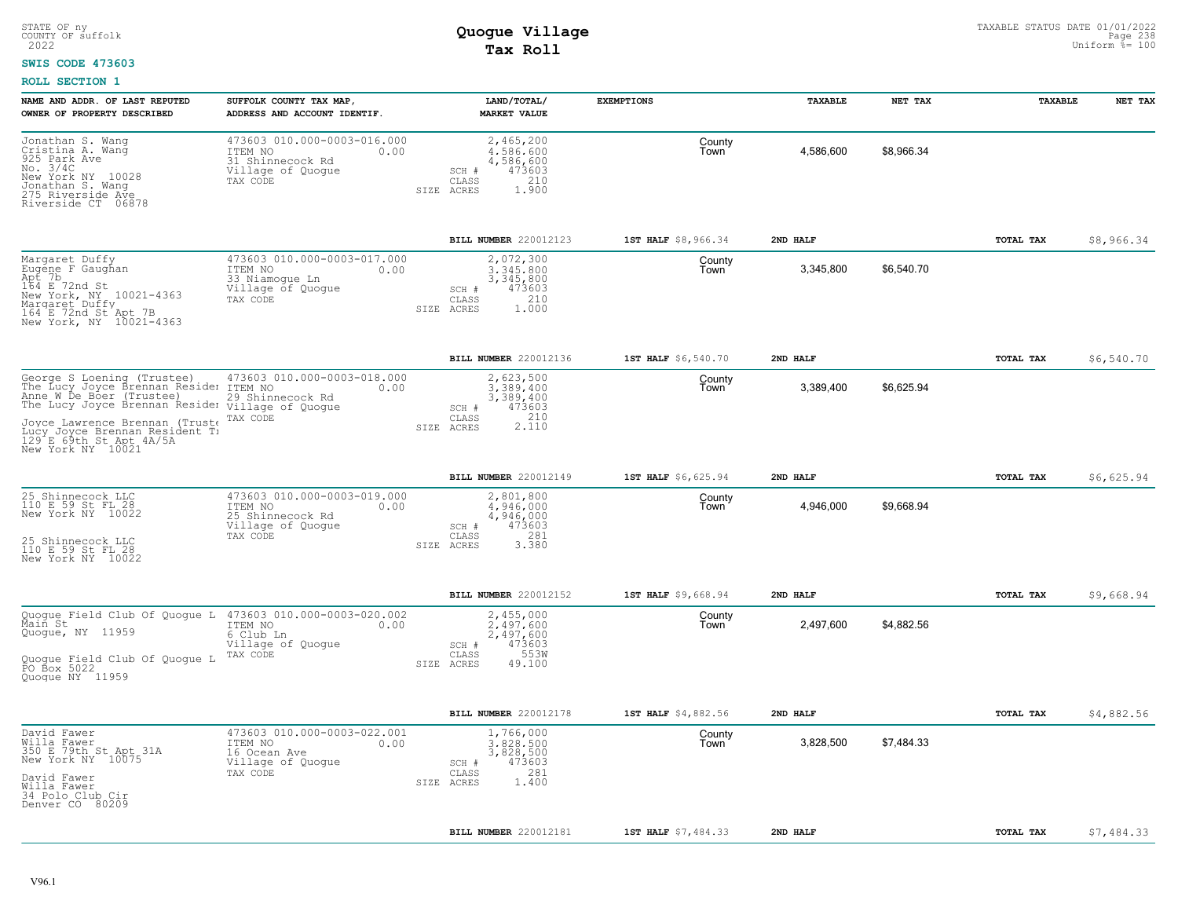#### **SWIS CODE 473603**

| NAME AND ADDR. OF LAST REPUTED                                                                                                                                                         | SUFFOLK COUNTY TAX MAP                                                                              | LAND/TOTAL/                                                                                              | <b>EXEMPTIONS</b>   | TAXABLE   | NET TAX    | TAXABLE   | NET TAX    |
|----------------------------------------------------------------------------------------------------------------------------------------------------------------------------------------|-----------------------------------------------------------------------------------------------------|----------------------------------------------------------------------------------------------------------|---------------------|-----------|------------|-----------|------------|
| OWNER OF PROPERTY DESCRIBED                                                                                                                                                            | ADDRESS AND ACCOUNT IDENTIF.                                                                        | <b>MARKET VALUE</b>                                                                                      |                     |           |            |           |            |
| Jonathan S. Wang<br>Cristina A. Wang<br>925 Park Ave<br>No. 3/4C<br>New York NY 10028<br>Jonathan S. Wang<br>275 Riverside Ave<br>Riverside CT 06878                                   | 473603 010.000-0003-016.000<br>ITEM NO<br>0.00<br>31 Shinnecock Rd<br>Village of Quogue<br>TAX CODE | 2,465,200<br>4,586,600<br>4,586,600<br>473603<br>SCH #<br>210<br>CLASS<br>1.900<br>SIZE ACRES            | County<br>Town      | 4,586,600 | \$8,966.34 |           |            |
|                                                                                                                                                                                        |                                                                                                     | BILL NUMBER 220012123                                                                                    | 1ST HALF \$8,966.34 | 2ND HALF  |            | TOTAL TAX | \$8,966.34 |
| Margaret Duffy<br>Eugéne F Gaughan<br>Apt 7b<br>164 E 72nd St<br>New York, NY 10021-4363<br>Margaret Duffy<br>164 E 72nd St Apt 7B<br>New York, NY 10021-4363                          | 473603 010.000-0003-017.000<br>ITEM NO<br>0.00<br>33 Niamogue Ln<br>Village of Quogue<br>TAX CODE   | 2,072,300<br>3.345.800<br>3,345,800<br>473603<br>SCH #<br>210<br>CLASS<br>1,000<br>SIZE ACRES            | County<br>Town      | 3,345,800 | \$6,540.70 |           |            |
|                                                                                                                                                                                        |                                                                                                     | BILL NUMBER 220012136                                                                                    | 1ST HALF \$6,540.70 | 2ND HALF  |            | TOTAL TAX | \$6,540.70 |
| George S Loening (Trustee)<br>The Lucy Joyce Brennan Resider ITEM NO<br>Anne W De Boer (Trustee)<br>The Lucy Joyce Brennan Resider village of Quogue<br>Joyce Lawrence Brennan (Truste | 473603 010.000-0003-018.000<br>0.00<br>29 Shinnecock Rd<br>TAX CODE                                 | 2,623,500<br>3.389.400<br>3,389,400<br>473603<br>SCH #<br>CLASS<br>2.110<br>SIZE ACRES                   | County<br>Town      | 3,389,400 | \$6,625.94 |           |            |
| Lucy Joyce Brennan Resident Ti<br>129 E 69th St Apt 4A/5A<br>New York NY 10021                                                                                                         |                                                                                                     |                                                                                                          |                     |           |            |           |            |
|                                                                                                                                                                                        |                                                                                                     | <b>BILL NUMBER 220012149</b>                                                                             | 1ST HALF \$6,625.94 | 2ND HALF  |            | TOTAL TAX | \$6,625.94 |
| 25 Shinnecock LLC<br>110 E 59 St FL 28<br>New York NY 10022<br>25 Shinnecock LLC<br>110 E 59 St FL 28<br>New York NY 10022                                                             | 473603 010.000-0003-019.000<br>ITEM NO<br>0.00<br>25 Shinnecock Rd<br>Village of Quogue<br>TAX CODE | 2,801,800<br>4,946,000<br>4,946,000<br>473603<br>SCH #<br>281<br>$\mathtt{CLASS}$<br>3.380<br>SIZE ACRES | County<br>Town      | 4,946,000 | \$9,668.94 |           |            |
|                                                                                                                                                                                        |                                                                                                     | <b>BILL NUMBER 220012152</b>                                                                             | 1ST HALF \$9,668.94 | 2ND HALF  |            | TOTAL TAX | \$9,668.94 |
| Quogue Field Club Of Quogue L<br>Main St<br>Quogue, NY 11959                                                                                                                           | 473603 010.000-0003-020.002<br>ITEM NO<br>0.00<br>6 Club Ln<br>Village of Quogue<br>TAX CODE        | 2,455,000<br>2.497.600<br>2,497,600<br>473603<br>SCH #<br>553W<br>CLASS                                  | County<br>Town      | 2,497,600 | \$4,882.56 |           |            |
| Quoque Field Club Of Quoque L<br>PO Box 5022<br>Quoque NY 11959                                                                                                                        |                                                                                                     | SIZE ACRES<br>49.100                                                                                     |                     |           |            |           |            |
|                                                                                                                                                                                        |                                                                                                     | BILL NUMBER 220012178                                                                                    | 1ST HALF \$4,882.56 | 2ND HALF  |            | TOTAL TAX | \$4,882.56 |
| David Fawer<br>Willa Fawer<br>350 E 79th St Apt 31A<br>New York NY 10075<br>David Fawer<br>Willa Fawer                                                                                 | 473603 010.000-0003-022.001<br>ITEM NO<br>0.00<br>16 Ocean Ave<br>Village of Quogue<br>TAX CODE     | 1,766,000<br>3,828,500<br>3,828,500<br>473603<br>SCH #<br>281<br>CLASS<br>1,400<br>SIZE ACRES            | County<br>Town      | 3,828,500 | \$7,484.33 |           |            |
| 34 Polo Club Cir<br>Denver CO 80209                                                                                                                                                    |                                                                                                     |                                                                                                          |                     |           |            |           |            |
|                                                                                                                                                                                        |                                                                                                     | BILL NUMBER 220012181                                                                                    | 1ST HALF \$7,484.33 | 2ND HALF  |            | TOTAL TAX | \$7,484.33 |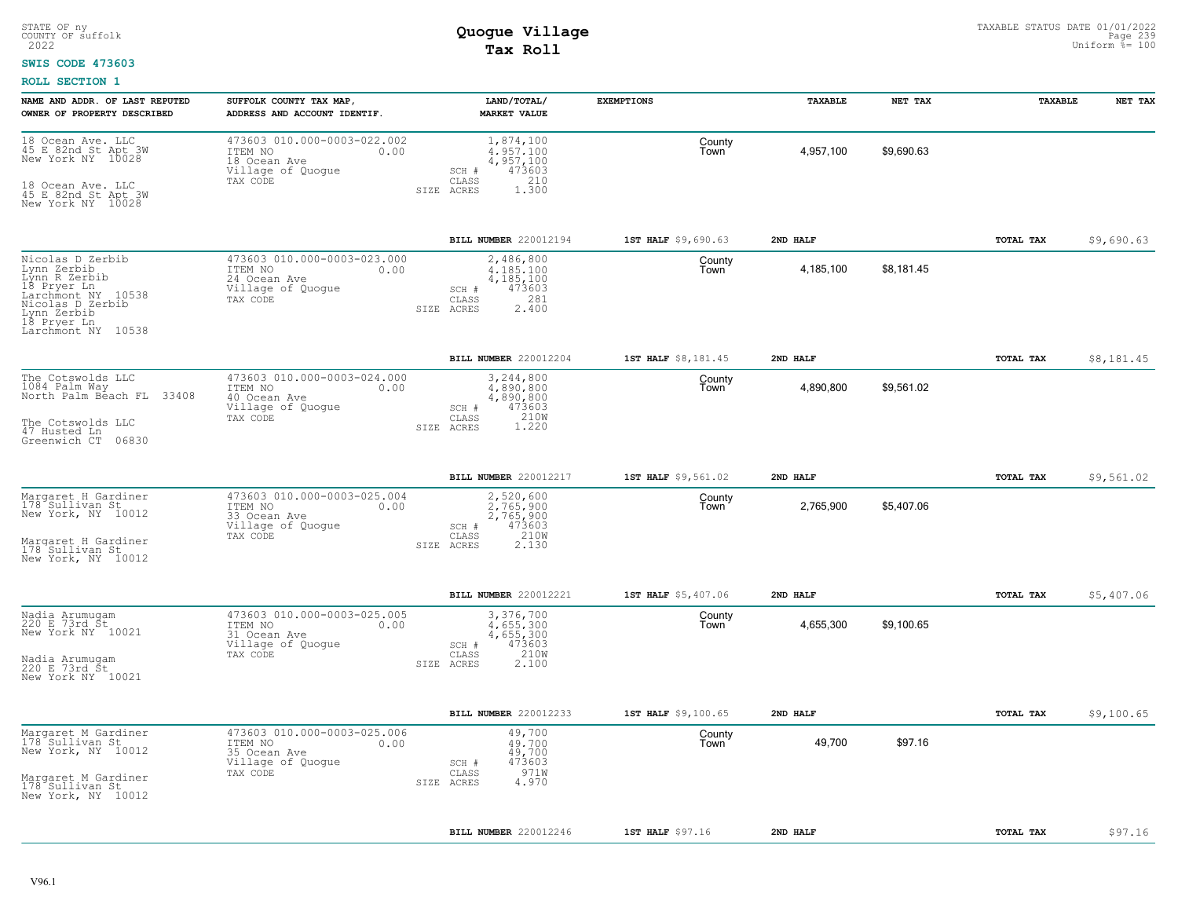#### **SWIS CODE 473603**

| NAME AND ADDR. OF LAST REPUTED                                                                                                                                | SUFFOLK COUNTY TAX MAP,                                                                                                         | LAND/TOTAL/                                                                                                          | <b>EXEMPTIONS</b>   | TAXABLE   | NET TAX    | TAXABLE          | NET TAX    |
|---------------------------------------------------------------------------------------------------------------------------------------------------------------|---------------------------------------------------------------------------------------------------------------------------------|----------------------------------------------------------------------------------------------------------------------|---------------------|-----------|------------|------------------|------------|
| OWNER OF PROPERTY DESCRIBED<br>18 Ocean Ave. LLC<br>45 E 82nd St Apt 3W<br>New York NY 10028<br>18 Ocean Ave. LLC<br>45 E 82nd St Apt 3W<br>New York NY 10028 | ADDRESS AND ACCOUNT IDENTIF.<br>473603 010.000-0003-022.002<br>ITEM NO<br>0.00<br>18 Ocean Ave<br>Village of Quogue<br>TAX CODE | <b>MARKET VALUE</b><br>1,874,100<br>4.957.100<br>4,957,100<br>473603<br>SCH #<br>210<br>CLASS<br>1.300<br>SIZE ACRES | County<br>Town      | 4,957,100 | \$9,690.63 |                  |            |
|                                                                                                                                                               |                                                                                                                                 | BILL NUMBER 220012194                                                                                                | 1ST HALF \$9,690.63 | 2ND HALF  |            | TOTAL TAX        | \$9,690.63 |
| Nicolas D Zerbib<br>Lynn Zerbib<br>Lýnn R Zerbib<br>18 Pryer Ln<br>Larchmont NY 10538<br>Nicolas D Zerbib<br>Lynn Zerbib<br>18 Pryer Ln<br>Larchmont NY 10538 | 473603 010.000-0003-023.000<br>ITEM NO<br>0.00<br>24 Ocean Ave<br>Village of Quogue<br>TAX CODE                                 | 2,486,800<br>4.185.100<br>4,185,100<br>473603<br>SCH #<br>281<br>CLASS<br>2.400<br>SIZE ACRES                        | County<br>Town      | 4,185,100 | \$8,181.45 |                  |            |
|                                                                                                                                                               |                                                                                                                                 | BILL NUMBER 220012204                                                                                                | 1ST HALF \$8,181.45 | 2ND HALF  |            | <b>TOTAL TAX</b> | \$8,181.45 |
| The Cotswolds LLC<br>1084 Palm Way<br>North Palm Beach FL 33408<br>The Cotswolds LLC<br>47 Husted Ln                                                          | 473603 010.000-0003-024.000<br>ITEM NO<br>0.00<br>40 Ocean Ave<br>Village of Quogue<br>TAX CODE                                 | 3,244,800<br>4,890,800<br>4,890,800<br>SCH #<br>473603<br>210W<br>CLASS<br>1.220<br>SIZE ACRES                       | County<br>Town      | 4,890,800 | \$9,561.02 |                  |            |
| Greenwich CT 06830                                                                                                                                            |                                                                                                                                 |                                                                                                                      |                     |           |            |                  |            |
|                                                                                                                                                               |                                                                                                                                 | BILL NUMBER 220012217                                                                                                | 1ST HALF \$9,561.02 | 2ND HALF  |            | TOTAL TAX        | \$9,561.02 |
| Margaret H Gardiner<br>178 Sullivan St<br>New York, NY 10012<br>Margaret H Gardiner<br>178 Sullivan St<br>New York, NY 10012                                  | 473603 010.000-0003-025.004<br>ITEM NO<br>0.00<br>33 Ocean Ave<br>Village of Quogue<br>TAX CODE                                 | 2,520,600<br>2.765.900<br>2,765,900<br>473603<br>SCH #<br>210W<br>2.130<br>CLASS<br>SIZE ACRES                       | County<br>Town      | 2,765,900 | \$5,407.06 |                  |            |
|                                                                                                                                                               |                                                                                                                                 | BILL NUMBER 220012221                                                                                                | 1ST HALF \$5,407.06 | 2ND HALF  |            | TOTAL TAX        | \$5,407.06 |
| Nadia Arumugam<br>220 E 73rd Št<br>New York NY 10021<br>Nadia Arumugam<br>220 E 73rd St<br>New York NY 10021                                                  | 473603 010.000-0003-025.005<br>ITEM NO<br>0.00<br>31 Ocean Ave<br>Village of Quogue<br>TAX CODE                                 | 3,376,700<br>4.655.300<br>4,655,300<br>473603<br>SCH #<br>210W<br>CLASS<br>SIZE ACRES<br>2.100                       | County<br>Town      | 4,655,300 | \$9,100.65 |                  |            |
|                                                                                                                                                               |                                                                                                                                 | BILL NUMBER 220012233                                                                                                | 1ST HALF \$9,100.65 | 2ND HALF  |            | TOTAL TAX        | \$9,100.65 |
| Margaret M Gardiner<br>178 Sullivan St<br>New York, NY 10012<br>Margaret M Gardiner<br>178 Sullivan St<br>New York, NY 10012                                  | 473603 010.000-0003-025.006<br>ITEM NO<br>0.00<br>35 Ocean Ave<br>Village of Quogue<br>TAX CODE                                 | 49,700<br>49,700<br>49,700<br>473603<br>SCH #<br>971W<br>CLASS<br>4.970<br>SIZE ACRES                                | County<br>Town      | 49,700    | \$97.16    |                  |            |
|                                                                                                                                                               |                                                                                                                                 | BILL NUMBER 220012246                                                                                                | 1ST HALF \$97.16    | 2ND HALF  |            | TOTAL TAX        | \$97.16    |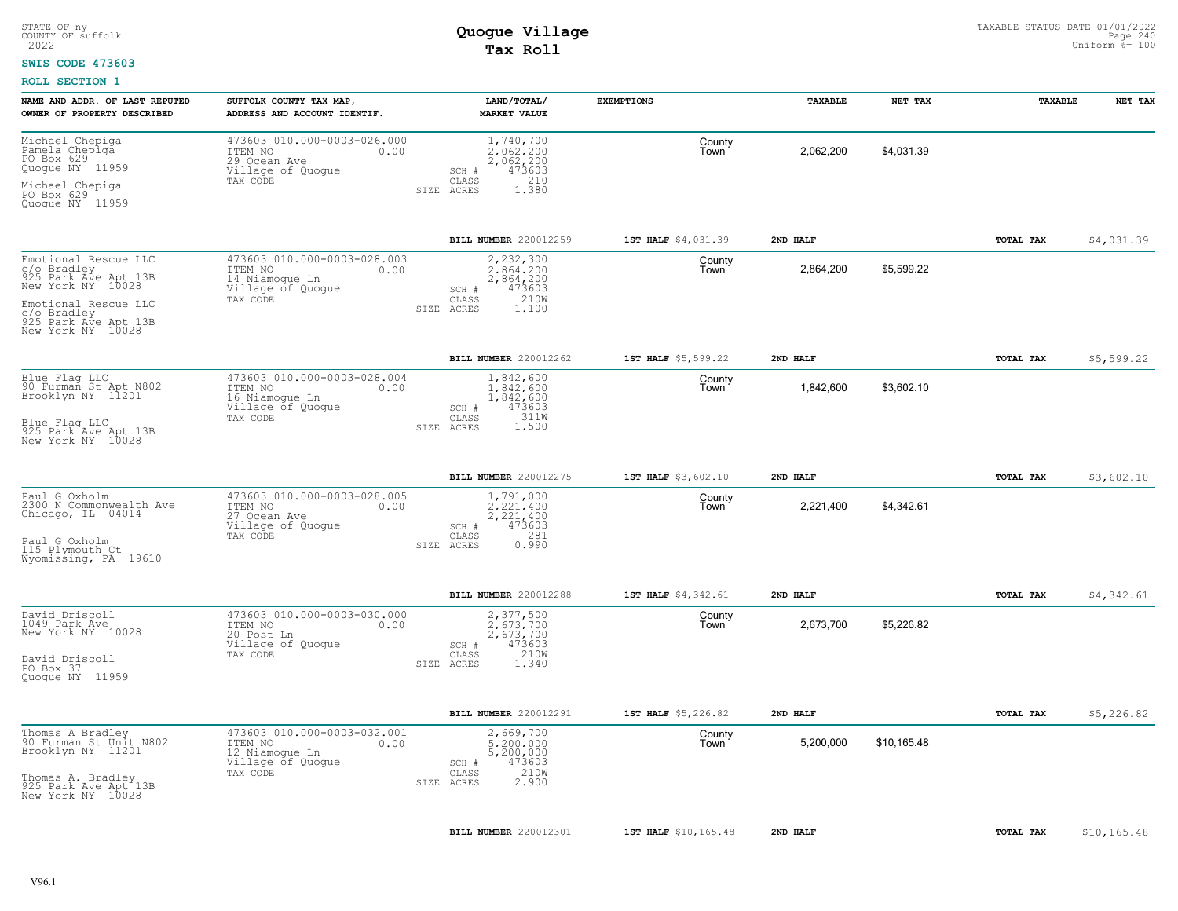#### **SWIS CODE 473603**

| 473603 010.000-0003-026.000<br>Michael Chepiga<br>Pamela Chepiga<br>PO Box 629<br>1,740,700<br>County<br>2,062,200<br>\$4,031.39<br>ITEM NO<br>0.00<br>2.062.200<br>Town<br>29 Ocean Ave<br>2,062,200<br>473603<br>Quogue NY 11959<br>Village of Quogue<br>SCH #<br>210<br>TAX CODE<br>CLASS<br>Michael Chepiga<br>1.380<br>SIZE ACRES<br>PO Box 629<br>Quoque NY 11959<br>BILL NUMBER 220012259<br>1ST HALF \$4,031.39<br>2ND HALF<br>TOTAL TAX<br>473603 010.000-0003-028.003<br>2,232,300<br>County<br>2,864,200<br>\$5,599.22<br>ITEM NO<br>0.00<br>2.864.200<br>Town<br>14 Niamogue Ln<br>2,864,200<br>Village of Quoque<br>473603<br>SCH #<br>210W<br>CLASS<br>TAX CODE<br>SIZE ACRES<br>1.100<br>1ST HALF \$5,599.22<br>2ND HALF<br>BILL NUMBER 220012262<br>TOTAL TAX<br>473603 010.000-0003-028.004<br>1,842,600<br>County<br>1,842,600<br>\$3,602.10<br>ITEM NO<br>0.00<br>1.842.600<br>Town<br>16 Niamogue Ln<br>1,842,600<br>Village of Quogue<br>SCH #<br>473603<br>TAX CODE<br>CLASS<br>311W<br>1,500<br>SIZE ACRES<br>BILL NUMBER 220012275<br>1ST HALF \$3,602.10<br>2ND HALF<br>TOTAL TAX<br>473603 010.000-0003-028.005 |              |
|-------------------------------------------------------------------------------------------------------------------------------------------------------------------------------------------------------------------------------------------------------------------------------------------------------------------------------------------------------------------------------------------------------------------------------------------------------------------------------------------------------------------------------------------------------------------------------------------------------------------------------------------------------------------------------------------------------------------------------------------------------------------------------------------------------------------------------------------------------------------------------------------------------------------------------------------------------------------------------------------------------------------------------------------------------------------------------------------------------------------------------------------|--------------|
| Emotional Rescue LLC<br>c/o Bradley<br>925 Park Ave Apt 13B<br>New York NY 10028<br>Emotional Rescue LLC<br>c/o Bradley<br>925 Park Ave Apt 13B<br>New York NY 10028<br>Blue Flag LLC<br>90 Furman St Apt N802<br>Brooklyn NY 11201<br>Blue Flaq LLC<br>925 Park Ave Apt 13B<br>New York NY 10028                                                                                                                                                                                                                                                                                                                                                                                                                                                                                                                                                                                                                                                                                                                                                                                                                                         |              |
|                                                                                                                                                                                                                                                                                                                                                                                                                                                                                                                                                                                                                                                                                                                                                                                                                                                                                                                                                                                                                                                                                                                                           | \$4,031.39   |
|                                                                                                                                                                                                                                                                                                                                                                                                                                                                                                                                                                                                                                                                                                                                                                                                                                                                                                                                                                                                                                                                                                                                           |              |
|                                                                                                                                                                                                                                                                                                                                                                                                                                                                                                                                                                                                                                                                                                                                                                                                                                                                                                                                                                                                                                                                                                                                           | \$5,599.22   |
|                                                                                                                                                                                                                                                                                                                                                                                                                                                                                                                                                                                                                                                                                                                                                                                                                                                                                                                                                                                                                                                                                                                                           |              |
|                                                                                                                                                                                                                                                                                                                                                                                                                                                                                                                                                                                                                                                                                                                                                                                                                                                                                                                                                                                                                                                                                                                                           | \$3,602.10   |
| 1,791,000<br>Paul G Oxholm<br>2300 N Commonwealth Ave<br>County<br>ITEM NO<br>2.221.400<br>2,221,400<br>\$4,342.61<br>0.00<br>Town<br>Chicago, IL 04014<br>27 Ocean Ave<br>2,221,400<br>Village of Quogue<br>473603<br>SCH #<br>281<br>TAX CODE<br>CLASS<br>Paul G Oxholm<br>115 Plymouth Ct<br>0.990<br>SIZE ACRES<br>Wyomissing, PA 19610                                                                                                                                                                                                                                                                                                                                                                                                                                                                                                                                                                                                                                                                                                                                                                                               |              |
| BILL NUMBER 220012288<br>1ST HALF \$4,342.61<br>2ND HALF<br>TOTAL TAX                                                                                                                                                                                                                                                                                                                                                                                                                                                                                                                                                                                                                                                                                                                                                                                                                                                                                                                                                                                                                                                                     | \$4,342.61   |
| 473603 010.000-0003-030.000<br>David Driscoll<br>1049 Park Ave<br>2,377,500<br>County<br>2,673,700<br>\$5,226.82<br>ITEM NO<br>0.00<br>2.673.700<br>Town<br>New York NY 10028<br>20 Post Ln<br>2,673,700<br>Village of Quogue<br>473603<br>SCH #<br>210W<br>TAX CODE<br>CLASS<br>David Driscoll<br>1.340<br>SIZE ACRES<br>PO Box 37<br>Quogue NY 11959                                                                                                                                                                                                                                                                                                                                                                                                                                                                                                                                                                                                                                                                                                                                                                                    |              |
| BILL NUMBER 220012291<br>1ST HALF \$5,226.82<br>2ND HALF<br>TOTAL TAX                                                                                                                                                                                                                                                                                                                                                                                                                                                                                                                                                                                                                                                                                                                                                                                                                                                                                                                                                                                                                                                                     | \$5,226.82   |
| 473603 010.000-0003-032.001<br>Thomas A Bradley<br>2,669,700<br>County<br>90 Furman St Unit N802<br>Brooklyn NY 11201<br>ITEM NO<br>0.00<br>5,200,000<br>5,200,000<br>\$10,165.48<br>Town<br>12 Niamoque Ln<br>5,200,000<br>Village of Quogue<br>SCH #<br>473603<br>210W<br>TAX CODE<br>CLASS<br>Thomas A. Bradley<br>2.900<br>SIZE ACRES<br>925 Park Ave Apt 13B<br>New York NY 10028                                                                                                                                                                                                                                                                                                                                                                                                                                                                                                                                                                                                                                                                                                                                                    |              |
| BILL NUMBER 220012301<br>1ST HALF \$10,165.48<br>2ND HALF<br>TOTAL TAX                                                                                                                                                                                                                                                                                                                                                                                                                                                                                                                                                                                                                                                                                                                                                                                                                                                                                                                                                                                                                                                                    | \$10, 165.48 |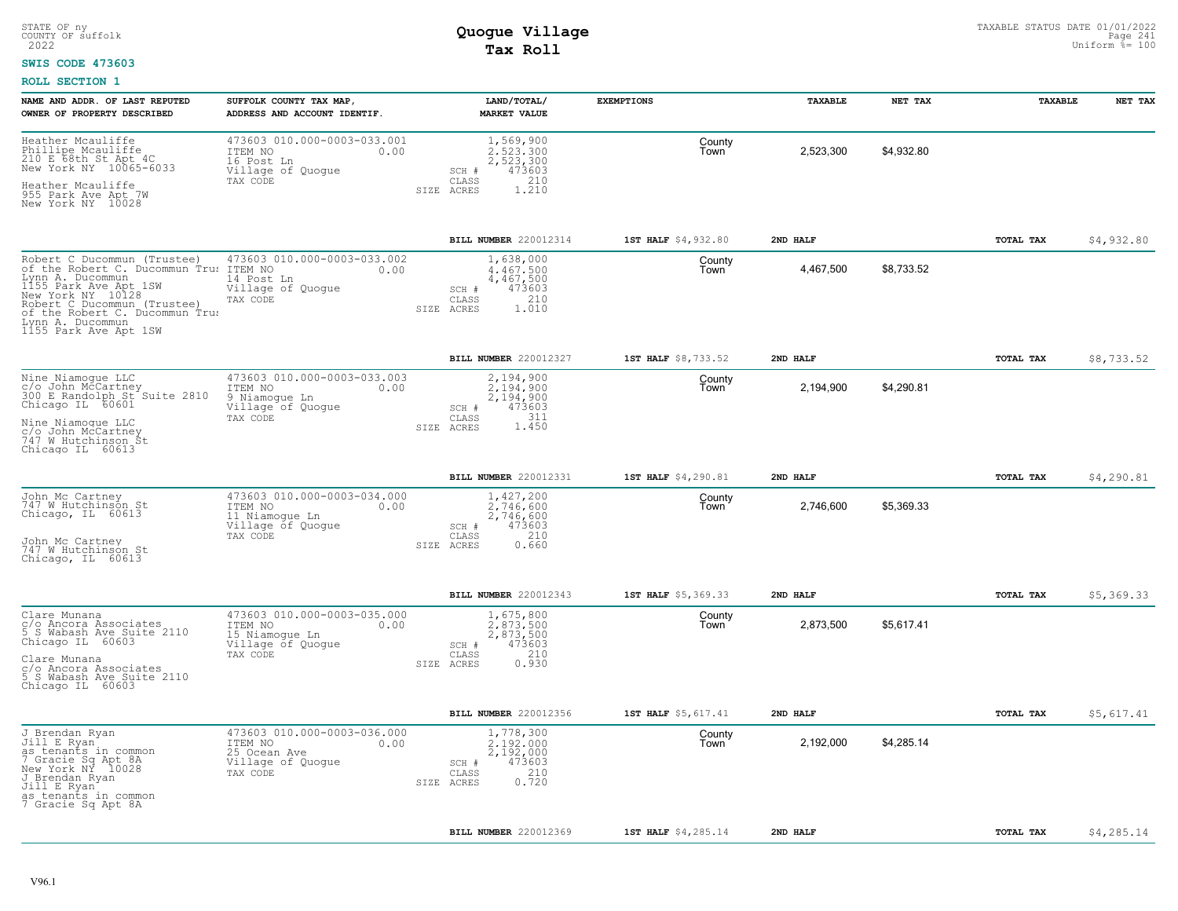#### **SWIS CODE 473603**

| NAME AND ADDR. OF LAST REPUTED<br>OWNER OF PROPERTY DESCRIBED                                                                                                                                                                                         | SUFFOLK COUNTY TAX MAP<br>ADDRESS AND ACCOUNT IDENTIF.                                            | LAND/TOTAL/<br><b>MARKET VALUE</b>                                                            | <b>EXEMPTIONS</b>   | TAXABLE   | NET TAX    | TAXABLE   | NET TAX    |
|-------------------------------------------------------------------------------------------------------------------------------------------------------------------------------------------------------------------------------------------------------|---------------------------------------------------------------------------------------------------|-----------------------------------------------------------------------------------------------|---------------------|-----------|------------|-----------|------------|
| Heather Mcauliffe<br>Phillipe Mcauliffe<br>210 E 68th St Apt 4C<br>New York NY 10065-6033<br>Heather Mcauliffe<br>955 Park Ave Apt 7W<br>New York NY 10028                                                                                            | 473603 010.000-0003-033.001<br>ITEM NO<br>0.00<br>16 Post Ln<br>Village of Quogue<br>TAX CODE     | 1,569,900<br>2.523.300<br>2,523,300<br>473603<br>SCH #<br>CLASS<br>210<br>1.210<br>SIZE ACRES | County<br>Town      | 2,523,300 | \$4,932.80 |           |            |
|                                                                                                                                                                                                                                                       |                                                                                                   | <b>BILL NUMBER</b> 220012314                                                                  | 1ST HALF \$4,932.80 | 2ND HALF  |            | TOTAL TAX | \$4,932.80 |
| Robert C Ducommun (Trustee)<br>of the Robert C. Ducommun Tru: ITEM NO<br>Lynn A. Ducommun<br>1155 Park Ave Apt 1SW<br>New York NY 10128<br>Robert C Ducommun (Trustee)<br>of the Robert C. Ducommun Trus<br>Lynn A. Ducommun<br>1155 Park Ave Apt 1SW | 473603 010.000-0003-033.002<br>0.00<br>14 Post Ln<br>Village of Quogue<br>TAX CODE                | 1,638,000<br>4,467,500<br>4,467,500<br>473603<br>SCH #<br>210<br>CLASS<br>1.010<br>SIZE ACRES | County<br>Town      | 4,467,500 | \$8,733.52 |           |            |
|                                                                                                                                                                                                                                                       |                                                                                                   | BILL NUMBER 220012327                                                                         | 1ST HALF \$8,733.52 | 2ND HALF  |            | TOTAL TAX | \$8,733.52 |
| Nine Niamoque LLC<br>C/O John McCartney<br>300 E Randolph St Suite 2810<br>Chicago IL 60601                                                                                                                                                           | 473603 010.000-0003-033.003<br>ITEM NO<br>0.00<br>9 Niamogue Ln<br>Village of Quogue<br>TAX CODE  | 2,194,900<br>2,194,900<br>2,194,900<br>473603<br>SCH #<br>311<br>CLASS                        | County<br>Town      | 2,194,900 | \$4,290.81 |           |            |
| Nine Niamoque LLC<br>c/o John McCartney<br>747 W Hutchinson St<br>Chicago IL 60613                                                                                                                                                                    |                                                                                                   | 1.450<br>SIZE ACRES                                                                           |                     |           |            |           |            |
|                                                                                                                                                                                                                                                       |                                                                                                   | BILL NUMBER 220012331                                                                         | 1ST HALF \$4,290.81 | 2ND HALF  |            | TOTAL TAX | \$4,290.81 |
| John Mc Cartney<br>747 W Hutchinson St<br>Chicago, IL 60613<br>John Mc Cartney<br>747 W Hutchinson St<br>Chicago, IL 60613                                                                                                                            | 473603 010.000-0003-034.000<br>ITEM NO<br>0.00<br>11 Niamogue Ln<br>Village of Quogue<br>TAX CODE | 1,427,200<br>2.746.600<br>2,746,600<br>473603<br>SCH #<br>CLASS<br>210<br>0.660<br>SIZE ACRES | County<br>Town      | 2,746,600 | \$5,369.33 |           |            |
|                                                                                                                                                                                                                                                       |                                                                                                   | <b>BILL NUMBER 220012343</b>                                                                  | 1ST HALF \$5,369.33 | 2ND HALF  |            | TOTAL TAX | \$5,369.33 |
| Clare Munana<br>c/o Ancora Associates<br>5 S Wabash Ave Suite 2110<br>Chicago IL 60603                                                                                                                                                                | 473603 010.000-0003-035.000<br>ITEM NO<br>0.00<br>15 Niamoque Ln<br>Village of Quogue             | 1,675,800<br>2,873,500<br>2,873,500<br>473603<br>SCH #                                        | County<br>Town      | 2,873,500 | \$5,617.41 |           |            |
| Clare Munana<br>c/o Ancora Associates<br>5 S Wabash Ave Suite 2110<br>Chicago IL 60603                                                                                                                                                                | TAX CODE                                                                                          | 210<br>CLASS<br>0.930<br>SIZE ACRES                                                           |                     |           |            |           |            |
|                                                                                                                                                                                                                                                       |                                                                                                   | <b>BILL NUMBER 220012356</b>                                                                  | 1ST HALF \$5,617.41 | 2ND HALF  |            | TOTAL TAX | \$5,617.41 |
| J Brendan Ryan<br>Jill E Ryan <sup>-</sup><br>as tenants in common<br>7 Gracie Sq Apt 8A<br>New York NY 10028<br>J Brendan Ryan<br>Jill E Ryan<br>as tenants in common<br>7 Gracie Sq Apt 8A                                                          | 473603 010.000-0003-036.000<br>ITEM NO<br>0.00<br>25 Ocean Ave<br>Village of Quogue<br>TAX CODE   | 1,778,300<br>2.192.000<br>2,192,000<br>473603<br>SCH #<br>210<br>CLASS<br>0.720<br>SIZE ACRES | County<br>Town      | 2,192,000 | \$4,285.14 |           |            |
|                                                                                                                                                                                                                                                       |                                                                                                   | BILL NUMBER 220012369                                                                         | 1ST HALF \$4,285.14 | 2ND HALF  |            | TOTAL TAX | \$4,285.14 |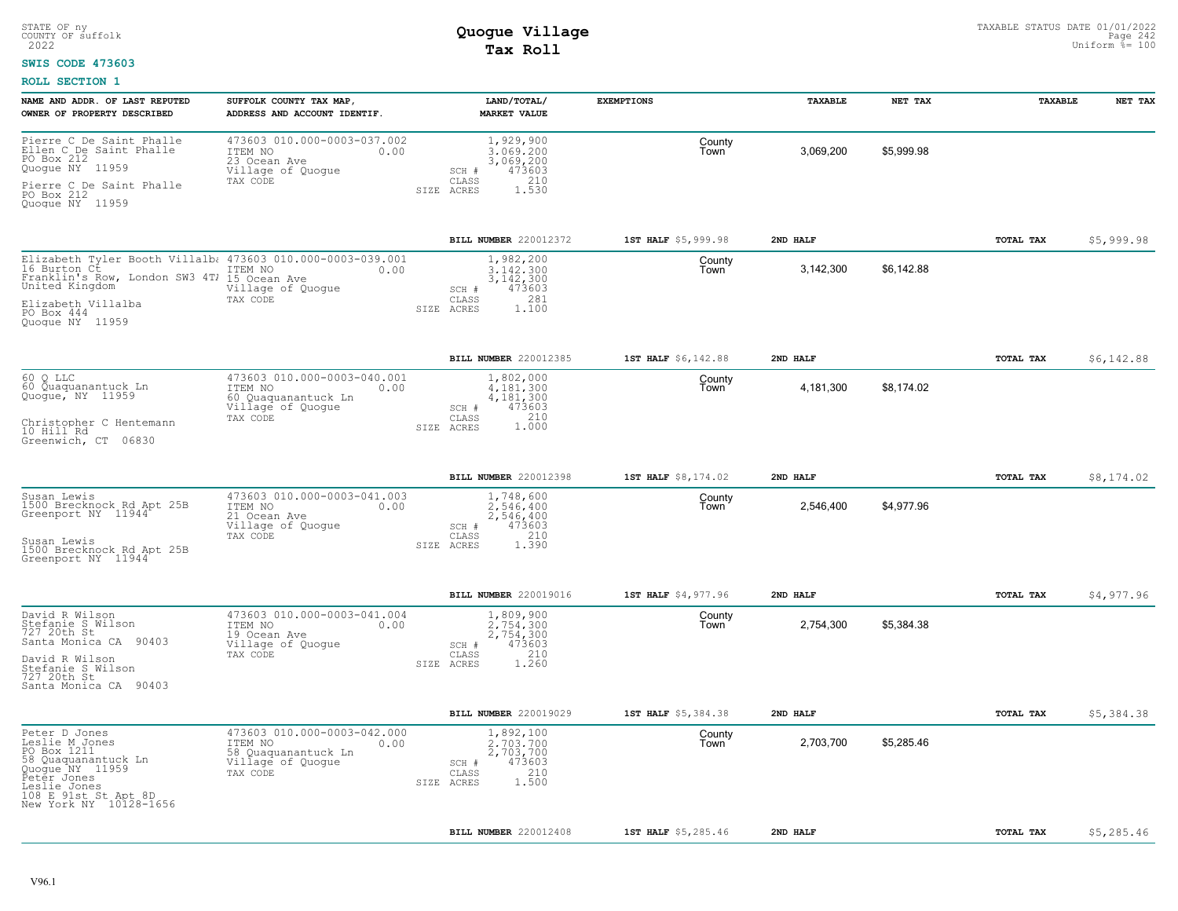#### **SWIS CODE 473603**

| NAME AND ADDR. OF LAST REPUTED<br>OWNER OF PROPERTY DESCRIBED                                                                                                                         | SUFFOLK COUNTY TAX MAP<br>ADDRESS AND ACCOUNT IDENTIF.                                                 | LAND/TOTAL/<br><b>MARKET VALUE</b>                                                                            | <b>EXEMPTIONS</b>   | TAXABLE   | NET TAX    | TAXABLE   | NET TAX    |
|---------------------------------------------------------------------------------------------------------------------------------------------------------------------------------------|--------------------------------------------------------------------------------------------------------|---------------------------------------------------------------------------------------------------------------|---------------------|-----------|------------|-----------|------------|
| Pierre C De Saint Phalle<br>Ellen C De Saint Phalle<br>PO Box 212<br>Quogue NY 11959<br>Pierre C De Saint Phalle<br>PO Box 212<br>Quoque NY 11959                                     | 473603 010.000-0003-037.002<br>ITEM NO<br>0.00<br>23 Ocean Ave<br>Village of Quogue<br>TAX CODE        | 1,929,900<br>3.069.200<br>3,069,200<br>473603<br>SCH #<br>210<br>CLASS<br>SIZE ACRES<br>1.530                 | County<br>Town      | 3,069,200 | \$5,999.98 |           |            |
|                                                                                                                                                                                       |                                                                                                        | <b>BILL NUMBER 220012372</b>                                                                                  | 1ST HALF \$5,999.98 | 2ND HALF  |            | TOTAL TAX | \$5,999.98 |
| Elizabeth Tyler Booth Villalb; 473603 010.000-0003-039.001<br>16 Burton Ct<br>Franklin's Row, London SW3 4Tl<br>United Kingdom<br>Elizabeth Villalba<br>PO Box 444<br>Quoque NY 11959 | ITEM NO<br>0.00<br>15 Ocean Ave<br>Village of Quogue<br>TAX CODE                                       | 1,982,200<br>3.142.300<br>3, 142, 300<br>473603<br>SCH #<br>281<br>$\mathtt{CLASS}$<br>1,100<br>ACRES<br>SIZE | County<br>Town      | 3,142,300 | \$6,142.88 |           |            |
|                                                                                                                                                                                       |                                                                                                        | <b>BILL NUMBER 220012385</b>                                                                                  | 1ST HALF \$6,142.88 | 2ND HALF  |            | TOTAL TAX | \$6,142.88 |
| 60<br>Q LLC<br>60 Quaquanantuck Ln<br>Quogue, NY 11959<br>Christopher C Hentemann<br>10 Hill Rd<br>Greenwich, CT 06830                                                                | 473603 010.000-0003-040.001<br>ITEM NO<br>0.00<br>60 Quaquanantuck Ln<br>Village of Quogue<br>TAX CODE | 1,802,000<br>4.181.300<br>4,181,300<br>473603<br>SCH #<br>1.000<br>CLASS<br>SIZE ACRES                        | County<br>Town      | 4,181,300 | \$8,174.02 |           |            |
|                                                                                                                                                                                       |                                                                                                        | BILL NUMBER 220012398                                                                                         | 1ST HALF \$8,174.02 | 2ND HALF  |            | TOTAL TAX | \$8,174.02 |
| Susan Lewis<br>1500 Brecknock Rd Apt 25B<br>Greenport NY 11944<br>Susan Lewis<br>1500 Brecknock Rd Apt 25B<br>Greenport NY 11944                                                      | 473603 010.000-0003-041.003<br>ITEM NO<br>0.00<br>21 Ocean Ave<br>Village of Quogue<br>TAX CODE        | 1,748,600<br>2.546.400<br>2,546,400<br>473603<br>SCH #<br>210<br>CLASS<br>1.390<br>SIZE ACRES                 | County<br>Town      | 2,546,400 | \$4,977.96 |           |            |
|                                                                                                                                                                                       |                                                                                                        | BILL NUMBER 220019016                                                                                         | 1ST HALF \$4,977.96 | 2ND HALF  |            | TOTAL TAX | \$4,977.96 |
| David R Wilson<br>Stefanie S Wilson<br>727 20th St<br>Santa Monica CA 90403<br>David R Wilson<br>Stefanie S Wilson<br>727 20th St<br>Santa Monica CA 90403                            | 473603 010.000-0003-041.004<br>ITEM NO<br>0.00<br>19 Ocean Ave<br>Village of Quogue<br>TAX CODE        | 1,809,900<br>2.754.300<br>2,754,300<br>473603<br>SCH #<br>210<br>CLASS<br>SIZE ACRES<br>1,260                 | County<br>Town      | 2,754,300 | \$5,384.38 |           |            |
|                                                                                                                                                                                       |                                                                                                        | BILL NUMBER 220019029                                                                                         | 1ST HALF \$5,384.38 | 2ND HALF  |            | TOTAL TAX | \$5,384.38 |
| Peter D Jones<br>Leslie M Jones<br>PO Box 1211<br>58 Quaquanantuck Ln<br>Quogue NY 11959<br>Peter Jones<br>Leslie Jones<br>108 E 91st St Apt 8D<br>New York NY 10128-1656             | 473603 010.000-0003-042.000<br>ITEM NO<br>0.00<br>58 Quaquanantuck Ln<br>Village of Quogue<br>TAX CODE | 1,892,100<br>2.703.700<br>2,703,700<br>473603<br>SCH #<br>210<br>CLASS<br>1,500<br>SIZE ACRES                 | County<br>Town      | 2,703,700 | \$5,285.46 |           |            |
|                                                                                                                                                                                       |                                                                                                        | BILL NUMBER 220012408                                                                                         | 1ST HALF \$5,285.46 | 2ND HALF  |            | TOTAL TAX | \$5,285.46 |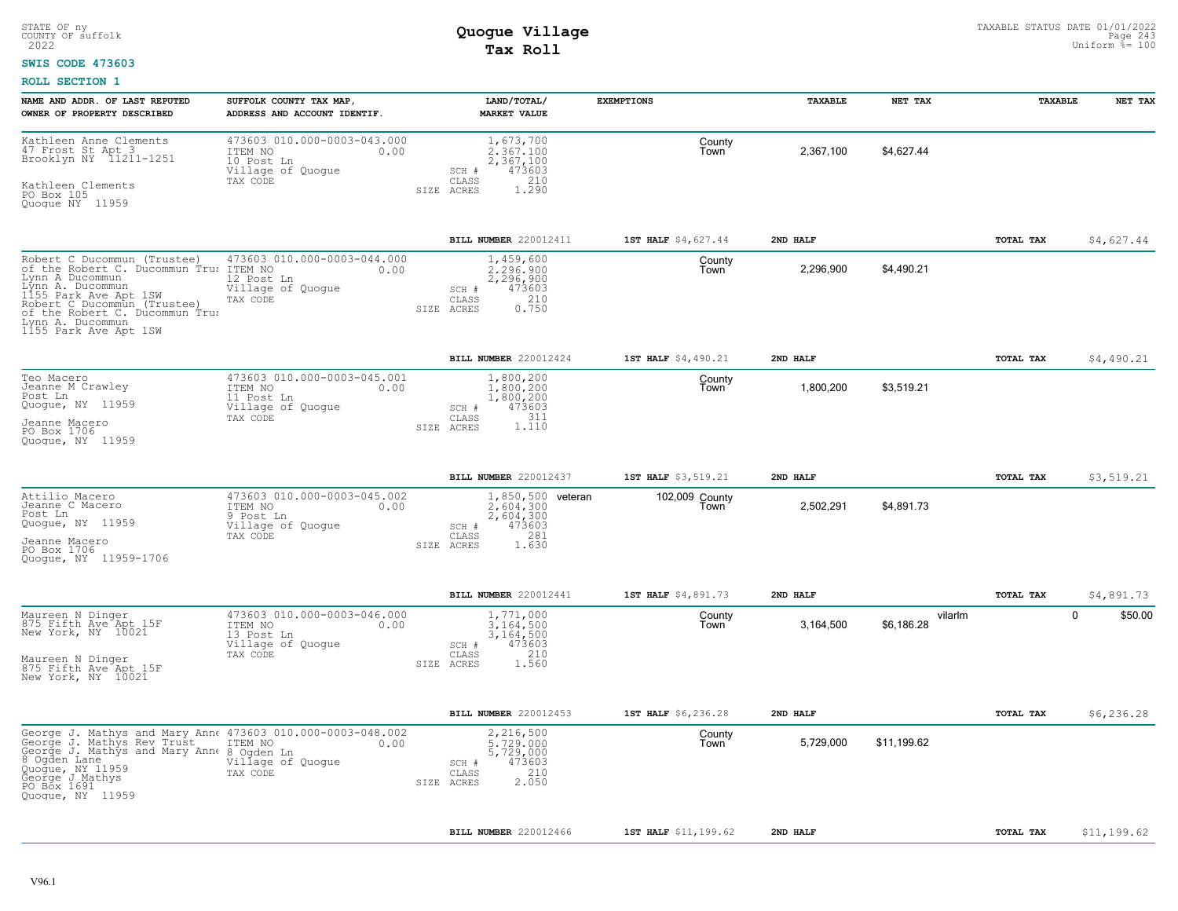#### **SWIS CODE 473603**

| NAME AND ADDR. OF LAST REPUTED<br>OWNER OF PROPERTY DESCRIBED                                                                                                                                                                                       | SUFFOLK COUNTY TAX MAP,<br>ADDRESS AND ACCOUNT IDENTIF.                                       | LAND/TOTAL/<br><b>MARKET VALUE</b>                                                                    | <b>EXEMPTIONS</b>      | TAXABLE   | NET TAX               | TAXABLE   | NET TAX                |
|-----------------------------------------------------------------------------------------------------------------------------------------------------------------------------------------------------------------------------------------------------|-----------------------------------------------------------------------------------------------|-------------------------------------------------------------------------------------------------------|------------------------|-----------|-----------------------|-----------|------------------------|
| Kathleen Anne Clements<br>47 Frost St Apt 3<br>Brooklyn NY 11211-1251<br>Kathleen Clements<br>PO Box 105<br>Quogue NY 11959                                                                                                                         | 473603 010.000-0003-043.000<br>ITEM NO<br>0.00<br>10 Post Ln<br>Village of Quogue<br>TAX CODE | 1,673,700<br>2.367.100<br>2,367,100<br>473603<br>SCH #<br>CLASS<br>210<br>1.290<br>SIZE ACRES         | County<br>Town         | 2,367,100 | \$4,627.44            |           |                        |
|                                                                                                                                                                                                                                                     |                                                                                               | BILL NUMBER 220012411                                                                                 | 1ST HALF \$4,627.44    | 2ND HALF  |                       | TOTAL TAX | \$4,627.44             |
| Robert C Ducommun (Trustee)<br>of the Robert C. Ducommun Tru: ITEM NO<br>Lynn A Ducommun<br>Lýnn A. Ducommun<br>1155 Park Ave Apt 1SW<br>Robert C Ducommun (Trustee)<br>of the Robert C. Ducommun Trus<br>Lynn A. Ducommun<br>1155 Park Ave Apt 1SW | 473603 010.000-0003-044.000<br>0.00<br>12 Post Ln<br>Village of Quogue<br>TAX CODE            | 1,459,600<br>2.296.900<br>2,296,900<br>473603<br>SCH #<br>210<br>CLASS<br>0.750<br>SIZE ACRES         | County<br>Town         | 2,296,900 | \$4,490.21            |           |                        |
|                                                                                                                                                                                                                                                     |                                                                                               | BILL NUMBER 220012424                                                                                 | 1ST HALF \$4,490.21    | 2ND HALF  |                       | TOTAL TAX | \$4,490.21             |
| Teo Macero<br>Jeanne M Crawley<br>Post Ln<br>Quogue, NY 11959<br>Jeanne Macero<br>PO Box 1706<br>Quoque, NY 11959                                                                                                                                   | 473603 010.000-0003-045.001<br>ITEM NO<br>0.00<br>11 Post Ln<br>Village of Quogue<br>TAX CODE | 1,800,200<br>1.800.200<br>1,800,200<br>473603<br>SCH #<br>1.110<br>CLASS<br>SIZE ACRES                | County<br>Town         | 1,800,200 | \$3,519.21            |           |                        |
|                                                                                                                                                                                                                                                     |                                                                                               | BILL NUMBER 220012437                                                                                 | 1ST HALF \$3,519.21    | 2ND HALF  |                       | TOTAL TAX | \$3,519.21             |
| Attilio Macero<br>Jeanne C Macero<br>Post Ln<br>Quogue, NY 11959<br>Jeanne Macero<br>PO Box 1706<br>Quoque, NY 11959-1706                                                                                                                           | 473603 010.000-0003-045.002<br>ITEM NO<br>0.00<br>9 Post Ln<br>Village of Quoque<br>TAX CODE  | 1,850,500 veteran<br>2.604.300<br>2,604,300<br>473603<br>SCH #<br>281<br>CLASS<br>SIZE ACRES<br>1.630 | 102,009 County<br>Town | 2,502,291 | \$4,891.73            |           |                        |
|                                                                                                                                                                                                                                                     |                                                                                               | BILL NUMBER 220012441                                                                                 | 1ST HALF \$4,891.73    | 2ND HALF  |                       | TOTAL TAX | \$4,891.73             |
| Maureen N Dinger<br>875 Fifth Ave Apt 15F<br>New York, NY 10021<br>Maureen N Dinger<br>875 Fifth Ave Apt 15F<br>New York, NY 10021                                                                                                                  | 473603 010.000-0003-046.000<br>ITEM NO<br>0.00<br>13 Post Ln<br>Village of Quogue<br>TAX CODE | 1,771,000<br>3.164.500<br>3,164,500<br>473603<br>SCH #<br>210<br>CLASS<br>1.560<br>SIZE ACRES         | County<br>Town         | 3,164,500 | vilarlm<br>\$6,186.28 |           | $\mathbf 0$<br>\$50.00 |
|                                                                                                                                                                                                                                                     |                                                                                               | BILL NUMBER 220012453                                                                                 | 1ST HALF \$6,236.28    | 2ND HALF  |                       | TOTAL TAX | \$6,236.28             |
| George J. Mathys and Mary Ann  473603 010.000-0003-048.002<br>George J. Mathys Rev Trust<br>George J. Mathys and Mary Anne 8 Ogden Ln<br>8 Ogden Lane<br>Quogue, NY 11959<br>George J Mathys<br>PO Box 1691<br>Quoque, NY 11959                     | ITEM NO<br>0.00<br>Village of Quogue<br>TAX CODE                                              | 2,216,500<br>5,729,000<br>5,729,000<br>473603<br>SCH #<br>210<br>CLASS<br>2.050<br>SIZE ACRES         | County<br>Town         | 5,729,000 | \$11,199.62           |           |                        |
|                                                                                                                                                                                                                                                     |                                                                                               | <b>BILL NUMBER</b> 220012466                                                                          | 1ST HALF \$11,199.62   | 2ND HALF  |                       | TOTAL TAX | \$11,199.62            |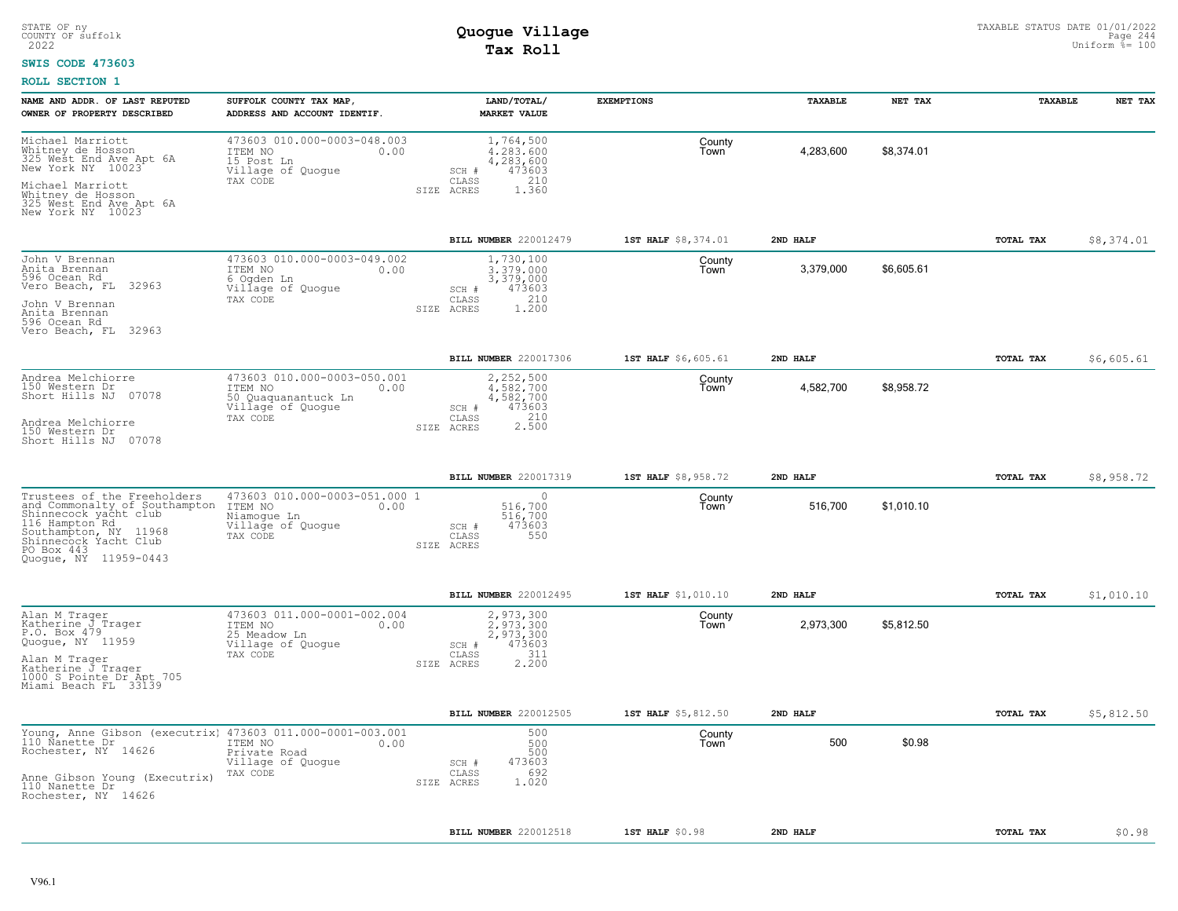#### **SWIS CODE 473603**

| NAME AND ADDR. OF LAST REPUTED<br>OWNER OF PROPERTY DESCRIBED                                                                                                                                                          | SUFFOLK COUNTY TAX MAP,<br>ADDRESS AND ACCOUNT IDENTIF.                                                | LAND/TOTAL/<br><b>MARKET VALUE</b>                                                            | <b>EXEMPTIONS</b>   | <b>TAXABLE</b> | NET TAX    | <b>TAXABLE</b> | NET TAX    |
|------------------------------------------------------------------------------------------------------------------------------------------------------------------------------------------------------------------------|--------------------------------------------------------------------------------------------------------|-----------------------------------------------------------------------------------------------|---------------------|----------------|------------|----------------|------------|
| Michael Marriott<br>Whitney de Hosson<br>325 West End Ave Apt 6A<br>New York NY 10023<br>Michael Marriott                                                                                                              | 473603 010.000-0003-048.003<br>ITEM NO<br>0.00<br>15 Post Ln<br>Village of Quogue<br>TAX CODE          | 1,764,500<br>4.283.600<br>4,283,600<br>473603<br>SCH #<br>210<br>CLASS                        | County<br>Town      | 4,283,600      | \$8,374.01 |                |            |
| Whitney de Hosson<br>325 West End Ave Apt 6A<br>New York NY 10023                                                                                                                                                      |                                                                                                        | 1.360<br>SIZE ACRES                                                                           |                     |                |            |                |            |
|                                                                                                                                                                                                                        |                                                                                                        | BILL NUMBER 220012479                                                                         | 1ST HALF \$8,374.01 | 2ND HALF       |            | TOTAL TAX      | \$8,374.01 |
| John V Brennan<br>Anita Brennan<br>596 Ocean Rd<br>Vero Beach, FL 32963<br>John V Brennan<br>Anita Brennan<br>596 Ocean Rd<br>Vero Beach, FL 32963                                                                     | 473603 010.000-0003-049.002<br>ITEM NO<br>0.00<br>6 Ogden Ln<br>Village of Quogue<br>TAX CODE          | 1,730,100<br>3,379,000<br>3,379,000<br>473603<br>SCH #<br>210<br>CLASS<br>1.200<br>SIZE ACRES | County<br>Town      | 3,379,000      | \$6,605.61 |                |            |
|                                                                                                                                                                                                                        |                                                                                                        | BILL NUMBER 220017306                                                                         | 1ST HALF \$6,605.61 | 2ND HALF       |            | TOTAL TAX      | \$6,605.61 |
| Andrea Melchiorre<br>150 Western Dr<br>Short Hills NJ 07078                                                                                                                                                            | 473603 010.000-0003-050.001<br>ITEM NO<br>0.00<br>50 Quaquanantuck Ln<br>Village of Quogue<br>TAX CODE | 2,252,500<br>4.582.700<br>4,582,700<br>473603<br>SCH #<br>210<br>CLASS                        | County<br>Town      | 4,582,700      | \$8,958.72 |                |            |
| Andrea Melchiorre<br>150 Western Dr<br>Short Hills NJ 07078                                                                                                                                                            |                                                                                                        | 2.500<br>SIZE ACRES                                                                           |                     |                |            |                |            |
|                                                                                                                                                                                                                        |                                                                                                        | BILL NUMBER 220017319                                                                         | 1ST HALF \$8,958.72 | 2ND HALF       |            | TOTAL TAX      | \$8,958.72 |
| Trustees of the Freeholders<br>and Commonalty of Southampton<br>Shinnecock yacht club<br>116 Hampton <sup>-</sup> Rd<br>11968<br>Southampton, NY 11968<br>Shinnecock Yacht Club<br>PO Box 443<br>Quoque, NY 11959-0443 | 473603 010.000-0003-051.000 1<br>ITEM NO<br>0.00<br>Niamogue Ln<br>Village of Quogue<br>TAX CODE       | $\Omega$<br>516.700<br>516,700<br>473603<br>SCH #<br>550<br>CLASS<br>SIZE ACRES               | County<br>Town      | 516,700        | \$1,010.10 |                |            |
|                                                                                                                                                                                                                        |                                                                                                        | BILL NUMBER 220012495                                                                         | 1ST HALF \$1,010.10 | 2ND HALF       |            | TOTAL TAX      | \$1,010.10 |
| Alan M Trager<br>Katherine J Trager<br>P.O. Box 479<br>Quoque, NY 11959<br>Alan M Trager<br>Katherine J Trager<br>1000 S Pointe Dr Apt 705<br>Miami Beach FL 33139                                                     | 473603 011.000-0001-002.004<br>ITEM NO<br>0.00<br>25 Meadow Ln<br>Village of Quogue<br>TAX CODE        | 2,973,300<br>2,973,300<br>2,973,300<br>473603<br>SCH #<br>311<br>CLASS<br>2.200<br>SIZE ACRES | County<br>Town      | 2,973,300      | \$5,812.50 |                |            |
|                                                                                                                                                                                                                        |                                                                                                        | BILL NUMBER 220012505                                                                         | 1ST HALF \$5,812.50 | 2ND HALF       |            | TOTAL TAX      | \$5,812.50 |
| Young, Anne Gibson (executrix) 473603 011.000-0001-003.001<br>110 Nanette Dr<br>Rochester, NY 14626<br>Anne Gibson Young (Executrix)<br>110 Nanette Dr<br>Rochester, NY 14626                                          | ITEM NO<br>0.00<br>Private Road<br>Village of Quogue<br>TAX CODE                                       | 500<br>500<br>500<br>473603<br>SCH #<br>692<br>CLASS<br>1.020<br>SIZE ACRES                   | County<br>Town      | 500            | \$0.98     |                |            |
|                                                                                                                                                                                                                        |                                                                                                        |                                                                                               |                     |                |            |                |            |
|                                                                                                                                                                                                                        |                                                                                                        | BILL NUMBER 220012518                                                                         | 1ST HALF \$0.98     | 2ND HALF       |            | TOTAL TAX      | \$0.98     |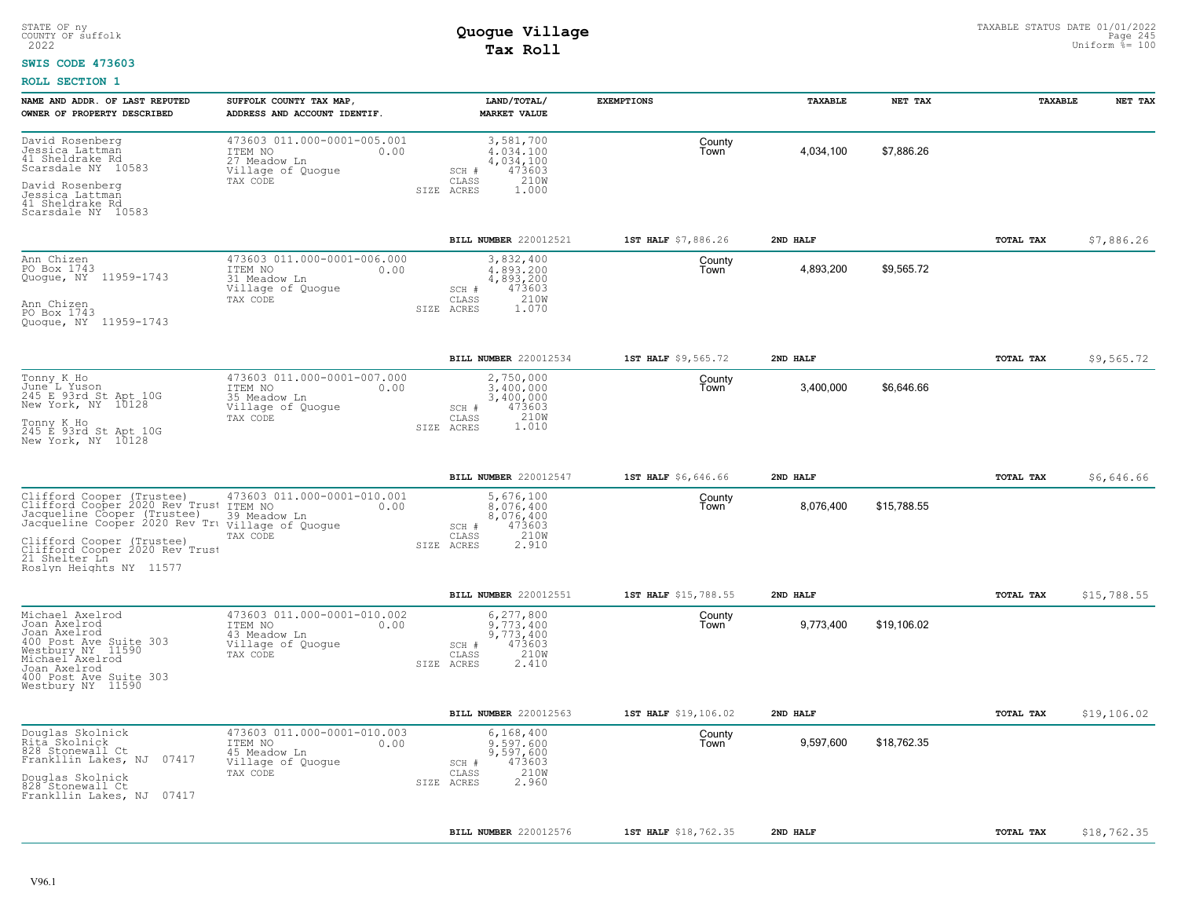#### **SWIS CODE 473603**

| NAME AND ADDR. OF LAST REPUTED<br>OWNER OF PROPERTY DESCRIBED                                                                                                                                 | SUFFOLK COUNTY TAX MAP,<br>ADDRESS AND ACCOUNT IDENTIF.                                         | LAND/TOTAL/<br><b>MARKET VALUE</b>                                                             | <b>EXEMPTIONS</b>    | <b>TAXABLE</b> | NET TAX     | <b>TAXABLE</b> | NET TAX     |
|-----------------------------------------------------------------------------------------------------------------------------------------------------------------------------------------------|-------------------------------------------------------------------------------------------------|------------------------------------------------------------------------------------------------|----------------------|----------------|-------------|----------------|-------------|
| David Rosenberg<br>Jessica Lattman<br>41 Sheldrake Rd<br>Scarsdale NY 10583<br>David Rosenberg                                                                                                | 473603 011.000-0001-005.001<br>ITEM NO<br>0.00<br>27 Meadow Ln<br>Village of Quogue<br>TAX CODE | 3,581,700<br>4.034.100<br>4,034,100<br>473603<br>SCH #<br>210W<br>CLASS<br>1.000               | County<br>Town       | 4,034,100      | \$7,886.26  |                |             |
| Jessica Lattman<br>41 Sheldrake Rd<br>Scarsdale NY 10583                                                                                                                                      |                                                                                                 | SIZE ACRES                                                                                     |                      |                |             |                |             |
|                                                                                                                                                                                               |                                                                                                 | BILL NUMBER 220012521                                                                          | 1ST HALF \$7,886.26  | 2ND HALF       |             | TOTAL TAX      | \$7,886.26  |
| Ann Chizen<br>PO Box 1743<br>Quogue, NY 11959-1743<br>Ann Chizen<br>PO Box 1743<br>Quoque, NY 11959-1743                                                                                      | 473603 011.000-0001-006.000<br>ITEM NO<br>0.00<br>31 Meadow Ln<br>Village of Quogue<br>TAX CODE | 3,832,400<br>4,893,200<br>4,893,200<br>473603<br>SCH #<br>210W<br>CLASS<br>1.070<br>SIZE ACRES | County<br>Town       | 4,893,200      | \$9,565.72  |                |             |
|                                                                                                                                                                                               |                                                                                                 | BILL NUMBER 220012534                                                                          | 1ST HALF \$9,565.72  | 2ND HALF       |             | TOTAL TAX      | \$9,565.72  |
| Tonny K Ho<br>June L Yuson<br>245 E 93rd St Apt 10G<br>New York, NY 10128                                                                                                                     | 473603 011.000-0001-007.000<br>ITEM NO<br>0.00<br>35 Meadow Ln<br>Village of Quogue             | 2,750,000<br>3.400.000<br>3,400,000<br>SCH #<br>473603                                         | County<br>Town       | 3,400,000      | \$6,646.66  |                |             |
| Tonny K Ho<br>245 E 93rd St Apt 10G<br>New York, NY 10128                                                                                                                                     | TAX CODE                                                                                        | CLASS<br>210W<br>1.010<br>SIZE ACRES                                                           |                      |                |             |                |             |
|                                                                                                                                                                                               |                                                                                                 | BILL NUMBER 220012547                                                                          | 1ST HALF \$6,646.66  | 2ND HALF       |             | TOTAL TAX      | \$6,646.66  |
| Clifford Cooper (Trustee)<br>Clifford Cooper 2020 Rev Trust ITEM NO<br>Jacqueline Cooper (Trustee)<br>Jacqueline Cooper 2020 Rev Tri village of Quogue                                        | 473603 011.000-0001-010.001<br>0.00<br>39 Meadow Ln<br>TAX CODE                                 | 5,676,100<br>8,076,400<br>8,076,400<br>473603<br>SCH #<br>CLASS<br>210W                        | County<br>Town       | 8,076,400      | \$15,788.55 |                |             |
| Clifford Cooper (Trustee)<br>Roslyn Heights NY 11577                                                                                                                                          |                                                                                                 | 2.910<br>SIZE ACRES                                                                            |                      |                |             |                |             |
|                                                                                                                                                                                               |                                                                                                 | BILL NUMBER 220012551                                                                          | 1ST HALF \$15,788.55 | 2ND HALF       |             | TOTAL TAX      | \$15,788.55 |
| Michael Axelrod<br>Joan Axelrod<br>Joan Axelrod<br>400 Post Ave Suite 303<br>Westbury NY 11590<br>Michael <sup>-</sup> Axelrod<br>Joan Axelrod<br>400 Post Ave Suite 303<br>Westbury NY 11590 | 473603 011.000-0001-010.002<br>ITEM NO<br>0.00<br>43 Meadow Ln<br>Village of Quogue<br>TAX CODE | 6,277,800<br>9.773.400<br>9,773,400<br>473603<br>SCH #<br>CLASS<br>210W<br>2.410<br>SIZE ACRES | County<br>Town       | 9,773,400      | \$19,106.02 |                |             |
|                                                                                                                                                                                               |                                                                                                 | BILL NUMBER 220012563                                                                          | 1ST HALF \$19,106.02 | 2ND HALF       |             | TOTAL TAX      | \$19,106.02 |
| Douglas Skolnick<br>Ritā Skolnick<br>828 Stonewall Ct<br>Frankllin Lakes, NJ 07417                                                                                                            | 473603 011.000-0001-010.003<br>ITEM NO<br>0.00<br>45 Meadow Ln<br>Village of Quogue<br>TAX CODE | 6,168,400<br>9.597.600<br>9,597,600<br>473603<br>SCH #<br>210W<br>CLASS                        | County<br>Town       | 9,597,600      | \$18,762.35 |                |             |
| Douglas Skolnick<br>828 Stonewall Ct<br>Frankllin Lakes, NJ 07417                                                                                                                             |                                                                                                 | SIZE ACRES<br>2.960                                                                            |                      |                |             |                |             |
|                                                                                                                                                                                               |                                                                                                 | BILL NUMBER 220012576                                                                          | 1ST HALF \$18,762.35 | 2ND HALF       |             | TOTAL TAX      | \$18,762.35 |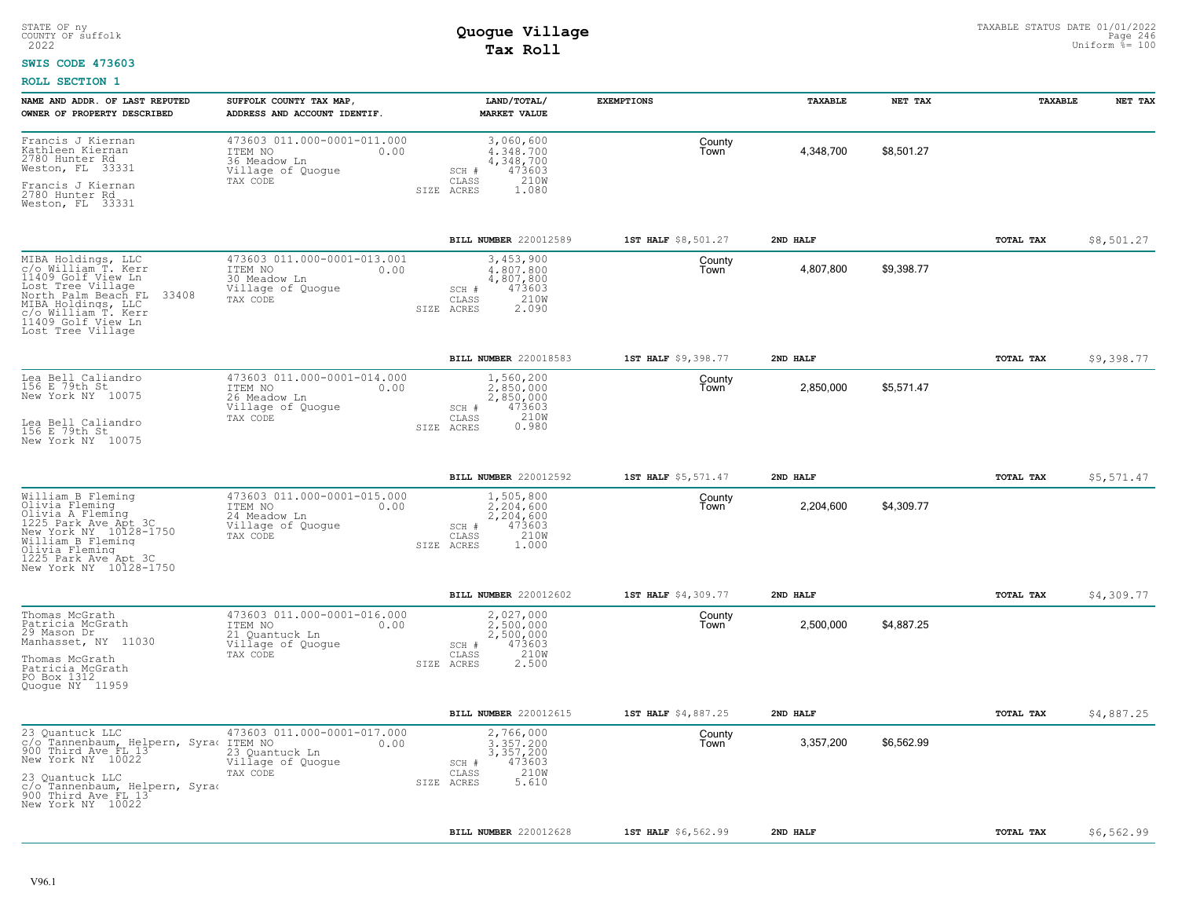#### **SWIS CODE 473603**

| NAME AND ADDR. OF LAST REPUTED<br>OWNER OF PROPERTY DESCRIBED                                                                                                                                                | SUFFOLK COUNTY TAX MAP,<br>ADDRESS AND ACCOUNT IDENTIF.                                           | LAND/TOTAL/<br><b>MARKET VALUE</b>                                                             | <b>EXEMPTIONS</b>   | <b>TAXABLE</b> | NET TAX    | <b>TAXABLE</b> | NET TAX    |
|--------------------------------------------------------------------------------------------------------------------------------------------------------------------------------------------------------------|---------------------------------------------------------------------------------------------------|------------------------------------------------------------------------------------------------|---------------------|----------------|------------|----------------|------------|
| Francis J Kiernan<br>Kathleen Kiernan<br>2780 Hunter Rd<br>Weston, FL 33331<br>Francis J Kiernan                                                                                                             | 473603 011.000-0001-011.000<br>ITEM NO<br>0.00<br>36 Meadow Ln<br>Village of Quogue<br>TAX CODE   | 3,060,600<br>4,348,700<br>4, 348, 700<br>473603<br>SCH #<br>210W<br>CLASS                      | County<br>Town      | 4,348,700      | \$8.501.27 |                |            |
| 2780 Hunter Rd<br>Weston, FL 33331                                                                                                                                                                           |                                                                                                   | 1.080<br>SIZE ACRES                                                                            |                     |                |            |                |            |
|                                                                                                                                                                                                              |                                                                                                   | BILL NUMBER 220012589                                                                          | 1ST HALF \$8,501.27 | 2ND HALF       |            | TOTAL TAX      | \$8,501.27 |
| MIBA Holdings, LLC<br>c/o William T. Kerr<br>11409 Golf View Ln<br>Lost Tree Village<br>North Palm Beach FL<br>33408<br>MIBA Holdings, LLC<br>c/o William T. Kerr<br>11409 Golf View Ln<br>Lost Tree Village | 473603 011.000-0001-013.001<br>ITEM NO<br>0.00<br>30 Meadow Ln<br>Village of Quogue<br>TAX CODE   | 3,453,900<br>4,807,800<br>4,807,800<br>473603<br>SCH #<br>210W<br>CLASS<br>2.090<br>SIZE ACRES | County<br>Town      | 4,807,800      | \$9,398.77 |                |            |
|                                                                                                                                                                                                              |                                                                                                   | <b>BILL NUMBER 220018583</b>                                                                   | 1ST HALF \$9,398.77 | 2ND HALF       |            | TOTAL TAX      | \$9,398.77 |
| Lea Bell Caliandro<br>156 E 79th St<br>New York NY 10075                                                                                                                                                     | 473603 011.000-0001-014.000<br>ITEM NO<br>0.00<br>26 Meadow Ln<br>Village of Quogue<br>TAX CODE   | 1,560,200<br>2,850,000<br>2,850,000<br>473603<br>SCH #<br>210W<br>CLASS                        | County<br>Town      | 2,850,000      | \$5,571.47 |                |            |
| Lea Bell Caliandro<br>156 E 79th St<br>New York NY 10075                                                                                                                                                     |                                                                                                   | 0.980<br>SIZE ACRES                                                                            |                     |                |            |                |            |
|                                                                                                                                                                                                              |                                                                                                   | BILL NUMBER 220012592                                                                          | 1ST HALF \$5,571.47 | 2ND HALF       |            | TOTAL TAX      | \$5,571.47 |
| William B Fleming<br>Olivia Fleming<br>Olivia A Fleming<br>1225 Park Ave Apt 3C<br>New York NY 10128-1750<br>William B Fleming<br>Olivia Fleming<br>1225 Park Ave Apt 3C<br>New York NY 10128-1750           | 473603 011.000-0001-015.000<br>ITEM NO<br>0.00<br>24 Meadow Ln<br>Village of Quogue<br>TAX CODE   | 1,505,800<br>2,204,600<br>2,204,600<br>473603<br>SCH #<br>210W<br>CLASS<br>1.000<br>SIZE ACRES | County<br>Town      | 2,204,600      | \$4,309.77 |                |            |
|                                                                                                                                                                                                              |                                                                                                   | BILL NUMBER 220012602                                                                          | 1ST HALF \$4,309.77 | 2ND HAT.F      |            | TOTAL TAX      | \$4,309.77 |
| Thomas McGrath<br>Patricia McGrath<br>29 Mason Dr<br>Manhasset, NY 11030<br>Thomas McGrath<br>Patricia McGrath<br>PO Box 1312<br>Quoque NY 11959                                                             | 473603 011.000-0001-016.000<br>ITEM NO<br>0.00<br>21 Quantuck Ln<br>Village of Quogue<br>TAX CODE | 2,027,000<br>2,500,000<br>2,500,000<br>473603<br>SCH #<br>210W<br>CLASS<br>2.500<br>SIZE ACRES | County<br>Town      | 2,500,000      | \$4.887.25 |                |            |
|                                                                                                                                                                                                              |                                                                                                   | BILL NUMBER 220012615                                                                          | 1ST HALF \$4,887.25 | 2ND HALF       |            | TOTAL TAX      | \$4,887.25 |
| 23 Quantuck LLC<br>c/o Tannenbaum, Helpern, Syrac<br>900 Third Ave FL 13<br>New York NY 10022<br>23 Quantuck LLC<br>c/o Tannenbaum, Helpern, Syrad<br>900 Third Ave FL 13                                    | 473603 011.000-0001-017.000<br>ITEM NO<br>0.00<br>23 Quantuck Ln<br>Village of Quogue<br>TAX CODE | 2,766,000<br>3,357,200<br>3,357,200<br>473603<br>SCH #<br>210W<br>CLASS<br>5.610<br>SIZE ACRES | County<br>Town      | 3,357,200      | \$6,562.99 |                |            |
| New York NY 10022                                                                                                                                                                                            |                                                                                                   |                                                                                                |                     |                |            |                |            |
|                                                                                                                                                                                                              |                                                                                                   | <b>BILL NUMBER 220012628</b>                                                                   | 1ST HALF \$6,562.99 | 2ND HALF       |            | TOTAL TAX      | \$6,562.99 |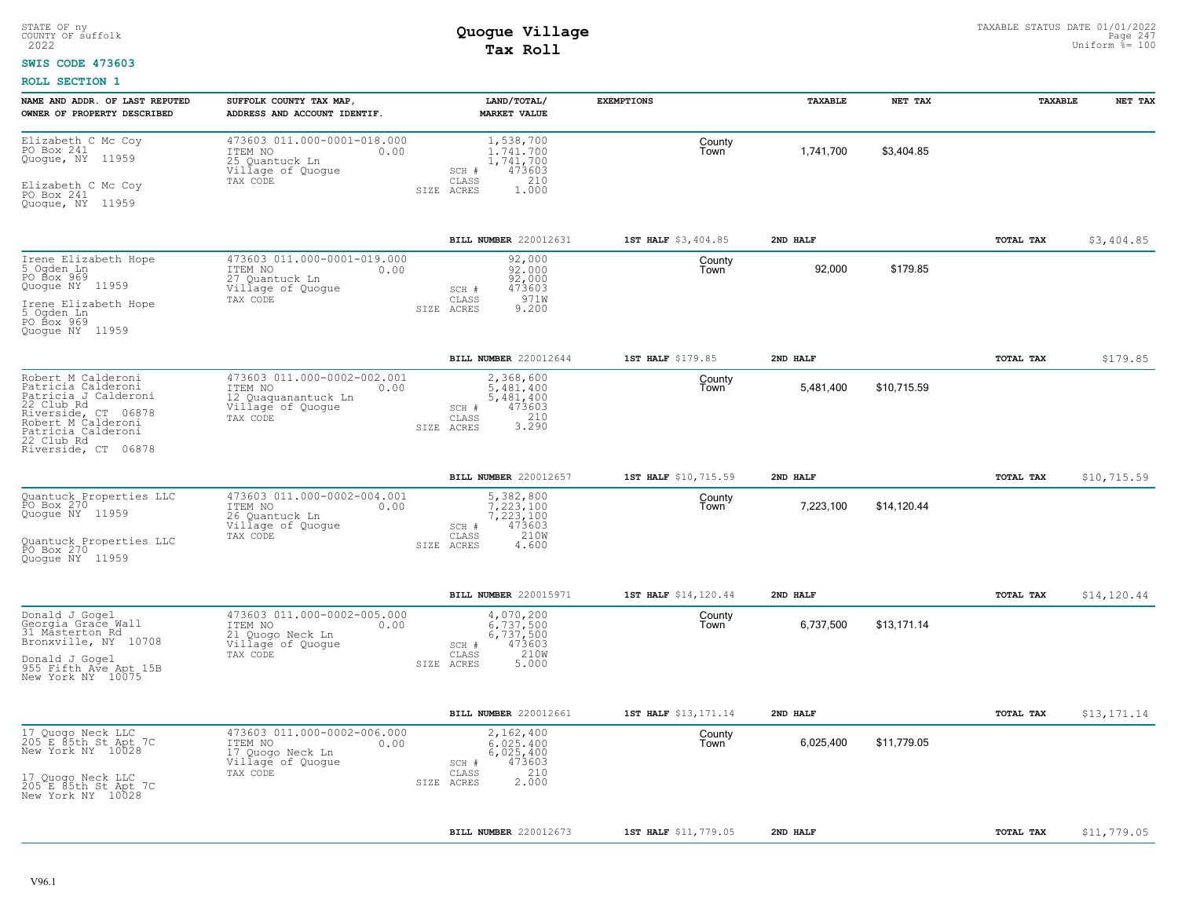#### **SWIS CODE 473603**

| NAME AND ADDR. OF LAST REPUTED<br>OWNER OF PROPERTY DESCRIBED                                                                                                                          | SUFFOLK COUNTY TAX MAP,<br>ADDRESS AND ACCOUNT IDENTIF.                                                | LAND/TOTAL/<br><b>MARKET VALUE</b>                                                                 | <b>EXEMPTIONS</b>    | TAXABLE   | NET TAX     | TAXABLE   | NET TAX     |
|----------------------------------------------------------------------------------------------------------------------------------------------------------------------------------------|--------------------------------------------------------------------------------------------------------|----------------------------------------------------------------------------------------------------|----------------------|-----------|-------------|-----------|-------------|
| Elizabeth C Mc Coy<br>PO Box 241<br>Quogue, NY 11959<br>Elizabeth C Mc Coy<br>PO Box 241<br>Quogue, NY 11959                                                                           | 473603 011.000-0001-018.000<br>ITEM NO<br>0.00<br>25 Quantuck Ln<br>Village of Quogue<br>TAX CODE      | 1,538,700<br>1.741.700<br>1,741,700<br>473603<br>SCH #<br>CLASS<br>210<br>SIZE ACRES<br>1,000      | County<br>Town       | 1,741,700 | \$3,404.85  |           |             |
|                                                                                                                                                                                        |                                                                                                        | BILL NUMBER 220012631                                                                              | 1ST HALF \$3,404.85  | 2ND HALF  |             | TOTAL TAX | \$3,404.85  |
| Irene Elizabeth Hope<br>5 Ogden Ln<br>PO Box 969<br>Quogue NY 11959<br>Irene Elizabeth Hope<br>5 Ogden Ln<br>PO Box 969<br>Quoque NY 11959                                             | 473603 011.000-0001-019.000<br>ITEM NO<br>0.00<br>27 Quantuck Ln<br>Village of Quogue<br>TAX CODE      | 92,000<br>92,000<br>92,000<br>473603<br>SCH #<br>971W<br>CLASS<br>9.200<br>SIZE ACRES              | County<br>Town       | 92,000    | \$179.85    |           |             |
|                                                                                                                                                                                        |                                                                                                        | BILL NUMBER 220012644                                                                              | 1ST HALF \$179.85    | 2ND HALF  |             | TOTAL TAX | \$179.85    |
| Robert M Calderoni<br>Patricia Calderoni<br>Patricia J Calderoni<br>22 Club Rd<br>Riverside, CT 06878<br>Robert M Calderoni<br>Patricia Calderoni<br>22 Club Rd<br>Riverside, CT 06878 | 473603 011.000-0002-002.001<br>ITEM NO<br>0.00<br>12 Quaquanantuck Ln<br>Village of Quogue<br>TAX CODE | 2,368,600<br>5,481,400<br>5,481,400<br>473603<br>SCH #<br>3.290<br>CLASS<br>SIZE ACRES             | County<br>Town       | 5,481,400 | \$10,715.59 |           |             |
|                                                                                                                                                                                        |                                                                                                        | BILL NUMBER 220012657                                                                              | 1ST HALF \$10,715.59 | 2ND HALF  |             | TOTAL TAX | \$10,715.59 |
| Quantuck Properties LLC<br>PO Box 270<br>Quogue NY 11959<br>Quantuck Properties LLC<br>PO Box 270<br>Quoque NY 11959                                                                   | 473603 011.000-0002-004.001<br>ITEM NO<br>0.00<br>26 Quantuck Ln<br>Village of Quoque<br>TAX CODE      | 5,382,800<br>7.223.100<br>7,223,100<br>473603<br>$SCH$ $#$<br>210W<br>CLASS<br>SIZE ACRES<br>4.600 | County<br>Town       | 7,223,100 | \$14,120.44 |           |             |
|                                                                                                                                                                                        |                                                                                                        | BILL NUMBER 220015971                                                                              | 1ST HALF \$14,120.44 | 2ND HALF  |             | TOTAL TAX | \$14,120.44 |
| Donald J Gogel<br>Georgia Grace Wall<br>31 Masterton Rd<br>Bronxville, NY 10708<br>Donald J Gogel<br>955 Fifth Ave Apt 15B<br>New York NY 10075                                        | 473603 011.000-0002-005.000<br>ITEM NO<br>0.00<br>21 Quogo Neck Ln<br>Village of Quogue<br>TAX CODE    | 4,070,200<br>6,737,500<br>6,737,500<br>473603<br>SCH #<br>210W<br>CLASS<br>5.000<br>SIZE ACRES     | County<br>Town       | 6,737,500 | \$13,171.14 |           |             |
|                                                                                                                                                                                        |                                                                                                        | BILL NUMBER 220012661                                                                              | 1ST HALF \$13,171.14 | 2ND HALF  |             | TOTAL TAX | \$13,171.14 |
| 17 Quogo Neck LLC<br>205 E 85th St Apt 7C<br>New York NY 10028<br>17 Quogo Neck LLC<br>205 E 85th St Apt 7C<br>New York NY 10028                                                       | 473603 011.000-0002-006.000<br>ITEM NO<br>0.00<br>17 Quogo Neck Ln<br>Village of Quogue<br>TAX CODE    | 2,162,400<br>6.025.400<br>6,025,400<br>473603<br>SCH #<br>210<br>CLASS<br>2,000<br>SIZE ACRES      | County<br>Town       | 6,025,400 | \$11,779.05 |           |             |
|                                                                                                                                                                                        |                                                                                                        |                                                                                                    |                      |           |             |           |             |
|                                                                                                                                                                                        |                                                                                                        | <b>BILL NUMBER 220012673</b>                                                                       | 1ST HALF \$11,779.05 | 2ND HALF  |             | TOTAL TAX | \$11,779.05 |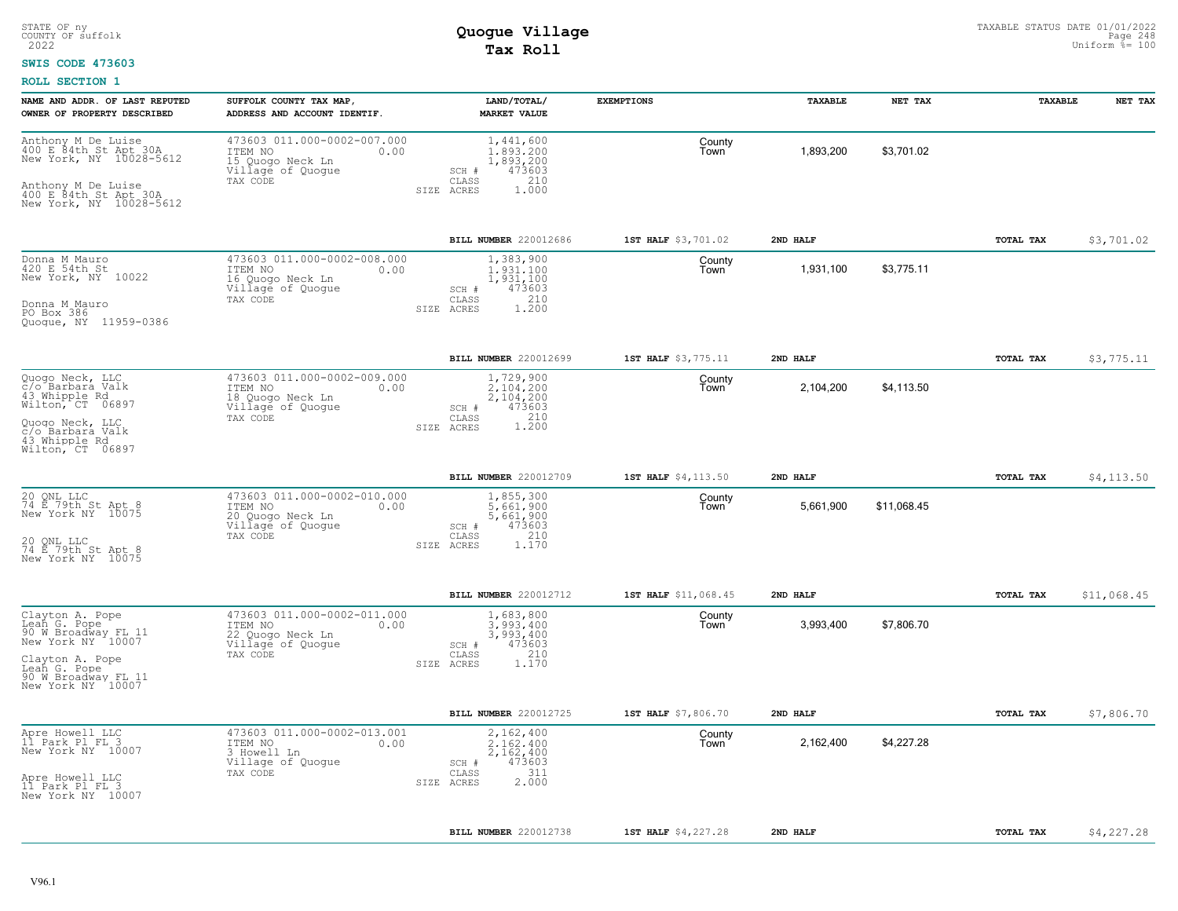#### **SWIS CODE 473603**

| NAME AND ADDR. OF LAST REPUTED<br>OWNER OF PROPERTY DESCRIBED                                                                                              | SUFFOLK COUNTY TAX MAP,<br>ADDRESS AND ACCOUNT IDENTIF.                                             | LAND/TOTAL/<br><b>MARKET VALUE</b>                                                                       | <b>EXEMPTIONS</b>    | TAXABLE   | NET TAX     | TAXABLE   | NET TAX     |
|------------------------------------------------------------------------------------------------------------------------------------------------------------|-----------------------------------------------------------------------------------------------------|----------------------------------------------------------------------------------------------------------|----------------------|-----------|-------------|-----------|-------------|
| Anthony M De Luise<br>400 E 84th St Apt 30A<br>New York, NY 10028-5612<br>Anthony M De Luise<br>400 E 84th St Apt 30A<br>New York, NY 10028-5612           | 473603 011.000-0002-007.000<br>ITEM NO<br>0.00<br>15 Quogo Neck Ln<br>Village of Quogue<br>TAX CODE | 1,441,600<br>1,893,200<br>1,893,200<br>473603<br>SCH #<br>210<br>CLASS<br>SIZE ACRES<br>1.000            | County<br>Town       | 1,893,200 | \$3,701.02  |           |             |
|                                                                                                                                                            |                                                                                                     | BILL NUMBER 220012686                                                                                    | 1ST HALF \$3,701.02  | 2ND HALF  |             | TOTAL TAX | \$3,701.02  |
| Donna M Mauro<br>420 E 54th St<br>New York, NY 10022<br>Donna M Mauro<br>PO Box 386<br>Quoque, NY 11959-0386                                               | 473603 011.000-0002-008.000<br>ITEM NO<br>0.00<br>16 Quogo Neck Ln<br>Village of Quogue<br>TAX CODE | 1,383,900<br>1,931,100<br>1,931,100<br>473603<br>SCH #<br>210<br>$\mathtt{CLASS}$<br>1,200<br>SIZE ACRES | County<br>Town       | 1,931,100 | \$3,775.11  |           |             |
|                                                                                                                                                            |                                                                                                     | BILL NUMBER 220012699                                                                                    | 1ST HALF \$3,775.11  | 2ND HALF  |             | TOTAL TAX | \$3,775.11  |
| Quogo Neck, LLC<br>c/o Barbara Valk<br>43 Whipple Rd<br>Wilton, CT 06897<br>Quoqo Neck, LLC<br>c/o Barbara Valk                                            | 473603 011.000-0002-009.000<br>ITEM NO<br>0.00<br>18 Quoqo Neck Ln<br>Village of Quogue<br>TAX CODE | 1,729,900<br>2,104,200<br>2,104,200<br>473603<br>SCH #<br>1.210<br>CLASS<br>SIZE ACRES                   | County<br>Town       | 2,104,200 | \$4,113.50  |           |             |
| 43 Whipple Rd<br>Wilton, CT 06897                                                                                                                          |                                                                                                     |                                                                                                          |                      |           |             |           |             |
|                                                                                                                                                            |                                                                                                     | BILL NUMBER 220012709                                                                                    | 1ST HALF \$4,113.50  | 2ND HALF  |             | TOTAL TAX | \$4, 113.50 |
| 20 QNL LLC<br>74 E 79th St Apt 8<br>New York NY 10075<br>20 ONL LLC<br>74 E 79th St Apt 8<br>New York NY 10075                                             | 473603 011,000-0002-010.000<br>ITEM NO<br>0.00<br>20 Quogo Neck Ln<br>Village of Quogue<br>TAX CODE | 1,855,300<br>5.661.900<br>5,661,900<br>473603<br>SCH #<br>210<br>CLASS<br>1.170<br>SIZE ACRES            | County<br>Town       | 5,661,900 | \$11,068.45 |           |             |
|                                                                                                                                                            |                                                                                                     | BILL NUMBER 220012712                                                                                    | 1ST HALF \$11,068.45 | 2ND HALF  |             | TOTAL TAX | \$11,068.45 |
| Clayton A. Pope<br>Leah G. Pope<br>90 W Broadway FL 11<br>New York NY 10007<br>Clayton A. Pope<br>Leah G. Pope<br>90 W Broadway FL 11<br>New York NY 10007 | 473603 011.000-0002-011.000<br>ITEM NO<br>0.00<br>22 Quogo Neck Ln<br>Village of Quogue<br>TAX CODE | 1,683,800<br>3,993,400<br>3,993,400<br>473603<br>SCH #<br>210<br>CLASS<br>1.170<br>SIZE ACRES            | County<br>Town       | 3,993,400 | \$7,806.70  |           |             |
|                                                                                                                                                            |                                                                                                     | <b>BILL NUMBER 220012725</b>                                                                             | 1ST HALF \$7,806.70  | 2ND HALF  |             | TOTAL TAX | \$7,806.70  |
| Apre Howell LLC<br>11 Park Pl FL 3<br>New York NY 10007<br>Apre Howell LLC<br>11 Park Pl FL 3<br>New York NY 10007                                         | 473603 011,000-0002-013.001<br>ITEM NO<br>0.00<br>3 Howell Ln<br>Village of Quogue<br>TAX CODE      | 2,162,400<br>2.162.400<br>2,162,400<br>473603<br>SCH #<br>311<br>CLASS<br>2.000<br>SIZE ACRES            | County<br>Town       | 2,162,400 | \$4,227.28  |           |             |
|                                                                                                                                                            |                                                                                                     | BILL NUMBER 220012738                                                                                    | 1ST HALF \$4,227.28  | 2ND HALF  |             | TOTAL TAX | \$4,227.28  |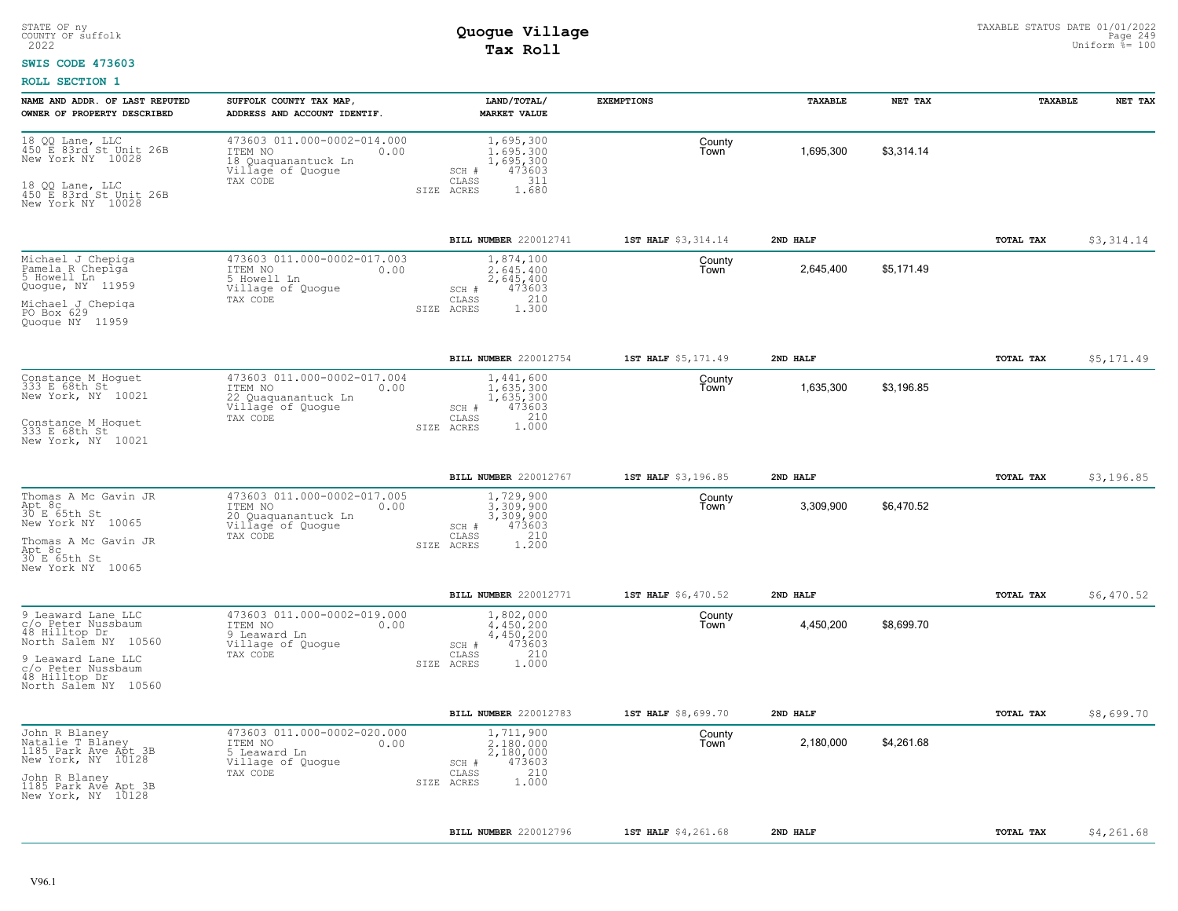#### **SWIS CODE 473603**

| NAME AND ADDR. OF LAST REPUTED<br>OWNER OF PROPERTY DESCRIBED                                                                                                          | SUFFOLK COUNTY TAX MAP<br>ADDRESS AND ACCOUNT IDENTIF.                                                 | LAND/TOTAL/<br><b>MARKET VALUE</b>                                                            | <b>EXEMPTIONS</b>   | TAXABLE   | NET TAX    | TAXABLE          | NET TAX    |
|------------------------------------------------------------------------------------------------------------------------------------------------------------------------|--------------------------------------------------------------------------------------------------------|-----------------------------------------------------------------------------------------------|---------------------|-----------|------------|------------------|------------|
| 18 QQ Lane, LLC<br>450 E 83rd St Unit 26B<br>New York NY 10028<br>18 QQ Lane, LLC<br>450 E 83rd St Unit 26B<br>New York NY 10028                                       | 473603 011.000-0002-014.000<br>ITEM NO<br>0.00<br>18 Quaquanantuck Ln<br>Village of Quogue<br>TAX CODE | 1,695,300<br>1,695,300<br>1,695,300<br>473603<br>SCH #<br>311<br>CLASS<br>SIZE ACRES<br>1.680 | County<br>Town      | 1,695,300 | \$3,314.14 |                  |            |
|                                                                                                                                                                        |                                                                                                        | <b>BILL NUMBER 220012741</b>                                                                  | 1ST HALF \$3,314.14 | 2ND HALF  |            | TOTAL TAX        | \$3,314.14 |
| Michael J Chepiga<br>Pamela R Chepiga<br>5 Howell Ln<br>Quogue, NY 11959<br>Michael J Chepiga<br>PO Box 629<br>Quoque NY 11959                                         | 473603 011.000-0002-017.003<br>0.00<br>ITEM NO<br>5 Howell Ln<br>Village of Quogue<br>TAX CODE         | 1,874,100<br>2,645,400<br>2,645,400<br>473603<br>SCH #<br>210<br>CLASS<br>1,300<br>SIZE ACRES | County<br>Town      | 2,645,400 | \$5,171.49 |                  |            |
|                                                                                                                                                                        |                                                                                                        | BILL NUMBER 220012754                                                                         | 1ST HALF \$5,171.49 | 2ND HALF  |            | TOTAL TAX        | \$5,171.49 |
| Constance M Hoguet<br>333 E 68th St<br>New York, NY 10021<br>Constance M Hoquet<br>333 E 68th St<br>New York, NY 10021                                                 | 473603 011.000-0002-017.004<br>ITEM NO<br>0.00<br>22 Quaquanantuck Ln<br>Village of Quogue<br>TAX CODE | 1,441,600<br>1,635,300<br>1,635,300<br>473603<br>SCH #<br>210<br>CLASS<br>1,000<br>SIZE ACRES | County<br>Town      | 1,635,300 | \$3,196.85 |                  |            |
|                                                                                                                                                                        |                                                                                                        | BILL NUMBER 220012767                                                                         | 1ST HALF \$3,196.85 | 2ND HALF  |            | TOTAL TAX        | \$3,196.85 |
| Thomas A Mc Gavin JR<br>Apt 8c<br>30 E 65th St<br>New York NY 10065<br>Thomas A Mc Gavin JR<br>Apt 8c<br>30 E 65th St<br>New York NY 10065                             | 473603 011.000-0002-017.005<br>ITEM NO<br>0.00<br>20 Quaquanantuck Ln<br>Village of Quogue<br>TAX CODE | 1,729,900<br>3,309,900<br>3,309,900<br>473603<br>SCH #<br>210<br>CLASS<br>1.200<br>SIZE ACRES | County<br>Town      | 3,309,900 | \$6,470.52 |                  |            |
|                                                                                                                                                                        |                                                                                                        | BILL NUMBER 220012771                                                                         | 1ST HALF \$6,470.52 | 2ND HALF  |            | TOTAL TAX        | \$6,470.52 |
| 9 Leaward Lane LLC<br>c/o Peter Nussbaum<br>48 Hilltop Dr<br>North Salem NY 10560<br>9 Leaward Lane LLC<br>c/o Peter Nussbaum<br>48 Hilltop Dr<br>North Salem NY 10560 | 473603 011.000-0002-019.000<br>ITEM NO<br>0.00<br>9 Leaward Ln<br>Village of Quogue<br>TAX CODE        | 1,802,000<br>4,450,200<br>4,450,200<br>473603<br>SCH #<br>210<br>CLASS<br>SIZE ACRES<br>1,000 | County<br>Town      | 4,450,200 | \$8,699.70 |                  |            |
|                                                                                                                                                                        |                                                                                                        | <b>BILL NUMBER 220012783</b>                                                                  | 1ST HALF \$8,699.70 | 2ND HALF  |            | <b>TOTAL TAX</b> | \$8,699.70 |
| John R Blaney<br>Natalie T Blaney<br>1185 Park Ave Apt 3B<br>New York, NY 10128<br>John R Blaney<br>1185 Park Ave Apt 3B<br>New York, NY 10128                         | 473603 011.000-0002-020.000<br>ITEM NO<br>0.00<br>5 Leaward Ln<br>Village of Quogue<br>TAX CODE        | 1,711,900<br>2,180,000<br>2,180,000<br>473603<br>SCH #<br>210<br>CLASS<br>1,000<br>SIZE ACRES | County<br>Town      | 2,180,000 | \$4,261.68 |                  |            |
|                                                                                                                                                                        |                                                                                                        | BILL NUMBER 220012796                                                                         | 1ST HALF \$4,261.68 | 2ND HALF  |            | TOTAL TAX        | \$4,261.68 |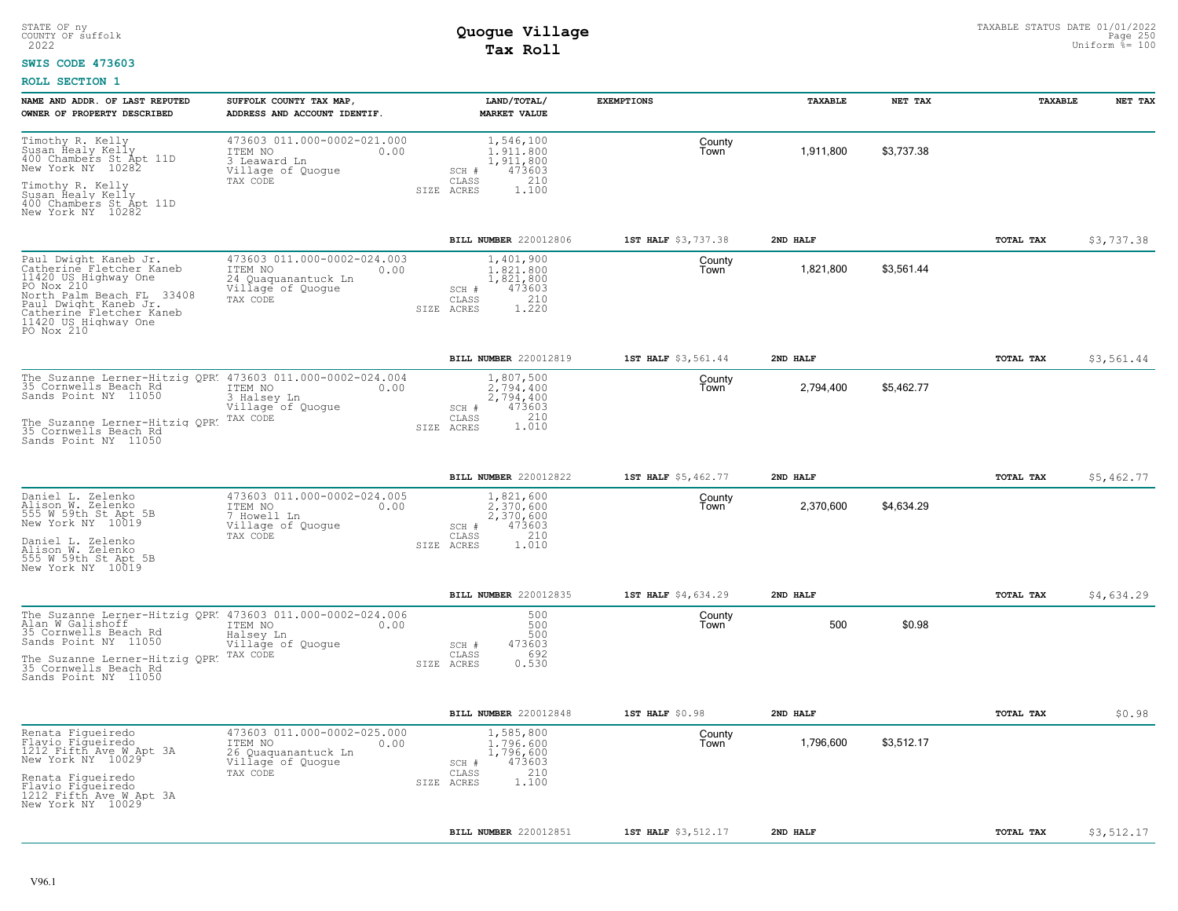#### **SWIS CODE 473603**

| NAME AND ADDR. OF LAST REPUTED<br>OWNER OF PROPERTY DESCRIBED                                                                                                                                                   | SUFFOLK COUNTY TAX MAP<br>ADDRESS AND ACCOUNT IDENTIF.                                                 | LAND/TOTAL/<br>MARKET VALUE                                                                              | <b>EXEMPTIONS</b>   | <b>TAXABLE</b> | NET TAX    | <b>TAXABLE</b> | NET TAX    |
|-----------------------------------------------------------------------------------------------------------------------------------------------------------------------------------------------------------------|--------------------------------------------------------------------------------------------------------|----------------------------------------------------------------------------------------------------------|---------------------|----------------|------------|----------------|------------|
| Timothy R. Kelly<br>Susan Healy Kelly<br>400 Chambers St Apt 11D<br>New York NY 10282<br>Timothy R. Kelly<br>Susan Healy Kelly                                                                                  | 473603 011.000-0002-021.000<br>ITEM NO<br>0.00<br>3 Leaward Ln<br>Village of Quogue<br>TAX CODE        | 1,546,100<br>1,911,800<br>1,911,800<br>473603<br>SCH #<br>210<br>$\mathtt{CLASS}$<br>SIZE ACRES<br>1.100 | County<br>Town      | 1,911,800      | \$3,737.38 |                |            |
| 400 Chambers St Apt 11D<br>New York NY 10282                                                                                                                                                                    |                                                                                                        |                                                                                                          |                     |                |            |                |            |
|                                                                                                                                                                                                                 |                                                                                                        | BILL NUMBER 220012806                                                                                    | 1ST HALF \$3,737.38 | 2ND HALF       |            | TOTAL TAX      | \$3,737.38 |
| Paul Dwight Kaneb Jr.<br>Catherine Fletcher Kaneb<br>11420 US Highway One<br>PO Nox 210<br>North Palm Beach FL 33408<br>Paul Dwight Kaneb Jr.<br>Catherine Fletcher Kaneb<br>11420 US Highway One<br>PO Nox 210 | 473603 011.000-0002-024.003<br>ITEM NO<br>0.00<br>24 Quaquanantuck Ln<br>Village of Quogue<br>TAX CODE | 1,401,900<br>1,821,800<br>1,821,800<br>473603<br>SCH #<br>210<br>CLASS<br>1,220<br>SIZE ACRES            | County<br>Town      | 1,821,800      | \$3,561.44 |                |            |
|                                                                                                                                                                                                                 |                                                                                                        | BILL NUMBER 220012819                                                                                    | 1ST HALF \$3,561.44 | 2ND HALF       |            | TOTAL TAX      | \$3,561.44 |
| The Suzanne Lerner-Hitzig QPR: 473603 011.000-0002-024.004<br>35 Cornwells Beach Rd<br>Sands Point NY 11050                                                                                                     | ITEM NO<br>0.00<br>3 Halsey Ln<br>Village of Quogue                                                    | 1,807,500<br>2.794.400<br>2,794,400<br>473603<br>SCH #<br>CLASS<br>210                                   | County<br>l own     | 2,794,400      | \$5,462.77 |                |            |
| The Suzanne Lerner-Hitzig OPR. TAX CODE<br>35 Cornwells Beach Rd.<br>Sands Point NY 11050                                                                                                                       |                                                                                                        | 1.010<br>SIZE ACRES                                                                                      |                     |                |            |                |            |
|                                                                                                                                                                                                                 |                                                                                                        | BILL NUMBER 220012822                                                                                    | 1ST HALF \$5,462.77 | 2ND HALF       |            | TOTAL TAX      | \$5,462.77 |
| Daniel L. Zelenko<br>Alison W. Zelenko<br>555 W 59th St Apt 5B<br>New York NY 10019<br>Daniel L. Zelenko<br>Alison W. Zelenko<br>555 W 59th St Apt 5B<br>New York NY 10019                                      | 473603 011.000-0002-024.005<br>ITEM NO<br>0.00<br>7 Howell Ln<br>Village of Quogue<br>TAX CODE         | 1,821,600<br>2,370,600<br>2,370,600<br>473603<br>SCH #<br>210<br>CLASS<br>1.010<br>SIZE ACRES            | County<br>Town      | 2,370,600      | \$4,634.29 |                |            |
|                                                                                                                                                                                                                 |                                                                                                        | BILL NUMBER 220012835                                                                                    | 1ST HALF \$4,634.29 | 2ND HALF       |            | TOTAL TAX      | \$4,634.29 |
| The Suzanne Lerner-Hitzig QPR. 473603 011.000-0002-024.006<br>Alan W Galishoff<br>35 Cornwells Beach Rd<br>Sands Point NY 11050<br>The Suzanne Lerner-Hitzig QPR.                                               | ITEM NO<br>0.00<br>Halsey Ln<br>Village of Quoque<br>TAX CODE                                          | 500<br>500<br>500<br>473603<br>SCH #<br>692<br>CLASS                                                     | County<br>Town      | 500            | \$0.98     |                |            |
| 35 Cornwells Beach Rd<br>Sands Point NY 11050                                                                                                                                                                   |                                                                                                        | 0.530<br>SIZE ACRES                                                                                      |                     |                |            |                |            |
|                                                                                                                                                                                                                 |                                                                                                        | BILL NUMBER 220012848                                                                                    | 1ST HALF \$0.98     | 2ND HALF       |            | TOTAL TAX      | \$0.98     |
| Renata Fiqueiredo<br>Flavio Figueiredo<br>1212 Fifth Ave W Apt 3A<br>New York NY 10029                                                                                                                          | 473603 011.000-0002-025.000<br>ITEM NO<br>0.00<br>26 Quaquanantuck Ln<br>Village of Quogue             | 1,585,800<br>1,796,600<br>1,796,600<br>473603<br>SCH #<br>210                                            | County<br>Town      | 1,796,600      | \$3.512.17 |                |            |
| Renata Figueiredo<br>Flavio Figueiredo<br>1212 Fifth Ave W Apt 3A<br>New York NY 10029                                                                                                                          | TAX CODE                                                                                               | CLASS<br>1.100<br>SIZE ACRES                                                                             |                     |                |            |                |            |
|                                                                                                                                                                                                                 |                                                                                                        | BILL NUMBER 220012851                                                                                    | 1ST HALF \$3,512.17 | 2ND HALF       |            | TOTAL TAX      | \$3,512.17 |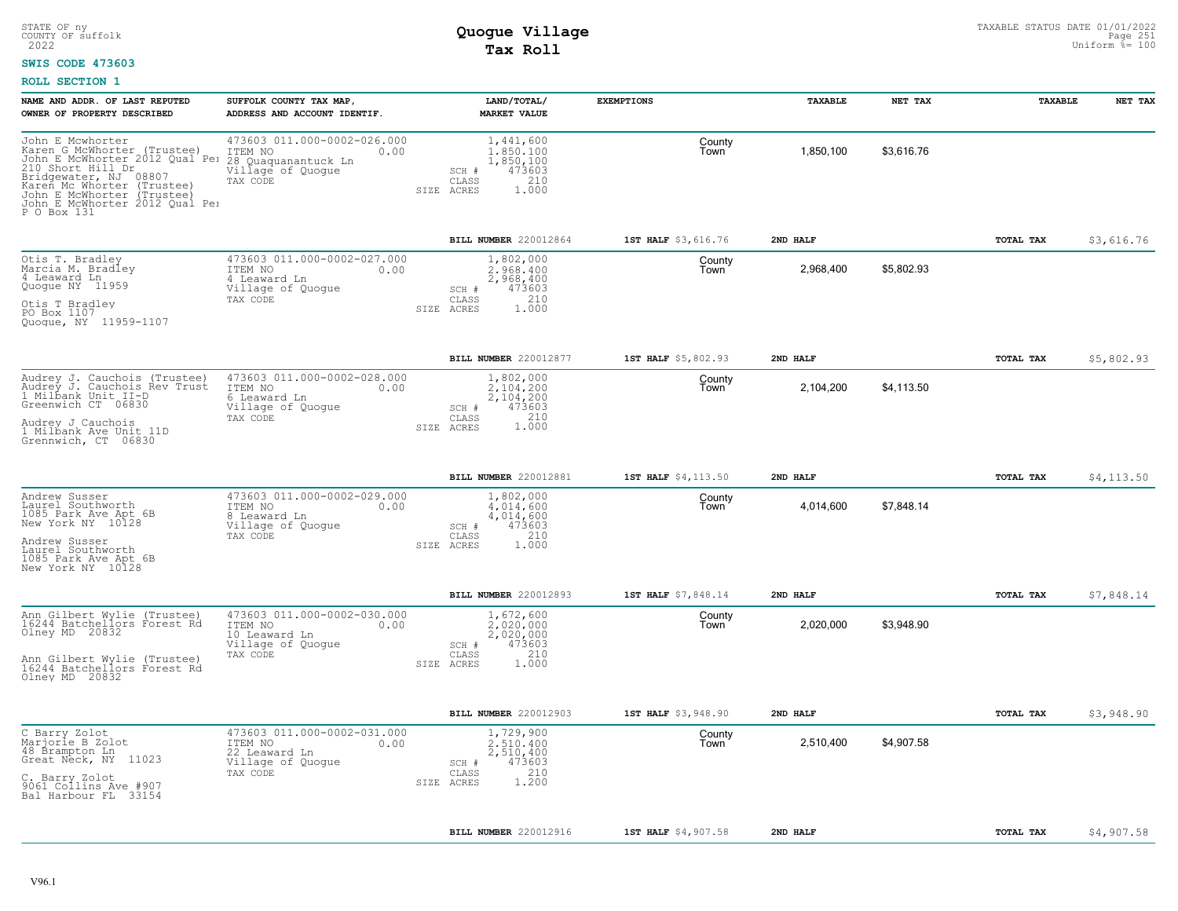#### **SWIS CODE 473603**

| OWNER OF PROPERTY DESCRIBED<br>John E Mcwhorter                                                                                                                                                                                              | ADDRESS AND ACCOUNT IDENTIF.                                                                     | <b>MARKET VALUE</b>                                                                           |                     |           |            |                  |             |
|----------------------------------------------------------------------------------------------------------------------------------------------------------------------------------------------------------------------------------------------|--------------------------------------------------------------------------------------------------|-----------------------------------------------------------------------------------------------|---------------------|-----------|------------|------------------|-------------|
|                                                                                                                                                                                                                                              |                                                                                                  |                                                                                               |                     |           |            |                  |             |
| Karen G McWhorter (Trustee)<br>John E McWhorter 2012 Qual Pel 28 Quaquanantuck Ln<br>210 Short Hill Dr<br>Bridgewater, NJ 08807<br>Karen Mc Whorter (Trustee)<br>John E McWhorter (Trustee)<br>John E McWhorter 2012 Qual Per<br>P O Box 131 | 473603 011.000-0002-026.000<br>ITEM NO<br>0.00<br>Village of Quogue<br>TAX CODE                  | 1,441,600<br>1,850,100<br>1,850,100<br>473603<br>SCH #<br>210<br>CLASS<br>1.000<br>SIZE ACRES | County<br>Town      | 1,850,100 | \$3,616.76 |                  |             |
|                                                                                                                                                                                                                                              |                                                                                                  | BILL NUMBER 220012864                                                                         | 1ST HALF \$3,616.76 | 2ND HALF  |            | TOTAL TAX        | \$3,616.76  |
| Otis T. Bradley<br>Marcia M. Bradley<br>4 Leaward Ln<br>Quogue NY 11959<br>Otis T Bradley<br>PO Box 1107<br>Quogue, NY 11959-1107                                                                                                            | 473603 011.000-0002-027.000<br>ITEM NO<br>0.00<br>4 Leaward Ln<br>Village of Quogue<br>TAX CODE  | 1,802,000<br>2.968.400<br>2,968,400<br>473603<br>SCH #<br>CLASS<br>210<br>SIZE ACRES<br>1,000 | County<br>Town      | 2,968,400 | \$5,802.93 |                  |             |
|                                                                                                                                                                                                                                              |                                                                                                  | BILL NUMBER 220012877                                                                         | 1ST HALF \$5,802.93 | 2ND HALF  |            | TOTAL TAX        | \$5,802.93  |
| Audrey J. Cauchois (Trustee)<br>Audrey J. Cauchois Rev Trust<br>1 Milbank Unit II-D<br>Greenwich CT 06830<br>Audrey J Cauchois<br>1 Milbank Ave Unit 11D<br>Grennwich, CT 06830                                                              | 473603 011.000-0002-028.000<br>ITEM NO<br>0.00<br>6 Leaward Ln<br>Village of Quogue<br>TAX CODE  | 1,802,000<br>2.104.200<br>2,104,200<br>473603<br>SCH #<br>210<br>CLASS<br>1,000<br>SIZE ACRES | County<br>Town      | 2,104,200 | \$4,113.50 |                  |             |
|                                                                                                                                                                                                                                              |                                                                                                  |                                                                                               |                     |           |            |                  |             |
|                                                                                                                                                                                                                                              |                                                                                                  | BILL NUMBER 220012881                                                                         | 1ST HALF \$4,113.50 | 2ND HALF  |            | TOTAL TAX        | \$4, 113.50 |
| Andrew Susser<br>Laurel Southworth<br>1085 Park Ave Apt 6B<br>New York NY 10128<br>Andrew Susser<br>Laurel Southworth<br>1085 Park Ave Apt 6B<br>New York NY 10128                                                                           | 473603 011.000-0002-029.000<br>ITEM NO<br>0.00<br>8 Leaward Ln<br>Village of Quogue<br>TAX CODE  | 1,802,000<br>4.014.600<br>4,014,600<br>473603<br>SCH #<br>210<br>CLASS<br>SIZE ACRES<br>1,000 | County<br>l own     | 4,014,600 | \$7,848.14 |                  |             |
|                                                                                                                                                                                                                                              |                                                                                                  | BILL NUMBER 220012893                                                                         | 1ST HALF \$7,848.14 | 2ND HALF  |            | TOTAL TAX        | \$7,848.14  |
| Ann Gilbert Wylie (Trustee)<br>16244 Batchellors Forest Rd<br>Olney MD 20832<br>Ann Gilbert Wylie (Trustee)<br>16244 Batchellors Forest Rd<br>Olney MD 20832                                                                                 | 473603 011.000-0002-030.000<br>ITEM NO<br>0.00<br>10 Leaward Ln<br>Village of Quogue<br>TAX CODE | 1,672,600<br>2.020.000<br>2,020,000<br>473603<br>SCH #<br>210<br>CLASS<br>SIZE ACRES<br>1.000 | County<br>Town      | 2,020,000 | \$3,948.90 |                  |             |
|                                                                                                                                                                                                                                              |                                                                                                  | BILL NUMBER 220012903                                                                         | 1ST HALF \$3,948.90 | 2ND HALF  |            | <b>TOTAL TAX</b> | \$3,948.90  |
| C Barry Zolot<br>Marjorie B Zolot<br>48 Brampton Ln<br>Great Neck, NY 11023<br>C. Barry Zolot<br>9061 Collins Ave #907<br>Bal Harbour FL 33154                                                                                               | 473603 011.000-0002-031.000<br>ITEM NO<br>0.00<br>22 Leaward Ln<br>Village of Quogue<br>TAX CODE | 1,729,900<br>2.510.400<br>2,510,400<br>SCH #<br>473603<br>210<br>CLASS<br>1,200<br>SIZE ACRES | County<br>Town      | 2,510,400 | \$4,907.58 |                  |             |
|                                                                                                                                                                                                                                              |                                                                                                  |                                                                                               |                     |           |            |                  |             |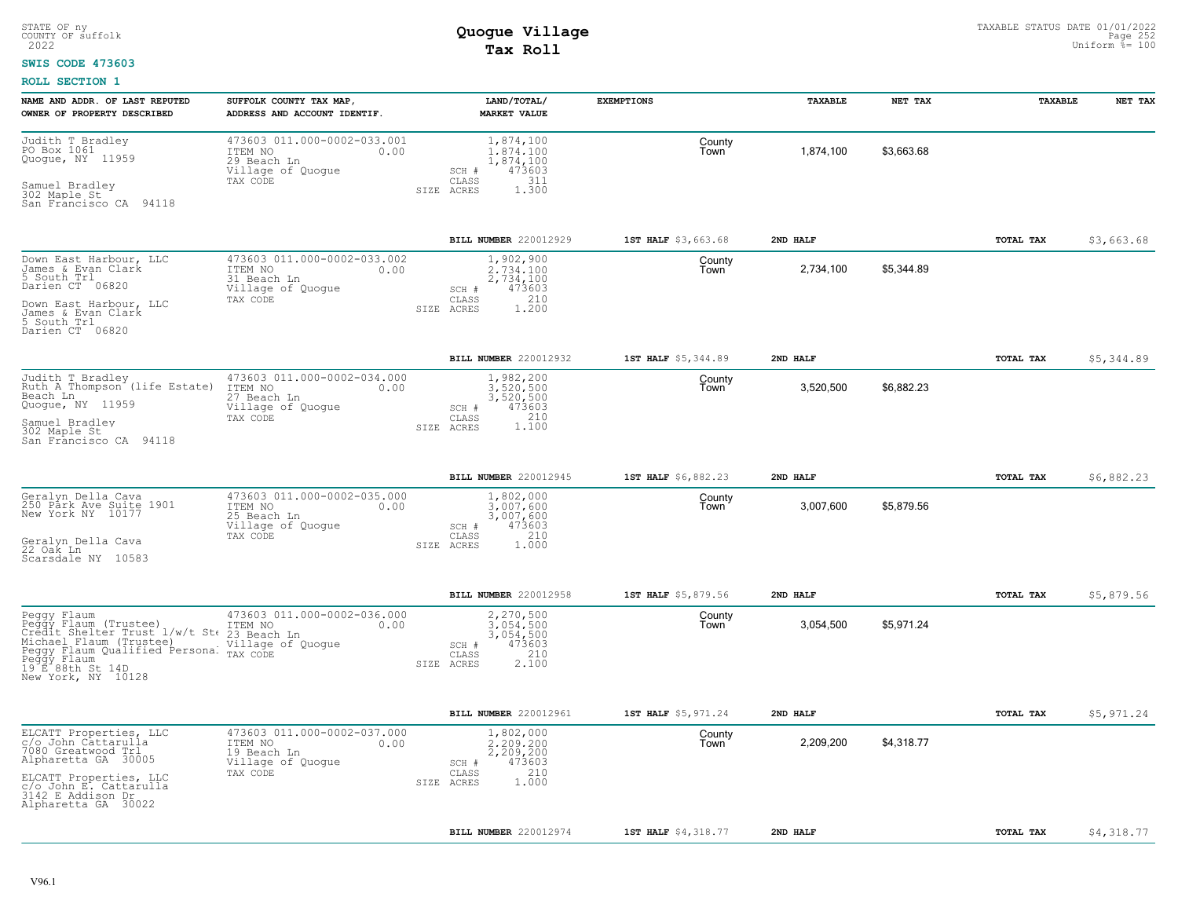#### **SWIS CODE 473603**

| NAME AND ADDR. OF LAST REPUTED<br>OWNER OF PROPERTY DESCRIBED                                                                                                                                                                                   | SUFFOLK COUNTY TAX MAP,<br>ADDRESS AND ACCOUNT IDENTIF.                                        | LAND/TOTAL/<br><b>MARKET VALUE</b>                                                            | <b>EXEMPTIONS</b>   | TAXABLE   | NET TAX    | TAXABLE          | NET TAX    |
|-------------------------------------------------------------------------------------------------------------------------------------------------------------------------------------------------------------------------------------------------|------------------------------------------------------------------------------------------------|-----------------------------------------------------------------------------------------------|---------------------|-----------|------------|------------------|------------|
| Judith T Bradley<br>PO Box 1061<br>Quogue, NY 11959<br>Samuel Bradley<br>302 Maple St<br>San Francisco CA 94118                                                                                                                                 | 473603 011.000-0002-033.001<br>ITEM NO<br>0.00<br>29 Beach Ln<br>Village of Quogue<br>TAX CODE | 1,874,100<br>1.874.100<br>1,874,100<br>473603<br>SCH #<br>CLASS<br>311<br>1.300<br>SIZE ACRES | County<br>Town      | 1,874,100 | \$3,663.68 |                  |            |
|                                                                                                                                                                                                                                                 |                                                                                                | BILL NUMBER 220012929                                                                         | 1ST HALF \$3,663.68 | 2ND HALF  |            | TOTAL TAX        | \$3,663.68 |
| Down East Harbour, LLC<br>James & Evan Clark<br>5 South Trl<br>Darien CT 06820<br>Down East Harbour, LLC<br>James & Evan Clark<br>5 South Trl<br>Darien CT 06820                                                                                | 473603 011.000-0002-033.002<br>ITEM NO<br>0.00<br>31 Beach Ln<br>Village of Quoque<br>TAX CODE | 1,902,900<br>2.734.100<br>2,734,100<br>473603<br>SCH #<br>210<br>CLASS<br>SIZE ACRES<br>1,200 | County<br>Town      | 2,734,100 | \$5,344.89 |                  |            |
|                                                                                                                                                                                                                                                 |                                                                                                | BILL NUMBER 220012932                                                                         | 1ST HALF \$5,344.89 | 2ND HALF  |            | TOTAL TAX        | \$5,344.89 |
| Judith T Bradley<br>Ruth A Thompson <sup>-</sup> (life Estate)<br>Beach Ln<br>Quogue, NY 11959<br>Samuel Bradley<br>302 Maple St<br>San Francisco CA 94118                                                                                      | 473603 011.000-0002-034.000<br>ITEM NO<br>0.00<br>27 Beach Ln<br>Village of Quogue<br>TAX CODE | 1,982,200<br>3.520.500<br>3,520,500<br>473603<br>SCH #<br>210<br>CLASS<br>1.100<br>SIZE ACRES | County<br>Town      | 3,520,500 | \$6,882.23 |                  |            |
|                                                                                                                                                                                                                                                 |                                                                                                | BILL NUMBER 220012945                                                                         | 1ST HALF \$6,882.23 | 2ND HALF  |            | <b>TOTAL TAX</b> | \$6,882.23 |
| Geralyn Della Cava<br>250 Párk Ave Suite 1901<br>New York NY 10177<br>Geralyn Della Cava<br>22 Oak Ln<br>Scarsdale NY 10583                                                                                                                     | 473603 011.000-0002-035.000<br>ITEM NO<br>0.00<br>25 Beach Ln<br>Village of Quogue<br>TAX CODE | 1,802,000<br>3,007,600<br>3,007,600<br>473603<br>SCH #<br>210<br>CLASS<br>SIZE ACRES<br>1.000 | County<br>Town      | 3,007,600 | \$5,879.56 |                  |            |
|                                                                                                                                                                                                                                                 |                                                                                                | BILL NUMBER 220012958                                                                         | 1ST HALF \$5,879.56 | 2ND HALF  |            | <b>TOTAL TAX</b> | \$5,879.56 |
| Peggy Flaum (Trustee) 473603 011.0<br>Peggy Flaum (Trustee) 175M NO<br>Credit Shelter Trust 1/w/t St 23 Beach Ln<br>Michael Flaum (Trustee)<br>Peggy Flaum Qualified Persona: TAX CODE<br>Peggy Flaum<br>19 E 88th St 14D<br>New York, NY 10128 | 473603 011.000-0002-036.000<br>0.00<br>Village of Quogue                                       | 2,270,500<br>3,054,500<br>3,054,500<br>473603<br>SCH #<br>210<br>CLASS<br>2.100<br>SIZE ACRES | County<br>Town      | 3,054,500 | \$5,971.24 |                  |            |
|                                                                                                                                                                                                                                                 |                                                                                                | BILL NUMBER 220012961                                                                         | 1ST HALF \$5,971.24 | 2ND HALF  |            | TOTAL TAX        | \$5,971.24 |
| ELCATT Properties, LLC<br>c/o John Cattarulla<br>7080 Greatwood Trl<br>Alpharetta GA 30005<br>ELCATT Properties, LLC<br>c/o John E. Cattarulla<br>3142 E Addison Dr.<br>Alpharetta GA 30022                                                     | 473603 011.000-0002-037.000<br>ITEM NO<br>0.00<br>19 Beach Ln<br>Village of Quogue<br>TAX CODE | 1,802,000<br>2,209,200<br>2,209,200<br>473603<br>SCH #<br>210<br>CLASS<br>1.000<br>SIZE ACRES | County<br>Town      | 2,209,200 | \$4,318.77 |                  |            |
|                                                                                                                                                                                                                                                 |                                                                                                | BILL NUMBER 220012974                                                                         | 1ST HALF \$4,318.77 | 2ND HALF  |            | TOTAL TAX        | \$4,318.77 |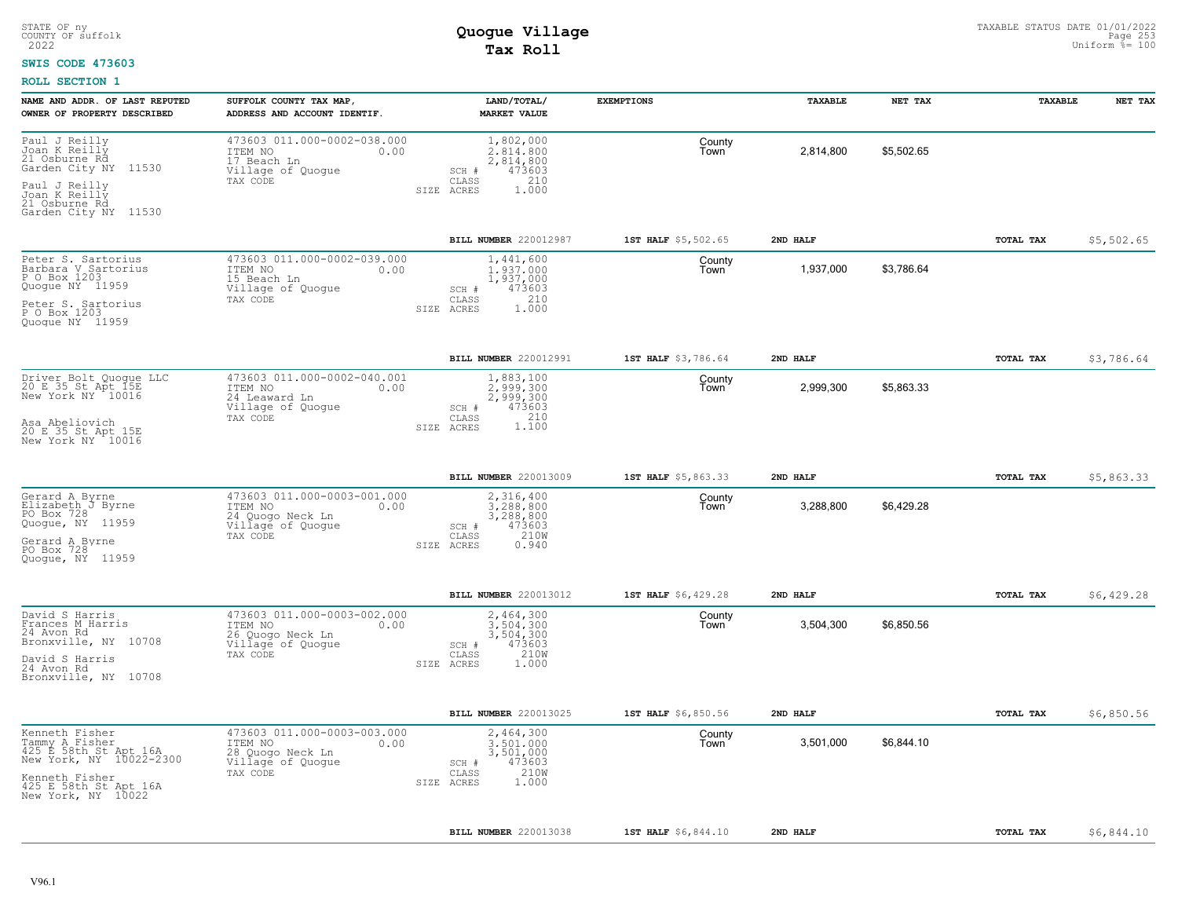#### **SWIS CODE 473603**

|                                                                                                                                                       | ADDRESS AND ACCOUNT IDENTIF.                                                                        | <b>MARKET VALUE</b>                                                                            | <b>EXEMPTIONS</b>   | TAXABLE   | NET TAX    | TAXABLE   | NET TAX    |
|-------------------------------------------------------------------------------------------------------------------------------------------------------|-----------------------------------------------------------------------------------------------------|------------------------------------------------------------------------------------------------|---------------------|-----------|------------|-----------|------------|
| Paul J Reilly<br>Joan K Reilly<br>21 Osburne Rd<br>Garden City NY 11530<br>Paul J Reilly<br>Joan K Reilly<br>21 Osburne Rd                            | 473603 011.000-0002-038.000<br>ITEM NO<br>0.00<br>17 Beach Ln<br>Village of Quogue<br>TAX CODE      | 1,802,000<br>2.814.800<br>2,814,800<br>473603<br>SCH #<br>210<br>CLASS<br>SIZE ACRES<br>1,000  | County<br>Town      | 2,814,800 | \$5,502.65 |           |            |
| Garden City NY 11530                                                                                                                                  |                                                                                                     |                                                                                                |                     |           |            |           |            |
|                                                                                                                                                       |                                                                                                     | BILL NUMBER 220012987                                                                          | 1ST HALF \$5,502.65 | 2ND HALF  |            | TOTAL TAX | \$5,502.65 |
| Peter S. Sartorius<br>Barbara V Sartorius<br>P O Box 1203<br>Quogue NY 11959                                                                          | 473603 011.000-0002-039.000<br>ITEM NO<br>0.00<br>15 Beach Ln<br>Village of Quogue<br>TAX CODE      | 1,441,600<br>1.937.000<br>1,937,000<br>473603<br>SCH #<br>210<br>CLASS                         | County<br>Town      | 1,937,000 | \$3,786.64 |           |            |
| Peter S. Sartorius<br>P O Box 1203<br>Quoque NY 11959                                                                                                 |                                                                                                     | 1.000<br>SIZE ACRES                                                                            |                     |           |            |           |            |
|                                                                                                                                                       |                                                                                                     | BILL NUMBER 220012991                                                                          | 1ST HALF \$3,786.64 | 2ND HALF  |            | TOTAL TAX | \$3,786.64 |
| Driver Bolt Quoque LLC<br>20 E 35 St Apt 15E<br>New York NY 10016                                                                                     | 473603 011.000-0002-040.001<br>ITEM NO<br>0.00<br>24 Leaward Ln<br>Village of Quoque                | 1,883,100<br>2.999.300<br>2,999,300<br>473603<br>SCH #                                         | County<br>Town      | 2,999,300 | \$5,863.33 |           |            |
| Asa Abeliovich<br>20 E 35 St Apt 15E<br>New York NY 10016                                                                                             | TAX CODE                                                                                            | 210<br>CLASS<br>1,100<br>SIZE ACRES                                                            |                     |           |            |           |            |
|                                                                                                                                                       |                                                                                                     | BILL NUMBER 220013009                                                                          | 1ST HALF \$5,863.33 | 2ND HALF  |            | TOTAL TAX | \$5,863.33 |
| Gerard A Byrne<br>Elizabeth J Byrne<br>PO Box 728                                                                                                     | 473603 011.000-0003-001.000<br>ITEM NO<br>0.00<br>24 Quogo Neck Ln                                  | 2,316,400<br>3.288.800<br>3,288,800                                                            | County<br>Town      | 3,288,800 | \$6,429.28 |           |            |
| Quogue, NY 11959<br>Gerard A Byrne<br>PO Box 728<br>Quoque, NY 11959                                                                                  | Village of Quogue<br>TAX CODE                                                                       | 473603<br>SCH #<br>210W<br>CLASS<br>SIZE ACRES<br>0.940                                        |                     |           |            |           |            |
|                                                                                                                                                       |                                                                                                     | BILL NUMBER 220013012                                                                          | 1ST HALF \$6,429.28 | 2ND HALF  |            | TOTAL TAX | \$6,429.28 |
| David S Harris<br>Frances M Harris<br>24 Avon Rd                                                                                                      | 473603 011,000-0003-002.000<br>ITEM NO<br>0.00<br>26 Quogo Neck Ln                                  | 2,464,300<br>3.504.300<br>3,504,300                                                            | County<br>Town      | 3,504,300 | \$6,850.56 |           |            |
| Bronxville, NY 10708<br>David S Harris<br>24 Avon Rd<br>Bronxville, NY 10708                                                                          | Village of Quogue<br>TAX CODE                                                                       | 473603<br>SCH #<br>210W<br>CLASS<br>SIZE ACRES<br>1,000                                        |                     |           |            |           |            |
|                                                                                                                                                       |                                                                                                     | BILL NUMBER 220013025                                                                          | 1ST HALF \$6,850.56 | 2ND HALF  |            | TOTAL TAX | \$6,850.56 |
| Kenneth Fisher<br>Tammy A Fisher<br>425 E 58th St Apt 16A<br>New York, NY 10022-2300<br>Kenneth Fisher<br>425 E 58th St Apt 16A<br>New York, NY 10022 | 473603 011.000-0003-003.000<br>ITEM NO<br>0.00<br>28 Quogo Neck Ln<br>Village of Quogue<br>TAX CODE | 2,464,300<br>3,501,000<br>3,501,000<br>473603<br>SCH #<br>210W<br>CLASS<br>1.000<br>SIZE ACRES | County<br>Town      | 3,501,000 | \$6,844.10 |           |            |
|                                                                                                                                                       |                                                                                                     | BILL NUMBER 220013038                                                                          | 1ST HALF \$6,844.10 | 2ND HALF  |            | TOTAL TAX | \$6,844.10 |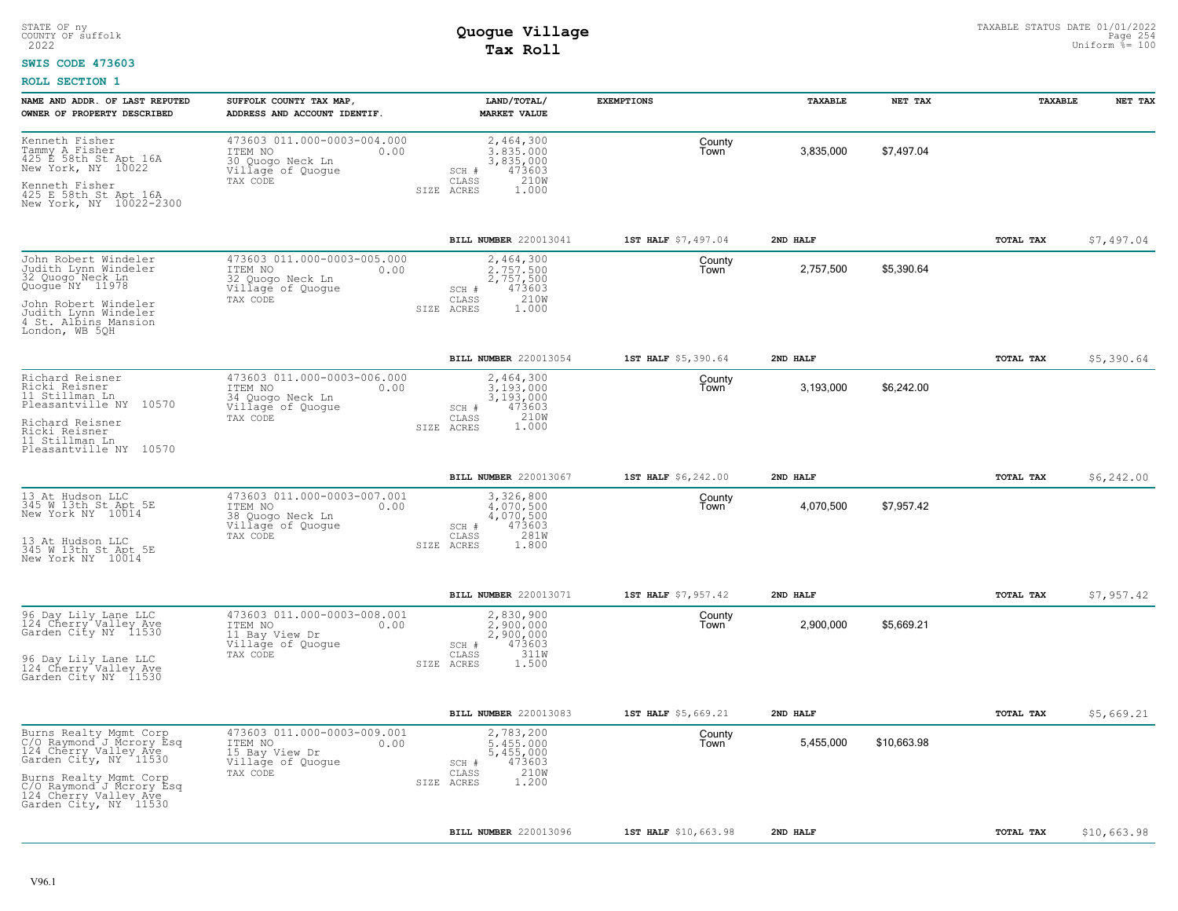### **SWIS CODE 473603**

| NAME AND ADDR. OF LAST REPUTED<br>OWNER OF PROPERTY DESCRIBED                                                          | SUFFOLK COUNTY TAX MAP<br>ADDRESS AND ACCOUNT IDENTIF.                                              | LAND/TOTAL/<br><b>MARKET VALUE</b>                                                             | <b>EXEMPTIONS</b>    | TAXABLE   | NET TAX     | TAXABLE          | NET TAX     |
|------------------------------------------------------------------------------------------------------------------------|-----------------------------------------------------------------------------------------------------|------------------------------------------------------------------------------------------------|----------------------|-----------|-------------|------------------|-------------|
| Kenneth Fisher<br>Tammy A Fisher<br>425 E 58th St Apt 16A<br>New York, NY 10022                                        | 473603 011.000-0003-004.000<br>ITEM NO<br>0.00<br>30 Quogo Neck Ln<br>Village of Quogue<br>TAX CODE | 2,464,300<br>3.835.000<br>3,835,000<br>473603<br>SCH #<br>210W<br>CLASS<br>SIZE ACRES<br>1,000 | County<br>Town       | 3,835,000 | \$7,497.04  |                  |             |
| Kenneth Fisher<br>425 E 58th St Apt 16A<br>New York, NY 10022-2300                                                     |                                                                                                     |                                                                                                |                      |           |             |                  |             |
|                                                                                                                        |                                                                                                     | BILL NUMBER 220013041                                                                          | 1ST HALF \$7,497.04  | 2ND HALF  |             | <b>TOTAL TAX</b> | \$7,497.04  |
| John Robert Windeler<br>Judith Lynn Windeler<br>32 Quogo Neck Ln<br>Quogue NY 11978                                    | 473603 011.000-0003-005.000<br>ITEM NO<br>0.00<br>32 Quogo Neck Ln<br>Village of Quogue             | 2,464,300<br>2.757.500<br>2,757,500<br>473603<br>SCH #                                         | County<br>Town       | 2,757,500 | \$5,390.64  |                  |             |
| John Robert Windeler<br>Judith Lynn Windeler<br>4 St. Albins Mansion<br>London, WB 5QH                                 | TAX CODE                                                                                            | 210W<br>CLASS<br>SIZE ACRES<br>1,000                                                           |                      |           |             |                  |             |
|                                                                                                                        |                                                                                                     | BILL NUMBER 220013054                                                                          | 1ST HALF \$5,390.64  | 2ND HALF  |             | <b>TOTAL TAX</b> | \$5,390.64  |
| Richard Reisner<br>Ricki Reisner<br>11 Stillman Ln<br>Pleasantville NY 10570                                           | 473603 011.000-0003-006.000<br>ITEM NO<br>0.00<br>34 Quogo Neck Ln<br>Village of Quogue             | 2,464,300<br>3.193.000<br>3,193,000<br>473603<br>SCH #                                         | County<br>Town       | 3,193,000 | \$6,242.00  |                  |             |
| Richard Reisner<br>Ricki Reisner<br>11 Stillman Ln<br>Pleasantville NY 10570                                           | TAX CODE                                                                                            | 210W<br>CLASS<br>1.000<br>SIZE ACRES                                                           |                      |           |             |                  |             |
|                                                                                                                        |                                                                                                     | BILL NUMBER 220013067                                                                          | 1ST HALF \$6,242.00  | 2ND HALF  |             | TOTAL TAX        | \$6,242.00  |
| 13 At Hudson LLC<br>345 W 13th St Apt 5E<br>New York NY 10014                                                          | 473603 011.000-0003-007.001<br>ITEM NO<br>0.00<br>38 Quogo Neck Ln<br>Village of Quogue             | 3,326,800<br>4.070.500<br>4,070,500<br>473603<br>SCH #                                         | County<br>Town       | 4,070,500 | \$7,957.42  |                  |             |
| 13 At Hudson LLC<br>345 W 13th St Apt 5E<br>New York NY 10014                                                          | TAX CODE                                                                                            | 281W<br>CLASS<br>SIZE ACRES<br>1.800                                                           |                      |           |             |                  |             |
|                                                                                                                        |                                                                                                     | BILL NUMBER 220013071                                                                          | 1ST HALF \$7,957.42  | 2ND HALF  |             | <b>TOTAL TAX</b> | \$7,957.42  |
| 96 Day Lily Lane LLC<br>124 Cherry Valley Ave<br>Garden City NY 11530                                                  | 473603 011.000-0003-008.001<br>ITEM NO<br>0.00<br>11 Bay View Dr<br>Village of Quogue               | 2,830,900<br>2.900.000<br>2,900,000<br>473603<br>SCH #                                         | County<br>Town       | 2,900,000 | \$5,669.21  |                  |             |
| 96 Day Lily Lane LLC<br>124 Cherry Valley Ave<br>Garden City NY 11530                                                  | TAX CODE                                                                                            | 311W<br>CLASS<br>SIZE ACRES<br>1.500                                                           |                      |           |             |                  |             |
|                                                                                                                        |                                                                                                     | BILL NUMBER 220013083                                                                          | 1ST HALF \$5,669.21  | 2ND HALF  |             | <b>TOTAL TAX</b> | \$5,669.21  |
| Burns Realty Mgmt Corp<br>C/O Raymond J Mcrory Esq<br>124 Cherry Valley Ave<br>Cander City NW<br>Garden City, NY 11530 | 473603 011.000-0003-009.001<br>ITEM NO<br>0.00<br>15 Bay View Dr<br>Village of Quogue               | 2,783,200<br>5.455.000<br>5,455,000<br>473603<br>SCH #                                         | County<br>Town       | 5,455,000 | \$10,663.98 |                  |             |
| Burns Realty Mgmt Corp<br>C/O Raymond J Mcrory Esq<br>124 Cherry Valley Ave<br>Garden City, NY 11530                   | TAX CODE                                                                                            | 210W<br>CLASS<br>1,200<br>SIZE ACRES                                                           |                      |           |             |                  |             |
|                                                                                                                        |                                                                                                     | <b>BILL NUMBER 220013096</b>                                                                   | 1ST HALF \$10,663.98 | 2ND HALF  |             | TOTAL TAX        | \$10,663.98 |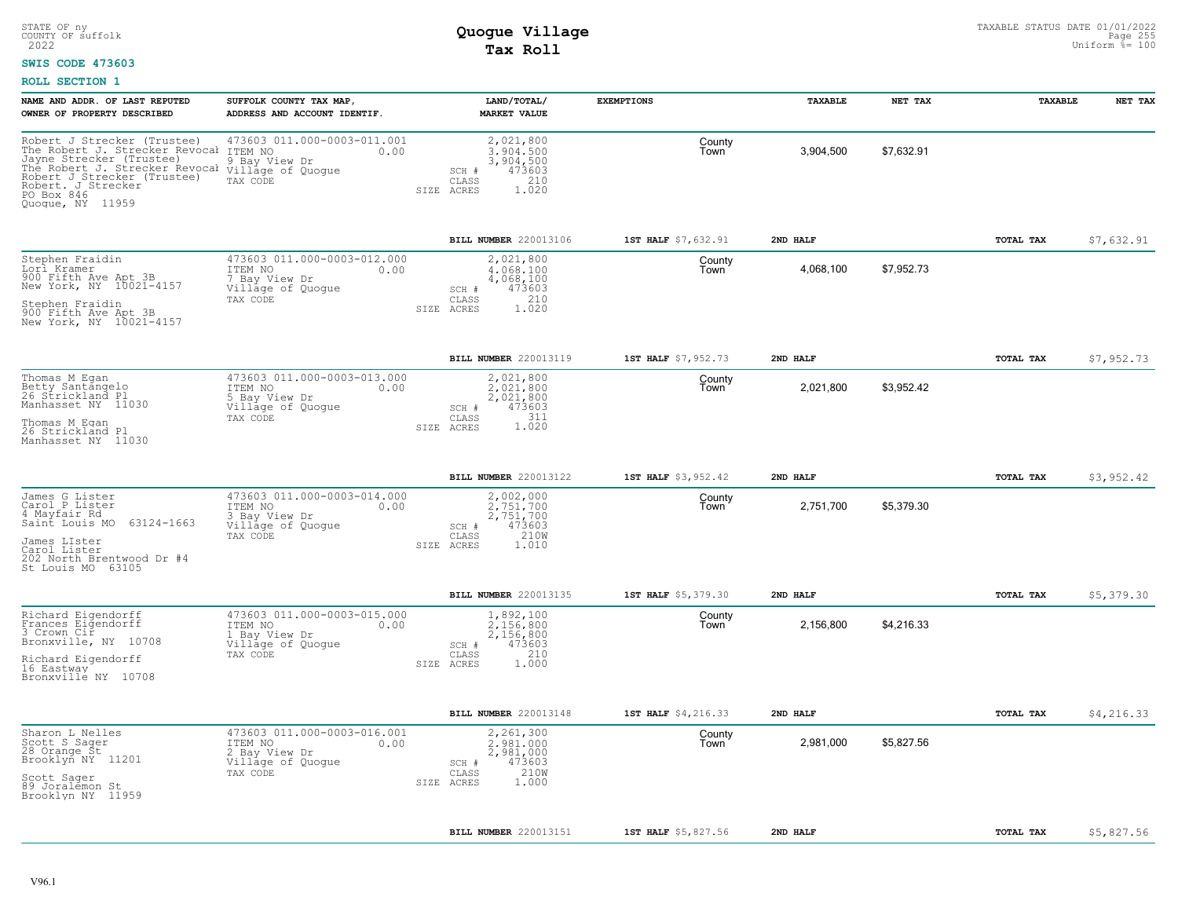### **SWIS CODE 473603**

| NAME AND ADDR. OF LAST REPUTED<br>OWNER OF PROPERTY DESCRIBED                                                                                                                                                      | SUFFOLK COUNTY TAX MAP<br>ADDRESS AND ACCOUNT IDENTIF.                                           | LAND/TOTAL/<br><b>MARKET VALUE</b>                                                             | <b>EXEMPTIONS</b>   | TAXABLE   | NET TAX    | TAXABLE          | NET TAX    |
|--------------------------------------------------------------------------------------------------------------------------------------------------------------------------------------------------------------------|--------------------------------------------------------------------------------------------------|------------------------------------------------------------------------------------------------|---------------------|-----------|------------|------------------|------------|
| Robert J Strecker (Trustee)<br>The Robert J. Strecker Revocal<br>Jayne Strecker (Trustee)<br>The Robert J. Strecker Revocal<br>Robert J Strecker (Trustee)<br>Robert. J Strecker<br>PO Box 846<br>Quogue, NY 11959 | 473603 011.000-0003-011.001<br>ITEM NO<br>0.00<br>9 Bay View Dr<br>Village of Quogue<br>TAX CODE | 2,021,800<br>3.904.500<br>3,904,500<br>473603<br>SCH #<br>210<br>CLASS<br>1.020<br>SIZE ACRES  | County<br>Town      | 3,904,500 | \$7,632.91 |                  |            |
|                                                                                                                                                                                                                    |                                                                                                  | BILL NUMBER 220013106                                                                          | 1ST HALF \$7,632.91 | 2ND HALF  |            | TOTAL TAX        | \$7,632.91 |
| Stephen Fraidin<br>Lorl Kramer<br>900 Fifth Ave Apt 3B<br>New York, NY 10021-4157<br>Stephen Fraidin<br>900 Fifth Ave Apt 3B<br>New York, NY 10021-4157                                                            | 473603 011.000-0003-012.000<br>ITEM NO<br>0.00<br>7 Bay View Dr<br>Village of Quogue<br>TAX CODE | 2,021,800<br>4.068.100<br>4,068,100<br>473603<br>SCH #<br>210<br>CLASS<br>1.020<br>SIZE ACRES  | County<br>Town      | 4,068,100 | \$7,952.73 |                  |            |
|                                                                                                                                                                                                                    |                                                                                                  | BILL NUMBER 220013119                                                                          | 1ST HALF \$7,952.73 | 2ND HALF  |            | TOTAL TAX        | \$7,952.73 |
| Thomas M Egan<br>Betty Santangelo<br>26 Strickland Pl<br>Manhasset NY 11030<br>Thomas M Eqan<br>26 Strickland Pl<br>Manhasset NY 11030                                                                             | 473603 011.000-0003-013.000<br>ITEM NO<br>0.00<br>5 Bay View Dr<br>Village of Quogue<br>TAX CODE | 2,021,800<br>2.021.800<br>2,021,800<br>SCH #<br>473603<br>CLASS<br>311<br>1.020<br>SIZE ACRES  | County<br>Town      | 2,021,800 | \$3,952.42 |                  |            |
|                                                                                                                                                                                                                    |                                                                                                  | BILL NUMBER 220013122                                                                          | 1ST HALF \$3,952.42 | 2ND HALF  |            | <b>TOTAL TAX</b> | \$3,952.42 |
| James G Lister<br>Carol P Lister<br>4 Mayfair Rd<br>63124-1663<br>Saint Louis MO<br>James LIster<br>Carol Lister<br>202 North Brentwood Dr #4<br>St Louis MO 63105                                                 | 473603 011.000-0003-014.000<br>ITEM NO<br>0.00<br>3 Bay View Dr<br>Village of Quoque<br>TAX CODE | 2,002,000<br>2.751.700<br>2,751,700<br>473603<br>SCH #<br>210W<br>CLASS<br>1.010<br>SIZE ACRES | County<br>Town      | 2,751,700 | \$5,379.30 |                  |            |
|                                                                                                                                                                                                                    |                                                                                                  | BILL NUMBER 220013135                                                                          | 1ST HALF \$5,379.30 | 2ND HALF  |            | TOTAL TAX        | \$5,379.30 |
| Richard Eigendorff<br>Frances Eigendorff<br>3 Crown Cir<br>Bronxville, NY 10708<br>Richard Eigendorff<br>16 Eastway<br>Bronxville NY 10708                                                                         | 473603 011.000-0003-015.000<br>ITEM NO<br>0.00<br>Bay View Dr<br>Village of Quogue<br>TAX CODE   | 1,892,100<br>2.156.800<br>2,156,800<br>473603<br>SCH #<br>210<br>CLASS<br>1.000<br>SIZE ACRES  | County<br>Town      | 2,156,800 | \$4,216.33 |                  |            |
|                                                                                                                                                                                                                    |                                                                                                  | BILL NUMBER 220013148                                                                          | 1ST HALF \$4,216.33 | 2ND HALF  |            | <b>TOTAL TAX</b> | \$4,216.33 |
| Sharon L Nelles<br>Scott S Sager<br>28 Orange St<br>Brooklyn NY 11201<br>Scott Sager<br>89 Joralemon St<br>Brooklyn NY 11959                                                                                       | 473603 011.000-0003-016.001<br>ITEM NO<br>0.00<br>2 Bay View Dr<br>Village of Quogue<br>TAX CODE | 2,261,300<br>2,981,000<br>2,981,000<br>473603<br>SCH #<br>210W<br>CLASS<br>1.000<br>SIZE ACRES | County<br>Town      | 2,981,000 | \$5,827.56 |                  |            |
|                                                                                                                                                                                                                    |                                                                                                  | BILL NUMBER 220013151                                                                          | 1ST HALF \$5,827.56 | 2ND HALF  |            | TOTAL TAX        | \$5,827.56 |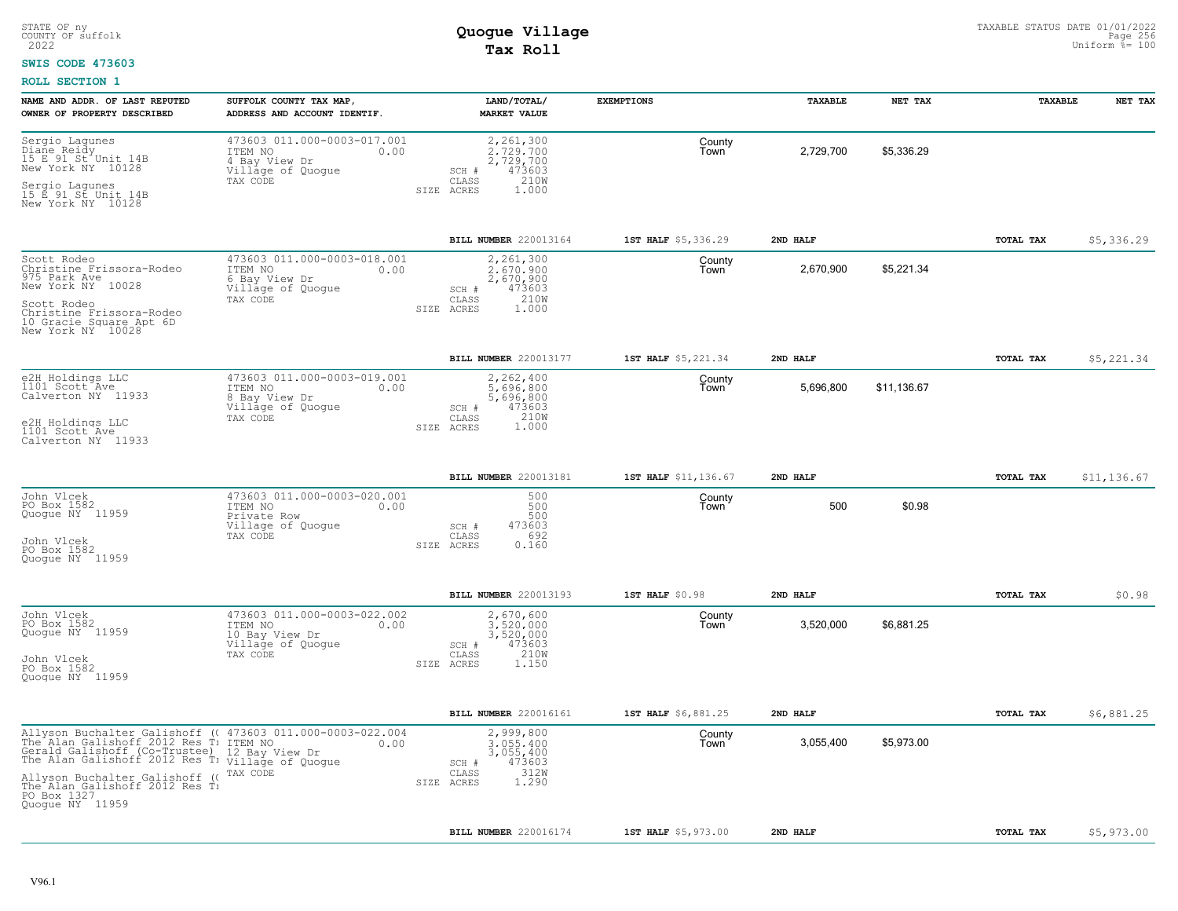#### **SWIS CODE 473603**

| NAME AND ADDR. OF LAST REPUTED<br>OWNER OF PROPERTY DESCRIBED                                                           | SUFFOLK COUNTY TAX MAP,<br>ADDRESS AND ACCOUNT IDENTIF.                                                                                                                                                               | LAND/TOTAL/<br><b>MARKET VALUE</b>                                                             | <b>EXEMPTIONS</b>    | TAXABLE   | NET TAX     | TAXABLE          | NET TAX     |
|-------------------------------------------------------------------------------------------------------------------------|-----------------------------------------------------------------------------------------------------------------------------------------------------------------------------------------------------------------------|------------------------------------------------------------------------------------------------|----------------------|-----------|-------------|------------------|-------------|
| Sergio Lagunes<br>Diane Reidy<br>15 E 91 St Unit 14B<br>New York NY 10128<br>Sergio Lagunes<br>15 E 91 St Unit 14B      | 473603 011.000-0003-017.001<br>ITEM NO<br>0.00<br>4 Bay View Dr<br>Village of Quogue<br>TAX CODE                                                                                                                      | 2,261,300<br>2.729.700<br>2,729,700<br>473603<br>SCH #<br>210W<br>CLASS<br>SIZE ACRES<br>1,000 | County<br>Town       | 2,729,700 | \$5,336.29  |                  |             |
| New York NY 10128                                                                                                       |                                                                                                                                                                                                                       |                                                                                                |                      |           |             |                  |             |
|                                                                                                                         |                                                                                                                                                                                                                       | BILL NUMBER 220013164                                                                          | 1ST HALF \$5,336.29  | 2ND HALF  |             | TOTAL TAX        | \$5,336.29  |
| Scott Rodeo<br>Christine Frissora-Rodeo<br>975 Park Ave<br>New York NY 10028<br>Scott Rodeo<br>Christine Frissora-Rodeo | 473603 011.000-0003-018.001<br>0.00<br>ITEM NO<br>6 Bay View Dr<br>Village of Quogue<br>TAX CODE                                                                                                                      | 2,261,300<br>2,670,900<br>2,670,900<br>473603<br>SCH #<br>210W<br>CLASS<br>1,000<br>SIZE ACRES | County<br>Town       | 2,670,900 | \$5,221.34  |                  |             |
| 10 Gracie Square Apt 6D<br>New York NY 10028                                                                            |                                                                                                                                                                                                                       |                                                                                                |                      |           |             |                  |             |
|                                                                                                                         |                                                                                                                                                                                                                       | BILL NUMBER 220013177                                                                          | 1ST HALF \$5,221.34  | 2ND HALF  |             | TOTAL TAX        | \$5,221.34  |
| e2H Holdings LLC<br>1101 Scott Ave<br>Calverton NY 11933                                                                | 473603 011.000-0003-019.001<br>ITEM NO<br>0.00<br>8 Bay View Dr<br>Village of Quogue<br>TAX CODE                                                                                                                      | 2,262,400<br>5,696,800<br>5,696,800<br>473603<br>SCH #<br>210W<br>CLASS                        | County<br>Town       | 5,696,800 | \$11,136.67 |                  |             |
| e2H Holdings LLC<br>1101 Scott Ave<br>Calverton NY 11933                                                                |                                                                                                                                                                                                                       | 1.000<br>SIZE ACRES                                                                            |                      |           |             |                  |             |
|                                                                                                                         |                                                                                                                                                                                                                       | BILL NUMBER 220013181                                                                          | 1ST HALF \$11,136.67 | 2ND HALF  |             | TOTAL TAX        | \$11,136.67 |
| John Vlcek<br>PO Box 1582<br>Quogue NY 11959                                                                            | 473603 011.000-0003-020.001<br>ITEM NO<br>0.00<br>Private Row<br>Village of Quogue<br>TAX CODE                                                                                                                        | 500<br>500<br>500<br>473603<br>SCH #<br>692<br>CLASS                                           | County<br>Town       | 500       | \$0.98      |                  |             |
| John Vlcek<br>PO Box 1582<br>Ouoque NY 11959                                                                            |                                                                                                                                                                                                                       | 0.160<br>SIZE ACRES                                                                            |                      |           |             |                  |             |
|                                                                                                                         |                                                                                                                                                                                                                       | BILL NUMBER 220013193                                                                          | 1ST HALF \$0.98      | 2ND HALF  |             | TOTAL TAX        | \$0.98      |
| John Vlcek<br>PO Box 1582<br>Quogue NY 11959                                                                            | 473603 011.000-0003-022.002<br>ITEM NO<br>0.00<br>10 Bay View Dr<br>Village of Quogue<br>TAX CODE                                                                                                                     | 2,670,600<br>3.520.000<br>3,520,000<br>473603<br>SCH #<br>210W<br>CLASS                        | County<br>Town       | 3,520,000 | \$6,881.25  |                  |             |
| John Vlcek<br>PO Box 1582<br>Quoque NY 11959                                                                            |                                                                                                                                                                                                                       | SIZE ACRES<br>1,150                                                                            |                      |           |             |                  |             |
|                                                                                                                         |                                                                                                                                                                                                                       | BILL NUMBER 220016161                                                                          | 1ST HALF \$6,881.25  | 2ND HALF  |             | <b>TOTAL TAX</b> | \$6,881.25  |
|                                                                                                                         | Allyson Buchalter Galishoff (<br>473603 011.000-0003-022.004 The Alan Galishoff (Co-Trustee) 12 Bay View Dr<br>0.00 The Alan Galishoff (Co-Trustee) 12 Bay View Dr The Alan Galishoff 2012 Res T<br>Village of Quogue | 2,999,800<br>3,055,400<br>3,055,400<br>473603<br>SCH #                                         | County<br>Town       | 3,055,400 | \$5,973.00  |                  |             |
| Allyson Buchalter Galishoff ((<br>The Alan Galishoff 2012 Res T)<br>PO Box 1327<br>Quoque NY 11959                      | TAX CODE                                                                                                                                                                                                              | 312W<br>CLASS<br>1,290<br>SIZE ACRES                                                           |                      |           |             |                  |             |
|                                                                                                                         |                                                                                                                                                                                                                       | BILL NUMBER 220016174                                                                          | 1ST HALF \$5,973.00  | 2ND HALF  |             | TOTAL TAX        | \$5,973.00  |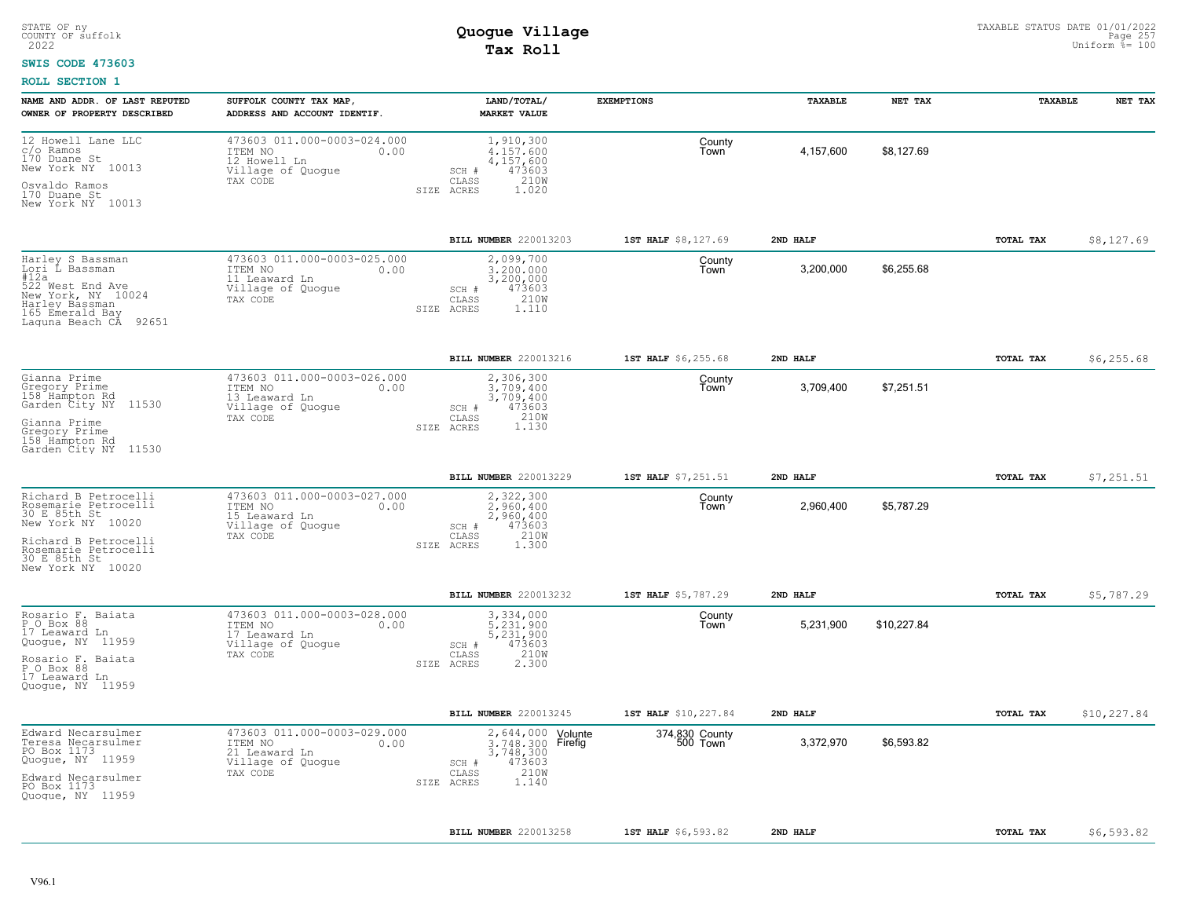#### **SWIS CODE 473603**

| NAME AND ADDR. OF LAST REPUTED<br>OWNER OF PROPERTY DESCRIBED                                                                                                          | SUFFOLK COUNTY TAX MAP,<br>ADDRESS AND ACCOUNT IDENTIF.                                          | LAND/TOTAL/<br><b>MARKET VALUE</b>                                                                             | <b>EXEMPTIONS</b>          | TAXABLE   | NET TAX     | TAXABLE   | NET TAX     |
|------------------------------------------------------------------------------------------------------------------------------------------------------------------------|--------------------------------------------------------------------------------------------------|----------------------------------------------------------------------------------------------------------------|----------------------------|-----------|-------------|-----------|-------------|
| 12 Howell Lane LLC<br>c/o Ramos<br>170 Duane St<br>New York NY 10013                                                                                                   | 473603 011.000-0003-024.000<br>ITEM NO<br>0.00<br>12 Howell Ln<br>Village of Quoque<br>TAX CODE  | 1,910,300<br>4.157.600<br>4,157,600<br>473603<br>SCH #<br>210W<br>CLASS                                        | County<br>Town             | 4,157,600 | \$8,127.69  |           |             |
| Osvaldo Ramos<br>170 Duane St<br>New York NY 10013                                                                                                                     |                                                                                                  | SIZE ACRES<br>1.020                                                                                            |                            |           |             |           |             |
|                                                                                                                                                                        |                                                                                                  | BILL NUMBER 220013203                                                                                          | 1ST HALF \$8,127.69        | 2ND HALF  |             | TOTAL TAX | \$8,127.69  |
| Harley S Bassman<br>Lori L Bassman<br>#12a<br>522 West End Ave<br>New York, NY 10024<br>Harley Bassman<br>165 Emerald Bay<br>92651<br>Laguna Beach CA                  | 473603 011.000-0003-025.000<br>ITEM NO<br>0.00<br>11 Leaward Ln<br>Village of Quogue<br>TAX CODE | 2,099,700<br>3,200,000<br>3,200,000<br>473603<br>SCH #<br>210W<br>$\mathtt{CLASS}$<br>1.110<br>SIZE ACRES      | County<br>Town             | 3,200,000 | \$6,255.68  |           |             |
|                                                                                                                                                                        |                                                                                                  | BILL NUMBER 220013216                                                                                          | 1ST HALF \$6,255.68        | 2ND HALF  |             | TOTAL TAX | \$6, 255.68 |
| Gianna Prime<br>Gregory Prime<br>158 Hampton Rd<br>Garden City NY<br>11530<br>Gianna Prime<br>Gregory Prime<br>158 Hampton Rd                                          | 473603 011.000-0003-026.000<br>ITEM NO<br>0.00<br>13 Leaward Ln<br>Village of Quogue<br>TAX CODE | 2,306,300<br>3.709.400<br>3,709,400<br>473603<br>SCH #<br>1.130<br>CLASS<br>SIZE ACRES                         | County<br>Town             | 3,709,400 | \$7,251.51  |           |             |
| Garden City NY 11530                                                                                                                                                   |                                                                                                  |                                                                                                                |                            |           |             |           |             |
|                                                                                                                                                                        |                                                                                                  | BILL NUMBER 220013229                                                                                          | 1ST HALF \$7,251.51        | 2ND HALF  |             | TOTAL TAX | \$7,251.51  |
| Richard B Petrocelli<br>Rosemarie Petrocelli<br>30 E 85th St<br>New York NY 10020<br>Richard B Petrocelli<br>Rosemarie Petrocelli<br>30 E 85th St<br>New York NY 10020 | 473603 011.000-0003-027.000<br>ITEM NO<br>0.00<br>15 Leaward Ln<br>Village of Quogue<br>TAX CODE | 2,322,300<br>2,960,400<br>2,960,400<br>473603<br>SCH #<br>210W<br>CLASS<br>1.300<br>SIZE ACRES                 | County<br>Town             | 2,960,400 | \$5,787.29  |           |             |
|                                                                                                                                                                        |                                                                                                  | BILL NUMBER 220013232                                                                                          | 1ST HALF \$5,787.29        | 2ND HALF  |             | TOTAL TAX | \$5,787.29  |
| Rosario F. Baiata<br>P O Box 88<br>17 Leaward Ln<br>Quogue, NY 11959<br>Rosario F. Baiata<br>P O Box 88<br>17 Leaward Ln<br>Quoque, NY 11959                           | 473603 011.000-0003-028.000<br>ITEM NO<br>0.00<br>17 Leaward Ln<br>Village of Quogue<br>TAX CODE | 3,334,000<br>5,231,900<br>5,231,900<br>473603<br>SCH #<br>210W<br>CLASS<br>2.300<br>SIZE ACRES                 | County<br>Town             | 5,231,900 | \$10,227.84 |           |             |
|                                                                                                                                                                        |                                                                                                  | <b>BILL NUMBER 220013245</b>                                                                                   | 1ST HALF \$10,227.84       | 2ND HALF  |             | TOTAL TAX | \$10,227.84 |
| Edward Necarsulmer<br>Teresa Necarsulmer<br>PO Box 1173<br>Quogue, NY 11959<br>Edward Necarsulmer<br>PO Box 1173<br>Quoque, NY 11959                                   | 473603 011.000-0003-029.000<br>ITEM NO<br>0.00<br>21 Leaward Ln<br>Village of Quogue<br>TAX CODE | 2,644,000 Volunte<br>3.748.300 Firefig<br>3,748,300<br>473603<br>SCH #<br>210W<br>CLASS<br>1.140<br>SIZE ACRES | 374,830 County<br>500 Town | 3,372,970 | \$6,593.82  |           |             |
|                                                                                                                                                                        |                                                                                                  | BILL NUMBER 220013258                                                                                          | 1ST HALF \$6,593.82        | 2ND HALF  |             | TOTAL TAX | \$6,593.82  |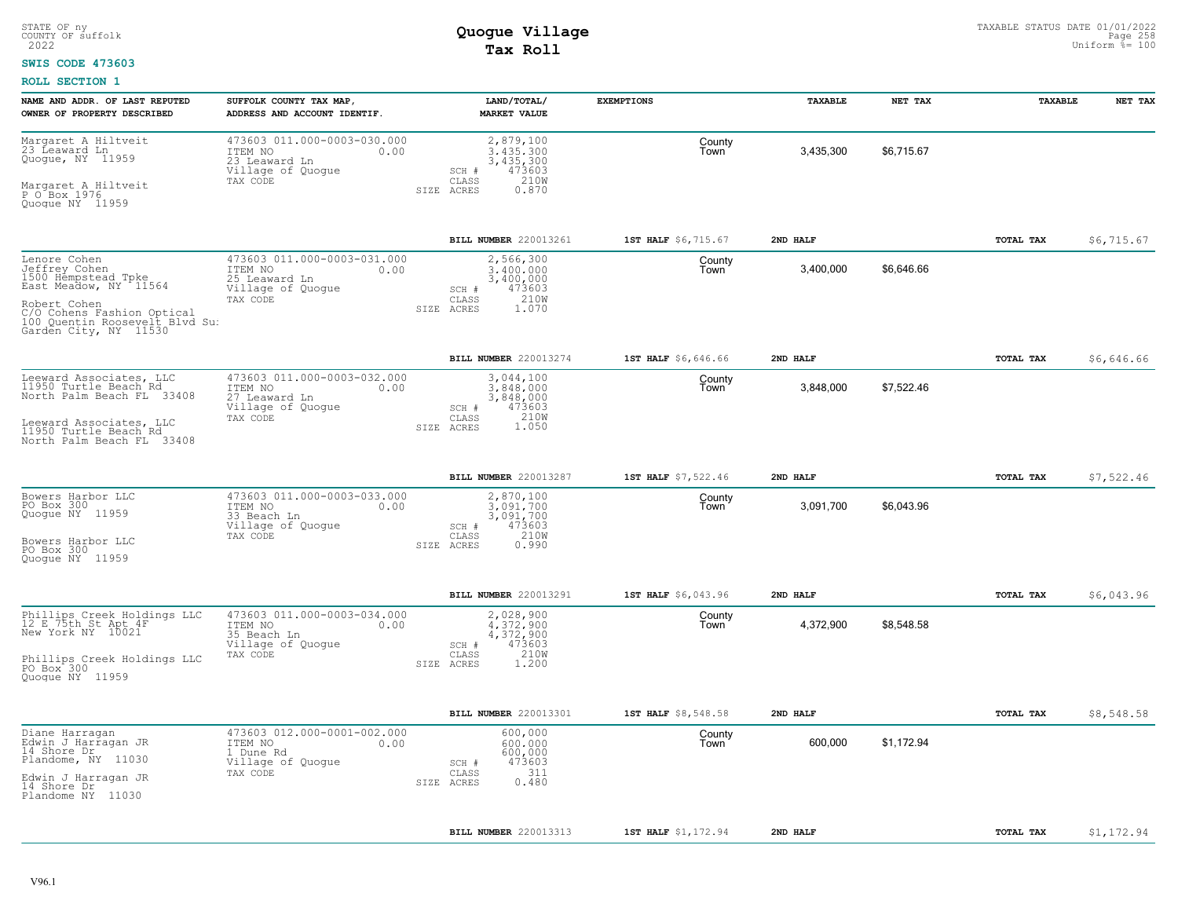### **SWIS CODE 473603**

| NAME AND ADDR. OF LAST REPUTED<br>OWNER OF PROPERTY DESCRIBED                                                                                                                          | SUFFOLK COUNTY TAX MAP,<br>ADDRESS AND ACCOUNT IDENTIF.                                          | LAND/TOTAL/<br><b>MARKET VALUE</b>                                                             | <b>EXEMPTIONS</b>   | TAXABLE   | NET TAX    | TAXABLE          | NET TAX     |
|----------------------------------------------------------------------------------------------------------------------------------------------------------------------------------------|--------------------------------------------------------------------------------------------------|------------------------------------------------------------------------------------------------|---------------------|-----------|------------|------------------|-------------|
| Margaret A Hiltveit<br>23 Leaward Ln<br>Quogue, NY 11959<br>Margaret A Hiltveit<br>P O Box 1976<br>Quogue NY 11959                                                                     | 473603 011.000-0003-030.000<br>ITEM NO<br>0.00<br>23 Leaward Ln<br>Village of Quogue<br>TAX CODE | 2,879,100<br>3.435.300<br>3,435,300<br>473603<br>SCH #<br>CLASS<br>210W<br>SIZE ACRES<br>0.870 | County<br>Town      | 3,435,300 | \$6,715.67 |                  |             |
|                                                                                                                                                                                        |                                                                                                  | BILL NUMBER 220013261                                                                          | 1ST HALF \$6,715.67 | 2ND HALF  |            | <b>TOTAL TAX</b> | \$6,715.67  |
| Lenore Cohen<br>Jeffrey Cohen<br>1500 Hempstead Tpke<br>East Meadow, NY 11564<br>Robert Cohen<br>C/O Cohens Fashion Optical<br>100 Quentin Roosevelt Blvd Su:<br>Garden City, NY 11530 | 473603 011.000-0003-031.000<br>ITEM NO<br>0.00<br>25 Leaward Ln<br>Village of Quogue<br>TAX CODE | 2,566,300<br>3,400,000<br>3,400,000<br>473603<br>SCH #<br>210W<br>CLASS<br>SIZE ACRES<br>1.070 | County<br>Town      | 3,400,000 | \$6,646.66 |                  |             |
|                                                                                                                                                                                        |                                                                                                  | BILL NUMBER 220013274                                                                          | 1ST HALF \$6,646.66 | 2ND HALF  |            | TOTAL TAX        | \$6,646.66  |
| Leeward Associates, LLC<br>11950 Turtle Beach Rd<br>North Palm Beach FL 33408<br>Leeward Associates, LLC<br>11950 Turtle Beach Rd<br>North Palm Beach FL 33408                         | 473603 011.000-0003-032.000<br>0.00<br>ITEM NO<br>27 Leaward Ln<br>Village of Quogue<br>TAX CODE | 3,044,100<br>3.848.000<br>3,848,000<br>473603<br>SCH #<br>210W<br>CLASS<br>1.050<br>SIZE ACRES | County<br>Town      | 3,848,000 | \$7,522.46 |                  |             |
|                                                                                                                                                                                        |                                                                                                  | BILL NUMBER 220013287                                                                          | 1ST HALF \$7,522.46 | 2ND HALF  |            | TOTAL TAX        | \$7,522.46  |
| Bowers Harbor LLC<br>PO Box 300<br>Quogue NY 11959<br>Bowers Harbor LLC<br>PO Box 300<br>Quoque NY 11959                                                                               | 473603 011.000-0003-033.000<br>ITEM NO<br>0.00<br>33 Beach Ln<br>Village of Quoque<br>TAX CODE   | 2,870,100<br>3.091.700<br>3,091,700<br>473603<br>SCH #<br>210W<br>CLASS<br>SIZE ACRES<br>0.990 | County<br>Town      | 3,091,700 | \$6,043.96 |                  |             |
|                                                                                                                                                                                        |                                                                                                  | BILL NUMBER 220013291                                                                          | 1ST HALF \$6,043.96 | 2ND HALF  |            | TOTAL TAX        | \$6,043.96  |
| Phillips Creek Holdings LLC<br>12 E 75th St Apt 4F<br>New York NY 10021<br>Phillips Creek Holdings LLC<br>PO Box 300<br>Quoque NY 11959                                                | 473603 011.000-0003-034.000<br>ITEM NO<br>0.00<br>35 Beach Ln<br>Village of Quogue<br>TAX CODE   | 2,028,900<br>4.372.900<br>4,372,900<br>473603<br>SCH #<br>CLASS<br>210W<br>1.200<br>SIZE ACRES | County<br>Town      | 4,372,900 | \$8,548.58 |                  |             |
|                                                                                                                                                                                        |                                                                                                  | BILL NUMBER 220013301                                                                          | 1ST HALF \$8,548.58 | 2ND HALF  |            | TOTAL TAX        | \$8,548.58  |
| Diane Harragan<br>Edwin J Harragan JR<br>14 Shore Dr<br>Plandome, NY 11030<br>Edwin J Harragan JR<br>14 Shore Dr<br>Plandome NY 11030                                                  | 473603 012.000-0001-002.000<br>ITEM NO<br>0.00<br>1 Dune Rd<br>Village of Quogue<br>TAX CODE     | 600,000<br>600,000<br>600,000<br>473603<br>SCH #<br>311<br>CLASS<br>0.480<br>SIZE ACRES        | County<br>Town      | 600,000   | \$1,172.94 |                  |             |
|                                                                                                                                                                                        |                                                                                                  | BILL NUMBER 220013313                                                                          | 1ST HALF \$1,172.94 | 2ND HALF  |            | TOTAL TAX        | \$1, 172.94 |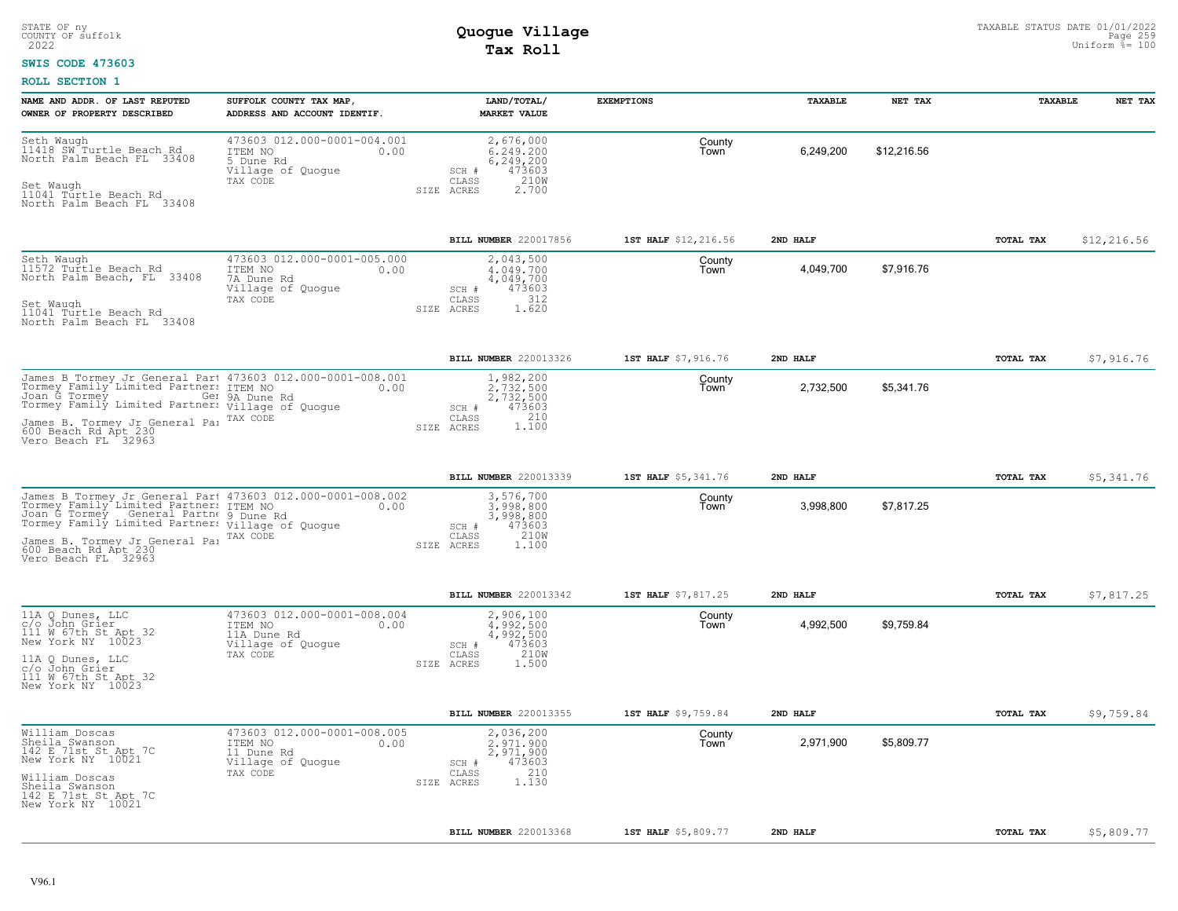#### **SWIS CODE 473603**

| 473603 012.000-0001-004.001<br>Seth Waugh<br>2,676,000<br>County<br>11418 SW Turtle Beach Rd<br>6,249,200<br>\$12,216.56<br>ITEM NO<br>6,249,200<br>0.00<br>Town<br>North Palm Beach FL 33408<br>6,249,200<br>5 Dune Rd<br>Village of Quogue<br>473603<br>SCH #<br>210W<br>TAX CODE<br>CLASS<br>Set Waugh<br>SIZE ACRES<br>2,700<br>11041 Turtle Beach Rd<br>North Palm Beach FL 33408<br>BILL NUMBER 220017856<br>1ST HALF \$12,216.56<br>2ND HALF<br>TOTAL TAX<br>473603 012.000-0001-005.000<br>2,043,500<br>County<br>4.049.700<br>4,049,700<br>\$7,916.76<br>ITEM NO<br>0.00<br>Town<br>7A Dune Rd<br>4,049,700<br>Village of Quogue<br>473603<br>SCH #<br>312<br>CLASS<br>TAX CODE<br>1.620<br>SIZE ACRES<br><b>BILL NUMBER</b> 220013326<br>1ST HALF \$7,916.76<br>2ND HALF<br>TOTAL TAX<br>1,982,200<br>County<br>2.732.500<br>2,732,500<br>\$5,341.76<br>Town<br>Ger 9A Dune Rd<br>2,732,500<br>473603<br>SCH #<br>210<br>CLASS<br>TAX CODE<br>1,100<br>SIZE ACRES<br><b>BILL NUMBER 220013339</b><br>1ST HALF \$5,341.76<br>2ND HALF<br>TOTAL TAX<br>James B Tormey Jr General Part 473603 012.000-0001-008.002<br>3,576,700<br>County<br>3,998,800<br>\$7,817.25<br>3,998,800<br>0.00<br>Town<br>3,998,800<br>473603<br>SCH #<br>$\mathtt{CLASS}$<br>210W<br>TAX CODE<br>James B. Tormey Jr General Par<br>SIZE ACRES<br>1,100<br>600 Beach Rd Apt 230<br>Vero Beach FL 32963<br>BILL NUMBER 220013342<br>1ST HALF \$7,817.25<br>2ND HALF<br>TOTAL TAX<br>473603 012.000-0001-008.004<br>2,906,100<br>County<br>4,992,500<br>\$9,759.84<br>0.00<br>4,992,500<br>ITEM NO<br>Town<br>4,992,500<br>11A Dune Rd<br>473603<br>Village of Quogue<br>SCH #<br>CLASS<br>210W<br>TAX CODE<br>1.500<br>SIZE ACRES<br>c/o John Grier | NAME AND ADDR. OF LAST REPUTED<br>OWNER OF PROPERTY DESCRIBED | SUFFOLK COUNTY TAX MAP,<br>ADDRESS AND ACCOUNT IDENTIF. | LAND/TOTAL/<br><b>MARKET VALUE</b> | <b>EXEMPTIONS</b> | TAXABLE | NET TAX | TAXABLE | NET TAX     |
|--------------------------------------------------------------------------------------------------------------------------------------------------------------------------------------------------------------------------------------------------------------------------------------------------------------------------------------------------------------------------------------------------------------------------------------------------------------------------------------------------------------------------------------------------------------------------------------------------------------------------------------------------------------------------------------------------------------------------------------------------------------------------------------------------------------------------------------------------------------------------------------------------------------------------------------------------------------------------------------------------------------------------------------------------------------------------------------------------------------------------------------------------------------------------------------------------------------------------------------------------------------------------------------------------------------------------------------------------------------------------------------------------------------------------------------------------------------------------------------------------------------------------------------------------------------------------------------------------------------------------------------------------------------------------------------------------------------------------------------|---------------------------------------------------------------|---------------------------------------------------------|------------------------------------|-------------------|---------|---------|---------|-------------|
| Seth Waugh<br>11572 Turtle Beach Rd<br>North Palm Beach, FL 33408<br>Set Waugh<br>11041 Turtle Beach Rd<br>North Palm Beach FL 33408<br>James B Tormey Jr General Part 473603 012.000-0001-008.001<br>Tormey Family Limited Partner: ITEM NO<br>Joan G Tormey _ _ Gel 9A Dune Rd<br>Tormey Family Limited Partner: Village of Quogue<br>James B. Tormey Jr General Pa:<br>600 Beach Rd Apt 230<br>Vero Beach FL 32963<br>Johney Family Limited Partner: ITEM NO<br>Joan G Tormey General Partner: ITEM NO<br>Joan G Tormey General Partner: Uillage of Quogue<br>11A Q Dunes, LLC<br>c/o John Grier<br>111 W 67th St Apt 32<br>New York NY 10023<br>11A Q Dunes, LLC<br>111 W 67th St Apt 32<br>New York NY 10023                                                                                                                                                                                                                                                                                                                                                                                                                                                                                                                                                                                                                                                                                                                                                                                                                                                                                                                                                                                                                    |                                                               |                                                         |                                    |                   |         |         |         |             |
|                                                                                                                                                                                                                                                                                                                                                                                                                                                                                                                                                                                                                                                                                                                                                                                                                                                                                                                                                                                                                                                                                                                                                                                                                                                                                                                                                                                                                                                                                                                                                                                                                                                                                                                                      |                                                               |                                                         |                                    |                   |         |         |         | \$12,216.56 |
|                                                                                                                                                                                                                                                                                                                                                                                                                                                                                                                                                                                                                                                                                                                                                                                                                                                                                                                                                                                                                                                                                                                                                                                                                                                                                                                                                                                                                                                                                                                                                                                                                                                                                                                                      |                                                               |                                                         |                                    |                   |         |         |         |             |
|                                                                                                                                                                                                                                                                                                                                                                                                                                                                                                                                                                                                                                                                                                                                                                                                                                                                                                                                                                                                                                                                                                                                                                                                                                                                                                                                                                                                                                                                                                                                                                                                                                                                                                                                      |                                                               |                                                         |                                    |                   |         |         |         | \$7,916.76  |
|                                                                                                                                                                                                                                                                                                                                                                                                                                                                                                                                                                                                                                                                                                                                                                                                                                                                                                                                                                                                                                                                                                                                                                                                                                                                                                                                                                                                                                                                                                                                                                                                                                                                                                                                      |                                                               |                                                         |                                    |                   |         |         |         |             |
|                                                                                                                                                                                                                                                                                                                                                                                                                                                                                                                                                                                                                                                                                                                                                                                                                                                                                                                                                                                                                                                                                                                                                                                                                                                                                                                                                                                                                                                                                                                                                                                                                                                                                                                                      |                                                               |                                                         |                                    |                   |         |         |         | \$5,341.76  |
|                                                                                                                                                                                                                                                                                                                                                                                                                                                                                                                                                                                                                                                                                                                                                                                                                                                                                                                                                                                                                                                                                                                                                                                                                                                                                                                                                                                                                                                                                                                                                                                                                                                                                                                                      |                                                               |                                                         |                                    |                   |         |         |         |             |
|                                                                                                                                                                                                                                                                                                                                                                                                                                                                                                                                                                                                                                                                                                                                                                                                                                                                                                                                                                                                                                                                                                                                                                                                                                                                                                                                                                                                                                                                                                                                                                                                                                                                                                                                      |                                                               |                                                         |                                    |                   |         |         |         | \$7,817.25  |
|                                                                                                                                                                                                                                                                                                                                                                                                                                                                                                                                                                                                                                                                                                                                                                                                                                                                                                                                                                                                                                                                                                                                                                                                                                                                                                                                                                                                                                                                                                                                                                                                                                                                                                                                      |                                                               |                                                         |                                    |                   |         |         |         |             |
| <b>BILL NUMBER 220013355</b><br>1ST HALF \$9,759.84<br>2ND HALF<br>TOTAL TAX                                                                                                                                                                                                                                                                                                                                                                                                                                                                                                                                                                                                                                                                                                                                                                                                                                                                                                                                                                                                                                                                                                                                                                                                                                                                                                                                                                                                                                                                                                                                                                                                                                                         |                                                               |                                                         |                                    |                   |         |         |         | \$9,759.84  |
| 473603 012.000-0001-008.005<br>William Doscas<br>2,036,200<br>County<br>Sheila Swanson<br>142 E 71st St Apt 7C<br>New York NY 10021<br>2.971.900<br>2,971,900<br>\$5,809.77<br>ITEM NO<br>0.00<br>Town<br>2,971,900<br>11 Dune Rd<br>473603<br>Village of Quogue<br>SCH #<br>210<br>$\mathtt{CLASS}$<br>TAX CODE<br>William Doscas<br>SIZE ACRES<br>1,130<br>Sheila Swanson<br>142 E 71st St Apt 7C<br>New York NY 10021                                                                                                                                                                                                                                                                                                                                                                                                                                                                                                                                                                                                                                                                                                                                                                                                                                                                                                                                                                                                                                                                                                                                                                                                                                                                                                             |                                                               |                                                         |                                    |                   |         |         |         |             |
| BILL NUMBER 220013368<br>1ST HALF \$5,809.77<br>2ND HALF<br>TOTAL TAX                                                                                                                                                                                                                                                                                                                                                                                                                                                                                                                                                                                                                                                                                                                                                                                                                                                                                                                                                                                                                                                                                                                                                                                                                                                                                                                                                                                                                                                                                                                                                                                                                                                                |                                                               |                                                         |                                    |                   |         |         |         | \$5,809.77  |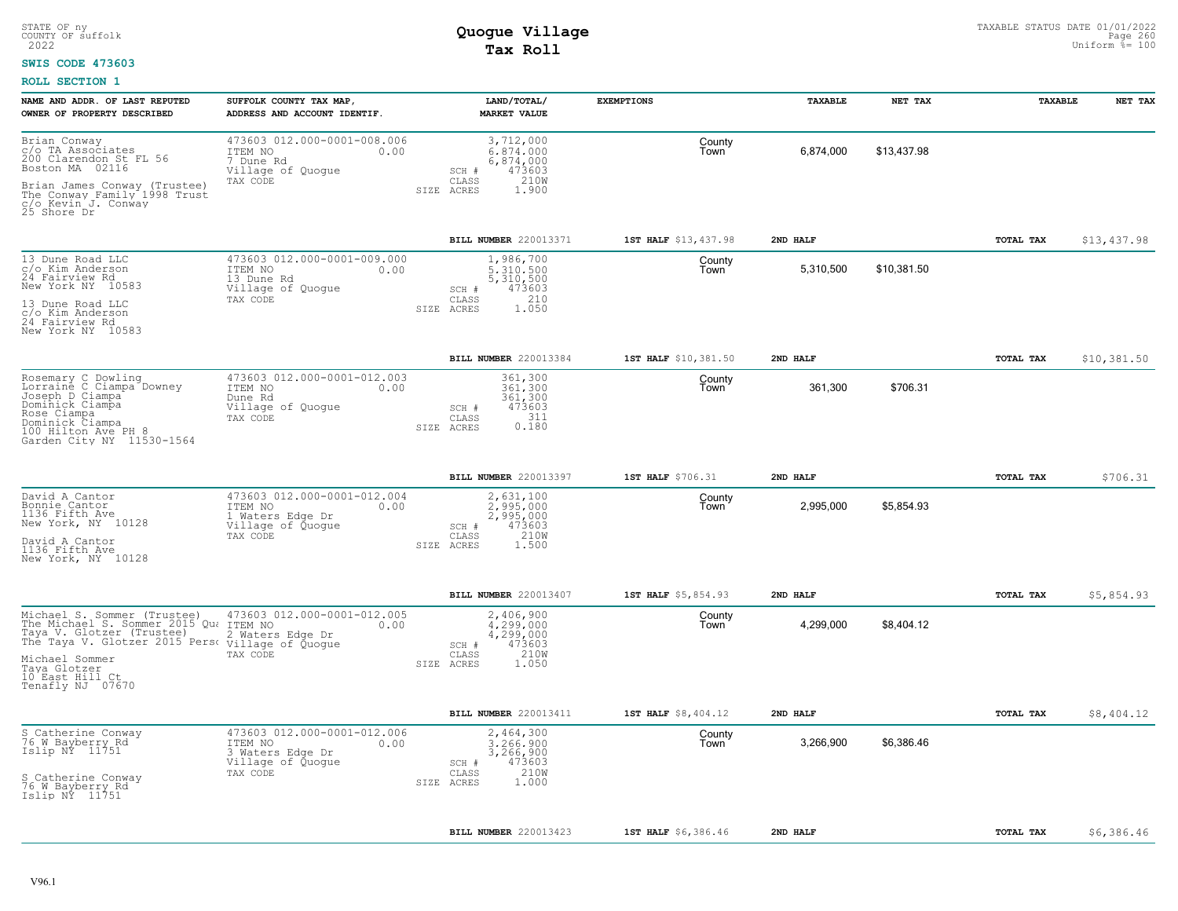### **SWIS CODE 473603**

| NAME AND ADDR. OF LAST REPUTED<br>OWNER OF PROPERTY DESCRIBED                                                                                                                                                                                                       | SUFFOLK COUNTY TAX MAP,<br>ADDRESS AND ACCOUNT IDENTIF.                                             | <b>LAND/TOTAL/</b><br><b>MARKET VALUE</b>                                                                | <b>EXEMPTIONS</b>    | TAXABLE   | NET TAX     | TAXABLE          | NET TAX     |
|---------------------------------------------------------------------------------------------------------------------------------------------------------------------------------------------------------------------------------------------------------------------|-----------------------------------------------------------------------------------------------------|----------------------------------------------------------------------------------------------------------|----------------------|-----------|-------------|------------------|-------------|
| Brian Conway<br>c/o TA Associates<br>200 Clarendon St FL 56<br>Boston MA 02116<br>Brian James Conway (Trustee)<br>The Conway Family 1998 Trust<br>c/o Kevin J. Conway<br>25 Shore Dr                                                                                | 473603 012.000-0001-008.006<br>ITEM NO<br>0.00<br>7 Dune Rd<br>Village of Quogue<br>TAX CODE        | 3,712,000<br>6,874,000<br>6,874,000<br>473603<br>SCH #<br>210W<br>CLASS<br>SIZE ACRES<br>1.900           | County<br>Town       | 6,874,000 | \$13,437.98 |                  |             |
|                                                                                                                                                                                                                                                                     |                                                                                                     | BILL NUMBER 220013371                                                                                    | 1ST HALF \$13,437.98 | 2ND HALF  |             | TOTAL TAX        | \$13,437.98 |
| 13 Dune Road LLC<br>c/o Kim Anderson<br>24 Fairview Rd<br>New York NY 10583<br>13 Dune Road LLC<br>c/o Kim Anderson<br>24 Fairview Rd<br>New York NY 10583                                                                                                          | 473603 012.000-0001-009.000<br>ITEM NO<br>0.00<br>13 Dune Rd<br>Village of Quogue<br>TAX CODE       | 1,986,700<br>5,310,500<br>5,310,500<br>473603<br>SCH #<br>210<br>$\mathtt{CLASS}$<br>1.050<br>SIZE ACRES | County<br>Town       | 5,310,500 | \$10,381.50 |                  |             |
|                                                                                                                                                                                                                                                                     |                                                                                                     | BILL NUMBER 220013384                                                                                    | 1ST HALF \$10,381.50 | 2ND HALF  |             | TOTAL TAX        | \$10,381.50 |
| Rosemary C Dowling<br>Lorraine C Ciampa Downey<br>Joseph D Ciampa<br>Dominick Ciampa<br>Rose Ciampa<br>Dominick Ciampa<br>100 Hilton Ave PH 8<br>Garden City NY 11530-1564                                                                                          | 473603 012.000-0001-012.003<br>ITEM NO<br>0.00<br>Dune Rd<br>Village of Quogue<br>TAX CODE          | 361,300<br>361,300<br>361,300<br>473603<br>SCH #<br>311<br>CLASS<br>0.180<br>SIZE ACRES                  | County<br>Town       | 361,300   | \$706.31    |                  |             |
|                                                                                                                                                                                                                                                                     |                                                                                                     | BILL NUMBER 220013397                                                                                    | 1ST HALF \$706.31    | 2ND HALF  |             | TOTAL TAX        | \$706.31    |
| David A Cantor<br>Bonnie Cantor<br>1136 Fifth Ave<br>New York, NY 10128<br>David A Cantor<br>1136 Fifth Ave<br>New York, NY 10128                                                                                                                                   | 473603 012.000-0001-012.004<br>ITEM NO<br>0.00<br>1 Waters Edge Dr<br>Village of Quogue<br>TAX CODE | 2,631,100<br>2.995.000<br>2,995,000<br>473603<br>SCH #<br>210W<br>CLASS<br>SIZE ACRES<br>1.500           | County<br>Town       | 2,995,000 | \$5,854.93  |                  |             |
|                                                                                                                                                                                                                                                                     |                                                                                                     | BILL NUMBER 220013407                                                                                    | 1ST HALF \$5,854.93  | 2ND HALF  |             | <b>TOTAL TAX</b> | \$5,854.93  |
| Michael S. Sommer (Trustee) 473603 012.000-000<br>The Michael S. Sommer 2015 Que ITEM NO<br>Taya V. Glotzer (Trustee) 2 Waters Edge Dr<br>The Taya V. Glotzer 2015 Perse Village of Quogue<br>Michael Sommer<br>Taya Glotzer<br>10 East Hill Ct<br>Tenafly NJ 07670 | 473603 012.000-0001-012.005<br>0.00<br>TAX CODE                                                     | 2,406,900<br>4,299,000<br>4,299,000<br>473603<br>SCH #<br>210W<br>CLASS<br>1.050<br>SIZE ACRES           | County<br>Town       | 4,299,000 | \$8,404.12  |                  |             |
|                                                                                                                                                                                                                                                                     |                                                                                                     | BILL NUMBER 220013411                                                                                    | 1ST HALF \$8,404.12  | 2ND HALF  |             | TOTAL TAX        | \$8,404.12  |
| S Catherine Conway<br>76 W Bayberry_Rd<br>Islip NY 11751<br>S Catherine Conway<br>76 W Bayberry Rd<br>Islip NY 11751                                                                                                                                                | 473603 012.000-0001-012.006<br>ITEM NO<br>0.00<br>3 Waters Edge Dr<br>Village of Quogue<br>TAX CODE | 2,464,300<br>3,266,900<br>3,266,900<br>473603<br>SCH #<br>210W<br>CLASS<br>1.000<br>SIZE ACRES           | County<br>Town       | 3,266,900 | \$6,386.46  |                  |             |
|                                                                                                                                                                                                                                                                     |                                                                                                     |                                                                                                          |                      |           |             |                  |             |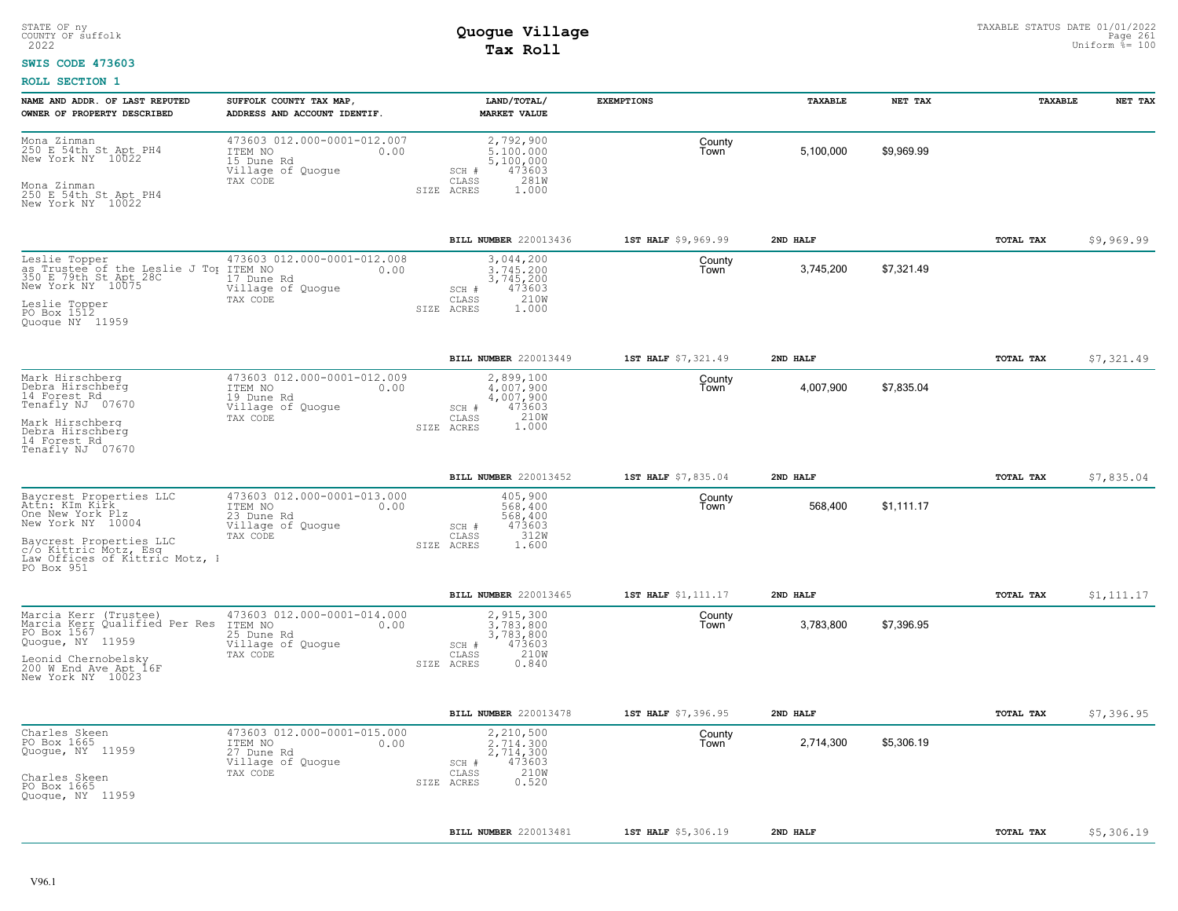### **SWIS CODE 473603**

| NAME AND ADDR. OF LAST REPUTED                                                                                                                                                         | SUFFOLK COUNTY TAX MAP,                                                                       | LAND/TOTAL/                                                                                    | <b>EXEMPTIONS</b>   | TAXABLE   | NET TAX    | TAXABLE          | NET TAX    |
|----------------------------------------------------------------------------------------------------------------------------------------------------------------------------------------|-----------------------------------------------------------------------------------------------|------------------------------------------------------------------------------------------------|---------------------|-----------|------------|------------------|------------|
| OWNER OF PROPERTY DESCRIBED                                                                                                                                                            | ADDRESS AND ACCOUNT IDENTIF.                                                                  | <b>MARKET VALUE</b>                                                                            |                     |           |            |                  |            |
| Mona Zinman<br>250 E 54th St Apt PH4<br>New York NY 10022<br>Mona Zinman<br>250 E 54th St Apt PH4<br>New York NY 10022                                                                 | 473603 012.000-0001-012.007<br>ITEM NO<br>0.00<br>15 Dune Rd<br>Village of Quogue<br>TAX CODE | 2,792,900<br>5,100,000<br>5,100,000<br>473603<br>SCH #<br>281W<br>CLASS<br>SIZE ACRES<br>1.000 | County<br>Town      | 5,100,000 | \$9,969.99 |                  |            |
|                                                                                                                                                                                        |                                                                                               | BILL NUMBER 220013436                                                                          | 1ST HALF \$9,969.99 | 2ND HALF  |            | TOTAL TAX        | \$9,969.99 |
| Leslie Topper<br>as Trustee of the Leslie J To ITEM NO<br>350 E 79th St Apt 28C 17 Dune<br>New York NY 10075<br>Leslie Topper<br>PO Box 1512<br>Quoque NY 11959                        | 473603 012.000-0001-012.008<br>0.00<br>17 Dune Rd<br>Village of Quogue<br>TAX CODE            | 3,044,200<br>3,745,200<br>3,745,200<br>473603<br>SCH #<br>210W<br>CLASS<br>1,000<br>SIZE ACRES | County<br>Town      | 3,745,200 | \$7,321.49 |                  |            |
|                                                                                                                                                                                        |                                                                                               | BILL NUMBER 220013449                                                                          | 1ST HALF \$7,321.49 | 2ND HALF  |            | <b>TOTAL TAX</b> | \$7,321.49 |
| Mark Hirschberg<br>Debra Hirschberg<br>14 Forest Rd<br>Tenafly NJ 07670<br>Mark Hirschberg<br>Debra Hirschberg<br>14 Forest Rd<br>Tenafly NJ 07670                                     | 473603 012.000-0001-012.009<br>ITEM NO<br>0.00<br>19 Dune Rd<br>Village of Quogue<br>TAX CODE | 2,899,100<br>4,007,900<br>4,007,900<br>SCH #<br>473603<br>210W<br>CLASS<br>1.000<br>SIZE ACRES | County<br>Town      | 4,007,900 | \$7,835.04 |                  |            |
|                                                                                                                                                                                        |                                                                                               | BILL NUMBER 220013452                                                                          | 1ST HALF \$7,835.04 | 2ND HALF  |            | TOTAL TAX        | \$7,835.04 |
| Baycrest Properties LLC<br>Attn: KIm Kirk<br>One New York Plz<br>New York NY 10004<br>Baycrest Properties LLC<br>c/o Kittric Motz, Esq<br>Law Offices of Kittric Motz, 1<br>PO Box 951 | 473603 012.000-0001-013.000<br>ITEM NO<br>0.00<br>23 Dune Rd<br>Village of Quogue<br>TAX CODE | 405,900<br>568,400<br>568,400<br>473603<br>SCH #<br>312W<br>CLASS<br>SIZE ACRES<br>1.600       | County<br>Town      | 568,400   | \$1,111.17 |                  |            |
|                                                                                                                                                                                        |                                                                                               | BILL NUMBER 220013465                                                                          | 1ST HALF \$1,111.17 | 2ND HALF  |            | TOTAL TAX        | \$1,111.17 |
| Marcia Kerr (Trustee)<br>Marcia Kerr Qualified Per Res<br>PO Box 1567<br>Quogue, NY 11959<br>Leonid Chernobelsky<br>200 M End Ave Apt 16F<br>New York NY 10023                         | 473603 012.000-0001-014.000<br>ITEM NO<br>0.00<br>25 Dune Rd<br>Village of Quogue<br>TAX CODE | 2,915,300<br>3,783,800<br>3,783,800<br>473603<br>SCH #<br>210W<br>CLASS<br>0.840<br>SIZE ACRES | County<br>Town      | 3,783,800 | \$7,396.95 |                  |            |
|                                                                                                                                                                                        |                                                                                               | BILL NUMBER 220013478                                                                          | 1ST HALF \$7,396.95 | 2ND HALF  |            | TOTAL TAX        | \$7,396.95 |
| Charles Skeen<br>PO Box 1665<br>Quogue, NY 11959<br>Charles Skeen<br>PO Box 1665<br>Quogue, NY 11959                                                                                   | 473603 012.000-0001-015.000<br>ITEM NO<br>0.00<br>27 Dune Rd<br>Village of Quogue<br>TAX CODE | 2,210,500<br>2.714.300<br>2,714,300<br>473603<br>SCH #<br>210W<br>CLASS<br>0.520<br>SIZE ACRES | County<br>Town      | 2,714,300 | \$5,306.19 |                  |            |
|                                                                                                                                                                                        |                                                                                               | BILL NUMBER 220013481                                                                          | 1ST HALF \$5,306.19 | 2ND HALF  |            | TOTAL TAX        | \$5,306.19 |
|                                                                                                                                                                                        |                                                                                               |                                                                                                |                     |           |            |                  |            |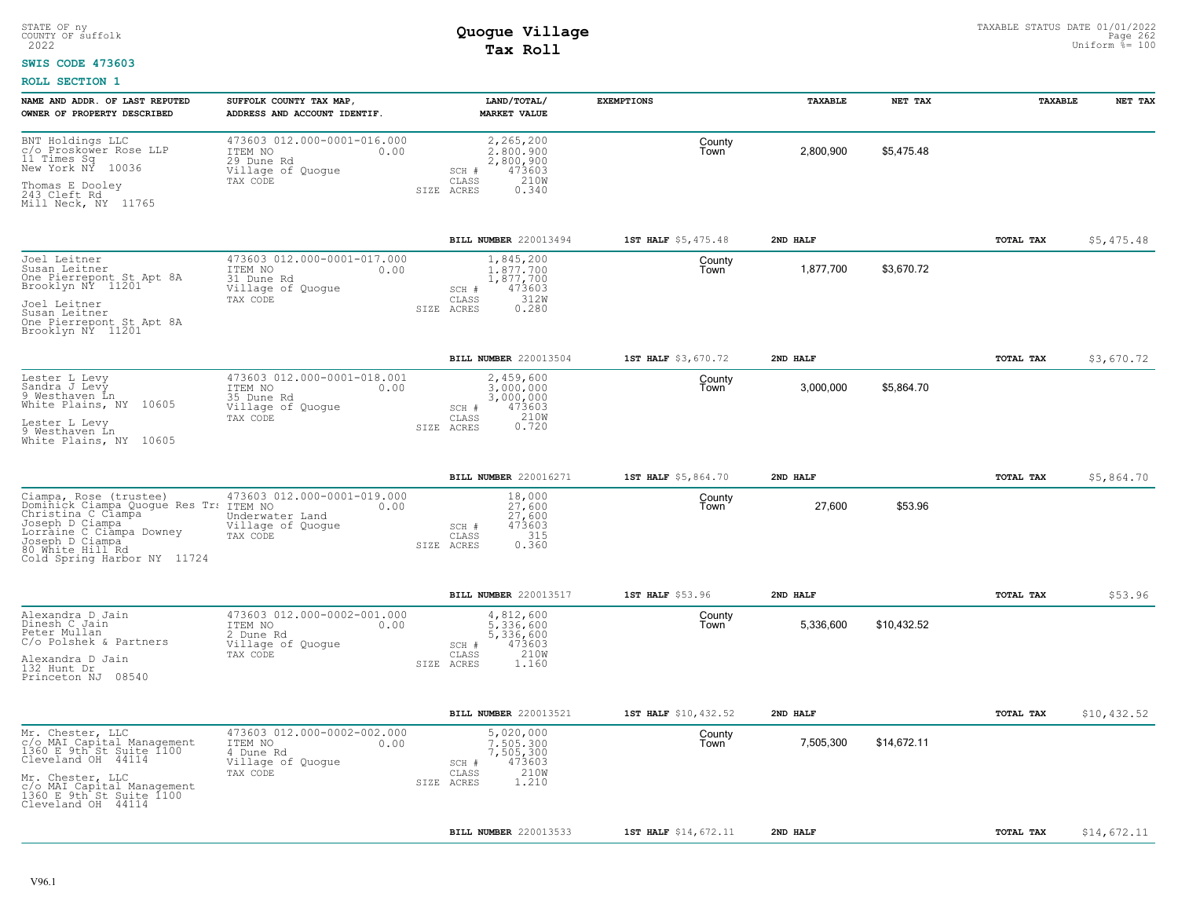#### **SWIS CODE 473603**

| NAME AND ADDR. OF LAST REPUTED                                                                                                                                                                              | SUFFOLK COUNTY TAX MAP,                                                                       | LAND/TOTAL/                                                                          | <b>EXEMPTIONS</b>    | TAXABLE   | NET TAX     | TAXABLE   | NET TAX     |
|-------------------------------------------------------------------------------------------------------------------------------------------------------------------------------------------------------------|-----------------------------------------------------------------------------------------------|--------------------------------------------------------------------------------------|----------------------|-----------|-------------|-----------|-------------|
| OWNER OF PROPERTY DESCRIBED                                                                                                                                                                                 | ADDRESS AND ACCOUNT IDENTIF.                                                                  | <b>MARKET VALUE</b>                                                                  |                      |           |             |           |             |
| BNT Holdings LLC<br>c/o Proskower Rose LLP<br>11 Times Sq<br>New York NY<br>10036                                                                                                                           | 473603 012.000-0001-016.000<br>ITEM NO<br>0.00<br>29 Dune Rd<br>Village of Quogue             | 2,265,200<br>2.800.900<br>2,800,900<br>473603<br>SCH #                               | County<br>Town       | 2,800,900 | \$5,475.48  |           |             |
| Thomas E Dooley<br>243 Cleft Rd<br>Mill Neck, NY 11765                                                                                                                                                      | TAX CODE                                                                                      | 210W<br>CLASS<br>SIZE ACRES<br>0.340                                                 |                      |           |             |           |             |
|                                                                                                                                                                                                             |                                                                                               | BILL NUMBER 220013494                                                                | 1ST HALF \$5,475.48  | 2ND HALF  |             | TOTAL TAX | \$5,475.48  |
| Joel Leitner<br>Susan Leitner<br>One Pierrepont St Apt 8A<br>Brooklyn NY 11201                                                                                                                              | 473603 012.000-0001-017.000<br>ITEM NO<br>0.00<br>31 Dune Rd<br>Village of Quogue<br>TAX CODE | 1,845,200<br>1,877,700<br>1,877,700<br>473603<br>SCH #<br>312W<br>CLASS              | County<br>Town       | 1,877,700 | \$3,670.72  |           |             |
| Joel Leitner<br>Susan Leitner<br>One Pierrepont St Apt 8A<br>Brooklyn NY 11201                                                                                                                              |                                                                                               | 0.280<br>SIZE ACRES                                                                  |                      |           |             |           |             |
|                                                                                                                                                                                                             |                                                                                               | BILL NUMBER 220013504                                                                | 1ST HALF \$3,670.72  | 2ND HALF  |             | TOTAL TAX | \$3,670.72  |
| Lester L Levy<br>Sandra J Levy<br>9 Westhaven Ln<br>White Plains, NY 10605                                                                                                                                  | 473603 012.000-0001-018.001<br>ITEM NO<br>0.00<br>35 Dune Rd<br>Village of Quogue             | 2,459,600<br>3,000,000<br>3,000,000<br>473603<br>SCH #                               | County<br>Town       | 3,000,000 | \$5,864.70  |           |             |
| Lester L Levy<br>9 Westhaven Ln<br>White Plains, NY 10605                                                                                                                                                   | TAX CODE                                                                                      | 210W<br>CLASS<br>0.720<br>SIZE ACRES                                                 |                      |           |             |           |             |
|                                                                                                                                                                                                             |                                                                                               | BILL NUMBER 220016271                                                                | 1ST HALF \$5,864.70  | 2ND HALF  |             | TOTAL TAX | \$5,864.70  |
| Ciampa, Rose (trustee)<br>Dominick Clampa Quogue Res Tr: ITEM NO<br>Christina C Clampa<br>Joseph D Ciampa<br>Lorraine C Ciampa Downey<br>Joseph D Ciampa<br>80 White Hill Rd<br>Cold Spring Harbor NY 11724 | 473603 012.000-0001-019.000<br>0.00<br>Underwater Land<br>Village of Quogue<br>TAX CODE       | 18,000<br>27.600<br>27,600<br>473603<br>SCH #<br>315<br>CLASS<br>0.360<br>SIZE ACRES | County<br>Town       | 27,600    | \$53.96     |           |             |
|                                                                                                                                                                                                             |                                                                                               | BILL NUMBER 220013517                                                                | 1ST HALF \$53.96     | 2ND HALF  |             | TOTAL TAX | \$53.96     |
| Alexandra D Jain<br>Dinesh C Jain<br>Peter Mullan<br>C/o Polshek & Partners                                                                                                                                 | 473603 012.000-0002-001.000<br>ITEM NO<br>0.00<br>2 Dune Rd<br>Village of Quogue              | 4,812,600<br>5.336.600<br>5,336,600<br>473603<br>SCH #                               | County<br>Town       | 5,336,600 | \$10,432.52 |           |             |
| Alexandra D Jain<br>132 Hunt Dr<br>Princeton NJ 08540                                                                                                                                                       | TAX CODE                                                                                      | 210W<br>CLASS<br>SIZE ACRES<br>1.160                                                 |                      |           |             |           |             |
|                                                                                                                                                                                                             |                                                                                               | BILL NUMBER 220013521                                                                | 1ST HALF \$10,432.52 | 2ND HALF  |             | TOTAL TAX | \$10,432.52 |
| Mr. Chester, LLC<br>c/o MAI Capital Management<br>1360 E 9th St Suite 1100<br>Cleveland OH 44114                                                                                                            | 473603 012.000-0002-002.000<br>ITEM NO<br>0.00<br>4 Dune Rd<br>Village of Quogue              | 5,020,000<br>7.505.300<br>7,505,300<br>473603<br>SCH #                               | County<br>Town       | 7,505,300 | \$14,672.11 |           |             |
| Mr. Chester, LLC<br>c/o MAI Capital Management<br>1360 E 9th St Suite 1100<br>Cleveland OH 44114                                                                                                            | TAX CODE                                                                                      | 210W<br>CLASS<br>1.210<br>SIZE ACRES                                                 |                      |           |             |           |             |
|                                                                                                                                                                                                             |                                                                                               | BILL NUMBER 220013533                                                                | 1ST HALF \$14,672.11 | 2ND HALF  |             | TOTAL TAX | \$14,672.11 |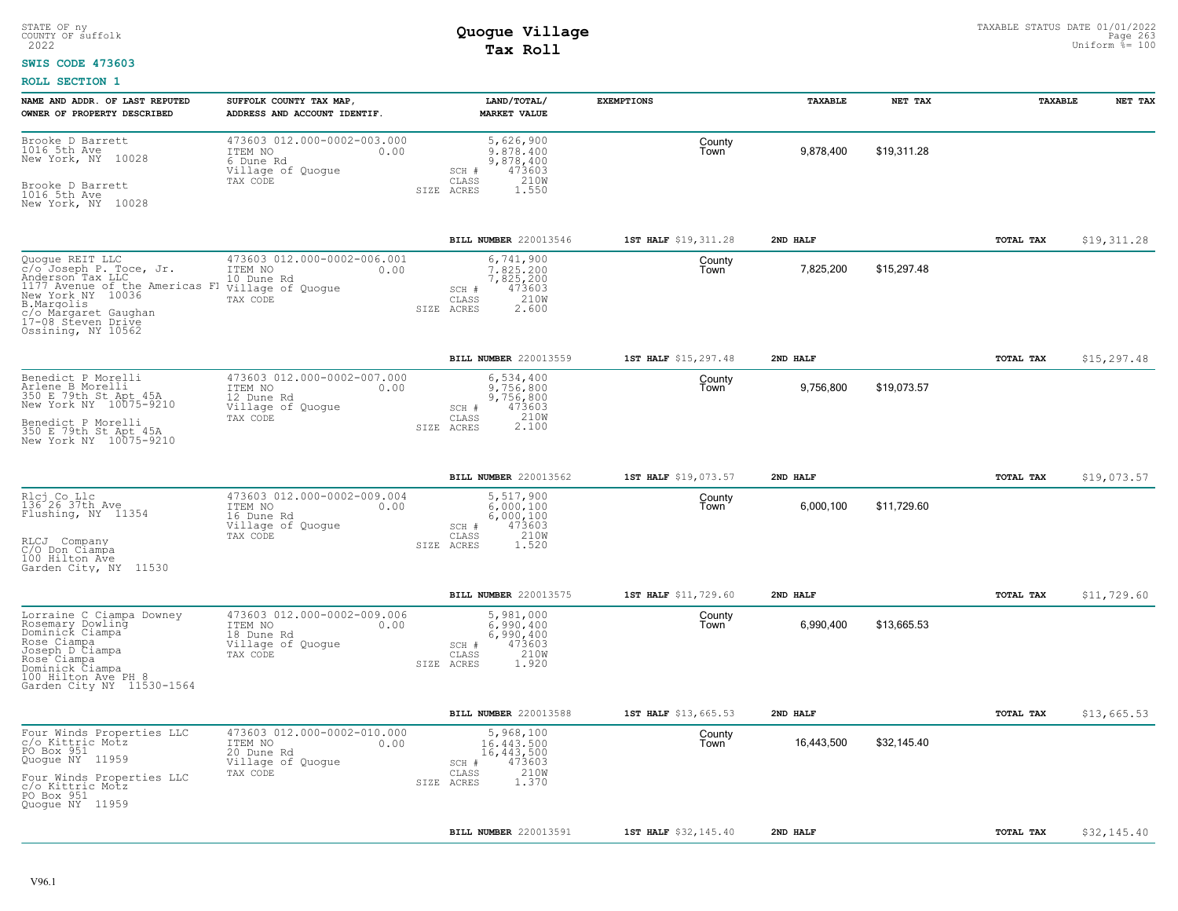#### **SWIS CODE 473603**

| NAME AND ADDR. OF LAST REPUTED<br>OWNER OF PROPERTY DESCRIBED                                                                                                                                                             | SUFFOLK COUNTY TAX MAP,<br>ADDRESS AND ACCOUNT IDENTIF.                                       | LAND/TOTAL/<br><b>MARKET VALUE</b>                                                                        | <b>EXEMPTIONS</b>    | TAXABLE    | NET TAX     | TAXABLE          | NET TAX     |
|---------------------------------------------------------------------------------------------------------------------------------------------------------------------------------------------------------------------------|-----------------------------------------------------------------------------------------------|-----------------------------------------------------------------------------------------------------------|----------------------|------------|-------------|------------------|-------------|
| Brooke D Barrett<br>1016 5th Ave<br>New York, NY 10028<br>Brooke D Barrett<br>1016 5th Ave<br>New York, NY 10028                                                                                                          | 473603 012.000-0002-003.000<br>ITEM NO<br>0.00<br>6 Dune Rd<br>Village of Quogue<br>TAX CODE  | 5,626,900<br>9,878,400<br>9,878,400<br>473603<br>SCH #<br>$\mathtt{CLASS}$<br>210W<br>SIZE ACRES<br>1.550 | County<br>Town       | 9,878,400  | \$19,311.28 |                  |             |
|                                                                                                                                                                                                                           |                                                                                               | BILL NUMBER 220013546                                                                                     | 1ST HALF \$19,311.28 | 2ND HALF   |             | TOTAL TAX        | \$19,311.28 |
| Quogue REIT LLC<br>$\tilde{c}/\tilde{o}$ Joseph P. Toce, Jr.<br>Anderson Tax LLC<br>1177 Avenue of the Americas Fl<br>New York NY 10036<br>B.Margolis<br>c/o Margaret Gaughan<br>17-08 Steven Drive<br>Ossining, NY 10562 | 473603 012.000-0002-006.001<br>ITEM NO<br>0.00<br>10 Dune Rd<br>Village of Quogue<br>TAX CODE | 6,741,900<br>7.825.200<br>7,825,200<br>473603<br>SCH #<br>210W<br>CLASS<br>2.600<br>SIZE ACRES            | County<br>Town       | 7,825,200  | \$15,297.48 |                  |             |
|                                                                                                                                                                                                                           |                                                                                               | BILL NUMBER 220013559                                                                                     | 1ST HALF \$15,297.48 | 2ND HALF   |             | <b>TOTAL TAX</b> | \$15,297.48 |
| Benedict P Morelli<br>Arlene B Morelli<br>350 E 79th St Apt 45A<br>New York NY 10075-9210<br>Benedict P Morelli<br>350 E 79th St Apt 45A<br>New York NY 10075-9210                                                        | 473603 012.000-0002-007.000<br>ITEM NO<br>0.00<br>12 Dune Rd<br>Village of Quogue<br>TAX CODE | 6,534,400<br>9,756,800<br>9,756,800<br>473603<br>SCH #<br>210W<br>CLASS<br>SIZE ACRES                     | County<br>Town       | 9,756,800  | \$19,073.57 |                  |             |
|                                                                                                                                                                                                                           |                                                                                               | BILL NUMBER 220013562                                                                                     | 1ST HALF \$19,073.57 | 2ND HALF   |             | TOTAL TAX        | \$19,073.57 |
| Rlcj Co Llc<br>136 26 37th Ave<br>Flushing, NY 11354<br>RLCJ Company<br>C/O Don Ciampa<br>100 Hilton Ave<br>Garden City, NY 11530                                                                                         | 473603 012.000-0002-009.004<br>ITEM NO<br>0.00<br>16 Dune Rd<br>Village of Quoque<br>TAX CODE | 5,517,900<br>6.000.100<br>6,000,100<br>473603<br>SCH #<br>210W<br>CLASS<br>1.520<br>SIZE ACRES            | County<br>Town       | 6,000,100  | \$11,729.60 |                  |             |
|                                                                                                                                                                                                                           |                                                                                               | <b>BILL NUMBER 220013575</b>                                                                              | 1ST HALF \$11,729.60 | 2ND HALF   |             | TOTAL TAX        | \$11,729.60 |
| Lorraine C Ciampa Downey<br>Rosemary Dowling<br>Dominick Ciampa<br>Rose Ciampa<br>Joseph D Ciampa<br>Rose Ciampa<br>Dominick Ciampa<br>100 Hilton Ave PH 8<br>Garden City NY 11530-1564                                   | 473603 012.000-0002-009.006<br>ITEM NO<br>0.00<br>18 Dune Rd<br>Village of Quogue<br>TAX CODE | 5,981,000<br>6,990,400<br>6,990,400<br>473603<br>SCH #<br>210W<br>CLASS<br>SIZE ACRES<br>1.920            | County<br>Town       | 6,990,400  | \$13,665.53 |                  |             |
|                                                                                                                                                                                                                           |                                                                                               | <b>BILL NUMBER 220013588</b>                                                                              | 1ST HALF \$13,665.53 | 2ND HALF   |             | <b>TOTAL TAX</b> | \$13,665.53 |
| Four Winds Properties LLC<br>c/o Kittric Motz<br>PO Box 951<br>Quogue NY 11959<br>Four Winds Properties LLC<br>c/o Kittric Motz<br>PO Box 951<br>Quogue NY 11959                                                          | 473603 012.000-0002-010.000<br>ITEM NO<br>0.00<br>20 Dune Rd<br>Village of Quogue<br>TAX CODE | 5,968,100<br>16,443,500<br>16,443,500<br>473603<br>SCH #<br>210W<br>CLASS<br>1.370<br>SIZE ACRES          | County<br>Town       | 16,443,500 | \$32,145.40 |                  |             |
|                                                                                                                                                                                                                           |                                                                                               | BILL NUMBER 220013591                                                                                     | 1ST HALF \$32,145.40 | 2ND HALF   |             | TOTAL TAX        | \$32,145.40 |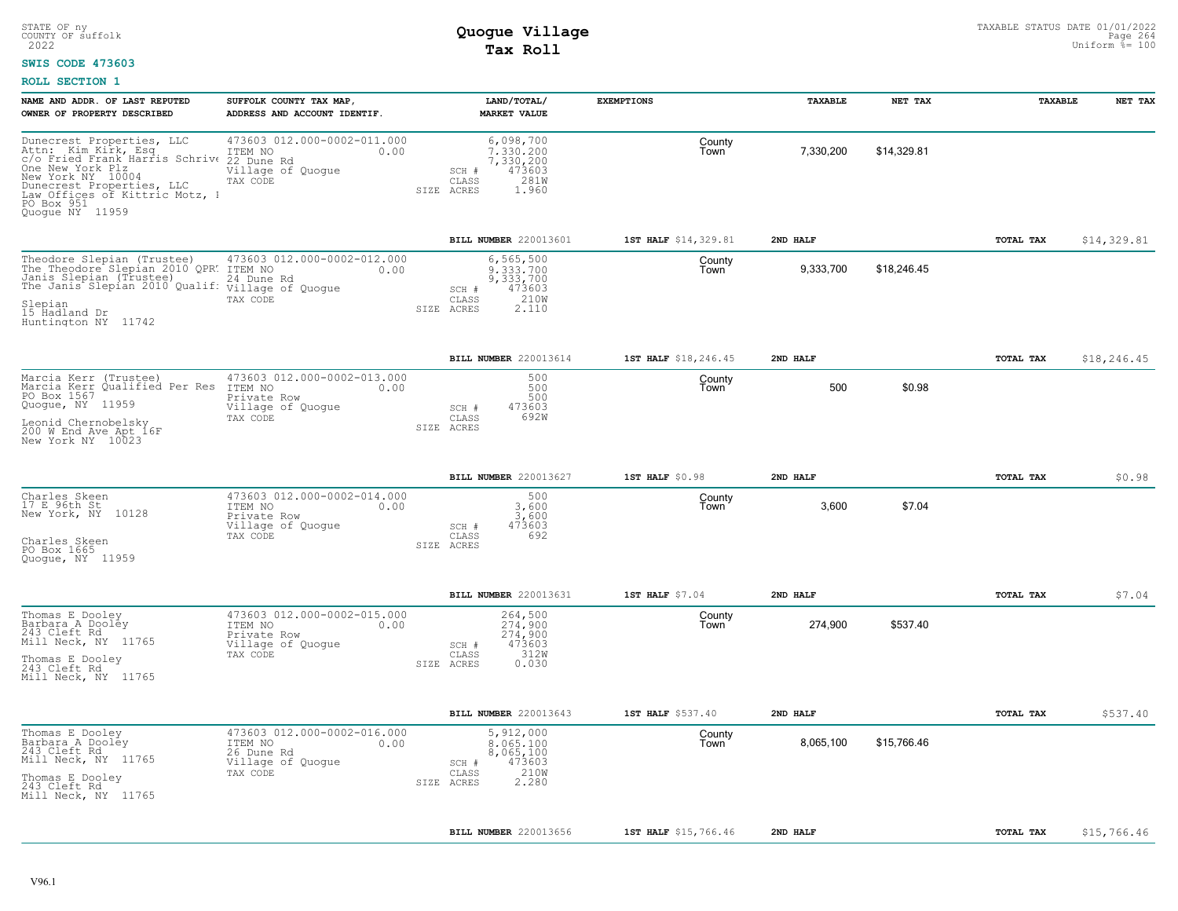### **SWIS CODE 473603**

| NAME AND ADDR. OF LAST REPUTED<br>OWNER OF PROPERTY DESCRIBED                                                                                                                                                                                  | SUFFOLK COUNTY TAX MAP,<br>ADDRESS AND ACCOUNT IDENTIF.                                        | LAND/TOTAL/<br><b>MARKET VALUE</b>                                                             | <b>EXEMPTIONS</b>    | <b>TAXABLE</b> | NET TAX     | TAXABLE          | NET TAX     |
|------------------------------------------------------------------------------------------------------------------------------------------------------------------------------------------------------------------------------------------------|------------------------------------------------------------------------------------------------|------------------------------------------------------------------------------------------------|----------------------|----------------|-------------|------------------|-------------|
| Dunecrest Properties, LLC<br>Attn: Kim Kirk, Esq. ITEM NO<br>c/o Fried Frank Harris Schriv 22 Dune Rd<br>One New York Plz<br>New York NY 10004<br>Dunecrest Properties, LLC<br>Law Offices of Kittric Motz, 1<br>PO Box 951<br>Quoque NY 11959 | 473603 012.000-0002-011.000<br>0.00<br>Village of Quogue<br>TAX CODE                           | 6,098,700<br>7.330.200<br>7,330,200<br>473603<br>SCH #<br>281W<br>CLASS<br>1.960<br>SIZE ACRES | County<br>Town       | 7,330,200      | \$14,329.81 |                  |             |
|                                                                                                                                                                                                                                                |                                                                                                | BILL NUMBER 220013601                                                                          | 1ST HALF \$14,329.81 | 2ND HALF       |             | TOTAL TAX        | \$14,329.81 |
| Theodore Slepian (Trustee)<br>The Theodore Slepian 2010 OPR. ITEM NO<br>Janis Slepian (Trustee)<br>Janis Siepian (Ilustee)<br>The Janis Slepian 2010 Qualif: Village of Quogue<br>Slepian<br>15 Hadland Dr<br>Huntington NY 11742              | 473603 012.000-0002-012.000<br>0.00<br>24 Dune Rd<br>TAX CODE                                  | 6,565,500<br>9,333,700<br>9,333,700<br>473603<br>SCH #<br>210W<br>CLASS<br>SIZE ACRES<br>2.110 | County<br>Town       | 9,333,700      | \$18,246.45 |                  |             |
|                                                                                                                                                                                                                                                |                                                                                                | BILL NUMBER 220013614                                                                          | 1ST HALF \$18,246.45 | 2ND HALF       |             | <b>TOTAL TAX</b> | \$18,246.45 |
| Marcia Kerr (Trustee)<br>Marcia Kerr Qualified Per Res<br>PO Box 1567<br>Quoque, NY 11959<br>Leonid Chernobelsky<br>200 W End Ave Apt 16F<br>New York NY 10023                                                                                 | 473603 012.000-0002-013.000<br>ITEM NO<br>0.00<br>Private Row<br>Village of Quogue<br>TAX CODE | 500<br>500<br>500<br>473603<br>SCH #<br>CLASS<br>692W<br>SIZE ACRES                            | County<br>Town       | 500            | \$0.98      |                  |             |
|                                                                                                                                                                                                                                                |                                                                                                | BILL NUMBER 220013627                                                                          | $1ST$ HALF $$0.98$   | 2ND HALF       |             | TOTAL TAX        | \$0.98      |
| Charles Skeen<br>17 E 96th St<br>New York, NY 10128<br>Charles Skeen<br>PO Box 1665<br>Quoque, NY 11959                                                                                                                                        | 473603 012.000-0002-014.000<br>ITEM NO<br>0.00<br>Private Row<br>Village of Quogue<br>TAX CODE | 500<br>$3,600$<br>$3,600$<br>473603<br>SCH #<br>692<br>CLASS<br>SIZE ACRES                     | County<br>Town       | 3,600          | \$7.04      |                  |             |
|                                                                                                                                                                                                                                                |                                                                                                | BILL NUMBER 220013631                                                                          | 1ST HALF \$7.04      | 2ND HALF       |             | <b>TOTAL TAX</b> | \$7.04      |
| Thomas E Dooley<br>Barbara A Dooley<br>243 Cleft Rd<br>Mill Neck, NY 11765<br>Thomas E Dooley<br>243 Cleft Rd<br>Mill Neck, NY 11765                                                                                                           | 473603 012.000-0002-015.000<br>ITEM NO<br>0.00<br>Private Row<br>Village of Quogue<br>TAX CODE | 264,500<br>274,900<br>274,900<br>473603<br>SCH #<br>312W<br>CLASS<br>SIZE ACRES<br>0.030       | County<br>Town       | 274,900        | \$537.40    |                  |             |
|                                                                                                                                                                                                                                                |                                                                                                | BILL NUMBER 220013643                                                                          | 1ST HALF \$537.40    | 2ND HALF       |             | <b>TOTAL TAX</b> | \$537.40    |
| Thomas E Dooley<br>Barbara A Dooley<br>243 Cleft Rd<br>Mill Neck, NY 11765<br>Thomas E Dooley<br>243 Cleft Rd<br>Mill Neck, NY 11765                                                                                                           | 473603 012.000-0002-016.000<br>ITEM NO<br>0.00<br>26 Dune Rd<br>Village of Quogue<br>TAX CODE  | 5,912,000<br>8,065,100<br>8,065,100<br>473603<br>SCH #<br>210W<br>CLASS<br>2.280<br>SIZE ACRES | County<br>Town       | 8,065,100      | \$15,766.46 |                  |             |
|                                                                                                                                                                                                                                                |                                                                                                | BILL NUMBER 220013656                                                                          | 1ST HALF \$15,766.46 | 2ND HALF       |             | TOTAL TAX        | \$15,766.46 |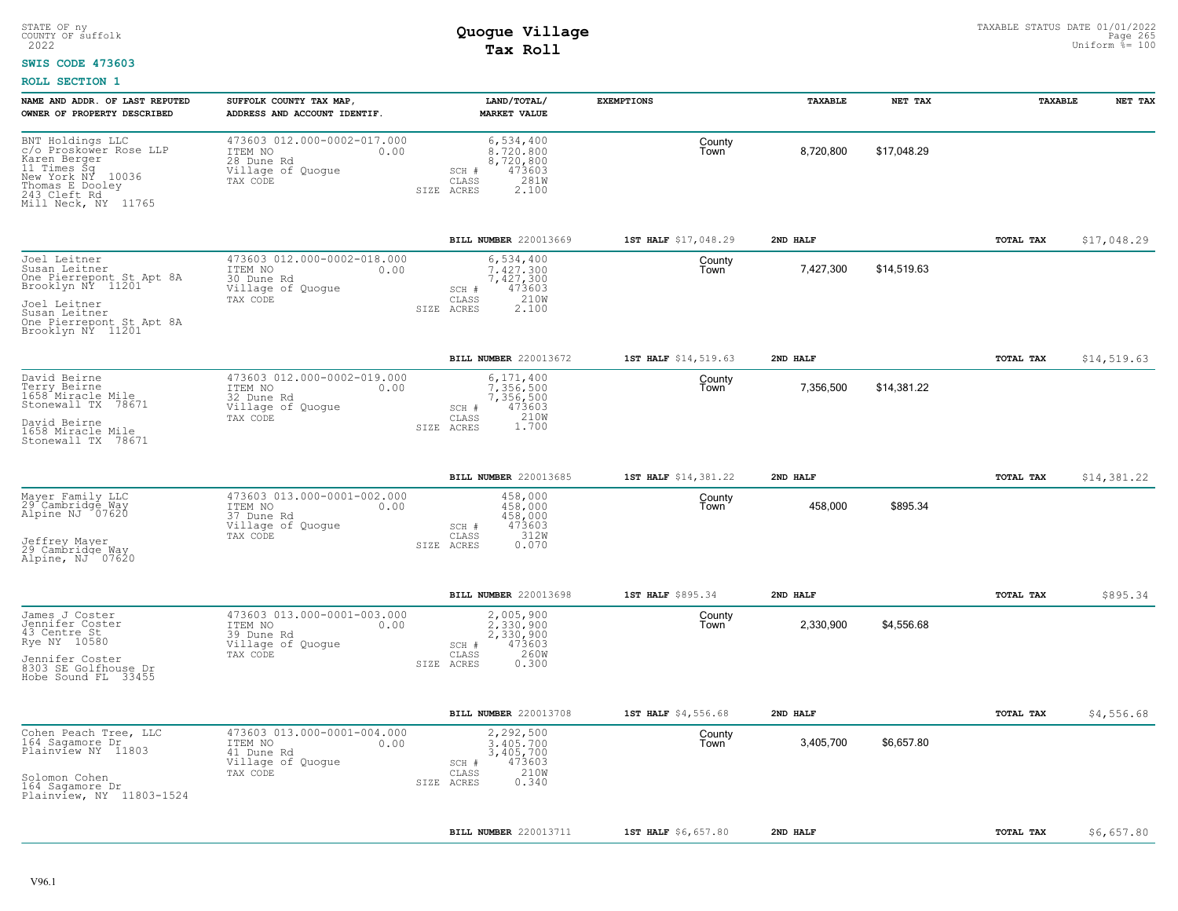#### **SWIS CODE 473603**

| 473603 012.000-0002-017.000<br>6,534,400<br>BNT Holdings LLC<br>County<br>c/o Proskower Rose LLP<br>8,720,800<br>\$17,048.29<br>ITEM NO<br>0.00<br>8,720,800<br>Town<br>Karen Berger<br>28 Dune Rd<br>8,720,800<br>11 Times Šq<br>New York NY 10036<br>Village of Quogue<br>473603<br>$SCH$ $#$<br>$\mathtt{CLASS}$<br>281W<br>TAX CODE<br>Thomas E Dooley<br>243 Cleft Rd<br>2.100<br>SIZE ACRES<br>Mill Neck, NY 11765<br>BILL NUMBER 220013669<br>1ST HALF \$17,048.29<br>2ND HALF<br>TOTAL TAX<br>473603 012.000-0002-018.000<br>6,534,400<br>Joel Leitner<br>County<br>Susan Leitner<br>7.427.300<br>7,427,300<br>\$14,519.63<br>ITEM NO<br>0.00<br>Town<br>One Pierrepont St Apt 8A<br>7,427,300<br>30 Dune Rd<br>Brooklyn NÝ 11201<br>Village of Quogue<br>473603<br>SCH #<br>210W<br>CLASS<br>TAX CODE<br>Joel Leitner<br>SIZE ACRES<br>2.100<br>Susan Leitner<br>One Pierrepont St Apt 8A<br>Brooklyn NY 11201<br>BILL NUMBER 220013672<br>2ND HALF<br>TOTAL TAX<br>1ST HALF \$14,519.63<br>473603 012.000-0002-019.000<br>David Beirne<br>6,171,400<br>County<br>Terry Beirne<br>7.356.500<br>7,356,500<br>\$14,381.22<br>ITEM NO<br>0.00<br>Town<br>1658 Miracle Mile<br>32 Dune Rd<br>7,356,500<br>Stonewall TX 78671<br>Village of Quoque<br>SCH #<br>473603<br>210W<br>TAX CODE<br>CLASS<br>David Beirne<br>1.700<br>SIZE ACRES<br>1658 Miracle Mile<br>Stonewall TX 78671<br>BILL NUMBER 220013685<br>1ST HALF \$14,381.22<br>2ND HALF<br>TOTAL TAX<br>473603 013.000-0001-002.000<br>Mayer Family LLC<br>458,000<br>County<br>29 Cambridge Way<br>Alpine NJ 07620<br>458,000<br>\$895.34<br>ITEM NO<br>458,000<br>Town<br>0.00<br>37 Dune Rd<br>458,000<br>473603<br>Village of Quogue<br>SCH #<br>312W<br>CLASS<br>TAX CODE<br>Jeffrey Mayer<br>SIZE ACRES<br>0.070<br>29 Cambridge Way<br>Alpine, NJ 07620<br>BILL NUMBER 220013698<br>1ST HALF \$895.34<br>2ND HALF<br>TOTAL TAX<br>473603 013.000-0001-003.000<br>James J Coster<br>2,005,900<br>County<br>Jennifer Coster<br>2.330.900<br>2,330,900<br>\$4,556.68<br>ITEM NO<br>0.00<br>Town<br>43 Centre St<br>$39$ Dune Rd<br>2,330,900<br>Rye NY 10580<br>Village of Quogue<br>473603<br>SCH #<br>260W<br>TAX CODE<br>CLASS<br>Jennifer Coster<br>SIZE ACRES<br>0.300<br>8303 SE Golfhouse Dr<br>Hobe Sound FL 33455<br>BILL NUMBER 220013708<br>2ND HALF<br>TOTAL TAX<br>1ST HALF \$4,556.68<br>473603 013.000-0001-004.000<br>2,292,500<br>Cohen Peach Tree, LLC<br>County<br>164 Sagamore Dr<br>3,405,700<br>\$6,657.80<br>ITEM NO<br>0.00<br>3,405,700<br>Town<br>Plainview NY 11803<br>3,405,700<br>41 Dune Rd<br>Village of Quogue<br>SCH #<br>473603<br>210W<br>TAX CODE<br>CLASS<br>Solomon Cohen<br>0.340<br>SIZE ACRES<br>164 Sagamore Dr<br>Plainview, NY 11803-1524<br>2ND HALF<br>TOTAL TAX | NAME AND ADDR. OF LAST REPUTED<br>OWNER OF PROPERTY DESCRIBED | SUFFOLK COUNTY TAX MAP,<br>ADDRESS AND ACCOUNT IDENTIF. | LAND/TOTAL/<br><b>MARKET VALUE</b> | <b>EXEMPTIONS</b>   | <b>TAXABLE</b> | NET TAX | TAXABLE | NET TAX     |
|----------------------------------------------------------------------------------------------------------------------------------------------------------------------------------------------------------------------------------------------------------------------------------------------------------------------------------------------------------------------------------------------------------------------------------------------------------------------------------------------------------------------------------------------------------------------------------------------------------------------------------------------------------------------------------------------------------------------------------------------------------------------------------------------------------------------------------------------------------------------------------------------------------------------------------------------------------------------------------------------------------------------------------------------------------------------------------------------------------------------------------------------------------------------------------------------------------------------------------------------------------------------------------------------------------------------------------------------------------------------------------------------------------------------------------------------------------------------------------------------------------------------------------------------------------------------------------------------------------------------------------------------------------------------------------------------------------------------------------------------------------------------------------------------------------------------------------------------------------------------------------------------------------------------------------------------------------------------------------------------------------------------------------------------------------------------------------------------------------------------------------------------------------------------------------------------------------------------------------------------------------------------------------------------------------------------------------------------------------------------------------------------------------------------------------------------------------------------------------------------------------------------------------------------------------------------------------------------------------------------------------------------------------------------------------------------------------------------------------------------------------------------------------|---------------------------------------------------------------|---------------------------------------------------------|------------------------------------|---------------------|----------------|---------|---------|-------------|
|                                                                                                                                                                                                                                                                                                                                                                                                                                                                                                                                                                                                                                                                                                                                                                                                                                                                                                                                                                                                                                                                                                                                                                                                                                                                                                                                                                                                                                                                                                                                                                                                                                                                                                                                                                                                                                                                                                                                                                                                                                                                                                                                                                                                                                                                                                                                                                                                                                                                                                                                                                                                                                                                                                                                                                                  |                                                               |                                                         |                                    |                     |                |         |         |             |
|                                                                                                                                                                                                                                                                                                                                                                                                                                                                                                                                                                                                                                                                                                                                                                                                                                                                                                                                                                                                                                                                                                                                                                                                                                                                                                                                                                                                                                                                                                                                                                                                                                                                                                                                                                                                                                                                                                                                                                                                                                                                                                                                                                                                                                                                                                                                                                                                                                                                                                                                                                                                                                                                                                                                                                                  |                                                               |                                                         |                                    |                     |                |         |         | \$17,048.29 |
|                                                                                                                                                                                                                                                                                                                                                                                                                                                                                                                                                                                                                                                                                                                                                                                                                                                                                                                                                                                                                                                                                                                                                                                                                                                                                                                                                                                                                                                                                                                                                                                                                                                                                                                                                                                                                                                                                                                                                                                                                                                                                                                                                                                                                                                                                                                                                                                                                                                                                                                                                                                                                                                                                                                                                                                  |                                                               |                                                         |                                    |                     |                |         |         |             |
|                                                                                                                                                                                                                                                                                                                                                                                                                                                                                                                                                                                                                                                                                                                                                                                                                                                                                                                                                                                                                                                                                                                                                                                                                                                                                                                                                                                                                                                                                                                                                                                                                                                                                                                                                                                                                                                                                                                                                                                                                                                                                                                                                                                                                                                                                                                                                                                                                                                                                                                                                                                                                                                                                                                                                                                  |                                                               |                                                         |                                    |                     |                |         |         | \$14,519.63 |
|                                                                                                                                                                                                                                                                                                                                                                                                                                                                                                                                                                                                                                                                                                                                                                                                                                                                                                                                                                                                                                                                                                                                                                                                                                                                                                                                                                                                                                                                                                                                                                                                                                                                                                                                                                                                                                                                                                                                                                                                                                                                                                                                                                                                                                                                                                                                                                                                                                                                                                                                                                                                                                                                                                                                                                                  |                                                               |                                                         |                                    |                     |                |         |         |             |
|                                                                                                                                                                                                                                                                                                                                                                                                                                                                                                                                                                                                                                                                                                                                                                                                                                                                                                                                                                                                                                                                                                                                                                                                                                                                                                                                                                                                                                                                                                                                                                                                                                                                                                                                                                                                                                                                                                                                                                                                                                                                                                                                                                                                                                                                                                                                                                                                                                                                                                                                                                                                                                                                                                                                                                                  |                                                               |                                                         |                                    |                     |                |         |         | \$14,381.22 |
|                                                                                                                                                                                                                                                                                                                                                                                                                                                                                                                                                                                                                                                                                                                                                                                                                                                                                                                                                                                                                                                                                                                                                                                                                                                                                                                                                                                                                                                                                                                                                                                                                                                                                                                                                                                                                                                                                                                                                                                                                                                                                                                                                                                                                                                                                                                                                                                                                                                                                                                                                                                                                                                                                                                                                                                  |                                                               |                                                         |                                    |                     |                |         |         |             |
|                                                                                                                                                                                                                                                                                                                                                                                                                                                                                                                                                                                                                                                                                                                                                                                                                                                                                                                                                                                                                                                                                                                                                                                                                                                                                                                                                                                                                                                                                                                                                                                                                                                                                                                                                                                                                                                                                                                                                                                                                                                                                                                                                                                                                                                                                                                                                                                                                                                                                                                                                                                                                                                                                                                                                                                  |                                                               |                                                         |                                    |                     |                |         |         | \$895.34    |
|                                                                                                                                                                                                                                                                                                                                                                                                                                                                                                                                                                                                                                                                                                                                                                                                                                                                                                                                                                                                                                                                                                                                                                                                                                                                                                                                                                                                                                                                                                                                                                                                                                                                                                                                                                                                                                                                                                                                                                                                                                                                                                                                                                                                                                                                                                                                                                                                                                                                                                                                                                                                                                                                                                                                                                                  |                                                               |                                                         |                                    |                     |                |         |         |             |
|                                                                                                                                                                                                                                                                                                                                                                                                                                                                                                                                                                                                                                                                                                                                                                                                                                                                                                                                                                                                                                                                                                                                                                                                                                                                                                                                                                                                                                                                                                                                                                                                                                                                                                                                                                                                                                                                                                                                                                                                                                                                                                                                                                                                                                                                                                                                                                                                                                                                                                                                                                                                                                                                                                                                                                                  |                                                               |                                                         |                                    |                     |                |         |         | \$4,556.68  |
|                                                                                                                                                                                                                                                                                                                                                                                                                                                                                                                                                                                                                                                                                                                                                                                                                                                                                                                                                                                                                                                                                                                                                                                                                                                                                                                                                                                                                                                                                                                                                                                                                                                                                                                                                                                                                                                                                                                                                                                                                                                                                                                                                                                                                                                                                                                                                                                                                                                                                                                                                                                                                                                                                                                                                                                  |                                                               |                                                         |                                    |                     |                |         |         |             |
|                                                                                                                                                                                                                                                                                                                                                                                                                                                                                                                                                                                                                                                                                                                                                                                                                                                                                                                                                                                                                                                                                                                                                                                                                                                                                                                                                                                                                                                                                                                                                                                                                                                                                                                                                                                                                                                                                                                                                                                                                                                                                                                                                                                                                                                                                                                                                                                                                                                                                                                                                                                                                                                                                                                                                                                  |                                                               |                                                         | BILL NUMBER 220013711              | 1ST HALF \$6,657.80 |                |         |         | \$6,657.80  |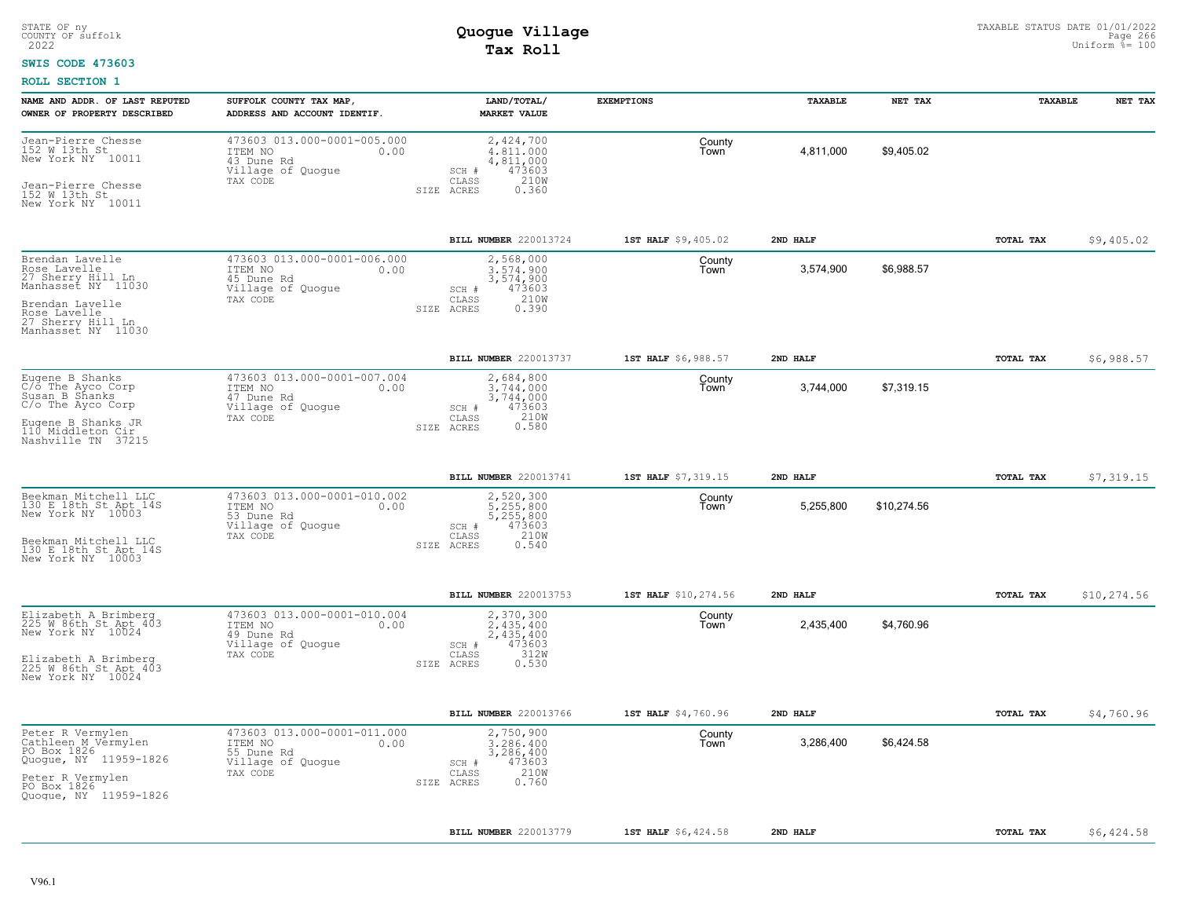### **SWIS CODE 473603**

| NAME AND ADDR. OF LAST REPUTED<br>OWNER OF PROPERTY DESCRIBED                                                                                            | SUFFOLK COUNTY TAX MAP,<br>ADDRESS AND ACCOUNT IDENTIF.                                       | LAND/TOTAL/<br><b>MARKET VALUE</b>                                                                 | <b>EXEMPTIONS</b>    | TAXABLE   | NET TAX     | <b>TAXABLE</b>   | NET TAX      |
|----------------------------------------------------------------------------------------------------------------------------------------------------------|-----------------------------------------------------------------------------------------------|----------------------------------------------------------------------------------------------------|----------------------|-----------|-------------|------------------|--------------|
| Jean-Pierre Chesse<br>152 W 13th St<br>New York NY 10011<br>Jean-Pierre Chesse<br>152 W 13th St<br>New York NY 10011                                     | 473603 013.000-0001-005.000<br>ITEM NO<br>0.00<br>43 Dune Rd<br>Village of Quogue<br>TAX CODE | 2,424,700<br>4,811,000<br>4,811,000<br>473603<br>SCH #<br>210W<br>CLASS<br>SIZE ACRES<br>0.360     | County<br>Town       | 4,811,000 | \$9,405.02  |                  |              |
|                                                                                                                                                          |                                                                                               | <b>BILL NUMBER 220013724</b>                                                                       | 1ST HALF \$9,405.02  | 2ND HALF  |             | <b>TOTAL TAX</b> | \$9,405.02   |
| Brendan Lavelle<br>Rose Lavelle<br>27 Sherry Hill Ln<br>Manhasset NY 11030<br>Brendan Lavelle<br>Rose Lavelle<br>27 Sherry Hill Ln<br>Manhasset NY 11030 | 473603 013.000-0001-006.000<br>ITEM NO<br>0.00<br>45 Dune Rd<br>Village of Quogue<br>TAX CODE | 2,568,000<br>3.574.900<br>3,574,900<br>473603<br>SCH #<br>210W<br>CLASS<br>SIZE ACRES<br>0.390     | County<br>l own      | 3,574,900 | \$6,988.57  |                  |              |
|                                                                                                                                                          |                                                                                               | BILL NUMBER 220013737                                                                              | 1ST HALF \$6,988.57  | 2ND HALF  |             | TOTAL TAX        | \$6,988.57   |
| Eugene B Shanks<br>C/o The Ayco Corp<br>Susan B Shanks<br>C/o The Ayco Corp<br>Eugene B Shanks JR<br>110 Middleton Cir<br>Nashville TN 37215             | 473603 013.000-0001-007.004<br>ITEM NO<br>0.00<br>47 Dune Rd<br>Village of Quoque<br>TAX CODE | 2,684,800<br>3.744.000<br>3,744,000<br>473603<br>SCH #<br>210W<br>CLASS<br>0.580<br>SIZE ACRES     | County<br>Town       | 3,744,000 | \$7,319.15  |                  |              |
|                                                                                                                                                          |                                                                                               | BILL NUMBER 220013741                                                                              | 1ST HALF \$7,319.15  | 2ND HALF  |             | TOTAL TAX        | \$7,319.15   |
| Beekman Mitchell LLC<br>130 E 18th St Apt 14S<br>New York NY 10003<br>Beekman Mitchell LLC<br>130 E 18th St Apt 14S<br>New York NY 10003                 | 473603 013.000-0001-010.002<br>ITEM NO<br>0.00<br>53 Dune Rd<br>Village of Quogue<br>TAX CODE | 2,520,300<br>5.255.800<br>5,255,800<br>473603<br>$SCH$ $#$<br>CLASS<br>210W<br>0.540<br>SIZE ACRES | County<br>Town       | 5,255,800 | \$10,274.56 |                  |              |
|                                                                                                                                                          |                                                                                               | BILL NUMBER 220013753                                                                              | 1ST HALF \$10,274.56 | 2ND HALF  |             | TOTAL TAX        | \$10, 274.56 |
| Elizabeth A Brimberg<br>225 W 86th St Apt 403<br>New York NY 10024<br>Elizabeth A Brimberg<br>225 W 86th St Apt 403<br>New York NY 10024                 | 473603 013.000-0001-010.004<br>ITEM NO<br>0.00<br>49 Dune Rd<br>Village of Quogue<br>TAX CODE | 2,370,300<br>2.435.400<br>2,435,400<br>473603<br>SCH #<br>312W<br>CLASS<br>0.530<br>SIZE ACRES     | County<br>Town       | 2,435,400 | \$4,760.96  |                  |              |
|                                                                                                                                                          |                                                                                               | BILL NUMBER 220013766                                                                              | 1ST HALF \$4,760.96  | 2ND HALF  |             | TOTAL TAX        | \$4,760.96   |
| Peter R Vermylen<br>Cathleen M Vermylen<br>PO Box 1826<br>Quogue, NY 11959-1826<br>Peter R Vermylen<br>PO Box 1826<br>Quogue, NY 11959-1826              | 473603 013.000-0001-011.000<br>ITEM NO<br>0.00<br>55 Dune Rd<br>Village of Quogue<br>TAX CODE | 2,750,900<br>3,286,400<br>3,286,400<br>473603<br>SCH #<br>210W<br>CLASS<br>0.760<br>SIZE ACRES     | County<br>Town       | 3,286,400 | \$6,424.58  |                  |              |
|                                                                                                                                                          |                                                                                               | <b>BILL NUMBER 220013779</b>                                                                       | 1ST HALF \$6,424.58  | 2ND HALF  |             | TOTAL TAX        | \$6,424.58   |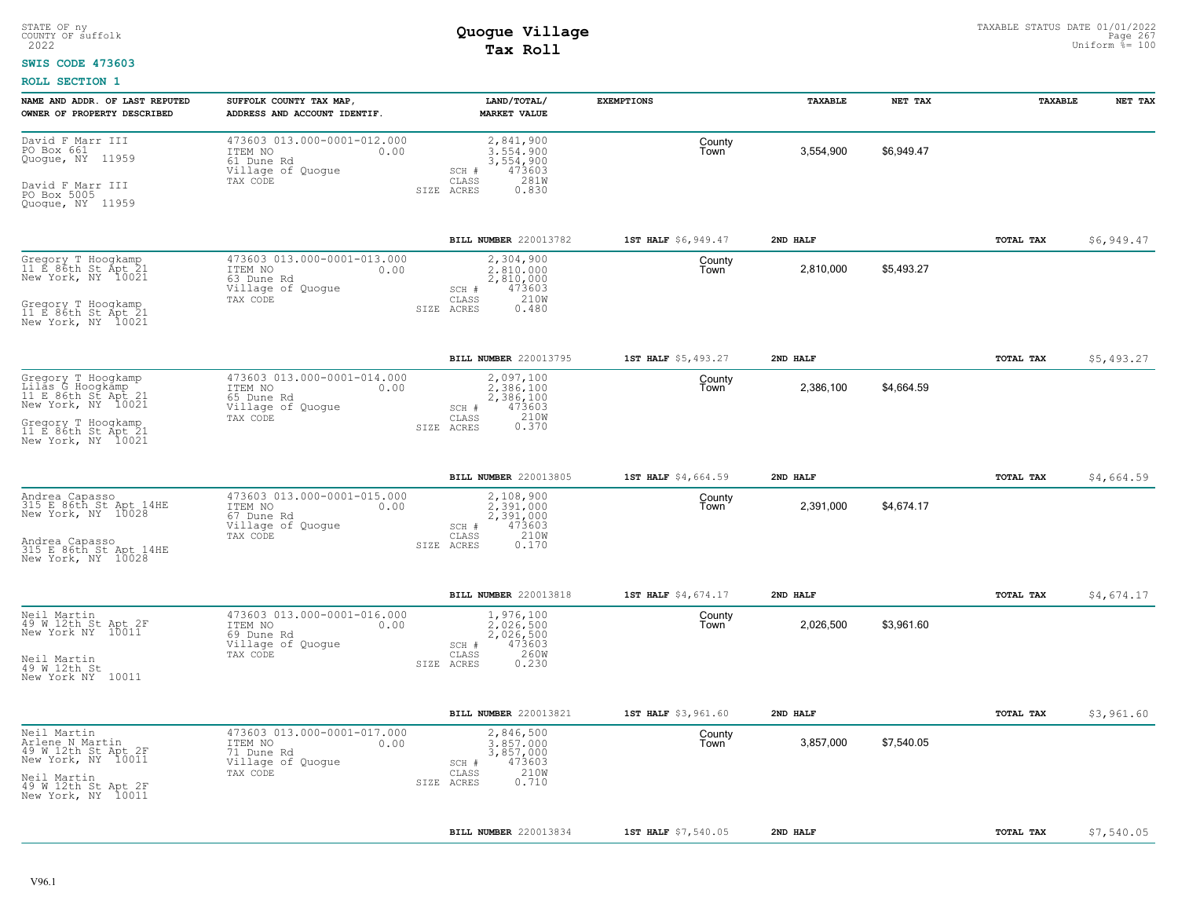#### **SWIS CODE 473603**

| NAME AND ADDR. OF LAST REPUTED<br>OWNER OF PROPERTY DESCRIBED                                                                                          | SUFFOLK COUNTY TAX MAP<br>ADDRESS AND ACCOUNT IDENTIF.                                        | LAND/TOTAL/<br><b>MARKET VALUE</b>                                                             | <b>EXEMPTIONS</b>   | TAXABLE   | NET TAX    | TAXABLE   | NET TAX    |
|--------------------------------------------------------------------------------------------------------------------------------------------------------|-----------------------------------------------------------------------------------------------|------------------------------------------------------------------------------------------------|---------------------|-----------|------------|-----------|------------|
| David F Marr III<br>PO Box 661<br>Quogue, NY 11959<br>David F Marr III<br>PO Box 5005<br>Quoque, NY 11959                                              | 473603 013.000-0001-012.000<br>ITEM NO<br>0.00<br>61 Dune Rd<br>Village of Quogue<br>TAX CODE | 2,841,900<br>3.554.900<br>3,554,900<br>473603<br>SCH #<br>281W<br>CLASS<br>SIZE ACRES<br>0.830 | County<br>Town      | 3,554,900 | \$6,949.47 |           |            |
|                                                                                                                                                        |                                                                                               | BILL NUMBER 220013782                                                                          | 1ST HALF \$6,949.47 | 2ND HALF  |            | TOTAL TAX | \$6,949.47 |
| Gregory T Hoogkamp<br>11 E 86th St Apt 21<br>New York, NY 10021<br>Gregory T Hoogkamp<br>11 E 86th St Apt 21<br>New York, NY 10021                     | 473603 013.000-0001-013.000<br>ITEM NO<br>0.00<br>63 Dune Rd<br>Village of Quogue<br>TAX CODE | 2,304,900<br>2,810,000<br>2,810,000<br>473603<br>SCH #<br>210W<br>CLASS<br>SIZE ACRES<br>0.480 | County<br>Town      | 2,810,000 | \$5,493.27 |           |            |
|                                                                                                                                                        |                                                                                               | BILL NUMBER 220013795                                                                          | 1ST HALF \$5,493.27 | 2ND HALF  |            | TOTAL TAX | \$5,493.27 |
| Gregory T Hoogkamp<br>Lilas G Hoogkamp<br>11 E 86th St Apt 21<br>New York, NY 10021<br>Gregory T Hoogkamp<br>11 E 86th St Apt 21<br>New York, NY 10021 | 473603 013.000-0001-014.000<br>0.00<br>ITEM NO<br>65 Dune Rd<br>Village of Quogue<br>TAX CODE | 2,097,100<br>2.386.100<br>2,386,100<br>473603<br>SCH #<br>210W<br>0.370<br>CLASS<br>SIZE ACRES | County<br>Town      | 2,386,100 | \$4,664.59 |           |            |
|                                                                                                                                                        |                                                                                               | BILL NUMBER 220013805                                                                          | 1ST HALF \$4,664.59 | 2ND HALF  |            | TOTAL TAX | \$4,664.59 |
| Andrea Capasso<br>315 E 86th St Apt 14HE<br>New York, NY 10028<br>Andrea Capasso<br>315 E 86th St Apt 14HE<br>New York, NY 10028                       | 473603 013.000-0001-015.000<br>ITEM NO<br>0.00<br>67 Dune Rd<br>Village of Quogue<br>TAX CODE | 2,108,900<br>2.391.000<br>2,391,000<br>SCH #<br>473603<br>210W<br>CLASS<br>SIZE ACRES<br>0.170 | County<br>Town      | 2,391,000 | \$4,674.17 |           |            |
|                                                                                                                                                        |                                                                                               | BILL NUMBER 220013818                                                                          | 1ST HALF \$4,674.17 | 2ND HALF  |            | TOTAL TAX | \$4,674.17 |
| Neil Martin<br>49 W 12th St Apt 2F<br>New York NY 10011<br>Neil Martin<br>49 W 12th St<br>New York NY 10011                                            | 473603 013.000-0001-016.000<br>ITEM NO<br>0.00<br>69 Dune Rd<br>Village of Quogue<br>TAX CODE | 1,976,100<br>2.026.500<br>2,026,500<br>473603<br>SCH #<br>260W<br>CLASS<br>0.230<br>SIZE ACRES | County<br>Town      | 2,026,500 | \$3,961.60 |           |            |
|                                                                                                                                                        |                                                                                               | BILL NUMBER 220013821                                                                          | 1ST HALF \$3,961.60 | 2ND HALF  |            | TOTAL TAX | \$3,961.60 |
| Neil Martin<br>Arlene N Martin<br>49 W 12th St Apt 2F<br>New York, NY 10011<br>Neil Martin<br>49 W 12th St Apt 2F<br>New York, NY 10011                | 473603 013.000-0001-017.000<br>0.00<br>ITEM NO<br>71 Dune Rd<br>Village of Quogue<br>TAX CODE | 2,846,500<br>3,857,000<br>3,857,000<br>473603<br>SCH #<br>210W<br>CLASS<br>0.710<br>SIZE ACRES | County<br>Town      | 3,857,000 | \$7,540.05 |           |            |
|                                                                                                                                                        |                                                                                               | BILL NUMBER 220013834                                                                          | 1ST HALF \$7,540.05 | 2ND HALF  |            | TOTAL TAX | \$7,540.05 |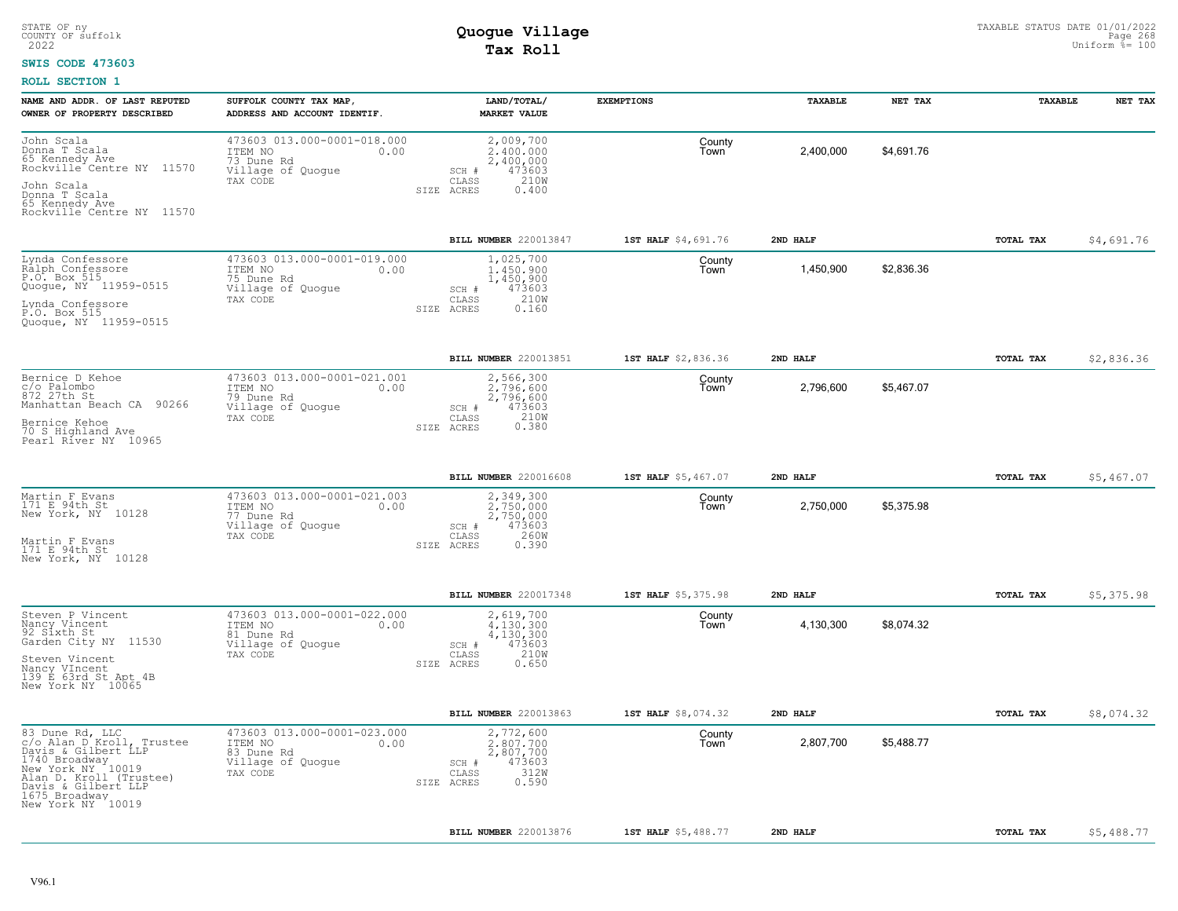#### **SWIS CODE 473603**

| NAME AND ADDR. OF LAST REPUTED<br>OWNER OF PROPERTY DESCRIBED                                                                                                                                     | SUFFOLK COUNTY TAX MAP,<br>ADDRESS AND ACCOUNT IDENTIF.                                       | LAND/TOTAL/<br><b>MARKET VALUE</b>                                                                 | <b>EXEMPTIONS</b>   | TAXABLE   | NET TAX    | TAXABLE          | NET TAX    |
|---------------------------------------------------------------------------------------------------------------------------------------------------------------------------------------------------|-----------------------------------------------------------------------------------------------|----------------------------------------------------------------------------------------------------|---------------------|-----------|------------|------------------|------------|
| John Scala<br>Donna T Scala<br>65 Kennedy Ave<br>Rockville <sup>-</sup> Centre NY 11570<br>John Scala<br>Donna T Scala<br>65 Kennedy Ave                                                          | 473603 013.000-0001-018.000<br>ITEM NO<br>0.00<br>73 Dune Rd<br>Village of Quogue<br>TAX CODE | 2,009,700<br>2,400,000<br>2,400,000<br>473603<br>SCH #<br>210W<br>CLASS<br>0.400<br>SIZE ACRES     | County<br>Town      | 2,400,000 | \$4,691.76 |                  |            |
| Rockville Centre NY 11570                                                                                                                                                                         |                                                                                               |                                                                                                    |                     |           |            |                  |            |
|                                                                                                                                                                                                   |                                                                                               | BILL NUMBER 220013847                                                                              | 1ST HALF \$4,691.76 | 2ND HALF  |            | TOTAL TAX        | \$4,691.76 |
| Lynda Confessore<br>Ralph_Confessore<br>P.O. Box 515<br>Quogue, NY 11959-0515<br>Lynda Confessore<br>P.O. Box 515<br>Quogue, NY 11959-0515                                                        | 473603 013.000-0001-019.000<br>ITEM NO<br>0.00<br>75 Dune Rd<br>Village of Quogue<br>TAX CODE | 1,025,700<br>1,450,900<br>1,450,900<br>473603<br>SCH #<br>210W<br>CLASS<br>SIZE ACRES<br>0.160     | County<br>Town      | 1,450,900 | \$2,836.36 |                  |            |
|                                                                                                                                                                                                   |                                                                                               | BILL NUMBER 220013851                                                                              | 1ST HALF \$2,836.36 | 2ND HALF  |            | <b>TOTAL TAX</b> | \$2,836.36 |
| Bernice D Kehoe<br>c/o Palombo<br>872 27th St<br>Manhattan Beach CA 90266                                                                                                                         | 473603 013.000-0001-021.001<br>ITEM NO<br>0.00<br>79 Dune Rd<br>Village of Quogue<br>TAX CODE | 2,566,300<br>2.796.600<br>2,796,600<br>473603<br>SCH #<br>210W<br>CLASS                            | County<br>Town      | 2,796,600 | \$5,467.07 |                  |            |
| Bernice Kehoe<br>70 S Highland Ave<br>Pearl River NY 10965                                                                                                                                        |                                                                                               | 0.380<br>SIZE ACRES                                                                                |                     |           |            |                  |            |
|                                                                                                                                                                                                   |                                                                                               | <b>BILL NUMBER 220016608</b>                                                                       | 1ST HALF \$5,467.07 | 2ND HALF  |            | TOTAL TAX        | \$5,467.07 |
| Martin F Evans<br>171 E 94th St<br>New York, NY 10128<br>Martin F Evans<br>171 E 94th St<br>New York, NY 10128                                                                                    | 473603 013.000-0001-021.003<br>ITEM NO<br>0.00<br>77 Dune Rd<br>Village of Quogue<br>TAX CODE | 2,349,300<br>2,750,000<br>2,750,000<br>473603<br>SCH #<br>CLASS<br>260W<br>0.390<br>SIZE ACRES     | County<br>Town      | 2,750,000 | \$5,375.98 |                  |            |
|                                                                                                                                                                                                   |                                                                                               | BILL NUMBER 220017348                                                                              | 1ST HALF \$5,375.98 | 2ND HALF  |            | TOTAL TAX        | \$5,375.98 |
| Steven P Vincent<br>Nancy Vincent<br>92 Sixth St<br>Garden City NY<br>11530<br>Steven Vincent<br>Nancy VIncent<br>139 E 63rd St Apt 4B<br>New York NY 10065                                       | 473603 013.000-0001-022.000<br>ITEM NO<br>0.00<br>81 Dune Rd<br>Village of Quogue<br>TAX CODE | 2,619,700<br>4,130,300<br>4,130,300<br>473603<br>$SCH$ $#$<br>210W<br>CLASS<br>SIZE ACRES<br>0.650 | County<br>Town      | 4,130,300 | \$8,074.32 |                  |            |
|                                                                                                                                                                                                   |                                                                                               | BILL NUMBER 220013863                                                                              | 1ST HALF \$8,074.32 | 2ND HALF  |            | TOTAL TAX        | \$8,074.32 |
| 83 Dune Rd, LLC<br>c/o Alan D Kroll, Trustee<br>Davis & Gilbert LLP<br>1740 Broadway<br>New York NY 10019<br>Alan D. Kroll (Trustee)<br>Davis & Gilbert LLP<br>1675 Broadway<br>New York NY 10019 | 473603 013.000-0001-023.000<br>ITEM NO<br>0.00<br>83 Dune Rd<br>Village of Quogue<br>TAX CODE | 2,772,600<br>2,807,700<br>2,807,700<br>473603<br>SCH #<br>312W<br>CLASS<br>0.590<br>SIZE ACRES     | County<br>Town      | 2,807,700 | \$5,488.77 |                  |            |
|                                                                                                                                                                                                   |                                                                                               | BILL NUMBER 220013876                                                                              | 1ST HALF \$5,488.77 | 2ND HALF  |            | TOTAL TAX        | \$5,488.77 |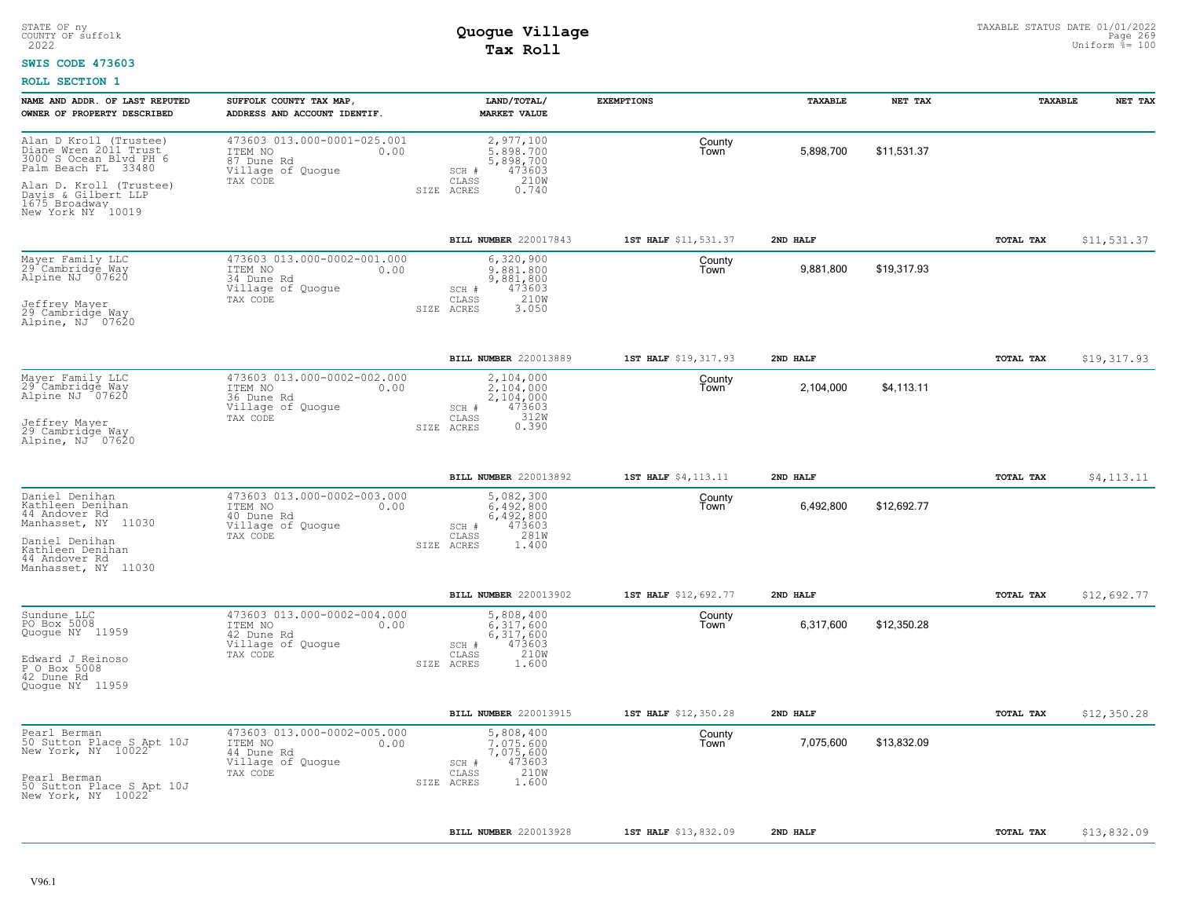### **SWIS CODE 473603**

| NAME AND ADDR. OF LAST REPUTED<br>OWNER OF PROPERTY DESCRIBED                                                               | SUFFOLK COUNTY TAX MAP,<br>ADDRESS AND ACCOUNT IDENTIF.                                       | LAND/TOTAL/<br><b>MARKET VALUE</b>                                      | <b>EXEMPTIONS</b>    | TAXABLE   | NET TAX     | TAXABLE   | NET TAX     |
|-----------------------------------------------------------------------------------------------------------------------------|-----------------------------------------------------------------------------------------------|-------------------------------------------------------------------------|----------------------|-----------|-------------|-----------|-------------|
| Alan D_Kroll (Trustee)<br>Diane Wren 2011 Trust<br>3000 S Ocean Blyd PH 6<br>Palm Beach FL 33480<br>Alan D. Kroll (Trustee) | 473603 013.000-0001-025.001<br>ITEM NO<br>0.00<br>87 Dune Rd<br>Village of Quogue<br>TAX CODE | 2,977,100<br>5,898,700<br>5,898,700<br>473603<br>SCH #<br>210W<br>CLASS | County<br>Town       | 5,898,700 | \$11,531.37 |           |             |
| Davis & Gilbert LLP<br>1675 Broadway<br>New York NY 10019                                                                   |                                                                                               | SIZE ACRES<br>0.740                                                     |                      |           |             |           |             |
|                                                                                                                             |                                                                                               | BILL NUMBER 220017843                                                   | 1ST HALF \$11,531.37 | 2ND HALF  |             | TOTAL TAX | \$11,531.37 |
| Mayer Family LLC<br>29 Cambridge Way<br>Alpine NJ 707620                                                                    | 473603 013.000-0002-001.000<br>ITEM NO<br>0.00<br>34 Dune Rd<br>Village of Quogue<br>TAX CODE | 6,320,900<br>9.881.800<br>9,881,800<br>473603<br>SCH #<br>210W<br>CLASS | County<br>Town       | 9,881,800 | \$19,317.93 |           |             |
| Jeffrey Mayer<br>29 Cambridge Way<br>Alpine, NJ 07620                                                                       |                                                                                               | 3.050<br>SIZE ACRES                                                     |                      |           |             |           |             |
|                                                                                                                             |                                                                                               | <b>BILL NUMBER 220013889</b>                                            | 1ST HALF \$19,317.93 | 2ND HALF  |             | TOTAL TAX | \$19,317.93 |
| Mayer Family LLC<br>29 Cambridge Way<br>Alpine NJ 07620                                                                     | 473603 013.000-0002-002.000<br>ITEM NO<br>0.00<br>36 Dune Rd<br>Village of Quogue             | 2,104,000<br>2,104,000<br>2,104,000<br>473603<br>SCH #<br>312W          | County<br>Town       | 2,104,000 | \$4,113.11  |           |             |
| Jeffrey Mayer<br>29 Cambridge May<br>Alpine, NJ 07620                                                                       | TAX CODE                                                                                      | CLASS<br>0.390<br>SIZE ACRES                                            |                      |           |             |           |             |
|                                                                                                                             |                                                                                               | BILL NUMBER 220013892                                                   | 1ST HALF \$4,113.11  | 2ND HALF  |             | TOTAL TAX | \$4,113.11  |
| Daniel Denihan<br>Kathleen Denihan<br>44 Andover Rd<br>Manhasset, NY 11030                                                  | 473603 013.000-0002-003.000<br>ITEM NO<br>0.00<br>40 Dune Rd<br>Village of Quogue             | 5,082,300<br>$6.492.800$<br>$6,492,800$<br>473603<br>SCH #              | County<br>Town       | 6,492,800 | \$12,692.77 |           |             |
| Daniel Denihan<br>Kathleen Denihan<br>44 Andover Rd<br>Manhasset, NY 11030                                                  | TAX CODE                                                                                      | 281W<br>CLASS<br>1.400<br>SIZE ACRES                                    |                      |           |             |           |             |
|                                                                                                                             |                                                                                               | BILL NUMBER 220013902                                                   | 1ST HALF \$12,692.77 | 2ND HALF  |             | TOTAL TAX | \$12,692.77 |
| Sundune LLC<br>PO Box 5008<br>Quogue NY 11959                                                                               | 473603 013.000-0002-004.000<br>ITEM NO<br>0.00<br>42 Dune Rd<br>Village of Quoque<br>TAX CODE | 5,808,400<br>6,317,600<br>6,317,600<br>SCH #<br>473603<br>210W<br>CLASS | County<br>Town       | 6,317,600 | \$12,350.28 |           |             |
| Edward J Reinoso<br>P O Box 5008<br>42 Dune Rd<br>Quoque NY 11959                                                           |                                                                                               | SIZE ACRES<br>1.600                                                     |                      |           |             |           |             |
|                                                                                                                             |                                                                                               | <b>BILL NUMBER 220013915</b>                                            | 1ST HALF \$12,350.28 | 2ND HALF  |             | TOTAL TAX | \$12,350.28 |
| Pearl Berman<br>50 Sutton Place S Apt 10J<br>New York, NY 10022                                                             | 473603 013.000-0002-005.000<br>ITEM NO<br>0.00<br>44 Dune Rd<br>Village of Quogue<br>TAX CODE | 5,808,400<br>7,075,600<br>7,075,600<br>473603<br>SCH #<br>210W<br>CLASS | County<br>Town       | 7,075,600 | \$13,832.09 |           |             |
| Pearl Berman<br>50 Sutton Place S Apt 10J<br>New York, NY 10022                                                             |                                                                                               | SIZE ACRES<br>1.600                                                     |                      |           |             |           |             |
|                                                                                                                             |                                                                                               | BILL NUMBER 220013928                                                   | 1ST HALF \$13,832.09 | 2ND HALF  |             | TOTAL TAX | \$13,832.09 |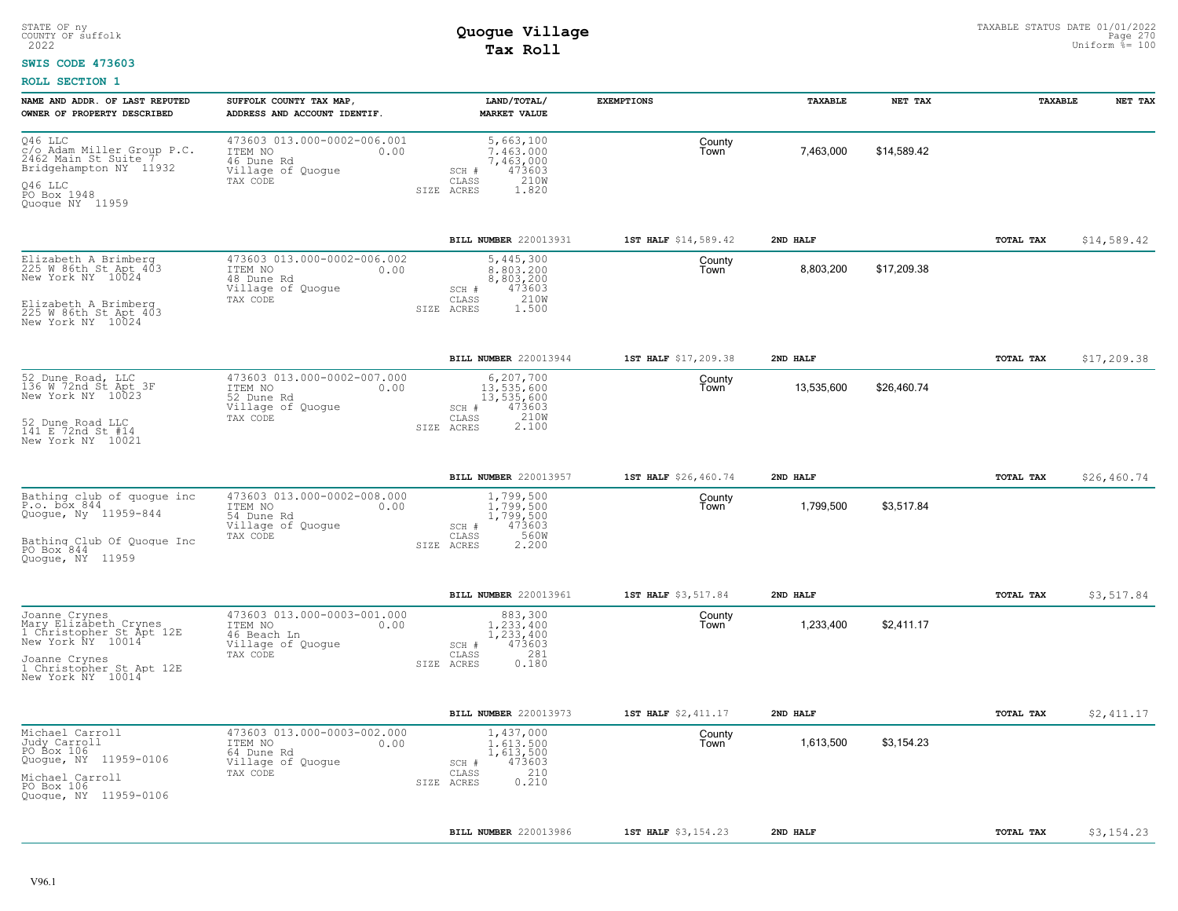#### **SWIS CODE 473603**

| NAME AND ADDR. OF LAST REPUTED<br>OWNER OF PROPERTY DESCRIBED                                                                                             | SUFFOLK COUNTY TAX MAP,<br>ADDRESS AND ACCOUNT IDENTIF.                                        | LAND/TOTAL/<br><b>MARKET VALUE</b>                                                               | <b>EXEMPTIONS</b>    | <b>TAXABLE</b> | NET TAX     | TAXABLE   | NET TAX     |
|-----------------------------------------------------------------------------------------------------------------------------------------------------------|------------------------------------------------------------------------------------------------|--------------------------------------------------------------------------------------------------|----------------------|----------------|-------------|-----------|-------------|
| Q46 LLC<br>C/o Adam Miller Group P.C.<br>2462 Main St Suite 7<br>Bridgehampton NY 11932<br>046 LLC<br>PO Box 1948<br>Quoque NY 11959                      | 473603 013.000-0002-006.001<br>ITEM NO<br>0.00<br>46 Dune Rd<br>Village of Quogue<br>TAX CODE  | 5,663,100<br>7.463.000<br>7,463,000<br>473603<br>SCH #<br>CLASS<br>210W<br>SIZE ACRES<br>1.820   | County<br>Town       | 7,463,000      | \$14,589.42 |           |             |
|                                                                                                                                                           |                                                                                                | BILL NUMBER 220013931                                                                            | 1ST HALF \$14,589.42 | 2ND HALF       |             | TOTAL TAX | \$14,589.42 |
| Elizabeth A Brimberg<br>225 W 86th St Apt 403<br>New York NY 10024<br>Elizabeth A Brimberg<br>225 W 86th St Apt 403<br>New York NY 10024                  | 473603 013.000-0002-006.002<br>ITEM NO<br>0.00<br>48 Dune Rd<br>Village of Quogue<br>TAX CODE  | 5,445,300<br>8.803.200<br>8,803,200<br>473603<br>SCH #<br>210W<br>CLASS<br>SIZE ACRES<br>1.500   | County<br>Town       | 8,803,200      | \$17,209.38 |           |             |
|                                                                                                                                                           |                                                                                                | BILL NUMBER 220013944                                                                            | 1ST HALF \$17,209.38 | 2ND HALF       |             | TOTAL TAX | \$17,209.38 |
| 52 Dune Road, LLC<br>136 W 72nd St Apt 3F<br>New York NY 10023<br>52 Dune Road LLC<br>141 E 72nd St #14<br>New York NY 10021                              | 473603 013.000-0002-007.000<br>ITEM NO<br>0.00<br>52 Dune Rd<br>Village of Quoque<br>TAX CODE  | 6,207,700<br>13,535,600<br>13,535,600<br>473603<br>SCH #<br>210W<br>CLASS<br>2.100<br>SIZE ACRES | County<br>Town       | 13,535,600     | \$26,460.74 |           |             |
|                                                                                                                                                           |                                                                                                | BILL NUMBER 220013957                                                                            | 1ST HALF \$26,460.74 | 2ND HALF       |             | TOTAL TAX | \$26,460.74 |
| Bathing club of quogue inc<br>P.o. box 844<br>Quogue, Ny 11959-844<br>Bathing Club Of Quoque Inc<br>PO Box 844<br>Quoque, NY 11959                        | 473603 013.000-0002-008.000<br>ITEM NO<br>0.00<br>54 Dune Rd<br>Village of Quogue<br>TAX CODE  | 1,799,500<br>1,799,500<br>1,799,500<br>473603<br>SCH #<br>CLASS<br>560W<br>SIZE ACRES<br>2.200   | County<br>Town       | 1,799,500      | \$3,517.84  |           |             |
|                                                                                                                                                           |                                                                                                | BILL NUMBER 220013961                                                                            | 1ST HALF \$3,517.84  | 2ND HALF       |             | TOTAL TAX | \$3,517.84  |
| Joanne Crynes<br>Mary Elizabeth Crynes<br>1 Christopher St Apt 12E<br>New York NY 10014<br>Joanne Crynes<br>1 Christopher St Apt 12E<br>New York NY 10014 | 473603 013.000-0003-001.000<br>ITEM NO<br>0.00<br>46 Beach Ln<br>Village of Quogue<br>TAX CODE | 883,300<br>1,233,400<br>1,233,400<br>473603<br>SCH #<br>281<br>CLASS<br>0.180<br>SIZE ACRES      | County<br>Town       | 1,233,400      | \$2,411.17  |           |             |
|                                                                                                                                                           |                                                                                                | BILL NUMBER 220013973                                                                            | 1ST HALF \$2,411.17  | 2ND HALF       |             | TOTAL TAX | \$2,411.17  |
| Michael Carroll<br>Judy Carroll<br>PO Box 106<br>Quogue, NY 11959-0106<br>Michael Carroll<br>PO Box 106<br>Quoque, NY 11959-0106                          | 473603 013.000-0003-002.000<br>ITEM NO<br>0.00<br>64 Dune Rd<br>Village of Quogue<br>TAX CODE  | 1,437,000<br>1.613.500<br>1,613,500<br>473603<br>SCH #<br>210<br>CLASS<br>0.210<br>SIZE ACRES    | County<br>Town       | 1,613,500      | \$3.154.23  |           |             |
|                                                                                                                                                           |                                                                                                | BILL NUMBER 220013986                                                                            | 1ST HALF \$3,154.23  | 2ND HALF       |             | TOTAL TAX | \$3,154.23  |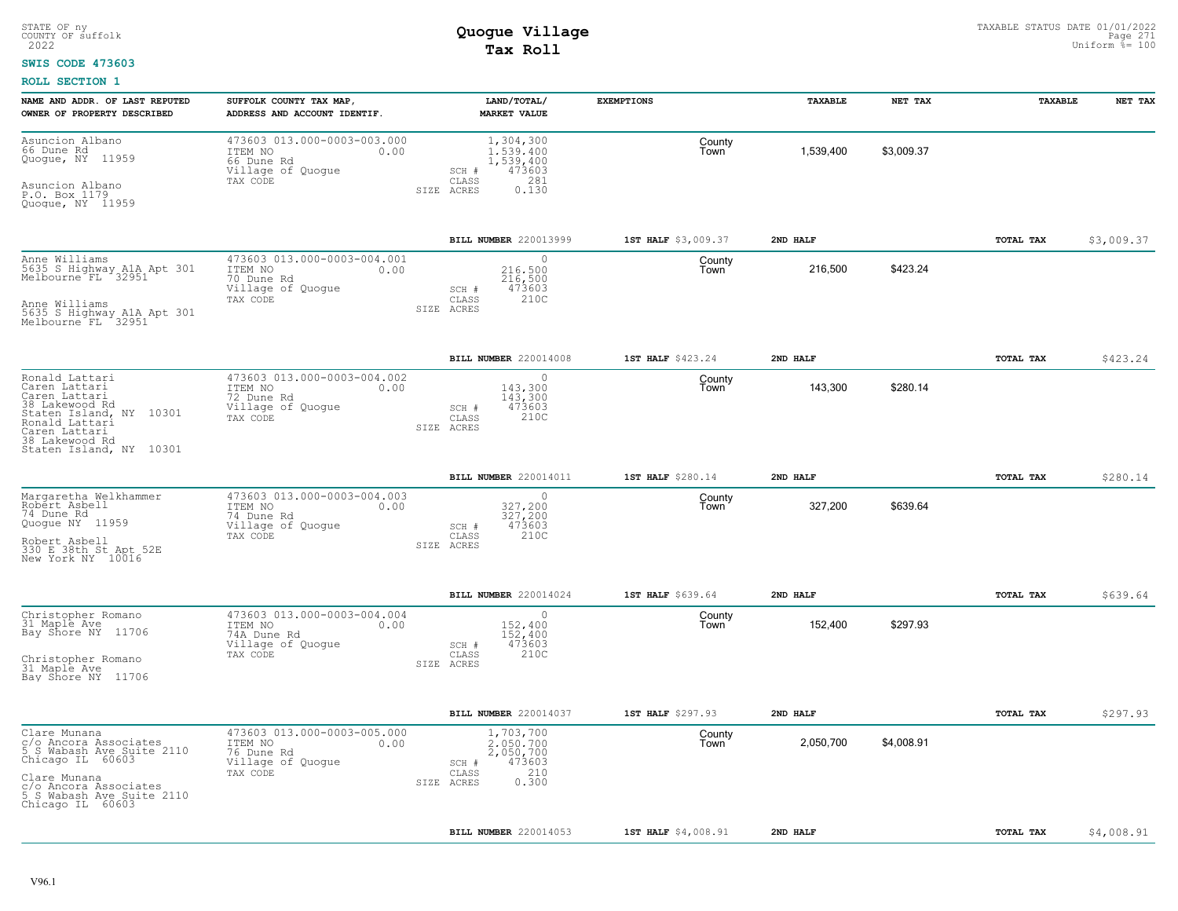#### **SWIS CODE 473603**

| NAME AND ADDR. OF LAST REPUTED<br>OWNER OF PROPERTY DESCRIBED                                                                                                                    | SUFFOLK COUNTY TAX MAP,<br>ADDRESS AND ACCOUNT IDENTIF.                                        | LAND/TOTAL/<br><b>MARKET VALUE</b>                                                            | <b>EXEMPTIONS</b>   | TAXABLE   | NET TAX    | TAXABLE          | NET TAX    |
|----------------------------------------------------------------------------------------------------------------------------------------------------------------------------------|------------------------------------------------------------------------------------------------|-----------------------------------------------------------------------------------------------|---------------------|-----------|------------|------------------|------------|
| Asuncion Albano<br>66 Dune Rd<br>Quoque, NY 11959<br>Asuncion Albano<br>P.O. Box 1179<br>Quoque, NY 11959                                                                        | 473603 013.000-0003-003.000<br>ITEM NO<br>0.00<br>66 Dune Rd<br>Village of Quogue<br>TAX CODE  | 1,304,300<br>1.539.400<br>1,539,400<br>473603<br>SCH #<br>281<br>CLASS<br>0.130<br>SIZE ACRES | County<br>Town      | 1,539,400 | \$3.009.37 |                  |            |
|                                                                                                                                                                                  |                                                                                                | BILL NUMBER 220013999                                                                         | 1ST HALF \$3,009.37 | 2ND HALF  |            | TOTAL TAX        | \$3,009.37 |
| Anne Williams<br>5635 S Highway AlA Apt 301<br>Melbourne FL 32951<br>Anne Williams<br>5635 S Highway AlA Apt 301<br>Melbourne FL 32951                                           | 473603 013.000-0003-004.001<br>ITEM NO<br>0.00<br>70 Dune Rd<br>Village of Quogue<br>TAX CODE  | 0<br>216,500<br>216,500<br>SCH #<br>473603<br>210C<br>CLASS<br>SIZE ACRES                     | County<br>Town      | 216,500   | \$423.24   |                  |            |
|                                                                                                                                                                                  |                                                                                                |                                                                                               |                     |           |            |                  |            |
|                                                                                                                                                                                  |                                                                                                | BILL NUMBER 220014008                                                                         | 1ST HALF \$423.24   | 2ND HALF  |            | <b>TOTAL TAX</b> | \$423.24   |
| Ronald Lattari<br>Caren Lattari<br>Caren Lattari<br>38 Lakewood Rd<br>Staten Island, NY 10301<br>Ronald Lattari<br>Caren Lattari<br>38 Lakewood Rd<br>Staten Island, NY 10301    | 473603 013.000-0003-004.002<br>ITEM NO<br>0.00<br>72 Dune Rd<br>Village of Quogue<br>TAX CODE  | $\circ$<br>143,300<br>143,300<br>473603<br>SCH #<br>210C<br>CLASS<br>SIZE ACRES               | County<br>Town      | 143,300   | \$280.14   |                  |            |
|                                                                                                                                                                                  |                                                                                                | BILL NUMBER 220014011                                                                         | 1ST HALF \$280.14   | 2ND HALF  |            | TOTAL TAX        | \$280.14   |
| Margaretha Welkhammer<br>Robert Asbell<br>74 Dune Rd<br>Quogue NY 11959<br>Robert Asbell<br>330 E 38th St Apt 52E<br>New York NY 10016                                           | 473603 013.000-0003-004.003<br>ITEM NO<br>0.00<br>74 Dune Rd<br>Village of Quogue<br>TAX CODE  | $\circ$<br>327,200<br>327,200<br>473603<br>$SCH$ #<br>210C<br>CLASS<br>SIZE ACRES             | County<br>Town      | 327,200   | \$639.64   |                  |            |
|                                                                                                                                                                                  |                                                                                                | BILL NUMBER 220014024                                                                         | 1ST HALF \$639.64   | 2ND HALF  |            | TOTAL TAX        | \$639.64   |
| Christopher Romano<br>31 Maple Ave<br>Bay Shore NY 11706<br>Christopher Romano<br>31 Maple Ave<br>Bay Shore NY 11706                                                             | 473603 013.000-0003-004.004<br>ITEM NO<br>0.00<br>74A Dune Rd<br>Village of Quogue<br>TAX CODE | 0<br>152,400<br>152,400<br>473603<br>SCH #<br>210C<br>CLASS<br>SIZE ACRES                     | County<br>Town      | 152,400   | \$297.93   |                  |            |
|                                                                                                                                                                                  |                                                                                                | BILL NUMBER 220014037                                                                         | 1ST HALF \$297.93   | 2ND HALF  |            | TOTAL TAX        | \$297.93   |
| Clare Munana<br>c/o Ancora Associates<br>5 S Wabash Ave Suite 2110<br>Chicago IL 60603<br>Clare Munana<br>c/o Ancora Associates<br>5 S Wabash Ave Suite 2110<br>Chicago IL 60603 | 473603 013.000-0003-005.000<br>0.00<br>ITEM NO<br>76 Dune Rd<br>Village of Quogue<br>TAX CODE  | 1,703,700<br>2.050.700<br>2,050,700<br>473603<br>SCH #<br>210<br>CLASS<br>0.300<br>SIZE ACRES | County<br>Town      | 2,050,700 | \$4,008.91 |                  |            |
|                                                                                                                                                                                  |                                                                                                | <b>BILL NUMBER 220014053</b>                                                                  | 1ST HALF \$4,008.91 | 2ND HALF  |            | TOTAL TAX        | \$4,008.91 |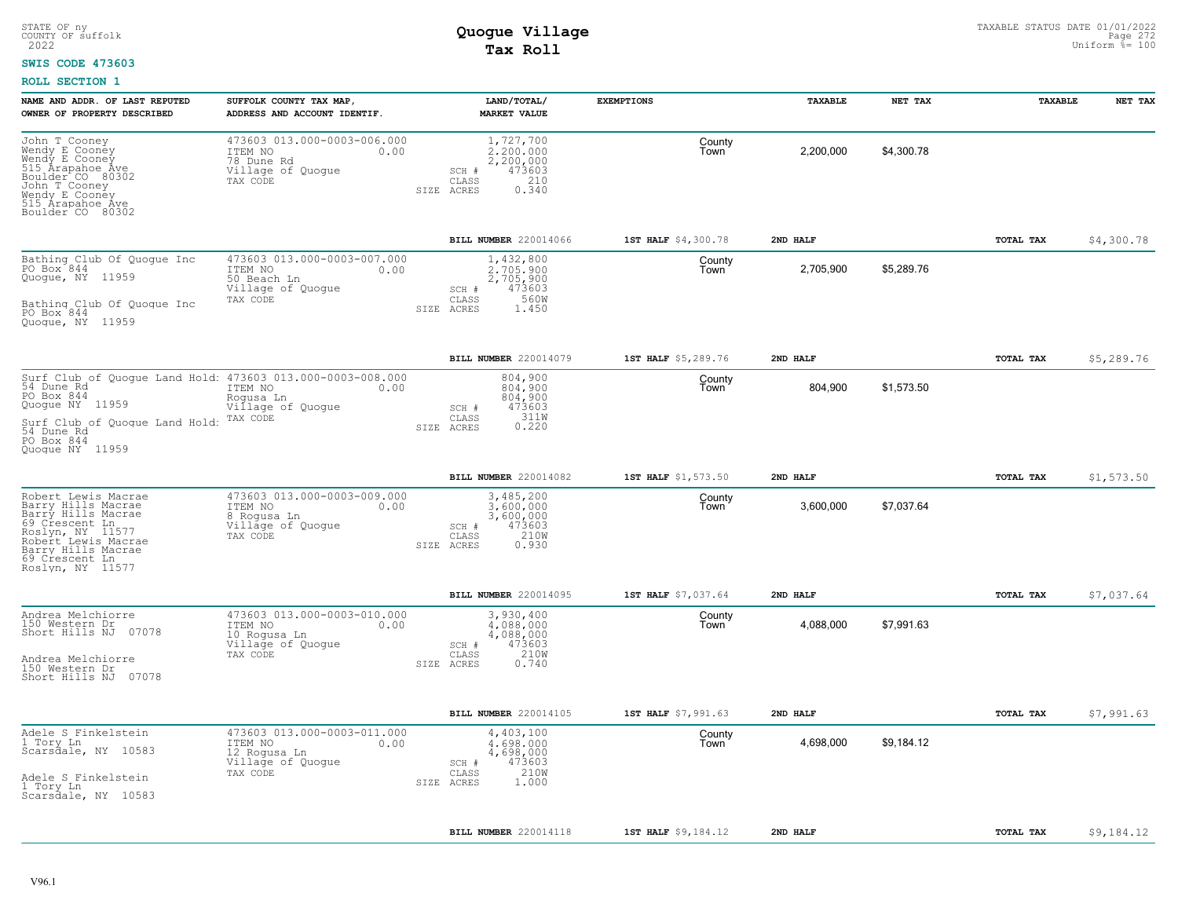### **SWIS CODE 473603**

| NAME AND ADDR. OF LAST REPUTED<br>OWNER OF PROPERTY DESCRIBED                                                                                                                                           | SUFFOLK COUNTY TAX MAP,<br>ADDRESS AND ACCOUNT IDENTIF.                                         | LAND/TOTAL/<br><b>MARKET VALUE</b>                                                             | <b>EXEMPTIONS</b>   | TAXABLE   | NET TAX    | TAXABLE          | NET TAX    |
|---------------------------------------------------------------------------------------------------------------------------------------------------------------------------------------------------------|-------------------------------------------------------------------------------------------------|------------------------------------------------------------------------------------------------|---------------------|-----------|------------|------------------|------------|
| John T Cooney<br>Wendy E Cooney<br>Wendy E Cooney<br>515 Arapahoe Ave<br>Boulder CO 80302<br>John T Cooney<br>Wendy E Cooney<br>515 Arapahoe Ave<br>Boulder CO 80302                                    | 473603 013.000-0003-006.000<br>ITEM NO<br>0.00<br>78 Dune Rd<br>Village of Quogue<br>TAX CODE   | 1,727,700<br>2.200.000<br>2,200,000<br>473603<br>SCH #<br>210<br>CLASS<br>0.340<br>SIZE ACRES  | County<br>Town      | 2,200,000 | \$4,300.78 |                  |            |
|                                                                                                                                                                                                         |                                                                                                 | BILL NUMBER 220014066                                                                          | 1ST HALF \$4,300.78 | 2ND HALF  |            | TOTAL TAX        | \$4,300.78 |
| Bathing Club Of Quogue Inc<br>PO Box <sup>-844</sup><br>Quogue, NY 11959<br>Bathing Club Of Quoque Inc<br>PO Box 844<br>Quoque, NY 11959                                                                | 473603 013.000-0003-007.000<br>ITEM NO<br>0.00<br>50 Beach Ln<br>Village of Quoque<br>TAX CODE  | 1,432,800<br>2,705,900<br>2,705,900<br>473603<br>SCH #<br>560W<br>CLASS<br>1.450<br>SIZE ACRES | County<br>Town      | 2,705,900 | \$5,289.76 |                  |            |
|                                                                                                                                                                                                         |                                                                                                 | BILL NUMBER 220014079                                                                          | 1ST HALF \$5,289.76 | 2ND HALF  |            | TOTAL TAX        | \$5,289.76 |
| Surf Club of Quogue Land Hold: 473603 013.000-0003-008.000<br>54 Dune Rd 1TEM NO 0.00<br>PO Box 844<br>Quogue NY 11959<br>Surf Club of Quoque Land Hold:<br>54 Dune_Rd<br>PO Box 844<br>Quoque NY 11959 | 0.00<br>ITEM NO<br>Rogusa Ln<br>Village of Quogue<br>TAX CODE                                   | 804,900<br>804,900<br>804,900<br>473603<br>SCH #<br>CLASS<br>311W<br>0.220<br>SIZE ACRES       | County<br>Town      | 804,900   | \$1,573.50 |                  |            |
|                                                                                                                                                                                                         |                                                                                                 | BILL NUMBER 220014082                                                                          | 1ST HALF \$1,573.50 | 2ND HALF  |            | <b>TOTAL TAX</b> | \$1,573.50 |
| Robert Lewis Macrae<br>Barry Hills Macrae<br>Barry Hills Macrae<br>69 Crescent Ln<br>Roslyn, NY 11577<br>Robert Lewis Macrae<br>Barry Hills Macrae<br>69 Crescent Ln<br>Roslyn, NY 11577                | 473603 013.000-0003-009.000<br>ITEM NO<br>0.00<br>8 Rogusa Ln<br>Village of Quogue<br>TAX CODE  | 3,485,200<br>3,600,000<br>3,600,000<br>473603<br>SCH #<br>CLASS<br>210W<br>0.930<br>SIZE ACRES | County<br>Town      | 3,600,000 | \$7,037.64 |                  |            |
|                                                                                                                                                                                                         |                                                                                                 | BILL NUMBER 220014095                                                                          | 1ST HALF \$7,037.64 | 2ND HALF  |            | TOTAL TAX        | \$7,037.64 |
| Andrea Melchiorre<br>150 Western Dr<br>Short Hills NJ 07078<br>Andrea Melchiorre<br>150 Western Dr<br>Short Hills NJ 07078                                                                              | 473603 013.000-0003-010.000<br>ITEM NO<br>0.00<br>10 Rogusa Ln<br>Village of Quogue<br>TAX CODE | 3,930,400<br>4,088,000<br>4,088,000<br>473603<br>SCH #<br>210W<br>CLASS<br>0.740<br>SIZE ACRES | County<br>Town      | 4,088,000 | \$7,991.63 |                  |            |
|                                                                                                                                                                                                         |                                                                                                 | BILL NUMBER 220014105                                                                          | 1ST HALF \$7,991.63 | 2ND HALF  |            | <b>TOTAL TAX</b> | \$7,991.63 |
| Adele S Finkelstein<br>1 Tory Ln<br>Scarsdale, NY 10583<br>Adele S Finkelstein<br>1 Tory Ln<br>Scarsdale, NY 10583                                                                                      | 473603 013.000-0003-011.000<br>ITEM NO<br>0.00<br>12 Rogusa Ln<br>Village of Quogue<br>TAX CODE | 4,403,100<br>4,698,000<br>4,698,000<br>473603<br>SCH #<br>210W<br>CLASS<br>1,000<br>SIZE ACRES | County<br>Town      | 4,698,000 | \$9,184.12 |                  |            |
|                                                                                                                                                                                                         |                                                                                                 | BILL NUMBER 220014118                                                                          | 1ST HALF \$9,184.12 | 2ND HALF  |            | TOTAL TAX        | \$9,184.12 |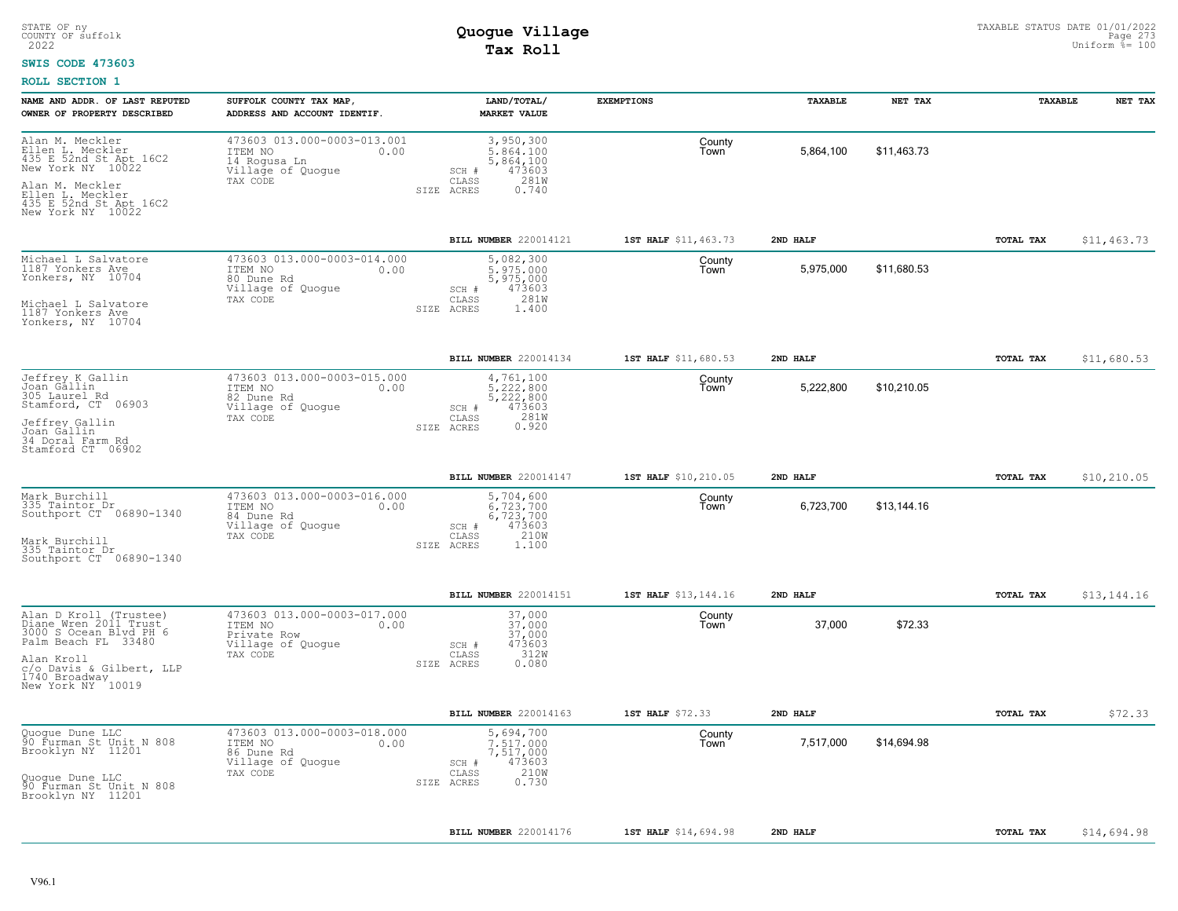#### **SWIS CODE 473603**

| NAME AND ADDR. OF LAST REPUTED<br>OWNER OF PROPERTY DESCRIBED                                                                                                                    | SUFFOLK COUNTY TAX MAP,<br>ADDRESS AND ACCOUNT IDENTIF.                                         | LAND/TOTAL/<br><b>MARKET VALUE</b>                                                             | <b>EXEMPTIONS</b>    | TAXABLE   | NET TAX     | TAXABLE   | NET TAX     |
|----------------------------------------------------------------------------------------------------------------------------------------------------------------------------------|-------------------------------------------------------------------------------------------------|------------------------------------------------------------------------------------------------|----------------------|-----------|-------------|-----------|-------------|
| Alan M. Meckler<br>Ellen L. Meckler<br>435 E. 52nd St. Apt 16C2<br>New York NY 10022<br>Alan M. Meckler<br>Ellen L. Meckler<br>435 E. 52nd St Apt 16C2<br>New York NY 10022      | 473603 013.000-0003-013.001<br>ITEM NO<br>0.00<br>14 Rogusa Ln<br>Village of Quogue<br>TAX CODE | 3,950,300<br>5,864,100<br>5,864,100<br>473603<br>SCH #<br>CLASS<br>281W<br>SIZE ACRES<br>0.740 | County<br>Town       | 5,864,100 | \$11.463.73 |           |             |
|                                                                                                                                                                                  |                                                                                                 | BILL NUMBER 220014121                                                                          | 1ST HALF \$11,463.73 | 2ND HALF  |             | TOTAL TAX | \$11,463.73 |
| Michael L Salvatore<br>1187 Yonkers Ave<br>Yonkers, NY 10704<br>Michael L Salvatore<br>1187 Yonkers Ave<br>Yonkers, NY 10704                                                     | 473603 013.000-0003-014.000<br>ITEM NO<br>0.00<br>80 Dune Rd<br>Village of Quogue<br>TAX CODE   | 5,082,300<br>5.975.000<br>5,975,000<br>473603<br>SCH #<br>281W<br>CLASS<br>SIZE ACRES<br>1,400 | County<br>Town       | 5,975,000 | \$11,680.53 |           |             |
|                                                                                                                                                                                  |                                                                                                 | BILL NUMBER 220014134                                                                          | 1ST HALF \$11,680.53 | 2ND HALF  |             | TOTAL TAX | \$11,680.53 |
| Jeffrey K Gallin<br>Joan Gállin<br>305 Laurel Rd<br>Stamford, CT 06903<br>Jeffrey Gallin<br>Joan Gallin<br>34 Doral Farm Rd<br>Stamford CT 06902                                 | 473603 013.000-0003-015.000<br>0.00<br>ITEM NO<br>82 Dune Rd<br>Village of Quogue<br>TAX CODE   | 4,761,100<br>5,222,800<br>5,222,800<br>473603<br>SCH #<br>281W<br>CLASS<br>0.920<br>SIZE ACRES | County<br>Town       | 5,222,800 | \$10,210.05 |           |             |
|                                                                                                                                                                                  |                                                                                                 | <b>BILL NUMBER 220014147</b>                                                                   | 1ST HALF \$10,210.05 | 2ND HALF  |             | TOTAL TAX | \$10,210.05 |
| Mark Burchill<br>335 Taintor Dr<br>Southport CT 06890-1340<br>Mark Burchill<br>335 Taintor Dr<br>Southport CT 06890-1340                                                         | 473603 013.000-0003-016.000<br>ITEM NO<br>0.00<br>84 Dune Rd<br>Village of Quogue<br>TAX CODE   | 5,704,600<br>6.723.700<br>6,723,700<br>473603<br>SCH #<br>210W<br>CLASS<br>1.100<br>SIZE ACRES | County<br>Town       | 6,723,700 | \$13,144.16 |           |             |
|                                                                                                                                                                                  |                                                                                                 | BILL NUMBER 220014151                                                                          | 1ST HALF \$13,144.16 | 2ND HALF  |             | TOTAL TAX | \$13,144.16 |
| Alan D Kroll (Trustee)<br>Diane Wren 2011 Trust<br>3000 S Ocean Blvd PH 6<br>Palm Beach FL 33480<br>Alan Kroll<br>c/o Davis & Gilbert, LLP<br>1740 Broadway<br>New York NY 10019 | 473603 013.000-0003-017.000<br>ITEM NO<br>0.00<br>Private Row<br>Village of Quogue<br>TAX CODE  | 37,000<br>37,000<br>37,000<br>473603<br>SCH #<br>312W<br>CLASS<br>0.080<br>SIZE ACRES          | County<br>Town       | 37,000    | \$72.33     |           |             |
|                                                                                                                                                                                  |                                                                                                 | BILL NUMBER 220014163                                                                          | 1ST HALF \$72.33     | 2ND HALF  |             | TOTAL TAX | \$72.33     |
| Quogue Dune LLC<br>90 Furman St Unit N 808<br>Brooklyn NY 11201<br>Quogue Dune LLC<br>90 Furman St Unit N 808<br>Brooklyn NY 11201                                               | 473603 013.000-0003-018.000<br>ITEM NO<br>0.00<br>86 Dune Rd<br>Village of Quogue<br>TAX CODE   | 5,694,700<br>7.517.000<br>7,517,000<br>473603<br>SCH #<br>210W<br>CLASS<br>0.730<br>SIZE ACRES | County<br>Town       | 7,517,000 | \$14,694.98 |           |             |
|                                                                                                                                                                                  |                                                                                                 | BILL NUMBER 220014176                                                                          | 1ST HALF \$14,694.98 | 2ND HALF  |             | TOTAL TAX | \$14,694.98 |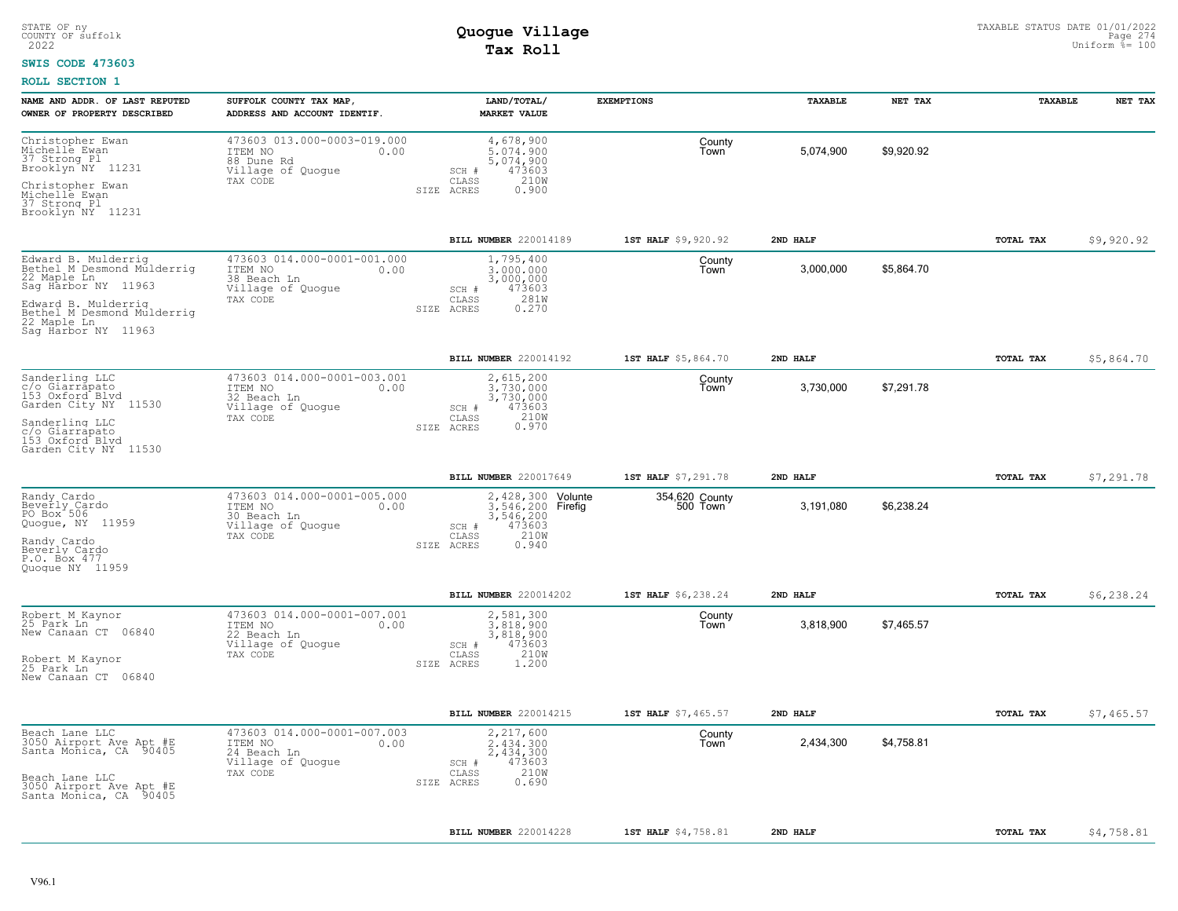#### **SWIS CODE 473603**

| NAME AND ADDR. OF LAST REPUTED<br>OWNER OF PROPERTY DESCRIBED                                                                     | SUFFOLK COUNTY TAX MAP<br>ADDRESS AND ACCOUNT IDENTIF.                                         | LAND/TOTAL/<br><b>MARKET VALUE</b>                                                                             | <b>EXEMPTIONS</b>          | TAXABLE   | NET TAX    | TAXABLE   | NET TAX    |
|-----------------------------------------------------------------------------------------------------------------------------------|------------------------------------------------------------------------------------------------|----------------------------------------------------------------------------------------------------------------|----------------------------|-----------|------------|-----------|------------|
| Christopher Ewan<br>Michelle Ewan<br>37 Strong Pl<br>Brooklyn NY 11231<br>Christopher Ewan<br>Michelle Ewan<br>37 Strong Pl       | 473603 013.000-0003-019.000<br>ITEM NO<br>0.00<br>88 Dune Rd<br>Village of Quogue<br>TAX CODE  | 4,678,900<br>5,074,900<br>5,074,900<br>473603<br>SCH #<br>210W<br>CLASS<br>ACRES<br>0.900<br>SIZE              | County<br>l own            | 5,074,900 | \$9,920.92 |           |            |
| Brooklyn NY 11231                                                                                                                 |                                                                                                |                                                                                                                |                            |           |            |           |            |
|                                                                                                                                   |                                                                                                | BILL NUMBER 220014189                                                                                          | 1ST HALF \$9,920.92        | 2ND HALF  |            | TOTAL TAX | \$9,920.92 |
| Edward B. Mulderrig<br>Bethel M Desmond Mulderrig<br>22 Maple Ln<br>Sag Harbor NY 11963                                           | 473603 014.000-0001-001.000<br>ITEM NO<br>0.00<br>38 Beach Ln<br>Village of Quogue<br>TAX CODE | 1,795,400<br>3,000,000<br>3,000,000<br>473603<br>SCH #<br>281W<br>CLASS                                        | County<br>Town             | 3,000,000 | \$5,864.70 |           |            |
| Edward B. Mulderrig<br>Bethel M Desmond Mulderriq<br>22 Maple Ln<br>Saq Harbor NY 11963                                           |                                                                                                | 0.270<br>SIZE ACRES                                                                                            |                            |           |            |           |            |
|                                                                                                                                   |                                                                                                | BILL NUMBER 220014192                                                                                          | 1ST HALF \$5,864.70        | 2ND HALF  |            | TOTAL TAX | \$5,864.70 |
| Sanderling LLC<br>c/o Giarrápato<br>153 Oxford Blvd<br>Garden City NY 11530                                                       | 473603 014.000-0001-003.001<br>ITEM NO<br>0.00<br>32 Beach Ln<br>Village of Quogue             | 2,615,200<br>3.730.000<br>3,730,000<br>473603<br>SCH #                                                         | County<br>Town             | 3,730,000 | \$7,291.78 |           |            |
| Sanderling LLC<br>c/o Giarrapato<br>153 Oxford Blvd<br>Garden City NY 11530                                                       | TAX CODE                                                                                       | 210W<br>CLASS<br>0.970<br>SIZE ACRES                                                                           |                            |           |            |           |            |
|                                                                                                                                   |                                                                                                | BILL NUMBER 220017649                                                                                          | 1ST HALF \$7,291.78        | 2ND HALF  |            | TOTAL TAX | \$7,291.78 |
| Randy Cardo<br>Beverly Cardo<br>PO Box 506<br>Quogue, NY 11959<br>Randy Cardo<br>Beverly Cardo<br>P.O. Box 477<br>Ouoque NY 11959 | 473603 014.000-0001-005.000<br>ITEM NO<br>0.00<br>30 Beach Ln<br>Village of Quogue<br>TAX CODE | 2,428,300 Volunte<br>3.546.200 Firefig<br>3,546,200<br>473603<br>SCH #<br>210W<br>CLASS<br>SIZE ACRES<br>0.940 | 354,620 County<br>500 Town | 3,191,080 | \$6,238.24 |           |            |
|                                                                                                                                   |                                                                                                | BILL NUMBER 220014202                                                                                          | 1ST HALF \$6,238.24        | 2ND HALF  |            | TOTAL TAX | \$6,238.24 |
| Robert M Kaynor<br>25 Park Ln<br>New Canaan CT 06840                                                                              | 473603 014.000-0001-007.001<br>ITEM NO<br>0.00<br>22 Beach Ln<br>Village of Quogue<br>TAX CODE | 2,581,300<br>3.818.900<br>3,818,900<br>473603<br>SCH #<br>210W<br>CLASS                                        | County<br>Town             | 3,818,900 | \$7,465.57 |           |            |
| Robert M Kaynor<br>25 Park Ln<br>New Canaan CT 06840                                                                              |                                                                                                | SIZE ACRES<br>1,200                                                                                            |                            |           |            |           |            |
|                                                                                                                                   |                                                                                                | BILL NUMBER 220014215                                                                                          | 1ST HALF \$7,465.57        | 2ND HALF  |            | TOTAL TAX | \$7,465.57 |
| Beach Lane LLC<br>3050 Airport Ave Apt #E<br>Santa Monica, CA 90405                                                               | 473603 014.000-0001-007.003<br>ITEM NO<br>0.00<br>24 Beach Ln<br>Village of Quogue             | 2,217,600<br>2,434,300<br>2,434,300<br>473603<br>SCH #<br>210W                                                 | County<br>Town             | 2,434,300 | \$4,758.81 |           |            |
| Beach Lane LLC<br>3050 Airport Ave Apt #E<br>Santa Monica, CA 90405                                                               | TAX CODE                                                                                       | CLASS<br>0.690<br>SIZE ACRES                                                                                   |                            |           |            |           |            |
|                                                                                                                                   |                                                                                                | BILL NUMBER 220014228                                                                                          | 1ST HALF \$4,758.81        | 2ND HALF  |            | TOTAL TAX | \$4,758.81 |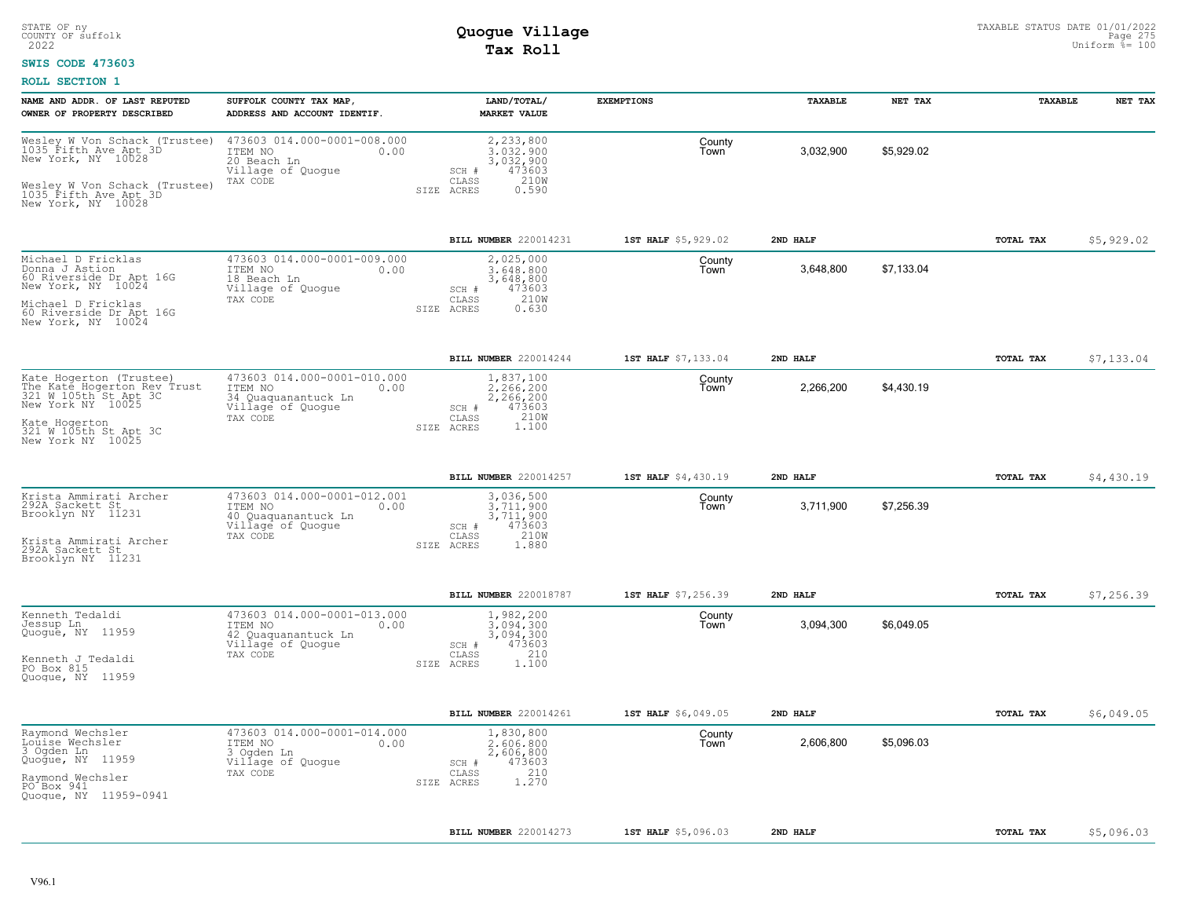### **SWIS CODE 473603**

| NAME AND ADDR. OF LAST REPUTED<br>OWNER OF PROPERTY DESCRIBED                                                                                                       | SUFFOLK COUNTY TAX MAP,<br>ADDRESS AND ACCOUNT IDENTIF.                                                | LAND/TOTAL/<br><b>MARKET VALUE</b>                                                                       | <b>EXEMPTIONS</b>   | TAXABLE   | NET TAX    | TAXABLE   | NET TAX    |
|---------------------------------------------------------------------------------------------------------------------------------------------------------------------|--------------------------------------------------------------------------------------------------------|----------------------------------------------------------------------------------------------------------|---------------------|-----------|------------|-----------|------------|
| Wesley W Von Schack (Trustee)<br>1035 Fifth Ave Apt 3D<br>New York, NY 10028<br>Wesley W Von Schack (Trustee)<br>1035 Fifth Ave Apt 3D<br>New York, NY 10028        | 473603 014.000-0001-008.000<br>ITEM NO<br>0.00<br>20 Beach Ln<br>Village of Quogue<br>TAX CODE         | 2,233,800<br>3.032.900<br>3,032,900<br>473603<br>SCH #<br>CLASS<br>210W<br>SIZE ACRES<br>0.590           | County<br>Town      | 3,032,900 | \$5,929.02 |           |            |
|                                                                                                                                                                     |                                                                                                        | BILL NUMBER 220014231                                                                                    | 1ST HALF \$5,929.02 | 2ND HALF  |            | TOTAL TAX | \$5,929.02 |
| Michael D Fricklas<br>Donna J Astion<br>60 Riverside Dr Apt 16G<br>New York, NY 10024<br>Michael D Fricklas<br>60 Riverside Dr Apt 16G<br>New York, NY 10024        | 473603 014.000-0001-009.000<br>ITEM NO<br>0.00<br>18 Beach Ln<br>Village of Quoque<br>TAX CODE         | 2,025,000<br>3.648.800<br>3,648,800<br>473603<br>$SCH$ $#$<br>210W<br>CLASS<br>SIZE ACRES<br>0.630       | County<br>Town      | 3,648,800 | \$7,133.04 |           |            |
|                                                                                                                                                                     |                                                                                                        | BILL NUMBER 220014244                                                                                    | 1ST HALF \$7,133.04 | 2ND HALF  |            | TOTAL TAX | \$7,133.04 |
| Kate Hogerton (Trustee)<br>The Katé Hogerton Rev Trust<br>321 W 105th St Apt 3C<br>New York NY 10025<br>Kate Hogerton<br>321 W 105th St Apt 3C<br>New York NY 10025 | 473603 014.000-0001-010.000<br>ITEM NO<br>0.00<br>34 Quaquanantuck Ln<br>Village of Quogue<br>TAX CODE | 1,837,100<br>2.266.200<br>2,266,200<br>SCH #<br>473603<br>210W<br>CLASS<br>1.100<br>SIZE ACRES           | County<br>Town      | 2,266,200 | \$4,430.19 |           |            |
|                                                                                                                                                                     |                                                                                                        | BILL NUMBER 220014257                                                                                    | 1ST HALF \$4,430.19 | 2ND HALF  |            | TOTAL TAX | \$4,430.19 |
| Krista Ammirati Archer<br>292A Sackett St<br>Brooklyn NY 11231<br>Krista Ammirati Archer<br>292A Sackett St<br>Brooklyn NY 11231                                    | 473603 014.000-0001-012.001<br>ITEM NO<br>0.00<br>40 Quaquanantuck Ln<br>Village of Quogue<br>TAX CODE | 3,036,500<br>3,711,900<br>3,711,900<br>473603<br>SCH #<br>210W<br>CLASS<br>SIZE ACRES<br>1.880           | County<br>Town      | 3,711,900 | \$7,256.39 |           |            |
|                                                                                                                                                                     |                                                                                                        | BILL NUMBER 220018787                                                                                    | 1ST HALF \$7,256.39 | 2ND HALF  |            | TOTAL TAX | \$7,256.39 |
| Kenneth Tedaldi<br>Jessup Ln<br>Quogue, NY 11959<br>Kenneth J Tedaldi<br>PO Box 815<br>Quoque, NY 11959                                                             | 473603 014.000-0001-013.000<br>ITEM NO<br>0.00<br>42 Quaquanantuck Ln<br>Village of Quogue<br>TAX CODE | 1,982,200<br>3,094,300<br>3,094,300<br>473603<br>SCH #<br>210<br>$\mathtt{CLASS}$<br>1,100<br>SIZE ACRES | County<br>Town      | 3,094,300 | \$6,049.05 |           |            |
|                                                                                                                                                                     |                                                                                                        | BILL NUMBER 220014261                                                                                    | 1ST HALF \$6,049.05 | 2ND HALF  |            | TOTAL TAX | \$6,049.05 |
| Raymond Wechsler<br>Louise Wechsler<br>$3$ Ogden $Ln$<br>Quoğue, NY 11959<br>Raymond Wechsler<br>PO Box 941<br>Quogue, NY 11959-0941                                | 473603 014.000-0001-014.000<br>ITEM NO<br>0.00<br>3 Ogden Ln<br>Village of Quogue<br>TAX CODE          | 1,830,800<br>2,606,800<br>2,606,800<br>473603<br>SCH #<br>210<br>CLASS<br>1.270<br>SIZE ACRES            | County<br>Town      | 2,606,800 | \$5,096.03 |           |            |
|                                                                                                                                                                     |                                                                                                        | <b>BILL NUMBER 220014273</b>                                                                             | 1ST HALF \$5,096.03 | 2ND HALF  |            | TOTAL TAX | \$5,096.03 |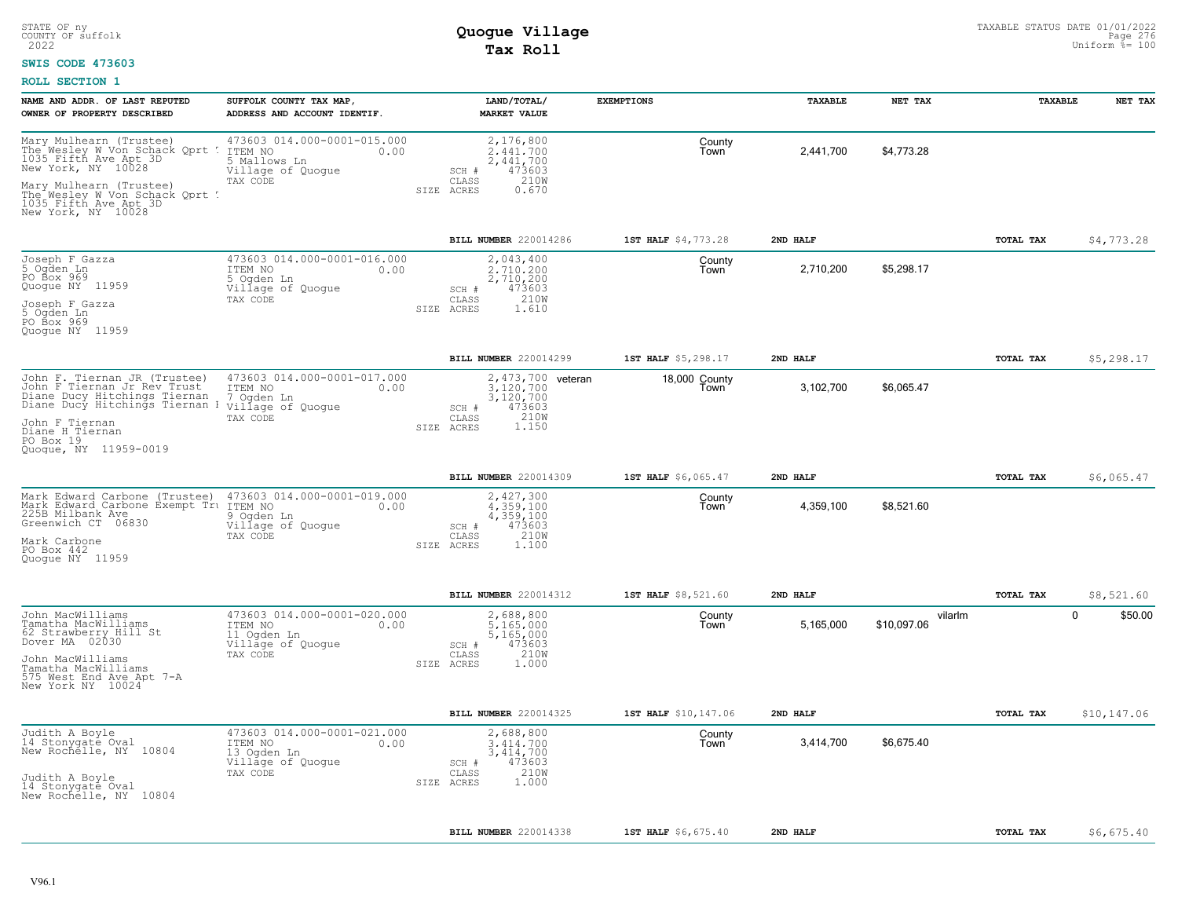### **SWIS CODE 473603**

| 473603 014.000-0001-015.000<br>Mary Mulhearn (Trustee)<br>2,176,800<br>The Wesley W Von Schack Oprt ! ITEM NO<br>0.00<br>2.441.700<br>1035 Fifth Ave Apt 3D<br>2,441,700<br>5 Mallows Ln<br>New York, NY 10028<br>Village of Quogue<br>473603<br>SCH #<br>210W<br>TAX CODE<br>CLASS<br>Mary Mulhearn (Trustee)<br>The Wesley W Von Schack Qprt !<br>SIZE ACRES<br>0.670<br>1035 Fifth Ave Apt 3D<br>New York, NY 10028   | County<br>l own       | 2,441,700 | \$4,773.28             |           |                        |
|--------------------------------------------------------------------------------------------------------------------------------------------------------------------------------------------------------------------------------------------------------------------------------------------------------------------------------------------------------------------------------------------------------------------------|-----------------------|-----------|------------------------|-----------|------------------------|
| BILL NUMBER 220014286                                                                                                                                                                                                                                                                                                                                                                                                    | 1ST HALF \$4,773.28   | 2ND HALF  |                        | TOTAL TAX | \$4,773.28             |
| 473603 014.000-0001-016.000<br>Joseph F Gazza<br>5 Ogden Ln<br>2,043,400<br>2.710.200<br>ITEM NO<br>0.00<br>PO Box 969<br>2,710,200<br>5 Ogden Ln<br>Quogue NY 11959<br>Village of Quogue<br>473603<br>SCH #<br>210W<br>CLASS<br>TAX CODE<br>Joseph F Gazza<br>5 Ogden Ln<br>SIZE ACRES<br>1.610<br>PO Box 969<br>Quoque NY 11959                                                                                        | County<br>Town        | 2,710,200 | \$5,298.17             |           |                        |
| BILL NUMBER 220014299                                                                                                                                                                                                                                                                                                                                                                                                    | 1ST HALF \$5,298.17   | 2ND HALF  |                        | TOTAL TAX | \$5,298.17             |
| John F. Tiernan JR (Trustee) 473603 014.<br>John F Tiernan Jr Rev Trust 1TEM NO<br>Diane Ducy Hitchings Tiernan 1 7.0gden Ln<br>473603 014.000-0001-017.000<br>2,473,700 veteran<br>3.120.700<br>0.00<br>3,120,700<br>Diane Ducy Hitchings Tiernan I village of Quogue<br>473603<br>SCH #<br>210W<br>TAX CODE<br>CLASS<br>John F Tiernan<br>1.150<br>SIZE ACRES<br>Diane H Tiernan<br>PO Box 19<br>Quoque, NY 11959-0019 | 18,000 County<br>Town | 3,102,700 | \$6,065.47             |           |                        |
| BILL NUMBER 220014309                                                                                                                                                                                                                                                                                                                                                                                                    | 1ST HALF \$6,065.47   | 2ND HALF  |                        | TOTAL TAX | \$6,065.47             |
| Mark Edward Carbone (Trustee) 473603 014.000-0001-019.000<br>2,427,300<br>Mark Edward Carbone Exempt Tru ITEM NO<br>225B Milbank Ave 9 Ogden<br>Greenwich CT 06830 Village<br>4,359,100<br>0.00<br>9 Ogden Ln<br>4,359,100<br>Village of Quogue<br>473603<br>SCH #<br>210W<br>TAX CODE<br>CLASS<br>Mark Carbone<br>SIZE ACRES<br>1,100<br>$PO$ Box $442$<br>Quoque NY 11959                                              | County<br>Town        | 4,359,100 | \$8,521.60             |           |                        |
| BILL NUMBER 220014312                                                                                                                                                                                                                                                                                                                                                                                                    | 1ST HALF \$8,521.60   | 2ND HALF  |                        | TOTAL TAX | \$8,521.60             |
| 473603 014.000-0001-020.000<br>John MacWilliams<br>2,688,800<br>Tamatha MacWilliams<br>0.00<br>5,165,000<br>ITEM NO<br>62 Strawberry Hill St<br>Dover MA 02030<br>11 Ogden Ln<br>5,165,000<br>473603<br>Village of Quogue<br>SCH #<br>210W<br>TAX CODE<br>CLASS<br>John MacWilliams<br>1.000<br>SIZE ACRES<br>Tamatha MacWilliams<br>575 West End Ave Apt 7-A<br>New York NY 10024                                       | County<br>Town        | 5,165,000 | vilarlm<br>\$10.097.06 |           | $\mathbf 0$<br>\$50.00 |
| BILL NUMBER 220014325                                                                                                                                                                                                                                                                                                                                                                                                    | 1ST HALF \$10,147.06  | 2ND HALF  |                        | TOTAL TAX | \$10, 147.06           |
| 473603 014.000-0001-021.000<br>2,688,800<br>Judith A Boyle<br>14 Stonygate Oval<br>ITEM NO<br>0.00<br>3.414.700<br>New Rochelle, NY 10804<br>13 Ogden Ln<br>3, 414, 700<br>Village of Quogue<br>473603<br>SCH #<br>210W<br>TAX CODE<br>CLASS<br>Judith A Boyle<br>1.000<br>SIZE ACRES<br>14 Stonygate Oval<br>New Rochelle, NY 10804                                                                                     | County<br>Town        | 3,414,700 | \$6,675.40             |           |                        |
| BILL NUMBER 220014338                                                                                                                                                                                                                                                                                                                                                                                                    | 1ST HALF \$6,675.40   | 2ND HALF  |                        | TOTAL TAX | \$6,675.40             |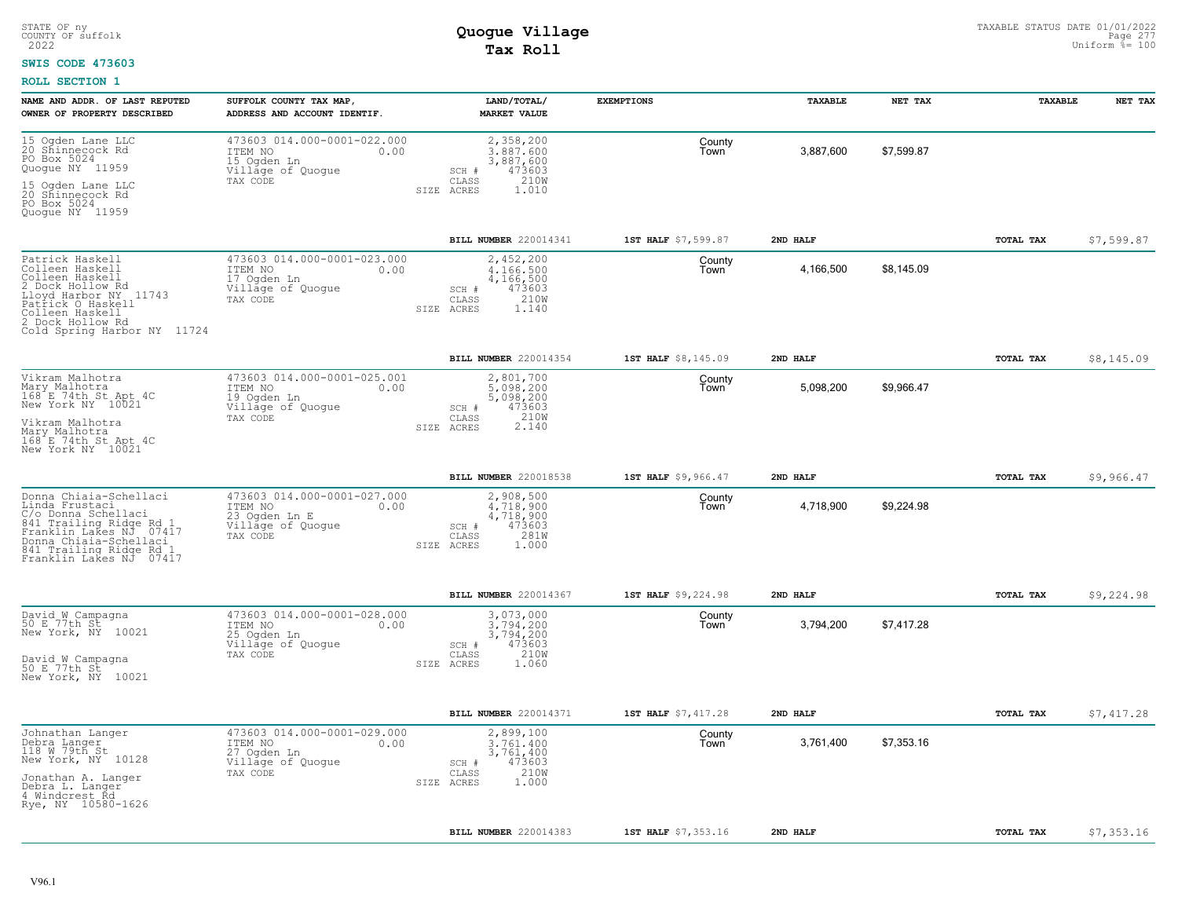### **SWIS CODE 473603**

| NAME AND ADDR. OF LAST REPUTED<br>OWNER OF PROPERTY DESCRIBED                                                                                                                                         | SUFFOLK COUNTY TAX MAP,<br>ADDRESS AND ACCOUNT IDENTIF.                                          | LAND/TOTAL/<br><b>MARKET VALUE</b>                                                                  | <b>EXEMPTIONS</b>   | TAXABLE   | NET TAX    | TAXABLE   | NET TAX    |
|-------------------------------------------------------------------------------------------------------------------------------------------------------------------------------------------------------|--------------------------------------------------------------------------------------------------|-----------------------------------------------------------------------------------------------------|---------------------|-----------|------------|-----------|------------|
| 15 Ogden Lane LLC<br>20 Shinnecock Rd<br>PO Box 5024<br>Quogue NY 11959<br>$\frac{15}{20}$<br>Ogden Lane LLC<br>Shinnecock Rd<br>PO Box 5024                                                          | 473603 014.000-0001-022.000<br>ITEM NO<br>0.00<br>15 Ogden Ln<br>Village of Quogue<br>TAX CODE   | 2,358,200<br>3.887.600<br>3,887,600<br>473603<br>SCH #<br>CLASS<br>210W<br>SIZE ACRES<br>1.010      | County<br>Town      | 3,887,600 | \$7,599.87 |           |            |
| Quoque NY 11959                                                                                                                                                                                       |                                                                                                  | <b>BILL NUMBER</b> 220014341                                                                        | 1ST HALF \$7,599.87 | 2ND HALF  |            | TOTAL TAX | \$7,599.87 |
| Patrick Haskell<br>Colleen Haskell<br>Colleen Haskell<br>2 Dock Hollow Rd<br>Lloyd Harbor NY 11743<br>Patrick O Haskell<br>Colleen Haskell<br>2 Dock Hollow Rd<br>Cold Spring Harbor NY 11724         | 473603 014.000-0001-023.000<br>ITEM NO<br>0.00<br>17 Ogden Ln<br>Village of Quogue<br>TAX CODE   | 2,452,200<br>4,166,500<br>4,166,500<br>473603<br>SCH #<br>210W<br>CLASS<br>SIZE ACRES<br>1.140      | County<br>Town      | 4,166,500 | \$8,145.09 |           |            |
|                                                                                                                                                                                                       |                                                                                                  | BILL NUMBER 220014354                                                                               | 1ST HALF \$8,145.09 | 2ND HALF  |            | TOTAL TAX | \$8,145.09 |
| Vikram Malhotra<br>Mary Malhotra<br>168 E 74th St Apt 4C<br>New York NY 10021<br>Vikram Malhotra<br>Mary Malhotra<br>168 E 74th St Apt 4C                                                             | 473603 014.000-0001-025.001<br>ITEM NO<br>0.00<br>19 Ogden Ln<br>Village of Quogue<br>TAX CODE   | 2,801,700<br>5,098,200<br>5,098,200<br>SCH #<br>473603<br>$2.10W$<br>$2.140$<br>CLASS<br>SIZE ACRES | County<br>Town      | 5,098,200 | \$9,966.47 |           |            |
| New York NY 10021                                                                                                                                                                                     |                                                                                                  |                                                                                                     |                     |           |            |           |            |
|                                                                                                                                                                                                       |                                                                                                  | BILL NUMBER 220018538                                                                               | 1ST HALF \$9,966.47 | 2ND HALF  |            | TOTAL TAX | \$9,966.47 |
| Donna Chiaia-Șchellaci<br>Linda Frustaci<br>C/o Donna Schellaci<br>841 Trailing Ridge Rd 1<br>Franklin Lakes NJ 07417<br>Donna Chiaia-Schellaci<br>841 Trailing Ridge Rd 1<br>Franklin Lakes NJ 07417 | 473603 014.000-0001-027.000<br>ITEM NO<br>0.00<br>23 Ogden Ln E<br>Village of Quoque<br>TAX CODE | 2,908,500<br>4,718,900<br>4,718,900<br>473603<br>SCH #<br>281W<br>CLASS<br>SIZE ACRES<br>1,000      | County<br>Town      | 4,718,900 | \$9,224.98 |           |            |
|                                                                                                                                                                                                       |                                                                                                  | BILL NUMBER 220014367                                                                               | 1ST HALF \$9,224.98 | 2ND HALF  |            | TOTAL TAX | \$9,224.98 |
| David W Campagna<br>50 E 77th St<br>New York, NY<br>10021<br>David W Campagna<br>50 E 77th St<br>New York, NY 10021                                                                                   | 473603 014.000-0001-028.000<br>ITEM NO<br>0.00<br>25 Ogden Ln<br>Village of Quogue<br>TAX CODE   | 3,073,000<br>3,794,200<br>3,794,200<br>473603<br>SCH #<br>CLASS<br>210W<br>1.060<br>SIZE ACRES      | County<br>Town      | 3,794,200 | \$7,417.28 |           |            |
|                                                                                                                                                                                                       |                                                                                                  | BILL NUMBER 220014371                                                                               | 1ST HALF \$7,417.28 | 2ND HALF  |            | TOTAL TAX | \$7,417.28 |
| Johnathan Langer<br>Debra Langer<br>118 W 79th St<br>New York, NY 10128<br>Jonathan A. Langer<br>Debra L. Langer<br>4 Windcrest Rd<br>Rye, NY 10580-1626                                              | 473603 014.000-0001-029.000<br>ITEM NO<br>0.00<br>27 Ogden Ln<br>Village of Quogue<br>TAX CODE   | 2,899,100<br>3,761,400<br>3,761,400<br>473603<br>SCH #<br>210W<br>CLASS<br>1,000<br>SIZE ACRES      | County<br>Town      | 3,761,400 | \$7,353.16 |           |            |
|                                                                                                                                                                                                       |                                                                                                  | <b>BILL NUMBER 220014383</b>                                                                        | 1ST HALF \$7,353.16 | 2ND HALF  |            | TOTAL TAX | \$7,353.16 |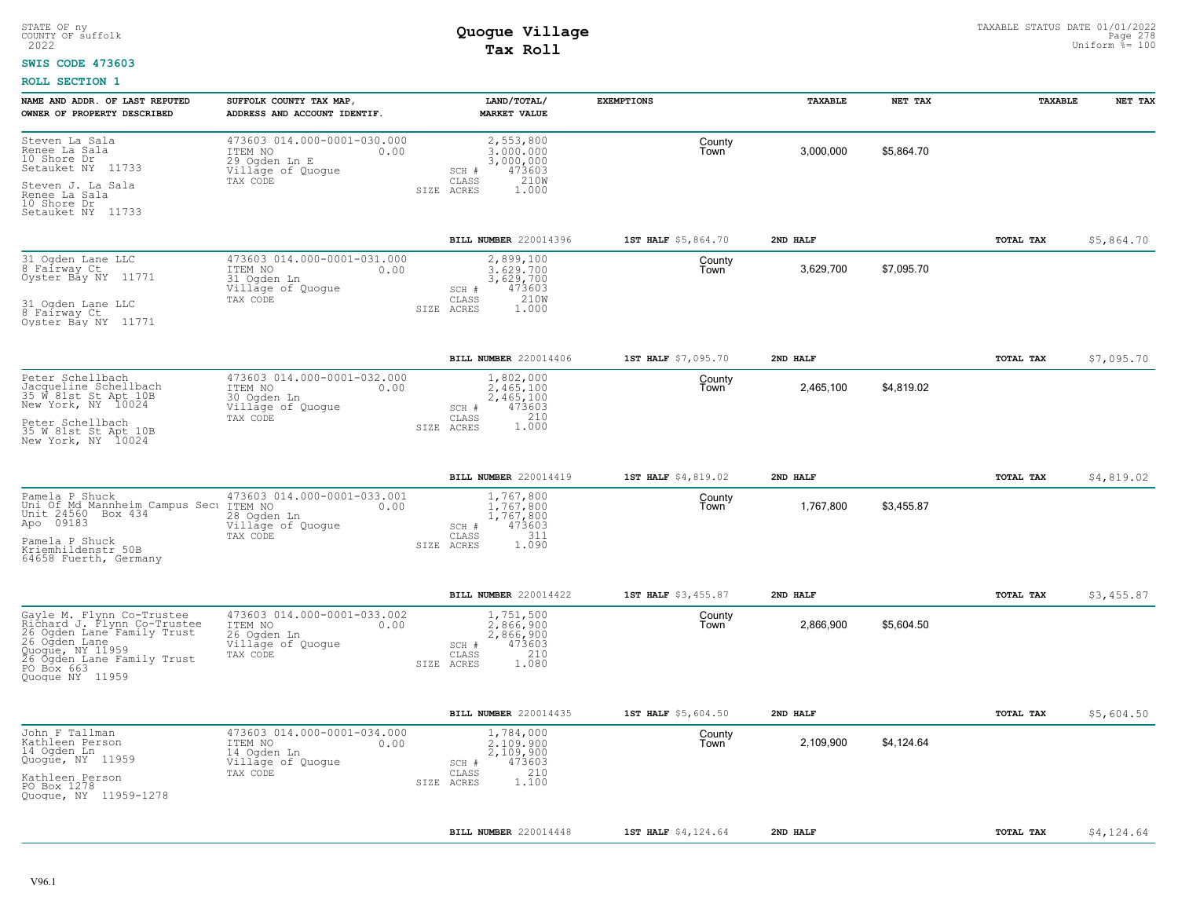#### **SWIS CODE 473603**

| NAME AND ADDR. OF LAST REPUTED<br>OWNER OF PROPERTY DESCRIBED                                                                                                                              | SUFFOLK COUNTY TAX MAP,<br>ADDRESS AND ACCOUNT IDENTIF.                                          | LAND/TOTAL/<br><b>MARKET VALUE</b>                                                                                            | <b>EXEMPTIONS</b>                     | TAXABLE   | NET TAX    | <b>TAXABLE</b>   | NET TAX    |
|--------------------------------------------------------------------------------------------------------------------------------------------------------------------------------------------|--------------------------------------------------------------------------------------------------|-------------------------------------------------------------------------------------------------------------------------------|---------------------------------------|-----------|------------|------------------|------------|
| Steven La Sala<br>Renee La Sala<br>10 Shore Dr<br>Setauket NY 11733<br>Steven J. La Sala<br>Renee La Sala<br>10 Shore Dr                                                                   | 473603 014.000-0001-030.000<br>ITEM NO<br>0.00<br>29 Ogden Ln E<br>Village of Quogue<br>TAX CODE | 2,553,800<br>3,000,000<br>3,000,000<br>473603<br>SCH #<br>210W<br>CLASS<br>SIZE ACRES<br>1,000                                | County<br>Town                        | 3,000,000 | \$5,864.70 |                  |            |
| Setauket NY 11733                                                                                                                                                                          |                                                                                                  |                                                                                                                               |                                       |           |            |                  |            |
|                                                                                                                                                                                            |                                                                                                  | BILL NUMBER 220014396                                                                                                         | 1ST HALF \$5,864.70                   | 2ND HALF  |            | TOTAL TAX        | \$5,864.70 |
| 31 Ogden Lane LLC<br>8 Fairway Ct<br>Oyster Bay NY 11771<br>31 Ogden Lane LLC<br>8 Fairway Ct<br>Oyster Bay NY 11771                                                                       | 473603 014.000-0001-031.000<br>ITEM NO<br>0.00<br>31 Ogden Ln<br>Village of Quogue<br>TAX CODE   | 2,899,100<br>3.629.700<br>3,629,700<br>473603<br>SCH #<br>210W<br>CLASS<br>SIZE ACRES<br>1.000                                | County<br>Town                        | 3,629,700 | \$7,095.70 |                  |            |
|                                                                                                                                                                                            |                                                                                                  |                                                                                                                               |                                       | 2ND HALF  |            |                  |            |
| Peter Schellbach<br>Jacqueline Schellbach<br>35 W 81st St Apt 10B<br>New York, NY 10024<br>Peter Schellbach<br>35 W 81st St Apt 10B<br>New York, NY 10024                                  | 473603 014.000-0001-032.000<br>ITEM NO<br>0.00<br>30 Ogden Ln<br>Village of Quogue<br>TAX CODE   | <b>BILL NUMBER</b> 220014406<br>1,802,000<br>2.465.100<br>2,465,100<br>473603<br>SCH #<br>210<br>CLASS<br>1.000<br>SIZE ACRES | 1ST HALF \$7,095.70<br>County<br>Town | 2,465,100 | \$4,819.02 | TOTAL TAX        | \$7,095.70 |
|                                                                                                                                                                                            |                                                                                                  |                                                                                                                               |                                       |           |            |                  |            |
|                                                                                                                                                                                            |                                                                                                  | BILL NUMBER 220014419                                                                                                         | 1ST HALF \$4,819.02                   | 2ND HALF  |            | <b>TOTAL TAX</b> | \$4,819.02 |
| Pamela P Shuck<br>Uni Of Md Mannheim Campus Secu<br>Unit 24560 Box 434<br>Apo 09183<br>Pamela P Shuck<br>Kriemhildenstr 50B<br>64658 Fuerth, Germany                                       | 473603 014.000-0001-033.001<br>ITEM NO<br>0.00<br>28 Oqden Ln<br>Village of Quogue<br>TAX CODE   | 1,767,800<br>1.767.800<br>1,767,800<br>473603<br>SCH #<br>311<br>CLASS<br>1.090<br>SIZE ACRES                                 | County<br>Town                        | 1,767,800 | \$3,455.87 |                  |            |
|                                                                                                                                                                                            |                                                                                                  | <b>BILL NUMBER</b> 220014422                                                                                                  | 1ST HALF \$3,455.87                   | 2ND HALF  |            | <b>TOTAL TAX</b> | \$3,455.87 |
| Gayle M. Flynn Co-Trustee<br>Richard J. Flynn Co-Trustee<br>26 Ogden Lane Family Trust<br>26 Ogden Lane<br>Quogue, NY 11959<br>26 Ogden Lane Family Trust<br>PO Box 663<br>Quogue NY 11959 | 473603 014.000-0001-033.002<br>ITEM NO<br>0.00<br>26 Ogden Ln<br>Village of Quogue<br>TAX CODE   | 1,751,500<br>2.866.900<br>2,866,900<br>473603<br>SCH #<br>210<br>CLASS<br>SIZE ACRES<br>1.080                                 | County<br>Town                        | 2,866,900 | \$5.604.50 |                  |            |
|                                                                                                                                                                                            |                                                                                                  | BILL NUMBER 220014435                                                                                                         | 1ST HALF \$5,604.50                   | 2ND HALF  |            | TOTAL TAX        | \$5,604.50 |
| John F Tallman<br>Kathleen Person<br>14 Ogden Ln<br>Quogue, NY 11959<br>Kathleen Person<br>PO Box 1278<br>Quoque, NY 11959-1278                                                            | 473603 014.000-0001-034.000<br>ITEM NO<br>0.00<br>14 Ogden Ln<br>Village of Quogue<br>TAX CODE   | 1,784,000<br>2,109,900<br>2,109,900<br>473603<br>SCH #<br>210<br>CLASS<br>1.100<br>SIZE ACRES                                 | County<br>Town                        | 2,109,900 | \$4,124.64 |                  |            |
|                                                                                                                                                                                            |                                                                                                  | BILL NUMBER 220014448                                                                                                         | 1ST HALF \$4,124.64                   | 2ND HALF  |            | TOTAL TAX        | \$4,124.64 |
|                                                                                                                                                                                            |                                                                                                  |                                                                                                                               |                                       |           |            |                  |            |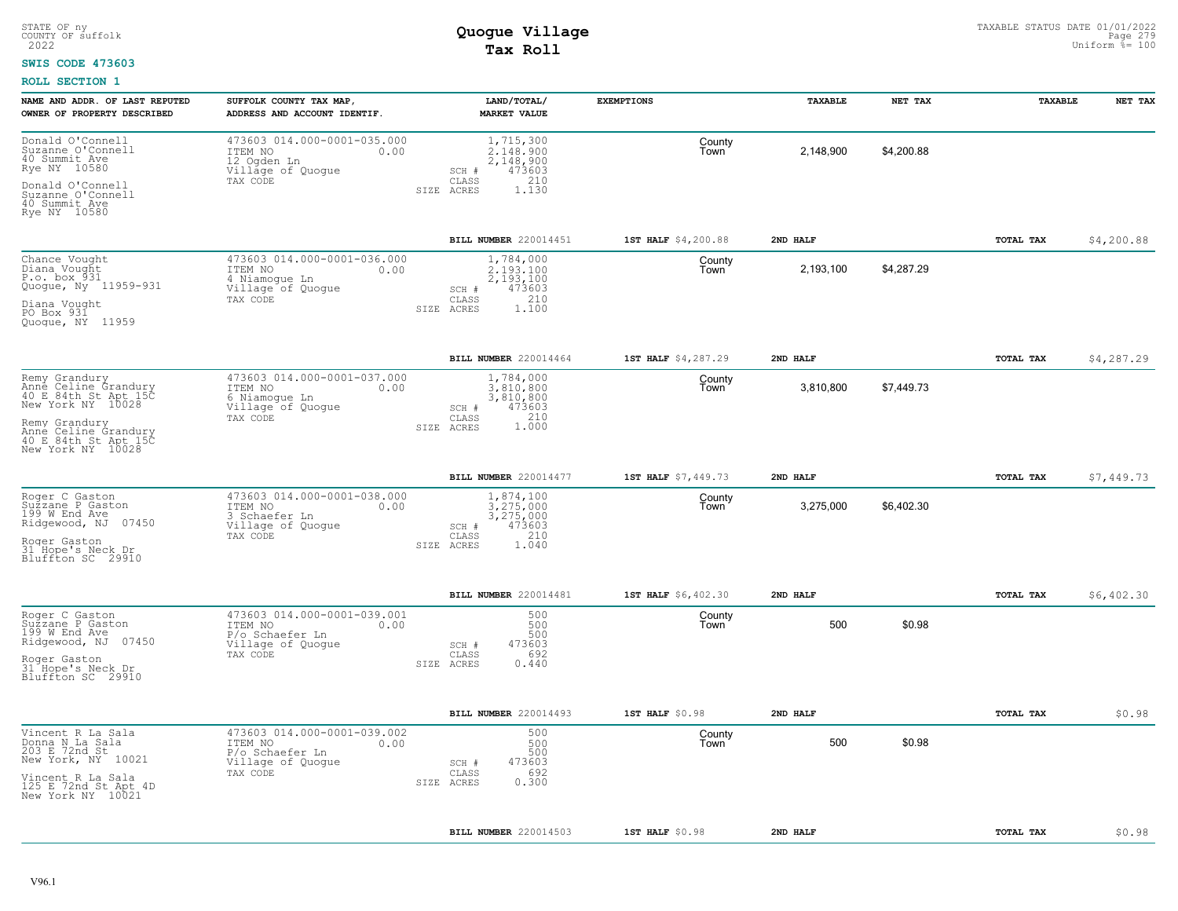#### **SWIS CODE 473603**

| NAME AND ADDR. OF LAST REPUTED<br>OWNER OF PROPERTY DESCRIBED                                                                                                            | SUFFOLK COUNTY TAX MAP<br>ADDRESS AND ACCOUNT IDENTIF.                                             | LAND/TOTAL/<br><b>MARKET VALUE</b>                                                            | <b>EXEMPTIONS</b>   | TAXABLE   | NET TAX    | <b>TAXABLE</b>   | NET TAX    |
|--------------------------------------------------------------------------------------------------------------------------------------------------------------------------|----------------------------------------------------------------------------------------------------|-----------------------------------------------------------------------------------------------|---------------------|-----------|------------|------------------|------------|
| Donald O'Connell<br>Suzanne O'Connell<br>40 Summit Ave<br>Rye NY 10580<br>Donald O'Connell<br>Suzanne O'Connell<br>40 Summit Ave<br>Rye NY 10580                         | 473603 014.000-0001-035.000<br>ITEM NO<br>0.00<br>12 Ogden Ln<br>Village of Quogue<br>TAX CODE     | 1,715,300<br>2.148.900<br>2,148,900<br>473603<br>SCH #<br>210<br>CLASS<br>1.130<br>SIZE ACRES | County<br>Town      | 2,148,900 | \$4,200.88 |                  |            |
|                                                                                                                                                                          |                                                                                                    | BILL NUMBER 220014451                                                                         | 1ST HALF \$4,200.88 | 2ND HALF  |            | TOTAL TAX        | \$4,200.88 |
| Chance Vought<br>Diana Vought<br>P.o. box 931<br>Quogue, Ny 11959-931<br>Diana Vought<br>PO Box 931<br>Quoque, NY 11959                                                  | 473603 014.000-0001-036.000<br>0.00<br>ITEM NO<br>4 Niamogue Ln<br>Village of Quogue<br>TAX CODE   | 1,784,000<br>2.193.100<br>2,193,100<br>473603<br>SCH #<br>CLASS<br>210<br>1.100<br>SIZE ACRES | County<br>Town      | 2,193,100 | \$4,287.29 |                  |            |
|                                                                                                                                                                          |                                                                                                    | BILL NUMBER 220014464                                                                         | 1ST HALF \$4,287.29 | 2ND HALF  |            | TOTAL TAX        | \$4,287.29 |
| Remy Grandury<br>Anne Celine Grandury<br>40 E 84th St Apt 15C<br>New York NY 10028<br>Remy Grandury<br>Anne Celine Grandury<br>40 E 84th St Apt 15C<br>New York NY 10028 | 473603 014.000-0001-037.000<br>ITEM NO<br>0.00<br>6 Niamogue Ln<br>Village of Quogue<br>TAX CODE   | 1,784,000<br>3.810.800<br>3,810,800<br>473603<br>SCH #<br>210<br>CLASS<br>1,000<br>SIZE ACRES | County<br>Town      | 3,810,800 | \$7,449.73 |                  |            |
|                                                                                                                                                                          |                                                                                                    | <b>BILL NUMBER 220014477</b>                                                                  | 1ST HALF \$7,449.73 | 2ND HALF  |            | TOTAL TAX        | \$7,449.73 |
| Roger C Gaston<br>Suzzane P Gaston<br>199 W End Ave<br>Ridgewood, NJ 07450<br>Roger Gaston<br>31 Hope's Neck Dr<br>Bluffton SC 29910                                     | 473603 014.000-0001-038.000<br>ITEM NO<br>0.00<br>3 Schaefer Ln<br>Village of Quogue<br>TAX CODE   | 1,874,100<br>3,275,000<br>3,275,000<br>473603<br>SCH #<br>CLASS<br>210<br>1.040<br>SIZE ACRES | County<br>Town      | 3,275,000 | \$6,402.30 |                  |            |
|                                                                                                                                                                          |                                                                                                    | BILL NUMBER 220014481                                                                         | 1ST HALF \$6,402.30 | 2ND HALF  |            | TOTAL TAX        | \$6,402.30 |
| Roger C Gaston<br>Sužzane P Gaston<br>199 W End Ave<br>07450<br>Ridgewood, NJ<br>Roger Gaston<br>31 Hope's Neck Dr<br>Bluffton SC 29910                                  | 473603 014.000-0001-039.001<br>ITEM NO<br>0.00<br>P/o Schaefer Ln<br>Village of Quogue<br>TAX CODE | 500<br>500<br>500<br>473603<br>SCH #<br>692<br>CLASS<br>0.440<br>SIZE ACRES                   | County<br>Town      | 500       | \$0.98     |                  |            |
|                                                                                                                                                                          |                                                                                                    | BILL NUMBER 220014493                                                                         | 1ST HALF \$0.98     | 2ND HALF  |            | TOTAL TAX        | \$0.98     |
| Vincent R La Sala<br>Donna N La Sala<br>203 E 72nd St<br>New York, NY 10021                                                                                              | 473603 014.000-0001-039.002<br>ITEM NO<br>0.00<br>P/o Schaefer Ln<br>Village of Quogue<br>TAX CODE | 500<br>500<br>500<br>473603<br>SCH #<br>692<br>CLASS                                          | County<br>Town      | 500       | \$0.98     |                  |            |
| Vincent R La Sala<br>125 E 72nd St Apt 4D<br>New York NY 10021                                                                                                           |                                                                                                    | 0.300<br>SIZE ACRES                                                                           |                     |           |            |                  |            |
|                                                                                                                                                                          |                                                                                                    | BILL NUMBER 220014503                                                                         | 1ST HALF \$0.98     | 2ND HALF  |            | <b>TOTAL TAX</b> | \$0.98     |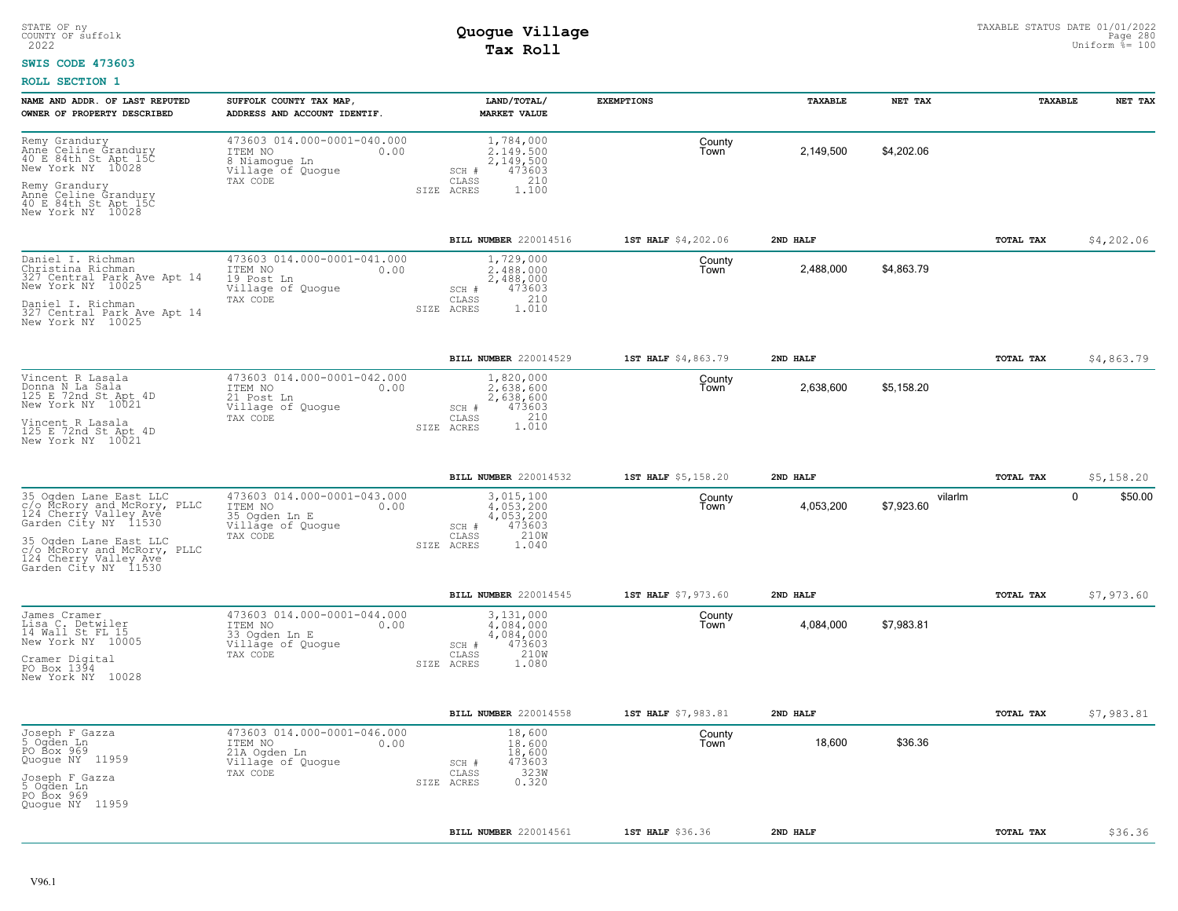#### **SWIS CODE 473603**

| NAME AND ADDR. OF LAST REPUTED<br>OWNER OF PROPERTY DESCRIBED                                                                                                                                                    | SUFFOLK COUNTY TAX MAP<br>ADDRESS AND ACCOUNT IDENTIF.                                           | LAND/TOTAL/<br><b>MARKET VALUE</b>                                                               | <b>EXEMPTIONS</b>   | <b>TAXABLE</b> | NET TAX               | <b>TAXABLE</b> | NET TAX                |
|------------------------------------------------------------------------------------------------------------------------------------------------------------------------------------------------------------------|--------------------------------------------------------------------------------------------------|--------------------------------------------------------------------------------------------------|---------------------|----------------|-----------------------|----------------|------------------------|
| Remy Grandury<br>Anne Celine Grandury<br>40 E 84th St Apt 15C<br>New York NY 10028<br>Remy Grandury<br>Anne Celine Grandury<br>40 E 84th St Apt 15C<br>New York NY 10028                                         | 473603 014.000-0001-040.000<br>ITEM NO<br>0.00<br>8 Niamogue Ln<br>Village of Quoque<br>TAX CODE | 1,784,000<br>2.149.500<br>2,149,500<br>473603<br>SCH #<br>210<br>CLASS<br>1,100<br>SIZE ACRES    | County<br>Town      | 2,149,500      | \$4,202.06            |                |                        |
|                                                                                                                                                                                                                  |                                                                                                  | BILL NUMBER 220014516                                                                            | 1ST HALF \$4,202.06 | 2ND HALF       |                       | TOTAL TAX      | \$4,202.06             |
| Daniel I. Richman<br>Christina Richman<br>327 Central Park Ave Apt 14<br>New York NY 10025<br>Daniel I. Richman<br>327 Central Park Ave Apt 14<br>New York NY 10025                                              | 473603 014.000-0001-041.000<br>0.00<br>ITEM NO<br>19 Post Ln<br>Village of Quogue<br>TAX CODE    | 1,729,000<br>2.488.000<br>2,488,000<br>473603<br>SCH #<br>210<br>CLASS<br>1.010<br>SIZE<br>ACRES | County<br>Town      | 2,488,000      | \$4,863.79            |                |                        |
|                                                                                                                                                                                                                  |                                                                                                  | BILL NUMBER 220014529                                                                            | 1ST HALF \$4,863.79 | 2ND HALF       |                       | TOTAL TAX      | \$4,863.79             |
| Vincent R Lasala<br>Donna N La Sala<br>125 E 72nd St Apt 4D<br>New York NY 10021<br>Vincent R Lasala<br>125 E 72nd St Apt 4D<br>New York NY 10021                                                                | 473603 014.000-0001-042.000<br>ITEM NO<br>0.00<br>21 Post Ln<br>Village of Quogue<br>TAX CODE    | 1,820,000<br>2.638.600<br>2,638,600<br>473603<br>SCH #<br>1.010<br>CLASS<br>SIZE ACRES           | County<br>Town      | 2,638,600      | \$5,158.20            |                |                        |
|                                                                                                                                                                                                                  |                                                                                                  | BILL NUMBER 220014532                                                                            | 1ST HALF \$5,158.20 | 2ND HALF       |                       | TOTAL TAX      | \$5,158.20             |
| 35 Ogden Lane East LLC<br>c/o McRory and McRory, PLLC<br>124 Cherry Valley Ave<br>Garden City NY 11530<br>35 Oqden Lane East LLC<br>c/o McRory and McRory, PLLC<br>124 Cherry Valley Ave<br>Garden City NY 11530 | 473603 014.000-0001-043.000<br>ITEM NO<br>0.00<br>35 Ogden Ln E<br>Village of Quogue<br>TAX CODE | 3,015,100<br>4.053.200<br>4,053,200<br>473603<br>SCH #<br>CLASS<br>210W<br>1.040<br>SIZE ACRES   | County<br>Town      | 4,053,200      | vilarlm<br>\$7,923.60 |                | $\mathbf 0$<br>\$50.00 |
|                                                                                                                                                                                                                  |                                                                                                  | BILL NUMBER 220014545                                                                            | 1ST HALF \$7,973.60 | 2ND HALF       |                       | TOTAL TAX      | \$7,973.60             |
| James Cramer<br>Lisa C. Detwiler<br>14 Wall St FL 15<br>New York NY 10005<br>Cramer Digital<br>PO Box 1394<br>New York NY 10028                                                                                  | 473603 014.000-0001-044.000<br>ITEM NO<br>0.00<br>33 Ogden Ln E<br>Village of Quogue<br>TAX CODE | 3,131,000<br>4,084,000<br>4,084,000<br>473603<br>SCH #<br>210W<br>CLASS<br>1.080<br>SIZE ACRES   | County<br>Town      | 4,084,000      | \$7,983.81            |                |                        |
|                                                                                                                                                                                                                  |                                                                                                  | BILL NUMBER 220014558                                                                            | 1ST HALF \$7,983.81 | 2ND HALF       |                       | TOTAL TAX      | \$7,983.81             |
| Joseph F Gazza<br>5 Ogden Ln<br>PO Box 969<br>Quogue NY 11959<br>Joseph F Gazza<br>5 Ogden Ln<br>PO Box 969<br>Quoque NY 11959                                                                                   | 473603 014.000-0001-046.000<br>ITEM NO<br>0.00<br>21A Ogden Ln<br>Village of Quogue<br>TAX CODE  | 18,600<br>18,600<br>18,600<br>473603<br>SCH #<br>323W<br>CLASS<br>0.320<br>SIZE ACRES            | County<br>Town      | 18,600         | \$36.36               |                |                        |
|                                                                                                                                                                                                                  |                                                                                                  | BILL NUMBER 220014561                                                                            | 1ST HALF \$36.36    | 2ND HALF       |                       | TOTAL TAX      | \$36.36                |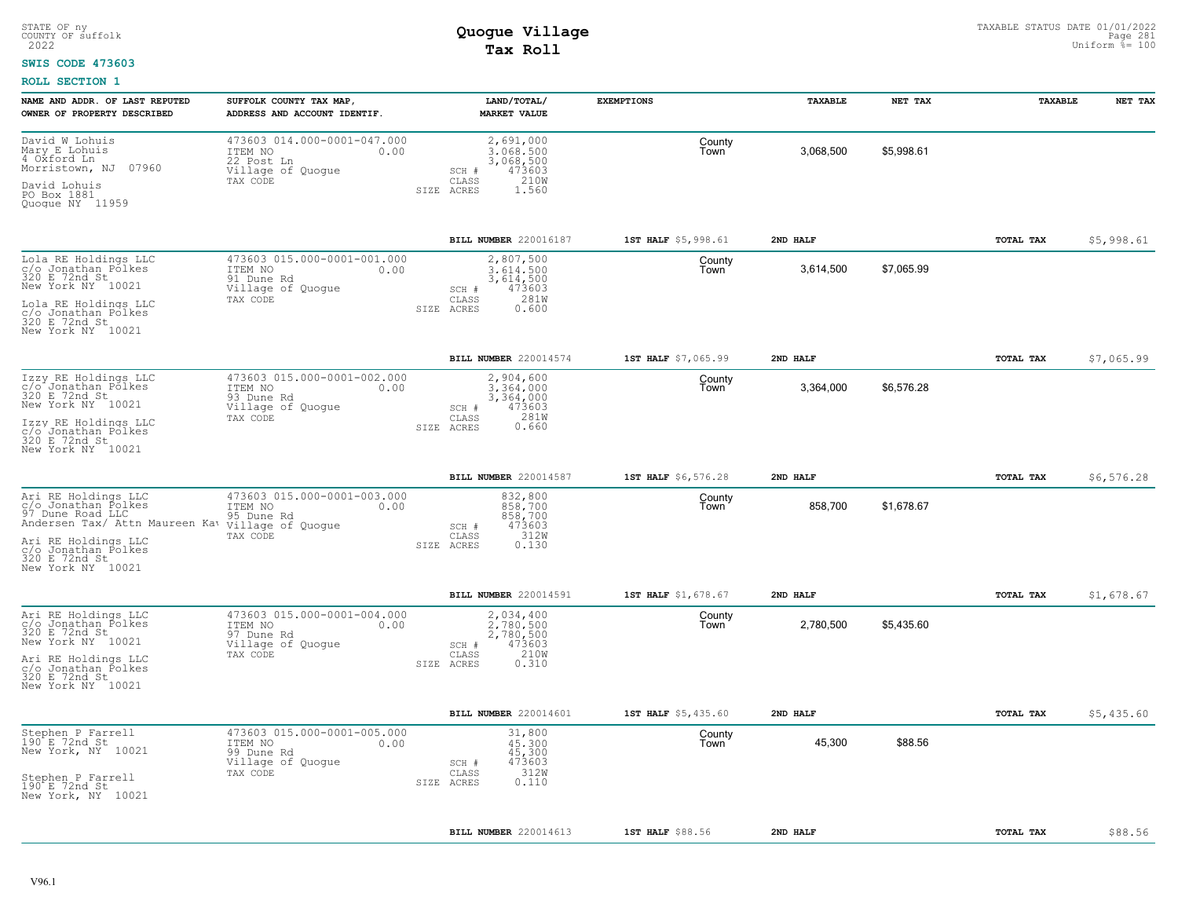### **SWIS CODE 473603**

| NAME AND ADDR. OF LAST REPUTED<br>OWNER OF PROPERTY DESCRIBED                                                                                     | SUFFOLK COUNTY TAX MAP,<br>ADDRESS AND ACCOUNT IDENTIF.                                       | LAND/TOTAL/<br><b>MARKET VALUE</b>                                                             | <b>EXEMPTIONS</b>   | TAXABLE   | NET TAX    | TAXABLE          | NET TAX    |
|---------------------------------------------------------------------------------------------------------------------------------------------------|-----------------------------------------------------------------------------------------------|------------------------------------------------------------------------------------------------|---------------------|-----------|------------|------------------|------------|
| David W Lohuis<br>Mary E Lohuis<br>4 Oxford Ln<br>Morristown, NJ 07960                                                                            | 473603 014.000-0001-047.000<br>ITEM NO<br>0.00<br>22 Post Ln<br>Village of Quogue<br>TAX CODE | 2,691,000<br>3.068.500<br>3,068,500<br>473603<br>SCH #<br>CLASS<br>210W                        | County<br>Town      | 3,068,500 | \$5,998.61 |                  |            |
| David Lohuis<br>PO Box 1881<br>Quoque NY 11959                                                                                                    |                                                                                               | SIZE ACRES<br>1.560                                                                            |                     |           |            |                  |            |
|                                                                                                                                                   |                                                                                               | BILL NUMBER 220016187                                                                          | 1ST HALF \$5,998.61 | 2ND HALF  |            | TOTAL TAX        | \$5,998.61 |
| Lola RE Holdings LLC<br>c/o Jonathan Polkes<br>320 E 72nd St<br>New York NY 10021<br>Lola RE Holdings LLC<br>c/o Jonathan Polkes<br>320 E 72nd St | 473603 015.000-0001-001.000<br>ITEM NO<br>0.00<br>91 Dune Rd<br>Village of Quogue<br>TAX CODE | 2,807,500<br>3,614,500<br>3,614,500<br>473603<br>SCH #<br>281W<br>CLASS<br>SIZE ACRES<br>0.600 | County<br>Town      | 3,614,500 | \$7,065.99 |                  |            |
| New York NY 10021                                                                                                                                 |                                                                                               |                                                                                                |                     |           |            |                  |            |
| Izzy RE Holdings LLC                                                                                                                              | 473603 015.000-0001-002.000                                                                   | BILL NUMBER 220014574<br>2,904,600                                                             | 1ST HALF \$7,065.99 | 2ND HALF  |            | TOTAL TAX        | \$7,065.99 |
| c/o Jonathan Pólkes<br>320 E 72nd St<br>New York NY 10021<br>Izzy RE Holdings LLC                                                                 | ITEM NO<br>0.00<br>93 Dune Rd<br>Village of Quogue<br>TAX CODE                                | 3,364,000<br>3,364,000<br>473603<br>SCH #<br>281W<br>CLASS<br>0.660<br>SIZE ACRES              | County<br>Town      | 3,364,000 | \$6,576.28 |                  |            |
| c/o Jonathan Polkes<br>320 E 72nd St<br>New York NY 10021                                                                                         |                                                                                               |                                                                                                |                     |           |            |                  |            |
|                                                                                                                                                   |                                                                                               | BILL NUMBER 220014587                                                                          | 1ST HALF \$6,576.28 | 2ND HALF  |            | <b>TOTAL TAX</b> | \$6,576.28 |
| Ari RE Holdings LLC<br>c/o Jonathan Polkes<br>97 Dune Road LLC<br>Andersen Tax/ Attn Maureen Kaw village of Quogue                                | 473603 015.000-0001-003.000<br>ITEM NO<br>0.00<br>95 Dune Rd<br>TAX CODE                      | 832,800<br>858,700<br>858,700<br>473603<br>SCH #<br>312W<br>CLASS                              | County<br>Town      | 858,700   | \$1,678,67 |                  |            |
| Ari RE Holdings LLC<br>c/o Jonathan Polkes<br>320 E 72nd St<br>New York NY 10021                                                                  |                                                                                               | 0.130<br>SIZE ACRES                                                                            |                     |           |            |                  |            |
|                                                                                                                                                   |                                                                                               | BILL NUMBER 220014591                                                                          | 1ST HALF \$1,678.67 | 2ND HALF  |            | TOTAL TAX        | \$1,678.67 |
| Ari RE Holdings LLC<br>c/o Jonathan Polkes<br>320 E 72nd St<br>New York NY 10021                                                                  | 473603 015.000-0001-004.000<br>ITEM NO<br>0.00<br>97 Dune Rd<br>Village of Quogue<br>TAX CODE | 2,034,400<br>2.780.500<br>2,780,500<br>473603<br>SCH #<br>210W<br>CLASS                        | County<br>Town      | 2,780,500 | \$5,435.60 |                  |            |
| Ari RE Holdings LLC<br>c/o Jonathan Polkes<br>320 E 72nd St<br>New York NY 10021                                                                  |                                                                                               | 0.310<br>SIZE ACRES                                                                            |                     |           |            |                  |            |
|                                                                                                                                                   |                                                                                               | BILL NUMBER 220014601                                                                          | 1ST HALF \$5,435.60 | 2ND HALF  |            | TOTAL TAX        | \$5,435.60 |
| Stephen P Farrell<br>190 E 72nd St<br>New York, NY 10021                                                                                          | 473603 015.000-0001-005.000<br>ITEM NO<br>0.00<br>99 Dune Rd<br>Village of Quogue             | 31,800<br>45,300<br>45,300<br>473603<br>SCH #                                                  | County<br>Town      | 45,300    | \$88.56    |                  |            |
| Stephen P Farrell<br>190 E 72nd St<br>New York, NY 10021                                                                                          | TAX CODE                                                                                      | 312W<br>CLASS<br>0.110<br>SIZE ACRES                                                           |                     |           |            |                  |            |
|                                                                                                                                                   |                                                                                               | BILL NUMBER 220014613                                                                          | 1ST HALF \$88.56    | 2ND HALF  |            | TOTAL TAX        | \$88.56    |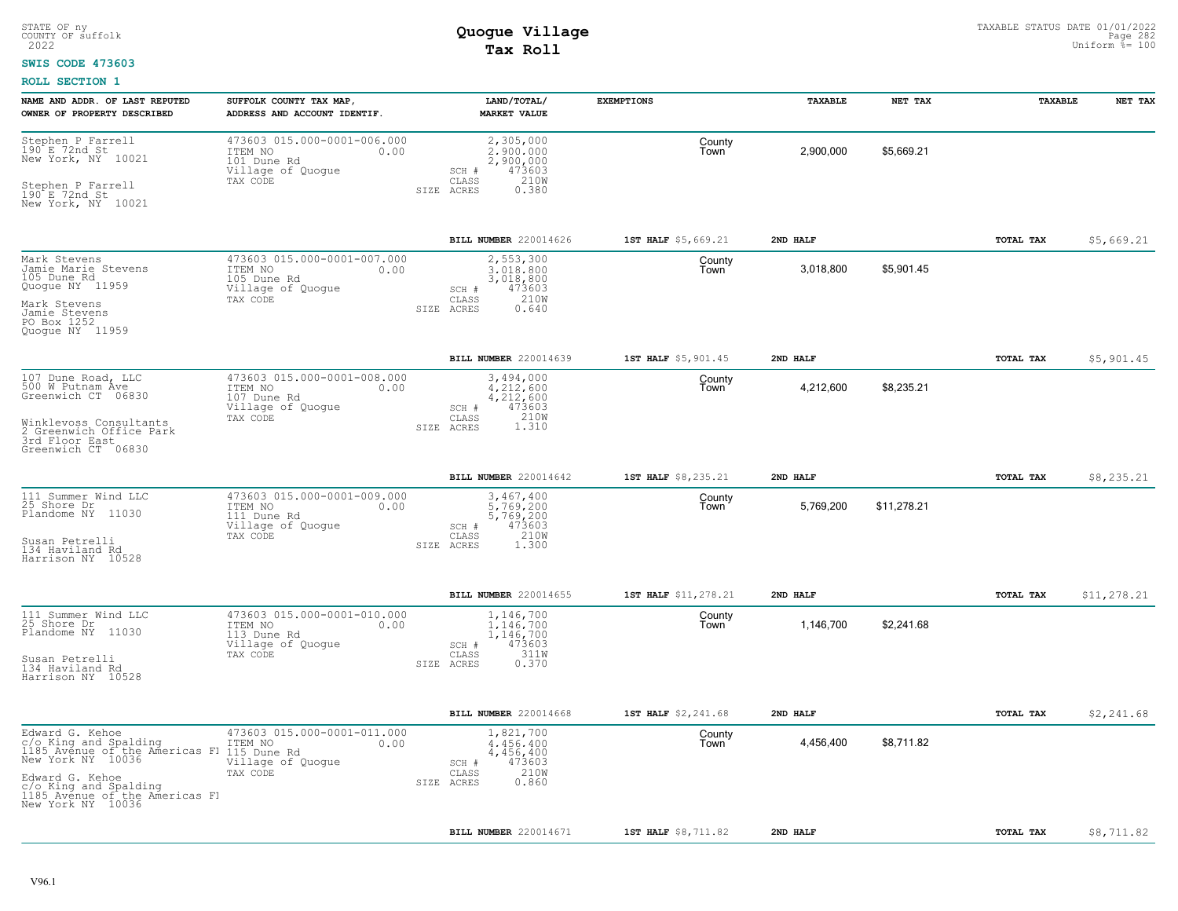### **SWIS CODE 473603**

| NAME AND ADDR. OF LAST REPUTED<br>OWNER OF PROPERTY DESCRIBED                                                                                                                                                                    | SUFFOLK COUNTY TAX MAP,<br>ADDRESS AND ACCOUNT IDENTIF.                                        | LAND/TOTAL/<br><b>MARKET VALUE</b>                                                              | <b>EXEMPTIONS</b>    | TAXABLE   | NET TAX     | TAXABLE   | NET TAX     |
|----------------------------------------------------------------------------------------------------------------------------------------------------------------------------------------------------------------------------------|------------------------------------------------------------------------------------------------|-------------------------------------------------------------------------------------------------|----------------------|-----------|-------------|-----------|-------------|
| Stephen P Farrell<br>$190$ $E$ 72nd $St$<br>New York, NY 10021<br>Stephen P Farrell<br>190 E 72nd St<br>New York, NY 10021                                                                                                       | 473603 015.000-0001-006.000<br>ITEM NO<br>0.00<br>101 Dune Rd<br>Village of Quogue<br>TAX CODE | 2,305,000<br>2,900,000<br>2,900,000<br>473603<br>SCH #<br>210W<br>CLASS<br>SIZE ACRES<br>0.380  | County<br>Town       | 2,900,000 | \$5,669.21  |           |             |
|                                                                                                                                                                                                                                  |                                                                                                | BILL NUMBER 220014626                                                                           | 1ST HALF \$5,669.21  | 2ND HALF  |             | TOTAL TAX | \$5,669.21  |
| Mark Stevens<br>Jamie Marie Stevens<br>105 Dune Rd<br>Quogue NY 11959<br>Mark Stevens<br>Jamie Stevens<br>PO Box 1252<br>Quoque NY 11959                                                                                         | 473603 015.000-0001-007.000<br>ITEM NO<br>0.00<br>105 Dune Rd<br>Village of Quogue<br>TAX CODE | 2,553,300<br>3,018,800<br>3,018,800<br>473603<br>SCH #<br>210W<br>CLASS<br>SIZE ACRES<br>0.640  | County<br>Town       | 3,018,800 | \$5,901.45  |           |             |
|                                                                                                                                                                                                                                  |                                                                                                | BILL NUMBER 220014639                                                                           | 1ST HALF \$5,901.45  | 2ND HALF  |             | TOTAL TAX | \$5,901.45  |
| 107 Dune Road, LLC<br>500 W Putnam Ave<br>Greenwich CT 06830<br>Winklevoss Consultants<br>2 Greenwich Office Park<br>3rd Floor East<br>Greenwich CT 06830                                                                        | 473603 015.000-0001-008.000<br>ITEM NO<br>0.00<br>107 Dune Rd<br>Village of Quogue<br>TAX CODE | 3,494,000<br>4.212.600<br>4,212,600<br>473603<br>SCH #<br>CLASS<br>1.310<br>1.310<br>SIZE ACRES | County<br>Town       | 4,212,600 | \$8,235.21  |           |             |
|                                                                                                                                                                                                                                  |                                                                                                | BILL NUMBER 220014642                                                                           | 1ST HALF \$8,235.21  | 2ND HALF  |             | TOTAL TAX | \$8,235.21  |
| 111 Summer Wind LLC<br>25 Shore Dr<br>Plandome NY 11030<br>Susan Petrelli<br>134 Haviland Rd<br>Harrison NY 10528                                                                                                                | 473603 015.000-0001-009.000<br>ITEM NO<br>0.00<br>111 Dune Rd<br>Village of Quogue<br>TAX CODE | 3,467,400<br>5,769,200<br>5,769,200<br>SCH #<br>473603<br>210W<br>CLASS<br>1,300<br>SIZE ACRES  | County<br>Town       | 5,769,200 | \$11,278.21 |           |             |
|                                                                                                                                                                                                                                  |                                                                                                | BILL NUMBER 220014655                                                                           | 1ST HALF \$11,278.21 | 2ND HALF  |             | TOTAL TAX | \$11,278.21 |
| 111 Summer Wind LLC<br>25 Shore Dr<br>Plandome NY 11030<br>Susan Petrelli<br>134 Haviland Rd<br>Harrison NY 10528                                                                                                                | 473603 015.000-0001-010.000<br>0.00<br>ITEM NO<br>113 Dune Rd<br>Village of Quogue<br>TAX CODE | 1,146,700<br>1.146.700<br>1,146,700<br>473603<br>SCH #<br>311W<br>CLASS<br>0.370<br>SIZE ACRES  | County<br>Town       | 1,146,700 | \$2,241.68  |           |             |
|                                                                                                                                                                                                                                  |                                                                                                | BILL NUMBER 220014668                                                                           | 1ST HALF \$2,241.68  | 2ND HALF  |             | TOTAL TAX | \$2,241.68  |
| Edward G. Kehoe<br>C/C King and Spalding<br>1985 Avenue of the Americas FI 1185 Avenue of the River<br>1987 New York NY 10036<br>Edward G. Kehoe<br>c/o King and Spalding<br>1185 Avenue of the Americas Fl<br>New York NY 10036 | 473603 015.000-0001-011.000<br>0.00<br>Village of Quogue<br>TAX CODE                           | 1,821,700<br>4,456,400<br>4,456,400<br>473603<br>SCH #<br>210W<br>CLASS<br>0.860<br>SIZE ACRES  | County<br>Town       | 4,456,400 | \$8,711.82  |           |             |
|                                                                                                                                                                                                                                  |                                                                                                | BILL NUMBER 220014671                                                                           | 1ST HALF \$8,711.82  | 2ND HALF  |             | TOTAL TAX | \$8,711.82  |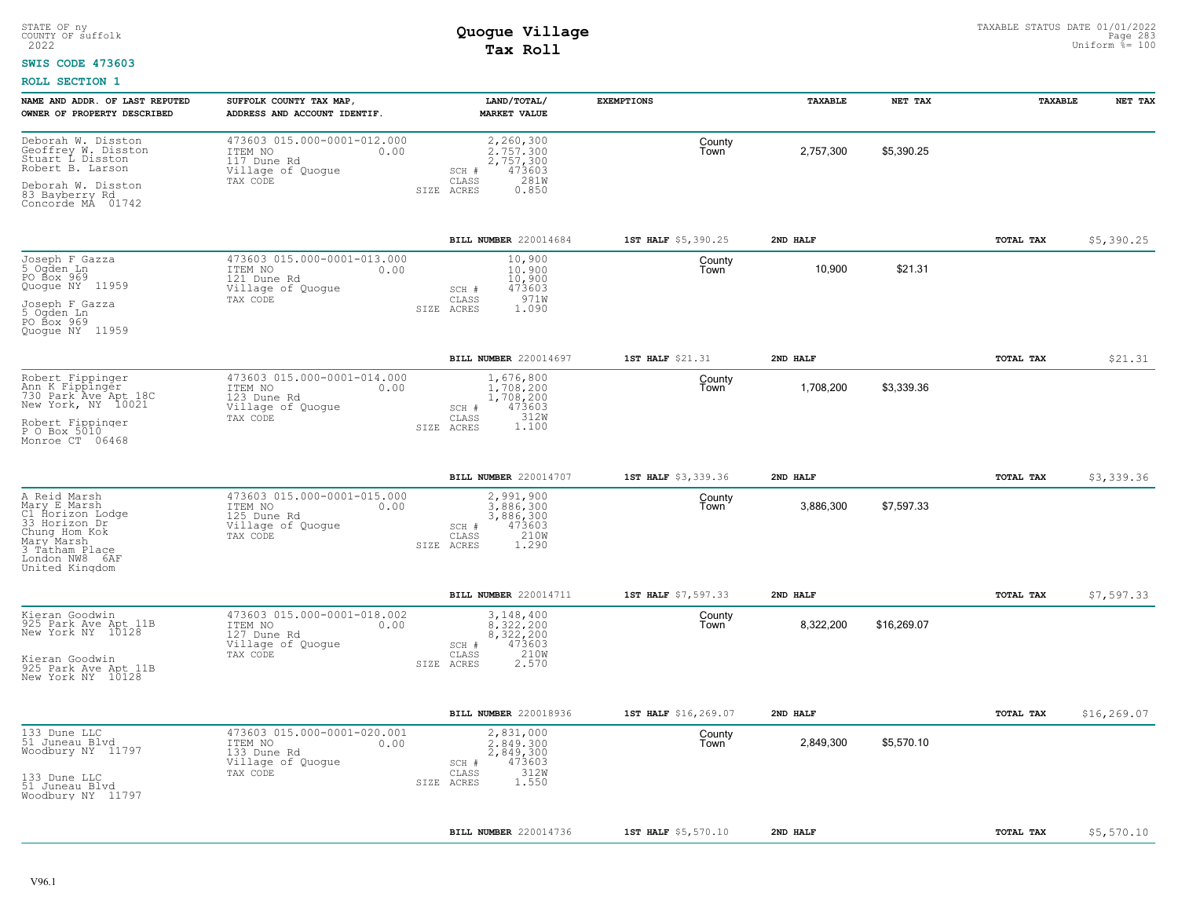#### **SWIS CODE 473603**

| NAME AND ADDR. OF LAST REPUTED<br>OWNER OF PROPERTY DESCRIBED                                                                                          | SUFFOLK COUNTY TAX MAP,<br>ADDRESS AND ACCOUNT IDENTIF.                                          | LAND/TOTAL/<br><b>MARKET VALUE</b>                                                             | <b>EXEMPTIONS</b>    | TAXABLE   | NET TAX     | TAXABLE   | NET TAX     |
|--------------------------------------------------------------------------------------------------------------------------------------------------------|--------------------------------------------------------------------------------------------------|------------------------------------------------------------------------------------------------|----------------------|-----------|-------------|-----------|-------------|
| Deborah W. Disston<br>Geoffrey W. Disston<br>Stuart L Disston<br>Robert B. Larson<br>Deborah W. Disston<br>83 Bayberry Rd                              | 473603 015.000-0001-012.000<br>ITEM NO<br>0.00<br>117 Dune Rd<br>Village of Quogue<br>TAX CODE   | 2,260,300<br>2.757.300<br>2,757,300<br>473603<br>SCH #<br>281W<br>CLASS<br>0.850<br>SIZE ACRES | County<br>Town       | 2,757,300 | \$5,390.25  |           |             |
| Concorde MA 01742                                                                                                                                      |                                                                                                  |                                                                                                |                      |           |             |           |             |
|                                                                                                                                                        |                                                                                                  | BILL NUMBER 220014684                                                                          | 1ST HALF \$5,390.25  | 2ND HALF  |             | TOTAL TAX | \$5,390.25  |
| Joseph F Gazza<br>5 Ogden Ln<br>PO Box 969<br>Quoque NY 11959<br>Joseph F Gazza<br>5 Ogden Ln<br>PO Box 969<br>Quoque NY 11959                         | 473603 015.000-0001-013.000<br>ITEM NO<br>0.00<br>121 Dune Rd<br>Village of Quogue<br>TAX CODE   | 10,900<br>10,900<br>10,900<br>473603<br>SCH #<br>971W<br>CLASS<br>1.090<br>SIZE ACRES          | County<br>Town       | 10,900    | \$21.31     |           |             |
|                                                                                                                                                        |                                                                                                  | BILL NUMBER 220014697                                                                          | 1ST HALF \$21.31     | 2ND HALF  |             | TOTAL TAX | \$21.31     |
| Robert Fippinger<br>Ann K Fippinger<br>730 Park Ave Apt 18C<br>New York, NY 10021<br>Robert Fippinger                                                  | 473603 015.000-0001-014.000<br>ITEM NO<br>0.00<br>123 Dune Rd<br>Village of Quogue<br>TAX CODE   | 1,676,800<br>1,708,200<br>1,708,200<br>473603<br>SCH #<br>312W<br>CLASS<br>1.100<br>SIZE ACRES | County<br>Town       | 1,708,200 | \$3,339.36  |           |             |
| P O Box 5010<br>Monroe CT 06468                                                                                                                        |                                                                                                  |                                                                                                |                      |           |             |           |             |
|                                                                                                                                                        |                                                                                                  | BILL NUMBER 220014707                                                                          | 1ST HALF \$3,339.36  | 2ND HALF  |             | TOTAL TAX | \$3,339.36  |
| A Reid Marsh<br>Mary E Marsh<br>C1 Horizon Lodge<br>33 Horizon Dr<br>Chung Hom Kok<br>Mary Marsh<br>3 Tatham Place<br>London NW8 6AF<br>United Kingdom | 473603 015.000-0001-015.000<br>ITEM NO<br>0.00<br>125 Dune Rd<br>Village of Quogue<br>TAX CODE   | 2,991,900<br>3,886,300<br>3,886,300<br>473603<br>SCH #<br>210W<br>CLASS<br>1.290<br>SIZE ACRES | County<br>Town       | 3,886,300 | \$7,597.33  |           |             |
|                                                                                                                                                        |                                                                                                  | BILL NUMBER 220014711                                                                          | 1ST HALF \$7,597.33  | 2ND HALF  |             | TOTAL TAX | \$7,597.33  |
| Kieran Goodwin<br>925 Park Ave Apt 11B<br>New York NY 10128<br>Kieran Goodwin<br>925 Park Ave Apt 11B<br>New York NY 10128                             | 473603 015.000-0001-018.002<br>ITEM NO<br>0.00<br>$127$ Dune Rd<br>Village of Quogue<br>TAX CODE | 3,148,400<br>8.322.200<br>8,322,200<br>473603<br>SCH #<br>210W<br>CLASS<br>SIZE ACRES<br>2.570 | County<br>Town       | 8,322,200 | \$16,269.07 |           |             |
|                                                                                                                                                        |                                                                                                  |                                                                                                |                      |           |             |           |             |
|                                                                                                                                                        |                                                                                                  | BILL NUMBER 220018936                                                                          | 1ST HALF \$16,269.07 | 2ND HALF  |             | TOTAL TAX | \$16,269.07 |
| 133 Dune LLC<br>51 Juneau Blvd<br>Woodbury NY 11797<br>133 Dune LLC<br>51 Juneau Blvd                                                                  | 473603 015.000-0001-020.001<br>ITEM NO<br>0.00<br>133 Dune Rd<br>Village of Quogue<br>TAX CODE   | 2,831,000<br>2.849.300<br>2,849,300<br>473603<br>SCH #<br>312W<br>CLASS<br>1.550<br>SIZE ACRES | County<br>Town       | 2,849,300 | \$5,570.10  |           |             |
| Woodbury NY 11797                                                                                                                                      |                                                                                                  |                                                                                                |                      |           |             |           |             |
|                                                                                                                                                        |                                                                                                  | BILL NUMBER 220014736                                                                          | 1ST HALF \$5,570.10  | 2ND HALF  |             | TOTAL TAX | \$5,570.10  |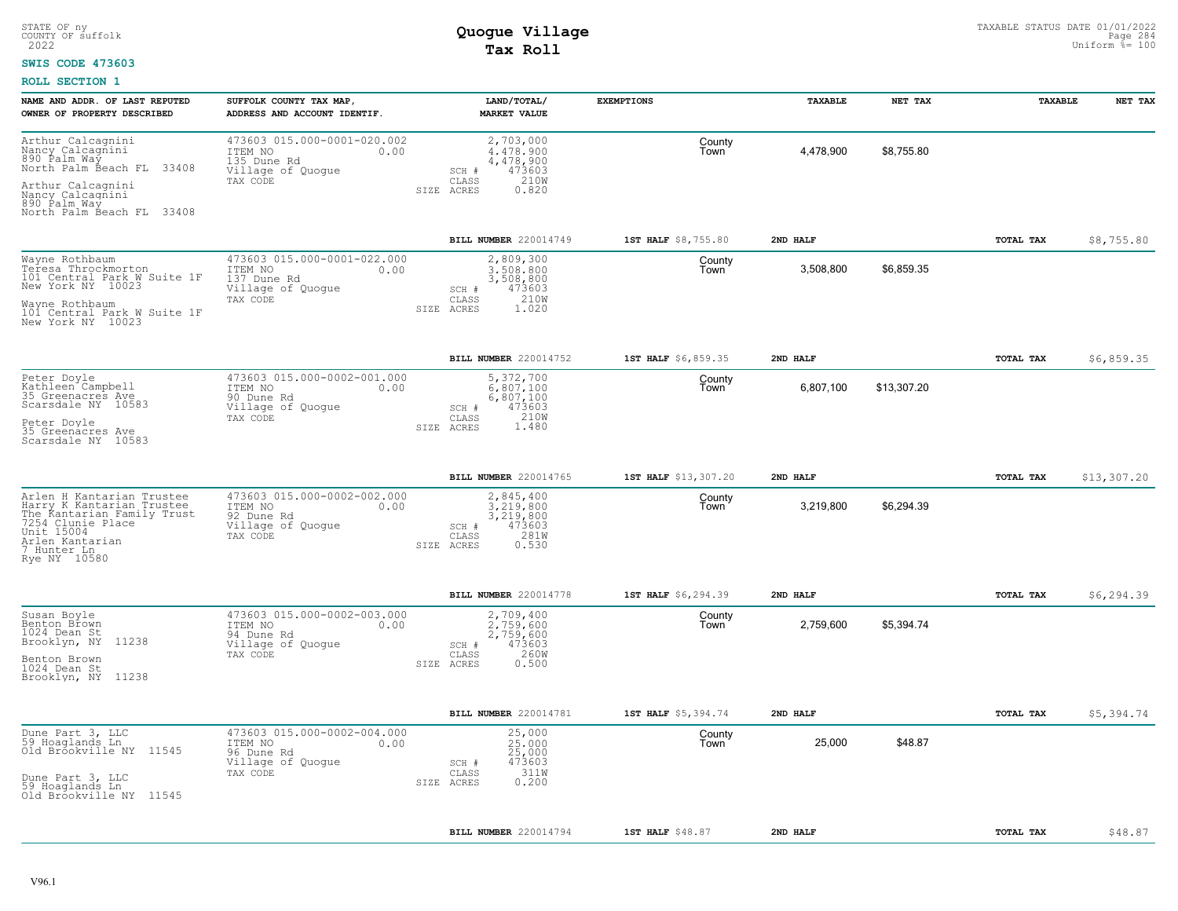### **SWIS CODE 473603**

| NAME AND ADDR. OF LAST REPUTED<br>OWNER OF PROPERTY DESCRIBED                                                                                                             | SUFFOLK COUNTY TAX MAP<br>ADDRESS AND ACCOUNT IDENTIF.                                         | LAND/TOTAL/<br><b>MARKET VALUE</b>                                                                 | <b>EXEMPTIONS</b>    | TAXABLE   | NET TAX     | TAXABLE   | NET TAX     |
|---------------------------------------------------------------------------------------------------------------------------------------------------------------------------|------------------------------------------------------------------------------------------------|----------------------------------------------------------------------------------------------------|----------------------|-----------|-------------|-----------|-------------|
| Arthur Calcagnini<br>Nancy Calcagnini<br>890 Palm Way<br>33408<br>North Palm Beach FL<br>Arthur Calcagnini<br>Nancy Calcagnini<br>890 Palm Way                            | 473603 015.000-0001-020.002<br>ITEM NO<br>0.00<br>135 Dune Rd<br>Village of Quogue<br>TAX CODE | 2,703,000<br>4.478.900<br>4,478,900<br>473603<br>SCH #<br>210W<br>CLASS<br>SIZE ACRES<br>0.820     | County<br>Town       | 4,478,900 | \$8,755.80  |           |             |
| North Palm Beach FL 33408                                                                                                                                                 |                                                                                                |                                                                                                    |                      |           |             |           |             |
|                                                                                                                                                                           |                                                                                                | BILL NUMBER 220014749                                                                              | 1ST HALF \$8,755.80  | 2ND HALF  |             | TOTAL TAX | \$8,755.80  |
| Wayne Rothbaum<br>Teresa Throckmorton<br>101 Central Park W Suite 1F<br>New York NY 10023                                                                                 | 473603 015.000-0001-022.000<br>ITEM NO<br>0.00<br>137 Dune Rd<br>Village of Quogue<br>TAX CODE | 2,809,300<br>3,508,800<br>3,508,800<br>473603<br>SCH #<br>210W<br>CLASS                            | County<br>Town       | 3,508,800 | \$6,859.35  |           |             |
| Wayne Rothbaum<br>101 Central Park W Suite 1F<br>New York NY 10023                                                                                                        |                                                                                                | 1.020<br>SIZE<br>ACRES                                                                             |                      |           |             |           |             |
|                                                                                                                                                                           |                                                                                                | BILL NUMBER 220014752                                                                              | 1ST HALF \$6,859.35  | 2ND HALF  |             | TOTAL TAX | \$6,859.35  |
| Peter Doyle<br>Kathleen Campbell<br>35 Greenacres Ave<br>Scarsdale NY 10583                                                                                               | 473603 015.000-0002-001.000<br>ITEM NO<br>0.00<br>90 Dune Rd<br>Village of Quogue              | 5,372,700<br>6,807,100<br>6,807,100<br>473603<br>SCH #                                             | County<br>Town       | 6,807,100 | \$13,307.20 |           |             |
| Peter Doyle<br>35 Greenacres Ave<br>Scarsdale NY 10583                                                                                                                    | TAX CODE                                                                                       | 210W<br>CLASS<br>1.480<br>SIZE ACRES                                                               |                      |           |             |           |             |
|                                                                                                                                                                           |                                                                                                | BILL NUMBER 220014765                                                                              | 1ST HALF \$13,307.20 | 2ND HALF  |             | TOTAL TAX | \$13,307.20 |
| Arlen H Kantarian Trustee<br>Harry K Kantarian Trustee<br>The Kantarian Family Trust<br>7254 Clunie Place<br>Unit 15004<br>Arlen Kantarian<br>7 Hunter Ln<br>Rye NY 10580 | 473603 015.000-0002-002.000<br>ITEM NO<br>0.00<br>92 Dune Rd<br>Village of Quogue<br>TAX CODE  | 2,845,400<br>3.219.800<br>3,219,800<br>473603<br>SCH #<br>281W<br>CLASS<br>SIZE ACRES<br>0.530     | County<br>Town       | 3,219,800 | \$6,294.39  |           |             |
|                                                                                                                                                                           |                                                                                                | BILL NUMBER 220014778                                                                              | 1ST HALF \$6,294.39  | 2ND HALF  |             | TOTAL TAX | \$6, 294.39 |
| Susan Boyle<br>Benton Brown<br>1024 Dean St<br>Brooklyn, NY<br>11238<br>Benton Brown<br>1024 Dean St<br>Brooklyn, NY 11238                                                | 473603 015.000-0002-003.000<br>ITEM NO<br>0.00<br>94 Dune Rd<br>Village of Quogue<br>TAX CODE  | 2,709,400<br>2.759.600<br>2,759,600<br>473603<br>$SCH$ $#$<br>260W<br>CLASS<br>SIZE ACRES<br>0.500 | County<br>Town       | 2,759,600 | \$5,394.74  |           |             |
|                                                                                                                                                                           |                                                                                                | BILL NUMBER 220014781                                                                              | 1ST HALF \$5,394.74  | 2ND HALF  |             | TOTAL TAX | \$5,394.74  |
| Dune Part 3, LLC<br>59 Hoaglands Ln<br>Old Brookville NY 11545<br>Dune Part 3, LLC<br>59 Hoaglands Ln<br>Old Brookville NY 11545                                          | 473603 015.000-0002-004.000<br>ITEM NO<br>0.00<br>96 Dune Rd<br>Village of Quoque<br>TAX CODE  | 25,000<br>25,000<br>25,000<br>473603<br>SCH #<br>311W<br>CLASS<br>0.200<br>SIZE ACRES              | County<br>Town       | 25,000    | \$48.87     |           |             |
|                                                                                                                                                                           |                                                                                                |                                                                                                    |                      |           |             |           |             |
|                                                                                                                                                                           |                                                                                                | BILL NUMBER 220014794                                                                              | 1ST HALF \$48.87     | 2ND HALF  |             | TOTAL TAX | \$48.87     |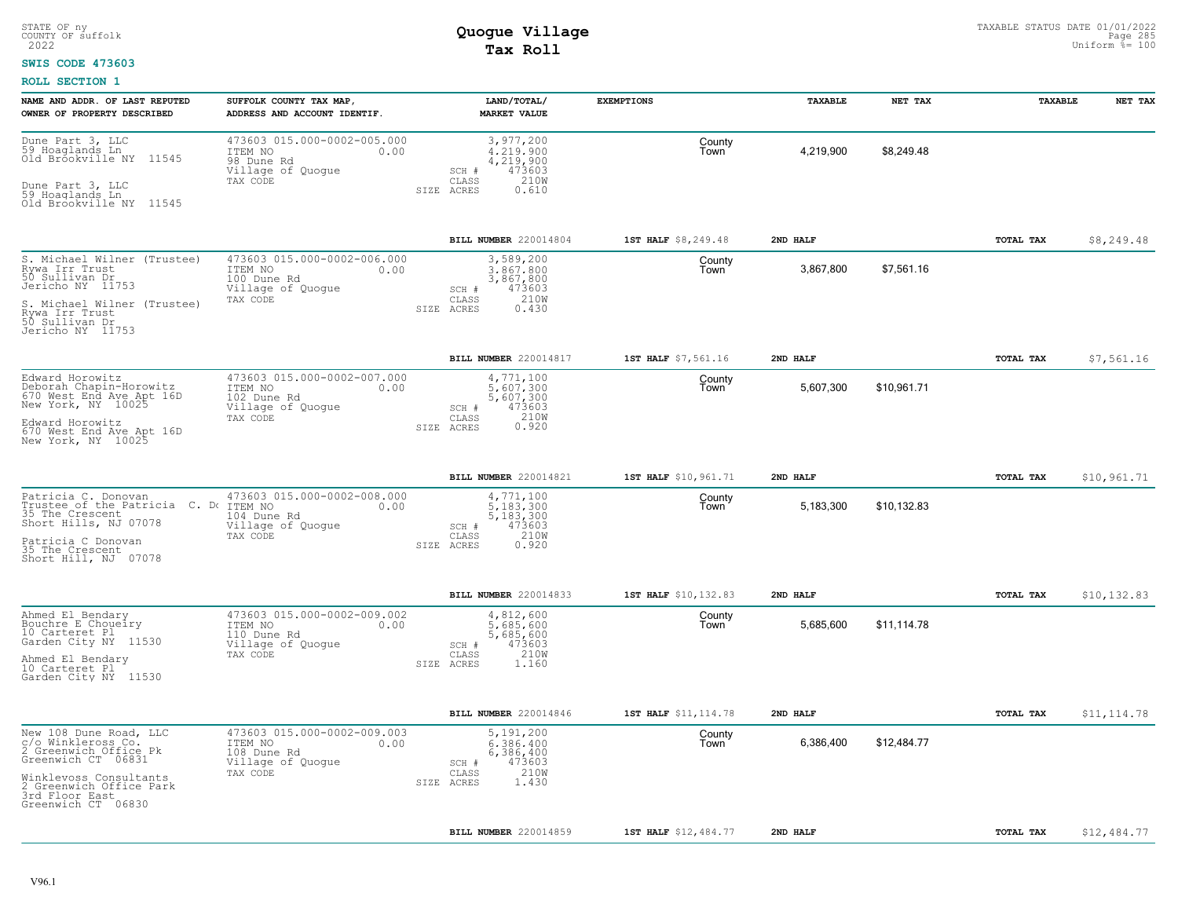#### **SWIS CODE 473603**

| 473603 015.000-0002-005.000<br>3,977,200<br>County<br>59 Hoaglands Ln<br>4,219,900<br>\$8,249.48<br>ITEM NO<br>0.00<br>4,219,900<br>Town<br>98 Dune Rd<br>4,219,900<br>473603<br>Village of Quogue<br>SCH #<br>CLASS<br>210W<br>TAX CODE<br>0.610<br>SIZE ACRES<br>\$8,249.48<br>BILL NUMBER 220014804<br>1ST HALF \$8,249.48<br>2ND HALF<br>TOTAL TAX<br>473603 015.000-0002-006.000<br>3,589,200<br>County<br>3,867,800<br>\$7,561.16<br>3,867,800<br>ITEM NO<br>0.00<br>l own<br>100 Dune Rd<br>3,867,800<br>473603<br>Village of Quogue<br>SCH #<br>210W<br>CLASS<br>TAX CODE<br>SIZE ACRES<br>0.430<br>BILL NUMBER 220014817<br>1ST HALF \$7,561.16<br>2ND HALF<br>TOTAL TAX<br>\$7,561.16<br>473603 015.000-0002-007.000<br>4,771,100<br>County<br>5,607,300<br>\$10,961.71<br>ITEM NO<br>0.00<br>5,607,300<br>Town<br>5,607,300<br>102 Dune Rd<br>Village of Quogue<br>473603<br>SCH #<br>210W<br>TAX CODE<br>CLASS<br>Edward Horowitz<br>670 West End Ave Apt 16D<br>New York, NY 10025<br>0.920<br>SIZE ACRES<br>BILL NUMBER 220014821<br>1ST HALF \$10,961.71<br>2ND HALF<br><b>TOTAL TAX</b><br>\$10,961.71<br>473603 015.000-0002-008.000<br>4,771,100<br>Patricia C. Donovan<br>County<br>Trustee of the Patricia C. Do ITEM NO<br>\$10,132.83<br>5,183,300<br>5,183,300<br>0.00<br>Town<br>35 The Crescent<br>5,183,300<br>104 Dune Rd<br>Village of Quogue<br>473603<br>SCH #<br>210W<br>TAX CODE<br>CLASS<br>SIZE ACRES<br>0.920<br>35 The Crescent<br>\$10,132.83<br>BILL NUMBER 220014833<br>1ST HALF \$10,132.83<br>2ND HALF<br>TOTAL TAX<br>473603 015.000-0002-009.002<br>4,812,600<br>County<br>ITEM NO<br>0.00<br>5,685,600<br>5,685,600<br>\$11,114.78<br>Town<br>110 Dune Rd<br>5,685,600<br>473603<br>Village of Quogue<br>SCH #<br>210W<br>TAX CODE<br>CLASS<br>SIZE ACRES<br>1.160<br>\$11,114.78<br>BILL NUMBER 220014846<br>1ST HALF \$11, 114.78<br>2ND HALF<br>TOTAL TAX<br>473603 015.000-0002-009.003<br>5,191,200<br>County<br>6,386,400<br>6,386,400<br>\$12,484.77<br>ITEM NO<br>0.00<br>Town<br>108 Dune Rd<br>6,386,400<br>Village of Quogue<br>473603<br>$SCH$ $#$<br>210W<br>TAX CODE<br>CLASS<br>1.430<br>SIZE ACRES<br><b>BILL NUMBER 220014859</b><br>1ST HALF \$12,484.77<br>2ND HALF<br>TOTAL TAX<br>\$12,484.77 | NAME AND ADDR. OF LAST REPUTED<br>OWNER OF PROPERTY DESCRIBED                                                                                                                            | SUFFOLK COUNTY TAX MAP,<br>ADDRESS AND ACCOUNT IDENTIF. | LAND/TOTAL/<br><b>MARKET VALUE</b> | <b>EXEMPTIONS</b> | TAXABLE | NET TAX | TAXABLE | NET TAX |
|----------------------------------------------------------------------------------------------------------------------------------------------------------------------------------------------------------------------------------------------------------------------------------------------------------------------------------------------------------------------------------------------------------------------------------------------------------------------------------------------------------------------------------------------------------------------------------------------------------------------------------------------------------------------------------------------------------------------------------------------------------------------------------------------------------------------------------------------------------------------------------------------------------------------------------------------------------------------------------------------------------------------------------------------------------------------------------------------------------------------------------------------------------------------------------------------------------------------------------------------------------------------------------------------------------------------------------------------------------------------------------------------------------------------------------------------------------------------------------------------------------------------------------------------------------------------------------------------------------------------------------------------------------------------------------------------------------------------------------------------------------------------------------------------------------------------------------------------------------------------------------------------------------------------------------------------------------------------------------------------------------------------------------------------------------------------------------------------------------------------------------------------------------------------------------------------------------------------------------------------------------------|------------------------------------------------------------------------------------------------------------------------------------------------------------------------------------------|---------------------------------------------------------|------------------------------------|-------------------|---------|---------|---------|---------|
|                                                                                                                                                                                                                                                                                                                                                                                                                                                                                                                                                                                                                                                                                                                                                                                                                                                                                                                                                                                                                                                                                                                                                                                                                                                                                                                                                                                                                                                                                                                                                                                                                                                                                                                                                                                                                                                                                                                                                                                                                                                                                                                                                                                                                                                                | Dune Part 3, LLC<br>Old Bróokville NY 11545<br>Dune Part 3, LLC<br>59 Hoaglands Ln<br>Old Brookville NY 11545                                                                            |                                                         |                                    |                   |         |         |         |         |
|                                                                                                                                                                                                                                                                                                                                                                                                                                                                                                                                                                                                                                                                                                                                                                                                                                                                                                                                                                                                                                                                                                                                                                                                                                                                                                                                                                                                                                                                                                                                                                                                                                                                                                                                                                                                                                                                                                                                                                                                                                                                                                                                                                                                                                                                |                                                                                                                                                                                          |                                                         |                                    |                   |         |         |         |         |
|                                                                                                                                                                                                                                                                                                                                                                                                                                                                                                                                                                                                                                                                                                                                                                                                                                                                                                                                                                                                                                                                                                                                                                                                                                                                                                                                                                                                                                                                                                                                                                                                                                                                                                                                                                                                                                                                                                                                                                                                                                                                                                                                                                                                                                                                | S. Michael Wilner (Trustee)<br>Rywa Irr Trust<br>50 Sullivan Dr<br>Jericho NY 11753<br>S. Michael Wilner (Trustee)<br>Rywa Irr Trust<br>50 Sullivan Dr<br>Jericho NY 11753               |                                                         |                                    |                   |         |         |         |         |
|                                                                                                                                                                                                                                                                                                                                                                                                                                                                                                                                                                                                                                                                                                                                                                                                                                                                                                                                                                                                                                                                                                                                                                                                                                                                                                                                                                                                                                                                                                                                                                                                                                                                                                                                                                                                                                                                                                                                                                                                                                                                                                                                                                                                                                                                |                                                                                                                                                                                          |                                                         |                                    |                   |         |         |         |         |
|                                                                                                                                                                                                                                                                                                                                                                                                                                                                                                                                                                                                                                                                                                                                                                                                                                                                                                                                                                                                                                                                                                                                                                                                                                                                                                                                                                                                                                                                                                                                                                                                                                                                                                                                                                                                                                                                                                                                                                                                                                                                                                                                                                                                                                                                | Edward Horowitz<br>Deborah Chapin-Horowitz<br>670 West End Ave Apt 16D<br>New York, NY 10025                                                                                             |                                                         |                                    |                   |         |         |         |         |
|                                                                                                                                                                                                                                                                                                                                                                                                                                                                                                                                                                                                                                                                                                                                                                                                                                                                                                                                                                                                                                                                                                                                                                                                                                                                                                                                                                                                                                                                                                                                                                                                                                                                                                                                                                                                                                                                                                                                                                                                                                                                                                                                                                                                                                                                |                                                                                                                                                                                          |                                                         |                                    |                   |         |         |         |         |
|                                                                                                                                                                                                                                                                                                                                                                                                                                                                                                                                                                                                                                                                                                                                                                                                                                                                                                                                                                                                                                                                                                                                                                                                                                                                                                                                                                                                                                                                                                                                                                                                                                                                                                                                                                                                                                                                                                                                                                                                                                                                                                                                                                                                                                                                |                                                                                                                                                                                          |                                                         |                                    |                   |         |         |         |         |
|                                                                                                                                                                                                                                                                                                                                                                                                                                                                                                                                                                                                                                                                                                                                                                                                                                                                                                                                                                                                                                                                                                                                                                                                                                                                                                                                                                                                                                                                                                                                                                                                                                                                                                                                                                                                                                                                                                                                                                                                                                                                                                                                                                                                                                                                | Short Hills, NJ 07078<br>Patricia C Donovan<br>Short Hill, NJ 07078                                                                                                                      |                                                         |                                    |                   |         |         |         |         |
|                                                                                                                                                                                                                                                                                                                                                                                                                                                                                                                                                                                                                                                                                                                                                                                                                                                                                                                                                                                                                                                                                                                                                                                                                                                                                                                                                                                                                                                                                                                                                                                                                                                                                                                                                                                                                                                                                                                                                                                                                                                                                                                                                                                                                                                                |                                                                                                                                                                                          |                                                         |                                    |                   |         |         |         |         |
|                                                                                                                                                                                                                                                                                                                                                                                                                                                                                                                                                                                                                                                                                                                                                                                                                                                                                                                                                                                                                                                                                                                                                                                                                                                                                                                                                                                                                                                                                                                                                                                                                                                                                                                                                                                                                                                                                                                                                                                                                                                                                                                                                                                                                                                                | Ahmed El Bendary<br>Bouchre E Choueiry<br>10 Carteret Pl<br>Garden City NY 11530<br>Ahmed El Bendary<br>10 Carteret Pl<br>Garden City NY 11530                                           |                                                         |                                    |                   |         |         |         |         |
|                                                                                                                                                                                                                                                                                                                                                                                                                                                                                                                                                                                                                                                                                                                                                                                                                                                                                                                                                                                                                                                                                                                                                                                                                                                                                                                                                                                                                                                                                                                                                                                                                                                                                                                                                                                                                                                                                                                                                                                                                                                                                                                                                                                                                                                                |                                                                                                                                                                                          |                                                         |                                    |                   |         |         |         |         |
|                                                                                                                                                                                                                                                                                                                                                                                                                                                                                                                                                                                                                                                                                                                                                                                                                                                                                                                                                                                                                                                                                                                                                                                                                                                                                                                                                                                                                                                                                                                                                                                                                                                                                                                                                                                                                                                                                                                                                                                                                                                                                                                                                                                                                                                                | New 108 Dune Road, LLC<br>c/o Winkleross Co.<br>2 Greenwich Office Pk<br>Greenwich CT 06831<br>Winklevoss Consultants<br>2 Greenwich Office Park<br>3rd Floor East<br>Greenwich CT 06830 |                                                         |                                    |                   |         |         |         |         |
|                                                                                                                                                                                                                                                                                                                                                                                                                                                                                                                                                                                                                                                                                                                                                                                                                                                                                                                                                                                                                                                                                                                                                                                                                                                                                                                                                                                                                                                                                                                                                                                                                                                                                                                                                                                                                                                                                                                                                                                                                                                                                                                                                                                                                                                                |                                                                                                                                                                                          |                                                         |                                    |                   |         |         |         |         |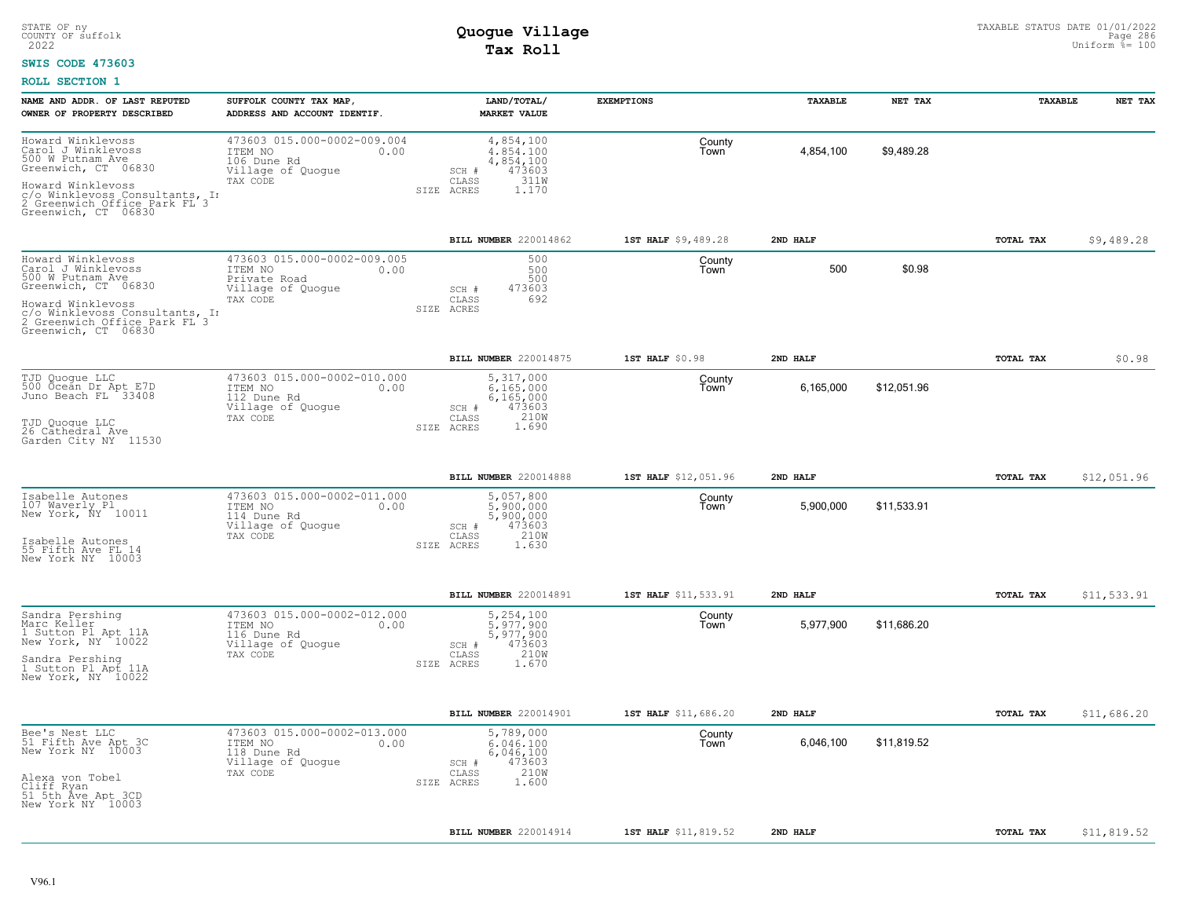### **SWIS CODE 473603**

| NAME AND ADDR. OF LAST REPUTED<br>OWNER OF PROPERTY DESCRIBED                                              | SUFFOLK COUNTY TAX MAP,<br>ADDRESS AND ACCOUNT IDENTIF.                             | LAND/TOTAL/<br><b>MARKET VALUE</b>                       | <b>EXEMPTIONS</b>    | TAXABLE   | NET TAX     | TAXABLE   | NET TAX     |
|------------------------------------------------------------------------------------------------------------|-------------------------------------------------------------------------------------|----------------------------------------------------------|----------------------|-----------|-------------|-----------|-------------|
| Howard Winklevoss<br>Carol J Winklevoss<br>500 W Putnam Ave<br>Greenwich, CT 06830                         | 473603 015.000-0002-009.004<br>ITEM NO<br>0.00<br>106 Dune Rd<br>Village of Quogue  | 4,854,100<br>4,854,100<br>4,854,100<br>473603<br>SCH #   | County<br>Town       | 4,854,100 | \$9,489.28  |           |             |
| Howard Winklevoss<br>c/o Winklevoss Consultants, In<br>2 Greenwich Office Park FL 3<br>Greenwich, CT 06830 | TAX CODE                                                                            | 311W<br>CLASS<br>SIZE ACRES<br>1.170                     |                      |           |             |           |             |
|                                                                                                            |                                                                                     | BILL NUMBER 220014862                                    | 1ST HALF \$9,489.28  | 2ND HALF  |             | TOTAL TAX | \$9,489.28  |
| Howard Winklevoss<br>Carol J Winklevoss<br>500 W Putnam Ave<br>Greenwich, CT 06830                         | 473603 015.000-0002-009.005<br>ITEM NO<br>0.00<br>Private Road<br>Village of Quogue | 500<br>500<br>500<br>473603<br>SCH #                     | County<br>Town       | 500       | \$0.98      |           |             |
| Howard Winklevoss<br>c/o Winklevoss Consultants, In<br>2 Greenwich Office Park FL 3<br>Greenwich, CT 06830 | TAX CODE                                                                            | CLASS<br>692<br>SIZE ACRES                               |                      |           |             |           |             |
|                                                                                                            |                                                                                     | <b>BILL NUMBER 220014875</b>                             | $1ST$ HALF $$0.98$   | 2ND HALF  |             | TOTAL TAX | \$0.98      |
| TJD Quoque LLC<br>500 Ocean Dr Apt E7D<br>Juno Beach FL 33408                                              | 473603 015.000-0002-010.000<br>ITEM NO<br>0.00<br>112 Dune Rd<br>Village of Quogue  | 5,317,000<br>6,165,000<br>6, 165, 000<br>473603<br>SCH # | County<br>Town       | 6,165,000 | \$12,051.96 |           |             |
| TJD Quoque LLC<br>26 Cathedral Ave<br>Garden City NY 11530                                                 | TAX CODE                                                                            | 210W<br>CLASS<br>SIZE ACRES<br>1.690                     |                      |           |             |           |             |
|                                                                                                            |                                                                                     | BILL NUMBER 220014888                                    | 1ST HALF \$12,051.96 | 2ND HALF  |             | TOTAL TAX | \$12,051.96 |
| Isabelle Autones<br>107 Waverly Pl<br>New York, NY 10011                                                   | 473603 015.000-0002-011.000<br>ITEM NO<br>0.00<br>114 Dune Rd<br>Village of Quogue  | 5,057,800<br>5,900,000<br>5,900,000<br>473603<br>SCH #   | County<br>Town       | 5,900,000 | \$11,533.91 |           |             |
| Isabelle Autones<br>55 Fifth Ave FL 14<br>New York NY 10003                                                | TAX CODE                                                                            | 210W<br>CLASS<br>SIZE ACRES<br>1.630                     |                      |           |             |           |             |
|                                                                                                            |                                                                                     | BILL NUMBER 220014891                                    | 1ST HALF \$11,533.91 | 2ND HALF  |             | TOTAL TAX | \$11,533.91 |
| Sandra Pershing<br>Marc Keller<br>1 Sutton Pl Apt 11A<br>New York, NY 10022                                | 473603 015.000-0002-012.000<br>ITEM NO<br>0.00<br>116 Dune Rd<br>Village of Quogue  | 5,254,100<br>5.977.900<br>5,977,900<br>473603<br>SCH #   | County<br>Town       | 5,977,900 | \$11,686.20 |           |             |
| Sandra Pershing<br>1 Sutton Pl Apt 11A<br>New York, NY 10022                                               | TAX CODE                                                                            | 210W<br>CLASS<br>SIZE ACRES<br>1.670                     |                      |           |             |           |             |
|                                                                                                            |                                                                                     | BILL NUMBER 220014901                                    | 1ST HALF \$11,686.20 | 2ND HALF  |             | TOTAL TAX | \$11,686.20 |
| Bee's Nest LLC<br>51 Fifth Ave Apt 3C<br>New York NY 10003                                                 | 473603 015.000-0002-013.000<br>ITEM NO<br>0.00<br>118 Dune Rd<br>Village of Quogue  | 5,789,000<br>6.046.100<br>6,046,100<br>473603<br>SCH #   | County<br>Town       | 6,046,100 | \$11,819.52 |           |             |
| Alexa von Tobel<br>Cliff Ryan<br>51 5th Åve Apt 3CD<br>New York NY 10003                                   | TAX CODE                                                                            | 210W<br>CLASS<br>1.600<br>SIZE ACRES                     |                      |           |             |           |             |
|                                                                                                            |                                                                                     | BILL NUMBER 220014914                                    | 1ST HALF \$11,819.52 | 2ND HALF  |             | TOTAL TAX | \$11,819.52 |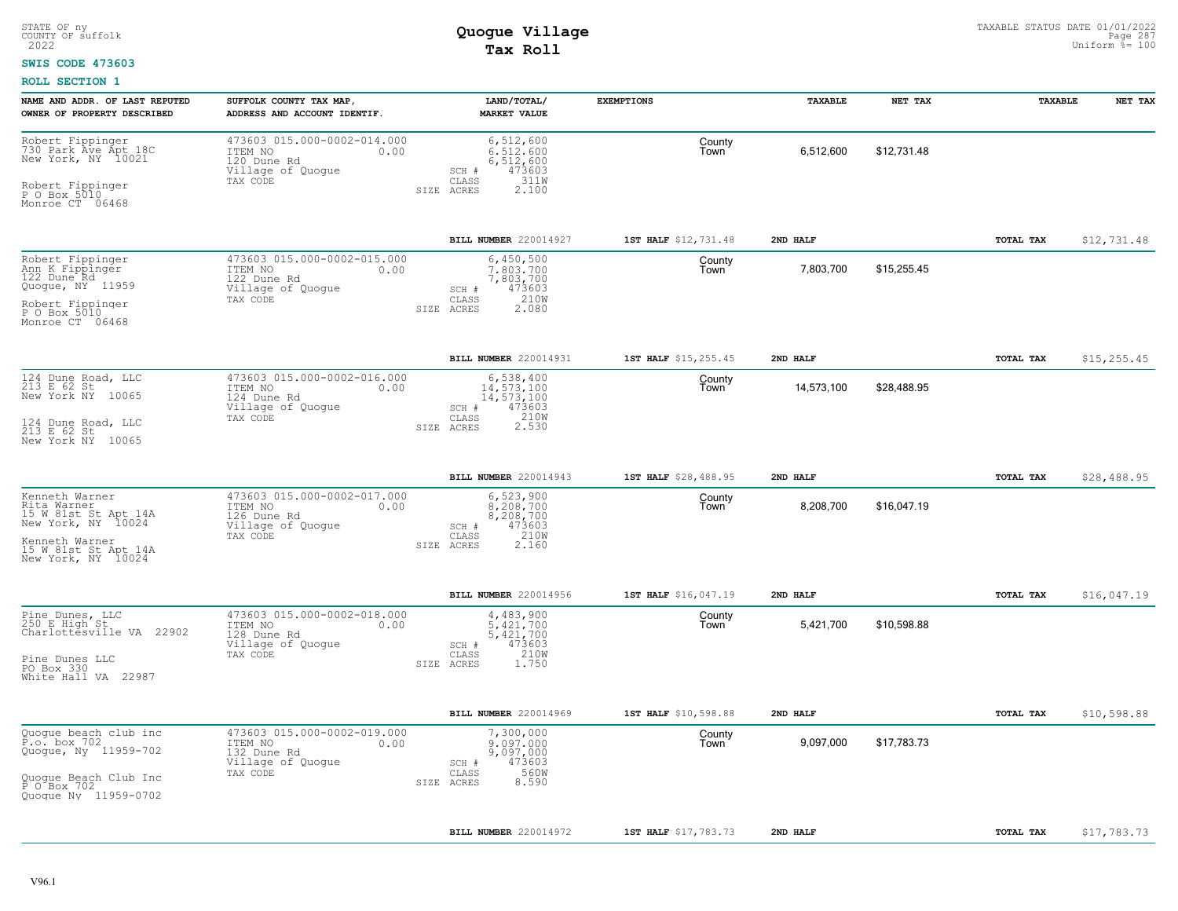#### **SWIS CODE 473603**

| NAME AND ADDR. OF LAST REPUTED<br>OWNER OF PROPERTY DESCRIBED                                                                                  | SUFFOLK COUNTY TAX MAP,<br>ADDRESS AND ACCOUNT IDENTIF.                                        | LAND/TOTAL/<br><b>MARKET VALUE</b>                                                               | <b>EXEMPTIONS</b>    | TAXABLE    | NET TAX     | TAXABLE   | NET TAX      |
|------------------------------------------------------------------------------------------------------------------------------------------------|------------------------------------------------------------------------------------------------|--------------------------------------------------------------------------------------------------|----------------------|------------|-------------|-----------|--------------|
| Robert Fippinger<br>730 Park Ave Apt 18C<br>New York, NY 10021<br>Robert Fippinger<br>P O Box 5010<br>Monroe CT 06468                          | 473603 015.000-0002-014.000<br>ITEM NO<br>0.00<br>120 Dune Rd<br>Village of Quogue<br>TAX CODE | 6,512,600<br>6.512.600<br>6,512,600<br>473603<br>SCH #<br>CLASS<br>311W<br>2.100<br>SIZE ACRES   | County<br>Town       | 6,512,600  | \$12,731.48 |           |              |
|                                                                                                                                                |                                                                                                | BILL NUMBER 220014927                                                                            | 1ST HALF \$12,731.48 | 2ND HALF   |             | TOTAL TAX | \$12,731.48  |
| Robert Fippinger<br>Ann K Fippinger<br>122 Dune Rd<br>Quogue, NY 11959<br>Robert Fippinger<br>P 0 Box 5010<br>Monroe CT 06468                  | 473603 015.000-0002-015.000<br>ITEM NO<br>0.00<br>122 Dune Rd<br>Village of Quogue<br>TAX CODE | 6,450,500<br>7,803,700<br>7,803,700<br>473603<br>SCH #<br>210W<br>CLASS<br>SIZE ACRES<br>2.080   | County<br>Town       | 7,803,700  | \$15,255.45 |           |              |
|                                                                                                                                                |                                                                                                | BILL NUMBER 220014931                                                                            | 1ST HALF \$15,255.45 | 2ND HALF   |             | TOTAL TAX | \$15, 255.45 |
| 124 Dune Road, LLC<br>213 E 62 St<br>New York NY 10065<br>124 Dune Road, LLC<br>213 E 62 St<br>New York NY 10065                               | 473603 015.000-0002-016.000<br>ITEM NO<br>0.00<br>124 Dune Rd<br>Village of Quogue<br>TAX CODE | 6,538,400<br>14.573.100<br>14,573,100<br>473603<br>SCH #<br>210W<br>2.530<br>CLASS<br>SIZE ACRES | County<br>Town       | 14,573,100 | \$28,488.95 |           |              |
|                                                                                                                                                |                                                                                                | BILL NUMBER 220014943                                                                            | 1ST HALF \$28,488.95 | 2ND HALF   |             | TOTAL TAX | \$28,488.95  |
| Kenneth Warner<br>Rita Warner<br>15 W 81st St Apt 14A<br>New York, NY 10024<br>Kenneth Warner<br>15 W 81st St Apt 14A<br>New York, NY 10024    | 473603 015.000-0002-017.000<br>ITEM NO<br>0.00<br>126 Dune Rd<br>Village of Quogue<br>TAX CODE | 6,523,900<br>8,208,700<br>8,208,700<br>SCH #<br>473603<br>210W<br>CLASS<br>SIZE ACRES<br>2.160   | County<br>Town       | 8,208,700  | \$16,047.19 |           |              |
|                                                                                                                                                |                                                                                                | BILL NUMBER 220014956                                                                            | 1ST HALF \$16,047.19 | 2ND HALF   |             | TOTAL TAX | \$16,047.19  |
| Pine Dunes, LLC<br>250 E High St<br>Charlottésville VA 22902<br>Pine Dunes LLC<br>PO Box 330<br>White Hall VA 22987                            | 473603 015.000-0002-018.000<br>ITEM NO<br>0.00<br>128 Dune Rd<br>Village of Quogue<br>TAX CODE | 4,483,900<br>5.421.700<br>5,421,700<br>473603<br>SCH #<br>210W<br>CLASS<br>1.750<br>SIZE ACRES   | County<br>Town       | 5,421,700  | \$10,598.88 |           |              |
|                                                                                                                                                |                                                                                                | BILL NUMBER 220014969                                                                            | 1ST HALF \$10,598.88 | 2ND HALF   |             | TOTAL TAX | \$10,598.88  |
| Quoque beach club inc<br>$\tilde{P} \cdot o$ . box 702<br>Quogue, Ny 11959-702<br>Quoque Beach Club Inc<br>P O Box 702<br>Quoque Ny 11959-0702 | 473603 015.000-0002-019.000<br>0.00<br>ITEM NO<br>132 Dune Rd<br>Village of Quogue<br>TAX CODE | 7,300,000<br>9,097,000<br>9,097,000<br>473603<br>SCH #<br>560W<br>CLASS<br>8.590<br>SIZE ACRES   | County<br>Town       | 9,097,000  | \$17,783.73 |           |              |
|                                                                                                                                                |                                                                                                | BILL NUMBER 220014972                                                                            | 1ST HALF \$17,783.73 | 2ND HALF   |             | TOTAL TAX | \$17,783.73  |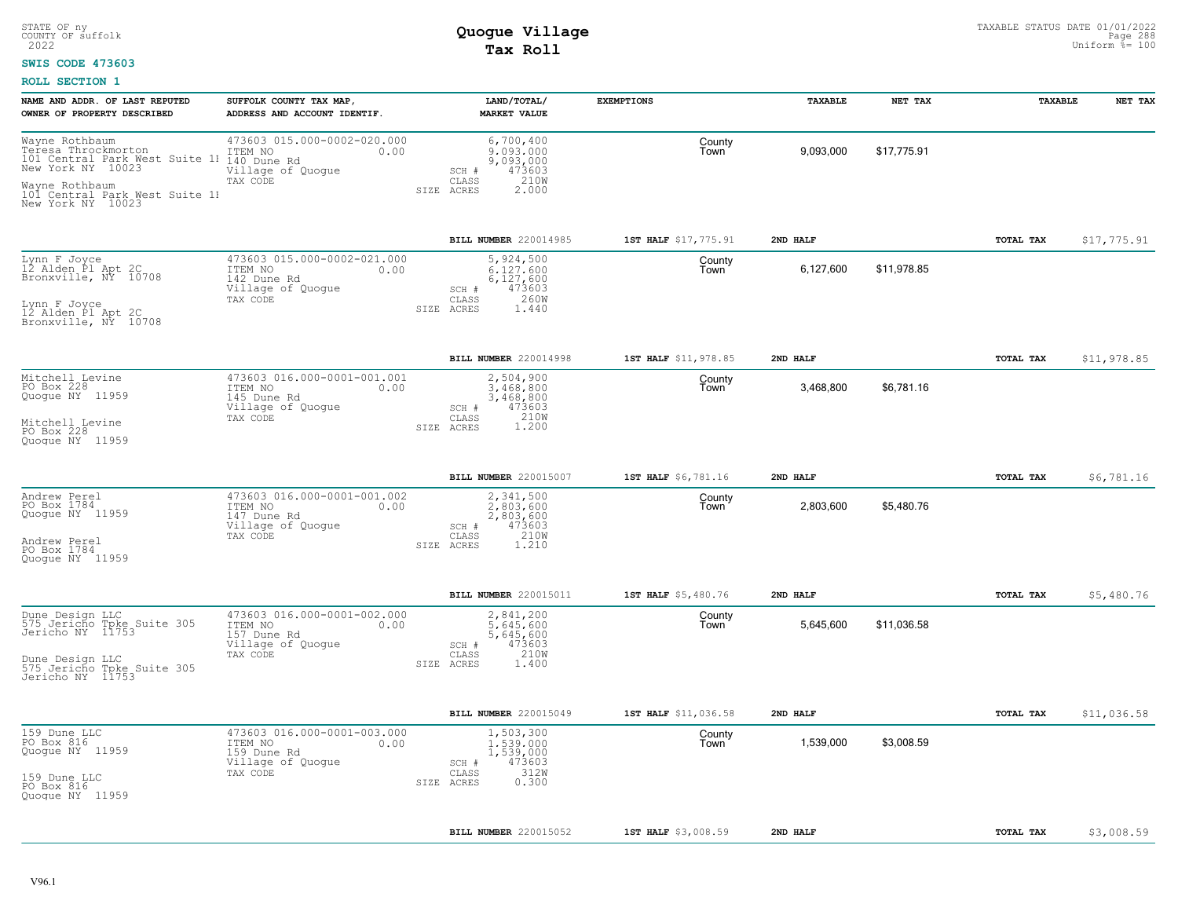### **SWIS CODE 473603**

| NAME AND ADDR. OF LAST REPUTED<br>OWNER OF PROPERTY DESCRIBED                                                                                                             | SUFFOLK COUNTY TAX MAP,<br>ADDRESS AND ACCOUNT IDENTIF.                                        | LAND/TOTAL/<br><b>MARKET VALUE</b>                                                             | <b>EXEMPTIONS</b>    | TAXABLE   | NET TAX     | TAXABLE   | NET TAX     |
|---------------------------------------------------------------------------------------------------------------------------------------------------------------------------|------------------------------------------------------------------------------------------------|------------------------------------------------------------------------------------------------|----------------------|-----------|-------------|-----------|-------------|
| Wayne Rothbaum<br>Teresa Throckmorton<br>101 Central Park West Suite 11 140 Dune Rd<br>New York NY 10023 Village of (<br>Wayne Rothbaum<br>101 Central Park West Suite 11 | 473603 015.000-0002-020.000<br>ITEM NO<br>0.00<br>Village of Quogue<br>TAX CODE                | 6,700,400<br>9,093,000<br>9,093,000<br>473603<br>SCH #<br>210W<br>CLASS<br>2,000<br>SIZE ACRES | County<br>Town       | 9,093,000 | \$17,775.91 |           |             |
| New York NY 10023                                                                                                                                                         |                                                                                                |                                                                                                |                      |           |             |           |             |
|                                                                                                                                                                           |                                                                                                | BILL NUMBER 220014985                                                                          | 1ST HALF \$17,775.91 | 2ND HALF  |             | TOTAL TAX | \$17,775.91 |
| Lynn F Joyce<br>12 Alden Pl Apt 2C<br>Bronxville, NY 10708                                                                                                                | 473603 015.000-0002-021.000<br>ITEM NO<br>0.00<br>142 Dune Rd<br>Village of Quogue<br>TAX CODE | 5,924,500<br>6,127,600<br>6,127,600<br>473603<br>SCH #<br>260W<br>CLASS                        | County<br>Town       | 6,127,600 | \$11,978.85 |           |             |
| Lynn F Joyce<br>12 Alden Pl Apt 2C<br>Bronxville, NY 10708                                                                                                                |                                                                                                | SIZE ACRES<br>1.440                                                                            |                      |           |             |           |             |
|                                                                                                                                                                           |                                                                                                | BILL NUMBER 220014998                                                                          | 1ST HALF \$11,978.85 | 2ND HALF  |             | TOTAL TAX | \$11,978.85 |
| Mitchell Levine<br>PO Box 228<br>Quogue NY 11959                                                                                                                          | 473603 016.000-0001-001.001<br>ITEM NO<br>0.00<br>145 Dune Rd<br>Village of Quogue<br>TAX CODE | 2,504,900<br>3,468,800<br>3,468,800<br>473603<br>SCH #<br>210W<br>CLASS                        | County<br>Town       | 3,468,800 | \$6,781.16  |           |             |
| Mitchell Levine<br>PO Box 228<br>Ouoque NY 11959                                                                                                                          |                                                                                                | 1.200<br>SIZE ACRES                                                                            |                      |           |             |           |             |
|                                                                                                                                                                           |                                                                                                | BILL NUMBER 220015007                                                                          | 1ST HALF \$6,781.16  | 2ND HALF  |             | TOTAL TAX | \$6,781.16  |
| Andrew Perel<br>PO Box 1784<br>Quogue NY 11959                                                                                                                            | 473603 016.000-0001-001.002<br>ITEM NO<br>0.00<br>147 Dune Rd<br>Village of Quogue             | 2,341,500<br>2,803,600<br>2,803,600<br>473603<br>SCH #<br>210W                                 | County<br>Town       | 2,803,600 | \$5,480.76  |           |             |
| Andrew Perel<br>PO Box 1784<br>Quoque NY 11959                                                                                                                            | TAX CODE                                                                                       | CLASS<br>1.210<br>SIZE ACRES                                                                   |                      |           |             |           |             |
|                                                                                                                                                                           |                                                                                                | BILL NUMBER 220015011                                                                          | 1ST HALF \$5,480.76  | 2ND HALF  |             | TOTAL TAX | \$5,480.76  |
| Dune Design LLC<br>575 Jericho Tpke Suite 305<br>Jericho NY 11753                                                                                                         | 473603 016.000-0001-002.000<br>ITEM NO<br>0.00<br>157 Dune Rd<br>Village of Quogue<br>TAX CODE | 2,841,200<br>5,645,600<br>5,645,600<br>473603<br>SCH #<br>210W<br>CLASS                        | County<br>Town       | 5,645,600 | \$11,036.58 |           |             |
| Dune Design LLC<br>575 Jericho Tpke Suite 305<br>Jericho NY 11753                                                                                                         |                                                                                                | SIZE ACRES<br>1.400                                                                            |                      |           |             |           |             |
|                                                                                                                                                                           |                                                                                                | BILL NUMBER 220015049                                                                          | 1ST HALF \$11,036.58 | 2ND HALF  |             | TOTAL TAX | \$11,036.58 |
| 159 Dune LLC<br>PO Box 816<br>Quogue NY 11959                                                                                                                             | 473603 016.000-0001-003.000<br>ITEM NO<br>0.00<br>159 Dune Rd<br>Village of Quogue<br>TAX CODE | 1,503,300<br>1,539,000<br>1,539,000<br>SCH #<br>473603<br>312W<br>CLASS                        | County<br>Town       | 1,539,000 | \$3,008.59  |           |             |
| 159 Dune LLC<br>PO Box 816<br>Quoque NY 11959                                                                                                                             |                                                                                                | 0.300<br>SIZE ACRES                                                                            |                      |           |             |           |             |
|                                                                                                                                                                           |                                                                                                | BILL NUMBER 220015052                                                                          | 1ST HALF \$3,008.59  | 2ND HALF  |             | TOTAL TAX | \$3,008.59  |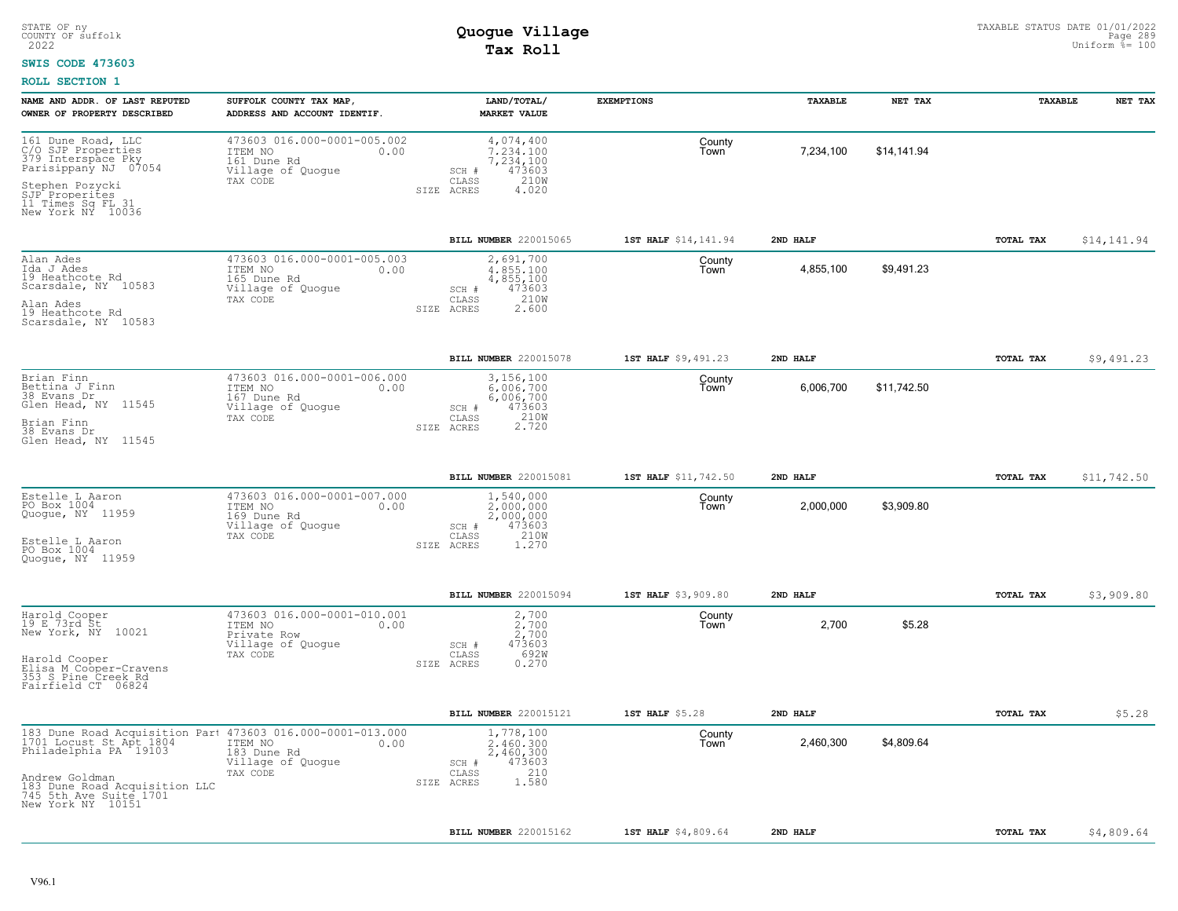### **SWIS CODE 473603**

| NAME AND ADDR. OF LAST REPUTED<br>OWNER OF PROPERTY DESCRIBED                                                                                                                                                                | SUFFOLK COUNTY TAX MAP,<br>ADDRESS AND ACCOUNT IDENTIF.                                        | LAND/TOTAL/<br><b>MARKET VALUE</b>                                                                 | <b>EXEMPTIONS</b>    | TAXABLE   | NET TAX     | TAXABLE   | NET TAX     |
|------------------------------------------------------------------------------------------------------------------------------------------------------------------------------------------------------------------------------|------------------------------------------------------------------------------------------------|----------------------------------------------------------------------------------------------------|----------------------|-----------|-------------|-----------|-------------|
| 161 Dune Road, LLC<br>C/O SJP Properties<br>379 Interspace Pky<br>Parisippany NJ 07054<br>Stephen Pozycki<br>SJP Properites<br>11 Times Sq FL 31<br>New York NY 10036                                                        | 473603 016.000-0001-005.002<br>ITEM NO<br>0.00<br>161 Dune Rd<br>Village of Quogue<br>TAX CODE | 4,074,400<br>7.234.100<br>7,234,100<br>473603<br>SCH #<br>210W<br>CLASS<br>SIZE ACRES<br>4.020     | County<br>Town       | 7,234,100 | \$14,141.94 |           |             |
|                                                                                                                                                                                                                              |                                                                                                | BILL NUMBER 220015065                                                                              | 1ST HALF \$14,141.94 | 2ND HALF  |             | TOTAL TAX | \$14,141.94 |
| Alan Ades<br>Ida J Ades<br>19 Heathcote Rd<br>Scarsdale, NY 10583<br>Alan Ades<br>19 Heathcote Rd<br>Scarsdale, NY 10583                                                                                                     | 473603 016.000-0001-005.003<br>ITEM NO<br>0.00<br>165 Dune Rd<br>Village of Quogue<br>TAX CODE | 2,691,700<br>4.855.100<br>4,855,100<br>473603<br>SCH #<br>210W<br>CLASS<br>SIZE ACRES<br>2.600     | County<br>Town       | 4,855,100 | \$9,491.23  |           |             |
|                                                                                                                                                                                                                              |                                                                                                | BILL NUMBER 220015078                                                                              | 1ST HALF \$9,491.23  | 2ND HALF  |             | TOTAL TAX | \$9,491.23  |
| Brian Finn<br>Bettina J Finn<br>38 Evans Dr<br>Glen Head, NY 11545<br>Brian Finn<br>38 Evans Dr<br>Glen Head, NY 11545                                                                                                       | 473603 016.000-0001-006.000<br>ITEM NO<br>0.00<br>167 Dune Rd<br>Village of Quogue<br>TAX CODE | 3,156,100<br>6,006,700<br>6,006,700<br>473603<br>SCH #<br>CLASS<br>210W<br>SIZE ACRES              | County<br>Town       | 6,006,700 | \$11,742.50 |           |             |
|                                                                                                                                                                                                                              |                                                                                                | BILL NUMBER 220015081                                                                              | 1ST HALF \$11,742.50 | 2ND HALF  |             | TOTAL TAX | \$11,742.50 |
| Estelle L Aaron<br>PO Box 1004<br>Quoque, NY 11959<br>Estelle L Aaron<br>PO Box 1004<br>Quoque, NY 11959                                                                                                                     | 473603 016.000-0001-007.000<br>ITEM NO<br>0.00<br>169 Dune Rd<br>Village of Quogue<br>TAX CODE | 1,540,000<br>$2,000,000$<br>$2,000,000$<br>473603<br>SCH #<br>210W<br>CLASS<br>1.270<br>SIZE ACRES | County<br>Town       | 2,000,000 | \$3,909.80  |           |             |
|                                                                                                                                                                                                                              |                                                                                                | BILL NUMBER 220015094                                                                              | 1ST HALF \$3,909.80  | 2ND HALF  |             | TOTAL TAX | \$3,909.80  |
| Harold Cooper<br>19 E 73rd St<br>New York, NY 10021<br>Harold Cooper<br>Elisa M Cooper-Cravens<br>353 S Pine Creek Rd<br>Fairfield CT 06824                                                                                  | 473603 016.000-0001-010.001<br>ITEM NO<br>0.00<br>Private Row<br>Village of Quogue<br>TAX CODE | 2,700<br>2,700<br>2,700<br>473603<br>SCH #<br>692W<br>CLASS<br>SIZE ACRES<br>0.270                 | County<br>Town       | 2,700     | \$5.28      |           |             |
|                                                                                                                                                                                                                              |                                                                                                | BILL NUMBER 220015121                                                                              | 1ST HALF \$5.28      | 2ND HALF  |             | TOTAL TAX | \$5.28      |
| 183 Dune Road Acquisition Part 473603 016.000-0001-013.000<br>1701 Locust St Apt 1804<br>Philadelphia PA 19103 183 Dune Rd<br>Andrew Goldman<br>183 Dune Road Acquisition LLC<br>745 5th Ave Suite 1701<br>New York NY 10151 | 183 Dune Rd<br>Village of Quogue<br>TAX CODE                                                   | 1,778,100<br>2,460,300<br>2,460,300<br>473603<br>SCH #<br>210<br>CLASS<br>1.580<br>SIZE ACRES      | County<br>Town       | 2,460,300 | \$4,809.64  |           |             |
|                                                                                                                                                                                                                              |                                                                                                | BILL NUMBER 220015162                                                                              | 1ST HALF \$4,809.64  | 2ND HALF  |             | TOTAL TAX | \$4,809.64  |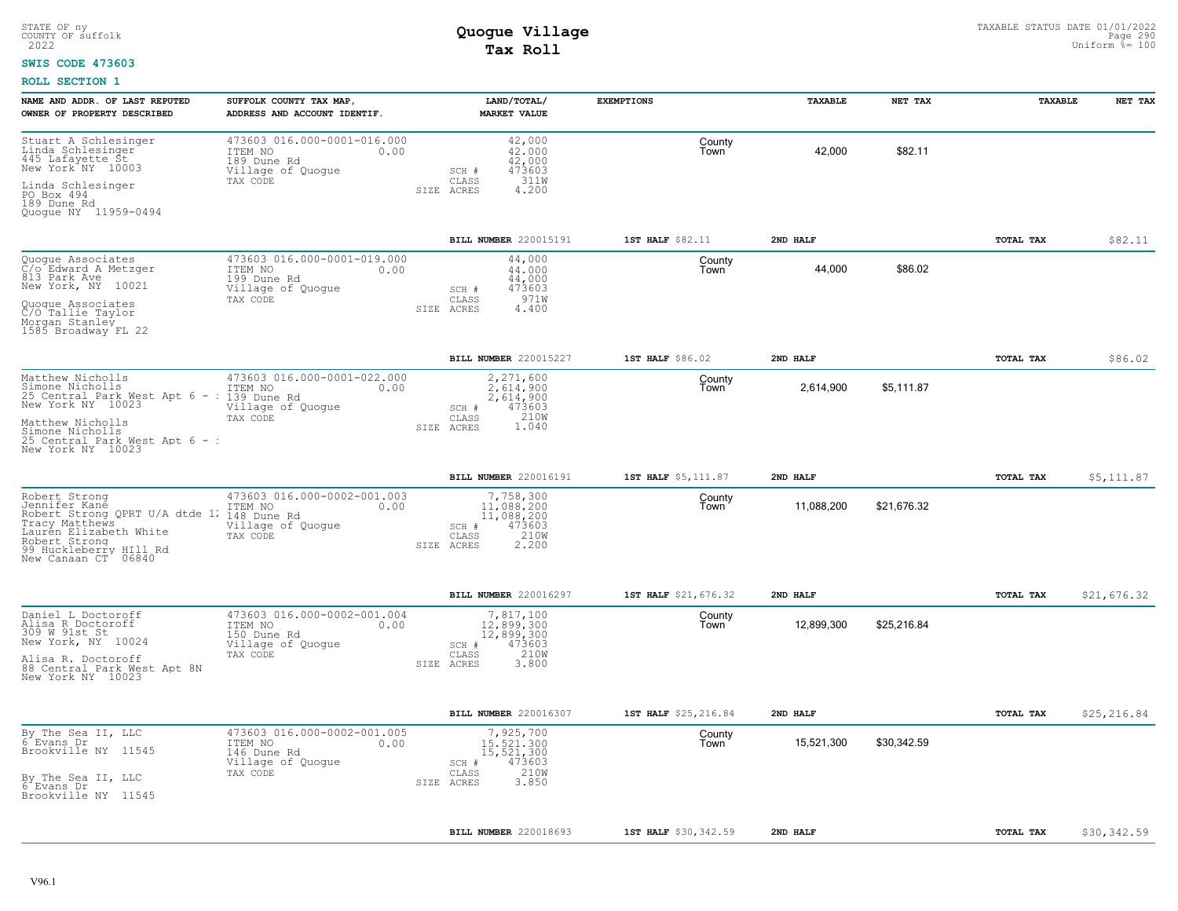#### **SWIS CODE 473603**

| NAME AND ADDR. OF LAST REPUTED<br>OWNER OF PROPERTY DESCRIBED                                                                                                                              | SUFFOLK COUNTY TAX MAP,<br>ADDRESS AND ACCOUNT IDENTIF.                                        | LAND/TOTAL/<br><b>MARKET VALUE</b>                                                               | <b>EXEMPTIONS</b>    | TAXABLE    | NET TAX     | <b>TAXABLE</b>   | NET TAX     |
|--------------------------------------------------------------------------------------------------------------------------------------------------------------------------------------------|------------------------------------------------------------------------------------------------|--------------------------------------------------------------------------------------------------|----------------------|------------|-------------|------------------|-------------|
| Stuart A Schlesinger<br>Linda Schlesinger<br>445 Lafayette St.<br>New York <sup>+</sup> NY 10003                                                                                           | 473603 016.000-0001-016.000<br>ITEM NO<br>0.00<br>189 Dune Rd<br>Village of Quogue             | 42,000<br>42,000<br>42,000<br>473603<br>SCH #                                                    | County<br>Town       | 42,000     | \$82.11     |                  |             |
| Linda Schlesinger<br>PO Box 494<br>189 Dune Rd<br>Quoque NY 11959-0494                                                                                                                     | TAX CODE                                                                                       | 311W<br>CLASS<br>4.200<br>SIZE ACRES                                                             |                      |            |             |                  |             |
|                                                                                                                                                                                            |                                                                                                | BILL NUMBER 220015191                                                                            | 1ST HALF \$82.11     | 2ND HALF   |             | TOTAL TAX        | \$82.11     |
| Quogue Associates<br>C/o Edward A Metzger<br>813 Park Ave<br>New York, NY 10021                                                                                                            | 473603 016.000-0001-019.000<br>ITEM NO<br>0.00<br>199 Dune Rd<br>Village of Quogue<br>TAX CODE | 44,000<br>44,000<br>44,000<br>473603<br>SCH #<br>971W<br>CLASS<br>SIZE ACRES<br>4.400            | County<br>Town       | 44,000     | \$86.02     |                  |             |
| Quoque Associates<br>C/O Tallie Taylor<br>Morgan Stanley<br>1585 Broadway FL 22                                                                                                            |                                                                                                |                                                                                                  |                      |            |             |                  |             |
|                                                                                                                                                                                            |                                                                                                | BILL NUMBER 220015227                                                                            | 1ST HALF \$86.02     | 2ND HALF   |             | TOTAL TAX        | \$86.02     |
| Matthew Nicholls<br>Simone Nicholls<br>25 Central Park Mest Apt 6 - : 139 Dune Rd<br>New York NY 10023                                                                                     | 473603 016.000-0001-022.000<br>0.00<br>Village of Quogue                                       | 2,271,600<br>2.614.900<br>2,614,900<br>SCH #<br>473603                                           | County<br>Town       | 2,614,900  | \$5.111.87  |                  |             |
| Matthew Nicholls<br>Simone Nicholls<br>25 Central Park West Apt 6 - :<br>New York NY 10023                                                                                                 | TAX CODE                                                                                       | 210W<br>CLASS<br>SIZE ACRES<br>1.040                                                             |                      |            |             |                  |             |
|                                                                                                                                                                                            |                                                                                                | BILL NUMBER 220016191                                                                            | 1ST HALF \$5,111.87  | 2ND HALF   |             | <b>TOTAL TAX</b> | \$5,111.87  |
| Robert Strong<br>Jennifer Kané<br>Robert Strong QPRT U/A dtde 1. 148 Dune Rd<br>Tracy Matthews<br>Lauren Elizabeth White<br>Robert Strong<br>99 Huckleberry HIll Rd<br>New Canaan CT 06840 | 473603 016.000-0002-001.003<br>0.00<br>Village of Quogue<br>TAX CODE                           | 7,758,300<br>11,088,200<br>11,088,200<br>473603<br>SCH #<br>210W<br>CLASS<br>SIZE ACRES<br>2.200 | County<br>Town       | 11,088,200 | \$21,676.32 |                  |             |
|                                                                                                                                                                                            |                                                                                                | BILL NUMBER 220016297                                                                            | 1ST HALF \$21,676.32 | 2ND HALF   |             | TOTAL TAX        | \$21,676.32 |
| Daniel L Doctoroff<br>Alisa R Doctoroff<br>309 W 91st St<br>New York, NY 10024                                                                                                             | 473603 016.000-0002-001.004<br>ITEM NO<br>0.00<br>150 Dune Rd<br>Village of Quogue<br>TAX CODE | 7,817,100<br>12,899,300<br>$12,899,300$<br>$473603$<br>$SCH$ #<br>210W<br>CLASS                  | County<br>Town       | 12,899,300 | \$25,216.84 |                  |             |
| Alisa R. Doctoroff<br>88 Central Park West Apt 8N<br>New York NY 10023                                                                                                                     |                                                                                                | SIZE ACRES<br>3.800                                                                              |                      |            |             |                  |             |
|                                                                                                                                                                                            |                                                                                                | BILL NUMBER 220016307                                                                            | 1ST HALF \$25,216.84 | 2ND HALF   |             | TOTAL TAX        | \$25,216.84 |
| By The Sea II, LLC<br>6 Evans Dr<br>Brookville NY 11545                                                                                                                                    | 473603 016.000-0002-001.005<br>ITEM NO<br>0.00<br>146 Dune Rd<br>Village of Quogue<br>TAX CODE | 7,925,700<br>15,521,300<br>15,521,300<br>473603<br>$SCH$ $#$<br>210W<br>CLASS                    | County<br>Town       | 15,521,300 | \$30,342.59 |                  |             |
| By The Sea II, LLC<br>6 Evans Dr<br>Brookville NY 11545                                                                                                                                    |                                                                                                | 3.850<br>SIZE ACRES                                                                              |                      |            |             |                  |             |
|                                                                                                                                                                                            |                                                                                                | BILL NUMBER 220018693                                                                            | 1ST HALF \$30,342.59 | 2ND HALF   |             | <b>TOTAL TAX</b> | \$30,342.59 |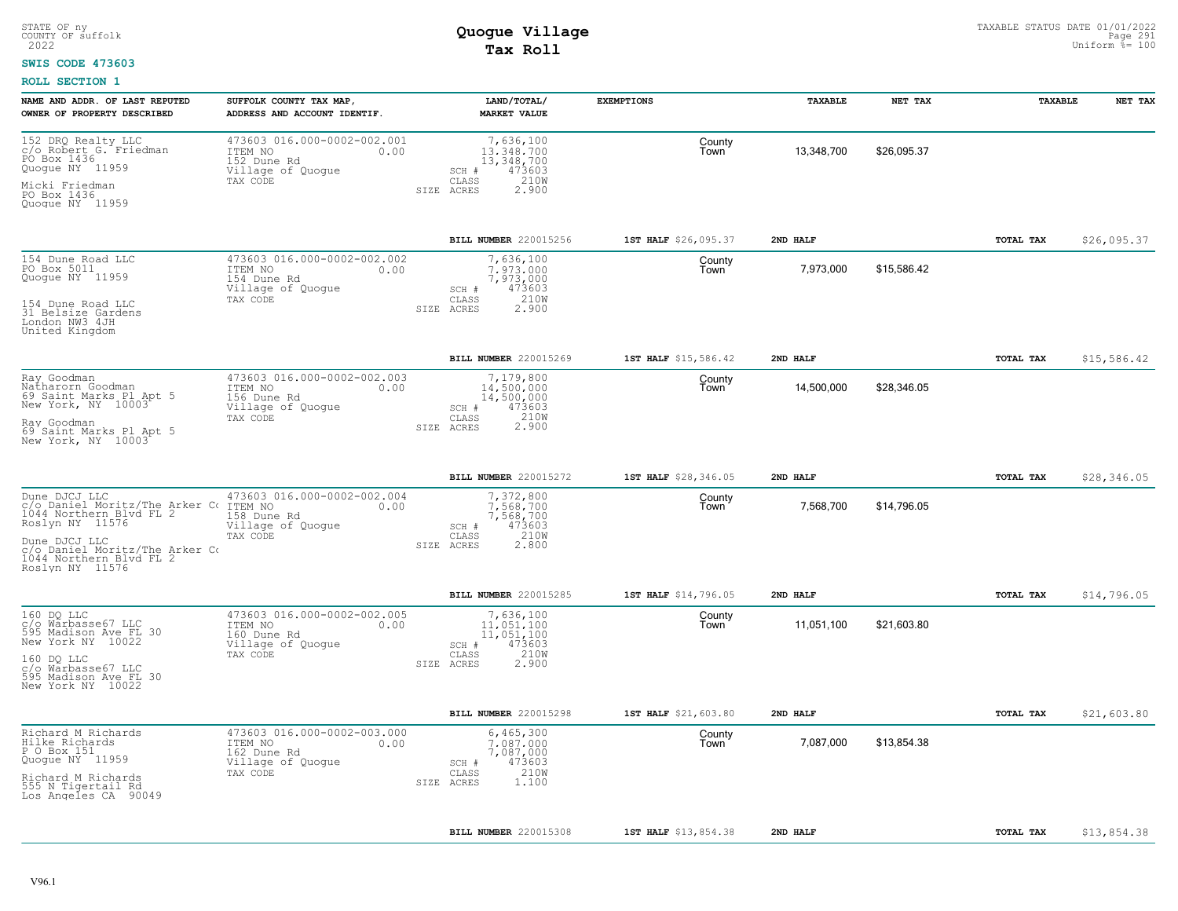#### **SWIS CODE 473603**

| NAME AND ADDR. OF LAST REPUTED<br>OWNER OF PROPERTY DESCRIBED                                                   | SUFFOLK COUNTY TAX MAP,<br>ADDRESS AND ACCOUNT IDENTIF.                                        | LAND/TOTAL/<br><b>MARKET VALUE</b>                                                               | <b>EXEMPTIONS</b>    | TAXABLE    | NET TAX     | <b>TAXABLE</b>   | NET TAX     |
|-----------------------------------------------------------------------------------------------------------------|------------------------------------------------------------------------------------------------|--------------------------------------------------------------------------------------------------|----------------------|------------|-------------|------------------|-------------|
| 152 DRQ Realty LLC<br>c/o Robert G. Friedman<br>PO Box 1436<br>Quogue NY 11959<br>Micki Friedman<br>PO Box 1436 | 473603 016.000-0002-002.001<br>ITEM NO<br>0.00<br>152 Dune Rd<br>Village of Quogue<br>TAX CODE | 7,636,100<br>13,348,700<br>13,348,700<br>473603<br>SCH #<br>210W<br>CLASS<br>SIZE ACRES<br>2.900 | County<br>Town       | 13,348,700 | \$26,095.37 |                  |             |
| Quogue NY 11959                                                                                                 |                                                                                                |                                                                                                  |                      |            |             |                  |             |
|                                                                                                                 |                                                                                                | <b>BILL NUMBER 220015256</b>                                                                     | 1ST HALF \$26,095.37 | 2ND HALF   |             | TOTAL TAX        | \$26,095.37 |
| 154 Dune Road LLC<br>PO Box 5011<br>Quogue NY 11959                                                             | 473603 016.000-0002-002.002<br>ITEM NO<br>0.00<br>154 Dune Rd<br>Village of Quogue             | 7,636,100<br>7.973.000<br>7,973,000<br>473603<br>SCH #                                           | County<br>Iown       | 7,973,000  | \$15,586.42 |                  |             |
| 154 Dune Road LLC<br>31 Belsize Gardens<br>London NW3 4JH<br>United Kingdom                                     | TAX CODE                                                                                       | 210W<br>CLASS<br>SIZE ACRES<br>2.900                                                             |                      |            |             |                  |             |
|                                                                                                                 |                                                                                                | BILL NUMBER 220015269                                                                            | 1ST HALF \$15,586.42 | 2ND HALF   |             | TOTAL TAX        | \$15,586.42 |
| Ray Goodman<br>Natharorn Goodman<br>69 Saint Marks Pl Apt 5<br>New York, NY 10003                               | 473603 016.000-0002-002.003<br>ITEM NO<br>0.00<br>156 Dune Rd<br>Village of Quogue             | 7,179,800<br>14,500,000<br>14,500,000<br>473603<br>SCH #                                         | County<br>Town       | 14,500,000 | \$28,346.05 |                  |             |
| Ray Goodman<br>69 Saint Marks Pl Apt 5<br>New York, NY 10003                                                    | TAX CODE                                                                                       | 210W<br>CLASS<br>2.900<br>SIZE ACRES                                                             |                      |            |             |                  |             |
|                                                                                                                 |                                                                                                | BILL NUMBER 220015272                                                                            | 1ST HALF \$28,346.05 | 2ND HALF   |             | <b>TOTAL TAX</b> | \$28,346.05 |
| Dune DJCJ LLC<br>c/o Daniel Moritz/The Arker Co 1044 Northern Blvd FL 2<br>Roslyn NY 11576                      | 473603 016.000-0002-002.004<br>ITEM NO<br>0.00<br>158 Dune Rd<br>Village of Quogue             | 7,372,800<br>7.568.700<br>7,568,700<br>473603<br>SCH #                                           | County<br>Town       | 7,568,700  | \$14,796.05 |                  |             |
| Dune DJCJ LLC<br>C/O Daniel Moritz/The Arker Co.<br>1044 Northern Blvd FL 2<br>Roslyn NY 11576                  | TAX CODE                                                                                       | 210W<br>CLASS<br>SIZE ACRES<br>2.800                                                             |                      |            |             |                  |             |
|                                                                                                                 |                                                                                                | <b>BILL NUMBER 220015285</b>                                                                     | 1ST HALF \$14,796.05 | 2ND HALF   |             | <b>TOTAL TAX</b> | \$14,796.05 |
| 160 DO LLC<br>c/o Warbasse67 LLC<br>595 Madison Ave FL 30<br>New York NY 10022                                  | 473603 016.000-0002-002.005<br>ITEM NO<br>0.00<br>160 Dune Rd<br>Village of Quogue             | 7,636,100<br>11,051,100<br>11,051,100<br>473603<br>SCH #                                         | County<br>Town       | 11,051,100 | \$21,603.80 |                  |             |
| 160 DQ LLC<br>c/o Warbasse67 LLC<br>595 Madison Ave FL 30<br>New York NY 10022                                  | TAX CODE                                                                                       | 210W<br>CLASS<br>2.900<br>SIZE ACRES                                                             |                      |            |             |                  |             |
|                                                                                                                 |                                                                                                | BILL NUMBER 220015298                                                                            | 1ST HALF \$21,603.80 | 2ND HALF   |             | TOTAL TAX        | \$21,603.80 |
| Richard M Richards<br>Hilke Richards<br>P O Box 151<br>Quogue NY 11959                                          | 473603 016.000-0002-003.000<br>ITEM NO<br>0.00<br>162 Dune Rd<br>Village of Quogue<br>TAX CODE | 6,465,300<br>7.087.000<br>7,087,000<br>473603<br>SCH #<br>210W<br>CLASS                          | County<br>Town       | 7,087,000  | \$13,854.38 |                  |             |
| Richard M Richards<br>555 N Tigertail Rd<br>Los Angeles CA 90049                                                |                                                                                                | 1.100<br>SIZE ACRES                                                                              |                      |            |             |                  |             |
|                                                                                                                 |                                                                                                | <b>BILL NUMBER 220015308</b>                                                                     | 1ST HALF \$13,854.38 | 2ND HALF   |             | TOTAL TAX        | \$13,854.38 |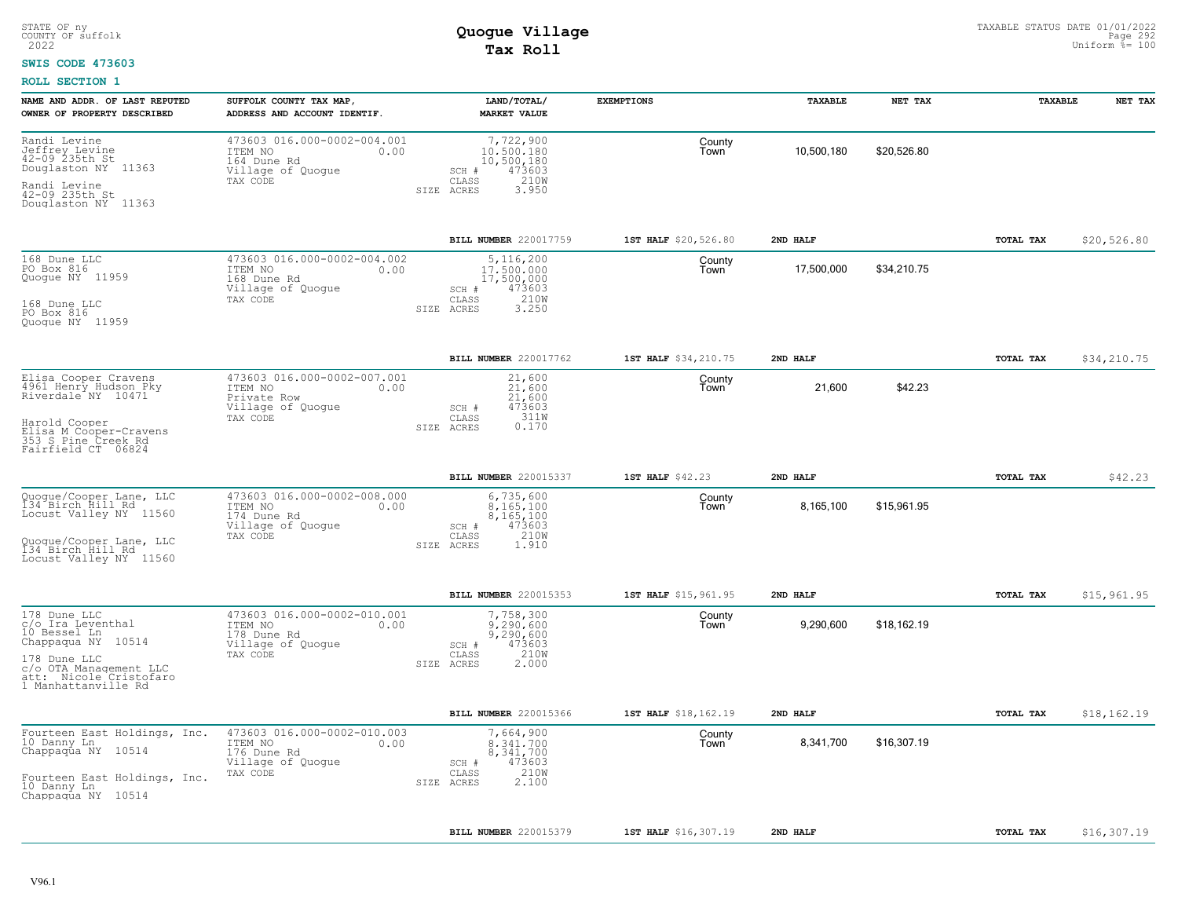#### **SWIS CODE 473603**

| NAME AND ADDR. OF LAST REPUTED<br>OWNER OF PROPERTY DESCRIBED                                                                                                            | SUFFOLK COUNTY TAX MAP,<br>ADDRESS AND ACCOUNT IDENTIF.                                        | LAND/TOTAL/<br><b>MARKET VALUE</b>                                                               | <b>EXEMPTIONS</b>    | TAXABLE    | NET TAX     | TAXABLE          | NET TAX     |
|--------------------------------------------------------------------------------------------------------------------------------------------------------------------------|------------------------------------------------------------------------------------------------|--------------------------------------------------------------------------------------------------|----------------------|------------|-------------|------------------|-------------|
| Randi Levine<br>Jeffrey Levine<br>42-09 235th St<br>Douglaston NY 11363<br>Randi Levine<br>42-09 235th St<br>Douglaston NY 11363                                         | 473603 016.000-0002-004.001<br>ITEM NO<br>0.00<br>164 Dune Rd<br>Village of Quogue<br>TAX CODE | 7,722,900<br>10,500,180<br>10,500,180<br>473603<br>SCH #<br>210W<br>CLASS<br>SIZE ACRES<br>3.950 | County<br>Town       | 10,500,180 | \$20,526.80 |                  |             |
|                                                                                                                                                                          |                                                                                                | BILL NUMBER 220017759                                                                            | 1ST HALF \$20,526.80 | 2ND HALF   |             | TOTAL TAX        | \$20,526.80 |
| 168 Dune LLC<br>PO Box 816<br>Quoque NY 11959<br>168 Dune LLC<br>PO Box 816<br>Quoque NY 11959                                                                           | 473603 016.000-0002-004.002<br>ITEM NO<br>0.00<br>168 Dune Rd<br>Village of Quogue<br>TAX CODE | 5,116,200<br>17,500,000<br>17,500,000<br>473603<br>SCH #<br>210W<br>CLASS<br>3.250<br>SIZE ACRES | County<br>Town       | 17,500,000 | \$34,210.75 |                  |             |
|                                                                                                                                                                          |                                                                                                | BILL NUMBER 220017762                                                                            | 1ST HALF \$34,210.75 | 2ND HALF   |             | TOTAL TAX        | \$34,210.75 |
| Elisa Cooper Cravens<br>4961 Henry Hudson Pky<br>Riverdale <sup>-</sup> NY 10471<br>Harold Cooper<br>Elisa M Cooper-Cravens<br>353 S Pine Creek Rd<br>Fairfield CT 06824 | 473603 016.000-0002-007.001<br>ITEM NO<br>0.00<br>Private Row<br>Village of Quogue<br>TAX CODE | 21,600<br>21,600<br>21,600<br>473603<br>$SCH$ $#$<br>311W<br>CLASS<br>0.170<br>SIZE ACRES        | County<br>Town       | 21,600     | \$42.23     |                  |             |
|                                                                                                                                                                          |                                                                                                | BILL NUMBER 220015337                                                                            | 1ST HALF \$42.23     | 2ND HALF   |             | TOTAL TAX        | \$42.23     |
| Quogue/Cooper Lane, LLC<br>134 Birch Hill Rd<br>Locust Valley NY 11560<br>Quoque/Cooper Lane, LLC<br>134 Birch Hill Rd<br>Locust Valley NY 11560                         | 473603 016.000-0002-008.000<br>ITEM NO<br>0.00<br>174 Dune Rd<br>Village of Quogue<br>TAX CODE | 6,735,600<br>8.165.100<br>8,165,100<br>473603<br>SCH #<br>210W<br>CLASS<br>1.910<br>SIZE ACRES   | County<br>Town       | 8,165,100  | \$15,961.95 |                  |             |
|                                                                                                                                                                          |                                                                                                | BILL NUMBER 220015353                                                                            | 1ST HALF \$15,961.95 | 2ND HALF   |             | TOTAL TAX        | \$15,961.95 |
| 178 Dune LLC<br>c/o Ira Leventhal<br>10 Bessel Ln<br>Chappaqua NY 10514<br>178 Dune LLC<br>c/o OTA Management LLC<br>att: Nicole Cristofaro<br>1 Manhattanville Rd       | 473603 016.000-0002-010.001<br>ITEM NO<br>0.00<br>178 Dune Rd<br>Village of Quoque<br>TAX CODE | 7,758,300<br>9,290,600<br>9,290,600<br>473603<br>SCH #<br>210W<br>CLASS<br>SIZE ACRES<br>2,000   | County<br>Town       | 9,290,600  | \$18,162.19 |                  |             |
|                                                                                                                                                                          |                                                                                                | BILL NUMBER 220015366                                                                            | 1ST HALF \$18,162.19 | 2ND HALF   |             | <b>TOTAL TAX</b> | \$18,162.19 |
| Fourteen East Holdings, Inc.<br>10 Danny Ln<br>Chappaqua NY 10514<br>Fourteen East Holdings, Inc.<br>10 Danny Ln.<br>Chappaqua NY 10514                                  | 473603 016.000-0002-010.003<br>ITEM NO<br>0.00<br>176 Dune Rd<br>Village of Quogue<br>TAX CODE | 7,664,900<br>8,341,700<br>8,341,700<br>473603<br>SCH #<br>210W<br>CLASS<br>2,100<br>SIZE ACRES   | County<br>Town       | 8,341,700  | \$16,307.19 |                  |             |
|                                                                                                                                                                          |                                                                                                | BILL NUMBER 220015379                                                                            | 1ST HALF \$16,307.19 | 2ND HALF   |             | TOTAL TAX        | \$16,307.19 |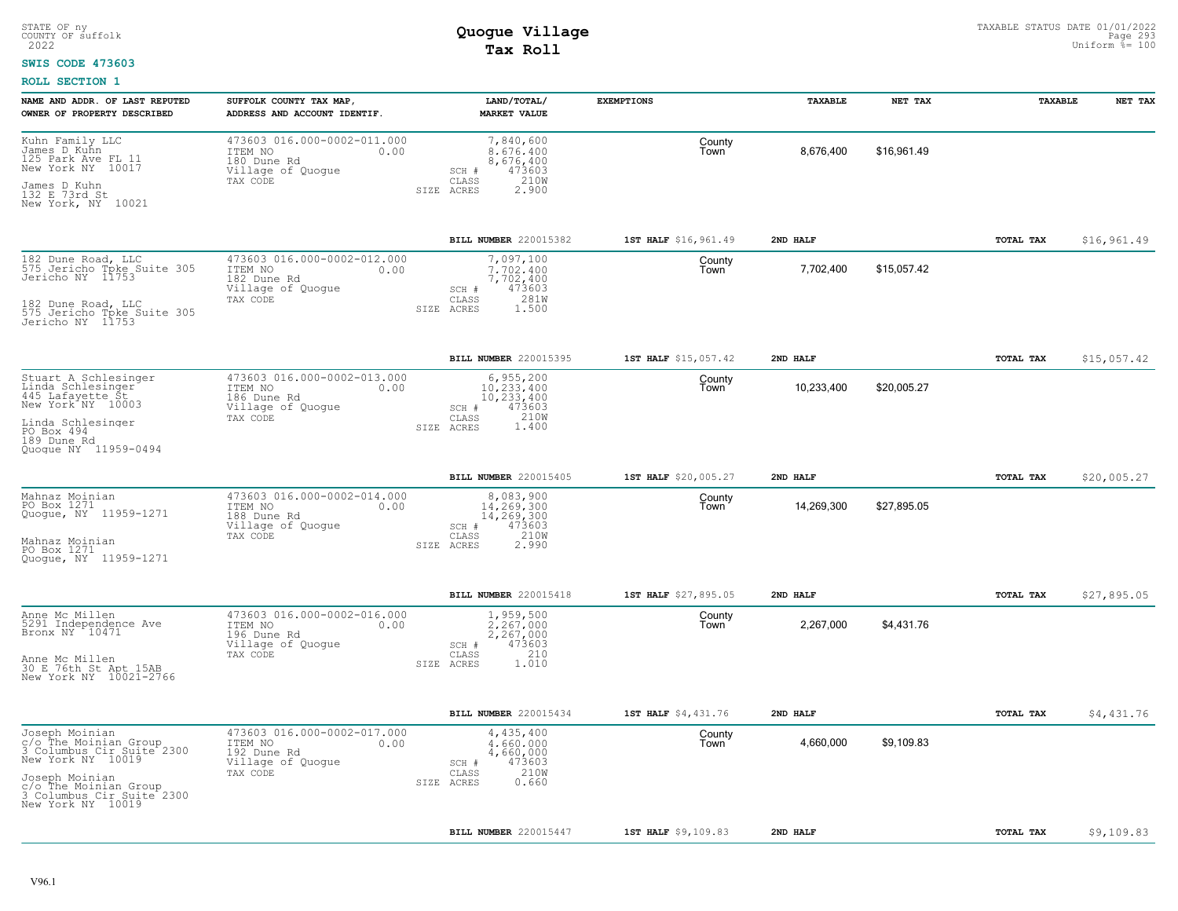#### **SWIS CODE 473603**

| NAME AND ADDR. OF LAST REPUTED<br>OWNER OF PROPERTY DESCRIBED                                                                                                                          | SUFFOLK COUNTY TAX MAP,<br>ADDRESS AND ACCOUNT IDENTIF.                                        | LAND/TOTAL/<br><b>MARKET VALUE</b>                                                               | <b>EXEMPTIONS</b>    | TAXABLE    | NET TAX     | TAXABLE   | NET TAX     |
|----------------------------------------------------------------------------------------------------------------------------------------------------------------------------------------|------------------------------------------------------------------------------------------------|--------------------------------------------------------------------------------------------------|----------------------|------------|-------------|-----------|-------------|
| Kuhn Family LLC<br>James D Kuhn<br>125 Park Ave FL 11<br>New York NY 10017<br>James D Kuhn<br>132 E 73rd St<br>New York, NY 10021                                                      | 473603 016.000-0002-011.000<br>ITEM NO<br>0.00<br>180 Dune Rd<br>Village of Quogue<br>TAX CODE | 7,840,600<br>8,676,400<br>8,676,400<br>473603<br>SCH #<br>210W<br>CLASS<br>2.900<br>SIZE ACRES   | County<br>Town       | 8,676,400  | \$16,961.49 |           |             |
|                                                                                                                                                                                        |                                                                                                | BILL NUMBER 220015382                                                                            | 1ST HALF \$16,961.49 | 2ND HALF   |             | TOTAL TAX | \$16,961.49 |
| 182 Dune Road, LLC<br>575 Jericho Tpke Suite 305<br>Jericho NY 11753<br>182 Dune Road, LLC<br>575 Jericho Tpke Suite 305<br>Jericho NY 11753                                           | 473603 016.000-0002-012.000<br>ITEM NO<br>0.00<br>182 Dune Rd<br>Village of Quogue<br>TAX CODE | 7,097,100<br>7.702.400<br>7,702,400<br>473603<br>SCH #<br>281W<br>CLASS<br>SIZE ACRES<br>1.500   | County<br>Town       | 7,702,400  | \$15,057.42 |           |             |
|                                                                                                                                                                                        |                                                                                                | BILL NUMBER 220015395                                                                            | 1ST HALF \$15,057.42 | 2ND HALF   |             | TOTAL TAX | \$15,057.42 |
| Stuart A Schlesinger<br>Linda Schlesinger<br>445 Lafayette St<br>New York <sup>"</sup> NY 10003<br>Linda Schlesinger<br>PO Box 494<br>189 Dune Rd<br>Quoque NY 11959-0494              | 473603 016.000-0002-013.000<br>0.00<br>ITEM NO<br>186 Dune Rd<br>Village of Quogue<br>TAX CODE | 6,955,200<br>10,233,400<br>10,233,400<br>473603<br>SCH #<br>210W<br>CLASS<br>1.400<br>SIZE ACRES | County<br>Town       | 10,233,400 | \$20,005.27 |           |             |
|                                                                                                                                                                                        |                                                                                                | BILL NUMBER 220015405                                                                            | 1ST HALF \$20,005.27 | 2ND HALF   |             | TOTAL TAX | \$20,005.27 |
| Mahnaz Moinian<br>PO Box 1271<br>Quogue, NY 11959-1271<br>Mahnaz Moinian<br>PO Box 1271<br>Quoque, NY 11959-1271                                                                       | 473603 016.000-0002-014.000<br>ITEM NO<br>0.00<br>188 Dune Rd<br>Village of Quoque<br>TAX CODE | 8,083,900<br>14,269,300<br>14,269,300<br>SCH #<br>473603<br>210W<br>CLASS<br>SIZE ACRES<br>2.990 | County<br>Town       | 14,269,300 | \$27,895.05 |           |             |
|                                                                                                                                                                                        |                                                                                                | BILL NUMBER 220015418                                                                            | 1ST HALF \$27,895.05 | 2ND HALF   |             | TOTAL TAX | \$27,895.05 |
| Anne Mc Millen<br>5291 Independence Ave<br>Bronx NY 10471<br>Anne Mc Millen<br>30 E 76th St Apt 15AB<br>New York NY 10021-2766                                                         | 473603 016.000-0002-016.000<br>ITEM NO<br>0.00<br>196 Dune Rd<br>Village of Quogue<br>TAX CODE | 1,959,500<br>2,267,000<br>2,267,000<br>473603<br>SCH #<br>210<br>CLASS<br>1.010<br>SIZE ACRES    | County<br>Town       | 2,267,000  | \$4,431.76  |           |             |
|                                                                                                                                                                                        |                                                                                                | BILL NUMBER 220015434                                                                            | 1ST HALF \$4,431.76  | 2ND HALF   |             | TOTAL TAX | \$4,431.76  |
| Joseph Moinian<br>C/O The Moinian Group<br>3 Columbus Cir Suite 2300<br>New York NY 10019<br>Joseph Moinian<br>C/O The Moinian Group<br>3 Columbus Cir Suite 2300<br>New York NY 10019 | 473603 016.000-0002-017.000<br>0.00<br>ITEM NO<br>192 Dune Rd<br>Village of Quogue<br>TAX CODE | 4,435,400<br>4,660,000<br>4,660,000<br>473603<br>SCH #<br>210W<br>CLASS<br>0.660<br>SIZE ACRES   | County<br>Town       | 4,660,000  | \$9,109.83  |           |             |
|                                                                                                                                                                                        |                                                                                                | BILL NUMBER 220015447                                                                            | 1ST HALF \$9,109.83  | 2ND HALF   |             | TOTAL TAX | \$9,109.83  |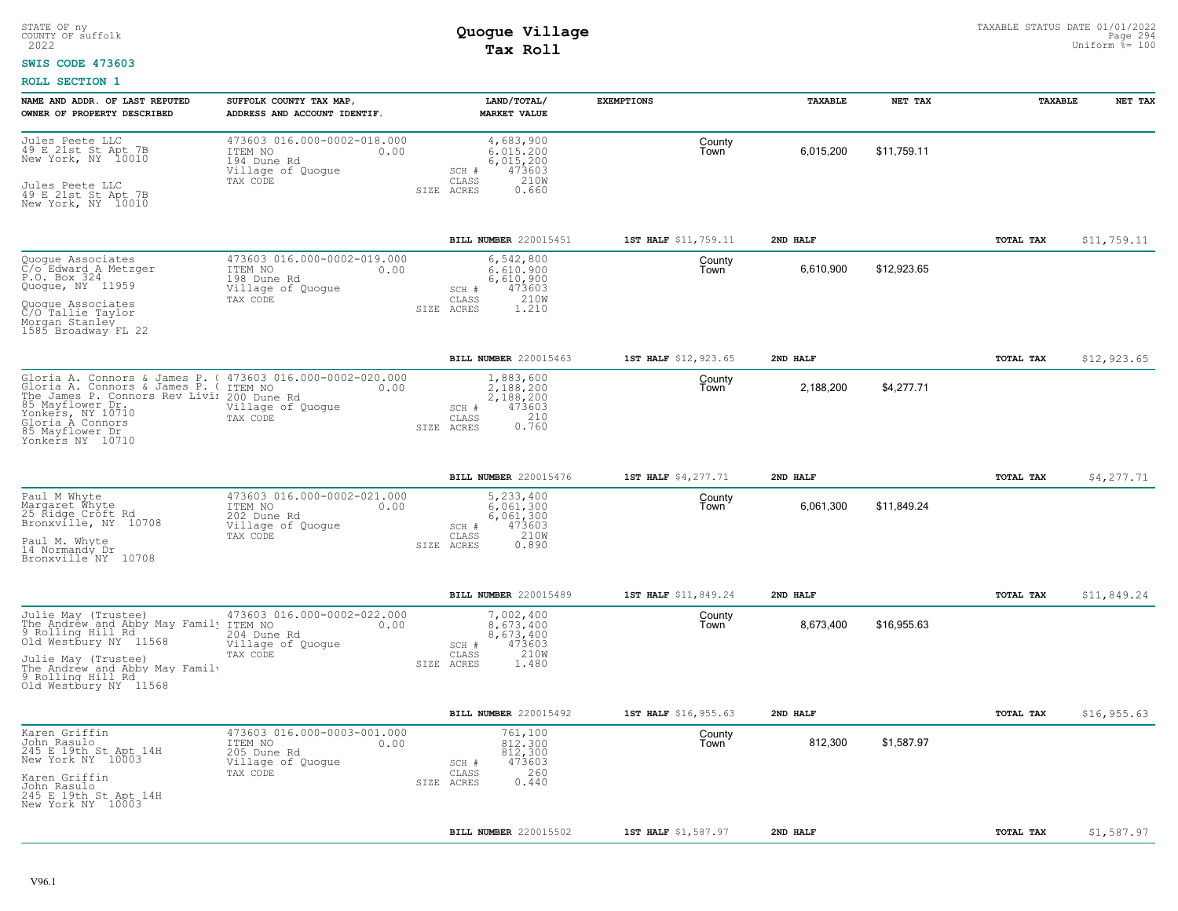#### **SWIS CODE 473603**

| NAME AND ADDR. OF LAST REPUTED<br>OWNER OF PROPERTY DESCRIBED                                                                                                                                                                                                       | SUFFOLK COUNTY TAX MAP,<br>ADDRESS AND ACCOUNT IDENTIF.                                        | LAND/TOTAL/<br><b>MARKET VALUE</b>                                                                  | <b>EXEMPTIONS</b>    | TAXABLE   | NET TAX     | TAXABLE          | NET TAX     |
|---------------------------------------------------------------------------------------------------------------------------------------------------------------------------------------------------------------------------------------------------------------------|------------------------------------------------------------------------------------------------|-----------------------------------------------------------------------------------------------------|----------------------|-----------|-------------|------------------|-------------|
| Jules Peete LLC<br>49 E 21st St Apt 7B<br>New York, NY 10010<br>Jules Peete LLC<br>49 E 21st St Apt 7B<br>New York, NY 10010                                                                                                                                        | 473603 016.000-0002-018.000<br>ITEM NO<br>0.00<br>194 Dune Rd<br>Village of Quogue<br>TAX CODE | 4,683,900<br>6.015.200<br>6,015,200<br>473603<br>SCH #<br>210W<br>CLASS<br>SIZE ACRES<br>0.660      | County<br>Town       | 6,015,200 | \$11,759.11 |                  |             |
|                                                                                                                                                                                                                                                                     |                                                                                                | BILL NUMBER 220015451                                                                               | 1ST HALF \$11,759.11 | 2ND HALF  |             | <b>TOTAL TAX</b> | \$11,759.11 |
| Quogue Associates<br>C/o Edward A Metzger<br>P.O. Box 324<br>Quoque, NY 11959<br>Quogue Associates<br>C/O Tallie Taylor<br>Morgan Stanley<br>1585 Broadway FL 22                                                                                                    | 473603 016.000-0002-019.000<br>ITEM NO<br>0.00<br>198 Dune Rd<br>Village of Quogue<br>TAX CODE | 6,542,800<br>6.610.900<br>6,610,900<br>473603<br>SCH #<br>210W<br>CLASS<br>SIZE ACRES<br>1,210      | County<br>Town       | 6,610,900 | \$12,923.65 |                  |             |
|                                                                                                                                                                                                                                                                     |                                                                                                | BILL NUMBER 220015463                                                                               | 1ST HALF \$12,923.65 | 2ND HALF  |             | TOTAL TAX        | \$12,923.65 |
| Gloria A. Connors & James P. ( 473603 016.000-0002-020.000<br>Gloria A. Connors & James P. (TTEM NO<br>The James P. Connors Rev Livii 200 Dune Rd<br>85 Mayflower Dr., village of (<br>Yonkers, NY 10710<br>Gloria A Connors<br>85 Mayflower Dr<br>Yonkers NY 10710 | 0.00<br>Village of Quogue<br>TAX CODE                                                          | 1,883,600<br>2.188.200<br>2,188,200<br>473603<br>SCH #<br>$0.210$<br>$0.760$<br>CLASS<br>SIZE ACRES | County<br>Town       | 2,188,200 | \$4,277.71  |                  |             |
|                                                                                                                                                                                                                                                                     |                                                                                                | BILL NUMBER 220015476                                                                               | 1ST HALF \$4,277.71  | 2ND HALF  |             | TOTAL TAX        | \$4,277.71  |
| Paul M Whyte<br>Margaret Whyte<br>25 Ridge Croft Rd<br>Bronxville, NY 10708<br>Paul M. Whyte<br>14 Normandy Dr<br>Bronxville NY 10708                                                                                                                               | 473603 016.000-0002-021.000<br>ITEM NO<br>0.00<br>202 Dune Rd<br>Village of Quogue<br>TAX CODE | 5,233,400<br>$6.061.300$<br>$6.061.300$<br>473603<br>SCH #<br>210W<br>CLASS<br>SIZE ACRES<br>0.890  | County<br>Town       | 6,061,300 | \$11,849.24 |                  |             |
|                                                                                                                                                                                                                                                                     |                                                                                                | <b>BILL NUMBER 220015489</b>                                                                        | 1ST HALF \$11,849.24 | 2ND HALF  |             | <b>TOTAL TAX</b> | \$11,849.24 |
| Julie May (Trustee)<br>The Andréw and Abby May Family ITEM NO<br>9 Rolling Hill Rd<br>Old Westbury NY 11568<br>Julie May (Trustee)<br>The Andrew and Abby May Family<br>9 Rolling Hill Rd<br>Old Westbury NY 11568                                                  | 473603 016.000-0002-022.000<br>0.00<br>204 Dune Rd<br>Village of Quogue<br>TAX CODE            | 7,002,400<br>8.673.400<br>8,673,400<br>473603<br>SCH #<br>210W<br>CLASS<br>SIZE ACRES<br>1.480      | County<br>Town       | 8,673,400 | \$16,955.63 |                  |             |
|                                                                                                                                                                                                                                                                     |                                                                                                | BILL NUMBER 220015492                                                                               | 1ST HALF \$16,955.63 | 2ND HALF  |             | <b>TOTAL TAX</b> | \$16,955.63 |
| Karen Griffin<br>John Rasulo<br>245 E 19th St Apt 14H<br>New York NY 10003<br>Karen Griffin<br>John Rasulo<br>245 E 19th St Apt 14H<br>New York NY 10003                                                                                                            | 473603 016.000-0003-001.000<br>ITEM NO<br>0.00<br>205 Dune Rd<br>Village of Quogue<br>TAX CODE | 761,100<br>812,300<br>812,300<br>473603<br>SCH #<br>260<br>CLASS<br>0.440<br>SIZE ACRES             | County<br>Town       | 812,300   | \$1,587.97  |                  |             |
|                                                                                                                                                                                                                                                                     |                                                                                                | BILL NUMBER 220015502                                                                               | 1ST HALF \$1,587.97  | 2ND HALF  |             | TOTAL TAX        | \$1,587.97  |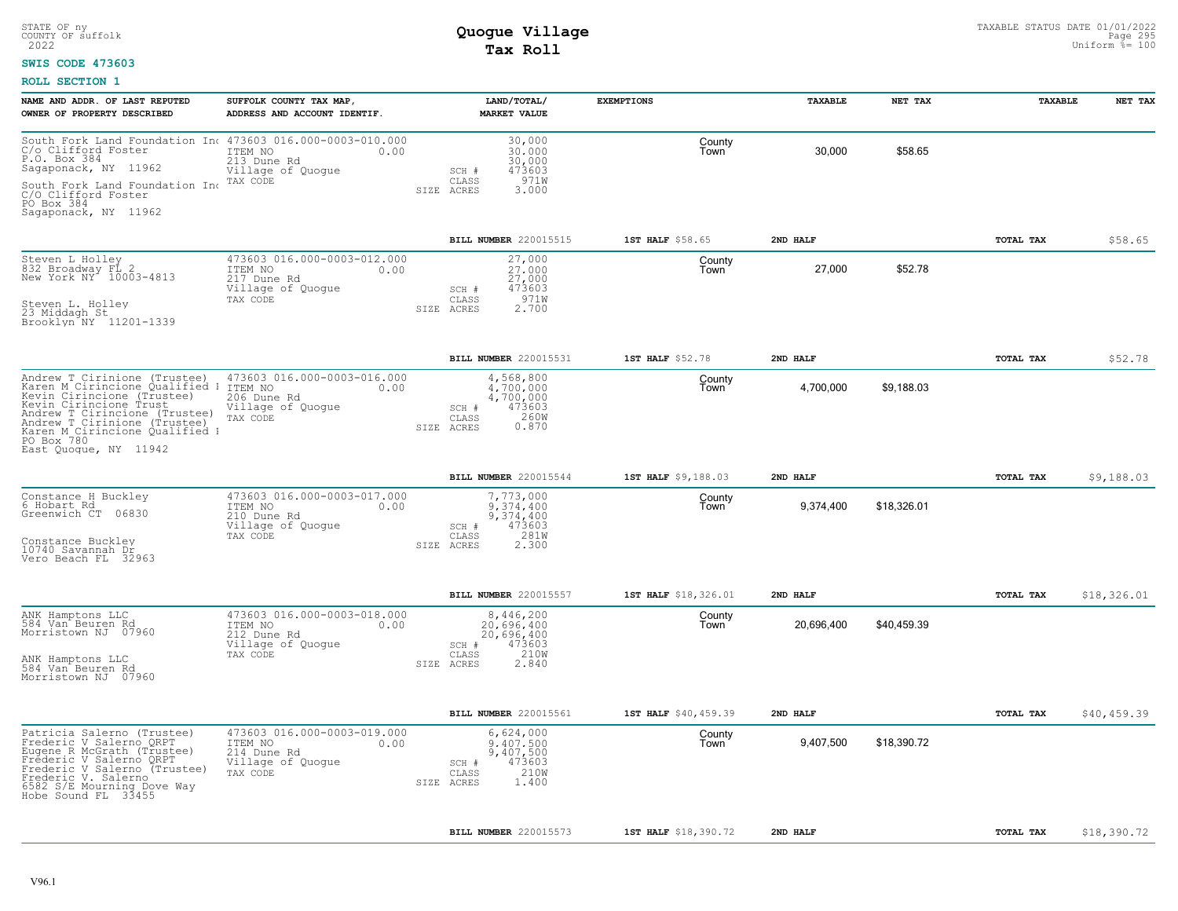### **SWIS CODE 473603**

| 30,000<br>County<br>30,000<br>\$58.65<br>30,000<br>Town<br>213 Dune Rd<br>30,000<br>Sagaponack, NY 11962<br>Village of Quogue<br>473603<br>SCH #<br>971W<br>South Fork Land Foundation In TAX CODE<br>C/O Clifford Foster<br>CLASS<br>SIZE ACRES<br>3.000<br>PO Box 384<br>Sagaponack, NY 11962<br><b>BILL NUMBER 220015515</b><br>1ST HALF \$58.65<br>2ND HALF<br>TOTAL TAX<br>473603 016.000-0003-012.000<br>Steven L Holley<br>27,000<br>County<br>832 Broadway FL 2<br>New York NY 10003-4813<br>27,000<br>\$52.78<br>ITEM NO<br>27,000<br>0.00<br>Town<br>217 Dune Rd<br>27,000<br>Village of Quogue<br>473603<br>SCH #<br>971W<br>TAX CODE<br>CLASS<br>Steven L. Holley<br>23 Middagh St<br>2,700<br>SIZE ACRES<br>Brooklyn NY 11201-1339<br>1ST HALF \$52.78<br>2ND HALF<br><b>BILL NUMBER 220015531</b><br>TOTAL TAX<br>473603 016.000-0003-016.000<br>Andrew T Cirinione (Trustee) 473603 01<br>Karen M Cirincione Qualified I ITEM NO<br>4,568,800<br>County<br>4,700,000<br>4,700,000<br>\$9,188.03<br>0.00<br>Town<br>Kevin Cirincione (Trustee)<br>206 Dune Rd<br>4,700,000<br>Kevin Cirincione Trust<br>Andrew T Cirincione (Trustee)<br>Andrew T Cirinione (Trustee)<br>Karen M Cirinione Qualified I<br>Village of Quogue<br>473603<br>SCH #<br>TAX CODE<br>$\mathtt{CLASS}$<br>260W<br>SIZE ACRES<br>0.870<br>PO Box 780<br>East Quoque, NY 11942<br>1ST HALF \$9,188.03<br>BILL NUMBER 220015544<br>2ND HALF<br>TOTAL TAX<br>473603 016.000-0003-017.000<br>7,773,000<br>Constance H Buckley<br>6 Hobart Rd<br>County<br>ITEM NO<br>9.374.400<br>9,374,400<br>\$18,326.01<br>0.00<br>Town<br>Greenwich CT 06830<br>210 Dune Rd<br>9,374,400<br>Village of Quogue<br>473603<br>SCH #<br>281W<br>TAX CODE<br>CLASS<br>Constance Buckley<br>10740 Savannah Dr<br>Vero Beach FL 32963<br>2,300<br>SIZE ACRES<br>\$18,326.01<br><b>BILL NUMBER 220015557</b><br>1ST HALF \$18,326.01<br>2ND HALF<br>TOTAL TAX<br>473603 016.000-0003-018.000<br>ANK Hamptons LLC<br>584 Van Beuren Rd<br>Morristown NJ 07960<br>8,446,200<br>County<br>ITEM NO<br>20,696,400<br>20,696,400<br>\$40,459.39<br>0.00<br>Town<br>212 Dune Rd<br>20,696,400<br>Village of Quogue<br>473603<br>$SCH$ $#$<br>210W<br>TAX CODE<br>CLASS<br>ANK Hamptons LLC<br>584 Van Beuren Rd<br>SIZE ACRES<br>2.840<br>Morristown NJ 07960<br>\$40,459.39<br>BILL NUMBER 220015561<br>1ST HALF \$40,459.39<br>2ND HALF<br>TOTAL TAX<br>473603 016.000-0003-019.000<br>6,624,000<br>Patricia Salerno (Trustee)<br>County<br>Frederic V Salerno QRPT<br>9.407.500<br>9,407,500<br>\$18,390.72<br>ITEM NO<br>0.00<br>Town<br>Eugene R McGrath (Trustee)<br>Frederic V Salerno QRPT<br>214 Dune Rd<br>9,407,500<br>Village of Quogue<br>$SCH$ $#$<br>473603<br>Frederic V Salerno (Trustee)<br>Frederic V. Salerno<br>210W<br>TAX CODE<br>CLASS<br>1,400<br>SIZE ACRES<br>6582 S/E Mourning Dove Way<br>Hobe Sound FL 33455<br>2ND HALF<br>TOTAL TAX<br>BILL NUMBER 220015573<br>1ST HALF \$18,390.72 | NAME AND ADDR. OF LAST REPUTED<br>OWNER OF PROPERTY DESCRIBED | SUFFOLK COUNTY TAX MAP,<br>ADDRESS AND ACCOUNT IDENTIF. | LAND/TOTAL/<br><b>MARKET VALUE</b> | <b>EXEMPTIONS</b> | TAXABLE | NET TAX | <b>TAXABLE</b> | NET TAX     |
|----------------------------------------------------------------------------------------------------------------------------------------------------------------------------------------------------------------------------------------------------------------------------------------------------------------------------------------------------------------------------------------------------------------------------------------------------------------------------------------------------------------------------------------------------------------------------------------------------------------------------------------------------------------------------------------------------------------------------------------------------------------------------------------------------------------------------------------------------------------------------------------------------------------------------------------------------------------------------------------------------------------------------------------------------------------------------------------------------------------------------------------------------------------------------------------------------------------------------------------------------------------------------------------------------------------------------------------------------------------------------------------------------------------------------------------------------------------------------------------------------------------------------------------------------------------------------------------------------------------------------------------------------------------------------------------------------------------------------------------------------------------------------------------------------------------------------------------------------------------------------------------------------------------------------------------------------------------------------------------------------------------------------------------------------------------------------------------------------------------------------------------------------------------------------------------------------------------------------------------------------------------------------------------------------------------------------------------------------------------------------------------------------------------------------------------------------------------------------------------------------------------------------------------------------------------------------------------------------------------------------------------------------------------------------------------------------------------------------------------------------------------------------------------------------------------------------------------------------------------------------------------------------------------------------------------------------------------------------|---------------------------------------------------------------|---------------------------------------------------------|------------------------------------|-------------------|---------|---------|----------------|-------------|
|                                                                                                                                                                                                                                                                                                                                                                                                                                                                                                                                                                                                                                                                                                                                                                                                                                                                                                                                                                                                                                                                                                                                                                                                                                                                                                                                                                                                                                                                                                                                                                                                                                                                                                                                                                                                                                                                                                                                                                                                                                                                                                                                                                                                                                                                                                                                                                                                                                                                                                                                                                                                                                                                                                                                                                                                                                                                                                                                                                            |                                                               |                                                         |                                    |                   |         |         |                |             |
|                                                                                                                                                                                                                                                                                                                                                                                                                                                                                                                                                                                                                                                                                                                                                                                                                                                                                                                                                                                                                                                                                                                                                                                                                                                                                                                                                                                                                                                                                                                                                                                                                                                                                                                                                                                                                                                                                                                                                                                                                                                                                                                                                                                                                                                                                                                                                                                                                                                                                                                                                                                                                                                                                                                                                                                                                                                                                                                                                                            |                                                               |                                                         |                                    |                   |         |         |                | \$58.65     |
|                                                                                                                                                                                                                                                                                                                                                                                                                                                                                                                                                                                                                                                                                                                                                                                                                                                                                                                                                                                                                                                                                                                                                                                                                                                                                                                                                                                                                                                                                                                                                                                                                                                                                                                                                                                                                                                                                                                                                                                                                                                                                                                                                                                                                                                                                                                                                                                                                                                                                                                                                                                                                                                                                                                                                                                                                                                                                                                                                                            |                                                               |                                                         |                                    |                   |         |         |                |             |
|                                                                                                                                                                                                                                                                                                                                                                                                                                                                                                                                                                                                                                                                                                                                                                                                                                                                                                                                                                                                                                                                                                                                                                                                                                                                                                                                                                                                                                                                                                                                                                                                                                                                                                                                                                                                                                                                                                                                                                                                                                                                                                                                                                                                                                                                                                                                                                                                                                                                                                                                                                                                                                                                                                                                                                                                                                                                                                                                                                            |                                                               |                                                         |                                    |                   |         |         |                | \$52.78     |
|                                                                                                                                                                                                                                                                                                                                                                                                                                                                                                                                                                                                                                                                                                                                                                                                                                                                                                                                                                                                                                                                                                                                                                                                                                                                                                                                                                                                                                                                                                                                                                                                                                                                                                                                                                                                                                                                                                                                                                                                                                                                                                                                                                                                                                                                                                                                                                                                                                                                                                                                                                                                                                                                                                                                                                                                                                                                                                                                                                            |                                                               |                                                         |                                    |                   |         |         |                |             |
|                                                                                                                                                                                                                                                                                                                                                                                                                                                                                                                                                                                                                                                                                                                                                                                                                                                                                                                                                                                                                                                                                                                                                                                                                                                                                                                                                                                                                                                                                                                                                                                                                                                                                                                                                                                                                                                                                                                                                                                                                                                                                                                                                                                                                                                                                                                                                                                                                                                                                                                                                                                                                                                                                                                                                                                                                                                                                                                                                                            |                                                               |                                                         |                                    |                   |         |         |                | \$9,188.03  |
|                                                                                                                                                                                                                                                                                                                                                                                                                                                                                                                                                                                                                                                                                                                                                                                                                                                                                                                                                                                                                                                                                                                                                                                                                                                                                                                                                                                                                                                                                                                                                                                                                                                                                                                                                                                                                                                                                                                                                                                                                                                                                                                                                                                                                                                                                                                                                                                                                                                                                                                                                                                                                                                                                                                                                                                                                                                                                                                                                                            |                                                               |                                                         |                                    |                   |         |         |                |             |
|                                                                                                                                                                                                                                                                                                                                                                                                                                                                                                                                                                                                                                                                                                                                                                                                                                                                                                                                                                                                                                                                                                                                                                                                                                                                                                                                                                                                                                                                                                                                                                                                                                                                                                                                                                                                                                                                                                                                                                                                                                                                                                                                                                                                                                                                                                                                                                                                                                                                                                                                                                                                                                                                                                                                                                                                                                                                                                                                                                            |                                                               |                                                         |                                    |                   |         |         |                |             |
|                                                                                                                                                                                                                                                                                                                                                                                                                                                                                                                                                                                                                                                                                                                                                                                                                                                                                                                                                                                                                                                                                                                                                                                                                                                                                                                                                                                                                                                                                                                                                                                                                                                                                                                                                                                                                                                                                                                                                                                                                                                                                                                                                                                                                                                                                                                                                                                                                                                                                                                                                                                                                                                                                                                                                                                                                                                                                                                                                                            |                                                               |                                                         |                                    |                   |         |         |                |             |
|                                                                                                                                                                                                                                                                                                                                                                                                                                                                                                                                                                                                                                                                                                                                                                                                                                                                                                                                                                                                                                                                                                                                                                                                                                                                                                                                                                                                                                                                                                                                                                                                                                                                                                                                                                                                                                                                                                                                                                                                                                                                                                                                                                                                                                                                                                                                                                                                                                                                                                                                                                                                                                                                                                                                                                                                                                                                                                                                                                            |                                                               |                                                         |                                    |                   |         |         |                |             |
|                                                                                                                                                                                                                                                                                                                                                                                                                                                                                                                                                                                                                                                                                                                                                                                                                                                                                                                                                                                                                                                                                                                                                                                                                                                                                                                                                                                                                                                                                                                                                                                                                                                                                                                                                                                                                                                                                                                                                                                                                                                                                                                                                                                                                                                                                                                                                                                                                                                                                                                                                                                                                                                                                                                                                                                                                                                                                                                                                                            |                                                               |                                                         |                                    |                   |         |         |                |             |
|                                                                                                                                                                                                                                                                                                                                                                                                                                                                                                                                                                                                                                                                                                                                                                                                                                                                                                                                                                                                                                                                                                                                                                                                                                                                                                                                                                                                                                                                                                                                                                                                                                                                                                                                                                                                                                                                                                                                                                                                                                                                                                                                                                                                                                                                                                                                                                                                                                                                                                                                                                                                                                                                                                                                                                                                                                                                                                                                                                            |                                                               |                                                         |                                    |                   |         |         |                | \$18,390.72 |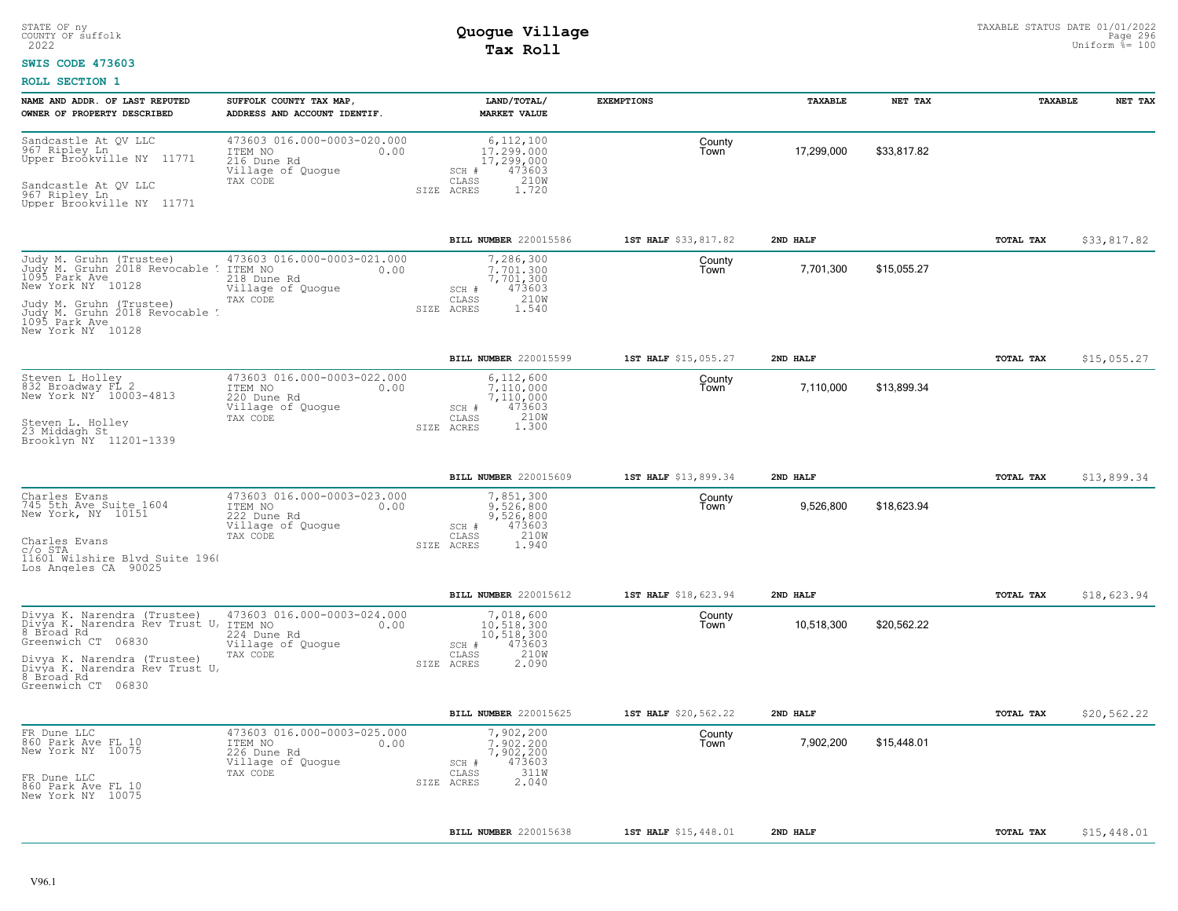### **SWIS CODE 473603**

| NAME AND ADDR. OF LAST REPUTED<br>OWNER OF PROPERTY DESCRIBED                                                                                                                                             | SUFFOLK COUNTY TAX MAP<br>ADDRESS AND ACCOUNT IDENTIF.                                         | LAND/TOTAL/<br><b>MARKET VALUE</b>                                                                 | <b>EXEMPTIONS</b>    | TAXABLE    | NET TAX     | TAXABLE   | NET TAX     |
|-----------------------------------------------------------------------------------------------------------------------------------------------------------------------------------------------------------|------------------------------------------------------------------------------------------------|----------------------------------------------------------------------------------------------------|----------------------|------------|-------------|-----------|-------------|
| Sandcastle At QV LLC<br>967 Ripley Ln<br>Upper Broökville NY 11771<br>Sandcastle At QV LLC<br>967 Ripley Ln<br>Upper Brookville NY 11771                                                                  | 473603 016.000-0003-020.000<br>ITEM NO<br>0.00<br>216 Dune Rd<br>Village of Quogue<br>TAX CODE | 6, 112, 100<br>17.299.000<br>17,299,000<br>473603<br>SCH #<br>CLASS<br>210W<br>1.720<br>SIZE ACRES | County<br>Town       | 17,299,000 | \$33.817.82 |           |             |
|                                                                                                                                                                                                           |                                                                                                | BILL NUMBER 220015586                                                                              | 1ST HALF \$33,817.82 | 2ND HALF   |             | TOTAL TAX | \$33,817.82 |
| Judy M. Gruhn (Trustee)<br>Judy M. Gruhn 2018 Revocable<br>1095 Park Ave<br>New York NY 10128<br>Judy M. Gruhn (Trustee)<br>Judy M. Gruhn 2018 Revocable<br>1095 Park Ave<br>New York NY 10128            | 473603 016.000-0003-021.000<br>ITEM NO<br>0.00<br>218 Dune Rd<br>Village of Quogue<br>TAX CODE | 7,286,300<br>7.701.300<br>7,701,300<br>473603<br>SCH #<br>210W<br>CLASS<br>1.540<br>ACRES<br>SIZE  | County<br>Town       | 7,701,300  | \$15,055.27 |           |             |
|                                                                                                                                                                                                           |                                                                                                | BILL NUMBER 220015599                                                                              | 1ST HALF \$15,055.27 | 2ND HALF   |             | TOTAL TAX | \$15,055.27 |
| Steven L Holley<br>832 Broadway FL 2<br>New York NY 10003-4813<br>Steven L. Holley<br>23 Middagh St<br>Brooklyn NY 11201-1339                                                                             | 473603 016.000-0003-022.000<br>ITEM NO<br>0.00<br>220 Dune Rd<br>Village of Quoque<br>TAX CODE | 6,112,600<br>7.110.000<br>7,110,000<br>SCH #<br>473603<br>210W<br>CLASS<br>1.300<br>SIZE ACRES     | County<br>Town       | 7,110,000  | \$13,899.34 |           |             |
|                                                                                                                                                                                                           |                                                                                                | <b>BILL NUMBER 220015609</b>                                                                       | 1ST HALF \$13,899.34 | 2ND HALF   |             | TOTAL TAX | \$13,899.34 |
| Charles Evans<br>745 5th Ave Suite 1604<br>New York, NY 10151<br>Charles Evans<br>$C/O$ STA<br>11601 Wilshire Blvd Suite 1960<br>Los Angeles CA 90025                                                     | 473603 016.000-0003-023.000<br>ITEM NO<br>0.00<br>222 Dune Rd<br>Village of Quogue<br>TAX CODE | 7,851,300<br>9.526.800<br>9,526,800<br>473603<br>SCH #<br>210W<br>CLASS<br>1.940<br>SIZE ACRES     | County<br>Town       | 9,526,800  | \$18,623.94 |           |             |
|                                                                                                                                                                                                           |                                                                                                | <b>BILL NUMBER 220015612</b>                                                                       | 1ST HALF \$18,623.94 | 2ND HALF   |             | TOTAL TAX | \$18,623.94 |
| Divya K. Narendra (Trustee)<br>Divya K. Narendra Rev Trust U,<br>8 Broad Rd<br>Greenwich CT 06830<br>Divya K. Narendra (Trustee)<br>Divya K. Narendra Rev Trust U,<br>8 Broad Rd<br>Greenwich CT<br>06830 | 473603 016.000-0003-024.000<br>ITEM NO<br>0.00<br>224 Dune Rd<br>Village of Quogue<br>TAX CODE | 7,018,600<br>10,518,300<br>10,518,300<br>473603<br>SCH #<br>210W<br>CLASS<br>2.090<br>SIZE ACRES   | County<br>Town       | 10,518,300 | \$20,562.22 |           |             |
|                                                                                                                                                                                                           |                                                                                                | BILL NUMBER 220015625                                                                              | 1ST HALF \$20,562.22 | 2ND HALF   |             | TOTAL TAX | \$20,562.22 |
| FR Dune LLC<br>860 Park Ave FL 10<br>New York NY 10075<br>FR Dune LLC<br>860 Park Ave FL 10<br>New York NY 10075                                                                                          | 473603 016.000-0003-025.000<br>ITEM NO<br>0.00<br>226 Dune Rd<br>Village of Quogue<br>TAX CODE | 7,902,200<br>7.902.200<br>7,902,200<br>473603<br>SCH #<br>311W<br>CLASS<br>2.040<br>SIZE ACRES     | County<br>Town       | 7,902,200  | \$15,448.01 |           |             |
|                                                                                                                                                                                                           |                                                                                                | <b>BILL NUMBER 220015638</b>                                                                       | 1ST HALF \$15,448.01 | 2ND HALF   |             | TOTAL TAX | \$15,448.01 |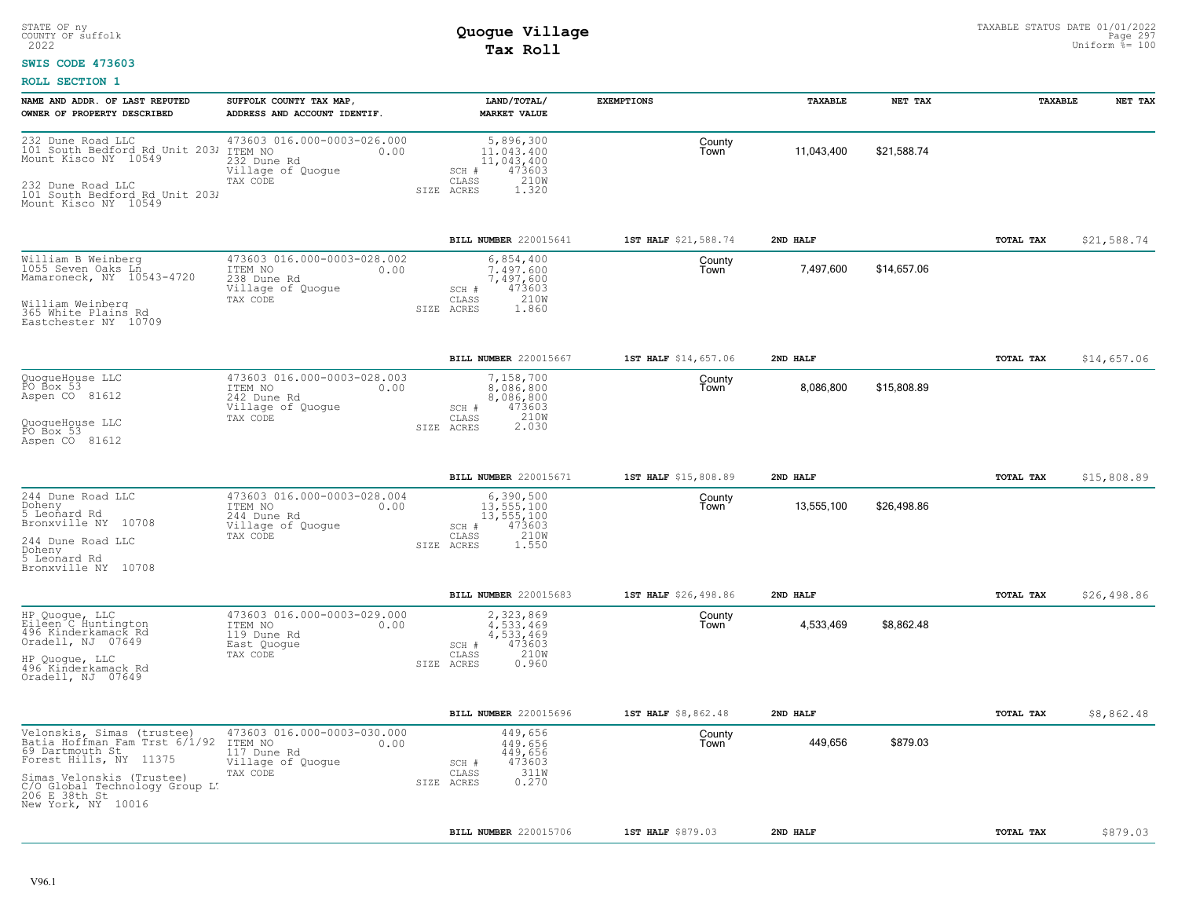### **SWIS CODE 473603**

| NAME AND ADDR. OF LAST REPUTED<br>OWNER OF PROPERTY DESCRIBED                                                                                                                                                  | SUFFOLK COUNTY TAX MAP<br>ADDRESS AND ACCOUNT IDENTIF.                                         | LAND/TOTAL/<br><b>MARKET VALUE</b>                                                                   | <b>EXEMPTIONS</b>    | TAXABLE    | NET TAX     | TAXABLE   | NET TAX     |
|----------------------------------------------------------------------------------------------------------------------------------------------------------------------------------------------------------------|------------------------------------------------------------------------------------------------|------------------------------------------------------------------------------------------------------|----------------------|------------|-------------|-----------|-------------|
| 232 Dune Road LLC<br>101 South Bedford Rd Unit 2031<br>Mount Kisco NY 10549<br>101 South Bedford Rd Unit 2031<br>Mount Kisco NY 10549                                                                          | 473603 016.000-0003-026.000<br>ITEM NO<br>0.00<br>232 Dune Rd<br>Village of Quogue<br>TAX CODE | 5,896,300<br>11,043,400<br>11,043,400<br>473603<br>SCH #<br>210W<br>CLASS<br>1.320<br>SIZE ACRES     | County<br>Town       | 11,043,400 | \$21,588.74 |           |             |
|                                                                                                                                                                                                                |                                                                                                | BILL NUMBER 220015641                                                                                | 1ST HALF \$21,588.74 | 2ND HALF   |             | TOTAL TAX | \$21,588.74 |
| William B Weinberg<br>1055 Seven Oaks Ln<br>Mamaroneck, NY 10543-4720<br>William Weinberg<br>365 White Plains Rd<br>Eastchester NY 10709                                                                       | 473603 016.000-0003-028.002<br>0.00<br>ITEM NO<br>238 Dune Rd<br>Village of Quogue<br>TAX CODE | 6,854,400<br>7.497.600<br>7,497,600<br>SCH #<br>473603<br>210W<br>CLASS<br>1.860<br>SIZE<br>ACRES    | County<br>Town       | 7,497,600  | \$14,657.06 |           |             |
|                                                                                                                                                                                                                |                                                                                                | BILL NUMBER 220015667                                                                                | 1ST HALF \$14,657.06 | 2ND HALF   |             | TOTAL TAX | \$14,657.06 |
| QuoqueHouse LLC<br>PO Box 53<br>Aspen CO 81612<br>QuoqueHouse LLC<br>PO Box 53<br>Aspen CO 81612                                                                                                               | 473603 016.000-0003-028.003<br>ITEM NO<br>0.00<br>242 Dune Rd<br>Village of Quogue<br>TAX CODE | 7,158,700<br>8,086,800<br>8,086,800<br>473603<br>SCH #<br>210W<br>CLASS<br>2.030<br>SIZE ACRES       | County<br>Town       | 8,086,800  | \$15,808.89 |           |             |
|                                                                                                                                                                                                                |                                                                                                |                                                                                                      |                      |            |             |           |             |
|                                                                                                                                                                                                                |                                                                                                | BILL NUMBER 220015671                                                                                | 1ST HALF \$15,808.89 | 2ND HALF   |             | TOTAL TAX | \$15,808.89 |
| 244 Dune Road LLC<br>Doheny<br>5 Leonard Rd<br>Bronxville NY 10708<br>244 Dune Road LLC<br>Doheny<br>5 Leonard Rd<br>Bronxville NY 10708                                                                       | 473603 016.000-0003-028.004<br>ITEM NO<br>0.00<br>244 Dune Rd<br>Village of Quogue<br>TAX CODE | 6,390,500<br>13, 555, 100<br>13, 555, 100<br>473603<br>SCH #<br>210W<br>CLASS<br>1.550<br>SIZE ACRES | County<br>Town       | 13,555,100 | \$26,498.86 |           |             |
|                                                                                                                                                                                                                |                                                                                                | BILL NUMBER 220015683                                                                                | 1ST HALF \$26,498.86 | 2ND HALF   |             | TOTAL TAX | \$26,498.86 |
| HP Quogue, LLC<br>Eileen C Huntington<br>496 Kinderkamack Rd<br>Oradell, NJ 07649<br>HP Quoque, LLC<br>496 Kinderkamack Rd<br>Oradell, NJ 07649                                                                | 473603 016.000-0003-029.000<br>ITEM NO<br>0.00<br>119 Dune Rd<br>East Quoque<br>TAX CODE       | 2,323,869<br>4.533.469<br>4,533,469<br>473603<br>SCH #<br>210W<br>CLASS<br>0.960<br>SIZE ACRES       | County<br>Town       | 4,533,469  | \$8,862.48  |           |             |
|                                                                                                                                                                                                                |                                                                                                | BILL NUMBER 220015696                                                                                | 1ST HALF \$8,862.48  | 2ND HALF   |             | TOTAL TAX | \$8,862.48  |
| Velonskis, Simas (trustee)<br>Batia Hoffman Fam Trst 6/1/92<br>69 Dartmouth St<br>Forest Hills, NY 11375<br>Simas Velonskis (Trustee)<br>C/O Global Technology Group L:<br>206 E 38th St<br>New York, NY 10016 | 473603 016.000-0003-030.000<br>ITEM NO<br>0.00<br>117 Dune Rd<br>Village of Quogue<br>TAX CODE | 449,656<br>449,656<br>449,656<br>473603<br>SCH #<br>311W<br>CLASS<br>0.270<br>SIZE ACRES             | County<br>Town       | 449,656    | \$879.03    |           |             |
|                                                                                                                                                                                                                |                                                                                                | BILL NUMBER 220015706                                                                                | 1ST HALF \$879.03    | 2ND HALF   |             | TOTAL TAX | \$879.03    |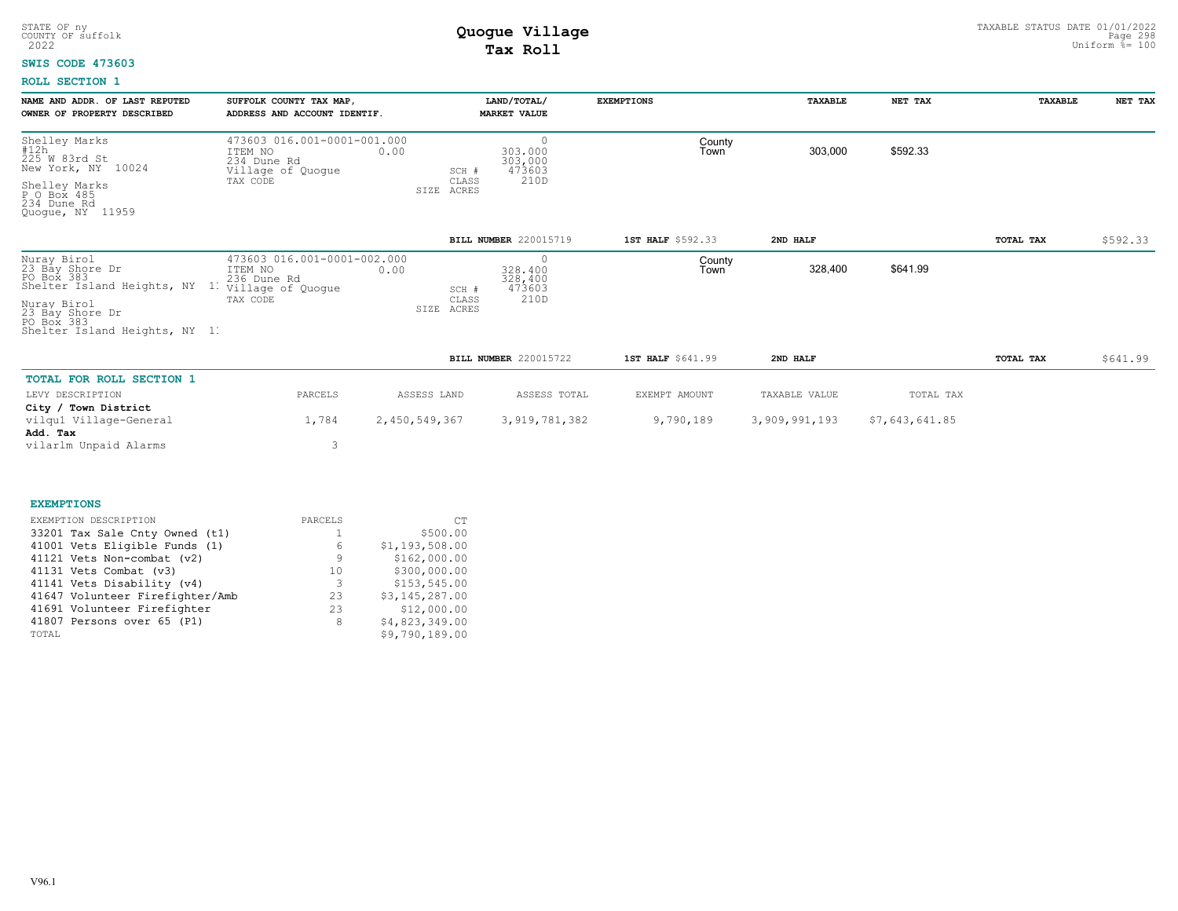#### **SWIS CODE 473603**

| NAME AND ADDR. OF LAST REPUTED<br>OWNER OF PROPERTY DESCRIBED                                                                                               | SUFFOLK COUNTY TAX MAP,<br>ADDRESS AND ACCOUNT IDENTIF.                                        |                                 | LAND/TOTAL/<br><b>MARKET VALUE</b>              | <b>EXEMPTIONS</b> | <b><i>TAXABLE</i></b> | NET TAX   | <b><i>TAXABLE</i></b> | NET TAX  |
|-------------------------------------------------------------------------------------------------------------------------------------------------------------|------------------------------------------------------------------------------------------------|---------------------------------|-------------------------------------------------|-------------------|-----------------------|-----------|-----------------------|----------|
| Shelley Marks<br>#12h<br>225 W 83rd St<br>New York, NY<br>10024<br>Shelley Marks<br>P O Box 485<br>234 Dune Rd<br>Quoque, NY 11959                          | 473603 016.001-0001-001.000<br>ITEM NO<br>0.00<br>234 Dune Rd<br>Village of Quogue<br>TAX CODE | SCH #<br>CLASS<br>ACRES<br>SIZE | $\circ$<br>303,000<br>303,000<br>473603<br>210D | County<br>Town    | 303,000               | \$592.33  |                       |          |
|                                                                                                                                                             |                                                                                                |                                 | BILL NUMBER 220015719                           | 1ST HALF \$592.33 | 2ND HALF              |           | TOTAL TAX             | \$592.33 |
| Nuray Birol<br>23 Bay Shore Dr<br>PO Box 383<br>Shelter Island Heights, NY<br>Nuray Birol<br>23 Bay Shore Dr<br>PO Box 383<br>Shelter Island Heights, NY 11 | 473603 016.001-0001-002.000<br>0.00<br>ITEM NO<br>236 Dune Rd<br>Village of Quogue<br>TAX CODE | SCH #<br>CLASS<br>ACRES<br>SIZE | $\circ$<br>328,400<br>328,400<br>473603<br>210D | County<br>Town    | 328,400               | \$641.99  |                       |          |
|                                                                                                                                                             |                                                                                                |                                 | BILL NUMBER 220015722                           | 1ST HALF \$641.99 | 2ND HALF              |           | TOTAL TAX             | \$641.99 |
| TOTAL FOR ROLL SECTION 1                                                                                                                                    |                                                                                                |                                 |                                                 |                   |                       |           |                       |          |
| LEVY DESCRIPTION                                                                                                                                            | PARCELS                                                                                        | ASSESS LAND                     | ASSESS TOTAL                                    | EXEMPT AMOUNT     | TAXABLE VALUE         | TOTAL TAX |                       |          |

| ________________________ | -------- |               |               |           |               | 101111 111     |
|--------------------------|----------|---------------|---------------|-----------|---------------|----------------|
| City / Town District     |          |               |               |           |               |                |
| vilgul Village-General   | 1,784    | 2,450,549,367 | 3,919,781,382 | 9,790,189 | 3,909,991,193 | \$7,643,641.85 |
| Add. Tax                 |          |               |               |           |               |                |
| vilarlm Unpaid Alarms    |          |               |               |           |               |                |

| <b>EXEMPTIONS</b>               |         |                |
|---------------------------------|---------|----------------|
| EXEMPTION DESCRIPTION           | PARCELS | CT.            |
| 33201 Tax Sale Cnty Owned (t1)  |         | \$500.00       |
| 41001 Vets Eligible Funds (1)   | 6       | \$1,193,508.00 |
| 41121 Vets Non-combat (v2)      | 9       | \$162,000.00   |
| 41131 Vets Combat (v3)          | 10      | \$300,000.00   |
| 41141 Vets Disability (v4)      | 3       | \$153,545.00   |
| 41647 Volunteer Firefighter/Amb | 2.3     | \$3,145,287.00 |
| 41691 Volunteer Firefighter     | 23      | \$12,000.00    |
| 41807 Persons over 65 (P1)      | 8       | \$4,823,349.00 |
| TOTAL                           |         | \$9,790,189.00 |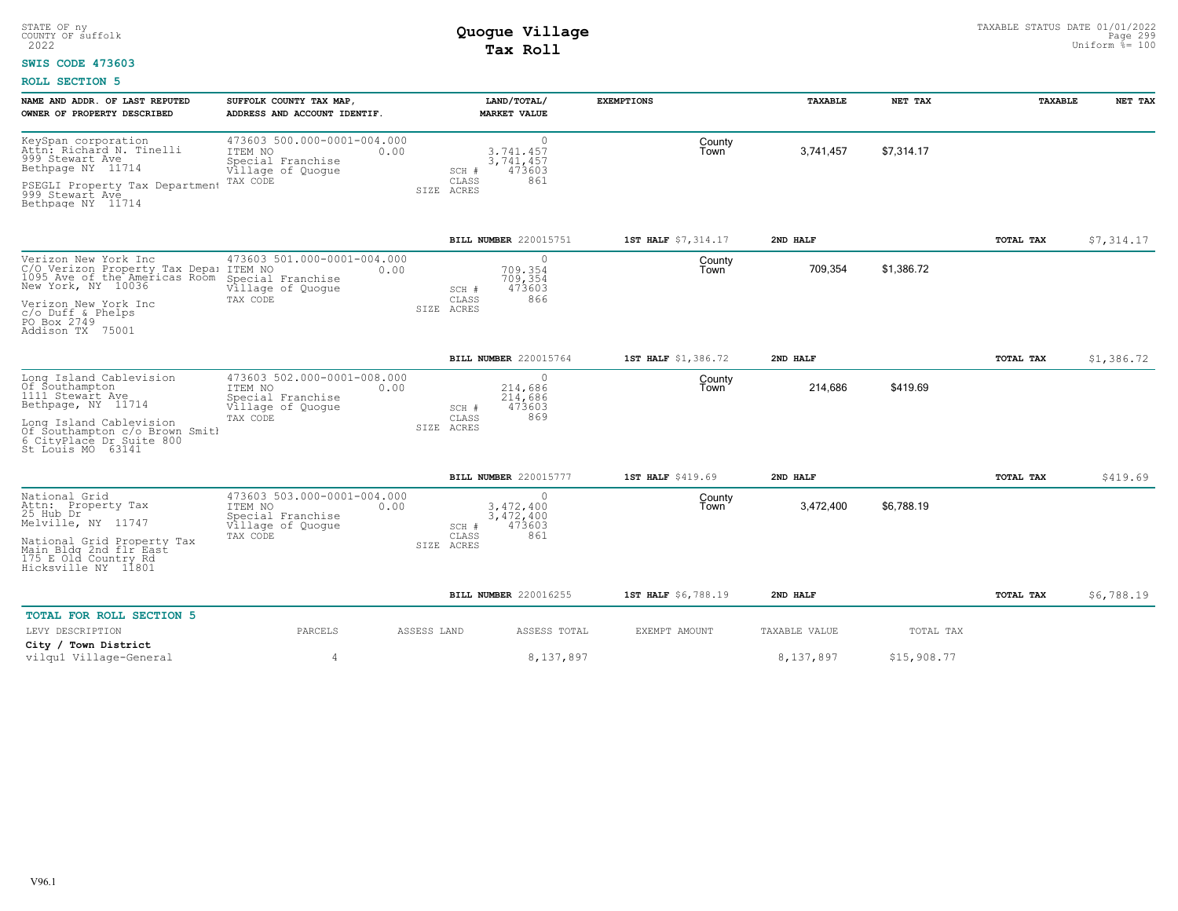### **SWIS CODE 473603**

| NAME AND ADDR. OF LAST REPUTED<br>OWNER OF PROPERTY DESCRIBED                                                 | SUFFOLK COUNTY TAX MAP<br>ADDRESS AND ACCOUNT IDENTIF.                                   | LAND/TOTAL/<br><b>MARKET VALUE</b>                     | <b>EXEMPTIONS</b>   | <b>TAXABLE</b> | NET TAX     | <b>TAXABLE</b> | NET TAX    |
|---------------------------------------------------------------------------------------------------------------|------------------------------------------------------------------------------------------|--------------------------------------------------------|---------------------|----------------|-------------|----------------|------------|
| KeySpan corporation<br>Attn: Richard N. Tinelli<br>999 Stewart Ave<br>Bethpage NY 11714                       | 473603 500.000-0001-004.000<br>ITEM NO<br>0.00<br>Special Franchise<br>Village of Quogue | $\circ$<br>3.741.457<br>3,741,457<br>473603<br>SCH #   | County<br>Town      | 3,741,457      | \$7,314.17  |                |            |
| PSEGLI Property Tax Department<br>999 Stewart Ave<br>Bethpage NY 11714                                        | TAX CODE                                                                                 | CLASS<br>861<br>SIZE ACRES                             |                     |                |             |                |            |
|                                                                                                               |                                                                                          | BILL NUMBER 220015751                                  | 1ST HALF \$7,314.17 | 2ND HALF       |             | TOTAL TAX      | \$7,314.17 |
| Verizon New York Inc<br>C/O Verizon Property Tax Depa:<br>1095 Ave of the Americas Room<br>New York, NY 10036 | 473603 501.000-0001-004.000<br>ITEM NO<br>0.00<br>Special Franchise<br>Village of Quogue | $\circ$<br>709.354<br>709,354<br>473603<br>SCH #       | County<br>Town      | 709,354        | \$1,386.72  |                |            |
| Verizon New York Inc<br>$c$ /o Duff & Phelps<br>PO Box 2749<br>Addison TX 75001                               | TAX CODE                                                                                 | 866<br>CLASS<br>SIZE ACRES                             |                     |                |             |                |            |
|                                                                                                               |                                                                                          | BILL NUMBER 220015764                                  | 1ST HALF \$1,386.72 | 2ND HALF       |             | TOTAL TAX      | \$1,386.72 |
| Long Island Cablevision<br>Of Southampton<br>1111 Stewart Ave<br>Bethpage, NY 11714                           | 473603 502.000-0001-008.000<br>ITEM NO<br>0.00<br>Special Franchise<br>Village of Quoque | $\circ$<br>214,686<br>214,686<br>473603<br>SCH #       | County<br>Town      | 214,686        | \$419.69    |                |            |
| Long Island Cablevision<br>Of Southampton c/o Brown Smith<br>6 CityPlace Dr Suite 800<br>St Louis MO 63141    | TAX CODE                                                                                 | 869<br>CLASS<br>SIZE ACRES                             |                     |                |             |                |            |
|                                                                                                               |                                                                                          | <b>BILL NUMBER 220015777</b>                           | 1ST HALF \$419.69   | 2ND HALF       |             | TOTAL TAX      | \$419.69   |
| National Grid<br>Attn: Property Tax<br>25 Hub Dr<br>Melville, NY 11747                                        | 473603 503.000-0001-004.000<br>ITEM NO<br>0.00<br>Special Franchise<br>Village of Quoque | $\circ$<br>3,472,400<br>3, 472, 400<br>473603<br>SCH # | County<br>Town      | 3,472,400      | \$6,788.19  |                |            |
| National Grid Property Tax<br>Main Bldg 2nd flr East<br>175 E Old Country Rd<br>Hicksville NY 11801           | TAX CODE                                                                                 | 861<br>CLASS<br>SIZE ACRES                             |                     |                |             |                |            |
|                                                                                                               |                                                                                          | BILL NUMBER 220016255                                  | 1ST HALF \$6,788.19 | 2ND HALF       |             | TOTAL TAX      | \$6,788.19 |
| <b>TOTAL FOR ROLL SECTION 5</b>                                                                               |                                                                                          |                                                        |                     |                |             |                |            |
| LEVY DESCRIPTION                                                                                              | PARCELS                                                                                  | ASSESS LAND<br>ASSESS TOTAL                            | EXEMPT AMOUNT       | TAXABLE VALUE  | TOTAL TAX   |                |            |
| City / Town District<br>vilqu1 Village-General                                                                | $\overline{4}$                                                                           | 8,137,897                                              |                     | 8,137,897      | \$15,908.77 |                |            |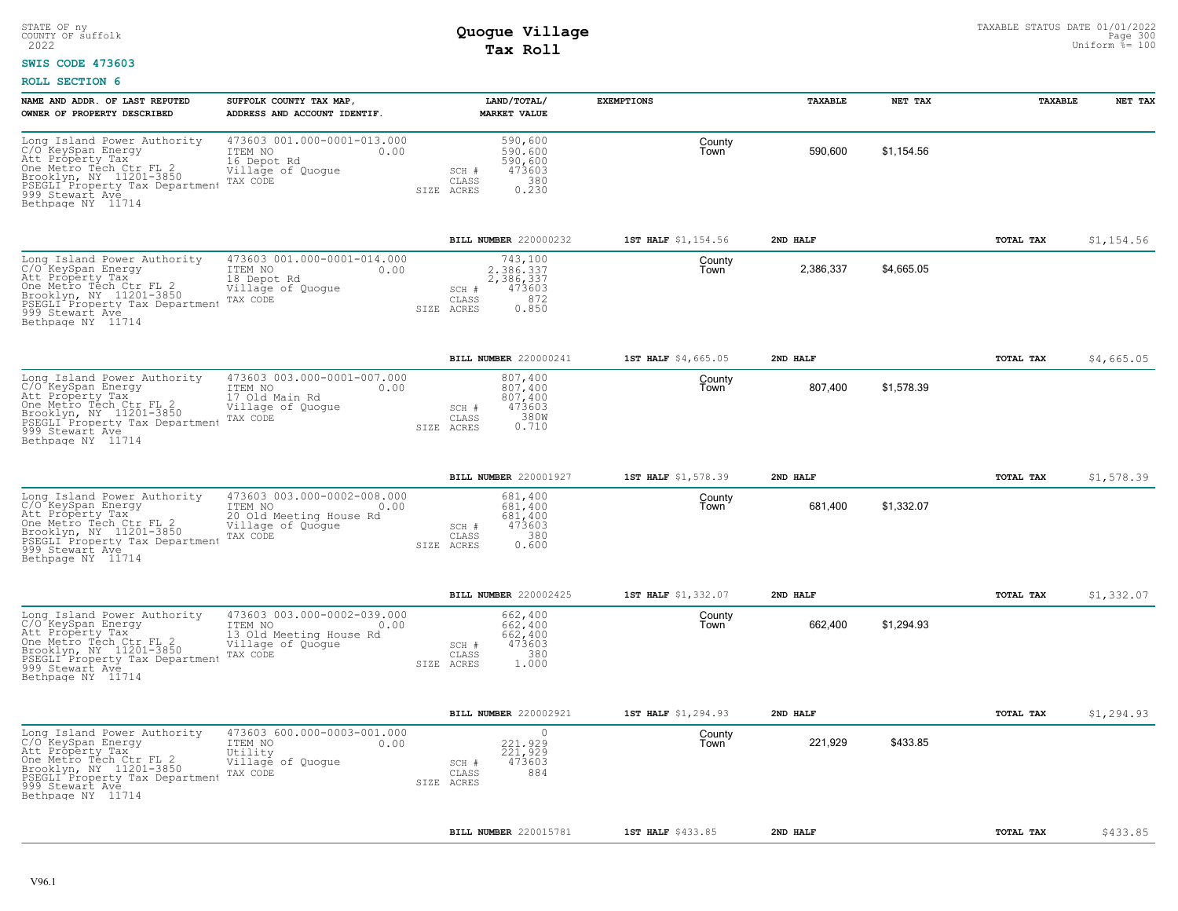### **SWIS CODE 473603**

| NAME AND ADDR. OF LAST REPUTED<br>OWNER OF PROPERTY DESCRIBED                                                                                                                                                      | SUFFOLK COUNTY TAX MAP<br>ADDRESS AND ACCOUNT IDENTIF.                                                     | LAND/TOTAL/<br>MARKET VALUE                                                                 | <b>EXEMPTIONS</b>   | TAXABLE   | NET TAX    | TAXABLE   | NET TAX    |
|--------------------------------------------------------------------------------------------------------------------------------------------------------------------------------------------------------------------|------------------------------------------------------------------------------------------------------------|---------------------------------------------------------------------------------------------|---------------------|-----------|------------|-----------|------------|
| Long Island Power Authority<br>C/O KeySpan Energy<br>Att Property Tax<br>One Metro Tech Ctr FL.<br>Brooklyn, NY 11201-3850<br>PSEGLI Property Tax Department<br>999 Stewart Ave<br>Bethpage NY 11714               | 473603 001.000-0001-013.000<br>ITEM NO<br>0.00<br>16 Depot Rd<br>Village of Quogue<br>TAX CODE             | 590,600<br>590,600<br>590,600<br>473603<br>SCH #<br>380<br>CLASS<br>0.230<br>SIZE ACRES     | County<br>Town      | 590,600   | \$1,154.56 |           |            |
|                                                                                                                                                                                                                    |                                                                                                            | BILL NUMBER 220000232                                                                       | 1ST HALF \$1,154.56 | 2ND HALF  |            | TOTAL TAX | \$1,154.56 |
| Long Island Power Authority<br>C/O KeySpan Energy<br>Att Property Tax<br>One Metro Tech Ctr FL 2<br>Brooklyn, NY 11201-3850<br>PSEGLI <sup>-</sup> Property Tax Department<br>999 Stewart Ave<br>Bethpage NY 11714 | 473603 001.000-0001-014.000<br>ITEM NO<br>0.00<br>18 Depot Rd<br>Village of Quogue<br>TAX CODE             | 743,100<br>2,386,337<br>2,386,337<br>473603<br>SCH #<br>872<br>CLASS<br>SIZE ACRES<br>0.850 | County<br>Town      | 2,386,337 | \$4,665.05 |           |            |
|                                                                                                                                                                                                                    |                                                                                                            | BILL NUMBER 220000241                                                                       | 1ST HALF \$4,665.05 | 2ND HALF  |            | TOTAL TAX | \$4,665.05 |
| Long Island Power Authority<br>C/O KeySpan Energy<br>Att Property Tax<br>One Metro Tech Ctr FL 2<br>Brooklyn, NY 11201-3850<br>PSEGLI Property Tax Department<br>999 Stewart Ave<br>Bethpage NY 11714              | 473603 003.000-0001-007.000<br>ITEM NO<br>0.00<br>17 Old Main Rd<br>Village of Quogue<br>TAX CODE          | 807,400<br>807,400<br>807,400<br>473603<br>SCH #<br>380W<br>CLASS<br>SIZE ACRES<br>0.710    | County<br>Town      | 807,400   | \$1,578.39 |           |            |
|                                                                                                                                                                                                                    |                                                                                                            | BILL NUMBER 220001927                                                                       | 1ST HALF \$1,578.39 | 2ND HALF  |            | TOTAL TAX | \$1,578.39 |
| Long Island Power Authority<br>C/O KeySpan Energy<br>Att Property Tax<br>One Metro Tech Ctr FL 2<br>Brooklyn, NY 11201-3850<br>PSEGLI <sup>-</sup> Property Tax Department<br>999 Stewart Ave<br>Bethpage NY 11714 | 473603 003.000-0002-008.000<br>ITEM NO<br>0.00<br>20 Old Meeting House Rd<br>Village of Quogue<br>TAX CODE | 681,400<br>681.400<br>681,400<br>473603<br>SCH #<br>380<br>CLASS<br>SIZE ACRES<br>0.600     | County<br>Town      | 681,400   | \$1,332.07 |           |            |
|                                                                                                                                                                                                                    |                                                                                                            | BILL NUMBER 220002425                                                                       | 1ST HALF \$1,332.07 | 2ND HALF  |            | TOTAL TAX | \$1,332.07 |
| Long Island Power Authority<br>C/O KeySpan Energy<br>Att Property Tax<br>One Metro Tech Ctr FL 2<br>Brooklyn, NY 11201-3850<br>PSEGLI Property Tax Department<br>999 Stewart Ave<br>Bethpage NY 11714              | 473603 003.000-0002-039.000<br>ITEM NO<br>0.00<br>13 Old Meeting House Rd<br>Village of Quogue<br>TAX CODE | 662,400<br>662,400<br>662,400<br>473603<br>SCH #<br>380<br>CLASS<br>1.000<br>SIZE ACRES     | County<br>Town      | 662,400   | \$1,294.93 |           |            |
|                                                                                                                                                                                                                    |                                                                                                            | BILL NUMBER 220002921                                                                       | 1ST HALF \$1,294.93 | 2ND HALF  |            | TOTAL TAX | \$1,294.93 |
| Long Island Power Authority<br>C/O KeySpan Energy<br>Att Property Tax<br>One Metro Tech Ctr FL 2<br>Brooklyn, NY 11201-3850<br>PSEGLI Property Tax Department<br>999 Stewart Ave<br>Bethpage NY 11714              | 473603 600.000-0003-001.000<br>ITEM NO<br>0.00<br>Utility<br>Village of Quogue<br>TAX CODE                 | $\circ$<br>221.929<br>221,929<br>473603<br>SCH #<br>884<br>CLASS<br>SIZE ACRES              | County<br>Town      | 221,929   | \$433.85   |           |            |
|                                                                                                                                                                                                                    |                                                                                                            | BILL NUMBER 220015781                                                                       | 1ST HALF \$433.85   | 2ND HAT.F |            | TOTAL TAX | \$433.85   |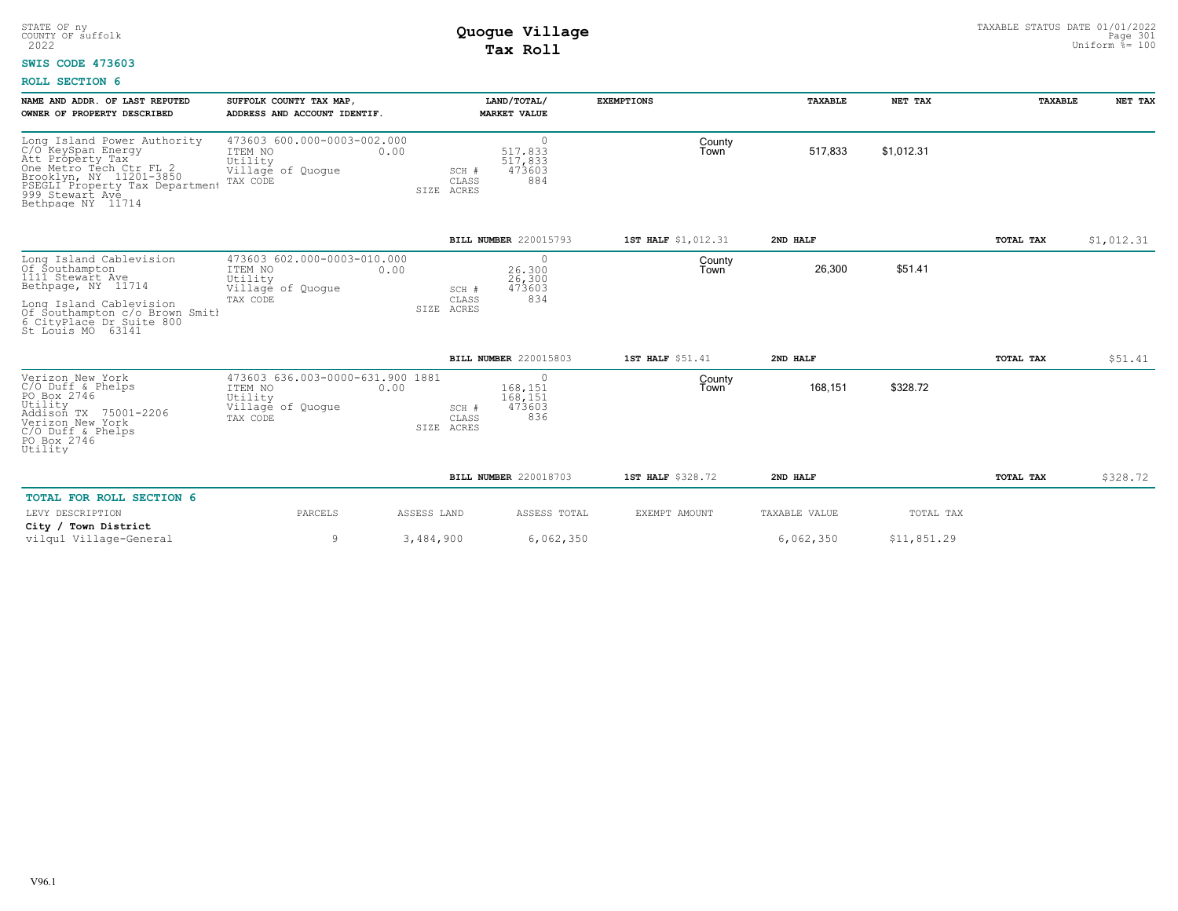### **SWIS CODE 473603**

| NAME AND ADDR. OF LAST REPUTED<br>OWNER OF PROPERTY DESCRIBED                                                                                                                                         | SUFFOLK COUNTY TAX MAP,<br>ADDRESS AND ACCOUNT IDENTIF.                                         |                                      | LAND/TOTAL/<br><b>MARKET VALUE</b>           | <b>EXEMPTIONS</b>   | <b>TAXABLE</b> | NET TAX     | <b>TAXABLE</b> | NET TAX    |
|-------------------------------------------------------------------------------------------------------------------------------------------------------------------------------------------------------|-------------------------------------------------------------------------------------------------|--------------------------------------|----------------------------------------------|---------------------|----------------|-------------|----------------|------------|
| Long Island Power Authority<br>C/O KeySpan Energy<br>Att Property Tax<br>One Metro Tech Ctr FL 2<br>Brooklyn, NY 11201-3850<br>PSEGLI Property Tax Department<br>999 Stewart Ave<br>Bethpage NY 11714 | 473603 600.000-0003-002.000<br>ITEM NO<br>Utility<br>Village of Quoque<br>TAX CODE              | 0.00<br>SCH #<br>CLASS<br>SIZE ACRES | 0<br>517,833<br>517,833<br>473603<br>884     | County<br>Town      | 517,833        | \$1,012.31  |                |            |
|                                                                                                                                                                                                       |                                                                                                 |                                      | BILL NUMBER 220015793                        | 1ST HALF \$1,012.31 | 2ND HALF       |             | TOTAL TAX      | \$1,012.31 |
| Long Island Cablevision<br>Of Southampton<br>1111 Stewart Ave<br>Bethpage, NY 11714                                                                                                                   | 473603 602.000-0003-010.000<br>ITEM NO<br>0.00<br>Utility<br>Village of Quoque<br>TAX CODE      | SCH #<br>CLASS                       | $\circ$<br>26,300<br>26,300<br>473603<br>834 | County<br>Town      | 26,300         | \$51.41     |                |            |
| Long Island Cablevision<br>Of Southampton c/o Brown Smith<br>6 CityPlace Dr Suite 800<br>St Louis MO 63141                                                                                            |                                                                                                 | SIZE ACRES                           |                                              |                     |                |             |                |            |
|                                                                                                                                                                                                       |                                                                                                 |                                      | BILL NUMBER 220015803                        | 1ST HALF \$51.41    | 2ND HALF       |             | TOTAL TAX      | \$51.41    |
| Verizon New York<br>$C/O$ Duff & Phelps<br>PO Box 2746<br>Utility<br>Addison TX<br>75001-2206<br>Verizon New York<br>$C/O$ Duff & Phelps<br>PO Box 2746<br>Utility                                    | 473603 636.003-0000-631.900 1881<br>ITEM NO<br>0.00<br>Utility<br>Village of Quogue<br>TAX CODE | SCH #<br>CLASS<br>SIZE ACRES         | 0<br>168.151<br>168,151<br>473603<br>836     | County<br>Town      | 168,151        | \$328.72    |                |            |
|                                                                                                                                                                                                       |                                                                                                 |                                      | BILL NUMBER 220018703                        | 1ST HALF \$328.72   | 2ND HALF       |             | TOTAL TAX      | \$328.72   |
| TOTAL FOR ROLL SECTION 6<br>LEVY DESCRIPTION                                                                                                                                                          | PARCELS                                                                                         | ASSESS LAND                          | ASSESS TOTAL                                 | EXEMPT AMOUNT       | TAXABLE VALUE  | TOTAL TAX   |                |            |
| City / Town District<br>vilgu1 Village-General                                                                                                                                                        | 9                                                                                               | 3,484,900                            | 6,062,350                                    |                     | 6,062,350      | \$11,851.29 |                |            |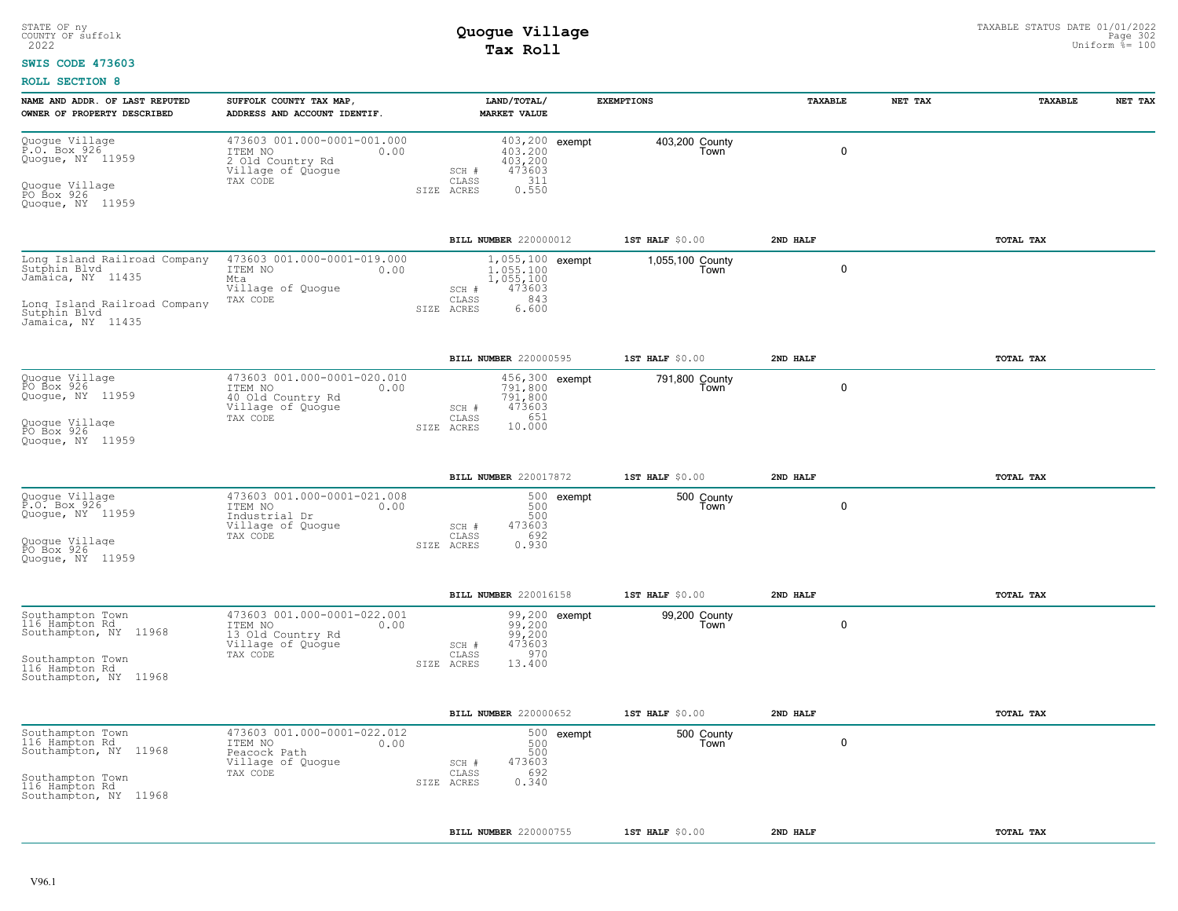#### **SWIS CODE 473603**

| NAME AND ADDR. OF LAST REPUTED<br>OWNER OF PROPERTY DESCRIBED                                                                          | SUFFOLK COUNTY TAX MAP<br>ADDRESS AND ACCOUNT IDENTIF.                                               |                              | LAND/TOTAL/<br><b>MARKET VALUE</b>                                   | <b>EXEMPTIONS</b>        | TAXABLE     | NET TAX | <b>TAXABLE</b> | NET TAX |
|----------------------------------------------------------------------------------------------------------------------------------------|------------------------------------------------------------------------------------------------------|------------------------------|----------------------------------------------------------------------|--------------------------|-------------|---------|----------------|---------|
| Quogue Village<br>P.O. Box 926<br>Quogue, NY 11959<br>Quogue Village<br>PO Box 926<br>Quoque, NY 11959                                 | 473603 001.000-0001-001.000<br>ITEM NO<br>0.00<br>2 Old Country Rd<br>Village of Quogue<br>TAX CODE  | SCH #<br>CLASS<br>SIZE ACRES | 403,200 exempt<br>403,200<br>403,200<br>473603<br>311<br>0.550       | 403,200 County<br>Town   | $\mathbf 0$ |         |                |         |
|                                                                                                                                        |                                                                                                      |                              | BILL NUMBER 220000012                                                | $1ST$ HALF $$0.00$       | 2ND HALF    |         | TOTAL TAX      |         |
| Long Island Railroad Company<br>Sutphin Blyd<br>Jamaica, NY 11435<br>Long Island Railroad Company<br>Sutphin Blvd<br>Jamaica, NY 11435 | 473603 001.000-0001-019.000<br>ITEM NO<br>0.00<br>Mta<br>Village of Quogue<br>TAX CODE               | SCH #<br>CLASS<br>SIZE ACRES | 1,055,100 exempt<br>1,055,100<br>1,055,100<br>473603<br>843<br>6.600 | 1,055,100 County<br>Town | $\mathbf 0$ |         |                |         |
|                                                                                                                                        |                                                                                                      |                              | BILL NUMBER 220000595                                                | 1ST HALF \$0.00          | 2ND HALF    |         | TOTAL TAX      |         |
| Quogue Village<br>PO Box 926<br>Quogue, NY 11959<br>Quoque Villaqe<br>PO Box 926<br>Quoque, NY 11959                                   | 473603 001.000-0001-020.010<br>ITEM NO<br>0.00<br>40 Old Country Rd<br>Village of Quogue<br>TAX CODE | SCH #<br>CLASS<br>SIZE ACRES | 456,300 exempt<br>791,800<br>791,800<br>473603<br>651<br>10.000      | 791,800 County<br>Town   | $\mathbf 0$ |         |                |         |
|                                                                                                                                        |                                                                                                      |                              | BILL NUMBER 220017872                                                | 1ST HALF \$0.00          | 2ND HALF    |         | TOTAL TAX      |         |
| Quogue Village<br>P.O. Box 926<br>Quogue, NY 11959<br>Quoque Villaqe<br>PO Box 926<br>Quoque, NY 11959                                 | 473603 001.000-0001-021.008<br>ITEM NO<br>0.00<br>Industrial Dr<br>Village of Quogue<br>TAX CODE     | SCH #<br>CLASS<br>SIZE ACRES | 500 exempt<br>500<br>500<br>473603<br>692<br>0.930                   | 500 County<br>Town       | 0           |         |                |         |
|                                                                                                                                        |                                                                                                      |                              | BILL NUMBER 220016158                                                | 1ST HALF $$0.00$         | 2ND HALF    |         | TOTAL TAX      |         |
| Southampton Town<br>116 Hampton Rd<br>Southampton, NY 11968<br>Southampton Town<br>116 Hampton Rd<br>Southampton, NY 11968             | 473603 001.000-0001-022.001<br>ITEM NO<br>0.00<br>13 Old Country Rd<br>Village of Quoque<br>TAX CODE | SCH #<br>CLASS<br>SIZE ACRES | 99,200 exempt<br>99,200<br>99,200<br>473603<br>970<br>13.400         | 99,200 County<br>Town    | 0           |         |                |         |
|                                                                                                                                        |                                                                                                      |                              | BILL NUMBER 220000652                                                | 1ST HALF \$0.00          | 2ND HALF    |         | TOTAL TAX      |         |
| Southampton Town<br>116 Hampton Rd<br>Southampton, NY 11968<br>Southampton Town<br>116 Hampton Rd<br>Southampton, NY 11968             | 473603 001.000-0001-022.012<br>ITEM NO<br>0.00<br>Peacock Path<br>Village of Quogue<br>TAX CODE      | SCH #<br>CLASS<br>SIZE ACRES | 500 exempt<br>500<br>500<br>473603<br>692<br>0.340                   | 500 County<br>Town       | 0           |         |                |         |
|                                                                                                                                        |                                                                                                      |                              | BILL NUMBER 220000755                                                | $1ST$ HALF $$0.00$       | 2ND HALF    |         | TOTAL TAX      |         |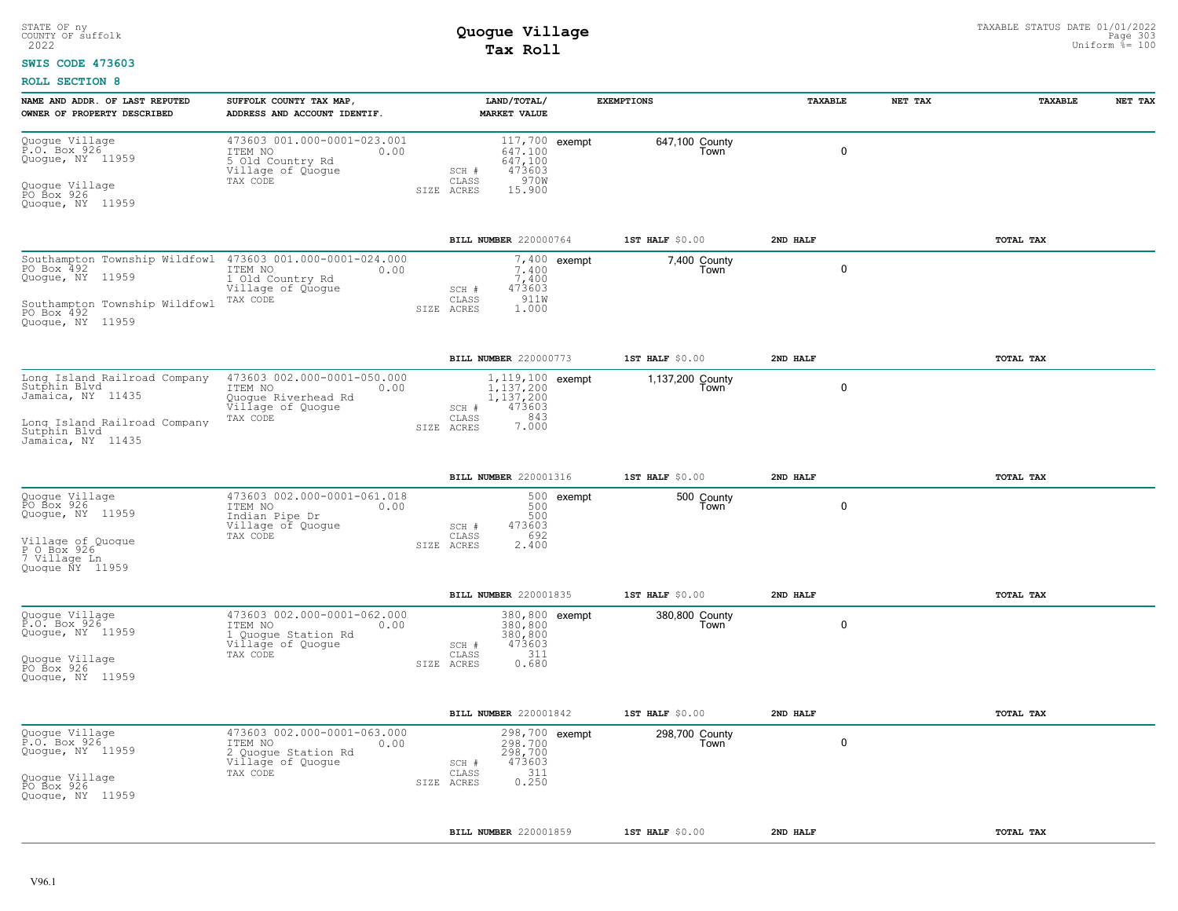### **SWIS CODE 473603**

| NAME AND ADDR. OF LAST REPUTED<br>OWNER OF PROPERTY DESCRIBED                                                                                                  | SUFFOLK COUNTY TAX MAP,<br>ADDRESS AND ACCOUNT IDENTIF.                                                |                                  | LAND/TOTAL/<br><b>MARKET VALUE</b>                               |                | <b>EXEMPTIONS</b>        | <b>TAXABLE</b> | NET TAX     | TAXABLE   | NET TAX |
|----------------------------------------------------------------------------------------------------------------------------------------------------------------|--------------------------------------------------------------------------------------------------------|----------------------------------|------------------------------------------------------------------|----------------|--------------------------|----------------|-------------|-----------|---------|
| Quogue Village<br>P.O. Box 926<br>Quoque, NY 11959<br>Quogue Village<br>PO Box 926<br>Quogue, NY 11959                                                         | 473603 001.000-0001-023.001<br>ITEM NO<br>0.00<br>5 Old Country Rd<br>Village of Quoque<br>TAX CODE    | $SCH$ $#$<br>CLASS<br>SIZE ACRES | 117,700 exempt<br>647.100<br>647,100<br>473603<br>970W<br>15.900 |                | 647,100 County<br>Town   |                | $\mathbf 0$ |           |         |
|                                                                                                                                                                |                                                                                                        |                                  | BILL NUMBER 220000764                                            |                | 1ST HALF \$0.00          | 2ND HALF       |             | TOTAL TAX |         |
| Southampton Township Wildfowl 473603 001.000-0001-024.000<br>PO Box 492<br>Quogue, NY 11959<br>Southampton Township Wildfowl<br>PO Box 492<br>Quoque, NY 11959 | ITEM NO<br>0.00<br>1 Old Country Rd<br>Village of Quogue<br>TAX CODE                                   | SCH #<br>CLASS<br>SIZE ACRES     | 7.400<br>7,400<br>473603<br>911W<br>1.000                        | $7,400$ exempt | 7,400 County<br>Town     |                | $\mathbf 0$ |           |         |
|                                                                                                                                                                |                                                                                                        |                                  | BILL NUMBER 220000773                                            |                | 1ST HALF \$0.00          | 2ND HALF       |             | TOTAL TAX |         |
| Long Island Railroad Company<br>Sutphin Blvd<br>Jamaica, NY 11435<br>Long Island Railroad Company<br>Sutphin Blyd<br>Jamaica, NY 11435                         | 473603 002.000-0001-050.000<br>ITEM NO<br>0.00<br>Quoque Riverhead Rd<br>Village of Quoque<br>TAX CODE | SCH #<br>CLASS<br>SIZE ACRES     | 1, 119, 100 exempt<br>1,137,200<br>1,137,200<br>473603<br>7.843  |                | 1,137,200 County<br>Town |                | $\mathbf 0$ |           |         |
|                                                                                                                                                                |                                                                                                        |                                  | <b>BILL NUMBER 220001316</b>                                     |                | 1ST HALF \$0.00          | 2ND HALF       |             | TOTAL TAX |         |
| Quogue Village<br>PO Box 926<br>Quogue, NY 11959<br>Village of Quoque<br>P O Box 926<br>7 Village Ln<br>Quoque NY 11959                                        | 473603 002.000-0001-061.018<br>ITEM NO<br>0.00<br>Indian Pipe Dr<br>Village of Quogue<br>TAX CODE      | SCH #<br>CLASS<br>SIZE ACRES     | 500<br>500<br>473603<br>692<br>2.400                             | 500 exempt     | 500 County<br>Town       |                | 0           |           |         |
|                                                                                                                                                                |                                                                                                        |                                  | BILL NUMBER 220001835                                            |                | 1ST HALF \$0.00          | 2ND HALF       |             | TOTAL TAX |         |
| Quogue Village<br>P.O. Box 926<br>Quogue, NY 11959<br>Quogue Village<br>PO Box 926<br>Quogue, NY 11959                                                         | 473603 002.000-0001-062.000<br>ITEM NO<br>0.00<br>1 Quogue Station Rd<br>Village of Quogue<br>TAX CODE | SCH #<br>CLASS<br>SIZE ACRES     | 380,800 exempt<br>380,800<br>380,800<br>473603<br>311<br>0.680   |                | 380,800 County<br>Town   |                | $\mathbf 0$ |           |         |
|                                                                                                                                                                |                                                                                                        |                                  | BILL NUMBER 220001842                                            |                | 1ST HALF \$0.00          | 2ND HALF       |             | TOTAL TAX |         |
| Quogue Village<br>P.O. Box 926<br>Quogue, NY 11959<br>Quogue Village<br>PO Box 926<br>Quoque, NY 11959                                                         | 473603 002.000-0001-063.000<br>ITEM NO<br>0.00<br>2 Quogue Station Rd<br>Village of Quogue<br>TAX CODE | SCH #<br>CLASS<br>SIZE ACRES     | 298,700 exempt<br>298,700<br>298,700<br>473603<br>311<br>0.250   |                | 298,700 County<br>Town   |                | $\mathbf 0$ |           |         |
|                                                                                                                                                                |                                                                                                        |                                  | BILL NUMBER 220001859                                            |                | 1ST HALF \$0.00          | 2ND HALF       |             | TOTAL TAX |         |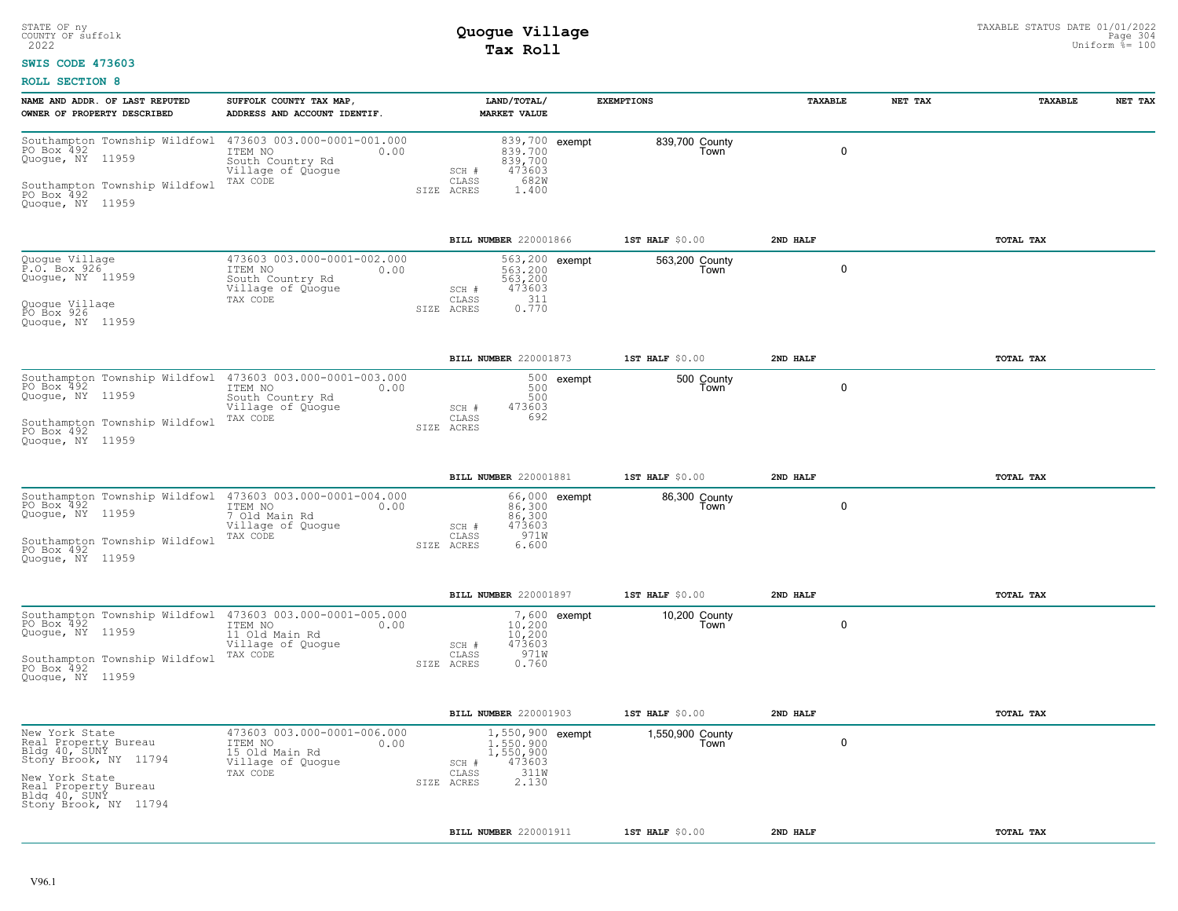### **SWIS CODE 473603**

| Southampton Township Wildfowl 473603 003.000-0001-001.000<br>PO Box 492 000000 TTEM NO 0.00<br>839,700 exempt<br>839,700 County<br>$\mathbf 0$<br>0.00<br>839,700<br>Town<br>South Country Rd<br>839,700<br>473603<br>Village of Quogue<br>$SCH$ #<br>682W<br>TAX CODE<br>CLASS<br>1.400<br>SIZE ACRES<br>BILL NUMBER 220001866<br>1ST HALF \$0.00<br>2ND HALF<br>TOTAL TAX<br>473603 003.000-0001-002.000<br>563,200 exempt<br>563,200 County<br>$\mathbf 0$<br>ITEM NO<br>0.00<br>563,200<br>Town<br>563,200<br>South Country Rd<br>Village of Quogue<br>473603<br>SCH #<br>$0.311$<br>$0.770$<br>CLASS<br>TAX CODE<br>SIZE ACRES<br>BILL NUMBER 220001873<br>1ST HALF \$0.00<br>TOTAL TAX<br>2ND HALF<br>500 exempt<br>500 County<br>500<br>0<br>ITEM NO<br>Town<br>0.00<br>South Country Rd<br>500<br>473603<br>Village of Quogue<br>SCH #<br>CLASS<br>692<br>TAX CODE<br>SIZE ACRES<br>BILL NUMBER 220001881<br>1ST HALF \$0.00<br>2ND HALF<br>TOTAL TAX<br>Southampton Township Wildfowl 473603 003.000-0001-004.000<br>PO Box 492 1998 1TEM NO 100<br>66,000 exempt<br>86,300 County<br>0<br>86,300<br>86,300<br>Town<br>7 Old Main Rd<br>473603<br>Village of Quogue<br>SCH #<br>971W<br>CLASS<br>TAX CODE<br>6.600<br>SIZE ACRES<br>BILL NUMBER 220001897<br>1ST HALF $$0.00$<br>2ND HALF<br>TOTAL TAX<br>Southampton Township Wildfowl 473603 003.000-0001-005.000<br>7,600 exempt<br>10,200 County<br>Town<br>$\mathbf 0$<br>ITEM NO<br>0.00<br>10,200<br>11 Old Main Rd<br>Village of Quogue<br>10,200<br>473603<br>$SCH$ $#$<br>971W<br>TAX CODE<br>CLASS<br>0.760<br>SIZE ACRES<br>BILL NUMBER 220001903<br>1ST HALF \$0.00<br>2ND HALF<br>TOTAL TAX<br>473603 003.000-0001-006.000<br>1,550,900 exempt<br>1,550,900 County<br>$\mathbf 0$<br>ITEM NO<br>0.00<br>1,550,900<br>Town<br>15 Old Main Rd<br>1,550,900<br>Village of Quogue<br>473603<br>SCH #<br>311W<br>TAX CODE<br>CLASS<br>2.130<br>SIZE ACRES<br>BILL NUMBER 220001911<br>1ST HALF \$0.00<br>2ND HALF<br>TOTAL TAX | NAME AND ADDR. OF LAST REPUTED<br>OWNER OF PROPERTY DESCRIBED                                                                                                        | SUFFOLK COUNTY TAX MAP,<br>ADDRESS AND ACCOUNT IDENTIF. | LAND/TOTAL/<br><b>MARKET VALUE</b> | <b>EXEMPTIONS</b> | TAXABLE | NET TAX | <b>TAXABLE</b> | NET TAX |
|--------------------------------------------------------------------------------------------------------------------------------------------------------------------------------------------------------------------------------------------------------------------------------------------------------------------------------------------------------------------------------------------------------------------------------------------------------------------------------------------------------------------------------------------------------------------------------------------------------------------------------------------------------------------------------------------------------------------------------------------------------------------------------------------------------------------------------------------------------------------------------------------------------------------------------------------------------------------------------------------------------------------------------------------------------------------------------------------------------------------------------------------------------------------------------------------------------------------------------------------------------------------------------------------------------------------------------------------------------------------------------------------------------------------------------------------------------------------------------------------------------------------------------------------------------------------------------------------------------------------------------------------------------------------------------------------------------------------------------------------------------------------------------------------------------------------------------------------------------------------------------------------------------------------------------------------------------------------------------------------------|----------------------------------------------------------------------------------------------------------------------------------------------------------------------|---------------------------------------------------------|------------------------------------|-------------------|---------|---------|----------------|---------|
|                                                                                                                                                                                                                                                                                                                                                                                                                                                                                                                                                                                                                                                                                                                                                                                                                                                                                                                                                                                                                                                                                                                                                                                                                                                                                                                                                                                                                                                                                                                                                                                                                                                                                                                                                                                                                                                                                                                                                                                                  | Quoque, NY 11959<br>Southampton Township Wildfowl<br>PO Box 492<br>Quoque, NY 11959                                                                                  |                                                         |                                    |                   |         |         |                |         |
|                                                                                                                                                                                                                                                                                                                                                                                                                                                                                                                                                                                                                                                                                                                                                                                                                                                                                                                                                                                                                                                                                                                                                                                                                                                                                                                                                                                                                                                                                                                                                                                                                                                                                                                                                                                                                                                                                                                                                                                                  |                                                                                                                                                                      |                                                         |                                    |                   |         |         |                |         |
|                                                                                                                                                                                                                                                                                                                                                                                                                                                                                                                                                                                                                                                                                                                                                                                                                                                                                                                                                                                                                                                                                                                                                                                                                                                                                                                                                                                                                                                                                                                                                                                                                                                                                                                                                                                                                                                                                                                                                                                                  | Quogue Village<br>P.O. Box 926<br>Quoque, NY 11959<br>Quogue Village<br>PO Box 926<br>Quoque, NY 11959                                                               |                                                         |                                    |                   |         |         |                |         |
|                                                                                                                                                                                                                                                                                                                                                                                                                                                                                                                                                                                                                                                                                                                                                                                                                                                                                                                                                                                                                                                                                                                                                                                                                                                                                                                                                                                                                                                                                                                                                                                                                                                                                                                                                                                                                                                                                                                                                                                                  |                                                                                                                                                                      |                                                         |                                    |                   |         |         |                |         |
|                                                                                                                                                                                                                                                                                                                                                                                                                                                                                                                                                                                                                                                                                                                                                                                                                                                                                                                                                                                                                                                                                                                                                                                                                                                                                                                                                                                                                                                                                                                                                                                                                                                                                                                                                                                                                                                                                                                                                                                                  | Quogue, NY 11959<br>Southampton Township Wildfowl<br>PO Box 492<br>Quoque, NY 11959                                                                                  |                                                         |                                    |                   |         |         |                |         |
|                                                                                                                                                                                                                                                                                                                                                                                                                                                                                                                                                                                                                                                                                                                                                                                                                                                                                                                                                                                                                                                                                                                                                                                                                                                                                                                                                                                                                                                                                                                                                                                                                                                                                                                                                                                                                                                                                                                                                                                                  |                                                                                                                                                                      |                                                         |                                    |                   |         |         |                |         |
|                                                                                                                                                                                                                                                                                                                                                                                                                                                                                                                                                                                                                                                                                                                                                                                                                                                                                                                                                                                                                                                                                                                                                                                                                                                                                                                                                                                                                                                                                                                                                                                                                                                                                                                                                                                                                                                                                                                                                                                                  | Quogue, NY 11959<br>Southampton Township Wildfowl<br>PO Box 492<br>Quoque, NY 11959                                                                                  |                                                         |                                    |                   |         |         |                |         |
|                                                                                                                                                                                                                                                                                                                                                                                                                                                                                                                                                                                                                                                                                                                                                                                                                                                                                                                                                                                                                                                                                                                                                                                                                                                                                                                                                                                                                                                                                                                                                                                                                                                                                                                                                                                                                                                                                                                                                                                                  |                                                                                                                                                                      |                                                         |                                    |                   |         |         |                |         |
|                                                                                                                                                                                                                                                                                                                                                                                                                                                                                                                                                                                                                                                                                                                                                                                                                                                                                                                                                                                                                                                                                                                                                                                                                                                                                                                                                                                                                                                                                                                                                                                                                                                                                                                                                                                                                                                                                                                                                                                                  | PO Box 492<br>Quoque, NY 11959<br>Southampton Township Wildfowl<br>PO Box 492<br>Quogue, NY 11959                                                                    |                                                         |                                    |                   |         |         |                |         |
|                                                                                                                                                                                                                                                                                                                                                                                                                                                                                                                                                                                                                                                                                                                                                                                                                                                                                                                                                                                                                                                                                                                                                                                                                                                                                                                                                                                                                                                                                                                                                                                                                                                                                                                                                                                                                                                                                                                                                                                                  |                                                                                                                                                                      |                                                         |                                    |                   |         |         |                |         |
|                                                                                                                                                                                                                                                                                                                                                                                                                                                                                                                                                                                                                                                                                                                                                                                                                                                                                                                                                                                                                                                                                                                                                                                                                                                                                                                                                                                                                                                                                                                                                                                                                                                                                                                                                                                                                                                                                                                                                                                                  | New York State<br>Real Property Bureau<br>Bldg 40, SUNY<br>Stony Brook, NY 11794<br>New York State<br>Real Property Bureau<br>Bldg 40, SUNY<br>Stony Brook, NY 11794 |                                                         |                                    |                   |         |         |                |         |
|                                                                                                                                                                                                                                                                                                                                                                                                                                                                                                                                                                                                                                                                                                                                                                                                                                                                                                                                                                                                                                                                                                                                                                                                                                                                                                                                                                                                                                                                                                                                                                                                                                                                                                                                                                                                                                                                                                                                                                                                  |                                                                                                                                                                      |                                                         |                                    |                   |         |         |                |         |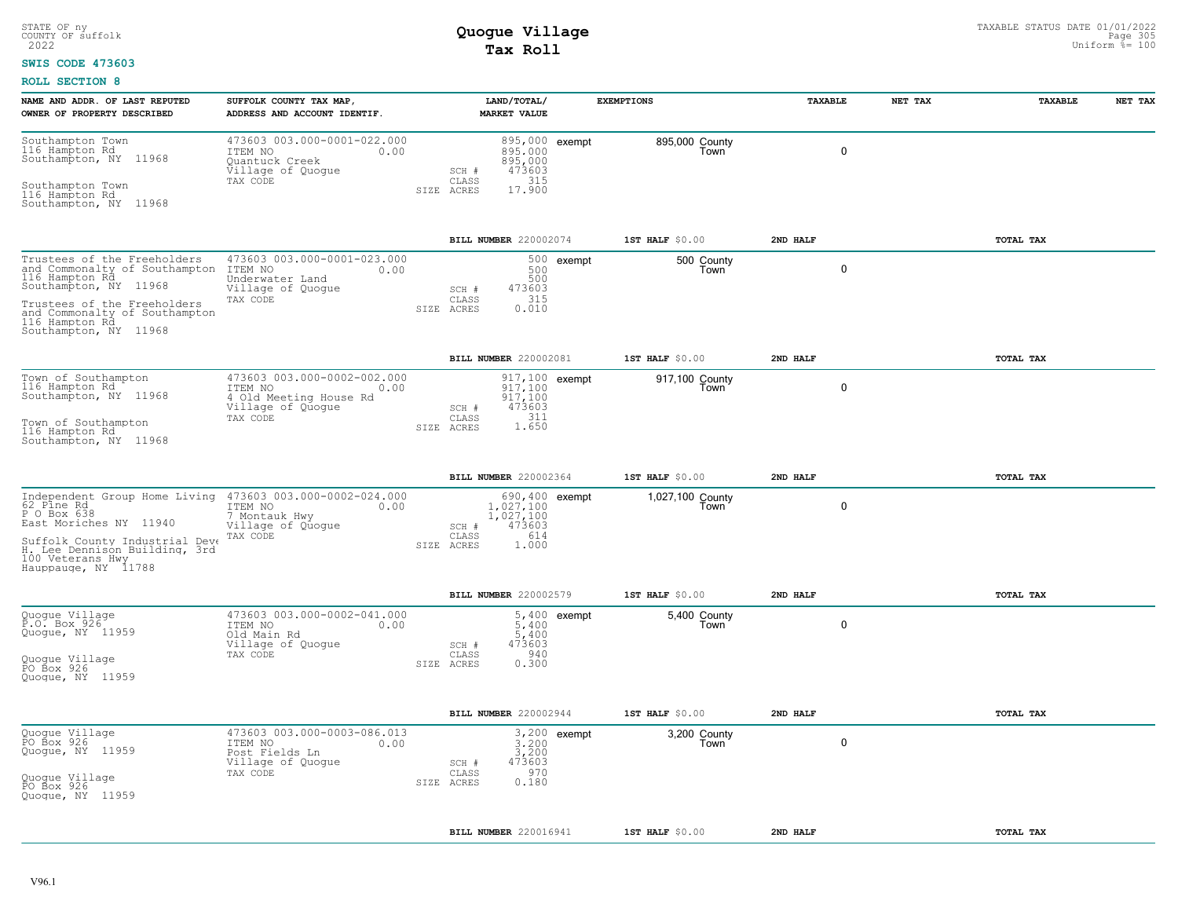#### **SWIS CODE 473603**

| NAME AND ADDR. OF LAST REPUTED                                                                                                                                                                                                 | SUFFOLK COUNTY TAX MAP,                                                                                   | LAND/TOTAL/                                                                          |                | <b>EXEMPTIONS</b>        | TAXABLE  | NET TAX | TAXABLE   | NET TAX |
|--------------------------------------------------------------------------------------------------------------------------------------------------------------------------------------------------------------------------------|-----------------------------------------------------------------------------------------------------------|--------------------------------------------------------------------------------------|----------------|--------------------------|----------|---------|-----------|---------|
| OWNER OF PROPERTY DESCRIBED                                                                                                                                                                                                    | ADDRESS AND ACCOUNT IDENTIF.                                                                              | <b>MARKET VALUE</b>                                                                  |                |                          |          |         |           |         |
| Southampton Town<br>116 Hampton Rd<br>Southampton, NY 11968<br>Southampton Town<br>116 Hampton Rd<br>Southampton, NY 11968                                                                                                     | 473603 003.000-0001-022.000<br>ITEM NO<br>0.00<br>Quantuck Creek<br>Village of Quoque<br>TAX CODE         | 895,000<br>895,000<br>473603<br>SCH #<br>315<br>CLASS<br>17.900<br>SIZE ACRES        | 895,000 exempt | 895,000 County<br>Town   |          | 0       |           |         |
|                                                                                                                                                                                                                                |                                                                                                           | BILL NUMBER 220002074                                                                |                | 1ST HALF \$0.00          | 2ND HALF |         | TOTAL TAX |         |
| Trustees of the Freeholders<br>and Commonalty of Southampton<br>116 Hampton Rd<br>Southampton, NY 11968<br>Trustees of the Freeholders<br>and Commonalty of Southampton<br>116 Hampton Rd<br>Southampton, NY 11968             | 473603 003.000-0001-023.000<br>ITEM NO<br>0.00<br>Underwater Land<br>Village of Quogue<br>TAX CODE        | 500<br>500<br>473603<br>SCH #<br>315<br>CLASS<br>0.010<br>SIZE ACRES                 | 500 exempt     | 500 County<br>Town       |          | 0       |           |         |
|                                                                                                                                                                                                                                |                                                                                                           | BILL NUMBER 220002081                                                                |                | 1ST HALF $$0.00$         | 2ND HALF |         | TOTAL TAX |         |
| Town of Southampton<br>116 Hampton Rd<br>Southampton, NY 11968<br>Town of Southampton<br>116 Hampton Rd<br>Southampton, NY 11968                                                                                               | 473603 003.000-0002-002.000<br>ITEM NO<br>0.00<br>4 Old Meeting House Rd<br>Village of Quoque<br>TAX CODE | 917.100<br>917,100<br>473603<br>SCH #<br>CLASS<br>$311$<br>1.650<br>SIZE ACRES       | 917,100 exempt | 917,100 County<br>Town   |          | 0       |           |         |
|                                                                                                                                                                                                                                |                                                                                                           | BILL NUMBER 220002364                                                                |                | 1ST HALF \$0.00          | 2ND HALF |         | TOTAL TAX |         |
| Independent Group Home Living 473603 003.000-0002-024.000<br>62 Pine Rd<br>P O Box 638<br>East Moriches NY 11940<br>Suffolk County Industrial Deve<br>H. Lee Dennison Building, 3rd<br>100 Veterans Hwy<br>Hauppauge, NY 11788 | ITEM NO<br>0.00<br>7 Montauk Hwy<br>Village of Quogue<br>TAX CODE                                         | $1.027.100$<br>$1,027.100$<br>473603<br>SCH #<br>CLASS<br>614<br>SIZE ACRES<br>1,000 | 690,400 exempt | 1,027,100 County<br>Town |          | 0       |           |         |
|                                                                                                                                                                                                                                |                                                                                                           | BILL NUMBER 220002579                                                                |                | $1ST$ HALF $$0.00$       | 2ND HALF |         | TOTAL TAX |         |
| Quogue Village<br>P.O. Box 926<br>Quogue, NY 11959<br>Quogue Village<br>PO Box 926<br>Quoque, NY 11959                                                                                                                         | 473603 003.000-0002-041.000<br>ITEM NO<br>0.00<br>Old Main Rd<br>Village of Quogue<br>TAX CODE            | 5,400<br>$5,400$<br>473603<br>SCH #<br>940<br>CLASS<br>SIZE ACRES<br>0.300           | 5,400 exempt   | 5,400 County<br>Town     |          | 0       |           |         |
|                                                                                                                                                                                                                                |                                                                                                           | BILL NUMBER 220002944                                                                |                | 1ST HALF \$0.00          | 2ND HALF |         | TOTAL TAX |         |
| Quogue Village<br>PO Box 926<br>Quogue, NY 11959<br>Quogue Village<br>PO Box 926<br>Quoque, NY 11959                                                                                                                           | 473603 003.000-0003-086.013<br>ITEM NO<br>0.00<br>Post Fields Ln<br>Village of Quogue<br>TAX CODE         | 3,200<br>3,200<br>473603<br>SCH #<br>970<br>CLASS<br>0.180<br>SIZE ACRES             | 3,200 exempt   | 3,200 County<br>Town     |          | 0       |           |         |
|                                                                                                                                                                                                                                |                                                                                                           | BILL NUMBER 220016941                                                                |                | $1ST$ HALF $$0.00$       | 2ND HALF |         | TOTAL TAX |         |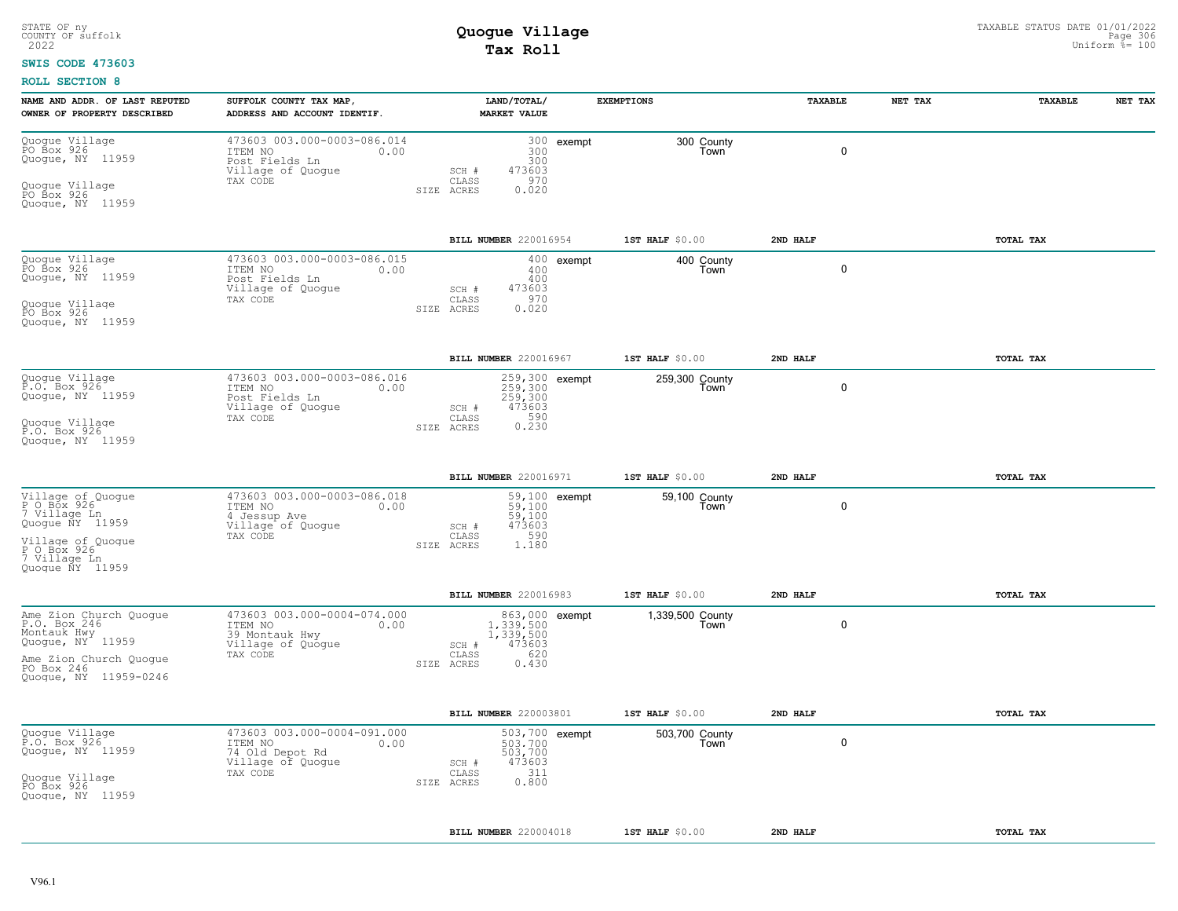#### **SWIS CODE 473603**

| NAME AND ADDR. OF LAST REPUTED<br>OWNER OF PROPERTY DESCRIBED                                                                              | SUFFOLK COUNTY TAX MAP,<br>ADDRESS AND ACCOUNT IDENTIF.                                            |                              | LAND/TOTAL/<br><b>MARKET VALUE</b>                                 |              | <b>EXEMPTIONS</b>        | TAXABLE     | NET TAX | TAXABLE   | NET TAX |
|--------------------------------------------------------------------------------------------------------------------------------------------|----------------------------------------------------------------------------------------------------|------------------------------|--------------------------------------------------------------------|--------------|--------------------------|-------------|---------|-----------|---------|
| Quogue Village<br>PO Box 926<br>Quogue, NY 11959<br>Quogue Village<br>PO Box 926<br>Quoque, NY 11959                                       | 473603 003.000-0003-086.014<br>ITEM NO<br>0.00<br>Post Fields Ln<br>Village of Quogue<br>TAX CODE  | SCH #<br>CLASS<br>SIZE ACRES | 300<br>300<br>473603<br>970<br>0.020                               | 300 exempt   | 300 County<br>Town       | $\mathbf 0$ |         |           |         |
|                                                                                                                                            |                                                                                                    |                              | BILL NUMBER 220016954                                              |              | $1ST$ HALF $$0.00$       | 2ND HALF    |         | TOTAL TAX |         |
| Quogue Village<br>PO Box 926<br>Quogue, NY 11959<br>Quogue Village<br>PO Box 926                                                           | 473603 003.000-0003-086.015<br>ITEM NO<br>0.00<br>Post Fields Ln<br>Village of Quogue<br>TAX CODE  | SCH #<br>CLASS<br>SIZE ACRES | 400<br>400<br>473603<br>970<br>0.020                               | $400$ exempt | 400 County<br>Town       | $\mathbf 0$ |         |           |         |
| Quoque, NY 11959                                                                                                                           |                                                                                                    |                              |                                                                    |              |                          |             |         |           |         |
|                                                                                                                                            |                                                                                                    |                              | BILL NUMBER 220016967                                              |              | $1ST$ HALF $$0.00$       | 2ND HALF    |         | TOTAL TAX |         |
| Quogue Village<br>P.O. Box 926<br>Quogue, NY 11959<br>Quoque Villaqe<br>P.O. Box 926<br>Quoque, NY 11959                                   | 473603 003.000-0003-086.016<br>ITEM NO<br>0.00<br>Post Fields Ln<br>Village of Quogue<br>TAX CODE  | SCH #<br>CLASS<br>SIZE ACRES | 259,300 exempt<br>259,300<br>259,300<br>473603<br>0.590            |              | 259,300 County<br>Town   | 0           |         |           |         |
|                                                                                                                                            |                                                                                                    |                              |                                                                    |              |                          |             |         |           |         |
|                                                                                                                                            |                                                                                                    |                              | BILL NUMBER 220016971                                              |              | 1ST HALF \$0.00          | 2ND HALF    |         | TOTAL TAX |         |
| Village of Quogue<br>P O Box 926<br>7 Village Ln<br>Quogue ÑY 11959<br>Village of Quoque<br>P O Box 926<br>7 Village Ln<br>Quoque NY 11959 | 473603 003.000-0003-086.018<br>ITEM NO<br>0.00<br>4 Jessup Ave<br>Village of Quogue<br>TAX CODE    | SCH #<br>CLASS<br>SIZE ACRES | 59,100 exempt<br>59,100<br>59,100<br>473603<br>590<br>1.180        |              | 59,100 County<br>Town    | 0           |         |           |         |
|                                                                                                                                            |                                                                                                    |                              | BILL NUMBER 220016983                                              |              | 1ST HALF \$0.00          | 2ND HALF    |         | TOTAL TAX |         |
| Ame Zion Church Quogue<br>P.O. Box 246<br>Montauk Hwy<br>Quogue, NY 11959<br>Ame Zion Church Quoque<br>PO Box 246<br>Quogue, NY 11959-0246 | 473603 003.000-0004-074.000<br>ITEM NO<br>0.00<br>39 Montauk Hwy<br>Village of Quogue<br>TAX CODE  | SCH #<br>CLASS<br>SIZE ACRES | 863,000 exempt<br>1,339,500<br>1,339,500<br>473603<br>620<br>0.430 |              | 1,339,500 County<br>Town | $\mathbf 0$ |         |           |         |
|                                                                                                                                            |                                                                                                    |                              | BILL NUMBER 220003801                                              |              | 1ST HALF $$0.00$         | 2ND HALF    |         | TOTAL TAX |         |
| Quogue Village<br>P.O. Box 926<br>Quogue, NY 11959<br>Quogue Village<br>PO Box 926<br>Quoque, NY 11959                                     | 473603 003.000-0004-091.000<br>ITEM NO<br>0.00<br>74 Old Depot Rd<br>Village of Quogue<br>TAX CODE | SCH #<br>CLASS<br>SIZE ACRES | 503,700 exempt<br>503,700<br>503,700<br>473603<br>311<br>0.800     |              | 503,700 County<br>Town   | 0           |         |           |         |
|                                                                                                                                            |                                                                                                    |                              | BILL NUMBER 220004018                                              |              | 1ST HALF $$0.00$         | 2ND HALF    |         | TOTAL TAX |         |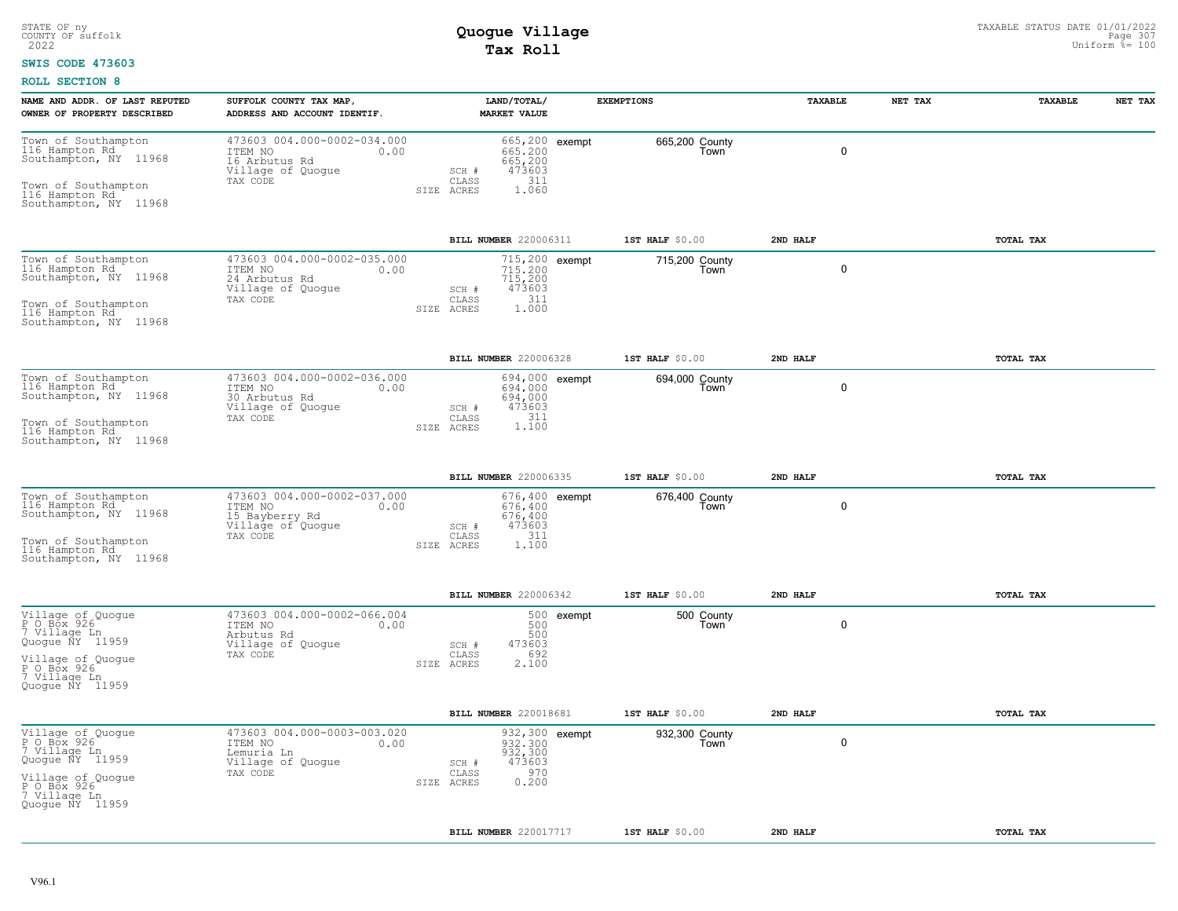#### **SWIS CODE 473603**

| NAME AND ADDR. OF LAST REPUTED<br>OWNER OF PROPERTY DESCRIBED                                                                              | SUFFOLK COUNTY TAX MAP,<br>ADDRESS AND ACCOUNT IDENTIF.                                           |                                         | LAND/TOTAL/<br><b>MARKET VALUE</b>                             | <b>EXEMPTIONS</b>      | TAXABLE     | NET TAX | TAXABLE   | NET TAX |
|--------------------------------------------------------------------------------------------------------------------------------------------|---------------------------------------------------------------------------------------------------|-----------------------------------------|----------------------------------------------------------------|------------------------|-------------|---------|-----------|---------|
| Town of Southampton<br>116 Hampton Rd<br>Southampton, NY 11968<br>Town of Southampton<br>116 Hampton Rd<br>Southampton, NY 11968           | 473603 004.000-0002-034.000<br>ITEM NO<br>0.00<br>16 Arbutus Rd<br>Village of Quogue<br>TAX CODE  | SCH #<br>CLASS<br>SIZE ACRES            | 665,200 exempt<br>665.200<br>665,200<br>473603<br>311<br>1.060 | 665,200 County<br>Town | $\mathbf 0$ |         |           |         |
|                                                                                                                                            |                                                                                                   |                                         | BILL NUMBER 220006311                                          | 1ST HALF $$0.00$       | 2ND HALF    |         | TOTAL TAX |         |
| Town of Southampton<br>116 Hampton Rd., 11/<br>Southampton, NY 11968<br>Town of Southampton<br>116 Hampton Rd<br>Southampton, NY 11968     | 473603 004.000-0002-035.000<br>ITEM NO<br>0.00<br>24 Arbutus Rd<br>Village of Quogue<br>TAX CODE  | SCH #<br>$\mathtt{CLASS}$<br>SIZE ACRES | 715,200 exempt<br>715,200<br>715,200<br>473603<br>311<br>1,000 | 715,200 County<br>Town | 0           |         |           |         |
|                                                                                                                                            |                                                                                                   |                                         | BILL NUMBER 220006328                                          | 1ST HALF \$0.00        | 2ND HALF    |         | TOTAL TAX |         |
| Town of Southampton<br>116 Hampton Rd<br>Southampton, NY 11968<br>Town of Southampton<br>116 Hampton Rd<br>Southampton, NY 11968           | 473603 004.000-0002-036.000<br>ITEM NO<br>0.00<br>30 Arbutus Rd<br>Village of Quogue<br>TAX CODE  | SCH #<br>CLASS<br>SIZE ACRES            | 694,000 exempt<br>694,000<br>694,000<br>473603<br>1.100        | 694,000 County<br>Town | $\mathbf 0$ |         |           |         |
|                                                                                                                                            |                                                                                                   |                                         | BILL NUMBER 220006335                                          | 1ST HALF \$0.00        | 2ND HALF    |         | TOTAL TAX |         |
| Town of Southampton<br>116 Hampton Rd., 11/<br>Southampton, NY 11968<br>Town of Southampton<br>116 Hampton Rd<br>Southampton, NY 11968     | 473603 004.000-0002-037.000<br>ITEM NO<br>0.00<br>15 Bayberry Rd<br>Village of Quogue<br>TAX CODE | SCH #<br>CLASS<br>SIZE ACRES            | 676,400 exempt<br>676.400<br>676,400<br>473603<br>311<br>1.100 | 676,400 County<br>Town | $\mathbf 0$ |         |           |         |
|                                                                                                                                            |                                                                                                   |                                         | BILL NUMBER 220006342                                          | 1ST HALF $$0.00$       | 2ND HALF    |         | TOTAL TAX |         |
| Village of Quogue<br>P O Box 926<br>7 Village Ln<br>Quogue ÑY 11959<br>Village of Quoque<br>P O Box 926<br>7 Village Ln<br>Quoque NY 11959 | 473603 004.000-0002-066.004<br>ITEM NO<br>0.00<br>Arbutus Rd<br>Village of Quogue<br>TAX CODE     | SCH #<br>CLASS<br>SIZE ACRES            | 500 exempt<br>500<br>500<br>473603<br>692<br>2.100             | 500 County<br>Town     | 0           |         |           |         |
|                                                                                                                                            |                                                                                                   |                                         | BILL NUMBER 220018681                                          | 1ST HALF $$0.00$       | 2ND HALF    |         | TOTAL TAX |         |
| Village of Quogue<br>PO Box 926<br>7 Village Ln<br>Quogue NY 11959<br>Village of Quoque<br>POBOX 926~<br>7 Village Ln<br>Quoque NY 11959   | 473603 004.000-0003-003.020<br>ITEM NO<br>0.00<br>Lemuria Ln<br>Village of Quogue<br>TAX CODE     | SCH #<br>CLASS<br>SIZE ACRES            | 932,300 exempt<br>932,300<br>932,300<br>473603<br>970<br>0.200 | 932,300 County<br>Town | $\mathbf 0$ |         |           |         |
|                                                                                                                                            |                                                                                                   |                                         | BILL NUMBER 220017717                                          | 1ST HALF $$0.00$       | 2ND HALF    |         | TOTAL TAX |         |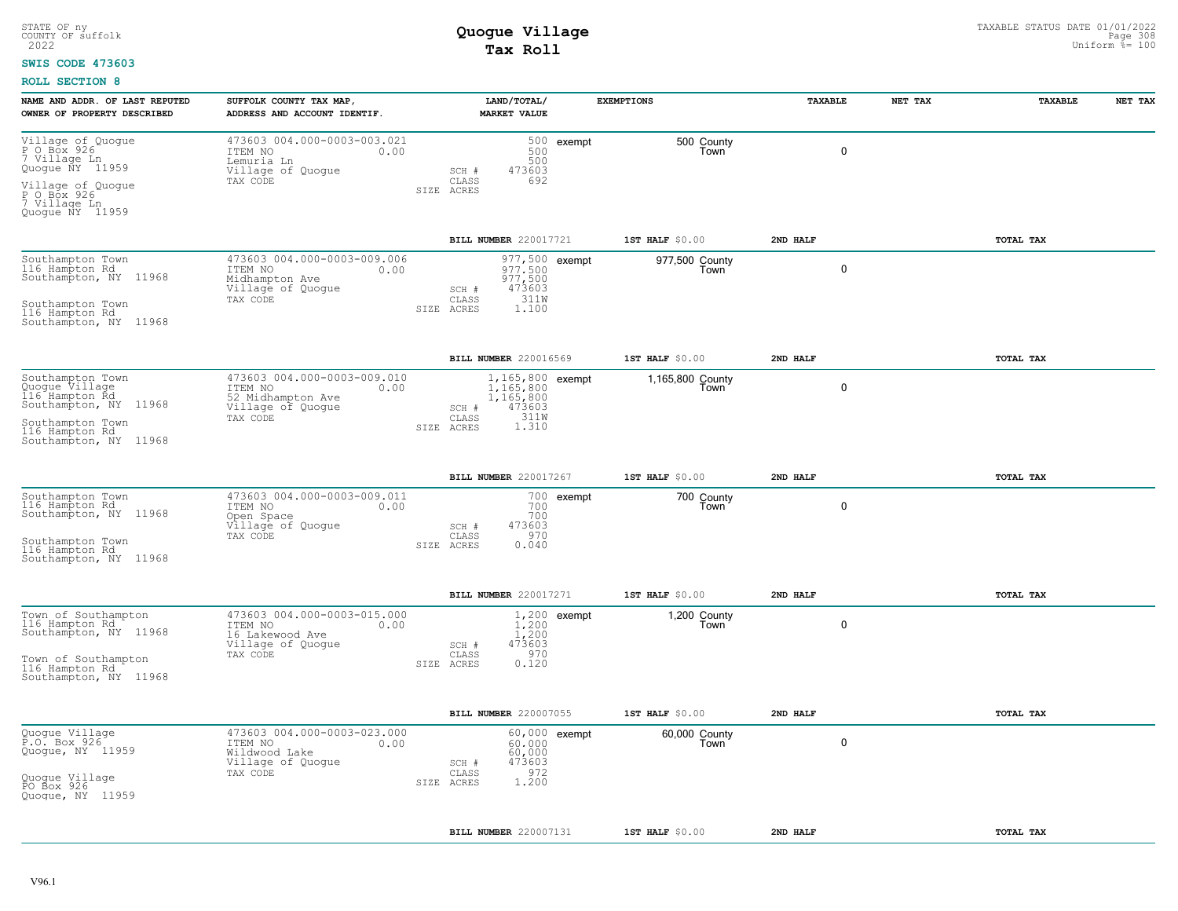#### **SWIS CODE 473603**

| NAME AND ADDR. OF LAST REPUTED<br>OWNER OF PROPERTY DESCRIBED                                                                                | SUFFOLK COUNTY TAX MAP,<br>ADDRESS AND ACCOUNT IDENTIF.                                              |            | LAND/TOTAL/<br><b>MARKET VALUE</b>                                                      |                | <b>EXEMPTIONS</b>        | TAXABLE     | NET TAX | TAXABLE   | NET TAX |
|----------------------------------------------------------------------------------------------------------------------------------------------|------------------------------------------------------------------------------------------------------|------------|-----------------------------------------------------------------------------------------|----------------|--------------------------|-------------|---------|-----------|---------|
| Village of Quogue<br>P O Box 926<br>7 Village Ln<br>Quogue NY 11959<br>Village of Quoque<br>P O Box 926<br>7 Village Ln<br>Quoque NY 11959   | 473603 004.000-0003-003.021<br>ITEM NO<br>0.00<br>Lemuria Ln<br>Village of Quogue<br>TAX CODE        | SIZE ACRES | 500<br>500<br>473603<br>SCH #<br>692<br>CLASS                                           | 500 exempt     | 500 County<br>Town       | 0           |         |           |         |
|                                                                                                                                              |                                                                                                      |            | BILL NUMBER 220017721                                                                   |                | 1ST HALF $$0.00$         | 2ND HALF    |         | TOTAL TAX |         |
| Southampton Town<br>116 Hampton Rd<br>Southampton, NY 11968<br>Southampton Town<br>116 Hampton Rd<br>Southampton, NY 11968                   | 473603 004.000-0003-009.006<br>ITEM NO<br>0.00<br>Midhampton Ave<br>Village of Quogue<br>TAX CODE    | SIZE ACRES | 977,500 exempt<br>977.500<br>977,500<br>473603<br>SCH #<br>311W<br>CLASS<br>1,100       |                | 977,500 County<br>Town   | 0           |         |           |         |
|                                                                                                                                              |                                                                                                      |            | BILL NUMBER 220016569                                                                   |                | 1ST HALF \$0.00          | 2ND HALF    |         | TOTAL TAX |         |
| Southampton Town<br>Cuogue Village<br>116 Hampton Rd<br>Southampton, NY 11968<br>Southampton Town<br>116 Hampton Rd<br>Southampton, NY 11968 | 473603 004.000-0003-009.010<br>ITEM NO<br>0.00<br>52 Midhampton Ave<br>Village of Quogue<br>TAX CODE | SIZE ACRES | 1,165,800 exempt<br>1,165,800<br>1,165,800<br>473603<br>SCH #<br>CLASS<br>311W<br>1.310 |                | 1,165,800 County<br>Town | 0           |         |           |         |
|                                                                                                                                              |                                                                                                      |            | BILL NUMBER 220017267                                                                   |                | 1ST HALF $$0.00$         | 2ND HALF    |         | TOTAL TAX |         |
| Southampton Town<br>116 Hampton Rd<br>Southampton, NY 11968<br>Southampton Town<br>116 Hampton Rd<br>Southampton, NY 11968                   | 473603 004.000-0003-009.011<br>ITEM NO<br>0.00<br>Open Space<br>Village of Quogue<br>TAX CODE        | SIZE ACRES | 700<br>700<br>473603<br>SCH #<br>970<br>CLASS<br>0.040                                  | 700 exempt     | 700 County<br>Town       | 0           |         |           |         |
|                                                                                                                                              |                                                                                                      |            | BILL NUMBER 220017271                                                                   |                | 1ST HALF \$0.00          | 2ND HALF    |         | TOTAL TAX |         |
| Town of Southampton<br>116 Hampton Rd., 11/<br>Southampton, NY 11968<br>Town of Southampton<br>116 Hampton Rd<br>Southampton, NY 11968       | 473603 004.000-0003-015.000<br>ITEM NO<br>0.00<br>16 Lakewood Ave<br>Village of Quogue<br>TAX CODE   | SIZE ACRES | $1.200$<br>$1,200$<br>$473603$<br>SCH #<br>970<br>CLASS<br>0.120                        | $1,200$ exempt | 1,200 County<br>Town     | $\mathbf 0$ |         |           |         |
|                                                                                                                                              |                                                                                                      |            | BILL NUMBER 220007055                                                                   |                | 1ST HALF \$0.00          | 2ND HALF    |         | TOTAL TAX |         |
| Quogue Village<br>P.O. Box 926<br>Quogue, NY 11959<br>Quogue Village<br>PO Box 926<br>Quoque, NY 11959                                       | 473603 004.000-0003-023.000<br>ITEM NO<br>0.00<br>Wildwood Lake<br>Village of Quogue<br>TAX CODE     | SIZE ACRES | $60.000$<br>$60,000$<br>473603<br>SCH #<br>972<br>CLASS<br>1.200                        | 60,000 exempt  | 60,000 County<br>Town    | $\mathbf 0$ |         |           |         |
|                                                                                                                                              |                                                                                                      |            | BILL NUMBER 220007131                                                                   |                | 1ST HALF \$0.00          | 2ND HALF    |         | TOTAL TAX |         |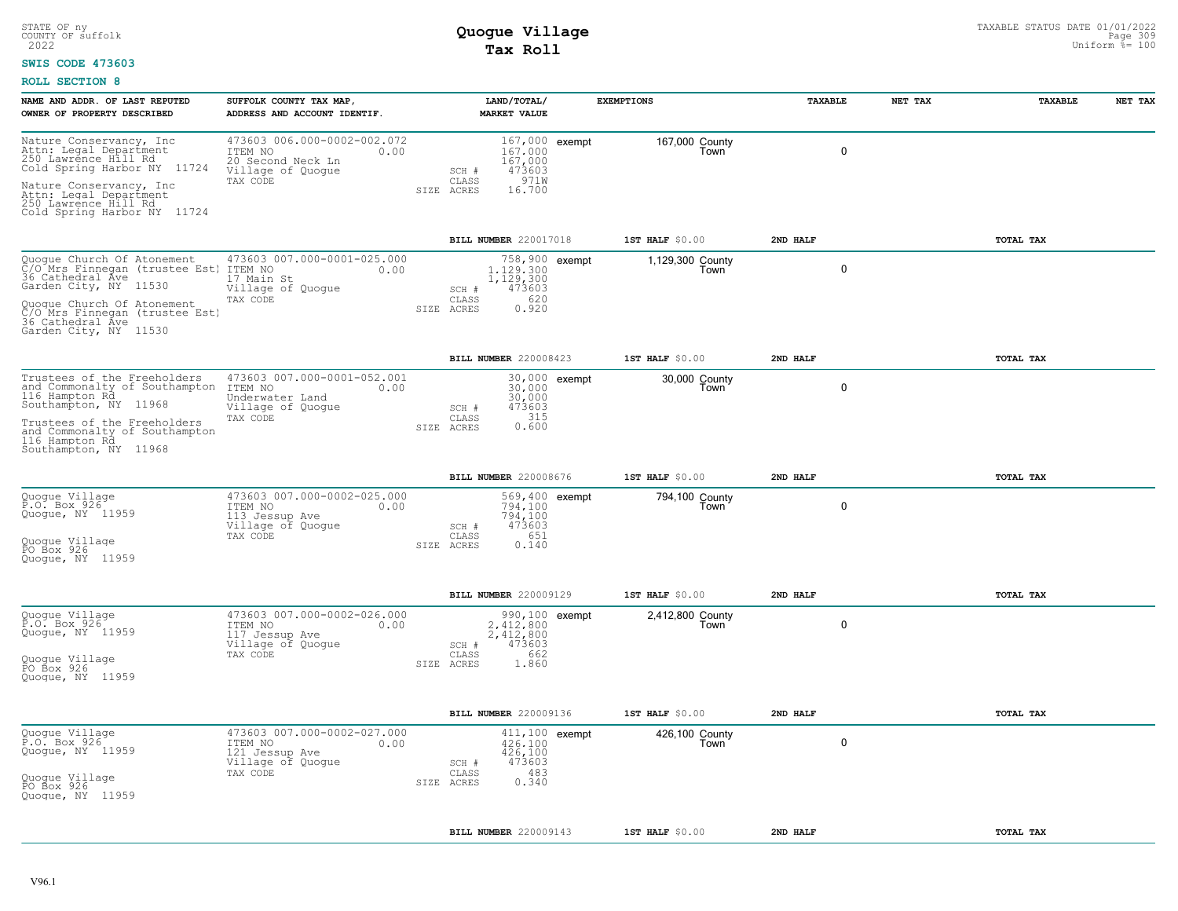#### **SWIS CODE 473603**

| NAME AND ADDR. OF LAST REPUTED                                                                                                                                                                                         | SUFFOLK COUNTY TAX MAP,                                                                              | LAND/TOTAL/                                                                                                   |               | <b>EXEMPTIONS</b>        | TAXABLE  | NET TAX     | TAXABLE   | NET TAX |
|------------------------------------------------------------------------------------------------------------------------------------------------------------------------------------------------------------------------|------------------------------------------------------------------------------------------------------|---------------------------------------------------------------------------------------------------------------|---------------|--------------------------|----------|-------------|-----------|---------|
| OWNER OF PROPERTY DESCRIBED                                                                                                                                                                                            | ADDRESS AND ACCOUNT IDENTIF.                                                                         | <b>MARKET VALUE</b>                                                                                           |               |                          |          |             |           |         |
| Nature Conservancy, Inc<br>Attn: Legal Department<br>250 Lawrence Hill Rd<br>Cold Spring Harbor NY 11724<br>Nature Conservancy, Inc.<br>Attn: Legal Department<br>250 Lawrence Hill Rd<br>Cold Spring Harbor NY 11724  | 473603 006.000-0002-002.072<br>ITEM NO<br>0.00<br>20 Second Neck Ln<br>Village of Quogue<br>TAX CODE | 167,000 exempt<br>167,000<br>167,000<br>473603<br>SCH #<br>971W<br>CLASS<br>SIZE ACRES<br>16.700              |               | 167,000 County<br>Town   |          | $\mathbf 0$ |           |         |
|                                                                                                                                                                                                                        |                                                                                                      | BILL NUMBER 220017018                                                                                         |               | 1ST HALF \$0.00          | 2ND HALF |             | TOTAL TAX |         |
| Quogue Church Of Atonement<br>C/O_Mrs Finnegan (trustee Est)<br>36 Cathedral Áve<br>Garden City, NY 11530<br>Quogue Church Of Atonement<br>C/O Mrs Finnegan (trustee Est)<br>36 Cathedral Ave<br>Garden City, NY 11530 | 473603 007.000-0001-025.000<br>ITEM NO<br>0.00<br>17 Main St<br>Village of Quogue<br>TAX CODE        | 758,900 exempt<br>1,129,300<br>1,129,300<br>473603<br>SCH #<br>620<br>CLASS<br>0.920<br>SIZE ACRES            |               | 1,129,300 County<br>Town |          | $\mathbf 0$ |           |         |
|                                                                                                                                                                                                                        |                                                                                                      | BILL NUMBER 220008423                                                                                         |               | 1ST HALF \$0.00          | 2ND HALF |             | TOTAL TAX |         |
| Trustees of the Freeholders<br>and Commonalty of Southampton<br>116 Hampton Rd<br>Southampton, NY 11968<br>Trustees of the Freeholders<br>and Commonalty of Southampton<br>116 Hampton Rd<br>Southampton, NY 11968     | 473603 007.000-0001-052.001<br>ITEM NO<br>0.00<br>Underwater Land<br>Village of Quogue<br>TAX CODE   | 30,000<br>30,000<br>473603<br>SCH #<br>315<br>CLASS<br>0.600<br>SIZE ACRES                                    | 30,000 exempt | 30,000 County<br>Town    |          | $\mathbf 0$ |           |         |
|                                                                                                                                                                                                                        |                                                                                                      | BILL NUMBER 220008676                                                                                         |               | 1ST HALF \$0.00          | 2ND HALF |             | TOTAL TAX |         |
| Quogue Village<br>P.O. Box 926<br>Quogue, NY 11959<br>Quoque Village<br>PO Box 926<br>Quoque, NY 11959                                                                                                                 | 473603 007.000-0002-025.000<br>ITEM NO<br>0.00<br>113 Jessup Ave<br>Village of Quogue<br>TAX CODE    | 569,400 exempt<br>794,100<br>794,100<br>473603<br>SCH #<br>651<br>CLASS<br>0.140<br>SIZE ACRES                |               | 794,100 County<br>Town   |          | $\mathbf 0$ |           |         |
|                                                                                                                                                                                                                        |                                                                                                      | <b>BILL NUMBER 220009129</b>                                                                                  |               | 1ST HALF \$0.00          | 2ND HALF |             | TOTAL TAX |         |
| Quogue Village<br>P.O. Box 926<br>Quogue, NY 11959<br>Quogue Village<br>PO Box 926<br>Quoque, NY 11959                                                                                                                 | 473603 007.000-0002-026.000<br>ITEM NO<br>0.00<br>117 Jessup Ave<br>Village of Quogue<br>TAX CODE    | 990,100 exempt<br>2,412,800<br>2,412,800<br>473603<br>SCH #<br>662<br>$\mathtt{CLASS}$<br>SIZE ACRES<br>1.860 |               | 2,412,800 County<br>Town |          | $\mathbf 0$ |           |         |
|                                                                                                                                                                                                                        |                                                                                                      | BILL NUMBER 220009136                                                                                         |               | 1ST HALF \$0.00          | 2ND HALF |             | TOTAL TAX |         |
| Quogue Village<br>P.O. Box 926<br>Quogue, NY 11959<br>Quogue Village<br>PO Box 926<br>Quoque, NY 11959                                                                                                                 | 473603 007.000-0002-027.000<br>ITEM NO<br>0.00<br>121 Jessup Ave<br>Village of Quogue<br>TAX CODE    | 411,100 exempt<br>426,100<br>426,100<br>473603<br>SCH #<br>483<br>CLASS<br>0.340<br>SIZE ACRES                |               | 426,100 County<br>Town   |          | $\mathbf 0$ |           |         |
|                                                                                                                                                                                                                        |                                                                                                      | BILL NUMBER 220009143                                                                                         |               | 1ST HALF \$0.00          | 2ND HALF |             | TOTAL TAX |         |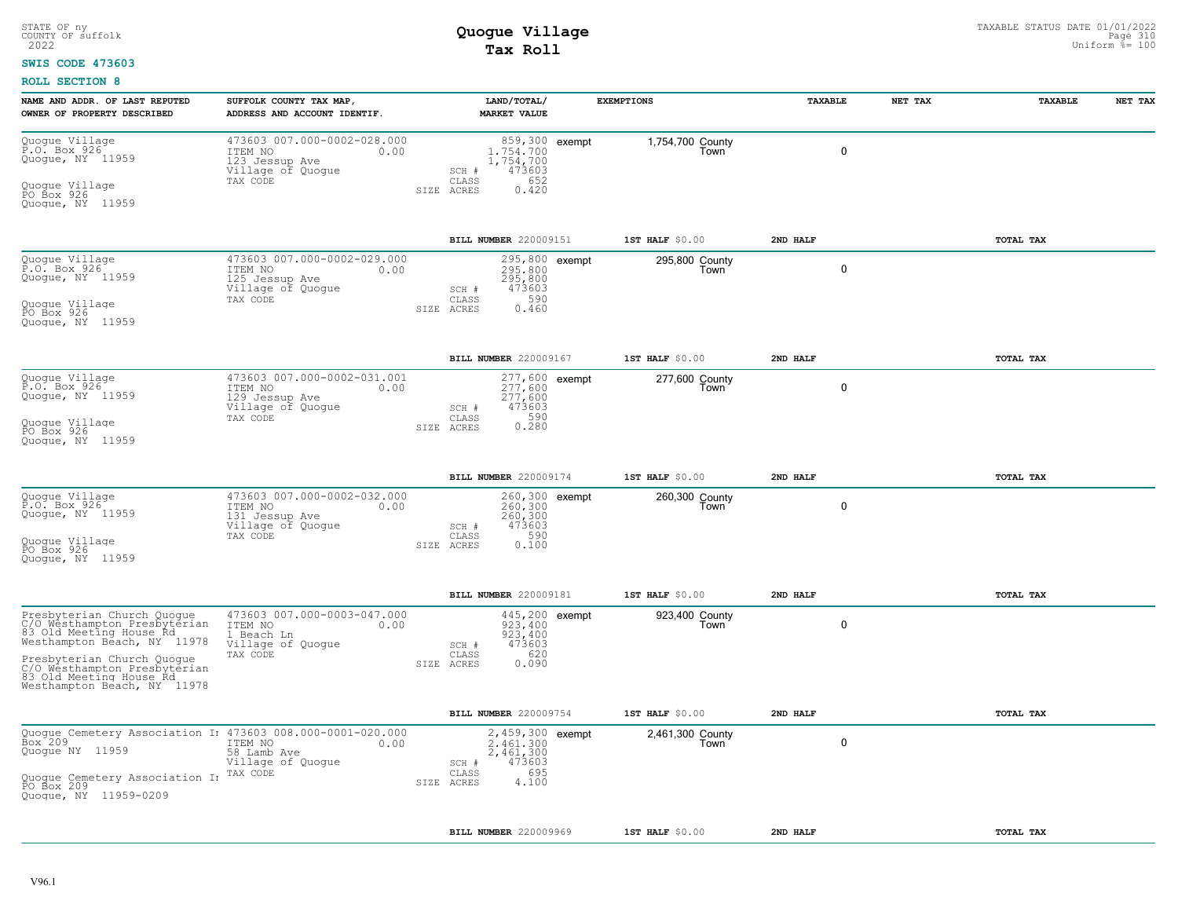#### **SWIS CODE 473603**

| NAME AND ADDR. OF LAST REPUTED<br>OWNER OF PROPERTY DESCRIBED                                                                                                                                                                                | SUFFOLK COUNTY TAX MAP,<br>ADDRESS AND ACCOUNT IDENTIF.                                           |            | LAND/TOTAL/<br><b>MARKET VALUE</b>                                                                 | <b>EXEMPTIONS</b>        | TAXABLE      | NET TAX | TAXABLE   | NET TAX |
|----------------------------------------------------------------------------------------------------------------------------------------------------------------------------------------------------------------------------------------------|---------------------------------------------------------------------------------------------------|------------|----------------------------------------------------------------------------------------------------|--------------------------|--------------|---------|-----------|---------|
| Quogue Village<br>P.O. Box 926<br>Quogue, NY 11959<br>Quogue Village<br>PO Box 926<br>Quoque, NY 11959                                                                                                                                       | 473603 007.000-0002-028.000<br>ITEM NO<br>0.00<br>123 Jessup Ave<br>Village of Quogue<br>TAX CODE |            | 859,300 exempt<br>1,754,700<br>1,754,700<br>473603<br>SCH #<br>652<br>CLASS<br>0.420<br>SIZE ACRES | 1,754,700 County<br>Town | $\mathbf{0}$ |         |           |         |
|                                                                                                                                                                                                                                              |                                                                                                   |            | BILL NUMBER 220009151                                                                              | 1ST HALF \$0.00          | 2ND HALF     |         | TOTAL TAX |         |
| Quogue Village<br>P.O. Box 926<br>Quoque, NY 11959<br>Quogue Village<br>PO Box 926<br>Quogue, NY 11959                                                                                                                                       | 473603 007.000-0002-029.000<br>ITEM NO<br>0.00<br>125 Jessup Ave<br>Village of Quogue<br>TAX CODE |            | 295,800 exempt<br>295,800<br>295,800<br>SCH #<br>473603<br>590<br>CLASS<br>0.460<br>SIZE ACRES     | 295,800 County<br>Town   | $\Omega$     |         |           |         |
|                                                                                                                                                                                                                                              |                                                                                                   |            | BILL NUMBER 220009167                                                                              | 1ST HALF \$0.00          | 2ND HALF     |         | TOTAL TAX |         |
| Quogue Village<br>P.O. Box 926<br>Quogue, NY 11959<br>Quoque Villaqe<br>PO Box 926<br>Quoque, NY 11959                                                                                                                                       | 473603 007.000-0002-031.001<br>ITEM NO<br>0.00<br>129 Jessup Ave<br>Village of Quogue<br>TAX CODE |            | 277,600 exempt<br>277,600<br>277,600<br>473603<br>SCH #<br>0.590<br>CLASS<br>SIZE ACRES            | 277,600 County<br>Town   | 0            |         |           |         |
|                                                                                                                                                                                                                                              |                                                                                                   |            | <b>BILL NUMBER 220009174</b>                                                                       | 1ST HALF $$0.00$         | 2ND HALF     |         | TOTAL TAX |         |
| Quogue Village<br>P.O. Box 926<br>Quogue, NY 11959<br>Quoque Villaqe<br>PO Box 926<br>Quoque, NY 11959                                                                                                                                       | 473603 007.000-0002-032.000<br>ITEM NO<br>0.00<br>131 Jessup Ave<br>Village of Quogue<br>TAX CODE |            | 260,300 exempt<br>260,300<br>260,300<br>473603<br>SCH #<br>590<br>CLASS<br>0.100<br>SIZE ACRES     | 260,300 County<br>Town   | 0            |         |           |         |
|                                                                                                                                                                                                                                              |                                                                                                   |            | <b>BILL NUMBER 220009181</b>                                                                       | 1ST HALF $$0.00$         | 2ND HALF     |         | TOTAL TAX |         |
| Presbyterian Church Quogue<br>C/O Westhampton Presbyterian<br>83 Old Meeting House Rd<br>Westhampton Béach, NY 11978<br>Presbyterian Church Quoque<br>C/O Westhampton Presbyterian<br>83 Old Meeting House Rd<br>Westhampton Beach, NY 11978 | 473603 007.000-0003-047.000<br>ITEM NO<br>0.00<br>1 Beach Ln<br>Village of Quogue<br>TAX CODE     |            | 445,200 exempt<br>923.400<br>923,400<br>473603<br>SCH #<br>620<br>CLASS<br>0.090<br>SIZE ACRES     | 923,400 County<br>Town   | 0            |         |           |         |
|                                                                                                                                                                                                                                              |                                                                                                   |            | BILL NUMBER 220009754                                                                              | 1ST HALF \$0.00          | 2ND HALF     |         | TOTAL TAX |         |
| Quogue Cemetery Association I: 473603 008.000-0001-020.000<br>Box <sup>-</sup> 209<br>Quoque NY 11959<br>Quoque Cemetery Association In TAX CODE<br>PO Box 209<br>Quoque, NY 11959-0209                                                      | ITEM NO<br>0.00<br>58 Lamb Ave<br>Village of Quogue                                               | SIZE ACRES | 2,459,300 exempt<br>2.461.300<br>2,461,300<br>473603<br>SCH #<br>695<br>CLASS<br>4.100             | 2,461,300 County<br>Town | $\mathbf 0$  |         |           |         |
|                                                                                                                                                                                                                                              |                                                                                                   |            | BILL NUMBER 220009969                                                                              | $1ST$ HALF $$0.00$       | 2ND HALF     |         | TOTAL TAX |         |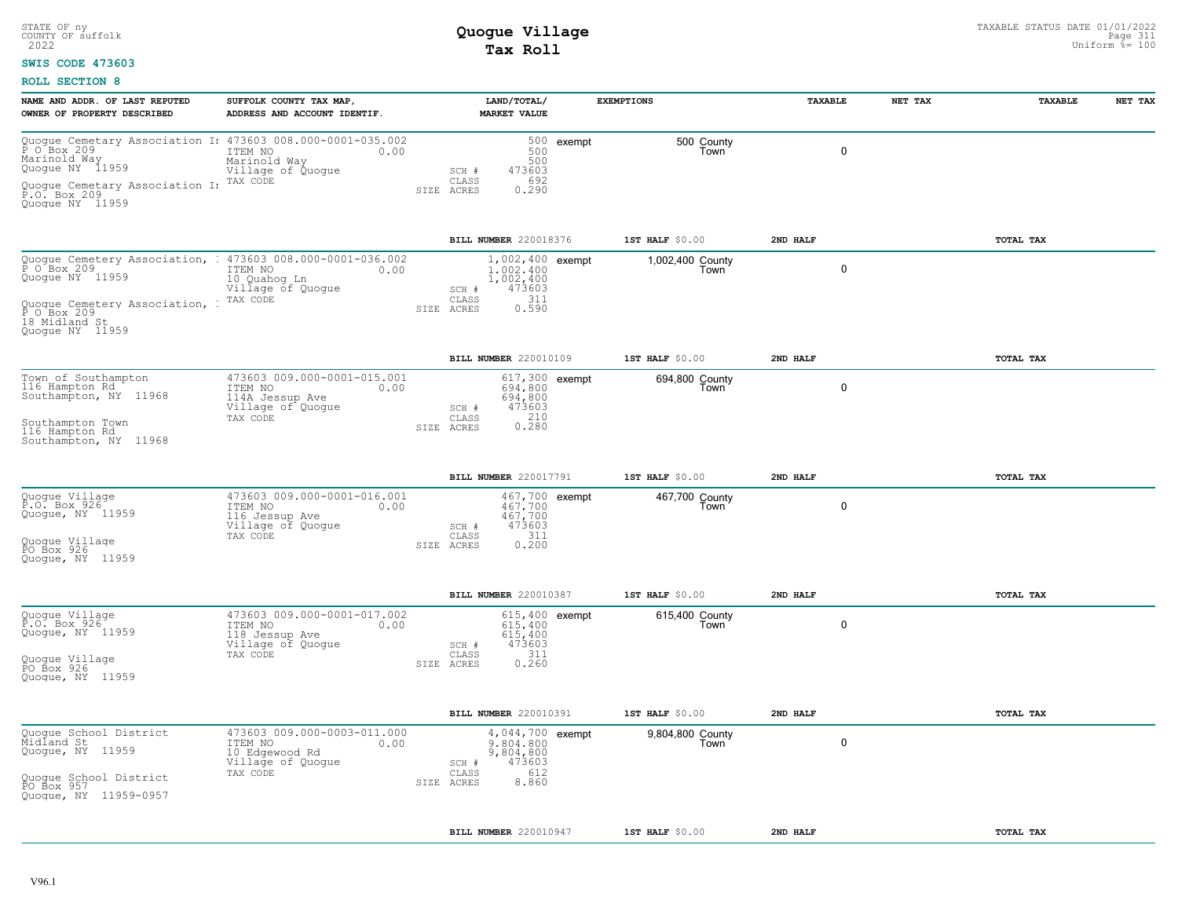### **SWIS CODE 473603**

| NAME AND ADDR. OF LAST REPUTED<br>OWNER OF PROPERTY DESCRIBED                                                                                                                                                             | SUFFOLK COUNTY TAX MAP,<br>ADDRESS AND ACCOUNT IDENTIF.                                            | LAND/TOTAL/<br><b>MARKET VALUE</b>                                                                         |            | <b>EXEMPTIONS</b>        | TAXABLE     | NET TAX | TAXABLE   | NET TAX |
|---------------------------------------------------------------------------------------------------------------------------------------------------------------------------------------------------------------------------|----------------------------------------------------------------------------------------------------|------------------------------------------------------------------------------------------------------------|------------|--------------------------|-------------|---------|-----------|---------|
| Ouogue Cemetary Association I: 473603 008.000-0001-035.002<br>P 0 Box 209 000 ITEM NO 000<br>Marinold Way<br>Quogue NY 11959<br>Quoque Cemetary Association I <sub>I</sub> TAX CODE<br>P.O. Box 209<br>Quoque NY 11959    | ITEM NO<br>0.00<br>Marinold Way<br>Village of Quogue                                               | 500<br>500<br>473603<br>SCH #<br>692<br>CLASS<br>SIZE ACRES<br>0.290                                       | 500 exempt | 500 County<br>Town       | $\mathbf 0$ |         |           |         |
|                                                                                                                                                                                                                           |                                                                                                    | BILL NUMBER 220018376                                                                                      |            | 1ST HALF \$0.00          | 2ND HALF    |         | TOTAL TAX |         |
| Quogue Cemetery Association, : 473603 008.000-0001-036.002<br>P O Box 209 TEM NO<br>Quogue NY 11959 10 Quahoq Ln<br>Quogue Cemetery Association, : <sup>TAX CODE</sup><br>P O Box 209<br>18 Midland St<br>Quogue NY 11959 | 10 Quahog Ln<br>Village of Quogue                                                                  | 1,002,400 exempt<br>1,002,400<br>1,002,400<br>473603<br>SCH #<br>$0.311$<br>$0.590$<br>CLASS<br>SIZE ACRES |            | 1,002,400 County<br>Town | $\mathbf 0$ |         |           |         |
|                                                                                                                                                                                                                           |                                                                                                    | BILL NUMBER 220010109                                                                                      |            | 1ST HALF \$0.00          | 2ND HALF    |         | TOTAL TAX |         |
| Town of Southampton<br>116 Hampton Rd<br>Southampton, NY 11968<br>Southampton Town<br>116 Hampton Rd<br>Southampton, NY 11968                                                                                             | 473603 009.000-0001-015.001<br>ITEM NO<br>0.00<br>114A Jessup Ave<br>Village of Quogue<br>TAX CODE | 617,300 exempt<br>694,800<br>694,800<br>473603<br>SCH #<br>$0.210$<br>$0.280$<br>CLASS<br>SIZE ACRES       |            | 694,800 County<br>Town   | $\mathbf 0$ |         |           |         |
|                                                                                                                                                                                                                           |                                                                                                    | BILL NUMBER 220017791                                                                                      |            | 1ST HALF \$0.00          | 2ND HALF    |         | TOTAL TAX |         |
| Quogue Village<br>P.O. Box 926<br>Quogue, NY 11959<br>Quoque Village<br>PO Box 926<br>Quoque, NY 11959                                                                                                                    | 473603 009.000-0001-016.001<br>ITEM NO<br>0.00<br>116 Jessup Ave<br>Village of Quogue<br>TAX CODE  | 467,700 exempt<br>$467.700$<br>$467,700$<br>473603<br>SCH #<br>311<br>CLASS<br>0.200<br>SIZE ACRES         |            | 467,700 County<br>Town   | $\mathbf 0$ |         |           |         |
|                                                                                                                                                                                                                           |                                                                                                    | BILL NUMBER 220010387                                                                                      |            | 1ST HALF \$0.00          | 2ND HALF    |         | TOTAL TAX |         |
| Quogue Village<br>P.O. Box 926<br>Quogue, NY 11959<br>Quogue Village<br>PO Box 926<br>Quogue, NY 11959                                                                                                                    | 473603 009.000-0001-017.002<br>ITEM NO<br>0.00<br>118 Jessup Ave<br>Village of Quogue<br>TAX CODE  | 615,400 exempt<br>615,400<br>615,400<br>473603<br>SCH #<br>311<br>CLASS<br>0.260<br>SIZE ACRES             |            | 615,400 County<br>Town   | $\mathbf 0$ |         |           |         |
|                                                                                                                                                                                                                           |                                                                                                    | BILL NUMBER 220010391                                                                                      |            | 1ST HALF \$0.00          | 2ND HALF    |         | TOTAL TAX |         |
| Quogue School District<br>Midland St<br>Quogue, NY 11959<br>Quogue School District<br>PO Box 957<br>Quogue, NY 11959-0957                                                                                                 | 473603 009.000-0003-011.000<br>0.00<br>ITEM NO<br>10 Edgewood Rd<br>Village of Quogue<br>TAX CODE  | 4,044,700 exempt<br>9,804,800<br>9,804,800<br>473603<br>SCH #<br>612<br>CLASS<br>8.860<br>SIZE ACRES       |            | 9,804,800 County<br>Town | 0           |         |           |         |
|                                                                                                                                                                                                                           |                                                                                                    | <b>BILL NUMBER 220010947</b>                                                                               |            | $1ST$ HALF $$0.00$       | 2ND HALF    |         | TOTAL TAX |         |
|                                                                                                                                                                                                                           |                                                                                                    |                                                                                                            |            |                          |             |         |           |         |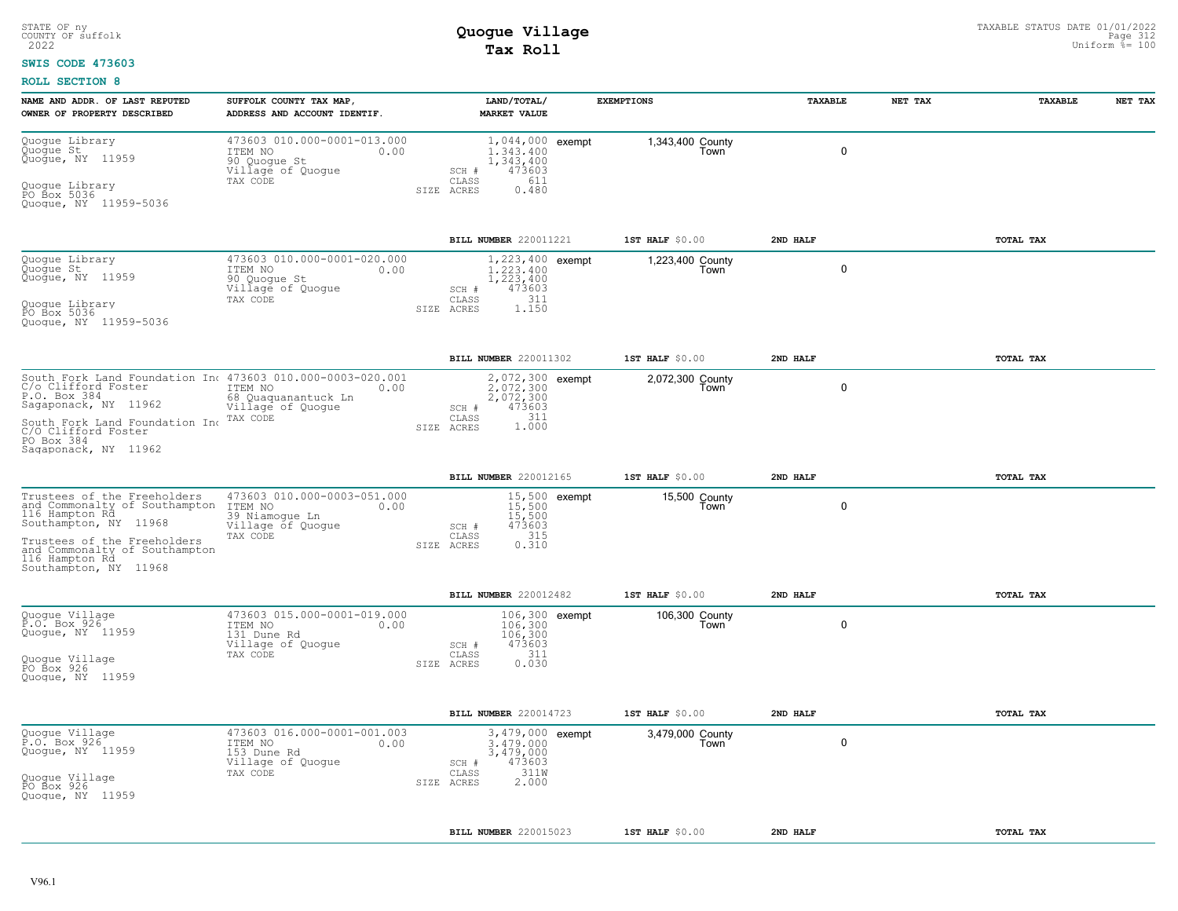### **SWIS CODE 473603**

| NAME AND ADDR. OF LAST REPUTED<br>OWNER OF PROPERTY DESCRIBED                                                                                                                                                                                                | SUFFOLK COUNTY TAX MAP,<br>ADDRESS AND ACCOUNT IDENTIF.                                           |            | LAND/TOTAL/<br><b>MARKET VALUE</b>                                                                | <b>EXEMPTIONS</b>        | TAXABLE     | NET TAX | TAXABLE          | NET TAX |
|--------------------------------------------------------------------------------------------------------------------------------------------------------------------------------------------------------------------------------------------------------------|---------------------------------------------------------------------------------------------------|------------|---------------------------------------------------------------------------------------------------|--------------------------|-------------|---------|------------------|---------|
| Quogue Library<br>Quogue St<br>Quogue, NY 11959<br>Quogue Library<br>PO Box 5036<br>Quoque, NY 11959-5036                                                                                                                                                    | 473603 010.000-0001-013.000<br>ITEM NO<br>0.00<br>90 Quogue St<br>Village of Quogue<br>TAX CODE   | SIZE ACRES | 1,044,000 exempt<br>1.343.400<br>1, 343, 400<br>473603<br>SCH #<br>611<br>CLASS<br>0.480          | 1,343,400 County<br>Town | $\mathbf 0$ |         |                  |         |
|                                                                                                                                                                                                                                                              |                                                                                                   |            | BILL NUMBER 220011221                                                                             | 1ST HALF \$0.00          | 2ND HALF    |         | <b>TOTAL TAX</b> |         |
| Quogue Library<br>Quogue St<br>Quoque, NY 11959<br>Quogue Library<br>PO Box 5036<br>Quogue, NY 11959-5036                                                                                                                                                    | 473603 010.000-0001-020.000<br>ITEM NO<br>0.00<br>90 Quogue St<br>Village of Quogue<br>TAX CODE   | SIZE ACRES | 1,223,400 exempt<br>1.223.400<br>1,223,400<br>473603<br>SCH #<br>311<br>$\mathtt{CLASS}$<br>1.150 | 1,223,400 County<br>Town | 0           |         |                  |         |
|                                                                                                                                                                                                                                                              |                                                                                                   |            | BILL NUMBER 220011302                                                                             | 1ST HALF \$0.00          | 2ND HALF    |         | TOTAL TAX        |         |
| South Fork Land Foundation In 473603 010.000-0003-020.001<br>C/o Clifford Foster 117EM NO<br>P.O. Box 384 control 68 Quaquanantuck Ln<br>Sagaponack, NY 11962<br>South Fork Land Foundation Inc<br>C/O Clifford Foster<br>PO Box 384<br>Saqaponack, NY 11962 | 68 Quaquanantuck Ln<br>Village of Quogue<br>TAX CODE                                              | SIZE ACRES | 2,072,300 exempt<br>2.072.300<br>2,072,300<br>473603<br>SCH #<br>$1.311$<br>$1.000$<br>CLASS      | 2,072,300 County<br>Town | $\mathbf 0$ |         |                  |         |
|                                                                                                                                                                                                                                                              |                                                                                                   |            | BILL NUMBER 220012165                                                                             | 1ST HALF \$0.00          | 2ND HALF    |         | TOTAL TAX        |         |
| Trustees of the Freeholders<br>and Commonalty of Southampton<br>116 Hampton Rd<br>Southampton, NY 11968<br>Trustees of the Freeholders<br>and Commonalty of Southampton<br>116 Hampton Rd<br>Southampton, NY 11968                                           | 473603 010.000-0003-051.000<br>ITEM NO<br>0.00<br>39 Niamogue Ln<br>Village of Quogue<br>TAX CODE | SIZE ACRES | 15,500 exempt<br>15,500<br>15,500<br>473603<br>SCH #<br>315<br>CLASS<br>0.310                     | 15,500 County<br>Town    | $\mathbf 0$ |         |                  |         |
|                                                                                                                                                                                                                                                              |                                                                                                   |            | BILL NUMBER 220012482                                                                             | 1ST HALF \$0.00          | 2ND HALF    |         | TOTAL TAX        |         |
| Quogue Village<br>P.O. Box 926<br>Quogue, NY 11959<br>Quogue Village<br>PO Box 926<br>Quoque, NY 11959                                                                                                                                                       | 473603 015.000-0001-019.000<br>ITEM NO<br>0.00<br>131 Dune Rd<br>Village of Quogue<br>TAX CODE    | SIZE ACRES | 106,300 exempt<br>106,300<br>106,300<br>473603<br>SCH #<br>311<br>CLASS<br>0.030                  | 106,300 County<br>Town   | $\mathbf 0$ |         |                  |         |
|                                                                                                                                                                                                                                                              |                                                                                                   |            | BILL NUMBER 220014723                                                                             | 1ST HALF \$0.00          | 2ND HALF    |         | TOTAL TAX        |         |
| Quogue Village<br>P.O. Box 926<br>Quogue, NY 11959<br>Quogue Village<br>PO Box 926<br>Quoque, NY 11959                                                                                                                                                       | 473603 016.000-0001-001.003<br>ITEM NO<br>0.00<br>153 Dune Rd<br>Village of Quogue<br>TAX CODE    | SIZE ACRES | 3,479,000 exempt<br>3,479,000<br>3,479,000<br>473603<br>SCH #<br>311W<br>CLASS<br>2.000           | 3,479,000 County<br>Town | 0           |         |                  |         |
|                                                                                                                                                                                                                                                              |                                                                                                   |            | BILL NUMBER 220015023                                                                             | 1ST HALF \$0.00          | 2ND HALF    |         | TOTAL TAX        |         |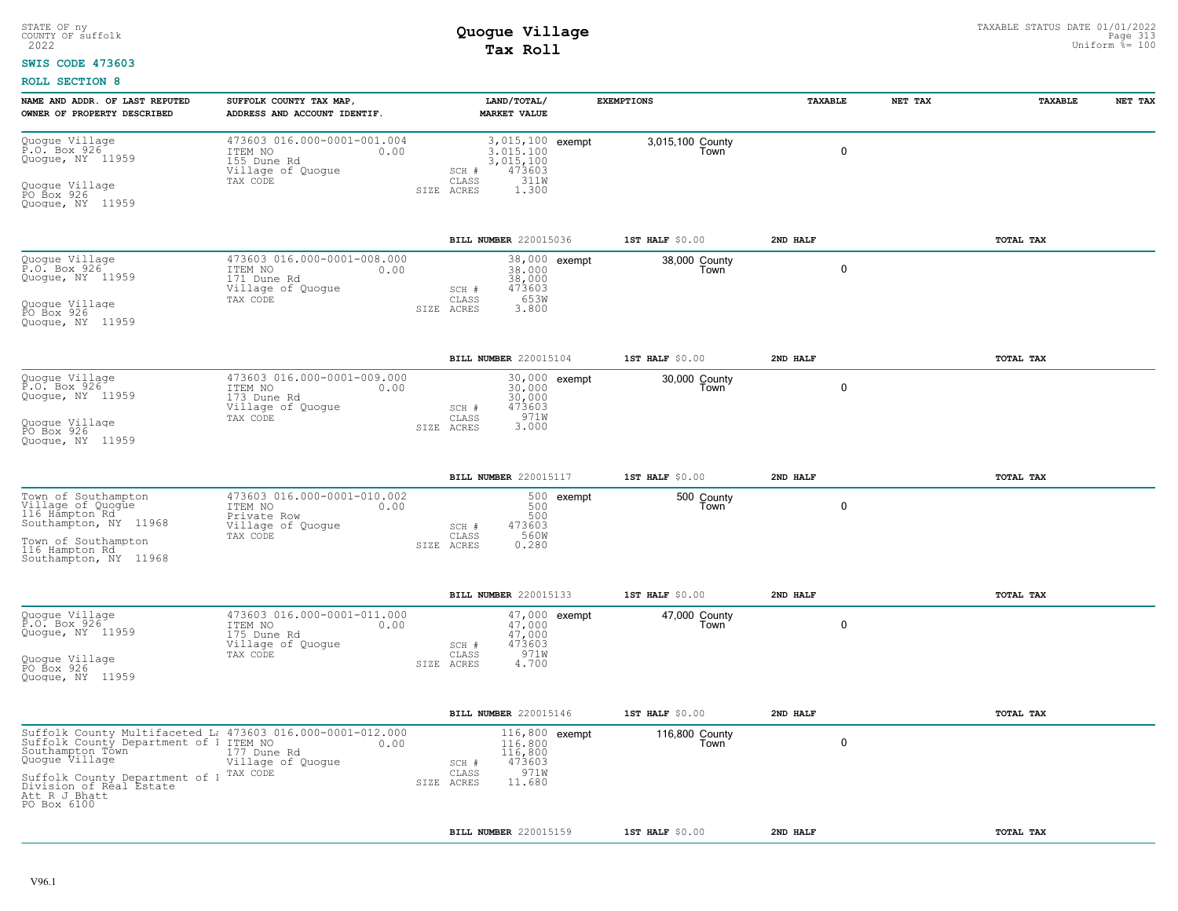### **SWIS CODE 473603**

| NAME AND ADDR. OF LAST REPUTED<br>OWNER OF PROPERTY DESCRIBED                                                                                                             | SUFFOLK COUNTY TAX MAP,<br>ADDRESS AND ACCOUNT IDENTIF.                                        |                       | LAND/TOTAL/<br><b>MARKET VALUE</b>                                                      | <b>EXEMPTIONS</b> |                          | <b>TAXABLE</b> | NET TAX | TAXABLE   | NET TAX |
|---------------------------------------------------------------------------------------------------------------------------------------------------------------------------|------------------------------------------------------------------------------------------------|-----------------------|-----------------------------------------------------------------------------------------|-------------------|--------------------------|----------------|---------|-----------|---------|
| Quogue Village<br>P.O. Box 926<br>Quogue, NY 11959<br>Quogue Village<br>PO Box 926<br>Quogue, NY 11959                                                                    | 473603 016.000-0001-001.004<br>ITEM NO<br>0.00<br>155 Dune Rd<br>Village of Quogue<br>TAX CODE | SIZE ACRES            | 3,015,100 exempt<br>3.015.100<br>3,015,100<br>473603<br>SCH #<br>311W<br>CLASS<br>1,300 |                   | 3,015,100 County<br>Town | $\mathbf 0$    |         |           |         |
|                                                                                                                                                                           |                                                                                                |                       | BILL NUMBER 220015036                                                                   |                   | 1ST HALF \$0.00          | 2ND HALF       |         | TOTAL TAX |         |
| Quogue Village<br>P.O. Box 926<br>Quoque, NY 11959<br>Quogue Village<br>PO Box 926                                                                                        | 473603 016.000-0001-008.000<br>ITEM NO<br>0.00<br>171 Dune Rd<br>Village of Quogue<br>TAX CODE |                       | 38,000 exempt<br>38,000<br>38,000<br>473603<br>SCH #<br>653W<br>CLASS<br>3.800          |                   | 38,000 County<br>Town    | $\mathbf 0$    |         |           |         |
| Quoque, NY 11959                                                                                                                                                          |                                                                                                | SIZE ACRES            |                                                                                         |                   |                          |                |         |           |         |
|                                                                                                                                                                           |                                                                                                |                       | BILL NUMBER 220015104                                                                   |                   | 1ST HALF \$0.00          | 2ND HALF       |         | TOTAL TAX |         |
| Quogue Village<br>P.O. Box 926<br>Quoque, NY 11959                                                                                                                        | 473603 016.000-0001-009.000<br>ITEM NO<br>0.00<br>173 Dune Rd<br>Village of Quogue<br>TAX CODE |                       | 30,000 exempt<br>30,000<br>30,000<br>SCH #<br>473603<br>971W<br>CLASS                   |                   | 30,000 County<br>Town    | $\mathbf 0$    |         |           |         |
| Quoque Village<br>PO Box 926<br>Quoque, NY 11959                                                                                                                          |                                                                                                | SIZE ACRES            | 3.000                                                                                   |                   |                          |                |         |           |         |
|                                                                                                                                                                           |                                                                                                |                       | BILL NUMBER 220015117                                                                   |                   | 1ST HALF \$0.00          | 2ND HALF       |         | TOTAL TAX |         |
| Town of Southampton<br>Village of Quogue<br>116 Hampton Rd.<br>Southampton, NY 11968<br>Town of Southampton<br>116 Hampton Rd                                             | 473603 016.000-0001-010.002<br>ITEM NO<br>0.00<br>Private Row<br>Village of Quogue<br>TAX CODE | SIZE ACRES            | 500 exempt<br>500<br>500<br>473603<br>SCH #<br>CLASS<br>560W<br>0.280                   |                   | 500 County<br>Town       | $\Omega$       |         |           |         |
| Southampton, NY 11968                                                                                                                                                     |                                                                                                |                       |                                                                                         |                   |                          |                |         |           |         |
|                                                                                                                                                                           |                                                                                                |                       | BILL NUMBER 220015133                                                                   |                   | 1ST HALF \$0.00          | 2ND HALF       |         | TOTAL TAX |         |
| Quogue Village<br>P.O. Box 926<br>Quogue, NY 11959                                                                                                                        | 473603 016.000-0001-011.000<br>ITEM NO<br>0.00<br>175 Dune Rd<br>Village of Quogue<br>TAX CODE |                       | 47,000 exempt<br>47.000<br>47,000<br>473603<br>SCH #<br>971W<br>CLASS                   |                   | 47,000 County<br>Town    | 0              |         |           |         |
| Quogue Village<br>PO Box 926<br>Quogue, NY 11959                                                                                                                          |                                                                                                | SIZE ACRES            | 4.700                                                                                   |                   |                          |                |         |           |         |
|                                                                                                                                                                           |                                                                                                | BILL NUMBER 220015146 |                                                                                         |                   | 1ST HALF \$0.00          | 2ND HALF       |         | TOTAL TAX |         |
| Suffolk County Multifaceted L: 473603 016.000-0001-012.000<br>Suffolk County Department of 1 ITEM NO 0.00<br>Southampton Town 177 Dune Rd<br>Quogue Village 1 177 Dune Rd | Village of Quogue                                                                              |                       | $116,800$ exempt<br>116,800<br>116,800<br>473603<br>SCH #                               |                   | 116,800 County<br>Town   | 0              |         |           |         |
| Suffolk County Department of 1 <sup>TAX CODE</sup><br>Division of Real Estate<br>Att R J Bhatt<br>PO Box 6100                                                             |                                                                                                | SIZE ACRES            | 971W<br>CLASS<br>11.680                                                                 |                   |                          |                |         |           |         |
|                                                                                                                                                                           |                                                                                                |                       | BILL NUMBER 220015159                                                                   |                   | 1ST HALF \$0.00          | 2ND HALF       |         | TOTAL TAX |         |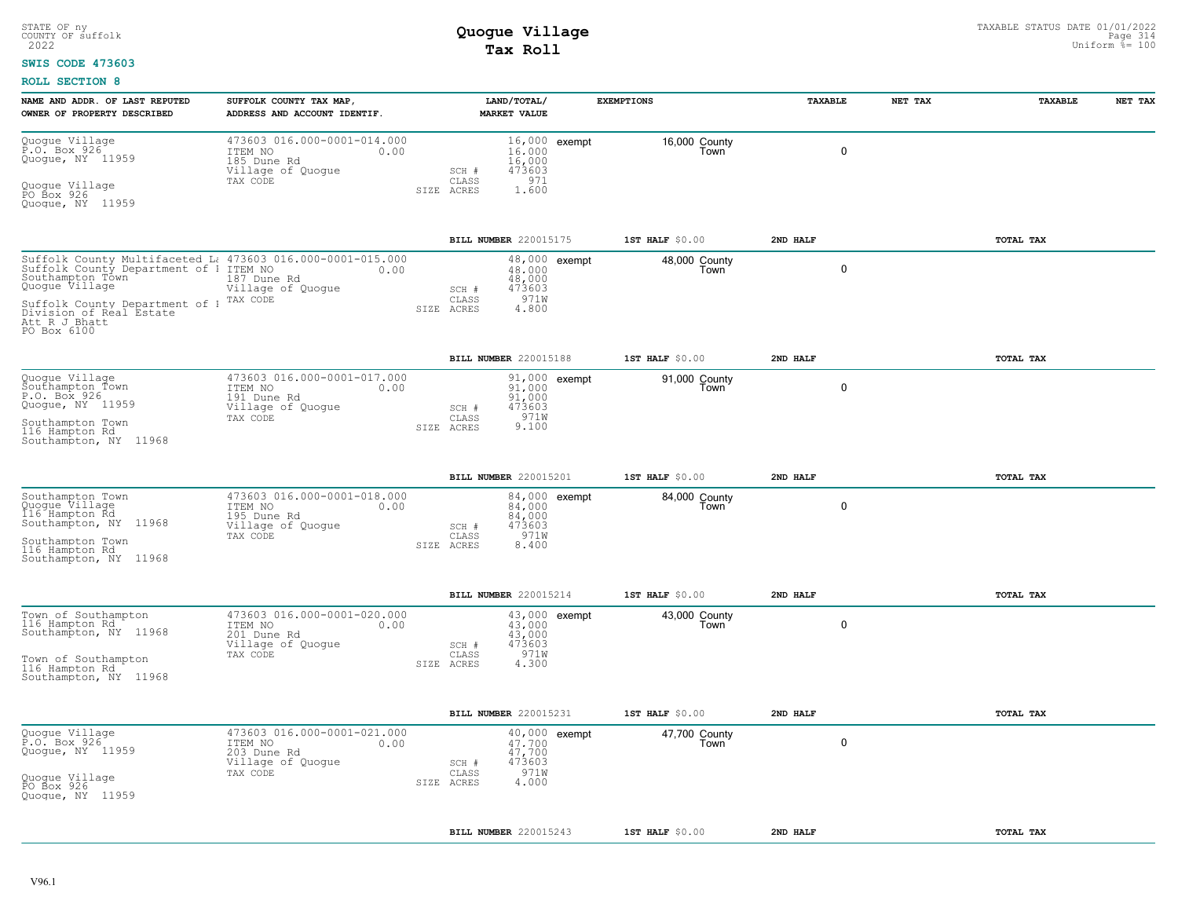#### **SWIS CODE 473603**

| NAME AND ADDR. OF LAST REPUTED<br>OWNER OF PROPERTY DESCRIBED                                                                                                                                                                                         | SUFFOLK COUNTY TAX MAP,<br>ADDRESS AND ACCOUNT IDENTIF.                                        | LAND/TOTAL/<br><b>MARKET VALUE</b>                                          |               | <b>EXEMPTIONS</b>     | TAXABLE      | NET TAX | TAXABLE   | NET TAX |
|-------------------------------------------------------------------------------------------------------------------------------------------------------------------------------------------------------------------------------------------------------|------------------------------------------------------------------------------------------------|-----------------------------------------------------------------------------|---------------|-----------------------|--------------|---------|-----------|---------|
| Quogue Village<br>P.O. Box 926<br>Quogue, NY 11959<br>Quogue Village<br>PO Box 926<br>Quoque, NY 11959                                                                                                                                                | 473603 016.000-0001-014.000<br>ITEM NO<br>0.00<br>185 Dune Rd<br>Village of Quogue<br>TAX CODE | 16,000<br>16,000<br>473603<br>SCH #<br>971<br>CLASS<br>1.600<br>SIZE ACRES  | 16,000 exempt | 16,000 County<br>Town | $\mathbf 0$  |         |           |         |
|                                                                                                                                                                                                                                                       |                                                                                                | BILL NUMBER 220015175                                                       |               | 1ST HALF \$0.00       | 2ND HALF     |         | TOTAL TAX |         |
| Suffolk County Multifaceted L: 473603 016.000-0001-015.000<br>Suffolk County Department of 1 ITEM NO 0.00<br>Southampton Town<br>Quogue Village<br>Suffolk County Department of 1 TAX CODE<br>Division of Real Estate<br>Att R J Bhatt<br>PO Box 6100 | 187 Dune Rd<br>Village of Quogue                                                               | 48,000<br>48,000<br>473603<br>SCH #<br>971W<br>CLASS<br>SIZE ACRES<br>4.800 | 48,000 exempt | 48,000 County<br>Town | 0            |         |           |         |
|                                                                                                                                                                                                                                                       |                                                                                                | BILL NUMBER 220015188                                                       |               | 1ST HALF \$0.00       | 2ND HALF     |         | TOTAL TAX |         |
| Quogue Village<br>Southampton Town<br>P.O. Box 926<br>Quogue, NY 11959<br>Southampton Town<br>116 Hampton Rd<br>Southampton, NY 11968                                                                                                                 | 473603 016.000-0001-017.000<br>ITEM NO<br>0.00<br>191 Dune Rd<br>Village of Quogue<br>TAX CODE | 91,000<br>91,000<br>473603<br>SCH #<br>971W<br>CLASS<br>9.100<br>SIZE ACRES | 91,000 exempt | 91,000 County<br>Town | $\mathbf{0}$ |         |           |         |
|                                                                                                                                                                                                                                                       |                                                                                                | BILL NUMBER 220015201                                                       |               | 1ST HALF \$0.00       | 2ND HALF     |         | TOTAL TAX |         |
| Southampton Town<br>Quogue Village<br>116 Hampton Rd<br>Southampton, NY 11968<br>Southampton Town<br>116 Hampton Rd<br>Southampton, NY 11968                                                                                                          | 473603 016.000-0001-018.000<br>ITEM NO<br>0.00<br>195 Dune Rd<br>Village of Quoque<br>TAX CODE | 84,000<br>84,000<br>473603<br>SCH #<br>971W<br>CLASS<br>8,400<br>SIZE ACRES | 84,000 exempt | 84,000 County<br>Town | $\mathbf 0$  |         |           |         |
|                                                                                                                                                                                                                                                       |                                                                                                | BILL NUMBER 220015214                                                       |               | 1ST HALF \$0.00       | 2ND HALF     |         | TOTAL TAX |         |
| Town of Southampton<br>116 Hampton Rd<br>Southampton, NY 11968<br>Town of Southampton<br>116 Hampton Rd<br>Southampton, NY 11968                                                                                                                      | 473603 016.000-0001-020.000<br>ITEM NO<br>0.00<br>201 Dune Rd<br>Village of Quogue<br>TAX CODE | 43,000<br>43,000<br>473603<br>SCH #<br>971W<br>CLASS<br>4.300<br>SIZE ACRES | 43,000 exempt | 43,000 County<br>Town | $\mathbf 0$  |         |           |         |
|                                                                                                                                                                                                                                                       |                                                                                                | BILL NUMBER 220015231                                                       |               | 1ST HALF \$0.00       | 2ND HALF     |         | TOTAL TAX |         |
| Quogue Village<br>P.O. Box 926<br>Quogue, NY 11959<br>Quogue Village<br>PO Box 926<br>Quoque, NY 11959                                                                                                                                                | 473603 016.000-0001-021.000<br>ITEM NO<br>0.00<br>203 Dune Rd<br>Village of Quogue<br>TAX CODE | 47.700<br>47,700<br>473603<br>SCH #<br>971W<br>CLASS<br>4.000<br>SIZE ACRES | 40,000 exempt | 47,700 County<br>Town | $\mathbf 0$  |         |           |         |
|                                                                                                                                                                                                                                                       |                                                                                                | BILL NUMBER 220015243                                                       |               | $1ST$ HALF $$0.00$    | 2ND HALF     |         | TOTAL TAX |         |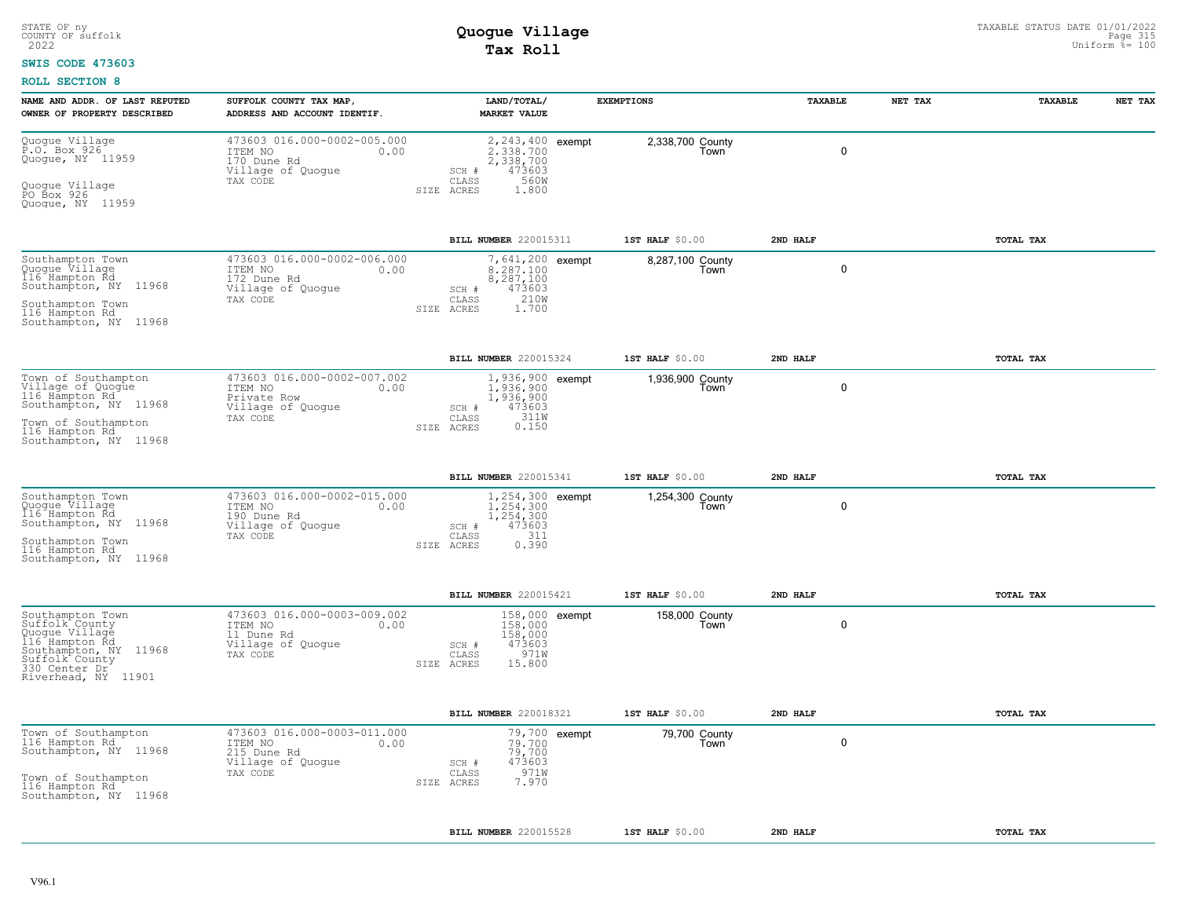#### **SWIS CODE 473603**

| NAME AND ADDR. OF LAST REPUTED<br>OWNER OF PROPERTY DESCRIBED                                                                                             | SUFFOLK COUNTY TAX MAP,<br>ADDRESS AND ACCOUNT IDENTIF.                                        |            | LAND/TOTAL/<br>MARKET VALUE                                                             | <b>EXEMPTIONS</b>        | <b>TAXABLE</b> | NET TAX | <b>TAXABLE</b> | NET TAX |
|-----------------------------------------------------------------------------------------------------------------------------------------------------------|------------------------------------------------------------------------------------------------|------------|-----------------------------------------------------------------------------------------|--------------------------|----------------|---------|----------------|---------|
| Quogue Village<br>P.O. Box 926<br>Quogue, NY 11959<br>Quogue Village<br>PO Box 926<br>Quoque, NY 11959                                                    | 473603 016.000-0002-005.000<br>ITEM NO<br>0.00<br>170 Dune Rd<br>Village of Quogue<br>TAX CODE | SIZE ACRES | 2,243,400 exempt<br>2.338.700<br>2,338,700<br>473603<br>SCH #<br>560W<br>CLASS<br>1.800 | 2,338,700 County<br>Town | 0              |         |                |         |
|                                                                                                                                                           |                                                                                                |            | BILL NUMBER 220015311                                                                   | 1ST HALF \$0.00          | 2ND HALF       |         | TOTAL TAX      |         |
| Southampton Town<br>Quogue Village<br>116 Hampton Rd<br>Southampton, NY 11968<br>Southampton Town<br>116 Hampton Rd<br>Southampton, NY 11968              | 473603 016.000-0002-006.000<br>0.00<br>ITEM NO<br>172 Dune Rd<br>Village of Quoque<br>TAX CODE | SIZE ACRES | 7,641,200 exempt<br>8.287.100<br>8,287,100<br>473603<br>SCH #<br>210W<br>CLASS<br>1.700 | 8,287,100 County<br>Town | 0              |         |                |         |
|                                                                                                                                                           |                                                                                                |            | BILL NUMBER 220015324                                                                   | 1ST HALF \$0.00          | 2ND HALF       |         | TOTAL TAX      |         |
| Town of Southampton<br>Village of Quogue<br>116 Hämpton Rd<br>Southampton, NY 11968<br>Town of Southampton<br>116 Hampton Rd<br>Southampton, NY 11968     | 473603 016.000-0002-007.002<br>ITEM NO<br>0.00<br>Private Row<br>Village of Quogue<br>TAX CODE | SIZE ACRES | 1,936,900 exempt<br>1,936,900<br>1,936,900<br>473603<br>SCH #<br>311W<br>CLASS<br>0.150 | 1,936,900 County<br>Town | 0              |         |                |         |
|                                                                                                                                                           |                                                                                                |            | BILL NUMBER 220015341                                                                   | 1ST HALF \$0.00          | 2ND HALF       |         | TOTAL TAX      |         |
| Southampton Town<br>Quogue Village<br>116 Hampton Rd.<br>Southampton, NY 11968<br>Southampton Town<br>116 Hampton Rd<br>Southampton, NY 11968             | 473603 016.000-0002-015.000<br>ITEM NO<br>0.00<br>190 Dune Rd<br>Village of Quogue<br>TAX CODE | SIZE ACRES | 1,254,300 exempt<br>1,254,300<br>1,254,300<br>473603<br>SCH #<br>311<br>CLASS<br>0.390  | 1,254,300 County<br>Town | 0              |         |                |         |
|                                                                                                                                                           |                                                                                                |            | BILL NUMBER 220015421                                                                   | 1ST HALF \$0.00          | 2ND HALF       |         | TOTAL TAX      |         |
| Southampton Town<br>Suffolk County<br>Quogue Village<br>116 Hampton Rd<br>Southampton, NY 11968<br>Suffolk County<br>330 Center Dr<br>Riverhead, NY 11901 | 473603 016.000-0003-009.002<br>ITEM NO<br>0.00<br>11 Dune Rd<br>Village of Quogue<br>TAX CODE  | SIZE ACRES | 158,000 exempt<br>158,000<br>158,000<br>473603<br>SCH #<br>971W<br>CLASS<br>15.800      | 158,000 County<br>Town   | 0              |         |                |         |
|                                                                                                                                                           |                                                                                                |            | BILL NUMBER 220018321                                                                   | 1ST HALF \$0.00          | 2ND HALF       |         | TOTAL TAX      |         |
| Town of Southampton<br>116 Hampton Rd<br>Southampton, NY 11968<br>Town of Southampton<br>116 Hampton Rd<br>Southampton, NY 11968                          | 473603 016.000-0003-011.000<br>ITEM NO<br>0.00<br>215 Dune Rd<br>Village of Quogue<br>TAX CODE | SIZE ACRES | 79,700 exempt<br>79,700<br>79,700<br>473603<br>SCH #<br>971W<br>CLASS<br>7.970          | 79,700 County<br>Town    | 0              |         |                |         |
|                                                                                                                                                           |                                                                                                |            | BILL NUMBER 220015528                                                                   | $1ST$ HALF $$0.00$       | 2ND HALF       |         | TOTAL TAX      |         |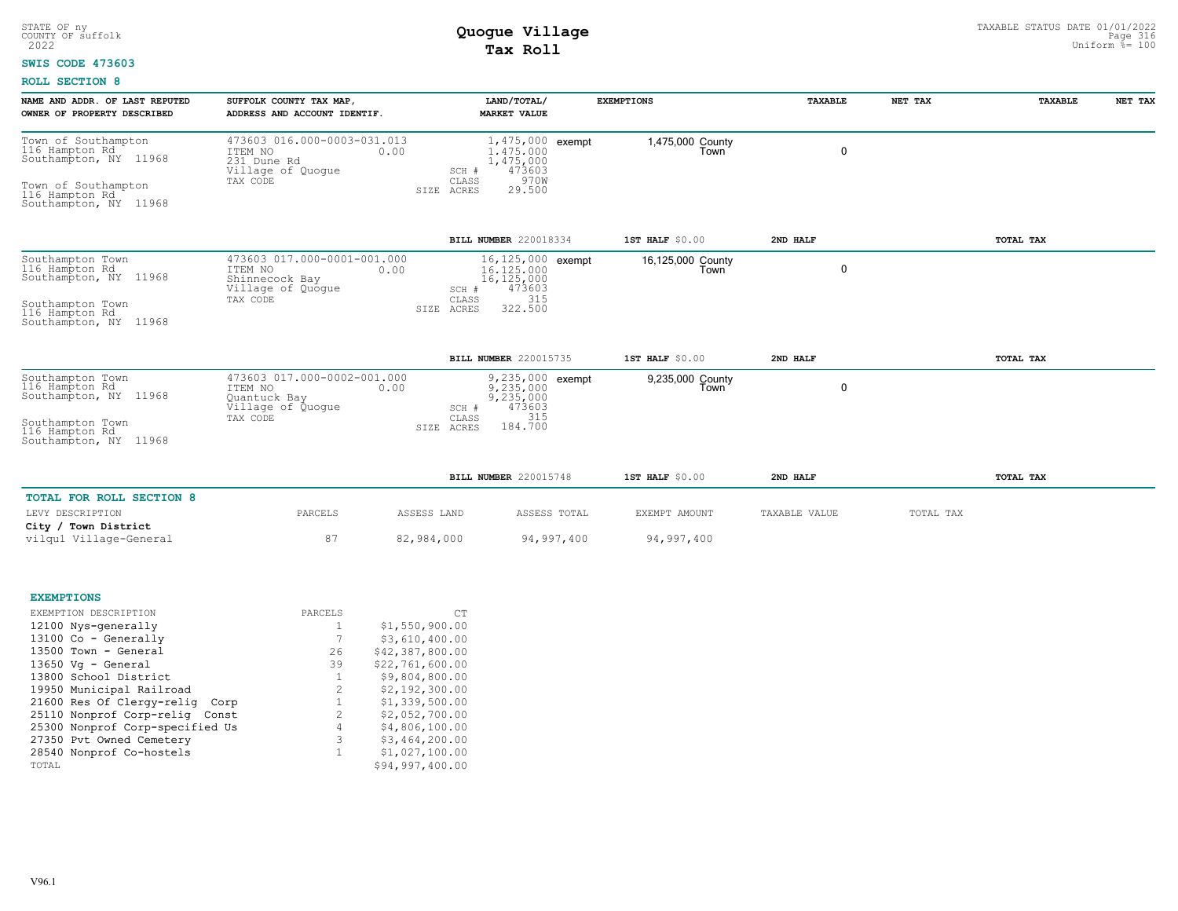### **SWIS CODE 473603**

| NAME AND ADDR. OF LAST REPUTED<br>OWNER OF PROPERTY DESCRIBED                                           | SUFFOLK COUNTY TAX MAP,<br>ADDRESS AND ACCOUNT IDENTIF.                                        |                              | LAND/TOTAL/<br><b>MARKET VALUE</b>                                       | <b>EXEMPTIONS</b>         | TAXABLE       | NET TAX   | TAXABLE   | NET TAX |
|---------------------------------------------------------------------------------------------------------|------------------------------------------------------------------------------------------------|------------------------------|--------------------------------------------------------------------------|---------------------------|---------------|-----------|-----------|---------|
| Town of Southampton<br>116 Hampton Rd<br>Southampton, NY 11968<br>Town of Southampton<br>116 Hampton Rd | 473603 016.000-0003-031.013<br>ITEM NO<br>0.00<br>231 Dune Rd<br>Village of Quogue<br>TAX CODE | SCH #<br>CLASS<br>SIZE ACRES | 1,475,000 exempt<br>1,475,000<br>1, 475, 000<br>473603<br>970W<br>29.500 | 1,475,000 County<br>Town  | $\mathbf 0$   |           |           |         |
| Southampton, NY 11968                                                                                   |                                                                                                |                              |                                                                          |                           |               |           |           |         |
|                                                                                                         |                                                                                                |                              | BILL NUMBER 220018334                                                    | 1ST HALF \$0.00           | 2ND HALF      |           | TOTAL TAX |         |
| Southampton Town<br>116 Hampton Rd<br>Southampton, NY 11968                                             | 473603 017.000-0001-001.000<br>ITEM NO<br>0.00<br>Shinnecock Bay<br>Village of Quogue          | SCH #                        | 16,125,000 exempt<br>16,125,000<br>$\frac{16,125,000}{473603}$           | 16,125,000 County<br>Town | $\mathbf 0$   |           |           |         |
| Southampton Town<br>116 Hampton Rd<br>Southampton, NY 11968                                             | TAX CODE                                                                                       | CLASS<br>SIZE ACRES          | 315<br>322.500                                                           |                           |               |           |           |         |
|                                                                                                         |                                                                                                |                              | <b>BILL NUMBER 220015735</b>                                             | 1ST HALF \$0.00           | 2ND HALF      |           | TOTAL TAX |         |
| Southampton Town<br>116 Hampton Rd<br>Southampton, NY 11968                                             | 473603 017.000-0002-001.000<br>ITEM NO<br>0.00<br>Quantuck Bay<br>Village of Quoque            | SCH #                        | 9,235,000 exempt<br>9,235,000<br>9,235,000<br>473603                     | 9,235,000 County<br>Town  | $\mathbf 0$   |           |           |         |
| Southampton Town<br>116 Hampton Rd<br>Southampton, NY 11968                                             | TAX CODE                                                                                       | CLASS<br>ACRES<br>SIZE       | 315<br>184.700                                                           |                           |               |           |           |         |
|                                                                                                         |                                                                                                |                              | BILL NUMBER 220015748                                                    | 1ST HALF \$0.00           | 2ND HALF      |           | TOTAL TAX |         |
| TOTAL FOR ROLL SECTION 8                                                                                |                                                                                                |                              |                                                                          |                           |               |           |           |         |
| LEVY DESCRIPTION<br>City / Town District                                                                | PARCELS                                                                                        | ASSESS LAND                  | ASSESS TOTAL                                                             | EXEMPT AMOUNT             | TAXABLE VALUE | TOTAL TAX |           |         |
| vilgu1 Village-General                                                                                  | 87                                                                                             | 82,984,000                   | 94,997,400                                                               | 94,997,400                |               |           |           |         |
|                                                                                                         |                                                                                                |                              |                                                                          |                           |               |           |           |         |
| <b>EXEMPTIONS</b><br>EVEMBETOM BECOBIBEOM                                                               | DADORT C                                                                                       | $\sim$ m                     |                                                                          |                           |               |           |           |         |

| EXEMPTION DESCRIPTION           | PARCELS |                | CT              |
|---------------------------------|---------|----------------|-----------------|
| 12100 Nys-generally             |         |                | \$1,550,900.00  |
| $13100$ Co - Generally          |         |                | \$3,610,400.00  |
| 13500 Town - General            |         | 26             | \$42,387,800.00 |
| $13650$ Vg - General            |         | 39             | \$22,761,600.00 |
| 13800 School District           |         |                | \$9,804,800.00  |
| 19950 Municipal Railroad        |         | $\mathcal{L}$  | \$2,192,300.00  |
| 21600 Res Of Clergy-relig Corp  |         | $\mathbf{1}$   | \$1,339,500.00  |
| 25110 Nonprof Corp-relig Const  |         | $\mathcal{L}$  | \$2,052,700.00  |
| 25300 Nonprof Corp-specified Us |         | $\overline{4}$ | \$4,806,100.00  |
| 27350 Pvt Owned Cemetery        |         | 3              | \$3,464,200.00  |
| 28540 Nonprof Co-hostels        |         | $\mathbf{1}$   | \$1,027,100.00  |
| TOTAL                           |         |                | \$94,997,400.00 |
|                                 |         |                |                 |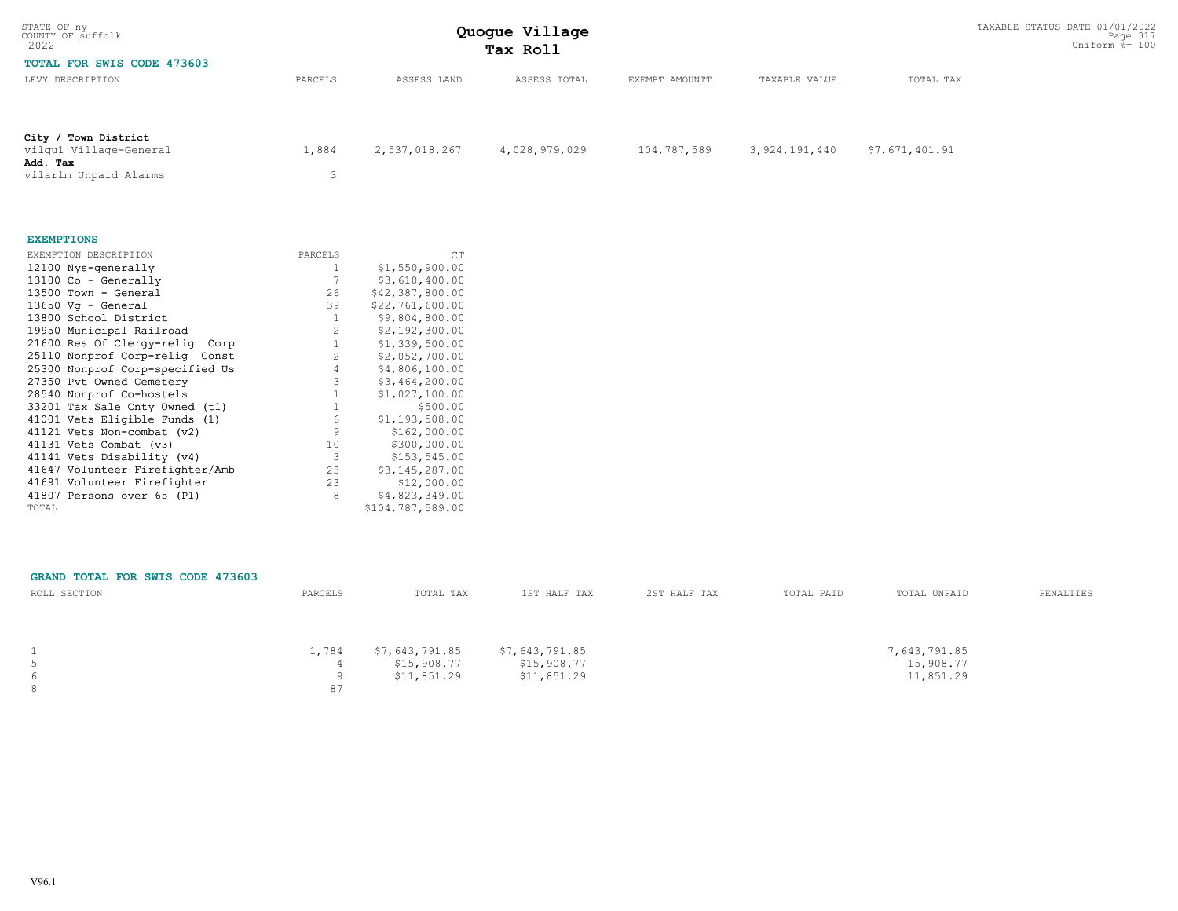| STATE OF ny<br>COUNTY OF suffolk<br>2022       |                | TAXABLE STATUS DATE 01/01/2022<br>Page 317<br>Uniform $\frac{5}{6}$ = 100 |                |                |                  |                |           |
|------------------------------------------------|----------------|---------------------------------------------------------------------------|----------------|----------------|------------------|----------------|-----------|
| TOTAL FOR SWIS CODE 473603<br>LEVY DESCRIPTION | PARCELS        | ASSESS LAND                                                               | ASSESS TOTAL   | EXEMPT AMOUNTT | TAXABLE VALUE    | TOTAL TAX      |           |
|                                                |                |                                                                           |                |                |                  |                |           |
| City / Town District<br>vilqu1 Village-General | 1,884          | 2,537,018,267                                                             | 4,028,979,029  | 104,787,589    | 3, 924, 191, 440 | \$7,671,401.91 |           |
| Add. Tax                                       |                |                                                                           |                |                |                  |                |           |
| vilarlm Unpaid Alarms                          | 3              |                                                                           |                |                |                  |                |           |
| <b>EXEMPTIONS</b>                              |                |                                                                           |                |                |                  |                |           |
| EXEMPTION DESCRIPTION                          | PARCELS        | CT                                                                        |                |                |                  |                |           |
| 12100 Nys-generally                            | 1              | \$1,550,900.00                                                            |                |                |                  |                |           |
| 13100 Co - Generally                           | 7              | \$3,610,400.00                                                            |                |                |                  |                |           |
| 13500 Town - General                           | 26             | \$42,387,800.00                                                           |                |                |                  |                |           |
| 13650 Vg - General                             | 39             | \$22,761,600.00                                                           |                |                |                  |                |           |
| 13800 School District                          | $\mathbf{1}$   | \$9,804,800.00                                                            |                |                |                  |                |           |
| 19950 Municipal Railroad                       | 2              | \$2,192,300.00                                                            |                |                |                  |                |           |
| 21600 Res Of Clergy-relig Corp                 | 1              | \$1,339,500.00                                                            |                |                |                  |                |           |
| 25110 Nonprof Corp-relig Const                 | $\overline{c}$ | \$2,052,700.00                                                            |                |                |                  |                |           |
| 25300 Nonprof Corp-specified Us                | $\overline{4}$ | \$4,806,100.00                                                            |                |                |                  |                |           |
| 27350 Pvt Owned Cemetery                       | 3              | \$3,464,200.00                                                            |                |                |                  |                |           |
| 28540 Nonprof Co-hostels                       | $\mathbf{1}$   | \$1,027,100.00                                                            |                |                |                  |                |           |
| 33201 Tax Sale Cnty Owned (t1)                 | $\mathbf{1}$   | \$500.00                                                                  |                |                |                  |                |           |
| 41001 Vets Eligible Funds (1)                  | 6              | \$1,193,508.00                                                            |                |                |                  |                |           |
| 41121 Vets Non-combat (v2)                     | $\overline{9}$ | \$162,000.00                                                              |                |                |                  |                |           |
| 41131 Vets Combat (v3)                         | 10             | \$300,000.00                                                              |                |                |                  |                |           |
| 41141 Vets Disability (v4)                     | 3              | \$153,545.00                                                              |                |                |                  |                |           |
| 41647 Volunteer Firefighter/Amb                | 23             | \$3,145,287.00                                                            |                |                |                  |                |           |
| 41691 Volunteer Firefighter                    | 23             | \$12,000.00                                                               |                |                |                  |                |           |
| 41807 Persons over 65 (P1)                     | 8              | \$4,823,349.00                                                            |                |                |                  |                |           |
| TOTAL                                          |                | \$104,787,589.00                                                          |                |                |                  |                |           |
| GRAND TOTAL FOR SWIS CODE 473603               |                |                                                                           |                |                |                  |                |           |
| ROLL SECTION                                   | PARCELS        | TOTAL TAX                                                                 | 1ST HALF TAX   | 2ST HALF TAX   | TOTAL PAID       | TOTAL UNPAID   | PENALTIES |
| 1                                              | 1,784          | \$7,643,791.85                                                            | \$7,643,791.85 |                |                  | 7,643,791.85   |           |
| $\overline{5}$                                 | 4              | \$15,908.77                                                               | \$15,908.77    |                |                  | 15,908.77      |           |
| 6                                              | 9              | \$11,851.29                                                               | \$11,851.29    |                |                  | 11,851.29      |           |

8 a set of the set of the set of the set of the set of the set of the set of the set of the set of the set of the set of the set of the set of the set of the set of the set of the set of the set of the set of the set of th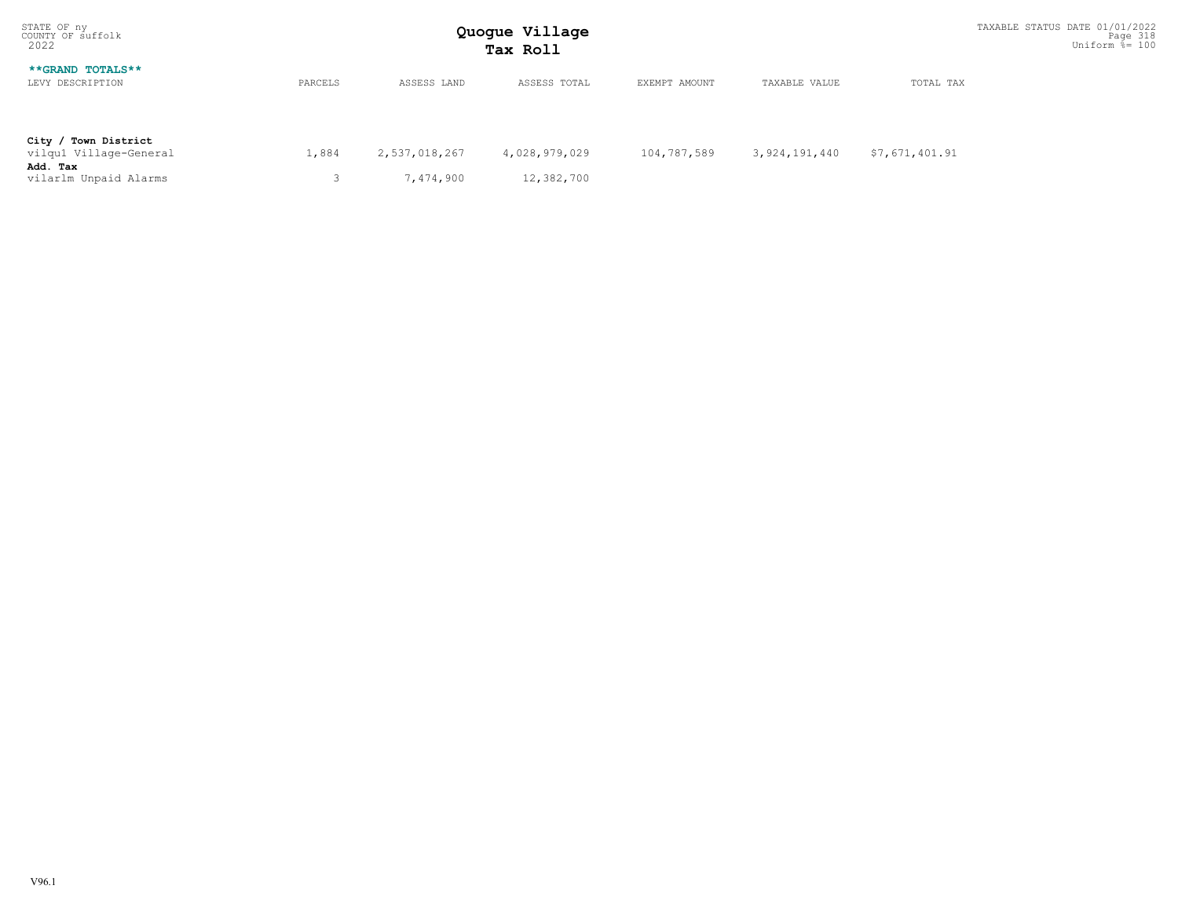| STATE OF ny<br>COUNTY OF suffolk<br>2022                                            | Quogue Village<br>Tax Roll |                            |                             |               |               |                | TAXABLE STATUS DATE 01/01/2022<br>Page 318<br>Uniform $\frac{5}{6}$ = 100 |
|-------------------------------------------------------------------------------------|----------------------------|----------------------------|-----------------------------|---------------|---------------|----------------|---------------------------------------------------------------------------|
| **GRAND TOTALS**<br>LEVY DESCRIPTION                                                | PARCELS                    | ASSESS LAND                | ASSESS TOTAL                | EXEMPT AMOUNT | TAXABLE VALUE | TOTAL TAX      |                                                                           |
| City / Town District<br>vilqu1 Village-General<br>Add. Tax<br>vilarlm Unpaid Alarms | 1,884                      | 2,537,018,267<br>7,474,900 | 4,028,979,029<br>12,382,700 | 104,787,589   | 3,924,191,440 | \$7,671,401.91 |                                                                           |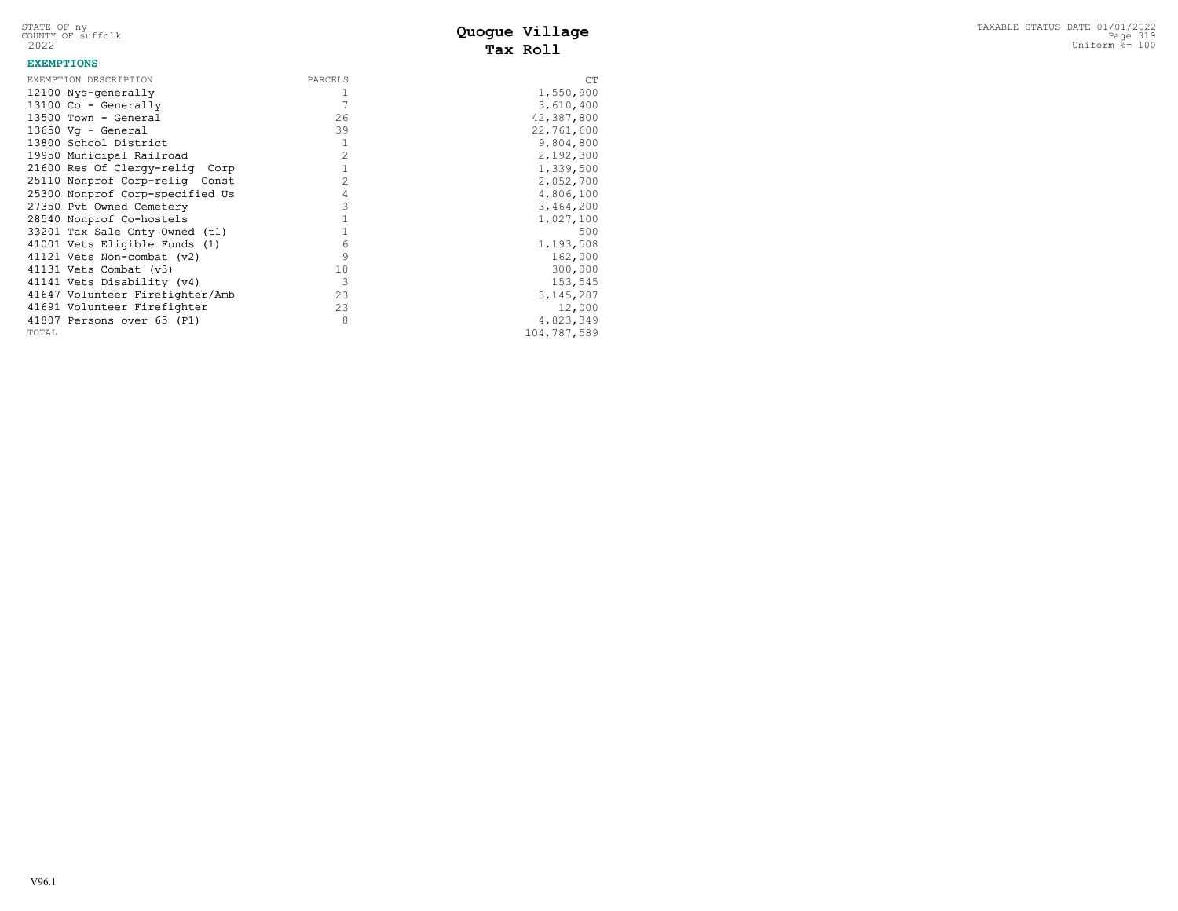STATE OF ny<br>COUNTY OF suffolk<br>2022

# **Tax Roll**

#### **EXEMPTIONS**

| EXEMPTION DESCRIPTION           | PARCELS        | CT          |
|---------------------------------|----------------|-------------|
| 12100 Nys-generally             |                | 1,550,900   |
| $13100$ Co - Generally          |                | 3,610,400   |
| 13500 Town - General            | 26             | 42,387,800  |
| $13650$ Vq - General            | 39             | 22,761,600  |
| 13800 School District           | 1              | 9,804,800   |
| 19950 Municipal Railroad        | $\mathfrak{D}$ | 2,192,300   |
| 21600 Res Of Clergy-relig Corp  |                | 1,339,500   |
| 25110 Nonprof Corp-relig Const  | $\mathfrak{D}$ | 2,052,700   |
| 25300 Nonprof Corp-specified Us | 4              | 4,806,100   |
| 27350 Pvt Owned Cemetery        | 3              | 3,464,200   |
| 28540 Nonprof Co-hostels        |                | 1,027,100   |
| 33201 Tax Sale Cnty Owned (t1)  |                | 500         |
| 41001 Vets Eligible Funds (1)   | 6              | 1,193,508   |
| 41121 Vets Non-combat (v2)      | 9              | 162,000     |
| 41131 Vets Combat (v3)          | 10             | 300,000     |
| 41141 Vets Disability (v4)      | 3              | 153,545     |
| 41647 Volunteer Firefighter/Amb | 23             | 3, 145, 287 |
| 41691 Volunteer Firefighter     | 23             | 12,000      |
| 41807 Persons over 65 (P1)      | 8              | 4,823,349   |
| TOTAL                           |                | 104,787,589 |